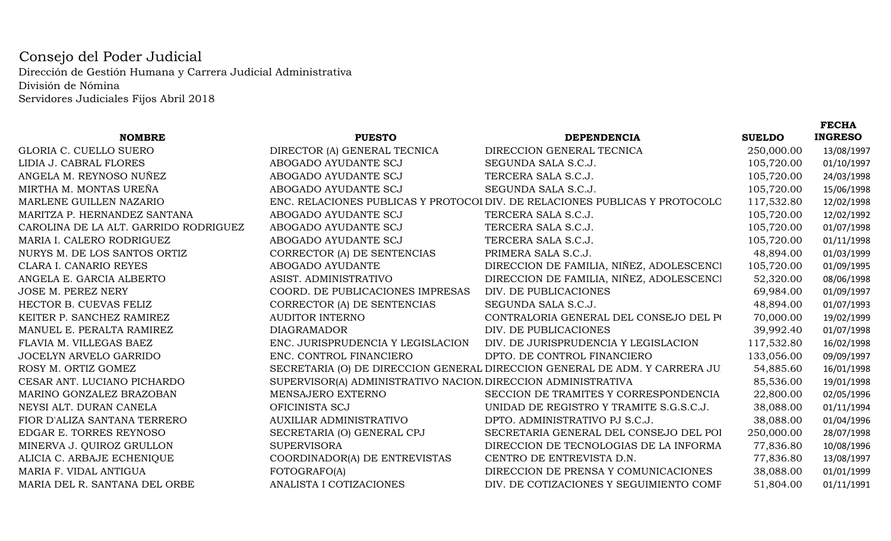## Consejo del Poder Judicial Dirección de Gestión Humana y Carrera Judicial AdministrativaDivisión de NóminaServidores Judiciales Fijos Abril 2018

|                                       |                                                               |                                                                             |               | <b>FECHA</b>   |
|---------------------------------------|---------------------------------------------------------------|-----------------------------------------------------------------------------|---------------|----------------|
| <b>NOMBRE</b>                         | <b>PUESTO</b>                                                 | <b>DEPENDENCIA</b>                                                          | <b>SUELDO</b> | <b>INGRESO</b> |
| GLORIA C. CUELLO SUERO                | DIRECTOR (A) GENERAL TECNICA                                  | DIRECCION GENERAL TECNICA                                                   | 250,000.00    | 13/08/1997     |
| LIDIA J. CABRAL FLORES                | ABOGADO AYUDANTE SCJ                                          | SEGUNDA SALA S.C.J.                                                         | 105,720.00    | 01/10/1997     |
| ANGELA M. REYNOSO NUÑEZ               | ABOGADO AYUDANTE SCJ                                          | TERCERA SALA S.C.J.                                                         | 105,720.00    | 24/03/1998     |
| MIRTHA M. MONTAS UREÑA                | ABOGADO AYUDANTE SCJ                                          | SEGUNDA SALA S.C.J.                                                         | 105,720.00    | 15/06/1998     |
| MARLENE GUILLEN NAZARIO               |                                                               | ENC. RELACIONES PUBLICAS Y PROTOCOI DIV. DE RELACIONES PUBLICAS Y PROTOCOLC | 117,532.80    | 12/02/1998     |
| MARITZA P. HERNANDEZ SANTANA          | ABOGADO AYUDANTE SCJ                                          | TERCERA SALA S.C.J.                                                         | 105,720.00    | 12/02/1992     |
| CAROLINA DE LA ALT. GARRIDO RODRIGUEZ | ABOGADO AYUDANTE SCJ                                          | TERCERA SALA S.C.J.                                                         | 105,720.00    | 01/07/1998     |
| MARIA I. CALERO RODRIGUEZ             | ABOGADO AYUDANTE SCJ                                          | TERCERA SALA S.C.J.                                                         | 105,720.00    | 01/11/1998     |
| NURYS M. DE LOS SANTOS ORTIZ          | CORRECTOR (A) DE SENTENCIAS                                   | PRIMERA SALA S.C.J.                                                         | 48,894.00     | 01/03/1999     |
| CLARA I. CANARIO REYES                | ABOGADO AYUDANTE                                              | DIRECCION DE FAMILIA, NIÑEZ, ADOLESCENCI                                    | 105,720.00    | 01/09/1995     |
| ANGELA E. GARCIA ALBERTO              | ASIST. ADMINISTRATIVO                                         | DIRECCION DE FAMILIA, NIÑEZ, ADOLESCENCI                                    | 52,320.00     | 08/06/1998     |
| <b>JOSE M. PEREZ NERY</b>             | COORD. DE PUBLICACIONES IMPRESAS                              | DIV. DE PUBLICACIONES                                                       | 69,984.00     | 01/09/1997     |
| HECTOR B. CUEVAS FELIZ                | CORRECTOR (A) DE SENTENCIAS                                   | SEGUNDA SALA S.C.J.                                                         | 48,894.00     | 01/07/1993     |
| KEITER P. SANCHEZ RAMIREZ             | <b>AUDITOR INTERNO</b>                                        | CONTRALORIA GENERAL DEL CONSEJO DEL PO                                      | 70,000.00     | 19/02/1999     |
| MANUEL E. PERALTA RAMIREZ             | <b>DIAGRAMADOR</b>                                            | DIV. DE PUBLICACIONES                                                       | 39,992.40     | 01/07/1998     |
| FLAVIA M. VILLEGAS BAEZ               | ENC. JURISPRUDENCIA Y LEGISLACION                             | DIV. DE JURISPRUDENCIA Y LEGISLACION                                        | 117,532.80    | 16/02/1998     |
| JOCELYN ARVELO GARRIDO                | ENC. CONTROL FINANCIERO                                       | DPTO. DE CONTROL FINANCIERO                                                 | 133,056.00    | 09/09/1997     |
| ROSY M. ORTIZ GOMEZ                   |                                                               | SECRETARIA (O) DE DIRECCION GENERAL DIRECCION GENERAL DE ADM. Y CARRERA JU. | 54,885.60     | 16/01/1998     |
| CESAR ANT. LUCIANO PICHARDO           | SUPERVISOR(A) ADMINISTRATIVO NACION. DIRECCION ADMINISTRATIVA |                                                                             | 85,536.00     | 19/01/1998     |
| MARINO GONZALEZ BRAZOBAN              | MENSAJERO EXTERNO                                             | SECCION DE TRAMITES Y CORRESPONDENCIA                                       | 22,800.00     | 02/05/1996     |
| NEYSI ALT. DURAN CANELA               | OFICINISTA SCJ                                                | UNIDAD DE REGISTRO Y TRAMITE S.G.S.C.J.                                     | 38,088.00     | 01/11/1994     |
| FIOR D'ALIZA SANTANA TERRERO          | AUXILIAR ADMINISTRATIVO                                       | DPTO. ADMINISTRATIVO PJ S.C.J.                                              | 38,088.00     | 01/04/1996     |
| EDGAR E. TORRES REYNOSO               | SECRETARIA (O) GENERAL CPJ                                    | SECRETARIA GENERAL DEL CONSEJO DEL POI                                      | 250,000.00    | 28/07/1998     |
| MINERVA J. QUIROZ GRULLON             | <b>SUPERVISORA</b>                                            | DIRECCION DE TECNOLOGIAS DE LA INFORMA                                      | 77,836.80     | 10/08/1996     |
| ALICIA C. ARBAJE ECHENIQUE            | COORDINADOR(A) DE ENTREVISTAS                                 | CENTRO DE ENTREVISTA D.N.                                                   | 77,836.80     | 13/08/1997     |
| MARIA F. VIDAL ANTIGUA                | FOTOGRAFO(A)                                                  | DIRECCION DE PRENSA Y COMUNICACIONES                                        | 38,088.00     | 01/01/1999     |
| MARIA DEL R. SANTANA DEL ORBE         | ANALISTA I COTIZACIONES                                       | DIV. DE COTIZACIONES Y SEGUIMIENTO COMF                                     | 51,804.00     | 01/11/1991     |
|                                       |                                                               |                                                                             |               |                |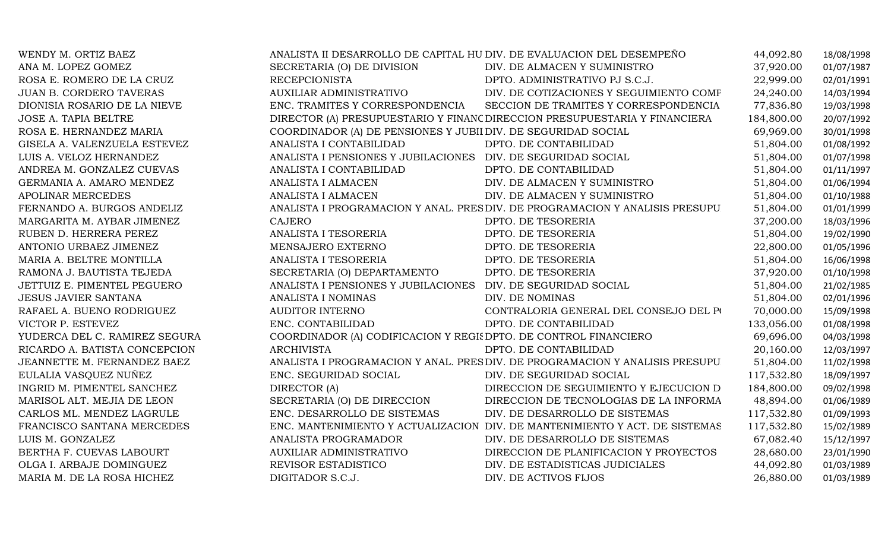| WENDY M. ORTIZ BAEZ            | ANALISTA II DESARROLLO DE CAPITAL HU DIV. DE EVALUACION DEL DESEMPEÑO |                                                                               | 44,092.80  | 18/08/1998 |
|--------------------------------|-----------------------------------------------------------------------|-------------------------------------------------------------------------------|------------|------------|
| ANA M. LOPEZ GOMEZ             | SECRETARIA (O) DE DIVISION                                            | DIV. DE ALMACEN Y SUMINISTRO                                                  | 37,920.00  | 01/07/1987 |
| ROSA E. ROMERO DE LA CRUZ      | RECEPCIONISTA                                                         | DPTO. ADMINISTRATIVO PJ S.C.J.                                                | 22,999.00  | 02/01/1991 |
| <b>JUAN B. CORDERO TAVERAS</b> | AUXILIAR ADMINISTRATIVO                                               | DIV. DE COTIZACIONES Y SEGUIMIENTO COMF                                       | 24,240.00  | 14/03/1994 |
| DIONISIA ROSARIO DE LA NIEVE   |                                                                       | ENC. TRAMITES Y CORRESPONDENCIA SECCION DE TRAMITES Y CORRESPONDENCIA         | 77,836.80  | 19/03/1998 |
| <b>JOSE A. TAPIA BELTRE</b>    |                                                                       | DIRECTOR (A) PRESUPUESTARIO Y FINANC DIRECCION PRESUPUESTARIA Y FINANCIERA    | 184,800.00 | 20/07/1992 |
| ROSA E. HERNANDEZ MARIA        | COORDINADOR (A) DE PENSIONES Y JUBII DIV. DE SEGURIDAD SOCIAL         |                                                                               | 69,969.00  | 30/01/1998 |
| GISELA A. VALENZUELA ESTEVEZ   | ANALISTA I CONTABILIDAD                                               | DPTO. DE CONTABILIDAD                                                         | 51,804.00  | 01/08/1992 |
| LUIS A. VELOZ HERNANDEZ        | ANALISTA I PENSIONES Y JUBILACIONES DIV. DE SEGURIDAD SOCIAL          |                                                                               | 51,804.00  | 01/07/1998 |
| ANDREA M. GONZALEZ CUEVAS      | ANALISTA I CONTABILIDAD                                               | DPTO. DE CONTABILIDAD                                                         | 51,804.00  | 01/11/1997 |
| GERMANIA A. AMARO MENDEZ       | ANALISTA I ALMACEN                                                    | DIV. DE ALMACEN Y SUMINISTRO                                                  | 51,804.00  | 01/06/1994 |
| APOLINAR MERCEDES              | ANALISTA I ALMACEN                                                    | DIV. DE ALMACEN Y SUMINISTRO                                                  | 51,804.00  | 01/10/1988 |
| FERNANDO A. BURGOS ANDELIZ     |                                                                       | ANALISTA I PROGRAMACION Y ANAL. PRES DIV. DE PROGRAMACION Y ANALISIS PRESUPU  | 51,804.00  | 01/01/1999 |
| MARGARITA M. AYBAR JIMENEZ     | <b>CAJERO</b>                                                         | DPTO. DE TESORERIA                                                            | 37,200.00  | 18/03/1996 |
| RUBEN D. HERRERA PEREZ         | ANALISTA I TESORERIA                                                  | DPTO. DE TESORERIA                                                            | 51,804.00  | 19/02/1990 |
| ANTONIO URBAEZ JIMENEZ         | MENSAJERO EXTERNO                                                     | DPTO. DE TESORERIA                                                            | 22,800.00  | 01/05/1996 |
| MARIA A. BELTRE MONTILLA       | ANALISTA I TESORERIA                                                  | DPTO. DE TESORERIA                                                            | 51,804.00  | 16/06/1998 |
| RAMONA J. BAUTISTA TEJEDA      | SECRETARIA (O) DEPARTAMENTO                                           | DPTO. DE TESORERIA                                                            | 37,920.00  | 01/10/1998 |
| JETTUIZ E. PIMENTEL PEGUERO    | ANALISTA I PENSIONES Y JUBILACIONES DIV. DE SEGURIDAD SOCIAL          |                                                                               | 51,804.00  | 21/02/1985 |
| <b>JESUS JAVIER SANTANA</b>    | ANALISTA I NOMINAS                                                    | DIV. DE NOMINAS                                                               | 51,804.00  | 02/01/1996 |
| RAFAEL A. BUENO RODRIGUEZ      | <b>AUDITOR INTERNO</b>                                                | CONTRALORIA GENERAL DEL CONSEJO DEL PO                                        | 70,000.00  | 15/09/1998 |
| VICTOR P. ESTEVEZ              | ENC. CONTABILIDAD                                                     | DPTO. DE CONTABILIDAD                                                         | 133,056.00 | 01/08/1998 |
| YUDERCA DEL C. RAMIREZ SEGURA  | COORDINADOR (A) CODIFICACION Y REGIS DPTO. DE CONTROL FINANCIERO      |                                                                               | 69,696.00  | 04/03/1998 |
| RICARDO A. BATISTA CONCEPCION  | <b>ARCHIVISTA</b>                                                     | DPTO. DE CONTABILIDAD                                                         | 20,160.00  | 12/03/1997 |
| JEANNETTE M. FERNANDEZ BAEZ    |                                                                       | ANALISTA I PROGRAMACION Y ANAL. PRES DIV. DE PROGRAMACION Y ANALISIS PRESUPU. | 51,804.00  | 11/02/1998 |
| EULALIA VASQUEZ NUÑEZ          | ENC. SEGURIDAD SOCIAL                                                 | DIV. DE SEGURIDAD SOCIAL                                                      | 117,532.80 | 18/09/1997 |
| INGRID M. PIMENTEL SANCHEZ     | DIRECTOR (A)                                                          | DIRECCION DE SEGUIMIENTO Y EJECUCION D                                        | 184,800.00 | 09/02/1998 |
| MARISOL ALT. MEJIA DE LEON     | SECRETARIA (O) DE DIRECCION                                           | DIRECCION DE TECNOLOGIAS DE LA INFORMA                                        | 48,894.00  | 01/06/1989 |
| CARLOS ML. MENDEZ LAGRULE      | ENC. DESARROLLO DE SISTEMAS                                           | DIV. DE DESARROLLO DE SISTEMAS                                                | 117,532.80 | 01/09/1993 |
| FRANCISCO SANTANA MERCEDES     |                                                                       | ENC. MANTENIMIENTO Y ACTUALIZACION DIV. DE MANTENIMIENTO Y ACT. DE SISTEMAS   | 117,532.80 | 15/02/1989 |
| LUIS M. GONZALEZ               | ANALISTA PROGRAMADOR                                                  | DIV. DE DESARROLLO DE SISTEMAS                                                | 67,082.40  | 15/12/1997 |
| BERTHA F. CUEVAS LABOURT       | AUXILIAR ADMINISTRATIVO                                               | DIRECCION DE PLANIFICACION Y PROYECTOS                                        | 28,680.00  | 23/01/1990 |
| OLGA I. ARBAJE DOMINGUEZ       | REVISOR ESTADISTICO                                                   | DIV. DE ESTADISTICAS JUDICIALES                                               | 44,092.80  | 01/03/1989 |
| MARIA M. DE LA ROSA HICHEZ     | DIGITADOR S.C.J.                                                      | DIV. DE ACTIVOS FIJOS                                                         | 26,880.00  | 01/03/1989 |
|                                |                                                                       |                                                                               |            |            |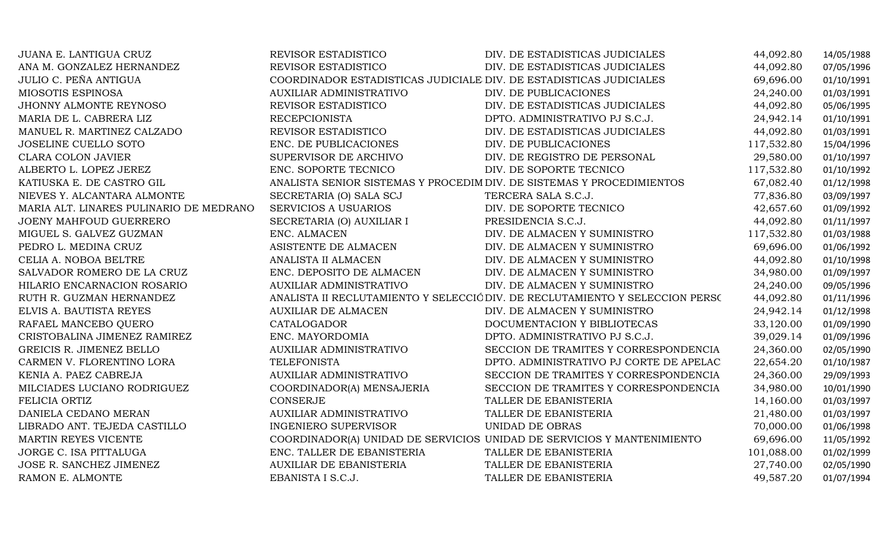| JUANA E. LANTIGUA CRUZ                  | REVISOR ESTADISTICO                                                   | DIV. DE ESTADISTICAS JUDICIALES                                              | 44,092.80  | 14/05/1988 |
|-----------------------------------------|-----------------------------------------------------------------------|------------------------------------------------------------------------------|------------|------------|
| ANA M. GONZALEZ HERNANDEZ               | REVISOR ESTADISTICO                                                   | DIV. DE ESTADISTICAS JUDICIALES                                              | 44,092.80  | 07/05/1996 |
| JULIO C. PEÑA ANTIGUA                   | COORDINADOR ESTADISTICAS JUDICIALE DIV. DE ESTADISTICAS JUDICIALES    |                                                                              | 69,696.00  | 01/10/1991 |
| MIOSOTIS ESPINOSA                       | <b>AUXILIAR ADMINISTRATIVO</b>                                        | DIV. DE PUBLICACIONES                                                        | 24,240.00  | 01/03/1991 |
| JHONNY ALMONTE REYNOSO                  | REVISOR ESTADISTICO                                                   | DIV. DE ESTADISTICAS JUDICIALES                                              | 44,092.80  | 05/06/1995 |
| MARIA DE L. CABRERA LIZ                 | <b>RECEPCIONISTA</b>                                                  | DPTO. ADMINISTRATIVO PJ S.C.J.                                               | 24,942.14  | 01/10/1991 |
| MANUEL R. MARTINEZ CALZADO              | REVISOR ESTADISTICO                                                   | DIV. DE ESTADISTICAS JUDICIALES                                              | 44,092.80  | 01/03/1991 |
| <b>JOSELINE CUELLO SOTO</b>             | ENC. DE PUBLICACIONES                                                 | DIV. DE PUBLICACIONES                                                        | 117,532.80 | 15/04/1996 |
| <b>CLARA COLON JAVIER</b>               | SUPERVISOR DE ARCHIVO                                                 | DIV. DE REGISTRO DE PERSONAL                                                 | 29,580.00  | 01/10/1997 |
| ALBERTO L. LOPEZ JEREZ                  | ENC. SOPORTE TECNICO                                                  | DIV. DE SOPORTE TECNICO                                                      | 117,532.80 | 01/10/1992 |
| KATIUSKA E. DE CASTRO GIL               | ANALISTA SENIOR SISTEMAS Y PROCEDIM DIV. DE SISTEMAS Y PROCEDIMIENTOS |                                                                              | 67,082.40  | 01/12/1998 |
| NIEVES Y. ALCANTARA ALMONTE             | SECRETARIA (O) SALA SCJ                                               | TERCERA SALA S.C.J.                                                          | 77,836.80  | 03/09/1997 |
| MARIA ALT. LINARES PULINARIO DE MEDRANO | <b>SERVICIOS A USUARIOS</b>                                           | DIV. DE SOPORTE TECNICO                                                      | 42,657.60  | 01/09/1992 |
| JOENY MAHFOUD GUERRERO                  | SECRETARIA (O) AUXILIAR I                                             | PRESIDENCIA S.C.J.                                                           | 44,092.80  | 01/11/1997 |
| MIGUEL S. GALVEZ GUZMAN                 | ENC. ALMACEN                                                          | DIV. DE ALMACEN Y SUMINISTRO                                                 | 117,532.80 | 01/03/1988 |
| PEDRO L. MEDINA CRUZ                    | ASISTENTE DE ALMACEN                                                  | DIV. DE ALMACEN Y SUMINISTRO                                                 | 69,696.00  | 01/06/1992 |
| CELIA A. NOBOA BELTRE                   | ANALISTA II ALMACEN                                                   | DIV. DE ALMACEN Y SUMINISTRO                                                 | 44,092.80  | 01/10/1998 |
| SALVADOR ROMERO DE LA CRUZ              | ENC. DEPOSITO DE ALMACEN                                              | DIV. DE ALMACEN Y SUMINISTRO                                                 | 34,980.00  | 01/09/1997 |
| HILARIO ENCARNACION ROSARIO             | <b>AUXILIAR ADMINISTRATIVO</b>                                        | DIV. DE ALMACEN Y SUMINISTRO                                                 | 24,240.00  | 09/05/1996 |
| RUTH R. GUZMAN HERNANDEZ                |                                                                       | ANALISTA II RECLUTAMIENTO Y SELECCIÓ DIV. DE RECLUTAMIENTO Y SELECCION PERSO | 44,092.80  | 01/11/1996 |
| ELVIS A. BAUTISTA REYES                 | <b>AUXILIAR DE ALMACEN</b>                                            | DIV. DE ALMACEN Y SUMINISTRO                                                 | 24,942.14  | 01/12/1998 |
| RAFAEL MANCEBO QUERO                    | CATALOGADOR                                                           | DOCUMENTACION Y BIBLIOTECAS                                                  | 33,120.00  | 01/09/1990 |
| CRISTOBALINA JIMENEZ RAMIREZ            | ENC. MAYORDOMIA                                                       | DPTO. ADMINISTRATIVO PJ S.C.J.                                               | 39,029.14  | 01/09/1996 |
| GREICIS R. JIMENEZ BELLO                | <b>AUXILIAR ADMINISTRATIVO</b>                                        | SECCION DE TRAMITES Y CORRESPONDENCIA                                        | 24,360.00  | 02/05/1990 |
| CARMEN V. FLORENTINO LORA               | <b>TELEFONISTA</b>                                                    | DPTO. ADMINISTRATIVO PJ CORTE DE APELAC                                      | 22,654.20  | 01/10/1987 |
| KENIA A. PAEZ CABREJA                   | AUXILIAR ADMINISTRATIVO                                               | SECCION DE TRAMITES Y CORRESPONDENCIA                                        | 24,360.00  | 29/09/1993 |
| MILCIADES LUCIANO RODRIGUEZ             | COORDINADOR(A) MENSAJERIA                                             | SECCION DE TRAMITES Y CORRESPONDENCIA                                        | 34,980.00  | 10/01/1990 |
| FELICIA ORTIZ                           | CONSERJE                                                              | TALLER DE EBANISTERIA                                                        | 14,160.00  | 01/03/1997 |
| DANIELA CEDANO MERAN                    | AUXILIAR ADMINISTRATIVO                                               | TALLER DE EBANISTERIA                                                        | 21,480.00  | 01/03/1997 |
| LIBRADO ANT. TEJEDA CASTILLO            | <b>INGENIERO SUPERVISOR</b>                                           | UNIDAD DE OBRAS                                                              | 70,000.00  | 01/06/1998 |
| MARTIN REYES VICENTE                    |                                                                       | COORDINADOR(A) UNIDAD DE SERVICIOS UNIDAD DE SERVICIOS Y MANTENIMIENTO       | 69,696.00  | 11/05/1992 |
| JORGE C. ISA PITTALUGA                  | ENC. TALLER DE EBANISTERIA                                            | TALLER DE EBANISTERIA                                                        | 101,088.00 | 01/02/1999 |
| JOSE R. SANCHEZ JIMENEZ                 | <b>AUXILIAR DE EBANISTERIA</b>                                        | TALLER DE EBANISTERIA                                                        | 27,740.00  | 02/05/1990 |
| RAMON E. ALMONTE                        | EBANISTA I S.C.J.                                                     | TALLER DE EBANISTERIA                                                        | 49,587.20  | 01/07/1994 |
|                                         |                                                                       |                                                                              |            |            |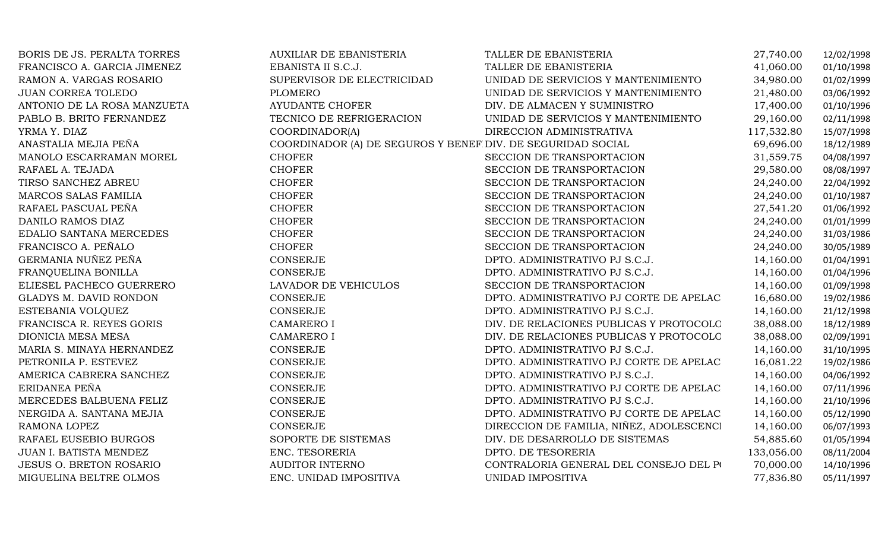| BORIS DE JS. PERALTA TORRES   | AUXILIAR DE EBANISTERIA                                     | TALLER DE EBANISTERIA                    | 27,740.00  | 12/02/1998 |
|-------------------------------|-------------------------------------------------------------|------------------------------------------|------------|------------|
| FRANCISCO A. GARCIA JIMENEZ   | EBANISTA II S.C.J.                                          | TALLER DE EBANISTERIA                    | 41,060.00  | 01/10/1998 |
| RAMON A. VARGAS ROSARIO       | SUPERVISOR DE ELECTRICIDAD                                  | UNIDAD DE SERVICIOS Y MANTENIMIENTO      | 34,980.00  | 01/02/1999 |
| <b>JUAN CORREA TOLEDO</b>     | <b>PLOMERO</b>                                              | UNIDAD DE SERVICIOS Y MANTENIMIENTO      | 21,480.00  | 03/06/1992 |
| ANTONIO DE LA ROSA MANZUETA   | AYUDANTE CHOFER                                             | DIV. DE ALMACEN Y SUMINISTRO             | 17,400.00  | 01/10/1996 |
| PABLO B. BRITO FERNANDEZ      | TECNICO DE REFRIGERACION                                    | UNIDAD DE SERVICIOS Y MANTENIMIENTO      | 29,160.00  | 02/11/1998 |
| YRMA Y. DIAZ                  | COORDINADOR(A)                                              | DIRECCION ADMINISTRATIVA                 | 117,532.80 | 15/07/1998 |
| ANASTALIA MEJIA PEÑA          | COORDINADOR (A) DE SEGUROS Y BENEF DIV. DE SEGURIDAD SOCIAL |                                          | 69,696.00  | 18/12/1989 |
| MANOLO ESCARRAMAN MOREL       | <b>CHOFER</b>                                               | SECCION DE TRANSPORTACION                | 31,559.75  | 04/08/1997 |
| RAFAEL A. TEJADA              | <b>CHOFER</b>                                               | SECCION DE TRANSPORTACION                | 29,580.00  | 08/08/1997 |
| TIRSO SANCHEZ ABREU           | <b>CHOFER</b>                                               | SECCION DE TRANSPORTACION                | 24,240.00  | 22/04/1992 |
| MARCOS SALAS FAMILIA          | <b>CHOFER</b>                                               | SECCION DE TRANSPORTACION                | 24,240.00  | 01/10/1987 |
| RAFAEL PASCUAL PEÑA           | <b>CHOFER</b>                                               | SECCION DE TRANSPORTACION                | 27,541.20  | 01/06/1992 |
| DANILO RAMOS DIAZ             | <b>CHOFER</b>                                               | SECCION DE TRANSPORTACION                | 24,240.00  | 01/01/1999 |
| EDALIO SANTANA MERCEDES       | <b>CHOFER</b>                                               | SECCION DE TRANSPORTACION                | 24,240.00  | 31/03/1986 |
| FRANCISCO A. PEÑALO           | <b>CHOFER</b>                                               | SECCION DE TRANSPORTACION                | 24,240.00  | 30/05/1989 |
| GERMANIA NUÑEZ PEÑA           | CONSERJE                                                    | DPTO. ADMINISTRATIVO PJ S.C.J.           | 14,160.00  | 01/04/1991 |
| FRANQUELINA BONILLA           | <b>CONSERJE</b>                                             | DPTO. ADMINISTRATIVO PJ S.C.J.           | 14,160.00  | 01/04/1996 |
| ELIESEL PACHECO GUERRERO      | LAVADOR DE VEHICULOS                                        | SECCION DE TRANSPORTACION                | 14,160.00  | 01/09/1998 |
| <b>GLADYS M. DAVID RONDON</b> | <b>CONSERJE</b>                                             | DPTO. ADMINISTRATIVO PJ CORTE DE APELAC  | 16,680.00  | 19/02/1986 |
| ESTEBANIA VOLQUEZ             | CONSERJE                                                    | DPTO. ADMINISTRATIVO PJ S.C.J.           | 14,160.00  | 21/12/1998 |
| FRANCISCA R. REYES GORIS      | <b>CAMARERO I</b>                                           | DIV. DE RELACIONES PUBLICAS Y PROTOCOLO  | 38,088.00  | 18/12/1989 |
| DIONICIA MESA MESA            | <b>CAMARERO I</b>                                           | DIV. DE RELACIONES PUBLICAS Y PROTOCOLO  | 38,088.00  | 02/09/1991 |
| MARIA S. MINAYA HERNANDEZ     | CONSERJE                                                    | DPTO. ADMINISTRATIVO PJ S.C.J.           | 14,160.00  | 31/10/1995 |
| PETRONILA P. ESTEVEZ          | CONSERJE                                                    | DPTO. ADMINISTRATIVO PJ CORTE DE APELAC  | 16,081.22  | 19/02/1986 |
| AMERICA CABRERA SANCHEZ       | CONSERJE                                                    | DPTO. ADMINISTRATIVO PJ S.C.J.           | 14,160.00  | 04/06/1992 |
| ERIDANEA PEÑA                 | CONSERJE                                                    | DPTO. ADMINISTRATIVO PJ CORTE DE APELAC  | 14,160.00  | 07/11/1996 |
| MERCEDES BALBUENA FELIZ       | CONSERJE                                                    | DPTO. ADMINISTRATIVO PJ S.C.J.           | 14,160.00  | 21/10/1996 |
| NERGIDA A. SANTANA MEJIA      | <b>CONSERJE</b>                                             | DPTO. ADMINISTRATIVO PJ CORTE DE APELAC  | 14,160.00  | 05/12/1990 |
| RAMONA LOPEZ                  | <b>CONSERJE</b>                                             | DIRECCION DE FAMILIA, NIÑEZ, ADOLESCENCI | 14,160.00  | 06/07/1993 |
| RAFAEL EUSEBIO BURGOS         | SOPORTE DE SISTEMAS                                         | DIV. DE DESARROLLO DE SISTEMAS           | 54,885.60  | 01/05/1994 |
| JUAN I. BATISTA MENDEZ        | ENC. TESORERIA                                              | DPTO. DE TESORERIA                       | 133,056.00 | 08/11/2004 |
| JESUS O. BRETON ROSARIO       | <b>AUDITOR INTERNO</b>                                      | CONTRALORIA GENERAL DEL CONSEJO DEL PO   | 70,000.00  | 14/10/1996 |
| MIGUELINA BELTRE OLMOS        | ENC. UNIDAD IMPOSITIVA                                      | UNIDAD IMPOSITIVA                        | 77,836.80  | 05/11/1997 |
|                               |                                                             |                                          |            |            |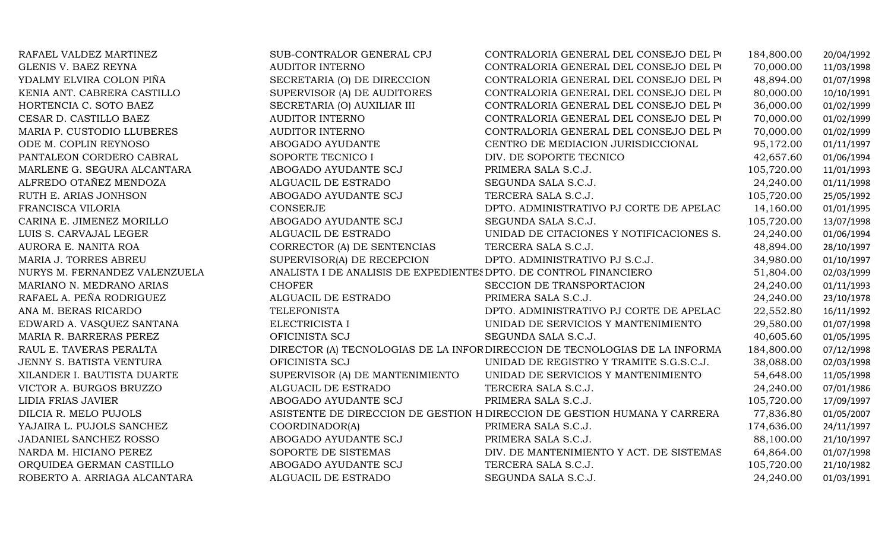| RAFAEL VALDEZ MARTINEZ          | SUB-CONTRALOR GENERAL CPJ                                         | CONTRALORIA GENERAL DEL CONSEJO DEL PO                                     | 184,800.00 | 20/04/1992 |
|---------------------------------|-------------------------------------------------------------------|----------------------------------------------------------------------------|------------|------------|
| GLENIS V. BAEZ REYNA            | <b>AUDITOR INTERNO</b>                                            | CONTRALORIA GENERAL DEL CONSEJO DEL PO                                     | 70,000.00  | 11/03/1998 |
| YDALMY ELVIRA COLON PIÑA        | SECRETARIA (O) DE DIRECCION                                       | CONTRALORIA GENERAL DEL CONSEJO DEL PO                                     | 48,894.00  | 01/07/1998 |
| KENIA ANT. CABRERA CASTILLO     | SUPERVISOR (A) DE AUDITORES                                       | CONTRALORIA GENERAL DEL CONSEJO DEL PO                                     | 80,000.00  | 10/10/1991 |
| HORTENCIA C. SOTO BAEZ          | SECRETARIA (O) AUXILIAR III                                       | CONTRALORIA GENERAL DEL CONSEJO DEL PO                                     | 36,000.00  | 01/02/1999 |
| CESAR D. CASTILLO BAEZ          | <b>AUDITOR INTERNO</b>                                            | CONTRALORIA GENERAL DEL CONSEJO DEL PO                                     | 70,000.00  | 01/02/1999 |
| MARIA P. CUSTODIO LLUBERES      | <b>AUDITOR INTERNO</b>                                            | CONTRALORIA GENERAL DEL CONSEJO DEL PO                                     | 70,000.00  | 01/02/1999 |
| ODE M. COPLIN REYNOSO           | ABOGADO AYUDANTE                                                  | CENTRO DE MEDIACION JURISDICCIONAL                                         | 95,172.00  | 01/11/1997 |
| PANTALEON CORDERO CABRAL        | SOPORTE TECNICO I                                                 | DIV. DE SOPORTE TECNICO                                                    | 42,657.60  | 01/06/1994 |
| MARLENE G. SEGURA ALCANTARA     | ABOGADO AYUDANTE SCJ                                              | PRIMERA SALA S.C.J.                                                        | 105,720.00 | 11/01/1993 |
| ALFREDO OTAÑEZ MENDOZA          | ALGUACIL DE ESTRADO                                               | SEGUNDA SALA S.C.J.                                                        | 24,240.00  | 01/11/1998 |
| RUTH E. ARIAS JONHSON           | ABOGADO AYUDANTE SCJ                                              | TERCERA SALA S.C.J.                                                        | 105,720.00 | 25/05/1992 |
| FRANCISCA VILORIA               | <b>CONSERJE</b>                                                   | DPTO. ADMINISTRATIVO PJ CORTE DE APELAC                                    | 14,160.00  | 01/01/1995 |
| CARINA E. JIMENEZ MORILLO       | ABOGADO AYUDANTE SCJ                                              | SEGUNDA SALA S.C.J.                                                        | 105,720.00 | 13/07/1998 |
| LUIS S. CARVAJAL LEGER          | ALGUACIL DE ESTRADO                                               | UNIDAD DE CITACIONES Y NOTIFICACIONES S.                                   | 24,240.00  | 01/06/1994 |
| AURORA E. NANITA ROA            | CORRECTOR (A) DE SENTENCIAS                                       | TERCERA SALA S.C.J.                                                        | 48,894.00  | 28/10/1997 |
| MARIA J. TORRES ABREU           | SUPERVISOR(A) DE RECEPCION                                        | DPTO. ADMINISTRATIVO PJ S.C.J.                                             | 34,980.00  | 01/10/1997 |
| NURYS M. FERNANDEZ VALENZUELA   | ANALISTA I DE ANALISIS DE EXPEDIENTES DPTO. DE CONTROL FINANCIERO |                                                                            | 51,804.00  | 02/03/1999 |
| MARIANO N. MEDRANO ARIAS        | <b>CHOFER</b>                                                     | SECCION DE TRANSPORTACION                                                  | 24,240.00  | 01/11/1993 |
| RAFAEL A. PEÑA RODRIGUEZ        | ALGUACIL DE ESTRADO                                               | PRIMERA SALA S.C.J.                                                        | 24,240.00  | 23/10/1978 |
| ANA M. BERAS RICARDO            | <b>TELEFONISTA</b>                                                | DPTO. ADMINISTRATIVO PJ CORTE DE APELAC                                    | 22,552.80  | 16/11/1992 |
| EDWARD A. VASQUEZ SANTANA       | ELECTRICISTA I                                                    | UNIDAD DE SERVICIOS Y MANTENIMIENTO                                        | 29,580.00  | 01/07/1998 |
| MARIA R. BARRERAS PEREZ         | OFICINISTA SCJ                                                    | SEGUNDA SALA S.C.J.                                                        | 40,605.60  | 01/05/1995 |
| RAUL E. TAVERAS PERALTA         |                                                                   | DIRECTOR (A) TECNOLOGIAS DE LA INFORDIRECCION DE TECNOLOGIAS DE LA INFORMA | 184,800.00 | 07/12/1998 |
| <b>JENNY S. BATISTA VENTURA</b> | OFICINISTA SCJ                                                    | UNIDAD DE REGISTRO Y TRAMITE S.G.S.C.J.                                    | 38,088.00  | 02/03/1998 |
| XILANDER I. BAUTISTA DUARTE     | SUPERVISOR (A) DE MANTENIMIENTO                                   | UNIDAD DE SERVICIOS Y MANTENIMIENTO                                        | 54,648.00  | 11/05/1998 |
| VICTOR A. BURGOS BRUZZO         | ALGUACIL DE ESTRADO                                               | TERCERA SALA S.C.J.                                                        | 24,240.00  | 07/01/1986 |
| LIDIA FRIAS JAVIER              | ABOGADO AYUDANTE SCJ                                              | PRIMERA SALA S.C.J.                                                        | 105,720.00 | 17/09/1997 |
| DILCIA R. MELO PUJOLS           |                                                                   | ASISTENTE DE DIRECCION DE GESTION H DIRECCION DE GESTION HUMANA Y CARRERA  | 77,836.80  | 01/05/2007 |
| YAJAIRA L. PUJOLS SANCHEZ       | COORDINADOR(A)                                                    | PRIMERA SALA S.C.J.                                                        | 174,636.00 | 24/11/1997 |
| JADANIEL SANCHEZ ROSSO          | ABOGADO AYUDANTE SCJ                                              | PRIMERA SALA S.C.J.                                                        | 88,100.00  | 21/10/1997 |
| NARDA M. HICIANO PEREZ          | SOPORTE DE SISTEMAS                                               | DIV. DE MANTENIMIENTO Y ACT. DE SISTEMAS                                   | 64,864.00  | 01/07/1998 |
| ORQUIDEA GERMAN CASTILLO        | ABOGADO AYUDANTE SCJ                                              | TERCERA SALA S.C.J.                                                        | 105,720.00 | 21/10/1982 |
| ROBERTO A. ARRIAGA ALCANTARA    | ALGUACIL DE ESTRADO                                               | SEGUNDA SALA S.C.J.                                                        | 24,240.00  | 01/03/1991 |
|                                 |                                                                   |                                                                            |            |            |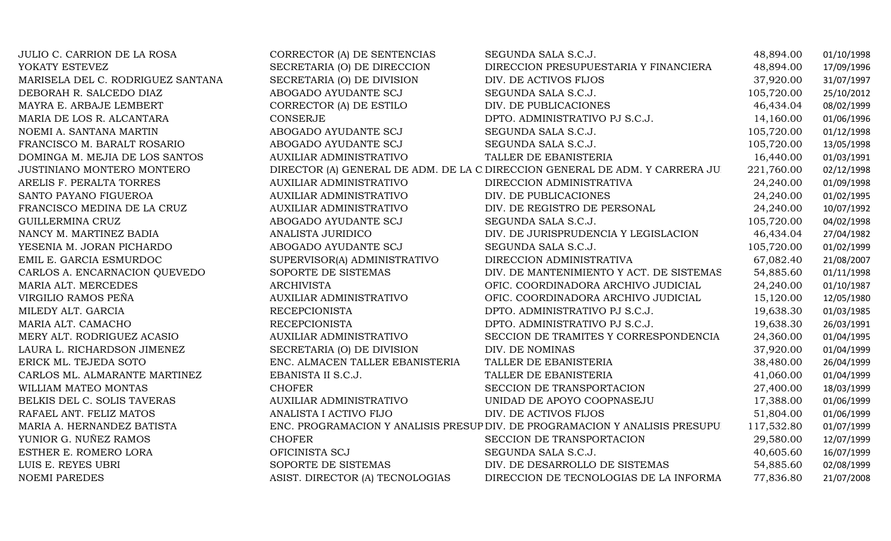| JULIO C. CARRION DE LA ROSA       | CORRECTOR (A) DE SENTENCIAS     | SEGUNDA SALA S.C.J.                                                          | 48,894.00  | 01/10/1998 |
|-----------------------------------|---------------------------------|------------------------------------------------------------------------------|------------|------------|
| YOKATY ESTEVEZ                    | SECRETARIA (O) DE DIRECCION     | DIRECCION PRESUPUESTARIA Y FINANCIERA                                        | 48,894.00  | 17/09/1996 |
| MARISELA DEL C. RODRIGUEZ SANTANA | SECRETARIA (O) DE DIVISION      | DIV. DE ACTIVOS FIJOS                                                        | 37,920.00  | 31/07/1997 |
| DEBORAH R. SALCEDO DIAZ           | ABOGADO AYUDANTE SCJ            | SEGUNDA SALA S.C.J.                                                          | 105,720.00 | 25/10/2012 |
| MAYRA E. ARBAJE LEMBERT           | CORRECTOR (A) DE ESTILO         | DIV. DE PUBLICACIONES                                                        | 46,434.04  | 08/02/1999 |
| MARIA DE LOS R. ALCANTARA         | <b>CONSERJE</b>                 | DPTO. ADMINISTRATIVO PJ S.C.J.                                               | 14,160.00  | 01/06/1996 |
| NOEMI A. SANTANA MARTIN           | ABOGADO AYUDANTE SCJ            | SEGUNDA SALA S.C.J.                                                          | 105,720.00 | 01/12/1998 |
| FRANCISCO M. BARALT ROSARIO       | ABOGADO AYUDANTE SCJ            | SEGUNDA SALA S.C.J.                                                          | 105,720.00 | 13/05/1998 |
| DOMINGA M. MEJIA DE LOS SANTOS    | <b>AUXILIAR ADMINISTRATIVO</b>  | TALLER DE EBANISTERIA                                                        | 16,440.00  | 01/03/1991 |
| JUSTINIANO MONTERO MONTERO        |                                 | DIRECTOR (A) GENERAL DE ADM. DE LA C DIRECCION GENERAL DE ADM. Y CARRERA JU  | 221,760.00 | 02/12/1998 |
| ARELIS F. PERALTA TORRES          | <b>AUXILIAR ADMINISTRATIVO</b>  | DIRECCION ADMINISTRATIVA                                                     | 24,240.00  | 01/09/1998 |
| SANTO PAYANO FIGUEROA             | <b>AUXILIAR ADMINISTRATIVO</b>  | DIV. DE PUBLICACIONES                                                        | 24,240.00  | 01/02/1995 |
| FRANCISCO MEDINA DE LA CRUZ       | AUXILIAR ADMINISTRATIVO         | DIV. DE REGISTRO DE PERSONAL                                                 | 24,240.00  | 10/07/1992 |
| GUILLERMINA CRUZ                  | ABOGADO AYUDANTE SCJ            | SEGUNDA SALA S.C.J.                                                          | 105,720.00 | 04/02/1998 |
| NANCY M. MARTINEZ BADIA           | ANALISTA JURIDICO               | DIV. DE JURISPRUDENCIA Y LEGISLACION                                         | 46,434.04  | 27/04/1982 |
| YESENIA M. JORAN PICHARDO         | ABOGADO AYUDANTE SCJ            | SEGUNDA SALA S.C.J.                                                          | 105,720.00 | 01/02/1999 |
| EMIL E. GARCIA ESMURDOC           | SUPERVISOR(A) ADMINISTRATIVO    | DIRECCION ADMINISTRATIVA                                                     | 67,082.40  | 21/08/2007 |
| CARLOS A. ENCARNACION QUEVEDO     | SOPORTE DE SISTEMAS             | DIV. DE MANTENIMIENTO Y ACT. DE SISTEMAS                                     | 54,885.60  | 01/11/1998 |
| MARIA ALT. MERCEDES               | <b>ARCHIVISTA</b>               | OFIC. COORDINADORA ARCHIVO JUDICIAL                                          | 24,240.00  | 01/10/1987 |
| VIRGILIO RAMOS PEÑA               | <b>AUXILIAR ADMINISTRATIVO</b>  | OFIC. COORDINADORA ARCHIVO JUDICIAL                                          | 15,120.00  | 12/05/1980 |
| MILEDY ALT. GARCIA                | <b>RECEPCIONISTA</b>            | DPTO. ADMINISTRATIVO PJ S.C.J.                                               | 19,638.30  | 01/03/1985 |
| MARIA ALT. CAMACHO                | <b>RECEPCIONISTA</b>            | DPTO. ADMINISTRATIVO PJ S.C.J.                                               | 19,638.30  | 26/03/1991 |
| MERY ALT. RODRIGUEZ ACASIO        | <b>AUXILIAR ADMINISTRATIVO</b>  | SECCION DE TRAMITES Y CORRESPONDENCIA                                        | 24,360.00  | 01/04/1995 |
| LAURA L. RICHARDSON JIMENEZ       | SECRETARIA (O) DE DIVISION      | DIV. DE NOMINAS                                                              | 37,920.00  | 01/04/1999 |
| ERICK ML. TEJEDA SOTO             | ENC. ALMACEN TALLER EBANISTERIA | TALLER DE EBANISTERIA                                                        | 38,480.00  | 26/04/1999 |
| CARLOS ML. ALMARANTE MARTINEZ     | EBANISTA II S.C.J.              | TALLER DE EBANISTERIA                                                        | 41,060.00  | 01/04/1999 |
| WILLIAM MATEO MONTAS              | <b>CHOFER</b>                   | SECCION DE TRANSPORTACION                                                    | 27,400.00  | 18/03/1999 |
| BELKIS DEL C. SOLIS TAVERAS       | <b>AUXILIAR ADMINISTRATIVO</b>  | UNIDAD DE APOYO COOPNASEJU                                                   | 17,388.00  | 01/06/1999 |
| RAFAEL ANT. FELIZ MATOS           | ANALISTA I ACTIVO FIJO          | DIV. DE ACTIVOS FIJOS                                                        | 51,804.00  | 01/06/1999 |
| MARIA A. HERNANDEZ BATISTA        |                                 | ENC. PROGRAMACION Y ANALISIS PRESUP DIV. DE PROGRAMACION Y ANALISIS PRESUPU. | 117,532.80 | 01/07/1999 |
| YUNIOR G. NUÑEZ RAMOS             | <b>CHOFER</b>                   | SECCION DE TRANSPORTACION                                                    | 29,580.00  | 12/07/1999 |
| ESTHER E. ROMERO LORA             | OFICINISTA SCJ                  | SEGUNDA SALA S.C.J.                                                          | 40,605.60  | 16/07/1999 |
| LUIS E. REYES UBRI                | SOPORTE DE SISTEMAS             | DIV. DE DESARROLLO DE SISTEMAS                                               | 54,885.60  | 02/08/1999 |
| <b>NOEMI PAREDES</b>              | ASIST. DIRECTOR (A) TECNOLOGIAS | DIRECCION DE TECNOLOGIAS DE LA INFORMA                                       | 77,836.80  | 21/07/2008 |
|                                   |                                 |                                                                              |            |            |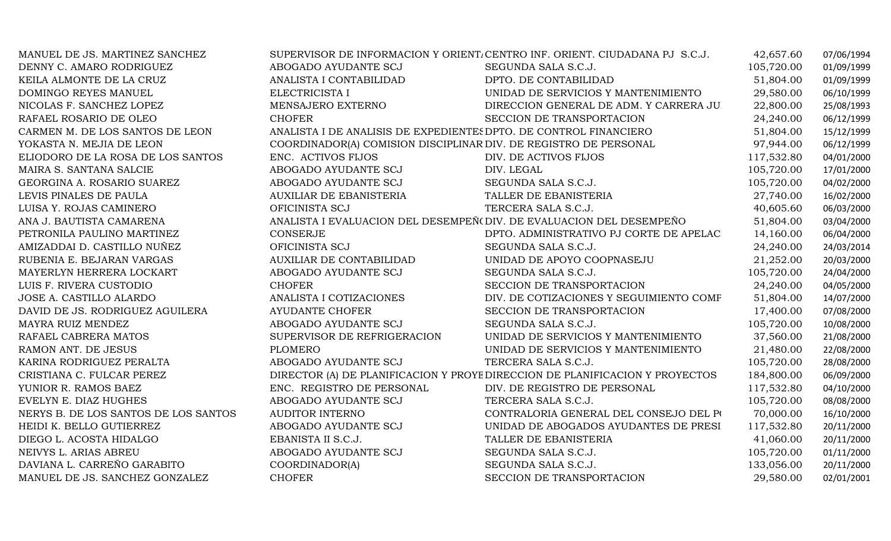| MANUEL DE JS. MARTINEZ SANCHEZ       |                                                                  | SUPERVISOR DE INFORMACION Y ORIENT. CENTRO INF. ORIENT. CIUDADANA PJ S.C.J.  | 42,657.60  | 07/06/1994 |
|--------------------------------------|------------------------------------------------------------------|------------------------------------------------------------------------------|------------|------------|
| DENNY C. AMARO RODRIGUEZ             | ABOGADO AYUDANTE SCJ                                             | SEGUNDA SALA S.C.J.                                                          | 105,720.00 | 01/09/1999 |
| KEILA ALMONTE DE LA CRUZ             | ANALISTA I CONTABILIDAD                                          | DPTO. DE CONTABILIDAD                                                        | 51,804.00  | 01/09/1999 |
| DOMINGO REYES MANUEL                 | ELECTRICISTA I                                                   | UNIDAD DE SERVICIOS Y MANTENIMIENTO                                          | 29,580.00  | 06/10/1999 |
| NICOLAS F. SANCHEZ LOPEZ             | MENSAJERO EXTERNO                                                | DIRECCION GENERAL DE ADM. Y CARRERA JU                                       | 22,800.00  | 25/08/1993 |
| RAFAEL ROSARIO DE OLEO               | <b>CHOFER</b>                                                    | SECCION DE TRANSPORTACION                                                    | 24,240.00  | 06/12/1999 |
| CARMEN M. DE LOS SANTOS DE LEON      |                                                                  | ANALISTA I DE ANALISIS DE EXPEDIENTES DPTO. DE CONTROL FINANCIERO            |            | 15/12/1999 |
| YOKASTA N. MEJIA DE LEON             | COORDINADOR(A) COMISION DISCIPLINAR DIV. DE REGISTRO DE PERSONAL |                                                                              | 97,944.00  | 06/12/1999 |
| ELIODORO DE LA ROSA DE LOS SANTOS    | ENC. ACTIVOS FIJOS                                               | DIV. DE ACTIVOS FIJOS                                                        | 117,532.80 | 04/01/2000 |
| MAIRA S. SANTANA SALCIE              | ABOGADO AYUDANTE SCJ                                             | DIV. LEGAL                                                                   | 105,720.00 | 17/01/2000 |
| GEORGINA A. ROSARIO SUAREZ           | ABOGADO AYUDANTE SCJ                                             | SEGUNDA SALA S.C.J.                                                          | 105,720.00 | 04/02/2000 |
| LEVIS PINALES DE PAULA               | AUXILIAR DE EBANISTERIA                                          | TALLER DE EBANISTERIA                                                        | 27,740.00  | 16/02/2000 |
| LUISA Y. ROJAS CAMINERO              | OFICINISTA SCJ                                                   | TERCERA SALA S.C.J.                                                          | 40,605.60  | 06/03/2000 |
| ANA J. BAUTISTA CAMARENA             |                                                                  | ANALISTA I EVALUACION DEL DESEMPEÑ (DIV. DE EVALUACION DEL DESEMPEÑO         | 51,804.00  | 03/04/2000 |
| PETRONILA PAULINO MARTINEZ           | CONSERJE                                                         | DPTO. ADMINISTRATIVO PJ CORTE DE APELAC                                      | 14,160.00  | 06/04/2000 |
| AMIZADDAI D. CASTILLO NUÑEZ          | OFICINISTA SCJ                                                   | SEGUNDA SALA S.C.J.                                                          | 24,240.00  | 24/03/2014 |
| RUBENIA E. BEJARAN VARGAS            | <b>AUXILIAR DE CONTABILIDAD</b>                                  | UNIDAD DE APOYO COOPNASEJU                                                   | 21,252.00  | 20/03/2000 |
| MAYERLYN HERRERA LOCKART             | ABOGADO AYUDANTE SCJ                                             | SEGUNDA SALA S.C.J.                                                          | 105,720.00 | 24/04/2000 |
| LUIS F. RIVERA CUSTODIO              | <b>CHOFER</b>                                                    | SECCION DE TRANSPORTACION                                                    | 24,240.00  | 04/05/2000 |
| JOSE A. CASTILLO ALARDO              | ANALISTA I COTIZACIONES                                          | DIV. DE COTIZACIONES Y SEGUIMIENTO COMF                                      | 51,804.00  | 14/07/2000 |
| DAVID DE JS. RODRIGUEZ AGUILERA      | <b>AYUDANTE CHOFER</b>                                           | SECCION DE TRANSPORTACION                                                    | 17,400.00  | 07/08/2000 |
| MAYRA RUIZ MENDEZ                    | ABOGADO AYUDANTE SCJ                                             | SEGUNDA SALA S.C.J.                                                          | 105,720.00 | 10/08/2000 |
| RAFAEL CABRERA MATOS                 | SUPERVISOR DE REFRIGERACION                                      | UNIDAD DE SERVICIOS Y MANTENIMIENTO                                          | 37,560.00  | 21/08/2000 |
| RAMON ANT. DE JESUS                  | <b>PLOMERO</b>                                                   | UNIDAD DE SERVICIOS Y MANTENIMIENTO                                          | 21,480.00  | 22/08/2000 |
| KARINA RODRIGUEZ PERALTA             | ABOGADO AYUDANTE SCJ                                             | TERCERA SALA S.C.J.                                                          | 105,720.00 | 28/08/2000 |
| CRISTIANA C. FULCAR PEREZ            |                                                                  | DIRECTOR (A) DE PLANIFICACION Y PROYE DIRECCION DE PLANIFICACION Y PROYECTOS | 184,800.00 | 06/09/2000 |
| YUNIOR R. RAMOS BAEZ                 | ENC. REGISTRO DE PERSONAL                                        | DIV. DE REGISTRO DE PERSONAL                                                 | 117,532.80 | 04/10/2000 |
| EVELYN E. DIAZ HUGHES                | ABOGADO AYUDANTE SCJ                                             | TERCERA SALA S.C.J.                                                          | 105,720.00 | 08/08/2000 |
| NERYS B. DE LOS SANTOS DE LOS SANTOS | <b>AUDITOR INTERNO</b>                                           | CONTRALORIA GENERAL DEL CONSEJO DEL PO                                       | 70,000.00  | 16/10/2000 |
| HEIDI K. BELLO GUTIERREZ             | ABOGADO AYUDANTE SCJ                                             | UNIDAD DE ABOGADOS AYUDANTES DE PRESI                                        | 117,532.80 | 20/11/2000 |
| DIEGO L. ACOSTA HIDALGO              | EBANISTA II S.C.J.                                               | TALLER DE EBANISTERIA                                                        | 41,060.00  | 20/11/2000 |
| NEIVYS L. ARIAS ABREU                | ABOGADO AYUDANTE SCJ                                             | SEGUNDA SALA S.C.J.                                                          | 105,720.00 | 01/11/2000 |
| DAVIANA L. CARREÑO GARABITO          | COORDINADOR(A)                                                   | SEGUNDA SALA S.C.J.                                                          | 133,056.00 | 20/11/2000 |
| MANUEL DE JS. SANCHEZ GONZALEZ       | <b>CHOFER</b>                                                    | SECCION DE TRANSPORTACION                                                    | 29,580.00  | 02/01/2001 |
|                                      |                                                                  |                                                                              |            |            |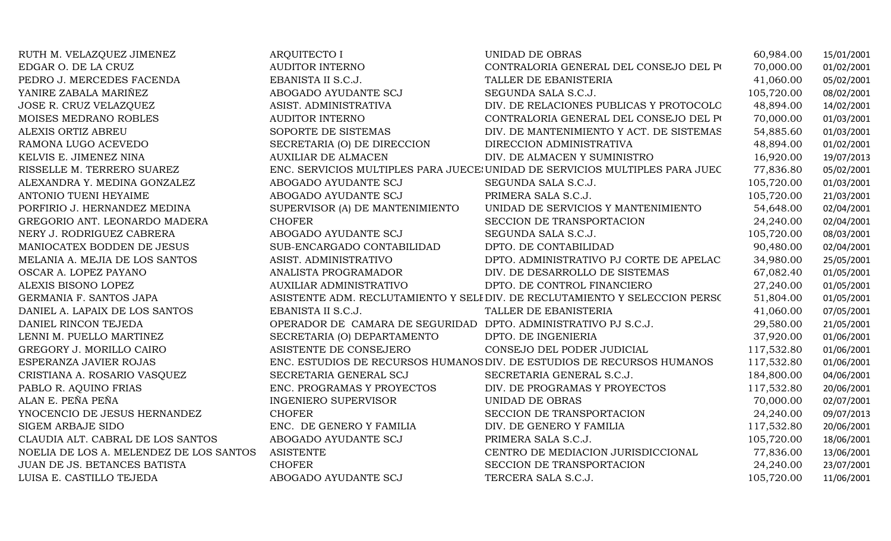| RUTH M. VELAZQUEZ JIMENEZ               | <b>ARQUITECTO I</b>                                            | <b>UNIDAD DE OBRAS</b>                                                       | 60,984.00  | 15/01/2001 |
|-----------------------------------------|----------------------------------------------------------------|------------------------------------------------------------------------------|------------|------------|
| EDGAR O. DE LA CRUZ                     | AUDITOR INTERNO                                                | CONTRALORIA GENERAL DEL CONSEJO DEL PO                                       | 70,000.00  | 01/02/2001 |
| PEDRO J. MERCEDES FACENDA               | EBANISTA II S.C.J.                                             | TALLER DE EBANISTERIA                                                        | 41,060.00  | 05/02/2001 |
| YANIRE ZABALA MARIÑEZ                   | ABOGADO AYUDANTE SCJ                                           | SEGUNDA SALA S.C.J.                                                          | 105,720.00 | 08/02/2001 |
| JOSE R. CRUZ VELAZQUEZ                  | ASIST. ADMINISTRATIVA                                          | DIV. DE RELACIONES PUBLICAS Y PROTOCOLO                                      | 48,894.00  | 14/02/2001 |
| MOISES MEDRANO ROBLES                   | <b>AUDITOR INTERNO</b>                                         | CONTRALORIA GENERAL DEL CONSEJO DEL PO                                       | 70,000.00  | 01/03/2001 |
| ALEXIS ORTIZ ABREU                      | SOPORTE DE SISTEMAS                                            | DIV. DE MANTENIMIENTO Y ACT. DE SISTEMAS                                     | 54,885.60  | 01/03/2001 |
| RAMONA LUGO ACEVEDO                     | SECRETARIA (O) DE DIRECCION                                    | DIRECCION ADMINISTRATIVA                                                     | 48,894.00  | 01/02/2001 |
| KELVIS E. JIMENEZ NINA                  | <b>AUXILIAR DE ALMACEN</b>                                     | DIV. DE ALMACEN Y SUMINISTRO                                                 | 16,920.00  | 19/07/2013 |
| RISSELLE M. TERRERO SUAREZ              |                                                                | ENC. SERVICIOS MULTIPLES PARA JUECE: UNIDAD DE SERVICIOS MULTIPLES PARA JUEC | 77,836.80  | 05/02/2001 |
| ALEXANDRA Y. MEDINA GONZALEZ            | ABOGADO AYUDANTE SCJ                                           | SEGUNDA SALA S.C.J.                                                          | 105,720.00 | 01/03/2001 |
| ANTONIO TUENI HEYAIME                   | ABOGADO AYUDANTE SCJ                                           | PRIMERA SALA S.C.J.                                                          | 105,720.00 | 21/03/2001 |
| PORFIRIO J. HERNANDEZ MEDINA            | SUPERVISOR (A) DE MANTENIMIENTO                                | UNIDAD DE SERVICIOS Y MANTENIMIENTO                                          | 54,648.00  | 02/04/2001 |
| GREGORIO ANT. LEONARDO MADERA           | <b>CHOFER</b>                                                  | SECCION DE TRANSPORTACION                                                    | 24,240.00  | 02/04/2001 |
| NERY J. RODRIGUEZ CABRERA               | ABOGADO AYUDANTE SCJ                                           | SEGUNDA SALA S.C.J.                                                          | 105,720.00 | 08/03/2001 |
| MANIOCATEX BODDEN DE JESUS              | SUB-ENCARGADO CONTABILIDAD                                     | DPTO. DE CONTABILIDAD                                                        | 90,480.00  | 02/04/2001 |
| MELANIA A. MEJIA DE LOS SANTOS          | ASIST. ADMINISTRATIVO                                          | DPTO. ADMINISTRATIVO PJ CORTE DE APELAC                                      | 34,980.00  | 25/05/2001 |
| OSCAR A. LOPEZ PAYANO                   | ANALISTA PROGRAMADOR                                           | DIV. DE DESARROLLO DE SISTEMAS                                               | 67,082.40  | 01/05/2001 |
| ALEXIS BISONO LOPEZ                     | AUXILIAR ADMINISTRATIVO                                        | DPTO. DE CONTROL FINANCIERO                                                  | 27,240.00  | 01/05/2001 |
| GERMANIA F. SANTOS JAPA                 |                                                                | ASISTENTE ADM. RECLUTAMIENTO Y SELI DIV. DE RECLUTAMIENTO Y SELECCION PERSO  | 51,804.00  | 01/05/2001 |
| DANIEL A. LAPAIX DE LOS SANTOS          | EBANISTA II S.C.J.                                             | TALLER DE EBANISTERIA                                                        | 41,060.00  | 07/05/2001 |
| DANIEL RINCON TEJEDA                    | OPERADOR DE CAMARA DE SEGURIDAD DPTO. ADMINISTRATIVO PJ S.C.J. |                                                                              | 29,580.00  | 21/05/2001 |
| LENNI M. PUELLO MARTINEZ                | SECRETARIA (O) DEPARTAMENTO                                    | DPTO. DE INGENIERIA                                                          | 37,920.00  | 01/06/2001 |
| GREGORY J. MORILLO CAIRO                | ASISTENTE DE CONSEJERO                                         | CONSEJO DEL PODER JUDICIAL                                                   | 117,532.80 | 01/06/2001 |
| ESPERANZA JAVIER ROJAS                  |                                                                | ENC. ESTUDIOS DE RECURSOS HUMANOS DIV. DE ESTUDIOS DE RECURSOS HUMANOS       | 117,532.80 | 01/06/2001 |
| CRISTIANA A. ROSARIO VASQUEZ            | SECRETARIA GENERAL SCJ                                         | SECRETARIA GENERAL S.C.J.                                                    | 184,800.00 | 04/06/2001 |
| PABLO R. AQUINO FRIAS                   | ENC. PROGRAMAS Y PROYECTOS                                     | DIV. DE PROGRAMAS Y PROYECTOS                                                | 117,532.80 | 20/06/2001 |
| ALAN E. PEÑA PEÑA                       | <b>INGENIERO SUPERVISOR</b>                                    | UNIDAD DE OBRAS                                                              | 70,000.00  | 02/07/2001 |
| YNOCENCIO DE JESUS HERNANDEZ            | <b>CHOFER</b>                                                  | SECCION DE TRANSPORTACION                                                    | 24,240.00  | 09/07/2013 |
| <b>SIGEM ARBAJE SIDO</b>                | ENC. DE GENERO Y FAMILIA                                       | DIV. DE GENERO Y FAMILIA                                                     | 117,532.80 | 20/06/2001 |
| CLAUDIA ALT. CABRAL DE LOS SANTOS       | ABOGADO AYUDANTE SCJ                                           | PRIMERA SALA S.C.J.                                                          | 105,720.00 | 18/06/2001 |
| NOELIA DE LOS A. MELENDEZ DE LOS SANTOS | <b>ASISTENTE</b>                                               | CENTRO DE MEDIACION JURISDICCIONAL                                           | 77,836.00  | 13/06/2001 |
| JUAN DE JS. BETANCES BATISTA            | <b>CHOFER</b>                                                  | SECCION DE TRANSPORTACION                                                    | 24,240.00  | 23/07/2001 |
| LUISA E. CASTILLO TEJEDA                | ABOGADO AYUDANTE SCJ                                           | TERCERA SALA S.C.J.                                                          | 105,720.00 | 11/06/2001 |
|                                         |                                                                |                                                                              |            |            |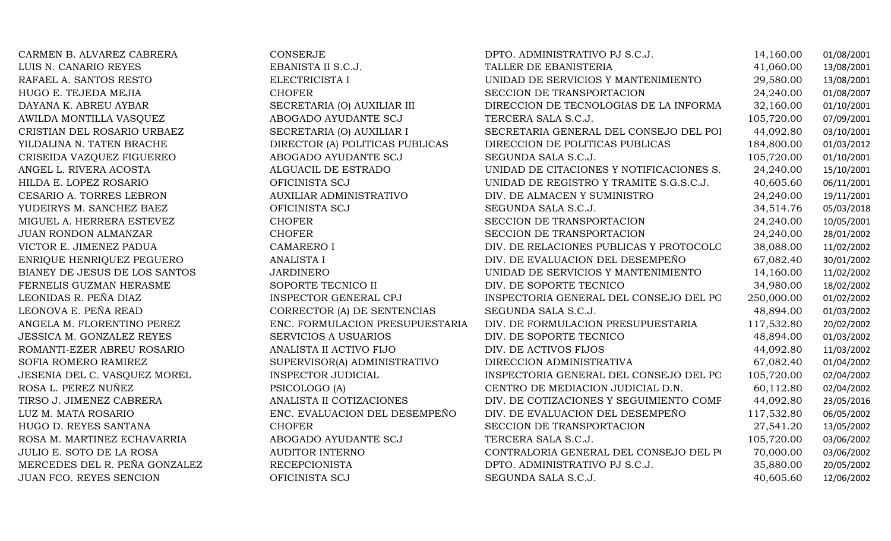| CARMEN B. ALVAREZ CABRERA        | CONSERJE                        | DPTO. ADMINISTRATIVO PJ S.C.J.           | 14,160.00  | 01/08/2001 |
|----------------------------------|---------------------------------|------------------------------------------|------------|------------|
| LUIS N. CANARIO REYES            | EBANISTA II S.C.J.              | TALLER DE EBANISTERIA                    | 41,060.00  | 13/08/2001 |
| RAFAEL A. SANTOS RESTO           | ELECTRICISTA I                  | UNIDAD DE SERVICIOS Y MANTENIMIENTO      | 29,580.00  | 13/08/2001 |
| HUGO E. TEJEDA MEJIA             | <b>CHOFER</b>                   | SECCION DE TRANSPORTACION                | 24,240.00  | 01/08/2007 |
| DAYANA K. ABREU AYBAR            | SECRETARIA (O) AUXILIAR III     | DIRECCION DE TECNOLOGIAS DE LA INFORMA   | 32,160.00  | 01/10/2001 |
| AWILDA MONTILLA VASQUEZ          | ABOGADO AYUDANTE SCJ            | TERCERA SALA S.C.J.                      | 105,720.00 | 07/09/2001 |
| CRISTIAN DEL ROSARIO URBAEZ      | SECRETARIA (O) AUXILIAR I       | SECRETARIA GENERAL DEL CONSEJO DEL POI   | 44,092.80  | 03/10/2001 |
| YILDALINA N. TATEN BRACHE        | DIRECTOR (A) POLITICAS PUBLICAS | DIRECCION DE POLITICAS PUBLICAS          | 184,800.00 | 01/03/2012 |
| CRISEIDA VAZQUEZ FIGUEREO        | ABOGADO AYUDANTE SCJ            | SEGUNDA SALA S.C.J.                      | 105,720.00 | 01/10/2001 |
| ANGEL L. RIVERA ACOSTA           | ALGUACIL DE ESTRADO             | UNIDAD DE CITACIONES Y NOTIFICACIONES S. | 24,240.00  | 15/10/2001 |
| HILDA E. LOPEZ ROSARIO           | OFICINISTA SCJ                  | UNIDAD DE REGISTRO Y TRAMITE S.G.S.C.J.  | 40,605.60  | 06/11/2001 |
| CESARIO A. TORRES LEBRON         | AUXILIAR ADMINISTRATIVO         | DIV. DE ALMACEN Y SUMINISTRO             | 24,240.00  | 19/11/2001 |
| YUDEIRYS M. SANCHEZ BAEZ         | OFICINISTA SCJ                  | SEGUNDA SALA S.C.J.                      | 34,514.76  | 05/03/2018 |
| MIGUEL A. HERRERA ESTEVEZ        | <b>CHOFER</b>                   | SECCION DE TRANSPORTACION                | 24,240.00  | 10/05/2001 |
| <b>JUAN RONDON ALMANZAR</b>      | <b>CHOFER</b>                   | SECCION DE TRANSPORTACION                | 24,240.00  | 28/01/2002 |
| VICTOR E. JIMENEZ PADUA          | <b>CAMARERO I</b>               | DIV. DE RELACIONES PUBLICAS Y PROTOCOLO  | 38,088.00  | 11/02/2002 |
| ENRIQUE HENRIQUEZ PEGUERO        | <b>ANALISTA I</b>               | DIV. DE EVALUACION DEL DESEMPEÑO         | 67,082.40  | 30/01/2002 |
| BIANEY DE JESUS DE LOS SANTOS    | <b>JARDINERO</b>                | UNIDAD DE SERVICIOS Y MANTENIMIENTO      | 14,160.00  | 11/02/2002 |
| FERNELIS GUZMAN HERASME          | SOPORTE TECNICO II              | DIV. DE SOPORTE TECNICO                  | 34,980.00  | 18/02/2002 |
| LEONIDAS R. PEÑA DIAZ            | <b>INSPECTOR GENERAL CPJ</b>    | INSPECTORIA GENERAL DEL CONSEJO DEL PO   | 250,000.00 | 01/02/2002 |
| LEONOVA E. PEÑA READ             | CORRECTOR (A) DE SENTENCIAS     | SEGUNDA SALA S.C.J.                      | 48,894.00  | 01/03/2002 |
| ANGELA M. FLORENTINO PEREZ       | ENC. FORMULACION PRESUPUESTARIA | DIV. DE FORMULACION PRESUPUESTARIA       | 117,532.80 | 20/02/2002 |
| <b>JESSICA M. GONZALEZ REYES</b> | <b>SERVICIOS A USUARIOS</b>     | DIV. DE SOPORTE TECNICO                  | 48,894.00  | 01/03/2002 |
| ROMANTI-EZER ABREU ROSARIO       | ANALISTA II ACTIVO FIJO         | DIV. DE ACTIVOS FIJOS                    | 44,092.80  | 11/03/2002 |
| SOFIA ROMERO RAMIREZ             | SUPERVISOR(A) ADMINISTRATIVO    | DIRECCION ADMINISTRATIVA                 | 67,082.40  | 01/04/2002 |
| JESENIA DEL C. VASQUEZ MOREL     | INSPECTOR JUDICIAL              | INSPECTORIA GENERAL DEL CONSEJO DEL PO   | 105,720.00 | 02/04/2002 |
| ROSA L. PEREZ NUÑEZ              | PSICOLOGO (A)                   | CENTRO DE MEDIACION JUDICIAL D.N.        | 60,112.80  | 02/04/2002 |
| TIRSO J. JIMENEZ CABRERA         | ANALISTA II COTIZACIONES        | DIV. DE COTIZACIONES Y SEGUIMIENTO COMF  | 44,092.80  | 23/05/2016 |
| LUZ M. MATA ROSARIO              | ENC. EVALUACION DEL DESEMPEÑO   | DIV. DE EVALUACION DEL DESEMPEÑO         | 117,532.80 | 06/05/2002 |
| HUGO D. REYES SANTANA            | <b>CHOFER</b>                   | SECCION DE TRANSPORTACION                | 27,541.20  | 13/05/2002 |
| ROSA M. MARTINEZ ECHAVARRIA      | ABOGADO AYUDANTE SCJ            | TERCERA SALA S.C.J.                      | 105,720.00 | 03/06/2002 |
| JULIO E. SOTO DE LA ROSA         | <b>AUDITOR INTERNO</b>          | CONTRALORIA GENERAL DEL CONSEJO DEL PO   | 70,000.00  | 03/06/2002 |
| MERCEDES DEL R. PEÑA GONZALEZ    | <b>RECEPCIONISTA</b>            | DPTO. ADMINISTRATIVO PJ S.C.J.           | 35,880.00  | 20/05/2002 |
| JUAN FCO. REYES SENCION          | OFICINISTA SCJ                  | SEGUNDA SALA S.C.J.                      | 40,605.60  | 12/06/2002 |
|                                  |                                 |                                          |            |            |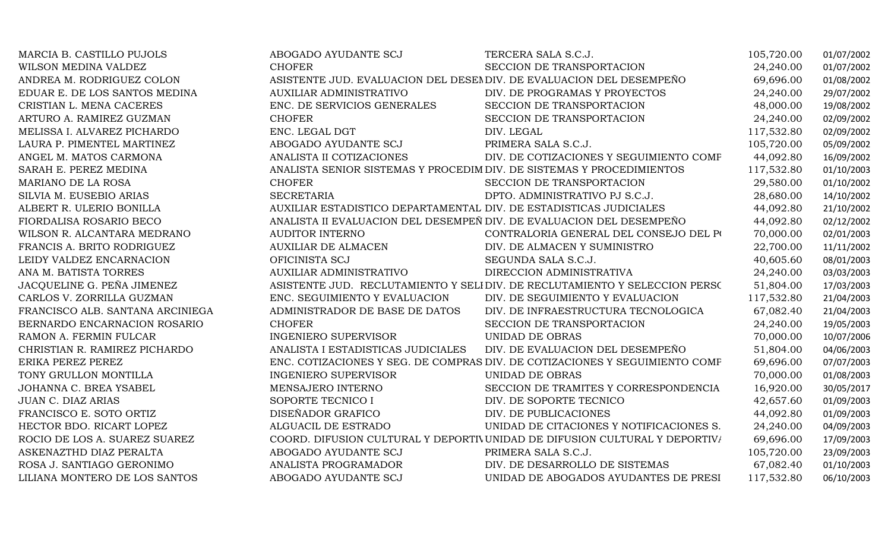| MARCIA B. CASTILLO PUJOLS        | ABOGADO AYUDANTE SCJ                                                  | TERCERA SALA S.C.J.                                                         | 105,720.00 | 01/07/2002 |
|----------------------------------|-----------------------------------------------------------------------|-----------------------------------------------------------------------------|------------|------------|
| WILSON MEDINA VALDEZ             | <b>CHOFER</b>                                                         | SECCION DE TRANSPORTACION                                                   | 24,240.00  | 01/07/2002 |
| ANDREA M. RODRIGUEZ COLON        | ASISTENTE JUD. EVALUACION DEL DESENDIV. DE EVALUACION DEL DESEMPEÑO   |                                                                             | 69,696.00  | 01/08/2002 |
| EDUAR E. DE LOS SANTOS MEDINA    | AUXILIAR ADMINISTRATIVO                                               | DIV. DE PROGRAMAS Y PROYECTOS                                               | 24,240.00  | 29/07/2002 |
| CRISTIAN L. MENA CACERES         | ENC. DE SERVICIOS GENERALES                                           | SECCION DE TRANSPORTACION                                                   | 48,000.00  | 19/08/2002 |
| ARTURO A. RAMIREZ GUZMAN         | <b>CHOFER</b>                                                         | SECCION DE TRANSPORTACION                                                   | 24,240.00  | 02/09/2002 |
| MELISSA I. ALVAREZ PICHARDO      | ENC. LEGAL DGT                                                        | DIV. LEGAL                                                                  | 117,532.80 | 02/09/2002 |
| LAURA P. PIMENTEL MARTINEZ       | ABOGADO AYUDANTE SCJ                                                  | PRIMERA SALA S.C.J.                                                         | 105,720.00 | 05/09/2002 |
| ANGEL M. MATOS CARMONA           | ANALISTA II COTIZACIONES                                              | DIV. DE COTIZACIONES Y SEGUIMIENTO COMF                                     | 44,092.80  | 16/09/2002 |
| SARAH E. PEREZ MEDINA            | ANALISTA SENIOR SISTEMAS Y PROCEDIM DIV. DE SISTEMAS Y PROCEDIMIENTOS |                                                                             | 117,532.80 | 01/10/2003 |
| MARIANO DE LA ROSA               | <b>CHOFER</b>                                                         | SECCION DE TRANSPORTACION                                                   | 29,580.00  | 01/10/2002 |
| SILVIA M. EUSEBIO ARIAS          | <b>SECRETARIA</b>                                                     | DPTO. ADMINISTRATIVO PJ S.C.J.                                              | 28,680.00  | 14/10/2002 |
| ALBERT R. ULERIO BONILLA         | AUXILIAR ESTADISTICO DEPARTAMENTAL DIV. DE ESTADISTICAS JUDICIALES    |                                                                             | 44,092.80  | 21/10/2002 |
| FIORDALISA ROSARIO BECO          | ANALISTA II EVALUACION DEL DESEMPEÑ DIV. DE EVALUACION DEL DESEMPEÑO  |                                                                             | 44,092.80  | 02/12/2002 |
| WILSON R. ALCANTARA MEDRANO      | AUDITOR INTERNO                                                       | CONTRALORIA GENERAL DEL CONSEJO DEL PO                                      | 70,000.00  | 02/01/2003 |
| FRANCIS A. BRITO RODRIGUEZ       | <b>AUXILIAR DE ALMACEN</b>                                            | DIV. DE ALMACEN Y SUMINISTRO                                                | 22,700.00  | 11/11/2002 |
| LEIDY VALDEZ ENCARNACION         | OFICINISTA SCJ                                                        | SEGUNDA SALA S.C.J.                                                         | 40,605.60  | 08/01/2003 |
| ANA M. BATISTA TORRES            | AUXILIAR ADMINISTRATIVO                                               | DIRECCION ADMINISTRATIVA                                                    | 24,240.00  | 03/03/2003 |
| JACQUELINE G. PEÑA JIMENEZ       |                                                                       | ASISTENTE JUD. RECLUTAMIENTO Y SELI DIV. DE RECLUTAMIENTO Y SELECCION PERSO | 51,804.00  | 17/03/2003 |
| CARLOS V. ZORRILLA GUZMAN        | ENC. SEGUIMIENTO Y EVALUACION                                         | DIV. DE SEGUIMIENTO Y EVALUACION                                            | 117,532.80 | 21/04/2003 |
| FRANCISCO ALB. SANTANA ARCINIEGA | ADMINISTRADOR DE BASE DE DATOS                                        | DIV. DE INFRAESTRUCTURA TECNOLOGICA                                         | 67,082.40  | 21/04/2003 |
| BERNARDO ENCARNACION ROSARIO     | <b>CHOFER</b>                                                         | SECCION DE TRANSPORTACION                                                   | 24,240.00  | 19/05/2003 |
| RAMON A. FERMIN FULCAR           | <b>INGENIERO SUPERVISOR</b>                                           | UNIDAD DE OBRAS                                                             | 70,000.00  | 10/07/2006 |
| CHRISTIAN R. RAMIREZ PICHARDO    | ANALISTA I ESTADISTICAS JUDICIALES                                    | DIV. DE EVALUACION DEL DESEMPEÑO                                            | 51,804.00  | 04/06/2003 |
| ERIKA PEREZ PEREZ                |                                                                       | ENC. COTIZACIONES Y SEG. DE COMPRAS DIV. DE COTIZACIONES Y SEGUIMIENTO COMF | 69,696.00  | 07/07/2003 |
| TONY GRULLON MONTILLA            | <b>INGENIERO SUPERVISOR</b>                                           | UNIDAD DE OBRAS                                                             | 70,000.00  | 01/08/2003 |
| JOHANNA C. BREA YSABEL           | MENSAJERO INTERNO                                                     | SECCION DE TRAMITES Y CORRESPONDENCIA                                       | 16,920.00  | 30/05/2017 |
| <b>JUAN C. DIAZ ARIAS</b>        | SOPORTE TECNICO I                                                     | DIV. DE SOPORTE TECNICO                                                     | 42,657.60  | 01/09/2003 |
| FRANCISCO E. SOTO ORTIZ          | DISEÑADOR GRAFICO                                                     | DIV. DE PUBLICACIONES                                                       | 44,092.80  | 01/09/2003 |
| HECTOR BDO. RICART LOPEZ         | ALGUACIL DE ESTRADO                                                   | UNIDAD DE CITACIONES Y NOTIFICACIONES S.                                    | 24,240.00  | 04/09/2003 |
| ROCIO DE LOS A. SUAREZ SUAREZ    |                                                                       | COORD. DIFUSION CULTURAL Y DEPORTIVUNIDAD DE DIFUSION CULTURAL Y DEPORTIVA  | 69,696.00  | 17/09/2003 |
| ASKENAZTHD DIAZ PERALTA          | ABOGADO AYUDANTE SCJ                                                  | PRIMERA SALA S.C.J.                                                         | 105,720.00 | 23/09/2003 |
| ROSA J. SANTIAGO GERONIMO        | ANALISTA PROGRAMADOR                                                  | DIV. DE DESARROLLO DE SISTEMAS                                              | 67,082.40  | 01/10/2003 |
| LILIANA MONTERO DE LOS SANTOS    | ABOGADO AYUDANTE SCJ                                                  | UNIDAD DE ABOGADOS AYUDANTES DE PRESI                                       | 117,532.80 | 06/10/2003 |
|                                  |                                                                       |                                                                             |            |            |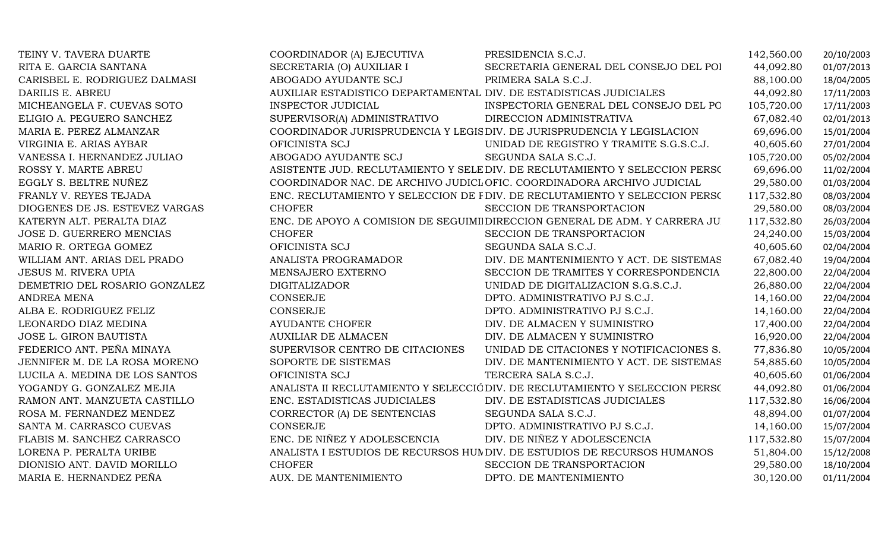| TEINY V. TAVERA DUARTE         | COORDINADOR (A) EJECUTIVA                                          | PRESIDENCIA S.C.J.                                                           | 142,560.00 | 20/10/2003 |
|--------------------------------|--------------------------------------------------------------------|------------------------------------------------------------------------------|------------|------------|
| RITA E. GARCIA SANTANA         | SECRETARIA (O) AUXILIAR I                                          | SECRETARIA GENERAL DEL CONSEJO DEL POI                                       | 44,092.80  | 01/07/2013 |
| CARISBEL E. RODRIGUEZ DALMASI  | ABOGADO AYUDANTE SCJ                                               | PRIMERA SALA S.C.J.                                                          | 88,100.00  | 18/04/2005 |
| DARILIS E. ABREU               | AUXILIAR ESTADISTICO DEPARTAMENTAL DIV. DE ESTADISTICAS JUDICIALES |                                                                              | 44,092.80  | 17/11/2003 |
| MICHEANGELA F. CUEVAS SOTO     | <b>INSPECTOR JUDICIAL</b>                                          | INSPECTORIA GENERAL DEL CONSEJO DEL PO                                       | 105,720.00 | 17/11/2003 |
| ELIGIO A. PEGUERO SANCHEZ      | SUPERVISOR(A) ADMINISTRATIVO                                       | DIRECCION ADMINISTRATIVA                                                     | 67,082.40  | 02/01/2013 |
| MARIA E. PEREZ ALMANZAR        |                                                                    | COORDINADOR JURISPRUDENCIA Y LEGIS DIV. DE JURISPRUDENCIA Y LEGISLACION      | 69,696.00  | 15/01/2004 |
| VIRGINIA E. ARIAS AYBAR        | OFICINISTA SCJ                                                     | UNIDAD DE REGISTRO Y TRAMITE S.G.S.C.J.                                      | 40,605.60  | 27/01/2004 |
| VANESSA I. HERNANDEZ JULIAO    | ABOGADO AYUDANTE SCJ                                               | SEGUNDA SALA S.C.J.                                                          | 105,720.00 | 05/02/2004 |
| ROSSY Y. MARTE ABREU           |                                                                    | ASISTENTE JUD. RECLUTAMIENTO Y SELE DIV. DE RECLUTAMIENTO Y SELECCION PERSO  | 69,696.00  | 11/02/2004 |
| EGGLY S. BELTRE NUÑEZ          |                                                                    | COORDINADOR NAC. DE ARCHIVO JUDICLOFIC. COORDINADORA ARCHIVO JUDICIAL        | 29,580.00  | 01/03/2004 |
| FRANLY V. REYES TEJADA         |                                                                    | ENC. RECLUTAMIENTO Y SELECCION DE FDIV. DE RECLUTAMIENTO Y SELECCION PERSO   | 117,532.80 | 08/03/2004 |
| DIOGENES DE JS. ESTEVEZ VARGAS | <b>CHOFER</b>                                                      | SECCION DE TRANSPORTACION                                                    | 29,580.00  | 08/03/2004 |
| KATERYN ALT. PERALTA DIAZ      |                                                                    | ENC. DE APOYO A COMISION DE SEGUIMI DIRECCION GENERAL DE ADM. Y CARRERA JU   | 117,532.80 | 26/03/2004 |
| JOSE D. GUERRERO MENCIAS       | <b>CHOFER</b>                                                      | SECCION DE TRANSPORTACION                                                    | 24,240.00  | 15/03/2004 |
| MARIO R. ORTEGA GOMEZ          | OFICINISTA SCJ                                                     | SEGUNDA SALA S.C.J.                                                          | 40,605.60  | 02/04/2004 |
| WILLIAM ANT. ARIAS DEL PRADO   | ANALISTA PROGRAMADOR                                               | DIV. DE MANTENIMIENTO Y ACT. DE SISTEMAS                                     | 67,082.40  | 19/04/2004 |
| <b>JESUS M. RIVERA UPIA</b>    | MENSAJERO EXTERNO                                                  | SECCION DE TRAMITES Y CORRESPONDENCIA                                        | 22,800.00  | 22/04/2004 |
| DEMETRIO DEL ROSARIO GONZALEZ  | <b>DIGITALIZADOR</b>                                               | UNIDAD DE DIGITALIZACION S.G.S.C.J.                                          | 26,880.00  | 22/04/2004 |
| <b>ANDREA MENA</b>             | <b>CONSERJE</b>                                                    | DPTO. ADMINISTRATIVO PJ S.C.J.                                               | 14,160.00  | 22/04/2004 |
| ALBA E. RODRIGUEZ FELIZ        | <b>CONSERJE</b>                                                    | DPTO. ADMINISTRATIVO PJ S.C.J.                                               | 14,160.00  | 22/04/2004 |
| LEONARDO DIAZ MEDINA           | <b>AYUDANTE CHOFER</b>                                             | DIV. DE ALMACEN Y SUMINISTRO                                                 | 17,400.00  | 22/04/2004 |
| JOSE L. GIRON BAUTISTA         | <b>AUXILIAR DE ALMACEN</b>                                         | DIV. DE ALMACEN Y SUMINISTRO                                                 | 16,920.00  | 22/04/2004 |
| FEDERICO ANT. PEÑA MINAYA      | SUPERVISOR CENTRO DE CITACIONES                                    | UNIDAD DE CITACIONES Y NOTIFICACIONES S.                                     | 77,836.80  | 10/05/2004 |
| JENNIFER M. DE LA ROSA MORENO  | SOPORTE DE SISTEMAS                                                | DIV. DE MANTENIMIENTO Y ACT. DE SISTEMAS                                     | 54,885.60  | 10/05/2004 |
| LUCILA A. MEDINA DE LOS SANTOS | OFICINISTA SCJ                                                     | TERCERA SALA S.C.J.                                                          | 40,605.60  | 01/06/2004 |
| YOGANDY G. GONZALEZ MEJIA      |                                                                    | ANALISTA II RECLUTAMIENTO Y SELECCIÓ DIV. DE RECLUTAMIENTO Y SELECCION PERSO | 44,092.80  | 01/06/2004 |
| RAMON ANT. MANZUETA CASTILLO   | ENC. ESTADISTICAS JUDICIALES                                       | DIV. DE ESTADISTICAS JUDICIALES                                              | 117,532.80 | 16/06/2004 |
| ROSA M. FERNANDEZ MENDEZ       | CORRECTOR (A) DE SENTENCIAS                                        | SEGUNDA SALA S.C.J.                                                          | 48,894.00  | 01/07/2004 |
| SANTA M. CARRASCO CUEVAS       | <b>CONSERJE</b>                                                    | DPTO. ADMINISTRATIVO PJ S.C.J.                                               | 14,160.00  | 15/07/2004 |
| FLABIS M. SANCHEZ CARRASCO     | ENC. DE NIÑEZ Y ADOLESCENCIA                                       | DIV. DE NIÑEZ Y ADOLESCENCIA                                                 | 117,532.80 | 15/07/2004 |
| LORENA P. PERALTA URIBE        |                                                                    | ANALISTA I ESTUDIOS DE RECURSOS HUNDIV. DE ESTUDIOS DE RECURSOS HUMANOS      | 51,804.00  | 15/12/2008 |
| DIONISIO ANT. DAVID MORILLO    | <b>CHOFER</b>                                                      | SECCION DE TRANSPORTACION                                                    | 29,580.00  | 18/10/2004 |
| MARIA E. HERNANDEZ PEÑA        | AUX. DE MANTENIMIENTO                                              | DPTO. DE MANTENIMIENTO                                                       | 30,120.00  | 01/11/2004 |
|                                |                                                                    |                                                                              |            |            |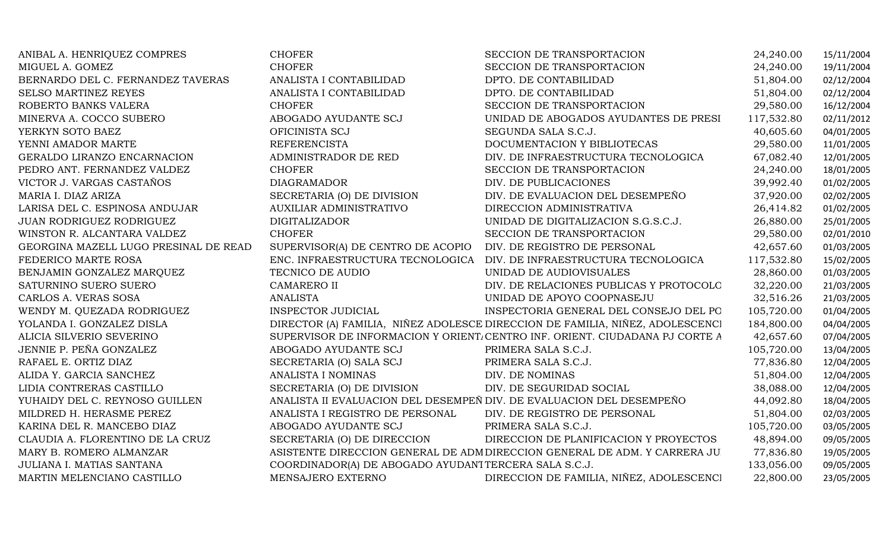| ANIBAL A. HENRIQUEZ COMPRES           | <b>CHOFER</b>                                                        | SECCION DE TRANSPORTACION                                                     | 24,240.00  | 15/11/2004 |
|---------------------------------------|----------------------------------------------------------------------|-------------------------------------------------------------------------------|------------|------------|
| MIGUEL A. GOMEZ                       | <b>CHOFER</b>                                                        | SECCION DE TRANSPORTACION                                                     | 24,240.00  | 19/11/2004 |
| BERNARDO DEL C. FERNANDEZ TAVERAS     | ANALISTA I CONTABILIDAD                                              | DPTO. DE CONTABILIDAD                                                         | 51,804.00  | 02/12/2004 |
| <b>SELSO MARTINEZ REYES</b>           | ANALISTA I CONTABILIDAD                                              | DPTO. DE CONTABILIDAD                                                         | 51,804.00  | 02/12/2004 |
| ROBERTO BANKS VALERA                  | <b>CHOFER</b>                                                        | SECCION DE TRANSPORTACION                                                     | 29,580.00  | 16/12/2004 |
| MINERVA A. COCCO SUBERO               | ABOGADO AYUDANTE SCJ                                                 | UNIDAD DE ABOGADOS AYUDANTES DE PRESI                                         | 117,532.80 | 02/11/2012 |
| YERKYN SOTO BAEZ                      | OFICINISTA SCJ                                                       | SEGUNDA SALA S.C.J.                                                           | 40,605.60  | 04/01/2005 |
| YENNI AMADOR MARTE                    | <b>REFERENCISTA</b>                                                  | DOCUMENTACION Y BIBLIOTECAS                                                   | 29,580.00  | 11/01/2005 |
| GERALDO LIRANZO ENCARNACION           | ADMINISTRADOR DE RED                                                 | DIV. DE INFRAESTRUCTURA TECNOLOGICA                                           | 67,082.40  | 12/01/2005 |
| PEDRO ANT. FERNANDEZ VALDEZ           | <b>CHOFER</b>                                                        | SECCION DE TRANSPORTACION                                                     | 24,240.00  | 18/01/2005 |
| VICTOR J. VARGAS CASTAÑOS             | <b>DIAGRAMADOR</b>                                                   | DIV. DE PUBLICACIONES                                                         | 39,992.40  | 01/02/2005 |
| MARIA I. DIAZ ARIZA                   | SECRETARIA (O) DE DIVISION                                           | DIV. DE EVALUACION DEL DESEMPEÑO                                              | 37,920.00  | 02/02/2005 |
| LARISA DEL C. ESPINOSA ANDUJAR        | AUXILIAR ADMINISTRATIVO                                              | DIRECCION ADMINISTRATIVA                                                      | 26,414.82  | 01/02/2005 |
| JUAN RODRIGUEZ RODRIGUEZ              | <b>DIGITALIZADOR</b>                                                 | UNIDAD DE DIGITALIZACION S.G.S.C.J.                                           | 26,880.00  | 25/01/2005 |
| WINSTON R. ALCANTARA VALDEZ           | <b>CHOFER</b>                                                        | SECCION DE TRANSPORTACION                                                     | 29,580.00  | 02/01/2010 |
| GEORGINA MAZELL LUGO PRESINAL DE READ | SUPERVISOR(A) DE CENTRO DE ACOPIO                                    | DIV. DE REGISTRO DE PERSONAL                                                  | 42,657.60  | 01/03/2005 |
| FEDERICO MARTE ROSA                   | ENC. INFRAESTRUCTURA TECNOLOGICA                                     | DIV. DE INFRAESTRUCTURA TECNOLOGICA                                           | 117,532.80 | 15/02/2005 |
| BENJAMIN GONZALEZ MARQUEZ             | TECNICO DE AUDIO                                                     | UNIDAD DE AUDIOVISUALES                                                       | 28,860.00  | 01/03/2005 |
| SATURNINO SUERO SUERO                 | <b>CAMARERO II</b>                                                   | DIV. DE RELACIONES PUBLICAS Y PROTOCOLO                                       | 32,220.00  | 21/03/2005 |
| CARLOS A. VERAS SOSA                  | <b>ANALISTA</b>                                                      | UNIDAD DE APOYO COOPNASEJU                                                    | 32,516.26  | 21/03/2005 |
| WENDY M. QUEZADA RODRIGUEZ            | <b>INSPECTOR JUDICIAL</b>                                            | INSPECTORIA GENERAL DEL CONSEJO DEL PO                                        | 105,720.00 | 01/04/2005 |
| YOLANDA I. GONZALEZ DISLA             |                                                                      | DIRECTOR (A) FAMILIA, NIÑEZ ADOLESCE DIRECCION DE FAMILIA, NIÑEZ, ADOLESCENCI | 184,800.00 | 04/04/2005 |
| ALICIA SILVERIO SEVERINO              |                                                                      | SUPERVISOR DE INFORMACION Y ORIENT. CENTRO INF. ORIENT. CIUDADANA PJ CORTE A  | 42,657.60  | 07/04/2005 |
| JENNIE P. PEÑA GONZALEZ               | ABOGADO AYUDANTE SCJ                                                 | PRIMERA SALA S.C.J.                                                           | 105,720.00 | 13/04/2005 |
| RAFAEL E. ORTIZ DIAZ                  | SECRETARIA (O) SALA SCJ                                              | PRIMERA SALA S.C.J.                                                           | 77,836.80  | 12/04/2005 |
| ALIDA Y. GARCIA SANCHEZ               | ANALISTA I NOMINAS                                                   | DIV. DE NOMINAS                                                               | 51,804.00  | 12/04/2005 |
| LIDIA CONTRERAS CASTILLO              | SECRETARIA (O) DE DIVISION                                           | DIV. DE SEGURIDAD SOCIAL                                                      | 38,088.00  | 12/04/2005 |
| YUHAIDY DEL C. REYNOSO GUILLEN        | ANALISTA II EVALUACION DEL DESEMPEÑ DIV. DE EVALUACION DEL DESEMPEÑO |                                                                               | 44,092.80  | 18/04/2005 |
| MILDRED H. HERASME PEREZ              | ANALISTA I REGISTRO DE PERSONAL                                      | DIV. DE REGISTRO DE PERSONAL                                                  | 51,804.00  | 02/03/2005 |
| KARINA DEL R. MANCEBO DIAZ            | ABOGADO AYUDANTE SCJ                                                 | PRIMERA SALA S.C.J.                                                           | 105,720.00 | 03/05/2005 |
| CLAUDIA A. FLORENTINO DE LA CRUZ      | SECRETARIA (O) DE DIRECCION                                          | DIRECCION DE PLANIFICACION Y PROYECTOS                                        | 48,894.00  | 09/05/2005 |
| MARY B. ROMERO ALMANZAR               |                                                                      | ASISTENTE DIRECCION GENERAL DE ADM DIRECCION GENERAL DE ADM. Y CARRERA JU     | 77,836.80  | 19/05/2005 |
| JULIANA I. MATIAS SANTANA             | COORDINADOR(A) DE ABOGADO AYUDANT TERCERA SALA S.C.J.                |                                                                               | 133,056.00 | 09/05/2005 |
| MARTIN MELENCIANO CASTILLO            | MENSAJERO EXTERNO                                                    | DIRECCION DE FAMILIA, NIÑEZ, ADOLESCENCI                                      | 22,800.00  | 23/05/2005 |
|                                       |                                                                      |                                                                               |            |            |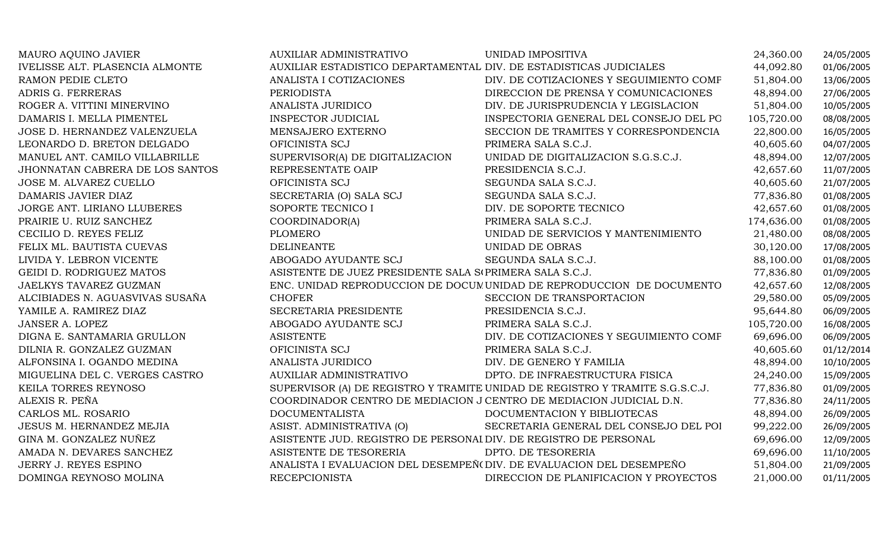| MAURO AQUINO JAVIER             | <b>AUXILIAR ADMINISTRATIVO</b>                                       | UNIDAD IMPOSITIVA                                                            | 24,360.00  | 24/05/2005 |
|---------------------------------|----------------------------------------------------------------------|------------------------------------------------------------------------------|------------|------------|
| IVELISSE ALT. PLASENCIA ALMONTE | AUXILIAR ESTADISTICO DEPARTAMENTAL DIV. DE ESTADISTICAS JUDICIALES   |                                                                              | 44,092.80  | 01/06/2005 |
| RAMON PEDIE CLETO               | ANALISTA I COTIZACIONES                                              | DIV. DE COTIZACIONES Y SEGUIMIENTO COMF                                      | 51,804.00  | 13/06/2005 |
| ADRIS G. FERRERAS               | PERIODISTA                                                           | DIRECCION DE PRENSA Y COMUNICACIONES                                         | 48,894.00  | 27/06/2005 |
| ROGER A. VITTINI MINERVINO      | ANALISTA JURIDICO                                                    | DIV. DE JURISPRUDENCIA Y LEGISLACION                                         | 51,804.00  | 10/05/2005 |
| DAMARIS I. MELLA PIMENTEL       | <b>INSPECTOR JUDICIAL</b>                                            | INSPECTORIA GENERAL DEL CONSEJO DEL PO                                       | 105,720.00 | 08/08/2005 |
| JOSE D. HERNANDEZ VALENZUELA    | MENSAJERO EXTERNO                                                    | SECCION DE TRAMITES Y CORRESPONDENCIA                                        | 22,800.00  | 16/05/2005 |
| LEONARDO D. BRETON DELGADO      | OFICINISTA SCJ                                                       | PRIMERA SALA S.C.J.                                                          | 40,605.60  | 04/07/2005 |
| MANUEL ANT. CAMILO VILLABRILLE  | SUPERVISOR(A) DE DIGITALIZACION                                      | UNIDAD DE DIGITALIZACION S.G.S.C.J.                                          | 48,894.00  | 12/07/2005 |
| JHONNATAN CABRERA DE LOS SANTOS | REPRESENTATE OAIP                                                    | PRESIDENCIA S.C.J.                                                           | 42,657.60  | 11/07/2005 |
| JOSE M. ALVAREZ CUELLO          | OFICINISTA SCJ                                                       | SEGUNDA SALA S.C.J.                                                          | 40,605.60  | 21/07/2005 |
| DAMARIS JAVIER DIAZ             | SECRETARIA (O) SALA SCJ                                              | SEGUNDA SALA S.C.J.                                                          | 77,836.80  | 01/08/2005 |
| JORGE ANT. LIRIANO LLUBERES     | SOPORTE TECNICO I                                                    | DIV. DE SOPORTE TECNICO                                                      | 42,657.60  | 01/08/2005 |
| PRAIRIE U. RUIZ SANCHEZ         | COORDINADOR(A)                                                       | PRIMERA SALA S.C.J.                                                          | 174,636.00 | 01/08/2005 |
| CECILIO D. REYES FELIZ          | PLOMERO                                                              | UNIDAD DE SERVICIOS Y MANTENIMIENTO                                          | 21,480.00  | 08/08/2005 |
| FELIX ML. BAUTISTA CUEVAS       | <b>DELINEANTE</b>                                                    | UNIDAD DE OBRAS                                                              | 30,120.00  | 17/08/2005 |
| LIVIDA Y. LEBRON VICENTE        | ABOGADO AYUDANTE SCJ                                                 | SEGUNDA SALA S.C.J.                                                          | 88,100.00  | 01/08/2005 |
| GEIDI D. RODRIGUEZ MATOS        | ASISTENTE DE JUEZ PRESIDENTE SALA SOPRIMERA SALA S.C.J.              |                                                                              | 77,836.80  | 01/09/2005 |
| JAELKYS TAVAREZ GUZMAN          |                                                                      | ENC. UNIDAD REPRODUCCION DE DOCUM UNIDAD DE REPRODUCCION DE DOCUMENTO        | 42,657.60  | 12/08/2005 |
| ALCIBIADES N. AGUASVIVAS SUSAÑA | <b>CHOFER</b>                                                        | SECCION DE TRANSPORTACION                                                    | 29,580.00  | 05/09/2005 |
| YAMILE A. RAMIREZ DIAZ          | SECRETARIA PRESIDENTE                                                | PRESIDENCIA S.C.J.                                                           | 95,644.80  | 06/09/2005 |
| JANSER A. LOPEZ                 | ABOGADO AYUDANTE SCJ                                                 | PRIMERA SALA S.C.J.                                                          | 105,720.00 | 16/08/2005 |
| DIGNA E. SANTAMARIA GRULLON     | <b>ASISTENTE</b>                                                     | DIV. DE COTIZACIONES Y SEGUIMIENTO COMF                                      | 69,696.00  | 06/09/2005 |
| DILNIA R. GONZALEZ GUZMAN       | OFICINISTA SCJ                                                       | PRIMERA SALA S.C.J.                                                          | 40,605.60  | 01/12/2014 |
| ALFONSINA I. OGANDO MEDINA      | ANALISTA JURIDICO                                                    | DIV. DE GENERO Y FAMILIA                                                     | 48,894.00  | 10/10/2005 |
| MIGUELINA DEL C. VERGES CASTRO  | AUXILIAR ADMINISTRATIVO                                              | DPTO. DE INFRAESTRUCTURA FISICA                                              | 24,240.00  | 15/09/2005 |
| KEILA TORRES REYNOSO            |                                                                      | SUPERVISOR (A) DE REGISTRO Y TRAMITE UNIDAD DE REGISTRO Y TRAMITE S.G.S.C.J. | 77,836.80  | 01/09/2005 |
| ALEXIS R. PEÑA                  | COORDINADOR CENTRO DE MEDIACION J CENTRO DE MEDIACION JUDICIAL D.N.  |                                                                              | 77,836.80  | 24/11/2005 |
| CARLOS ML. ROSARIO              | <b>DOCUMENTALISTA</b>                                                | DOCUMENTACION Y BIBLIOTECAS                                                  | 48,894.00  | 26/09/2005 |
| JESUS M. HERNANDEZ MEJIA        | ASIST. ADMINISTRATIVA (O)                                            | SECRETARIA GENERAL DEL CONSEJO DEL POI                                       | 99,222.00  | 26/09/2005 |
| GINA M. GONZALEZ NUÑEZ          | ASISTENTE JUD. REGISTRO DE PERSONAI DIV. DE REGISTRO DE PERSONAL     |                                                                              | 69,696.00  | 12/09/2005 |
| AMADA N. DEVARES SANCHEZ        | ASISTENTE DE TESORERIA                                               | DPTO. DE TESORERIA                                                           | 69,696.00  | 11/10/2005 |
| JERRY J. REYES ESPINO           | ANALISTA I EVALUACION DEL DESEMPEÑ (DIV. DE EVALUACION DEL DESEMPEÑO |                                                                              | 51,804.00  | 21/09/2005 |
| DOMINGA REYNOSO MOLINA          | <b>RECEPCIONISTA</b>                                                 | DIRECCION DE PLANIFICACION Y PROYECTOS                                       | 21,000.00  | 01/11/2005 |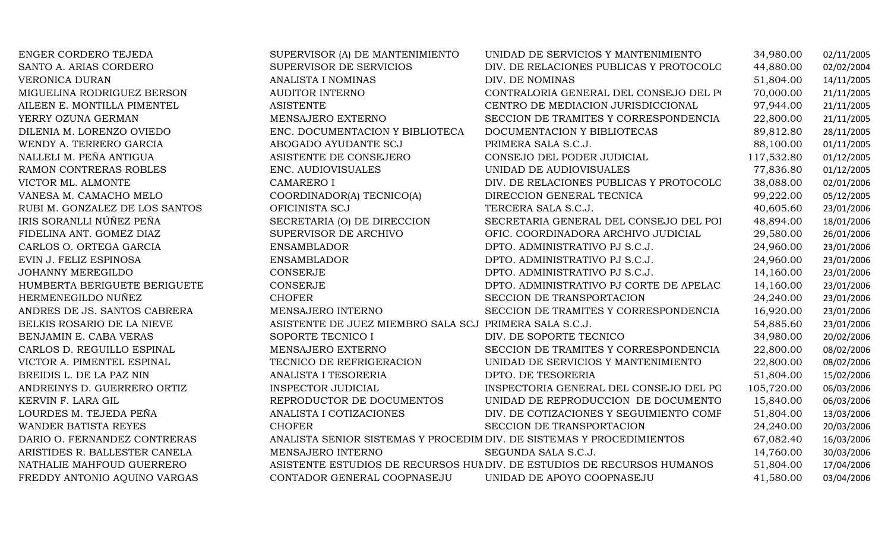| ENGER CORDERO TEJEDA           | SUPERVISOR (A) DE MANTENIMIENTO                                       | UNIDAD DE SERVICIOS Y MANTENIMIENTO                                    | 34,980.00  | 02/11/2005 |
|--------------------------------|-----------------------------------------------------------------------|------------------------------------------------------------------------|------------|------------|
| SANTO A. ARIAS CORDERO         | SUPERVISOR DE SERVICIOS                                               | DIV. DE RELACIONES PUBLICAS Y PROTOCOLO                                | 44,880.00  | 02/02/2004 |
| <b>VERONICA DURAN</b>          | ANALISTA I NOMINAS                                                    | DIV. DE NOMINAS                                                        | 51,804.00  | 14/11/2005 |
| MIGUELINA RODRIGUEZ BERSON     | <b>AUDITOR INTERNO</b>                                                | CONTRALORIA GENERAL DEL CONSEJO DEL PO                                 | 70,000.00  | 21/11/2005 |
| AILEEN E. MONTILLA PIMENTEL    | <b>ASISTENTE</b>                                                      | CENTRO DE MEDIACION JURISDICCIONAL                                     | 97,944.00  | 21/11/2005 |
| YERRY OZUNA GERMAN             | MENSAJERO EXTERNO                                                     | SECCION DE TRAMITES Y CORRESPONDENCIA                                  | 22,800.00  | 21/11/2005 |
| DILENIA M. LORENZO OVIEDO      | ENC. DOCUMENTACION Y BIBLIOTECA                                       | DOCUMENTACION Y BIBLIOTECAS                                            | 89,812.80  | 28/11/2005 |
| WENDY A. TERRERO GARCIA        | ABOGADO AYUDANTE SCJ                                                  | PRIMERA SALA S.C.J.                                                    | 88,100.00  | 01/11/2005 |
| NALLELI M. PEÑA ANTIGUA        | ASISTENTE DE CONSEJERO                                                | CONSEJO DEL PODER JUDICIAL                                             | 117,532.80 | 01/12/2005 |
| RAMON CONTRERAS ROBLES         | ENC. AUDIOVISUALES                                                    | UNIDAD DE AUDIOVISUALES                                                | 77,836.80  | 01/12/2005 |
| VICTOR ML. ALMONTE             | <b>CAMARERO I</b>                                                     | DIV. DE RELACIONES PUBLICAS Y PROTOCOLO                                | 38,088.00  | 02/01/2006 |
| VANESA M. CAMACHO MELO         | COORDINADOR(A) TECNICO(A)                                             | DIRECCION GENERAL TECNICA                                              | 99,222.00  | 05/12/2005 |
| RUBI M. GONZALEZ DE LOS SANTOS | OFICINISTA SCJ                                                        | TERCERA SALA S.C.J.                                                    | 40,605.60  | 23/01/2006 |
| IRIS SORANLLI NÚÑEZ PEÑA       | SECRETARIA (O) DE DIRECCION                                           | SECRETARIA GENERAL DEL CONSEJO DEL POI                                 | 48,894.00  | 18/01/2006 |
| FIDELINA ANT. GOMEZ DIAZ       | SUPERVISOR DE ARCHIVO                                                 | OFIC. COORDINADORA ARCHIVO JUDICIAL                                    | 29,580.00  | 26/01/2006 |
| CARLOS O. ORTEGA GARCIA        | <b>ENSAMBLADOR</b>                                                    | DPTO. ADMINISTRATIVO PJ S.C.J.                                         | 24,960.00  | 23/01/2006 |
| EVIN J. FELIZ ESPINOSA         | <b>ENSAMBLADOR</b>                                                    | DPTO. ADMINISTRATIVO PJ S.C.J.                                         | 24,960.00  | 23/01/2006 |
| <b>JOHANNY MEREGILDO</b>       | <b>CONSERJE</b>                                                       | DPTO. ADMINISTRATIVO PJ S.C.J.                                         | 14,160.00  | 23/01/2006 |
| HUMBERTA BERIGUETE BERIGUETE   | CONSERJE                                                              | DPTO. ADMINISTRATIVO PJ CORTE DE APELAC                                | 14,160.00  | 23/01/2006 |
| HERMENEGILDO NUÑEZ             | <b>CHOFER</b>                                                         | SECCION DE TRANSPORTACION                                              | 24,240.00  | 23/01/2006 |
| ANDRES DE JS. SANTOS CABRERA   | MENSAJERO INTERNO                                                     | SECCION DE TRAMITES Y CORRESPONDENCIA                                  | 16,920.00  | 23/01/2006 |
| BELKIS ROSARIO DE LA NIEVE     | ASISTENTE DE JUEZ MIEMBRO SALA SCJ PRIMERA SALA S.C.J.                |                                                                        | 54,885.60  | 23/01/2006 |
| BENJAMIN E. CABA VERAS         | SOPORTE TECNICO I                                                     | DIV. DE SOPORTE TECNICO                                                | 34,980.00  | 20/02/2006 |
| CARLOS D. REGUILLO ESPINAL     | MENSAJERO EXTERNO                                                     | SECCION DE TRAMITES Y CORRESPONDENCIA                                  | 22,800.00  | 08/02/2006 |
| VICTOR A. PIMENTEL ESPINAL     | TECNICO DE REFRIGERACION                                              | UNIDAD DE SERVICIOS Y MANTENIMIENTO                                    | 22,800.00  | 08/02/2006 |
| BREIDIS L. DE LA PAZ NIN       | ANALISTA I TESORERIA                                                  | DPTO. DE TESORERIA                                                     | 51,804.00  | 15/02/2006 |
| ANDREINYS D. GUERRERO ORTIZ    | INSPECTOR JUDICIAL                                                    | INSPECTORIA GENERAL DEL CONSEJO DEL PO                                 | 105,720.00 | 06/03/2006 |
| KERVIN F. LARA GIL             | REPRODUCTOR DE DOCUMENTOS                                             | UNIDAD DE REPRODUCCION DE DOCUMENTO                                    | 15,840.00  | 06/03/2006 |
| LOURDES M. TEJEDA PEÑA         | ANALISTA I COTIZACIONES                                               | DIV. DE COTIZACIONES Y SEGUIMIENTO COMF                                | 51,804.00  | 13/03/2006 |
| WANDER BATISTA REYES           | <b>CHOFER</b>                                                         | SECCION DE TRANSPORTACION                                              | 24,240.00  | 20/03/2006 |
| DARIO O. FERNANDEZ CONTRERAS   | ANALISTA SENIOR SISTEMAS Y PROCEDIM DIV. DE SISTEMAS Y PROCEDIMIENTOS |                                                                        | 67,082.40  | 16/03/2006 |
| ARISTIDES R. BALLESTER CANELA  | MENSAJERO INTERNO                                                     | SEGUNDA SALA S.C.J.                                                    | 14,760.00  | 30/03/2006 |
| NATHALIE MAHFOUD GUERRERO      |                                                                       | ASISTENTE ESTUDIOS DE RECURSOS HUNDIV. DE ESTUDIOS DE RECURSOS HUMANOS | 51,804.00  | 17/04/2006 |
| FREDDY ANTONIO AQUINO VARGAS   | CONTADOR GENERAL COOPNASEJU                                           | UNIDAD DE APOYO COOPNASEJU                                             | 41,580.00  | 03/04/2006 |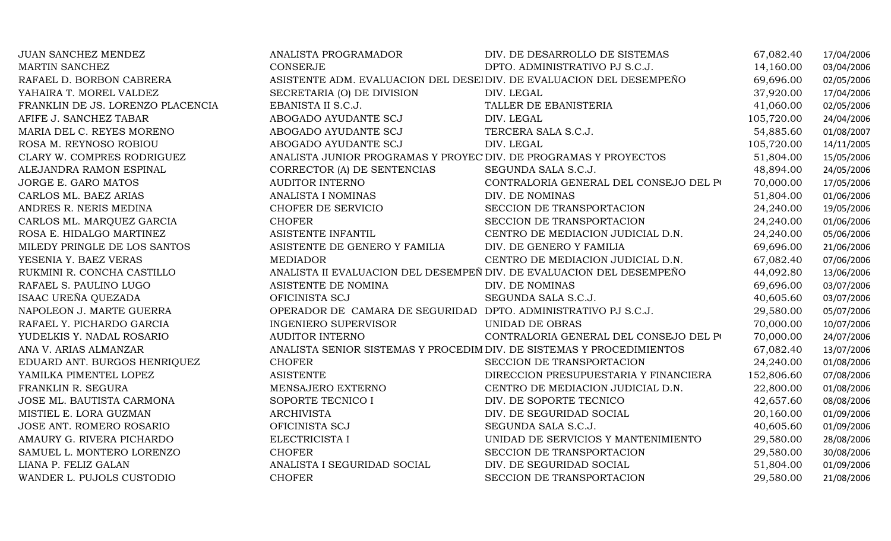| JUAN SANCHEZ MENDEZ               | ANALISTA PROGRAMADOR                                             | DIV. DE DESARROLLO DE SISTEMAS                                        | 67,082.40  | 17/04/2006 |
|-----------------------------------|------------------------------------------------------------------|-----------------------------------------------------------------------|------------|------------|
| <b>MARTIN SANCHEZ</b>             | <b>CONSERJE</b>                                                  | DPTO. ADMINISTRATIVO PJ S.C.J.                                        | 14,160.00  | 03/04/2006 |
| RAFAEL D. BORBON CABRERA          |                                                                  | ASISTENTE ADM. EVALUACION DEL DESEI DIV. DE EVALUACION DEL DESEMPEÑO  | 69,696.00  | 02/05/2006 |
| YAHAIRA T. MOREL VALDEZ           | SECRETARIA (O) DE DIVISION                                       | DIV. LEGAL                                                            | 37,920.00  | 17/04/2006 |
| FRANKLIN DE JS. LORENZO PLACENCIA | EBANISTA II S.C.J.                                               | TALLER DE EBANISTERIA                                                 | 41,060.00  | 02/05/2006 |
| AFIFE J. SANCHEZ TABAR            | ABOGADO AYUDANTE SCJ                                             | DIV. LEGAL                                                            | 105,720.00 | 24/04/2006 |
| MARIA DEL C. REYES MORENO         | ABOGADO AYUDANTE SCJ                                             | TERCERA SALA S.C.J.                                                   | 54,885.60  | 01/08/2007 |
| ROSA M. REYNOSO ROBIOU            | ABOGADO AYUDANTE SCJ                                             | DIV. LEGAL                                                            | 105,720.00 | 14/11/2005 |
| CLARY W. COMPRES RODRIGUEZ        | ANALISTA JUNIOR PROGRAMAS Y PROYEC DIV. DE PROGRAMAS Y PROYECTOS |                                                                       | 51,804.00  | 15/05/2006 |
| ALEJANDRA RAMON ESPINAL           | CORRECTOR (A) DE SENTENCIAS                                      | SEGUNDA SALA S.C.J.                                                   | 48,894.00  | 24/05/2006 |
| JORGE E. GARO MATOS               | AUDITOR INTERNO                                                  | CONTRALORIA GENERAL DEL CONSEJO DEL PO                                | 70,000.00  | 17/05/2006 |
| CARLOS ML. BAEZ ARIAS             | ANALISTA I NOMINAS                                               | DIV. DE NOMINAS                                                       | 51,804.00  | 01/06/2006 |
| ANDRES R. NERIS MEDINA            | CHOFER DE SERVICIO                                               | SECCION DE TRANSPORTACION                                             | 24,240.00  | 19/05/2006 |
| CARLOS ML. MARQUEZ GARCIA         | <b>CHOFER</b>                                                    | SECCION DE TRANSPORTACION                                             | 24,240.00  | 01/06/2006 |
| ROSA E. HIDALGO MARTINEZ          | ASISTENTE INFANTIL                                               | CENTRO DE MEDIACION JUDICIAL D.N.                                     | 24,240.00  | 05/06/2006 |
| MILEDY PRINGLE DE LOS SANTOS      | ASISTENTE DE GENERO Y FAMILIA                                    | DIV. DE GENERO Y FAMILIA                                              | 69,696.00  | 21/06/2006 |
| YESENIA Y. BAEZ VERAS             | <b>MEDIADOR</b>                                                  | CENTRO DE MEDIACION JUDICIAL D.N.                                     | 67,082.40  | 07/06/2006 |
| RUKMINI R. CONCHA CASTILLO        |                                                                  | ANALISTA II EVALUACION DEL DESEMPEÑ DIV. DE EVALUACION DEL DESEMPEÑO  | 44,092.80  | 13/06/2006 |
| RAFAEL S. PAULINO LUGO            | ASISTENTE DE NOMINA                                              | DIV. DE NOMINAS                                                       | 69,696.00  | 03/07/2006 |
| ISAAC UREÑA QUEZADA               | OFICINISTA SCJ                                                   | SEGUNDA SALA S.C.J.                                                   | 40,605.60  | 03/07/2006 |
| NAPOLEON J. MARTE GUERRA          | OPERADOR DE CAMARA DE SEGURIDAD DPTO. ADMINISTRATIVO PJ S.C.J.   |                                                                       | 29,580.00  | 05/07/2006 |
| RAFAEL Y. PICHARDO GARCIA         | <b>INGENIERO SUPERVISOR</b>                                      | UNIDAD DE OBRAS                                                       | 70,000.00  | 10/07/2006 |
| YUDELKIS Y. NADAL ROSARIO         | AUDITOR INTERNO                                                  | CONTRALORIA GENERAL DEL CONSEJO DEL PO                                | 70,000.00  | 24/07/2006 |
| ANA V. ARIAS ALMANZAR             |                                                                  | ANALISTA SENIOR SISTEMAS Y PROCEDIM DIV. DE SISTEMAS Y PROCEDIMIENTOS | 67,082.40  | 13/07/2006 |
| EDUARD ANT. BURGOS HENRIQUEZ      | <b>CHOFER</b>                                                    | SECCION DE TRANSPORTACION                                             | 24,240.00  | 01/08/2006 |
| YAMILKA PIMENTEL LOPEZ            | <b>ASISTENTE</b>                                                 | DIRECCION PRESUPUESTARIA Y FINANCIERA                                 | 152,806.60 | 07/08/2006 |
| FRANKLIN R. SEGURA                | MENSAJERO EXTERNO                                                | CENTRO DE MEDIACION JUDICIAL D.N.                                     | 22,800.00  | 01/08/2006 |
| JOSE ML. BAUTISTA CARMONA         | SOPORTE TECNICO I                                                | DIV. DE SOPORTE TECNICO                                               | 42,657.60  | 08/08/2006 |
| MISTIEL E. LORA GUZMAN            | <b>ARCHIVISTA</b>                                                | DIV. DE SEGURIDAD SOCIAL                                              | 20,160.00  | 01/09/2006 |
| JOSE ANT. ROMERO ROSARIO          | OFICINISTA SCJ                                                   | SEGUNDA SALA S.C.J.                                                   | 40,605.60  | 01/09/2006 |
| AMAURY G. RIVERA PICHARDO         | ELECTRICISTA I                                                   | UNIDAD DE SERVICIOS Y MANTENIMIENTO                                   | 29,580.00  | 28/08/2006 |
| SAMUEL L. MONTERO LORENZO         | <b>CHOFER</b>                                                    | SECCION DE TRANSPORTACION                                             | 29,580.00  | 30/08/2006 |
| LIANA P. FELIZ GALAN              | ANALISTA I SEGURIDAD SOCIAL                                      | DIV. DE SEGURIDAD SOCIAL                                              | 51,804.00  | 01/09/2006 |
| WANDER L. PUJOLS CUSTODIO         | <b>CHOFER</b>                                                    | SECCION DE TRANSPORTACION                                             | 29,580.00  | 21/08/2006 |
|                                   |                                                                  |                                                                       |            |            |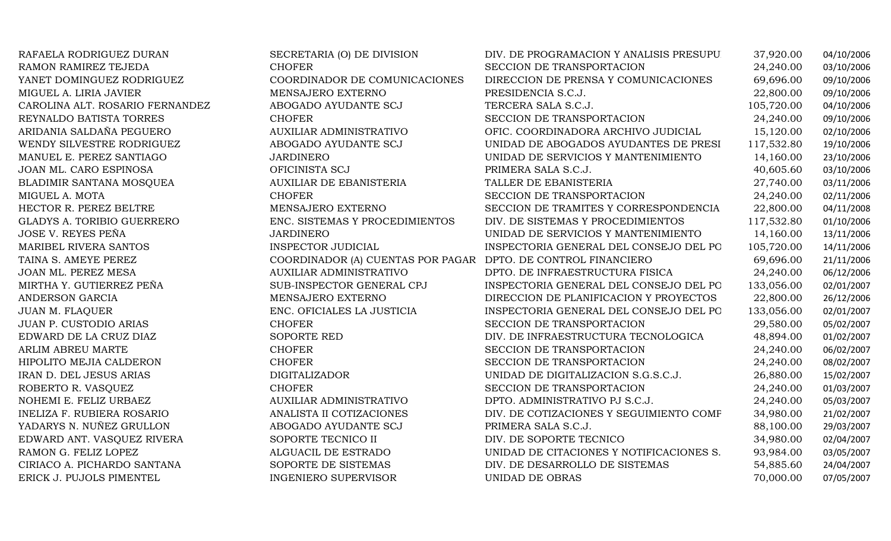| RAFAELA RODRIGUEZ DURAN           | SECRETARIA (O) DE DIVISION                                    | DIV. DE PROGRAMACION Y ANALISIS PRESUPU  | 37,920.00  | 04/10/2006 |
|-----------------------------------|---------------------------------------------------------------|------------------------------------------|------------|------------|
| RAMON RAMIREZ TEJEDA              | <b>CHOFER</b>                                                 | SECCION DE TRANSPORTACION                | 24,240.00  | 03/10/2006 |
| YANET DOMINGUEZ RODRIGUEZ         | COORDINADOR DE COMUNICACIONES                                 | DIRECCION DE PRENSA Y COMUNICACIONES     | 69,696.00  | 09/10/2006 |
| MIGUEL A. LIRIA JAVIER            | MENSAJERO EXTERNO                                             | PRESIDENCIA S.C.J.                       | 22,800.00  | 09/10/2006 |
| CAROLINA ALT. ROSARIO FERNANDEZ   | ABOGADO AYUDANTE SCJ                                          | TERCERA SALA S.C.J.                      | 105,720.00 | 04/10/2006 |
| REYNALDO BATISTA TORRES           | <b>CHOFER</b>                                                 | SECCION DE TRANSPORTACION                | 24,240.00  | 09/10/2006 |
| ARIDANIA SALDAÑA PEGUERO          | <b>AUXILIAR ADMINISTRATIVO</b>                                | OFIC. COORDINADORA ARCHIVO JUDICIAL      | 15,120.00  | 02/10/2006 |
| WENDY SILVESTRE RODRIGUEZ         | ABOGADO AYUDANTE SCJ                                          | UNIDAD DE ABOGADOS AYUDANTES DE PRESI    | 117,532.80 | 19/10/2006 |
| MANUEL E. PEREZ SANTIAGO          | <b>JARDINERO</b>                                              | UNIDAD DE SERVICIOS Y MANTENIMIENTO      | 14,160.00  | 23/10/2006 |
| JOAN ML. CARO ESPINOSA            | OFICINISTA SCJ                                                | PRIMERA SALA S.C.J.                      | 40,605.60  | 03/10/2006 |
| BLADIMIR SANTANA MOSQUEA          | AUXILIAR DE EBANISTERIA                                       | TALLER DE EBANISTERIA                    | 27,740.00  | 03/11/2006 |
| MIGUEL A. MOTA                    | <b>CHOFER</b>                                                 | SECCION DE TRANSPORTACION                | 24,240.00  | 02/11/2006 |
| HECTOR R. PEREZ BELTRE            | MENSAJERO EXTERNO                                             | SECCION DE TRAMITES Y CORRESPONDENCIA    | 22,800.00  | 04/11/2008 |
| <b>GLADYS A. TORIBIO GUERRERO</b> | ENC. SISTEMAS Y PROCEDIMIENTOS                                | DIV. DE SISTEMAS Y PROCEDIMIENTOS        | 117,532.80 | 01/10/2006 |
| JOSE V. REYES PEÑA                | <b>JARDINERO</b>                                              | UNIDAD DE SERVICIOS Y MANTENIMIENTO      | 14,160.00  | 13/11/2006 |
| MARIBEL RIVERA SANTOS             | <b>INSPECTOR JUDICIAL</b>                                     | INSPECTORIA GENERAL DEL CONSEJO DEL PO   | 105,720.00 | 14/11/2006 |
| TAINA S. AMEYE PEREZ              | COORDINADOR (A) CUENTAS POR PAGAR DPTO. DE CONTROL FINANCIERO |                                          | 69,696.00  | 21/11/2006 |
| JOAN ML. PEREZ MESA               | <b>AUXILIAR ADMINISTRATIVO</b>                                | DPTO. DE INFRAESTRUCTURA FISICA          | 24,240.00  | 06/12/2006 |
| MIRTHA Y. GUTIERREZ PEÑA          | SUB-INSPECTOR GENERAL CPJ                                     | INSPECTORIA GENERAL DEL CONSEJO DEL PO   | 133,056.00 | 02/01/2007 |
| ANDERSON GARCIA                   | MENSAJERO EXTERNO                                             | DIRECCION DE PLANIFICACION Y PROYECTOS   | 22,800.00  | 26/12/2006 |
| <b>JUAN M. FLAQUER</b>            | ENC. OFICIALES LA JUSTICIA                                    | INSPECTORIA GENERAL DEL CONSEJO DEL PO   | 133,056.00 | 02/01/2007 |
| JUAN P. CUSTODIO ARIAS            | <b>CHOFER</b>                                                 | SECCION DE TRANSPORTACION                | 29,580.00  | 05/02/2007 |
| EDWARD DE LA CRUZ DIAZ            | SOPORTE RED                                                   | DIV. DE INFRAESTRUCTURA TECNOLOGICA      | 48,894.00  | 01/02/2007 |
| ARLIM ABREU MARTE                 | <b>CHOFER</b>                                                 | SECCION DE TRANSPORTACION                | 24,240.00  | 06/02/2007 |
| HIPOLITO MEJIA CALDERON           | <b>CHOFER</b>                                                 | SECCION DE TRANSPORTACION                | 24,240.00  | 08/02/2007 |
| IRAN D. DEL JESUS ARIAS           | <b>DIGITALIZADOR</b>                                          | UNIDAD DE DIGITALIZACION S.G.S.C.J.      | 26,880.00  | 15/02/2007 |
| ROBERTO R. VASQUEZ                | <b>CHOFER</b>                                                 | SECCION DE TRANSPORTACION                | 24,240.00  | 01/03/2007 |
| NOHEMI E. FELIZ URBAEZ            | AUXILIAR ADMINISTRATIVO                                       | DPTO. ADMINISTRATIVO PJ S.C.J.           | 24,240.00  | 05/03/2007 |
| <b>INELIZA F. RUBIERA ROSARIO</b> | ANALISTA II COTIZACIONES                                      | DIV. DE COTIZACIONES Y SEGUIMIENTO COMF  | 34,980.00  | 21/02/2007 |
| YADARYS N. NUÑEZ GRULLON          | ABOGADO AYUDANTE SCJ                                          | PRIMERA SALA S.C.J.                      | 88,100.00  | 29/03/2007 |
| EDWARD ANT. VASQUEZ RIVERA        | SOPORTE TECNICO II                                            | DIV. DE SOPORTE TECNICO                  | 34,980.00  | 02/04/2007 |
| RAMON G. FELIZ LOPEZ              | ALGUACIL DE ESTRADO                                           | UNIDAD DE CITACIONES Y NOTIFICACIONES S. | 93,984.00  | 03/05/2007 |
| CIRIACO A. PICHARDO SANTANA       | SOPORTE DE SISTEMAS                                           | DIV. DE DESARROLLO DE SISTEMAS           | 54,885.60  | 24/04/2007 |
| ERICK J. PUJOLS PIMENTEL          | <b>INGENIERO SUPERVISOR</b>                                   | UNIDAD DE OBRAS                          | 70,000.00  | 07/05/2007 |
|                                   |                                                               |                                          |            |            |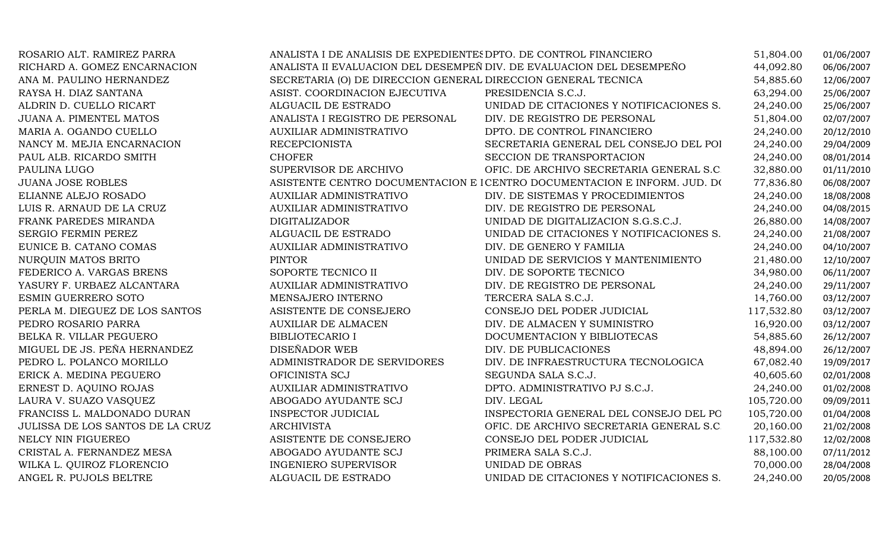| ROSARIO ALT. RAMIREZ PARRA       | ANALISTA I DE ANALISIS DE EXPEDIENTES DPTO. DE CONTROL FINANCIERO |                                                                          | 51,804.00  | 01/06/2007 |
|----------------------------------|-------------------------------------------------------------------|--------------------------------------------------------------------------|------------|------------|
| RICHARD A. GOMEZ ENCARNACION     |                                                                   | ANALISTA II EVALUACION DEL DESEMPEÑ DIV. DE EVALUACION DEL DESEMPEÑO     | 44,092.80  | 06/06/2007 |
| ANA M. PAULINO HERNANDEZ         | SECRETARIA (O) DE DIRECCION GENERAL DIRECCION GENERAL TECNICA     |                                                                          | 54,885.60  | 12/06/2007 |
| RAYSA H. DIAZ SANTANA            | ASIST. COORDINACION EJECUTIVA                                     | PRESIDENCIA S.C.J.                                                       | 63,294.00  | 25/06/2007 |
| ALDRIN D. CUELLO RICART          | ALGUACIL DE ESTRADO                                               | UNIDAD DE CITACIONES Y NOTIFICACIONES S.                                 | 24,240.00  | 25/06/2007 |
| <b>JUANA A. PIMENTEL MATOS</b>   | ANALISTA I REGISTRO DE PERSONAL                                   | DIV. DE REGISTRO DE PERSONAL                                             | 51,804.00  | 02/07/2007 |
| MARIA A. OGANDO CUELLO           | <b>AUXILIAR ADMINISTRATIVO</b>                                    | DPTO. DE CONTROL FINANCIERO                                              | 24,240.00  | 20/12/2010 |
| NANCY M. MEJIA ENCARNACION       | <b>RECEPCIONISTA</b>                                              | SECRETARIA GENERAL DEL CONSEJO DEL POI                                   | 24,240.00  | 29/04/2009 |
| PAUL ALB. RICARDO SMITH          | <b>CHOFER</b>                                                     | SECCION DE TRANSPORTACION                                                | 24,240.00  | 08/01/2014 |
| PAULINA LUGO                     | SUPERVISOR DE ARCHIVO                                             | OFIC. DE ARCHIVO SECRETARIA GENERAL S.C                                  | 32,880.00  | 01/11/2010 |
| <b>JUANA JOSE ROBLES</b>         |                                                                   | ASISTENTE CENTRO DOCUMENTACION E ICENTRO DOCUMENTACION E INFORM. JUD. DO | 77,836.80  | 06/08/2007 |
| ELIANNE ALEJO ROSADO             | AUXILIAR ADMINISTRATIVO                                           | DIV. DE SISTEMAS Y PROCEDIMIENTOS                                        | 24,240.00  | 18/08/2008 |
| LUIS R. ARNAUD DE LA CRUZ        | <b>AUXILIAR ADMINISTRATIVO</b>                                    | DIV. DE REGISTRO DE PERSONAL                                             | 24,240.00  | 04/08/2015 |
| FRANK PAREDES MIRANDA            | <b>DIGITALIZADOR</b>                                              | UNIDAD DE DIGITALIZACION S.G.S.C.J.                                      | 26,880.00  | 14/08/2007 |
| SERGIO FERMIN PEREZ              | ALGUACIL DE ESTRADO                                               | UNIDAD DE CITACIONES Y NOTIFICACIONES S.                                 | 24,240.00  | 21/08/2007 |
| EUNICE B. CATANO COMAS           | AUXILIAR ADMINISTRATIVO                                           | DIV. DE GENERO Y FAMILIA                                                 | 24,240.00  | 04/10/2007 |
| NURQUIN MATOS BRITO              | <b>PINTOR</b>                                                     | UNIDAD DE SERVICIOS Y MANTENIMIENTO                                      | 21,480.00  | 12/10/2007 |
| FEDERICO A. VARGAS BRENS         | SOPORTE TECNICO II                                                | DIV. DE SOPORTE TECNICO                                                  | 34,980.00  | 06/11/2007 |
| YASURY F. URBAEZ ALCANTARA       | <b>AUXILIAR ADMINISTRATIVO</b>                                    | DIV. DE REGISTRO DE PERSONAL                                             | 24,240.00  | 29/11/2007 |
| ESMIN GUERRERO SOTO              | MENSAJERO INTERNO                                                 | TERCERA SALA S.C.J.                                                      | 14,760.00  | 03/12/2007 |
| PERLA M. DIEGUEZ DE LOS SANTOS   | ASISTENTE DE CONSEJERO                                            | CONSEJO DEL PODER JUDICIAL                                               | 117,532.80 | 03/12/2007 |
| PEDRO ROSARIO PARRA              | <b>AUXILIAR DE ALMACEN</b>                                        | DIV. DE ALMACEN Y SUMINISTRO                                             | 16,920.00  | 03/12/2007 |
| BELKA R. VILLAR PEGUERO          | <b>BIBLIOTECARIO I</b>                                            | DOCUMENTACION Y BIBLIOTECAS                                              | 54,885.60  | 26/12/2007 |
| MIGUEL DE JS. PEÑA HERNANDEZ     | DISEÑADOR WEB                                                     | DIV. DE PUBLICACIONES                                                    | 48,894.00  | 26/12/2007 |
| PEDRO L. POLANCO MORILLO         | ADMINISTRADOR DE SERVIDORES                                       | DIV. DE INFRAESTRUCTURA TECNOLOGICA                                      | 67,082.40  | 19/09/2017 |
| ERICK A. MEDINA PEGUERO          | OFICINISTA SCJ                                                    | SEGUNDA SALA S.C.J.                                                      | 40,605.60  | 02/01/2008 |
| ERNEST D. AQUINO ROJAS           | AUXILIAR ADMINISTRATIVO                                           | DPTO. ADMINISTRATIVO PJ S.C.J.                                           | 24,240.00  | 01/02/2008 |
| LAURA V. SUAZO VASQUEZ           | ABOGADO AYUDANTE SCJ                                              | DIV. LEGAL                                                               | 105,720.00 | 09/09/2011 |
| FRANCISS L. MALDONADO DURAN      | INSPECTOR JUDICIAL                                                | INSPECTORIA GENERAL DEL CONSEJO DEL PO                                   | 105,720.00 | 01/04/2008 |
| JULISSA DE LOS SANTOS DE LA CRUZ | <b>ARCHIVISTA</b>                                                 | OFIC. DE ARCHIVO SECRETARIA GENERAL S.C                                  | 20,160.00  | 21/02/2008 |
| NELCY NIN FIGUEREO               | ASISTENTE DE CONSEJERO                                            | CONSEJO DEL PODER JUDICIAL                                               | 117,532.80 | 12/02/2008 |
| CRISTAL A. FERNANDEZ MESA        | ABOGADO AYUDANTE SCJ                                              | PRIMERA SALA S.C.J.                                                      | 88,100.00  | 07/11/2012 |
| WILKA L. QUIROZ FLORENCIO        | <b>INGENIERO SUPERVISOR</b>                                       | UNIDAD DE OBRAS                                                          | 70,000.00  | 28/04/2008 |
| ANGEL R. PUJOLS BELTRE           | ALGUACIL DE ESTRADO                                               | UNIDAD DE CITACIONES Y NOTIFICACIONES S.                                 | 24,240.00  | 20/05/2008 |
|                                  |                                                                   |                                                                          |            |            |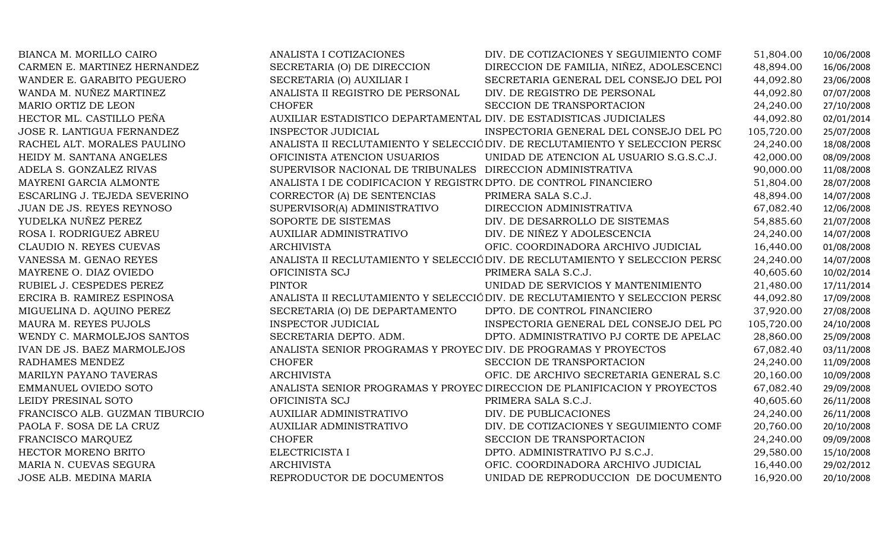| BIANCA M. MORILLO CAIRO        | ANALISTA I COTIZACIONES                                            | DIV. DE COTIZACIONES Y SEGUIMIENTO COMF                                      | 51,804.00  | 10/06/2008 |
|--------------------------------|--------------------------------------------------------------------|------------------------------------------------------------------------------|------------|------------|
| CARMEN E. MARTINEZ HERNANDEZ   | SECRETARIA (O) DE DIRECCION                                        | DIRECCION DE FAMILIA, NIÑEZ, ADOLESCENCI                                     | 48,894.00  | 16/06/2008 |
| WANDER E. GARABITO PEGUERO     | SECRETARIA (O) AUXILIAR I                                          | SECRETARIA GENERAL DEL CONSEJO DEL POI                                       | 44,092.80  | 23/06/2008 |
| WANDA M. NUÑEZ MARTINEZ        | ANALISTA II REGISTRO DE PERSONAL                                   | DIV. DE REGISTRO DE PERSONAL                                                 | 44,092.80  | 07/07/2008 |
| MARIO ORTIZ DE LEON            | <b>CHOFER</b>                                                      | SECCION DE TRANSPORTACION                                                    | 24,240.00  | 27/10/2008 |
| HECTOR ML. CASTILLO PEÑA       | AUXILIAR ESTADISTICO DEPARTAMENTAL DIV. DE ESTADISTICAS JUDICIALES |                                                                              | 44,092.80  | 02/01/2014 |
| JOSE R. LANTIGUA FERNANDEZ     | INSPECTOR JUDICIAL                                                 | INSPECTORIA GENERAL DEL CONSEJO DEL PO                                       | 105,720.00 | 25/07/2008 |
| RACHEL ALT. MORALES PAULINO    |                                                                    | ANALISTA II RECLUTAMIENTO Y SELECCIÓ DIV. DE RECLUTAMIENTO Y SELECCION PERSO | 24,240.00  | 18/08/2008 |
| HEIDY M. SANTANA ANGELES       | OFICINISTA ATENCION USUARIOS                                       | UNIDAD DE ATENCION AL USUARIO S.G.S.C.J.                                     | 42,000.00  | 08/09/2008 |
| ADELA S. GONZALEZ RIVAS        | SUPERVISOR NACIONAL DE TRIBUNALES DIRECCION ADMINISTRATIVA         |                                                                              | 90,000.00  | 11/08/2008 |
| MAYRENI GARCIA ALMONTE         | ANALISTA I DE CODIFICACION Y REGISTRO DPTO. DE CONTROL FINANCIERO  |                                                                              | 51,804.00  | 28/07/2008 |
| ESCARLING J. TEJEDA SEVERINO   | CORRECTOR (A) DE SENTENCIAS                                        | PRIMERA SALA S.C.J.                                                          | 48,894.00  | 14/07/2008 |
| JUAN DE JS. REYES REYNOSO      | SUPERVISOR(A) ADMINISTRATIVO                                       | DIRECCION ADMINISTRATIVA                                                     | 67,082.40  | 12/06/2008 |
| YUDELKA NUÑEZ PEREZ            | SOPORTE DE SISTEMAS                                                | DIV. DE DESARROLLO DE SISTEMAS                                               | 54,885.60  | 21/07/2008 |
| ROSA I. RODRIGUEZ ABREU        | AUXILIAR ADMINISTRATIVO                                            | DIV. DE NIÑEZ Y ADOLESCENCIA                                                 | 24,240.00  | 14/07/2008 |
| CLAUDIO N. REYES CUEVAS        | <b>ARCHIVISTA</b>                                                  | OFIC. COORDINADORA ARCHIVO JUDICIAL                                          | 16,440.00  | 01/08/2008 |
| VANESSA M. GENAO REYES         |                                                                    | ANALISTA II RECLUTAMIENTO Y SELECCIÓ DIV. DE RECLUTAMIENTO Y SELECCION PERSO | 24,240.00  | 14/07/2008 |
| MAYRENE O. DIAZ OVIEDO         | OFICINISTA SCJ                                                     | PRIMERA SALA S.C.J.                                                          | 40,605.60  | 10/02/2014 |
| RUBIEL J. CESPEDES PEREZ       | <b>PINTOR</b>                                                      | UNIDAD DE SERVICIOS Y MANTENIMIENTO                                          | 21,480.00  | 17/11/2014 |
| ERCIRA B. RAMIREZ ESPINOSA     |                                                                    | ANALISTA II RECLUTAMIENTO Y SELECCIÓ DIV. DE RECLUTAMIENTO Y SELECCION PERSO | 44,092.80  | 17/09/2008 |
| MIGUELINA D. AQUINO PEREZ      | SECRETARIA (O) DE DEPARTAMENTO                                     | DPTO. DE CONTROL FINANCIERO                                                  | 37,920.00  | 27/08/2008 |
| MAURA M. REYES PUJOLS          | <b>INSPECTOR JUDICIAL</b>                                          | INSPECTORIA GENERAL DEL CONSEJO DEL PO                                       | 105,720.00 | 24/10/2008 |
| WENDY C. MARMOLEJOS SANTOS     | SECRETARIA DEPTO. ADM.                                             | DPTO. ADMINISTRATIVO PJ CORTE DE APELAC                                      | 28,860.00  | 25/09/2008 |
| IVAN DE JS. BAEZ MARMOLEJOS    | ANALISTA SENIOR PROGRAMAS Y PROYEC DIV. DE PROGRAMAS Y PROYECTOS   |                                                                              | 67,082.40  | 03/11/2008 |
| RADHAMES MENDEZ                | <b>CHOFER</b>                                                      | SECCION DE TRANSPORTACION                                                    | 24,240.00  | 11/09/2008 |
| MARILYN PAYANO TAVERAS         | <b>ARCHIVISTA</b>                                                  | OFIC. DE ARCHIVO SECRETARIA GENERAL S.C.                                     | 20,160.00  | 10/09/2008 |
| EMMANUEL OVIEDO SOTO           |                                                                    | ANALISTA SENIOR PROGRAMAS Y PROYEC DIRECCION DE PLANIFICACION Y PROYECTOS    | 67,082.40  | 29/09/2008 |
| LEIDY PRESINAL SOTO            | OFICINISTA SCJ                                                     | PRIMERA SALA S.C.J.                                                          | 40,605.60  | 26/11/2008 |
| FRANCISCO ALB. GUZMAN TIBURCIO | <b>AUXILIAR ADMINISTRATIVO</b>                                     | DIV. DE PUBLICACIONES                                                        | 24,240.00  | 26/11/2008 |
| PAOLA F. SOSA DE LA CRUZ       | AUXILIAR ADMINISTRATIVO                                            | DIV. DE COTIZACIONES Y SEGUIMIENTO COMF                                      | 20,760.00  | 20/10/2008 |
| FRANCISCO MARQUEZ              | <b>CHOFER</b>                                                      | SECCION DE TRANSPORTACION                                                    | 24,240.00  | 09/09/2008 |
| HECTOR MORENO BRITO            | ELECTRICISTA I                                                     | DPTO. ADMINISTRATIVO PJ S.C.J.                                               | 29,580.00  | 15/10/2008 |
| MARIA N. CUEVAS SEGURA         | <b>ARCHIVISTA</b>                                                  | OFIC. COORDINADORA ARCHIVO JUDICIAL                                          | 16,440.00  | 29/02/2012 |
| JOSE ALB. MEDINA MARIA         | REPRODUCTOR DE DOCUMENTOS                                          | UNIDAD DE REPRODUCCION DE DOCUMENTO                                          | 16,920.00  | 20/10/2008 |
|                                |                                                                    |                                                                              |            |            |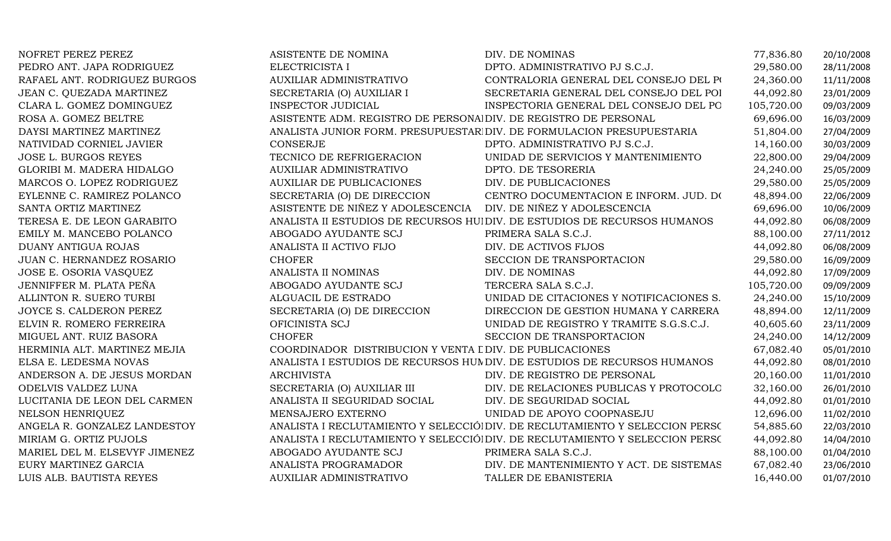| NOFRET PEREZ PEREZ            | ASISTENTE DE NOMINA                                             | DIV. DE NOMINAS                                                             | 77,836.80  | 20/10/2008 |
|-------------------------------|-----------------------------------------------------------------|-----------------------------------------------------------------------------|------------|------------|
| PEDRO ANT. JAPA RODRIGUEZ     | ELECTRICISTA I                                                  | DPTO. ADMINISTRATIVO PJ S.C.J.                                              | 29,580.00  | 28/11/2008 |
| RAFAEL ANT. RODRIGUEZ BURGOS  | <b>AUXILIAR ADMINISTRATIVO</b>                                  | CONTRALORIA GENERAL DEL CONSEJO DEL PO                                      | 24,360.00  | 11/11/2008 |
| JEAN C. QUEZADA MARTINEZ      | SECRETARIA (O) AUXILIAR I                                       | SECRETARIA GENERAL DEL CONSEJO DEL POI                                      | 44,092.80  | 23/01/2009 |
| CLARA L. GOMEZ DOMINGUEZ      | <b>INSPECTOR JUDICIAL</b>                                       | INSPECTORIA GENERAL DEL CONSEJO DEL PO                                      | 105,720.00 | 09/03/2009 |
| ROSA A. GOMEZ BELTRE          | ASISTENTE ADM. REGISTRO DE PERSONALDIV. DE REGISTRO DE PERSONAL |                                                                             | 69,696.00  | 16/03/2009 |
| DAYSI MARTINEZ MARTINEZ       |                                                                 | ANALISTA JUNIOR FORM. PRESUPUESTAR DIV. DE FORMULACION PRESUPUESTARIA       | 51,804.00  | 27/04/2009 |
| NATIVIDAD CORNIEL JAVIER      | CONSERJE                                                        | DPTO. ADMINISTRATIVO PJ S.C.J.                                              | 14,160.00  | 30/03/2009 |
| <b>JOSE L. BURGOS REYES</b>   | TECNICO DE REFRIGERACION                                        | UNIDAD DE SERVICIOS Y MANTENIMIENTO                                         | 22,800.00  | 29/04/2009 |
| GLORIBI M. MADERA HIDALGO     | <b>AUXILIAR ADMINISTRATIVO</b>                                  | DPTO. DE TESORERIA                                                          | 24,240.00  | 25/05/2009 |
| MARCOS O. LOPEZ RODRIGUEZ     | <b>AUXILIAR DE PUBLICACIONES</b>                                | DIV. DE PUBLICACIONES                                                       | 29,580.00  | 25/05/2009 |
| EYLENNE C. RAMIREZ POLANCO    | SECRETARIA (O) DE DIRECCION                                     | CENTRO DOCUMENTACION E INFORM. JUD. DO                                      | 48,894.00  | 22/06/2009 |
| SANTA ORTIZ MARTINEZ          | ASISTENTE DE NIÑEZ Y ADOLESCENCIA DIV. DE NIÑEZ Y ADOLESCENCIA  |                                                                             | 69,696.00  | 10/06/2009 |
| TERESA E. DE LEON GARABITO    |                                                                 | ANALISTA II ESTUDIOS DE RECURSOS HUIDIV. DE ESTUDIOS DE RECURSOS HUMANOS    | 44,092.80  | 06/08/2009 |
| EMILY M. MANCEBO POLANCO      | ABOGADO AYUDANTE SCJ                                            | PRIMERA SALA S.C.J.                                                         | 88,100.00  | 27/11/2012 |
| DUANY ANTIGUA ROJAS           | ANALISTA II ACTIVO FIJO                                         | DIV. DE ACTIVOS FIJOS                                                       | 44,092.80  | 06/08/2009 |
| JUAN C. HERNANDEZ ROSARIO     | <b>CHOFER</b>                                                   | SECCION DE TRANSPORTACION                                                   | 29,580.00  | 16/09/2009 |
| JOSE E. OSORIA VASQUEZ        | ANALISTA II NOMINAS                                             | DIV. DE NOMINAS                                                             | 44,092.80  | 17/09/2009 |
| JENNIFFER M. PLATA PEÑA       | ABOGADO AYUDANTE SCJ                                            | TERCERA SALA S.C.J.                                                         | 105,720.00 | 09/09/2009 |
| ALLINTON R. SUERO TURBI       | ALGUACIL DE ESTRADO                                             | UNIDAD DE CITACIONES Y NOTIFICACIONES S.                                    | 24,240.00  | 15/10/2009 |
| JOYCE S. CALDERON PEREZ       | SECRETARIA (O) DE DIRECCION                                     | DIRECCION DE GESTION HUMANA Y CARRERA                                       | 48,894.00  | 12/11/2009 |
| ELVIN R. ROMERO FERREIRA      | OFICINISTA SCJ                                                  | UNIDAD DE REGISTRO Y TRAMITE S.G.S.C.J.                                     | 40,605.60  | 23/11/2009 |
| MIGUEL ANT. RUIZ BASORA       | <b>CHOFER</b>                                                   | SECCION DE TRANSPORTACION                                                   | 24,240.00  | 14/12/2009 |
| HERMINIA ALT. MARTINEZ MEJIA  | COORDINADOR DISTRIBUCION Y VENTA I DIV. DE PUBLICACIONES        |                                                                             | 67,082.40  | 05/01/2010 |
| ELSA E. LEDESMA NOVAS         |                                                                 | ANALISTA I ESTUDIOS DE RECURSOS HUM DIV. DE ESTUDIOS DE RECURSOS HUMANOS    | 44,092.80  | 08/01/2010 |
| ANDERSON A. DE JESUS MORDAN   | <b>ARCHIVISTA</b>                                               | DIV. DE REGISTRO DE PERSONAL                                                | 20,160.00  | 11/01/2010 |
| ODELVIS VALDEZ LUNA           | SECRETARIA (O) AUXILIAR III                                     | DIV. DE RELACIONES PUBLICAS Y PROTOCOLO                                     | 32,160.00  | 26/01/2010 |
| LUCITANIA DE LEON DEL CARMEN  | ANALISTA II SEGURIDAD SOCIAL                                    | DIV. DE SEGURIDAD SOCIAL                                                    | 44,092.80  | 01/01/2010 |
| NELSON HENRIQUEZ              | MENSAJERO EXTERNO                                               | UNIDAD DE APOYO COOPNASEJU                                                  | 12,696.00  | 11/02/2010 |
| ANGELA R. GONZALEZ LANDESTOY  |                                                                 | ANALISTA I RECLUTAMIENTO Y SELECCIÓ DIV. DE RECLUTAMIENTO Y SELECCION PERSO | 54,885.60  | 22/03/2010 |
| MIRIAM G. ORTIZ PUJOLS        |                                                                 | ANALISTA I RECLUTAMIENTO Y SELECCIÓ DIV. DE RECLUTAMIENTO Y SELECCION PERSO | 44,092.80  | 14/04/2010 |
| MARIEL DEL M. ELSEVYF JIMENEZ | ABOGADO AYUDANTE SCJ                                            | PRIMERA SALA S.C.J.                                                         | 88,100.00  | 01/04/2010 |
| EURY MARTINEZ GARCIA          | ANALISTA PROGRAMADOR                                            | DIV. DE MANTENIMIENTO Y ACT. DE SISTEMAS                                    | 67,082.40  | 23/06/2010 |
| LUIS ALB. BAUTISTA REYES      | AUXILIAR ADMINISTRATIVO                                         | TALLER DE EBANISTERIA                                                       | 16,440.00  | 01/07/2010 |
|                               |                                                                 |                                                                             |            |            |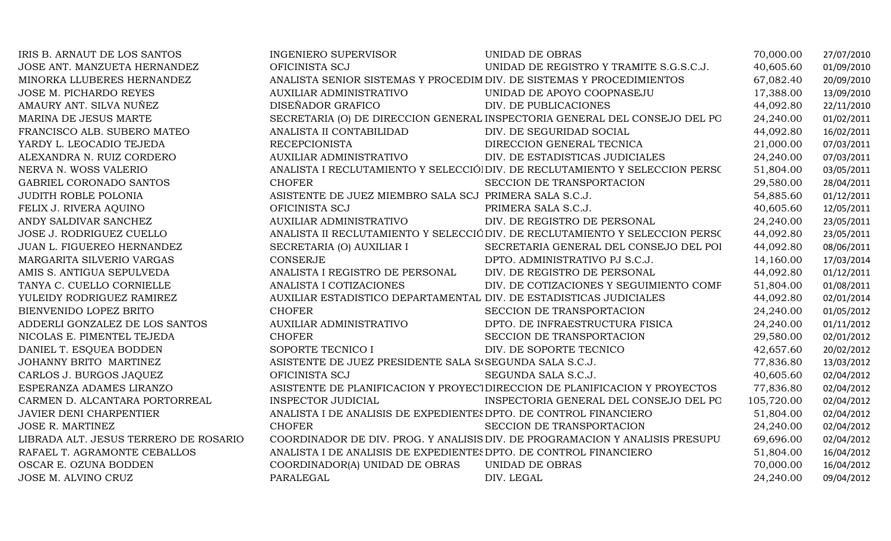| IRIS B. ARNAUT DE LOS SANTOS          | <b>INGENIERO SUPERVISOR</b>                                           | UNIDAD DE OBRAS                                                              | 70,000.00  | 27/07/2010 |
|---------------------------------------|-----------------------------------------------------------------------|------------------------------------------------------------------------------|------------|------------|
| JOSE ANT. MANZUETA HERNANDEZ          | OFICINISTA SCJ                                                        | UNIDAD DE REGISTRO Y TRAMITE S.G.S.C.J.                                      | 40,605.60  | 01/09/2010 |
| MINORKA LLUBERES HERNANDEZ            | ANALISTA SENIOR SISTEMAS Y PROCEDIM DIV. DE SISTEMAS Y PROCEDIMIENTOS |                                                                              | 67,082.40  | 20/09/2010 |
| JOSE M. PICHARDO REYES                | <b>AUXILIAR ADMINISTRATIVO</b>                                        | UNIDAD DE APOYO COOPNASEJU                                                   | 17,388.00  | 13/09/2010 |
| AMAURY ANT. SILVA NUÑEZ               | DISEÑADOR GRAFICO                                                     | DIV. DE PUBLICACIONES                                                        | 44,092.80  | 22/11/2010 |
| MARINA DE JESUS MARTE                 |                                                                       | SECRETARIA (O) DE DIRECCION GENERAL INSPECTORIA GENERAL DEL CONSEJO DEL PO   | 24,240.00  | 01/02/2011 |
| FRANCISCO ALB. SUBERO MATEO           | ANALISTA II CONTABILIDAD                                              | DIV. DE SEGURIDAD SOCIAL                                                     | 44,092.80  | 16/02/2011 |
| YARDY L. LEOCADIO TEJEDA              | <b>RECEPCIONISTA</b>                                                  | DIRECCION GENERAL TECNICA                                                    | 21,000.00  | 07/03/2011 |
| ALEXANDRA N. RUIZ CORDERO             | AUXILIAR ADMINISTRATIVO                                               | DIV. DE ESTADISTICAS JUDICIALES                                              | 24,240.00  | 07/03/2011 |
| NERVA N. WOSS VALERIO                 |                                                                       | ANALISTA I RECLUTAMIENTO Y SELECCIÓ DIV. DE RECLUTAMIENTO Y SELECCION PERSO  | 51,804.00  | 03/05/2011 |
| GABRIEL CORONADO SANTOS               | <b>CHOFER</b>                                                         | SECCION DE TRANSPORTACION                                                    | 29,580.00  | 28/04/2011 |
| <b>JUDITH ROBLE POLONIA</b>           | ASISTENTE DE JUEZ MIEMBRO SALA SCJ PRIMERA SALA S.C.J.                |                                                                              | 54,885.60  | 01/12/2011 |
| FELIX J. RIVERA AQUINO                | OFICINISTA SCJ                                                        | PRIMERA SALA S.C.J.                                                          | 40,605.60  | 12/05/2011 |
| ANDY SALDIVAR SANCHEZ                 | <b>AUXILIAR ADMINISTRATIVO</b>                                        | DIV. DE REGISTRO DE PERSONAL                                                 | 24,240.00  | 23/05/2011 |
| JOSE J. RODRIGUEZ CUELLO              |                                                                       | ANALISTA II RECLUTAMIENTO Y SELECCIÓ DIV. DE RECLUTAMIENTO Y SELECCION PERSO | 44,092.80  | 23/05/2011 |
| JUAN L. FIGUEREO HERNANDEZ            | SECRETARIA (O) AUXILIAR I                                             | SECRETARIA GENERAL DEL CONSEJO DEL POI                                       | 44,092.80  | 08/06/2011 |
| MARGARITA SILVERIO VARGAS             | CONSERJE                                                              | DPTO. ADMINISTRATIVO PJ S.C.J.                                               | 14,160.00  | 17/03/2014 |
| AMIS S. ANTIGUA SEPULVEDA             | ANALISTA I REGISTRO DE PERSONAL                                       | DIV. DE REGISTRO DE PERSONAL                                                 | 44,092.80  | 01/12/2011 |
| TANYA C. CUELLO CORNIELLE             | ANALISTA I COTIZACIONES                                               | DIV. DE COTIZACIONES Y SEGUIMIENTO COMF                                      | 51,804.00  | 01/08/2011 |
| YULEIDY RODRIGUEZ RAMIREZ             | AUXILIAR ESTADISTICO DEPARTAMENTAL DIV. DE ESTADISTICAS JUDICIALES    |                                                                              | 44,092.80  | 02/01/2014 |
| BIENVENIDO LOPEZ BRITO                | <b>CHOFER</b>                                                         | SECCION DE TRANSPORTACION                                                    | 24,240.00  | 01/05/2012 |
| ADDERLI GONZALEZ DE LOS SANTOS        | AUXILIAR ADMINISTRATIVO                                               | DPTO. DE INFRAESTRUCTURA FISICA                                              | 24,240.00  | 01/11/2012 |
| NICOLAS E. PIMENTEL TEJEDA            | <b>CHOFER</b>                                                         | SECCION DE TRANSPORTACION                                                    | 29,580.00  | 02/01/2012 |
| DANIEL T. ESQUEA BODDEN               | SOPORTE TECNICO I                                                     | DIV. DE SOPORTE TECNICO                                                      | 42,657.60  | 20/02/2012 |
| JOHANNY BRITO MARTINEZ                | ASISTENTE DE JUEZ PRESIDENTE SALA S<br>(SEGUNDA SALA S.C.J.           |                                                                              | 77,836.80  | 13/03/2012 |
| CARLOS J. BURGOS JAQUEZ               | OFICINISTA SCJ                                                        | SEGUNDA SALA S.C.J.                                                          | 40,605.60  | 02/04/2012 |
| ESPERANZA ADAMES LIRANZO              |                                                                       | ASISTENTE DE PLANIFICACION Y PROYECTOIRECCION DE PLANIFICACION Y PROYECTOS   | 77,836.80  | 02/04/2012 |
| CARMEN D. ALCANTARA PORTORREAL        | INSPECTOR JUDICIAL                                                    | INSPECTORIA GENERAL DEL CONSEJO DEL PO                                       | 105,720.00 | 02/04/2012 |
| JAVIER DENI CHARPENTIER               | ANALISTA I DE ANALISIS DE EXPEDIENTES DPTO. DE CONTROL FINANCIERO     |                                                                              | 51,804.00  | 02/04/2012 |
| <b>JOSE R. MARTINEZ</b>               | <b>CHOFER</b>                                                         | SECCION DE TRANSPORTACION                                                    | 24,240.00  | 02/04/2012 |
| LIBRADA ALT. JESUS TERRERO DE ROSARIO |                                                                       | COORDINADOR DE DIV. PROG. Y ANALISIS DIV. DE PROGRAMACION Y ANALISIS PRESUPU | 69,696.00  | 02/04/2012 |
| RAFAEL T. AGRAMONTE CEBALLOS          | ANALISTA I DE ANALISIS DE EXPEDIENTES DPTO. DE CONTROL FINANCIERO     |                                                                              | 51,804.00  | 16/04/2012 |
| OSCAR E. OZUNA BODDEN                 | COORDINADOR(A) UNIDAD DE OBRAS                                        | UNIDAD DE OBRAS                                                              | 70,000.00  | 16/04/2012 |
| JOSE M. ALVINO CRUZ                   | PARALEGAL                                                             | DIV. LEGAL                                                                   | 24,240.00  | 09/04/2012 |
|                                       |                                                                       |                                                                              |            |            |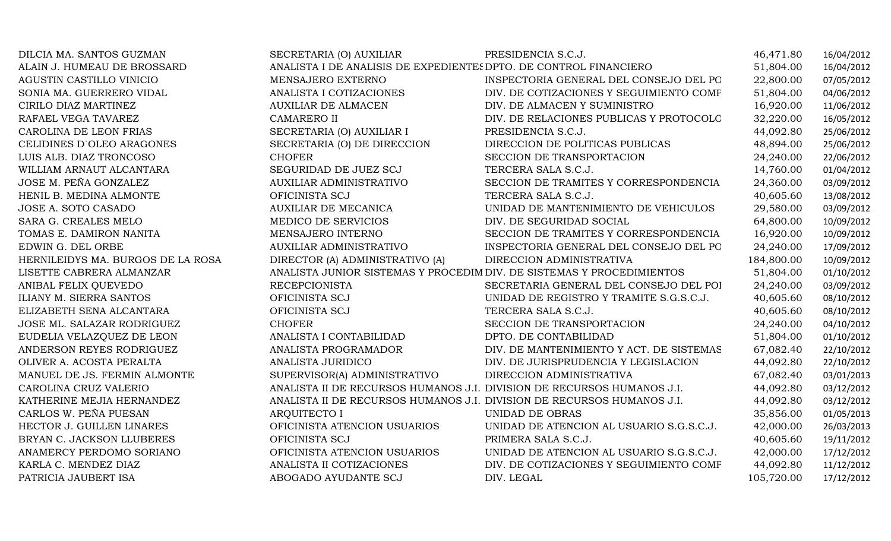| DILCIA MA. SANTOS GUZMAN          | SECRETARIA (O) AUXILIAR                                                | PRESIDENCIA S.C.J.                       | 46,471.80  | 16/04/2012 |
|-----------------------------------|------------------------------------------------------------------------|------------------------------------------|------------|------------|
| ALAIN J. HUMEAU DE BROSSARD       | ANALISTA I DE ANALISIS DE EXPEDIENTES DPTO. DE CONTROL FINANCIERO      |                                          | 51,804.00  | 16/04/2012 |
| AGUSTIN CASTILLO VINICIO          | MENSAJERO EXTERNO                                                      | INSPECTORIA GENERAL DEL CONSEJO DEL PO   | 22,800.00  | 07/05/2012 |
| SONIA MA. GUERRERO VIDAL          | ANALISTA I COTIZACIONES                                                | DIV. DE COTIZACIONES Y SEGUIMIENTO COMF  | 51,804.00  | 04/06/2012 |
| CIRILO DIAZ MARTINEZ              | <b>AUXILIAR DE ALMACEN</b>                                             | DIV. DE ALMACEN Y SUMINISTRO             | 16,920.00  | 11/06/2012 |
| RAFAEL VEGA TAVAREZ               | <b>CAMARERO II</b>                                                     | DIV. DE RELACIONES PUBLICAS Y PROTOCOLO  | 32,220.00  | 16/05/2012 |
| CAROLINA DE LEON FRIAS            | SECRETARIA (O) AUXILIAR I                                              | PRESIDENCIA S.C.J.                       | 44,092.80  | 25/06/2012 |
| CELIDINES D'OLEO ARAGONES         | SECRETARIA (O) DE DIRECCION                                            | DIRECCION DE POLITICAS PUBLICAS          | 48,894.00  | 25/06/2012 |
| LUIS ALB. DIAZ TRONCOSO           | <b>CHOFER</b>                                                          | SECCION DE TRANSPORTACION                | 24,240.00  | 22/06/2012 |
| WILLIAM ARNAUT ALCANTARA          | SEGURIDAD DE JUEZ SCJ                                                  | TERCERA SALA S.C.J.                      | 14,760.00  | 01/04/2012 |
| JOSE M. PEÑA GONZALEZ             | AUXILIAR ADMINISTRATIVO                                                | SECCION DE TRAMITES Y CORRESPONDENCIA    | 24,360.00  | 03/09/2012 |
| HENIL B. MEDINA ALMONTE           | OFICINISTA SCJ                                                         | TERCERA SALA S.C.J.                      | 40,605.60  | 13/08/2012 |
| JOSE A. SOTO CASADO               | <b>AUXILIAR DE MECANICA</b>                                            | UNIDAD DE MANTENIMIENTO DE VEHICULOS     | 29,580.00  | 03/09/2012 |
| SARA G. CREALES MELO              | MEDICO DE SERVICIOS                                                    | DIV. DE SEGURIDAD SOCIAL                 | 64,800.00  | 10/09/2012 |
| TOMAS E. DAMIRON NANITA           | MENSAJERO INTERNO                                                      | SECCION DE TRAMITES Y CORRESPONDENCIA    | 16,920.00  | 10/09/2012 |
| EDWIN G. DEL ORBE                 | <b>AUXILIAR ADMINISTRATIVO</b>                                         | INSPECTORIA GENERAL DEL CONSEJO DEL PO   | 24,240.00  | 17/09/2012 |
| HERNILEIDYS MA. BURGOS DE LA ROSA | DIRECTOR (A) ADMINISTRATIVO (A)                                        | DIRECCION ADMINISTRATIVA                 | 184,800.00 | 10/09/2012 |
| LISETTE CABRERA ALMANZAR          | ANALISTA JUNIOR SISTEMAS Y PROCEDIM DIV. DE SISTEMAS Y PROCEDIMIENTOS  |                                          | 51,804.00  | 01/10/2012 |
| ANIBAL FELIX QUEVEDO              | <b>RECEPCIONISTA</b>                                                   | SECRETARIA GENERAL DEL CONSEJO DEL POI   | 24,240.00  | 03/09/2012 |
| ILIANY M. SIERRA SANTOS           | OFICINISTA SCJ                                                         | UNIDAD DE REGISTRO Y TRAMITE S.G.S.C.J.  | 40,605.60  | 08/10/2012 |
| ELIZABETH SENA ALCANTARA          | OFICINISTA SCJ                                                         | TERCERA SALA S.C.J.                      | 40,605.60  | 08/10/2012 |
| JOSE ML. SALAZAR RODRIGUEZ        | <b>CHOFER</b>                                                          | SECCION DE TRANSPORTACION                | 24,240.00  | 04/10/2012 |
| EUDELIA VELAZQUEZ DE LEON         | ANALISTA I CONTABILIDAD                                                | DPTO. DE CONTABILIDAD                    | 51,804.00  | 01/10/2012 |
| ANDERSON REYES RODRIGUEZ          | ANALISTA PROGRAMADOR                                                   | DIV. DE MANTENIMIENTO Y ACT. DE SISTEMAS | 67,082.40  | 22/10/2012 |
| OLIVER A. ACOSTA PERALTA          | ANALISTA JURIDICO                                                      | DIV. DE JURISPRUDENCIA Y LEGISLACION     | 44,092.80  | 22/10/2012 |
| MANUEL DE JS. FERMIN ALMONTE      | SUPERVISOR(A) ADMINISTRATIVO                                           | DIRECCION ADMINISTRATIVA                 | 67,082.40  | 03/01/2013 |
| CAROLINA CRUZ VALERIO             | ANALISTA II DE RECURSOS HUMANOS J.I. DIVISION DE RECURSOS HUMANOS J.I. |                                          | 44,092.80  | 03/12/2012 |
| KATHERINE MEJIA HERNANDEZ         | ANALISTA II DE RECURSOS HUMANOS J.I. DIVISION DE RECURSOS HUMANOS J.I. |                                          | 44,092.80  | 03/12/2012 |
| CARLOS W. PEÑA PUESAN             | <b>ARQUITECTO I</b>                                                    | UNIDAD DE OBRAS                          | 35,856.00  | 01/05/2013 |
| HECTOR J. GUILLEN LINARES         | OFICINISTA ATENCION USUARIOS                                           | UNIDAD DE ATENCION AL USUARIO S.G.S.C.J. | 42,000.00  | 26/03/2013 |
| BRYAN C. JACKSON LLUBERES         | OFICINISTA SCJ                                                         | PRIMERA SALA S.C.J.                      | 40,605.60  | 19/11/2012 |
| ANAMERCY PERDOMO SORIANO          | OFICINISTA ATENCION USUARIOS                                           | UNIDAD DE ATENCION AL USUARIO S.G.S.C.J. | 42,000.00  | 17/12/2012 |
| KARLA C. MENDEZ DIAZ              | ANALISTA II COTIZACIONES                                               | DIV. DE COTIZACIONES Y SEGUIMIENTO COMF  | 44,092.80  | 11/12/2012 |
| PATRICIA JAUBERT ISA              | ABOGADO AYUDANTE SCJ                                                   | DIV. LEGAL                               | 105,720.00 | 17/12/2012 |
|                                   |                                                                        |                                          |            |            |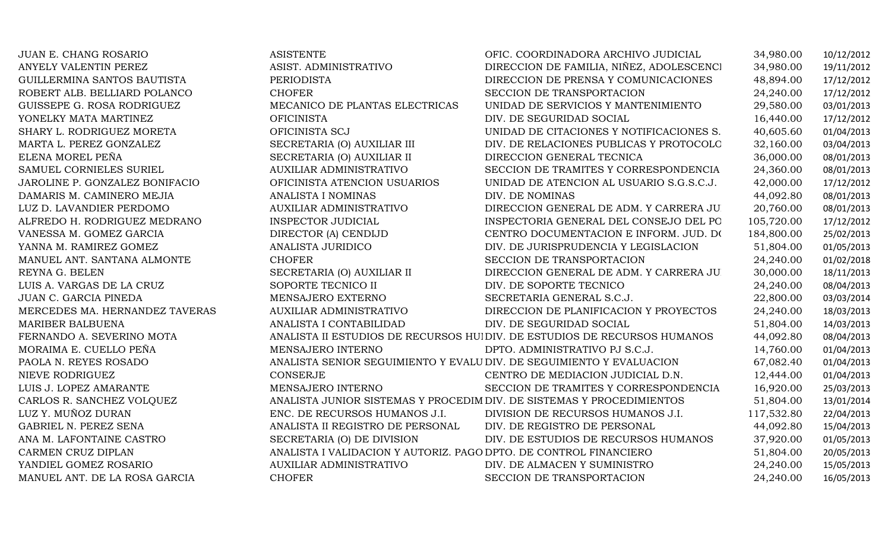| JUAN E. CHANG ROSARIO          | <b>ASISTENTE</b>                                                  | OFIC. COORDINADORA ARCHIVO JUDICIAL                                      | 34,980.00  | 10/12/2012 |
|--------------------------------|-------------------------------------------------------------------|--------------------------------------------------------------------------|------------|------------|
| ANYELY VALENTIN PEREZ          | ASIST. ADMINISTRATIVO                                             | DIRECCION DE FAMILIA, NIÑEZ, ADOLESCENCI                                 | 34,980.00  | 19/11/2012 |
| GUILLERMINA SANTOS BAUTISTA    | <b>PERIODISTA</b>                                                 | DIRECCION DE PRENSA Y COMUNICACIONES                                     | 48,894.00  | 17/12/2012 |
| ROBERT ALB. BELLIARD POLANCO   | <b>CHOFER</b>                                                     | SECCION DE TRANSPORTACION                                                | 24,240.00  | 17/12/2012 |
| GUISSEPE G. ROSA RODRIGUEZ     | MECANICO DE PLANTAS ELECTRICAS                                    | UNIDAD DE SERVICIOS Y MANTENIMIENTO                                      | 29,580.00  | 03/01/2013 |
| YONELKY MATA MARTINEZ          | <b>OFICINISTA</b>                                                 | DIV. DE SEGURIDAD SOCIAL                                                 | 16,440.00  | 17/12/2012 |
| SHARY L. RODRIGUEZ MORETA      | OFICINISTA SCJ                                                    | UNIDAD DE CITACIONES Y NOTIFICACIONES S.                                 | 40,605.60  | 01/04/2013 |
| MARTA L. PEREZ GONZALEZ        | SECRETARIA (O) AUXILIAR III                                       | DIV. DE RELACIONES PUBLICAS Y PROTOCOLO                                  | 32,160.00  | 03/04/2013 |
| ELENA MOREL PEÑA               | SECRETARIA (O) AUXILIAR II                                        | DIRECCION GENERAL TECNICA                                                | 36,000.00  | 08/01/2013 |
| SAMUEL CORNIELES SURIEL        | AUXILIAR ADMINISTRATIVO                                           | SECCION DE TRAMITES Y CORRESPONDENCIA                                    | 24,360.00  | 08/01/2013 |
| JAROLINE P. GONZALEZ BONIFACIO | OFICINISTA ATENCION USUARIOS                                      | UNIDAD DE ATENCION AL USUARIO S.G.S.C.J.                                 | 42,000.00  | 17/12/2012 |
| DAMARIS M. CAMINERO MEJIA      | ANALISTA I NOMINAS                                                | DIV. DE NOMINAS                                                          | 44,092.80  | 08/01/2013 |
| LUZ D. LAVANDIER PERDOMO       | AUXILIAR ADMINISTRATIVO                                           | DIRECCION GENERAL DE ADM. Y CARRERA JU.                                  | 20,760.00  | 08/01/2013 |
| ALFREDO H. RODRIGUEZ MEDRANO   | INSPECTOR JUDICIAL                                                | INSPECTORIA GENERAL DEL CONSEJO DEL PO                                   | 105,720.00 | 17/12/2012 |
| VANESSA M. GOMEZ GARCIA        | DIRECTOR (A) CENDIJD                                              | CENTRO DOCUMENTACION E INFORM. JUD. DO                                   | 184,800.00 | 25/02/2013 |
| YANNA M. RAMIREZ GOMEZ         | ANALISTA JURIDICO                                                 | DIV. DE JURISPRUDENCIA Y LEGISLACION                                     | 51,804.00  | 01/05/2013 |
| MANUEL ANT. SANTANA ALMONTE    | <b>CHOFER</b>                                                     | SECCION DE TRANSPORTACION                                                | 24,240.00  | 01/02/2018 |
| REYNA G. BELEN                 | SECRETARIA (O) AUXILIAR II                                        | DIRECCION GENERAL DE ADM. Y CARRERA JU.                                  | 30,000.00  | 18/11/2013 |
| LUIS A. VARGAS DE LA CRUZ      | SOPORTE TECNICO II                                                | DIV. DE SOPORTE TECNICO                                                  | 24,240.00  | 08/04/2013 |
| JUAN C. GARCIA PINEDA          | MENSAJERO EXTERNO                                                 | SECRETARIA GENERAL S.C.J.                                                | 22,800.00  | 03/03/2014 |
| MERCEDES MA. HERNANDEZ TAVERAS | <b>AUXILIAR ADMINISTRATIVO</b>                                    | DIRECCION DE PLANIFICACION Y PROYECTOS                                   | 24,240.00  | 18/03/2013 |
| <b>MARIBER BALBUENA</b>        | ANALISTA I CONTABILIDAD                                           | DIV. DE SEGURIDAD SOCIAL                                                 | 51,804.00  | 14/03/2013 |
| FERNANDO A. SEVERINO MOTA      |                                                                   | ANALISTA II ESTUDIOS DE RECURSOS HUIDIV. DE ESTUDIOS DE RECURSOS HUMANOS | 44,092.80  | 08/04/2013 |
| MORAIMA E. CUELLO PEÑA         | MENSAJERO INTERNO                                                 | DPTO. ADMINISTRATIVO PJ S.C.J.                                           | 14,760.00  | 01/04/2013 |
| PAOLA N. REYES ROSADO          |                                                                   | ANALISTA SENIOR SEGUIMIENTO Y EVALU DIV. DE SEGUIMIENTO Y EVALUACION     | 67,082.40  | 01/04/2013 |
| NIEVE RODRIGUEZ                | CONSERJE                                                          | CENTRO DE MEDIACION JUDICIAL D.N.                                        | 12,444.00  | 01/04/2013 |
| LUIS J. LOPEZ AMARANTE         | MENSAJERO INTERNO                                                 | SECCION DE TRAMITES Y CORRESPONDENCIA                                    | 16,920.00  | 25/03/2013 |
| CARLOS R. SANCHEZ VOLQUEZ      |                                                                   | ANALISTA JUNIOR SISTEMAS Y PROCEDIM DIV. DE SISTEMAS Y PROCEDIMIENTOS    | 51,804.00  | 13/01/2014 |
| LUZ Y. MUÑOZ DURAN             | ENC. DE RECURSOS HUMANOS J.I.                                     | DIVISION DE RECURSOS HUMANOS J.I.                                        | 117,532.80 | 22/04/2013 |
| GABRIEL N. PEREZ SENA          | ANALISTA II REGISTRO DE PERSONAL                                  | DIV. DE REGISTRO DE PERSONAL                                             | 44,092.80  | 15/04/2013 |
| ANA M. LAFONTAINE CASTRO       | SECRETARIA (O) DE DIVISION                                        | DIV. DE ESTUDIOS DE RECURSOS HUMANOS                                     | 37,920.00  | 01/05/2013 |
| CARMEN CRUZ DIPLAN             | ANALISTA I VALIDACION Y AUTORIZ. PAGO DPTO. DE CONTROL FINANCIERO |                                                                          | 51,804.00  | 20/05/2013 |
| YANDIEL GOMEZ ROSARIO          | AUXILIAR ADMINISTRATIVO                                           | DIV. DE ALMACEN Y SUMINISTRO                                             | 24,240.00  | 15/05/2013 |
| MANUEL ANT. DE LA ROSA GARCIA  | <b>CHOFER</b>                                                     | SECCION DE TRANSPORTACION                                                | 24,240.00  | 16/05/2013 |
|                                |                                                                   |                                                                          |            |            |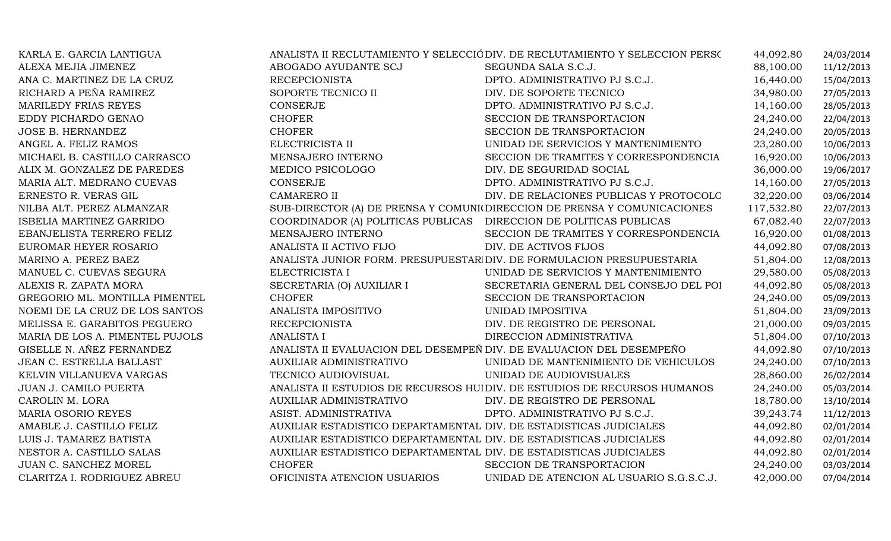| KARLA E. GARCIA LANTIGUA        |                                                                    | ANALISTA II RECLUTAMIENTO Y SELECCIÓ DIV. DE RECLUTAMIENTO Y SELECCION PERSO | 44,092.80  | 24/03/2014 |
|---------------------------------|--------------------------------------------------------------------|------------------------------------------------------------------------------|------------|------------|
| ALEXA MEJIA JIMENEZ             | ABOGADO AYUDANTE SCJ                                               | SEGUNDA SALA S.C.J.                                                          | 88,100.00  | 11/12/2013 |
| ANA C. MARTINEZ DE LA CRUZ      | <b>RECEPCIONISTA</b>                                               | DPTO. ADMINISTRATIVO PJ S.C.J.                                               | 16,440.00  | 15/04/2013 |
| RICHARD A PEÑA RAMIREZ          | SOPORTE TECNICO II                                                 | DIV. DE SOPORTE TECNICO                                                      | 34,980.00  | 27/05/2013 |
| MARILEDY FRIAS REYES            | CONSERJE                                                           | DPTO. ADMINISTRATIVO PJ S.C.J.                                               | 14,160.00  | 28/05/2013 |
| EDDY PICHARDO GENAO             | <b>CHOFER</b>                                                      | SECCION DE TRANSPORTACION                                                    | 24,240.00  | 22/04/2013 |
| JOSE B. HERNANDEZ               | <b>CHOFER</b>                                                      | SECCION DE TRANSPORTACION                                                    | 24,240.00  | 20/05/2013 |
| ANGEL A. FELIZ RAMOS            | ELECTRICISTA II                                                    | UNIDAD DE SERVICIOS Y MANTENIMIENTO                                          | 23,280.00  | 10/06/2013 |
| MICHAEL B. CASTILLO CARRASCO    | MENSAJERO INTERNO                                                  | SECCION DE TRAMITES Y CORRESPONDENCIA                                        | 16,920.00  | 10/06/2013 |
| ALIX M. GONZALEZ DE PAREDES     | MEDICO PSICOLOGO                                                   | DIV. DE SEGURIDAD SOCIAL                                                     | 36,000.00  | 19/06/2017 |
| MARIA ALT. MEDRANO CUEVAS       | <b>CONSERJE</b>                                                    | DPTO. ADMINISTRATIVO PJ S.C.J.                                               | 14,160.00  | 27/05/2013 |
| ERNESTO R. VERAS GIL            | <b>CAMARERO II</b>                                                 | DIV. DE RELACIONES PUBLICAS Y PROTOCOLO                                      | 32,220.00  | 03/06/2014 |
| NILBA ALT. PEREZ ALMANZAR       |                                                                    | SUB-DIRECTOR (A) DE PRENSA Y COMUNI(DIRECCION DE PRENSA Y COMUNICACIONES     | 117,532.80 | 22/07/2013 |
| ISBELIA MARTINEZ GARRIDO        | COORDINADOR (A) POLITICAS PUBLICAS DIRECCION DE POLITICAS PUBLICAS |                                                                              | 67,082.40  | 22/07/2013 |
| EBANJELISTA TERRERO FELIZ       | MENSAJERO INTERNO                                                  | SECCION DE TRAMITES Y CORRESPONDENCIA                                        | 16,920.00  | 01/08/2013 |
| EUROMAR HEYER ROSARIO           | ANALISTA II ACTIVO FIJO                                            | DIV. DE ACTIVOS FIJOS                                                        | 44,092.80  | 07/08/2013 |
| MARINO A. PEREZ BAEZ            |                                                                    | ANALISTA JUNIOR FORM. PRESUPUESTAR DIV. DE FORMULACION PRESUPUESTARIA        | 51,804.00  | 12/08/2013 |
| MANUEL C. CUEVAS SEGURA         | ELECTRICISTA I                                                     | UNIDAD DE SERVICIOS Y MANTENIMIENTO                                          | 29,580.00  | 05/08/2013 |
| ALEXIS R. ZAPATA MORA           | SECRETARIA (O) AUXILIAR I                                          | SECRETARIA GENERAL DEL CONSEJO DEL POI                                       | 44,092.80  | 05/08/2013 |
| GREGORIO ML. MONTILLA PIMENTEL  | <b>CHOFER</b>                                                      | SECCION DE TRANSPORTACION                                                    | 24,240.00  | 05/09/2013 |
| NOEMI DE LA CRUZ DE LOS SANTOS  | ANALISTA IMPOSITIVO                                                | UNIDAD IMPOSITIVA                                                            | 51,804.00  | 23/09/2013 |
| MELISSA E. GARABITOS PEGUERO    | <b>RECEPCIONISTA</b>                                               | DIV. DE REGISTRO DE PERSONAL                                                 | 21,000.00  | 09/03/2015 |
| MARIA DE LOS A. PIMENTEL PUJOLS | <b>ANALISTA I</b>                                                  | DIRECCION ADMINISTRATIVA                                                     | 51,804.00  | 07/10/2013 |
| GISELLE N. AÑEZ FERNANDEZ       |                                                                    | ANALISTA II EVALUACION DEL DESEMPEÑ DIV. DE EVALUACION DEL DESEMPEÑO         | 44,092.80  | 07/10/2013 |
| JEAN C. ESTRELLA BALLAST        | AUXILIAR ADMINISTRATIVO                                            | UNIDAD DE MANTENIMIENTO DE VEHICULOS                                         | 24,240.00  | 07/10/2013 |
| KELVIN VILLANUEVA VARGAS        | TECNICO AUDIOVISUAL                                                | UNIDAD DE AUDIOVISUALES                                                      | 28,860.00  | 26/02/2014 |
| JUAN J. CAMILO PUERTA           |                                                                    | ANALISTA II ESTUDIOS DE RECURSOS HUIDIV. DE ESTUDIOS DE RECURSOS HUMANOS     | 24,240.00  | 05/03/2014 |
| CAROLIN M. LORA                 | <b>AUXILIAR ADMINISTRATIVO</b>                                     | DIV. DE REGISTRO DE PERSONAL                                                 | 18,780.00  | 13/10/2014 |
| <b>MARIA OSORIO REYES</b>       | ASIST. ADMINISTRATIVA                                              | DPTO. ADMINISTRATIVO PJ S.C.J.                                               | 39,243.74  | 11/12/2013 |
| AMABLE J. CASTILLO FELIZ        | AUXILIAR ESTADISTICO DEPARTAMENTAL DIV. DE ESTADISTICAS JUDICIALES |                                                                              | 44,092.80  | 02/01/2014 |
| LUIS J. TAMAREZ BATISTA         | AUXILIAR ESTADISTICO DEPARTAMENTAL DIV. DE ESTADISTICAS JUDICIALES |                                                                              | 44,092.80  | 02/01/2014 |
| NESTOR A. CASTILLO SALAS        | AUXILIAR ESTADISTICO DEPARTAMENTAL DIV. DE ESTADISTICAS JUDICIALES |                                                                              | 44,092.80  | 02/01/2014 |
| JUAN C. SANCHEZ MOREL           | <b>CHOFER</b>                                                      | SECCION DE TRANSPORTACION                                                    | 24,240.00  | 03/03/2014 |
| CLARITZA I. RODRIGUEZ ABREU     | OFICINISTA ATENCION USUARIOS                                       | UNIDAD DE ATENCION AL USUARIO S.G.S.C.J.                                     | 42,000.00  | 07/04/2014 |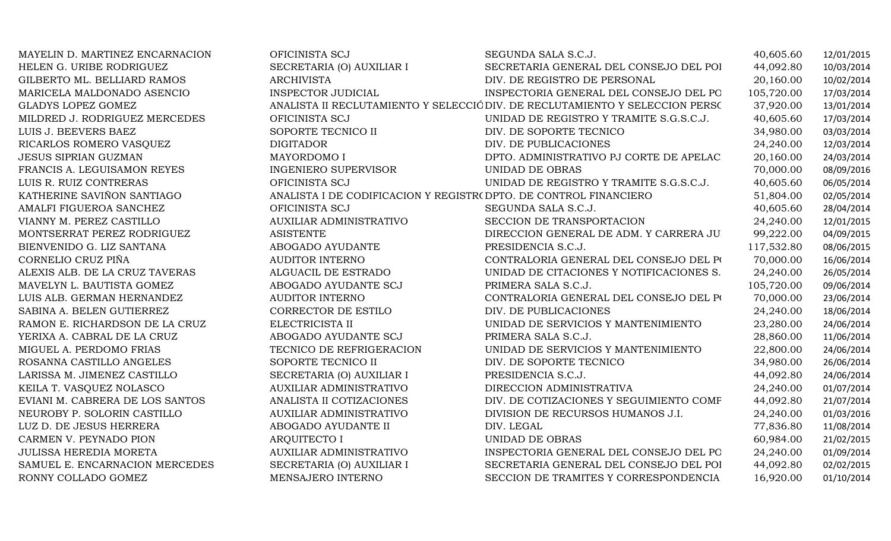| MAYELIN D. MARTINEZ ENCARNACION | OFICINISTA SCJ                                                    | SEGUNDA SALA S.C.J.                                                          | 40,605.60  | 12/01/2015 |
|---------------------------------|-------------------------------------------------------------------|------------------------------------------------------------------------------|------------|------------|
| HELEN G. URIBE RODRIGUEZ        | SECRETARIA (O) AUXILIAR I                                         | SECRETARIA GENERAL DEL CONSEJO DEL POI                                       | 44,092.80  | 10/03/2014 |
| GILBERTO ML. BELLIARD RAMOS     | <b>ARCHIVISTA</b>                                                 | DIV. DE REGISTRO DE PERSONAL                                                 | 20,160.00  | 10/02/2014 |
| MARICELA MALDONADO ASENCIO      | <b>INSPECTOR JUDICIAL</b>                                         | INSPECTORIA GENERAL DEL CONSEJO DEL PO                                       | 105,720.00 | 17/03/2014 |
| GLADYS LOPEZ GOMEZ              |                                                                   | ANALISTA II RECLUTAMIENTO Y SELECCIÓ DIV. DE RECLUTAMIENTO Y SELECCION PERSO | 37,920.00  | 13/01/2014 |
| MILDRED J. RODRIGUEZ MERCEDES   | OFICINISTA SCJ                                                    | UNIDAD DE REGISTRO Y TRAMITE S.G.S.C.J.                                      | 40,605.60  | 17/03/2014 |
| LUIS J. BEEVERS BAEZ            | SOPORTE TECNICO II                                                | DIV. DE SOPORTE TECNICO                                                      | 34,980.00  | 03/03/2014 |
| RICARLOS ROMERO VASQUEZ         | <b>DIGITADOR</b>                                                  | DIV. DE PUBLICACIONES                                                        | 24,240.00  | 12/03/2014 |
| <b>JESUS SIPRIAN GUZMAN</b>     | MAYORDOMO I                                                       | DPTO. ADMINISTRATIVO PJ CORTE DE APELAC                                      | 20,160.00  | 24/03/2014 |
| FRANCIS A. LEGUISAMON REYES     | <b>INGENIERO SUPERVISOR</b>                                       | UNIDAD DE OBRAS                                                              | 70,000.00  | 08/09/2016 |
| LUIS R. RUIZ CONTRERAS          | OFICINISTA SCJ                                                    | UNIDAD DE REGISTRO Y TRAMITE S.G.S.C.J.                                      | 40,605.60  | 06/05/2014 |
| KATHERINE SAVIÑON SANTIAGO      | ANALISTA I DE CODIFICACION Y REGISTR( DPTO. DE CONTROL FINANCIERO |                                                                              | 51,804.00  | 02/05/2014 |
| AMALFI FIGUEROA SANCHEZ         | OFICINISTA SCJ                                                    | SEGUNDA SALA S.C.J.                                                          | 40,605.60  | 28/04/2014 |
| VIANNY M. PEREZ CASTILLO        | AUXILIAR ADMINISTRATIVO                                           | SECCION DE TRANSPORTACION                                                    | 24,240.00  | 12/01/2015 |
| MONTSERRAT PEREZ RODRIGUEZ      | <b>ASISTENTE</b>                                                  | DIRECCION GENERAL DE ADM. Y CARRERA JU                                       | 99,222.00  | 04/09/2015 |
| BIENVENIDO G. LIZ SANTANA       | ABOGADO AYUDANTE                                                  | PRESIDENCIA S.C.J.                                                           | 117,532.80 | 08/06/2015 |
| CORNELIO CRUZ PIÑA              | <b>AUDITOR INTERNO</b>                                            | CONTRALORIA GENERAL DEL CONSEJO DEL PO                                       | 70,000.00  | 16/06/2014 |
| ALEXIS ALB. DE LA CRUZ TAVERAS  | ALGUACIL DE ESTRADO                                               | UNIDAD DE CITACIONES Y NOTIFICACIONES S.                                     | 24,240.00  | 26/05/2014 |
| MAVELYN L. BAUTISTA GOMEZ       | ABOGADO AYUDANTE SCJ                                              | PRIMERA SALA S.C.J.                                                          | 105,720.00 | 09/06/2014 |
| LUIS ALB. GERMAN HERNANDEZ      | <b>AUDITOR INTERNO</b>                                            | CONTRALORIA GENERAL DEL CONSEJO DEL PO                                       | 70,000.00  | 23/06/2014 |
| SABINA A. BELEN GUTIERREZ       | CORRECTOR DE ESTILO                                               | DIV. DE PUBLICACIONES                                                        | 24,240.00  | 18/06/2014 |
| RAMON E. RICHARDSON DE LA CRUZ  | ELECTRICISTA II                                                   | UNIDAD DE SERVICIOS Y MANTENIMIENTO                                          | 23,280.00  | 24/06/2014 |
| YERIXA A. CABRAL DE LA CRUZ     | ABOGADO AYUDANTE SCJ                                              | PRIMERA SALA S.C.J.                                                          | 28,860.00  | 11/06/2014 |
| MIGUEL A. PERDOMO FRIAS         | TECNICO DE REFRIGERACION                                          | UNIDAD DE SERVICIOS Y MANTENIMIENTO                                          | 22,800.00  | 24/06/2014 |
| ROSANNA CASTILLO ANGELES        | SOPORTE TECNICO II                                                | DIV. DE SOPORTE TECNICO                                                      | 34,980.00  | 26/06/2014 |
| LARISSA M. JIMENEZ CASTILLO     | SECRETARIA (O) AUXILIAR I                                         | PRESIDENCIA S.C.J.                                                           | 44,092.80  | 24/06/2014 |
| KEILA T. VASQUEZ NOLASCO        | <b>AUXILIAR ADMINISTRATIVO</b>                                    | DIRECCION ADMINISTRATIVA                                                     | 24,240.00  | 01/07/2014 |
| EVIANI M. CABRERA DE LOS SANTOS | ANALISTA II COTIZACIONES                                          | DIV. DE COTIZACIONES Y SEGUIMIENTO COMF                                      | 44,092.80  | 21/07/2014 |
| NEUROBY P. SOLORIN CASTILLO     | <b>AUXILIAR ADMINISTRATIVO</b>                                    | DIVISION DE RECURSOS HUMANOS J.I.                                            | 24,240.00  | 01/03/2016 |
| LUZ D. DE JESUS HERRERA         | ABOGADO AYUDANTE II                                               | DIV. LEGAL                                                                   | 77,836.80  | 11/08/2014 |
| CARMEN V. PEYNADO PION          | <b>ARQUITECTO I</b>                                               | UNIDAD DE OBRAS                                                              | 60,984.00  | 21/02/2015 |
| <b>JULISSA HEREDIA MORETA</b>   | AUXILIAR ADMINISTRATIVO                                           | INSPECTORIA GENERAL DEL CONSEJO DEL PO                                       | 24,240.00  | 01/09/2014 |
| SAMUEL E. ENCARNACION MERCEDES  | SECRETARIA (O) AUXILIAR I                                         | SECRETARIA GENERAL DEL CONSEJO DEL POI                                       | 44,092.80  | 02/02/2015 |
| RONNY COLLADO GOMEZ             | MENSAJERO INTERNO                                                 | SECCION DE TRAMITES Y CORRESPONDENCIA                                        | 16,920.00  | 01/10/2014 |
|                                 |                                                                   |                                                                              |            |            |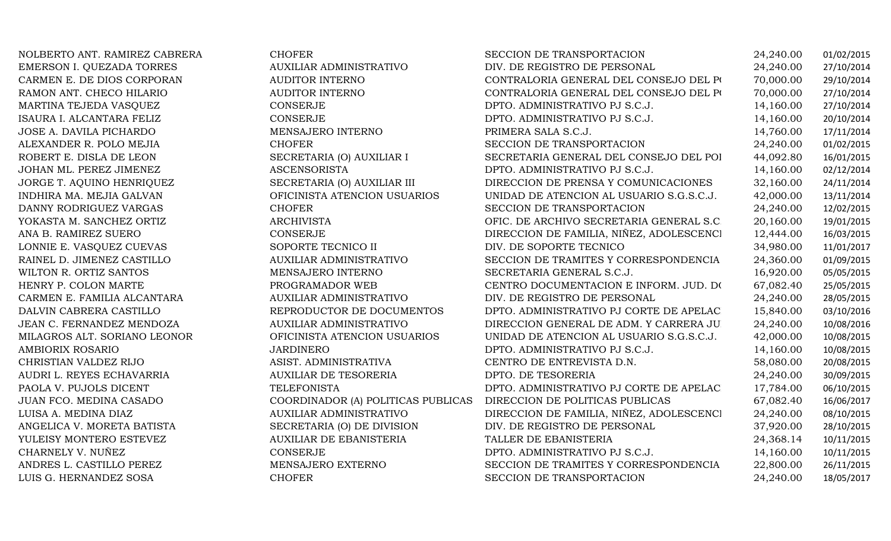| NOLBERTO ANT. RAMIREZ CABRERA | <b>CHOFER</b>                      | SECCION DE TRANSPORTACION                | 24,240.00 | 01/02/2015 |
|-------------------------------|------------------------------------|------------------------------------------|-----------|------------|
| EMERSON I. QUEZADA TORRES     | AUXILIAR ADMINISTRATIVO            | DIV. DE REGISTRO DE PERSONAL             | 24,240.00 | 27/10/2014 |
| CARMEN E. DE DIOS CORPORAN    | <b>AUDITOR INTERNO</b>             | CONTRALORIA GENERAL DEL CONSEJO DEL PO   | 70,000.00 | 29/10/2014 |
| RAMON ANT. CHECO HILARIO      | <b>AUDITOR INTERNO</b>             | CONTRALORIA GENERAL DEL CONSEJO DEL PO   | 70,000.00 | 27/10/2014 |
| MARTINA TEJEDA VASQUEZ        | CONSERJE                           | DPTO. ADMINISTRATIVO PJ S.C.J.           | 14,160.00 | 27/10/2014 |
| ISAURA I. ALCANTARA FELIZ     | CONSERJE                           | DPTO. ADMINISTRATIVO PJ S.C.J.           | 14,160.00 | 20/10/2014 |
| JOSE A. DAVILA PICHARDO       | MENSAJERO INTERNO                  | PRIMERA SALA S.C.J.                      | 14,760.00 | 17/11/2014 |
| ALEXANDER R. POLO MEJIA       | <b>CHOFER</b>                      | SECCION DE TRANSPORTACION                | 24,240.00 | 01/02/2015 |
| ROBERT E. DISLA DE LEON       | SECRETARIA (O) AUXILIAR I          | SECRETARIA GENERAL DEL CONSEJO DEL POI   | 44,092.80 | 16/01/2015 |
| JOHAN ML. PEREZ JIMENEZ       | <b>ASCENSORISTA</b>                | DPTO. ADMINISTRATIVO PJ S.C.J.           | 14,160.00 | 02/12/2014 |
| JORGE T. AQUINO HENRIQUEZ     | SECRETARIA (O) AUXILIAR III        | DIRECCION DE PRENSA Y COMUNICACIONES     | 32,160.00 | 24/11/2014 |
| INDHIRA MA. MEJIA GALVAN      | OFICINISTA ATENCION USUARIOS       | UNIDAD DE ATENCION AL USUARIO S.G.S.C.J. | 42,000.00 | 13/11/2014 |
| DANNY RODRIGUEZ VARGAS        | <b>CHOFER</b>                      | SECCION DE TRANSPORTACION                | 24,240.00 | 12/02/2015 |
| YOKASTA M. SANCHEZ ORTIZ      | <b>ARCHIVISTA</b>                  | OFIC. DE ARCHIVO SECRETARIA GENERAL S.C. | 20,160.00 | 19/01/2015 |
| ANA B. RAMIREZ SUERO          | CONSERJE                           | DIRECCION DE FAMILIA, NIÑEZ, ADOLESCENCI | 12,444.00 | 16/03/2015 |
| LONNIE E. VASQUEZ CUEVAS      | SOPORTE TECNICO II                 | DIV. DE SOPORTE TECNICO                  | 34,980.00 | 11/01/2017 |
| RAINEL D. JIMENEZ CASTILLO    | AUXILIAR ADMINISTRATIVO            | SECCION DE TRAMITES Y CORRESPONDENCIA    | 24,360.00 | 01/09/2015 |
| WILTON R. ORTIZ SANTOS        | MENSAJERO INTERNO                  | SECRETARIA GENERAL S.C.J.                | 16,920.00 | 05/05/2015 |
| HENRY P. COLON MARTE          | PROGRAMADOR WEB                    | CENTRO DOCUMENTACION E INFORM. JUD. DO   | 67,082.40 | 25/05/2015 |
| CARMEN E. FAMILIA ALCANTARA   | AUXILIAR ADMINISTRATIVO            | DIV. DE REGISTRO DE PERSONAL             | 24,240.00 | 28/05/2015 |
| DALVIN CABRERA CASTILLO       | REPRODUCTOR DE DOCUMENTOS          | DPTO. ADMINISTRATIVO PJ CORTE DE APELAC  | 15,840.00 | 03/10/2016 |
| JEAN C. FERNANDEZ MENDOZA     | <b>AUXILIAR ADMINISTRATIVO</b>     | DIRECCION GENERAL DE ADM. Y CARRERA JU   | 24,240.00 | 10/08/2016 |
| MILAGROS ALT. SORIANO LEONOR  | OFICINISTA ATENCION USUARIOS       | UNIDAD DE ATENCION AL USUARIO S.G.S.C.J. | 42,000.00 | 10/08/2015 |
| AMBIORIX ROSARIO              | <b>JARDINERO</b>                   | DPTO. ADMINISTRATIVO PJ S.C.J.           | 14,160.00 | 10/08/2015 |
| CHRISTIAN VALDEZ RIJO         | ASIST. ADMINISTRATIVA              | CENTRO DE ENTREVISTA D.N.                | 58,080.00 | 20/08/2015 |
| AUDRI L. REYES ECHAVARRIA     | <b>AUXILIAR DE TESORERIA</b>       | DPTO. DE TESORERIA                       | 24,240.00 | 30/09/2015 |
| PAOLA V. PUJOLS DICENT        | <b>TELEFONISTA</b>                 | DPTO. ADMINISTRATIVO PJ CORTE DE APELAC  | 17,784.00 | 06/10/2015 |
| JUAN FCO. MEDINA CASADO       | COORDINADOR (A) POLITICAS PUBLICAS | DIRECCION DE POLITICAS PUBLICAS          | 67,082.40 | 16/06/2017 |
| LUISA A. MEDINA DIAZ          | AUXILIAR ADMINISTRATIVO            | DIRECCION DE FAMILIA, NIÑEZ, ADOLESCENCI | 24,240.00 | 08/10/2015 |
| ANGELICA V. MORETA BATISTA    | SECRETARIA (O) DE DIVISION         | DIV. DE REGISTRO DE PERSONAL             | 37,920.00 | 28/10/2015 |
| YULEISY MONTERO ESTEVEZ       | AUXILIAR DE EBANISTERIA            | TALLER DE EBANISTERIA                    | 24,368.14 | 10/11/2015 |
| CHARNELY V. NUÑEZ             | CONSERJE                           | DPTO. ADMINISTRATIVO PJ S.C.J.           | 14,160.00 | 10/11/2015 |
| ANDRES L. CASTILLO PEREZ      | MENSAJERO EXTERNO                  | SECCION DE TRAMITES Y CORRESPONDENCIA    | 22,800.00 | 26/11/2015 |
| LUIS G. HERNANDEZ SOSA        | <b>CHOFER</b>                      | SECCION DE TRANSPORTACION                | 24,240.00 | 18/05/2017 |
|                               |                                    |                                          |           |            |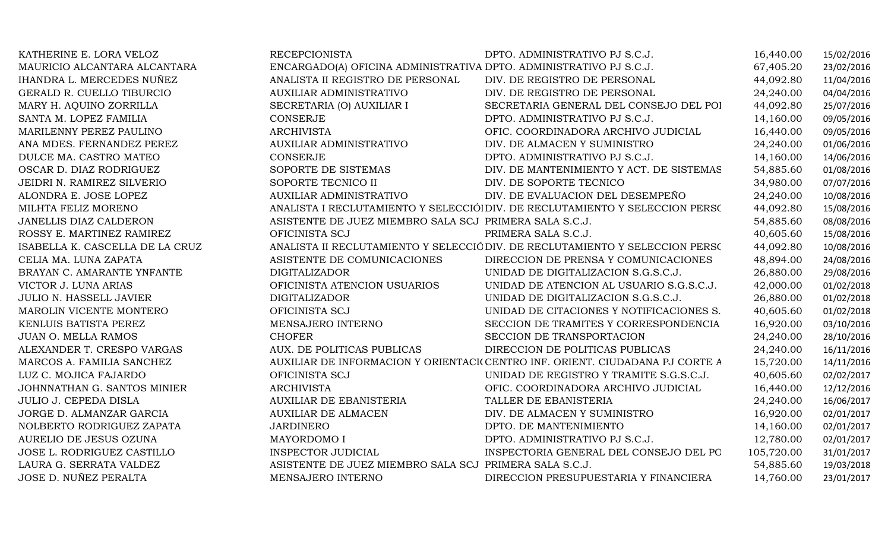| KATHERINE E. LORA VELOZ         | <b>RECEPCIONISTA</b>                                               | DPTO. ADMINISTRATIVO PJ S.C.J.                                               | 16,440.00  | 15/02/2016 |
|---------------------------------|--------------------------------------------------------------------|------------------------------------------------------------------------------|------------|------------|
| MAURICIO ALCANTARA ALCANTARA    | ENCARGADO(A) OFICINA ADMINISTRATIVA DPTO. ADMINISTRATIVO PJ S.C.J. |                                                                              | 67,405.20  | 23/02/2016 |
| IHANDRA L. MERCEDES NUÑEZ       | ANALISTA II REGISTRO DE PERSONAL                                   | DIV. DE REGISTRO DE PERSONAL                                                 | 44,092.80  | 11/04/2016 |
| GERALD R. CUELLO TIBURCIO       | <b>AUXILIAR ADMINISTRATIVO</b>                                     | DIV. DE REGISTRO DE PERSONAL                                                 | 24,240.00  | 04/04/2016 |
| MARY H. AQUINO ZORRILLA         | SECRETARIA (O) AUXILIAR I                                          | SECRETARIA GENERAL DEL CONSEJO DEL POI                                       | 44,092.80  | 25/07/2016 |
| SANTA M. LOPEZ FAMILIA          | CONSERJE                                                           | DPTO. ADMINISTRATIVO PJ S.C.J.                                               | 14,160.00  | 09/05/2016 |
| MARILENNY PEREZ PAULINO         | <b>ARCHIVISTA</b>                                                  | OFIC. COORDINADORA ARCHIVO JUDICIAL                                          | 16,440.00  | 09/05/2016 |
| ANA MDES. FERNANDEZ PEREZ       | <b>AUXILIAR ADMINISTRATIVO</b>                                     | DIV. DE ALMACEN Y SUMINISTRO                                                 | 24,240.00  | 01/06/2016 |
| DULCE MA. CASTRO MATEO          | CONSERJE                                                           | DPTO. ADMINISTRATIVO PJ S.C.J.                                               | 14,160.00  | 14/06/2016 |
| OSCAR D. DIAZ RODRIGUEZ         | SOPORTE DE SISTEMAS                                                | DIV. DE MANTENIMIENTO Y ACT. DE SISTEMAS                                     | 54,885.60  | 01/08/2016 |
| JEIDRI N. RAMIREZ SILVERIO      | SOPORTE TECNICO II                                                 | DIV. DE SOPORTE TECNICO                                                      | 34,980.00  | 07/07/2016 |
| ALONDRA E. JOSE LOPEZ           | <b>AUXILIAR ADMINISTRATIVO</b>                                     | DIV. DE EVALUACION DEL DESEMPEÑO                                             | 24,240.00  | 10/08/2016 |
| MILHTA FELIZ MORENO             |                                                                    | ANALISTA I RECLUTAMIENTO Y SELECCIÓ DIV. DE RECLUTAMIENTO Y SELECCION PERSO  | 44,092.80  | 15/08/2016 |
| JANELLIS DIAZ CALDERON          | ASISTENTE DE JUEZ MIEMBRO SALA SCJ PRIMERA SALA S.C.J.             |                                                                              | 54,885.60  | 08/08/2016 |
| ROSSY E. MARTINEZ RAMIREZ       | OFICINISTA SCJ                                                     | PRIMERA SALA S.C.J.                                                          | 40,605.60  | 15/08/2016 |
| ISABELLA K. CASCELLA DE LA CRUZ |                                                                    | ANALISTA II RECLUTAMIENTO Y SELECCIÓ DIV. DE RECLUTAMIENTO Y SELECCION PERSO | 44,092.80  | 10/08/2016 |
| CELIA MA. LUNA ZAPATA           | ASISTENTE DE COMUNICACIONES                                        | DIRECCION DE PRENSA Y COMUNICACIONES                                         | 48,894.00  | 24/08/2016 |
| BRAYAN C. AMARANTE YNFANTE      | <b>DIGITALIZADOR</b>                                               | UNIDAD DE DIGITALIZACION S.G.S.C.J.                                          | 26,880.00  | 29/08/2016 |
| VICTOR J. LUNA ARIAS            | OFICINISTA ATENCION USUARIOS                                       | UNIDAD DE ATENCION AL USUARIO S.G.S.C.J.                                     | 42,000.00  | 01/02/2018 |
| JULIO N. HASSELL JAVIER         | <b>DIGITALIZADOR</b>                                               | UNIDAD DE DIGITALIZACION S.G.S.C.J.                                          | 26,880.00  | 01/02/2018 |
| MAROLIN VICENTE MONTERO         | OFICINISTA SCJ                                                     | UNIDAD DE CITACIONES Y NOTIFICACIONES S.                                     | 40,605.60  | 01/02/2018 |
| KENLUIS BATISTA PEREZ           | MENSAJERO INTERNO                                                  | SECCION DE TRAMITES Y CORRESPONDENCIA                                        | 16,920.00  | 03/10/2016 |
| JUAN O. MELLA RAMOS             | <b>CHOFER</b>                                                      | SECCION DE TRANSPORTACION                                                    | 24,240.00  | 28/10/2016 |
| ALEXANDER T. CRESPO VARGAS      | AUX. DE POLITICAS PUBLICAS                                         | DIRECCION DE POLITICAS PUBLICAS                                              | 24,240.00  | 16/11/2016 |
| MARCOS A. FAMILIA SANCHEZ       |                                                                    | AUXILIAR DE INFORMACION Y ORIENTACI(CENTRO INF. ORIENT. CIUDADANA PJ CORTE A | 15,720.00  | 14/11/2016 |
| LUZ C. MOJICA FAJARDO           | OFICINISTA SCJ                                                     | UNIDAD DE REGISTRO Y TRAMITE S.G.S.C.J.                                      | 40,605.60  | 02/02/2017 |
| JOHNNATHAN G. SANTOS MINIER     | <b>ARCHIVISTA</b>                                                  | OFIC. COORDINADORA ARCHIVO JUDICIAL                                          | 16,440.00  | 12/12/2016 |
| <b>JULIO J. CEPEDA DISLA</b>    | <b>AUXILIAR DE EBANISTERIA</b>                                     | TALLER DE EBANISTERIA                                                        | 24,240.00  | 16/06/2017 |
| JORGE D. ALMANZAR GARCIA        | <b>AUXILIAR DE ALMACEN</b>                                         | DIV. DE ALMACEN Y SUMINISTRO                                                 | 16,920.00  | 02/01/2017 |
| NOLBERTO RODRIGUEZ ZAPATA       | <b>JARDINERO</b>                                                   | DPTO. DE MANTENIMIENTO                                                       | 14,160.00  | 02/01/2017 |
| AURELIO DE JESUS OZUNA          | MAYORDOMO I                                                        | DPTO. ADMINISTRATIVO PJ S.C.J.                                               | 12,780.00  | 02/01/2017 |
| JOSE L. RODRIGUEZ CASTILLO      | <b>INSPECTOR JUDICIAL</b>                                          | INSPECTORIA GENERAL DEL CONSEJO DEL PO                                       | 105,720.00 | 31/01/2017 |
| LAURA G. SERRATA VALDEZ         | ASISTENTE DE JUEZ MIEMBRO SALA SCJ PRIMERA SALA S.C.J.             |                                                                              | 54,885.60  | 19/03/2018 |
| JOSE D. NUÑEZ PERALTA           | MENSAJERO INTERNO                                                  | DIRECCION PRESUPUESTARIA Y FINANCIERA                                        | 14,760.00  | 23/01/2017 |
|                                 |                                                                    |                                                                              |            |            |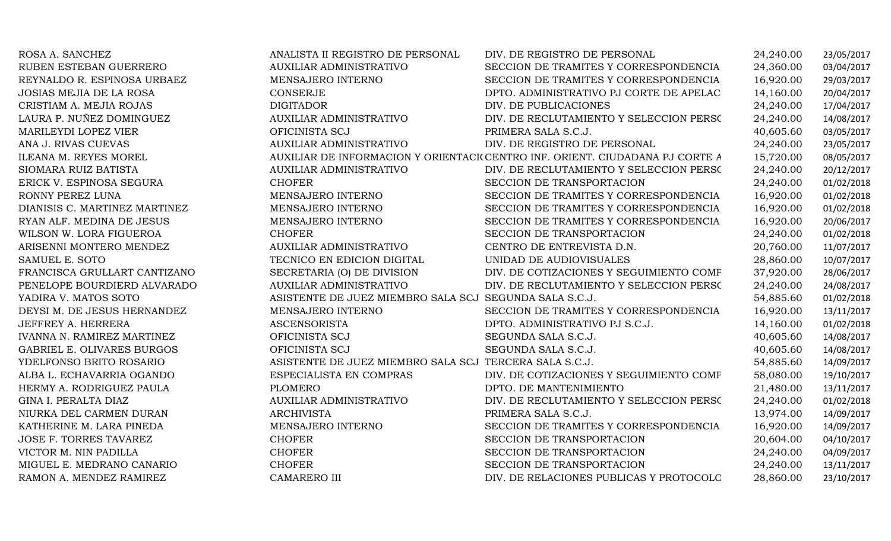| ROSA A. SANCHEZ                   | ANALISTA II REGISTRO DE PERSONAL                       | DIV. DE REGISTRO DE PERSONAL                                                 | 24,240.00 | 23/05/2017 |
|-----------------------------------|--------------------------------------------------------|------------------------------------------------------------------------------|-----------|------------|
| RUBEN ESTEBAN GUERRERO            | <b>AUXILIAR ADMINISTRATIVO</b>                         | SECCION DE TRAMITES Y CORRESPONDENCIA                                        | 24,360.00 | 03/04/2017 |
| REYNALDO R. ESPINOSA URBAEZ       | MENSAJERO INTERNO                                      | SECCION DE TRAMITES Y CORRESPONDENCIA                                        | 16,920.00 | 29/03/2017 |
| <b>JOSIAS MEJIA DE LA ROSA</b>    | CONSERJE                                               | DPTO. ADMINISTRATIVO PJ CORTE DE APELAC                                      | 14,160.00 | 20/04/2017 |
| CRISTIAM A. MEJIA ROJAS           | <b>DIGITADOR</b>                                       | DIV. DE PUBLICACIONES                                                        | 24,240.00 | 17/04/2017 |
| LAURA P. NUÑEZ DOMINGUEZ          | AUXILIAR ADMINISTRATIVO                                | DIV. DE RECLUTAMIENTO Y SELECCION PERSO                                      | 24,240.00 | 14/08/2017 |
| MARILEYDI LOPEZ VIER              | OFICINISTA SCJ                                         | PRIMERA SALA S.C.J.                                                          | 40,605.60 | 03/05/2017 |
| ANA J. RIVAS CUEVAS               | <b>AUXILIAR ADMINISTRATIVO</b>                         | DIV. DE REGISTRO DE PERSONAL                                                 | 24,240.00 | 23/05/2017 |
| ILEANA M. REYES MOREL             |                                                        | AUXILIAR DE INFORMACION Y ORIENTACI(CENTRO INF. ORIENT. CIUDADANA PJ CORTE A | 15,720.00 | 08/05/2017 |
| SIOMARA RUIZ BATISTA              | <b>AUXILIAR ADMINISTRATIVO</b>                         | DIV. DE RECLUTAMIENTO Y SELECCION PERSO                                      | 24,240.00 | 20/12/2017 |
| ERICK V. ESPINOSA SEGURA          | <b>CHOFER</b>                                          | SECCION DE TRANSPORTACION                                                    | 24,240.00 | 01/02/2018 |
| RONNY PEREZ LUNA                  | MENSAJERO INTERNO                                      | SECCION DE TRAMITES Y CORRESPONDENCIA                                        | 16,920.00 | 01/02/2018 |
| DIANISIS C. MARTINEZ MARTINEZ     | MENSAJERO INTERNO                                      | SECCION DE TRAMITES Y CORRESPONDENCIA                                        | 16,920.00 | 01/02/2018 |
| RYAN ALF. MEDINA DE JESUS         | MENSAJERO INTERNO                                      | SECCION DE TRAMITES Y CORRESPONDENCIA                                        | 16,920.00 | 20/06/2017 |
| WILSON W. LORA FIGUEROA           | <b>CHOFER</b>                                          | SECCION DE TRANSPORTACION                                                    | 24,240.00 | 01/02/2018 |
| ARISENNI MONTERO MENDEZ           | AUXILIAR ADMINISTRATIVO                                | CENTRO DE ENTREVISTA D.N.                                                    | 20,760.00 | 11/07/2017 |
| SAMUEL E. SOTO                    | TECNICO EN EDICION DIGITAL                             | UNIDAD DE AUDIOVISUALES                                                      | 28,860.00 | 10/07/2017 |
| FRANCISCA GRULLART CANTIZANO      | SECRETARIA (O) DE DIVISION                             | DIV. DE COTIZACIONES Y SEGUIMIENTO COMF                                      | 37,920.00 | 28/06/2017 |
| PENELOPE BOURDIERD ALVARADO       | <b>AUXILIAR ADMINISTRATIVO</b>                         | DIV. DE RECLUTAMIENTO Y SELECCION PERSO                                      | 24,240.00 | 24/08/2017 |
| YADIRA V. MATOS SOTO              | ASISTENTE DE JUEZ MIEMBRO SALA SCJ SEGUNDA SALA S.C.J. |                                                                              | 54,885.60 | 01/02/2018 |
| DEYSI M. DE JESUS HERNANDEZ       | MENSAJERO INTERNO                                      | SECCION DE TRAMITES Y CORRESPONDENCIA                                        | 16,920.00 | 13/11/2017 |
| JEFFREY A. HERRERA                | <b>ASCENSORISTA</b>                                    | DPTO. ADMINISTRATIVO PJ S.C.J.                                               | 14,160.00 | 01/02/2018 |
| <b>IVANNA N. RAMIREZ MARTINEZ</b> | OFICINISTA SCJ                                         | SEGUNDA SALA S.C.J.                                                          | 40,605.60 | 14/08/2017 |
| GABRIEL E. OLIVARES BURGOS        | OFICINISTA SCJ                                         | SEGUNDA SALA S.C.J.                                                          | 40,605.60 | 14/08/2017 |
| YDELFONSO BRITO ROSARIO           | ASISTENTE DE JUEZ MIEMBRO SALA SCJ TERCERA SALA S.C.J. |                                                                              | 54,885.60 | 14/09/2017 |
| ALBA L. ECHAVARRIA OGANDO         | ESPECIALISTA EN COMPRAS                                | DIV. DE COTIZACIONES Y SEGUIMIENTO COMF                                      | 58,080.00 | 19/10/2017 |
| HERMY A. RODRIGUEZ PAULA          | <b>PLOMERO</b>                                         | DPTO. DE MANTENIMIENTO                                                       | 21,480.00 | 13/11/2017 |
| GINA I. PERALTA DIAZ              | <b>AUXILIAR ADMINISTRATIVO</b>                         | DIV. DE RECLUTAMIENTO Y SELECCION PERSO                                      | 24,240.00 | 01/02/2018 |
| NIURKA DEL CARMEN DURAN           | <b>ARCHIVISTA</b>                                      | PRIMERA SALA S.C.J.                                                          | 13,974.00 | 14/09/2017 |
| KATHERINE M. LARA PINEDA          | MENSAJERO INTERNO                                      | SECCION DE TRAMITES Y CORRESPONDENCIA                                        | 16,920.00 | 14/09/2017 |
| JOSE F. TORRES TAVAREZ            | <b>CHOFER</b>                                          | SECCION DE TRANSPORTACION                                                    | 20,604.00 | 04/10/2017 |
| VICTOR M. NIN PADILLA             | <b>CHOFER</b>                                          | SECCION DE TRANSPORTACION                                                    | 24,240.00 | 04/09/2017 |
| MIGUEL E. MEDRANO CANARIO         | <b>CHOFER</b>                                          | SECCION DE TRANSPORTACION                                                    | 24,240.00 | 13/11/2017 |
| RAMON A. MENDEZ RAMIREZ           | <b>CAMARERO III</b>                                    | DIV. DE RELACIONES PUBLICAS Y PROTOCOLO                                      | 28,860.00 | 23/10/2017 |
|                                   |                                                        |                                                                              |           |            |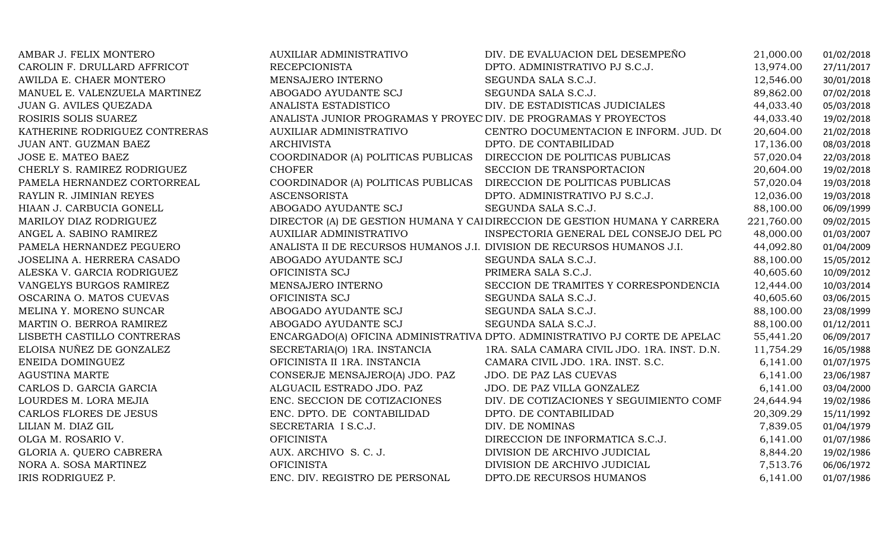| AMBAR J. FELIX MONTERO        | AUXILIAR ADMINISTRATIVO                                                | DIV. DE EVALUACION DEL DESEMPEÑO                                            | 21,000.00  | 01/02/2018 |
|-------------------------------|------------------------------------------------------------------------|-----------------------------------------------------------------------------|------------|------------|
| CAROLIN F. DRULLARD AFFRICOT  | <b>RECEPCIONISTA</b>                                                   | DPTO. ADMINISTRATIVO PJ S.C.J.                                              | 13,974.00  | 27/11/2017 |
| AWILDA E. CHAER MONTERO       | MENSAJERO INTERNO                                                      | SEGUNDA SALA S.C.J.                                                         | 12,546.00  | 30/01/2018 |
| MANUEL E. VALENZUELA MARTINEZ | ABOGADO AYUDANTE SCJ                                                   | SEGUNDA SALA S.C.J.                                                         | 89,862.00  | 07/02/2018 |
| JUAN G. AVILES QUEZADA        | ANALISTA ESTADISTICO                                                   | DIV. DE ESTADISTICAS JUDICIALES                                             | 44,033.40  | 05/03/2018 |
| ROSIRIS SOLIS SUAREZ          | ANALISTA JUNIOR PROGRAMAS Y PROYEC DIV. DE PROGRAMAS Y PROYECTOS       |                                                                             | 44,033.40  | 19/02/2018 |
| KATHERINE RODRIGUEZ CONTRERAS | AUXILIAR ADMINISTRATIVO                                                | CENTRO DOCUMENTACION E INFORM. JUD. DO                                      | 20,604.00  | 21/02/2018 |
| JUAN ANT. GUZMAN BAEZ         | <b>ARCHIVISTA</b>                                                      | DPTO. DE CONTABILIDAD                                                       | 17,136.00  | 08/03/2018 |
| JOSE E. MATEO BAEZ            | COORDINADOR (A) POLITICAS PUBLICAS DIRECCION DE POLITICAS PUBLICAS     |                                                                             | 57,020.04  | 22/03/2018 |
| CHERLY S. RAMIREZ RODRIGUEZ   | <b>CHOFER</b>                                                          | SECCION DE TRANSPORTACION                                                   | 20,604.00  | 19/02/2018 |
| PAMELA HERNANDEZ CORTORREAL   | COORDINADOR (A) POLITICAS PUBLICAS DIRECCION DE POLITICAS PUBLICAS     |                                                                             | 57,020.04  | 19/03/2018 |
| RAYLIN R. JIMINIAN REYES      | <b>ASCENSORISTA</b>                                                    | DPTO. ADMINISTRATIVO PJ S.C.J.                                              | 12,036.00  | 19/03/2018 |
| HIAAN J. CARBUCIA GONELL      | ABOGADO AYUDANTE SCJ                                                   | SEGUNDA SALA S.C.J.                                                         | 88,100.00  | 06/09/1999 |
| MARILOY DIAZ RODRIGUEZ        |                                                                        | DIRECTOR (A) DE GESTION HUMANA Y CAIDIRECCION DE GESTION HUMANA Y CARRERA   | 221,760.00 | 09/02/2015 |
| ANGEL A. SABINO RAMIREZ       | AUXILIAR ADMINISTRATIVO                                                | INSPECTORIA GENERAL DEL CONSEJO DEL PO                                      | 48,000.00  | 01/03/2007 |
| PAMELA HERNANDEZ PEGUERO      | ANALISTA II DE RECURSOS HUMANOS J.I. DIVISION DE RECURSOS HUMANOS J.I. |                                                                             | 44,092.80  | 01/04/2009 |
| JOSELINA A. HERRERA CASADO    | ABOGADO AYUDANTE SCJ                                                   | SEGUNDA SALA S.C.J.                                                         | 88,100.00  | 15/05/2012 |
| ALESKA V. GARCIA RODRIGUEZ    | OFICINISTA SCJ                                                         | PRIMERA SALA S.C.J.                                                         | 40,605.60  | 10/09/2012 |
| VANGELYS BURGOS RAMIREZ       | MENSAJERO INTERNO                                                      | SECCION DE TRAMITES Y CORRESPONDENCIA                                       | 12,444.00  | 10/03/2014 |
| OSCARINA O. MATOS CUEVAS      | OFICINISTA SCJ                                                         | SEGUNDA SALA S.C.J.                                                         | 40,605.60  | 03/06/2015 |
| MELINA Y. MORENO SUNCAR       | ABOGADO AYUDANTE SCJ                                                   | SEGUNDA SALA S.C.J.                                                         | 88,100.00  | 23/08/1999 |
| MARTIN O. BERROA RAMIREZ      | ABOGADO AYUDANTE SCJ                                                   | SEGUNDA SALA S.C.J.                                                         | 88,100.00  | 01/12/2011 |
| LISBETH CASTILLO CONTRERAS    |                                                                        | ENCARGADO(A) OFICINA ADMINISTRATIVA DPTO. ADMINISTRATIVO PJ CORTE DE APELAC | 55,441.20  | 06/09/2017 |
| ELOISA NUÑEZ DE GONZALEZ      | SECRETARIA(O) 1RA. INSTANCIA                                           | 1RA. SALA CAMARA CIVIL JDO. 1RA. INST. D.N.                                 | 11,754.29  | 16/05/1988 |
| ENEIDA DOMINGUEZ              | OFICINISTA II 1RA. INSTANCIA                                           | CAMARA CIVIL JDO. 1RA. INST. S.C.                                           | 6,141.00   | 01/07/1975 |
| <b>AGUSTINA MARTE</b>         | CONSERJE MENSAJERO(A) JDO. PAZ                                         | JDO. DE PAZ LAS CUEVAS                                                      | 6,141.00   | 23/06/1987 |
| CARLOS D. GARCIA GARCIA       | ALGUACIL ESTRADO JDO. PAZ                                              | JDO. DE PAZ VILLA GONZALEZ                                                  | 6,141.00   | 03/04/2000 |
| LOURDES M. LORA MEJIA         | ENC. SECCION DE COTIZACIONES                                           | DIV. DE COTIZACIONES Y SEGUIMIENTO COMF                                     | 24,644.94  | 19/02/1986 |
| CARLOS FLORES DE JESUS        | ENC. DPTO. DE CONTABILIDAD                                             | DPTO. DE CONTABILIDAD                                                       | 20,309.29  | 15/11/1992 |
| LILIAN M. DIAZ GIL            | SECRETARIA I S.C.J.                                                    | DIV. DE NOMINAS                                                             | 7,839.05   | 01/04/1979 |
| OLGA M. ROSARIO V.            | <b>OFICINISTA</b>                                                      | DIRECCION DE INFORMATICA S.C.J.                                             | 6,141.00   | 01/07/1986 |
| GLORIA A. QUERO CABRERA       | AUX. ARCHIVO S. C. J.                                                  | DIVISION DE ARCHIVO JUDICIAL                                                | 8,844.20   | 19/02/1986 |
| NORA A. SOSA MARTINEZ         | <b>OFICINISTA</b>                                                      | DIVISION DE ARCHIVO JUDICIAL                                                | 7,513.76   | 06/06/1972 |
| IRIS RODRIGUEZ P.             | ENC. DIV. REGISTRO DE PERSONAL                                         | DPTO.DE RECURSOS HUMANOS                                                    | 6,141.00   | 01/07/1986 |
|                               |                                                                        |                                                                             |            |            |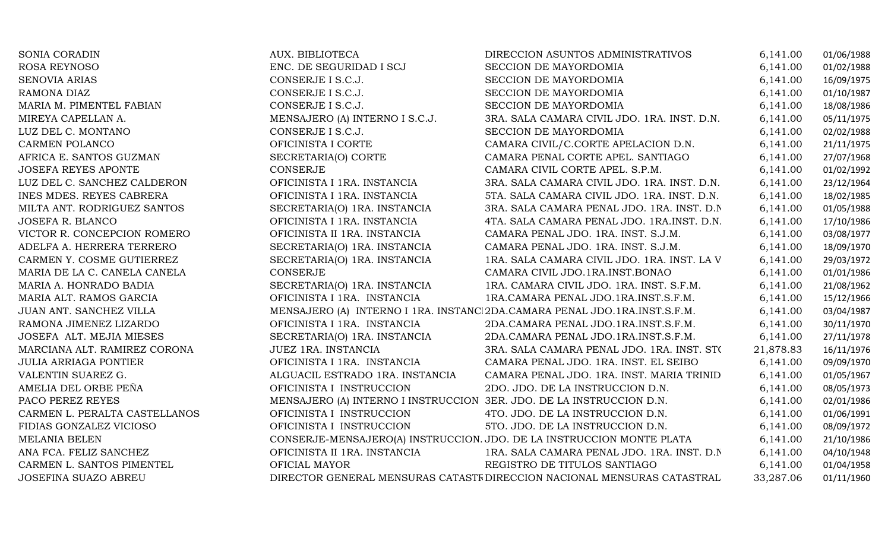| SONIA CORADIN                 | AUX. BIBLIOTECA                                                      | DIRECCION ASUNTOS ADMINISTRATIVOS                                         | 6,141.00  | 01/06/1988 |
|-------------------------------|----------------------------------------------------------------------|---------------------------------------------------------------------------|-----------|------------|
| ROSA REYNOSO                  | ENC. DE SEGURIDAD I SCJ                                              | SECCION DE MAYORDOMIA                                                     | 6,141.00  | 01/02/1988 |
| <b>SENOVIA ARIAS</b>          | CONSERJE I S.C.J.                                                    | SECCION DE MAYORDOMIA                                                     | 6,141.00  | 16/09/1975 |
| RAMONA DIAZ                   | CONSERJE I S.C.J.                                                    | SECCION DE MAYORDOMIA                                                     | 6,141.00  | 01/10/1987 |
| MARIA M. PIMENTEL FABIAN      | CONSERJE I S.C.J.                                                    | SECCION DE MAYORDOMIA                                                     | 6,141.00  | 18/08/1986 |
| MIREYA CAPELLAN A.            | MENSAJERO (A) INTERNO I S.C.J.                                       | 3RA. SALA CAMARA CIVIL JDO. 1RA. INST. D.N.                               | 6,141.00  | 05/11/1975 |
| LUZ DEL C. MONTANO            | CONSERJE I S.C.J.                                                    | SECCION DE MAYORDOMIA                                                     | 6,141.00  | 02/02/1988 |
| CARMEN POLANCO                | OFICINISTA I CORTE                                                   | CAMARA CIVIL/C.CORTE APELACION D.N.                                       | 6,141.00  | 21/11/1975 |
| AFRICA E. SANTOS GUZMAN       | SECRETARIA(O) CORTE                                                  | CAMARA PENAL CORTE APEL. SANTIAGO                                         | 6,141.00  | 27/07/1968 |
| <b>JOSEFA REYES APONTE</b>    | CONSERJE                                                             | CAMARA CIVIL CORTE APEL. S.P.M.                                           | 6,141.00  | 01/02/1992 |
| LUZ DEL C. SANCHEZ CALDERON   | OFICINISTA I 1RA. INSTANCIA                                          | 3RA. SALA CAMARA CIVIL JDO. 1RA. INST. D.N.                               | 6,141.00  | 23/12/1964 |
| INES MDES. REYES CABRERA      | OFICINISTA I 1RA. INSTANCIA                                          | 5TA. SALA CAMARA CIVIL JDO. 1RA. INST. D.N.                               | 6,141.00  | 18/02/1985 |
| MILTA ANT. RODRIGUEZ SANTOS   | SECRETARIA(O) 1RA. INSTANCIA                                         | 3RA. SALA CAMARA PENAL JDO. 1RA. INST. D.N.                               | 6,141.00  | 01/05/1988 |
| JOSEFA R. BLANCO              | OFICINISTA I 1RA. INSTANCIA                                          | 4TA. SALA CAMARA PENAL JDO. 1RA.INST. D.N.                                | 6,141.00  | 17/10/1986 |
| VICTOR R. CONCEPCION ROMERO   | OFICINISTA II 1RA. INSTANCIA                                         | CAMARA PENAL JDO. 1RA. INST. S.J.M.                                       | 6,141.00  | 03/08/1977 |
| ADELFA A. HERRERA TERRERO     | SECRETARIA(O) 1RA. INSTANCIA                                         | CAMARA PENAL JDO. 1RA. INST. S.J.M.                                       | 6,141.00  | 18/09/1970 |
| CARMEN Y. COSME GUTIERREZ     | SECRETARIA(O) 1RA. INSTANCIA                                         | 1RA. SALA CAMARA CIVIL JDO. 1RA. INST. LA V                               | 6,141.00  | 29/03/1972 |
| MARIA DE LA C. CANELA CANELA  | CONSERJE                                                             | CAMARA CIVIL JDO.1RA.INST.BONAO                                           | 6,141.00  | 01/01/1986 |
| MARIA A. HONRADO BADIA        | SECRETARIA(O) 1RA. INSTANCIA                                         | 1RA. CAMARA CIVIL JDO. 1RA. INST. S.F.M.                                  | 6,141.00  | 21/08/1962 |
| MARIA ALT. RAMOS GARCIA       | OFICINISTA I 1RA. INSTANCIA                                          | 1RA.CAMARA PENAL JDO.1RA.INST.S.F.M.                                      | 6,141.00  | 15/12/1966 |
| JUAN ANT. SANCHEZ VILLA       |                                                                      | MENSAJERO (A) INTERNO I 1RA. INSTANC 2DA.CAMARA PENAL JDO.1RA.INST.S.F.M. | 6,141.00  | 03/04/1987 |
| RAMONA JIMENEZ LIZARDO        | OFICINISTA I 1RA. INSTANCIA                                          | 2DA.CAMARA PENAL JDO.1RA.INST.S.F.M.                                      | 6,141.00  | 30/11/1970 |
| JOSEFA ALT. MEJIA MIESES      | SECRETARIA(O) 1RA. INSTANCIA                                         | 2DA.CAMARA PENAL JDO.1RA.INST.S.F.M.                                      | 6,141.00  | 27/11/1978 |
| MARCIANA ALT. RAMIREZ CORONA  | JUEZ 1RA. INSTANCIA                                                  | 3RA. SALA CAMARA PENAL JDO. 1RA. INST. STO                                | 21,878.83 | 16/11/1976 |
| <b>JULIA ARRIAGA PONTIER</b>  | OFICINISTA I 1RA. INSTANCIA                                          | CAMARA PENAL JDO. 1RA. INST. EL SEIBO                                     | 6,141.00  | 09/09/1970 |
| VALENTIN SUAREZ G.            | ALGUACIL ESTRADO 1RA. INSTANCIA                                      | CAMARA PENAL JDO. 1RA. INST. MARIA TRINID                                 | 6,141.00  | 01/05/1967 |
| AMELIA DEL ORBE PEÑA          | OFICINISTA I INSTRUCCION                                             | 2DO. JDO. DE LA INSTRUCCION D.N.                                          | 6,141.00  | 08/05/1973 |
| PACO PEREZ REYES              | MENSAJERO (A) INTERNO I INSTRUCCION 3ER. JDO. DE LA INSTRUCCION D.N. |                                                                           | 6,141.00  | 02/01/1986 |
| CARMEN L. PERALTA CASTELLANOS | OFICINISTA I INSTRUCCION                                             | 4TO. JDO. DE LA INSTRUCCION D.N.                                          | 6,141.00  | 01/06/1991 |
| FIDIAS GONZALEZ VICIOSO       | OFICINISTA I INSTRUCCION                                             | 5TO. JDO. DE LA INSTRUCCION D.N.                                          | 6,141.00  | 08/09/1972 |
| MELANIA BELEN                 |                                                                      | CONSERJE-MENSAJERO(A) INSTRUCCION. JDO. DE LA INSTRUCCION MONTE PLATA     | 6,141.00  | 21/10/1986 |
| ANA FCA. FELIZ SANCHEZ        | OFICINISTA II 1RA. INSTANCIA                                         | 1RA. SALA CAMARA PENAL JDO. 1RA. INST. D.N                                | 6,141.00  | 04/10/1948 |
| CARMEN L. SANTOS PIMENTEL     | OFICIAL MAYOR                                                        | REGISTRO DE TITULOS SANTIAGO                                              | 6,141.00  | 01/04/1958 |
| JOSEFINA SUAZO ABREU          |                                                                      | DIRECTOR GENERAL MENSURAS CATASTF DIRECCION NACIONAL MENSURAS CATASTRAL   | 33,287.06 | 01/11/1960 |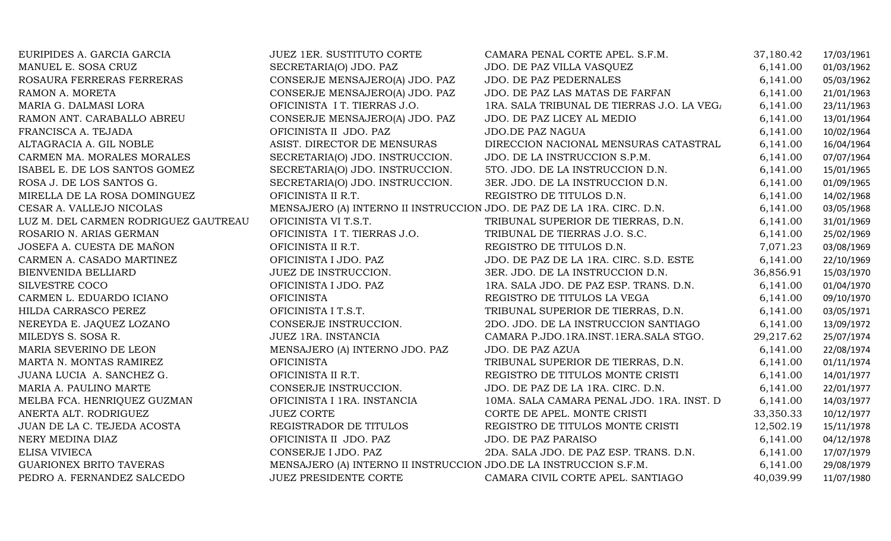| EURIPIDES A. GARCIA GARCIA           | JUEZ 1ER. SUSTITUTO CORTE                                              | CAMARA PENAL CORTE APEL. S.F.M.            | 37,180.42 | 17/03/1961 |
|--------------------------------------|------------------------------------------------------------------------|--------------------------------------------|-----------|------------|
| MANUEL E. SOSA CRUZ                  | SECRETARIA(O) JDO. PAZ                                                 | JDO. DE PAZ VILLA VASQUEZ                  | 6,141.00  | 01/03/1962 |
| ROSAURA FERRERAS FERRERAS            | CONSERJE MENSAJERO(A) JDO. PAZ                                         | <b>JDO. DE PAZ PEDERNALES</b>              | 6,141.00  | 05/03/1962 |
| RAMON A. MORETA                      | CONSERJE MENSAJERO(A) JDO. PAZ                                         | JDO. DE PAZ LAS MATAS DE FARFAN            | 6,141.00  | 21/01/1963 |
| MARIA G. DALMASI LORA                | OFICINISTA I T. TIERRAS J.O.                                           | 1RA. SALA TRIBUNAL DE TIERRAS J.O. LA VEG. | 6,141.00  | 23/11/1963 |
| RAMON ANT. CARABALLO ABREU           | CONSERJE MENSAJERO(A) JDO. PAZ                                         | JDO. DE PAZ LICEY AL MEDIO                 | 6,141.00  | 13/01/1964 |
| FRANCISCA A. TEJADA                  | OFICINISTA II JDO. PAZ                                                 | <b>JDO.DE PAZ NAGUA</b>                    | 6,141.00  | 10/02/1964 |
| ALTAGRACIA A. GIL NOBLE              | ASIST. DIRECTOR DE MENSURAS                                            | DIRECCION NACIONAL MENSURAS CATASTRAL      | 6,141.00  | 16/04/1964 |
| CARMEN MA. MORALES MORALES           | SECRETARIA(O) JDO. INSTRUCCION.                                        | JDO. DE LA INSTRUCCION S.P.M.              | 6,141.00  | 07/07/1964 |
| ISABEL E. DE LOS SANTOS GOMEZ        | SECRETARIA(O) JDO. INSTRUCCION.                                        | 5TO. JDO. DE LA INSTRUCCION D.N.           | 6,141.00  | 15/01/1965 |
| ROSA J. DE LOS SANTOS G.             | SECRETARIA(O) JDO. INSTRUCCION.                                        | 3ER. JDO. DE LA INSTRUCCION D.N.           | 6,141.00  | 01/09/1965 |
| MIRELLA DE LA ROSA DOMINGUEZ         | OFICINISTA II R.T.                                                     | REGISTRO DE TITULOS D.N.                   | 6,141.00  | 14/02/1968 |
| CESAR A. VALLEJO NICOLAS             | MENSAJERO (A) INTERNO II INSTRUCCION JDO. DE PAZ DE LA 1RA. CIRC. D.N. |                                            | 6,141.00  | 03/05/1968 |
| LUZ M. DEL CARMEN RODRIGUEZ GAUTREAU | OFICINISTA VI T.S.T.                                                   | TRIBUNAL SUPERIOR DE TIERRAS, D.N.         | 6,141.00  | 31/01/1969 |
| ROSARIO N. ARIAS GERMAN              | OFICINISTA I T. TIERRAS J.O.                                           | TRIBUNAL DE TIERRAS J.O. S.C.              | 6,141.00  | 25/02/1969 |
| JOSEFA A. CUESTA DE MAÑON            | OFICINISTA II R.T.                                                     | REGISTRO DE TITULOS D.N.                   | 7,071.23  | 03/08/1969 |
| CARMEN A. CASADO MARTINEZ            | OFICINISTA I JDO. PAZ                                                  | JDO. DE PAZ DE LA 1RA. CIRC. S.D. ESTE     | 6,141.00  | 22/10/1969 |
| BIENVENIDA BELLIARD                  | JUEZ DE INSTRUCCION.                                                   | 3ER. JDO. DE LA INSTRUCCION D.N.           | 36,856.91 | 15/03/1970 |
| SILVESTRE COCO                       | OFICINISTA I JDO. PAZ                                                  | 1RA. SALA JDO. DE PAZ ESP. TRANS. D.N.     | 6,141.00  | 01/04/1970 |
| CARMEN L. EDUARDO ICIANO             | <b>OFICINISTA</b>                                                      | REGISTRO DE TITULOS LA VEGA                | 6,141.00  | 09/10/1970 |
| HILDA CARRASCO PEREZ                 | OFICINISTA I T.S.T.                                                    | TRIBUNAL SUPERIOR DE TIERRAS, D.N.         | 6,141.00  | 03/05/1971 |
| NEREYDA E. JAQUEZ LOZANO             | CONSERJE INSTRUCCION.                                                  | 2DO. JDO. DE LA INSTRUCCION SANTIAGO       | 6,141.00  | 13/09/1972 |
| MILEDYS S. SOSA R.                   | JUEZ 1RA. INSTANCIA                                                    | CAMARA P.JDO.1RA.INST.1ERA.SALA STGO.      | 29,217.62 | 25/07/1974 |
| MARIA SEVERINO DE LEON               | MENSAJERO (A) INTERNO JDO. PAZ                                         | JDO. DE PAZ AZUA                           | 6,141.00  | 22/08/1974 |
| MARTA N. MONTAS RAMIREZ              | <b>OFICINISTA</b>                                                      | TRIBUNAL SUPERIOR DE TIERRAS, D.N.         | 6,141.00  | 01/11/1974 |
| JUANA LUCIA A. SANCHEZ G.            | OFICINISTA II R.T.                                                     | REGISTRO DE TITULOS MONTE CRISTI           | 6,141.00  | 14/01/1977 |
| MARIA A. PAULINO MARTE               | CONSERJE INSTRUCCION.                                                  | JDO. DE PAZ DE LA 1RA. CIRC. D.N.          | 6,141.00  | 22/01/1977 |
| MELBA FCA. HENRIQUEZ GUZMAN          | OFICINISTA I 1RA. INSTANCIA                                            | 10MA. SALA CAMARA PENAL JDO. 1RA. INST. D  | 6,141.00  | 14/03/1977 |
| ANERTA ALT. RODRIGUEZ                | <b>JUEZ CORTE</b>                                                      | CORTE DE APEL. MONTE CRISTI                | 33,350.33 | 10/12/1977 |
| JUAN DE LA C. TEJEDA ACOSTA          | REGISTRADOR DE TITULOS                                                 | REGISTRO DE TITULOS MONTE CRISTI           | 12,502.19 | 15/11/1978 |
| NERY MEDINA DIAZ                     | OFICINISTA II JDO. PAZ                                                 | <b>JDO. DE PAZ PARAISO</b>                 | 6,141.00  | 04/12/1978 |
| <b>ELISA VIVIECA</b>                 | CONSERJE I JDO. PAZ                                                    | 2DA. SALA JDO. DE PAZ ESP. TRANS. D.N.     | 6,141.00  | 17/07/1979 |
| <b>GUARIONEX BRITO TAVERAS</b>       | MENSAJERO (A) INTERNO II INSTRUCCION JDO.DE LA INSTRUCCION S.F.M.      |                                            | 6,141.00  | 29/08/1979 |
| PEDRO A. FERNANDEZ SALCEDO           | <b>JUEZ PRESIDENTE CORTE</b>                                           | CAMARA CIVIL CORTE APEL. SANTIAGO          | 40,039.99 | 11/07/1980 |
|                                      |                                                                        |                                            |           |            |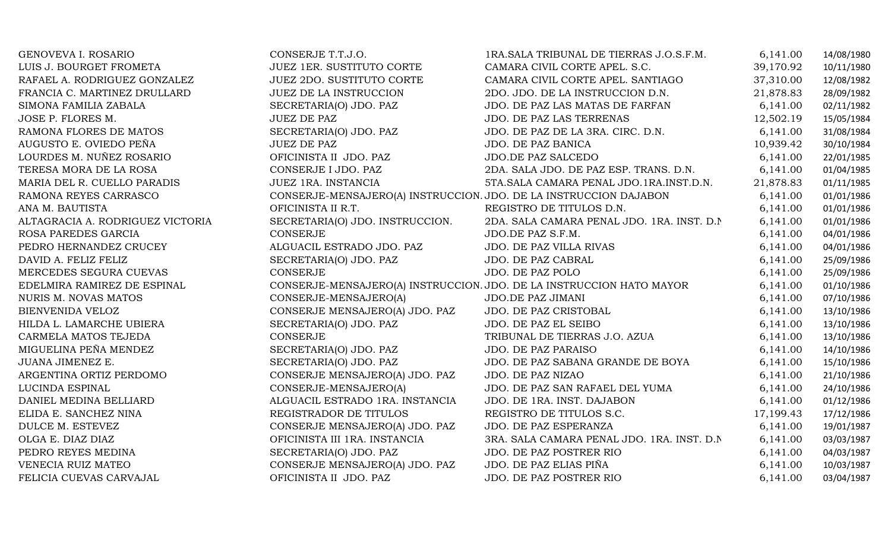| GENOVEVA I. ROSARIO              | CONSERJE T.T.J.O.                | 1RA. SALA TRIBUNAL DE TIERRAS J.O.S.F.M.                             | 6,141.00  | 14/08/1980 |
|----------------------------------|----------------------------------|----------------------------------------------------------------------|-----------|------------|
| LUIS J. BOURGET FROMETA          | <b>JUEZ 1ER. SUSTITUTO CORTE</b> | CAMARA CIVIL CORTE APEL. S.C.                                        | 39,170.92 | 10/11/1980 |
| RAFAEL A. RODRIGUEZ GONZALEZ     | <b>JUEZ 2DO. SUSTITUTO CORTE</b> | CAMARA CIVIL CORTE APEL. SANTIAGO                                    | 37,310.00 | 12/08/1982 |
| FRANCIA C. MARTINEZ DRULLARD     | <b>JUEZ DE LA INSTRUCCION</b>    | 2DO. JDO. DE LA INSTRUCCION D.N.                                     | 21,878.83 | 28/09/1982 |
| SIMONA FAMILIA ZABALA            | SECRETARIA(O) JDO. PAZ           | JDO. DE PAZ LAS MATAS DE FARFAN                                      | 6,141.00  | 02/11/1982 |
| JOSE P. FLORES M.                | <b>JUEZ DE PAZ</b>               | JDO. DE PAZ LAS TERRENAS                                             | 12,502.19 | 15/05/1984 |
| RAMONA FLORES DE MATOS           | SECRETARIA(O) JDO. PAZ           | JDO. DE PAZ DE LA 3RA. CIRC. D.N.                                    | 6,141.00  | 31/08/1984 |
| AUGUSTO E. OVIEDO PEÑA           | <b>JUEZ DE PAZ</b>               | JDO. DE PAZ BANICA                                                   | 10,939.42 | 30/10/1984 |
| LOURDES M. NUÑEZ ROSARIO         | OFICINISTA II JDO. PAZ           | JDO.DE PAZ SALCEDO                                                   | 6,141.00  | 22/01/1985 |
| TERESA MORA DE LA ROSA           | CONSERJE I JDO. PAZ              | 2DA. SALA JDO. DE PAZ ESP. TRANS. D.N.                               | 6,141.00  | 01/04/1985 |
| MARIA DEL R. CUELLO PARADIS      | JUEZ 1RA. INSTANCIA              | 5TA.SALA CAMARA PENAL JDO.1RA.INST.D.N.                              | 21,878.83 | 01/11/1985 |
| RAMONA REYES CARRASCO            |                                  | CONSERJE-MENSAJERO(A) INSTRUCCION. JDO. DE LA INSTRUCCION DAJABON    | 6,141.00  | 01/01/1986 |
| ANA M. BAUTISTA                  | OFICINISTA II R.T.               | REGISTRO DE TITULOS D.N.                                             | 6,141.00  | 01/01/1986 |
| ALTAGRACIA A. RODRIGUEZ VICTORIA | SECRETARIA(O) JDO. INSTRUCCION.  | 2DA. SALA CAMARA PENAL JDO. 1RA. INST. D.N.                          | 6,141.00  | 01/01/1986 |
| ROSA PAREDES GARCIA              | CONSERJE                         | JDO.DE PAZ S.F.M.                                                    | 6,141.00  | 04/01/1986 |
| PEDRO HERNANDEZ CRUCEY           | ALGUACIL ESTRADO JDO. PAZ        | <b>JDO. DE PAZ VILLA RIVAS</b>                                       | 6,141.00  | 04/01/1986 |
| DAVID A. FELIZ FELIZ             | SECRETARIA(O) JDO. PAZ           | JDO. DE PAZ CABRAL                                                   | 6,141.00  | 25/09/1986 |
| MERCEDES SEGURA CUEVAS           | CONSERJE                         | JDO. DE PAZ POLO                                                     | 6,141.00  | 25/09/1986 |
| EDELMIRA RAMIREZ DE ESPINAL      |                                  | CONSERJE-MENSAJERO(A) INSTRUCCION. JDO. DE LA INSTRUCCION HATO MAYOR | 6,141.00  | 01/10/1986 |
| NURIS M. NOVAS MATOS             | CONSERJE-MENSAJERO(A)            | JDO.DE PAZ JIMANI                                                    | 6,141.00  | 07/10/1986 |
| BIENVENIDA VELOZ                 | CONSERJE MENSAJERO(A) JDO. PAZ   | JDO. DE PAZ CRISTOBAL                                                | 6,141.00  | 13/10/1986 |
| HILDA L. LAMARCHE UBIERA         | SECRETARIA(O) JDO. PAZ           | JDO. DE PAZ EL SEIBO                                                 | 6,141.00  | 13/10/1986 |
| CARMELA MATOS TEJEDA             | CONSERJE                         | TRIBUNAL DE TIERRAS J.O. AZUA                                        | 6,141.00  | 13/10/1986 |
| MIGUELINA PEÑA MENDEZ            | SECRETARIA(O) JDO. PAZ           | JDO. DE PAZ PARAISO                                                  | 6,141.00  | 14/10/1986 |
| JUANA JIMENEZ E.                 | SECRETARIA(O) JDO. PAZ           | JDO. DE PAZ SABANA GRANDE DE BOYA                                    | 6,141.00  | 15/10/1986 |
| ARGENTINA ORTIZ PERDOMO          | CONSERJE MENSAJERO(A) JDO. PAZ   | JDO. DE PAZ NIZAO                                                    | 6,141.00  | 21/10/1986 |
| LUCINDA ESPINAL                  | CONSERJE-MENSAJERO(A)            | JDO. DE PAZ SAN RAFAEL DEL YUMA                                      | 6,141.00  | 24/10/1986 |
| DANIEL MEDINA BELLIARD           | ALGUACIL ESTRADO 1RA. INSTANCIA  | JDO. DE 1RA. INST. DAJABON                                           | 6,141.00  | 01/12/1986 |
| ELIDA E. SANCHEZ NINA            | REGISTRADOR DE TITULOS           | REGISTRO DE TITULOS S.C.                                             | 17,199.43 | 17/12/1986 |
| DULCE M. ESTEVEZ                 | CONSERJE MENSAJERO(A) JDO. PAZ   | JDO. DE PAZ ESPERANZA                                                | 6,141.00  | 19/01/1987 |
| OLGA E. DIAZ DIAZ                | OFICINISTA III 1RA. INSTANCIA    | 3RA. SALA CAMARA PENAL JDO. 1RA. INST. D.N.                          | 6,141.00  | 03/03/1987 |
| PEDRO REYES MEDINA               | SECRETARIA(O) JDO. PAZ           | JDO. DE PAZ POSTRER RIO                                              | 6,141.00  | 04/03/1987 |
| VENECIA RUIZ MATEO               | CONSERJE MENSAJERO(A) JDO. PAZ   | JDO. DE PAZ ELIAS PIÑA                                               | 6,141.00  | 10/03/1987 |
| FELICIA CUEVAS CARVAJAL          | OFICINISTA II JDO. PAZ           | JDO. DE PAZ POSTRER RIO                                              | 6,141.00  | 03/04/1987 |
|                                  |                                  |                                                                      |           |            |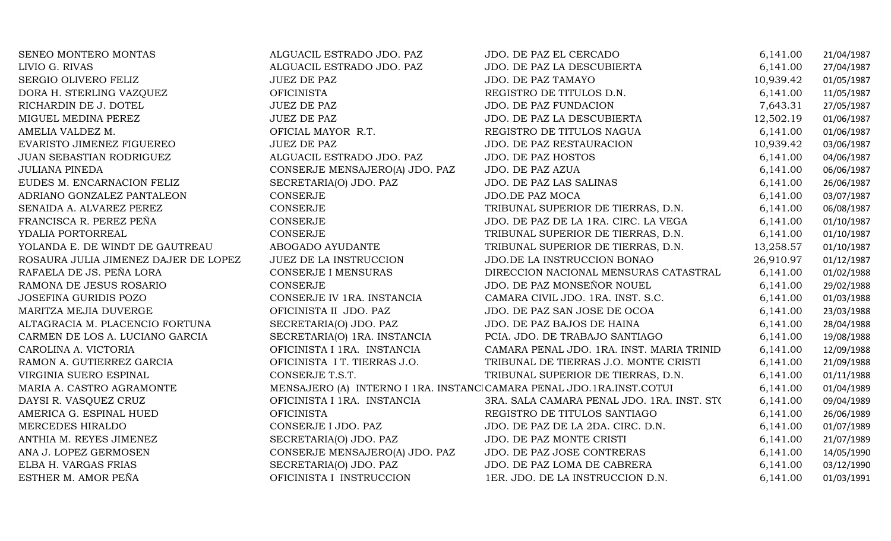| SENEO MONTERO MONTAS                 | ALGUACIL ESTRADO JDO. PAZ                                            | JDO. DE PAZ EL CERCADO                     | 6,141.00  | 21/04/1987 |
|--------------------------------------|----------------------------------------------------------------------|--------------------------------------------|-----------|------------|
| LIVIO G. RIVAS                       | ALGUACIL ESTRADO JDO. PAZ                                            | JDO. DE PAZ LA DESCUBIERTA                 | 6,141.00  | 27/04/1987 |
| SERGIO OLIVERO FELIZ                 | <b>JUEZ DE PAZ</b>                                                   | JDO. DE PAZ TAMAYO                         | 10,939.42 | 01/05/1987 |
| DORA H. STERLING VAZQUEZ             | <b>OFICINISTA</b>                                                    | REGISTRO DE TITULOS D.N.                   | 6,141.00  | 11/05/1987 |
| RICHARDIN DE J. DOTEL                | <b>JUEZ DE PAZ</b>                                                   | JDO. DE PAZ FUNDACION                      | 7,643.31  | 27/05/1987 |
| MIGUEL MEDINA PEREZ                  | <b>JUEZ DE PAZ</b>                                                   | JDO. DE PAZ LA DESCUBIERTA                 | 12,502.19 | 01/06/1987 |
| AMELIA VALDEZ M.                     | OFICIAL MAYOR R.T.                                                   | REGISTRO DE TITULOS NAGUA                  | 6,141.00  | 01/06/1987 |
| EVARISTO JIMENEZ FIGUEREO            | <b>JUEZ DE PAZ</b>                                                   | JDO. DE PAZ RESTAURACION                   | 10,939.42 | 03/06/1987 |
| JUAN SEBASTIAN RODRIGUEZ             | ALGUACIL ESTRADO JDO. PAZ                                            | <b>JDO. DE PAZ HOSTOS</b>                  | 6,141.00  | 04/06/1987 |
| <b>JULIANA PINEDA</b>                | CONSERJE MENSAJERO(A) JDO. PAZ                                       | JDO. DE PAZ AZUA                           | 6,141.00  | 06/06/1987 |
| EUDES M. ENCARNACION FELIZ           | SECRETARIA(O) JDO. PAZ                                               | JDO. DE PAZ LAS SALINAS                    | 6,141.00  | 26/06/1987 |
| ADRIANO GONZALEZ PANTALEON           | CONSERJE                                                             | <b>JDO.DE PAZ MOCA</b>                     | 6,141.00  | 03/07/1987 |
| SENAIDA A. ALVAREZ PEREZ             | CONSERJE                                                             | TRIBUNAL SUPERIOR DE TIERRAS, D.N.         | 6,141.00  | 06/08/1987 |
| FRANCISCA R. PEREZ PEÑA              | CONSERJE                                                             | JDO. DE PAZ DE LA 1RA. CIRC. LA VEGA       | 6,141.00  | 01/10/1987 |
| YDALIA PORTORREAL                    | CONSERJE                                                             | TRIBUNAL SUPERIOR DE TIERRAS, D.N.         | 6,141.00  | 01/10/1987 |
| YOLANDA E. DE WINDT DE GAUTREAU      | ABOGADO AYUDANTE                                                     | TRIBUNAL SUPERIOR DE TIERRAS, D.N.         | 13,258.57 | 01/10/1987 |
| ROSAURA JULIA JIMENEZ DAJER DE LOPEZ | <b>JUEZ DE LA INSTRUCCION</b>                                        | JDO.DE LA INSTRUCCION BONAO                | 26,910.97 | 01/12/1987 |
| RAFAELA DE JS. PEÑA LORA             | <b>CONSERJE I MENSURAS</b>                                           | DIRECCION NACIONAL MENSURAS CATASTRAL      | 6,141.00  | 01/02/1988 |
| RAMONA DE JESUS ROSARIO              | CONSERJE                                                             | JDO. DE PAZ MONSEÑOR NOUEL                 | 6,141.00  | 29/02/1988 |
| <b>JOSEFINA GURIDIS POZO</b>         | CONSERJE IV 1RA. INSTANCIA                                           | CAMARA CIVIL JDO. 1RA. INST. S.C.          | 6,141.00  | 01/03/1988 |
| MARITZA MEJIA DUVERGE                | OFICINISTA II JDO. PAZ                                               | JDO. DE PAZ SAN JOSE DE OCOA               | 6,141.00  | 23/03/1988 |
| ALTAGRACIA M. PLACENCIO FORTUNA      | SECRETARIA(O) JDO. PAZ                                               | JDO. DE PAZ BAJOS DE HAINA                 | 6,141.00  | 28/04/1988 |
| CARMEN DE LOS A. LUCIANO GARCIA      | SECRETARIA(O) 1RA. INSTANCIA                                         | PCIA. JDO. DE TRABAJO SANTIAGO             | 6,141.00  | 19/08/1988 |
| CAROLINA A. VICTORIA                 | OFICINISTA I 1RA. INSTANCIA                                          | CAMARA PENAL JDO. 1RA. INST. MARIA TRINID  | 6,141.00  | 12/09/1988 |
| RAMON A. GUTIERREZ GARCIA            | OFICINISTA I T. TIERRAS J.O.                                         | TRIBUNAL DE TIERRAS J.O. MONTE CRISTI      | 6,141.00  | 21/09/1988 |
| VIRGINIA SUERO ESPINAL               | CONSERJE T.S.T.                                                      | TRIBUNAL SUPERIOR DE TIERRAS, D.N.         | 6,141.00  | 01/11/1988 |
| MARIA A. CASTRO AGRAMONTE            | MENSAJERO (A) INTERNO I 1RA. INSTANCICAMARA PENAL JDO.1RA.INST.COTUI |                                            | 6,141.00  | 01/04/1989 |
| DAYSI R. VASQUEZ CRUZ                | OFICINISTA I 1RA. INSTANCIA                                          | 3RA. SALA CAMARA PENAL JDO. 1RA. INST. STO | 6,141.00  | 09/04/1989 |
| AMERICA G. ESPINAL HUED              | <b>OFICINISTA</b>                                                    | REGISTRO DE TITULOS SANTIAGO               | 6,141.00  | 26/06/1989 |
| MERCEDES HIRALDO                     | CONSERJE I JDO. PAZ                                                  | JDO. DE PAZ DE LA 2DA. CIRC. D.N.          | 6,141.00  | 01/07/1989 |
| ANTHIA M. REYES JIMENEZ              | SECRETARIA(O) JDO. PAZ                                               | JDO. DE PAZ MONTE CRISTI                   | 6,141.00  | 21/07/1989 |
| ANA J. LOPEZ GERMOSEN                | CONSERJE MENSAJERO(A) JDO. PAZ                                       | JDO. DE PAZ JOSE CONTRERAS                 | 6,141.00  | 14/05/1990 |
| ELBA H. VARGAS FRIAS                 | SECRETARIA(O) JDO. PAZ                                               | JDO. DE PAZ LOMA DE CABRERA                | 6,141.00  | 03/12/1990 |
| ESTHER M. AMOR PEÑA                  | OFICINISTA I INSTRUCCION                                             | 1ER. JDO. DE LA INSTRUCCION D.N.           | 6,141.00  | 01/03/1991 |
|                                      |                                                                      |                                            |           |            |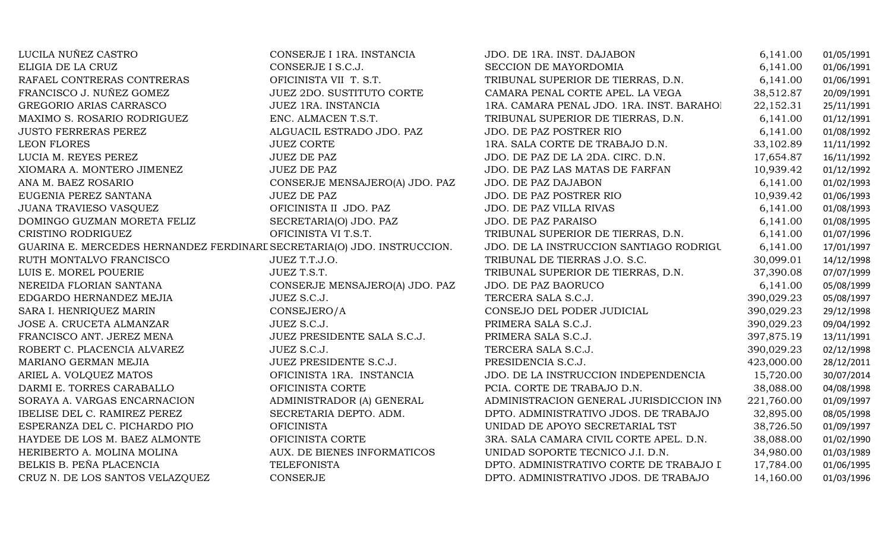| LUCILA NUÑEZ CASTRO                                                     | CONSERJE I 1RA. INSTANCIA        | JDO. DE 1RA. INST. DAJABON                | 6,141.00   | 01/05/1991 |
|-------------------------------------------------------------------------|----------------------------------|-------------------------------------------|------------|------------|
| ELIGIA DE LA CRUZ                                                       | CONSERJE I S.C.J.                | SECCION DE MAYORDOMIA                     | 6,141.00   | 01/06/1991 |
| RAFAEL CONTRERAS CONTRERAS                                              | OFICINISTA VII T. S.T.           | TRIBUNAL SUPERIOR DE TIERRAS, D.N.        | 6,141.00   | 01/06/1991 |
| FRANCISCO J. NUÑEZ GOMEZ                                                | <b>JUEZ 2DO. SUSTITUTO CORTE</b> | CAMARA PENAL CORTE APEL. LA VEGA          | 38,512.87  | 20/09/1991 |
| GREGORIO ARIAS CARRASCO                                                 | JUEZ 1RA. INSTANCIA              | 1RA. CAMARA PENAL JDO. 1RA. INST. BARAHO! | 22,152.31  | 25/11/1991 |
| MAXIMO S. ROSARIO RODRIGUEZ                                             | ENC. ALMACEN T.S.T.              | TRIBUNAL SUPERIOR DE TIERRAS, D.N.        | 6,141.00   | 01/12/1991 |
| <b>JUSTO FERRERAS PEREZ</b>                                             | ALGUACIL ESTRADO JDO. PAZ        | JDO. DE PAZ POSTRER RIO                   | 6,141.00   | 01/08/1992 |
| <b>LEON FLORES</b>                                                      | <b>JUEZ CORTE</b>                | 1RA. SALA CORTE DE TRABAJO D.N.           | 33,102.89  | 11/11/1992 |
| LUCIA M. REYES PEREZ                                                    | <b>JUEZ DE PAZ</b>               | JDO. DE PAZ DE LA 2DA. CIRC. D.N.         | 17,654.87  | 16/11/1992 |
| XIOMARA A. MONTERO JIMENEZ                                              | <b>JUEZ DE PAZ</b>               | JDO. DE PAZ LAS MATAS DE FARFAN           | 10,939.42  | 01/12/1992 |
| ANA M. BAEZ ROSARIO                                                     | CONSERJE MENSAJERO(A) JDO. PAZ   | JDO. DE PAZ DAJABON                       | 6,141.00   | 01/02/1993 |
| EUGENIA PEREZ SANTANA                                                   | <b>JUEZ DE PAZ</b>               | JDO. DE PAZ POSTRER RIO                   | 10,939.42  | 01/06/1993 |
| <b>JUANA TRAVIESO VASQUEZ</b>                                           | OFICINISTA II JDO. PAZ           | <b>JDO. DE PAZ VILLA RIVAS</b>            | 6,141.00   | 01/08/1993 |
| DOMINGO GUZMAN MORETA FELIZ                                             | SECRETARIA(O) JDO. PAZ           | <b>JDO. DE PAZ PARAISO</b>                | 6,141.00   | 01/08/1995 |
| CRISTINO RODRIGUEZ                                                      | OFICINISTA VI T.S.T.             | TRIBUNAL SUPERIOR DE TIERRAS, D.N.        | 6,141.00   | 01/07/1996 |
| GUARINA E. MERCEDES HERNANDEZ FERDINARI SECRETARIA(O) JDO. INSTRUCCION. |                                  | JDO. DE LA INSTRUCCION SANTIAGO RODRIGU   | 6,141.00   | 17/01/1997 |
| RUTH MONTALVO FRANCISCO                                                 | JUEZ T.T.J.O.                    | TRIBUNAL DE TIERRAS J.O. S.C.             | 30,099.01  | 14/12/1998 |
| LUIS E. MOREL POUERIE                                                   | JUEZ T.S.T.                      | TRIBUNAL SUPERIOR DE TIERRAS, D.N.        | 37,390.08  | 07/07/1999 |
| NEREIDA FLORIAN SANTANA                                                 | CONSERJE MENSAJERO(A) JDO. PAZ   | JDO. DE PAZ BAORUCO                       | 6,141.00   | 05/08/1999 |
| EDGARDO HERNANDEZ MEJIA                                                 | JUEZ S.C.J.                      | TERCERA SALA S.C.J.                       | 390,029.23 | 05/08/1997 |
| SARA I. HENRIQUEZ MARIN                                                 | CONSEJERO/A                      | CONSEJO DEL PODER JUDICIAL                | 390,029.23 | 29/12/1998 |
| JOSE A. CRUCETA ALMANZAR                                                | JUEZ S.C.J.                      | PRIMERA SALA S.C.J.                       | 390,029.23 | 09/04/1992 |
| FRANCISCO ANT. JEREZ MENA                                               | JUEZ PRESIDENTE SALA S.C.J.      | PRIMERA SALA S.C.J.                       | 397,875.19 | 13/11/1991 |
| ROBERT C. PLACENCIA ALVAREZ                                             | JUEZ S.C.J.                      | TERCERA SALA S.C.J.                       | 390,029.23 | 02/12/1998 |
| MARIANO GERMAN MEJIA                                                    | JUEZ PRESIDENTE S.C.J.           | PRESIDENCIA S.C.J.                        | 423,000.00 | 28/12/2011 |
| ARIEL A. VOLQUEZ MATOS                                                  | OFICINISTA 1RA. INSTANCIA        | JDO. DE LA INSTRUCCION INDEPENDENCIA      | 15,720.00  | 30/07/2014 |
| DARMI E. TORRES CARABALLO                                               | OFICINISTA CORTE                 | PCIA. CORTE DE TRABAJO D.N.               | 38,088.00  | 04/08/1998 |
| SORAYA A. VARGAS ENCARNACION                                            | ADMINISTRADOR (A) GENERAL        | ADMINISTRACION GENERAL JURISDICCION INN   | 221,760.00 | 01/09/1997 |
| IBELISE DEL C. RAMIREZ PEREZ                                            | SECRETARIA DEPTO. ADM.           | DPTO. ADMINISTRATIVO JDOS. DE TRABAJO     | 32,895.00  | 08/05/1998 |
| ESPERANZA DEL C. PICHARDO PIO                                           | <b>OFICINISTA</b>                | UNIDAD DE APOYO SECRETARIAL TST           | 38,726.50  | 01/09/1997 |
| HAYDEE DE LOS M. BAEZ ALMONTE                                           | OFICINISTA CORTE                 | 3RA. SALA CAMARA CIVIL CORTE APEL. D.N.   | 38,088.00  | 01/02/1990 |
| HERIBERTO A. MOLINA MOLINA                                              | AUX. DE BIENES INFORMATICOS      | UNIDAD SOPORTE TECNICO J.I. D.N.          | 34,980.00  | 01/03/1989 |
| BELKIS B. PEÑA PLACENCIA                                                | <b>TELEFONISTA</b>               | DPTO. ADMINISTRATIVO CORTE DE TRABAJO I   | 17,784.00  | 01/06/1995 |
| CRUZ N. DE LOS SANTOS VELAZQUEZ                                         | <b>CONSERJE</b>                  | DPTO. ADMINISTRATIVO JDOS. DE TRABAJO     | 14,160.00  | 01/03/1996 |
|                                                                         |                                  |                                           |            |            |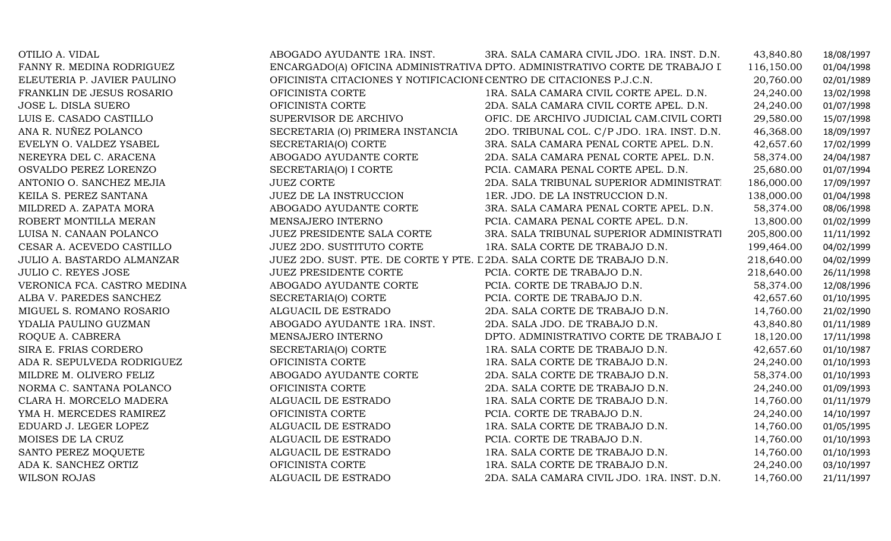| OTILIO A. VIDAL                   | ABOGADO AYUDANTE 1RA. INST.                                            | 3RA. SALA CAMARA CIVIL JDO. 1RA. INST. D.N.                                 | 43,840.80  | 18/08/1997 |
|-----------------------------------|------------------------------------------------------------------------|-----------------------------------------------------------------------------|------------|------------|
| FANNY R. MEDINA RODRIGUEZ         |                                                                        | ENCARGADO(A) OFICINA ADMINISTRATIVA DPTO. ADMINISTRATIVO CORTE DE TRABAJO I | 116,150.00 | 01/04/1998 |
| ELEUTERIA P. JAVIER PAULINO       | OFICINISTA CITACIONES Y NOTIFICACIONI CENTRO DE CITACIONES P.J.C.N.    |                                                                             | 20,760.00  | 02/01/1989 |
| FRANKLIN DE JESUS ROSARIO         | OFICINISTA CORTE                                                       | 1RA. SALA CAMARA CIVIL CORTE APEL. D.N.                                     | 24,240.00  | 13/02/1998 |
| JOSE L. DISLA SUERO               | OFICINISTA CORTE                                                       | 2DA. SALA CAMARA CIVIL CORTE APEL. D.N.                                     | 24,240.00  | 01/07/1998 |
| LUIS E. CASADO CASTILLO           | SUPERVISOR DE ARCHIVO                                                  | OFIC. DE ARCHIVO JUDICIAL CAM.CIVIL CORTI                                   | 29,580.00  | 15/07/1998 |
| ANA R. NUÑEZ POLANCO              | SECRETARIA (O) PRIMERA INSTANCIA                                       | 2DO. TRIBUNAL COL. C/P JDO. 1RA. INST. D.N.                                 | 46,368.00  | 18/09/1997 |
| EVELYN O. VALDEZ YSABEL           | SECRETARIA(O) CORTE                                                    | 3RA. SALA CAMARA PENAL CORTE APEL. D.N.                                     | 42,657.60  | 17/02/1999 |
| NEREYRA DEL C. ARACENA            | ABOGADO AYUDANTE CORTE                                                 | 2DA. SALA CAMARA PENAL CORTE APEL. D.N.                                     | 58,374.00  | 24/04/1987 |
| OSVALDO PEREZ LORENZO             | SECRETARIA(O) I CORTE                                                  | PCIA. CAMARA PENAL CORTE APEL. D.N.                                         | 25,680.00  | 01/07/1994 |
| ANTONIO O. SANCHEZ MEJIA          | <b>JUEZ CORTE</b>                                                      | 2DA. SALA TRIBUNAL SUPERIOR ADMINISTRAT.                                    | 186,000.00 | 17/09/1997 |
| KEILA S. PEREZ SANTANA            | JUEZ DE LA INSTRUCCION                                                 | 1ER. JDO. DE LA INSTRUCCION D.N.                                            | 138,000.00 | 01/04/1998 |
| MILDRED A. ZAPATA MORA            | ABOGADO AYUDANTE CORTE                                                 | 3RA. SALA CAMARA PENAL CORTE APEL. D.N.                                     | 58,374.00  | 08/06/1998 |
| ROBERT MONTILLA MERAN             | MENSAJERO INTERNO                                                      | PCIA. CAMARA PENAL CORTE APEL. D.N.                                         | 13,800.00  | 01/02/1999 |
| LUISA N. CANAAN POLANCO           | JUEZ PRESIDENTE SALA CORTE                                             | 3RA. SALA TRIBUNAL SUPERIOR ADMINISTRATI                                    | 205,800.00 | 11/11/1992 |
| CESAR A. ACEVEDO CASTILLO         | <b>JUEZ 2DO. SUSTITUTO CORTE</b>                                       | 1RA. SALA CORTE DE TRABAJO D.N.                                             | 199,464.00 | 04/02/1999 |
| <b>JULIO A. BASTARDO ALMANZAR</b> | JUEZ 2DO. SUST. PTE. DE CORTE Y PTE. L 2DA. SALA CORTE DE TRABAJO D.N. |                                                                             | 218,640.00 | 04/02/1999 |
| <b>JULIO C. REYES JOSE</b>        | <b>JUEZ PRESIDENTE CORTE</b>                                           | PCIA. CORTE DE TRABAJO D.N.                                                 | 218,640.00 | 26/11/1998 |
| VERONICA FCA. CASTRO MEDINA       | ABOGADO AYUDANTE CORTE                                                 | PCIA. CORTE DE TRABAJO D.N.                                                 | 58,374.00  | 12/08/1996 |
| ALBA V. PAREDES SANCHEZ           | SECRETARIA(O) CORTE                                                    | PCIA. CORTE DE TRABAJO D.N.                                                 | 42,657.60  | 01/10/1995 |
| MIGUEL S. ROMANO ROSARIO          | ALGUACIL DE ESTRADO                                                    | 2DA. SALA CORTE DE TRABAJO D.N.                                             | 14,760.00  | 21/02/1990 |
| YDALIA PAULINO GUZMAN             | ABOGADO AYUDANTE 1RA. INST.                                            | 2DA. SALA JDO. DE TRABAJO D.N.                                              | 43,840.80  | 01/11/1989 |
| ROQUE A. CABRERA                  | MENSAJERO INTERNO                                                      | DPTO. ADMINISTRATIVO CORTE DE TRABAJO I                                     | 18,120.00  | 17/11/1998 |
| SIRA E. FRIAS CORDERO             | SECRETARIA(O) CORTE                                                    | 1RA. SALA CORTE DE TRABAJO D.N.                                             | 42,657.60  | 01/10/1987 |
| ADA R. SEPULVEDA RODRIGUEZ        | OFICINISTA CORTE                                                       | 1RA. SALA CORTE DE TRABAJO D.N.                                             | 24,240.00  | 01/10/1993 |
| MILDRE M. OLIVERO FELIZ           | ABOGADO AYUDANTE CORTE                                                 | 2DA. SALA CORTE DE TRABAJO D.N.                                             | 58,374.00  | 01/10/1993 |
| NORMA C. SANTANA POLANCO          | OFICINISTA CORTE                                                       | 2DA. SALA CORTE DE TRABAJO D.N.                                             | 24,240.00  | 01/09/1993 |
| CLARA H. MORCELO MADERA           | ALGUACIL DE ESTRADO                                                    | 1RA. SALA CORTE DE TRABAJO D.N.                                             | 14,760.00  | 01/11/1979 |
| YMA H. MERCEDES RAMIREZ           | OFICINISTA CORTE                                                       | PCIA. CORTE DE TRABAJO D.N.                                                 | 24,240.00  | 14/10/1997 |
| EDUARD J. LEGER LOPEZ             | ALGUACIL DE ESTRADO                                                    | 1RA. SALA CORTE DE TRABAJO D.N.                                             | 14,760.00  | 01/05/1995 |
| MOISES DE LA CRUZ                 | ALGUACIL DE ESTRADO                                                    | PCIA. CORTE DE TRABAJO D.N.                                                 | 14,760.00  | 01/10/1993 |
| SANTO PEREZ MOQUETE               | ALGUACIL DE ESTRADO                                                    | 1RA. SALA CORTE DE TRABAJO D.N.                                             | 14,760.00  | 01/10/1993 |
| ADA K. SANCHEZ ORTIZ              | OFICINISTA CORTE                                                       | 1RA. SALA CORTE DE TRABAJO D.N.                                             | 24,240.00  | 03/10/1997 |
| <b>WILSON ROJAS</b>               | ALGUACIL DE ESTRADO                                                    | 2DA. SALA CAMARA CIVIL JDO. 1RA. INST. D.N.                                 | 14,760.00  | 21/11/1997 |
|                                   |                                                                        |                                                                             |            |            |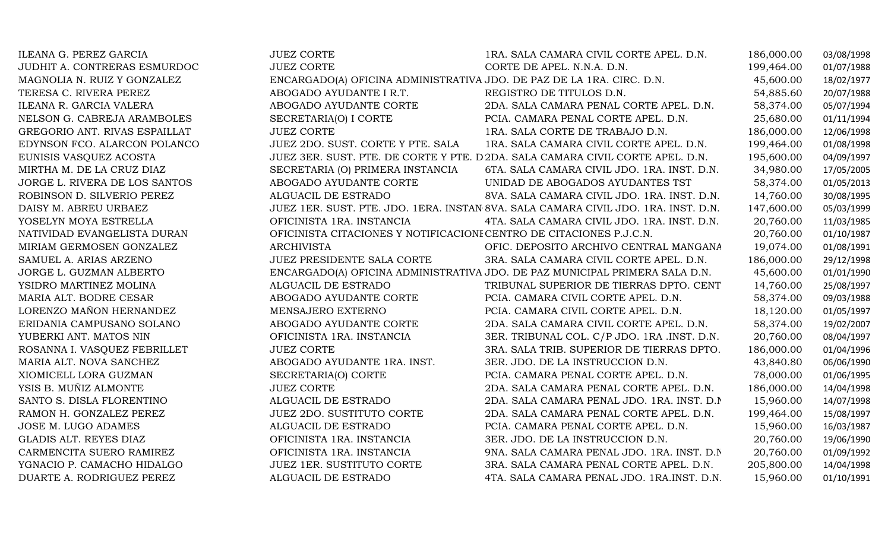| ILEANA G. PEREZ GARCIA        | <b>JUEZ CORTE</b>                                                     | 1RA. SALA CAMARA CIVIL CORTE APEL. D.N.                                            | 186,000.00 | 03/08/1998 |
|-------------------------------|-----------------------------------------------------------------------|------------------------------------------------------------------------------------|------------|------------|
| JUDHIT A. CONTRERAS ESMURDOC  | <b>JUEZ CORTE</b>                                                     | CORTE DE APEL. N.N.A. D.N.                                                         | 199,464.00 | 01/07/1988 |
| MAGNOLIA N. RUIZ Y GONZALEZ   | ENCARGADO(A) OFICINA ADMINISTRATIVA JDO. DE PAZ DE LA 1RA. CIRC. D.N. |                                                                                    | 45,600.00  | 18/02/1977 |
| TERESA C. RIVERA PEREZ        | ABOGADO AYUDANTE I R.T.                                               | REGISTRO DE TITULOS D.N.                                                           | 54,885.60  | 20/07/1988 |
| ILEANA R. GARCIA VALERA       | ABOGADO AYUDANTE CORTE                                                | 2DA. SALA CAMARA PENAL CORTE APEL. D.N.                                            | 58,374.00  | 05/07/1994 |
| NELSON G. CABREJA ARAMBOLES   | SECRETARIA(O) I CORTE                                                 | PCIA. CAMARA PENAL CORTE APEL. D.N.                                                | 25,680.00  | 01/11/1994 |
| GREGORIO ANT. RIVAS ESPAILLAT | <b>JUEZ CORTE</b>                                                     | 1RA. SALA CORTE DE TRABAJO D.N.                                                    | 186,000.00 | 12/06/1998 |
| EDYNSON FCO. ALARCON POLANCO  | JUEZ 2DO. SUST. CORTE Y PTE. SALA                                     | 1RA. SALA CAMARA CIVIL CORTE APEL. D.N.                                            | 199,464.00 | 01/08/1998 |
| EUNISIS VASQUEZ ACOSTA        |                                                                       | JUEZ 3ER. SUST. PTE. DE CORTE Y PTE. D 2DA. SALA CAMARA CIVIL CORTE APEL. D.N.     | 195,600.00 | 04/09/1997 |
| MIRTHA M. DE LA CRUZ DIAZ     | SECRETARIA (O) PRIMERA INSTANCIA                                      | 6TA. SALA CAMARA CIVIL JDO. 1RA. INST. D.N.                                        | 34,980.00  | 17/05/2005 |
| JORGE L. RIVERA DE LOS SANTOS | ABOGADO AYUDANTE CORTE                                                | UNIDAD DE ABOGADOS AYUDANTES TST                                                   | 58,374.00  | 01/05/2013 |
| ROBINSON D. SILVERIO PEREZ    | ALGUACIL DE ESTRADO                                                   | 8VA. SALA CAMARA CIVIL JDO. 1RA. INST. D.N.                                        | 14,760.00  | 30/08/1995 |
| DAISY M. ABREU URBAEZ         |                                                                       | JUEZ 1ER. SUST. PTE. JDO. 1ERA. INSTAN 8VA. SALA CAMARA CIVIL JDO. 1RA. INST. D.N. | 147,600.00 | 05/03/1999 |
| YOSELYN MOYA ESTRELLA         | OFICINISTA 1RA. INSTANCIA                                             | 4TA. SALA CAMARA CIVIL JDO. 1RA. INST. D.N.                                        | 20,760.00  | 11/03/1985 |
| NATIVIDAD EVANGELISTA DURAN   | OFICINISTA CITACIONES Y NOTIFICACIONI CENTRO DE CITACIONES P.J.C.N.   |                                                                                    | 20,760.00  | 01/10/1987 |
| MIRIAM GERMOSEN GONZALEZ      | <b>ARCHIVISTA</b>                                                     | OFIC. DEPOSITO ARCHIVO CENTRAL MANGANA                                             | 19,074.00  | 01/08/1991 |
| SAMUEL A. ARIAS ARZENO        | JUEZ PRESIDENTE SALA CORTE                                            | 3RA. SALA CAMARA CIVIL CORTE APEL. D.N.                                            | 186,000.00 | 29/12/1998 |
| JORGE L. GUZMAN ALBERTO       |                                                                       | ENCARGADO(A) OFICINA ADMINISTRATIVA JDO. DE PAZ MUNICIPAL PRIMERA SALA D.N.        | 45,600.00  | 01/01/1990 |
| YSIDRO MARTINEZ MOLINA        | ALGUACIL DE ESTRADO                                                   | TRIBUNAL SUPERIOR DE TIERRAS DPTO. CENT                                            | 14,760.00  | 25/08/1997 |
| MARIA ALT. BODRE CESAR        | ABOGADO AYUDANTE CORTE                                                | PCIA. CAMARA CIVIL CORTE APEL. D.N.                                                | 58,374.00  | 09/03/1988 |
| LORENZO MAÑON HERNANDEZ       | MENSAJERO EXTERNO                                                     | PCIA. CAMARA CIVIL CORTE APEL. D.N.                                                | 18,120.00  | 01/05/1997 |
| ERIDANIA CAMPUSANO SOLANO     | ABOGADO AYUDANTE CORTE                                                | 2DA. SALA CAMARA CIVIL CORTE APEL. D.N.                                            | 58,374.00  | 19/02/2007 |
| YUBERKI ANT. MATOS NIN        | OFICINISTA 1RA. INSTANCIA                                             | 3ER. TRIBUNAL COL. C/P JDO. 1RA .INST. D.N.                                        | 20,760.00  | 08/04/1997 |
| ROSANNA I. VASQUEZ FEBRILLET  | <b>JUEZ CORTE</b>                                                     | 3RA. SALA TRIB. SUPERIOR DE TIERRAS DPTO.                                          | 186,000.00 | 01/04/1996 |
| MARIA ALT. NOVA SANCHEZ       | ABOGADO AYUDANTE 1RA. INST.                                           | 3ER. JDO. DE LA INSTRUCCION D.N.                                                   | 43,840.80  | 06/06/1990 |
| XIOMICELL LORA GUZMAN         | SECRETARIA(O) CORTE                                                   | PCIA. CAMARA PENAL CORTE APEL. D.N.                                                | 78,000.00  | 01/06/1995 |
| YSIS B. MUÑIZ ALMONTE         | <b>JUEZ CORTE</b>                                                     | 2DA. SALA CAMARA PENAL CORTE APEL. D.N.                                            | 186,000.00 | 14/04/1998 |
| SANTO S. DISLA FLORENTINO     | ALGUACIL DE ESTRADO                                                   | 2DA. SALA CAMARA PENAL JDO. 1RA. INST. D.N.                                        | 15,960.00  | 14/07/1998 |
| RAMON H. GONZALEZ PEREZ       | JUEZ 2DO. SUSTITUTO CORTE                                             | 2DA. SALA CAMARA PENAL CORTE APEL. D.N.                                            | 199,464.00 | 15/08/1997 |
| JOSE M. LUGO ADAMES           | ALGUACIL DE ESTRADO                                                   | PCIA. CAMARA PENAL CORTE APEL. D.N.                                                | 15,960.00  | 16/03/1987 |
| GLADIS ALT. REYES DIAZ        | OFICINISTA 1RA. INSTANCIA                                             | 3ER. JDO. DE LA INSTRUCCION D.N.                                                   | 20,760.00  | 19/06/1990 |
| CARMENCITA SUERO RAMIREZ      | OFICINISTA 1RA. INSTANCIA                                             | 9NA. SALA CAMARA PENAL JDO. 1RA. INST. D.N.                                        | 20,760.00  | 01/09/1992 |
| YGNACIO P. CAMACHO HIDALGO    | JUEZ 1ER. SUSTITUTO CORTE                                             | 3RA. SALA CAMARA PENAL CORTE APEL. D.N.                                            | 205,800.00 | 14/04/1998 |
| DUARTE A. RODRIGUEZ PEREZ     | ALGUACIL DE ESTRADO                                                   | 4TA. SALA CAMARA PENAL JDO. 1RA.INST. D.N.                                         | 15,960.00  | 01/10/1991 |
|                               |                                                                       |                                                                                    |            |            |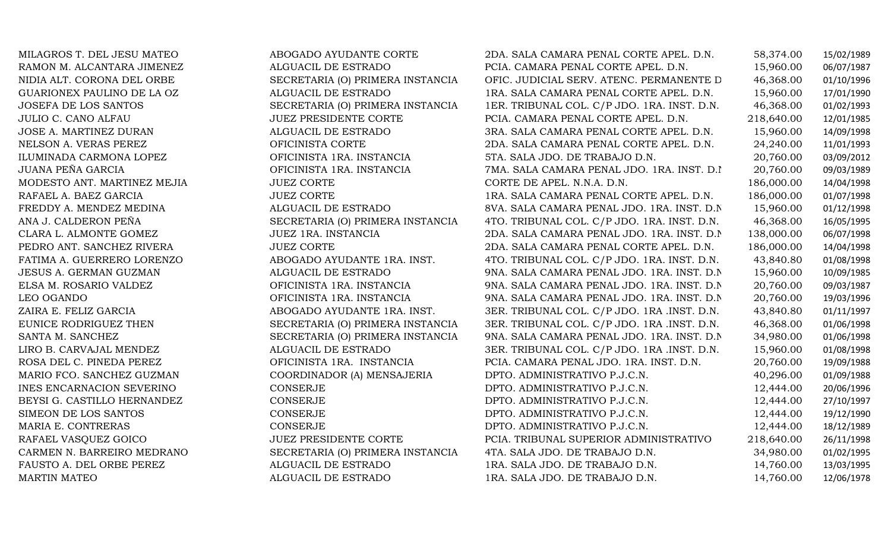| MILAGROS T. DEL JESU MATEO  | ABOGADO AYUDANTE CORTE           | 2DA. SALA CAMARA PENAL CORTE APEL. D.N.     | 58,374.00  | 15/02/1989 |
|-----------------------------|----------------------------------|---------------------------------------------|------------|------------|
| RAMON M. ALCANTARA JIMENEZ  | ALGUACIL DE ESTRADO              | PCIA. CAMARA PENAL CORTE APEL. D.N.         | 15,960.00  | 06/07/1987 |
| NIDIA ALT. CORONA DEL ORBE  | SECRETARIA (O) PRIMERA INSTANCIA | OFIC. JUDICIAL SERV. ATENC. PERMANENTE D    | 46,368.00  | 01/10/1996 |
| GUARIONEX PAULINO DE LA OZ  | ALGUACIL DE ESTRADO              | 1RA. SALA CAMARA PENAL CORTE APEL. D.N.     | 15,960.00  | 17/01/1990 |
| JOSEFA DE LOS SANTOS        | SECRETARIA (O) PRIMERA INSTANCIA | 1ER. TRIBUNAL COL. C/P JDO. 1RA. INST. D.N. | 46,368.00  | 01/02/1993 |
| JULIO C. CANO ALFAU         | <b>JUEZ PRESIDENTE CORTE</b>     | PCIA. CAMARA PENAL CORTE APEL. D.N.         | 218,640.00 | 12/01/1985 |
| JOSE A. MARTINEZ DURAN      | ALGUACIL DE ESTRADO              | 3RA. SALA CAMARA PENAL CORTE APEL. D.N.     | 15,960.00  | 14/09/1998 |
| NELSON A. VERAS PEREZ       | OFICINISTA CORTE                 | 2DA. SALA CAMARA PENAL CORTE APEL. D.N.     | 24,240.00  | 11/01/1993 |
| ILUMINADA CARMONA LOPEZ     | OFICINISTA 1RA. INSTANCIA        | 5TA. SALA JDO. DE TRABAJO D.N.              | 20,760.00  | 03/09/2012 |
| JUANA PEÑA GARCIA           | OFICINISTA 1RA. INSTANCIA        | 7MA. SALA CAMARA PENAL JDO. 1RA. INST. D.I  | 20,760.00  | 09/03/1989 |
| MODESTO ANT. MARTINEZ MEJIA | <b>JUEZ CORTE</b>                | CORTE DE APEL. N.N.A. D.N.                  | 186,000.00 | 14/04/1998 |
| RAFAEL A. BAEZ GARCIA       | <b>JUEZ CORTE</b>                | 1RA. SALA CAMARA PENAL CORTE APEL. D.N.     | 186,000.00 | 01/07/1998 |
| FREDDY A. MENDEZ MEDINA     | ALGUACIL DE ESTRADO              | 8VA. SALA CAMARA PENAL JDO. 1RA. INST. D.N. | 15,960.00  | 01/12/1998 |
| ANA J. CALDERON PEÑA        | SECRETARIA (O) PRIMERA INSTANCIA | 4TO. TRIBUNAL COL. C/P JDO. 1RA. INST. D.N. | 46,368.00  | 16/05/1995 |
| CLARA L. ALMONTE GOMEZ      | JUEZ 1RA. INSTANCIA              | 2DA. SALA CAMARA PENAL JDO. 1RA. INST. D.N. | 138,000.00 | 06/07/1998 |
| PEDRO ANT. SANCHEZ RIVERA   | <b>JUEZ CORTE</b>                | 2DA. SALA CAMARA PENAL CORTE APEL. D.N.     | 186,000.00 | 14/04/1998 |
| FATIMA A. GUERRERO LORENZO  | ABOGADO AYUDANTE 1RA. INST.      | 4TO. TRIBUNAL COL. C/P JDO. 1RA. INST. D.N. | 43,840.80  | 01/08/1998 |
| JESUS A. GERMAN GUZMAN      | ALGUACIL DE ESTRADO              | 9NA. SALA CAMARA PENAL JDO. 1RA. INST. D.N. | 15,960.00  | 10/09/1985 |
| ELSA M. ROSARIO VALDEZ      | OFICINISTA 1RA. INSTANCIA        | 9NA. SALA CAMARA PENAL JDO. 1RA. INST. D.N. | 20,760.00  | 09/03/1987 |
| LEO OGANDO                  | OFICINISTA 1RA. INSTANCIA        | 9NA. SALA CAMARA PENAL JDO. 1RA. INST. D.N. | 20,760.00  | 19/03/1996 |
| ZAIRA E. FELIZ GARCIA       | ABOGADO AYUDANTE 1RA. INST.      | 3ER. TRIBUNAL COL. C/P JDO. 1RA .INST. D.N. | 43,840.80  | 01/11/1997 |
| EUNICE RODRIGUEZ THEN       | SECRETARIA (O) PRIMERA INSTANCIA | 3ER. TRIBUNAL COL. C/P JDO. 1RA .INST. D.N. | 46,368.00  | 01/06/1998 |
| SANTA M. SANCHEZ            | SECRETARIA (O) PRIMERA INSTANCIA | 9NA. SALA CAMARA PENAL JDO. 1RA. INST. D.N. | 34,980.00  | 01/06/1998 |
| LIRO B. CARVAJAL MENDEZ     | ALGUACIL DE ESTRADO              | 3ER. TRIBUNAL COL. C/P JDO. 1RA .INST. D.N. | 15,960.00  | 01/08/1998 |
| ROSA DEL C. PINEDA PEREZ    | OFICINISTA 1RA. INSTANCIA        | PCIA. CAMARA PENAL JDO. 1RA. INST. D.N.     | 20,760.00  | 19/09/1988 |
| MARIO FCO. SANCHEZ GUZMAN   | COORDINADOR (A) MENSAJERIA       | DPTO. ADMINISTRATIVO P.J.C.N.               | 40,296.00  | 01/09/1988 |
| INES ENCARNACION SEVERINO   | CONSERJE                         | DPTO. ADMINISTRATIVO P.J.C.N.               | 12,444.00  | 20/06/1996 |
| BEYSI G. CASTILLO HERNANDEZ | CONSERJE                         | DPTO. ADMINISTRATIVO P.J.C.N.               | 12,444.00  | 27/10/1997 |
| SIMEON DE LOS SANTOS        | CONSERJE                         | DPTO. ADMINISTRATIVO P.J.C.N.               | 12,444.00  | 19/12/1990 |
| MARIA E. CONTRERAS          | <b>CONSERJE</b>                  | DPTO. ADMINISTRATIVO P.J.C.N.               | 12,444.00  | 18/12/1989 |
| RAFAEL VASQUEZ GOICO        | <b>JUEZ PRESIDENTE CORTE</b>     | PCIA. TRIBUNAL SUPERIOR ADMINISTRATIVO      | 218,640.00 | 26/11/1998 |
| CARMEN N. BARREIRO MEDRANO  | SECRETARIA (O) PRIMERA INSTANCIA | 4TA. SALA JDO. DE TRABAJO D.N.              | 34,980.00  | 01/02/1995 |
| FAUSTO A. DEL ORBE PEREZ    | ALGUACIL DE ESTRADO              | 1RA. SALA JDO. DE TRABAJO D.N.              | 14,760.00  | 13/03/1995 |
| <b>MARTIN MATEO</b>         | ALGUACIL DE ESTRADO              | 1RA. SALA JDO. DE TRABAJO D.N.              | 14,760.00  | 12/06/1978 |
|                             |                                  |                                             |            |            |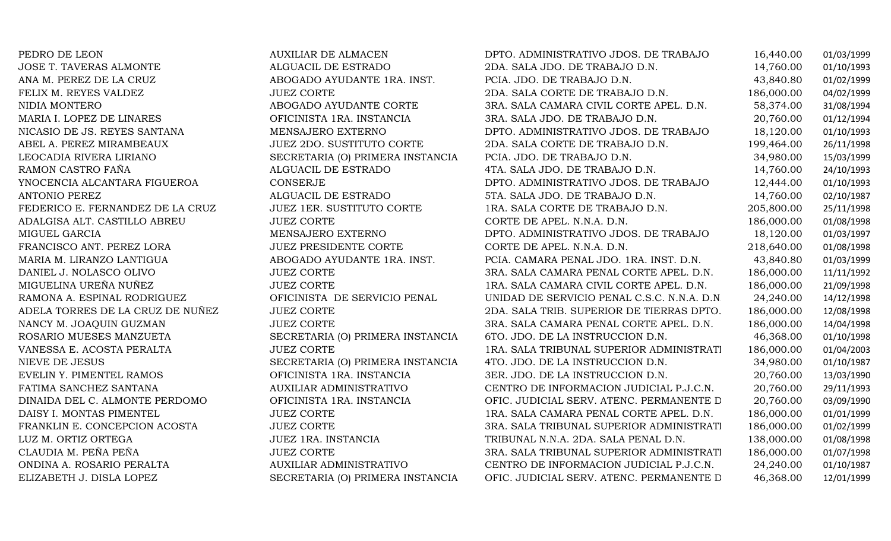| PEDRO DE LEON                    | AUXILIAR DE ALMACEN              | DPTO. ADMINISTRATIVO JDOS. DE TRABAJO       | 16,440.00  | 01/03/1999 |
|----------------------------------|----------------------------------|---------------------------------------------|------------|------------|
| JOSE T. TAVERAS ALMONTE          | ALGUACIL DE ESTRADO              | 2DA. SALA JDO. DE TRABAJO D.N.              | 14,760.00  | 01/10/1993 |
| ANA M. PEREZ DE LA CRUZ          | ABOGADO AYUDANTE 1RA. INST.      | PCIA. JDO. DE TRABAJO D.N.                  | 43,840.80  | 01/02/1999 |
| FELIX M. REYES VALDEZ            | <b>JUEZ CORTE</b>                | 2DA. SALA CORTE DE TRABAJO D.N.             | 186,000.00 | 04/02/1999 |
| NIDIA MONTERO                    | ABOGADO AYUDANTE CORTE           | 3RA. SALA CAMARA CIVIL CORTE APEL. D.N.     | 58,374.00  | 31/08/1994 |
| MARIA I. LOPEZ DE LINARES        | OFICINISTA 1RA. INSTANCIA        | 3RA. SALA JDO. DE TRABAJO D.N.              | 20,760.00  | 01/12/1994 |
| NICASIO DE JS. REYES SANTANA     | MENSAJERO EXTERNO                | DPTO. ADMINISTRATIVO JDOS. DE TRABAJO       | 18,120.00  | 01/10/1993 |
| ABEL A. PEREZ MIRAMBEAUX         | <b>JUEZ 2DO. SUSTITUTO CORTE</b> | 2DA. SALA CORTE DE TRABAJO D.N.             | 199,464.00 | 26/11/1998 |
| LEOCADIA RIVERA LIRIANO          | SECRETARIA (O) PRIMERA INSTANCIA | PCIA. JDO. DE TRABAJO D.N.                  | 34,980.00  | 15/03/1999 |
| RAMON CASTRO FAÑA                | ALGUACIL DE ESTRADO              | 4TA. SALA JDO. DE TRABAJO D.N.              | 14,760.00  | 24/10/1993 |
| YNOCENCIA ALCANTARA FIGUEROA     | <b>CONSERJE</b>                  | DPTO. ADMINISTRATIVO JDOS. DE TRABAJO       | 12,444.00  | 01/10/1993 |
| ANTONIO PEREZ                    | ALGUACIL DE ESTRADO              | 5TA. SALA JDO. DE TRABAJO D.N.              | 14,760.00  | 02/10/1987 |
| FEDERICO E. FERNANDEZ DE LA CRUZ | <b>JUEZ 1ER. SUSTITUTO CORTE</b> | 1RA. SALA CORTE DE TRABAJO D.N.             | 205,800.00 | 25/11/1998 |
| ADALGISA ALT. CASTILLO ABREU     | <b>JUEZ CORTE</b>                | CORTE DE APEL. N.N.A. D.N.                  | 186,000.00 | 01/08/1998 |
| MIGUEL GARCIA                    | MENSAJERO EXTERNO                | DPTO. ADMINISTRATIVO JDOS. DE TRABAJO       | 18,120.00  | 01/03/1997 |
| FRANCISCO ANT. PEREZ LORA        | <b>JUEZ PRESIDENTE CORTE</b>     | CORTE DE APEL. N.N.A. D.N.                  | 218,640.00 | 01/08/1998 |
| MARIA M. LIRANZO LANTIGUA        | ABOGADO AYUDANTE 1RA. INST.      | PCIA. CAMARA PENAL JDO. 1RA. INST. D.N.     | 43,840.80  | 01/03/1999 |
| DANIEL J. NOLASCO OLIVO          | <b>JUEZ CORTE</b>                | 3RA. SALA CAMARA PENAL CORTE APEL. D.N.     | 186,000.00 | 11/11/1992 |
| MIGUELINA UREÑA NUÑEZ            | <b>JUEZ CORTE</b>                | 1RA. SALA CAMARA CIVIL CORTE APEL. D.N.     | 186,000.00 | 21/09/1998 |
| RAMONA A. ESPINAL RODRIGUEZ      | OFICINISTA DE SERVICIO PENAL     | UNIDAD DE SERVICIO PENAL C.S.C. N.N.A. D.N. | 24,240.00  | 14/12/1998 |
| ADELA TORRES DE LA CRUZ DE NUÑEZ | <b>JUEZ CORTE</b>                | 2DA. SALA TRIB. SUPERIOR DE TIERRAS DPTO.   | 186,000.00 | 12/08/1998 |
| NANCY M. JOAQUIN GUZMAN          | <b>JUEZ CORTE</b>                | 3RA. SALA CAMARA PENAL CORTE APEL. D.N.     | 186,000.00 | 14/04/1998 |
| ROSARIO MUESES MANZUETA          | SECRETARIA (O) PRIMERA INSTANCIA | 6TO. JDO. DE LA INSTRUCCION D.N.            | 46,368.00  | 01/10/1998 |
| VANESSA E. ACOSTA PERALTA        | <b>JUEZ CORTE</b>                | 1RA. SALA TRIBUNAL SUPERIOR ADMINISTRATI    | 186,000.00 | 01/04/2003 |
| NIEVE DE JESUS                   | SECRETARIA (O) PRIMERA INSTANCIA | 4TO. JDO. DE LA INSTRUCCION D.N.            | 34,980.00  | 01/10/1987 |
| EVELIN Y. PIMENTEL RAMOS         | OFICINISTA 1RA. INSTANCIA        | 3ER. JDO. DE LA INSTRUCCION D.N.            | 20,760.00  | 13/03/1990 |
| FATIMA SANCHEZ SANTANA           | AUXILIAR ADMINISTRATIVO          | CENTRO DE INFORMACION JUDICIAL P.J.C.N.     | 20,760.00  | 29/11/1993 |
| DINAIDA DEL C. ALMONTE PERDOMO   | OFICINISTA 1RA. INSTANCIA        | OFIC. JUDICIAL SERV. ATENC. PERMANENTE D    | 20,760.00  | 03/09/1990 |
| DAISY I. MONTAS PIMENTEL         | <b>JUEZ CORTE</b>                | 1RA. SALA CAMARA PENAL CORTE APEL. D.N.     | 186,000.00 | 01/01/1999 |
| FRANKLIN E. CONCEPCION ACOSTA    | <b>JUEZ CORTE</b>                | 3RA. SALA TRIBUNAL SUPERIOR ADMINISTRATI    | 186,000.00 | 01/02/1999 |
| LUZ M. ORTIZ ORTEGA              | JUEZ 1RA. INSTANCIA              | TRIBUNAL N.N.A. 2DA. SALA PENAL D.N.        | 138,000.00 | 01/08/1998 |
| CLAUDIA M. PEÑA PEÑA             | <b>JUEZ CORTE</b>                | 3RA. SALA TRIBUNAL SUPERIOR ADMINISTRATI    | 186,000.00 | 01/07/1998 |
| ONDINA A. ROSARIO PERALTA        | <b>AUXILIAR ADMINISTRATIVO</b>   | CENTRO DE INFORMACION JUDICIAL P.J.C.N.     | 24,240.00  | 01/10/1987 |
| ELIZABETH J. DISLA LOPEZ         | SECRETARIA (O) PRIMERA INSTANCIA | OFIC. JUDICIAL SERV. ATENC. PERMANENTE D    | 46,368.00  | 12/01/1999 |
|                                  |                                  |                                             |            |            |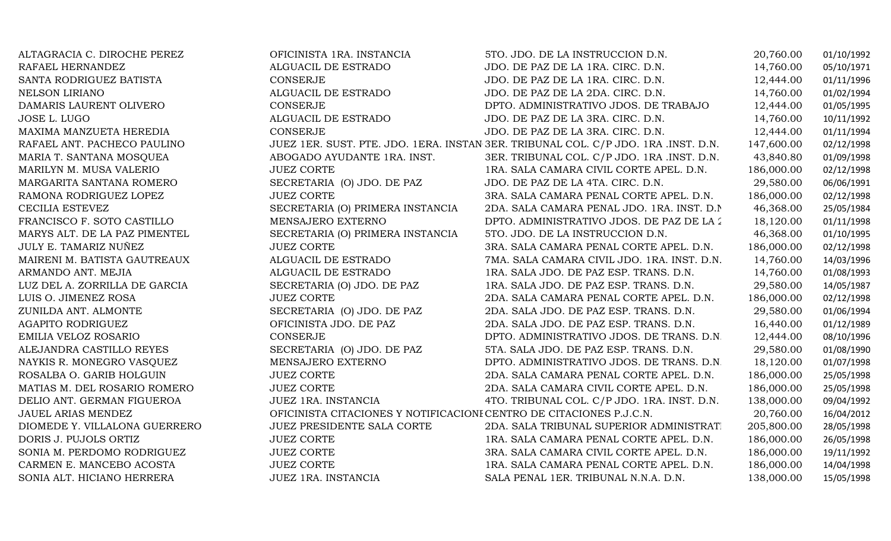| ALTAGRACIA C. DIROCHE PEREZ   | OFICINISTA 1RA. INSTANCIA                                           | 5TO. JDO. DE LA INSTRUCCION D.N.                                                   | 20,760.00  | 01/10/1992 |
|-------------------------------|---------------------------------------------------------------------|------------------------------------------------------------------------------------|------------|------------|
| RAFAEL HERNANDEZ              | ALGUACIL DE ESTRADO                                                 | JDO. DE PAZ DE LA 1RA. CIRC. D.N.                                                  | 14,760.00  | 05/10/1971 |
| SANTA RODRIGUEZ BATISTA       | <b>CONSERJE</b>                                                     | JDO. DE PAZ DE LA 1RA. CIRC. D.N.                                                  | 12,444.00  | 01/11/1996 |
| NELSON LIRIANO                | ALGUACIL DE ESTRADO                                                 | JDO. DE PAZ DE LA 2DA. CIRC. D.N.                                                  | 14,760.00  | 01/02/1994 |
| DAMARIS LAURENT OLIVERO       | <b>CONSERJE</b>                                                     | DPTO. ADMINISTRATIVO JDOS. DE TRABAJO                                              | 12,444.00  | 01/05/1995 |
| JOSE L. LUGO                  | ALGUACIL DE ESTRADO                                                 | JDO. DE PAZ DE LA 3RA. CIRC. D.N.                                                  | 14,760.00  | 10/11/1992 |
| MAXIMA MANZUETA HEREDIA       | CONSERJE                                                            | JDO. DE PAZ DE LA 3RA. CIRC. D.N.                                                  | 12,444.00  | 01/11/1994 |
| RAFAEL ANT. PACHECO PAULINO   |                                                                     | JUEZ 1ER. SUST. PTE. JDO. 1ERA. INSTAN 3ER. TRIBUNAL COL. C/P JDO. 1RA .INST. D.N. | 147,600.00 | 02/12/1998 |
| MARIA T. SANTANA MOSQUEA      | ABOGADO AYUDANTE 1RA. INST.                                         | 3ER. TRIBUNAL COL. C/P JDO. 1RA .INST. D.N.                                        | 43,840.80  | 01/09/1998 |
| MARILYN M. MUSA VALERIO       | <b>JUEZ CORTE</b>                                                   | 1RA. SALA CAMARA CIVIL CORTE APEL. D.N.                                            | 186,000.00 | 02/12/1998 |
| MARGARITA SANTANA ROMERO      | SECRETARIA (O) JDO. DE PAZ                                          | JDO. DE PAZ DE LA 4TA. CIRC. D.N.                                                  | 29,580.00  | 06/06/1991 |
| RAMONA RODRIGUEZ LOPEZ        | <b>JUEZ CORTE</b>                                                   | 3RA. SALA CAMARA PENAL CORTE APEL. D.N.                                            | 186,000.00 | 02/12/1998 |
| CECILIA ESTEVEZ               | SECRETARIA (O) PRIMERA INSTANCIA                                    | 2DA. SALA CAMARA PENAL JDO. 1RA. INST. D.N.                                        | 46,368.00  | 25/05/1984 |
| FRANCISCO F. SOTO CASTILLO    | MENSAJERO EXTERNO                                                   | DPTO. ADMINISTRATIVO JDOS. DE PAZ DE LA 2                                          | 18,120.00  | 01/11/1998 |
| MARYS ALT. DE LA PAZ PIMENTEL | SECRETARIA (O) PRIMERA INSTANCIA                                    | 5TO. JDO. DE LA INSTRUCCION D.N.                                                   | 46,368.00  | 01/10/1995 |
| JULY E. TAMARIZ NUÑEZ         | <b>JUEZ CORTE</b>                                                   | 3RA. SALA CAMARA PENAL CORTE APEL. D.N.                                            | 186,000.00 | 02/12/1998 |
| MAIRENI M. BATISTA GAUTREAUX  | ALGUACIL DE ESTRADO                                                 | 7MA. SALA CAMARA CIVIL JDO. 1RA. INST. D.N.                                        | 14,760.00  | 14/03/1996 |
| ARMANDO ANT. MEJIA            | ALGUACIL DE ESTRADO                                                 | 1RA. SALA JDO. DE PAZ ESP. TRANS. D.N.                                             | 14,760.00  | 01/08/1993 |
| LUZ DEL A. ZORRILLA DE GARCIA | SECRETARIA (O) JDO. DE PAZ                                          | 1RA. SALA JDO. DE PAZ ESP. TRANS. D.N.                                             | 29,580.00  | 14/05/1987 |
| LUIS O. JIMENEZ ROSA          | <b>JUEZ CORTE</b>                                                   | 2DA. SALA CAMARA PENAL CORTE APEL. D.N.                                            | 186,000.00 | 02/12/1998 |
| ZUNILDA ANT. ALMONTE          | SECRETARIA (O) JDO. DE PAZ                                          | 2DA. SALA JDO. DE PAZ ESP. TRANS. D.N.                                             | 29,580.00  | 01/06/1994 |
| AGAPITO RODRIGUEZ             | OFICINISTA JDO. DE PAZ                                              | 2DA. SALA JDO. DE PAZ ESP. TRANS. D.N.                                             | 16,440.00  | 01/12/1989 |
| EMILIA VELOZ ROSARIO          | CONSERJE                                                            | DPTO. ADMINISTRATIVO JDOS. DE TRANS. D.N.                                          | 12,444.00  | 08/10/1996 |
| ALEJANDRA CASTILLO REYES      | SECRETARIA (O) JDO. DE PAZ                                          | 5TA. SALA JDO. DE PAZ ESP. TRANS. D.N.                                             | 29,580.00  | 01/08/1990 |
| NAYKIS R. MONEGRO VASQUEZ     | MENSAJERO EXTERNO                                                   | DPTO. ADMINISTRATIVO JDOS. DE TRANS. D.N.                                          | 18,120.00  | 01/07/1998 |
| ROSALBA O. GARIB HOLGUIN      | <b>JUEZ CORTE</b>                                                   | 2DA. SALA CAMARA PENAL CORTE APEL. D.N.                                            | 186,000.00 | 25/05/1998 |
| MATIAS M. DEL ROSARIO ROMERO  | <b>JUEZ CORTE</b>                                                   | 2DA. SALA CAMARA CIVIL CORTE APEL. D.N.                                            | 186,000.00 | 25/05/1998 |
| DELIO ANT. GERMAN FIGUEROA    | JUEZ 1RA. INSTANCIA                                                 | 4TO. TRIBUNAL COL. C/P JDO. 1RA. INST. D.N.                                        | 138,000.00 | 09/04/1992 |
| JAUEL ARIAS MENDEZ            | OFICINISTA CITACIONES Y NOTIFICACIONI CENTRO DE CITACIONES P.J.C.N. |                                                                                    | 20,760.00  | 16/04/2012 |
| DIOMEDE Y. VILLALONA GUERRERO | JUEZ PRESIDENTE SALA CORTE                                          | 2DA. SALA TRIBUNAL SUPERIOR ADMINISTRAT.                                           | 205,800.00 | 28/05/1998 |
| DORIS J. PUJOLS ORTIZ         | <b>JUEZ CORTE</b>                                                   | 1RA. SALA CAMARA PENAL CORTE APEL. D.N.                                            | 186,000.00 | 26/05/1998 |
| SONIA M. PERDOMO RODRIGUEZ    | <b>JUEZ CORTE</b>                                                   | 3RA. SALA CAMARA CIVIL CORTE APEL. D.N.                                            | 186,000.00 | 19/11/1992 |
| CARMEN E. MANCEBO ACOSTA      | <b>JUEZ CORTE</b>                                                   | 1RA. SALA CAMARA PENAL CORTE APEL. D.N.                                            | 186,000.00 | 14/04/1998 |
| SONIA ALT. HICIANO HERRERA    | JUEZ 1RA. INSTANCIA                                                 | SALA PENAL 1ER. TRIBUNAL N.N.A. D.N.                                               | 138,000.00 | 15/05/1998 |
|                               |                                                                     |                                                                                    |            |            |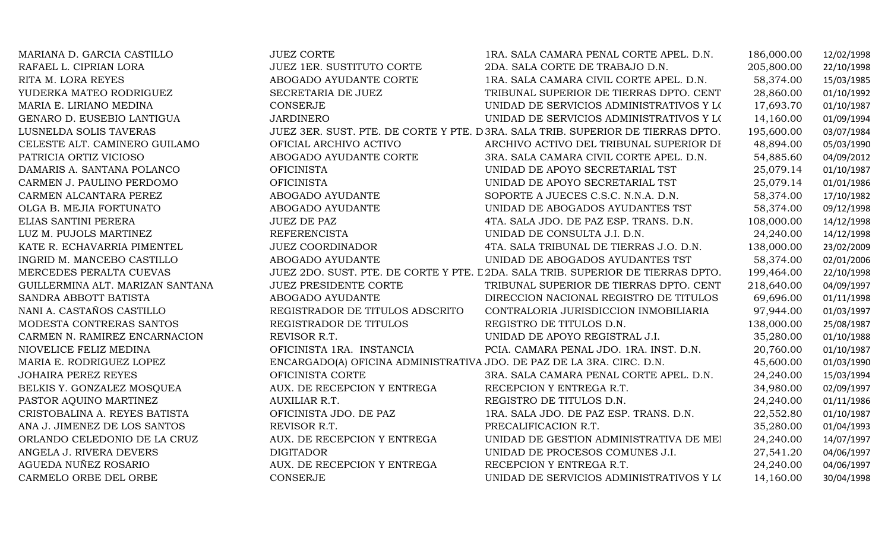| MARIANA D. GARCIA CASTILLO       | <b>JUEZ CORTE</b>                                                     | 1RA. SALA CAMARA PENAL CORTE APEL. D.N.                                          | 186,000.00 | 12/02/1998 |
|----------------------------------|-----------------------------------------------------------------------|----------------------------------------------------------------------------------|------------|------------|
| RAFAEL L. CIPRIAN LORA           | JUEZ 1ER. SUSTITUTO CORTE                                             | 2DA. SALA CORTE DE TRABAJO D.N.                                                  | 205,800.00 | 22/10/1998 |
| RITA M. LORA REYES               | ABOGADO AYUDANTE CORTE                                                | 1RA. SALA CAMARA CIVIL CORTE APEL. D.N.                                          | 58,374.00  | 15/03/1985 |
| YUDERKA MATEO RODRIGUEZ          | SECRETARIA DE JUEZ                                                    | TRIBUNAL SUPERIOR DE TIERRAS DPTO. CENT                                          | 28,860.00  | 01/10/1992 |
| MARIA E. LIRIANO MEDINA          | CONSERJE                                                              | UNIDAD DE SERVICIOS ADMINISTRATIVOS Y LO                                         | 17,693.70  | 01/10/1987 |
| GENARO D. EUSEBIO LANTIGUA       | <b>JARDINERO</b>                                                      | UNIDAD DE SERVICIOS ADMINISTRATIVOS Y LO                                         | 14,160.00  | 01/09/1994 |
| LUSNELDA SOLIS TAVERAS           |                                                                       | JUEZ 3ER. SUST. PTE. DE CORTE Y PTE. D 3RA. SALA TRIB. SUPERIOR DE TIERRAS DPTO. | 195,600.00 | 03/07/1984 |
| CELESTE ALT. CAMINERO GUILAMO    | OFICIAL ARCHIVO ACTIVO                                                | ARCHIVO ACTIVO DEL TRIBUNAL SUPERIOR DI                                          | 48,894.00  | 05/03/1990 |
| PATRICIA ORTIZ VICIOSO           | ABOGADO AYUDANTE CORTE                                                | 3RA. SALA CAMARA CIVIL CORTE APEL. D.N.                                          | 54,885.60  | 04/09/2012 |
| DAMARIS A. SANTANA POLANCO       | <b>OFICINISTA</b>                                                     | UNIDAD DE APOYO SECRETARIAL TST                                                  | 25,079.14  | 01/10/1987 |
| CARMEN J. PAULINO PERDOMO        | <b>OFICINISTA</b>                                                     | UNIDAD DE APOYO SECRETARIAL TST                                                  | 25,079.14  | 01/01/1986 |
| CARMEN ALCANTARA PEREZ           | ABOGADO AYUDANTE                                                      | SOPORTE A JUECES C.S.C. N.N.A. D.N.                                              | 58,374.00  | 17/10/1982 |
| OLGA B. MEJIA FORTUNATO          | ABOGADO AYUDANTE                                                      | UNIDAD DE ABOGADOS AYUDANTES TST                                                 | 58,374.00  | 09/12/1998 |
| ELIAS SANTINI PERERA             | <b>JUEZ DE PAZ</b>                                                    | 4TA. SALA JDO. DE PAZ ESP. TRANS. D.N.                                           | 108,000.00 | 14/12/1998 |
| LUZ M. PUJOLS MARTINEZ           | <b>REFERENCISTA</b>                                                   | UNIDAD DE CONSULTA J.I. D.N.                                                     | 24,240.00  | 14/12/1998 |
| KATE R. ECHAVARRIA PIMENTEL      | <b>JUEZ COORDINADOR</b>                                               | 4TA. SALA TRIBUNAL DE TIERRAS J.O. D.N.                                          | 138,000.00 | 23/02/2009 |
| INGRID M. MANCEBO CASTILLO       | ABOGADO AYUDANTE                                                      | UNIDAD DE ABOGADOS AYUDANTES TST                                                 | 58,374.00  | 02/01/2006 |
| MERCEDES PERALTA CUEVAS          |                                                                       | JUEZ 2DO. SUST. PTE. DE CORTE Y PTE. L 2DA. SALA TRIB. SUPERIOR DE TIERRAS DPTO. | 199,464.00 | 22/10/1998 |
| GUILLERMINA ALT. MARIZAN SANTANA | <b>JUEZ PRESIDENTE CORTE</b>                                          | TRIBUNAL SUPERIOR DE TIERRAS DPTO. CENT                                          | 218,640.00 | 04/09/1997 |
| SANDRA ABBOTT BATISTA            | ABOGADO AYUDANTE                                                      | DIRECCION NACIONAL REGISTRO DE TITULOS                                           | 69,696.00  | 01/11/1998 |
| NANI A. CASTAÑOS CASTILLO        | REGISTRADOR DE TITULOS ADSCRITO                                       | CONTRALORIA JURISDICCION INMOBILIARIA                                            | 97,944.00  | 01/03/1997 |
| MODESTA CONTRERAS SANTOS         | REGISTRADOR DE TITULOS                                                | REGISTRO DE TITULOS D.N.                                                         | 138,000.00 | 25/08/1987 |
| CARMEN N. RAMIREZ ENCARNACION    | REVISOR R.T.                                                          | UNIDAD DE APOYO REGISTRAL J.I.                                                   | 35,280.00  | 01/10/1988 |
| NIOVELICE FELIZ MEDINA           | OFICINISTA 1RA. INSTANCIA                                             | PCIA. CAMARA PENAL JDO. 1RA. INST. D.N.                                          | 20,760.00  | 01/10/1987 |
| MARIA E. RODRIGUEZ LOPEZ         | ENCARGADO(A) OFICINA ADMINISTRATIVA JDO. DE PAZ DE LA 3RA. CIRC. D.N. |                                                                                  | 45,600.00  | 01/03/1990 |
| <b>JOHAIRA PEREZ REYES</b>       | OFICINISTA CORTE                                                      | 3RA. SALA CAMARA PENAL CORTE APEL. D.N.                                          | 24,240.00  | 15/03/1994 |
| BELKIS Y. GONZALEZ MOSQUEA       | AUX. DE RECEPCION Y ENTREGA                                           | RECEPCION Y ENTREGA R.T.                                                         | 34,980.00  | 02/09/1997 |
| PASTOR AQUINO MARTINEZ           | AUXILIAR R.T.                                                         | REGISTRO DE TITULOS D.N.                                                         | 24,240.00  | 01/11/1986 |
| CRISTOBALINA A. REYES BATISTA    | OFICINISTA JDO. DE PAZ                                                | 1RA. SALA JDO. DE PAZ ESP. TRANS. D.N.                                           | 22,552.80  | 01/10/1987 |
| ANA J. JIMENEZ DE LOS SANTOS     | REVISOR R.T.                                                          | PRECALIFICACION R.T.                                                             | 35,280.00  | 01/04/1993 |
| ORLANDO CELEDONIO DE LA CRUZ     | AUX. DE RECEPCION Y ENTREGA                                           | UNIDAD DE GESTION ADMINISTRATIVA DE MEI                                          | 24,240.00  | 14/07/1997 |
| ANGELA J. RIVERA DEVERS          | <b>DIGITADOR</b>                                                      | UNIDAD DE PROCESOS COMUNES J.I.                                                  | 27,541.20  | 04/06/1997 |
| AGUEDA NUÑEZ ROSARIO             | AUX. DE RECEPCION Y ENTREGA                                           | RECEPCION Y ENTREGA R.T.                                                         | 24,240.00  | 04/06/1997 |
| CARMELO ORBE DEL ORBE            | CONSERJE                                                              | UNIDAD DE SERVICIOS ADMINISTRATIVOS Y LOS                                        | 14,160.00  | 30/04/1998 |
|                                  |                                                                       |                                                                                  |            |            |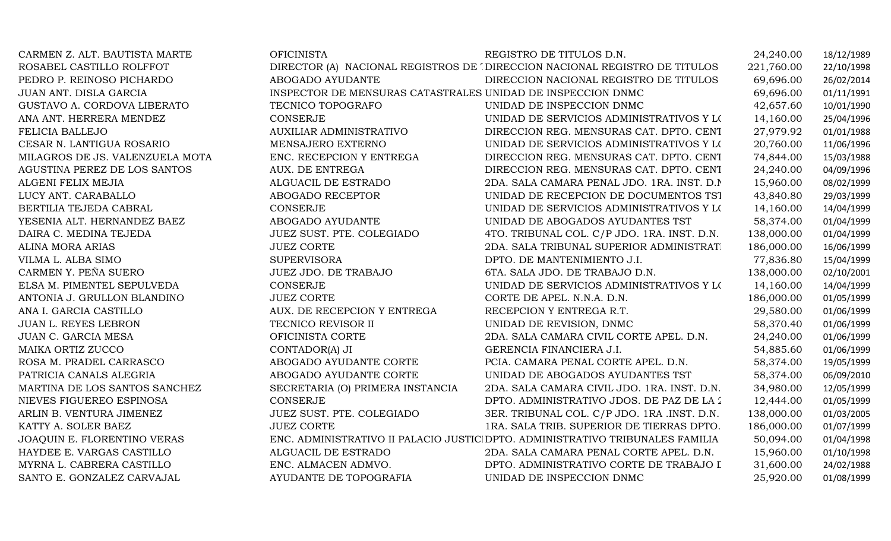| CARMEN Z. ALT. BAUTISTA MARTE   | <b>OFICINISTA</b>                                           | REGISTRO DE TITULOS D.N.                                                       | 24,240.00  | 18/12/1989 |
|---------------------------------|-------------------------------------------------------------|--------------------------------------------------------------------------------|------------|------------|
| ROSABEL CASTILLO ROLFFOT        |                                                             | DIRECTOR (A) NACIONAL REGISTROS DE 'DIRECCION NACIONAL REGISTRO DE TITULOS     | 221,760.00 | 22/10/1998 |
| PEDRO P. REINOSO PICHARDO       | ABOGADO AYUDANTE                                            | DIRECCION NACIONAL REGISTRO DE TITULOS                                         | 69,696.00  | 26/02/2014 |
| JUAN ANT. DISLA GARCIA          | INSPECTOR DE MENSURAS CATASTRALES UNIDAD DE INSPECCION DNMC |                                                                                | 69,696.00  | 01/11/1991 |
| GUSTAVO A. CORDOVA LIBERATO     | TECNICO TOPOGRAFO                                           | UNIDAD DE INSPECCION DNMC                                                      | 42,657.60  | 10/01/1990 |
| ANA ANT. HERRERA MENDEZ         | <b>CONSERJE</b>                                             | UNIDAD DE SERVICIOS ADMINISTRATIVOS Y LOS                                      | 14,160.00  | 25/04/1996 |
| FELICIA BALLEJO                 | <b>AUXILIAR ADMINISTRATIVO</b>                              | DIRECCION REG. MENSURAS CAT. DPTO. CENT                                        | 27,979.92  | 01/01/1988 |
| CESAR N. LANTIGUA ROSARIO       | MENSAJERO EXTERNO                                           | UNIDAD DE SERVICIOS ADMINISTRATIVOS Y LOS                                      | 20,760.00  | 11/06/1996 |
| MILAGROS DE JS. VALENZUELA MOTA | ENC. RECEPCION Y ENTREGA                                    | DIRECCION REG. MENSURAS CAT. DPTO. CENT                                        | 74,844.00  | 15/03/1988 |
| AGUSTINA PEREZ DE LOS SANTOS    | AUX. DE ENTREGA                                             | DIRECCION REG. MENSURAS CAT. DPTO. CENT                                        | 24,240.00  | 04/09/1996 |
| ALGENI FELIX MEJIA              | ALGUACIL DE ESTRADO                                         | 2DA. SALA CAMARA PENAL JDO. 1RA. INST. D.N.                                    | 15,960.00  | 08/02/1999 |
| LUCY ANT. CARABALLO             | ABOGADO RECEPTOR                                            | UNIDAD DE RECEPCION DE DOCUMENTOS TST                                          | 43,840.80  | 29/03/1999 |
| BERTILIA TEJEDA CABRAL          | <b>CONSERJE</b>                                             | UNIDAD DE SERVICIOS ADMINISTRATIVOS Y LOS                                      | 14,160.00  | 14/04/1999 |
| YESENIA ALT. HERNANDEZ BAEZ     | ABOGADO AYUDANTE                                            | UNIDAD DE ABOGADOS AYUDANTES TST                                               | 58,374.00  | 01/04/1999 |
| DAIRA C. MEDINA TEJEDA          | JUEZ SUST. PTE. COLEGIADO                                   | 4TO. TRIBUNAL COL. C/P JDO. 1RA. INST. D.N.                                    | 138,000.00 | 01/04/1999 |
| <b>ALINA MORA ARIAS</b>         | <b>JUEZ CORTE</b>                                           | 2DA. SALA TRIBUNAL SUPERIOR ADMINISTRAT.                                       | 186,000.00 | 16/06/1999 |
| VILMA L. ALBA SIMO              | <b>SUPERVISORA</b>                                          | DPTO. DE MANTENIMIENTO J.I.                                                    | 77,836.80  | 15/04/1999 |
| CARMEN Y. PEÑA SUERO            | JUEZ JDO. DE TRABAJO                                        | 6TA. SALA JDO. DE TRABAJO D.N.                                                 | 138,000.00 | 02/10/2001 |
| ELSA M. PIMENTEL SEPULVEDA      | <b>CONSERJE</b>                                             | UNIDAD DE SERVICIOS ADMINISTRATIVOS Y LOS                                      | 14,160.00  | 14/04/1999 |
| ANTONIA J. GRULLON BLANDINO     | <b>JUEZ CORTE</b>                                           | CORTE DE APEL. N.N.A. D.N.                                                     | 186,000.00 | 01/05/1999 |
| ANA I. GARCIA CASTILLO          | AUX. DE RECEPCION Y ENTREGA                                 | RECEPCION Y ENTREGA R.T.                                                       | 29,580.00  | 01/06/1999 |
| <b>JUAN L. REYES LEBRON</b>     | TECNICO REVISOR II                                          | UNIDAD DE REVISION, DNMC                                                       | 58,370.40  | 01/06/1999 |
| JUAN C. GARCIA MESA             | OFICINISTA CORTE                                            | 2DA. SALA CAMARA CIVIL CORTE APEL. D.N.                                        | 24,240.00  | 01/06/1999 |
| MAIKA ORTIZ ZUCCO               | CONTADOR(A) JI                                              | GERENCIA FINANCIERA J.I.                                                       | 54,885.60  | 01/06/1999 |
| ROSA M. PRADEL CARRASCO         | ABOGADO AYUDANTE CORTE                                      | PCIA. CAMARA PENAL CORTE APEL. D.N.                                            | 58,374.00  | 19/05/1999 |
| PATRICIA CANALS ALEGRIA         | ABOGADO AYUDANTE CORTE                                      | UNIDAD DE ABOGADOS AYUDANTES TST                                               | 58,374.00  | 06/09/2010 |
| MARTINA DE LOS SANTOS SANCHEZ   | SECRETARIA (O) PRIMERA INSTANCIA                            | 2DA. SALA CAMARA CIVIL JDO. 1RA. INST. D.N.                                    | 34,980.00  | 12/05/1999 |
| NIEVES FIGUEREO ESPINOSA        | CONSERJE                                                    | DPTO. ADMINISTRATIVO JDOS. DE PAZ DE LA 2                                      | 12,444.00  | 01/05/1999 |
| ARLIN B. VENTURA JIMENEZ        | JUEZ SUST. PTE. COLEGIADO                                   | 3ER. TRIBUNAL COL. C/P JDO. 1RA .INST. D.N.                                    | 138,000.00 | 01/03/2005 |
| KATTY A. SOLER BAEZ             | <b>JUEZ CORTE</b>                                           | 1RA. SALA TRIB. SUPERIOR DE TIERRAS DPTO.                                      | 186,000.00 | 01/07/1999 |
| JOAQUIN E. FLORENTINO VERAS     |                                                             | ENC. ADMINISTRATIVO II PALACIO JUSTICI DPTO. ADMINISTRATIVO TRIBUNALES FAMILIA | 50,094.00  | 01/04/1998 |
| HAYDEE E. VARGAS CASTILLO       | ALGUACIL DE ESTRADO                                         | 2DA. SALA CAMARA PENAL CORTE APEL. D.N.                                        | 15,960.00  | 01/10/1998 |
| MYRNA L. CABRERA CASTILLO       | ENC. ALMACEN ADMVO.                                         | DPTO. ADMINISTRATIVO CORTE DE TRABAJO I                                        | 31,600.00  | 24/02/1988 |
| SANTO E. GONZALEZ CARVAJAL      | AYUDANTE DE TOPOGRAFIA                                      | UNIDAD DE INSPECCION DNMC                                                      | 25,920.00  | 01/08/1999 |
|                                 |                                                             |                                                                                |            |            |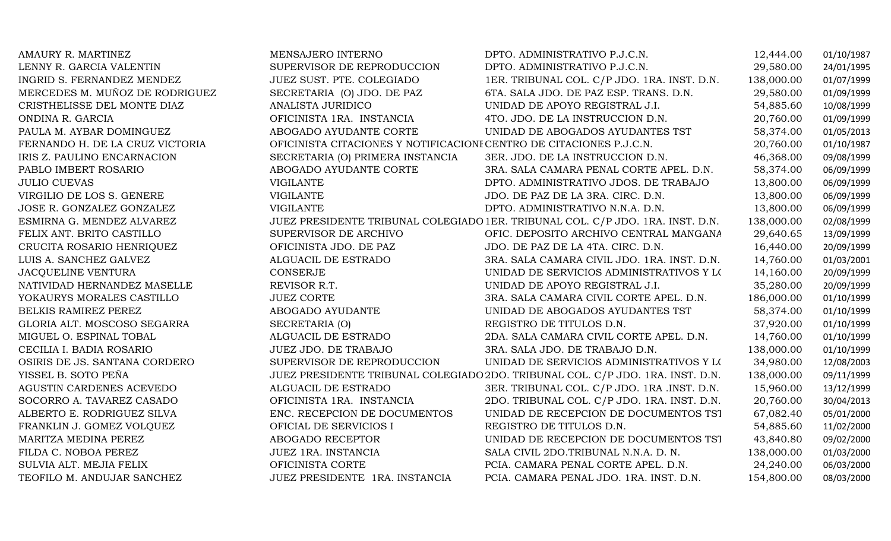| AMAURY R. MARTINEZ              | MENSAJERO INTERNO                                                   | DPTO. ADMINISTRATIVO P.J.C.N.                                                  | 12,444.00  | 01/10/1987 |
|---------------------------------|---------------------------------------------------------------------|--------------------------------------------------------------------------------|------------|------------|
| LENNY R. GARCIA VALENTIN        | SUPERVISOR DE REPRODUCCION                                          | DPTO. ADMINISTRATIVO P.J.C.N.                                                  | 29,580.00  | 24/01/1995 |
| INGRID S. FERNANDEZ MENDEZ      | JUEZ SUST. PTE. COLEGIADO                                           | 1ER. TRIBUNAL COL. C/P JDO. 1RA. INST. D.N.                                    | 138,000.00 | 01/07/1999 |
| MERCEDES M. MUÑOZ DE RODRIGUEZ  | SECRETARIA (O) JDO. DE PAZ                                          | 6TA. SALA JDO. DE PAZ ESP. TRANS. D.N.                                         | 29,580.00  | 01/09/1999 |
| CRISTHELISSE DEL MONTE DIAZ     | ANALISTA JURIDICO                                                   | UNIDAD DE APOYO REGISTRAL J.I.                                                 | 54,885.60  | 10/08/1999 |
| ONDINA R. GARCIA                | OFICINISTA 1RA. INSTANCIA                                           | 4TO. JDO. DE LA INSTRUCCION D.N.                                               | 20,760.00  | 01/09/1999 |
| PAULA M. AYBAR DOMINGUEZ        | ABOGADO AYUDANTE CORTE                                              | UNIDAD DE ABOGADOS AYUDANTES TST                                               | 58,374.00  | 01/05/2013 |
| FERNANDO H. DE LA CRUZ VICTORIA | OFICINISTA CITACIONES Y NOTIFICACIONI CENTRO DE CITACIONES P.J.C.N. |                                                                                | 20,760.00  | 01/10/1987 |
| IRIS Z. PAULINO ENCARNACION     | SECRETARIA (O) PRIMERA INSTANCIA                                    | 3ER. JDO. DE LA INSTRUCCION D.N.                                               | 46,368.00  | 09/08/1999 |
| PABLO IMBERT ROSARIO            | ABOGADO AYUDANTE CORTE                                              | 3RA. SALA CAMARA PENAL CORTE APEL. D.N.                                        | 58,374.00  | 06/09/1999 |
| <b>JULIO CUEVAS</b>             | <b>VIGILANTE</b>                                                    | DPTO. ADMINISTRATIVO JDOS. DE TRABAJO                                          | 13,800.00  | 06/09/1999 |
| VIRGILIO DE LOS S. GENERE       | <b>VIGILANTE</b>                                                    | JDO. DE PAZ DE LA 3RA. CIRC. D.N.                                              | 13,800.00  | 06/09/1999 |
| JOSE R. GONZALEZ GONZALEZ       | <b>VIGILANTE</b>                                                    | DPTO. ADMINISTRATIVO N.N.A. D.N.                                               | 13,800.00  | 06/09/1999 |
| ESMIRNA G. MENDEZ ALVAREZ       |                                                                     | JUEZ PRESIDENTE TRIBUNAL COLEGIADO 1ER. TRIBUNAL COL. C/P JDO. 1RA. INST. D.N. | 138,000.00 | 02/08/1999 |
| FELIX ANT. BRITO CASTILLO       | SUPERVISOR DE ARCHIVO                                               | OFIC. DEPOSITO ARCHIVO CENTRAL MANGANA                                         | 29,640.65  | 13/09/1999 |
| CRUCITA ROSARIO HENRIQUEZ       | OFICINISTA JDO. DE PAZ                                              | JDO. DE PAZ DE LA 4TA. CIRC. D.N.                                              | 16,440.00  | 20/09/1999 |
| LUIS A. SANCHEZ GALVEZ          | ALGUACIL DE ESTRADO                                                 | 3RA. SALA CAMARA CIVIL JDO. 1RA. INST. D.N.                                    | 14,760.00  | 01/03/2001 |
| JACQUELINE VENTURA              | CONSERJE                                                            | UNIDAD DE SERVICIOS ADMINISTRATIVOS Y LO                                       | 14,160.00  | 20/09/1999 |
| NATIVIDAD HERNANDEZ MASELLE     | REVISOR R.T.                                                        | UNIDAD DE APOYO REGISTRAL J.I.                                                 | 35,280.00  | 20/09/1999 |
| YOKAURYS MORALES CASTILLO       | <b>JUEZ CORTE</b>                                                   | 3RA. SALA CAMARA CIVIL CORTE APEL. D.N.                                        | 186,000.00 | 01/10/1999 |
| BELKIS RAMIREZ PEREZ            | ABOGADO AYUDANTE                                                    | UNIDAD DE ABOGADOS AYUDANTES TST                                               | 58,374.00  | 01/10/1999 |
| GLORIA ALT. MOSCOSO SEGARRA     | SECRETARIA (O)                                                      | REGISTRO DE TITULOS D.N.                                                       | 37,920.00  | 01/10/1999 |
| MIGUEL O. ESPINAL TOBAL         | ALGUACIL DE ESTRADO                                                 | 2DA. SALA CAMARA CIVIL CORTE APEL. D.N.                                        | 14,760.00  | 01/10/1999 |
| CECILIA I. BADIA ROSARIO        | JUEZ JDO. DE TRABAJO                                                | 3RA. SALA JDO. DE TRABAJO D.N.                                                 | 138,000.00 | 01/10/1999 |
| OSIRIS DE JS. SANTANA CORDERO   | SUPERVISOR DE REPRODUCCION                                          | UNIDAD DE SERVICIOS ADMINISTRATIVOS Y LOS                                      | 34,980.00  | 12/08/2003 |
| YISSEL B. SOTO PEÑA             |                                                                     | JUEZ PRESIDENTE TRIBUNAL COLEGIADO 2DO. TRIBUNAL COL. C/P JDO. 1RA. INST. D.N. | 138,000.00 | 09/11/1999 |
| AGUSTIN CARDENES ACEVEDO        | ALGUACIL DE ESTRADO                                                 | 3ER. TRIBUNAL COL. C/P JDO. 1RA .INST. D.N.                                    | 15,960.00  | 13/12/1999 |
| SOCORRO A. TAVAREZ CASADO       | OFICINISTA 1RA. INSTANCIA                                           | 2DO. TRIBUNAL COL. C/P JDO. 1RA. INST. D.N.                                    | 20,760.00  | 30/04/2013 |
| ALBERTO E. RODRIGUEZ SILVA      | ENC. RECEPCION DE DOCUMENTOS                                        | UNIDAD DE RECEPCION DE DOCUMENTOS TST                                          | 67,082.40  | 05/01/2000 |
| FRANKLIN J. GOMEZ VOLQUEZ       | OFICIAL DE SERVICIOS I                                              | REGISTRO DE TITULOS D.N.                                                       | 54,885.60  | 11/02/2000 |
| MARITZA MEDINA PEREZ            | ABOGADO RECEPTOR                                                    | UNIDAD DE RECEPCION DE DOCUMENTOS TST                                          | 43,840.80  | 09/02/2000 |
| FILDA C. NOBOA PEREZ            | JUEZ 1RA. INSTANCIA                                                 | SALA CIVIL 2DO.TRIBUNAL N.N.A. D. N.                                           | 138,000.00 | 01/03/2000 |
| SULVIA ALT. MEJIA FELIX         | OFICINISTA CORTE                                                    | PCIA. CAMARA PENAL CORTE APEL. D.N.                                            | 24,240.00  | 06/03/2000 |
| TEOFILO M. ANDUJAR SANCHEZ      | JUEZ PRESIDENTE 1RA. INSTANCIA                                      | PCIA. CAMARA PENAL JDO. 1RA. INST. D.N.                                        | 154,800.00 | 08/03/2000 |
|                                 |                                                                     |                                                                                |            |            |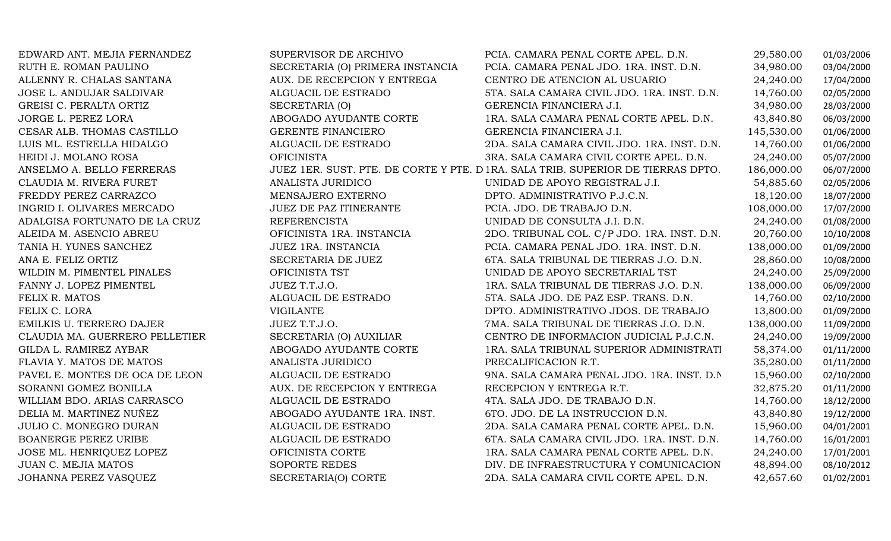| EDWARD ANT. MEJIA FERNANDEZ    | SUPERVISOR DE ARCHIVO            | PCIA. CAMARA PENAL CORTE APEL. D.N.                                              | 29,580.00  | 01/03/2006 |
|--------------------------------|----------------------------------|----------------------------------------------------------------------------------|------------|------------|
| RUTH E. ROMAN PAULINO          | SECRETARIA (O) PRIMERA INSTANCIA | PCIA. CAMARA PENAL JDO. 1RA. INST. D.N.                                          | 34,980.00  | 03/04/2000 |
| ALLENNY R. CHALAS SANTANA      | AUX. DE RECEPCION Y ENTREGA      | CENTRO DE ATENCION AL USUARIO                                                    | 24,240.00  | 17/04/2000 |
| JOSE L. ANDUJAR SALDIVAR       | ALGUACIL DE ESTRADO              | 5TA. SALA CAMARA CIVIL JDO. 1RA. INST. D.N.                                      | 14,760.00  | 02/05/2000 |
| GREISI C. PERALTA ORTIZ        | SECRETARIA (O)                   | GERENCIA FINANCIERA J.I.                                                         | 34,980.00  | 28/03/2000 |
| JORGE L. PEREZ LORA            | ABOGADO AYUDANTE CORTE           | 1RA. SALA CAMARA PENAL CORTE APEL. D.N.                                          | 43,840.80  | 06/03/2000 |
| CESAR ALB. THOMAS CASTILLO     | GERENTE FINANCIERO               | GERENCIA FINANCIERA J.I.                                                         | 145,530.00 | 01/06/2000 |
| LUIS ML. ESTRELLA HIDALGO      | ALGUACIL DE ESTRADO              | 2DA. SALA CAMARA CIVIL JDO. 1RA. INST. D.N.                                      | 14,760.00  | 01/06/2000 |
| HEIDI J. MOLANO ROSA           | <b>OFICINISTA</b>                | 3RA. SALA CAMARA CIVIL CORTE APEL. D.N.                                          | 24,240.00  | 05/07/2000 |
| ANSELMO A. BELLO FERRERAS      |                                  | JUEZ 1ER. SUST. PTE. DE CORTE Y PTE. D 1RA. SALA TRIB. SUPERIOR DE TIERRAS DPTO. | 186,000.00 | 06/07/2000 |
| CLAUDIA M. RIVERA FURET        | ANALISTA JURIDICO                | UNIDAD DE APOYO REGISTRAL J.I.                                                   | 54,885.60  | 02/05/2006 |
| FREDDY PEREZ CARRAZCO          | MENSAJERO EXTERNO                | DPTO. ADMINISTRATIVO P.J.C.N.                                                    | 18,120.00  | 18/07/2000 |
| INGRID I. OLIVARES MERCADO     | JUEZ DE PAZ ITINERANTE           | PCIA. JDO. DE TRABAJO D.N.                                                       | 108,000.00 | 17/07/2000 |
| ADALGISA FORTUNATO DE LA CRUZ  | <b>REFERENCISTA</b>              | UNIDAD DE CONSULTA J.I. D.N.                                                     | 24,240.00  | 01/08/2000 |
| ALEIDA M. ASENCIO ABREU        | OFICINISTA 1RA. INSTANCIA        | 2DO. TRIBUNAL COL. C/P JDO. 1RA. INST. D.N.                                      | 20,760.00  | 10/10/2008 |
| TANIA H. YUNES SANCHEZ         | JUEZ 1RA. INSTANCIA              | PCIA. CAMARA PENAL JDO. 1RA. INST. D.N.                                          | 138,000.00 | 01/09/2000 |
| ANA E. FELIZ ORTIZ             | SECRETARIA DE JUEZ               | 6TA. SALA TRIBUNAL DE TIERRAS J.O. D.N.                                          | 28,860.00  | 10/08/2000 |
| WILDIN M. PIMENTEL PINALES     | OFICINISTA TST                   | UNIDAD DE APOYO SECRETARIAL TST                                                  | 24,240.00  | 25/09/2000 |
| FANNY J. LOPEZ PIMENTEL        | JUEZ T.T.J.O.                    | 1RA. SALA TRIBUNAL DE TIERRAS J.O. D.N.                                          | 138,000.00 | 06/09/2000 |
| FELIX R. MATOS                 | ALGUACIL DE ESTRADO              | 5TA. SALA JDO. DE PAZ ESP. TRANS. D.N.                                           | 14,760.00  | 02/10/2000 |
| FELIX C. LORA                  | <b>VIGILANTE</b>                 | DPTO. ADMINISTRATIVO JDOS. DE TRABAJO                                            | 13,800.00  | 01/09/2000 |
| EMILKIS U. TERRERO DAJER       | JUEZ T.T.J.O.                    | 7MA. SALA TRIBUNAL DE TIERRAS J.O. D.N.                                          | 138,000.00 | 11/09/2000 |
| CLAUDIA MA. GUERRERO PELLETIER | SECRETARIA (O) AUXILIAR          | CENTRO DE INFORMACION JUDICIAL P.J.C.N.                                          | 24,240.00  | 19/09/2000 |
| GILDA L. RAMIREZ AYBAR         | ABOGADO AYUDANTE CORTE           | 1RA. SALA TRIBUNAL SUPERIOR ADMINISTRATI                                         | 58,374.00  | 01/11/2000 |
| FLAVIA Y. MATOS DE MATOS       | ANALISTA JURIDICO                | PRECALIFICACION R.T.                                                             | 35,280.00  | 01/11/2000 |
| PAVEL E. MONTES DE OCA DE LEON | ALGUACIL DE ESTRADO              | 9NA. SALA CAMARA PENAL JDO. 1RA. INST. D.N.                                      | 15,960.00  | 02/10/2000 |
| SORANNI GOMEZ BONILLA          | AUX. DE RECEPCION Y ENTREGA      | RECEPCION Y ENTREGA R.T.                                                         | 32,875.20  | 01/11/2000 |
| WILLIAM BDO. ARIAS CARRASCO    | ALGUACIL DE ESTRADO              | 4TA. SALA JDO. DE TRABAJO D.N.                                                   | 14,760.00  | 18/12/2000 |
| DELIA M. MARTINEZ NUÑEZ        | ABOGADO AYUDANTE 1RA. INST.      | 6TO. JDO. DE LA INSTRUCCION D.N.                                                 | 43,840.80  | 19/12/2000 |
| JULIO C. MONEGRO DURAN         | ALGUACIL DE ESTRADO              | 2DA. SALA CAMARA PENAL CORTE APEL. D.N.                                          | 15,960.00  | 04/01/2001 |
| <b>BOANERGE PEREZ URIBE</b>    | ALGUACIL DE ESTRADO              | 6TA. SALA CAMARA CIVIL JDO. 1RA. INST. D.N.                                      | 14,760.00  | 16/01/2001 |
| JOSE ML. HENRIQUEZ LOPEZ       | OFICINISTA CORTE                 | 1RA. SALA CAMARA PENAL CORTE APEL. D.N.                                          | 24,240.00  | 17/01/2001 |
| JUAN C. MEJIA MATOS            | SOPORTE REDES                    | DIV. DE INFRAESTRUCTURA Y COMUNICACION                                           | 48,894.00  | 08/10/2012 |
| JOHANNA PEREZ VASQUEZ          | SECRETARIA(O) CORTE              | 2DA. SALA CAMARA CIVIL CORTE APEL. D.N.                                          | 42,657.60  | 01/02/2001 |
|                                |                                  |                                                                                  |            |            |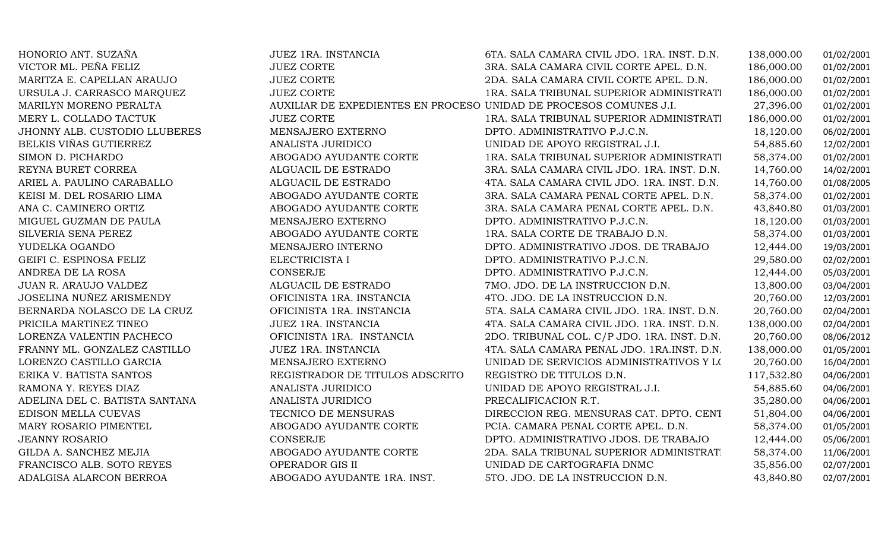| HONORIO ANT. SUZAÑA            | JUEZ 1RA. INSTANCIA             | 6TA. SALA CAMARA CIVIL JDO. 1RA. INST. D.N.                        | 138,000.00 | 01/02/2001 |
|--------------------------------|---------------------------------|--------------------------------------------------------------------|------------|------------|
| VICTOR ML. PEÑA FELIZ          | <b>JUEZ CORTE</b>               | 3RA. SALA CAMARA CIVIL CORTE APEL. D.N.                            | 186,000.00 | 01/02/2001 |
| MARITZA E. CAPELLAN ARAUJO     | <b>JUEZ CORTE</b>               | 2DA. SALA CAMARA CIVIL CORTE APEL. D.N.                            | 186,000.00 | 01/02/2001 |
| URSULA J. CARRASCO MARQUEZ     | <b>JUEZ CORTE</b>               | 1RA. SALA TRIBUNAL SUPERIOR ADMINISTRATI                           | 186,000.00 | 01/02/2001 |
| MARILYN MORENO PERALTA         |                                 | AUXILIAR DE EXPEDIENTES EN PROCESO UNIDAD DE PROCESOS COMUNES J.I. | 27,396.00  | 01/02/2001 |
| MERY L. COLLADO TACTUK         | <b>JUEZ CORTE</b>               | 1RA. SALA TRIBUNAL SUPERIOR ADMINISTRATI                           | 186,000.00 | 01/02/2001 |
| JHONNY ALB. CUSTODIO LLUBERES  | MENSAJERO EXTERNO               | DPTO. ADMINISTRATIVO P.J.C.N.                                      | 18,120.00  | 06/02/2001 |
| BELKIS VIÑAS GUTIERREZ         | ANALISTA JURIDICO               | UNIDAD DE APOYO REGISTRAL J.I.                                     | 54,885.60  | 12/02/2001 |
| SIMON D. PICHARDO              | ABOGADO AYUDANTE CORTE          | 1RA. SALA TRIBUNAL SUPERIOR ADMINISTRATI                           | 58,374.00  | 01/02/2001 |
| REYNA BURET CORREA             | ALGUACIL DE ESTRADO             | 3RA. SALA CAMARA CIVIL JDO. 1RA. INST. D.N.                        | 14,760.00  | 14/02/2001 |
| ARIEL A. PAULINO CARABALLO     | ALGUACIL DE ESTRADO             | 4TA. SALA CAMARA CIVIL JDO. 1RA. INST. D.N.                        | 14,760.00  | 01/08/2005 |
| KEISI M. DEL ROSARIO LIMA      | ABOGADO AYUDANTE CORTE          | 3RA. SALA CAMARA PENAL CORTE APEL. D.N.                            | 58,374.00  | 01/02/2001 |
| ANA C. CAMINERO ORTIZ          | ABOGADO AYUDANTE CORTE          | 3RA. SALA CAMARA PENAL CORTE APEL. D.N.                            | 43,840.80  | 01/03/2001 |
| MIGUEL GUZMAN DE PAULA         | MENSAJERO EXTERNO               | DPTO. ADMINISTRATIVO P.J.C.N.                                      | 18,120.00  | 01/03/2001 |
| SILVERIA SENA PEREZ            | ABOGADO AYUDANTE CORTE          | 1RA. SALA CORTE DE TRABAJO D.N.                                    | 58,374.00  | 01/03/2001 |
| YUDELKA OGANDO                 | MENSAJERO INTERNO               | DPTO. ADMINISTRATIVO JDOS. DE TRABAJO                              | 12,444.00  | 19/03/2001 |
| GEIFI C. ESPINOSA FELIZ        | ELECTRICISTA I                  | DPTO. ADMINISTRATIVO P.J.C.N.                                      | 29,580.00  | 02/02/2001 |
| ANDREA DE LA ROSA              | CONSERJE                        | DPTO. ADMINISTRATIVO P.J.C.N.                                      | 12,444.00  | 05/03/2001 |
| JUAN R. ARAUJO VALDEZ          | ALGUACIL DE ESTRADO             | 7MO. JDO. DE LA INSTRUCCION D.N.                                   | 13,800.00  | 03/04/2001 |
| JOSELINA NUÑEZ ARISMENDY       | OFICINISTA 1RA. INSTANCIA       | 4TO. JDO. DE LA INSTRUCCION D.N.                                   | 20,760.00  | 12/03/2001 |
| BERNARDA NOLASCO DE LA CRUZ    | OFICINISTA 1RA. INSTANCIA       | 5TA. SALA CAMARA CIVIL JDO. 1RA. INST. D.N.                        | 20,760.00  | 02/04/2001 |
| PRICILA MARTINEZ TINEO         | JUEZ 1RA. INSTANCIA             | 4TA. SALA CAMARA CIVIL JDO. 1RA. INST. D.N.                        | 138,000.00 | 02/04/2001 |
| LORENZA VALENTIN PACHECO       | OFICINISTA 1RA. INSTANCIA       | 2DO. TRIBUNAL COL. C/P JDO. 1RA. INST. D.N.                        | 20,760.00  | 08/06/2012 |
| FRANNY ML. GONZALEZ CASTILLO   | JUEZ 1RA. INSTANCIA             | 4TA. SALA CAMARA PENAL JDO. 1RA.INST. D.N.                         | 138,000.00 | 01/05/2001 |
| LORENZO CASTILLO GARCIA        | MENSAJERO EXTERNO               | UNIDAD DE SERVICIOS ADMINISTRATIVOS Y LOS                          | 20,760.00  | 16/04/2001 |
| ERIKA V. BATISTA SANTOS        | REGISTRADOR DE TITULOS ADSCRITO | REGISTRO DE TITULOS D.N.                                           | 117,532.80 | 04/06/2001 |
| RAMONA Y. REYES DIAZ           | ANALISTA JURIDICO               | UNIDAD DE APOYO REGISTRAL J.I.                                     | 54,885.60  | 04/06/2001 |
| ADELINA DEL C. BATISTA SANTANA | ANALISTA JURIDICO               | PRECALIFICACION R.T.                                               | 35,280.00  | 04/06/2001 |
| EDISON MELLA CUEVAS            | TECNICO DE MENSURAS             | DIRECCION REG. MENSURAS CAT. DPTO. CENT                            | 51,804.00  | 04/06/2001 |
| MARY ROSARIO PIMENTEL          | ABOGADO AYUDANTE CORTE          | PCIA. CAMARA PENAL CORTE APEL. D.N.                                | 58,374.00  | 01/05/2001 |
| <b>JEANNY ROSARIO</b>          | CONSERJE                        | DPTO. ADMINISTRATIVO JDOS. DE TRABAJO                              | 12,444.00  | 05/06/2001 |
| GILDA A. SANCHEZ MEJIA         | ABOGADO AYUDANTE CORTE          | 2DA. SALA TRIBUNAL SUPERIOR ADMINISTRAT.                           | 58,374.00  | 11/06/2001 |
| FRANCISCO ALB. SOTO REYES      | OPERADOR GIS II                 | UNIDAD DE CARTOGRAFIA DNMC                                         | 35,856.00  | 02/07/2001 |
| ADALGISA ALARCON BERROA        | ABOGADO AYUDANTE 1RA. INST.     | 5TO. JDO. DE LA INSTRUCCION D.N.                                   | 43,840.80  | 02/07/2001 |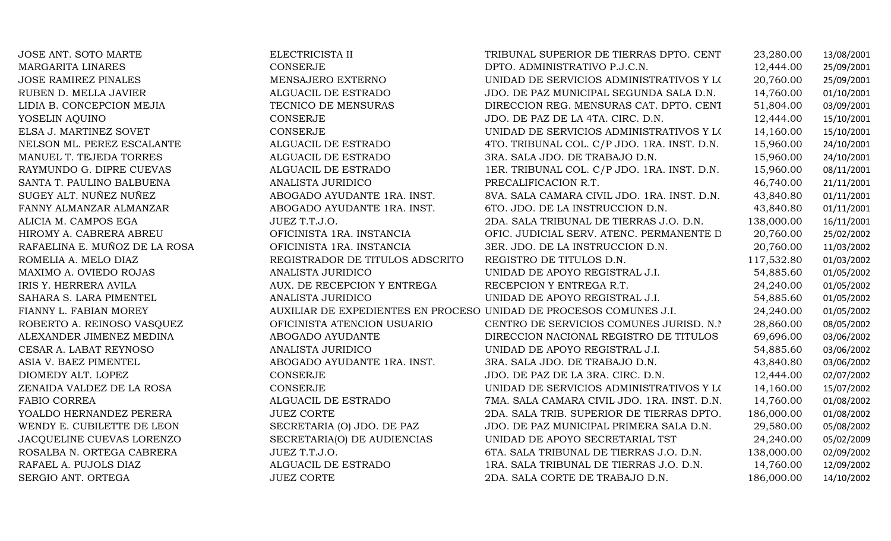| JOSE ANT. SOTO MARTE          | ELECTRICISTA II                                                    | TRIBUNAL SUPERIOR DE TIERRAS DPTO. CENT     | 23,280.00  | 13/08/2001 |
|-------------------------------|--------------------------------------------------------------------|---------------------------------------------|------------|------------|
| <b>MARGARITA LINARES</b>      | <b>CONSERJE</b>                                                    | DPTO. ADMINISTRATIVO P.J.C.N.               | 12,444.00  | 25/09/2001 |
| <b>JOSE RAMIREZ PINALES</b>   | MENSAJERO EXTERNO                                                  | UNIDAD DE SERVICIOS ADMINISTRATIVOS Y LOS   | 20,760.00  | 25/09/2001 |
| RUBEN D. MELLA JAVIER         | ALGUACIL DE ESTRADO                                                | JDO. DE PAZ MUNICIPAL SEGUNDA SALA D.N.     | 14,760.00  | 01/10/2001 |
| LIDIA B. CONCEPCION MEJIA     | TECNICO DE MENSURAS                                                | DIRECCION REG. MENSURAS CAT. DPTO. CENT     | 51,804.00  | 03/09/2001 |
| YOSELIN AQUINO                | CONSERJE                                                           | JDO. DE PAZ DE LA 4TA. CIRC. D.N.           | 12,444.00  | 15/10/2001 |
| ELSA J. MARTINEZ SOVET        | CONSERJE                                                           | UNIDAD DE SERVICIOS ADMINISTRATIVOS Y LOS   | 14,160.00  | 15/10/2001 |
| NELSON ML. PEREZ ESCALANTE    | ALGUACIL DE ESTRADO                                                | 4TO. TRIBUNAL COL. C/P JDO. 1RA. INST. D.N. | 15,960.00  | 24/10/2001 |
| MANUEL T. TEJEDA TORRES       | ALGUACIL DE ESTRADO                                                | 3RA. SALA JDO. DE TRABAJO D.N.              | 15,960.00  | 24/10/2001 |
| RAYMUNDO G. DIPRE CUEVAS      | ALGUACIL DE ESTRADO                                                | 1ER. TRIBUNAL COL. C/P JDO. 1RA. INST. D.N. | 15,960.00  | 08/11/2001 |
| SANTA T. PAULINO BALBUENA     | ANALISTA JURIDICO                                                  | PRECALIFICACION R.T.                        | 46,740.00  | 21/11/2001 |
| SUGEY ALT. NUÑEZ NUÑEZ        | ABOGADO AYUDANTE 1RA. INST.                                        | 8VA. SALA CAMARA CIVIL JDO. 1RA. INST. D.N. | 43,840.80  | 01/11/2001 |
| FANNY ALMANZAR ALMANZAR       | ABOGADO AYUDANTE 1RA. INST.                                        | 6TO. JDO. DE LA INSTRUCCION D.N.            | 43,840.80  | 01/11/2001 |
| ALICIA M. CAMPOS EGA          | JUEZ T.T.J.O.                                                      | 2DA. SALA TRIBUNAL DE TIERRAS J.O. D.N.     | 138,000.00 | 16/11/2001 |
| HIROMY A. CABRERA ABREU       | OFICINISTA 1RA. INSTANCIA                                          | OFIC. JUDICIAL SERV. ATENC. PERMANENTE D    | 20,760.00  | 25/02/2002 |
| RAFAELINA E. MUÑOZ DE LA ROSA | OFICINISTA 1RA. INSTANCIA                                          | 3ER. JDO. DE LA INSTRUCCION D.N.            | 20,760.00  | 11/03/2002 |
| ROMELIA A. MELO DIAZ          | REGISTRADOR DE TITULOS ADSCRITO                                    | REGISTRO DE TITULOS D.N.                    | 117,532.80 | 01/03/2002 |
| MAXIMO A. OVIEDO ROJAS        | ANALISTA JURIDICO                                                  | UNIDAD DE APOYO REGISTRAL J.I.              | 54,885.60  | 01/05/2002 |
| IRIS Y. HERRERA AVILA         | AUX. DE RECEPCION Y ENTREGA                                        | RECEPCION Y ENTREGA R.T.                    | 24,240.00  | 01/05/2002 |
| SAHARA S. LARA PIMENTEL       | ANALISTA JURIDICO                                                  | UNIDAD DE APOYO REGISTRAL J.I.              | 54,885.60  | 01/05/2002 |
| FIANNY L. FABIAN MOREY        | AUXILIAR DE EXPEDIENTES EN PROCESO UNIDAD DE PROCESOS COMUNES J.I. |                                             | 24,240.00  | 01/05/2002 |
| ROBERTO A. REINOSO VASQUEZ    | OFICINISTA ATENCION USUARIO                                        | CENTRO DE SERVICIOS COMUNES JURISD. N.I.    | 28,860.00  | 08/05/2002 |
| ALEXANDER JIMENEZ MEDINA      | ABOGADO AYUDANTE                                                   | DIRECCION NACIONAL REGISTRO DE TITULOS      | 69,696.00  | 03/06/2002 |
| CESAR A. LABAT REYNOSO        | ANALISTA JURIDICO                                                  | UNIDAD DE APOYO REGISTRAL J.I.              | 54,885.60  | 03/06/2002 |
| ASIA V. BAEZ PIMENTEL         | ABOGADO AYUDANTE 1RA. INST.                                        | 3RA. SALA JDO. DE TRABAJO D.N.              | 43,840.80  | 03/06/2002 |
| DIOMEDY ALT. LOPEZ            | <b>CONSERJE</b>                                                    | JDO. DE PAZ DE LA 3RA. CIRC. D.N.           | 12,444.00  | 02/07/2002 |
| ZENAIDA VALDEZ DE LA ROSA     | CONSERJE                                                           | UNIDAD DE SERVICIOS ADMINISTRATIVOS Y LOS   | 14,160.00  | 15/07/2002 |
| FABIO CORREA                  | ALGUACIL DE ESTRADO                                                | 7MA. SALA CAMARA CIVIL JDO. 1RA. INST. D.N. | 14,760.00  | 01/08/2002 |
| YOALDO HERNANDEZ PERERA       | <b>JUEZ CORTE</b>                                                  | 2DA. SALA TRIB. SUPERIOR DE TIERRAS DPTO.   | 186,000.00 | 01/08/2002 |
| WENDY E. CUBILETTE DE LEON    | SECRETARIA (O) JDO. DE PAZ                                         | JDO. DE PAZ MUNICIPAL PRIMERA SALA D.N.     | 29,580.00  | 05/08/2002 |
| JACQUELINE CUEVAS LORENZO     | SECRETARIA(O) DE AUDIENCIAS                                        | UNIDAD DE APOYO SECRETARIAL TST             | 24,240.00  | 05/02/2009 |
| ROSALBA N. ORTEGA CABRERA     | JUEZ T.T.J.O.                                                      | 6TA. SALA TRIBUNAL DE TIERRAS J.O. D.N.     | 138,000.00 | 02/09/2002 |
| RAFAEL A. PUJOLS DIAZ         | ALGUACIL DE ESTRADO                                                | 1RA. SALA TRIBUNAL DE TIERRAS J.O. D.N.     | 14,760.00  | 12/09/2002 |
| SERGIO ANT. ORTEGA            | <b>JUEZ CORTE</b>                                                  | 2DA. SALA CORTE DE TRABAJO D.N.             | 186,000.00 | 14/10/2002 |
|                               |                                                                    |                                             |            |            |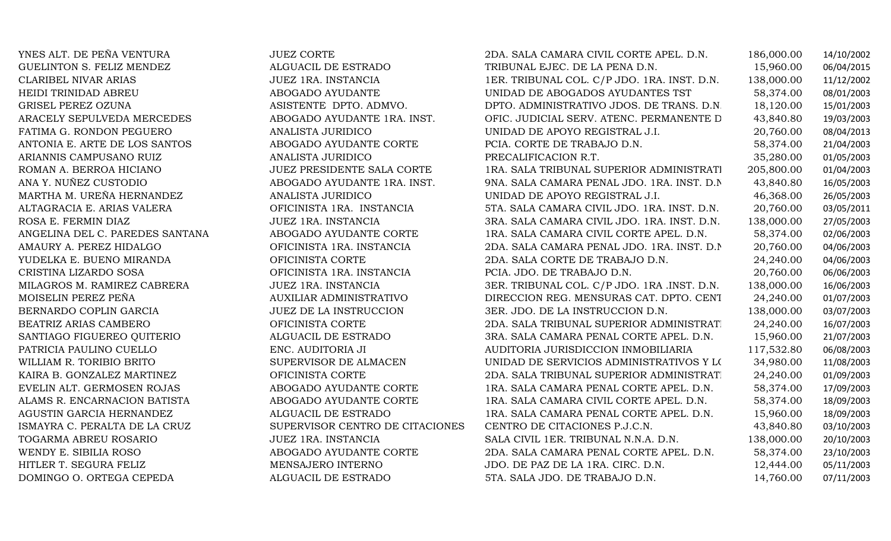| YNES ALT. DE PEÑA VENTURA       | <b>JUEZ CORTE</b>               | 2DA. SALA CAMARA CIVIL CORTE APEL. D.N.     | 186,000.00 | 14/10/2002 |
|---------------------------------|---------------------------------|---------------------------------------------|------------|------------|
| GUELINTON S. FELIZ MENDEZ       | ALGUACIL DE ESTRADO             | TRIBUNAL EJEC. DE LA PENA D.N.              | 15,960.00  | 06/04/2015 |
| <b>CLARIBEL NIVAR ARIAS</b>     | JUEZ 1RA. INSTANCIA             | 1ER. TRIBUNAL COL. C/P JDO. 1RA. INST. D.N. | 138,000.00 | 11/12/2002 |
| HEIDI TRINIDAD ABREU            | ABOGADO AYUDANTE                | UNIDAD DE ABOGADOS AYUDANTES TST            | 58,374.00  | 08/01/2003 |
| <b>GRISEL PEREZ OZUNA</b>       | ASISTENTE DPTO. ADMVO.          | DPTO. ADMINISTRATIVO JDOS. DE TRANS. D.N.   | 18,120.00  | 15/01/2003 |
| ARACELY SEPULVEDA MERCEDES      | ABOGADO AYUDANTE 1RA. INST.     | OFIC. JUDICIAL SERV. ATENC. PERMANENTE D    | 43,840.80  | 19/03/2003 |
| FATIMA G. RONDON PEGUERO        | ANALISTA JURIDICO               | UNIDAD DE APOYO REGISTRAL J.I.              | 20,760.00  | 08/04/2013 |
| ANTONIA E. ARTE DE LOS SANTOS   | ABOGADO AYUDANTE CORTE          | PCIA. CORTE DE TRABAJO D.N.                 | 58,374.00  | 21/04/2003 |
| ARIANNIS CAMPUSANO RUIZ         | ANALISTA JURIDICO               | PRECALIFICACION R.T.                        | 35,280.00  | 01/05/2003 |
| ROMAN A. BERROA HICIANO         | JUEZ PRESIDENTE SALA CORTE      | 1RA. SALA TRIBUNAL SUPERIOR ADMINISTRATI    | 205,800.00 | 01/04/2003 |
| ANA Y. NUÑEZ CUSTODIO           | ABOGADO AYUDANTE 1RA. INST.     | 9NA. SALA CAMARA PENAL JDO. 1RA. INST. D.N. | 43,840.80  | 16/05/2003 |
| MARTHA M. UREÑA HERNANDEZ       | ANALISTA JURIDICO               | UNIDAD DE APOYO REGISTRAL J.I.              | 46,368.00  | 26/05/2003 |
| ALTAGRACIA E. ARIAS VALERA      | OFICINISTA 1RA. INSTANCIA       | 5TA. SALA CAMARA CIVIL JDO. 1RA. INST. D.N. | 20,760.00  | 03/05/2011 |
| ROSA E. FERMIN DIAZ             | JUEZ 1RA. INSTANCIA             | 3RA. SALA CAMARA CIVIL JDO. 1RA. INST. D.N. | 138,000.00 | 27/05/2003 |
| ANGELINA DEL C. PAREDES SANTANA | ABOGADO AYUDANTE CORTE          | 1RA. SALA CAMARA CIVIL CORTE APEL. D.N.     | 58,374.00  | 02/06/2003 |
| AMAURY A. PEREZ HIDALGO         | OFICINISTA 1RA. INSTANCIA       | 2DA. SALA CAMARA PENAL JDO. 1RA. INST. D.N. | 20,760.00  | 04/06/2003 |
| YUDELKA E. BUENO MIRANDA        | OFICINISTA CORTE                | 2DA. SALA CORTE DE TRABAJO D.N.             | 24,240.00  | 04/06/2003 |
| CRISTINA LIZARDO SOSA           | OFICINISTA 1RA. INSTANCIA       | PCIA. JDO. DE TRABAJO D.N.                  | 20,760.00  | 06/06/2003 |
| MILAGROS M. RAMIREZ CABRERA     | JUEZ 1RA. INSTANCIA             | 3ER. TRIBUNAL COL. C/P JDO. 1RA .INST. D.N. | 138,000.00 | 16/06/2003 |
| MOISELIN PEREZ PEÑA             | AUXILIAR ADMINISTRATIVO         | DIRECCION REG. MENSURAS CAT. DPTO. CENT     | 24,240.00  | 01/07/2003 |
| BERNARDO COPLIN GARCIA          | JUEZ DE LA INSTRUCCION          | 3ER. JDO. DE LA INSTRUCCION D.N.            | 138,000.00 | 03/07/2003 |
| BEATRIZ ARIAS CAMBERO           | OFICINISTA CORTE                | 2DA. SALA TRIBUNAL SUPERIOR ADMINISTRAT.    | 24,240.00  | 16/07/2003 |
| SANTIAGO FIGUEREO QUITERIO      | ALGUACIL DE ESTRADO             | 3RA. SALA CAMARA PENAL CORTE APEL. D.N.     | 15,960.00  | 21/07/2003 |
| PATRICIA PAULINO CUELLO         | ENC. AUDITORIA JI               | AUDITORIA JURISDICCION INMOBILIARIA         | 117,532.80 | 06/08/2003 |
| WILLIAM R. TORIBIO BRITO        | SUPERVISOR DE ALMACEN           | UNIDAD DE SERVICIOS ADMINISTRATIVOS Y LOS   | 34,980.00  | 11/08/2003 |
| KAIRA B. GONZALEZ MARTINEZ      | OFICINISTA CORTE                | 2DA. SALA TRIBUNAL SUPERIOR ADMINISTRAT.    | 24,240.00  | 01/09/2003 |
| EVELIN ALT. GERMOSEN ROJAS      | ABOGADO AYUDANTE CORTE          | 1RA. SALA CAMARA PENAL CORTE APEL. D.N.     | 58,374.00  | 17/09/2003 |
| ALAMS R. ENCARNACION BATISTA    | ABOGADO AYUDANTE CORTE          | 1RA. SALA CAMARA CIVIL CORTE APEL. D.N.     | 58,374.00  | 18/09/2003 |
| AGUSTIN GARCIA HERNANDEZ        | ALGUACIL DE ESTRADO             | 1RA. SALA CAMARA PENAL CORTE APEL. D.N.     | 15,960.00  | 18/09/2003 |
| ISMAYRA C. PERALTA DE LA CRUZ   | SUPERVISOR CENTRO DE CITACIONES | CENTRO DE CITACIONES P.J.C.N.               | 43,840.80  | 03/10/2003 |
| TOGARMA ABREU ROSARIO           | JUEZ 1RA. INSTANCIA             | SALA CIVIL 1ER. TRIBUNAL N.N.A. D.N.        | 138,000.00 | 20/10/2003 |
| WENDY E. SIBILIA ROSO           | ABOGADO AYUDANTE CORTE          | 2DA. SALA CAMARA PENAL CORTE APEL. D.N.     | 58,374.00  | 23/10/2003 |
| HITLER T. SEGURA FELIZ          | MENSAJERO INTERNO               | JDO. DE PAZ DE LA 1RA. CIRC. D.N.           | 12,444.00  | 05/11/2003 |
| DOMINGO O. ORTEGA CEPEDA        | ALGUACIL DE ESTRADO             | 5TA. SALA JDO. DE TRABAJO D.N.              | 14,760.00  | 07/11/2003 |
|                                 |                                 |                                             |            |            |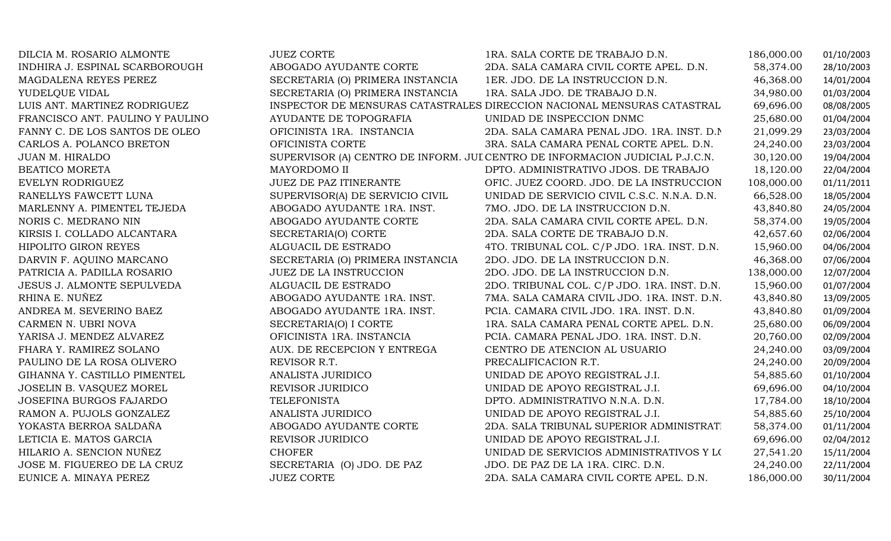| DILCIA M. ROSARIO ALMONTE        | <b>JUEZ CORTE</b>                | 1RA. SALA CORTE DE TRABAJO D.N.                                              | 186,000.00 | 01/10/2003 |
|----------------------------------|----------------------------------|------------------------------------------------------------------------------|------------|------------|
| INDHIRA J. ESPINAL SCARBOROUGH   | ABOGADO AYUDANTE CORTE           | 2DA. SALA CAMARA CIVIL CORTE APEL. D.N.                                      | 58,374.00  | 28/10/2003 |
| MAGDALENA REYES PEREZ            | SECRETARIA (O) PRIMERA INSTANCIA | 1ER. JDO. DE LA INSTRUCCION D.N.                                             | 46,368.00  | 14/01/2004 |
| YUDELQUE VIDAL                   | SECRETARIA (O) PRIMERA INSTANCIA | 1RA. SALA JDO. DE TRABAJO D.N.                                               | 34,980.00  | 01/03/2004 |
| LUIS ANT. MARTINEZ RODRIGUEZ     |                                  | INSPECTOR DE MENSURAS CATASTRALES DIRECCION NACIONAL MENSURAS CATASTRAL      | 69,696.00  | 08/08/2005 |
| FRANCISCO ANT. PAULINO Y PAULINO | AYUDANTE DE TOPOGRAFIA           | UNIDAD DE INSPECCION DNMC                                                    | 25,680.00  | 01/04/2004 |
| FANNY C. DE LOS SANTOS DE OLEO   | OFICINISTA 1RA. INSTANCIA        | 2DA. SALA CAMARA PENAL JDO. 1RA. INST. D.M                                   | 21,099.29  | 23/03/2004 |
| CARLOS A. POLANCO BRETON         | OFICINISTA CORTE                 | 3RA. SALA CAMARA PENAL CORTE APEL. D.N.                                      | 24,240.00  | 23/03/2004 |
| <b>JUAN M. HIRALDO</b>           |                                  | SUPERVISOR (A) CENTRO DE INFORM. JUI CENTRO DE INFORMACION JUDICIAL P.J.C.N. | 30,120.00  | 19/04/2004 |
| BEATICO MORETA                   | MAYORDOMO II                     | DPTO. ADMINISTRATIVO JDOS. DE TRABAJO                                        | 18,120.00  | 22/04/2004 |
| EVELYN RODRIGUEZ                 | JUEZ DE PAZ ITINERANTE           | OFIC. JUEZ COORD. JDO. DE LA INSTRUCCION                                     | 108,000.00 | 01/11/2011 |
| RANELLYS FAWCETT LUNA            | SUPERVISOR(A) DE SERVICIO CIVIL  | UNIDAD DE SERVICIO CIVIL C.S.C. N.N.A. D.N.                                  | 66,528.00  | 18/05/2004 |
| MARLENNY A. PIMENTEL TEJEDA      | ABOGADO AYUDANTE 1RA. INST.      | 7MO. JDO. DE LA INSTRUCCION D.N.                                             | 43,840.80  | 24/05/2004 |
| NORIS C. MEDRANO NIN             | ABOGADO AYUDANTE CORTE           | 2DA. SALA CAMARA CIVIL CORTE APEL. D.N.                                      | 58,374.00  | 19/05/2004 |
| KIRSIS I. COLLADO ALCANTARA      | SECRETARIA(O) CORTE              | 2DA. SALA CORTE DE TRABAJO D.N.                                              | 42,657.60  | 02/06/2004 |
| <b>HIPOLITO GIRON REYES</b>      | ALGUACIL DE ESTRADO              | 4TO. TRIBUNAL COL. C/P JDO. 1RA. INST. D.N.                                  | 15,960.00  | 04/06/2004 |
| DARVIN F. AQUINO MARCANO         | SECRETARIA (O) PRIMERA INSTANCIA | 2DO. JDO. DE LA INSTRUCCION D.N.                                             | 46,368.00  | 07/06/2004 |
| PATRICIA A. PADILLA ROSARIO      | <b>JUEZ DE LA INSTRUCCION</b>    | 2DO. JDO. DE LA INSTRUCCION D.N.                                             | 138,000.00 | 12/07/2004 |
| JESUS J. ALMONTE SEPULVEDA       | ALGUACIL DE ESTRADO              | 2DO. TRIBUNAL COL. C/P JDO. 1RA. INST. D.N.                                  | 15,960.00  | 01/07/2004 |
| RHINA E. NUÑEZ                   | ABOGADO AYUDANTE 1RA. INST.      | 7MA. SALA CAMARA CIVIL JDO. 1RA. INST. D.N.                                  | 43,840.80  | 13/09/2005 |
| ANDREA M. SEVERINO BAEZ          | ABOGADO AYUDANTE 1RA. INST.      | PCIA. CAMARA CIVIL JDO. 1RA. INST. D.N.                                      | 43,840.80  | 01/09/2004 |
| CARMEN N. UBRI NOVA              | SECRETARIA(O) I CORTE            | 1RA. SALA CAMARA PENAL CORTE APEL. D.N.                                      | 25,680.00  | 06/09/2004 |
| YARISA J. MENDEZ ALVAREZ         | OFICINISTA 1RA. INSTANCIA        | PCIA. CAMARA PENAL JDO. 1RA. INST. D.N.                                      | 20,760.00  | 02/09/2004 |
| FHARA Y. RAMIREZ SOLANO          | AUX. DE RECEPCION Y ENTREGA      | CENTRO DE ATENCION AL USUARIO                                                | 24,240.00  | 03/09/2004 |
| PAULINO DE LA ROSA OLIVERO       | REVISOR R.T.                     | PRECALIFICACION R.T.                                                         | 24,240.00  | 20/09/2004 |
| GIHANNA Y. CASTILLO PIMENTEL     | ANALISTA JURIDICO                | UNIDAD DE APOYO REGISTRAL J.I.                                               | 54,885.60  | 01/10/2004 |
| JOSELIN B. VASQUEZ MOREL         | REVISOR JURIDICO                 | UNIDAD DE APOYO REGISTRAL J.I.                                               | 69,696.00  | 04/10/2004 |
| JOSEFINA BURGOS FAJARDO          | <b>TELEFONISTA</b>               | DPTO. ADMINISTRATIVO N.N.A. D.N.                                             | 17,784.00  | 18/10/2004 |
| RAMON A. PUJOLS GONZALEZ         | ANALISTA JURIDICO                | UNIDAD DE APOYO REGISTRAL J.I.                                               | 54,885.60  | 25/10/2004 |
| YOKASTA BERROA SALDAÑA           | ABOGADO AYUDANTE CORTE           | 2DA. SALA TRIBUNAL SUPERIOR ADMINISTRAT.                                     | 58,374.00  | 01/11/2004 |
| LETICIA E. MATOS GARCIA          | REVISOR JURIDICO                 | UNIDAD DE APOYO REGISTRAL J.I.                                               | 69,696.00  | 02/04/2012 |
| HILARIO A. SENCION NUÑEZ         | <b>CHOFER</b>                    | UNIDAD DE SERVICIOS ADMINISTRATIVOS Y LOS                                    | 27,541.20  | 15/11/2004 |
| JOSE M. FIGUEREO DE LA CRUZ      | SECRETARIA (O) JDO. DE PAZ       | JDO. DE PAZ DE LA 1RA. CIRC. D.N.                                            | 24,240.00  | 22/11/2004 |
| EUNICE A. MINAYA PEREZ           | <b>JUEZ CORTE</b>                | 2DA. SALA CAMARA CIVIL CORTE APEL. D.N.                                      | 186,000.00 | 30/11/2004 |
|                                  |                                  |                                                                              |            |            |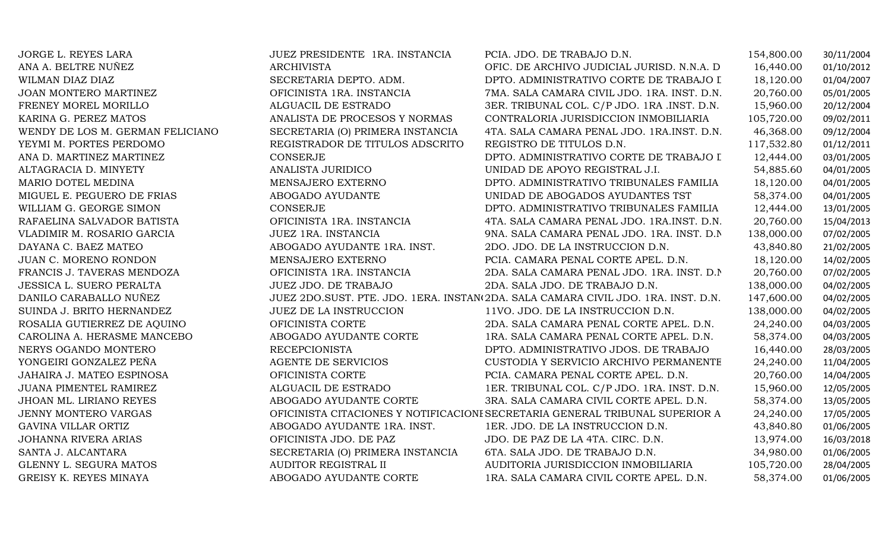| JORGE L. REYES LARA              | JUEZ PRESIDENTE 1RA. INSTANCIA   | PCIA. JDO. DE TRABAJO D.N.                                                        | 154,800.00 | 30/11/2004 |
|----------------------------------|----------------------------------|-----------------------------------------------------------------------------------|------------|------------|
| ANA A. BELTRE NUÑEZ              | <b>ARCHIVISTA</b>                | OFIC. DE ARCHIVO JUDICIAL JURISD. N.N.A. D                                        | 16,440.00  | 01/10/2012 |
| WILMAN DIAZ DIAZ                 | SECRETARIA DEPTO. ADM.           | DPTO. ADMINISTRATIVO CORTE DE TRABAJO I                                           | 18,120.00  | 01/04/2007 |
| JOAN MONTERO MARTINEZ            | OFICINISTA 1RA. INSTANCIA        | 7MA. SALA CAMARA CIVIL JDO. 1RA. INST. D.N.                                       | 20,760.00  | 05/01/2005 |
| FRENEY MOREL MORILLO             | ALGUACIL DE ESTRADO              | 3ER. TRIBUNAL COL. C/P JDO. 1RA .INST. D.N.                                       | 15,960.00  | 20/12/2004 |
| KARINA G. PEREZ MATOS            | ANALISTA DE PROCESOS Y NORMAS    | CONTRALORIA JURISDICCION INMOBILIARIA                                             | 105,720.00 | 09/02/2011 |
| WENDY DE LOS M. GERMAN FELICIANO | SECRETARIA (O) PRIMERA INSTANCIA | 4TA. SALA CAMARA PENAL JDO. 1RA.INST. D.N.                                        | 46,368.00  | 09/12/2004 |
| YEYMI M. PORTES PERDOMO          | REGISTRADOR DE TITULOS ADSCRITO  | REGISTRO DE TITULOS D.N.                                                          | 117,532.80 | 01/12/2011 |
| ANA D. MARTINEZ MARTINEZ         | <b>CONSERJE</b>                  | DPTO. ADMINISTRATIVO CORTE DE TRABAJO I                                           | 12,444.00  | 03/01/2005 |
| ALTAGRACIA D. MINYETY            | ANALISTA JURIDICO                | UNIDAD DE APOYO REGISTRAL J.I.                                                    | 54,885.60  | 04/01/2005 |
| MARIO DOTEL MEDINA               | MENSAJERO EXTERNO                | DPTO. ADMINISTRATIVO TRIBUNALES FAMILIA                                           | 18,120.00  | 04/01/2005 |
| MIGUEL E. PEGUERO DE FRIAS       | ABOGADO AYUDANTE                 | UNIDAD DE ABOGADOS AYUDANTES TST                                                  | 58,374.00  | 04/01/2005 |
| WILLIAM G. GEORGE SIMON          | <b>CONSERJE</b>                  | DPTO. ADMINISTRATIVO TRIBUNALES FAMILIA                                           | 12,444.00  | 13/01/2005 |
| RAFAELINA SALVADOR BATISTA       | OFICINISTA 1RA. INSTANCIA        | 4TA. SALA CAMARA PENAL JDO. 1RA.INST. D.N.                                        | 20,760.00  | 15/04/2013 |
| VLADIMIR M. ROSARIO GARCIA       | JUEZ 1RA. INSTANCIA              | 9NA. SALA CAMARA PENAL JDO. 1RA. INST. D.N                                        | 138,000.00 | 07/02/2005 |
| DAYANA C. BAEZ MATEO             | ABOGADO AYUDANTE 1RA. INST.      | 2DO. JDO. DE LA INSTRUCCION D.N.                                                  | 43,840.80  | 21/02/2005 |
| JUAN C. MORENO RONDON            | MENSAJERO EXTERNO                | PCIA. CAMARA PENAL CORTE APEL. D.N.                                               | 18,120.00  | 14/02/2005 |
| FRANCIS J. TAVERAS MENDOZA       | OFICINISTA 1RA. INSTANCIA        | 2DA. SALA CAMARA PENAL JDO. 1RA. INST. D.N.                                       | 20,760.00  | 07/02/2005 |
| <b>JESSICA L. SUERO PERALTA</b>  | JUEZ JDO. DE TRABAJO             | 2DA. SALA JDO. DE TRABAJO D.N.                                                    | 138,000.00 | 04/02/2005 |
| DANILO CARABALLO NUÑEZ           |                                  | JUEZ 2DO.SUST. PTE. JDO. 1ERA. INSTAN(2DA. SALA CAMARA CIVIL JDO. 1RA. INST. D.N. | 147,600.00 | 04/02/2005 |
| SUINDA J. BRITO HERNANDEZ        | JUEZ DE LA INSTRUCCION           | 11VO. JDO. DE LA INSTRUCCION D.N.                                                 | 138,000.00 | 04/02/2005 |
| ROSALIA GUTIERREZ DE AQUINO      | OFICINISTA CORTE                 | 2DA. SALA CAMARA PENAL CORTE APEL. D.N.                                           | 24,240.00  | 04/03/2005 |
| CAROLINA A. HERASME MANCEBO      | ABOGADO AYUDANTE CORTE           | 1RA. SALA CAMARA PENAL CORTE APEL. D.N.                                           | 58,374.00  | 04/03/2005 |
| NERYS OGANDO MONTERO             | <b>RECEPCIONISTA</b>             | DPTO. ADMINISTRATIVO JDOS. DE TRABAJO                                             | 16,440.00  | 28/03/2005 |
| YONGEIRI GONZALEZ PEÑA           | AGENTE DE SERVICIOS              | CUSTODIA Y SERVICIO ARCHIVO PERMANENTE                                            | 24,240.00  | 11/04/2005 |
| JAHAIRA J. MATEO ESPINOSA        | OFICINISTA CORTE                 | PCIA. CAMARA PENAL CORTE APEL. D.N.                                               | 20,760.00  | 14/04/2005 |
| JUANA PIMENTEL RAMIREZ           | ALGUACIL DE ESTRADO              | 1ER. TRIBUNAL COL. C/P JDO. 1RA. INST. D.N.                                       | 15,960.00  | 12/05/2005 |
| JHOAN ML. LIRIANO REYES          | ABOGADO AYUDANTE CORTE           | 3RA. SALA CAMARA CIVIL CORTE APEL. D.N.                                           | 58,374.00  | 13/05/2005 |
| JENNY MONTERO VARGAS             |                                  | OFICINISTA CITACIONES Y NOTIFICACIONI SECRETARIA GENERAL TRIBUNAL SUPERIOR A      | 24,240.00  | 17/05/2005 |
| <b>GAVINA VILLAR ORTIZ</b>       | ABOGADO AYUDANTE 1RA. INST.      | 1ER. JDO. DE LA INSTRUCCION D.N.                                                  | 43,840.80  | 01/06/2005 |
| <b>JOHANNA RIVERA ARIAS</b>      | OFICINISTA JDO. DE PAZ           | JDO. DE PAZ DE LA 4TA. CIRC. D.N.                                                 | 13,974.00  | 16/03/2018 |
| SANTA J. ALCANTARA               | SECRETARIA (O) PRIMERA INSTANCIA | 6TA. SALA JDO. DE TRABAJO D.N.                                                    | 34,980.00  | 01/06/2005 |
| GLENNY L. SEGURA MATOS           | AUDITOR REGISTRAL II             | AUDITORIA JURISDICCION INMOBILIARIA                                               | 105,720.00 | 28/04/2005 |
| GREISY K. REYES MINAYA           | ABOGADO AYUDANTE CORTE           | 1RA. SALA CAMARA CIVIL CORTE APEL. D.N.                                           | 58,374.00  | 01/06/2005 |
|                                  |                                  |                                                                                   |            |            |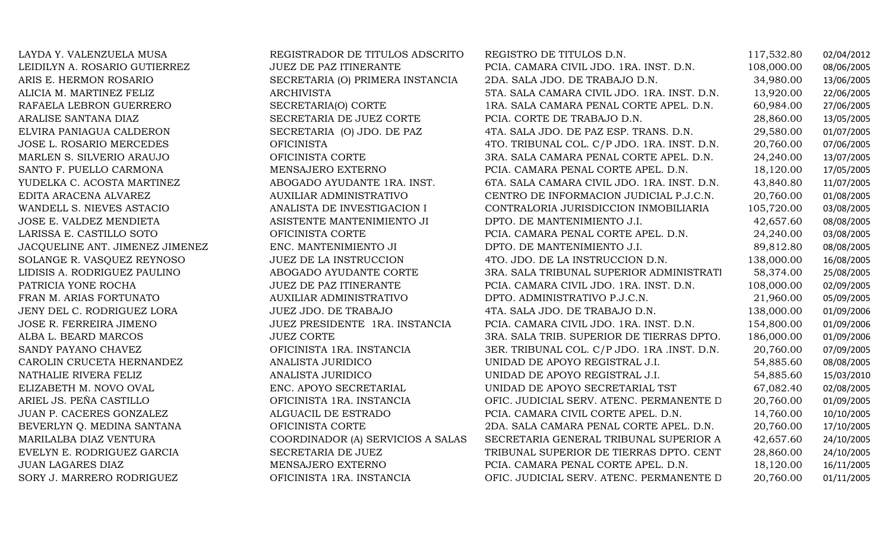| LAYDA Y. VALENZUELA MUSA        | REGISTRADOR DE TITULOS ADSCRITO   | REGISTRO DE TITULOS D.N.                    | 117,532.80 | 02/04/2012 |
|---------------------------------|-----------------------------------|---------------------------------------------|------------|------------|
| LEIDILYN A. ROSARIO GUTIERREZ   | <b>JUEZ DE PAZ ITINERANTE</b>     | PCIA. CAMARA CIVIL JDO. 1RA. INST. D.N.     | 108,000.00 | 08/06/2005 |
| ARIS E. HERMON ROSARIO          | SECRETARIA (O) PRIMERA INSTANCIA  | 2DA. SALA JDO. DE TRABAJO D.N.              | 34,980.00  | 13/06/2005 |
| ALICIA M. MARTINEZ FELIZ        | <b>ARCHIVISTA</b>                 | 5TA. SALA CAMARA CIVIL JDO. 1RA. INST. D.N. | 13,920.00  | 22/06/2005 |
| RAFAELA LEBRON GUERRERO         | SECRETARIA(O) CORTE               | 1RA. SALA CAMARA PENAL CORTE APEL. D.N.     | 60,984.00  | 27/06/2005 |
| ARALISE SANTANA DIAZ            | SECRETARIA DE JUEZ CORTE          | PCIA. CORTE DE TRABAJO D.N.                 | 28,860.00  | 13/05/2005 |
| ELVIRA PANIAGUA CALDERON        | SECRETARIA (O) JDO. DE PAZ        | 4TA. SALA JDO. DE PAZ ESP. TRANS. D.N.      | 29,580.00  | 01/07/2005 |
| JOSE L. ROSARIO MERCEDES        | <b>OFICINISTA</b>                 | 4TO. TRIBUNAL COL. C/P JDO. 1RA. INST. D.N. | 20,760.00  | 07/06/2005 |
| MARLEN S. SILVERIO ARAUJO       | OFICINISTA CORTE                  | 3RA. SALA CAMARA PENAL CORTE APEL. D.N.     | 24,240.00  | 13/07/2005 |
| SANTO F. PUELLO CARMONA         | MENSAJERO EXTERNO                 | PCIA. CAMARA PENAL CORTE APEL. D.N.         | 18,120.00  | 17/05/2005 |
| YUDELKA C. ACOSTA MARTINEZ      | ABOGADO AYUDANTE 1RA. INST.       | 6TA. SALA CAMARA CIVIL JDO. 1RA. INST. D.N. | 43,840.80  | 11/07/2005 |
| EDITA ARACENA ALVAREZ           | AUXILIAR ADMINISTRATIVO           | CENTRO DE INFORMACION JUDICIAL P.J.C.N.     | 20,760.00  | 01/08/2005 |
| WANDELL S. NIEVES ASTACIO       | ANALISTA DE INVESTIGACION I       | CONTRALORIA JURISDICCION INMOBILIARIA       | 105,720.00 | 03/08/2005 |
| JOSE E. VALDEZ MENDIETA         | ASISTENTE MANTENIMIENTO JI        | DPTO. DE MANTENIMIENTO J.I.                 | 42,657.60  | 08/08/2005 |
| LARISSA E. CASTILLO SOTO        | OFICINISTA CORTE                  | PCIA. CAMARA PENAL CORTE APEL. D.N.         | 24,240.00  | 03/08/2005 |
| JACQUELINE ANT. JIMENEZ JIMENEZ | ENC. MANTENIMIENTO JI             | DPTO. DE MANTENIMIENTO J.I.                 | 89,812.80  | 08/08/2005 |
| SOLANGE R. VASQUEZ REYNOSO      | JUEZ DE LA INSTRUCCION            | 4TO. JDO. DE LA INSTRUCCION D.N.            | 138,000.00 | 16/08/2005 |
| LIDISIS A. RODRIGUEZ PAULINO    | ABOGADO AYUDANTE CORTE            | 3RA. SALA TRIBUNAL SUPERIOR ADMINISTRATI    | 58,374.00  | 25/08/2005 |
| PATRICIA YONE ROCHA             | JUEZ DE PAZ ITINERANTE            | PCIA. CAMARA CIVIL JDO. 1RA. INST. D.N.     | 108,000.00 | 02/09/2005 |
| FRAN M. ARIAS FORTUNATO         | AUXILIAR ADMINISTRATIVO           | DPTO. ADMINISTRATIVO P.J.C.N.               | 21,960.00  | 05/09/2005 |
| JENY DEL C. RODRIGUEZ LORA      | JUEZ JDO. DE TRABAJO              | 4TA. SALA JDO. DE TRABAJO D.N.              | 138,000.00 | 01/09/2006 |
| JOSE R. FERREIRA JIMENO         | JUEZ PRESIDENTE 1RA. INSTANCIA    | PCIA. CAMARA CIVIL JDO. 1RA. INST. D.N.     | 154,800.00 | 01/09/2006 |
| ALBA L. BEARD MARCOS            | <b>JUEZ CORTE</b>                 | 3RA. SALA TRIB. SUPERIOR DE TIERRAS DPTO.   | 186,000.00 | 01/09/2006 |
| SANDY PAYANO CHAVEZ             | OFICINISTA 1RA. INSTANCIA         | 3ER. TRIBUNAL COL. C/P JDO. 1RA .INST. D.N. | 20,760.00  | 07/09/2005 |
| CAROLIN CRUCETA HERNANDEZ       | ANALISTA JURIDICO                 | UNIDAD DE APOYO REGISTRAL J.I.              | 54,885.60  | 08/08/2005 |
| NATHALIE RIVERA FELIZ           | ANALISTA JURIDICO                 | UNIDAD DE APOYO REGISTRAL J.I.              | 54,885.60  | 15/03/2010 |
| ELIZABETH M. NOVO OVAL          | ENC. APOYO SECRETARIAL            | UNIDAD DE APOYO SECRETARIAL TST             | 67,082.40  | 02/08/2005 |
| ARIEL JS. PEÑA CASTILLO         | OFICINISTA 1RA. INSTANCIA         | OFIC. JUDICIAL SERV. ATENC. PERMANENTE D    | 20,760.00  | 01/09/2005 |
| JUAN P. CACERES GONZALEZ        | ALGUACIL DE ESTRADO               | PCIA. CAMARA CIVIL CORTE APEL. D.N.         | 14,760.00  | 10/10/2005 |
| BEVERLYN Q. MEDINA SANTANA      | OFICINISTA CORTE                  | 2DA. SALA CAMARA PENAL CORTE APEL. D.N.     | 20,760.00  | 17/10/2005 |
| MARILALBA DIAZ VENTURA          | COORDINADOR (A) SERVICIOS A SALAS | SECRETARIA GENERAL TRIBUNAL SUPERIOR A      | 42,657.60  | 24/10/2005 |
| EVELYN E. RODRIGUEZ GARCIA      | SECRETARIA DE JUEZ                | TRIBUNAL SUPERIOR DE TIERRAS DPTO. CENT     | 28,860.00  | 24/10/2005 |
| JUAN LAGARES DIAZ               | MENSAJERO EXTERNO                 | PCIA. CAMARA PENAL CORTE APEL. D.N.         | 18,120.00  | 16/11/2005 |
| SORY J. MARRERO RODRIGUEZ       | OFICINISTA 1RA. INSTANCIA         | OFIC. JUDICIAL SERV. ATENC. PERMANENTE D    | 20,760.00  | 01/11/2005 |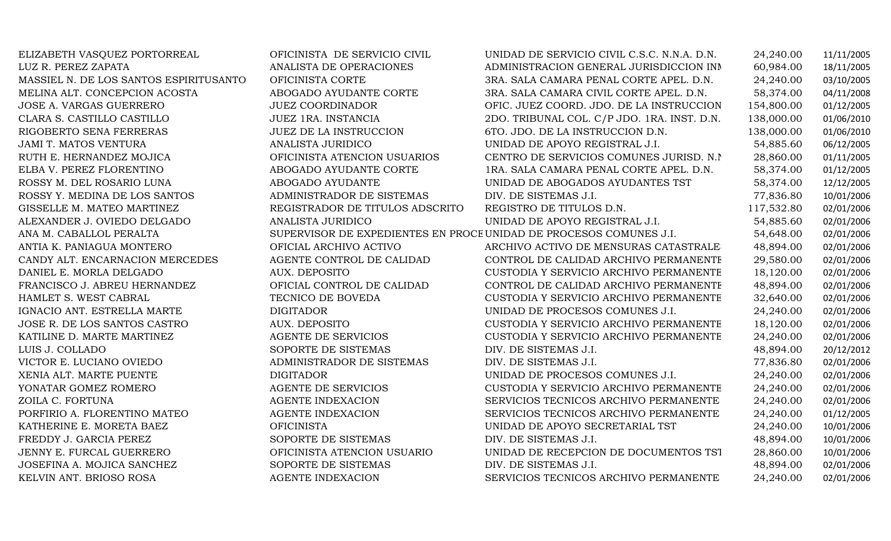| ELIZABETH VASQUEZ PORTORREAL           | OFICINISTA DE SERVICIO CIVIL                                      | UNIDAD DE SERVICIO CIVIL C.S.C. N.N.A. D.N. | 24,240.00  | 11/11/2005 |
|----------------------------------------|-------------------------------------------------------------------|---------------------------------------------|------------|------------|
| LUZ R. PEREZ ZAPATA                    | ANALISTA DE OPERACIONES                                           | ADMINISTRACION GENERAL JURISDICCION INN     | 60,984.00  | 18/11/2005 |
| MASSIEL N. DE LOS SANTOS ESPIRITUSANTO | OFICINISTA CORTE                                                  | 3RA. SALA CAMARA PENAL CORTE APEL. D.N.     | 24,240.00  | 03/10/2005 |
| MELINA ALT. CONCEPCION ACOSTA          | ABOGADO AYUDANTE CORTE                                            | 3RA. SALA CAMARA CIVIL CORTE APEL. D.N.     | 58,374.00  | 04/11/2008 |
| JOSE A. VARGAS GUERRERO                | <b>JUEZ COORDINADOR</b>                                           | OFIC. JUEZ COORD. JDO. DE LA INSTRUCCION    | 154,800.00 | 01/12/2005 |
| CLARA S. CASTILLO CASTILLO             | JUEZ 1RA. INSTANCIA                                               | 2DO. TRIBUNAL COL. C/P JDO. 1RA. INST. D.N. | 138,000.00 | 01/06/2010 |
| RIGOBERTO SENA FERRERAS                | <b>JUEZ DE LA INSTRUCCION</b>                                     | 6TO. JDO. DE LA INSTRUCCION D.N.            | 138,000.00 | 01/06/2010 |
| JAMI T. MATOS VENTURA                  | ANALISTA JURIDICO                                                 | UNIDAD DE APOYO REGISTRAL J.I.              | 54,885.60  | 06/12/2005 |
| RUTH E. HERNANDEZ MOJICA               | OFICINISTA ATENCION USUARIOS                                      | CENTRO DE SERVICIOS COMUNES JURISD. N.I.    | 28,860.00  | 01/11/2005 |
| ELBA V. PEREZ FLORENTINO               | ABOGADO AYUDANTE CORTE                                            | 1RA. SALA CAMARA PENAL CORTE APEL. D.N.     | 58,374.00  | 01/12/2005 |
| ROSSY M. DEL ROSARIO LUNA              | ABOGADO AYUDANTE                                                  | UNIDAD DE ABOGADOS AYUDANTES TST            | 58,374.00  | 12/12/2005 |
| ROSSY Y. MEDINA DE LOS SANTOS          | ADMINISTRADOR DE SISTEMAS                                         | DIV. DE SISTEMAS J.I.                       | 77,836.80  | 10/01/2006 |
| GISSELLE M. MATEO MARTINEZ             | REGISTRADOR DE TITULOS ADSCRITO                                   | REGISTRO DE TITULOS D.N.                    | 117,532.80 | 02/01/2006 |
| ALEXANDER J. OVIEDO DELGADO            | ANALISTA JURIDICO                                                 | UNIDAD DE APOYO REGISTRAL J.I.              | 54,885.60  | 02/01/2006 |
| ANA M. CABALLOL PERALTA                | SUPERVISOR DE EXPEDIENTES EN PROCEUNIDAD DE PROCESOS COMUNES J.I. |                                             | 54,648.00  | 02/01/2006 |
| ANTIA K. PANIAGUA MONTERO              | OFICIAL ARCHIVO ACTIVO                                            | ARCHIVO ACTIVO DE MENSURAS CATASTRALE       | 48,894.00  | 02/01/2006 |
| CANDY ALT. ENCARNACION MERCEDES        | AGENTE CONTROL DE CALIDAD                                         | CONTROL DE CALIDAD ARCHIVO PERMANENTE       | 29,580.00  | 02/01/2006 |
| DANIEL E. MORLA DELGADO                | AUX. DEPOSITO                                                     | CUSTODIA Y SERVICIO ARCHIVO PERMANENTE      | 18,120.00  | 02/01/2006 |
| FRANCISCO J. ABREU HERNANDEZ           | OFICIAL CONTROL DE CALIDAD                                        | CONTROL DE CALIDAD ARCHIVO PERMANENTE       | 48,894.00  | 02/01/2006 |
| HAMLET S. WEST CABRAL                  | TECNICO DE BOVEDA                                                 | CUSTODIA Y SERVICIO ARCHIVO PERMANENTE      | 32,640.00  | 02/01/2006 |
| IGNACIO ANT. ESTRELLA MARTE            | <b>DIGITADOR</b>                                                  | UNIDAD DE PROCESOS COMUNES J.I.             | 24,240.00  | 02/01/2006 |
| JOSE R. DE LOS SANTOS CASTRO           | AUX. DEPOSITO                                                     | CUSTODIA Y SERVICIO ARCHIVO PERMANENTE      | 18,120.00  | 02/01/2006 |
| KATILINE D. MARTE MARTINEZ             | AGENTE DE SERVICIOS                                               | CUSTODIA Y SERVICIO ARCHIVO PERMANENTE      | 24,240.00  | 02/01/2006 |
| LUIS J. COLLADO                        | SOPORTE DE SISTEMAS                                               | DIV. DE SISTEMAS J.I.                       | 48,894.00  | 20/12/2012 |
| VICTOR E. LUCIANO OVIEDO               | ADMINISTRADOR DE SISTEMAS                                         | DIV. DE SISTEMAS J.I.                       | 77,836.80  | 02/01/2006 |
| XENIA ALT. MARTE PUENTE                | <b>DIGITADOR</b>                                                  | UNIDAD DE PROCESOS COMUNES J.I.             | 24,240.00  | 02/01/2006 |
| YONATAR GOMEZ ROMERO                   | AGENTE DE SERVICIOS                                               | CUSTODIA Y SERVICIO ARCHIVO PERMANENTE      | 24,240.00  | 02/01/2006 |
| ZOILA C. FORTUNA                       | <b>AGENTE INDEXACION</b>                                          | SERVICIOS TECNICOS ARCHIVO PERMANENTE       | 24,240.00  | 02/01/2006 |
| PORFIRIO A. FLORENTINO MATEO           | <b>AGENTE INDEXACION</b>                                          | SERVICIOS TECNICOS ARCHIVO PERMANENTE       | 24,240.00  | 01/12/2005 |
| KATHERINE E. MORETA BAEZ               | <b>OFICINISTA</b>                                                 | UNIDAD DE APOYO SECRETARIAL TST             | 24,240.00  | 10/01/2006 |
| FREDDY J. GARCIA PEREZ                 | SOPORTE DE SISTEMAS                                               | DIV. DE SISTEMAS J.I.                       | 48,894.00  | 10/01/2006 |
| JENNY E. FURCAL GUERRERO               | OFICINISTA ATENCION USUARIO                                       | UNIDAD DE RECEPCION DE DOCUMENTOS TST       | 28,860.00  | 10/01/2006 |
| JOSEFINA A. MOJICA SANCHEZ             | SOPORTE DE SISTEMAS                                               | DIV. DE SISTEMAS J.I.                       | 48,894.00  | 02/01/2006 |
| KELVIN ANT. BRIOSO ROSA                | AGENTE INDEXACION                                                 | SERVICIOS TECNICOS ARCHIVO PERMANENTE       | 24,240.00  | 02/01/2006 |
|                                        |                                                                   |                                             |            |            |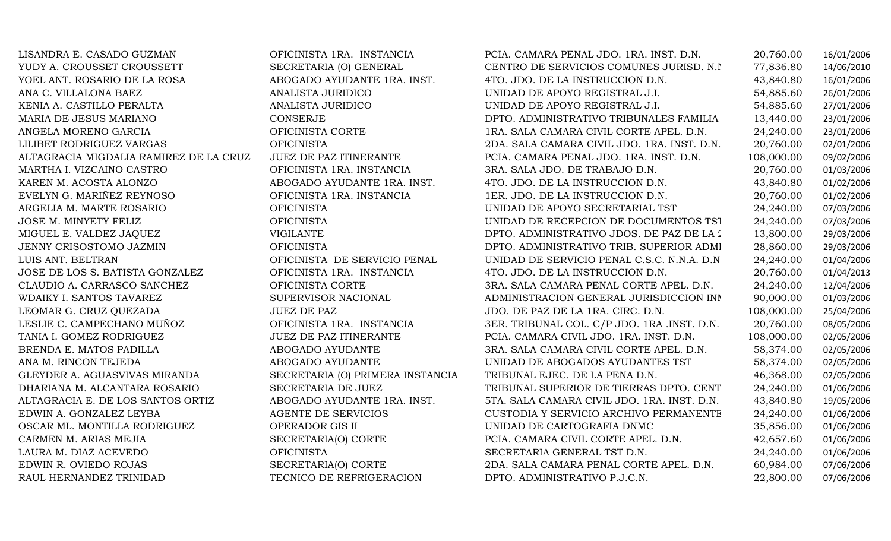LISANDRA E. CASADO GUZMAN OFICINISTA 1RA. INSTANCIA PCIA. CAMARA PENAL JDO. 1RA. INST. D.N. 20,760.00 16/01/2006 YUDY A. CROUSSET CROUSSETT SECRETARIA (O) GENERAL CENTRO DE SERVICIOS COMUNES JURISD. N.N. 77,836.80 14/06/2010<br>YOEL ANT. ROSARIO DE LA ROSA ABOGADO AYUDANTE 1RA. INST. 4TO. JDO. DE LA INSTRUCCION D.N. 43,840.80 16/01/2006 YOEL ANT. ROSARIO DE LA ROSA ABOGADO AYUDANTE 1RA. INST. 4TO. JDO. DE LA INSTRUCCION D.N. 43,840.80 16/01/2006 ANA C. VILLALONA BAEZ ANALISTA JURIDICO UNIDAD DE APOYO REGISTRAL J.I. 54,885.60 26/01/2006 KENIA A. CASTILLO PERALTA ANALISTA JURIDICO UNIDAD DE APOYO REGISTRAL J.I. 54,885.60 27/01/2006 MARIA DE JESUS MARIANO CONSERJE DPTO. ADMINISTRATIVO TRIBUNALES FAMILIA 13,440.00 23/01/2006 ANGELA MORENO GARCIA OFICINISTA CORTE 1RA. SALA CAMARA CIVIL CORTE APEL. D.N. 24,240.00 23/01/2006 LILIBET RODRIGUEZ VARGAS OFICINISTA 2DA. SALA CAMARA CIVIL JDO. 1RA. INST. D.N. 20,760.00 02/01/2006 ALTAGRACIA MIGDALIA RAMIREZ DE LA CRUZ JUEZ DE PAZ ITINERANTE PCIA. CAMARA PENAL JDO. 1RA. INST. D.N. 108,000.00 09/02/2006 MARTHA I. VIZCAINO CASTRO OFICINISTA 1RA. INSTANCIA 3RA. SALA JDO. DE TRABAJO D.N. 20,760.00 01/03/2006 KAREN M. ACOSTA ALONZO ABOGADO AYUDANTE 1RA. INST. 4TO. JDO. DE LA INSTRUCCION D.N. 43,840.80 01/02/2006 EVELYN G. MARIÑEZ REYNOSO OFICINISTA 1RA. INSTANCIA 1ER. JDO. DE LA INSTRUCCION D.N. 20,760.00 01/02/2006 ARGELIA M. MARTE ROSARIO OFICINISTA UNIDAD DE APOYO SECRETARIAL TST 24,240.00 07/03/2006 JOSE M. MINYETY FELIZ OFICINISTA UNIDAD DE RECEPCION DE DOCUMENTOS TST 24,240.00 07/03/2006 MIGUEL E. VALDEZ JAQUEZ VIGILANTE DPTO. ADMINISTRATIVO JDOS. DE PAZ DE LA 2DA. CIRC. 13,800.00 29/03/2006 JENNY CRISOSTOMO JAZMIN OFICINISTA DPTO. ADMINISTRATIVO TRIB. SUPERIOR ADMINISTRATIVO29/03/2006<br>01/04/2006 OFICINISTA DE SERVICIO PENAL UNIDAD DE SERVICIO PENAL C.S.C. N.N.A. D.N. 24,240.00 01/04/2006<br>OFICINISTA 1RA. INSTANCIA 4TO. JDO. DE LA INSTRUCCION D.N. 20,760.00 01/04/2013 JOSE DE LOS S. BATISTA GONZALEZ OFICINISTA 1RA. INSTANCIA 4TO. JDO. DE LA INSTRUCCION D.N. 20,760.00 01/04/2013 CLAUDIO A. CARRASCO SANCHEZ OFICINISTA CORTE 3RA. SALA CAMARA PENAL CORTE APEL. D.N. 24,240.00 12/04/2006 WDAIKY I. SANTOS TAVAREZ SUPERVISOR NACIONAL ADMINISTRACION GENERAL JURISDICCION INMOBILIARIA 90,000.00 01/03/2006 LEOMAR G. CRUZ QUEZADA JUEZ DE PAZ JDO. DE PAZ DE LA 1RA. CIRC. D.N. 108,000.00 25/04/2006 LESLIE C. CAMPECHANO MUÑOZ OFICINISTA 1RA. INSTANCIA 3ER. TRIBUNAL COL. C/P JDO. 1RA .INST. D.N. 20,760.00 08/05/2006 TANIA I. GOMEZ RODRIGUEZ JUEZ DE PAZ ITINERANTE PCIA. CAMARA CIVIL JDO. 1RA. INST. D.N. 108,000.00 02/05/2006 BRENDA E. MATOS PADILLA ABOGADO AYUDANTE 3RA. SALA CAMARA CIVIL CORTE APEL. D.N. 58,374.00 02/05/2006 ANA M. RINCON TEJEDA ABOGADO AYUDANTE UNIDAD DE ABOGADOS AYUDANTES TST 58,374.00 02/05/2006 GLEYDER A. AGUASVIVAS MIRANDA SECRETARIA (O) PRIMERA INSTANCIA TRIBUNAL EJEC. DE LA PENA D.N. 46,368.00 02/05/2006 DHARIANA M. ALCANTARA ROSARIO SECRETARIA DE JUEZ TRIBUNAL SUPERIOR DE TIERRAS DPTO. CENTRAL 24,240.00 01/06/2006 ALTAGRACIA E. DE LOS SANTOS ORTIZ ABOGADO AYUDANTE 1RA. INST. 5TA. SALA CAMARA CIVIL JDO. 1RA. INST. D.N. 43,840.80 19/05/2006<br>EDWIN A. GONZALEZ LEYBA EDWIN A. GONZALEZ LEYBA AGENTE DE SERVICIOS CUSTODIA Y SERVICIO ARCHIVO PERMANENTE 24,240.00 01/06/2006 OSCAR ML. MONTILLA RODRIGUEZ OPERADOR GIS II UNIDAD DE CARTOGRAFIA DNMC 35,856.00 01/06/2006 CARMEN M. ARIAS MEJIA SECRETARIA(O) CORTE PCIA. CAMARA CIVIL CORTE APEL. D.N. 42,657.60 01/06/2006 LAURA M. DIAZ ACEVEDO OFICINISTA SECRETARIA GENERAL TST D.N. 24,240.00 01/06/2006 EDWIN R. OVIEDO ROJAS SECRETARIA(O) CORTE 2DA. SALA CAMARA PENAL CORTE APEL. D.N. 60,984.00 07/06/2006 RAUL HERNANDEZ TRINIDAD TECNICO DE REFRIGERACION DPTO. ADMINISTRATIVO P.J.C.N. 22,800.00 07/06/2006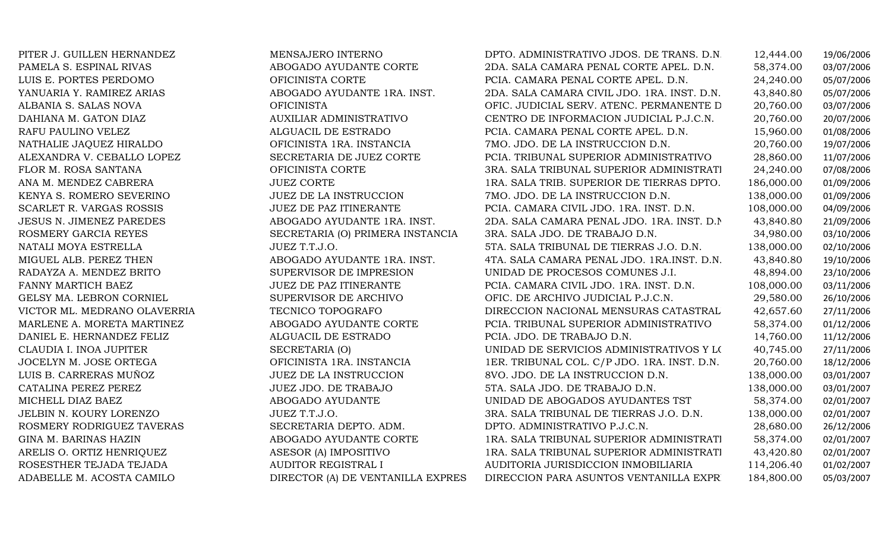PITER J. GUILLEN HERNANDEZ MENSAJERO INTERNOVICTOR ML. MEDRANO OLAVERRIA TECNICO TOPOGRAFOARELIS O. ORTIZ HENRIQUEZ ASESOR (A) IMPOSITIVO

DPTO. ADMINISTRATIVO JDOS. DE TRANS. D.N. 12,444.00 19/06/2006<br>2DA. SALA CAMARA PENAL CORTE APEL. D.N. 58,374.00 03/07/2006 PAMELA S. ESPINAL RIVAS ABOGADO AYUDANTE CORTE 2DA. SALA CAMARA PENAL CORTE APEL. D.N. 58,374.00 03/07/2006 LUIS E. PORTES PERDOMO OFICINISTA CORTE PCIA. CAMARA PENAL CORTE APEL. D.N. 24,240.00 05/07/2006 YANUARIA Y. RAMIREZ ARIAS ABOGADO AYUDANTE 1RA. INST. 2DA. SALA CAMARA CIVIL JDO. 1RA. INST. D.N. 43,840.80 05/07/2006 ALBANIA S. SALAS NOVA OFICINISTA OFIC. JUDICIAL SERV. ATENC. PERMANENTE D.N. 20,760.00 03/07/2006 DAHIANA M. GATON DIAZ AUXILIAR ADMINISTRATIVO CENTRO DE INFORMACION JUDICIAL P.J.C.N. 20,760.00 20/07/2006 RAFU PAULINO VELEZ ALGUACIL DE ESTRADO PCIA. CAMARA PENAL CORTE APEL. D.N. 15,960.00 01/08/2006 NATHALIE JAQUEZ HIRALDO OFICINISTA 1RA. INSTANCIA 7MO. JDO. DE LA INSTRUCCION D.N. 20,760.00 19/07/2006 ALEXANDRA V. CEBALLO LOPEZ SECRETARIA DE JUEZ CORTE PCIA. TRIBUNAL SUPERIOR ADMINISTRATIVO 28,860.00<br>OFICINISTA CORTE 3RA. SALA TRIBUNAL SUPERIOR ADMINISTRATI 24.240.00 FLOR M. ROSA SANTANA OFICINISTA CORTE 3RA. SALA TRIBUNAL SUPERIOR ADMINISTRATIVO 24,240.00 07/08/2006 ANA M. MENDEZ CABRERA JUEZ CORTE 1RA. SALA TRIB. SUPERIOR DE TIERRAS DPTO. 186,000.00 01/09/2006<br>KENYA S. ROMERO SEVERINO JUEZ DE LA INSTRUCCION 7MO. JDO. DE LA INSTRUCCION D.N. 138,000.00 01/09/2006 KENYA S. ROMERO SEVERINO JUEZ DE LA INSTRUCCION 7MO. JDO. DE LA INSTRUCCION D.N. 138,000.00 01/09/2006 SCARLET R. VARGAS ROSSIS JUEZ DE PAZ ITINERANTE PCIA. CAMARA CIVIL JDO. 1RA. INST. D.N. 108,000.00 04/09/2006 JESUS N. JIMENEZ PAREDES ABOGADO AYUDANTE 1RA. INST. 2DA. SALA CAMARA PENAL JDO. 1RA. INST. D.N. 43,840.80 21/09/2006 ROSMERY GARCIA REYES SECRETARIA (O) PRIMERA INSTANCIA 3RA. SALA JDO. DE TRABAJO D.N. 34,980.00 03/10/2006 NATALI MOYA ESTRELLA JUEZ T.T.J.O. 5TA. SALA TRIBUNAL DE TIERRAS J.O. D.N. 138,000.00 02/10/2006 MIGUEL ALB. PEREZ THEN ABOGADO AYUDANTE 1RA. INST. ATA. SALA CAMARA PENAL JDO. 1RA.INST. D.N. 43,840.80 19/10/2006<br>RADAYZA A. MENDEZ BRITO SUPERVISOR DE IMPRESION UNIDAD DE PROCESOS COMUNES J.I. 48,894.00 23/10/2006 RADAYZA A. MENDEZ BRITO SUPERVISOR DE IMPRESION UNIDAD DE PROCESOS COMUNES J.I. 48,894.00 23/10/2006 FANNY MARTICH BAEZ JUEZ DE PAZ ITINERANTE PCIA. CAMARA CIVIL JDO. 1RA. INST. D.N. 108,000.00 03/11/2006 GELSY MA. LEBRON CORNIEL SUPERVISOR DE ARCHIVO OFIC. DE ARCHIVO JUDICIAL P.J.C.N. 29,580.00 26/10/2006 DIRECCION NACIONAL MENSURAS CATASTRAL  $42,657.60$  27/11/2006<br>PCIA. TRIBUNAL SUPERIOR ADMINISTRATIVO 58,374.00 01/12/2006 MARLENE A. MORETA MARTINEZ ABOGADO AYUDANTE CORTE PCIA. TRIBUNAL SUPERIOR ADMINISTRATIVO 58,374.00 01/12/2006 DANIEL E. HERNANDEZ FELIZ ALGUACIL DE ESTRADO PCIA. JDO. DE TRABAJO D.N. 14,760.00 11/12/2006 CLAUDIA I. INOA JUPITER SECRETARIA (O) SECRETARIA (O) UNIDAD DE SERVICIOS ADMINISTRATIVOS Y LOGIO 197/11/2006<br>JOCELYN M. JOSE ORTEGA SE SECRETARISTA 1RA. INSTANCIA 1ER. TRIBUNAL COL. C/P JDO. 1RA. INST. D.N. 20.760.00 18 JOCELYN M. JOSE ORTEGA OFICINISTA 1RA. INSTANCIA 1ER. TRIBUNAL COL. C/P JDO. 1RA. INST. D.N. 20,760.00 18/12/2006 LUIS B. CARRERAS MUÑOZ JUEZ DE LA INSTRUCCION 8VO. JDO. DE LA INSTRUCCION D.N. 138,000.00 03/01/2007 CATALINA PEREZ PEREZ JUEZ JDO. DE TRABAJO 5TA. SALA JDO. DE TRABAJO D.N. 138,000.00 03/01/2007 MICHELL DIAZ BAEZ ABOGADO AYUDANTE UNIDAD DE ABOGADOS AYUDANTES TST 58,374.00 02/01/2007 JELBIN N. KOURY LORENZO JUEZ T.T.J.O. 3RA. SALA TRIBUNAL DE TIERRAS J.O. D.N. 138,000.00 02/01/2007 ROSMERY RODRIGUEZ TAVERAS SECRETARIA DEPTO. ADM. DPTO. ADMINISTRATIVO P.J.C.N. 28,680.00 26/12/2006 GINA M. BARINAS HAZIN ABOGADO AYUDANTE CORTE 1RA. SALA TRIBUNAL SUPERIOR ADMINISTRATIVO 58,374.00 02/01/2007 1RA. SALA TRIBUNAL SUPERIOR ADMINISTRATI 43,420.80 02/01/2007<br>AUDITORIA JURISDICCION INMOBILIARIA 114.206.40 01/02/2007 ROSESTHER TEJADA TEJADA AUDITOR REGISTRAL I AUDITORIA JURISDICCION INMOBILIARIA 114,206.40 01/02/2007 DIRECCION PARA ASUNTOS VENTANILLA EXPRESSED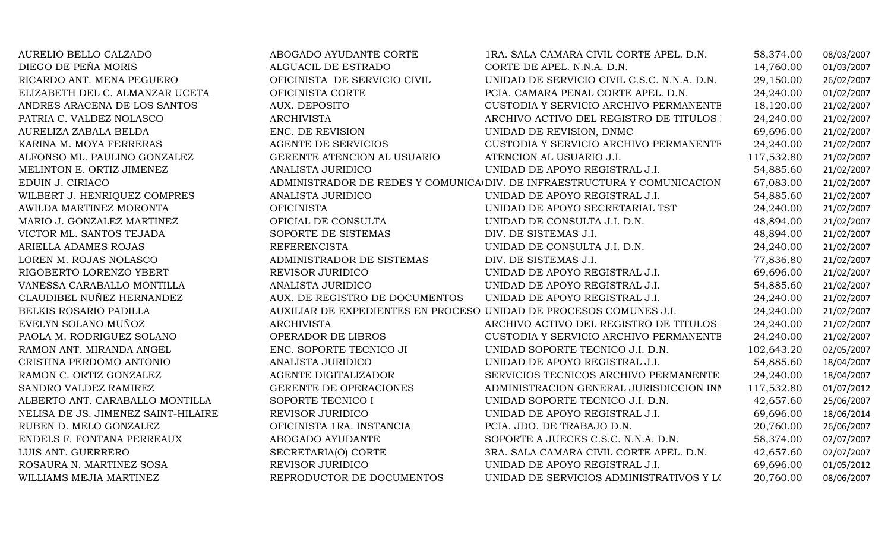| AURELIO BELLO CALZADO               | ABOGADO AYUDANTE CORTE                                             | 1RA. SALA CAMARA CIVIL CORTE APEL. D.N.                                  | 58,374.00  | 08/03/2007 |
|-------------------------------------|--------------------------------------------------------------------|--------------------------------------------------------------------------|------------|------------|
| DIEGO DE PEÑA MORIS                 | ALGUACIL DE ESTRADO                                                | CORTE DE APEL. N.N.A. D.N.                                               | 14,760.00  | 01/03/2007 |
| RICARDO ANT. MENA PEGUERO           | OFICINISTA DE SERVICIO CIVIL                                       | UNIDAD DE SERVICIO CIVIL C.S.C. N.N.A. D.N.                              | 29,150.00  | 26/02/2007 |
| ELIZABETH DEL C. ALMANZAR UCETA     | OFICINISTA CORTE                                                   | PCIA. CAMARA PENAL CORTE APEL. D.N.                                      | 24,240.00  | 01/02/2007 |
| ANDRES ARACENA DE LOS SANTOS        | AUX. DEPOSITO                                                      | CUSTODIA Y SERVICIO ARCHIVO PERMANENTE                                   | 18,120.00  | 21/02/2007 |
| PATRIA C. VALDEZ NOLASCO            | <b>ARCHIVISTA</b>                                                  | ARCHIVO ACTIVO DEL REGISTRO DE TITULOS :                                 | 24,240.00  | 21/02/2007 |
| AURELIZA ZABALA BELDA               | ENC. DE REVISION                                                   | UNIDAD DE REVISION, DNMC                                                 | 69,696.00  | 21/02/2007 |
| KARINA M. MOYA FERRERAS             | <b>AGENTE DE SERVICIOS</b>                                         | CUSTODIA Y SERVICIO ARCHIVO PERMANENTE                                   | 24,240.00  | 21/02/2007 |
| ALFONSO ML. PAULINO GONZALEZ        | GERENTE ATENCION AL USUARIO                                        | ATENCION AL USUARIO J.I.                                                 | 117,532.80 | 21/02/2007 |
| MELINTON E. ORTIZ JIMENEZ           | ANALISTA JURIDICO                                                  | UNIDAD DE APOYO REGISTRAL J.I.                                           | 54,885.60  | 21/02/2007 |
| EDUIN J. CIRIACO                    |                                                                    | ADMINISTRADOR DE REDES Y COMUNICA DIV. DE INFRAESTRUCTURA Y COMUNICACION | 67,083.00  | 21/02/2007 |
| WILBERT J. HENRIQUEZ COMPRES        | ANALISTA JURIDICO                                                  | UNIDAD DE APOYO REGISTRAL J.I.                                           | 54,885.60  | 21/02/2007 |
| AWILDA MARTINEZ MORONTA             | <b>OFICINISTA</b>                                                  | UNIDAD DE APOYO SECRETARIAL TST                                          | 24,240.00  | 21/02/2007 |
| MARIO J. GONZALEZ MARTINEZ          | OFICIAL DE CONSULTA                                                | UNIDAD DE CONSULTA J.I. D.N.                                             | 48,894.00  | 21/02/2007 |
| VICTOR ML. SANTOS TEJADA            | SOPORTE DE SISTEMAS                                                | DIV. DE SISTEMAS J.I.                                                    | 48,894.00  | 21/02/2007 |
| ARIELLA ADAMES ROJAS                | <b>REFERENCISTA</b>                                                | UNIDAD DE CONSULTA J.I. D.N.                                             | 24,240.00  | 21/02/2007 |
| LOREN M. ROJAS NOLASCO              | ADMINISTRADOR DE SISTEMAS                                          | DIV. DE SISTEMAS J.I.                                                    | 77,836.80  | 21/02/2007 |
| RIGOBERTO LORENZO YBERT             | REVISOR JURIDICO                                                   | UNIDAD DE APOYO REGISTRAL J.I.                                           | 69,696.00  | 21/02/2007 |
| VANESSA CARABALLO MONTILLA          | ANALISTA JURIDICO                                                  | UNIDAD DE APOYO REGISTRAL J.I.                                           | 54,885.60  | 21/02/2007 |
| CLAUDIBEL NUÑEZ HERNANDEZ           | AUX. DE REGISTRO DE DOCUMENTOS                                     | UNIDAD DE APOYO REGISTRAL J.I.                                           | 24,240.00  | 21/02/2007 |
| BELKIS ROSARIO PADILLA              | AUXILIAR DE EXPEDIENTES EN PROCESO UNIDAD DE PROCESOS COMUNES J.I. |                                                                          | 24,240.00  | 21/02/2007 |
| EVELYN SOLANO MUÑOZ                 | <b>ARCHIVISTA</b>                                                  | ARCHIVO ACTIVO DEL REGISTRO DE TITULOS :                                 | 24,240.00  | 21/02/2007 |
| PAOLA M. RODRIGUEZ SOLANO           | OPERADOR DE LIBROS                                                 | CUSTODIA Y SERVICIO ARCHIVO PERMANENTE                                   | 24,240.00  | 21/02/2007 |
| RAMON ANT. MIRANDA ANGEL            | ENC. SOPORTE TECNICO JI                                            | UNIDAD SOPORTE TECNICO J.I. D.N.                                         | 102,643.20 | 02/05/2007 |
| CRISTINA PERDOMO ANTONIO            | ANALISTA JURIDICO                                                  | UNIDAD DE APOYO REGISTRAL J.I.                                           | 54,885.60  | 18/04/2007 |
| RAMON C. ORTIZ GONZALEZ             | AGENTE DIGITALIZADOR                                               | SERVICIOS TECNICOS ARCHIVO PERMANENTE                                    | 24,240.00  | 18/04/2007 |
| SANDRO VALDEZ RAMIREZ               | GERENTE DE OPERACIONES                                             | ADMINISTRACION GENERAL JURISDICCION INN                                  | 117,532.80 | 01/07/2012 |
| ALBERTO ANT. CARABALLO MONTILLA     | SOPORTE TECNICO I                                                  | UNIDAD SOPORTE TECNICO J.I. D.N.                                         | 42,657.60  | 25/06/2007 |
| NELISA DE JS. JIMENEZ SAINT-HILAIRE | REVISOR JURIDICO                                                   | UNIDAD DE APOYO REGISTRAL J.I.                                           | 69,696.00  | 18/06/2014 |
| RUBEN D. MELO GONZALEZ              | OFICINISTA 1RA. INSTANCIA                                          | PCIA. JDO. DE TRABAJO D.N.                                               | 20,760.00  | 26/06/2007 |
| ENDELS F. FONTANA PERREAUX          | ABOGADO AYUDANTE                                                   | SOPORTE A JUECES C.S.C. N.N.A. D.N.                                      | 58,374.00  | 02/07/2007 |
| LUIS ANT. GUERRERO                  | SECRETARIA(O) CORTE                                                | 3RA. SALA CAMARA CIVIL CORTE APEL. D.N.                                  | 42,657.60  | 02/07/2007 |
| ROSAURA N. MARTINEZ SOSA            | REVISOR JURIDICO                                                   | UNIDAD DE APOYO REGISTRAL J.I.                                           | 69,696.00  | 01/05/2012 |
| WILLIAMS MEJIA MARTINEZ             | REPRODUCTOR DE DOCUMENTOS                                          | UNIDAD DE SERVICIOS ADMINISTRATIVOS Y LOS                                | 20,760.00  | 08/06/2007 |
|                                     |                                                                    |                                                                          |            |            |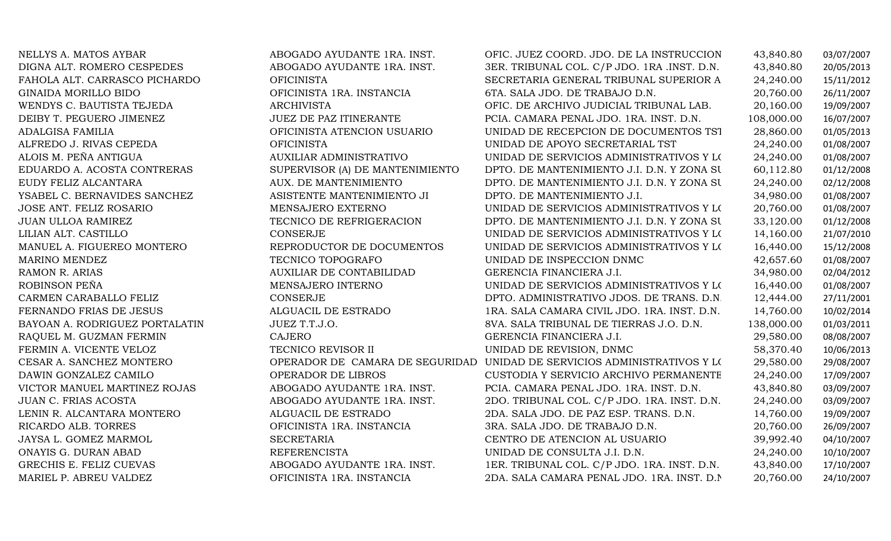NELLYS A. MATOS AYBAR ANG ANGGADO AYUDANTE 1RA. INST. OFIC. JUEZ COORD. JDO. DE LA INSTRUCCION 43,840.80 03/07/2007<br>DIGNA ALT. ROMERO CESPEDES ABOGADO AYUDANTE 1RA. INST. 3ER. TRIBUNAL COL. C/P JDO. 1RA .INST. D.N. 43,840. DIGNA ALT. ROMERO CESPEDES ABOGADO AYUDANTE 1RA. INST. 3ER. TRIBUNAL COL. C/P JDO. 1RA .INST. D.N. 43,840.80 20/05/2013 FAHOLA ALT. CARRASCO PICHARDO OFICINISTA SECRETARIA GENERAL TRIBUNAL SUPERIOR ADM. D.N. 24,240.00 15/11/2012 GINAIDA MORILLO BIDO OFICINISTA 1RA. INSTANCIA 6TA. SALA JDO. DE TRABAJO D.N. 20,760.00 26/11/2007 WENDYS C. BAUTISTA TEJEDA ARCHIVISTA OFIC. DE ARCHIVO JUDICIAL TRIBUNAL LAB. 20,160.00 19/09/2007 DEIBY T. PEGUERO JIMENEZ JUEZ DE PAZ ITINERANTE PCIA. CAMARA PENAL JDO. 1RA. INST. D.N. 108,000.00 16/07/2007 ADALGISA FAMILIA OFICINISTA ATENCION USUARIOUNIDAD DE RECEPCION DE DOCUMENTOS TST 28,860.00 01/05/2013<br>UNIDAD DE APOYO SECRETARIAL TST 24.240.00 01/08/2007 ALFREDO J. RIVAS CEPEDA OFICINISTA UNIDAD DE APOYO SECRETARIAL TST 24,240.00 01/08/2007 ALOIS M. PEÑA ANTIGUA AUXILIAR ADMINISTRATIVOUNIDAD DE SERVICIOS ADMINISTRATIVOS Y L $(24,240.00$  01/08/2007<br>DPTO. DE MANTENIMIENTO J.I. D.N. Y ZONA SU 60,112.80 01/12/2008 EDUARDO A. ACOSTA CONTRERAS SUPERVISOR (A) DE MANTENIMIENTO EUDY FELIZ ALCANTARA  $\begin{array}{ccc}\n\text{AUX. DE MANTENIMIENTO}\n\end{array}$ DPTO. DE MANTENIMIENTO J.I. D.N. Y ZONA SU 60,112.80 01/12/2008<br>DPTO. DE MANTENIMIENTO J.I. D.N. Y ZONA SU 24,240.00 02/12/2008 EUDY FELIZ ALCANTARA AUX. DE MANTENIMIENTODPTO. DE MANTENIMIENTO J.I. D.N. Y ZONA SU 24,240.00 02/12/2008<br>DPTO. DE MANTENIMIENTO J.I. 34,980.00 01/08/2007 YSABEL C. BERNAVIDES SANCHEZ ASISTENTE MANTENIMIENTO JI DPTO. DE MANTENIMIENTO J.I. 34,980.00 01/08/2007 JOSE ANT. FELIZ ROSARIO MENSAJERO EXTERNOUNIDAD DE SERVICIOS ADMINISTRATIVOS Y L $(20,760.00$  01/08/2007<br>DPTO. DE MANTENIMIENTO J.I. D.N. Y ZONA SU 33,120.00 01/12/2008 JUAN ULLOA RAMIREZ TECNICO DE REFRIGERACION DPTO. DE MANTENIMIENTO J.I. D.N. Y ZONA SUR 33,120.00 01/12/2008 LILIAN ALT. CASTILLO CONSERJE UNIDAD DE SERVICIOS ADMINISTRATIVOS Y LOGISTICOS J 14,160.00 21/07/2010 REPRODUCTOR DE DOCUMENTOS UNIDAD DE SERVICIOS ADMINISTRATIVOS Y L(16,440.00 15/12/2008<br>TECNICO TOPOGRAFO UNIDAD DE INSPECCION DNMC 42,657.60 01/08/2007 MARINO MENDEZ TECNICO TOPOGRAFO UNIDAD DE INSPECCION DNMC 42,657.60 01/08/2007 RAMON R. ARIAS AUXILIAR DE CONTABILIDAD GERENCIA FINANCIERA J.I. 34,980.00 02/04/2012 ROBINSON PEÑA MENSAJERO INTERNOUNIDAD DE SERVICIOS ADMINISTRATIVOS Y LOGICOS 16,440.00 01/08/2007<br>DPTO. ADMINISTRATIVO JDOS. DE TRANS. D.N.  $12,444.00$  27/11/2001 CARMEN CARABALLO FELIZ CONSERJE CONSERIE DPTO. ADMINISTRATIVO JDOS. DE TRANS. D.N. 12,444.00 27/11/2001<br>FERNANDO FRIAS DE JESUS ALGUACIL DE ESTRADO 1RA. SALA CAMARA CIVIL JDO. 1RA. INST. D.N. 14.760.00 10/02/2014 FERNANDO FRIAS DE JESUS ALGUACIL DE ESTRADO 1RA. SALA CAMARA CIVIL JDO. 1RA. INST. D.N. 14,760.00 10/02/2014 BATATIN ALATRIBUNAL DE TIERRAS J.O. D.N. 138,000.00 01/03/2011 (AJERO 1998/2007) CAJERO 1999/2007<br>CAJERO 18/08/2007 RAQUEL M. GUZMAN FERMIN CAJEROGERENCIA FINANCIERA J.I. 29,580.00 08/08/2007<br>UNIDAD DE REVISION, DNMC 58,370.40 10/06/2013 FERMIN A. VICENTE VELOZ TECNICO REVISOR II UNIDAD DE REVISION, DNMC 58,370.40 10/06/2013 CESAR A. SANCHEZ MONTERO OPERADOR DE CAMARA DE SEGURIDAD UNIDAD DE SERVICIOS ADMINISTRATIVOS Y LOGISTICOS J 29,580.00 29/08/2007 DAWIN GONZALEZ CAMILO OPERADOR DE LIBROS CUSTODIA Y SERVICIO ARCHIVO PERMANENTE 24,240.00 17/09/2007 VICTOR MANUEL MARTINEZ ROJAS ABOGADO AYUDANTE 1RA. INST. PCIA. CAMARA PENAL JDO. 1RA. INST. D.N. 43,840.80 03/09/2007<br>JUAN C. FRIAS ACOSTA JUAN C. FRIAS ACOSTA ABOGADO AYUDANTE 1RA. INST. 2DO. TRIBUNAL COL. C/P JDO. 1RA. INST. D.N. 24,240.00 03/09/2007 LENIN R. ALCANTARA MONTERO ALGUACIL DE ESTRADO 2DA. SALA JDO. DE PAZ ESP. TRANS. D.N. 14,760.00 19/09/2007 RICARDO ALB. TORRES OFICINISTA 1RA. INSTANCIA 3RA. SALA JDO. DE TRABAJO D.N. 20,760.00 26/09/2007 JAYSA L. GOMEZ MARMOL SECRETARIA CENTRO DE ATENCION AL USUARIO 39,992.40 04/10/2007 ONAYIS G. DURAN ABAD REFERENCISTA UNIDAD DE CONSULTA J.I. D.N. 24,240.00 10/10/2007 GRECHIS E. FELIZ CUEVAS ABOGADO AYUDANTE 1RA. INST. 1ER. TRIBUNAL COL. C/P JDO. 1RA. INST. D.N. 43,840.00 17/10/2007<br>OFICINISTA 1RA. INSTA 2DA. SALA CAMARA PENAL JDO. 1RA. INST. D.N.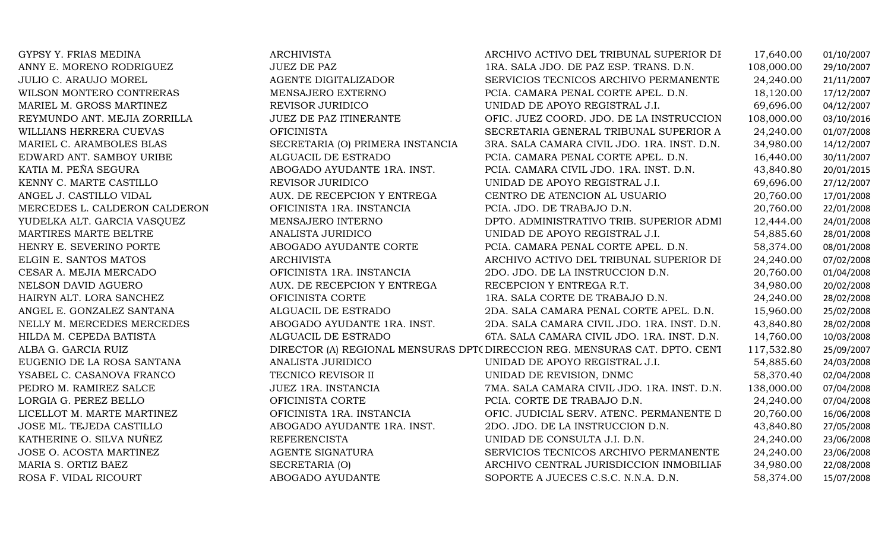YUDELKA ALT. GARCIA VASQUEZ MENSAJERO INTERNOALBA G. GARCIA RUIZ

GYPSY Y. FRIAS MEDINA ARCHIVISTA ARCHIVO ACTIVO DEL TRIBUNAL SUPERIOR DE TIERRAS D. 17,640.00 01/10/2007 ANNY E. MORENO RODRIGUEZ JUEZ DE PAZ 1RA. SALA JDO. DE PAZ ESP. TRANS. D.N. 108,000.00 29/10/2007 JULIO C. ARAUJO MOREL AGENTE DIGITALIZADOR SERVICIOS TECNICOS ARCHIVO PERMANENTE 24,240.00 21/11/2007 WILSON MONTERO CONTRERAS MENSAJERO EXTERNO PCIA. CAMARA PENAL CORTE APEL. D.N. 18,120.00 17/12/2007 MARIEL M. GROSS MARTINEZ REVISOR JURIDICO UNIDAD DE APOYO REGISTRAL J.I. 69,696.00 04/12/2007 REYMUNDO ANT. MEJIA ZORRILLA JUEZ DE PAZ ITINERANTE OFIC. JUEZ COORD. JDO. DE LA INSTRUCCION D.N.108,000.00 03/10/2016 WILLIANS HERRERA CUEVAS OFICINISTA SECRETARIA GENERAL TRIBUNAL SUPERIOR ADM. D.N. 24,240.00 01/07/2008 MARIEL C. ARAMBOLES BLAS SECRETARIA (O) PRIMERA INSTANCIA 3RA. SALA CAMARA CIVIL JDO. 1RA. INST. D.N. 34,980.00 14/12/2007<br>EDWARD ANT. SAMBOY URIBE ALGUACIL DE ESTRADO PCIA. CAMARA PENAL CORTE APEL. D.N. 6.440.00 30/11/200 EDWARD ANT. SAMBOY URIBE ALGUACIL DE ESTRADO PCIA. CAMARA PENAL CORTE APEL. D.N. 16,440.00 30/11/2007 KATIA M. PEÑA SEGURA AN ABOGADO AYUDANTE 1RA. INST. PCIA. CAMARA CIVIL JDO. 1RA. INST. D.N. 43,840.80 20/01/2015<br>KENNY C. MARTE CASTILLO REVISOR JURIDICO UNIDAD DE APOYO REGISTRAL J.I. 69,696.00 27/12/2007 KENNY C. MARTE CASTILLO REVISOR JURIDICO UNIDAD DE APOYO REGISTRAL J.I. 69,696.00 27/12/2007 ANGEL J. CASTILLO VIDAL AUX. DE RECEPCION Y ENTREGA CENTRO DE ATENCION AL USUARIO 20,760.00 17/01/2008 MERCEDES L. CALDERON CALDERON OFICINISTA 1RA. INSTANCIA PCIA. JDO. DE TRABAJO D.N. 20,760.00 22/01/2008 DPTO. ADMINISTRATIVO TRIB. SUPERIOR ADMINISTRATIVO 12,444.00 24/01/2008 MARTIRES MARTE BELTRE ANALISTA JURIDICO UNIDAD DE APOYO REGISTRAL J.I. 54,885.60 28/01/2008 HENRY E. SEVERINO PORTE ABOGADO AYUDANTE CORTE PCIA. CAMARA PENAL CORTE APEL. D.N. 58,374.00 08/01/2008 ELGIN E. SANTOS MATOS **ARCHIVISTA ARCHIVISTA** ARCHIVO ACTIVO DEL TRIBUNAL SUPERIOR DE TELERAS 24,240.00 07/02/2008<br>CESAR A. MEJIA MERCADO CON CONTENTENTE A LO ANTENCIA DE LA INSTRUCCION D.N. 20,760.00 01/04/2008 CESAR A. MEJIA MERCADO OFICINISTA 1RA. INSTANCIA 2DO. JDO. DE LA INSTRUCCION D.N. 20,760.00 01/04/2008 NELSON DAVID AGUERO AUX. DE RECEPCION Y ENTREGA RECEPCION Y ENTREGA R.T. 34,980.00 20/02/2008 HAIRYN ALT. LORA SANCHEZ OFICINISTA CORTE 1RA. SALA CORTE DE TRABAJO D.N. 24,240.00 28/02/2008 ANGEL E. GONZALEZ SANTANA ALGUACIL DE ESTRADO 2DA. SALA CAMARA PENAL CORTE APEL. D.N. 15,960.00 25/02/2008 NELLY M. MERCEDES MERCEDES ABOGADO AYUDANTE 1RA. INST. 2DA. SALA CAMARA CIVIL JDO. 1RA. INST. D.N. 43,840.80 28/02/2008 6TA. SALA CAMARA CIVIL JDO. 1RA. INST. D.N. 14,760.00 10/03/2008<br>DIRECCION REG. MENSURAS CAT. DPTO. CENI 117,532.80 25/09/2007 DIRECTOR (A) REGIONAL MENSURAS DPTO. ESTE DIRECCION REG. MENSURAS CAT. DPTO. CENTRAL 117,532.80 25/09/2007 EUGENIO DE LA ROSA SANTANA ANALISTA JURIDICO UNIDAD DE APOYO REGISTRAL J.I. 54,885.60 24/03/2008 YSABEL C. CASANOVA FRANCO TECNICO REVISOR II UNIDAD DE REVISION, DNMC 58,370.40 02/04/2008 PEDRO M. RAMIREZ SALCE JUEZ 1RA. INSTANCIA 7MA. SALA CAMARA CIVIL JDO. 1RA. INST. D.N. 138,000.00 07/04/2008 LORGIA G. PEREZ BELLO OFICINISTA CORTE PCIA. CORTE DE TRABAJO D.N. 24,240.00 07/04/2008 LICELLOT M. MARTE MARTINEZ OFICINISTA 1RA. INSTANCIA OFIC. JUDICIAL SERV. ATENC. PERMANENTE D.N. 20,760.00 16/06/2008 JOSE ML. TEJEDA CASTILLO ABOGADO AYUDANTE 1RA. INST. 2DO. JDO. DE LA INSTRUCCION D.N. 43,840.80 27/05/2008 KATHERINE O. SILVA NUÑEZ REFERENCISTA UNIDAD DE CONSULTA J.I. D.N. 24,240.00 23/06/2008 JOSE O. ACOSTA MARTINEZ AGENTE SIGNATURA SERVICIOS TECNICOS ARCHIVO PERMANENTE 24,240.00 23/06/2008 MARIA S. ORTIZ BAEZ SECRETARIA (O) ARCHIVO CENTRAL JURISDICCION INMOBILIARIA NAC.34,980.00 22/08/2008 SOPORTE A JUECES C.S.C. N.N.A. D.N.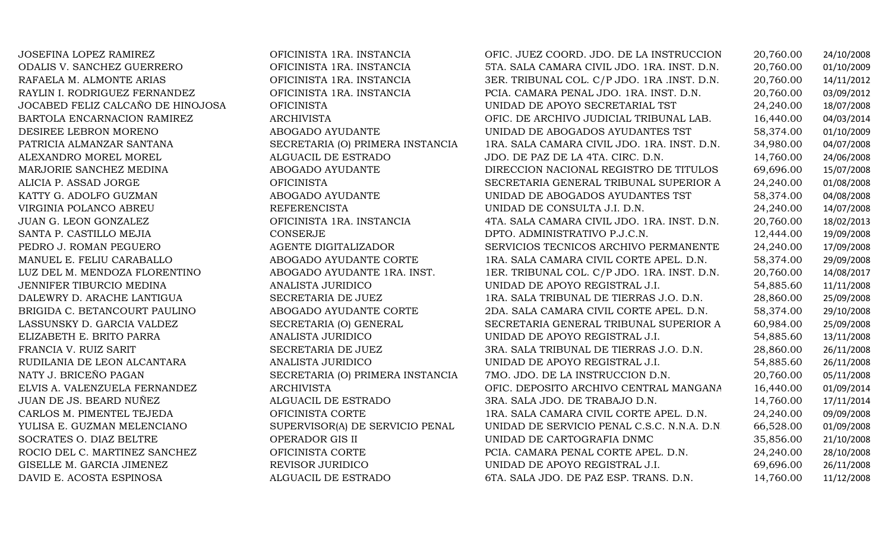| JOSEFINA LOPEZ RAMIREZ            | OFICINISTA 1RA. INSTANCIA        | OFIC. JUEZ COORD. JDO. DE LA INSTRUCCION    | 20,760.00 | 24/10/2008 |
|-----------------------------------|----------------------------------|---------------------------------------------|-----------|------------|
| ODALIS V. SANCHEZ GUERRERO        | OFICINISTA 1RA. INSTANCIA        | 5TA. SALA CAMARA CIVIL JDO. 1RA. INST. D.N. | 20,760.00 | 01/10/2009 |
| RAFAELA M. ALMONTE ARIAS          | OFICINISTA 1RA. INSTANCIA        | 3ER. TRIBUNAL COL. C/P JDO. 1RA .INST. D.N. | 20,760.00 | 14/11/2012 |
| RAYLIN I. RODRIGUEZ FERNANDEZ     | OFICINISTA 1RA. INSTANCIA        | PCIA. CAMARA PENAL JDO. 1RA. INST. D.N.     | 20,760.00 | 03/09/2012 |
| JOCABED FELIZ CALCAÑO DE HINOJOSA | <b>OFICINISTA</b>                | UNIDAD DE APOYO SECRETARIAL TST             | 24,240.00 | 18/07/2008 |
| BARTOLA ENCARNACION RAMIREZ       | <b>ARCHIVISTA</b>                | OFIC. DE ARCHIVO JUDICIAL TRIBUNAL LAB.     | 16,440.00 | 04/03/2014 |
| DESIREE LEBRON MORENO             | ABOGADO AYUDANTE                 | UNIDAD DE ABOGADOS AYUDANTES TST            | 58,374.00 | 01/10/2009 |
| PATRICIA ALMANZAR SANTANA         | SECRETARIA (O) PRIMERA INSTANCIA | 1RA. SALA CAMARA CIVIL JDO. 1RA. INST. D.N. | 34,980.00 | 04/07/2008 |
| ALEXANDRO MOREL MOREL             | ALGUACIL DE ESTRADO              | JDO. DE PAZ DE LA 4TA. CIRC. D.N.           | 14,760.00 | 24/06/2008 |
| MARJORIE SANCHEZ MEDINA           | ABOGADO AYUDANTE                 | DIRECCION NACIONAL REGISTRO DE TITULOS      | 69,696.00 | 15/07/2008 |
| ALICIA P. ASSAD JORGE             | <b>OFICINISTA</b>                | SECRETARIA GENERAL TRIBUNAL SUPERIOR A      | 24,240.00 | 01/08/2008 |
| KATTY G. ADOLFO GUZMAN            | ABOGADO AYUDANTE                 | UNIDAD DE ABOGADOS AYUDANTES TST            | 58,374.00 | 04/08/2008 |
| VIRGINIA POLANCO ABREU            | <b>REFERENCISTA</b>              | UNIDAD DE CONSULTA J.I. D.N.                | 24,240.00 | 14/07/2008 |
| JUAN G. LEON GONZALEZ             | OFICINISTA 1RA. INSTANCIA        | 4TA. SALA CAMARA CIVIL JDO. 1RA. INST. D.N. | 20,760.00 | 18/02/2013 |
| SANTA P. CASTILLO MEJIA           | <b>CONSERJE</b>                  | DPTO. ADMINISTRATIVO P.J.C.N.               | 12,444.00 | 19/09/2008 |
| PEDRO J. ROMAN PEGUERO            | AGENTE DIGITALIZADOR             | SERVICIOS TECNICOS ARCHIVO PERMANENTE       | 24,240.00 | 17/09/2008 |
| MANUEL E. FELIU CARABALLO         | ABOGADO AYUDANTE CORTE           | 1RA. SALA CAMARA CIVIL CORTE APEL. D.N.     | 58,374.00 | 29/09/2008 |
| LUZ DEL M. MENDOZA FLORENTINO     | ABOGADO AYUDANTE 1RA. INST.      | 1ER. TRIBUNAL COL. C/P JDO. 1RA. INST. D.N. | 20,760.00 | 14/08/2017 |
| JENNIFER TIBURCIO MEDINA          | ANALISTA JURIDICO                | UNIDAD DE APOYO REGISTRAL J.I.              | 54,885.60 | 11/11/2008 |
| DALEWRY D. ARACHE LANTIGUA        | SECRETARIA DE JUEZ               | 1RA. SALA TRIBUNAL DE TIERRAS J.O. D.N.     | 28,860.00 | 25/09/2008 |
| BRIGIDA C. BETANCOURT PAULINO     | ABOGADO AYUDANTE CORTE           | 2DA. SALA CAMARA CIVIL CORTE APEL. D.N.     | 58,374.00 | 29/10/2008 |
| LASSUNSKY D. GARCIA VALDEZ        | SECRETARIA (O) GENERAL           | SECRETARIA GENERAL TRIBUNAL SUPERIOR A      | 60,984.00 | 25/09/2008 |
| ELIZABETH E. BRITO PARRA          | ANALISTA JURIDICO                | UNIDAD DE APOYO REGISTRAL J.I.              | 54,885.60 | 13/11/2008 |
| FRANCIA V. RUIZ SARIT             | SECRETARIA DE JUEZ               | 3RA. SALA TRIBUNAL DE TIERRAS J.O. D.N.     | 28,860.00 | 26/11/2008 |
| RUDILANIA DE LEON ALCANTARA       | ANALISTA JURIDICO                | UNIDAD DE APOYO REGISTRAL J.I.              | 54,885.60 | 26/11/2008 |
| NATY J. BRICEÑO PAGAN             | SECRETARIA (O) PRIMERA INSTANCIA | 7MO. JDO. DE LA INSTRUCCION D.N.            | 20,760.00 | 05/11/2008 |
| ELVIS A. VALENZUELA FERNANDEZ     | <b>ARCHIVISTA</b>                | OFIC. DEPOSITO ARCHIVO CENTRAL MANGANA      | 16,440.00 | 01/09/2014 |
| JUAN DE JS. BEARD NUÑEZ           | ALGUACIL DE ESTRADO              | 3RA. SALA JDO. DE TRABAJO D.N.              | 14,760.00 | 17/11/2014 |
| CARLOS M. PIMENTEL TEJEDA         | OFICINISTA CORTE                 | 1RA. SALA CAMARA CIVIL CORTE APEL. D.N.     | 24,240.00 | 09/09/2008 |
| YULISA E. GUZMAN MELENCIANO       | SUPERVISOR(A) DE SERVICIO PENAL  | UNIDAD DE SERVICIO PENAL C.S.C. N.N.A. D.N  | 66,528.00 | 01/09/2008 |
| SOCRATES O. DIAZ BELTRE           | OPERADOR GIS II                  | UNIDAD DE CARTOGRAFIA DNMC                  | 35,856.00 | 21/10/2008 |
| ROCIO DEL C. MARTINEZ SANCHEZ     | OFICINISTA CORTE                 | PCIA. CAMARA PENAL CORTE APEL. D.N.         | 24,240.00 | 28/10/2008 |
| GISELLE M. GARCIA JIMENEZ         | REVISOR JURIDICO                 | UNIDAD DE APOYO REGISTRAL J.I.              | 69,696.00 | 26/11/2008 |
| DAVID E. ACOSTA ESPINOSA          | ALGUACIL DE ESTRADO              | 6TA. SALA JDO. DE PAZ ESP. TRANS. D.N.      | 14,760.00 | 11/12/2008 |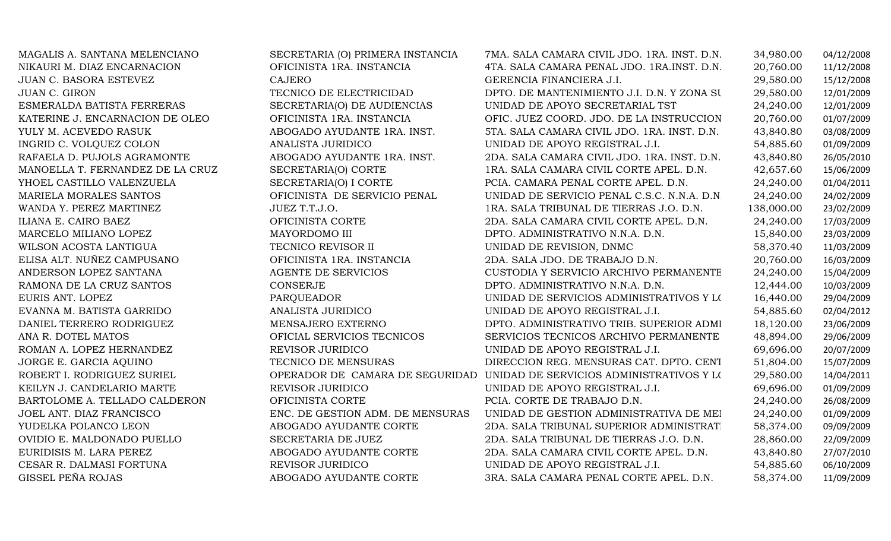| MAGALIS A. SANTANA MELENCIANO    | SECRETARIA (O) PRIMERA INSTANCIA | 7MA. SALA CAMARA CIVIL JDO. 1RA. INST. D.N. | 34,980.00  | 04/12/2008 |
|----------------------------------|----------------------------------|---------------------------------------------|------------|------------|
| NIKAURI M. DIAZ ENCARNACION      | OFICINISTA 1RA. INSTANCIA        | 4TA. SALA CAMARA PENAL JDO. 1RA.INST. D.N.  | 20,760.00  | 11/12/2008 |
| JUAN C. BASORA ESTEVEZ           | <b>CAJERO</b>                    | GERENCIA FINANCIERA J.I.                    | 29,580.00  | 15/12/2008 |
| <b>JUAN C. GIRON</b>             | TECNICO DE ELECTRICIDAD          | DPTO. DE MANTENIMIENTO J.I. D.N. Y ZONA SU  | 29,580.00  | 12/01/2009 |
| ESMERALDA BATISTA FERRERAS       | SECRETARIA(O) DE AUDIENCIAS      | UNIDAD DE APOYO SECRETARIAL TST             | 24,240.00  | 12/01/2009 |
| KATERINE J. ENCARNACION DE OLEO  | OFICINISTA 1RA. INSTANCIA        | OFIC. JUEZ COORD. JDO. DE LA INSTRUCCION    | 20,760.00  | 01/07/2009 |
| YULY M. ACEVEDO RASUK            | ABOGADO AYUDANTE 1RA. INST.      | 5TA. SALA CAMARA CIVIL JDO. 1RA. INST. D.N. | 43,840.80  | 03/08/2009 |
| INGRID C. VOLQUEZ COLON          | ANALISTA JURIDICO                | UNIDAD DE APOYO REGISTRAL J.I.              | 54,885.60  | 01/09/2009 |
| RAFAELA D. PUJOLS AGRAMONTE      | ABOGADO AYUDANTE 1RA. INST.      | 2DA. SALA CAMARA CIVIL JDO. 1RA. INST. D.N. | 43,840.80  | 26/05/2010 |
| MANOELLA T. FERNANDEZ DE LA CRUZ | SECRETARIA(O) CORTE              | 1RA. SALA CAMARA CIVIL CORTE APEL. D.N.     | 42,657.60  | 15/06/2009 |
| YHOEL CASTILLO VALENZUELA        | SECRETARIA(O) I CORTE            | PCIA. CAMARA PENAL CORTE APEL. D.N.         | 24,240.00  | 01/04/2011 |
| MARIELA MORALES SANTOS           | OFICINISTA DE SERVICIO PENAL     | UNIDAD DE SERVICIO PENAL C.S.C. N.N.A. D.N. | 24,240.00  | 24/02/2009 |
| WANDA Y. PEREZ MARTINEZ          | JUEZ T.T.J.O.                    | 1RA. SALA TRIBUNAL DE TIERRAS J.O. D.N.     | 138,000.00 | 23/02/2009 |
| ILIANA E. CAIRO BAEZ             | OFICINISTA CORTE                 | 2DA. SALA CAMARA CIVIL CORTE APEL. D.N.     | 24,240.00  | 17/03/2009 |
| MARCELO MILIANO LOPEZ            | MAYORDOMO III                    | DPTO. ADMINISTRATIVO N.N.A. D.N.            | 15,840.00  | 23/03/2009 |
| WILSON ACOSTA LANTIGUA           | TECNICO REVISOR II               | UNIDAD DE REVISION, DNMC                    | 58,370.40  | 11/03/2009 |
| ELISA ALT. NUÑEZ CAMPUSANO       | OFICINISTA 1RA. INSTANCIA        | 2DA. SALA JDO. DE TRABAJO D.N.              | 20,760.00  | 16/03/2009 |
| ANDERSON LOPEZ SANTANA           | AGENTE DE SERVICIOS              | CUSTODIA Y SERVICIO ARCHIVO PERMANENTE      | 24,240.00  | 15/04/2009 |
| RAMONA DE LA CRUZ SANTOS         | CONSERJE                         | DPTO. ADMINISTRATIVO N.N.A. D.N.            | 12,444.00  | 10/03/2009 |
| EURIS ANT. LOPEZ                 | PARQUEADOR                       | UNIDAD DE SERVICIOS ADMINISTRATIVOS Y LO    | 16,440.00  | 29/04/2009 |
| EVANNA M. BATISTA GARRIDO        | ANALISTA JURIDICO                | UNIDAD DE APOYO REGISTRAL J.I.              | 54,885.60  | 02/04/2012 |
| DANIEL TERRERO RODRIGUEZ         | MENSAJERO EXTERNO                | DPTO. ADMINISTRATIVO TRIB. SUPERIOR ADMI    | 18,120.00  | 23/06/2009 |
| ANA R. DOTEL MATOS               | OFICIAL SERVICIOS TECNICOS       | SERVICIOS TECNICOS ARCHIVO PERMANENTE       | 48,894.00  | 29/06/2009 |
| ROMAN A. LOPEZ HERNANDEZ         | REVISOR JURIDICO                 | UNIDAD DE APOYO REGISTRAL J.I.              | 69,696.00  | 20/07/2009 |
| JORGE E. GARCIA AQUINO           | TECNICO DE MENSURAS              | DIRECCION REG. MENSURAS CAT. DPTO. CENT     | 51,804.00  | 15/07/2009 |
| ROBERT I. RODRIGUEZ SURIEL       | OPERADOR DE CAMARA DE SEGURIDAD  | UNIDAD DE SERVICIOS ADMINISTRATIVOS Y LOS   | 29,580.00  | 14/04/2011 |
| KEILYN J. CANDELARIO MARTE       | REVISOR JURIDICO                 | UNIDAD DE APOYO REGISTRAL J.I.              | 69,696.00  | 01/09/2009 |
| BARTOLOME A. TELLADO CALDERON    | OFICINISTA CORTE                 | PCIA. CORTE DE TRABAJO D.N.                 | 24,240.00  | 26/08/2009 |
| JOEL ANT. DIAZ FRANCISCO         | ENC. DE GESTION ADM. DE MENSURAS | UNIDAD DE GESTION ADMINISTRATIVA DE MEI     | 24,240.00  | 01/09/2009 |
| YUDELKA POLANCO LEON             | ABOGADO AYUDANTE CORTE           | 2DA. SALA TRIBUNAL SUPERIOR ADMINISTRAT.    | 58,374.00  | 09/09/2009 |
| OVIDIO E. MALDONADO PUELLO       | SECRETARIA DE JUEZ               | 2DA. SALA TRIBUNAL DE TIERRAS J.O. D.N.     | 28,860.00  | 22/09/2009 |
| EURIDISIS M. LARA PEREZ          | ABOGADO AYUDANTE CORTE           | 2DA. SALA CAMARA CIVIL CORTE APEL. D.N.     | 43,840.80  | 27/07/2010 |
| CESAR R. DALMASI FORTUNA         | REVISOR JURIDICO                 | UNIDAD DE APOYO REGISTRAL J.I.              | 54,885.60  | 06/10/2009 |
| GISSEL PEÑA ROJAS                | ABOGADO AYUDANTE CORTE           | 3RA. SALA CAMARA PENAL CORTE APEL. D.N.     | 58,374.00  | 11/09/2009 |
|                                  |                                  |                                             |            |            |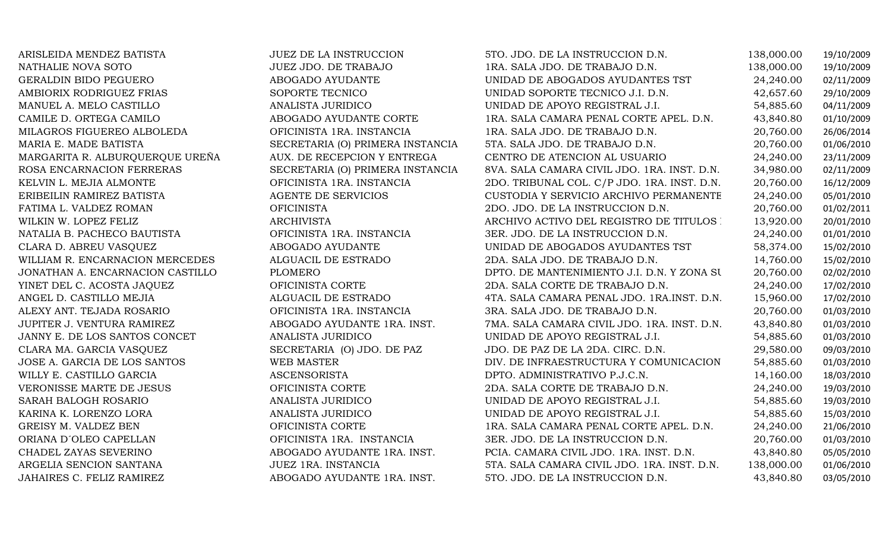| ARISLEIDA MENDEZ BATISTA         | JUEZ DE LA INSTRUCCION           | 5TO. JDO. DE LA INSTRUCCION D.N.            | 138,000.00 | 19/10/2009 |
|----------------------------------|----------------------------------|---------------------------------------------|------------|------------|
| NATHALIE NOVA SOTO               | JUEZ JDO. DE TRABAJO             | 1RA. SALA JDO. DE TRABAJO D.N.              | 138,000.00 | 19/10/2009 |
| <b>GERALDIN BIDO PEGUERO</b>     | ABOGADO AYUDANTE                 | UNIDAD DE ABOGADOS AYUDANTES TST            | 24,240.00  | 02/11/2009 |
| AMBIORIX RODRIGUEZ FRIAS         | SOPORTE TECNICO                  | UNIDAD SOPORTE TECNICO J.I. D.N.            | 42,657.60  | 29/10/2009 |
| MANUEL A. MELO CASTILLO          | ANALISTA JURIDICO                | UNIDAD DE APOYO REGISTRAL J.I.              | 54,885.60  | 04/11/2009 |
| CAMILE D. ORTEGA CAMILO          | ABOGADO AYUDANTE CORTE           | 1RA. SALA CAMARA PENAL CORTE APEL. D.N.     | 43,840.80  | 01/10/2009 |
| MILAGROS FIGUEREO ALBOLEDA       | OFICINISTA 1RA. INSTANCIA        | 1RA. SALA JDO. DE TRABAJO D.N.              | 20,760.00  | 26/06/2014 |
| MARIA E. MADE BATISTA            | SECRETARIA (O) PRIMERA INSTANCIA | 5TA. SALA JDO. DE TRABAJO D.N.              | 20,760.00  | 01/06/2010 |
| MARGARITA R. ALBURQUERQUE UREÑA  | AUX. DE RECEPCION Y ENTREGA      | CENTRO DE ATENCION AL USUARIO               | 24,240.00  | 23/11/2009 |
| ROSA ENCARNACION FERRERAS        | SECRETARIA (O) PRIMERA INSTANCIA | 8VA. SALA CAMARA CIVIL JDO. 1RA. INST. D.N. | 34,980.00  | 02/11/2009 |
| KELVIN L. MEJIA ALMONTE          | OFICINISTA 1RA. INSTANCIA        | 2DO. TRIBUNAL COL. C/P JDO. 1RA. INST. D.N. | 20,760.00  | 16/12/2009 |
| ERIBEILIN RAMIREZ BATISTA        | AGENTE DE SERVICIOS              | CUSTODIA Y SERVICIO ARCHIVO PERMANENTE      | 24,240.00  | 05/01/2010 |
| FATIMA L. VALDEZ ROMAN           | <b>OFICINISTA</b>                | 2DO. JDO. DE LA INSTRUCCION D.N.            | 20,760.00  | 01/02/2011 |
| WILKIN W. LOPEZ FELIZ            | <b>ARCHIVISTA</b>                | ARCHIVO ACTIVO DEL REGISTRO DE TITULOS :    | 13,920.00  | 20/01/2010 |
| NATALIA B. PACHECO BAUTISTA      | OFICINISTA 1RA. INSTANCIA        | 3ER. JDO. DE LA INSTRUCCION D.N.            | 24,240.00  | 01/01/2010 |
| CLARA D. ABREU VASQUEZ           | ABOGADO AYUDANTE                 | UNIDAD DE ABOGADOS AYUDANTES TST            | 58,374.00  | 15/02/2010 |
| WILLIAM R. ENCARNACION MERCEDES  | ALGUACIL DE ESTRADO              | 2DA. SALA JDO. DE TRABAJO D.N.              | 14,760.00  | 15/02/2010 |
| JONATHAN A. ENCARNACION CASTILLO | <b>PLOMERO</b>                   | DPTO. DE MANTENIMIENTO J.I. D.N. Y ZONA SU  | 20,760.00  | 02/02/2010 |
| YINET DEL C. ACOSTA JAQUEZ       | OFICINISTA CORTE                 | 2DA. SALA CORTE DE TRABAJO D.N.             | 24,240.00  | 17/02/2010 |
| ANGEL D. CASTILLO MEJIA          | ALGUACIL DE ESTRADO              | 4TA. SALA CAMARA PENAL JDO. 1RA.INST. D.N.  | 15,960.00  | 17/02/2010 |
| ALEXY ANT. TEJADA ROSARIO        | OFICINISTA 1RA. INSTANCIA        | 3RA. SALA JDO. DE TRABAJO D.N.              | 20,760.00  | 01/03/2010 |
| JUPITER J. VENTURA RAMIREZ       | ABOGADO AYUDANTE 1RA. INST.      | 7MA. SALA CAMARA CIVIL JDO. 1RA. INST. D.N. | 43,840.80  | 01/03/2010 |
| JANNY E. DE LOS SANTOS CONCET    | ANALISTA JURIDICO                | UNIDAD DE APOYO REGISTRAL J.I.              | 54,885.60  | 01/03/2010 |
| CLARA MA. GARCIA VASQUEZ         | SECRETARIA (O) JDO. DE PAZ       | JDO. DE PAZ DE LA 2DA. CIRC. D.N.           | 29,580.00  | 09/03/2010 |
| JOSE A. GARCIA DE LOS SANTOS     | WEB MASTER                       | DIV. DE INFRAESTRUCTURA Y COMUNICACION      | 54,885.60  | 01/03/2010 |
| WILLY E. CASTILLO GARCIA         | <b>ASCENSORISTA</b>              | DPTO. ADMINISTRATIVO P.J.C.N.               | 14,160.00  | 18/03/2010 |
| VERONISSE MARTE DE JESUS         | OFICINISTA CORTE                 | 2DA. SALA CORTE DE TRABAJO D.N.             | 24,240.00  | 19/03/2010 |
| SARAH BALOGH ROSARIO             | ANALISTA JURIDICO                | UNIDAD DE APOYO REGISTRAL J.I.              | 54,885.60  | 19/03/2010 |
| KARINA K. LORENZO LORA           | ANALISTA JURIDICO                | UNIDAD DE APOYO REGISTRAL J.I.              | 54,885.60  | 15/03/2010 |
| GREISY M. VALDEZ BEN             | OFICINISTA CORTE                 | 1RA. SALA CAMARA PENAL CORTE APEL. D.N.     | 24,240.00  | 21/06/2010 |
| ORIANA D'OLEO CAPELLAN           | OFICINISTA 1RA. INSTANCIA        | 3ER. JDO. DE LA INSTRUCCION D.N.            | 20,760.00  | 01/03/2010 |
| CHADEL ZAYAS SEVERINO            | ABOGADO AYUDANTE 1RA. INST.      | PCIA. CAMARA CIVIL JDO. 1RA. INST. D.N.     | 43,840.80  | 05/05/2010 |
| ARGELIA SENCION SANTANA          | JUEZ 1RA. INSTANCIA              | 5TA. SALA CAMARA CIVIL JDO. 1RA. INST. D.N. | 138,000.00 | 01/06/2010 |
| JAHAIRES C. FELIZ RAMIREZ        | ABOGADO AYUDANTE 1RA. INST.      | 5TO. JDO. DE LA INSTRUCCION D.N.            | 43,840.80  | 03/05/2010 |
|                                  |                                  |                                             |            |            |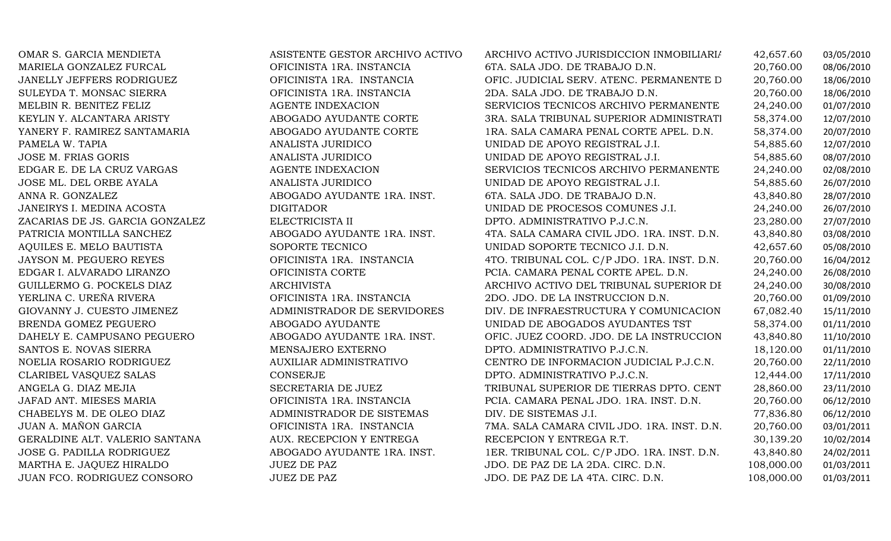| OMAR S. GARCIA MENDIETA          | ASISTENTE GESTOR ARCHIVO ACTIVO | ARCHIVO ACTIVO JURISDICCION INMOBILIARIA    | 42,657.60  | 03/05/2010 |
|----------------------------------|---------------------------------|---------------------------------------------|------------|------------|
| MARIELA GONZALEZ FURCAL          | OFICINISTA 1RA. INSTANCIA       | 6TA. SALA JDO. DE TRABAJO D.N.              | 20,760.00  | 08/06/2010 |
| JANELLY JEFFERS RODRIGUEZ        | OFICINISTA 1RA. INSTANCIA       | OFIC. JUDICIAL SERV. ATENC. PERMANENTE D    | 20,760.00  | 18/06/2010 |
| SULEYDA T. MONSAC SIERRA         | OFICINISTA 1RA. INSTANCIA       | 2DA. SALA JDO. DE TRABAJO D.N.              | 20,760.00  | 18/06/2010 |
| MELBIN R. BENITEZ FELIZ          | <b>AGENTE INDEXACION</b>        | SERVICIOS TECNICOS ARCHIVO PERMANENTE       | 24,240.00  | 01/07/2010 |
| KEYLIN Y. ALCANTARA ARISTY       | ABOGADO AYUDANTE CORTE          | 3RA. SALA TRIBUNAL SUPERIOR ADMINISTRATI    | 58,374.00  | 12/07/2010 |
| YANERY F. RAMIREZ SANTAMARIA     | ABOGADO AYUDANTE CORTE          | 1RA. SALA CAMARA PENAL CORTE APEL. D.N.     | 58,374.00  | 20/07/2010 |
| PAMELA W. TAPIA                  | ANALISTA JURIDICO               | UNIDAD DE APOYO REGISTRAL J.I.              | 54,885.60  | 12/07/2010 |
| <b>JOSE M. FRIAS GORIS</b>       | ANALISTA JURIDICO               | UNIDAD DE APOYO REGISTRAL J.I.              | 54,885.60  | 08/07/2010 |
| EDGAR E. DE LA CRUZ VARGAS       | AGENTE INDEXACION               | SERVICIOS TECNICOS ARCHIVO PERMANENTE       | 24,240.00  | 02/08/2010 |
| JOSE ML. DEL ORBE AYALA          | ANALISTA JURIDICO               | UNIDAD DE APOYO REGISTRAL J.I.              | 54,885.60  | 26/07/2010 |
| ANNA R. GONZALEZ                 | ABOGADO AYUDANTE 1RA. INST.     | 6TA. SALA JDO. DE TRABAJO D.N.              | 43,840.80  | 28/07/2010 |
| JANEIRYS I. MEDINA ACOSTA        | <b>DIGITADOR</b>                | UNIDAD DE PROCESOS COMUNES J.I.             | 24,240.00  | 26/07/2010 |
| ZACARIAS DE JS. GARCIA GONZALEZ  | ELECTRICISTA II                 | DPTO. ADMINISTRATIVO P.J.C.N.               | 23,280.00  | 27/07/2010 |
| PATRICIA MONTILLA SANCHEZ        | ABOGADO AYUDANTE 1RA. INST.     | 4TA. SALA CAMARA CIVIL JDO. 1RA. INST. D.N. | 43,840.80  | 03/08/2010 |
| AQUILES E. MELO BAUTISTA         | SOPORTE TECNICO                 | UNIDAD SOPORTE TECNICO J.I. D.N.            | 42,657.60  | 05/08/2010 |
| <b>JAYSON M. PEGUERO REYES</b>   | OFICINISTA 1RA. INSTANCIA       | 4TO. TRIBUNAL COL. C/P JDO. 1RA. INST. D.N. | 20,760.00  | 16/04/2012 |
| EDGAR I. ALVARADO LIRANZO        | OFICINISTA CORTE                | PCIA. CAMARA PENAL CORTE APEL. D.N.         | 24,240.00  | 26/08/2010 |
| GUILLERMO G. POCKELS DIAZ        | <b>ARCHIVISTA</b>               | ARCHIVO ACTIVO DEL TRIBUNAL SUPERIOR DI     | 24,240.00  | 30/08/2010 |
| YERLINA C. UREÑA RIVERA          | OFICINISTA 1RA. INSTANCIA       | 2DO. JDO. DE LA INSTRUCCION D.N.            | 20,760.00  | 01/09/2010 |
| GIOVANNY J. CUESTO JIMENEZ       | ADMINISTRADOR DE SERVIDORES     | DIV. DE INFRAESTRUCTURA Y COMUNICACION      | 67,082.40  | 15/11/2010 |
| BRENDA GOMEZ PEGUERO             | ABOGADO AYUDANTE                | UNIDAD DE ABOGADOS AYUDANTES TST            | 58,374.00  | 01/11/2010 |
| DAHELY E. CAMPUSANO PEGUERO      | ABOGADO AYUDANTE 1RA. INST.     | OFIC. JUEZ COORD. JDO. DE LA INSTRUCCION    | 43,840.80  | 11/10/2010 |
| SANTOS E. NOVAS SIERRA           | MENSAJERO EXTERNO               | DPTO. ADMINISTRATIVO P.J.C.N.               | 18,120.00  | 01/11/2010 |
| NOELIA ROSARIO RODRIGUEZ         | AUXILIAR ADMINISTRATIVO         | CENTRO DE INFORMACION JUDICIAL P.J.C.N.     | 20,760.00  | 22/11/2010 |
| CLARIBEL VASQUEZ SALAS           | CONSERJE                        | DPTO. ADMINISTRATIVO P.J.C.N.               | 12,444.00  | 17/11/2010 |
| ANGELA G. DIAZ MEJIA             | SECRETARIA DE JUEZ              | TRIBUNAL SUPERIOR DE TIERRAS DPTO. CENT     | 28,860.00  | 23/11/2010 |
| JAFAD ANT. MIESES MARIA          | OFICINISTA 1RA. INSTANCIA       | PCIA. CAMARA PENAL JDO. 1RA. INST. D.N.     | 20,760.00  | 06/12/2010 |
| CHABELYS M. DE OLEO DIAZ         | ADMINISTRADOR DE SISTEMAS       | DIV. DE SISTEMAS J.I.                       | 77,836.80  | 06/12/2010 |
| JUAN A. MAÑON GARCIA             | OFICINISTA 1RA. INSTANCIA       | 7MA. SALA CAMARA CIVIL JDO. 1RA. INST. D.N. | 20,760.00  | 03/01/2011 |
| GERALDINE ALT. VALERIO SANTANA   | AUX. RECEPCION Y ENTREGA        | RECEPCION Y ENTREGA R.T.                    | 30,139.20  | 10/02/2014 |
| <b>JOSE G. PADILLA RODRIGUEZ</b> | ABOGADO AYUDANTE 1RA. INST.     | 1ER. TRIBUNAL COL. C/P JDO. 1RA. INST. D.N. | 43,840.80  | 24/02/2011 |
| MARTHA E. JAQUEZ HIRALDO         | <b>JUEZ DE PAZ</b>              | JDO. DE PAZ DE LA 2DA. CIRC. D.N.           | 108,000.00 | 01/03/2011 |
| JUAN FCO. RODRIGUEZ CONSORO      | <b>JUEZ DE PAZ</b>              | JDO. DE PAZ DE LA 4TA. CIRC. D.N.           | 108,000.00 | 01/03/2011 |
|                                  |                                 |                                             |            |            |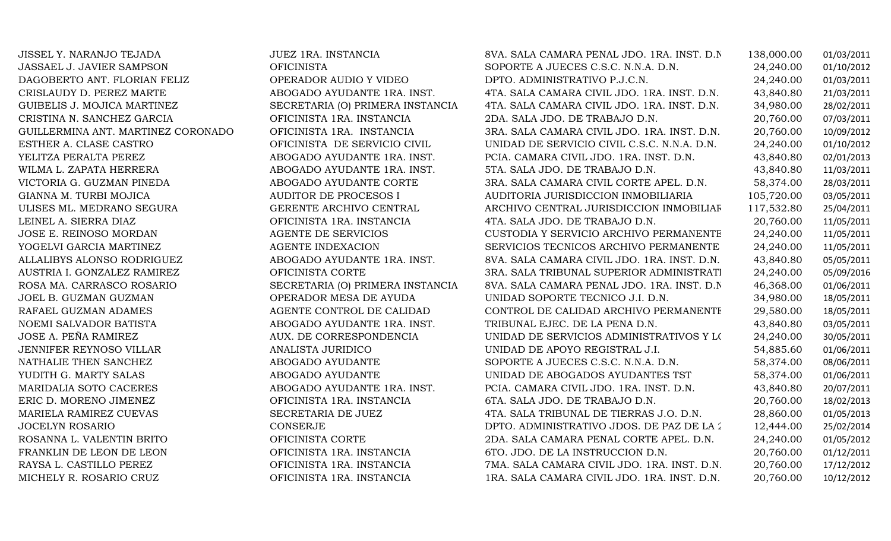| JISSEL Y. NARANJO TEJADA           | JUEZ 1RA. INSTANCIA              | 8VA. SALA CAMARA PENAL JDO. 1RA. INST. D.N. | 138,000.00 | 01/03/2011 |
|------------------------------------|----------------------------------|---------------------------------------------|------------|------------|
| JASSAEL J. JAVIER SAMPSON          | <b>OFICINISTA</b>                | SOPORTE A JUECES C.S.C. N.N.A. D.N.         | 24,240.00  | 01/10/2012 |
| DAGOBERTO ANT. FLORIAN FELIZ       | OPERADOR AUDIO Y VIDEO           | DPTO. ADMINISTRATIVO P.J.C.N.               | 24,240.00  | 01/03/2011 |
| CRISLAUDY D. PEREZ MARTE           | ABOGADO AYUDANTE 1RA. INST.      | 4TA. SALA CAMARA CIVIL JDO. 1RA. INST. D.N. | 43,840.80  | 21/03/2011 |
| GUIBELIS J. MOJICA MARTINEZ        | SECRETARIA (O) PRIMERA INSTANCIA | 4TA. SALA CAMARA CIVIL JDO. 1RA. INST. D.N. | 34,980.00  | 28/02/2011 |
| CRISTINA N. SANCHEZ GARCIA         | OFICINISTA 1RA. INSTANCIA        | 2DA. SALA JDO. DE TRABAJO D.N.              | 20,760.00  | 07/03/2011 |
| GUILLERMINA ANT. MARTINEZ CORONADO | OFICINISTA 1RA. INSTANCIA        | 3RA. SALA CAMARA CIVIL JDO. 1RA. INST. D.N. | 20,760.00  | 10/09/2012 |
| ESTHER A. CLASE CASTRO             | OFICINISTA DE SERVICIO CIVIL     | UNIDAD DE SERVICIO CIVIL C.S.C. N.N.A. D.N. | 24,240.00  | 01/10/2012 |
| YELITZA PERALTA PEREZ              | ABOGADO AYUDANTE 1RA. INST.      | PCIA. CAMARA CIVIL JDO. 1RA. INST. D.N.     | 43,840.80  | 02/01/2013 |
| WILMA L. ZAPATA HERRERA            | ABOGADO AYUDANTE 1RA. INST.      | 5TA. SALA JDO. DE TRABAJO D.N.              | 43,840.80  | 11/03/2011 |
| VICTORIA G. GUZMAN PINEDA          | ABOGADO AYUDANTE CORTE           | 3RA. SALA CAMARA CIVIL CORTE APEL. D.N.     | 58,374.00  | 28/03/2011 |
| GIANNA M. TURBI MOJICA             | AUDITOR DE PROCESOS I            | AUDITORIA JURISDICCION INMOBILIARIA         | 105,720.00 | 03/05/2011 |
| ULISES ML. MEDRANO SEGURA          | GERENTE ARCHIVO CENTRAL          | ARCHIVO CENTRAL JURISDICCION INMOBILIAF     | 117,532.80 | 25/04/2011 |
| LEINEL A. SIERRA DIAZ              | OFICINISTA 1RA. INSTANCIA        | 4TA. SALA JDO. DE TRABAJO D.N.              | 20,760.00  | 11/05/2011 |
| JOSE E. REINOSO MORDAN             | AGENTE DE SERVICIOS              | CUSTODIA Y SERVICIO ARCHIVO PERMANENTE      | 24,240.00  | 11/05/2011 |
| YOGELVI GARCIA MARTINEZ            | AGENTE INDEXACION                | SERVICIOS TECNICOS ARCHIVO PERMANENTE       | 24,240.00  | 11/05/2011 |
| ALLALIBYS ALONSO RODRIGUEZ         | ABOGADO AYUDANTE 1RA. INST.      | 8VA. SALA CAMARA CIVIL JDO. 1RA. INST. D.N. | 43,840.80  | 05/05/2011 |
| AUSTRIA I. GONZALEZ RAMIREZ        | OFICINISTA CORTE                 | 3RA. SALA TRIBUNAL SUPERIOR ADMINISTRATI    | 24,240.00  | 05/09/2016 |
| ROSA MA. CARRASCO ROSARIO          | SECRETARIA (O) PRIMERA INSTANCIA | 8VA. SALA CAMARA PENAL JDO. 1RA. INST. D.N. | 46,368.00  | 01/06/2011 |
| JOEL B. GUZMAN GUZMAN              | OPERADOR MESA DE AYUDA           | UNIDAD SOPORTE TECNICO J.I. D.N.            | 34,980.00  | 18/05/2011 |
| RAFAEL GUZMAN ADAMES               | AGENTE CONTROL DE CALIDAD        | CONTROL DE CALIDAD ARCHIVO PERMANENTE       | 29,580.00  | 18/05/2011 |
| NOEMI SALVADOR BATISTA             | ABOGADO AYUDANTE 1RA. INST.      | TRIBUNAL EJEC. DE LA PENA D.N.              | 43,840.80  | 03/05/2011 |
| JOSE A. PEÑA RAMIREZ               | AUX. DE CORRESPONDENCIA          | UNIDAD DE SERVICIOS ADMINISTRATIVOS Y LO    | 24,240.00  | 30/05/2011 |
| JENNIFER REYNOSO VILLAR            | ANALISTA JURIDICO                | UNIDAD DE APOYO REGISTRAL J.I.              | 54,885.60  | 01/06/2011 |
| NATHALIE THEN SANCHEZ              | ABOGADO AYUDANTE                 | SOPORTE A JUECES C.S.C. N.N.A. D.N.         | 58,374.00  | 08/06/2011 |
| YUDITH G. MARTY SALAS              | ABOGADO AYUDANTE                 | UNIDAD DE ABOGADOS AYUDANTES TST            | 58,374.00  | 01/06/2011 |
| MARIDALIA SOTO CACERES             | ABOGADO AYUDANTE 1RA. INST.      | PCIA. CAMARA CIVIL JDO. 1RA. INST. D.N.     | 43,840.80  | 20/07/2011 |
| ERIC D. MORENO JIMENEZ             | OFICINISTA 1RA. INSTANCIA        | 6TA. SALA JDO. DE TRABAJO D.N.              | 20,760.00  | 18/02/2013 |
| MARIELA RAMIREZ CUEVAS             | SECRETARIA DE JUEZ               | 4TA. SALA TRIBUNAL DE TIERRAS J.O. D.N.     | 28,860.00  | 01/05/2013 |
| JOCELYN ROSARIO                    | <b>CONSERJE</b>                  | DPTO. ADMINISTRATIVO JDOS. DE PAZ DE LA 2   | 12,444.00  | 25/02/2014 |
| ROSANNA L. VALENTIN BRITO          | OFICINISTA CORTE                 | 2DA. SALA CAMARA PENAL CORTE APEL. D.N.     | 24,240.00  | 01/05/2012 |
| FRANKLIN DE LEON DE LEON           | OFICINISTA 1RA. INSTANCIA        | 6TO. JDO. DE LA INSTRUCCION D.N.            | 20,760.00  | 01/12/2011 |
| RAYSA L. CASTILLO PEREZ            | OFICINISTA 1RA. INSTANCIA        | 7MA. SALA CAMARA CIVIL JDO. 1RA. INST. D.N. | 20,760.00  | 17/12/2012 |
| MICHELY R. ROSARIO CRUZ            | OFICINISTA 1RA. INSTANCIA        | 1RA. SALA CAMARA CIVIL JDO. 1RA. INST. D.N. | 20,760.00  | 10/12/2012 |
|                                    |                                  |                                             |            |            |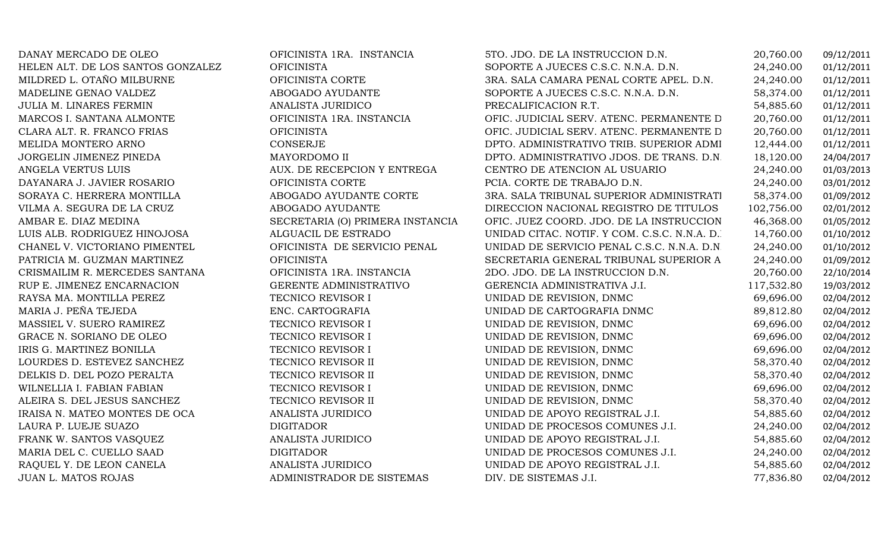DANAY MERCADO DE OLEO OFICINISTA 1RA. INSTANCIA 5TO. JDO. DE LA INSTRUCCION D.N. 20,760.00 09/12/2011 HELEN ALT. DE LOS SANTOS GONZALEZ OFICINISTA SOPORTE A JUECES C.S.C. N.N.A. D.N. 24,240.00 01/12/2011 MILDRED L. OTAÑO MILBURNE OFICINISTA CORTE 3RA. SALA CAMARA PENAL CORTE APEL. D.N. 24,240.00 01/12/2011 MADELINE GENAO VALDEZ ABOGADO AYUDANTE SOPORTE A JUECES C.S.C. N.N.A. D.N. 58,374.00 01/12/2011 JULIA M. LINARES FERMIN ANALISTA JURIDICO PRECALIFICACION R.T. 54,885.60 01/12/2011 MARCOS I. SANTANA ALMONTE OFICINISTA 1RA. INSTANCIA OFIC. JUDICIAL SERV. ATENC. PERMANENTE D.N. 20,760.00 01/12/2011 CLARA ALT. R. FRANCO FRIAS OFICINISTA OFIC. JUDICIAL SERV. ATENC. PERMANENTE D.N. 20,760.00 01/12/2011 MELIDA MONTERO ARNO CONSERJE DPTO. ADMINISTRATIVO TRIB. SUPERIOR ADMINISTRATIVO01/12/2011<br>24/04/2017 JORGELIN JIMENEZ PINEDA MAYORDOMO II DPTO. ADMINISTRATIVO JDOS. DE TRANS. D.N. 18,120.00 24/04/2017 ANGELA VERTUS LUIS AUX. DE RECEPCION Y ENTREGA CENTRO DE ATENCION AL USUARIO 24,240.00 01/03/2013 DAYANARA J. JAVIER ROSARIO OFICINISTA CORTE PCIA. CORTE DE TRABAJO D.N. 24,240.00 03/01/2012 SORAYA C. HERRERA MONTILLA ABOGADO AYUDANTE CORTE 3RA. SALA TRIBUNAL SUPERIOR ADMINISTRATIVO 58,374.00 01/09/2012 VILMA A. SEGURA DE LA CRUZ ABOGADO AYUDANTE DIRECCION NACIONAL REGISTRO DE TITULOS 102,756.00 02/01/2012 SECRETARIA (O) PRIMERA INSTANCIA OFIC. JUEZ COORD. JDO. DE LA INSTRUCCION 46,368.00 01/05/2012<br>ALGUACIL DE ESTRADO de UNIDAD CITAC. NOTIF. Y COM. C.S.C. N.N.A. D. 14,760.00 01/10/2012 LUIS ALB. RODRIGUEZ HINOJOSA ALGUACIL DE ESTRADOUNIDAD CITAC. NOTIF. Y COM. C.S.C. N.N.A. D. 14,760.00 01/10/2012<br>UNIDAD DE SERVICIO PENAL C.S.C. N.N.A. D.N 24,240.00 01/10/2012 CHANEL V. VICTORIANO PIMENTEL OFICINISTA DE SERVICIO PENAL UNIDAD DE SERVICIO PENAL C.S.C. N.N.A. D.N. 24,240.00 01/10/2012 PATRICIA M. GUZMAN MARTINEZ OFICINISTA SECRETARIA GENERAL TRIBUNAL SUPERIOR ADM. D.N. 24,240.00 01/09/2012 CRISMAILIM R. MERCEDES SANTANA OFICINISTA 1RA. INSTANCIA 2DO. JDO. DE LA INSTRUCCION D.N. 20,760.00 22/10/2014 RUP E. JIMENEZ ENCARNACION GERENTE ADMINISTRATIVO GERENCIA ADMINISTRATIVA J.I. 117,532.80 19/03/2012 RAYSA MA. MONTILLA PEREZ TECNICO REVISOR I UNIDAD DE REVISION, DNMC 69,696.00 02/04/2012 MARIA J. PEÑA TEJEDA ENC. CARTOGRAFIA UNIDAD DE CARTOGRAFIA DNMC 89,812.80 02/04/2012 MASSIEL V. SUERO RAMIREZ TECNICO REVISOR I UNIDAD DE REVISION, DNMC 69,696.00 02/04/2012 GRACE N. SORIANO DE OLEO TECNICO REVISOR I UNIDAD DE REVISION, DNMC 69,696.00 02/04/2012 IRIS G. MARTINEZ BONILLA TECNICO REVISOR I UNIDAD DE REVISION, DNMC 69,696.00 02/04/2012 LOURDES D. ESTEVEZ SANCHEZ TECNICO REVISOR II UNIDAD DE REVISION, DNMC 58,370.40 02/04/2012 DELKIS D. DEL POZO PERALTA TECNICO REVISOR II UNIDAD DE REVISION, DNMC 58,370.40 02/04/2012 WILNELLIA I. FABIAN FABIAN TECNICO REVISOR I UNIDAD DE REVISION, DNMC 69,696.00 02/04/2012 ALEIRA S. DEL JESUS SANCHEZ TECNICO REVISOR II UNIDAD DE REVISION, DNMC 58,370.40 02/04/2012 IRAISA N. MATEO MONTES DE OCA ANALISTA JURIDICO UNIDAD DE APOYO REGISTRAL J.I. 54,885.60 02/04/2012 LAURA P. LUEJE SUAZO DIGITADOR UNIDAD DE PROCESOS COMUNES J.I. 24,240.00 02/04/2012 FRANK W. SANTOS VASQUEZ ANALISTA JURIDICO UNIDAD DE APOYO REGISTRAL J.I. 54,885.60 02/04/2012 MARIA DEL C. CUELLO SAAD DIGITADOR UNIDAD DE PROCESOS COMUNES J.I. 24,240.00 02/04/2012 RAQUEL Y. DE LEON CANELA ANALISTA JURIDICO UNIDAD DE APOYO REGISTRAL J.I. 54,885.60 02/04/2012 JUAN L. MATOS ROJAS ADMINISTRADOR DE SISTEMAS DIV. DE SISTEMAS J.I. 77,836.80 02/04/2012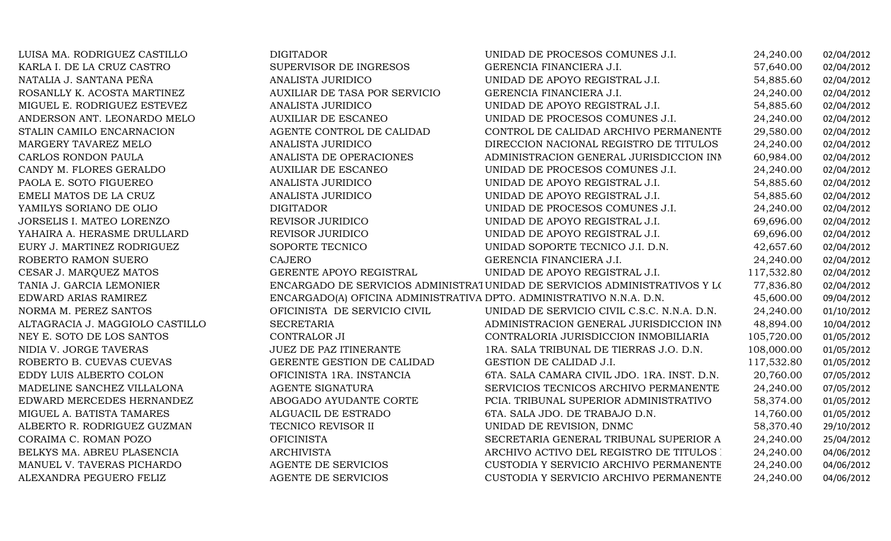| LUISA MA. RODRIGUEZ CASTILLO    | <b>DIGITADOR</b>                                                     | UNIDAD DE PROCESOS COMUNES J.I.                                            | 24,240.00  | 02/04/2012 |
|---------------------------------|----------------------------------------------------------------------|----------------------------------------------------------------------------|------------|------------|
| KARLA I. DE LA CRUZ CASTRO      | SUPERVISOR DE INGRESOS                                               | GERENCIA FINANCIERA J.I.                                                   | 57,640.00  | 02/04/2012 |
| NATALIA J. SANTANA PEÑA         | ANALISTA JURIDICO                                                    | UNIDAD DE APOYO REGISTRAL J.I.                                             | 54,885.60  | 02/04/2012 |
| ROSANLLY K. ACOSTA MARTINEZ     | AUXILIAR DE TASA POR SERVICIO                                        | GERENCIA FINANCIERA J.I.                                                   | 24,240.00  | 02/04/2012 |
| MIGUEL E. RODRIGUEZ ESTEVEZ     | ANALISTA JURIDICO                                                    | UNIDAD DE APOYO REGISTRAL J.I.                                             | 54,885.60  | 02/04/2012 |
| ANDERSON ANT. LEONARDO MELO     | <b>AUXILIAR DE ESCANEO</b>                                           | UNIDAD DE PROCESOS COMUNES J.I.                                            | 24,240.00  | 02/04/2012 |
| STALIN CAMILO ENCARNACION       | AGENTE CONTROL DE CALIDAD                                            | CONTROL DE CALIDAD ARCHIVO PERMANENTE                                      | 29,580.00  | 02/04/2012 |
| MARGERY TAVAREZ MELO            | ANALISTA JURIDICO                                                    | DIRECCION NACIONAL REGISTRO DE TITULOS                                     | 24,240.00  | 02/04/2012 |
| CARLOS RONDON PAULA             | ANALISTA DE OPERACIONES                                              | ADMINISTRACION GENERAL JURISDICCION INN                                    | 60,984.00  | 02/04/2012 |
| CANDY M. FLORES GERALDO         | <b>AUXILIAR DE ESCANEO</b>                                           | UNIDAD DE PROCESOS COMUNES J.I.                                            | 24,240.00  | 02/04/2012 |
| PAOLA E. SOTO FIGUEREO          | ANALISTA JURIDICO                                                    | UNIDAD DE APOYO REGISTRAL J.I.                                             | 54,885.60  | 02/04/2012 |
| EMELI MATOS DE LA CRUZ          | ANALISTA JURIDICO                                                    | UNIDAD DE APOYO REGISTRAL J.I.                                             | 54,885.60  | 02/04/2012 |
| YAMILYS SORIANO DE OLIO         | <b>DIGITADOR</b>                                                     | UNIDAD DE PROCESOS COMUNES J.I.                                            | 24,240.00  | 02/04/2012 |
| JORSELIS I. MATEO LORENZO       | REVISOR JURIDICO                                                     | UNIDAD DE APOYO REGISTRAL J.I.                                             | 69,696.00  | 02/04/2012 |
| YAHAIRA A. HERASME DRULLARD     | REVISOR JURIDICO                                                     | UNIDAD DE APOYO REGISTRAL J.I.                                             | 69,696.00  | 02/04/2012 |
| EURY J. MARTINEZ RODRIGUEZ      | SOPORTE TECNICO                                                      | UNIDAD SOPORTE TECNICO J.I. D.N.                                           | 42,657.60  | 02/04/2012 |
| ROBERTO RAMON SUERO             | <b>CAJERO</b>                                                        | GERENCIA FINANCIERA J.I.                                                   | 24,240.00  | 02/04/2012 |
| CESAR J. MARQUEZ MATOS          | GERENTE APOYO REGISTRAL                                              | UNIDAD DE APOYO REGISTRAL J.I.                                             | 117,532.80 | 02/04/2012 |
| TANIA J. GARCIA LEMONIER        |                                                                      | ENCARGADO DE SERVICIOS ADMINISTRATUNIDAD DE SERVICIOS ADMINISTRATIVOS Y LO | 77,836.80  | 02/04/2012 |
| EDWARD ARIAS RAMIREZ            | ENCARGADO(A) OFICINA ADMINISTRATIVA DPTO. ADMINISTRATIVO N.N.A. D.N. |                                                                            | 45,600.00  | 09/04/2012 |
| NORMA M. PEREZ SANTOS           | OFICINISTA DE SERVICIO CIVIL                                         | UNIDAD DE SERVICIO CIVIL C.S.C. N.N.A. D.N.                                | 24,240.00  | 01/10/2012 |
| ALTAGRACIA J. MAGGIOLO CASTILLO | <b>SECRETARIA</b>                                                    | ADMINISTRACION GENERAL JURISDICCION INN                                    | 48,894.00  | 10/04/2012 |
| NEY E. SOTO DE LOS SANTOS       | CONTRALOR JI                                                         | CONTRALORIA JURISDICCION INMOBILIARIA                                      | 105,720.00 | 01/05/2012 |
| NIDIA V. JORGE TAVERAS          | <b>JUEZ DE PAZ ITINERANTE</b>                                        | 1RA. SALA TRIBUNAL DE TIERRAS J.O. D.N.                                    | 108,000.00 | 01/05/2012 |
| ROBERTO B. CUEVAS CUEVAS        | GERENTE GESTION DE CALIDAD                                           | GESTION DE CALIDAD J.I.                                                    | 117,532.80 | 01/05/2012 |
| EDDY LUIS ALBERTO COLON         | OFICINISTA 1RA. INSTANCIA                                            | 6TA. SALA CAMARA CIVIL JDO. 1RA. INST. D.N.                                | 20,760.00  | 07/05/2012 |
| MADELINE SANCHEZ VILLALONA      | AGENTE SIGNATURA                                                     | SERVICIOS TECNICOS ARCHIVO PERMANENTE                                      | 24,240.00  | 07/05/2012 |
| EDWARD MERCEDES HERNANDEZ       | ABOGADO AYUDANTE CORTE                                               | PCIA. TRIBUNAL SUPERIOR ADMINISTRATIVO                                     | 58,374.00  | 01/05/2012 |
| MIGUEL A. BATISTA TAMARES       | ALGUACIL DE ESTRADO                                                  | 6TA. SALA JDO. DE TRABAJO D.N.                                             | 14,760.00  | 01/05/2012 |
| ALBERTO R. RODRIGUEZ GUZMAN     | TECNICO REVISOR II                                                   | UNIDAD DE REVISION, DNMC                                                   | 58,370.40  | 29/10/2012 |
| CORAIMA C. ROMAN POZO           | <b>OFICINISTA</b>                                                    | SECRETARIA GENERAL TRIBUNAL SUPERIOR A                                     | 24,240.00  | 25/04/2012 |
| BELKYS MA. ABREU PLASENCIA      | <b>ARCHIVISTA</b>                                                    | ARCHIVO ACTIVO DEL REGISTRO DE TITULOS :                                   | 24,240.00  | 04/06/2012 |
| MANUEL V. TAVERAS PICHARDO      | <b>AGENTE DE SERVICIOS</b>                                           | CUSTODIA Y SERVICIO ARCHIVO PERMANENTE                                     | 24,240.00  | 04/06/2012 |
| ALEXANDRA PEGUERO FELIZ         | <b>AGENTE DE SERVICIOS</b>                                           | CUSTODIA Y SERVICIO ARCHIVO PERMANENTE                                     | 24,240.00  | 04/06/2012 |
|                                 |                                                                      |                                                                            |            |            |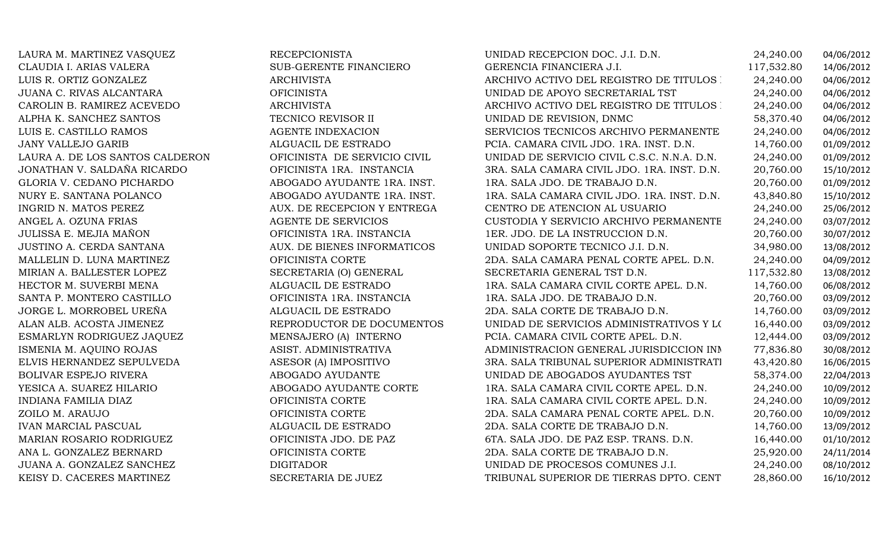| LAURA M. MARTINEZ VASQUEZ       | <b>RECEPCIONISTA</b>         | UNIDAD RECEPCION DOC. J.I. D.N.             | 24,240.00  | 04/06/2012 |
|---------------------------------|------------------------------|---------------------------------------------|------------|------------|
| CLAUDIA I. ARIAS VALERA         | SUB-GERENTE FINANCIERO       | GERENCIA FINANCIERA J.I.                    | 117,532.80 | 14/06/2012 |
| LUIS R. ORTIZ GONZALEZ          | <b>ARCHIVISTA</b>            | ARCHIVO ACTIVO DEL REGISTRO DE TITULOS :    | 24,240.00  | 04/06/2012 |
| JUANA C. RIVAS ALCANTARA        | <b>OFICINISTA</b>            | UNIDAD DE APOYO SECRETARIAL TST             | 24,240.00  | 04/06/2012 |
| CAROLIN B. RAMIREZ ACEVEDO      | ARCHIVISTA                   | ARCHIVO ACTIVO DEL REGISTRO DE TITULOS :    | 24,240.00  | 04/06/2012 |
| ALPHA K. SANCHEZ SANTOS         | TECNICO REVISOR II           | UNIDAD DE REVISION, DNMC                    | 58,370.40  | 04/06/2012 |
| LUIS E. CASTILLO RAMOS          | <b>AGENTE INDEXACION</b>     | SERVICIOS TECNICOS ARCHIVO PERMANENTE       | 24,240.00  | 04/06/2012 |
| <b>JANY VALLEJO GARIB</b>       | ALGUACIL DE ESTRADO          | PCIA. CAMARA CIVIL JDO. 1RA. INST. D.N.     | 14,760.00  | 01/09/2012 |
| LAURA A. DE LOS SANTOS CALDERON | OFICINISTA DE SERVICIO CIVIL | UNIDAD DE SERVICIO CIVIL C.S.C. N.N.A. D.N. | 24,240.00  | 01/09/2012 |
| JONATHAN V. SALDAÑA RICARDO     | OFICINISTA 1RA. INSTANCIA    | 3RA. SALA CAMARA CIVIL JDO. 1RA. INST. D.N. | 20,760.00  | 15/10/2012 |
| GLORIA V. CEDANO PICHARDO       | ABOGADO AYUDANTE 1RA. INST.  | 1RA. SALA JDO. DE TRABAJO D.N.              | 20,760.00  | 01/09/2012 |
| NURY E. SANTANA POLANCO         | ABOGADO AYUDANTE 1RA. INST.  | 1RA. SALA CAMARA CIVIL JDO. 1RA. INST. D.N. | 43,840.80  | 15/10/2012 |
| INGRID N. MATOS PEREZ           | AUX. DE RECEPCION Y ENTREGA  | CENTRO DE ATENCION AL USUARIO               | 24,240.00  | 25/06/2012 |
| ANGEL A. OZUNA FRIAS            | AGENTE DE SERVICIOS          | CUSTODIA Y SERVICIO ARCHIVO PERMANENTE      | 24,240.00  | 03/07/2012 |
| JULISSA E. MEJIA MAÑON          | OFICINISTA 1RA. INSTANCIA    | 1ER. JDO. DE LA INSTRUCCION D.N.            | 20,760.00  | 30/07/2012 |
| JUSTINO A. CERDA SANTANA        | AUX. DE BIENES INFORMATICOS  | UNIDAD SOPORTE TECNICO J.I. D.N.            | 34,980.00  | 13/08/2012 |
| MALLELIN D. LUNA MARTINEZ       | OFICINISTA CORTE             | 2DA. SALA CAMARA PENAL CORTE APEL. D.N.     | 24,240.00  | 04/09/2012 |
| MIRIAN A. BALLESTER LOPEZ       | SECRETARIA (O) GENERAL       | SECRETARIA GENERAL TST D.N.                 | 117,532.80 | 13/08/2012 |
| HECTOR M. SUVERBI MENA          | ALGUACIL DE ESTRADO          | 1RA. SALA CAMARA CIVIL CORTE APEL. D.N.     | 14,760.00  | 06/08/2012 |
| SANTA P. MONTERO CASTILLO       | OFICINISTA 1RA. INSTANCIA    | 1RA. SALA JDO. DE TRABAJO D.N.              | 20,760.00  | 03/09/2012 |
| JORGE L. MORROBEL UREÑA         | ALGUACIL DE ESTRADO          | 2DA. SALA CORTE DE TRABAJO D.N.             | 14,760.00  | 03/09/2012 |
| ALAN ALB. ACOSTA JIMENEZ        | REPRODUCTOR DE DOCUMENTOS    | UNIDAD DE SERVICIOS ADMINISTRATIVOS Y LOS   | 16,440.00  | 03/09/2012 |
| ESMARLYN RODRIGUEZ JAQUEZ       | MENSAJERO (A) INTERNO        | PCIA. CAMARA CIVIL CORTE APEL. D.N.         | 12,444.00  | 03/09/2012 |
| ISMENIA M. AQUINO ROJAS         | ASIST. ADMINISTRATIVA        | ADMINISTRACION GENERAL JURISDICCION INN     | 77,836.80  | 30/08/2012 |
| ELVIS HERNANDEZ SEPULVEDA       | ASESOR (A) IMPOSITIVO        | 3RA. SALA TRIBUNAL SUPERIOR ADMINISTRATI    | 43,420.80  | 16/06/2015 |
| <b>BOLIVAR ESPEJO RIVERA</b>    | ABOGADO AYUDANTE             | UNIDAD DE ABOGADOS AYUDANTES TST            | 58,374.00  | 22/04/2013 |
| YESICA A. SUAREZ HILARIO        | ABOGADO AYUDANTE CORTE       | 1RA. SALA CAMARA CIVIL CORTE APEL. D.N.     | 24,240.00  | 10/09/2012 |
| <b>INDIANA FAMILIA DIAZ</b>     | OFICINISTA CORTE             | 1RA. SALA CAMARA CIVIL CORTE APEL. D.N.     | 24,240.00  | 10/09/2012 |
| ZOILO M. ARAUJO                 | OFICINISTA CORTE             | 2DA. SALA CAMARA PENAL CORTE APEL. D.N.     | 20,760.00  | 10/09/2012 |
| <b>IVAN MARCIAL PASCUAL</b>     | ALGUACIL DE ESTRADO          | 2DA. SALA CORTE DE TRABAJO D.N.             | 14,760.00  | 13/09/2012 |
| MARIAN ROSARIO RODRIGUEZ        | OFICINISTA JDO. DE PAZ       | 6TA. SALA JDO. DE PAZ ESP. TRANS. D.N.      | 16,440.00  | 01/10/2012 |
| ANA L. GONZALEZ BERNARD         | OFICINISTA CORTE             | 2DA. SALA CORTE DE TRABAJO D.N.             | 25,920.00  | 24/11/2014 |
| JUANA A. GONZALEZ SANCHEZ       | <b>DIGITADOR</b>             | UNIDAD DE PROCESOS COMUNES J.I.             | 24,240.00  | 08/10/2012 |
| KEISY D. CACERES MARTINEZ       | SECRETARIA DE JUEZ           | TRIBUNAL SUPERIOR DE TIERRAS DPTO. CENT     | 28,860.00  | 16/10/2012 |
|                                 |                              |                                             |            |            |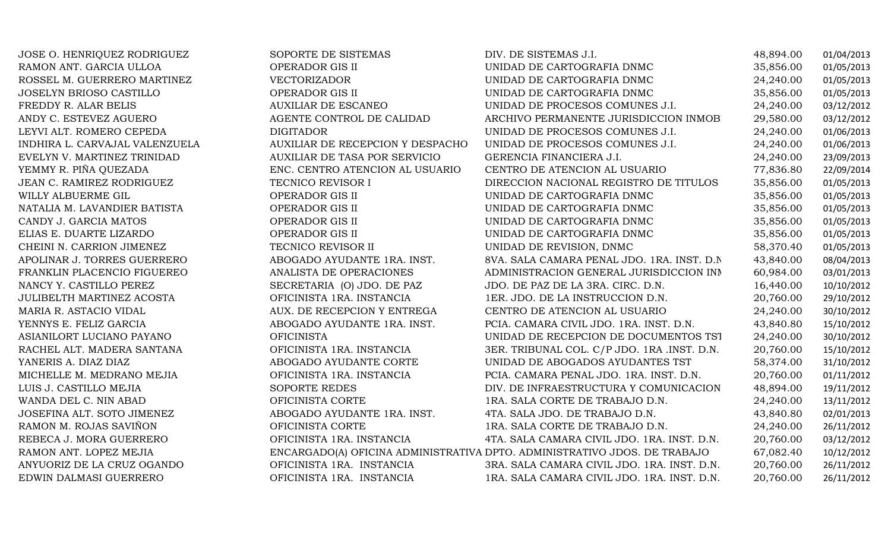| JOSE O. HENRIQUEZ RODRIGUEZ    | SOPORTE DE SISTEMAS              | DIV. DE SISTEMAS J.I.                                                     | 48,894.00 | 01/04/2013 |
|--------------------------------|----------------------------------|---------------------------------------------------------------------------|-----------|------------|
| RAMON ANT. GARCIA ULLOA        | OPERADOR GIS II                  | UNIDAD DE CARTOGRAFIA DNMC                                                | 35,856.00 | 01/05/2013 |
| ROSSEL M. GUERRERO MARTINEZ    | <b>VECTORIZADOR</b>              | UNIDAD DE CARTOGRAFIA DNMC                                                | 24,240.00 | 01/05/2013 |
| <b>JOSELYN BRIOSO CASTILLO</b> | OPERADOR GIS II                  | UNIDAD DE CARTOGRAFIA DNMC                                                | 35,856.00 | 01/05/2013 |
| FREDDY R. ALAR BELIS           | <b>AUXILIAR DE ESCANEO</b>       | UNIDAD DE PROCESOS COMUNES J.I.                                           | 24,240.00 | 03/12/2012 |
| ANDY C. ESTEVEZ AGUERO         | AGENTE CONTROL DE CALIDAD        | ARCHIVO PERMANENTE JURISDICCION INMOB                                     | 29,580.00 | 03/12/2012 |
| LEYVI ALT. ROMERO CEPEDA       | <b>DIGITADOR</b>                 | UNIDAD DE PROCESOS COMUNES J.I.                                           | 24,240.00 | 01/06/2013 |
| INDHIRA L. CARVAJAL VALENZUELA | AUXILIAR DE RECEPCION Y DESPACHO | UNIDAD DE PROCESOS COMUNES J.I.                                           | 24,240.00 | 01/06/2013 |
| EVELYN V. MARTINEZ TRINIDAD    | AUXILIAR DE TASA POR SERVICIO    | GERENCIA FINANCIERA J.I.                                                  | 24,240.00 | 23/09/2013 |
| YEMMY R. PIÑA QUEZADA          | ENC. CENTRO ATENCION AL USUARIO  | CENTRO DE ATENCION AL USUARIO                                             | 77,836.80 | 22/09/2014 |
| JEAN C. RAMIREZ RODRIGUEZ      | TECNICO REVISOR I                | DIRECCION NACIONAL REGISTRO DE TITULOS                                    | 35,856.00 | 01/05/2013 |
| WILLY ALBUERME GIL             | OPERADOR GIS II                  | UNIDAD DE CARTOGRAFIA DNMC                                                | 35,856.00 | 01/05/2013 |
| NATALIA M. LAVANDIER BATISTA   | OPERADOR GIS II                  | UNIDAD DE CARTOGRAFIA DNMC                                                | 35,856.00 | 01/05/2013 |
| CANDY J. GARCIA MATOS          | OPERADOR GIS II                  | UNIDAD DE CARTOGRAFIA DNMC                                                | 35,856.00 | 01/05/2013 |
| ELIAS E. DUARTE LIZARDO        | OPERADOR GIS II                  | UNIDAD DE CARTOGRAFIA DNMC                                                | 35,856.00 | 01/05/2013 |
| CHEINI N. CARRION JIMENEZ      | TECNICO REVISOR II               | UNIDAD DE REVISION, DNMC                                                  | 58,370.40 | 01/05/2013 |
| APOLINAR J. TORRES GUERRERO    | ABOGADO AYUDANTE 1RA. INST.      | 8VA. SALA CAMARA PENAL JDO. 1RA. INST. D.N.                               | 43,840.00 | 08/04/2013 |
| FRANKLIN PLACENCIO FIGUEREO    | ANALISTA DE OPERACIONES          | ADMINISTRACION GENERAL JURISDICCION INN                                   | 60,984.00 | 03/01/2013 |
| NANCY Y. CASTILLO PEREZ        | SECRETARIA (O) JDO. DE PAZ       | JDO. DE PAZ DE LA 3RA. CIRC. D.N.                                         | 16,440.00 | 10/10/2012 |
| JULIBELTH MARTINEZ ACOSTA      | OFICINISTA 1RA. INSTANCIA        | 1ER. JDO. DE LA INSTRUCCION D.N.                                          | 20,760.00 | 29/10/2012 |
| MARIA R. ASTACIO VIDAL         | AUX. DE RECEPCION Y ENTREGA      | CENTRO DE ATENCION AL USUARIO                                             | 24,240.00 | 30/10/2012 |
| YENNYS E. FELIZ GARCIA         | ABOGADO AYUDANTE 1RA. INST.      | PCIA. CAMARA CIVIL JDO. 1RA. INST. D.N.                                   | 43,840.80 | 15/10/2012 |
| ASIANILORT LUCIANO PAYANO      | <b>OFICINISTA</b>                | UNIDAD DE RECEPCION DE DOCUMENTOS TST                                     | 24,240.00 | 30/10/2012 |
| RACHEL ALT. MADERA SANTANA     | OFICINISTA 1RA. INSTANCIA        | 3ER. TRIBUNAL COL. C/P JDO. 1RA .INST. D.N.                               | 20,760.00 | 15/10/2012 |
| YANERIS A. DIAZ DIAZ           | ABOGADO AYUDANTE CORTE           | UNIDAD DE ABOGADOS AYUDANTES TST                                          | 58,374.00 | 31/10/2012 |
| MICHELLE M. MEDRANO MEJIA      | OFICINISTA 1RA. INSTANCIA        | PCIA. CAMARA PENAL JDO. 1RA. INST. D.N.                                   | 20,760.00 | 01/11/2012 |
| LUIS J. CASTILLO MEJIA         | SOPORTE REDES                    | DIV. DE INFRAESTRUCTURA Y COMUNICACION                                    | 48,894.00 | 19/11/2012 |
| WANDA DEL C. NIN ABAD          | OFICINISTA CORTE                 | 1RA. SALA CORTE DE TRABAJO D.N.                                           | 24,240.00 | 13/11/2012 |
| JOSEFINA ALT. SOTO JIMENEZ     | ABOGADO AYUDANTE 1RA. INST.      | 4TA. SALA JDO. DE TRABAJO D.N.                                            | 43,840.80 | 02/01/2013 |
| RAMON M. ROJAS SAVIÑON         | OFICINISTA CORTE                 | 1RA. SALA CORTE DE TRABAJO D.N.                                           | 24,240.00 | 26/11/2012 |
| REBECA J. MORA GUERRERO        | OFICINISTA 1RA. INSTANCIA        | 4TA. SALA CAMARA CIVIL JDO. 1RA. INST. D.N.                               | 20,760.00 | 03/12/2012 |
| RAMON ANT. LOPEZ MEJIA         |                                  | ENCARGADO(A) OFICINA ADMINISTRATIVA DPTO. ADMINISTRATIVO JDOS. DE TRABAJO | 67,082.40 | 10/12/2012 |
| ANYUORIZ DE LA CRUZ OGANDO     | OFICINISTA 1RA. INSTANCIA        | 3RA. SALA CAMARA CIVIL JDO. 1RA. INST. D.N.                               | 20,760.00 | 26/11/2012 |
| EDWIN DALMASI GUERRERO         | OFICINISTA 1RA. INSTANCIA        | 1RA. SALA CAMARA CIVIL JDO. 1RA. INST. D.N.                               | 20,760.00 | 26/11/2012 |
|                                |                                  |                                                                           |           |            |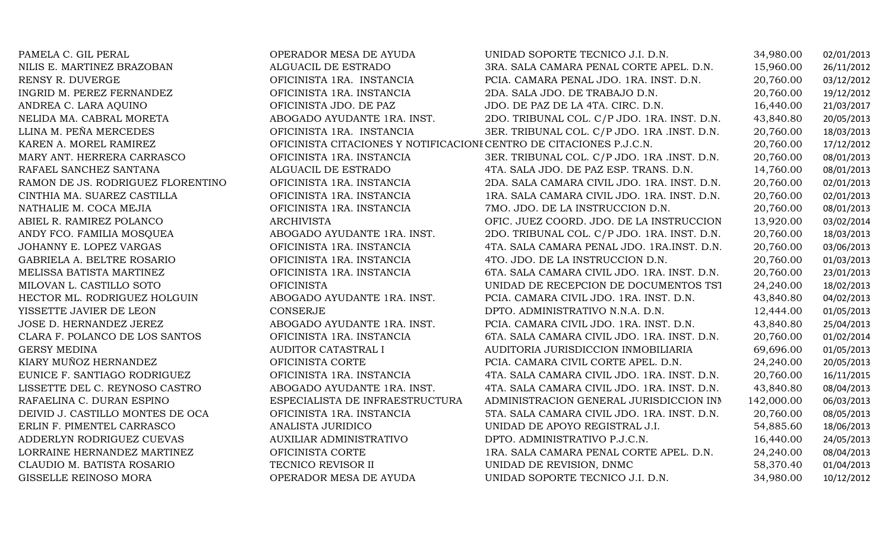| PAMELA C. GIL PERAL               | OPERADOR MESA DE AYUDA                                              | UNIDAD SOPORTE TECNICO J.I. D.N.            | 34,980.00  | 02/01/2013 |
|-----------------------------------|---------------------------------------------------------------------|---------------------------------------------|------------|------------|
| NILIS E. MARTINEZ BRAZOBAN        | ALGUACIL DE ESTRADO                                                 | 3RA. SALA CAMARA PENAL CORTE APEL. D.N.     | 15,960.00  | 26/11/2012 |
| RENSY R. DUVERGE                  | OFICINISTA 1RA. INSTANCIA                                           | PCIA. CAMARA PENAL JDO. 1RA. INST. D.N.     | 20,760.00  | 03/12/2012 |
| INGRID M. PEREZ FERNANDEZ         | OFICINISTA 1RA. INSTANCIA                                           | 2DA. SALA JDO. DE TRABAJO D.N.              | 20,760.00  | 19/12/2012 |
| ANDREA C. LARA AQUINO             | OFICINISTA JDO. DE PAZ                                              | JDO. DE PAZ DE LA 4TA. CIRC. D.N.           | 16,440.00  | 21/03/2017 |
| NELIDA MA. CABRAL MORETA          | ABOGADO AYUDANTE 1RA. INST.                                         | 2DO. TRIBUNAL COL. C/P JDO. 1RA. INST. D.N. | 43,840.80  | 20/05/2013 |
| LLINA M. PEÑA MERCEDES            | OFICINISTA 1RA. INSTANCIA                                           | 3ER. TRIBUNAL COL. C/P JDO. 1RA .INST. D.N. | 20,760.00  | 18/03/2013 |
| KAREN A. MOREL RAMIREZ            | OFICINISTA CITACIONES Y NOTIFICACIONI CENTRO DE CITACIONES P.J.C.N. |                                             | 20,760.00  | 17/12/2012 |
| MARY ANT. HERRERA CARRASCO        | OFICINISTA 1RA. INSTANCIA                                           | 3ER. TRIBUNAL COL. C/P JDO. 1RA .INST. D.N. | 20,760.00  | 08/01/2013 |
| RAFAEL SANCHEZ SANTANA            | ALGUACIL DE ESTRADO                                                 | 4TA. SALA JDO. DE PAZ ESP. TRANS. D.N.      | 14,760.00  | 08/01/2013 |
| RAMON DE JS. RODRIGUEZ FLORENTINO | OFICINISTA 1RA. INSTANCIA                                           | 2DA. SALA CAMARA CIVIL JDO. 1RA. INST. D.N. | 20,760.00  | 02/01/2013 |
| CINTHIA MA. SUAREZ CASTILLA       | OFICINISTA 1RA. INSTANCIA                                           | 1RA. SALA CAMARA CIVIL JDO. 1RA. INST. D.N. | 20,760.00  | 02/01/2013 |
| NATHALIE M. COCA MEJIA            | OFICINISTA 1RA. INSTANCIA                                           | 7MO. JDO. DE LA INSTRUCCION D.N.            | 20,760.00  | 08/01/2013 |
| ABIEL R. RAMIREZ POLANCO          | <b>ARCHIVISTA</b>                                                   | OFIC. JUEZ COORD. JDO. DE LA INSTRUCCION    | 13,920.00  | 03/02/2014 |
| ANDY FCO. FAMILIA MOSQUEA         | ABOGADO AYUDANTE 1RA. INST.                                         | 2DO. TRIBUNAL COL. C/P JDO. 1RA. INST. D.N. | 20,760.00  | 18/03/2013 |
| JOHANNY E. LOPEZ VARGAS           | OFICINISTA 1RA. INSTANCIA                                           | 4TA. SALA CAMARA PENAL JDO. 1RA.INST. D.N.  | 20,760.00  | 03/06/2013 |
| GABRIELA A. BELTRE ROSARIO        | OFICINISTA 1RA. INSTANCIA                                           | 4TO. JDO. DE LA INSTRUCCION D.N.            | 20,760.00  | 01/03/2013 |
| MELISSA BATISTA MARTINEZ          | OFICINISTA 1RA. INSTANCIA                                           | 6TA. SALA CAMARA CIVIL JDO. 1RA. INST. D.N. | 20,760.00  | 23/01/2013 |
| MILOVAN L. CASTILLO SOTO          | <b>OFICINISTA</b>                                                   | UNIDAD DE RECEPCION DE DOCUMENTOS TST       | 24,240.00  | 18/02/2013 |
| HECTOR ML. RODRIGUEZ HOLGUIN      | ABOGADO AYUDANTE 1RA. INST.                                         | PCIA. CAMARA CIVIL JDO. 1RA. INST. D.N.     | 43,840.80  | 04/02/2013 |
| YISSETTE JAVIER DE LEON           | <b>CONSERJE</b>                                                     | DPTO. ADMINISTRATIVO N.N.A. D.N.            | 12,444.00  | 01/05/2013 |
| JOSE D. HERNANDEZ JEREZ           | ABOGADO AYUDANTE 1RA. INST.                                         | PCIA. CAMARA CIVIL JDO. 1RA. INST. D.N.     | 43,840.80  | 25/04/2013 |
| CLARA F. POLANCO DE LOS SANTOS    | OFICINISTA 1RA. INSTANCIA                                           | 6TA. SALA CAMARA CIVIL JDO. 1RA. INST. D.N. | 20,760.00  | 01/02/2014 |
| <b>GERSY MEDINA</b>               | AUDITOR CATASTRAL I                                                 | AUDITORIA JURISDICCION INMOBILIARIA         | 69,696.00  | 01/05/2013 |
| KIARY MUÑOZ HERNANDEZ             | OFICINISTA CORTE                                                    | PCIA. CAMARA CIVIL CORTE APEL. D.N.         | 24,240.00  | 20/05/2013 |
| EUNICE F. SANTIAGO RODRIGUEZ      | OFICINISTA 1RA. INSTANCIA                                           | 4TA. SALA CAMARA CIVIL JDO. 1RA. INST. D.N. | 20,760.00  | 16/11/2015 |
| LISSETTE DEL C. REYNOSO CASTRO    | ABOGADO AYUDANTE 1RA. INST.                                         | 4TA. SALA CAMARA CIVIL JDO. 1RA. INST. D.N. | 43,840.80  | 08/04/2013 |
| RAFAELINA C. DURAN ESPINO         | ESPECIALISTA DE INFRAESTRUCTURA                                     | ADMINISTRACION GENERAL JURISDICCION INN     | 142,000.00 | 06/03/2013 |
| DEIVID J. CASTILLO MONTES DE OCA  | OFICINISTA 1RA. INSTANCIA                                           | 5TA. SALA CAMARA CIVIL JDO. 1RA. INST. D.N. | 20,760.00  | 08/05/2013 |
| ERLIN F. PIMENTEL CARRASCO        | ANALISTA JURIDICO                                                   | UNIDAD DE APOYO REGISTRAL J.I.              | 54,885.60  | 18/06/2013 |
| ADDERLYN RODRIGUEZ CUEVAS         | <b>AUXILIAR ADMINISTRATIVO</b>                                      | DPTO. ADMINISTRATIVO P.J.C.N.               | 16,440.00  | 24/05/2013 |
| LORRAINE HERNANDEZ MARTINEZ       | OFICINISTA CORTE                                                    | 1RA. SALA CAMARA PENAL CORTE APEL. D.N.     | 24,240.00  | 08/04/2013 |
| CLAUDIO M. BATISTA ROSARIO        | TECNICO REVISOR II                                                  | UNIDAD DE REVISION, DNMC                    | 58,370.40  | 01/04/2013 |
| GISSELLE REINOSO MORA             | OPERADOR MESA DE AYUDA                                              | UNIDAD SOPORTE TECNICO J.I. D.N.            | 34,980.00  | 10/12/2012 |
|                                   |                                                                     |                                             |            |            |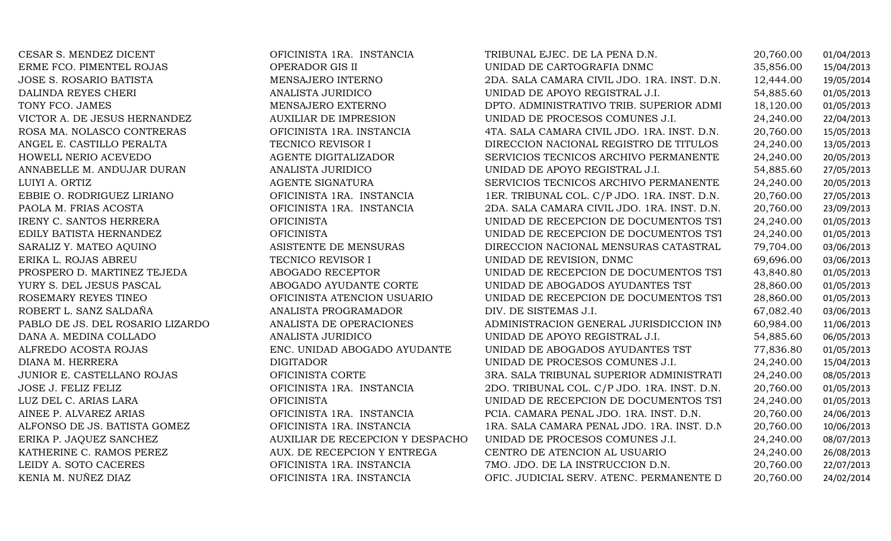| CESAR S. MENDEZ DICENT           | OFICINISTA 1RA. INSTANCIA        | TRIBUNAL EJEC. DE LA PENA D.N.              | 20,760.00 | 01/04/2013 |
|----------------------------------|----------------------------------|---------------------------------------------|-----------|------------|
| ERME FCO. PIMENTEL ROJAS         | OPERADOR GIS II                  | UNIDAD DE CARTOGRAFIA DNMC                  | 35,856.00 | 15/04/2013 |
| JOSE S. ROSARIO BATISTA          | MENSAJERO INTERNO                | 2DA. SALA CAMARA CIVIL JDO. 1RA. INST. D.N. | 12,444.00 | 19/05/2014 |
| DALINDA REYES CHERI              | ANALISTA JURIDICO                | UNIDAD DE APOYO REGISTRAL J.I.              | 54,885.60 | 01/05/2013 |
| TONY FCO. JAMES                  | MENSAJERO EXTERNO                | DPTO. ADMINISTRATIVO TRIB. SUPERIOR ADMI    | 18,120.00 | 01/05/2013 |
| VICTOR A. DE JESUS HERNANDEZ     | <b>AUXILIAR DE IMPRESION</b>     | UNIDAD DE PROCESOS COMUNES J.I.             | 24,240.00 | 22/04/2013 |
| ROSA MA. NOLASCO CONTRERAS       | OFICINISTA 1RA. INSTANCIA        | 4TA. SALA CAMARA CIVIL JDO. 1RA. INST. D.N. | 20,760.00 | 15/05/2013 |
| ANGEL E. CASTILLO PERALTA        | TECNICO REVISOR I                | DIRECCION NACIONAL REGISTRO DE TITULOS      | 24,240.00 | 13/05/2013 |
| HOWELL NERIO ACEVEDO             | AGENTE DIGITALIZADOR             | SERVICIOS TECNICOS ARCHIVO PERMANENTE       | 24,240.00 | 20/05/2013 |
| ANNABELLE M. ANDUJAR DURAN       | ANALISTA JURIDICO                | UNIDAD DE APOYO REGISTRAL J.I.              | 54,885.60 | 27/05/2013 |
| LUIYI A. ORTIZ                   | AGENTE SIGNATURA                 | SERVICIOS TECNICOS ARCHIVO PERMANENTE       | 24,240.00 | 20/05/2013 |
| EBBIE O. RODRIGUEZ LIRIANO       | OFICINISTA 1RA. INSTANCIA        | 1ER. TRIBUNAL COL. C/P JDO. 1RA. INST. D.N. | 20,760.00 | 27/05/2013 |
| PAOLA M. FRIAS ACOSTA            | OFICINISTA 1RA. INSTANCIA        | 2DA. SALA CAMARA CIVIL JDO. 1RA. INST. D.N. | 20,760.00 | 23/09/2013 |
| <b>IRENY C. SANTOS HERRERA</b>   | <b>OFICINISTA</b>                | UNIDAD DE RECEPCION DE DOCUMENTOS TST       | 24,240.00 | 01/05/2013 |
| EDILY BATISTA HERNANDEZ          | <b>OFICINISTA</b>                | UNIDAD DE RECEPCION DE DOCUMENTOS TST       | 24,240.00 | 01/05/2013 |
| SARALIZ Y. MATEO AQUINO          | ASISTENTE DE MENSURAS            | DIRECCION NACIONAL MENSURAS CATASTRAL       | 79,704.00 | 03/06/2013 |
| ERIKA L. ROJAS ABREU             | TECNICO REVISOR I                | UNIDAD DE REVISION, DNMC                    | 69,696.00 | 03/06/2013 |
| PROSPERO D. MARTINEZ TEJEDA      | <b>ABOGADO RECEPTOR</b>          | UNIDAD DE RECEPCION DE DOCUMENTOS TST       | 43,840.80 | 01/05/2013 |
| YURY S. DEL JESUS PASCAL         | ABOGADO AYUDANTE CORTE           | UNIDAD DE ABOGADOS AYUDANTES TST            | 28,860.00 | 01/05/2013 |
| ROSEMARY REYES TINEO             | OFICINISTA ATENCION USUARIO      | UNIDAD DE RECEPCION DE DOCUMENTOS TST       | 28,860.00 | 01/05/2013 |
| ROBERT L. SANZ SALDAÑA           | ANALISTA PROGRAMADOR             | DIV. DE SISTEMAS J.I.                       | 67,082.40 | 03/06/2013 |
| PABLO DE JS. DEL ROSARIO LIZARDO | ANALISTA DE OPERACIONES          | ADMINISTRACION GENERAL JURISDICCION INN     | 60,984.00 | 11/06/2013 |
| DANA A. MEDINA COLLADO           | ANALISTA JURIDICO                | UNIDAD DE APOYO REGISTRAL J.I.              | 54,885.60 | 06/05/2013 |
| ALFREDO ACOSTA ROJAS             | ENC. UNIDAD ABOGADO AYUDANTE     | UNIDAD DE ABOGADOS AYUDANTES TST            | 77,836.80 | 01/05/2013 |
| DIANA M. HERRERA                 | <b>DIGITADOR</b>                 | UNIDAD DE PROCESOS COMUNES J.I.             | 24,240.00 | 15/04/2013 |
| JUNIOR E. CASTELLANO ROJAS       | OFICINISTA CORTE                 | 3RA. SALA TRIBUNAL SUPERIOR ADMINISTRATI    | 24,240.00 | 08/05/2013 |
| JOSE J. FELIZ FELIZ              | OFICINISTA 1RA. INSTANCIA        | 2DO. TRIBUNAL COL. C/P JDO. 1RA. INST. D.N. | 20,760.00 | 01/05/2013 |
| LUZ DEL C. ARIAS LARA            | <b>OFICINISTA</b>                | UNIDAD DE RECEPCION DE DOCUMENTOS TST       | 24,240.00 | 01/05/2013 |
| AINEE P. ALVAREZ ARIAS           | OFICINISTA 1RA. INSTANCIA        | PCIA. CAMARA PENAL JDO. 1RA. INST. D.N.     | 20,760.00 | 24/06/2013 |
| ALFONSO DE JS. BATISTA GOMEZ     | OFICINISTA 1RA. INSTANCIA        | 1RA. SALA CAMARA PENAL JDO. 1RA. INST. D.N. | 20,760.00 | 10/06/2013 |
| ERIKA P. JAQUEZ SANCHEZ          | AUXILIAR DE RECEPCION Y DESPACHO | UNIDAD DE PROCESOS COMUNES J.I.             | 24,240.00 | 08/07/2013 |
| KATHERINE C. RAMOS PEREZ         | AUX. DE RECEPCION Y ENTREGA      | CENTRO DE ATENCION AL USUARIO               | 24,240.00 | 26/08/2013 |
| LEIDY A. SOTO CACERES            | OFICINISTA 1RA. INSTANCIA        | 7MO. JDO. DE LA INSTRUCCION D.N.            | 20,760.00 | 22/07/2013 |
| KENIA M. NUÑEZ DIAZ              | OFICINISTA 1RA. INSTANCIA        | OFIC. JUDICIAL SERV. ATENC. PERMANENTE D    | 20,760.00 | 24/02/2014 |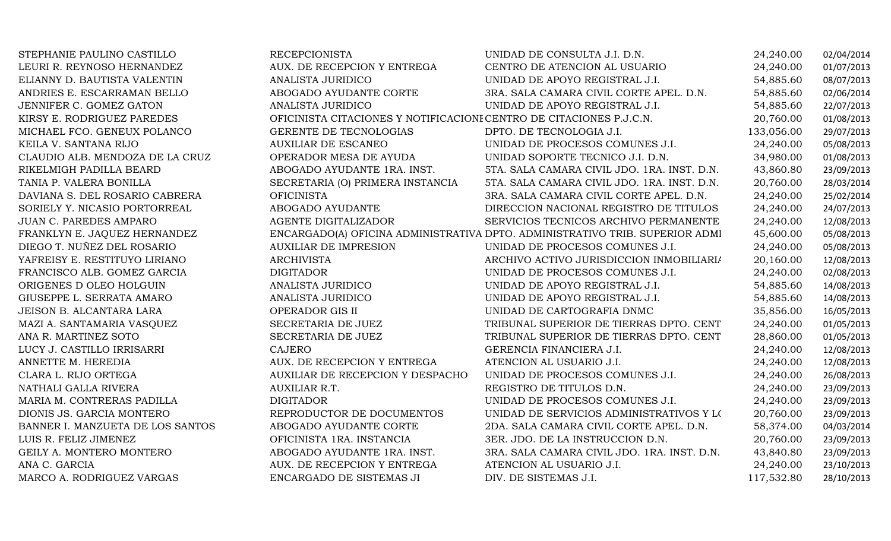| STEPHANIE PAULINO CASTILLO       | <b>RECEPCIONISTA</b>                                                | UNIDAD DE CONSULTA J.I. D.N.                                                 | 24,240.00  | 02/04/2014 |
|----------------------------------|---------------------------------------------------------------------|------------------------------------------------------------------------------|------------|------------|
| LEURI R. REYNOSO HERNANDEZ       | AUX. DE RECEPCION Y ENTREGA                                         | CENTRO DE ATENCION AL USUARIO                                                | 24,240.00  | 01/07/2013 |
| ELIANNY D. BAUTISTA VALENTIN     | <b>ANALISTA JURIDICO</b>                                            | UNIDAD DE APOYO REGISTRAL J.I.                                               | 54,885.60  | 08/07/2013 |
| ANDRIES E. ESCARRAMAN BELLO      | ABOGADO AYUDANTE CORTE                                              | 3RA. SALA CAMARA CIVIL CORTE APEL. D.N.                                      | 54,885.60  | 02/06/2014 |
| JENNIFER C. GOMEZ GATON          | ANALISTA JURIDICO                                                   | UNIDAD DE APOYO REGISTRAL J.I.                                               | 54,885.60  | 22/07/2013 |
| KIRSY E. RODRIGUEZ PAREDES       | OFICINISTA CITACIONES Y NOTIFICACIONI CENTRO DE CITACIONES P.J.C.N. |                                                                              | 20,760.00  | 01/08/2013 |
| MICHAEL FCO. GENEUX POLANCO      | GERENTE DE TECNOLOGIAS                                              | DPTO. DE TECNOLOGIA J.I.                                                     | 133,056.00 | 29/07/2013 |
| KEILA V. SANTANA RIJO            | <b>AUXILIAR DE ESCANEO</b>                                          | UNIDAD DE PROCESOS COMUNES J.I.                                              | 24,240.00  | 05/08/2013 |
| CLAUDIO ALB. MENDOZA DE LA CRUZ  | OPERADOR MESA DE AYUDA                                              | UNIDAD SOPORTE TECNICO J.I. D.N.                                             | 34,980.00  | 01/08/2013 |
| RIKELMIGH PADILLA BEARD          | ABOGADO AYUDANTE 1RA. INST.                                         | 5TA. SALA CAMARA CIVIL JDO. 1RA. INST. D.N.                                  | 43,860.80  | 23/09/2013 |
| TANIA P. VALERA BONILLA          | SECRETARIA (O) PRIMERA INSTANCIA                                    | 5TA. SALA CAMARA CIVIL JDO. 1RA. INST. D.N.                                  | 20,760.00  | 28/03/2014 |
| DAVIANA S. DEL ROSARIO CABRERA   | <b>OFICINISTA</b>                                                   | 3RA. SALA CAMARA CIVIL CORTE APEL. D.N.                                      | 24,240.00  | 25/02/2014 |
| SORIELY Y. NICASIO PORTORREAL    | ABOGADO AYUDANTE                                                    | DIRECCION NACIONAL REGISTRO DE TITULOS                                       | 24,240.00  | 24/07/2013 |
| <b>JUAN C. PAREDES AMPARO</b>    | AGENTE DIGITALIZADOR                                                | SERVICIOS TECNICOS ARCHIVO PERMANENTE                                        | 24,240.00  | 12/08/2013 |
| FRANKLYN E. JAQUEZ HERNANDEZ     |                                                                     | ENCARGADO(A) OFICINA ADMINISTRATIVA DPTO. ADMINISTRATIVO TRIB. SUPERIOR ADMI | 45,600.00  | 05/08/2013 |
| DIEGO T. NUÑEZ DEL ROSARIO       | <b>AUXILIAR DE IMPRESION</b>                                        | UNIDAD DE PROCESOS COMUNES J.I.                                              | 24,240.00  | 05/08/2013 |
| YAFREISY E. RESTITUYO LIRIANO    | <b>ARCHIVISTA</b>                                                   | ARCHIVO ACTIVO JURISDICCION INMOBILIARI/                                     | 20,160.00  | 12/08/2013 |
| FRANCISCO ALB. GOMEZ GARCIA      | <b>DIGITADOR</b>                                                    | UNIDAD DE PROCESOS COMUNES J.I.                                              | 24,240.00  | 02/08/2013 |
| ORIGENES D OLEO HOLGUIN          | ANALISTA JURIDICO                                                   | UNIDAD DE APOYO REGISTRAL J.I.                                               | 54,885.60  | 14/08/2013 |
| GIUSEPPE L. SERRATA AMARO        | ANALISTA JURIDICO                                                   | UNIDAD DE APOYO REGISTRAL J.I.                                               | 54,885.60  | 14/08/2013 |
| JEISON B. ALCANTARA LARA         | OPERADOR GIS II                                                     | UNIDAD DE CARTOGRAFIA DNMC                                                   | 35,856.00  | 16/05/2013 |
| MAZI A. SANTAMARIA VASQUEZ       | SECRETARIA DE JUEZ                                                  | TRIBUNAL SUPERIOR DE TIERRAS DPTO. CENT                                      | 24,240.00  | 01/05/2013 |
| ANA R. MARTINEZ SOTO             | SECRETARIA DE JUEZ                                                  | TRIBUNAL SUPERIOR DE TIERRAS DPTO. CENT                                      | 28,860.00  | 01/05/2013 |
| LUCY J. CASTILLO IRRISARRI       | <b>CAJERO</b>                                                       | GERENCIA FINANCIERA J.I.                                                     | 24,240.00  | 12/08/2013 |
| ANNETTE M. HEREDIA               | AUX. DE RECEPCION Y ENTREGA                                         | ATENCION AL USUARIO J.I.                                                     | 24,240.00  | 12/08/2013 |
| CLARA L. RIJO ORTEGA             | AUXILIAR DE RECEPCION Y DESPACHO                                    | UNIDAD DE PROCESOS COMUNES J.I.                                              | 24,240.00  | 26/08/2013 |
| NATHALI GALLA RIVERA             | AUXILIAR R.T.                                                       | REGISTRO DE TITULOS D.N.                                                     | 24,240.00  | 23/09/2013 |
| MARIA M. CONTRERAS PADILLA       | <b>DIGITADOR</b>                                                    | UNIDAD DE PROCESOS COMUNES J.I.                                              | 24,240.00  | 23/09/2013 |
| DIONIS JS. GARCIA MONTERO        | REPRODUCTOR DE DOCUMENTOS                                           | UNIDAD DE SERVICIOS ADMINISTRATIVOS Y LOS                                    | 20,760.00  | 23/09/2013 |
| BANNER I. MANZUETA DE LOS SANTOS | ABOGADO AYUDANTE CORTE                                              | 2DA. SALA CAMARA CIVIL CORTE APEL. D.N.                                      | 58,374.00  | 04/03/2014 |
| LUIS R. FELIZ JIMENEZ            | OFICINISTA 1RA. INSTANCIA                                           | 3ER. JDO. DE LA INSTRUCCION D.N.                                             | 20,760.00  | 23/09/2013 |
| GEILY A. MONTERO MONTERO         | ABOGADO AYUDANTE 1RA. INST.                                         | 3RA. SALA CAMARA CIVIL JDO. 1RA. INST. D.N.                                  | 43,840.80  | 23/09/2013 |
| ANA C. GARCIA                    | AUX. DE RECEPCION Y ENTREGA                                         | ATENCION AL USUARIO J.I.                                                     | 24,240.00  | 23/10/2013 |
| MARCO A. RODRIGUEZ VARGAS        | ENCARGADO DE SISTEMAS JI                                            | DIV. DE SISTEMAS J.I.                                                        | 117,532.80 | 28/10/2013 |
|                                  |                                                                     |                                                                              |            |            |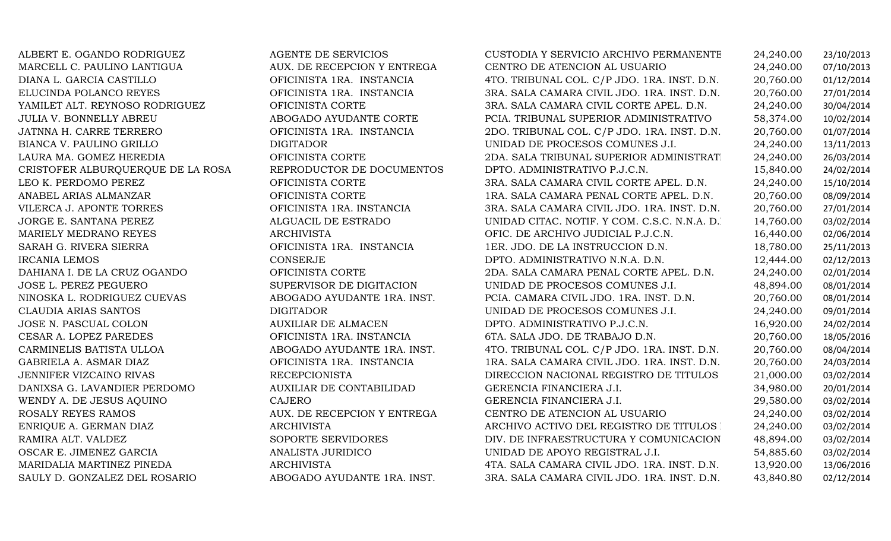JORGE E. SANTANA PEREZ ALGUACIL DE ESTRADOIRCANIA LEMOSWENDY A. DE JESUS AQUINO CAJERO

ALBERT E. OGANDO RODRIGUEZ AGENTE DE SERVICIOS CUSTODIA Y SERVICIO ARCHIVO PERMANENTE 24,240.00 23/10/2013 MARCELL C. PAULINO LANTIGUA AUX. DE RECEPCION Y ENTREGA CENTRO DE ATENCION AL USUARIO 24,240.00 07/10/2013 DIANA L. GARCIA CASTILLO OFICINISTA 1RA. INSTANCIA 4TO. TRIBUNAL COL. C/P JDO. 1RA. INST. D.N. 20,760.00 01/12/2014 ELUCINDA POLANCO REYES OFICINISTA 1RA. INSTANCIA 3RA. SALA CAMARA CIVIL JDO. 1RA. INST. D.N. 20,760.00 27/01/2014 YAMILET ALT. REYNOSO RODRIGUEZ OFICINISTA CORTE 3RA. SALA CAMARA CIVIL CORTE APEL. D.N. 24,240.00 30/04/2014 JULIA V. BONNELLY ABREU ABOGADO AYUDANTE CORTE PCIA. TRIBUNAL SUPERIOR ADMINISTRATIVO 58,374.00 10/02/2014 JATNNA H. CARRE TERRERO OFICINISTA 1RA. INSTANCIA 2DO. TRIBUNAL COL. C/P JDO. 1RA. INST. D.N. 20,760.00 01/07/2014 BIANCA V. PAULINO GRILLO DIGITADOR UNIDAD DE PROCESOS COMUNES J.I. 24,240.00 13/11/2013 OFICINISTA CORTE 2DA. SALA TRIBUNAL SUPERIOR ADMINISTRATIVO POR ADMINISTRATIVO POR ADMINISTRATIVO POR ADMINISTRATIVO POR ADMINISTRATIVO POR ADMINISTRATIVO POR ADMINISTRATIVO POR ADMINISTRATIVO POR ADMINISTRATIVO POR ADMINI 24,240.00 26/03/2014<br>15.840.00 24/02/2014 CRISTOFER ALBURQUERQUE DE LA ROSA REPRODUCTOR DE DOCUMENTOS DPTO. ADMINISTRATIVO P.J.C.N. 15,840.00 24/02/2014<br>OFICINISTA CORTE 3RA. SALA CAMARA CIVIL CORTE APEL. D.N. 24,240.00 15/10/2014 LEO K. PERDOMO PEREZ OFICINISTA CORTE 3RA. SALA CAMARA CIVIL CORTE APEL. D.N. 24,240.00 15/10/2014 ANABEL ARIAS ALMANZAR OFICINISTA CORTE 1RA. SALA CAMARA PENAL CORTE APEL. D.N. 20,760.00 08/09/2014 VILERCA J. APONTE TORRES OFICINISTA 1RA. INSTANCIA 3RA. SALA CAMARA CIVIL JDO. 1RA. INST. D.N. 20,760.00 27/01/2014 UNIDAD CITAC. NOTIF. Y COM. C.S.C. N.N.A. D.<br>OFIC. DE ARCHIVO JUDICIAL P.J.C.N. 16,440.00 02/06/2014 MARIELY MEDRANO REYES ARCHIVISTA OFIC. DE ARCHIVO JUDICIAL P.J.C.N. 16,440.00 02/06/2014 SARAH G. RIVERA SIERRA OFICINISTA 1RA. INSTANCIA 1ER. JDO. DE LA INSTRUCCION D.N. 18,780.00 25/11/2013 CONSERJE DPTO. ADMINISTRATIVO N.N.A. D.N. 12,444.00 02/12/2013 DAHIANA I. DE LA CRUZ OGANDO OFICINISTA CORTE 2DA. SALA CAMARA PENAL CORTE APEL. D.N. 24,240.00 02/01/2014 JOSE L. PEREZ PEGUERO SUPERVISOR DE DIGITACION UNIDAD DE PROCESOS COMUNES J.I. 48,894.00 08/01/2014 NINOSKA L. RODRIGUEZ CUEVAS ABOGADO AYUDANTE 1RA. INST. PCIA. CAMARA CIVIL JDO. 1RA. INST. D.N. 20,760.00 08/01/2014 CLAUDIA ARIAS SANTOS DIGITADOR UNIDAD DE PROCESOS COMUNES J.I. 24,240.00 09/01/2014 JOSE N. PASCUAL COLON AUXILIAR DE ALMACEN DPTO. ADMINISTRATIVO P.J.C.N. 16,920.00 24/02/2014 CESAR A. LOPEZ PAREDES OFICINISTA 1RA. INSTANCIA 6TA. SALA JDO. DE TRABAJO D.N. 20,760.00 18/05/2016 CARMINELIS BATISTA ULLOA ABOGADO AYUDANTE 1RA. INST. 4TO. TRIBUNAL COL. C/P JDO. 1RA. INST. D.N. 20,760.00 08/04/2014 GABRIELA A. ASMAR DIAZ OFICINISTA 1RA. INSTANCIA 1RA. SALA CAMARA CIVIL JDO. 1RA. INST. D.N. 20,760.00 24/03/2014 JENNIFER VIZCAINO RIVAS RECEPCIONISTA DIRECCION NACIONAL REGISTRO DE TITULOS 21,000.00 03/02/2014 DANIXSA G. LAVANDIER PERDOMO AUXILIAR DE CONTABILIDAD GERENCIA FINANCIERA J.I. 34,980.00 20/01/2014 GERENCIA FINANCIERA J.I. 29,580.00 03/02/2014<br>CENTRO DE ATENCION AL USUARIO 24,240.00 03/02/2014 ROSALY REYES RAMOS AUX. DE RECEPCION Y ENTREGA CENTRO DE ATENCION AL USUARIO 24,240.00 03/02/2014 ENRIQUE A. GERMAN DIAZ ARCHIVISTA ARCHIVO ACTIVO DEL REGISTRO DE TITULOS D.N. 24,240.00 03/02/2014 RAMIRA ALT. VALDEZ SOPORTE SERVIDORES DIV. DE INFRAESTRUCTURA Y COMUNICACIONES J.I.48,894.00 03/02/2014 OSCAR E. JIMENEZ GARCIA ANALISTA JURIDICO UNIDAD DE APOYO REGISTRAL J.I. 54,885.60 03/02/2014 MARIDALIA MARTINEZ PINEDA ARCHIVISTA 4TA. SALA CAMARA CIVIL JDO. 1RA. INST. D.N. 13,920.00 13/06/2016 3RA. SALA CAMARA CIVIL JDO. 1RA. INST. D.N.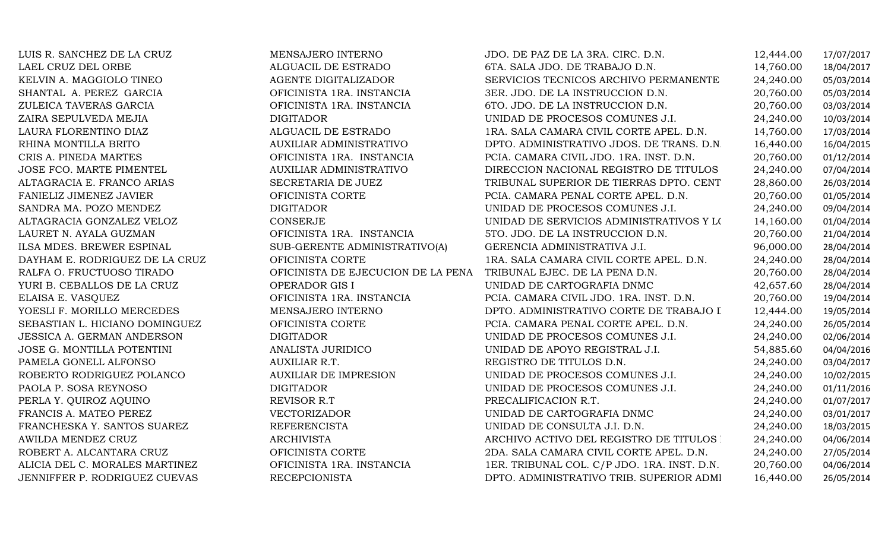| LUIS R. SANCHEZ DE LA CRUZ     | MENSAJERO INTERNO                  | JDO. DE PAZ DE LA 3RA. CIRC. D.N.           | 12,444.00 | 17/07/2017 |
|--------------------------------|------------------------------------|---------------------------------------------|-----------|------------|
| LAEL CRUZ DEL ORBE             | ALGUACIL DE ESTRADO                | 6TA. SALA JDO. DE TRABAJO D.N.              | 14,760.00 | 18/04/2017 |
| KELVIN A. MAGGIOLO TINEO       | AGENTE DIGITALIZADOR               | SERVICIOS TECNICOS ARCHIVO PERMANENTE       | 24,240.00 | 05/03/2014 |
| SHANTAL A. PEREZ GARCIA        | OFICINISTA 1RA. INSTANCIA          | 3ER. JDO. DE LA INSTRUCCION D.N.            | 20,760.00 | 05/03/2014 |
| ZULEICA TAVERAS GARCIA         | OFICINISTA 1RA. INSTANCIA          | 6TO. JDO. DE LA INSTRUCCION D.N.            | 20,760.00 | 03/03/2014 |
| ZAIRA SEPULVEDA MEJIA          | <b>DIGITADOR</b>                   | UNIDAD DE PROCESOS COMUNES J.I.             | 24,240.00 | 10/03/2014 |
| LAURA FLORENTINO DIAZ          | ALGUACIL DE ESTRADO                | 1RA. SALA CAMARA CIVIL CORTE APEL. D.N.     | 14,760.00 | 17/03/2014 |
| RHINA MONTILLA BRITO           | <b>AUXILIAR ADMINISTRATIVO</b>     | DPTO. ADMINISTRATIVO JDOS. DE TRANS. D.N.   | 16,440.00 | 16/04/2015 |
| CRIS A. PINEDA MARTES          | OFICINISTA 1RA. INSTANCIA          | PCIA. CAMARA CIVIL JDO. 1RA. INST. D.N.     | 20,760.00 | 01/12/2014 |
| JOSE FCO. MARTE PIMENTEL       | <b>AUXILIAR ADMINISTRATIVO</b>     | DIRECCION NACIONAL REGISTRO DE TITULOS      | 24,240.00 | 07/04/2014 |
| ALTAGRACIA E. FRANCO ARIAS     | SECRETARIA DE JUEZ                 | TRIBUNAL SUPERIOR DE TIERRAS DPTO. CENT     | 28,860.00 | 26/03/2014 |
| FANIELIZ JIMENEZ JAVIER        | OFICINISTA CORTE                   | PCIA. CAMARA PENAL CORTE APEL. D.N.         | 20,760.00 | 01/05/2014 |
| SANDRA MA. POZO MENDEZ         | <b>DIGITADOR</b>                   | UNIDAD DE PROCESOS COMUNES J.I.             | 24,240.00 | 09/04/2014 |
| ALTAGRACIA GONZALEZ VELOZ      | CONSERJE                           | UNIDAD DE SERVICIOS ADMINISTRATIVOS Y LOS   | 14,160.00 | 01/04/2014 |
| LAURET N. AYALA GUZMAN         | OFICINISTA 1RA. INSTANCIA          | 5TO. JDO. DE LA INSTRUCCION D.N.            | 20,760.00 | 21/04/2014 |
| ILSA MDES. BREWER ESPINAL      | SUB-GERENTE ADMINISTRATIVO(A)      | GERENCIA ADMINISTRATIVA J.I.                | 96,000.00 | 28/04/2014 |
| DAYHAM E. RODRIGUEZ DE LA CRUZ | OFICINISTA CORTE                   | 1RA. SALA CAMARA CIVIL CORTE APEL. D.N.     | 24,240.00 | 28/04/2014 |
| RALFA O. FRUCTUOSO TIRADO      | OFICINISTA DE EJECUCION DE LA PENA | TRIBUNAL EJEC. DE LA PENA D.N.              | 20,760.00 | 28/04/2014 |
| YURI B. CEBALLOS DE LA CRUZ    | OPERADOR GIS I                     | UNIDAD DE CARTOGRAFIA DNMC                  | 42,657.60 | 28/04/2014 |
| ELAISA E. VASQUEZ              | OFICINISTA 1RA. INSTANCIA          | PCIA. CAMARA CIVIL JDO. 1RA. INST. D.N.     | 20,760.00 | 19/04/2014 |
| YOESLI F. MORILLO MERCEDES     | MENSAJERO INTERNO                  | DPTO. ADMINISTRATIVO CORTE DE TRABAJO I     | 12,444.00 | 19/05/2014 |
| SEBASTIAN L. HICIANO DOMINGUEZ | OFICINISTA CORTE                   | PCIA. CAMARA PENAL CORTE APEL. D.N.         | 24,240.00 | 26/05/2014 |
| JESSICA A. GERMAN ANDERSON     | <b>DIGITADOR</b>                   | UNIDAD DE PROCESOS COMUNES J.I.             | 24,240.00 | 02/06/2014 |
| JOSE G. MONTILLA POTENTINI     | ANALISTA JURIDICO                  | UNIDAD DE APOYO REGISTRAL J.I.              | 54,885.60 | 04/04/2016 |
| PAMELA GONELL ALFONSO          | AUXILIAR R.T.                      | REGISTRO DE TITULOS D.N.                    | 24,240.00 | 03/04/2017 |
| ROBERTO RODRIGUEZ POLANCO      | <b>AUXILIAR DE IMPRESION</b>       | UNIDAD DE PROCESOS COMUNES J.I.             | 24,240.00 | 10/02/2015 |
| PAOLA P. SOSA REYNOSO          | <b>DIGITADOR</b>                   | UNIDAD DE PROCESOS COMUNES J.I.             | 24,240.00 | 01/11/2016 |
| PERLA Y. QUIROZ AQUINO         | REVISOR R.T                        | PRECALIFICACION R.T.                        | 24,240.00 | 01/07/2017 |
| FRANCIS A. MATEO PEREZ         | <b>VECTORIZADOR</b>                | UNIDAD DE CARTOGRAFIA DNMC                  | 24,240.00 | 03/01/2017 |
| FRANCHESKA Y. SANTOS SUAREZ    | <b>REFERENCISTA</b>                | UNIDAD DE CONSULTA J.I. D.N.                | 24,240.00 | 18/03/2015 |
| AWILDA MENDEZ CRUZ             | <b>ARCHIVISTA</b>                  | ARCHIVO ACTIVO DEL REGISTRO DE TITULOS      | 24,240.00 | 04/06/2014 |
| ROBERT A. ALCANTARA CRUZ       | OFICINISTA CORTE                   | 2DA. SALA CAMARA CIVIL CORTE APEL. D.N.     | 24,240.00 | 27/05/2014 |
| ALICIA DEL C. MORALES MARTINEZ | OFICINISTA 1RA. INSTANCIA          | 1ER. TRIBUNAL COL. C/P JDO. 1RA. INST. D.N. | 20,760.00 | 04/06/2014 |
| JENNIFFER P. RODRIGUEZ CUEVAS  | <b>RECEPCIONISTA</b>               | DPTO. ADMINISTRATIVO TRIB. SUPERIOR ADMI    | 16,440.00 | 26/05/2014 |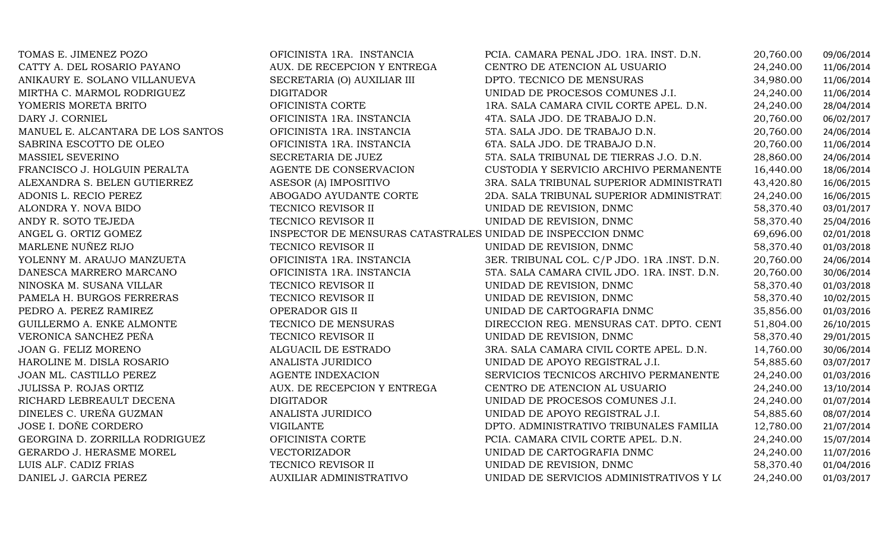| TOMAS E. JIMENEZ POZO             | OFICINISTA 1RA. INSTANCIA                                   | PCIA. CAMARA PENAL JDO. 1RA. INST. D.N.     | 20,760.00 | 09/06/2014 |
|-----------------------------------|-------------------------------------------------------------|---------------------------------------------|-----------|------------|
| CATTY A. DEL ROSARIO PAYANO       | AUX. DE RECEPCION Y ENTREGA                                 | CENTRO DE ATENCION AL USUARIO               | 24,240.00 | 11/06/2014 |
| ANIKAURY E. SOLANO VILLANUEVA     | SECRETARIA (O) AUXILIAR III                                 | DPTO. TECNICO DE MENSURAS                   | 34,980.00 | 11/06/2014 |
| MIRTHA C. MARMOL RODRIGUEZ        | <b>DIGITADOR</b>                                            | UNIDAD DE PROCESOS COMUNES J.I.             | 24,240.00 | 11/06/2014 |
| YOMERIS MORETA BRITO              | OFICINISTA CORTE                                            | 1RA. SALA CAMARA CIVIL CORTE APEL. D.N.     | 24,240.00 | 28/04/2014 |
| DARY J. CORNIEL                   | OFICINISTA 1RA. INSTANCIA                                   | 4TA. SALA JDO. DE TRABAJO D.N.              | 20,760.00 | 06/02/2017 |
| MANUEL E. ALCANTARA DE LOS SANTOS | OFICINISTA 1RA. INSTANCIA                                   | 5TA. SALA JDO. DE TRABAJO D.N.              | 20,760.00 | 24/06/2014 |
| SABRINA ESCOTTO DE OLEO           | OFICINISTA 1RA. INSTANCIA                                   | 6TA. SALA JDO. DE TRABAJO D.N.              | 20,760.00 | 11/06/2014 |
| MASSIEL SEVERINO                  | SECRETARIA DE JUEZ                                          | 5TA. SALA TRIBUNAL DE TIERRAS J.O. D.N.     | 28,860.00 | 24/06/2014 |
| FRANCISCO J. HOLGUIN PERALTA      | AGENTE DE CONSERVACION                                      | CUSTODIA Y SERVICIO ARCHIVO PERMANENTE      | 16,440.00 | 18/06/2014 |
| ALEXANDRA S. BELEN GUTIERREZ      | ASESOR (A) IMPOSITIVO                                       | 3RA. SALA TRIBUNAL SUPERIOR ADMINISTRATI    | 43,420.80 | 16/06/2015 |
| ADONIS L. RECIO PEREZ             | ABOGADO AYUDANTE CORTE                                      | 2DA. SALA TRIBUNAL SUPERIOR ADMINISTRAT.    | 24,240.00 | 16/06/2015 |
| ALONDRA Y. NOVA BIDO              | TECNICO REVISOR II                                          | UNIDAD DE REVISION, DNMC                    | 58,370.40 | 03/01/2017 |
| ANDY R. SOTO TEJEDA               | TECNICO REVISOR II                                          | UNIDAD DE REVISION, DNMC                    | 58,370.40 | 25/04/2016 |
| ANGEL G. ORTIZ GOMEZ              | INSPECTOR DE MENSURAS CATASTRALES UNIDAD DE INSPECCION DNMC |                                             | 69,696.00 | 02/01/2018 |
| MARLENE NUÑEZ RIJO                | TECNICO REVISOR II                                          | UNIDAD DE REVISION, DNMC                    | 58,370.40 | 01/03/2018 |
| YOLENNY M. ARAUJO MANZUETA        | OFICINISTA 1RA. INSTANCIA                                   | 3ER. TRIBUNAL COL. C/P JDO. 1RA .INST. D.N. | 20,760.00 | 24/06/2014 |
| DANESCA MARRERO MARCANO           | OFICINISTA 1RA. INSTANCIA                                   | 5TA. SALA CAMARA CIVIL JDO. 1RA. INST. D.N. | 20,760.00 | 30/06/2014 |
| NINOSKA M. SUSANA VILLAR          | TECNICO REVISOR II                                          | UNIDAD DE REVISION, DNMC                    | 58,370.40 | 01/03/2018 |
| PAMELA H. BURGOS FERRERAS         | TECNICO REVISOR II                                          | UNIDAD DE REVISION, DNMC                    | 58,370.40 | 10/02/2015 |
| PEDRO A. PEREZ RAMIREZ            | OPERADOR GIS II                                             | UNIDAD DE CARTOGRAFIA DNMC                  | 35,856.00 | 01/03/2016 |
| GUILLERMO A. ENKE ALMONTE         | TECNICO DE MENSURAS                                         | DIRECCION REG. MENSURAS CAT. DPTO. CENT     | 51,804.00 | 26/10/2015 |
| VERONICA SANCHEZ PEÑA             | TECNICO REVISOR II                                          | UNIDAD DE REVISION, DNMC                    | 58,370.40 | 29/01/2015 |
| JOAN G. FELIZ MORENO              | ALGUACIL DE ESTRADO                                         | 3RA. SALA CAMARA CIVIL CORTE APEL. D.N.     | 14,760.00 | 30/06/2014 |
| HAROLINE M. DISLA ROSARIO         | ANALISTA JURIDICO                                           | UNIDAD DE APOYO REGISTRAL J.I.              | 54,885.60 | 03/07/2017 |
| JOAN ML. CASTILLO PEREZ           | <b>AGENTE INDEXACION</b>                                    | SERVICIOS TECNICOS ARCHIVO PERMANENTE       | 24,240.00 | 01/03/2016 |
| JULISSA P. ROJAS ORTIZ            | AUX. DE RECEPCION Y ENTREGA                                 | CENTRO DE ATENCION AL USUARIO               | 24,240.00 | 13/10/2014 |
| RICHARD LEBREAULT DECENA          | <b>DIGITADOR</b>                                            | UNIDAD DE PROCESOS COMUNES J.I.             | 24,240.00 | 01/07/2014 |
| DINELES C. UREÑA GUZMAN           | ANALISTA JURIDICO                                           | UNIDAD DE APOYO REGISTRAL J.I.              | 54,885.60 | 08/07/2014 |
| JOSE I. DOÑE CORDERO              | <b>VIGILANTE</b>                                            | DPTO. ADMINISTRATIVO TRIBUNALES FAMILIA     | 12,780.00 | 21/07/2014 |
| GEORGINA D. ZORRILLA RODRIGUEZ    | OFICINISTA CORTE                                            | PCIA. CAMARA CIVIL CORTE APEL. D.N.         | 24,240.00 | 15/07/2014 |
| GERARDO J. HERASME MOREL          | <b>VECTORIZADOR</b>                                         | UNIDAD DE CARTOGRAFIA DNMC                  | 24,240.00 | 11/07/2016 |
| LUIS ALF. CADIZ FRIAS             | TECNICO REVISOR II                                          | UNIDAD DE REVISION, DNMC                    | 58,370.40 | 01/04/2016 |
| DANIEL J. GARCIA PEREZ            | <b>AUXILIAR ADMINISTRATIVO</b>                              | UNIDAD DE SERVICIOS ADMINISTRATIVOS Y LOS   | 24,240.00 | 01/03/2017 |
|                                   |                                                             |                                             |           |            |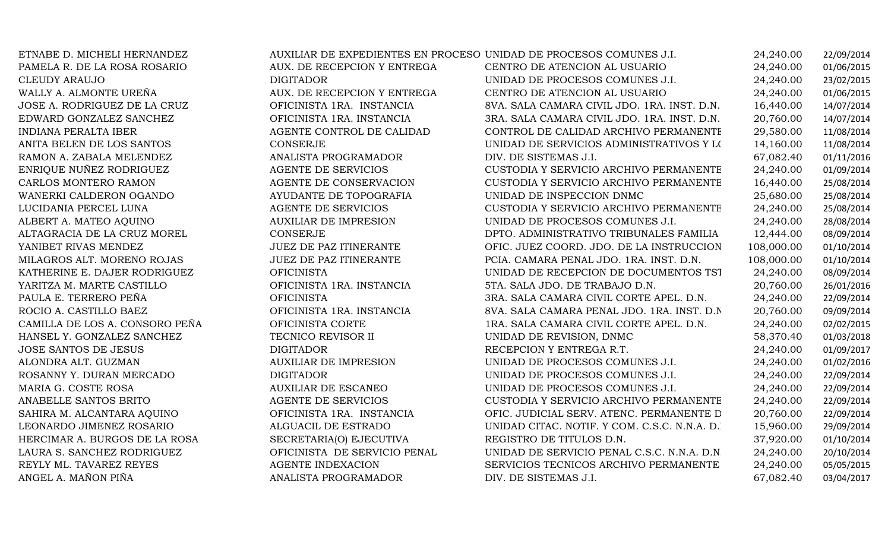| ETNABE D. MICHELI HERNANDEZ    | AUXILIAR DE EXPEDIENTES EN PROCESO UNIDAD DE PROCESOS COMUNES J.I. |                                              | 24,240.00  | 22/09/2014 |
|--------------------------------|--------------------------------------------------------------------|----------------------------------------------|------------|------------|
| PAMELA R. DE LA ROSA ROSARIO   | AUX. DE RECEPCION Y ENTREGA                                        | CENTRO DE ATENCION AL USUARIO                | 24,240.00  | 01/06/2015 |
| <b>CLEUDY ARAUJO</b>           | <b>DIGITADOR</b>                                                   | UNIDAD DE PROCESOS COMUNES J.I.              | 24,240.00  | 23/02/2015 |
| WALLY A. ALMONTE UREÑA         | AUX. DE RECEPCION Y ENTREGA                                        | CENTRO DE ATENCION AL USUARIO                | 24,240.00  | 01/06/2015 |
| JOSE A. RODRIGUEZ DE LA CRUZ   | OFICINISTA 1RA. INSTANCIA                                          | 8VA. SALA CAMARA CIVIL JDO. 1RA. INST. D.N.  | 16,440.00  | 14/07/2014 |
| EDWARD GONZALEZ SANCHEZ        | OFICINISTA 1RA. INSTANCIA                                          | 3RA. SALA CAMARA CIVIL JDO. 1RA. INST. D.N.  | 20,760.00  | 14/07/2014 |
| <b>INDIANA PERALTA IBER</b>    | AGENTE CONTROL DE CALIDAD                                          | CONTROL DE CALIDAD ARCHIVO PERMANENTE        | 29,580.00  | 11/08/2014 |
| ANITA BELEN DE LOS SANTOS      | <b>CONSERJE</b>                                                    | UNIDAD DE SERVICIOS ADMINISTRATIVOS Y LOS    | 14,160.00  | 11/08/2014 |
| RAMON A. ZABALA MELENDEZ       | ANALISTA PROGRAMADOR                                               | DIV. DE SISTEMAS J.I.                        | 67,082.40  | 01/11/2016 |
| ENRIQUE NUÑEZ RODRIGUEZ        | AGENTE DE SERVICIOS                                                | CUSTODIA Y SERVICIO ARCHIVO PERMANENTE       | 24,240.00  | 01/09/2014 |
| CARLOS MONTERO RAMON           | AGENTE DE CONSERVACION                                             | CUSTODIA Y SERVICIO ARCHIVO PERMANENTE       | 16,440.00  | 25/08/2014 |
| WANERKI CALDERON OGANDO        | AYUDANTE DE TOPOGRAFIA                                             | UNIDAD DE INSPECCION DNMC                    | 25,680.00  | 25/08/2014 |
| LUCIDANIA PERCEL LUNA          | AGENTE DE SERVICIOS                                                | CUSTODIA Y SERVICIO ARCHIVO PERMANENTE       | 24,240.00  | 25/08/2014 |
| ALBERT A. MATEO AQUINO         | <b>AUXILIAR DE IMPRESION</b>                                       | UNIDAD DE PROCESOS COMUNES J.I.              | 24,240.00  | 28/08/2014 |
| ALTAGRACIA DE LA CRUZ MOREL    | <b>CONSERJE</b>                                                    | DPTO. ADMINISTRATIVO TRIBUNALES FAMILIA      | 12,444.00  | 08/09/2014 |
| YANIBET RIVAS MENDEZ           | JUEZ DE PAZ ITINERANTE                                             | OFIC. JUEZ COORD. JDO. DE LA INSTRUCCION     | 108,000.00 | 01/10/2014 |
| MILAGROS ALT. MORENO ROJAS     | <b>JUEZ DE PAZ ITINERANTE</b>                                      | PCIA. CAMARA PENAL JDO. 1RA. INST. D.N.      | 108,000.00 | 01/10/2014 |
| KATHERINE E. DAJER RODRIGUEZ   | <b>OFICINISTA</b>                                                  | UNIDAD DE RECEPCION DE DOCUMENTOS TST        | 24,240.00  | 08/09/2014 |
| YARITZA M. MARTE CASTILLO      | OFICINISTA 1RA. INSTANCIA                                          | 5TA. SALA JDO. DE TRABAJO D.N.               | 20,760.00  | 26/01/2016 |
| PAULA E. TERRERO PEÑA          | <b>OFICINISTA</b>                                                  | 3RA. SALA CAMARA CIVIL CORTE APEL. D.N.      | 24,240.00  | 22/09/2014 |
| ROCIO A. CASTILLO BAEZ         | OFICINISTA 1RA. INSTANCIA                                          | 8VA. SALA CAMARA PENAL JDO. 1RA. INST. D.N.  | 20,760.00  | 09/09/2014 |
| CAMILLA DE LOS A. CONSORO PEÑA | OFICINISTA CORTE                                                   | 1RA. SALA CAMARA CIVIL CORTE APEL. D.N.      | 24,240.00  | 02/02/2015 |
| HANSEL Y. GONZALEZ SANCHEZ     | TECNICO REVISOR II                                                 | UNIDAD DE REVISION, DNMC                     | 58,370.40  | 01/03/2018 |
| <b>JOSE SANTOS DE JESUS</b>    | <b>DIGITADOR</b>                                                   | RECEPCION Y ENTREGA R.T.                     | 24,240.00  | 01/09/2017 |
| ALONDRA ALT. GUZMAN            | <b>AUXILIAR DE IMPRESION</b>                                       | UNIDAD DE PROCESOS COMUNES J.I.              | 24,240.00  | 01/02/2016 |
| ROSANNY Y. DURAN MERCADO       | <b>DIGITADOR</b>                                                   | UNIDAD DE PROCESOS COMUNES J.I.              | 24,240.00  | 22/09/2014 |
| MARIA G. COSTE ROSA            | <b>AUXILIAR DE ESCANEO</b>                                         | UNIDAD DE PROCESOS COMUNES J.I.              | 24,240.00  | 22/09/2014 |
| ANABELLE SANTOS BRITO          | AGENTE DE SERVICIOS                                                | CUSTODIA Y SERVICIO ARCHIVO PERMANENTE       | 24,240.00  | 22/09/2014 |
| SAHIRA M. ALCANTARA AQUINO     | OFICINISTA 1RA. INSTANCIA                                          | OFIC. JUDICIAL SERV. ATENC. PERMANENTE D     | 20,760.00  | 22/09/2014 |
| LEONARDO JIMENEZ ROSARIO       | ALGUACIL DE ESTRADO                                                | UNIDAD CITAC. NOTIF. Y COM. C.S.C. N.N.A. D. | 15,960.00  | 29/09/2014 |
| HERCIMAR A. BURGOS DE LA ROSA  | SECRETARIA(O) EJECUTIVA                                            | REGISTRO DE TITULOS D.N.                     | 37,920.00  | 01/10/2014 |
| LAURA S. SANCHEZ RODRIGUEZ     | OFICINISTA DE SERVICIO PENAL                                       | UNIDAD DE SERVICIO PENAL C.S.C. N.N.A. D.N   | 24,240.00  | 20/10/2014 |
| REYLY ML. TAVAREZ REYES        | AGENTE INDEXACION                                                  | SERVICIOS TECNICOS ARCHIVO PERMANENTE        | 24,240.00  | 05/05/2015 |
| ANGEL A. MAÑON PIÑA            | ANALISTA PROGRAMADOR                                               | DIV. DE SISTEMAS J.I.                        | 67,082.40  | 03/04/2017 |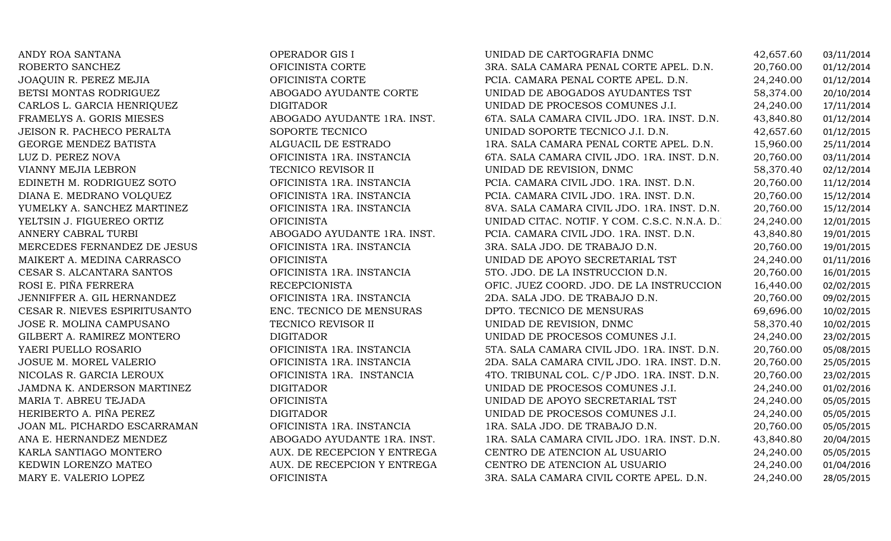| ANDY ROA SANTANA              | OPERADOR GIS I              | UNIDAD DE CARTOGRAFIA DNMC                   | 42,657.60 | 03/11/2014 |
|-------------------------------|-----------------------------|----------------------------------------------|-----------|------------|
| ROBERTO SANCHEZ               | OFICINISTA CORTE            | 3RA. SALA CAMARA PENAL CORTE APEL. D.N.      | 20,760.00 | 01/12/2014 |
| JOAQUIN R. PEREZ MEJIA        | OFICINISTA CORTE            | PCIA. CAMARA PENAL CORTE APEL. D.N.          | 24,240.00 | 01/12/2014 |
| BETSI MONTAS RODRIGUEZ        | ABOGADO AYUDANTE CORTE      | UNIDAD DE ABOGADOS AYUDANTES TST             | 58,374.00 | 20/10/2014 |
| CARLOS L. GARCIA HENRIQUEZ    | <b>DIGITADOR</b>            | UNIDAD DE PROCESOS COMUNES J.I.              | 24,240.00 | 17/11/2014 |
| FRAMELYS A. GORIS MIESES      | ABOGADO AYUDANTE 1RA. INST. | 6TA. SALA CAMARA CIVIL JDO. 1RA. INST. D.N.  | 43,840.80 | 01/12/2014 |
| JEISON R. PACHECO PERALTA     | SOPORTE TECNICO             | UNIDAD SOPORTE TECNICO J.I. D.N.             | 42,657.60 | 01/12/2015 |
| GEORGE MENDEZ BATISTA         | ALGUACIL DE ESTRADO         | 1RA. SALA CAMARA PENAL CORTE APEL. D.N.      | 15,960.00 | 25/11/2014 |
| LUZ D. PEREZ NOVA             | OFICINISTA 1RA. INSTANCIA   | 6TA. SALA CAMARA CIVIL JDO. 1RA. INST. D.N.  | 20,760.00 | 03/11/2014 |
| VIANNY MEJIA LEBRON           | TECNICO REVISOR II          | UNIDAD DE REVISION, DNMC                     | 58,370.40 | 02/12/2014 |
| EDINETH M. RODRIGUEZ SOTO     | OFICINISTA 1RA. INSTANCIA   | PCIA. CAMARA CIVIL JDO. 1RA. INST. D.N.      | 20,760.00 | 11/12/2014 |
| DIANA E. MEDRANO VOLQUEZ      | OFICINISTA 1RA. INSTANCIA   | PCIA. CAMARA CIVIL JDO. 1RA. INST. D.N.      | 20,760.00 | 15/12/2014 |
| YUMELKY A. SANCHEZ MARTINEZ   | OFICINISTA 1RA. INSTANCIA   | 8VA. SALA CAMARA CIVIL JDO. 1RA. INST. D.N.  | 20,760.00 | 15/12/2014 |
| YELTSIN J. FIGUEREO ORTIZ     | <b>OFICINISTA</b>           | UNIDAD CITAC. NOTIF. Y COM. C.S.C. N.N.A. D. | 24,240.00 | 12/01/2015 |
| ANNERY CABRAL TURBI           | ABOGADO AYUDANTE 1RA. INST. | PCIA. CAMARA CIVIL JDO. 1RA. INST. D.N.      | 43,840.80 | 19/01/2015 |
| MERCEDES FERNANDEZ DE JESUS   | OFICINISTA 1RA. INSTANCIA   | 3RA. SALA JDO. DE TRABAJO D.N.               | 20,760.00 | 19/01/2015 |
| MAIKERT A. MEDINA CARRASCO    | <b>OFICINISTA</b>           | UNIDAD DE APOYO SECRETARIAL TST              | 24,240.00 | 01/11/2016 |
| CESAR S. ALCANTARA SANTOS     | OFICINISTA 1RA. INSTANCIA   | 5TO. JDO. DE LA INSTRUCCION D.N.             | 20,760.00 | 16/01/2015 |
| ROSI E. PIÑA FERRERA          | <b>RECEPCIONISTA</b>        | OFIC. JUEZ COORD. JDO. DE LA INSTRUCCION     | 16,440.00 | 02/02/2015 |
| JENNIFFER A. GIL HERNANDEZ    | OFICINISTA 1RA. INSTANCIA   | 2DA. SALA JDO. DE TRABAJO D.N.               | 20,760.00 | 09/02/2015 |
| CESAR R. NIEVES ESPIRITUSANTO | ENC. TECNICO DE MENSURAS    | DPTO. TECNICO DE MENSURAS                    | 69,696.00 | 10/02/2015 |
| JOSE R. MOLINA CAMPUSANO      | TECNICO REVISOR II          | UNIDAD DE REVISION, DNMC                     | 58,370.40 | 10/02/2015 |
| GILBERT A. RAMIREZ MONTERO    | <b>DIGITADOR</b>            | UNIDAD DE PROCESOS COMUNES J.I.              | 24,240.00 | 23/02/2015 |
| YAERI PUELLO ROSARIO          | OFICINISTA 1RA. INSTANCIA   | 5TA. SALA CAMARA CIVIL JDO. 1RA. INST. D.N.  | 20,760.00 | 05/08/2015 |
| JOSUE M. MOREL VALERIO        | OFICINISTA 1RA. INSTANCIA   | 2DA. SALA CAMARA CIVIL JDO. 1RA. INST. D.N.  | 20,760.00 | 25/05/2015 |
| NICOLAS R. GARCIA LEROUX      | OFICINISTA 1RA. INSTANCIA   | 4TO. TRIBUNAL COL. C/P JDO. 1RA. INST. D.N.  | 20,760.00 | 23/02/2015 |
| JAMDNA K. ANDERSON MARTINEZ   | <b>DIGITADOR</b>            | UNIDAD DE PROCESOS COMUNES J.I.              | 24,240.00 | 01/02/2016 |
| MARIA T. ABREU TEJADA         | <b>OFICINISTA</b>           | UNIDAD DE APOYO SECRETARIAL TST              | 24,240.00 | 05/05/2015 |
| HERIBERTO A. PIÑA PEREZ       | <b>DIGITADOR</b>            | UNIDAD DE PROCESOS COMUNES J.I.              | 24,240.00 | 05/05/2015 |
| JOAN ML. PICHARDO ESCARRAMAN  | OFICINISTA 1RA. INSTANCIA   | 1RA. SALA JDO. DE TRABAJO D.N.               | 20,760.00 | 05/05/2015 |
| ANA E. HERNANDEZ MENDEZ       | ABOGADO AYUDANTE 1RA. INST. | 1RA. SALA CAMARA CIVIL JDO. 1RA. INST. D.N.  | 43,840.80 | 20/04/2015 |
| KARLA SANTIAGO MONTERO        | AUX. DE RECEPCION Y ENTREGA | CENTRO DE ATENCION AL USUARIO                | 24,240.00 | 05/05/2015 |
| KEDWIN LORENZO MATEO          | AUX. DE RECEPCION Y ENTREGA | CENTRO DE ATENCION AL USUARIO                | 24,240.00 | 01/04/2016 |
| MARY E. VALERIO LOPEZ         | <b>OFICINISTA</b>           | 3RA. SALA CAMARA CIVIL CORTE APEL. D.N.      | 24,240.00 | 28/05/2015 |
|                               |                             |                                              |           |            |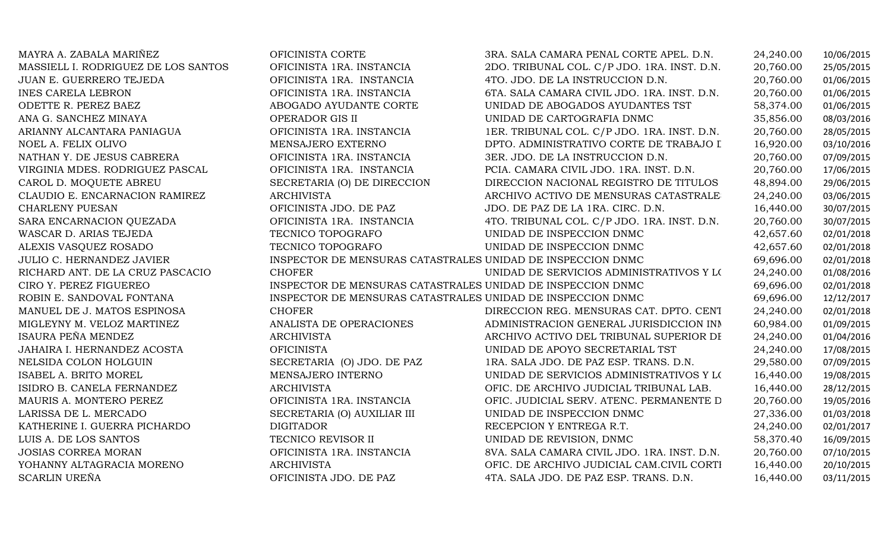| MAYRA A. ZABALA MARIÑEZ             | OFICINISTA CORTE                                            | 3RA. SALA CAMARA PENAL CORTE APEL. D.N.     | 24,240.00 | 10/06/2015 |
|-------------------------------------|-------------------------------------------------------------|---------------------------------------------|-----------|------------|
| MASSIELL I. RODRIGUEZ DE LOS SANTOS | OFICINISTA 1RA. INSTANCIA                                   | 2DO. TRIBUNAL COL. C/P JDO. 1RA. INST. D.N. | 20,760.00 | 25/05/2015 |
| JUAN E. GUERRERO TEJEDA             | OFICINISTA 1RA. INSTANCIA                                   | 4TO. JDO. DE LA INSTRUCCION D.N.            | 20,760.00 | 01/06/2015 |
| <b>INES CARELA LEBRON</b>           | OFICINISTA 1RA. INSTANCIA                                   | 6TA. SALA CAMARA CIVIL JDO. 1RA. INST. D.N. | 20,760.00 | 01/06/2015 |
| ODETTE R. PEREZ BAEZ                | ABOGADO AYUDANTE CORTE                                      | UNIDAD DE ABOGADOS AYUDANTES TST            | 58,374.00 | 01/06/2015 |
| ANA G. SANCHEZ MINAYA               | OPERADOR GIS II                                             | UNIDAD DE CARTOGRAFIA DNMC                  | 35,856.00 | 08/03/2016 |
| ARIANNY ALCANTARA PANIAGUA          | OFICINISTA 1RA. INSTANCIA                                   | 1ER. TRIBUNAL COL. C/P JDO. 1RA. INST. D.N. | 20,760.00 | 28/05/2015 |
| NOEL A. FELIX OLIVO                 | MENSAJERO EXTERNO                                           | DPTO. ADMINISTRATIVO CORTE DE TRABAJO I     | 16,920.00 | 03/10/2016 |
| NATHAN Y. DE JESUS CABRERA          | OFICINISTA 1RA. INSTANCIA                                   | 3ER. JDO. DE LA INSTRUCCION D.N.            | 20,760.00 | 07/09/2015 |
| VIRGINIA MDES. RODRIGUEZ PASCAL     | OFICINISTA 1RA. INSTANCIA                                   | PCIA. CAMARA CIVIL JDO. 1RA. INST. D.N.     | 20,760.00 | 17/06/2015 |
| CAROL D. MOQUETE ABREU              | SECRETARIA (O) DE DIRECCION                                 | DIRECCION NACIONAL REGISTRO DE TITULOS      | 48,894.00 | 29/06/2015 |
| CLAUDIO E. ENCARNACION RAMIREZ      | <b>ARCHIVISTA</b>                                           | ARCHIVO ACTIVO DE MENSURAS CATASTRALE       | 24,240.00 | 03/06/2015 |
| <b>CHARLENY PUESAN</b>              | OFICINISTA JDO. DE PAZ                                      | JDO. DE PAZ DE LA 1RA. CIRC. D.N.           | 16,440.00 | 30/07/2015 |
| SARA ENCARNACION QUEZADA            | OFICINISTA 1RA. INSTANCIA                                   | 4TO. TRIBUNAL COL. C/P JDO. 1RA. INST. D.N. | 20,760.00 | 30/07/2015 |
| WASCAR D. ARIAS TEJEDA              | TECNICO TOPOGRAFO                                           | UNIDAD DE INSPECCION DNMC                   | 42,657.60 | 02/01/2018 |
| ALEXIS VASQUEZ ROSADO               | TECNICO TOPOGRAFO                                           | UNIDAD DE INSPECCION DNMC                   | 42,657.60 | 02/01/2018 |
| <b>JULIO C. HERNANDEZ JAVIER</b>    | INSPECTOR DE MENSURAS CATASTRALES UNIDAD DE INSPECCION DNMC |                                             | 69,696.00 | 02/01/2018 |
| RICHARD ANT. DE LA CRUZ PASCACIO    | <b>CHOFER</b>                                               | UNIDAD DE SERVICIOS ADMINISTRATIVOS Y LOS   | 24,240.00 | 01/08/2016 |
| CIRO Y. PEREZ FIGUEREO              | INSPECTOR DE MENSURAS CATASTRALES UNIDAD DE INSPECCION DNMC |                                             | 69,696.00 | 02/01/2018 |
| ROBIN E. SANDOVAL FONTANA           | INSPECTOR DE MENSURAS CATASTRALES UNIDAD DE INSPECCION DNMC |                                             | 69,696.00 | 12/12/2017 |
| MANUEL DE J. MATOS ESPINOSA         | <b>CHOFER</b>                                               | DIRECCION REG. MENSURAS CAT. DPTO. CENT     | 24,240.00 | 02/01/2018 |
| MIGLEYNY M. VELOZ MARTINEZ          | ANALISTA DE OPERACIONES                                     | ADMINISTRACION GENERAL JURISDICCION INN     | 60,984.00 | 01/09/2015 |
| ISAURA PEÑA MENDEZ                  | <b>ARCHIVISTA</b>                                           | ARCHIVO ACTIVO DEL TRIBUNAL SUPERIOR DI     | 24,240.00 | 01/04/2016 |
| JAHAIRA I. HERNANDEZ ACOSTA         | <b>OFICINISTA</b>                                           | UNIDAD DE APOYO SECRETARIAL TST             | 24,240.00 | 17/08/2015 |
| NELSIDA COLON HOLGUIN               | SECRETARIA (O) JDO. DE PAZ                                  | 1RA. SALA JDO. DE PAZ ESP. TRANS. D.N.      | 29,580.00 | 07/09/2015 |
| ISABEL A. BRITO MOREL               | MENSAJERO INTERNO                                           | UNIDAD DE SERVICIOS ADMINISTRATIVOS Y LOS   | 16,440.00 | 19/08/2015 |
| ISIDRO B. CANELA FERNANDEZ          | <b>ARCHIVISTA</b>                                           | OFIC. DE ARCHIVO JUDICIAL TRIBUNAL LAB.     | 16,440.00 | 28/12/2015 |
| MAURIS A. MONTERO PEREZ             | OFICINISTA 1RA. INSTANCIA                                   | OFIC. JUDICIAL SERV. ATENC. PERMANENTE D    | 20,760.00 | 19/05/2016 |
| LARISSA DE L. MERCADO               | SECRETARIA (O) AUXILIAR III                                 | UNIDAD DE INSPECCION DNMC                   | 27,336.00 | 01/03/2018 |
| KATHERINE I. GUERRA PICHARDO        | <b>DIGITADOR</b>                                            | RECEPCION Y ENTREGA R.T.                    | 24,240.00 | 02/01/2017 |
| LUIS A. DE LOS SANTOS               | TECNICO REVISOR II                                          | UNIDAD DE REVISION, DNMC                    | 58,370.40 | 16/09/2015 |
| <b>JOSIAS CORREA MORAN</b>          | OFICINISTA 1RA. INSTANCIA                                   | 8VA. SALA CAMARA CIVIL JDO. 1RA. INST. D.N. | 20,760.00 | 07/10/2015 |
| YOHANNY ALTAGRACIA MORENO           | <b>ARCHIVISTA</b>                                           | OFIC. DE ARCHIVO JUDICIAL CAM.CIVIL CORTI   | 16,440.00 | 20/10/2015 |
| <b>SCARLIN UREÑA</b>                | OFICINISTA JDO. DE PAZ                                      | 4TA. SALA JDO. DE PAZ ESP. TRANS. D.N.      | 16,440.00 | 03/11/2015 |
|                                     |                                                             |                                             |           |            |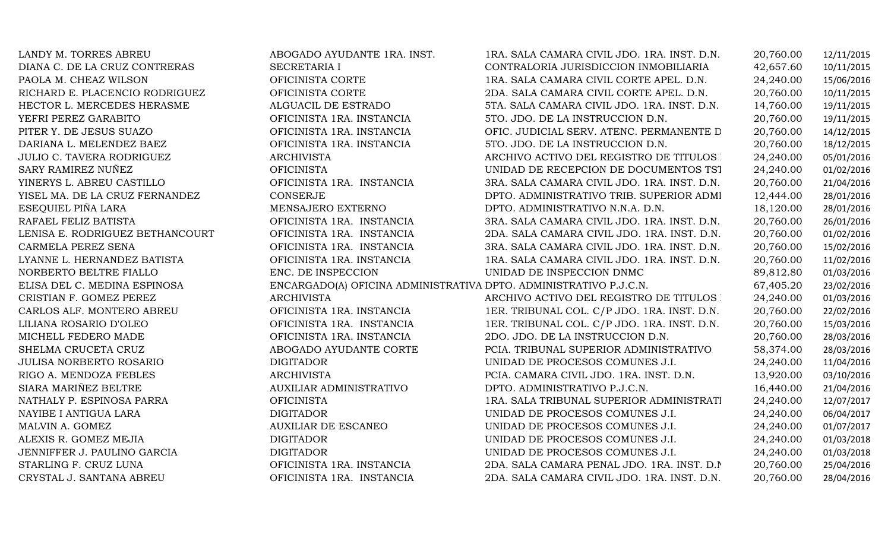| LANDY M. TORRES ABREU            | ABOGADO AYUDANTE 1RA. INST.    | 1RA. SALA CAMARA CIVIL JDO. 1RA. INST. D.N.                       | 20,760.00 | 12/11/2015 |
|----------------------------------|--------------------------------|-------------------------------------------------------------------|-----------|------------|
| DIANA C. DE LA CRUZ CONTRERAS    | SECRETARIA I                   | CONTRALORIA JURISDICCION INMOBILIARIA                             | 42,657.60 | 10/11/2015 |
| PAOLA M. CHEAZ WILSON            | OFICINISTA CORTE               | 1RA. SALA CAMARA CIVIL CORTE APEL. D.N.                           | 24,240.00 | 15/06/2016 |
| RICHARD E. PLACENCIO RODRIGUEZ   | OFICINISTA CORTE               | 2DA. SALA CAMARA CIVIL CORTE APEL. D.N.                           | 20,760.00 | 10/11/2015 |
| HECTOR L. MERCEDES HERASME       | ALGUACIL DE ESTRADO            | 5TA. SALA CAMARA CIVIL JDO. 1RA. INST. D.N.                       | 14,760.00 | 19/11/2015 |
| YEFRI PEREZ GARABITO             | OFICINISTA 1RA. INSTANCIA      | 5TO. JDO. DE LA INSTRUCCION D.N.                                  | 20,760.00 | 19/11/2015 |
| PITER Y. DE JESUS SUAZO          | OFICINISTA 1RA. INSTANCIA      | OFIC. JUDICIAL SERV. ATENC. PERMANENTE D                          | 20,760.00 | 14/12/2015 |
| DARIANA L. MELENDEZ BAEZ         | OFICINISTA 1RA. INSTANCIA      | 5TO. JDO. DE LA INSTRUCCION D.N.                                  | 20,760.00 | 18/12/2015 |
| <b>JULIO C. TAVERA RODRIGUEZ</b> | <b>ARCHIVISTA</b>              | ARCHIVO ACTIVO DEL REGISTRO DE TITULOS :                          | 24,240.00 | 05/01/2016 |
| SARY RAMIREZ NUÑEZ               | <b>OFICINISTA</b>              | UNIDAD DE RECEPCION DE DOCUMENTOS TST                             | 24,240.00 | 01/02/2016 |
| YINERYS L. ABREU CASTILLO        | OFICINISTA 1RA. INSTANCIA      | 3RA. SALA CAMARA CIVIL JDO. 1RA. INST. D.N.                       | 20,760.00 | 21/04/2016 |
| YISEL MA. DE LA CRUZ FERNANDEZ   | <b>CONSERJE</b>                | DPTO. ADMINISTRATIVO TRIB. SUPERIOR ADMI                          | 12,444.00 | 28/01/2016 |
| ESEQUIEL PIÑA LARA               | MENSAJERO EXTERNO              | DPTO. ADMINISTRATIVO N.N.A. D.N.                                  | 18,120.00 | 28/01/2016 |
| RAFAEL FELIZ BATISTA             | OFICINISTA 1RA. INSTANCIA      | 3RA. SALA CAMARA CIVIL JDO. 1RA. INST. D.N.                       | 20,760.00 | 26/01/2016 |
| LENISA E. RODRIGUEZ BETHANCOURT  | OFICINISTA 1RA. INSTANCIA      | 2DA. SALA CAMARA CIVIL JDO. 1RA. INST. D.N.                       | 20,760.00 | 01/02/2016 |
| CARMELA PEREZ SENA               | OFICINISTA 1RA. INSTANCIA      | 3RA. SALA CAMARA CIVIL JDO. 1RA. INST. D.N.                       | 20,760.00 | 15/02/2016 |
| LYANNE L. HERNANDEZ BATISTA      | OFICINISTA 1RA. INSTANCIA      | 1RA. SALA CAMARA CIVIL JDO. 1RA. INST. D.N.                       | 20,760.00 | 11/02/2016 |
| NORBERTO BELTRE FIALLO           | ENC. DE INSPECCION             | UNIDAD DE INSPECCION DNMC                                         | 89,812.80 | 01/03/2016 |
| ELISA DEL C. MEDINA ESPINOSA     |                                | ENCARGADO(A) OFICINA ADMINISTRATIVA DPTO. ADMINISTRATIVO P.J.C.N. | 67,405.20 | 23/02/2016 |
| CRISTIAN F. GOMEZ PEREZ          | <b>ARCHIVISTA</b>              | ARCHIVO ACTIVO DEL REGISTRO DE TITULOS :                          | 24,240.00 | 01/03/2016 |
| CARLOS ALF. MONTERO ABREU        | OFICINISTA 1RA. INSTANCIA      | 1ER. TRIBUNAL COL. C/P JDO. 1RA. INST. D.N.                       | 20,760.00 | 22/02/2016 |
| LILIANA ROSARIO D'OLEO           | OFICINISTA 1RA. INSTANCIA      | 1ER. TRIBUNAL COL. C/P JDO. 1RA. INST. D.N.                       | 20,760.00 | 15/03/2016 |
| MICHELL FEDERO MADE              | OFICINISTA 1RA. INSTANCIA      | 2DO. JDO. DE LA INSTRUCCION D.N.                                  | 20,760.00 | 28/03/2016 |
| SHELMA CRUCETA CRUZ              | ABOGADO AYUDANTE CORTE         | PCIA. TRIBUNAL SUPERIOR ADMINISTRATIVO                            | 58,374.00 | 28/03/2016 |
| <b>JULISA NORBERTO ROSARIO</b>   | <b>DIGITADOR</b>               | UNIDAD DE PROCESOS COMUNES J.I.                                   | 24,240.00 | 11/04/2016 |
| RIGO A. MENDOZA FEBLES           | <b>ARCHIVISTA</b>              | PCIA. CAMARA CIVIL JDO. 1RA. INST. D.N.                           | 13,920.00 | 03/10/2016 |
| SIARA MARIÑEZ BELTRE             | <b>AUXILIAR ADMINISTRATIVO</b> | DPTO. ADMINISTRATIVO P.J.C.N.                                     | 16,440.00 | 21/04/2016 |
| NATHALY P. ESPINOSA PARRA        | <b>OFICINISTA</b>              | 1RA. SALA TRIBUNAL SUPERIOR ADMINISTRATI                          | 24,240.00 | 12/07/2017 |
| NAYIBE I ANTIGUA LARA            | <b>DIGITADOR</b>               | UNIDAD DE PROCESOS COMUNES J.I.                                   | 24,240.00 | 06/04/2017 |
| MALVIN A. GOMEZ                  | <b>AUXILIAR DE ESCANEO</b>     | UNIDAD DE PROCESOS COMUNES J.I.                                   | 24,240.00 | 01/07/2017 |
| ALEXIS R. GOMEZ MEJIA            | <b>DIGITADOR</b>               | UNIDAD DE PROCESOS COMUNES J.I.                                   | 24,240.00 | 01/03/2018 |
| JENNIFFER J. PAULINO GARCIA      | <b>DIGITADOR</b>               | UNIDAD DE PROCESOS COMUNES J.I.                                   | 24,240.00 | 01/03/2018 |
| STARLING F. CRUZ LUNA            | OFICINISTA 1RA. INSTANCIA      | 2DA. SALA CAMARA PENAL JDO. 1RA. INST. D.N.                       | 20,760.00 | 25/04/2016 |
| CRYSTAL J. SANTANA ABREU         | OFICINISTA 1RA. INSTANCIA      | 2DA. SALA CAMARA CIVIL JDO. 1RA. INST. D.N.                       | 20,760.00 | 28/04/2016 |
|                                  |                                |                                                                   |           |            |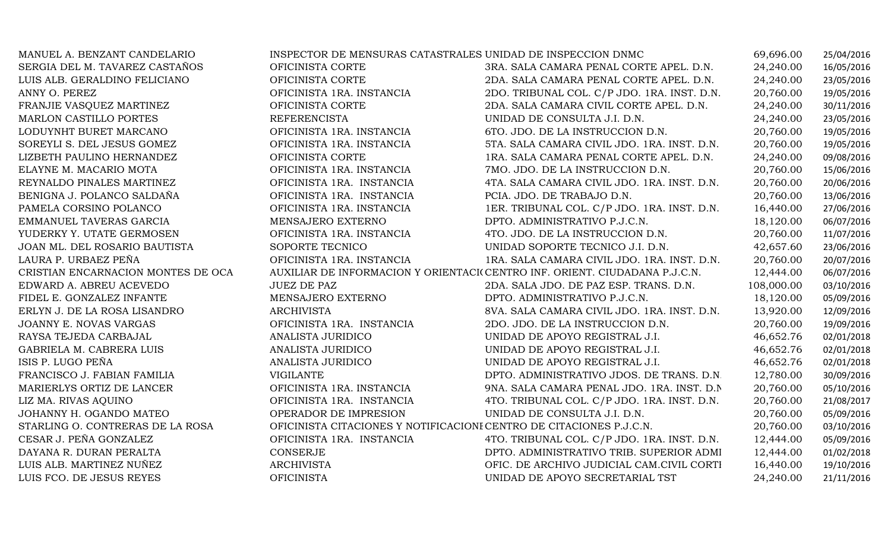| MANUEL A. BENZANT CANDELARIO       | INSPECTOR DE MENSURAS CATASTRALES UNIDAD DE INSPECCION DNMC |                                                                            | 69,696.00  | 25/04/2016 |
|------------------------------------|-------------------------------------------------------------|----------------------------------------------------------------------------|------------|------------|
| SERGIA DEL M. TAVAREZ CASTAÑOS     | OFICINISTA CORTE                                            | 3RA. SALA CAMARA PENAL CORTE APEL. D.N.                                    | 24,240.00  | 16/05/2016 |
| LUIS ALB. GERALDINO FELICIANO      | OFICINISTA CORTE                                            | 2DA. SALA CAMARA PENAL CORTE APEL. D.N.                                    | 24,240.00  | 23/05/2016 |
| ANNY O. PEREZ                      | OFICINISTA 1RA. INSTANCIA                                   | 2DO. TRIBUNAL COL. C/P JDO. 1RA. INST. D.N.                                | 20,760.00  | 19/05/2016 |
| FRANJIE VASQUEZ MARTINEZ           | OFICINISTA CORTE                                            | 2DA. SALA CAMARA CIVIL CORTE APEL. D.N.                                    | 24,240.00  | 30/11/2016 |
| MARLON CASTILLO PORTES             | <b>REFERENCISTA</b>                                         | UNIDAD DE CONSULTA J.I. D.N.                                               | 24,240.00  | 23/05/2016 |
| LODUYNHT BURET MARCANO             | OFICINISTA 1RA. INSTANCIA                                   | 6TO. JDO. DE LA INSTRUCCION D.N.                                           | 20,760.00  | 19/05/2016 |
| SOREYLI S. DEL JESUS GOMEZ         | OFICINISTA 1RA. INSTANCIA                                   | 5TA. SALA CAMARA CIVIL JDO. 1RA. INST. D.N.                                | 20,760.00  | 19/05/2016 |
| LIZBETH PAULINO HERNANDEZ          | OFICINISTA CORTE                                            | 1RA. SALA CAMARA PENAL CORTE APEL. D.N.                                    | 24,240.00  | 09/08/2016 |
| ELAYNE M. MACARIO MOTA             | OFICINISTA 1RA. INSTANCIA                                   | 7MO. JDO. DE LA INSTRUCCION D.N.                                           | 20,760.00  | 15/06/2016 |
| REYNALDO PINALES MARTINEZ          | OFICINISTA 1RA. INSTANCIA                                   | 4TA. SALA CAMARA CIVIL JDO. 1RA. INST. D.N.                                | 20,760.00  | 20/06/2016 |
| BENIGNA J. POLANCO SALDAÑA         | OFICINISTA 1RA. INSTANCIA                                   | PCIA. JDO. DE TRABAJO D.N.                                                 | 20,760.00  | 13/06/2016 |
| PAMELA CORSINO POLANCO             | OFICINISTA 1RA. INSTANCIA                                   | 1ER. TRIBUNAL COL. C/P JDO. 1RA. INST. D.N.                                | 16,440.00  | 27/06/2016 |
| EMMANUEL TAVERAS GARCIA            | MENSAJERO EXTERNO                                           | DPTO. ADMINISTRATIVO P.J.C.N.                                              | 18,120.00  | 06/07/2016 |
| YUDERKY Y. UTATE GERMOSEN          | OFICINISTA 1RA. INSTANCIA                                   | 4TO. JDO. DE LA INSTRUCCION D.N.                                           | 20,760.00  | 11/07/2016 |
| JOAN ML. DEL ROSARIO BAUTISTA      | SOPORTE TECNICO                                             | UNIDAD SOPORTE TECNICO J.I. D.N.                                           | 42,657.60  | 23/06/2016 |
| LAURA P. URBAEZ PEÑA               | OFICINISTA 1RA. INSTANCIA                                   | 1RA. SALA CAMARA CIVIL JDO. 1RA. INST. D.N.                                | 20,760.00  | 20/07/2016 |
| CRISTIAN ENCARNACION MONTES DE OCA |                                                             | AUXILIAR DE INFORMACION Y ORIENTACI(CENTRO INF. ORIENT. CIUDADANA P.J.C.N. | 12,444.00  | 06/07/2016 |
| EDWARD A. ABREU ACEVEDO            | <b>JUEZ DE PAZ</b>                                          | 2DA. SALA JDO. DE PAZ ESP. TRANS. D.N.                                     | 108,000.00 | 03/10/2016 |
| FIDEL E. GONZALEZ INFANTE          | MENSAJERO EXTERNO                                           | DPTO. ADMINISTRATIVO P.J.C.N.                                              | 18,120.00  | 05/09/2016 |
| ERLYN J. DE LA ROSA LISANDRO       | <b>ARCHIVISTA</b>                                           | 8VA. SALA CAMARA CIVIL JDO. 1RA. INST. D.N.                                | 13,920.00  | 12/09/2016 |
| JOANNY E. NOVAS VARGAS             | OFICINISTA 1RA. INSTANCIA                                   | 2DO. JDO. DE LA INSTRUCCION D.N.                                           | 20,760.00  | 19/09/2016 |
| RAYSA TEJEDA CARBAJAL              | ANALISTA JURIDICO                                           | UNIDAD DE APOYO REGISTRAL J.I.                                             | 46,652.76  | 02/01/2018 |
| GABRIELA M. CABRERA LUIS           | ANALISTA JURIDICO                                           | UNIDAD DE APOYO REGISTRAL J.I.                                             | 46,652.76  | 02/01/2018 |
| ISIS P. LUGO PEÑA                  | ANALISTA JURIDICO                                           | UNIDAD DE APOYO REGISTRAL J.I.                                             | 46,652.76  | 02/01/2018 |
| FRANCISCO J. FABIAN FAMILIA        | <b>VIGILANTE</b>                                            | DPTO. ADMINISTRATIVO JDOS. DE TRANS. D.N.                                  | 12,780.00  | 30/09/2016 |
| MARIERLYS ORTIZ DE LANCER          | OFICINISTA 1RA. INSTANCIA                                   | 9NA. SALA CAMARA PENAL JDO. 1RA. INST. D.N.                                | 20,760.00  | 05/10/2016 |
| LIZ MA. RIVAS AQUINO               | OFICINISTA 1RA. INSTANCIA                                   | 4TO. TRIBUNAL COL. C/P JDO. 1RA. INST. D.N.                                | 20,760.00  | 21/08/2017 |
| JOHANNY H. OGANDO MATEO            | OPERADOR DE IMPRESION                                       | UNIDAD DE CONSULTA J.I. D.N.                                               | 20,760.00  | 05/09/2016 |
| STARLING O. CONTRERAS DE LA ROSA   |                                                             | OFICINISTA CITACIONES Y NOTIFICACIONI CENTRO DE CITACIONES P.J.C.N.        | 20,760.00  | 03/10/2016 |
| CESAR J. PEÑA GONZALEZ             | OFICINISTA 1RA. INSTANCIA                                   | 4TO. TRIBUNAL COL. C/P JDO. 1RA. INST. D.N.                                | 12,444.00  | 05/09/2016 |
| DAYANA R. DURAN PERALTA            | CONSERJE                                                    | DPTO. ADMINISTRATIVO TRIB. SUPERIOR ADMI                                   | 12,444.00  | 01/02/2018 |
| LUIS ALB. MARTINEZ NUÑEZ           | <b>ARCHIVISTA</b>                                           | OFIC. DE ARCHIVO JUDICIAL CAM.CIVIL CORTI                                  | 16,440.00  | 19/10/2016 |
| LUIS FCO. DE JESUS REYES           | <b>OFICINISTA</b>                                           | UNIDAD DE APOYO SECRETARIAL TST                                            | 24,240.00  | 21/11/2016 |
|                                    |                                                             |                                                                            |            |            |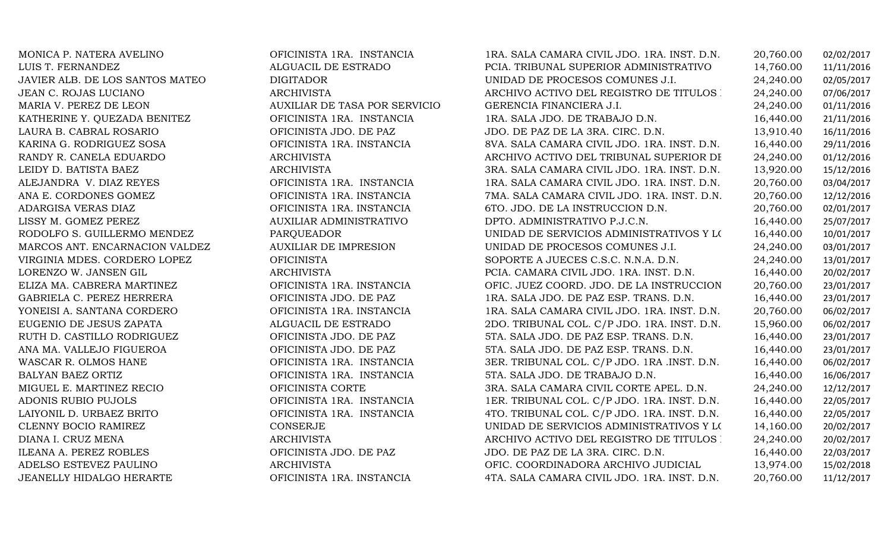| MONICA P. NATERA AVELINO        | OFICINISTA 1RA. INSTANCIA     | 1RA. SALA CAMARA CIVIL JDO. 1RA. INST. D.N. | 20,760.00 | 02/02/2017 |
|---------------------------------|-------------------------------|---------------------------------------------|-----------|------------|
| LUIS T. FERNANDEZ               | ALGUACIL DE ESTRADO           | PCIA. TRIBUNAL SUPERIOR ADMINISTRATIVO      | 14,760.00 | 11/11/2016 |
| JAVIER ALB. DE LOS SANTOS MATEO | <b>DIGITADOR</b>              | UNIDAD DE PROCESOS COMUNES J.I.             | 24,240.00 | 02/05/2017 |
| JEAN C. ROJAS LUCIANO           | <b>ARCHIVISTA</b>             | ARCHIVO ACTIVO DEL REGISTRO DE TITULOS :    | 24,240.00 | 07/06/2017 |
| MARIA V. PEREZ DE LEON          | AUXILIAR DE TASA POR SERVICIO | GERENCIA FINANCIERA J.I.                    | 24,240.00 | 01/11/2016 |
| KATHERINE Y. QUEZADA BENITEZ    | OFICINISTA 1RA. INSTANCIA     | 1RA. SALA JDO. DE TRABAJO D.N.              | 16,440.00 | 21/11/2016 |
| LAURA B. CABRAL ROSARIO         | OFICINISTA JDO. DE PAZ        | JDO. DE PAZ DE LA 3RA. CIRC. D.N.           | 13,910.40 | 16/11/2016 |
| KARINA G. RODRIGUEZ SOSA        | OFICINISTA 1RA. INSTANCIA     | 8VA. SALA CAMARA CIVIL JDO. 1RA. INST. D.N. | 16,440.00 | 29/11/2016 |
| RANDY R. CANELA EDUARDO         | <b>ARCHIVISTA</b>             | ARCHIVO ACTIVO DEL TRIBUNAL SUPERIOR DI     | 24,240.00 | 01/12/2016 |
| LEIDY D. BATISTA BAEZ           | ARCHIVISTA                    | 3RA. SALA CAMARA CIVIL JDO. 1RA. INST. D.N. | 13,920.00 | 15/12/2016 |
| ALEJANDRA V. DIAZ REYES         | OFICINISTA 1RA. INSTANCIA     | 1RA. SALA CAMARA CIVIL JDO. 1RA. INST. D.N. | 20,760.00 | 03/04/2017 |
| ANA E. CORDONES GOMEZ           | OFICINISTA 1RA. INSTANCIA     | 7MA. SALA CAMARA CIVIL JDO. 1RA. INST. D.N. | 20,760.00 | 12/12/2016 |
| ADARGISA VERAS DIAZ             | OFICINISTA 1RA. INSTANCIA     | 6TO. JDO. DE LA INSTRUCCION D.N.            | 20,760.00 | 02/01/2017 |
| LISSY M. GOMEZ PEREZ            | AUXILIAR ADMINISTRATIVO       | DPTO. ADMINISTRATIVO P.J.C.N.               | 16,440.00 | 25/07/2017 |
| RODOLFO S. GUILLERMO MENDEZ     | <b>PARQUEADOR</b>             | UNIDAD DE SERVICIOS ADMINISTRATIVOS Y LOS   | 16,440.00 | 10/01/2017 |
| MARCOS ANT. ENCARNACION VALDEZ  | <b>AUXILIAR DE IMPRESION</b>  | UNIDAD DE PROCESOS COMUNES J.I.             | 24,240.00 | 03/01/2017 |
| VIRGINIA MDES. CORDERO LOPEZ    | <b>OFICINISTA</b>             | SOPORTE A JUECES C.S.C. N.N.A. D.N.         | 24,240.00 | 13/01/2017 |
| LORENZO W. JANSEN GIL           | <b>ARCHIVISTA</b>             | PCIA. CAMARA CIVIL JDO. 1RA. INST. D.N.     | 16,440.00 | 20/02/2017 |
| ELIZA MA. CABRERA MARTINEZ      | OFICINISTA 1RA. INSTANCIA     | OFIC. JUEZ COORD. JDO. DE LA INSTRUCCION    | 20,760.00 | 23/01/2017 |
| GABRIELA C. PEREZ HERRERA       | OFICINISTA JDO. DE PAZ        | 1RA. SALA JDO. DE PAZ ESP. TRANS. D.N.      | 16,440.00 | 23/01/2017 |
| YONEISI A. SANTANA CORDERO      | OFICINISTA 1RA. INSTANCIA     | 1RA. SALA CAMARA CIVIL JDO. 1RA. INST. D.N. | 20,760.00 | 06/02/2017 |
| EUGENIO DE JESUS ZAPATA         | ALGUACIL DE ESTRADO           | 2DO. TRIBUNAL COL. C/P JDO. 1RA. INST. D.N. | 15,960.00 | 06/02/2017 |
| RUTH D. CASTILLO RODRIGUEZ      | OFICINISTA JDO. DE PAZ        | 5TA. SALA JDO. DE PAZ ESP. TRANS. D.N.      | 16,440.00 | 23/01/2017 |
| ANA MA. VALLEJO FIGUEROA        | OFICINISTA JDO. DE PAZ        | 5TA. SALA JDO. DE PAZ ESP. TRANS. D.N.      | 16,440.00 | 23/01/2017 |
| WASCAR R. OLMOS HANE            | OFICINISTA 1RA. INSTANCIA     | 3ER. TRIBUNAL COL. C/P JDO. 1RA .INST. D.N. | 16,440.00 | 06/02/2017 |
| <b>BALYAN BAEZ ORTIZ</b>        | OFICINISTA 1RA. INSTANCIA     | 5TA. SALA JDO. DE TRABAJO D.N.              | 16,440.00 | 16/06/2017 |
| MIGUEL E. MARTINEZ RECIO        | OFICINISTA CORTE              | 3RA. SALA CAMARA CIVIL CORTE APEL. D.N.     | 24,240.00 | 12/12/2017 |
| ADONIS RUBIO PUJOLS             | OFICINISTA 1RA. INSTANCIA     | 1ER. TRIBUNAL COL. C/P JDO. 1RA. INST. D.N. | 16,440.00 | 22/05/2017 |
| LAIYONIL D. URBAEZ BRITO        | OFICINISTA 1RA. INSTANCIA     | 4TO. TRIBUNAL COL. C/P JDO. 1RA. INST. D.N. | 16,440.00 | 22/05/2017 |
| CLENNY BOCIO RAMIREZ            | CONSERJE                      | UNIDAD DE SERVICIOS ADMINISTRATIVOS Y LOS   | 14,160.00 | 20/02/2017 |
| DIANA I. CRUZ MENA              | ARCHIVISTA                    | ARCHIVO ACTIVO DEL REGISTRO DE TITULOS :    | 24,240.00 | 20/02/2017 |
| ILEANA A. PEREZ ROBLES          | OFICINISTA JDO. DE PAZ        | JDO. DE PAZ DE LA 3RA. CIRC. D.N.           | 16,440.00 | 22/03/2017 |
| ADELSO ESTEVEZ PAULINO          | <b>ARCHIVISTA</b>             | OFIC. COORDINADORA ARCHIVO JUDICIAL         | 13,974.00 | 15/02/2018 |
| JEANELLY HIDALGO HERARTE        | OFICINISTA 1RA. INSTANCIA     | 4TA. SALA CAMARA CIVIL JDO. 1RA. INST. D.N. | 20,760.00 | 11/12/2017 |
|                                 |                               |                                             |           |            |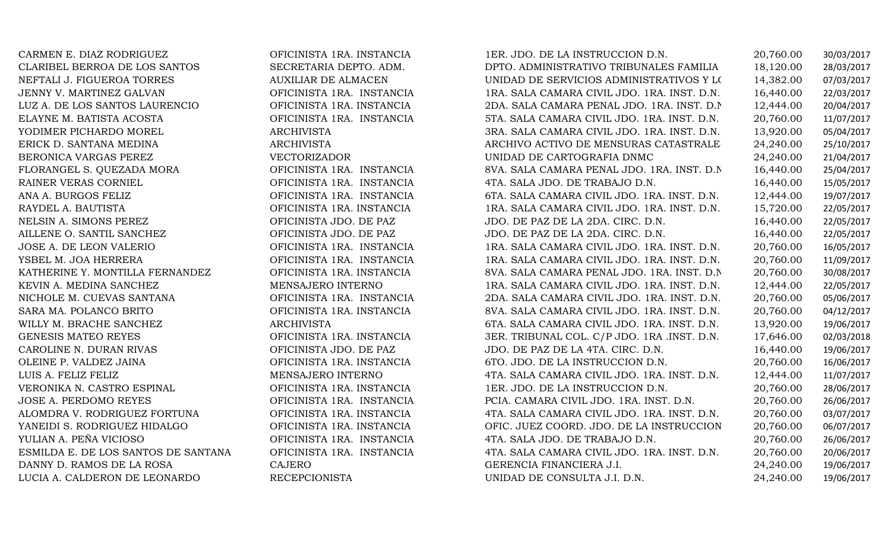| CARMEN E. DIAZ RODRIGUEZ            | OFICINISTA 1RA. INSTANCIA  | 1ER. JDO. DE LA INSTRUCCION D.N.            | 20,760.00 | 30/03/2017 |
|-------------------------------------|----------------------------|---------------------------------------------|-----------|------------|
| CLARIBEL BERROA DE LOS SANTOS       | SECRETARIA DEPTO. ADM.     | DPTO. ADMINISTRATIVO TRIBUNALES FAMILIA     | 18,120.00 | 28/03/2017 |
| NEFTALI J. FIGUEROA TORRES          | <b>AUXILIAR DE ALMACEN</b> | UNIDAD DE SERVICIOS ADMINISTRATIVOS Y LOS   | 14,382.00 | 07/03/2017 |
| JENNY V. MARTINEZ GALVAN            | OFICINISTA 1RA. INSTANCIA  | 1RA. SALA CAMARA CIVIL JDO. 1RA. INST. D.N. | 16,440.00 | 22/03/2017 |
| LUZ A. DE LOS SANTOS LAURENCIO      | OFICINISTA 1RA. INSTANCIA  | 2DA. SALA CAMARA PENAL JDO. 1RA. INST. D.N. | 12,444.00 | 20/04/2017 |
| ELAYNE M. BATISTA ACOSTA            | OFICINISTA 1RA. INSTANCIA  | 5TA. SALA CAMARA CIVIL JDO. 1RA. INST. D.N. | 20,760.00 | 11/07/2017 |
| YODIMER PICHARDO MOREL              | <b>ARCHIVISTA</b>          | 3RA. SALA CAMARA CIVIL JDO. 1RA. INST. D.N. | 13,920.00 | 05/04/2017 |
| ERICK D. SANTANA MEDINA             | <b>ARCHIVISTA</b>          | ARCHIVO ACTIVO DE MENSURAS CATASTRALE       | 24,240.00 | 25/10/2017 |
| BERONICA VARGAS PEREZ               | <b>VECTORIZADOR</b>        | UNIDAD DE CARTOGRAFIA DNMC                  | 24,240.00 | 21/04/2017 |
| FLORANGEL S. QUEZADA MORA           | OFICINISTA 1RA. INSTANCIA  | 8VA. SALA CAMARA PENAL JDO. 1RA. INST. D.N. | 16,440.00 | 25/04/2017 |
| RAINER VERAS CORNIEL                | OFICINISTA 1RA. INSTANCIA  | 4TA. SALA JDO. DE TRABAJO D.N.              | 16,440.00 | 15/05/2017 |
| ANA A. BURGOS FELIZ                 | OFICINISTA 1RA. INSTANCIA  | 6TA. SALA CAMARA CIVIL JDO. 1RA. INST. D.N. | 12,444.00 | 19/07/2017 |
| RAYDEL A. BAUTISTA                  | OFICINISTA 1RA. INSTANCIA  | 1RA. SALA CAMARA CIVIL JDO. 1RA. INST. D.N. | 15,720.00 | 22/05/2017 |
| NELSIN A. SIMONS PEREZ              | OFICINISTA JDO. DE PAZ     | JDO. DE PAZ DE LA 2DA. CIRC. D.N.           | 16,440.00 | 22/05/2017 |
| AILLENE O. SANTIL SANCHEZ           | OFICINISTA JDO. DE PAZ     | JDO. DE PAZ DE LA 2DA. CIRC. D.N.           | 16,440.00 | 22/05/2017 |
| JOSE A. DE LEON VALERIO             | OFICINISTA 1RA. INSTANCIA  | 1RA. SALA CAMARA CIVIL JDO. 1RA. INST. D.N. | 20,760.00 | 16/05/2017 |
| YSBEL M. JOA HERRERA                | OFICINISTA 1RA. INSTANCIA  | 1RA. SALA CAMARA CIVIL JDO. 1RA. INST. D.N. | 20,760.00 | 11/09/2017 |
| KATHERINE Y. MONTILLA FERNANDEZ     | OFICINISTA 1RA. INSTANCIA  | 8VA. SALA CAMARA PENAL JDO. 1RA. INST. D.N. | 20,760.00 | 30/08/2017 |
| KEVIN A. MEDINA SANCHEZ             | MENSAJERO INTERNO          | 1RA. SALA CAMARA CIVIL JDO. 1RA. INST. D.N. | 12,444.00 | 22/05/2017 |
| NICHOLE M. CUEVAS SANTANA           | OFICINISTA 1RA. INSTANCIA  | 2DA. SALA CAMARA CIVIL JDO. 1RA. INST. D.N. | 20,760.00 | 05/06/2017 |
| SARA MA. POLANCO BRITO              | OFICINISTA 1RA. INSTANCIA  | 8VA. SALA CAMARA CIVIL JDO. 1RA. INST. D.N. | 20,760.00 | 04/12/2017 |
| WILLY M. BRACHE SANCHEZ             | <b>ARCHIVISTA</b>          | 6TA. SALA CAMARA CIVIL JDO. 1RA. INST. D.N. | 13,920.00 | 19/06/2017 |
| GENESIS MATEO REYES                 | OFICINISTA 1RA. INSTANCIA  | 3ER. TRIBUNAL COL. C/P JDO. 1RA .INST. D.N. | 17,646.00 | 02/03/2018 |
| CAROLINE N. DURAN RIVAS             | OFICINISTA JDO. DE PAZ     | JDO. DE PAZ DE LA 4TA. CIRC. D.N.           | 16,440.00 | 19/06/2017 |
| OLEINE P. VALDEZ JAINA              | OFICINISTA 1RA. INSTANCIA  | 6TO. JDO. DE LA INSTRUCCION D.N.            | 20,760.00 | 16/06/2017 |
| LUIS A. FELIZ FELIZ                 | MENSAJERO INTERNO          | 4TA. SALA CAMARA CIVIL JDO. 1RA. INST. D.N. | 12,444.00 | 11/07/2017 |
| VERONIKA N. CASTRO ESPINAL          | OFICINISTA 1RA. INSTANCIA  | 1ER. JDO. DE LA INSTRUCCION D.N.            | 20,760.00 | 28/06/2017 |
| JOSE A. PERDOMO REYES               | OFICINISTA 1RA. INSTANCIA  | PCIA. CAMARA CIVIL JDO. 1RA. INST. D.N.     | 20,760.00 | 26/06/2017 |
| ALOMDRA V. RODRIGUEZ FORTUNA        | OFICINISTA 1RA. INSTANCIA  | 4TA. SALA CAMARA CIVIL JDO. 1RA. INST. D.N. | 20,760.00 | 03/07/2017 |
| YANEIDI S. RODRIGUEZ HIDALGO        | OFICINISTA 1RA. INSTANCIA  | OFIC. JUEZ COORD. JDO. DE LA INSTRUCCION    | 20,760.00 | 06/07/2017 |
| YULIAN A. PEÑA VICIOSO              | OFICINISTA 1RA. INSTANCIA  | 4TA. SALA JDO. DE TRABAJO D.N.              | 20,760.00 | 26/06/2017 |
| ESMILDA E. DE LOS SANTOS DE SANTANA | OFICINISTA 1RA. INSTANCIA  | 4TA. SALA CAMARA CIVIL JDO. 1RA. INST. D.N. | 20,760.00 | 20/06/2017 |
| DANNY D. RAMOS DE LA ROSA           | <b>CAJERO</b>              | GERENCIA FINANCIERA J.I.                    | 24,240.00 | 19/06/2017 |
| LUCIA A. CALDERON DE LEONARDO       | <b>RECEPCIONISTA</b>       | UNIDAD DE CONSULTA J.I. D.N.                | 24,240.00 | 19/06/2017 |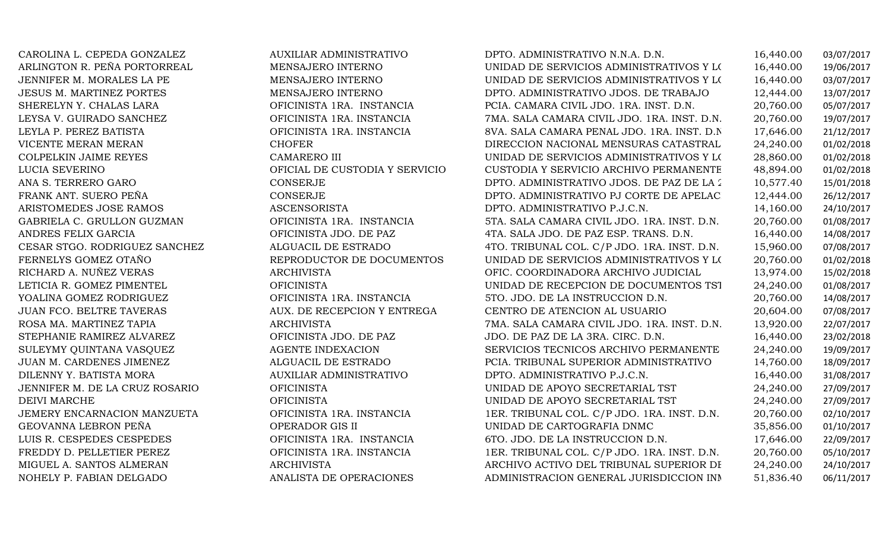ARLINGTON R. PEÑA PORTORREAL MENSAJERO INTERNOJENNIFER M. MORALES LA PE MENSAJERO INTERNOLUCIA SEVERINODEIVI MARCHE

CAROLINA L. CEPEDA GONZALEZ AUXILIAR ADMINISTRATIVO DPTO. ADMINISTRATIVO N.N.A. D.N. 16,440.00 03/07/2017 UNIDAD DE SERVICIOS ADMINISTRATIVOS Y L $(16,440.00$  19/06/2017<br>UNIDAD DE SERVICIOS ADMINISTRATIVOS Y L $(16,440.00$  03/07/2017 UNIDAD DE SERVICIOS ADMINISTRATIVOS Y L $(16,440.00$  03/07/2017<br>DPTO. ADMINISTRATIVO JDOS. DE TRABAJO  $12,444.00$  13/07/2017 JESUS M. MARTINEZ PORTES MENSAJERO INTERNO DPTO. ADMINISTRATIVO JDOS. DE TRABAJO 12,444.00 13/07/2017 SHERELYN Y. CHALAS LARA OFICINISTA 1RA. INSTANCIA PCIA. CAMARA CIVIL JDO. 1RA. INST. D.N. 20,760.00 05/07/2017 LEYSA V. GUIRADO SANCHEZ OFICINISTA 1RA. INSTANCIA 7MA. SALA CAMARA CIVIL JDO. 1RA. INST. D.N. 20,760.00 19/07/2017 LEYLA P. PEREZ BATISTA OFICINISTA 1RA. INSTANCIA 8VA. SALA CAMARA PENAL JDO. 1RA. INST. D.N. 17,646.00 21/12/2017 VICENTE MERAN MERAN CHOFER DIRECCION NACIONAL MENSURAS CATASTRALES 24,240.00 01/02/2018 COLPELKIN JAIME REYES CAMARERO III UNIDAD DE SERVICIOS ADMINISTRATIVOS Y LOGISTICOS J 28,860.00 01/02/2018 OFICIAL DE CUSTODIA Y SERVICIO CUSTODIA Y SERVICIO ARCHIVO PERMANENTE 48,894.00 01/02/2018 ANA S. TERRERO GARO CONSERJE DPTO. ADMINISTRATIVO JDOS. DE PAZ DE LA 2DA. CIRC. 10,577.40 15/01/2018 FRANK ANT. SUERO PEÑA CONSERJE DPTO. ADMINISTRATIVO PJ CORTE DE APELACION D.N. 12,444.00 26/12/2017 ARISTOMEDES JOSE RAMOS ASCENSORISTA DPTO. ADMINISTRATIVO P.J.C.N. 14,160.00 24/10/2017 GABRIELA C. GRULLON GUZMAN OFICINISTA 1RA. INSTANCIA 5TA. SALA CAMARA CIVIL JDO. 1RA. INST. D.N. 20,760.00 01/08/2017 ANDRES FELIX GARCIA OFICINISTA JDO. DE PAZ 4TA. SALA JDO. DE PAZ ESP. TRANS. D.N. 16,440.00 14/08/2017 CESAR STGO. RODRIGUEZ SANCHEZ ALGUACIL DE ESTRADO 4TO. TRIBUNAL COL. C/P JDO. 1RA. INST. D.N. 15,960.00 07/08/2017 FERNELYS GOMEZ OTAÑO REPRODUCTOR DE DOCUMENTOS UNIDAD DE SERVICIOS ADMINISTRATIVOS Y LOGISTICOS J 20,760.00 01/02/2018 RICHARD A. NUÑEZ VERAS ARCHIVISTA OFIC. COORDINADORA ARCHIVO JUDICIAL 13,974.00 15/02/2018 LETICIA R. GOMEZ PIMENTEL OFICINISTA UNIDAD DE RECEPCION DE DOCUMENTOS TST 24,240.00 01/08/2017 YOALINA GOMEZ RODRIGUEZ OFICINISTA 1RA. INSTANCIA 5TO. JDO. DE LA INSTRUCCION D.N. 20,760.00 14/08/2017 JUAN FCO. BELTRE TAVERAS AUX. DE RECEPCION Y ENTREGA CENTRO DE ATENCION AL USUARIO 20,604.00 07/08/2017 ROSA MA. MARTINEZ TAPIA ARCHIVISTA 7MA. SALA CAMARA CIVIL JDO. 1RA. INST. D.N. 13,920.00 22/07/2017 STEPHANIE RAMIREZ ALVAREZ OFICINISTA JDO. DE PAZ JDO. DE PAZ DE LA 3RA. CIRC. D.N. 16,440.00 23/02/2018 SULEYMY QUINTANA VASQUEZ AGENTE INDEXACION SERVICIOS TECNICOS ARCHIVO PERMANENTE 24,240.00 19/09/2017 JUAN M. CARDENES JIMENEZ ALGUACIL DE ESTRADO PCIA. TRIBUNAL SUPERIOR ADMINISTRATIVO 14,760.00 18/09/2017 DILENNY Y. BATISTA MORA AUXILIAR ADMINISTRATIVO DPTO. ADMINISTRATIVO P.J.C.N. 16,440.00 31/08/2017 JENNIFER M. DE LA CRUZ ROSARIO OFICINISTA UNIDAD DE APOYO SECRETARIAL TST 24,240.00 27/09/2017 OFICINISTA UNIDAD DE APOYO SECRETARIAL TST 24,240.00 27/09/2017 JEMERY ENCARNACION MANZUETA OFICINISTA 1RA. INSTANCIA 1ER. TRIBUNAL COL. C/P JDO. 1RA. INST. D.N. 20,760.00 02/10/2017 GEOVANNA LEBRON PEÑA OPERADOR GIS II UNIDAD DE CARTOGRAFIA DNMC 35,856.00 01/10/2017 LUIS R. CESPEDES CESPEDES OFICINISTA 1RA. INSTANCIA 6TO. JDO. DE LA INSTRUCCION D.N. 17,646.00 22/09/2017 FREDDY D. PELLETIER PEREZ OFICINISTA 1RA. INSTANCIA 1ER. TRIBUNAL COL. C/P JDO. 1RA. INST. D.N. 20,760.00 05/10/2017 MIGUEL A. SANTOS ALMERAN ARCHIVISTA ARCHIVO ACTIVO DEL TRIBUNAL SUPERIOR DE TIERRAS D. 24,240.00 24/10/2017 ADMINISTRACION GENERAL JURISDICCION INM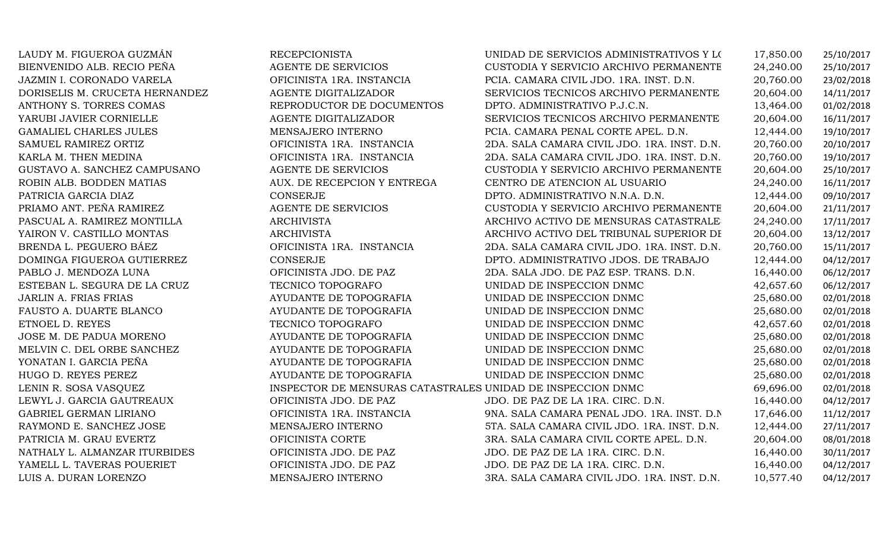| LAUDY M. FIGUEROA GUZMÁN       | <b>RECEPCIONISTA</b>                                        | UNIDAD DE SERVICIOS ADMINISTRATIVOS Y LOS   | 17,850.00 | 25/10/2017 |
|--------------------------------|-------------------------------------------------------------|---------------------------------------------|-----------|------------|
| BIENVENIDO ALB. RECIO PEÑA     | <b>AGENTE DE SERVICIOS</b>                                  | CUSTODIA Y SERVICIO ARCHIVO PERMANENTE      | 24,240.00 | 25/10/2017 |
| JAZMIN I. CORONADO VARELA      | OFICINISTA 1RA. INSTANCIA                                   | PCIA. CAMARA CIVIL JDO. 1RA. INST. D.N.     | 20,760.00 | 23/02/2018 |
| DORISELIS M. CRUCETA HERNANDEZ | AGENTE DIGITALIZADOR                                        | SERVICIOS TECNICOS ARCHIVO PERMANENTE       | 20,604.00 | 14/11/2017 |
| ANTHONY S. TORRES COMAS        | REPRODUCTOR DE DOCUMENTOS                                   | DPTO. ADMINISTRATIVO P.J.C.N.               | 13,464.00 | 01/02/2018 |
| YARUBI JAVIER CORNIELLE        | AGENTE DIGITALIZADOR                                        | SERVICIOS TECNICOS ARCHIVO PERMANENTE       | 20,604.00 | 16/11/2017 |
| <b>GAMALIEL CHARLES JULES</b>  | MENSAJERO INTERNO                                           | PCIA. CAMARA PENAL CORTE APEL. D.N.         | 12,444.00 | 19/10/2017 |
| SAMUEL RAMIREZ ORTIZ           | OFICINISTA 1RA. INSTANCIA                                   | 2DA. SALA CAMARA CIVIL JDO. 1RA. INST. D.N. | 20,760.00 | 20/10/2017 |
| KARLA M. THEN MEDINA           | OFICINISTA 1RA. INSTANCIA                                   | 2DA. SALA CAMARA CIVIL JDO. 1RA. INST. D.N. | 20,760.00 | 19/10/2017 |
| GUSTAVO A. SANCHEZ CAMPUSANO   | <b>AGENTE DE SERVICIOS</b>                                  | CUSTODIA Y SERVICIO ARCHIVO PERMANENTE      | 20,604.00 | 25/10/2017 |
| ROBIN ALB. BODDEN MATIAS       | AUX. DE RECEPCION Y ENTREGA                                 | CENTRO DE ATENCION AL USUARIO               | 24,240.00 | 16/11/2017 |
| PATRICIA GARCIA DIAZ           | <b>CONSERJE</b>                                             | DPTO. ADMINISTRATIVO N.N.A. D.N.            | 12,444.00 | 09/10/2017 |
| PRIAMO ANT. PEÑA RAMIREZ       | AGENTE DE SERVICIOS                                         | CUSTODIA Y SERVICIO ARCHIVO PERMANENTE      | 20,604.00 | 21/11/2017 |
| PASCUAL A. RAMIREZ MONTILLA    | <b>ARCHIVISTA</b>                                           | ARCHIVO ACTIVO DE MENSURAS CATASTRALE       | 24,240.00 | 17/11/2017 |
| YAIRON V. CASTILLO MONTAS      | <b>ARCHIVISTA</b>                                           | ARCHIVO ACTIVO DEL TRIBUNAL SUPERIOR DI     | 20,604.00 | 13/12/2017 |
| BRENDA L. PEGUERO BÁEZ         | OFICINISTA 1RA. INSTANCIA                                   | 2DA. SALA CAMARA CIVIL JDO. 1RA. INST. D.N. | 20,760.00 | 15/11/2017 |
| DOMINGA FIGUEROA GUTIERREZ     | <b>CONSERJE</b>                                             | DPTO. ADMINISTRATIVO JDOS. DE TRABAJO       | 12,444.00 | 04/12/2017 |
| PABLO J. MENDOZA LUNA          | OFICINISTA JDO. DE PAZ                                      | 2DA. SALA JDO. DE PAZ ESP. TRANS. D.N.      | 16,440.00 | 06/12/2017 |
| ESTEBAN L. SEGURA DE LA CRUZ   | TECNICO TOPOGRAFO                                           | UNIDAD DE INSPECCION DNMC                   | 42,657.60 | 06/12/2017 |
| <b>JARLIN A. FRIAS FRIAS</b>   | AYUDANTE DE TOPOGRAFIA                                      | UNIDAD DE INSPECCION DNMC                   | 25,680.00 | 02/01/2018 |
| FAUSTO A. DUARTE BLANCO        | AYUDANTE DE TOPOGRAFIA                                      | UNIDAD DE INSPECCION DNMC                   | 25,680.00 | 02/01/2018 |
| ETNOEL D. REYES                | TECNICO TOPOGRAFO                                           | UNIDAD DE INSPECCION DNMC                   | 42,657.60 | 02/01/2018 |
| JOSE M. DE PADUA MORENO        | AYUDANTE DE TOPOGRAFIA                                      | UNIDAD DE INSPECCION DNMC                   | 25,680.00 | 02/01/2018 |
| MELVIN C. DEL ORBE SANCHEZ     | AYUDANTE DE TOPOGRAFIA                                      | UNIDAD DE INSPECCION DNMC                   | 25,680.00 | 02/01/2018 |
| YONATAN I. GARCIA PEÑA         | AYUDANTE DE TOPOGRAFIA                                      | UNIDAD DE INSPECCION DNMC                   | 25,680.00 | 02/01/2018 |
| HUGO D. REYES PEREZ            | AYUDANTE DE TOPOGRAFIA                                      | UNIDAD DE INSPECCION DNMC                   | 25,680.00 | 02/01/2018 |
| LENIN R. SOSA VASQUEZ          | INSPECTOR DE MENSURAS CATASTRALES UNIDAD DE INSPECCION DNMC |                                             | 69,696.00 | 02/01/2018 |
| LEWYL J. GARCIA GAUTREAUX      | OFICINISTA JDO. DE PAZ                                      | JDO. DE PAZ DE LA 1RA. CIRC. D.N.           | 16,440.00 | 04/12/2017 |
| <b>GABRIEL GERMAN LIRIANO</b>  | OFICINISTA 1RA. INSTANCIA                                   | 9NA. SALA CAMARA PENAL JDO. 1RA. INST. D.N. | 17,646.00 | 11/12/2017 |
| RAYMOND E. SANCHEZ JOSE        | MENSAJERO INTERNO                                           | 5TA. SALA CAMARA CIVIL JDO. 1RA. INST. D.N. | 12,444.00 | 27/11/2017 |
| PATRICIA M. GRAU EVERTZ        | OFICINISTA CORTE                                            | 3RA. SALA CAMARA CIVIL CORTE APEL. D.N.     | 20,604.00 | 08/01/2018 |
| NATHALY L. ALMANZAR ITURBIDES  | OFICINISTA JDO. DE PAZ                                      | JDO. DE PAZ DE LA 1RA. CIRC. D.N.           | 16,440.00 | 30/11/2017 |
| YAMELL L. TAVERAS POUERIET     | OFICINISTA JDO. DE PAZ                                      | JDO. DE PAZ DE LA 1RA. CIRC. D.N.           | 16,440.00 | 04/12/2017 |
| LUIS A. DURAN LORENZO          | MENSAJERO INTERNO                                           | 3RA. SALA CAMARA CIVIL JDO. 1RA. INST. D.N. | 10,577.40 | 04/12/2017 |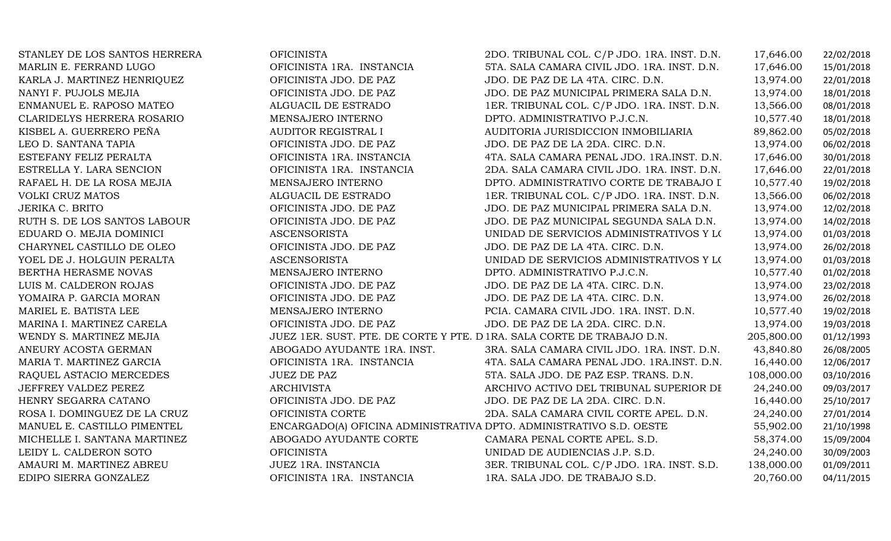| STANLEY DE LOS SANTOS HERRERA | <b>OFICINISTA</b>                                                      | 2DO. TRIBUNAL COL. C/P JDO. 1RA. INST. D.N. | 17,646.00  | 22/02/2018 |
|-------------------------------|------------------------------------------------------------------------|---------------------------------------------|------------|------------|
| MARLIN E. FERRAND LUGO        | OFICINISTA 1RA. INSTANCIA                                              | 5TA. SALA CAMARA CIVIL JDO. 1RA. INST. D.N. | 17,646.00  | 15/01/2018 |
| KARLA J. MARTINEZ HENRIQUEZ   | OFICINISTA JDO. DE PAZ                                                 | JDO. DE PAZ DE LA 4TA. CIRC. D.N.           | 13,974.00  | 22/01/2018 |
| NANYI F. PUJOLS MEJIA         | OFICINISTA JDO. DE PAZ                                                 | JDO. DE PAZ MUNICIPAL PRIMERA SALA D.N.     | 13,974.00  | 18/01/2018 |
| ENMANUEL E. RAPOSO MATEO      | ALGUACIL DE ESTRADO                                                    | 1ER. TRIBUNAL COL. C/P JDO. 1RA. INST. D.N. | 13,566.00  | 08/01/2018 |
| CLARIDELYS HERRERA ROSARIO    | MENSAJERO INTERNO                                                      | DPTO. ADMINISTRATIVO P.J.C.N.               | 10,577.40  | 18/01/2018 |
| KISBEL A. GUERRERO PEÑA       | <b>AUDITOR REGISTRAL I</b>                                             | AUDITORIA JURISDICCION INMOBILIARIA         | 89,862.00  | 05/02/2018 |
| LEO D. SANTANA TAPIA          | OFICINISTA JDO. DE PAZ                                                 | JDO. DE PAZ DE LA 2DA. CIRC. D.N.           | 13,974.00  | 06/02/2018 |
| ESTEFANY FELIZ PERALTA        | OFICINISTA 1RA. INSTANCIA                                              | 4TA. SALA CAMARA PENAL JDO. 1RA.INST. D.N.  | 17,646.00  | 30/01/2018 |
| ESTRELLA Y. LARA SENCION      | OFICINISTA 1RA. INSTANCIA                                              | 2DA. SALA CAMARA CIVIL JDO. 1RA. INST. D.N. | 17,646.00  | 22/01/2018 |
| RAFAEL H. DE LA ROSA MEJIA    | MENSAJERO INTERNO                                                      | DPTO. ADMINISTRATIVO CORTE DE TRABAJO I     | 10,577.40  | 19/02/2018 |
| <b>VOLKI CRUZ MATOS</b>       | ALGUACIL DE ESTRADO                                                    | 1ER. TRIBUNAL COL. C/P JDO. 1RA. INST. D.N. | 13,566.00  | 06/02/2018 |
| <b>JERIKA C. BRITO</b>        | OFICINISTA JDO. DE PAZ                                                 | JDO. DE PAZ MUNICIPAL PRIMERA SALA D.N.     | 13,974.00  | 12/02/2018 |
| RUTH S. DE LOS SANTOS LABOUR  | OFICINISTA JDO. DE PAZ                                                 | JDO. DE PAZ MUNICIPAL SEGUNDA SALA D.N.     | 13,974.00  | 14/02/2018 |
| EDUARD O. MEJIA DOMINICI      | <b>ASCENSORISTA</b>                                                    | UNIDAD DE SERVICIOS ADMINISTRATIVOS Y LOS   | 13,974.00  | 01/03/2018 |
| CHARYNEL CASTILLO DE OLEO     | OFICINISTA JDO. DE PAZ                                                 | JDO. DE PAZ DE LA 4TA. CIRC. D.N.           | 13,974.00  | 26/02/2018 |
| YOEL DE J. HOLGUIN PERALTA    | <b>ASCENSORISTA</b>                                                    | UNIDAD DE SERVICIOS ADMINISTRATIVOS Y LOS   | 13,974.00  | 01/03/2018 |
| BERTHA HERASME NOVAS          | MENSAJERO INTERNO                                                      | DPTO. ADMINISTRATIVO P.J.C.N.               | 10,577.40  | 01/02/2018 |
| LUIS M. CALDERON ROJAS        | OFICINISTA JDO. DE PAZ                                                 | JDO. DE PAZ DE LA 4TA. CIRC. D.N.           | 13,974.00  | 23/02/2018 |
| YOMAIRA P. GARCIA MORAN       | OFICINISTA JDO. DE PAZ                                                 | JDO. DE PAZ DE LA 4TA. CIRC. D.N.           | 13,974.00  | 26/02/2018 |
| MARIEL E. BATISTA LEE         | MENSAJERO INTERNO                                                      | PCIA. CAMARA CIVIL JDO. 1RA. INST. D.N.     | 10,577.40  | 19/02/2018 |
| MARINA I. MARTINEZ CARELA     | OFICINISTA JDO. DE PAZ                                                 | JDO. DE PAZ DE LA 2DA. CIRC. D.N.           | 13,974.00  | 19/03/2018 |
| WENDY S. MARTINEZ MEJIA       | JUEZ 1ER. SUST. PTE. DE CORTE Y PTE. D 1RA. SALA CORTE DE TRABAJO D.N. |                                             | 205,800.00 | 01/12/1993 |
| ANEURY ACOSTA GERMAN          | ABOGADO AYUDANTE 1RA. INST.                                            | 3RA. SALA CAMARA CIVIL JDO. 1RA. INST. D.N. | 43,840.80  | 26/08/2005 |
| MARIA T. MARTINEZ GARCIA      | OFICINISTA 1RA. INSTANCIA                                              | 4TA. SALA CAMARA PENAL JDO. 1RA.INST. D.N.  | 16,440.00  | 12/06/2017 |
| RAQUEL ASTACIO MERCEDES       | <b>JUEZ DE PAZ</b>                                                     | 5TA. SALA JDO. DE PAZ ESP. TRANS. D.N.      | 108,000.00 | 03/10/2016 |
| JEFFREY VALDEZ PEREZ          | ARCHIVISTA                                                             | ARCHIVO ACTIVO DEL TRIBUNAL SUPERIOR DI     | 24,240.00  | 09/03/2017 |
| HENRY SEGARRA CATANO          | OFICINISTA JDO. DE PAZ                                                 | JDO. DE PAZ DE LA 2DA. CIRC. D.N.           | 16,440.00  | 25/10/2017 |
| ROSA I. DOMINGUEZ DE LA CRUZ  | OFICINISTA CORTE                                                       | 2DA. SALA CAMARA CIVIL CORTE APEL. D.N.     | 24,240.00  | 27/01/2014 |
| MANUEL E. CASTILLO PIMENTEL   | ENCARGADO(A) OFICINA ADMINISTRATIVA DPTO. ADMINISTRATIVO S.D. OESTE    |                                             | 55,902.00  | 21/10/1998 |
| MICHELLE I. SANTANA MARTINEZ  | ABOGADO AYUDANTE CORTE                                                 | CAMARA PENAL CORTE APEL. S.D.               | 58,374.00  | 15/09/2004 |
| LEIDY L. CALDERON SOTO        | <b>OFICINISTA</b>                                                      | UNIDAD DE AUDIENCIAS J.P. S.D.              | 24,240.00  | 30/09/2003 |
| AMAURI M. MARTINEZ ABREU      | JUEZ 1RA. INSTANCIA                                                    | 3ER. TRIBUNAL COL. C/P JDO. 1RA. INST. S.D. | 138,000.00 | 01/09/2011 |
| EDIPO SIERRA GONZALEZ         | OFICINISTA 1RA. INSTANCIA                                              | 1RA. SALA JDO. DE TRABAJO S.D.              | 20,760.00  | 04/11/2015 |
|                               |                                                                        |                                             |            |            |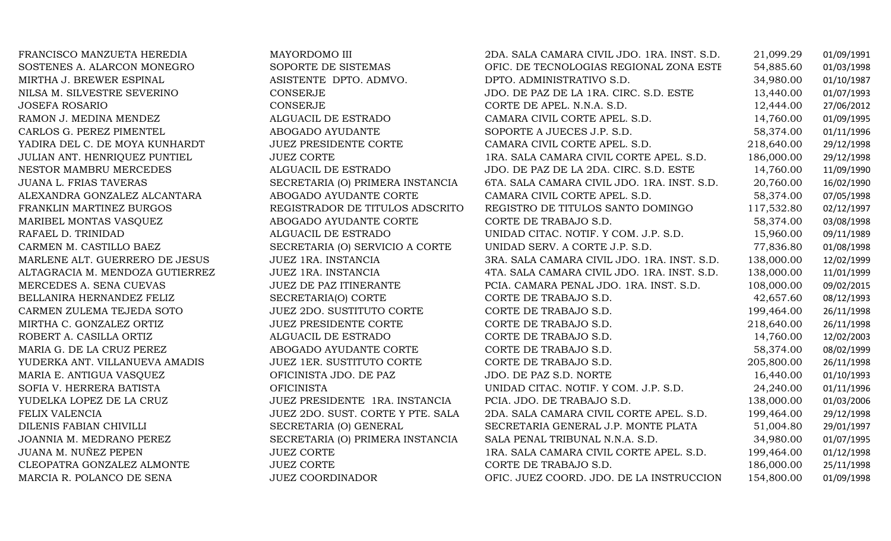| FRANCISCO MANZUETA HEREDIA      | MAYORDOMO III                     | 2DA. SALA CAMARA CIVIL JDO. 1RA. INST. S.D. | 21,099.29  | 01/09/1991 |
|---------------------------------|-----------------------------------|---------------------------------------------|------------|------------|
| SOSTENES A. ALARCON MONEGRO     | SOPORTE DE SISTEMAS               | OFIC. DE TECNOLOGIAS REGIONAL ZONA ESTE     | 54,885.60  | 01/03/1998 |
| MIRTHA J. BREWER ESPINAL        | ASISTENTE DPTO. ADMVO.            | DPTO. ADMINISTRATIVO S.D.                   | 34,980.00  | 01/10/1987 |
| NILSA M. SILVESTRE SEVERINO     | CONSERJE                          | JDO. DE PAZ DE LA 1RA. CIRC. S.D. ESTE      | 13,440.00  | 01/07/1993 |
| <b>JOSEFA ROSARIO</b>           | CONSERJE                          | CORTE DE APEL. N.N.A. S.D.                  | 12,444.00  | 27/06/2012 |
| RAMON J. MEDINA MENDEZ          | ALGUACIL DE ESTRADO               | CAMARA CIVIL CORTE APEL. S.D.               | 14,760.00  | 01/09/1995 |
| CARLOS G. PEREZ PIMENTEL        | ABOGADO AYUDANTE                  | SOPORTE A JUECES J.P. S.D.                  | 58,374.00  | 01/11/1996 |
| YADIRA DEL C. DE MOYA KUNHARDT  | <b>JUEZ PRESIDENTE CORTE</b>      | CAMARA CIVIL CORTE APEL. S.D.               | 218,640.00 | 29/12/1998 |
| JULIAN ANT. HENRIQUEZ PUNTIEL   | <b>JUEZ CORTE</b>                 | 1RA. SALA CAMARA CIVIL CORTE APEL. S.D.     | 186,000.00 | 29/12/1998 |
| NESTOR MAMBRU MERCEDES          | ALGUACIL DE ESTRADO               | JDO. DE PAZ DE LA 2DA. CIRC. S.D. ESTE      | 14,760.00  | 11/09/1990 |
| JUANA L. FRIAS TAVERAS          | SECRETARIA (O) PRIMERA INSTANCIA  | 6TA. SALA CAMARA CIVIL JDO. 1RA. INST. S.D. | 20,760.00  | 16/02/1990 |
| ALEXANDRA GONZALEZ ALCANTARA    | ABOGADO AYUDANTE CORTE            | CAMARA CIVIL CORTE APEL. S.D.               | 58,374.00  | 07/05/1998 |
| FRANKLIN MARTINEZ BURGOS        | REGISTRADOR DE TITULOS ADSCRITO   | REGISTRO DE TITULOS SANTO DOMINGO           | 117,532.80 | 02/12/1997 |
| MARIBEL MONTAS VASQUEZ          | ABOGADO AYUDANTE CORTE            | CORTE DE TRABAJO S.D.                       | 58,374.00  | 03/08/1998 |
| RAFAEL D. TRINIDAD              | ALGUACIL DE ESTRADO               | UNIDAD CITAC. NOTIF. Y COM. J.P. S.D.       | 15,960.00  | 09/11/1989 |
| CARMEN M. CASTILLO BAEZ         | SECRETARIA (O) SERVICIO A CORTE   | UNIDAD SERV. A CORTE J.P. S.D.              | 77,836.80  | 01/08/1998 |
| MARLENE ALT. GUERRERO DE JESUS  | JUEZ 1RA. INSTANCIA               | 3RA. SALA CAMARA CIVIL JDO. 1RA. INST. S.D. | 138,000.00 | 12/02/1999 |
| ALTAGRACIA M. MENDOZA GUTIERREZ | JUEZ 1RA. INSTANCIA               | 4TA. SALA CAMARA CIVIL JDO. 1RA. INST. S.D. | 138,000.00 | 11/01/1999 |
| MERCEDES A. SENA CUEVAS         | JUEZ DE PAZ ITINERANTE            | PCIA. CAMARA PENAL JDO. 1RA. INST. S.D.     | 108,000.00 | 09/02/2015 |
| BELLANIRA HERNANDEZ FELIZ       | SECRETARIA(O) CORTE               | CORTE DE TRABAJO S.D.                       | 42,657.60  | 08/12/1993 |
| CARMEN ZULEMA TEJEDA SOTO       | JUEZ 2DO. SUSTITUTO CORTE         | CORTE DE TRABAJO S.D.                       | 199,464.00 | 26/11/1998 |
| MIRTHA C. GONZALEZ ORTIZ        | JUEZ PRESIDENTE CORTE             | CORTE DE TRABAJO S.D.                       | 218,640.00 | 26/11/1998 |
| ROBERT A. CASILLA ORTIZ         | ALGUACIL DE ESTRADO               | CORTE DE TRABAJO S.D.                       | 14,760.00  | 12/02/2003 |
| MARIA G. DE LA CRUZ PEREZ       | ABOGADO AYUDANTE CORTE            | CORTE DE TRABAJO S.D.                       | 58,374.00  | 08/02/1999 |
| YUDERKA ANT. VILLANUEVA AMADIS  | <b>JUEZ 1ER. SUSTITUTO CORTE</b>  | CORTE DE TRABAJO S.D.                       | 205,800.00 | 26/11/1998 |
| MARIA E. ANTIGUA VASQUEZ        | OFICINISTA JDO. DE PAZ            | JDO. DE PAZ S.D. NORTE                      | 16,440.00  | 01/10/1993 |
| SOFIA V. HERRERA BATISTA        | <b>OFICINISTA</b>                 | UNIDAD CITAC. NOTIF. Y COM. J.P. S.D.       | 24,240.00  | 01/11/1996 |
| YUDELKA LOPEZ DE LA CRUZ        | JUEZ PRESIDENTE 1RA. INSTANCIA    | PCIA. JDO. DE TRABAJO S.D.                  | 138,000.00 | 01/03/2006 |
| FELIX VALENCIA                  | JUEZ 2DO. SUST. CORTE Y PTE. SALA | 2DA. SALA CAMARA CIVIL CORTE APEL. S.D.     | 199,464.00 | 29/12/1998 |
| DILENIS FABIAN CHIVILLI         | SECRETARIA (O) GENERAL            | SECRETARIA GENERAL J.P. MONTE PLATA         | 51,004.80  | 29/01/1997 |
| JOANNIA M. MEDRANO PEREZ        | SECRETARIA (O) PRIMERA INSTANCIA  | SALA PENAL TRIBUNAL N.N.A. S.D.             | 34,980.00  | 01/07/1995 |
| JUANA M. NUÑEZ PEPEN            | <b>JUEZ CORTE</b>                 | 1RA. SALA CAMARA CIVIL CORTE APEL. S.D.     | 199,464.00 | 01/12/1998 |
| CLEOPATRA GONZALEZ ALMONTE      | <b>JUEZ CORTE</b>                 | CORTE DE TRABAJO S.D.                       | 186,000.00 | 25/11/1998 |
| MARCIA R. POLANCO DE SENA       | <b>JUEZ COORDINADOR</b>           | OFIC. JUEZ COORD. JDO. DE LA INSTRUCCION    | 154,800.00 | 01/09/1998 |
|                                 |                                   |                                             |            |            |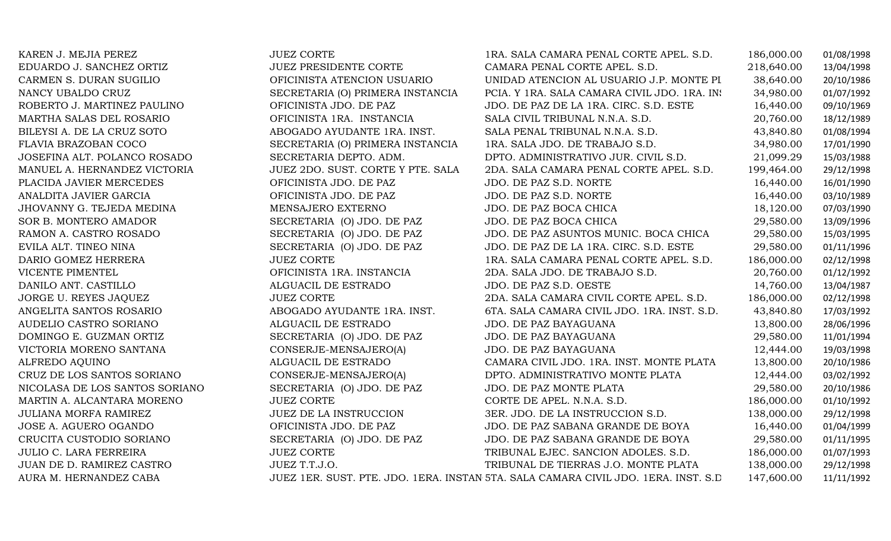| KAREN J. MEJIA PEREZ           | <b>JUEZ CORTE</b>                 | 1RA. SALA CAMARA PENAL CORTE APEL. S.D.                                             | 186,000.00 | 01/08/1998 |
|--------------------------------|-----------------------------------|-------------------------------------------------------------------------------------|------------|------------|
| EDUARDO J. SANCHEZ ORTIZ       | <b>JUEZ PRESIDENTE CORTE</b>      | CAMARA PENAL CORTE APEL. S.D.                                                       | 218,640.00 | 13/04/1998 |
| CARMEN S. DURAN SUGILIO        | OFICINISTA ATENCION USUARIO       | UNIDAD ATENCION AL USUARIO J.P. MONTE PI                                            | 38,640.00  | 20/10/1986 |
| NANCY UBALDO CRUZ              | SECRETARIA (O) PRIMERA INSTANCIA  | PCIA. Y 1RA. SALA CAMARA CIVIL JDO. 1RA. IN:                                        | 34,980.00  | 01/07/1992 |
| ROBERTO J. MARTINEZ PAULINO    | OFICINISTA JDO. DE PAZ            | JDO. DE PAZ DE LA 1RA. CIRC. S.D. ESTE                                              | 16,440.00  | 09/10/1969 |
| MARTHA SALAS DEL ROSARIO       | OFICINISTA 1RA. INSTANCIA         | SALA CIVIL TRIBUNAL N.N.A. S.D.                                                     | 20,760.00  | 18/12/1989 |
| BILEYSI A. DE LA CRUZ SOTO     | ABOGADO AYUDANTE 1RA. INST.       | SALA PENAL TRIBUNAL N.N.A. S.D.                                                     | 43,840.80  | 01/08/1994 |
| FLAVIA BRAZOBAN COCO           | SECRETARIA (O) PRIMERA INSTANCIA  | 1RA. SALA JDO. DE TRABAJO S.D.                                                      | 34,980.00  | 17/01/1990 |
| JOSEFINA ALT. POLANCO ROSADO   | SECRETARIA DEPTO. ADM.            | DPTO. ADMINISTRATIVO JUR. CIVIL S.D.                                                | 21,099.29  | 15/03/1988 |
| MANUEL A. HERNANDEZ VICTORIA   | JUEZ 2DO. SUST. CORTE Y PTE. SALA | 2DA. SALA CAMARA PENAL CORTE APEL. S.D.                                             | 199,464.00 | 29/12/1998 |
| PLACIDA JAVIER MERCEDES        | OFICINISTA JDO. DE PAZ            | JDO. DE PAZ S.D. NORTE                                                              | 16,440.00  | 16/01/1990 |
| ANALDITA JAVIER GARCIA         | OFICINISTA JDO. DE PAZ            | JDO. DE PAZ S.D. NORTE                                                              | 16,440.00  | 03/10/1989 |
| JHOVANNY G. TEJEDA MEDINA      | MENSAJERO EXTERNO                 | JDO. DE PAZ BOCA CHICA                                                              | 18,120.00  | 07/03/1990 |
| SOR B. MONTERO AMADOR          | SECRETARIA (O) JDO. DE PAZ        | JDO. DE PAZ BOCA CHICA                                                              | 29,580.00  | 13/09/1996 |
| RAMON A. CASTRO ROSADO         | SECRETARIA (O) JDO. DE PAZ        | JDO. DE PAZ ASUNTOS MUNIC. BOCA CHICA                                               | 29,580.00  | 15/03/1995 |
| EVILA ALT. TINEO NINA          | SECRETARIA (O) JDO. DE PAZ        | JDO. DE PAZ DE LA 1RA. CIRC. S.D. ESTE                                              | 29,580.00  | 01/11/1996 |
| DARIO GOMEZ HERRERA            | <b>JUEZ CORTE</b>                 | 1RA. SALA CAMARA PENAL CORTE APEL. S.D.                                             | 186,000.00 | 02/12/1998 |
| VICENTE PIMENTEL               | OFICINISTA 1RA. INSTANCIA         | 2DA. SALA JDO. DE TRABAJO S.D.                                                      | 20,760.00  | 01/12/1992 |
| DANILO ANT. CASTILLO           | ALGUACIL DE ESTRADO               | JDO. DE PAZ S.D. OESTE                                                              | 14,760.00  | 13/04/1987 |
| JORGE U. REYES JAQUEZ          | <b>JUEZ CORTE</b>                 | 2DA. SALA CAMARA CIVIL CORTE APEL. S.D.                                             | 186,000.00 | 02/12/1998 |
| ANGELITA SANTOS ROSARIO        | ABOGADO AYUDANTE 1RA. INST.       | 6TA. SALA CAMARA CIVIL JDO. 1RA. INST. S.D.                                         | 43,840.80  | 17/03/1992 |
| AUDELIO CASTRO SORIANO         | ALGUACIL DE ESTRADO               | JDO. DE PAZ BAYAGUANA                                                               | 13,800.00  | 28/06/1996 |
| DOMINGO E. GUZMAN ORTIZ        | SECRETARIA (O) JDO. DE PAZ        | JDO. DE PAZ BAYAGUANA                                                               | 29,580.00  | 11/01/1994 |
| VICTORIA MORENO SANTANA        | CONSERJE-MENSAJERO(A)             | JDO. DE PAZ BAYAGUANA                                                               | 12,444.00  | 19/03/1998 |
| ALFREDO AQUINO                 | ALGUACIL DE ESTRADO               | CAMARA CIVIL JDO. 1RA. INST. MONTE PLATA                                            | 13,800.00  | 20/10/1986 |
| CRUZ DE LOS SANTOS SORIANO     | CONSERJE-MENSAJERO(A)             | DPTO. ADMINISTRATIVO MONTE PLATA                                                    | 12,444.00  | 03/02/1992 |
| NICOLASA DE LOS SANTOS SORIANO | SECRETARIA (O) JDO. DE PAZ        | JDO. DE PAZ MONTE PLATA                                                             | 29,580.00  | 20/10/1986 |
| MARTIN A. ALCANTARA MORENO     | <b>JUEZ CORTE</b>                 | CORTE DE APEL. N.N.A. S.D.                                                          | 186,000.00 | 01/10/1992 |
| <b>JULIANA MORFA RAMIREZ</b>   | <b>JUEZ DE LA INSTRUCCION</b>     | 3ER. JDO. DE LA INSTRUCCION S.D.                                                    | 138,000.00 | 29/12/1998 |
| JOSE A. AGUERO OGANDO          | OFICINISTA JDO. DE PAZ            | JDO. DE PAZ SABANA GRANDE DE BOYA                                                   | 16,440.00  | 01/04/1999 |
| CRUCITA CUSTODIO SORIANO       | SECRETARIA (O) JDO. DE PAZ        | JDO. DE PAZ SABANA GRANDE DE BOYA                                                   | 29,580.00  | 01/11/1995 |
| <b>JULIO C. LARA FERREIRA</b>  | <b>JUEZ CORTE</b>                 | TRIBUNAL EJEC. SANCION ADOLES. S.D.                                                 | 186,000.00 | 01/07/1993 |
| JUAN DE D. RAMIREZ CASTRO      | JUEZ T.T.J.O.                     | TRIBUNAL DE TIERRAS J.O. MONTE PLATA                                                | 138,000.00 | 29/12/1998 |
| AURA M. HERNANDEZ CABA         |                                   | JUEZ 1ER. SUST. PTE. JDO. 1ERA. INSTAN 5TA. SALA CAMARA CIVIL JDO. 1ERA. INST. S.D. | 147,600.00 | 11/11/1992 |
|                                |                                   |                                                                                     |            |            |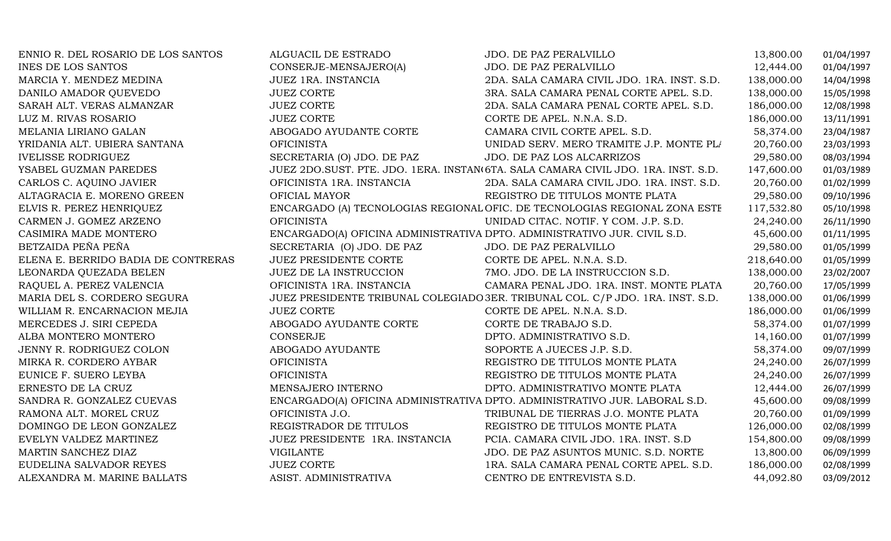| ENNIO R. DEL ROSARIO DE LOS SANTOS  | ALGUACIL DE ESTRADO                                                      | JDO. DE PAZ PERALVILLO                                                            | 13,800.00  | 01/04/1997 |
|-------------------------------------|--------------------------------------------------------------------------|-----------------------------------------------------------------------------------|------------|------------|
| <b>INES DE LOS SANTOS</b>           | CONSERJE-MENSAJERO(A)                                                    | JDO. DE PAZ PERALVILLO                                                            | 12,444.00  | 01/04/1997 |
| MARCIA Y. MENDEZ MEDINA             | JUEZ 1RA. INSTANCIA                                                      | 2DA. SALA CAMARA CIVIL JDO. 1RA. INST. S.D.                                       | 138,000.00 | 14/04/1998 |
| DANILO AMADOR QUEVEDO               | <b>JUEZ CORTE</b>                                                        | 3RA. SALA CAMARA PENAL CORTE APEL. S.D.                                           | 138,000.00 | 15/05/1998 |
| SARAH ALT. VERAS ALMANZAR           | <b>JUEZ CORTE</b>                                                        | 2DA. SALA CAMARA PENAL CORTE APEL. S.D.                                           | 186,000.00 | 12/08/1998 |
| LUZ M. RIVAS ROSARIO                | <b>JUEZ CORTE</b>                                                        | CORTE DE APEL. N.N.A. S.D.                                                        | 186,000.00 | 13/11/1991 |
| MELANIA LIRIANO GALAN               | ABOGADO AYUDANTE CORTE                                                   | CAMARA CIVIL CORTE APEL. S.D.                                                     | 58,374.00  | 23/04/1987 |
| YRIDANIA ALT. UBIERA SANTANA        | <b>OFICINISTA</b>                                                        | UNIDAD SERV. MERO TRAMITE J.P. MONTE PL/                                          | 20,760.00  | 23/03/1993 |
| <b>IVELISSE RODRIGUEZ</b>           | SECRETARIA (O) JDO. DE PAZ                                               | JDO. DE PAZ LOS ALCARRIZOS                                                        | 29,580.00  | 08/03/1994 |
| YSABEL GUZMAN PAREDES               |                                                                          | JUEZ 2DO.SUST. PTE. JDO. 1ERA. INSTAN(6TA. SALA CAMARA CIVIL JDO. 1RA. INST. S.D. | 147,600.00 | 01/03/1989 |
| CARLOS C. AQUINO JAVIER             | OFICINISTA 1RA. INSTANCIA                                                | 2DA. SALA CAMARA CIVIL JDO. 1RA. INST. S.D.                                       | 20,760.00  | 01/02/1999 |
| ALTAGRACIA E. MORENO GREEN          | OFICIAL MAYOR                                                            | REGISTRO DE TITULOS MONTE PLATA                                                   | 29,580.00  | 09/10/1996 |
| ELVIS R. PEREZ HENRIQUEZ            |                                                                          | ENCARGADO (A) TECNOLOGIAS REGIONAL OFIC. DE TECNOLOGIAS REGIONAL ZONA ESTE        | 117,532.80 | 05/10/1998 |
| CARMEN J. GOMEZ ARZENO              | <b>OFICINISTA</b>                                                        | UNIDAD CITAC. NOTIF. Y COM. J.P. S.D.                                             | 24,240.00  | 26/11/1990 |
| CASIMIRA MADE MONTERO               | ENCARGADO(A) OFICINA ADMINISTRATIVA DPTO. ADMINISTRATIVO JUR. CIVIL S.D. |                                                                                   | 45,600.00  | 01/11/1995 |
| BETZAIDA PEÑA PEÑA                  | SECRETARIA (O) JDO. DE PAZ                                               | JDO. DE PAZ PERALVILLO                                                            | 29,580.00  | 01/05/1999 |
| ELENA E. BERRIDO BADIA DE CONTRERAS | <b>JUEZ PRESIDENTE CORTE</b>                                             | CORTE DE APEL. N.N.A. S.D.                                                        | 218,640.00 | 01/05/1999 |
| LEONARDA QUEZADA BELEN              | JUEZ DE LA INSTRUCCION                                                   | 7MO. JDO. DE LA INSTRUCCION S.D.                                                  | 138,000.00 | 23/02/2007 |
| RAQUEL A. PEREZ VALENCIA            | OFICINISTA 1RA. INSTANCIA                                                | CAMARA PENAL JDO. 1RA. INST. MONTE PLATA                                          | 20,760.00  | 17/05/1999 |
| MARIA DEL S. CORDERO SEGURA         |                                                                          | JUEZ PRESIDENTE TRIBUNAL COLEGIADO 3ER. TRIBUNAL COL. C/P JDO. 1RA. INST. S.D.    | 138,000.00 | 01/06/1999 |
| WILLIAM R. ENCARNACION MEJIA        | <b>JUEZ CORTE</b>                                                        | CORTE DE APEL. N.N.A. S.D.                                                        | 186,000.00 | 01/06/1999 |
| MERCEDES J. SIRI CEPEDA             | ABOGADO AYUDANTE CORTE                                                   | CORTE DE TRABAJO S.D.                                                             | 58,374.00  | 01/07/1999 |
| ALBA MONTERO MONTERO                | <b>CONSERJE</b>                                                          | DPTO. ADMINISTRATIVO S.D.                                                         | 14,160.00  | 01/07/1999 |
| JENNY R. RODRIGUEZ COLON            | ABOGADO AYUDANTE                                                         | SOPORTE A JUECES J.P. S.D.                                                        | 58,374.00  | 09/07/1999 |
| MIRKA R. CORDERO AYBAR              | <b>OFICINISTA</b>                                                        | REGISTRO DE TITULOS MONTE PLATA                                                   | 24,240.00  | 26/07/1999 |
| EUNICE F. SUERO LEYBA               | <b>OFICINISTA</b>                                                        | REGISTRO DE TITULOS MONTE PLATA                                                   | 24,240.00  | 26/07/1999 |
| ERNESTO DE LA CRUZ                  | MENSAJERO INTERNO                                                        | DPTO. ADMINISTRATIVO MONTE PLATA                                                  | 12,444.00  | 26/07/1999 |
| SANDRA R. GONZALEZ CUEVAS           |                                                                          | ENCARGADO(A) OFICINA ADMINISTRATIVA DPTO. ADMINISTRATIVO JUR. LABORAL S.D.        | 45,600.00  | 09/08/1999 |
| RAMONA ALT. MOREL CRUZ              | OFICINISTA J.O.                                                          | TRIBUNAL DE TIERRAS J.O. MONTE PLATA                                              | 20,760.00  | 01/09/1999 |
| DOMINGO DE LEON GONZALEZ            | REGISTRADOR DE TITULOS                                                   | REGISTRO DE TITULOS MONTE PLATA                                                   | 126,000.00 | 02/08/1999 |
| EVELYN VALDEZ MARTINEZ              | JUEZ PRESIDENTE 1RA. INSTANCIA                                           | PCIA. CAMARA CIVIL JDO. 1RA. INST. S.D                                            | 154,800.00 | 09/08/1999 |
| MARTIN SANCHEZ DIAZ                 | <b>VIGILANTE</b>                                                         | JDO. DE PAZ ASUNTOS MUNIC. S.D. NORTE                                             | 13,800.00  | 06/09/1999 |
| EUDELINA SALVADOR REYES             | <b>JUEZ CORTE</b>                                                        | 1RA. SALA CAMARA PENAL CORTE APEL. S.D.                                           | 186,000.00 | 02/08/1999 |
| ALEXANDRA M. MARINE BALLATS         | ASIST. ADMINISTRATIVA                                                    | CENTRO DE ENTREVISTA S.D.                                                         | 44,092.80  | 03/09/2012 |
|                                     |                                                                          |                                                                                   |            |            |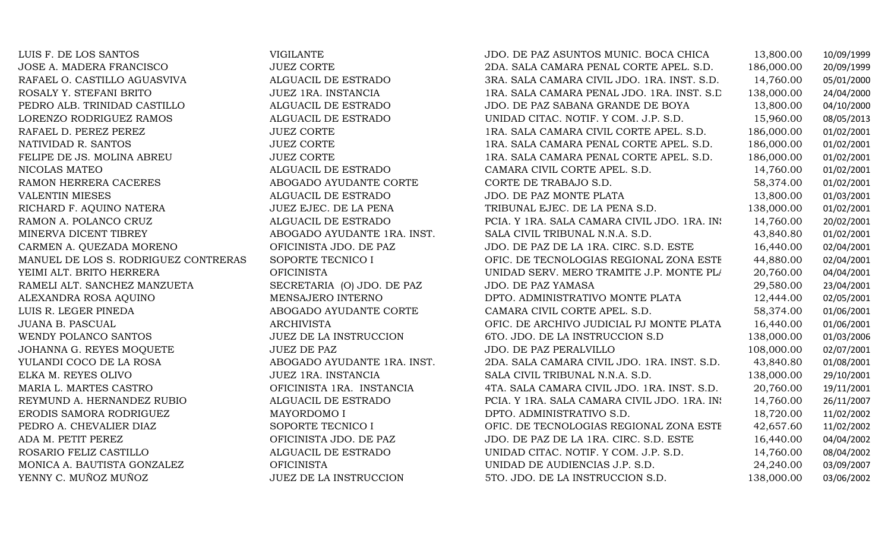| LUIS F. DE LOS SANTOS                | <b>VIGILANTE</b>            | JDO. DE PAZ ASUNTOS MUNIC. BOCA CHICA        | 13,800.00  | 10/09/1999 |
|--------------------------------------|-----------------------------|----------------------------------------------|------------|------------|
| JOSE A. MADERA FRANCISCO             | JUEZ CORTE                  | 2DA. SALA CAMARA PENAL CORTE APEL. S.D.      | 186,000.00 | 20/09/1999 |
| RAFAEL O. CASTILLO AGUASVIVA         | ALGUACIL DE ESTRADO         | 3RA. SALA CAMARA CIVIL JDO. 1RA. INST. S.D.  | 14,760.00  | 05/01/2000 |
| ROSALY Y. STEFANI BRITO              | JUEZ 1RA. INSTANCIA         | 1RA. SALA CAMARA PENAL JDO. 1RA. INST. S.D.  | 138,000.00 | 24/04/2000 |
| PEDRO ALB. TRINIDAD CASTILLO         | ALGUACIL DE ESTRADO         | JDO. DE PAZ SABANA GRANDE DE BOYA            | 13,800.00  | 04/10/2000 |
| LORENZO RODRIGUEZ RAMOS              | ALGUACIL DE ESTRADO         | UNIDAD CITAC. NOTIF. Y COM. J.P. S.D.        | 15,960.00  | 08/05/2013 |
| RAFAEL D. PEREZ PEREZ                | <b>JUEZ CORTE</b>           | 1RA. SALA CAMARA CIVIL CORTE APEL. S.D.      | 186,000.00 | 01/02/2001 |
| NATIVIDAD R. SANTOS                  | <b>JUEZ CORTE</b>           | 1RA. SALA CAMARA PENAL CORTE APEL. S.D.      | 186,000.00 | 01/02/2001 |
| FELIPE DE JS. MOLINA ABREU           | <b>JUEZ CORTE</b>           | 1RA. SALA CAMARA PENAL CORTE APEL. S.D.      | 186,000.00 | 01/02/2001 |
| NICOLAS MATEO                        | ALGUACIL DE ESTRADO         | CAMARA CIVIL CORTE APEL. S.D.                | 14,760.00  | 01/02/2001 |
| RAMON HERRERA CACERES                | ABOGADO AYUDANTE CORTE      | CORTE DE TRABAJO S.D.                        | 58,374.00  | 01/02/2001 |
| <b>VALENTIN MIESES</b>               | ALGUACIL DE ESTRADO         | JDO. DE PAZ MONTE PLATA                      | 13,800.00  | 01/03/2001 |
| RICHARD F. AQUINO NATERA             | JUEZ EJEC. DE LA PENA       | TRIBUNAL EJEC. DE LA PENA S.D.               | 138,000.00 | 01/02/2001 |
| RAMON A. POLANCO CRUZ                | ALGUACIL DE ESTRADO         | PCIA. Y 1RA. SALA CAMARA CIVIL JDO. 1RA. IN: | 14,760.00  | 20/02/2001 |
| MINERVA DICENT TIBREY                | ABOGADO AYUDANTE 1RA. INST. | SALA CIVIL TRIBUNAL N.N.A. S.D.              | 43,840.80  | 01/02/2001 |
| CARMEN A. QUEZADA MORENO             | OFICINISTA JDO. DE PAZ      | JDO. DE PAZ DE LA 1RA. CIRC. S.D. ESTE       | 16,440.00  | 02/04/2001 |
| MANUEL DE LOS S. RODRIGUEZ CONTRERAS | SOPORTE TECNICO I           | OFIC. DE TECNOLOGIAS REGIONAL ZONA ESTE      | 44,880.00  | 02/04/2001 |
| YEIMI ALT. BRITO HERRERA             | <b>OFICINISTA</b>           | UNIDAD SERV. MERO TRAMITE J.P. MONTE PL/     | 20,760.00  | 04/04/2001 |
| RAMELI ALT. SANCHEZ MANZUETA         | SECRETARIA (O) JDO. DE PAZ  | JDO. DE PAZ YAMASA                           | 29,580.00  | 23/04/2001 |
| ALEXANDRA ROSA AQUINO                | MENSAJERO INTERNO           | DPTO. ADMINISTRATIVO MONTE PLATA             | 12,444.00  | 02/05/2001 |
| LUIS R. LEGER PINEDA                 | ABOGADO AYUDANTE CORTE      | CAMARA CIVIL CORTE APEL. S.D.                | 58,374.00  | 01/06/2001 |
| <b>JUANA B. PASCUAL</b>              | <b>ARCHIVISTA</b>           | OFIC. DE ARCHIVO JUDICIAL PJ MONTE PLATA     | 16,440.00  | 01/06/2001 |
| WENDY POLANCO SANTOS                 | JUEZ DE LA INSTRUCCION      | 6TO. JDO. DE LA INSTRUCCION S.D              | 138,000.00 | 01/03/2006 |
| JOHANNA G. REYES MOQUETE             | <b>JUEZ DE PAZ</b>          | JDO. DE PAZ PERALVILLO                       | 108,000.00 | 02/07/2001 |
| YULANDI COCO DE LA ROSA              | ABOGADO AYUDANTE 1RA. INST. | 2DA. SALA CAMARA CIVIL JDO. 1RA. INST. S.D.  | 43,840.80  | 01/08/2001 |
| ELKA M. REYES OLIVO                  | JUEZ 1RA. INSTANCIA         | SALA CIVIL TRIBUNAL N.N.A. S.D.              | 138,000.00 | 29/10/2001 |
| MARIA L. MARTES CASTRO               | OFICINISTA 1RA. INSTANCIA   | 4TA. SALA CAMARA CIVIL JDO. 1RA. INST. S.D.  | 20,760.00  | 19/11/2001 |
| REYMUND A. HERNANDEZ RUBIO           | ALGUACIL DE ESTRADO         | PCIA. Y 1RA. SALA CAMARA CIVIL JDO. 1RA. IN: | 14,760.00  | 26/11/2007 |
| ERODIS SAMORA RODRIGUEZ              | MAYORDOMO I                 | DPTO. ADMINISTRATIVO S.D.                    | 18,720.00  | 11/02/2002 |
| PEDRO A. CHEVALIER DIAZ              | SOPORTE TECNICO I           | OFIC. DE TECNOLOGIAS REGIONAL ZONA ESTE      | 42,657.60  | 11/02/2002 |
| ADA M. PETIT PEREZ                   | OFICINISTA JDO. DE PAZ      | JDO. DE PAZ DE LA 1RA. CIRC. S.D. ESTE       | 16,440.00  | 04/04/2002 |
| ROSARIO FELIZ CASTILLO               | ALGUACIL DE ESTRADO         | UNIDAD CITAC. NOTIF. Y COM. J.P. S.D.        | 14,760.00  | 08/04/2002 |
| MONICA A. BAUTISTA GONZALEZ          | <b>OFICINISTA</b>           | UNIDAD DE AUDIENCIAS J.P. S.D.               | 24,240.00  | 03/09/2007 |
| YENNY C. MUÑOZ MUÑOZ                 | JUEZ DE LA INSTRUCCION      | 5TO. JDO. DE LA INSTRUCCION S.D.             | 138,000.00 | 03/06/2002 |
|                                      |                             |                                              |            |            |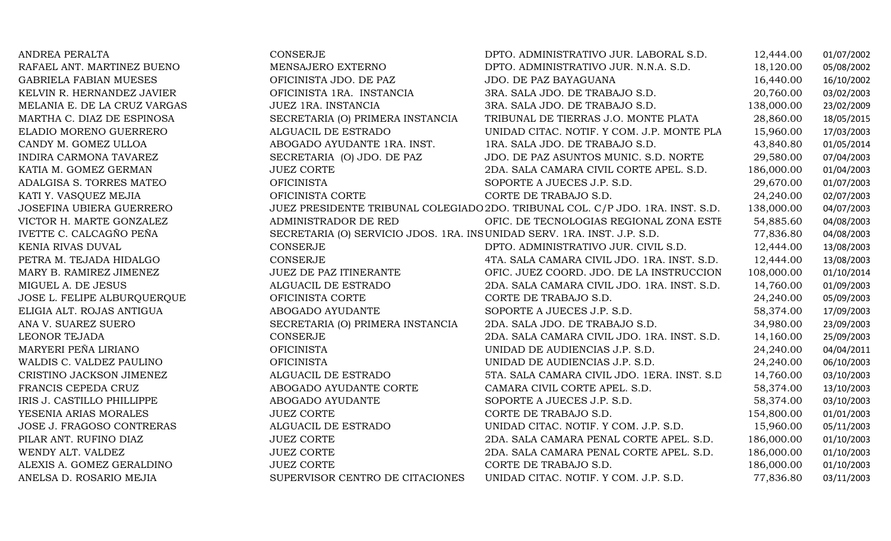| ANDREA PERALTA                  | CONSERJE                                                                | DPTO. ADMINISTRATIVO JUR. LABORAL S.D.                                         | 12,444.00  | 01/07/2002 |
|---------------------------------|-------------------------------------------------------------------------|--------------------------------------------------------------------------------|------------|------------|
| RAFAEL ANT. MARTINEZ BUENO      | MENSAJERO EXTERNO                                                       | DPTO. ADMINISTRATIVO JUR. N.N.A. S.D.                                          | 18,120.00  | 05/08/2002 |
| <b>GABRIELA FABIAN MUESES</b>   | OFICINISTA JDO. DE PAZ                                                  | <b>JDO. DE PAZ BAYAGUANA</b>                                                   | 16,440.00  | 16/10/2002 |
| KELVIN R. HERNANDEZ JAVIER      | OFICINISTA 1RA. INSTANCIA                                               | 3RA. SALA JDO. DE TRABAJO S.D.                                                 | 20,760.00  | 03/02/2003 |
| MELANIA E. DE LA CRUZ VARGAS    | JUEZ 1RA. INSTANCIA                                                     | 3RA. SALA JDO. DE TRABAJO S.D.                                                 | 138,000.00 | 23/02/2009 |
| MARTHA C. DIAZ DE ESPINOSA      | SECRETARIA (O) PRIMERA INSTANCIA                                        | TRIBUNAL DE TIERRAS J.O. MONTE PLATA                                           | 28,860.00  | 18/05/2015 |
| ELADIO MORENO GUERRERO          | ALGUACIL DE ESTRADO                                                     | UNIDAD CITAC. NOTIF. Y COM. J.P. MONTE PLA                                     | 15,960.00  | 17/03/2003 |
| CANDY M. GOMEZ ULLOA            | ABOGADO AYUDANTE 1RA. INST.                                             | 1RA. SALA JDO. DE TRABAJO S.D.                                                 | 43,840.80  | 01/05/2014 |
| INDIRA CARMONA TAVAREZ          | SECRETARIA (O) JDO. DE PAZ                                              | JDO. DE PAZ ASUNTOS MUNIC. S.D. NORTE                                          | 29,580.00  | 07/04/2003 |
| KATIA M. GOMEZ GERMAN           | <b>JUEZ CORTE</b>                                                       | 2DA. SALA CAMARA CIVIL CORTE APEL. S.D.                                        | 186,000.00 | 01/04/2003 |
| ADALGISA S. TORRES MATEO        | <b>OFICINISTA</b>                                                       | SOPORTE A JUECES J.P. S.D.                                                     | 29,670.00  | 01/07/2003 |
| KATI Y. VASQUEZ MEJIA           | OFICINISTA CORTE                                                        | CORTE DE TRABAJO S.D.                                                          | 24,240.00  | 02/07/2003 |
| <b>JOSEFINA UBIERA GUERRERO</b> |                                                                         | JUEZ PRESIDENTE TRIBUNAL COLEGIADO 2DO. TRIBUNAL COL. C/P JDO. 1RA. INST. S.D. | 138,000.00 | 04/07/2003 |
| VICTOR H. MARTE GONZALEZ        | ADMINISTRADOR DE RED                                                    | OFIC. DE TECNOLOGIAS REGIONAL ZONA ESTE                                        | 54,885.60  | 04/08/2003 |
| IVETTE C. CALCAGÑO PEÑA         | SECRETARIA (O) SERVICIO JDOS. 1RA. INSUNIDAD SERV. 1RA. INST. J.P. S.D. |                                                                                | 77,836.80  | 04/08/2003 |
| KENIA RIVAS DUVAL               | <b>CONSERJE</b>                                                         | DPTO. ADMINISTRATIVO JUR. CIVIL S.D.                                           | 12,444.00  | 13/08/2003 |
| PETRA M. TEJADA HIDALGO         | CONSERJE                                                                | 4TA. SALA CAMARA CIVIL JDO. 1RA. INST. S.D.                                    | 12,444.00  | 13/08/2003 |
| MARY B. RAMIREZ JIMENEZ         | JUEZ DE PAZ ITINERANTE                                                  | OFIC. JUEZ COORD. JDO. DE LA INSTRUCCION                                       | 108,000.00 | 01/10/2014 |
| MIGUEL A. DE JESUS              | ALGUACIL DE ESTRADO                                                     | 2DA. SALA CAMARA CIVIL JDO. 1RA. INST. S.D.                                    | 14,760.00  | 01/09/2003 |
| JOSE L. FELIPE ALBURQUERQUE     | OFICINISTA CORTE                                                        | CORTE DE TRABAJO S.D.                                                          | 24,240.00  | 05/09/2003 |
| ELIGIA ALT. ROJAS ANTIGUA       | ABOGADO AYUDANTE                                                        | SOPORTE A JUECES J.P. S.D.                                                     | 58,374.00  | 17/09/2003 |
| ANA V. SUAREZ SUERO             | SECRETARIA (O) PRIMERA INSTANCIA                                        | 2DA. SALA JDO. DE TRABAJO S.D.                                                 | 34,980.00  | 23/09/2003 |
| LEONOR TEJADA                   | CONSERJE                                                                | 2DA. SALA CAMARA CIVIL JDO. 1RA. INST. S.D.                                    | 14,160.00  | 25/09/2003 |
| MARYERI PEÑA LIRIANO            | <b>OFICINISTA</b>                                                       | UNIDAD DE AUDIENCIAS J.P. S.D.                                                 | 24,240.00  | 04/04/2011 |
| WALDIS C. VALDEZ PAULINO        | <b>OFICINISTA</b>                                                       | UNIDAD DE AUDIENCIAS J.P. S.D.                                                 | 24,240.00  | 06/10/2003 |
| CRISTINO JACKSON JIMENEZ        | ALGUACIL DE ESTRADO                                                     | 5TA. SALA CAMARA CIVIL JDO. 1ERA. INST. S.D.                                   | 14,760.00  | 03/10/2003 |
| FRANCIS CEPEDA CRUZ             | ABOGADO AYUDANTE CORTE                                                  | CAMARA CIVIL CORTE APEL. S.D.                                                  | 58,374.00  | 13/10/2003 |
| IRIS J. CASTILLO PHILLIPPE      | ABOGADO AYUDANTE                                                        | SOPORTE A JUECES J.P. S.D.                                                     | 58,374.00  | 03/10/2003 |
| YESENIA ARIAS MORALES           | <b>JUEZ CORTE</b>                                                       | CORTE DE TRABAJO S.D.                                                          | 154,800.00 | 01/01/2003 |
| JOSE J. FRAGOSO CONTRERAS       | ALGUACIL DE ESTRADO                                                     | UNIDAD CITAC. NOTIF. Y COM. J.P. S.D.                                          | 15,960.00  | 05/11/2003 |
| PILAR ANT. RUFINO DIAZ          | <b>JUEZ CORTE</b>                                                       | 2DA. SALA CAMARA PENAL CORTE APEL. S.D.                                        | 186,000.00 | 01/10/2003 |
| WENDY ALT. VALDEZ               | <b>JUEZ CORTE</b>                                                       | 2DA. SALA CAMARA PENAL CORTE APEL. S.D.                                        | 186,000.00 | 01/10/2003 |
| ALEXIS A. GOMEZ GERALDINO       | <b>JUEZ CORTE</b>                                                       | CORTE DE TRABAJO S.D.                                                          | 186,000.00 | 01/10/2003 |
| ANELSA D. ROSARIO MEJIA         | SUPERVISOR CENTRO DE CITACIONES                                         | UNIDAD CITAC. NOTIF. Y COM. J.P. S.D.                                          | 77,836.80  | 03/11/2003 |
|                                 |                                                                         |                                                                                |            |            |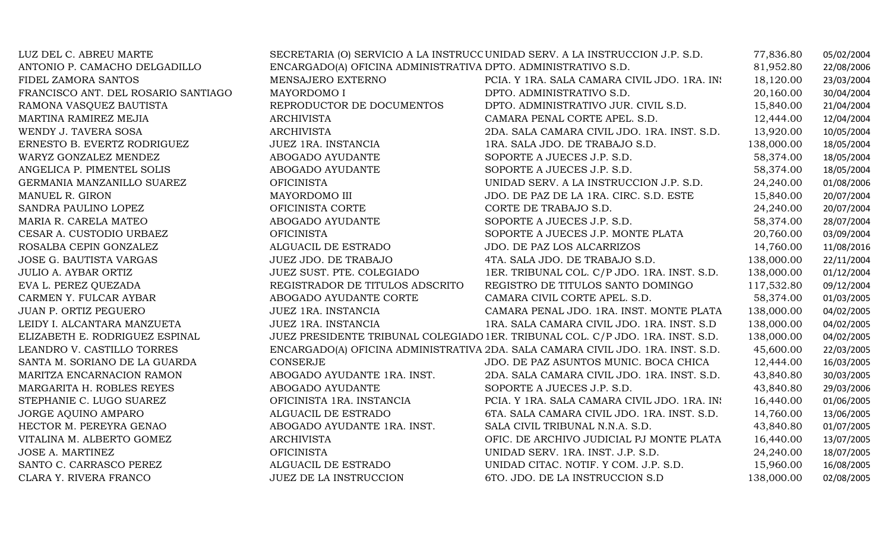| LUZ DEL C. ABREU MARTE              |                                                               | SECRETARIA (O) SERVICIO A LA INSTRUCC UNIDAD SERV. A LA INSTRUCCION J.P. S.D.   | 77,836.80  | 05/02/2004 |
|-------------------------------------|---------------------------------------------------------------|---------------------------------------------------------------------------------|------------|------------|
| ANTONIO P. CAMACHO DELGADILLO       | ENCARGADO(A) OFICINA ADMINISTRATIVA DPTO. ADMINISTRATIVO S.D. |                                                                                 | 81,952.80  | 22/08/2006 |
| FIDEL ZAMORA SANTOS                 | MENSAJERO EXTERNO                                             | PCIA. Y 1RA. SALA CAMARA CIVIL JDO. 1RA. IN:                                    | 18,120.00  | 23/03/2004 |
| FRANCISCO ANT. DEL ROSARIO SANTIAGO | MAYORDOMO I                                                   | DPTO. ADMINISTRATIVO S.D.                                                       | 20,160.00  | 30/04/2004 |
| RAMONA VASQUEZ BAUTISTA             | REPRODUCTOR DE DOCUMENTOS                                     | DPTO. ADMINISTRATIVO JUR. CIVIL S.D.                                            | 15,840.00  | 21/04/2004 |
| MARTINA RAMIREZ MEJIA               | ARCHIVISTA                                                    | CAMARA PENAL CORTE APEL. S.D.                                                   | 12,444.00  | 12/04/2004 |
| WENDY J. TAVERA SOSA                | <b>ARCHIVISTA</b>                                             | 2DA. SALA CAMARA CIVIL JDO. 1RA. INST. S.D.                                     | 13,920.00  | 10/05/2004 |
| ERNESTO B. EVERTZ RODRIGUEZ         | JUEZ 1RA. INSTANCIA                                           | 1RA. SALA JDO. DE TRABAJO S.D.                                                  | 138,000.00 | 18/05/2004 |
| WARYZ GONZALEZ MENDEZ               | ABOGADO AYUDANTE                                              | SOPORTE A JUECES J.P. S.D.                                                      | 58,374.00  | 18/05/2004 |
| ANGELICA P. PIMENTEL SOLIS          | ABOGADO AYUDANTE                                              | SOPORTE A JUECES J.P. S.D.                                                      | 58,374.00  | 18/05/2004 |
| GERMANIA MANZANILLO SUAREZ          | <b>OFICINISTA</b>                                             | UNIDAD SERV. A LA INSTRUCCION J.P. S.D.                                         | 24,240.00  | 01/08/2006 |
| MANUEL R. GIRON                     | MAYORDOMO III                                                 | JDO. DE PAZ DE LA 1RA. CIRC. S.D. ESTE                                          | 15,840.00  | 20/07/2004 |
| SANDRA PAULINO LOPEZ                | OFICINISTA CORTE                                              | CORTE DE TRABAJO S.D.                                                           | 24,240.00  | 20/07/2004 |
| MARIA R. CARELA MATEO               | ABOGADO AYUDANTE                                              | SOPORTE A JUECES J.P. S.D.                                                      | 58,374.00  | 28/07/2004 |
| CESAR A. CUSTODIO URBAEZ            | <b>OFICINISTA</b>                                             | SOPORTE A JUECES J.P. MONTE PLATA                                               | 20,760.00  | 03/09/2004 |
| ROSALBA CEPIN GONZALEZ              | ALGUACIL DE ESTRADO                                           | JDO. DE PAZ LOS ALCARRIZOS                                                      | 14,760.00  | 11/08/2016 |
| JOSE G. BAUTISTA VARGAS             | JUEZ JDO. DE TRABAJO                                          | 4TA. SALA JDO. DE TRABAJO S.D.                                                  | 138,000.00 | 22/11/2004 |
| <b>JULIO A. AYBAR ORTIZ</b>         | JUEZ SUST. PTE. COLEGIADO                                     | 1ER. TRIBUNAL COL. C/P JDO. 1RA. INST. S.D.                                     | 138,000.00 | 01/12/2004 |
| EVA L. PEREZ QUEZADA                | REGISTRADOR DE TITULOS ADSCRITO                               | REGISTRO DE TITULOS SANTO DOMINGO                                               | 117,532.80 | 09/12/2004 |
| CARMEN Y. FULCAR AYBAR              | ABOGADO AYUDANTE CORTE                                        | CAMARA CIVIL CORTE APEL. S.D.                                                   | 58,374.00  | 01/03/2005 |
| JUAN P. ORTIZ PEGUERO               | JUEZ 1RA. INSTANCIA                                           | CAMARA PENAL JDO. 1RA. INST. MONTE PLATA                                        | 138,000.00 | 04/02/2005 |
| LEIDY I. ALCANTARA MANZUETA         | <b>JUEZ 1RA. INSTANCIA</b>                                    | 1RA. SALA CAMARA CIVIL JDO. 1RA. INST. S.D                                      | 138,000.00 | 04/02/2005 |
| ELIZABETH E. RODRIGUEZ ESPINAL      |                                                               | JUEZ PRESIDENTE TRIBUNAL COLEGIADO 1ER. TRIBUNAL COL. C/P JDO. 1RA. INST. S.D.  | 138,000.00 | 04/02/2005 |
| LEANDRO V. CASTILLO TORRES          |                                                               | ENCARGADO(A) OFICINA ADMINISTRATIVA 2DA. SALA CAMARA CIVIL JDO. 1RA. INST. S.D. | 45,600.00  | 22/03/2005 |
| SANTA M. SORIANO DE LA GUARDA       | CONSERJE                                                      | JDO. DE PAZ ASUNTOS MUNIC. BOCA CHICA                                           | 12,444.00  | 16/03/2005 |
| MARITZA ENCARNACION RAMON           | ABOGADO AYUDANTE 1RA. INST.                                   | 2DA. SALA CAMARA CIVIL JDO. 1RA. INST. S.D.                                     | 43,840.80  | 30/03/2005 |
| MARGARITA H. ROBLES REYES           | ABOGADO AYUDANTE                                              | SOPORTE A JUECES J.P. S.D.                                                      | 43,840.80  | 29/03/2006 |
| STEPHANIE C. LUGO SUAREZ            | OFICINISTA 1RA. INSTANCIA                                     | PCIA. Y 1RA. SALA CAMARA CIVIL JDO. 1RA. IN:                                    | 16,440.00  | 01/06/2005 |
| JORGE AQUINO AMPARO                 | ALGUACIL DE ESTRADO                                           | 6TA. SALA CAMARA CIVIL JDO. 1RA. INST. S.D.                                     | 14,760.00  | 13/06/2005 |
| HECTOR M. PEREYRA GENAO             | ABOGADO AYUDANTE 1RA. INST.                                   | SALA CIVIL TRIBUNAL N.N.A. S.D.                                                 | 43,840.80  | 01/07/2005 |
| VITALINA M. ALBERTO GOMEZ           | ARCHIVISTA                                                    | OFIC. DE ARCHIVO JUDICIAL PJ MONTE PLATA                                        | 16,440.00  | 13/07/2005 |
| JOSE A. MARTINEZ                    | <b>OFICINISTA</b>                                             | UNIDAD SERV. 1RA. INST. J.P. S.D.                                               | 24,240.00  | 18/07/2005 |
| SANTO C. CARRASCO PEREZ             | ALGUACIL DE ESTRADO                                           | UNIDAD CITAC. NOTIF. Y COM. J.P. S.D.                                           | 15,960.00  | 16/08/2005 |
| CLARA Y. RIVERA FRANCO              | JUEZ DE LA INSTRUCCION                                        | 6TO. JDO. DE LA INSTRUCCION S.D                                                 | 138,000.00 | 02/08/2005 |
|                                     |                                                               |                                                                                 |            |            |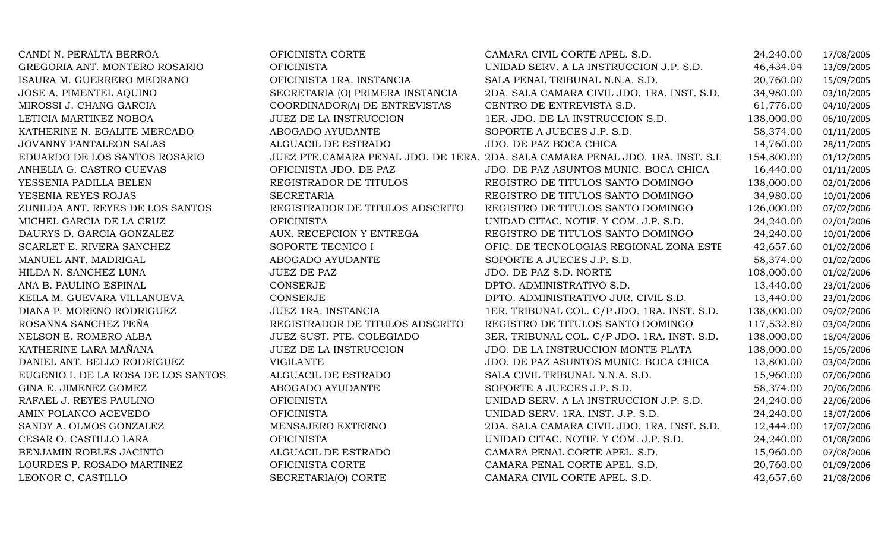| CANDI N. PERALTA BERROA             | OFICINISTA CORTE                 | CAMARA CIVIL CORTE APEL. S.D.                                                  | 24,240.00  | 17/08/2005 |
|-------------------------------------|----------------------------------|--------------------------------------------------------------------------------|------------|------------|
| GREGORIA ANT. MONTERO ROSARIO       | <b>OFICINISTA</b>                | UNIDAD SERV. A LA INSTRUCCION J.P. S.D.                                        | 46,434.04  | 13/09/2005 |
| ISAURA M. GUERRERO MEDRANO          | OFICINISTA 1RA. INSTANCIA        | SALA PENAL TRIBUNAL N.N.A. S.D.                                                | 20,760.00  | 15/09/2005 |
| JOSE A. PIMENTEL AQUINO             | SECRETARIA (O) PRIMERA INSTANCIA | 2DA. SALA CAMARA CIVIL JDO. 1RA. INST. S.D.                                    | 34,980.00  | 03/10/2005 |
| MIROSSI J. CHANG GARCIA             | COORDINADOR(A) DE ENTREVISTAS    | CENTRO DE ENTREVISTA S.D.                                                      | 61,776.00  | 04/10/2005 |
| LETICIA MARTINEZ NOBOA              | <b>JUEZ DE LA INSTRUCCION</b>    | 1ER. JDO. DE LA INSTRUCCION S.D.                                               | 138,000.00 | 06/10/2005 |
| KATHERINE N. EGALITE MERCADO        | ABOGADO AYUDANTE                 | SOPORTE A JUECES J.P. S.D.                                                     | 58,374.00  | 01/11/2005 |
| <b>JOVANNY PANTALEON SALAS</b>      | ALGUACIL DE ESTRADO              | JDO. DE PAZ BOCA CHICA                                                         | 14,760.00  | 28/11/2005 |
| EDUARDO DE LOS SANTOS ROSARIO       |                                  | JUEZ PTE.CAMARA PENAL JDO. DE 1ERA. 2DA. SALA CAMARA PENAL JDO. 1RA. INST. S.L | 154,800.00 | 01/12/2005 |
| ANHELIA G. CASTRO CUEVAS            | OFICINISTA JDO. DE PAZ           | JDO. DE PAZ ASUNTOS MUNIC. BOCA CHICA                                          | 16,440.00  | 01/11/2005 |
| YESSENIA PADILLA BELEN              | REGISTRADOR DE TITULOS           | REGISTRO DE TITULOS SANTO DOMINGO                                              | 138,000.00 | 02/01/2006 |
| YESENIA REYES ROJAS                 | <b>SECRETARIA</b>                | REGISTRO DE TITULOS SANTO DOMINGO                                              | 34,980.00  | 10/01/2006 |
| ZUNILDA ANT. REYES DE LOS SANTOS    | REGISTRADOR DE TITULOS ADSCRITO  | REGISTRO DE TITULOS SANTO DOMINGO                                              | 126,000.00 | 07/02/2006 |
| MICHEL GARCIA DE LA CRUZ            | <b>OFICINISTA</b>                | UNIDAD CITAC. NOTIF. Y COM. J.P. S.D.                                          | 24,240.00  | 02/01/2006 |
| DAURYS D. GARCIA GONZALEZ           | AUX. RECEPCION Y ENTREGA         | REGISTRO DE TITULOS SANTO DOMINGO                                              | 24,240.00  | 10/01/2006 |
| SCARLET E. RIVERA SANCHEZ           | SOPORTE TECNICO I                | OFIC. DE TECNOLOGIAS REGIONAL ZONA ESTE                                        | 42,657.60  | 01/02/2006 |
| MANUEL ANT. MADRIGAL                | ABOGADO AYUDANTE                 | SOPORTE A JUECES J.P. S.D.                                                     | 58,374.00  | 01/02/2006 |
| HILDA N. SANCHEZ LUNA               | <b>JUEZ DE PAZ</b>               | JDO. DE PAZ S.D. NORTE                                                         | 108,000.00 | 01/02/2006 |
| ANA B. PAULINO ESPINAL              | <b>CONSERJE</b>                  | DPTO. ADMINISTRATIVO S.D.                                                      | 13,440.00  | 23/01/2006 |
| KEILA M. GUEVARA VILLANUEVA         | CONSERJE                         | DPTO. ADMINISTRATIVO JUR. CIVIL S.D.                                           | 13,440.00  | 23/01/2006 |
| DIANA P. MORENO RODRIGUEZ           | JUEZ 1RA. INSTANCIA              | 1ER. TRIBUNAL COL. C/P JDO. 1RA. INST. S.D.                                    | 138,000.00 | 09/02/2006 |
| ROSANNA SANCHEZ PEÑA                | REGISTRADOR DE TITULOS ADSCRITO  | REGISTRO DE TITULOS SANTO DOMINGO                                              | 117,532.80 | 03/04/2006 |
| NELSON E. ROMERO ALBA               | JUEZ SUST. PTE. COLEGIADO        | 3ER. TRIBUNAL COL. C/P JDO. 1RA. INST. S.D.                                    | 138,000.00 | 18/04/2006 |
| KATHERINE LARA MAÑANA               | JUEZ DE LA INSTRUCCION           | JDO. DE LA INSTRUCCION MONTE PLATA                                             | 138,000.00 | 15/05/2006 |
| DANIEL ANT. BELLO RODRIGUEZ         | <b>VIGILANTE</b>                 | JDO. DE PAZ ASUNTOS MUNIC. BOCA CHICA                                          | 13,800.00  | 03/04/2006 |
| EUGENIO I. DE LA ROSA DE LOS SANTOS | ALGUACIL DE ESTRADO              | SALA CIVIL TRIBUNAL N.N.A. S.D.                                                | 15,960.00  | 07/06/2006 |
| GINA E. JIMENEZ GOMEZ               | ABOGADO AYUDANTE                 | SOPORTE A JUECES J.P. S.D.                                                     | 58,374.00  | 20/06/2006 |
| RAFAEL J. REYES PAULINO             | <b>OFICINISTA</b>                | UNIDAD SERV. A LA INSTRUCCION J.P. S.D.                                        | 24,240.00  | 22/06/2006 |
| AMIN POLANCO ACEVEDO                | <b>OFICINISTA</b>                | UNIDAD SERV. 1RA. INST. J.P. S.D.                                              | 24,240.00  | 13/07/2006 |
| SANDY A. OLMOS GONZALEZ             | MENSAJERO EXTERNO                | 2DA. SALA CAMARA CIVIL JDO. 1RA. INST. S.D.                                    | 12,444.00  | 17/07/2006 |
| CESAR O. CASTILLO LARA              | <b>OFICINISTA</b>                | UNIDAD CITAC. NOTIF. Y COM. J.P. S.D.                                          | 24,240.00  | 01/08/2006 |
| BENJAMIN ROBLES JACINTO             | ALGUACIL DE ESTRADO              | CAMARA PENAL CORTE APEL. S.D.                                                  | 15,960.00  | 07/08/2006 |
| LOURDES P. ROSADO MARTINEZ          | OFICINISTA CORTE                 | CAMARA PENAL CORTE APEL. S.D.                                                  | 20,760.00  | 01/09/2006 |
| LEONOR C. CASTILLO                  | SECRETARIA(O) CORTE              | CAMARA CIVIL CORTE APEL. S.D.                                                  | 42,657.60  | 21/08/2006 |
|                                     |                                  |                                                                                |            |            |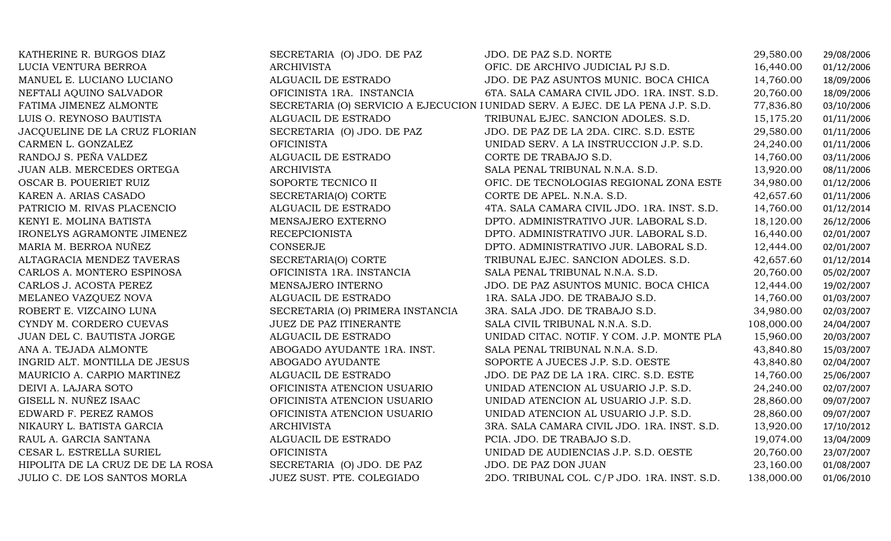| KATHERINE R. BURGOS DIAZ          | SECRETARIA (O) JDO. DE PAZ       | JDO. DE PAZ S.D. NORTE                                                          | 29,580.00  | 29/08/2006 |
|-----------------------------------|----------------------------------|---------------------------------------------------------------------------------|------------|------------|
| LUCIA VENTURA BERROA              | ARCHIVISTA                       | OFIC. DE ARCHIVO JUDICIAL PJ S.D.                                               | 16,440.00  | 01/12/2006 |
| MANUEL E. LUCIANO LUCIANO         | ALGUACIL DE ESTRADO              | JDO. DE PAZ ASUNTOS MUNIC. BOCA CHICA                                           | 14,760.00  | 18/09/2006 |
| NEFTALI AQUINO SALVADOR           | OFICINISTA 1RA. INSTANCIA        | 6TA. SALA CAMARA CIVIL JDO. 1RA. INST. S.D.                                     | 20,760.00  | 18/09/2006 |
| FATIMA JIMENEZ ALMONTE            |                                  | SECRETARIA (O) SERVICIO A EJECUCION I UNIDAD SERV. A EJEC. DE LA PENA J.P. S.D. | 77,836.80  | 03/10/2006 |
| LUIS O. REYNOSO BAUTISTA          | ALGUACIL DE ESTRADO              | TRIBUNAL EJEC. SANCION ADOLES. S.D.                                             | 15,175.20  | 01/11/2006 |
| JACQUELINE DE LA CRUZ FLORIAN     | SECRETARIA (O) JDO. DE PAZ       | JDO. DE PAZ DE LA 2DA. CIRC. S.D. ESTE                                          | 29,580.00  | 01/11/2006 |
| CARMEN L. GONZALEZ                | <b>OFICINISTA</b>                | UNIDAD SERV. A LA INSTRUCCION J.P. S.D.                                         | 24,240.00  | 01/11/2006 |
| RANDOJ S. PEÑA VALDEZ             | ALGUACIL DE ESTRADO              | CORTE DE TRABAJO S.D.                                                           | 14,760.00  | 03/11/2006 |
| JUAN ALB. MERCEDES ORTEGA         | <b>ARCHIVISTA</b>                | SALA PENAL TRIBUNAL N.N.A. S.D.                                                 | 13,920.00  | 08/11/2006 |
| OSCAR B. POUERIET RUIZ            | SOPORTE TECNICO II               | OFIC. DE TECNOLOGIAS REGIONAL ZONA ESTE                                         | 34,980.00  | 01/12/2006 |
| KAREN A. ARIAS CASADO             | SECRETARIA(O) CORTE              | CORTE DE APEL. N.N.A. S.D.                                                      | 42,657.60  | 01/11/2006 |
| PATRICIO M. RIVAS PLACENCIO       | ALGUACIL DE ESTRADO              | 4TA. SALA CAMARA CIVIL JDO. 1RA. INST. S.D.                                     | 14,760.00  | 01/12/2014 |
| KENYI E. MOLINA BATISTA           | MENSAJERO EXTERNO                | DPTO. ADMINISTRATIVO JUR. LABORAL S.D.                                          | 18,120.00  | 26/12/2006 |
| IRONELYS AGRAMONTE JIMENEZ        | <b>RECEPCIONISTA</b>             | DPTO. ADMINISTRATIVO JUR. LABORAL S.D.                                          | 16,440.00  | 02/01/2007 |
| MARIA M. BERROA NUÑEZ             | CONSERJE                         | DPTO. ADMINISTRATIVO JUR. LABORAL S.D.                                          | 12,444.00  | 02/01/2007 |
| ALTAGRACIA MENDEZ TAVERAS         | SECRETARIA(O) CORTE              | TRIBUNAL EJEC. SANCION ADOLES. S.D.                                             | 42,657.60  | 01/12/2014 |
| CARLOS A. MONTERO ESPINOSA        | OFICINISTA 1RA. INSTANCIA        | SALA PENAL TRIBUNAL N.N.A. S.D.                                                 | 20,760.00  | 05/02/2007 |
| CARLOS J. ACOSTA PEREZ            | MENSAJERO INTERNO                | JDO. DE PAZ ASUNTOS MUNIC. BOCA CHICA                                           | 12,444.00  | 19/02/2007 |
| MELANEO VAZQUEZ NOVA              | ALGUACIL DE ESTRADO              | 1RA. SALA JDO. DE TRABAJO S.D.                                                  | 14,760.00  | 01/03/2007 |
| ROBERT E. VIZCAINO LUNA           | SECRETARIA (O) PRIMERA INSTANCIA | 3RA. SALA JDO. DE TRABAJO S.D.                                                  | 34,980.00  | 02/03/2007 |
| CYNDY M. CORDERO CUEVAS           | <b>JUEZ DE PAZ ITINERANTE</b>    | SALA CIVIL TRIBUNAL N.N.A. S.D.                                                 | 108,000.00 | 24/04/2007 |
| JUAN DEL C. BAUTISTA JORGE        | ALGUACIL DE ESTRADO              | UNIDAD CITAC. NOTIF. Y COM. J.P. MONTE PLA                                      | 15,960.00  | 20/03/2007 |
| ANA A. TEJADA ALMONTE             | ABOGADO AYUDANTE 1RA. INST.      | SALA PENAL TRIBUNAL N.N.A. S.D.                                                 | 43,840.80  | 15/03/2007 |
| INGRID ALT. MONTILLA DE JESUS     | ABOGADO AYUDANTE                 | SOPORTE A JUECES J.P. S.D. OESTE                                                | 43,840.80  | 02/04/2007 |
| MAURICIO A. CARPIO MARTINEZ       | ALGUACIL DE ESTRADO              | JDO. DE PAZ DE LA 1RA. CIRC. S.D. ESTE                                          | 14,760.00  | 25/06/2007 |
| DEIVI A. LAJARA SOTO              | OFICINISTA ATENCION USUARIO      | UNIDAD ATENCION AL USUARIO J.P. S.D.                                            | 24,240.00  | 02/07/2007 |
| GISELL N. NUÑEZ ISAAC             | OFICINISTA ATENCION USUARIO      | UNIDAD ATENCION AL USUARIO J.P. S.D.                                            | 28,860.00  | 09/07/2007 |
| EDWARD F. PEREZ RAMOS             | OFICINISTA ATENCION USUARIO      | UNIDAD ATENCION AL USUARIO J.P. S.D.                                            | 28,860.00  | 09/07/2007 |
| NIKAURY L. BATISTA GARCIA         | <b>ARCHIVISTA</b>                | 3RA. SALA CAMARA CIVIL JDO. 1RA. INST. S.D.                                     | 13,920.00  | 17/10/2012 |
| RAUL A. GARCIA SANTANA            | ALGUACIL DE ESTRADO              | PCIA. JDO. DE TRABAJO S.D.                                                      | 19,074.00  | 13/04/2009 |
| CESAR L. ESTRELLA SURIEL          | <b>OFICINISTA</b>                | UNIDAD DE AUDIENCIAS J.P. S.D. OESTE                                            | 20,760.00  | 23/07/2007 |
| HIPOLITA DE LA CRUZ DE DE LA ROSA | SECRETARIA (O) JDO. DE PAZ       | JDO. DE PAZ DON JUAN                                                            | 23,160.00  | 01/08/2007 |
| JULIO C. DE LOS SANTOS MORLA      | JUEZ SUST. PTE. COLEGIADO        | 2DO. TRIBUNAL COL. C/P JDO. 1RA. INST. S.D.                                     | 138,000.00 | 01/06/2010 |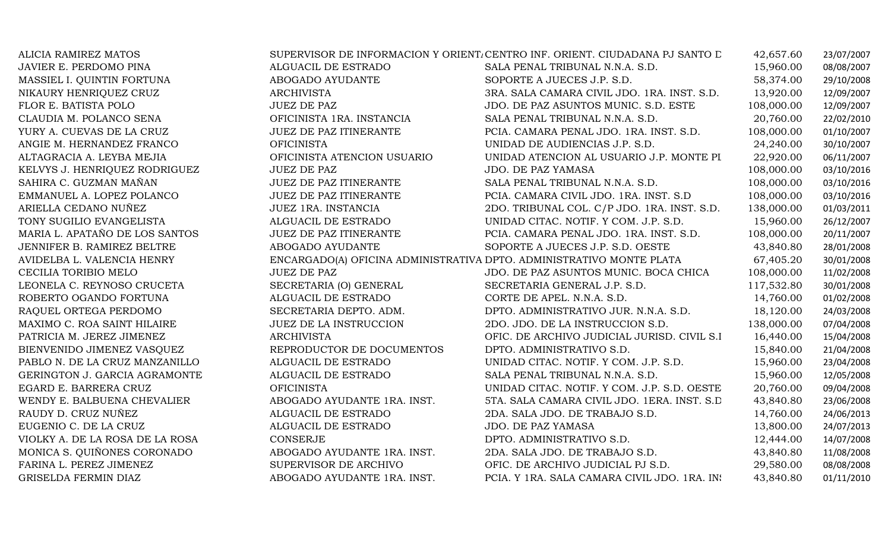| ALICIA RAMIREZ MATOS            |                                                                      | SUPERVISOR DE INFORMACION Y ORIENT. CENTRO INF. ORIENT. CIUDADANA PJ SANTO D | 42,657.60  | 23/07/2007 |
|---------------------------------|----------------------------------------------------------------------|------------------------------------------------------------------------------|------------|------------|
| JAVIER E. PERDOMO PINA          | ALGUACIL DE ESTRADO                                                  | SALA PENAL TRIBUNAL N.N.A. S.D.                                              | 15,960.00  | 08/08/2007 |
| MASSIEL I. QUINTIN FORTUNA      | ABOGADO AYUDANTE                                                     | SOPORTE A JUECES J.P. S.D.                                                   | 58,374.00  | 29/10/2008 |
| NIKAURY HENRIQUEZ CRUZ          | ARCHIVISTA                                                           | 3RA. SALA CAMARA CIVIL JDO. 1RA. INST. S.D.                                  | 13,920.00  | 12/09/2007 |
| FLOR E. BATISTA POLO            | <b>JUEZ DE PAZ</b>                                                   | JDO. DE PAZ ASUNTOS MUNIC. S.D. ESTE                                         | 108,000.00 | 12/09/2007 |
| CLAUDIA M. POLANCO SENA         | OFICINISTA 1RA. INSTANCIA                                            | SALA PENAL TRIBUNAL N.N.A. S.D.                                              | 20,760.00  | 22/02/2010 |
| YURY A. CUEVAS DE LA CRUZ       | JUEZ DE PAZ ITINERANTE                                               | PCIA. CAMARA PENAL JDO. 1RA. INST. S.D.                                      | 108,000.00 | 01/10/2007 |
| ANGIE M. HERNANDEZ FRANCO       | <b>OFICINISTA</b>                                                    | UNIDAD DE AUDIENCIAS J.P. S.D.                                               | 24,240.00  | 30/10/2007 |
| ALTAGRACIA A. LEYBA MEJIA       | OFICINISTA ATENCION USUARIO                                          | UNIDAD ATENCION AL USUARIO J.P. MONTE PI                                     | 22,920.00  | 06/11/2007 |
| KELVYS J. HENRIQUEZ RODRIGUEZ   | <b>JUEZ DE PAZ</b>                                                   | JDO. DE PAZ YAMASA                                                           | 108,000.00 | 03/10/2016 |
| SAHIRA C. GUZMAN MAÑAN          | JUEZ DE PAZ ITINERANTE                                               | SALA PENAL TRIBUNAL N.N.A. S.D.                                              | 108,000.00 | 03/10/2016 |
| EMMANUEL A. LOPEZ POLANCO       | <b>JUEZ DE PAZ ITINERANTE</b>                                        | PCIA. CAMARA CIVIL JDO. 1RA. INST. S.D                                       | 108,000.00 | 03/10/2016 |
| ARIELLA CEDANO NUÑEZ            | JUEZ 1RA. INSTANCIA                                                  | 2DO. TRIBUNAL COL. C/P JDO. 1RA. INST. S.D.                                  | 138,000.00 | 01/03/2011 |
| TONY SUGILIO EVANGELISTA        | ALGUACIL DE ESTRADO                                                  | UNIDAD CITAC. NOTIF. Y COM. J.P. S.D.                                        | 15,960.00  | 26/12/2007 |
| MARIA L. APATAÑO DE LOS SANTOS  | JUEZ DE PAZ ITINERANTE                                               | PCIA. CAMARA PENAL JDO. 1RA. INST. S.D.                                      | 108,000.00 | 20/11/2007 |
| JENNIFER B. RAMIREZ BELTRE      | ABOGADO AYUDANTE                                                     | SOPORTE A JUECES J.P. S.D. OESTE                                             | 43,840.80  | 28/01/2008 |
| AVIDELBA L. VALENCIA HENRY      | ENCARGADO(A) OFICINA ADMINISTRATIVA DPTO. ADMINISTRATIVO MONTE PLATA |                                                                              | 67,405.20  | 30/01/2008 |
| CECILIA TORIBIO MELO            | <b>JUEZ DE PAZ</b>                                                   | JDO. DE PAZ ASUNTOS MUNIC. BOCA CHICA                                        | 108,000.00 | 11/02/2008 |
| LEONELA C. REYNOSO CRUCETA      | SECRETARIA (O) GENERAL                                               | SECRETARIA GENERAL J.P. S.D.                                                 | 117,532.80 | 30/01/2008 |
| ROBERTO OGANDO FORTUNA          | ALGUACIL DE ESTRADO                                                  | CORTE DE APEL. N.N.A. S.D.                                                   | 14,760.00  | 01/02/2008 |
| RAQUEL ORTEGA PERDOMO           | SECRETARIA DEPTO. ADM.                                               | DPTO. ADMINISTRATIVO JUR. N.N.A. S.D.                                        | 18,120.00  | 24/03/2008 |
| MAXIMO C. ROA SAINT HILAIRE     | JUEZ DE LA INSTRUCCION                                               | 2DO. JDO. DE LA INSTRUCCION S.D.                                             | 138,000.00 | 07/04/2008 |
| PATRICIA M. JEREZ JIMENEZ       | <b>ARCHIVISTA</b>                                                    | OFIC. DE ARCHIVO JUDICIAL JURISD. CIVIL S.I                                  | 16,440.00  | 15/04/2008 |
| BIENVENIDO JIMENEZ VASQUEZ      | REPRODUCTOR DE DOCUMENTOS                                            | DPTO. ADMINISTRATIVO S.D.                                                    | 15,840.00  | 21/04/2008 |
| PABLO N. DE LA CRUZ MANZANILLO  | ALGUACIL DE ESTRADO                                                  | UNIDAD CITAC. NOTIF. Y COM. J.P. S.D.                                        | 15,960.00  | 23/04/2008 |
| GERINGTON J. GARCIA AGRAMONTE   | ALGUACIL DE ESTRADO                                                  | SALA PENAL TRIBUNAL N.N.A. S.D.                                              | 15,960.00  | 12/05/2008 |
| EGARD E. BARRERA CRUZ           | <b>OFICINISTA</b>                                                    | UNIDAD CITAC. NOTIF. Y COM. J.P. S.D. OESTE                                  | 20,760.00  | 09/04/2008 |
| WENDY E. BALBUENA CHEVALIER     | ABOGADO AYUDANTE 1RA. INST.                                          | 5TA. SALA CAMARA CIVIL JDO. 1ERA. INST. S.D.                                 | 43,840.80  | 23/06/2008 |
| RAUDY D. CRUZ NUÑEZ             | ALGUACIL DE ESTRADO                                                  | 2DA. SALA JDO. DE TRABAJO S.D.                                               | 14,760.00  | 24/06/2013 |
| EUGENIO C. DE LA CRUZ           | ALGUACIL DE ESTRADO                                                  | JDO. DE PAZ YAMASA                                                           | 13,800.00  | 24/07/2013 |
| VIOLKY A. DE LA ROSA DE LA ROSA | <b>CONSERJE</b>                                                      | DPTO. ADMINISTRATIVO S.D.                                                    | 12,444.00  | 14/07/2008 |
| MONICA S. QUIÑONES CORONADO     | ABOGADO AYUDANTE 1RA. INST.                                          | 2DA. SALA JDO. DE TRABAJO S.D.                                               | 43,840.80  | 11/08/2008 |
| FARINA L. PEREZ JIMENEZ         | SUPERVISOR DE ARCHIVO                                                | OFIC. DE ARCHIVO JUDICIAL PJ S.D.                                            | 29,580.00  | 08/08/2008 |
| GRISELDA FERMIN DIAZ            | ABOGADO AYUDANTE 1RA. INST.                                          | PCIA. Y 1RA. SALA CAMARA CIVIL JDO. 1RA. IN:                                 | 43,840.80  | 01/11/2010 |
|                                 |                                                                      |                                                                              |            |            |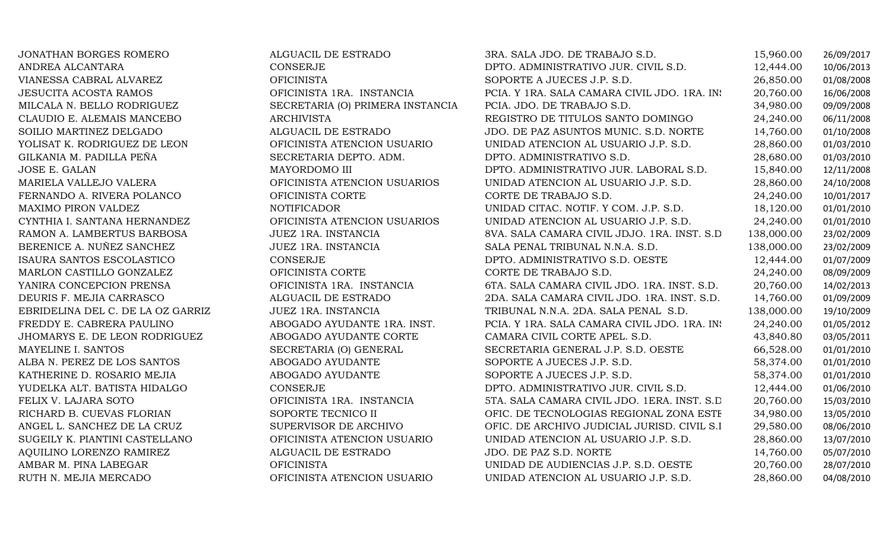| JONATHAN BORGES ROMERO            | ALGUACIL DE ESTRADO              | 3RA. SALA JDO. DE TRABAJO S.D.               | 15,960.00  | 26/09/2017 |
|-----------------------------------|----------------------------------|----------------------------------------------|------------|------------|
| ANDREA ALCANTARA                  | CONSERJE                         | DPTO. ADMINISTRATIVO JUR. CIVIL S.D.         | 12,444.00  | 10/06/2013 |
| VIANESSA CABRAL ALVAREZ           | <b>OFICINISTA</b>                | SOPORTE A JUECES J.P. S.D.                   | 26,850.00  | 01/08/2008 |
| <b>JESUCITA ACOSTA RAMOS</b>      | OFICINISTA 1RA. INSTANCIA        | PCIA. Y 1RA. SALA CAMARA CIVIL JDO. 1RA. IN: | 20,760.00  | 16/06/2008 |
| MILCALA N. BELLO RODRIGUEZ        | SECRETARIA (O) PRIMERA INSTANCIA | PCIA. JDO. DE TRABAJO S.D.                   | 34,980.00  | 09/09/2008 |
| CLAUDIO E. ALEMAIS MANCEBO        | <b>ARCHIVISTA</b>                | REGISTRO DE TITULOS SANTO DOMINGO            | 24,240.00  | 06/11/2008 |
| SOILIO MARTINEZ DELGADO           | ALGUACIL DE ESTRADO              | JDO. DE PAZ ASUNTOS MUNIC. S.D. NORTE        | 14,760.00  | 01/10/2008 |
| YOLISAT K. RODRIGUEZ DE LEON      | OFICINISTA ATENCION USUARIO      | UNIDAD ATENCION AL USUARIO J.P. S.D.         | 28,860.00  | 01/03/2010 |
| GILKANIA M. PADILLA PEÑA          | SECRETARIA DEPTO. ADM.           | DPTO. ADMINISTRATIVO S.D.                    | 28,680.00  | 01/03/2010 |
| JOSE E. GALAN                     | MAYORDOMO III                    | DPTO. ADMINISTRATIVO JUR. LABORAL S.D.       | 15,840.00  | 12/11/2008 |
| MARIELA VALLEJO VALERA            | OFICINISTA ATENCION USUARIOS     | UNIDAD ATENCION AL USUARIO J.P. S.D.         | 28,860.00  | 24/10/2008 |
| FERNANDO A. RIVERA POLANCO        | OFICINISTA CORTE                 | CORTE DE TRABAJO S.D.                        | 24,240.00  | 10/01/2017 |
| MAXIMO PIRON VALDEZ               | <b>NOTIFICADOR</b>               | UNIDAD CITAC. NOTIF. Y COM. J.P. S.D.        | 18,120.00  | 01/01/2010 |
| CYNTHIA I. SANTANA HERNANDEZ      | OFICINISTA ATENCION USUARIOS     | UNIDAD ATENCION AL USUARIO J.P. S.D.         | 24,240.00  | 01/01/2010 |
| RAMON A. LAMBERTUS BARBOSA        | JUEZ 1RA. INSTANCIA              | 8VA. SALA CAMARA CIVIL JDJO. 1RA. INST. S.D. | 138,000.00 | 23/02/2009 |
| BERENICE A. NUÑEZ SANCHEZ         | JUEZ 1RA. INSTANCIA              | SALA PENAL TRIBUNAL N.N.A. S.D.              | 138,000.00 | 23/02/2009 |
| ISAURA SANTOS ESCOLASTICO         | CONSERJE                         | DPTO. ADMINISTRATIVO S.D. OESTE              | 12,444.00  | 01/07/2009 |
| MARLON CASTILLO GONZALEZ          | OFICINISTA CORTE                 | CORTE DE TRABAJO S.D.                        | 24,240.00  | 08/09/2009 |
| YANIRA CONCEPCION PRENSA          | OFICINISTA 1RA. INSTANCIA        | 6TA. SALA CAMARA CIVIL JDO. 1RA. INST. S.D.  | 20,760.00  | 14/02/2013 |
| DEURIS F. MEJIA CARRASCO          | ALGUACIL DE ESTRADO              | 2DA. SALA CAMARA CIVIL JDO. 1RA. INST. S.D.  | 14,760.00  | 01/09/2009 |
| EBRIDELINA DEL C. DE LA OZ GARRIZ | JUEZ 1RA. INSTANCIA              | TRIBUNAL N.N.A. 2DA. SALA PENAL S.D.         | 138,000.00 | 19/10/2009 |
| FREDDY E. CABRERA PAULINO         | ABOGADO AYUDANTE 1RA. INST.      | PCIA. Y 1RA. SALA CAMARA CIVIL JDO. 1RA. IN: | 24,240.00  | 01/05/2012 |
| JHOMARYS E. DE LEON RODRIGUEZ     | ABOGADO AYUDANTE CORTE           | CAMARA CIVIL CORTE APEL. S.D.                | 43,840.80  | 03/05/2011 |
| MAYELINE I. SANTOS                | SECRETARIA (O) GENERAL           | SECRETARIA GENERAL J.P. S.D. OESTE           | 66,528.00  | 01/01/2010 |
| ALBA N. PEREZ DE LOS SANTOS       | ABOGADO AYUDANTE                 | SOPORTE A JUECES J.P. S.D.                   | 58,374.00  | 01/01/2010 |
| KATHERINE D. ROSARIO MEJIA        | ABOGADO AYUDANTE                 | SOPORTE A JUECES J.P. S.D.                   | 58,374.00  | 01/01/2010 |
| YUDELKA ALT. BATISTA HIDALGO      | CONSERJE                         | DPTO. ADMINISTRATIVO JUR. CIVIL S.D.         | 12,444.00  | 01/06/2010 |
| FELIX V. LAJARA SOTO              | OFICINISTA 1RA. INSTANCIA        | 5TA. SALA CAMARA CIVIL JDO. 1ERA. INST. S.D. | 20,760.00  | 15/03/2010 |
| RICHARD B. CUEVAS FLORIAN         | SOPORTE TECNICO II               | OFIC. DE TECNOLOGIAS REGIONAL ZONA ESTE      | 34,980.00  | 13/05/2010 |
| ANGEL L. SANCHEZ DE LA CRUZ       | SUPERVISOR DE ARCHIVO            | OFIC. DE ARCHIVO JUDICIAL JURISD. CIVIL S.I  | 29,580.00  | 08/06/2010 |
| SUGEILY K. PIANTINI CASTELLANO    | OFICINISTA ATENCION USUARIO      | UNIDAD ATENCION AL USUARIO J.P. S.D.         | 28,860.00  | 13/07/2010 |
| AQUILINO LORENZO RAMIREZ          | ALGUACIL DE ESTRADO              | JDO. DE PAZ S.D. NORTE                       | 14,760.00  | 05/07/2010 |
| AMBAR M. PINA LABEGAR             | <b>OFICINISTA</b>                | UNIDAD DE AUDIENCIAS J.P. S.D. OESTE         | 20,760.00  | 28/07/2010 |
| RUTH N. MEJIA MERCADO             | OFICINISTA ATENCION USUARIO      | UNIDAD ATENCION AL USUARIO J.P. S.D.         | 28,860.00  | 04/08/2010 |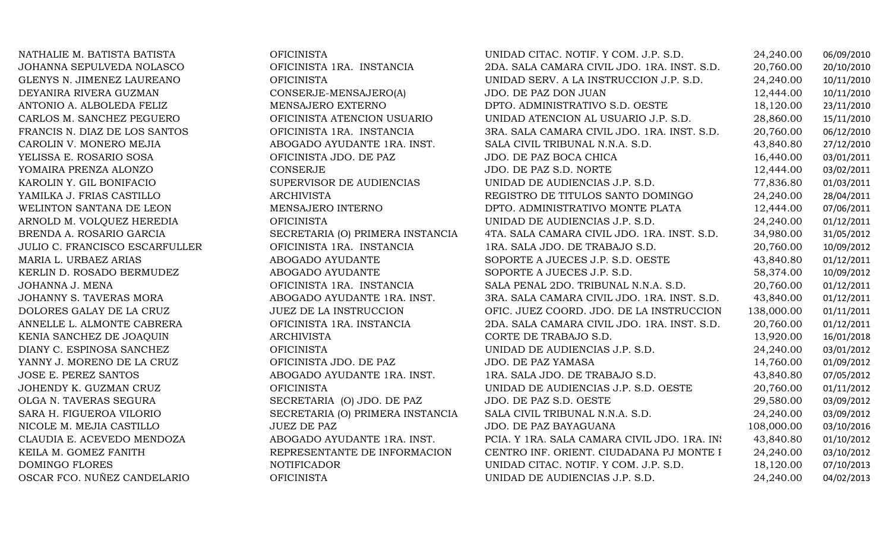| NATHALIE M. BATISTA BATISTA    | <b>OFICINISTA</b>                | UNIDAD CITAC. NOTIF. Y COM. J.P. S.D.        | 24,240.00  | 06/09/2010 |
|--------------------------------|----------------------------------|----------------------------------------------|------------|------------|
| JOHANNA SEPULVEDA NOLASCO      | OFICINISTA 1RA. INSTANCIA        | 2DA. SALA CAMARA CIVIL JDO. 1RA. INST. S.D.  | 20,760.00  | 20/10/2010 |
| GLENYS N. JIMENEZ LAUREANO     | <b>OFICINISTA</b>                | UNIDAD SERV. A LA INSTRUCCION J.P. S.D.      | 24,240.00  | 10/11/2010 |
| DEYANIRA RIVERA GUZMAN         | CONSERJE-MENSAJERO(A)            | JDO. DE PAZ DON JUAN                         | 12,444.00  | 10/11/2010 |
| ANTONIO A. ALBOLEDA FELIZ      | MENSAJERO EXTERNO                | DPTO. ADMINISTRATIVO S.D. OESTE              | 18,120.00  | 23/11/2010 |
| CARLOS M. SANCHEZ PEGUERO      | OFICINISTA ATENCION USUARIO      | UNIDAD ATENCION AL USUARIO J.P. S.D.         | 28,860.00  | 15/11/2010 |
| FRANCIS N. DIAZ DE LOS SANTOS  | OFICINISTA 1RA. INSTANCIA        | 3RA. SALA CAMARA CIVIL JDO. 1RA. INST. S.D.  | 20,760.00  | 06/12/2010 |
| CAROLIN V. MONERO MEJIA        | ABOGADO AYUDANTE 1RA. INST.      | SALA CIVIL TRIBUNAL N.N.A. S.D.              | 43,840.80  | 27/12/2010 |
| YELISSA E. ROSARIO SOSA        | OFICINISTA JDO. DE PAZ           | JDO. DE PAZ BOCA CHICA                       | 16,440.00  | 03/01/2011 |
| YOMAIRA PRENZA ALONZO          | CONSERJE                         | JDO. DE PAZ S.D. NORTE                       | 12,444.00  | 03/02/2011 |
| KAROLIN Y. GIL BONIFACIO       | SUPERVISOR DE AUDIENCIAS         | UNIDAD DE AUDIENCIAS J.P. S.D.               | 77,836.80  | 01/03/2011 |
| YAMILKA J. FRIAS CASTILLO      | <b>ARCHIVISTA</b>                | REGISTRO DE TITULOS SANTO DOMINGO            | 24,240.00  | 28/04/2011 |
| WELINTON SANTANA DE LEON       | MENSAJERO INTERNO                | DPTO. ADMINISTRATIVO MONTE PLATA             | 12,444.00  | 07/06/2011 |
| ARNOLD M. VOLQUEZ HEREDIA      | <b>OFICINISTA</b>                | UNIDAD DE AUDIENCIAS J.P. S.D.               | 24,240.00  | 01/12/2011 |
| BRENDA A. ROSARIO GARCIA       | SECRETARIA (O) PRIMERA INSTANCIA | 4TA. SALA CAMARA CIVIL JDO. 1RA. INST. S.D.  | 34,980.00  | 31/05/2012 |
| JULIO C. FRANCISCO ESCARFULLER | OFICINISTA 1RA. INSTANCIA        | 1RA. SALA JDO. DE TRABAJO S.D.               | 20,760.00  | 10/09/2012 |
| MARIA L. URBAEZ ARIAS          | ABOGADO AYUDANTE                 | SOPORTE A JUECES J.P. S.D. OESTE             | 43,840.80  | 01/12/2011 |
| KERLIN D. ROSADO BERMUDEZ      | ABOGADO AYUDANTE                 | SOPORTE A JUECES J.P. S.D.                   | 58,374.00  | 10/09/2012 |
| JOHANNA J. MENA                | OFICINISTA 1RA. INSTANCIA        | SALA PENAL 2DO. TRIBUNAL N.N.A. S.D.         | 20,760.00  | 01/12/2011 |
| JOHANNY S. TAVERAS MORA        | ABOGADO AYUDANTE 1RA. INST.      | 3RA. SALA CAMARA CIVIL JDO. 1RA. INST. S.D.  | 43,840.00  | 01/12/2011 |
| DOLORES GALAY DE LA CRUZ       | JUEZ DE LA INSTRUCCION           | OFIC. JUEZ COORD. JDO. DE LA INSTRUCCION     | 138,000.00 | 01/11/2011 |
| ANNELLE L. ALMONTE CABRERA     | OFICINISTA 1RA. INSTANCIA        | 2DA. SALA CAMARA CIVIL JDO. 1RA. INST. S.D.  | 20,760.00  | 01/12/2011 |
| KENIA SANCHEZ DE JOAQUIN       | <b>ARCHIVISTA</b>                | CORTE DE TRABAJO S.D.                        | 13,920.00  | 16/01/2018 |
| DIANY C. ESPINOSA SANCHEZ      | <b>OFICINISTA</b>                | UNIDAD DE AUDIENCIAS J.P. S.D.               | 24,240.00  | 03/01/2012 |
| YANNY J. MORENO DE LA CRUZ     | OFICINISTA JDO. DE PAZ           | JDO. DE PAZ YAMASA                           | 14,760.00  | 01/09/2012 |
| <b>JOSE E. PEREZ SANTOS</b>    | ABOGADO AYUDANTE 1RA. INST.      | 1RA. SALA JDO. DE TRABAJO S.D.               | 43,840.80  | 07/05/2012 |
| JOHENDY K. GUZMAN CRUZ         | <b>OFICINISTA</b>                | UNIDAD DE AUDIENCIAS J.P. S.D. OESTE         | 20,760.00  | 01/11/2012 |
| OLGA N. TAVERAS SEGURA         | SECRETARIA (O) JDO. DE PAZ       | JDO. DE PAZ S.D. OESTE                       | 29,580.00  | 03/09/2012 |
| SARA H. FIGUEROA VILORIO       | SECRETARIA (O) PRIMERA INSTANCIA | SALA CIVIL TRIBUNAL N.N.A. S.D.              | 24,240.00  | 03/09/2012 |
| NICOLE M. MEJIA CASTILLO       | <b>JUEZ DE PAZ</b>               | JDO. DE PAZ BAYAGUANA                        | 108,000.00 | 03/10/2016 |
| CLAUDIA E. ACEVEDO MENDOZA     | ABOGADO AYUDANTE 1RA. INST.      | PCIA. Y 1RA. SALA CAMARA CIVIL JDO. 1RA. IN: | 43,840.80  | 01/10/2012 |
| KEILA M. GOMEZ FANITH          | REPRESENTANTE DE INFORMACION     | CENTRO INF. ORIENT. CIUDADANA PJ MONTE I     | 24,240.00  | 03/10/2012 |
| DOMINGO FLORES                 | <b>NOTIFICADOR</b>               | UNIDAD CITAC. NOTIF. Y COM. J.P. S.D.        | 18,120.00  | 07/10/2013 |
| OSCAR FCO. NUÑEZ CANDELARIO    | <b>OFICINISTA</b>                | UNIDAD DE AUDIENCIAS J.P. S.D.               | 24,240.00  | 04/02/2013 |
|                                |                                  |                                              |            |            |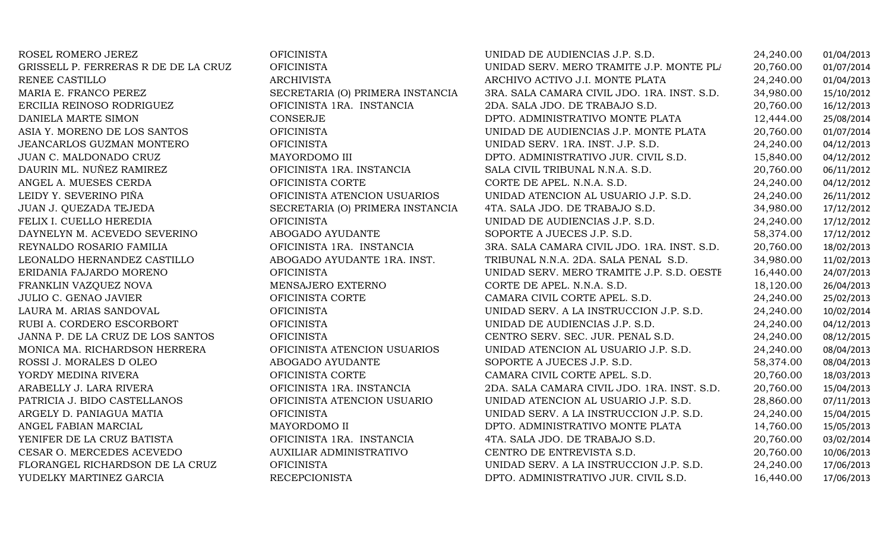| ROSEL ROMERO JEREZ                   | <b>OFICINISTA</b>                | UNIDAD DE AUDIENCIAS J.P. S.D.              | 24,240.00 | 01/04/2013 |
|--------------------------------------|----------------------------------|---------------------------------------------|-----------|------------|
| GRISSELL P. FERRERAS R DE DE LA CRUZ | <b>OFICINISTA</b>                | UNIDAD SERV. MERO TRAMITE J.P. MONTE PL/    | 20,760.00 | 01/07/2014 |
| RENEE CASTILLO                       | <b>ARCHIVISTA</b>                | ARCHIVO ACTIVO J.I. MONTE PLATA             | 24,240.00 | 01/04/2013 |
| MARIA E. FRANCO PEREZ                | SECRETARIA (O) PRIMERA INSTANCIA | 3RA. SALA CAMARA CIVIL JDO. 1RA. INST. S.D. | 34,980.00 | 15/10/2012 |
| ERCILIA REINOSO RODRIGUEZ            | OFICINISTA 1RA. INSTANCIA        | 2DA. SALA JDO. DE TRABAJO S.D.              | 20,760.00 | 16/12/2013 |
| DANIELA MARTE SIMON                  | CONSERJE                         | DPTO. ADMINISTRATIVO MONTE PLATA            | 12,444.00 | 25/08/2014 |
| ASIA Y. MORENO DE LOS SANTOS         | <b>OFICINISTA</b>                | UNIDAD DE AUDIENCIAS J.P. MONTE PLATA       | 20,760.00 | 01/07/2014 |
| JEANCARLOS GUZMAN MONTERO            | <b>OFICINISTA</b>                | UNIDAD SERV. 1RA. INST. J.P. S.D.           | 24,240.00 | 04/12/2013 |
| JUAN C. MALDONADO CRUZ               | MAYORDOMO III                    | DPTO. ADMINISTRATIVO JUR. CIVIL S.D.        | 15,840.00 | 04/12/2012 |
| DAURIN ML. NUÑEZ RAMIREZ             | OFICINISTA 1RA. INSTANCIA        | SALA CIVIL TRIBUNAL N.N.A. S.D.             | 20,760.00 | 06/11/2012 |
| ANGEL A. MUESES CERDA                | OFICINISTA CORTE                 | CORTE DE APEL. N.N.A. S.D.                  | 24,240.00 | 04/12/2012 |
| LEIDY Y. SEVERINO PIÑA               | OFICINISTA ATENCION USUARIOS     | UNIDAD ATENCION AL USUARIO J.P. S.D.        | 24,240.00 | 26/11/2012 |
| JUAN J. QUEZADA TEJEDA               | SECRETARIA (O) PRIMERA INSTANCIA | 4TA. SALA JDO. DE TRABAJO S.D.              | 34,980.00 | 17/12/2012 |
| FELIX I. CUELLO HEREDIA              | <b>OFICINISTA</b>                | UNIDAD DE AUDIENCIAS J.P. S.D.              | 24,240.00 | 17/12/2012 |
| DAYNELYN M. ACEVEDO SEVERINO         | ABOGADO AYUDANTE                 | SOPORTE A JUECES J.P. S.D.                  | 58,374.00 | 17/12/2012 |
| REYNALDO ROSARIO FAMILIA             | OFICINISTA 1RA. INSTANCIA        | 3RA. SALA CAMARA CIVIL JDO. 1RA. INST. S.D. | 20,760.00 | 18/02/2013 |
| LEONALDO HERNANDEZ CASTILLO          | ABOGADO AYUDANTE 1RA. INST.      | TRIBUNAL N.N.A. 2DA. SALA PENAL S.D.        | 34,980.00 | 11/02/2013 |
| ERIDANIA FAJARDO MORENO              | <b>OFICINISTA</b>                | UNIDAD SERV. MERO TRAMITE J.P. S.D. OESTH   | 16,440.00 | 24/07/2013 |
| FRANKLIN VAZQUEZ NOVA                | MENSAJERO EXTERNO                | CORTE DE APEL. N.N.A. S.D.                  | 18,120.00 | 26/04/2013 |
| <b>JULIO C. GENAO JAVIER</b>         | OFICINISTA CORTE                 | CAMARA CIVIL CORTE APEL. S.D.               | 24,240.00 | 25/02/2013 |
| LAURA M. ARIAS SANDOVAL              | <b>OFICINISTA</b>                | UNIDAD SERV. A LA INSTRUCCION J.P. S.D.     | 24,240.00 | 10/02/2014 |
| RUBI A. CORDERO ESCORBORT            | <b>OFICINISTA</b>                | UNIDAD DE AUDIENCIAS J.P. S.D.              | 24,240.00 | 04/12/2013 |
| JANNA P. DE LA CRUZ DE LOS SANTOS    | <b>OFICINISTA</b>                | CENTRO SERV. SEC. JUR. PENAL S.D.           | 24,240.00 | 08/12/2015 |
| MONICA MA. RICHARDSON HERRERA        | OFICINISTA ATENCION USUARIOS     | UNIDAD ATENCION AL USUARIO J.P. S.D.        | 24,240.00 | 08/04/2013 |
| ROSSI J. MORALES D OLEO              | ABOGADO AYUDANTE                 | SOPORTE A JUECES J.P. S.D.                  | 58,374.00 | 08/04/2013 |
| YORDY MEDINA RIVERA                  | OFICINISTA CORTE                 | CAMARA CIVIL CORTE APEL. S.D.               | 20,760.00 | 18/03/2013 |
| ARABELLY J. LARA RIVERA              | OFICINISTA 1RA. INSTANCIA        | 2DA. SALA CAMARA CIVIL JDO. 1RA. INST. S.D. | 20,760.00 | 15/04/2013 |
| PATRICIA J. BIDO CASTELLANOS         | OFICINISTA ATENCION USUARIO      | UNIDAD ATENCION AL USUARIO J.P. S.D.        | 28,860.00 | 07/11/2013 |
| ARGELY D. PANIAGUA MATIA             | <b>OFICINISTA</b>                | UNIDAD SERV. A LA INSTRUCCION J.P. S.D.     | 24,240.00 | 15/04/2015 |
| ANGEL FABIAN MARCIAL                 | MAYORDOMO II                     | DPTO. ADMINISTRATIVO MONTE PLATA            | 14,760.00 | 15/05/2013 |
| YENIFER DE LA CRUZ BATISTA           | OFICINISTA 1RA. INSTANCIA        | 4TA. SALA JDO. DE TRABAJO S.D.              | 20,760.00 | 03/02/2014 |
| CESAR O. MERCEDES ACEVEDO            | AUXILIAR ADMINISTRATIVO          | CENTRO DE ENTREVISTA S.D.                   | 20,760.00 | 10/06/2013 |
| FLORANGEL RICHARDSON DE LA CRUZ      | <b>OFICINISTA</b>                | UNIDAD SERV. A LA INSTRUCCION J.P. S.D.     | 24,240.00 | 17/06/2013 |
| YUDELKY MARTINEZ GARCIA              | <b>RECEPCIONISTA</b>             | DPTO. ADMINISTRATIVO JUR. CIVIL S.D.        | 16,440.00 | 17/06/2013 |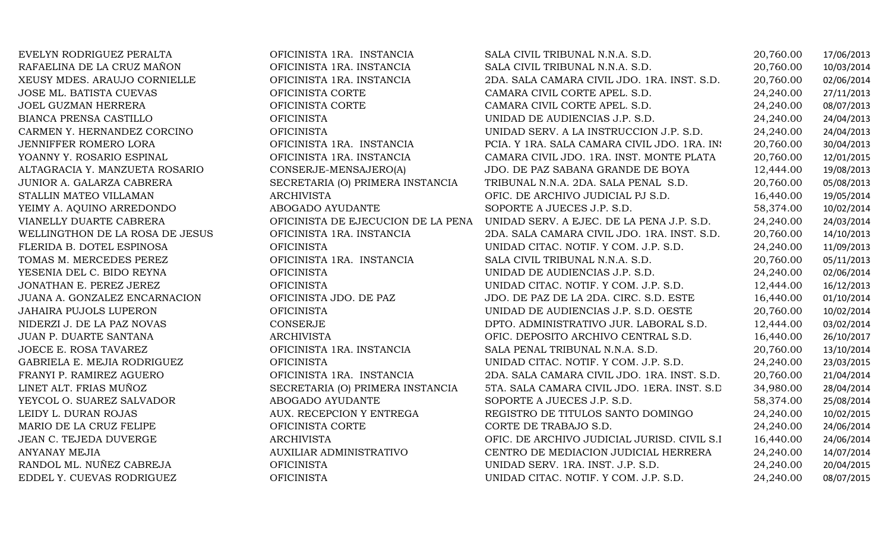| EVELYN RODRIGUEZ PERALTA        | OFICINISTA 1RA. INSTANCIA          | SALA CIVIL TRIBUNAL N.N.A. S.D.              | 20,760.00 | 17/06/2013 |
|---------------------------------|------------------------------------|----------------------------------------------|-----------|------------|
| RAFAELINA DE LA CRUZ MAÑON      | OFICINISTA 1RA. INSTANCIA          | SALA CIVIL TRIBUNAL N.N.A. S.D.              | 20,760.00 | 10/03/2014 |
| XEUSY MDES. ARAUJO CORNIELLE    | OFICINISTA 1RA. INSTANCIA          | 2DA. SALA CAMARA CIVIL JDO. 1RA. INST. S.D.  | 20,760.00 | 02/06/2014 |
| JOSE ML. BATISTA CUEVAS         | OFICINISTA CORTE                   | CAMARA CIVIL CORTE APEL. S.D.                | 24,240.00 | 27/11/2013 |
| <b>JOEL GUZMAN HERRERA</b>      | OFICINISTA CORTE                   | CAMARA CIVIL CORTE APEL. S.D.                | 24,240.00 | 08/07/2013 |
| BIANCA PRENSA CASTILLO          | <b>OFICINISTA</b>                  | UNIDAD DE AUDIENCIAS J.P. S.D.               | 24,240.00 | 24/04/2013 |
| CARMEN Y. HERNANDEZ CORCINO     | <b>OFICINISTA</b>                  | UNIDAD SERV. A LA INSTRUCCION J.P. S.D.      | 24,240.00 | 24/04/2013 |
| JENNIFFER ROMERO LORA           | OFICINISTA 1RA. INSTANCIA          | PCIA. Y 1RA. SALA CAMARA CIVIL JDO. 1RA. IN: | 20,760.00 | 30/04/2013 |
| YOANNY Y. ROSARIO ESPINAL       | OFICINISTA 1RA. INSTANCIA          | CAMARA CIVIL JDO. 1RA. INST. MONTE PLATA     | 20,760.00 | 12/01/2015 |
| ALTAGRACIA Y. MANZUETA ROSARIO  | CONSERJE-MENSAJERO(A)              | JDO. DE PAZ SABANA GRANDE DE BOYA            | 12,444.00 | 19/08/2013 |
| JUNIOR A. GALARZA CABRERA       | SECRETARIA (O) PRIMERA INSTANCIA   | TRIBUNAL N.N.A. 2DA. SALA PENAL S.D.         | 20,760.00 | 05/08/2013 |
| STALLIN MATEO VILLAMAN          | ARCHIVISTA                         | OFIC. DE ARCHIVO JUDICIAL PJ S.D.            | 16,440.00 | 19/05/2014 |
| YEIMY A. AQUINO ARREDONDO       | ABOGADO AYUDANTE                   | SOPORTE A JUECES J.P. S.D.                   | 58,374.00 | 10/02/2014 |
| VIANELLY DUARTE CABRERA         | OFICINISTA DE EJECUCION DE LA PENA | UNIDAD SERV. A EJEC. DE LA PENA J.P. S.D.    | 24,240.00 | 24/03/2014 |
| WELLINGTHON DE LA ROSA DE JESUS | OFICINISTA 1RA. INSTANCIA          | 2DA. SALA CAMARA CIVIL JDO. 1RA. INST. S.D.  | 20,760.00 | 14/10/2013 |
| FLERIDA B. DOTEL ESPINOSA       | <b>OFICINISTA</b>                  | UNIDAD CITAC. NOTIF. Y COM. J.P. S.D.        | 24,240.00 | 11/09/2013 |
| TOMAS M. MERCEDES PEREZ         | OFICINISTA 1RA. INSTANCIA          | SALA CIVIL TRIBUNAL N.N.A. S.D.              | 20,760.00 | 05/11/2013 |
| YESENIA DEL C. BIDO REYNA       | <b>OFICINISTA</b>                  | UNIDAD DE AUDIENCIAS J.P. S.D.               | 24,240.00 | 02/06/2014 |
| JONATHAN E. PEREZ JEREZ         | <b>OFICINISTA</b>                  | UNIDAD CITAC. NOTIF. Y COM. J.P. S.D.        | 12,444.00 | 16/12/2013 |
| JUANA A. GONZALEZ ENCARNACION   | OFICINISTA JDO. DE PAZ             | JDO. DE PAZ DE LA 2DA. CIRC. S.D. ESTE       | 16,440.00 | 01/10/2014 |
| <b>JAHAIRA PUJOLS LUPERON</b>   | <b>OFICINISTA</b>                  | UNIDAD DE AUDIENCIAS J.P. S.D. OESTE         | 20,760.00 | 10/02/2014 |
| NIDERZI J. DE LA PAZ NOVAS      | CONSERJE                           | DPTO. ADMINISTRATIVO JUR. LABORAL S.D.       | 12,444.00 | 03/02/2014 |
| JUAN P. DUARTE SANTANA          | ARCHIVISTA                         | OFIC. DEPOSITO ARCHIVO CENTRAL S.D.          | 16,440.00 | 26/10/2017 |
| JOECE E. ROSA TAVAREZ           | OFICINISTA 1RA. INSTANCIA          | SALA PENAL TRIBUNAL N.N.A. S.D.              | 20,760.00 | 13/10/2014 |
| GABRIELA E. MEJIA RODRIGUEZ     | <b>OFICINISTA</b>                  | UNIDAD CITAC. NOTIF. Y COM. J.P. S.D.        | 24,240.00 | 23/03/2015 |
| FRANYI P. RAMIREZ AGUERO        | OFICINISTA 1RA. INSTANCIA          | 2DA. SALA CAMARA CIVIL JDO. 1RA. INST. S.D.  | 20,760.00 | 21/04/2014 |
| LINET ALT. FRIAS MUÑOZ          | SECRETARIA (O) PRIMERA INSTANCIA   | 5TA. SALA CAMARA CIVIL JDO. 1ERA. INST. S.D  | 34,980.00 | 28/04/2014 |
| YEYCOL O. SUAREZ SALVADOR       | ABOGADO AYUDANTE                   | SOPORTE A JUECES J.P. S.D.                   | 58,374.00 | 25/08/2014 |
| LEIDY L. DURAN ROJAS            | AUX. RECEPCION Y ENTREGA           | REGISTRO DE TITULOS SANTO DOMINGO            | 24,240.00 | 10/02/2015 |
| MARIO DE LA CRUZ FELIPE         | OFICINISTA CORTE                   | CORTE DE TRABAJO S.D.                        | 24,240.00 | 24/06/2014 |
| JEAN C. TEJEDA DUVERGE          | ARCHIVISTA                         | OFIC. DE ARCHIVO JUDICIAL JURISD. CIVIL S.I  | 16,440.00 | 24/06/2014 |
| <b>ANYANAY MEJIA</b>            | AUXILIAR ADMINISTRATIVO            | CENTRO DE MEDIACION JUDICIAL HERRERA         | 24,240.00 | 14/07/2014 |
| RANDOL ML. NUÑEZ CABREJA        | <b>OFICINISTA</b>                  | UNIDAD SERV. 1RA. INST. J.P. S.D.            | 24,240.00 | 20/04/2015 |
| EDDEL Y. CUEVAS RODRIGUEZ       | <b>OFICINISTA</b>                  | UNIDAD CITAC. NOTIF. Y COM. J.P. S.D.        | 24,240.00 | 08/07/2015 |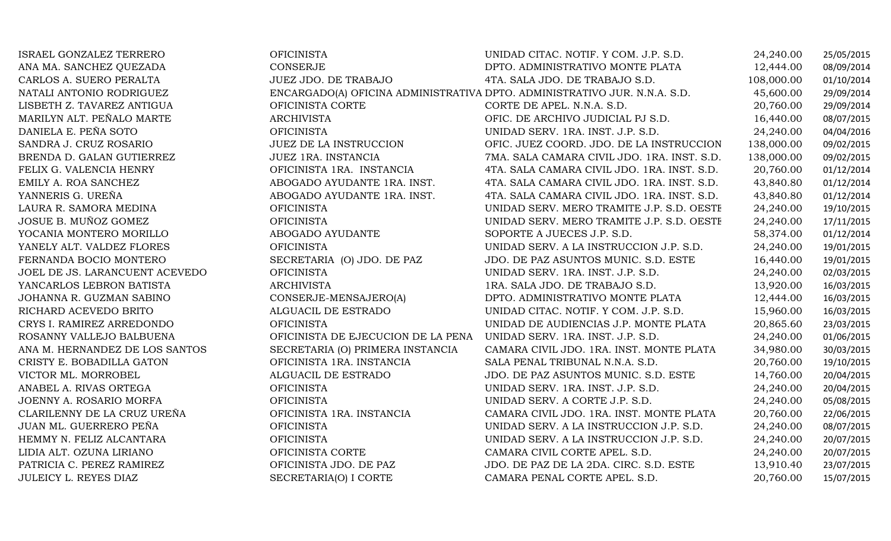| ISRAEL GONZALEZ TERRERO        | <b>OFICINISTA</b>                  | UNIDAD CITAC. NOTIF. Y COM. J.P. S.D.                                     | 24,240.00  | 25/05/2015 |
|--------------------------------|------------------------------------|---------------------------------------------------------------------------|------------|------------|
| ANA MA. SANCHEZ QUEZADA        | <b>CONSERJE</b>                    | DPTO. ADMINISTRATIVO MONTE PLATA                                          | 12,444.00  | 08/09/2014 |
| CARLOS A. SUERO PERALTA        | JUEZ JDO. DE TRABAJO               | 4TA. SALA JDO. DE TRABAJO S.D.                                            | 108,000.00 | 01/10/2014 |
| NATALI ANTONIO RODRIGUEZ       |                                    | ENCARGADO(A) OFICINA ADMINISTRATIVA DPTO. ADMINISTRATIVO JUR. N.N.A. S.D. | 45,600.00  | 29/09/2014 |
| LISBETH Z. TAVAREZ ANTIGUA     | OFICINISTA CORTE                   | CORTE DE APEL. N.N.A. S.D.                                                | 20,760.00  | 29/09/2014 |
| MARILYN ALT. PEÑALO MARTE      | <b>ARCHIVISTA</b>                  | OFIC. DE ARCHIVO JUDICIAL PJ S.D.                                         | 16,440.00  | 08/07/2015 |
| DANIELA E. PEÑA SOTO           | <b>OFICINISTA</b>                  | UNIDAD SERV. 1RA. INST. J.P. S.D.                                         | 24,240.00  | 04/04/2016 |
| SANDRA J. CRUZ ROSARIO         | JUEZ DE LA INSTRUCCION             | OFIC. JUEZ COORD. JDO. DE LA INSTRUCCION                                  | 138,000.00 | 09/02/2015 |
| BRENDA D. GALAN GUTIERREZ      | JUEZ 1RA. INSTANCIA                | 7MA. SALA CAMARA CIVIL JDO. 1RA. INST. S.D.                               | 138,000.00 | 09/02/2015 |
| FELIX G. VALENCIA HENRY        | OFICINISTA 1RA. INSTANCIA          | 4TA. SALA CAMARA CIVIL JDO. 1RA. INST. S.D.                               | 20,760.00  | 01/12/2014 |
| EMILY A. ROA SANCHEZ           | ABOGADO AYUDANTE 1RA. INST.        | 4TA. SALA CAMARA CIVIL JDO. 1RA. INST. S.D.                               | 43,840.80  | 01/12/2014 |
| YANNERIS G. UREÑA              | ABOGADO AYUDANTE 1RA. INST.        | 4TA. SALA CAMARA CIVIL JDO. 1RA. INST. S.D.                               | 43,840.80  | 01/12/2014 |
| LAURA R. SAMORA MEDINA         | <b>OFICINISTA</b>                  | UNIDAD SERV. MERO TRAMITE J.P. S.D. OESTH                                 | 24,240.00  | 19/10/2015 |
| JOSUE B. MUÑOZ GOMEZ           | <b>OFICINISTA</b>                  | UNIDAD SERV. MERO TRAMITE J.P. S.D. OESTH                                 | 24,240.00  | 17/11/2015 |
| YOCANIA MONTERO MORILLO        | ABOGADO AYUDANTE                   | SOPORTE A JUECES J.P. S.D.                                                | 58,374.00  | 01/12/2014 |
| YANELY ALT. VALDEZ FLORES      | <b>OFICINISTA</b>                  | UNIDAD SERV. A LA INSTRUCCION J.P. S.D.                                   | 24,240.00  | 19/01/2015 |
| FERNANDA BOCIO MONTERO         | SECRETARIA (O) JDO. DE PAZ         | JDO. DE PAZ ASUNTOS MUNIC. S.D. ESTE                                      | 16,440.00  | 19/01/2015 |
| JOEL DE JS. LARANCUENT ACEVEDO | <b>OFICINISTA</b>                  | UNIDAD SERV. 1RA. INST. J.P. S.D.                                         | 24,240.00  | 02/03/2015 |
| YANCARLOS LEBRON BATISTA       | <b>ARCHIVISTA</b>                  | 1RA. SALA JDO. DE TRABAJO S.D.                                            | 13,920.00  | 16/03/2015 |
| JOHANNA R. GUZMAN SABINO       | CONSERJE-MENSAJERO(A)              | DPTO. ADMINISTRATIVO MONTE PLATA                                          | 12,444.00  | 16/03/2015 |
| RICHARD ACEVEDO BRITO          | ALGUACIL DE ESTRADO                | UNIDAD CITAC. NOTIF. Y COM. J.P. S.D.                                     | 15,960.00  | 16/03/2015 |
| CRYS I. RAMIREZ ARREDONDO      | <b>OFICINISTA</b>                  | UNIDAD DE AUDIENCIAS J.P. MONTE PLATA                                     | 20,865.60  | 23/03/2015 |
| ROSANNY VALLEJO BALBUENA       | OFICINISTA DE EJECUCION DE LA PENA | UNIDAD SERV. 1RA. INST. J.P. S.D.                                         | 24,240.00  | 01/06/2015 |
| ANA M. HERNANDEZ DE LOS SANTOS | SECRETARIA (O) PRIMERA INSTANCIA   | CAMARA CIVIL JDO. 1RA. INST. MONTE PLATA                                  | 34,980.00  | 30/03/2015 |
| CRISTY E. BOBADILLA GATON      | OFICINISTA 1RA. INSTANCIA          | SALA PENAL TRIBUNAL N.N.A. S.D.                                           | 20,760.00  | 19/10/2015 |
| VICTOR ML. MORROBEL            | ALGUACIL DE ESTRADO                | JDO. DE PAZ ASUNTOS MUNIC. S.D. ESTE                                      | 14,760.00  | 20/04/2015 |
| ANABEL A. RIVAS ORTEGA         | <b>OFICINISTA</b>                  | UNIDAD SERV. 1RA. INST. J.P. S.D.                                         | 24,240.00  | 20/04/2015 |
| JOENNY A. ROSARIO MORFA        | <b>OFICINISTA</b>                  | UNIDAD SERV. A CORTE J.P. S.D.                                            | 24,240.00  | 05/08/2015 |
| CLARILENNY DE LA CRUZ UREÑA    | OFICINISTA 1RA. INSTANCIA          | CAMARA CIVIL JDO. 1RA. INST. MONTE PLATA                                  | 20,760.00  | 22/06/2015 |
| JUAN ML. GUERRERO PEÑA         | <b>OFICINISTA</b>                  | UNIDAD SERV. A LA INSTRUCCION J.P. S.D.                                   | 24,240.00  | 08/07/2015 |
| HEMMY N. FELIZ ALCANTARA       | <b>OFICINISTA</b>                  | UNIDAD SERV. A LA INSTRUCCION J.P. S.D.                                   | 24,240.00  | 20/07/2015 |
| LIDIA ALT. OZUNA LIRIANO       | OFICINISTA CORTE                   | CAMARA CIVIL CORTE APEL. S.D.                                             | 24,240.00  | 20/07/2015 |
| PATRICIA C. PEREZ RAMIREZ      | OFICINISTA JDO. DE PAZ             | JDO. DE PAZ DE LA 2DA. CIRC. S.D. ESTE                                    | 13,910.40  | 23/07/2015 |
| JULEICY L. REYES DIAZ          | SECRETARIA(O) I CORTE              | CAMARA PENAL CORTE APEL. S.D.                                             | 20,760.00  | 15/07/2015 |
|                                |                                    |                                                                           |            |            |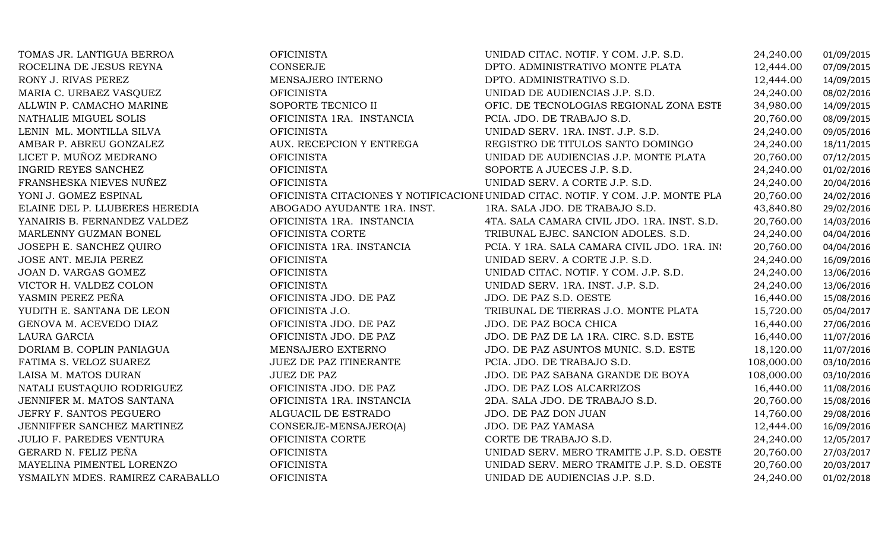| TOMAS JR. LANTIGUA BERROA        | <b>OFICINISTA</b>             | UNIDAD CITAC. NOTIF. Y COM. J.P. S.D.                                            | 24,240.00  | 01/09/2015 |
|----------------------------------|-------------------------------|----------------------------------------------------------------------------------|------------|------------|
| ROCELINA DE JESUS REYNA          | <b>CONSERJE</b>               | DPTO. ADMINISTRATIVO MONTE PLATA                                                 | 12,444.00  | 07/09/2015 |
| RONY J. RIVAS PEREZ              | MENSAJERO INTERNO             | DPTO. ADMINISTRATIVO S.D.                                                        | 12,444.00  | 14/09/2015 |
| MARIA C. URBAEZ VASQUEZ          | <b>OFICINISTA</b>             | UNIDAD DE AUDIENCIAS J.P. S.D.                                                   | 24,240.00  | 08/02/2016 |
| ALLWIN P. CAMACHO MARINE         | SOPORTE TECNICO II            | OFIC. DE TECNOLOGIAS REGIONAL ZONA ESTE                                          | 34,980.00  | 14/09/2015 |
| NATHALIE MIGUEL SOLIS            | OFICINISTA 1RA. INSTANCIA     | PCIA. JDO. DE TRABAJO S.D.                                                       | 20,760.00  | 08/09/2015 |
| LENIN ML. MONTILLA SILVA         | <b>OFICINISTA</b>             | UNIDAD SERV. 1RA. INST. J.P. S.D.                                                | 24,240.00  | 09/05/2016 |
| AMBAR P. ABREU GONZALEZ          | AUX. RECEPCION Y ENTREGA      | REGISTRO DE TITULOS SANTO DOMINGO                                                | 24,240.00  | 18/11/2015 |
| LICET P. MUÑOZ MEDRANO           | <b>OFICINISTA</b>             | UNIDAD DE AUDIENCIAS J.P. MONTE PLATA                                            | 20,760.00  | 07/12/2015 |
| <b>INGRID REYES SANCHEZ</b>      | <b>OFICINISTA</b>             | SOPORTE A JUECES J.P. S.D.                                                       | 24,240.00  | 01/02/2016 |
| FRANSHESKA NIEVES NUÑEZ          | <b>OFICINISTA</b>             | UNIDAD SERV. A CORTE J.P. S.D.                                                   | 24,240.00  | 20/04/2016 |
| YONI J. GOMEZ ESPINAL            |                               | OFICINISTA CITACIONES Y NOTIFICACIONI UNIDAD CITAC. NOTIF. Y COM. J.P. MONTE PLA | 20,760.00  | 24/02/2016 |
| ELAINE DEL P. LLUBERES HEREDIA   | ABOGADO AYUDANTE 1RA. INST.   | 1RA. SALA JDO. DE TRABAJO S.D.                                                   | 43,840.80  | 29/02/2016 |
| YANAIRIS B. FERNANDEZ VALDEZ     | OFICINISTA 1RA. INSTANCIA     | 4TA. SALA CAMARA CIVIL JDO. 1RA. INST. S.D.                                      | 20,760.00  | 14/03/2016 |
| MARLENNY GUZMAN BONEL            | OFICINISTA CORTE              | TRIBUNAL EJEC. SANCION ADOLES. S.D.                                              | 24,240.00  | 04/04/2016 |
| JOSEPH E. SANCHEZ QUIRO          | OFICINISTA 1RA. INSTANCIA     | PCIA. Y 1RA. SALA CAMARA CIVIL JDO. 1RA. IN:                                     | 20,760.00  | 04/04/2016 |
| JOSE ANT. MEJIA PEREZ            | <b>OFICINISTA</b>             | UNIDAD SERV. A CORTE J.P. S.D.                                                   | 24,240.00  | 16/09/2016 |
| JOAN D. VARGAS GOMEZ             | <b>OFICINISTA</b>             | UNIDAD CITAC. NOTIF. Y COM. J.P. S.D.                                            | 24,240.00  | 13/06/2016 |
| VICTOR H. VALDEZ COLON           | <b>OFICINISTA</b>             | UNIDAD SERV. 1RA. INST. J.P. S.D.                                                | 24,240.00  | 13/06/2016 |
| YASMIN PEREZ PEÑA                | OFICINISTA JDO. DE PAZ        | JDO. DE PAZ S.D. OESTE                                                           | 16,440.00  | 15/08/2016 |
| YUDITH E. SANTANA DE LEON        | OFICINISTA J.O.               | TRIBUNAL DE TIERRAS J.O. MONTE PLATA                                             | 15,720.00  | 05/04/2017 |
| GENOVA M. ACEVEDO DIAZ           | OFICINISTA JDO. DE PAZ        | JDO. DE PAZ BOCA CHICA                                                           | 16,440.00  | 27/06/2016 |
| LAURA GARCIA                     | OFICINISTA JDO. DE PAZ        | JDO. DE PAZ DE LA 1RA. CIRC. S.D. ESTE                                           | 16,440.00  | 11/07/2016 |
| DORIAM B. COPLIN PANIAGUA        | MENSAJERO EXTERNO             | JDO. DE PAZ ASUNTOS MUNIC. S.D. ESTE                                             | 18,120.00  | 11/07/2016 |
| FATIMA S. VELOZ SUAREZ           | <b>JUEZ DE PAZ ITINERANTE</b> | PCIA. JDO. DE TRABAJO S.D.                                                       | 108,000.00 | 03/10/2016 |
| LAISA M. MATOS DURAN             | <b>JUEZ DE PAZ</b>            | JDO. DE PAZ SABANA GRANDE DE BOYA                                                | 108,000.00 | 03/10/2016 |
| NATALI EUSTAQUIO RODRIGUEZ       | OFICINISTA JDO. DE PAZ        | JDO. DE PAZ LOS ALCARRIZOS                                                       | 16,440.00  | 11/08/2016 |
| JENNIFER M. MATOS SANTANA        | OFICINISTA 1RA. INSTANCIA     | 2DA. SALA JDO. DE TRABAJO S.D.                                                   | 20,760.00  | 15/08/2016 |
| JEFRY F. SANTOS PEGUERO          | ALGUACIL DE ESTRADO           | JDO. DE PAZ DON JUAN                                                             | 14,760.00  | 29/08/2016 |
| JENNIFFER SANCHEZ MARTINEZ       | CONSERJE-MENSAJERO(A)         | <b>JDO. DE PAZ YAMASA</b>                                                        | 12,444.00  | 16/09/2016 |
| <b>JULIO F. PAREDES VENTURA</b>  | OFICINISTA CORTE              | CORTE DE TRABAJO S.D.                                                            | 24,240.00  | 12/05/2017 |
| GERARD N. FELIZ PEÑA             | <b>OFICINISTA</b>             | UNIDAD SERV. MERO TRAMITE J.P. S.D. OESTH                                        | 20,760.00  | 27/03/2017 |
| MAYELINA PIMENTEL LORENZO        | <b>OFICINISTA</b>             | UNIDAD SERV. MERO TRAMITE J.P. S.D. OESTH                                        | 20,760.00  | 20/03/2017 |
| YSMAILYN MDES. RAMIREZ CARABALLO | <b>OFICINISTA</b>             | UNIDAD DE AUDIENCIAS J.P. S.D.                                                   | 24,240.00  | 01/02/2018 |
|                                  |                               |                                                                                  |            |            |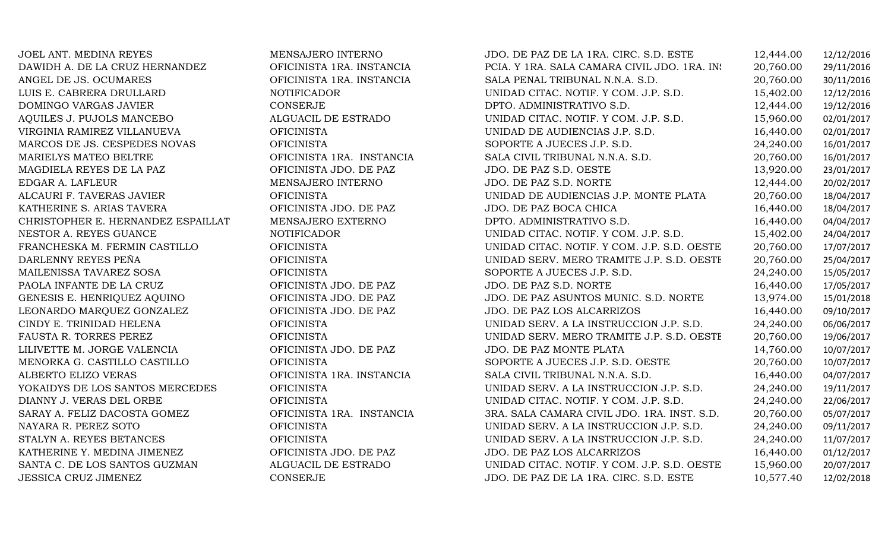JOEL ANT. MEDINA REYES MENSAJERO INTERNO JDO. DE PAZ DE LA 1RA. CIRC. S.D. ESTE 12,444.00 12/12/2016 DAWIDH A. DE LA CRUZ HERNANDEZ OFICINISTA 1RA. INSTANCIA PCIA. Y 1RA. SALA CAMARA CIVIL JDO. 1RA. INST. S.D20,760.00 29/11/2016 ANGEL DE JS. OCUMARES OFICINISTA 1RA. INSTANCIA SALA PENAL TRIBUNAL N.N.A. S.D. 20,760.00 30/11/2016 LUIS E. CABRERA DRULLARD NOTIFICADOR UNIDAD CITAC. NOTIF. Y COM. J.P. S.D. 15,402.00 12/12/2016 DOMINGO VARGAS JAVIER CONSERJE DPTO. ADMINISTRATIVO S.D. 12,444.00 19/12/2016 AQUILES J. PUJOLS MANCEBO ALGUACIL DE ESTRADO UNIDAD CITAC. NOTIF. Y COM. J.P. S.D. 15,960.00 02/01/2017 VIRGINIA RAMIREZ VILLANUEVA OFICINISTA UNIDAD DE AUDIENCIAS J.P. S.D. 16,440.00 02/01/2017 MARCOS DE JS. CESPEDES NOVAS OFICINISTA (DE ORIGINISTA SOPORTE A JUECES J.P. S.D. 24,240.00 16/01/2017<br>MARIELYS MATEO BELTRE (DELTRE CONSTRUISTA 1RA. INSTANCIA SALA CIVIL TRIBUNAL N.N.A. S.D. 20.760.00 16/01/2017 MARIELYS MATEO BELTRE OFICINISTA 1RA. INSTANCIA SALA CIVIL TRIBUNAL N.N.A. S.D. 20,760.00 16/01/2017 MAGDIELA REYES DE LA PAZ OFICINISTA JDO. DE PAZ JDO. DE PAZ S.D. OESTE 13,920.00 23/01/2017 EDGAR A. LAFLEUR MENSAJERO INTERNO JDO. DE PAZ S.D. NORTE 12,444.00 20/02/2017 ALCAURI F. TAVERAS JAVIER OFICINISTA UNIDAD DE AUDIENCIAS J.P. MONTE PLATA 20,760.00 18/04/2017 KATHERINE S. ARIAS TAVERA OFICINISTA JDO. DE PAZ JDO. DE PAZ BOCA CHICA 16,440.00 18/04/2017 CHRISTOPHER E. HERNANDEZ ESPAILLAT MENSAJERO EXTERNO DPTO. ADMINISTRATIVO S.D. 16,440.00 04/04/2017 NESTOR A. REYES GUANCE NOTIFICADOR UNIDAD CITAC. NOTIF. Y COM. J.P. S.D. 15,402.00 24/04/2017 FRANCHESKA M. FERMIN CASTILLO OFICINISTA UNIDAD CITAC. NOTIF. Y COM. J.P. S.D. OESTE 20,760.00 17/07/2017 DARLENNY REYES PEÑA OFICINISTA UNIDAD SERV. MERO TRAMITE J.P. S.D. OESTE 20,760.00 25/04/2017 MAILENISSA TAVAREZ SOSA OFICINISTA SOPORTE A JUECES J.P. S.D. 24,240.00 15/05/2017 PAOLA INFANTE DE LA CRUZ OFICINISTA JDO. DE PAZ JDO. DE PAZ S.D. NORTE 16,440.00 17/05/2017 GENESIS E. HENRIQUEZ AQUINO OFICINISTA JDO. DE PAZ JDO. DE PAZ ASUNTOS MUNIC. S.D. NORTE 13,974.00 15/01/2018 LEONARDO MARQUEZ GONZALEZ OFICINISTA JDO. DE PAZ JDO. DE PAZ LOS ALCARRIZOS 16,440.00 09/10/2017 CINDY E. TRINIDAD HELENA OFICINISTA UNIDAD SERV. A LA INSTRUCCION J.P. S.D. 24,240.00 06/06/2017 FAUSTA R. TORRES PEREZ GFICINISTA DE PAZ UNIDAD SERV. MERO TRAMITE J.P. S.D. OESTE 20,760.00 19/06/2017<br>LILIVETTE M. JORGE VALENCIA OFICINISTA JDO. DE PAZ JDO. DE PAZ MONTE PLATA 14,760.00 10/07/2017 LILIVETTE M. JORGE VALENCIA OFICINISTA JDO. DE PAZ JDO. DE PAZ MONTE PLATA 14,760.00 10/07/2017 MENORKA G. CASTILLO CASTILLO OFICINISTA SOPORTE A JUECES J.P. S.D. OESTE 20,760.00 10/07/2017 ALBERTO ELIZO VERAS OFICINISTA 1RA. INSTANCIA SALA CIVIL TRIBUNAL N.N.A. S.D. 16,440.00 04/07/2017 YOKAIDYS DE LOS SANTOS MERCEDES OFICINISTA (OFICINISTA UNIDAD SERV. A LA INSTRUCCION J.P. S.D. 24,240.00 19/11/2017<br>DIANNY J. VERAS DEL ORBE OFICINISTA (OFICINISTA UNIDAD CITAC. NOTIF. Y COM. J.P. S.D. 24.240.00 22/06/2017 DIANNY J. VERAS DEL ORBE OFICINISTA UNIDAD CITAC. NOTIF. Y COM. J.P. S.D. 24,240.00 22/06/2017 SARAY A. FELIZ DACOSTA GOMEZ OFICINISTA 1RA. INSTANCIA 3RA. SALA CAMARA CIVIL JDO. 1RA. INST. S.D. 20,760.00 05/07/2017 NAYARA R. PEREZ SOTO OFICINISTA UNIDAD SERV. A LA INSTRUCCION J.P. S.D. 24,240.00 09/11/2017 STALYN A. REYES BETANCES OFICINISTA UNIDAD SERV. A LA INSTRUCCION J.P. S.D. 24,240.00 11/07/2017 KATHERINE Y. MEDINA JIMENEZ OFICINISTA JDO. DE PAZ JDO. DE PAZ LOS ALCARRIZOS 16,440.00 01/12/2017 SANTA C. DE LOS SANTOS GUZMAN ALGUACIL DE ESTRADO UNIDAD CITAC. NOTIF. Y COM. J.P. S.D. OESTE 15,960.00 20/07/2017 JDO. DE PAZ DE LA 1RA. CIRC. S.D. ESTE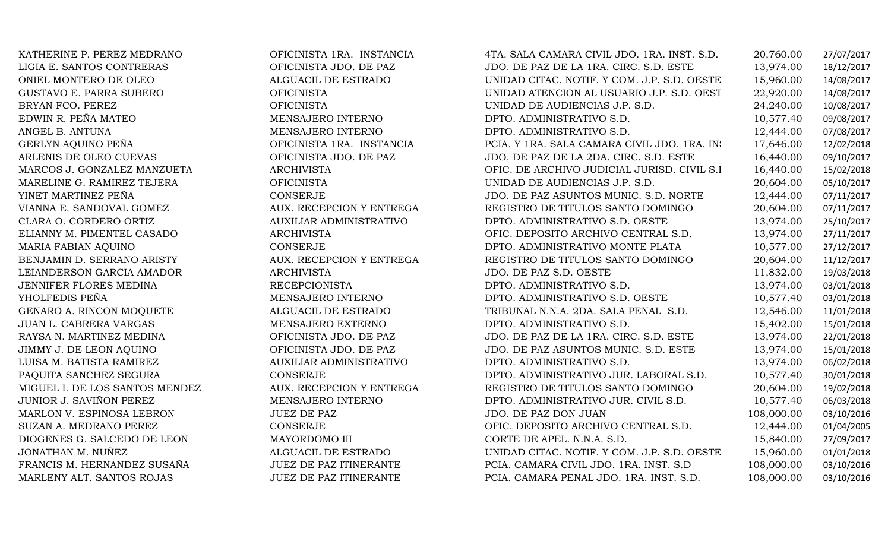KATHERINE P. PEREZ MEDRANO OFICINISTA 1RA. INSTANCIA 4TA. SALA CAMARA CIVIL JDO. 1RA. INST. S.D. 20,760.00 27/07/2017 LIGIA E. SANTOS CONTRERAS OFICINISTA JDO. DE PAZ JDO. DE PAZ DE LA 1RA. CIRC. S.D. ESTE 13,974.00 18/12/2017 ONIEL MONTERO DE OLEO ALGUACIL DE ESTRADO UNIDAD CITAC. NOTIF. Y COM. J.P. S.D. OESTE 15,960.00 14/08/2017 GUSTAVO E. PARRA SUBERO OFICINISTA UNIDAD ATENCION AL USUARIO J.P. S.D. OESTE 22,920.00 14/08/2017 BRYAN FCO. PEREZ OFICINISTA UNIDAD DE AUDIENCIAS J.P. S.D. 24,240.00 10/08/2017 EDWIN R. PEÑA MATEO MENSAJERO INTERNO DPTO. ADMINISTRATIVO S.D. 10,577.40 09/08/2017 ANGEL B. ANTUNA MENSAJERO INTERNO DPTO. ADMINISTRATIVO S.D. 12,444.00 07/08/2017 GERLYN AQUINO PEÑA OFICINISTA 1RA. INSTANCIA PCIA. Y 1RA. SALA CAMARA CIVIL JDO. 1RA. INST. S.D17,646.00 12/02/2018 ARLENIS DE OLEO CUEVAS OFICINISTA JDO. DE PAZ JDO. DE PAZ DE LA 2DA. CIRC. S.D. ESTE 16,440.00 09/10/2017 MARCOS J. GONZALEZ MANZUETA ARCHIVISTA OFIC. DE ARCHIVO JUDICIAL JURISD. CIVIL S.D. 16,440.00 15/02/2018 MARELINE G. RAMIREZ TEJERA OFICINISTA UNIDAD DE AUDIENCIAS J.P. S.D. 20,604.00 05/10/2017 YINET MARTINEZ PEÑA CONSERJE JDO. DE PAZ ASUNTOS MUNIC. S.D. NORTE 12,444.00 07/11/2017 VIANNA E. SANDOVAL GOMEZ AUX. RECEPCION Y ENTREGA REGISTRO DE TITULOS SANTO DOMINGO 20,604.00 07/11/2017 CLARA O. CORDERO ORTIZ AUXILIAR ADMINISTRATIVO DPTO. ADMINISTRATIVO S.D. OESTE 13,974.00 25/10/2017 ELIANNY M. PIMENTEL CASADO ARCHIVISTA OFIC. DEPOSITO ARCHIVO CENTRAL S.D. 13,974.00 27/11/2017 MARIA FABIAN AQUINO CONSERJE DPTO. ADMINISTRATIVO MONTE PLATA 10,577.00 27/12/2017 BENJAMIN D. SERRANO ARISTY AUX. RECEPCION Y ENTREGA REGISTRO DE TITULOS SANTO DOMINGO 20,604.00 11/12/2017 LEIANDERSON GARCIA AMADOR ARCHIVISTA JDO. DE PAZ S.D. OESTE 11,832.00 19/03/2018 JENNIFER FLORES MEDINA RECEPCIONISTA DPTO. ADMINISTRATIVO S.D. 13,974.00 03/01/2018 YHOLFEDIS PEÑA MENSAJERO INTERNO DPTO. ADMINISTRATIVO S.D. OESTE 10,577.40 03/01/2018 GENARO A. RINCON MOQUETE ALGUACIL DE ESTRADO TRIBUNAL N.N.A. 2DA. SALA PENAL S.D. 12,546.00 11/01/2018 JUAN L. CABRERA VARGAS MENSAJERO EXTERNO DPTO. ADMINISTRATIVO S.D. 15,402.00 15/01/2018 RAYSA N. MARTINEZ MEDINA OFICINISTA JDO. DE PAZ JDO. DE PAZ DE LA 1RA. CIRC. S.D. ESTE 13,974.00 22/01/2018 JIMMY J. DE LEON AQUINO OFICINISTA JDO. DE PAZ JDO. DE PAZ ASUNTOS MUNIC. S.D. ESTE 13,974.00 15/01/2018 LUISA M. BATISTA RAMIREZ AUXILIAR ADMINISTRATIVO DPTO. ADMINISTRATIVO S.D. 13,974.00 06/02/2018 PAQUITA SANCHEZ SEGURA CONSERJE CONSERIE DPTO. ADMINISTRATIVO JUR. LABORAL S.D. 10,577.40 30/01/2018<br>MIGUEL I. DE LOS SANTOS MENDEZ AUX. RECEPCION Y ENTREGA REGISTRO DE TITULOS SANTO DOMINGO 20,604.00 19/02/2018 MIGUEL I. DE LOS SANTOS MENDEZ AUX. RECEPCION Y ENTREGA REGISTRO DE TITULOS SANTO DOMINGO 20,604.00 19/02/2018 JUNIOR J. SAVIÑON PEREZ MENSAJERO INTERNO DPTO. ADMINISTRATIVO JUR. CIVIL S.D. 10,577.40 06/03/2018 MARLON V. ESPINOSA LEBRON JUEZ DE PAZ JUEZ JOO. DE PAZ DON JUAN 108,000.00 03/10/2016<br>AUGUST LEGEN DE CONSTRUERT DE CONSTRUERT DE CONSTRUERT DE CONSTRUERT DE LA CONSTRUERT DE LA COMPONICACIÓN DE L SUZAN A. MEDRANO PEREZ CONSERJE CONSERJE OFIC. DEPOSITO ARCHIVO CENTRAL S.D. 12,444.00 01/04/2005<br>DIOGENES G. SALCEDO DE LEON MAYORDOMO III CORTE DE APEL. N.N.A. S.D. 15,840.00 27/09/2017 DIOGENES G. SALCEDO DE LEON MAYORDOMO III CORTE DE APEL. N.N.A. S.D. 15,840.00 27/09/2017 JONATHAN M. NUÑEZ ALGUACIL DE ESTRADO UNIDAD CITAC. NOTIF. Y COM. J.P. S.D. OESTE 15,960.00 01/01/2018 FRANCIS M. HERNANDEZ SUSAÑA JUEZ DE PAZ ITINERANTE PCIA. CAMARA CIVIL JDO. 1RA. INST. S.D 108,000.00 03/10/2016 PCIA. CAMARA PENAL JDO. 1RA. INST. S.D.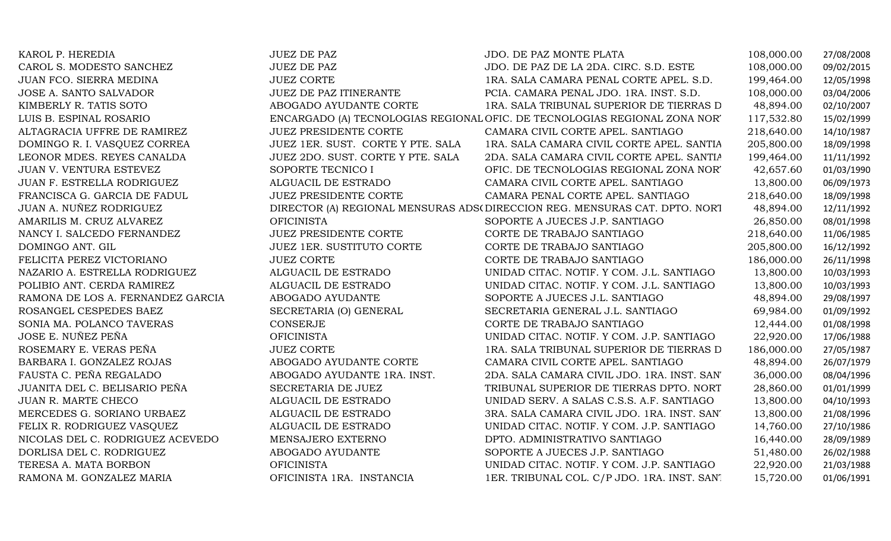| KAROL P. HEREDIA                  | <b>JUEZ DE PAZ</b>                | JDO. DE PAZ MONTE PLATA                                                    | 108,000.00 | 27/08/2008 |
|-----------------------------------|-----------------------------------|----------------------------------------------------------------------------|------------|------------|
| CAROL S. MODESTO SANCHEZ          | <b>JUEZ DE PAZ</b>                | JDO. DE PAZ DE LA 2DA. CIRC. S.D. ESTE                                     | 108,000.00 | 09/02/2015 |
| JUAN FCO. SIERRA MEDINA           | <b>JUEZ CORTE</b>                 | 1RA. SALA CAMARA PENAL CORTE APEL. S.D.                                    | 199,464.00 | 12/05/1998 |
| JOSE A. SANTO SALVADOR            | JUEZ DE PAZ ITINERANTE            | PCIA. CAMARA PENAL JDO. 1RA. INST. S.D.                                    | 108,000.00 | 03/04/2006 |
| KIMBERLY R. TATIS SOTO            | ABOGADO AYUDANTE CORTE            | 1RA. SALA TRIBUNAL SUPERIOR DE TIERRAS D                                   | 48,894.00  | 02/10/2007 |
| LUIS B. ESPINAL ROSARIO           |                                   | ENCARGADO (A) TECNOLOGIAS REGIONAL OFIC. DE TECNOLOGIAS REGIONAL ZONA NOR' | 117,532.80 | 15/02/1999 |
| ALTAGRACIA UFFRE DE RAMIREZ       | <b>JUEZ PRESIDENTE CORTE</b>      | CAMARA CIVIL CORTE APEL. SANTIAGO                                          | 218,640.00 | 14/10/1987 |
| DOMINGO R. I. VASQUEZ CORREA      | JUEZ 1ER. SUST. CORTE Y PTE. SALA | 1RA. SALA CAMARA CIVIL CORTE APEL. SANTIA                                  | 205,800.00 | 18/09/1998 |
| LEONOR MDES. REYES CANALDA        | JUEZ 2DO. SUST. CORTE Y PTE. SALA | 2DA. SALA CAMARA CIVIL CORTE APEL. SANTIA                                  | 199,464.00 | 11/11/1992 |
| JUAN V. VENTURA ESTEVEZ           | SOPORTE TECNICO I                 | OFIC. DE TECNOLOGIAS REGIONAL ZONA NOR'                                    | 42,657.60  | 01/03/1990 |
| JUAN F. ESTRELLA RODRIGUEZ        | ALGUACIL DE ESTRADO               | CAMARA CIVIL CORTE APEL. SANTIAGO                                          | 13,800.00  | 06/09/1973 |
| FRANCISCA G. GARCIA DE FADUL      | <b>JUEZ PRESIDENTE CORTE</b>      | CAMARA PENAL CORTE APEL. SANTIAGO                                          | 218,640.00 | 18/09/1998 |
| JUAN A. NUÑEZ RODRIGUEZ           |                                   | DIRECTOR (A) REGIONAL MENSURAS ADS(DIRECCION REG. MENSURAS CAT. DPTO. NORT | 48,894.00  | 12/11/1992 |
| AMARILIS M. CRUZ ALVAREZ          | <b>OFICINISTA</b>                 | SOPORTE A JUECES J.P. SANTIAGO                                             | 26,850.00  | 08/01/1998 |
| NANCY I. SALCEDO FERNANDEZ        | <b>JUEZ PRESIDENTE CORTE</b>      | CORTE DE TRABAJO SANTIAGO                                                  | 218,640.00 | 11/06/1985 |
| DOMINGO ANT. GIL                  | JUEZ 1ER. SUSTITUTO CORTE         | CORTE DE TRABAJO SANTIAGO                                                  | 205,800.00 | 16/12/1992 |
| FELICITA PEREZ VICTORIANO         | <b>JUEZ CORTE</b>                 | CORTE DE TRABAJO SANTIAGO                                                  | 186,000.00 | 26/11/1998 |
| NAZARIO A. ESTRELLA RODRIGUEZ     | ALGUACIL DE ESTRADO               | UNIDAD CITAC. NOTIF. Y COM. J.L. SANTIAGO                                  | 13,800.00  | 10/03/1993 |
| POLIBIO ANT. CERDA RAMIREZ        | ALGUACIL DE ESTRADO               | UNIDAD CITAC. NOTIF. Y COM. J.L. SANTIAGO                                  | 13,800.00  | 10/03/1993 |
| RAMONA DE LOS A. FERNANDEZ GARCIA | ABOGADO AYUDANTE                  | SOPORTE A JUECES J.L. SANTIAGO                                             | 48,894.00  | 29/08/1997 |
| ROSANGEL CESPEDES BAEZ            | SECRETARIA (O) GENERAL            | SECRETARIA GENERAL J.L. SANTIAGO                                           | 69,984.00  | 01/09/1992 |
| SONIA MA. POLANCO TAVERAS         | CONSERJE                          | CORTE DE TRABAJO SANTIAGO                                                  | 12,444.00  | 01/08/1998 |
| JOSE E. NUÑEZ PEÑA                | <b>OFICINISTA</b>                 | UNIDAD CITAC. NOTIF. Y COM. J.P. SANTIAGO                                  | 22,920.00  | 17/06/1988 |
| ROSEMARY E. VERAS PEÑA            | <b>JUEZ CORTE</b>                 | 1RA. SALA TRIBUNAL SUPERIOR DE TIERRAS D                                   | 186,000.00 | 27/05/1987 |
| BARBARA I. GONZALEZ ROJAS         | ABOGADO AYUDANTE CORTE            | CAMARA CIVIL CORTE APEL. SANTIAGO                                          | 48,894.00  | 26/07/1979 |
| FAUSTA C. PEÑA REGALADO           | ABOGADO AYUDANTE 1RA. INST.       | 2DA. SALA CAMARA CIVIL JDO. 1RA. INST. SAN'                                | 36,000.00  | 08/04/1996 |
| JUANITA DEL C. BELISARIO PEÑA     | SECRETARIA DE JUEZ                | TRIBUNAL SUPERIOR DE TIERRAS DPTO. NORT                                    | 28,860.00  | 01/01/1999 |
| JUAN R. MARTE CHECO               | ALGUACIL DE ESTRADO               | UNIDAD SERV. A SALAS C.S.S. A.F. SANTIAGO                                  | 13,800.00  | 04/10/1993 |
| MERCEDES G. SORIANO URBAEZ        | ALGUACIL DE ESTRADO               | 3RA. SALA CAMARA CIVIL JDO. 1RA. INST. SAN'                                | 13,800.00  | 21/08/1996 |
| FELIX R. RODRIGUEZ VASQUEZ        | ALGUACIL DE ESTRADO               | UNIDAD CITAC. NOTIF. Y COM. J.P. SANTIAGO                                  | 14,760.00  | 27/10/1986 |
| NICOLAS DEL C. RODRIGUEZ ACEVEDO  | MENSAJERO EXTERNO                 | DPTO. ADMINISTRATIVO SANTIAGO                                              | 16,440.00  | 28/09/1989 |
| DORLISA DEL C. RODRIGUEZ          | ABOGADO AYUDANTE                  | SOPORTE A JUECES J.P. SANTIAGO                                             | 51,480.00  | 26/02/1988 |
| TERESA A. MATA BORBON             | <b>OFICINISTA</b>                 | UNIDAD CITAC. NOTIF. Y COM. J.P. SANTIAGO                                  | 22,920.00  | 21/03/1988 |
| RAMONA M. GONZALEZ MARIA          | OFICINISTA 1RA. INSTANCIA         | 1ER. TRIBUNAL COL. C/P JDO. 1RA. INST. SANT                                | 15,720.00  | 01/06/1991 |
|                                   |                                   |                                                                            |            |            |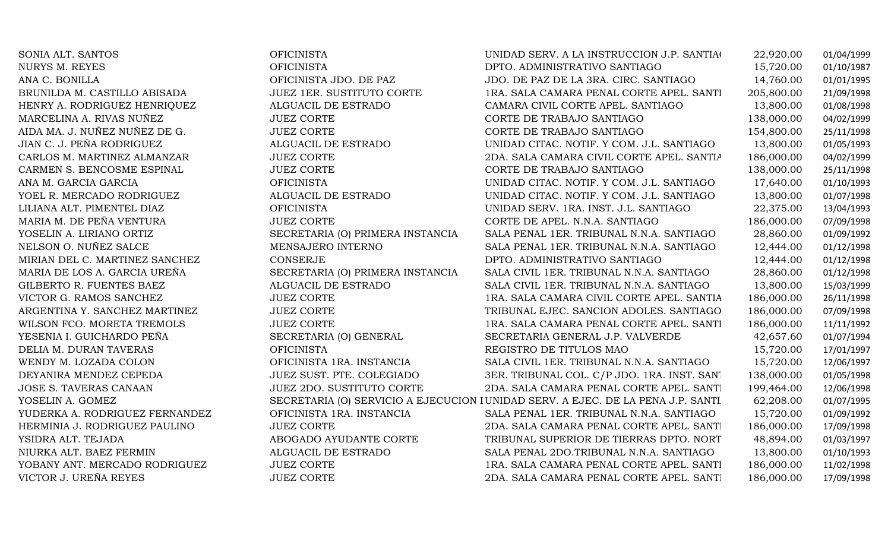NURYS M. REYESANA C. BONILLADEYANIRA MENDEZ CEPEDA JUEZ SUST. PTE. COLEGIADO JOSE S. TAVERAS CANAAN JUEZ 2DO. SUSTITUTO CORTE YOSELIN A. GOMEZ

SONIA ALT. SANTOS OFICINISTA UNIDAD SERV. A LA INSTRUCCION J.P. SANTIAGO 22,920.00 01/04/1999 OFICINISTA DPTO. ADMINISTRATIVO SANTIAGO 15,720.00 01/10/1987 OFICINISTA JDO. DE PAZ JDO. DE PAZ DE LA 3RA. CIRC. SANTIAGO 14,760.00 01/01/1995 BRUNILDA M. CASTILLO ABISADA JUEZ 1ER. SUSTITUTO CORTE 1RA. SALA CAMARA PENAL CORTE APEL. SANTIAGO 205,800.00 21/09/1998 HENRY A. RODRIGUEZ HENRIQUEZ ALGUACIL DE ESTRADO CAMARA CIVIL CORTE APEL. SANTIAGO 13,800.00 01/08/1998 MARCELINA A. RIVAS NUÑEZ JUEZ CORTE CORTE DE TRABAJO SANTIAGO 138,000.00 04/02/1999 AIDA MA. J. NUÑEZ NUÑEZ DE G. JUEZ CORTE CORTE DE TRABAJO SANTIAGO 154,800.00 25/11/1998 JIAN C. J. PEÑA RODRIGUEZ ALGUACIL DE ESTRADO UNIDAD CITAC. NOTIF. Y COM. J.L. SANTIAGO 13,800.00 01/05/1993 CARLOS M. MARTINEZ ALMANZAR JUEZ CORTE 2DA. SALA CAMARA CIVIL CORTE APEL. SANTIAGO186,000.00 04/02/1999<br>138,000.00 25/11/1998 CARMEN S. BENCOSME ESPINAL JUEZ CORTE CORTE DE TRABAJO SANTIAGO 138,000.00 25/11/1998 ANA M. GARCIA GARCIA OFICINISTA UNIDAD CITAC. NOTIF. Y COM. J.L. SANTIAGO 17,640.00 01/10/1993 YOEL R. MERCADO RODRIGUEZ ALGUACIL DE ESTRADO UNIDAD CITAC. NOTIF. Y COM. J.L. SANTIAGO 13,800.00 01/07/1998 LILIANA ALT. PIMENTEL DIAZ OFICINISTA UNIDAD SERV. 1RA. INST. J.L. SANTIAGO 22,375.00 13/04/1993 MARIA M. DE PEÑA VENTURA JUEZ CORTE CORTE DE APEL. N.N.A. SANTIAGO 186,000.00 07/09/1998 YOSELIN A. LIRIANO ORTIZ SECRETARIA (O) PRIMERA INSTANCIA SALA PENAL 1ER. TRIBUNAL N.N.A. SANTIAGO 28,860.00 01/09/1992 NELSON O. NUÑEZ SALCE MENSAJERO INTERNO SALA PENAL 1ER. TRIBUNAL N.N.A. SANTIAGO 12,444.00 01/12/1998 MIRIAN DEL C. MARTINEZ SANCHEZ CONSERJE DPTO. ADMINISTRATIVO SANTIAGO 12,444.00 01/12/1998 MARIA DE LOS A. GARCIA UREÑA SECRETARIA (O) PRIMERA INSTANCIA SALA CIVIL 1ER. TRIBUNAL N.N.A. SANTIAGO 28,860.00 01/12/1998<br>GILBERTO R. FUENTES BAEZ ALGUACIL DE ESTRADO SALA CIVIL 1ER. TRIBUNAL N.N.A. SANTIAGO 13,800.00 15 GILBERTO R. FUENTES BAEZ ALGUACIL DE ESTRADO SALA CIVIL 1ER. TRIBUNAL N.N.A. SANTIAGO 13,800.00 15/03/1999 VICTOR G. RAMOS SANCHEZ JUEZ CORTE 1RA. SALA CAMARA CIVIL CORTE APEL. SANTIAGO 186,000.00 26/11/1998 ARGENTINA Y. SANCHEZ MARTINEZ JUEZ CORTE TRIBUNAL EJEC. SANCION ADOLES. SANTIAGO 186,000.00 07/09/1998 WILSON FCO. MORETA TREMOLS JUEZ CORTE 1RA. SALA CAMARA PENAL CORTE APEL. SANTIAGO186,000.00 11/11/1992<br>42,657.60 01/07/1994 YESENIA I. GUICHARDO PEÑA SECRETARIA (O) GENERAL SECRETARIA GENERAL J.P. VALVERDE 42,657.60 01/07/1994 DELIA M. DURAN TAVERAS OFICINISTA REGISTRO DE TITULOS MAO 15,720.00 17/01/1997 WENDY M. LOZADA COLON OFICINISTA 1RA. INSTANCIA SALA CIVIL 1ER. TRIBUNAL N.N.A. SANTIAGO 15,720.00 12/06/1997 3ER. TRIBUNAL COL. C/P JDO. 1RA. INST. SANT 138,000.00 01/05/1998<br>2DA. SALA CAMARA PENAL CORTE APEL. SANT 199.464.00 12/06/1998 2DA. SALA CAMARA PENAL CORTE APEL. SANTI 199,464.00 12/06/1998<br>62.208.00 01/07/1995 SECRETARIA (O) SERVICIO A EJECUCION I UNIDAD SERV. A EJEC. DE LA PENA J.P. SANTI 62,208.00 01/07/1995 YUDERKA A. RODRIGUEZ FERNANDEZ OFICINISTA 1RA. INSTANCIA SALA PENAL 1ER. TRIBUNAL N.N.A. SANTIAGO 15,720.00 01/09/1992 HERMINIA J. RODRIGUEZ PAULINO JUEZ CORTE 2DA. SALA CAMARA PENAL CORTE APEL. SANTIAGO 186,000.00 17/09/1998 YSIDRA ALT. TEJADA ABOGADO AYUDANTE CORTE TRIBUNAL SUPERIOR DE TIERRAS DPTO. NORTE 48,894.00 01/03/1997 NIURKA ALT. BAEZ FERMIN ALGUACIL DE ESTRADO SALA PENAL 2DO.TRIBUNAL N.N.A. SANTIAGO 13,800.00 01/10/1993 YOBANY ANT. MERCADO RODRIGUEZ JUEZ CORTE 1RA. SALA CAMARA PENAL CORTE APEL. SANTIAGO186,000.00 11/02/1998<br>186.000.00 17/09/1998 2DA. SALA CAMARA PENAL CORTE APEL. SANTI 186,000.00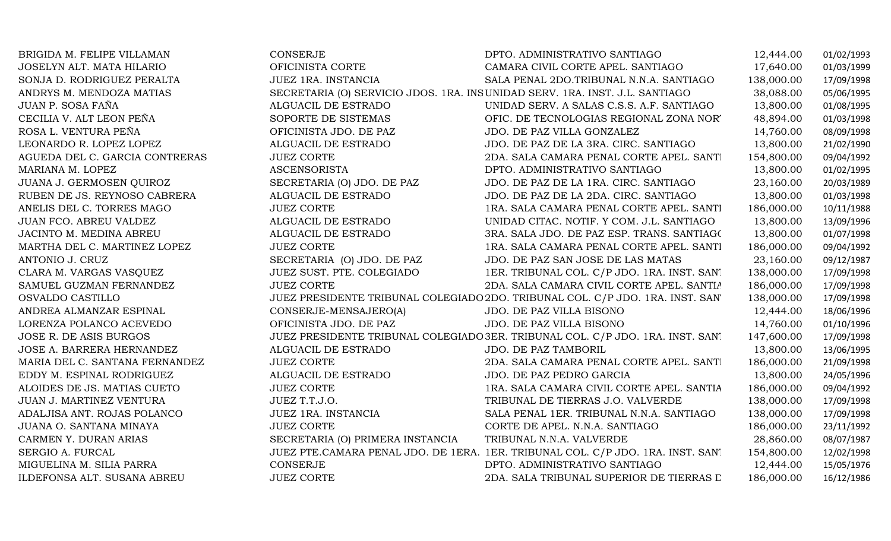| BRIGIDA M. FELIPE VILLAMAN     | <b>CONSERJE</b>                  | DPTO. ADMINISTRATIVO SANTIAGO                                                   | 12,444.00  | 01/02/1993 |
|--------------------------------|----------------------------------|---------------------------------------------------------------------------------|------------|------------|
| JOSELYN ALT. MATA HILARIO      | OFICINISTA CORTE                 | CAMARA CIVIL CORTE APEL. SANTIAGO                                               | 17,640.00  | 01/03/1999 |
| SONJA D. RODRIGUEZ PERALTA     | JUEZ 1RA. INSTANCIA              | SALA PENAL 2DO.TRIBUNAL N.N.A. SANTIAGO                                         | 138,000.00 | 17/09/1998 |
| ANDRYS M. MENDOZA MATIAS       |                                  | SECRETARIA (O) SERVICIO JDOS. 1RA. INSUNIDAD SERV. 1RA. INST. J.L. SANTIAGO     | 38,088.00  | 05/06/1995 |
| JUAN P. SOSA FAÑA              | ALGUACIL DE ESTRADO              | UNIDAD SERV. A SALAS C.S.S. A.F. SANTIAGO                                       | 13,800.00  | 01/08/1995 |
| CECILIA V. ALT LEON PEÑA       | SOPORTE DE SISTEMAS              | OFIC. DE TECNOLOGIAS REGIONAL ZONA NOR'                                         | 48,894.00  | 01/03/1998 |
| ROSA L. VENTURA PEÑA           | OFICINISTA JDO. DE PAZ           | JDO. DE PAZ VILLA GONZALEZ                                                      | 14,760.00  | 08/09/1998 |
| LEONARDO R. LOPEZ LOPEZ        | ALGUACIL DE ESTRADO              | JDO. DE PAZ DE LA 3RA. CIRC. SANTIAGO                                           | 13,800.00  | 21/02/1990 |
| AGUEDA DEL C. GARCIA CONTRERAS | <b>JUEZ CORTE</b>                | 2DA. SALA CAMARA PENAL CORTE APEL. SANTI                                        | 154,800.00 | 09/04/1992 |
| MARIANA M. LOPEZ               | <b>ASCENSORISTA</b>              | DPTO. ADMINISTRATIVO SANTIAGO                                                   | 13,800.00  | 01/02/1995 |
| JUANA J. GERMOSEN QUIROZ       | SECRETARIA (O) JDO. DE PAZ       | JDO. DE PAZ DE LA 1RA. CIRC. SANTIAGO                                           | 23,160.00  | 20/03/1989 |
| RUBEN DE JS. REYNOSO CABRERA   | ALGUACIL DE ESTRADO              | JDO. DE PAZ DE LA 2DA. CIRC. SANTIAGO                                           | 13,800.00  | 01/03/1998 |
| ANELIS DEL C. TORRES MAGO      | <b>JUEZ CORTE</b>                | 1RA. SALA CAMARA PENAL CORTE APEL. SANTI                                        | 186,000.00 | 10/11/1988 |
| JUAN FCO. ABREU VALDEZ         | ALGUACIL DE ESTRADO              | UNIDAD CITAC. NOTIF. Y COM. J.L. SANTIAGO                                       | 13,800.00  | 13/09/1996 |
| JACINTO M. MEDINA ABREU        | ALGUACIL DE ESTRADO              | 3RA. SALA JDO. DE PAZ ESP. TRANS. SANTIAGO                                      | 13,800.00  | 01/07/1998 |
| MARTHA DEL C. MARTINEZ LOPEZ   | <b>JUEZ CORTE</b>                | 1RA. SALA CAMARA PENAL CORTE APEL. SANTI                                        | 186,000.00 | 09/04/1992 |
| ANTONIO J. CRUZ                | SECRETARIA (O) JDO. DE PAZ       | JDO. DE PAZ SAN JOSE DE LAS MATAS                                               | 23,160.00  | 09/12/1987 |
| CLARA M. VARGAS VASQUEZ        | JUEZ SUST. PTE. COLEGIADO        | 1ER. TRIBUNAL COL. C/P JDO. 1RA. INST. SAN'                                     | 138,000.00 | 17/09/1998 |
| SAMUEL GUZMAN FERNANDEZ        | <b>JUEZ CORTE</b>                | 2DA. SALA CAMARA CIVIL CORTE APEL. SANTIA                                       | 186,000.00 | 17/09/1998 |
| OSVALDO CASTILLO               |                                  | JUEZ PRESIDENTE TRIBUNAL COLEGIADO 2DO. TRIBUNAL COL. C/P JDO. 1RA. INST. SAN'  | 138,000.00 | 17/09/1998 |
| ANDREA ALMANZAR ESPINAL        | CONSERJE-MENSAJERO(A)            | JDO. DE PAZ VILLA BISONO                                                        | 12,444.00  | 18/06/1996 |
| LORENZA POLANCO ACEVEDO        | OFICINISTA JDO. DE PAZ           | JDO. DE PAZ VILLA BISONO                                                        | 14,760.00  | 01/10/1996 |
| <b>JOSE R. DE ASIS BURGOS</b>  |                                  | JUEZ PRESIDENTE TRIBUNAL COLEGIADO 3ER. TRIBUNAL COL. C/P JDO. 1RA. INST. SAN.  | 147,600.00 | 17/09/1998 |
| JOSE A. BARRERA HERNANDEZ      | ALGUACIL DE ESTRADO              | JDO. DE PAZ TAMBORIL                                                            | 13,800.00  | 13/06/1995 |
| MARIA DEL C. SANTANA FERNANDEZ | <b>JUEZ CORTE</b>                | 2DA. SALA CAMARA PENAL CORTE APEL. SANTI                                        | 186,000.00 | 21/09/1998 |
| EDDY M. ESPINAL RODRIGUEZ      | ALGUACIL DE ESTRADO              | JDO. DE PAZ PEDRO GARCIA                                                        | 13,800.00  | 24/05/1996 |
| ALOIDES DE JS. MATIAS CUETO    | <b>JUEZ CORTE</b>                | 1RA. SALA CAMARA CIVIL CORTE APEL. SANTIA                                       | 186,000.00 | 09/04/1992 |
| JUAN J. MARTINEZ VENTURA       | JUEZ T.T.J.O.                    | TRIBUNAL DE TIERRAS J.O. VALVERDE                                               | 138,000.00 | 17/09/1998 |
| ADALJISA ANT. ROJAS POLANCO    | JUEZ 1RA. INSTANCIA              | SALA PENAL 1ER. TRIBUNAL N.N.A. SANTIAGO                                        | 138,000.00 | 17/09/1998 |
| JUANA O. SANTANA MINAYA        | <b>JUEZ CORTE</b>                | CORTE DE APEL. N.N.A. SANTIAGO                                                  | 186,000.00 | 23/11/1992 |
| CARMEN Y. DURAN ARIAS          | SECRETARIA (O) PRIMERA INSTANCIA | TRIBUNAL N.N.A. VALVERDE                                                        | 28,860.00  | 08/07/1987 |
| SERGIO A. FURCAL               |                                  | JUEZ PTE.CAMARA PENAL JDO. DE 1ERA. 1ER. TRIBUNAL COL. C/P JDO. 1RA. INST. SAN. | 154,800.00 | 12/02/1998 |
| MIGUELINA M. SILIA PARRA       | CONSERJE                         | DPTO. ADMINISTRATIVO SANTIAGO                                                   | 12,444.00  | 15/05/1976 |
| ILDEFONSA ALT. SUSANA ABREU    | <b>JUEZ CORTE</b>                | 2DA. SALA TRIBUNAL SUPERIOR DE TIERRAS L                                        | 186,000.00 | 16/12/1986 |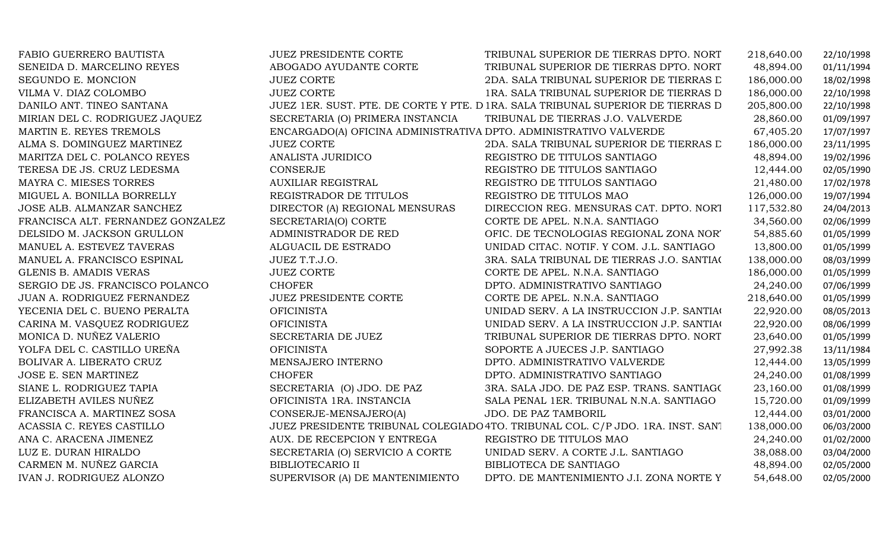| FABIO GUERRERO BAUTISTA           | <b>JUEZ PRESIDENTE CORTE</b>                                      | TRIBUNAL SUPERIOR DE TIERRAS DPTO. NORT                                         | 218,640.00 | 22/10/1998 |
|-----------------------------------|-------------------------------------------------------------------|---------------------------------------------------------------------------------|------------|------------|
| SENEIDA D. MARCELINO REYES        | ABOGADO AYUDANTE CORTE                                            | TRIBUNAL SUPERIOR DE TIERRAS DPTO. NORT                                         | 48,894.00  | 01/11/1994 |
| SEGUNDO E. MONCION                | <b>JUEZ CORTE</b>                                                 | 2DA. SALA TRIBUNAL SUPERIOR DE TIERRAS L                                        | 186,000.00 | 18/02/1998 |
| VILMA V. DIAZ COLOMBO             | <b>JUEZ CORTE</b>                                                 | 1RA. SALA TRIBUNAL SUPERIOR DE TIERRAS D                                        | 186,000.00 | 22/10/1998 |
| DANILO ANT. TINEO SANTANA         |                                                                   | JUEZ 1ER. SUST. PTE. DE CORTE Y PTE. D 1RA. SALA TRIBUNAL SUPERIOR DE TIERRAS D | 205,800.00 | 22/10/1998 |
| MIRIAN DEL C. RODRIGUEZ JAQUEZ    | SECRETARIA (O) PRIMERA INSTANCIA                                  | TRIBUNAL DE TIERRAS J.O. VALVERDE                                               | 28,860.00  | 01/09/1997 |
| MARTIN E. REYES TREMOLS           | ENCARGADO(A) OFICINA ADMINISTRATIVA DPTO. ADMINISTRATIVO VALVERDE |                                                                                 | 67,405.20  | 17/07/1997 |
| ALMA S. DOMINGUEZ MARTINEZ        | <b>JUEZ CORTE</b>                                                 | 2DA. SALA TRIBUNAL SUPERIOR DE TIERRAS L                                        | 186,000.00 | 23/11/1995 |
| MARITZA DEL C. POLANCO REYES      | ANALISTA JURIDICO                                                 | REGISTRO DE TITULOS SANTIAGO                                                    | 48,894.00  | 19/02/1996 |
| TERESA DE JS. CRUZ LEDESMA        | CONSERJE                                                          | REGISTRO DE TITULOS SANTIAGO                                                    | 12,444.00  | 02/05/1990 |
| MAYRA C. MIESES TORRES            | <b>AUXILIAR REGISTRAL</b>                                         | REGISTRO DE TITULOS SANTIAGO                                                    | 21,480.00  | 17/02/1978 |
| MIGUEL A. BONILLA BORRELLY        | REGISTRADOR DE TITULOS                                            | REGISTRO DE TITULOS MAO                                                         | 126,000.00 | 19/07/1994 |
| JOSE ALB. ALMANZAR SANCHEZ        | DIRECTOR (A) REGIONAL MENSURAS                                    | DIRECCION REG. MENSURAS CAT. DPTO. NORT                                         | 117,532.80 | 24/04/2013 |
| FRANCISCA ALT. FERNANDEZ GONZALEZ | SECRETARIA(O) CORTE                                               | CORTE DE APEL. N.N.A. SANTIAGO                                                  | 34,560.00  | 02/06/1999 |
| DELSIDO M. JACKSON GRULLON        | ADMINISTRADOR DE RED                                              | OFIC. DE TECNOLOGIAS REGIONAL ZONA NOR'                                         | 54,885.60  | 01/05/1999 |
| MANUEL A. ESTEVEZ TAVERAS         | ALGUACIL DE ESTRADO                                               | UNIDAD CITAC. NOTIF. Y COM. J.L. SANTIAGO                                       | 13,800.00  | 01/05/1999 |
| MANUEL A. FRANCISCO ESPINAL       | JUEZ T.T.J.O.                                                     | 3RA. SALA TRIBUNAL DE TIERRAS J.O. SANTIAC                                      | 138,000.00 | 08/03/1999 |
| <b>GLENIS B. AMADIS VERAS</b>     | <b>JUEZ CORTE</b>                                                 | CORTE DE APEL. N.N.A. SANTIAGO                                                  | 186,000.00 | 01/05/1999 |
| SERGIO DE JS. FRANCISCO POLANCO   | <b>CHOFER</b>                                                     | DPTO. ADMINISTRATIVO SANTIAGO                                                   | 24,240.00  | 07/06/1999 |
| JUAN A. RODRIGUEZ FERNANDEZ       | JUEZ PRESIDENTE CORTE                                             | CORTE DE APEL. N.N.A. SANTIAGO                                                  | 218,640.00 | 01/05/1999 |
| YECENIA DEL C. BUENO PERALTA      | <b>OFICINISTA</b>                                                 | UNIDAD SERV. A LA INSTRUCCION J.P. SANTIAC                                      | 22,920.00  | 08/05/2013 |
| CARINA M. VASQUEZ RODRIGUEZ       | <b>OFICINISTA</b>                                                 | UNIDAD SERV. A LA INSTRUCCION J.P. SANTIA                                       | 22,920.00  | 08/06/1999 |
| MONICA D. NUÑEZ VALERIO           | SECRETARIA DE JUEZ                                                | TRIBUNAL SUPERIOR DE TIERRAS DPTO. NORT                                         | 23,640.00  | 01/05/1999 |
| YOLFA DEL C. CASTILLO UREÑA       | <b>OFICINISTA</b>                                                 | SOPORTE A JUECES J.P. SANTIAGO                                                  | 27,992.38  | 13/11/1984 |
| BOLIVAR A. LIBERATO CRUZ          | MENSAJERO INTERNO                                                 | DPTO. ADMINISTRATIVO VALVERDE                                                   | 12,444.00  | 13/05/1999 |
| JOSE E. SEN MARTINEZ              | <b>CHOFER</b>                                                     | DPTO. ADMINISTRATIVO SANTIAGO                                                   | 24,240.00  | 01/08/1999 |
| SIANE L. RODRIGUEZ TAPIA          | SECRETARIA (O) JDO. DE PAZ                                        | 3RA. SALA JDO. DE PAZ ESP. TRANS. SANTIAGO                                      | 23,160.00  | 01/08/1999 |
| ELIZABETH AVILES NUÑEZ            | OFICINISTA 1RA. INSTANCIA                                         | SALA PENAL 1ER. TRIBUNAL N.N.A. SANTIAGO                                        | 15,720.00  | 01/09/1999 |
| FRANCISCA A. MARTINEZ SOSA        | CONSERJE-MENSAJERO(A)                                             | JDO. DE PAZ TAMBORIL                                                            | 12,444.00  | 03/01/2000 |
| ACASSIA C. REYES CASTILLO         |                                                                   | JUEZ PRESIDENTE TRIBUNAL COLEGIADO 4TO. TRIBUNAL COL. C/P JDO. 1RA. INST. SANT  | 138,000.00 | 06/03/2000 |
| ANA C. ARACENA JIMENEZ            | AUX. DE RECEPCION Y ENTREGA                                       | REGISTRO DE TITULOS MAO                                                         | 24,240.00  | 01/02/2000 |
| LUZ E. DURAN HIRALDO              | SECRETARIA (O) SERVICIO A CORTE                                   | UNIDAD SERV. A CORTE J.L. SANTIAGO                                              | 38,088.00  | 03/04/2000 |
| CARMEN M. NUÑEZ GARCIA            | <b>BIBLIOTECARIO II</b>                                           | BIBLIOTECA DE SANTIAGO                                                          | 48,894.00  | 02/05/2000 |
| IVAN J. RODRIGUEZ ALONZO          | SUPERVISOR (A) DE MANTENIMIENTO                                   | DPTO. DE MANTENIMIENTO J.I. ZONA NORTE Y                                        | 54,648.00  | 02/05/2000 |
|                                   |                                                                   |                                                                                 |            |            |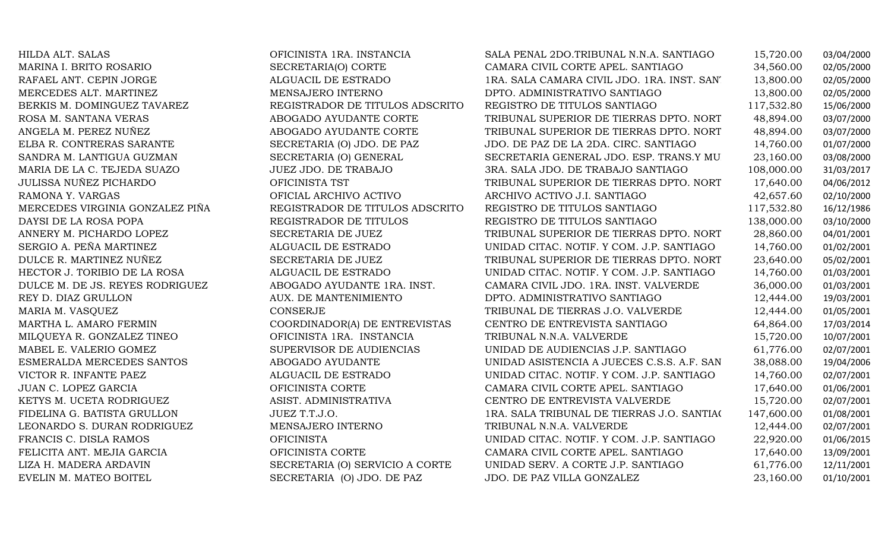| HILDA ALT. SALAS                | OFICINISTA 1RA. INSTANCIA       | SALA PENAL 2DO.TRIBUNAL N.N.A. SANTIAGO    | 15,720.00  | 03/04/2000 |
|---------------------------------|---------------------------------|--------------------------------------------|------------|------------|
| MARINA I. BRITO ROSARIO         | SECRETARIA(O) CORTE             | CAMARA CIVIL CORTE APEL. SANTIAGO          | 34,560.00  | 02/05/2000 |
| RAFAEL ANT. CEPIN JORGE         | ALGUACIL DE ESTRADO             | 1RA. SALA CAMARA CIVIL JDO. 1RA. INST. SAN | 13,800.00  | 02/05/2000 |
| MERCEDES ALT. MARTINEZ          | MENSAJERO INTERNO               | DPTO. ADMINISTRATIVO SANTIAGO              | 13,800.00  | 02/05/2000 |
| BERKIS M. DOMINGUEZ TAVAREZ     | REGISTRADOR DE TITULOS ADSCRITO | REGISTRO DE TITULOS SANTIAGO               | 117,532.80 | 15/06/2000 |
| ROSA M. SANTANA VERAS           | ABOGADO AYUDANTE CORTE          | TRIBUNAL SUPERIOR DE TIERRAS DPTO. NORT    | 48,894.00  | 03/07/2000 |
| ANGELA M. PEREZ NUÑEZ           | ABOGADO AYUDANTE CORTE          | TRIBUNAL SUPERIOR DE TIERRAS DPTO. NORT    | 48,894.00  | 03/07/2000 |
| ELBA R. CONTRERAS SARANTE       | SECRETARIA (O) JDO. DE PAZ      | JDO. DE PAZ DE LA 2DA. CIRC. SANTIAGO      | 14,760.00  | 01/07/2000 |
| SANDRA M. LANTIGUA GUZMAN       | SECRETARIA (O) GENERAL          | SECRETARIA GENERAL JDO. ESP. TRANS.Y MU    | 23,160.00  | 03/08/2000 |
| MARIA DE LA C. TEJEDA SUAZO     | JUEZ JDO. DE TRABAJO            | 3RA. SALA JDO. DE TRABAJO SANTIAGO         | 108,000.00 | 31/03/2017 |
| <b>JULISSA NUÑEZ PICHARDO</b>   | OFICINISTA TST                  | TRIBUNAL SUPERIOR DE TIERRAS DPTO. NORT    | 17,640.00  | 04/06/2012 |
| RAMONA Y. VARGAS                | OFICIAL ARCHIVO ACTIVO          | ARCHIVO ACTIVO J.I. SANTIAGO               | 42,657.60  | 02/10/2000 |
| MERCEDES VIRGINIA GONZALEZ PIÑA | REGISTRADOR DE TITULOS ADSCRITO | REGISTRO DE TITULOS SANTIAGO               | 117,532.80 | 16/12/1986 |
| DAYSI DE LA ROSA POPA           | REGISTRADOR DE TITULOS          | REGISTRO DE TITULOS SANTIAGO               | 138,000.00 | 03/10/2000 |
| ANNERY M. PICHARDO LOPEZ        | SECRETARIA DE JUEZ              | TRIBUNAL SUPERIOR DE TIERRAS DPTO. NORT    | 28,860.00  | 04/01/2001 |
| SERGIO A. PEÑA MARTINEZ         | ALGUACIL DE ESTRADO             | UNIDAD CITAC. NOTIF. Y COM. J.P. SANTIAGO  | 14,760.00  | 01/02/2001 |
| DULCE R. MARTINEZ NUÑEZ         | SECRETARIA DE JUEZ              | TRIBUNAL SUPERIOR DE TIERRAS DPTO. NORT    | 23,640.00  | 05/02/2001 |
| HECTOR J. TORIBIO DE LA ROSA    | ALGUACIL DE ESTRADO             | UNIDAD CITAC. NOTIF. Y COM. J.P. SANTIAGO  | 14,760.00  | 01/03/2001 |
| DULCE M. DE JS. REYES RODRIGUEZ | ABOGADO AYUDANTE 1RA. INST.     | CAMARA CIVIL JDO. 1RA. INST. VALVERDE      | 36,000.00  | 01/03/2001 |
| REY D. DIAZ GRULLON             | AUX. DE MANTENIMIENTO           | DPTO. ADMINISTRATIVO SANTIAGO              | 12,444.00  | 19/03/2001 |
| MARIA M. VASQUEZ                | <b>CONSERJE</b>                 | TRIBUNAL DE TIERRAS J.O. VALVERDE          | 12,444.00  | 01/05/2001 |
| MARTHA L. AMARO FERMIN          | COORDINADOR(A) DE ENTREVISTAS   | CENTRO DE ENTREVISTA SANTIAGO              | 64,864.00  | 17/03/2014 |
| MILQUEYA R. GONZALEZ TINEO      | OFICINISTA 1RA. INSTANCIA       | TRIBUNAL N.N.A. VALVERDE                   | 15,720.00  | 10/07/2001 |
| MABEL E. VALERIO GOMEZ          | SUPERVISOR DE AUDIENCIAS        | UNIDAD DE AUDIENCIAS J.P. SANTIAGO         | 61,776.00  | 02/07/2001 |
| ESMERALDA MERCEDES SANTOS       | ABOGADO AYUDANTE                | UNIDAD ASISTENCIA A JUECES C.S.S. A.F. SAN | 38,088.00  | 19/04/2006 |
| VICTOR R. INFANTE PAEZ          | ALGUACIL DE ESTRADO             | UNIDAD CITAC. NOTIF. Y COM. J.P. SANTIAGO  | 14,760.00  | 02/07/2001 |
| JUAN C. LOPEZ GARCIA            | OFICINISTA CORTE                | CAMARA CIVIL CORTE APEL. SANTIAGO          | 17,640.00  | 01/06/2001 |
| KETYS M. UCETA RODRIGUEZ        | ASIST. ADMINISTRATIVA           | CENTRO DE ENTREVISTA VALVERDE              | 15,720.00  | 02/07/2001 |
| FIDELINA G. BATISTA GRULLON     | JUEZ T.T.J.O.                   | 1RA. SALA TRIBUNAL DE TIERRAS J.O. SANTIAC | 147,600.00 | 01/08/2001 |
| LEONARDO S. DURAN RODRIGUEZ     | MENSAJERO INTERNO               | TRIBUNAL N.N.A. VALVERDE                   | 12,444.00  | 02/07/2001 |
| FRANCIS C. DISLA RAMOS          | <b>OFICINISTA</b>               | UNIDAD CITAC. NOTIF. Y COM. J.P. SANTIAGO  | 22,920.00  | 01/06/2015 |
| FELICITA ANT. MEJIA GARCIA      | OFICINISTA CORTE                | CAMARA CIVIL CORTE APEL. SANTIAGO          | 17,640.00  | 13/09/2001 |
| LIZA H. MADERA ARDAVIN          | SECRETARIA (O) SERVICIO A CORTE | UNIDAD SERV. A CORTE J.P. SANTIAGO         | 61,776.00  | 12/11/2001 |
| EVELIN M. MATEO BOITEL          | SECRETARIA (O) JDO. DE PAZ      | JDO. DE PAZ VILLA GONZALEZ                 | 23,160.00  | 01/10/2001 |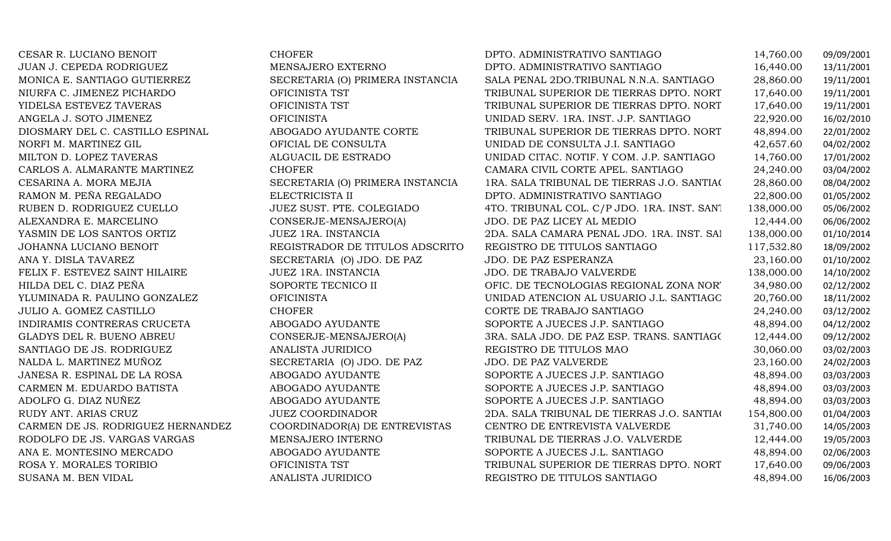| CESAR R. LUCIANO BENOIT           | <b>CHOFER</b>                    | DPTO. ADMINISTRATIVO SANTIAGO                | 14,760.00  | 09/09/2001 |
|-----------------------------------|----------------------------------|----------------------------------------------|------------|------------|
| JUAN J. CEPEDA RODRIGUEZ          | MENSAJERO EXTERNO                | DPTO. ADMINISTRATIVO SANTIAGO                | 16,440.00  | 13/11/2001 |
| MONICA E. SANTIAGO GUTIERREZ      | SECRETARIA (O) PRIMERA INSTANCIA | SALA PENAL 2DO.TRIBUNAL N.N.A. SANTIAGO      | 28,860.00  | 19/11/2001 |
| NIURFA C. JIMENEZ PICHARDO        | OFICINISTA TST                   | TRIBUNAL SUPERIOR DE TIERRAS DPTO. NORT      | 17,640.00  | 19/11/2001 |
| YIDELSA ESTEVEZ TAVERAS           | OFICINISTA TST                   | TRIBUNAL SUPERIOR DE TIERRAS DPTO. NORT      | 17,640.00  | 19/11/2001 |
| ANGELA J. SOTO JIMENEZ            | <b>OFICINISTA</b>                | UNIDAD SERV. 1RA. INST. J.P. SANTIAGO        | 22,920.00  | 16/02/2010 |
| DIOSMARY DEL C. CASTILLO ESPINAL  | ABOGADO AYUDANTE CORTE           | TRIBUNAL SUPERIOR DE TIERRAS DPTO. NORT      | 48,894.00  | 22/01/2002 |
| NORFI M. MARTINEZ GIL             | OFICIAL DE CONSULTA              | UNIDAD DE CONSULTA J.I. SANTIAGO             | 42,657.60  | 04/02/2002 |
| MILTON D. LOPEZ TAVERAS           | ALGUACIL DE ESTRADO              | UNIDAD CITAC. NOTIF. Y COM. J.P. SANTIAGO    | 14,760.00  | 17/01/2002 |
| CARLOS A. ALMARANTE MARTINEZ      | <b>CHOFER</b>                    | CAMARA CIVIL CORTE APEL. SANTIAGO            | 24,240.00  | 03/04/2002 |
| CESARINA A. MORA MEJIA            | SECRETARIA (O) PRIMERA INSTANCIA | 1RA. SALA TRIBUNAL DE TIERRAS J.O. SANTIAC   | 28,860.00  | 08/04/2002 |
| RAMON M. PEÑA REGALADO            | ELECTRICISTA II                  | DPTO. ADMINISTRATIVO SANTIAGO                | 22,800.00  | 01/05/2002 |
| RUBEN D. RODRIGUEZ CUELLO         | JUEZ SUST. PTE. COLEGIADO        | 4TO. TRIBUNAL COL. C/P JDO. 1RA. INST. SAN'I | 138,000.00 | 05/06/2002 |
| ALEXANDRA E. MARCELINO            | CONSERJE-MENSAJERO(A)            | JDO. DE PAZ LICEY AL MEDIO                   | 12,444.00  | 06/06/2002 |
| YASMIN DE LOS SANTOS ORTIZ        | JUEZ 1RA. INSTANCIA              | 2DA. SALA CAMARA PENAL JDO. 1RA. INST. SAI   | 138,000.00 | 01/10/2014 |
| JOHANNA LUCIANO BENOIT            | REGISTRADOR DE TITULOS ADSCRITO  | REGISTRO DE TITULOS SANTIAGO                 | 117,532.80 | 18/09/2002 |
| ANA Y. DISLA TAVAREZ              | SECRETARIA (O) JDO. DE PAZ       | JDO. DE PAZ ESPERANZA                        | 23,160.00  | 01/10/2002 |
| FELIX F. ESTEVEZ SAINT HILAIRE    | JUEZ 1RA. INSTANCIA              | <b>JDO. DE TRABAJO VALVERDE</b>              | 138,000.00 | 14/10/2002 |
| HILDA DEL C. DIAZ PEÑA            | SOPORTE TECNICO II               | OFIC. DE TECNOLOGIAS REGIONAL ZONA NOR'      | 34,980.00  | 02/12/2002 |
| YLUMINADA R. PAULINO GONZALEZ     | <b>OFICINISTA</b>                | UNIDAD ATENCION AL USUARIO J.L. SANTIAGC     | 20,760.00  | 18/11/2002 |
| <b>JULIO A. GOMEZ CASTILLO</b>    | <b>CHOFER</b>                    | CORTE DE TRABAJO SANTIAGO                    | 24,240.00  | 03/12/2002 |
| INDIRAMIS CONTRERAS CRUCETA       | ABOGADO AYUDANTE                 | SOPORTE A JUECES J.P. SANTIAGO               | 48,894.00  | 04/12/2002 |
| <b>GLADYS DEL R. BUENO ABREU</b>  | CONSERJE-MENSAJERO(A)            | 3RA. SALA JDO. DE PAZ ESP. TRANS. SANTIAGO   | 12,444.00  | 09/12/2002 |
| SANTIAGO DE JS. RODRIGUEZ         | ANALISTA JURIDICO                | REGISTRO DE TITULOS MAO                      | 30,060.00  | 03/02/2003 |
| NALDA L. MARTINEZ MUÑOZ           | SECRETARIA (O) JDO. DE PAZ       | JDO. DE PAZ VALVERDE                         | 23,160.00  | 24/02/2003 |
| JANESA R. ESPINAL DE LA ROSA      | ABOGADO AYUDANTE                 | SOPORTE A JUECES J.P. SANTIAGO               | 48,894.00  | 03/03/2003 |
| CARMEN M. EDUARDO BATISTA         | ABOGADO AYUDANTE                 | SOPORTE A JUECES J.P. SANTIAGO               | 48,894.00  | 03/03/2003 |
| ADOLFO G. DIAZ NUÑEZ              | ABOGADO AYUDANTE                 | SOPORTE A JUECES J.P. SANTIAGO               | 48,894.00  | 03/03/2003 |
| RUDY ANT. ARIAS CRUZ              | <b>JUEZ COORDINADOR</b>          | 2DA. SALA TRIBUNAL DE TIERRAS J.O. SANTIAC   | 154,800.00 | 01/04/2003 |
| CARMEN DE JS. RODRIGUEZ HERNANDEZ | COORDINADOR(A) DE ENTREVISTAS    | CENTRO DE ENTREVISTA VALVERDE                | 31,740.00  | 14/05/2003 |
| RODOLFO DE JS. VARGAS VARGAS      | MENSAJERO INTERNO                | TRIBUNAL DE TIERRAS J.O. VALVERDE            | 12,444.00  | 19/05/2003 |
| ANA E. MONTESINO MERCADO          | ABOGADO AYUDANTE                 | SOPORTE A JUECES J.L. SANTIAGO               | 48,894.00  | 02/06/2003 |
| ROSA Y. MORALES TORIBIO           | OFICINISTA TST                   | TRIBUNAL SUPERIOR DE TIERRAS DPTO. NORT      | 17,640.00  | 09/06/2003 |
| SUSANA M. BEN VIDAL               | ANALISTA JURIDICO                | REGISTRO DE TITULOS SANTIAGO                 | 48,894.00  | 16/06/2003 |
|                                   |                                  |                                              |            |            |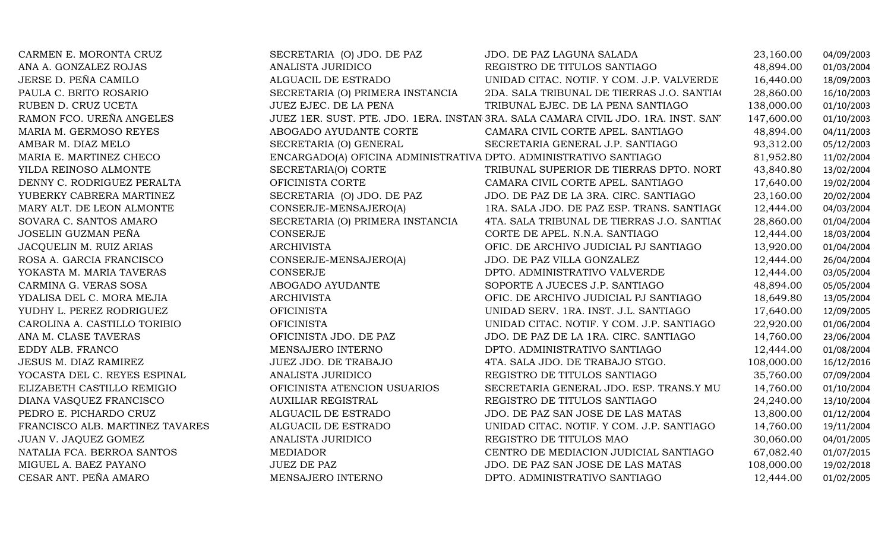| CARMEN E. MORONTA CRUZ          | SECRETARIA (O) JDO. DE PAZ                                        | JDO. DE PAZ LAGUNA SALADA                                                          | 23,160.00  | 04/09/2003 |
|---------------------------------|-------------------------------------------------------------------|------------------------------------------------------------------------------------|------------|------------|
| ANA A. GONZALEZ ROJAS           | ANALISTA JURIDICO                                                 | REGISTRO DE TITULOS SANTIAGO                                                       | 48,894.00  | 01/03/2004 |
| JERSE D. PEÑA CAMILO            | ALGUACIL DE ESTRADO                                               | UNIDAD CITAC. NOTIF. Y COM. J.P. VALVERDE                                          | 16,440.00  | 18/09/2003 |
| PAULA C. BRITO ROSARIO          | SECRETARIA (O) PRIMERA INSTANCIA                                  | 2DA. SALA TRIBUNAL DE TIERRAS J.O. SANTIAC                                         | 28,860.00  | 16/10/2003 |
| RUBEN D. CRUZ UCETA             | JUEZ EJEC. DE LA PENA                                             | TRIBUNAL EJEC. DE LA PENA SANTIAGO                                                 | 138,000.00 | 01/10/2003 |
| RAMON FCO. UREÑA ANGELES        |                                                                   | JUEZ 1ER. SUST. PTE. JDO. 1ERA. INSTAN 3RA. SALA CAMARA CIVIL JDO. 1RA. INST. SAN' | 147,600.00 | 01/10/2003 |
| MARIA M. GERMOSO REYES          | ABOGADO AYUDANTE CORTE                                            | CAMARA CIVIL CORTE APEL. SANTIAGO                                                  | 48,894.00  | 04/11/2003 |
| AMBAR M. DIAZ MELO              | SECRETARIA (O) GENERAL                                            | SECRETARIA GENERAL J.P. SANTIAGO                                                   | 93,312.00  | 05/12/2003 |
| MARIA E. MARTINEZ CHECO         | ENCARGADO(A) OFICINA ADMINISTRATIVA DPTO. ADMINISTRATIVO SANTIAGO |                                                                                    | 81,952.80  | 11/02/2004 |
| YILDA REINOSO ALMONTE           | SECRETARIA(O) CORTE                                               | TRIBUNAL SUPERIOR DE TIERRAS DPTO. NORT                                            | 43,840.80  | 13/02/2004 |
| DENNY C. RODRIGUEZ PERALTA      | OFICINISTA CORTE                                                  | CAMARA CIVIL CORTE APEL. SANTIAGO                                                  | 17,640.00  | 19/02/2004 |
| YUBERKY CABRERA MARTINEZ        | SECRETARIA (O) JDO. DE PAZ                                        | JDO. DE PAZ DE LA 3RA. CIRC. SANTIAGO                                              | 23,160.00  | 20/02/2004 |
| MARY ALT. DE LEON ALMONTE       | CONSERJE-MENSAJERO(A)                                             | 1RA. SALA JDO. DE PAZ ESP. TRANS. SANTIAGO                                         | 12,444.00  | 04/03/2004 |
| SOVARA C. SANTOS AMARO          | SECRETARIA (O) PRIMERA INSTANCIA                                  | 4TA. SALA TRIBUNAL DE TIERRAS J.O. SANTIAC                                         | 28,860.00  | 01/04/2004 |
| JOSELIN GUZMAN PEÑA             | CONSERJE                                                          | CORTE DE APEL. N.N.A. SANTIAGO                                                     | 12,444.00  | 18/03/2004 |
| JACQUELIN M. RUIZ ARIAS         | ARCHIVISTA                                                        | OFIC. DE ARCHIVO JUDICIAL PJ SANTIAGO                                              | 13,920.00  | 01/04/2004 |
| ROSA A. GARCIA FRANCISCO        | CONSERJE-MENSAJERO(A)                                             | JDO. DE PAZ VILLA GONZALEZ                                                         | 12,444.00  | 26/04/2004 |
| YOKASTA M. MARIA TAVERAS        | <b>CONSERJE</b>                                                   | DPTO. ADMINISTRATIVO VALVERDE                                                      | 12,444.00  | 03/05/2004 |
| CARMINA G. VERAS SOSA           | ABOGADO AYUDANTE                                                  | SOPORTE A JUECES J.P. SANTIAGO                                                     | 48,894.00  | 05/05/2004 |
| YDALISA DEL C. MORA MEJIA       | ARCHIVISTA                                                        | OFIC. DE ARCHIVO JUDICIAL PJ SANTIAGO                                              | 18,649.80  | 13/05/2004 |
| YUDHY L. PEREZ RODRIGUEZ        | <b>OFICINISTA</b>                                                 | UNIDAD SERV. 1RA. INST. J.L. SANTIAGO                                              | 17,640.00  | 12/09/2005 |
| CAROLINA A. CASTILLO TORIBIO    | <b>OFICINISTA</b>                                                 | UNIDAD CITAC. NOTIF. Y COM. J.P. SANTIAGO                                          | 22,920.00  | 01/06/2004 |
| ANA M. CLASE TAVERAS            | OFICINISTA JDO. DE PAZ                                            | JDO. DE PAZ DE LA 1RA. CIRC. SANTIAGO                                              | 14,760.00  | 23/06/2004 |
| EDDY ALB. FRANCO                | MENSAJERO INTERNO                                                 | DPTO. ADMINISTRATIVO SANTIAGO                                                      | 12,444.00  | 01/08/2004 |
| JESUS M. DIAZ RAMIREZ           | JUEZ JDO. DE TRABAJO                                              | 4TA. SALA JDO. DE TRABAJO STGO.                                                    | 108,000.00 | 16/12/2016 |
| YOCASTA DEL C. REYES ESPINAL    | <b>ANALISTA JURIDICO</b>                                          | REGISTRO DE TITULOS SANTIAGO                                                       | 35,760.00  | 07/09/2004 |
| ELIZABETH CASTILLO REMIGIO      | OFICINISTA ATENCION USUARIOS                                      | SECRETARIA GENERAL JDO. ESP. TRANS.Y MU                                            | 14,760.00  | 01/10/2004 |
| DIANA VASQUEZ FRANCISCO         | <b>AUXILIAR REGISTRAL</b>                                         | REGISTRO DE TITULOS SANTIAGO                                                       | 24,240.00  | 13/10/2004 |
| PEDRO E. PICHARDO CRUZ          | ALGUACIL DE ESTRADO                                               | JDO. DE PAZ SAN JOSE DE LAS MATAS                                                  | 13,800.00  | 01/12/2004 |
| FRANCISCO ALB. MARTINEZ TAVARES | ALGUACIL DE ESTRADO                                               | UNIDAD CITAC. NOTIF. Y COM. J.P. SANTIAGO                                          | 14,760.00  | 19/11/2004 |
| JUAN V. JAQUEZ GOMEZ            | ANALISTA JURIDICO                                                 | REGISTRO DE TITULOS MAO                                                            | 30,060.00  | 04/01/2005 |
| NATALIA FCA. BERROA SANTOS      | <b>MEDIADOR</b>                                                   | CENTRO DE MEDIACION JUDICIAL SANTIAGO                                              | 67,082.40  | 01/07/2015 |
| MIGUEL A. BAEZ PAYANO           | <b>JUEZ DE PAZ</b>                                                | JDO. DE PAZ SAN JOSE DE LAS MATAS                                                  | 108,000.00 | 19/02/2018 |
| CESAR ANT. PEÑA AMARO           | MENSAJERO INTERNO                                                 | DPTO. ADMINISTRATIVO SANTIAGO                                                      | 12,444.00  | 01/02/2005 |
|                                 |                                                                   |                                                                                    |            |            |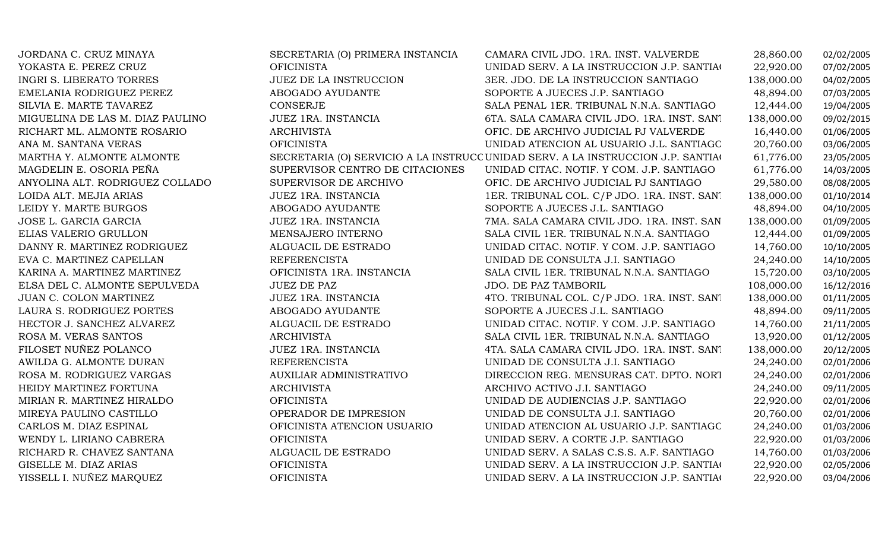| JORDANA C. CRUZ MINAYA           | SECRETARIA (O) PRIMERA INSTANCIA | CAMARA CIVIL JDO. 1RA. INST. VALVERDE                                            | 28,860.00  | 02/02/2005 |
|----------------------------------|----------------------------------|----------------------------------------------------------------------------------|------------|------------|
| YOKASTA E. PEREZ CRUZ            | <b>OFICINISTA</b>                | UNIDAD SERV. A LA INSTRUCCION J.P. SANTIAC                                       | 22,920.00  | 07/02/2005 |
| <b>INGRI S. LIBERATO TORRES</b>  | JUEZ DE LA INSTRUCCION           | 3ER. JDO. DE LA INSTRUCCION SANTIAGO                                             | 138,000.00 | 04/02/2005 |
| EMELANIA RODRIGUEZ PEREZ         | ABOGADO AYUDANTE                 | SOPORTE A JUECES J.P. SANTIAGO                                                   | 48,894.00  | 07/03/2005 |
| SILVIA E. MARTE TAVAREZ          | CONSERJE                         | SALA PENAL 1ER. TRIBUNAL N.N.A. SANTIAGO                                         | 12,444.00  | 19/04/2005 |
| MIGUELINA DE LAS M. DIAZ PAULINO | JUEZ 1RA. INSTANCIA              | 6TA. SALA CAMARA CIVIL JDO. 1RA. INST. SAN'I                                     | 138,000.00 | 09/02/2015 |
| RICHART ML. ALMONTE ROSARIO      | <b>ARCHIVISTA</b>                | OFIC. DE ARCHIVO JUDICIAL PJ VALVERDE                                            | 16,440.00  | 01/06/2005 |
| ANA M. SANTANA VERAS             | <b>OFICINISTA</b>                | UNIDAD ATENCION AL USUARIO J.L. SANTIAGC                                         | 20,760.00  | 03/06/2005 |
| MARTHA Y. ALMONTE ALMONTE        |                                  | SECRETARIA (O) SERVICIO A LA INSTRUCC UNIDAD SERV. A LA INSTRUCCION J.P. SANTIAC | 61,776.00  | 23/05/2005 |
| MAGDELIN E. OSORIA PEÑA          | SUPERVISOR CENTRO DE CITACIONES  | UNIDAD CITAC. NOTIF. Y COM. J.P. SANTIAGO                                        | 61,776.00  | 14/03/2005 |
| ANYOLINA ALT. RODRIGUEZ COLLADO  | SUPERVISOR DE ARCHIVO            | OFIC. DE ARCHIVO JUDICIAL PJ SANTIAGO                                            | 29,580.00  | 08/08/2005 |
| LOIDA ALT. MEJIA ARIAS           | JUEZ 1RA. INSTANCIA              | 1ER. TRIBUNAL COL. C/P JDO. 1RA. INST. SANT                                      | 138,000.00 | 01/10/2014 |
| LEIDY Y. MARTE BURGOS            | ABOGADO AYUDANTE                 | SOPORTE A JUECES J.L. SANTIAGO                                                   | 48,894.00  | 04/10/2005 |
| JOSE L. GARCIA GARCIA            | JUEZ 1RA. INSTANCIA              | 7MA. SALA CAMARA CIVIL JDO. 1RA. INST. SAN                                       | 138,000.00 | 01/09/2005 |
| ELIAS VALERIO GRULLON            | MENSAJERO INTERNO                | SALA CIVIL 1ER. TRIBUNAL N.N.A. SANTIAGO                                         | 12,444.00  | 01/09/2005 |
| DANNY R. MARTINEZ RODRIGUEZ      | ALGUACIL DE ESTRADO              | UNIDAD CITAC. NOTIF. Y COM. J.P. SANTIAGO                                        | 14,760.00  | 10/10/2005 |
| EVA C. MARTINEZ CAPELLAN         | <b>REFERENCISTA</b>              | UNIDAD DE CONSULTA J.I. SANTIAGO                                                 | 24,240.00  | 14/10/2005 |
| KARINA A. MARTINEZ MARTINEZ      | OFICINISTA 1RA. INSTANCIA        | SALA CIVIL 1ER. TRIBUNAL N.N.A. SANTIAGO                                         | 15,720.00  | 03/10/2005 |
| ELSA DEL C. ALMONTE SEPULVEDA    | <b>JUEZ DE PAZ</b>               | JDO. DE PAZ TAMBORIL                                                             | 108,000.00 | 16/12/2016 |
| JUAN C. COLON MARTINEZ           | JUEZ 1RA. INSTANCIA              | 4TO. TRIBUNAL COL. C/P JDO. 1RA. INST. SANT                                      | 138,000.00 | 01/11/2005 |
| LAURA S. RODRIGUEZ PORTES        | ABOGADO AYUDANTE                 | SOPORTE A JUECES J.L. SANTIAGO                                                   | 48,894.00  | 09/11/2005 |
| HECTOR J. SANCHEZ ALVAREZ        | ALGUACIL DE ESTRADO              | UNIDAD CITAC. NOTIF. Y COM. J.P. SANTIAGO                                        | 14,760.00  | 21/11/2005 |
| ROSA M. VERAS SANTOS             | <b>ARCHIVISTA</b>                | SALA CIVIL 1ER. TRIBUNAL N.N.A. SANTIAGO                                         | 13,920.00  | 01/12/2005 |
| FILOSET NUÑEZ POLANCO            | JUEZ 1RA. INSTANCIA              | 4TA. SALA CAMARA CIVIL JDO. 1RA. INST. SAN'I                                     | 138,000.00 | 20/12/2005 |
| AWILDA G. ALMONTE DURAN          | <b>REFERENCISTA</b>              | UNIDAD DE CONSULTA J.I. SANTIAGO                                                 | 24,240.00  | 02/01/2006 |
| ROSA M. RODRIGUEZ VARGAS         | AUXILIAR ADMINISTRATIVO          | DIRECCION REG. MENSURAS CAT. DPTO. NORT                                          | 24,240.00  | 02/01/2006 |
| HEIDY MARTINEZ FORTUNA           | <b>ARCHIVISTA</b>                | ARCHIVO ACTIVO J.I. SANTIAGO                                                     | 24,240.00  | 09/11/2005 |
| MIRIAN R. MARTINEZ HIRALDO       | <b>OFICINISTA</b>                | UNIDAD DE AUDIENCIAS J.P. SANTIAGO                                               | 22,920.00  | 02/01/2006 |
| MIREYA PAULINO CASTILLO          | OPERADOR DE IMPRESION            | UNIDAD DE CONSULTA J.I. SANTIAGO                                                 | 20,760.00  | 02/01/2006 |
| CARLOS M. DIAZ ESPINAL           | OFICINISTA ATENCION USUARIO      | UNIDAD ATENCION AL USUARIO J.P. SANTIAGC                                         | 24,240.00  | 01/03/2006 |
| WENDY L. LIRIANO CABRERA         | <b>OFICINISTA</b>                | UNIDAD SERV. A CORTE J.P. SANTIAGO                                               | 22,920.00  | 01/03/2006 |
| RICHARD R. CHAVEZ SANTANA        | ALGUACIL DE ESTRADO              | UNIDAD SERV. A SALAS C.S.S. A.F. SANTIAGO                                        | 14,760.00  | 01/03/2006 |
| GISELLE M. DIAZ ARIAS            | <b>OFICINISTA</b>                | UNIDAD SERV. A LA INSTRUCCION J.P. SANTIAC                                       | 22,920.00  | 02/05/2006 |
| YISSELL I. NUÑEZ MARQUEZ         | <b>OFICINISTA</b>                | UNIDAD SERV. A LA INSTRUCCION J.P. SANTIAC                                       | 22,920.00  | 03/04/2006 |
|                                  |                                  |                                                                                  |            |            |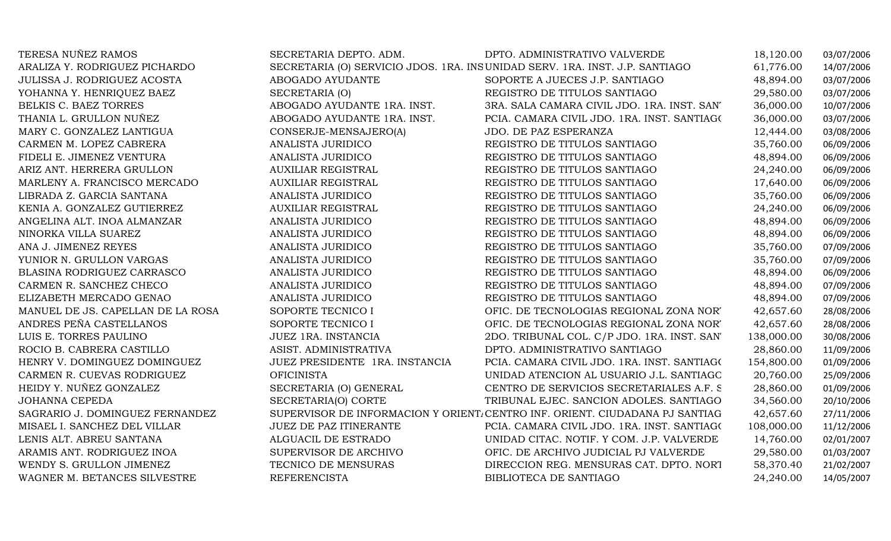| TERESA NUÑEZ RAMOS                | SECRETARIA DEPTO. ADM.         | DPTO. ADMINISTRATIVO VALVERDE                                                | 18,120.00  | 03/07/2006 |
|-----------------------------------|--------------------------------|------------------------------------------------------------------------------|------------|------------|
| ARALIZA Y. RODRIGUEZ PICHARDO     |                                | SECRETARIA (O) SERVICIO JDOS. 1RA. INSUNIDAD SERV. 1RA. INST. J.P. SANTIAGO  | 61,776.00  | 14/07/2006 |
| JULISSA J. RODRIGUEZ ACOSTA       | ABOGADO AYUDANTE               | SOPORTE A JUECES J.P. SANTIAGO                                               | 48,894.00  | 03/07/2006 |
| YOHANNA Y. HENRIQUEZ BAEZ         | SECRETARIA (O)                 | REGISTRO DE TITULOS SANTIAGO                                                 | 29,580.00  | 03/07/2006 |
| BELKIS C. BAEZ TORRES             | ABOGADO AYUDANTE 1RA. INST.    | 3RA. SALA CAMARA CIVIL JDO. 1RA. INST. SAN'                                  | 36,000.00  | 10/07/2006 |
| THANIA L. GRULLON NUÑEZ           | ABOGADO AYUDANTE 1RA. INST.    | PCIA. CAMARA CIVIL JDO. 1RA. INST. SANTIAGO                                  | 36,000.00  | 03/07/2006 |
| MARY C. GONZALEZ LANTIGUA         | CONSERJE-MENSAJERO(A)          | JDO. DE PAZ ESPERANZA                                                        | 12,444.00  | 03/08/2006 |
| CARMEN M. LOPEZ CABRERA           | ANALISTA JURIDICO              | REGISTRO DE TITULOS SANTIAGO                                                 | 35,760.00  | 06/09/2006 |
| FIDELI E. JIMENEZ VENTURA         | ANALISTA JURIDICO              | REGISTRO DE TITULOS SANTIAGO                                                 | 48,894.00  | 06/09/2006 |
| ARIZ ANT. HERRERA GRULLON         | <b>AUXILIAR REGISTRAL</b>      | REGISTRO DE TITULOS SANTIAGO                                                 | 24,240.00  | 06/09/2006 |
| MARLENY A. FRANCISCO MERCADO      | <b>AUXILIAR REGISTRAL</b>      | REGISTRO DE TITULOS SANTIAGO                                                 | 17,640.00  | 06/09/2006 |
| LIBRADA Z. GARCIA SANTANA         | ANALISTA JURIDICO              | REGISTRO DE TITULOS SANTIAGO                                                 | 35,760.00  | 06/09/2006 |
| KENIA A. GONZALEZ GUTIERREZ       | <b>AUXILIAR REGISTRAL</b>      | REGISTRO DE TITULOS SANTIAGO                                                 | 24,240.00  | 06/09/2006 |
| ANGELINA ALT. INOA ALMANZAR       | ANALISTA JURIDICO              | REGISTRO DE TITULOS SANTIAGO                                                 | 48,894.00  | 06/09/2006 |
| NINORKA VILLA SUAREZ              | ANALISTA JURIDICO              | REGISTRO DE TITULOS SANTIAGO                                                 | 48,894.00  | 06/09/2006 |
| ANA J. JIMENEZ REYES              | ANALISTA JURIDICO              | REGISTRO DE TITULOS SANTIAGO                                                 | 35,760.00  | 07/09/2006 |
| YUNIOR N. GRULLON VARGAS          | ANALISTA JURIDICO              | REGISTRO DE TITULOS SANTIAGO                                                 | 35,760.00  | 07/09/2006 |
| BLASINA RODRIGUEZ CARRASCO        | ANALISTA JURIDICO              | REGISTRO DE TITULOS SANTIAGO                                                 | 48,894.00  | 06/09/2006 |
| CARMEN R. SANCHEZ CHECO           | <b>ANALISTA JURIDICO</b>       | REGISTRO DE TITULOS SANTIAGO                                                 | 48,894.00  | 07/09/2006 |
| ELIZABETH MERCADO GENAO           | ANALISTA JURIDICO              | REGISTRO DE TITULOS SANTIAGO                                                 | 48,894.00  | 07/09/2006 |
| MANUEL DE JS. CAPELLAN DE LA ROSA | SOPORTE TECNICO I              | OFIC. DE TECNOLOGIAS REGIONAL ZONA NOR'                                      | 42,657.60  | 28/08/2006 |
| ANDRES PEÑA CASTELLANOS           | SOPORTE TECNICO I              | OFIC. DE TECNOLOGIAS REGIONAL ZONA NOR'                                      | 42,657.60  | 28/08/2006 |
| LUIS E. TORRES PAULINO            | JUEZ 1RA. INSTANCIA            | 2DO. TRIBUNAL COL. C/P JDO. 1RA. INST. SAN'                                  | 138,000.00 | 30/08/2006 |
| ROCIO B. CABRERA CASTILLO         | ASIST. ADMINISTRATIVA          | DPTO. ADMINISTRATIVO SANTIAGO                                                | 28,860.00  | 11/09/2006 |
| HENRY V. DOMINGUEZ DOMINGUEZ      | JUEZ PRESIDENTE 1RA. INSTANCIA | PCIA. CAMARA CIVIL JDO. 1RA. INST. SANTIAGO                                  | 154,800.00 | 01/09/2006 |
| CARMEN R. CUEVAS RODRIGUEZ        | <b>OFICINISTA</b>              | UNIDAD ATENCION AL USUARIO J.L. SANTIAGC                                     | 20,760.00  | 25/09/2006 |
| HEIDY Y. NUÑEZ GONZALEZ           | SECRETARIA (O) GENERAL         | CENTRO DE SERVICIOS SECRETARIALES A.F. S.                                    | 28,860.00  | 01/09/2006 |
| JOHANNA CEPEDA                    | SECRETARIA(O) CORTE            | TRIBUNAL EJEC. SANCION ADOLES. SANTIAGO                                      | 34,560.00  | 20/10/2006 |
| SAGRARIO J. DOMINGUEZ FERNANDEZ   |                                | SUPERVISOR DE INFORMACION Y ORIENT. CENTRO INF. ORIENT. CIUDADANA PJ SANTIAG | 42,657.60  | 27/11/2006 |
| MISAEL I. SANCHEZ DEL VILLAR      | <b>JUEZ DE PAZ ITINERANTE</b>  | PCIA. CAMARA CIVIL JDO. 1RA. INST. SANTIAGO                                  | 108,000.00 | 11/12/2006 |
| LENIS ALT. ABREU SANTANA          | ALGUACIL DE ESTRADO            | UNIDAD CITAC. NOTIF. Y COM. J.P. VALVERDE                                    | 14,760.00  | 02/01/2007 |
| ARAMIS ANT. RODRIGUEZ INOA        | SUPERVISOR DE ARCHIVO          | OFIC. DE ARCHIVO JUDICIAL PJ VALVERDE                                        | 29,580.00  | 01/03/2007 |
| WENDY S. GRULLON JIMENEZ          | TECNICO DE MENSURAS            | DIRECCION REG. MENSURAS CAT. DPTO. NORT                                      | 58,370.40  | 21/02/2007 |
| WAGNER M. BETANCES SILVESTRE      | <b>REFERENCISTA</b>            | BIBLIOTECA DE SANTIAGO                                                       | 24,240.00  | 14/05/2007 |
|                                   |                                |                                                                              |            |            |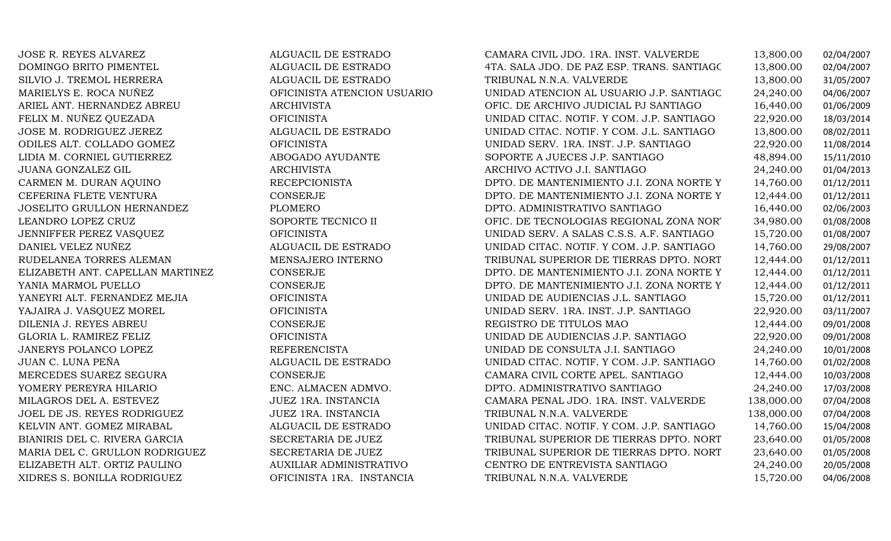JOSE R. REYES ALVAREZ ALGUACIL DE ESTRADO CAMARA CIVIL JDO. 1RA. INST. VALVERDE 13,800.00 02/04/2007 DOMINGO BRITO PIMENTEL ALGUACIL DE ESTRADO4TA. SALA JDO. DE PAZ ESP. TRANS. SANTIAGC 13,800.00 02/04/2007<br>TRIBUNAL N.N.A. VALVERDE 13,800.00 31/05/2007 SILVIO J. TREMOL HERRERA ALGUACIL DE ESTRADO TRIBUNAL N.N.A. VALVERDE 13,800.00 31/05/2007 MARIELYS E. ROCA NUÑEZ OFICINISTA ATENCION USUARIOUNIDAD ATENCION AL USUARIO J.P. SANTIAGC 24,240.00 04/06/2007<br>OFIC. DE ARCHIVO JUDICIAL PJ SANTIAGO 16,440.00 01/06/2009 ARIEL ANT. HERNANDEZ ABREU ARCHIVISTA OFIC. DE ARCHIVO JUDICIAL PJ SANTIAGO 16,440.00 01/06/2009 FELIX M. NUÑEZ QUEZADA OFICINISTA UNIDAD CITAC. NOTIF. Y COM. J.P. SANTIAGO 22,920.00 18/03/2014 JOSE M. RODRIGUEZ JEREZ ALGUACIL DE ESTRADO UNIDAD CITAC. NOTIF. Y COM. J.L. SANTIAGO 13,800.00 08/02/2011 ODILES ALT. COLLADO GOMEZ OFICINISTA UNIDAD SERV. 1RA. INST. J.P. SANTIAGO 22,920.00 11/08/2014 LIDIA M. CORNIEL GUTIERREZ ABOGADO AYUDANTE SOPORTE A JUECES J.P. SANTIAGO 48,894.00 15/11/2010 JUANA GONZALEZ GIL ARCHIVISTA ARCHIVO ACTIVO J.I. SANTIAGO 24,240.00 01/04/2013 CARMEN M. DURAN AQUINO RECEPCIONISTA DPTO. DE MANTENIMIENTO J.I. ZONA NORTE Y NORESTE 14,760.00 01/12/2011 CEFERINA FLETE VENTURA CONSERJE DPTO. DE MANTENIMIENTO J.I. ZONA NORTE Y NORESTE 12,444.00 01/12/2011 JOSELITO GRULLON HERNANDEZ PLOMERODPTO. ADMINISTRATIVO SANTIAGO 16,440.00 02/06/2003<br>OFIC. DE TECNOLOGIAS REGIONAL ZONA NOR' 34,980.00 01/08/2008 LEANDRO LOPEZ CRUZ SOPORTE TECNICO II OFIC. DE TECNOLOGIAS REGIONAL ZONA NORTE 34,980.00 01/08/2008 JENNIFFER PEREZ VASQUEZ OFICINISTA UNIDAD SERV. A SALAS C.S.S. A.F. SANTIAGO 15,720.00 01/08/2007 DANIEL VELEZ NUÑEZ ALGUACIL DE ESTRADO UNIDAD CITAC. NOTIF. Y COM. J.P. SANTIAGO 14,760.00 29/08/2007 RUDELANEA TORRES ALEMAN MENSAJER MENSAJER ELIZABETH ANT. CAPELLAN MARTINEZ CONSERJE TRIBUNAL SUPERIOR DE TIERRAS DPTO. NORT 12,444.00 01/12/2011<br>DPTO. DE MANTENIMIENTO J.I. ZONA NORTE Y 12,444.00 01/12/2011 ELIZABETH ANT. CAPELLAN MARTINEZ CONSERJE CONSERUE DPTO. DE MANTENIMIENTO J.I. ZONA NORTE Y 12,444.00 01/12/2011<br>2,444.00 01/12/2011 CONSERJE DPTO. DE MANTENIMIENTO J.I. ZONA NORTE Y 12,444.00 01/12/2011 YANIA MARMOL PUELLO CONSERJE DPTO. DE MANTENIMIENTO J.I. ZONA NORTE Y NORESTE 12,444.00 01/12/2011 YANEYRI ALT. FERNANDEZ MEJIA OFICINISTA UNIDAD DE AUDIENCIAS J.L. SANTIAGO 15,720.00 01/12/2011 YAJAIRA J. VASQUEZ MOREL OFICINISTA UNIDAD SERV. 1RA. INST. J.P. SANTIAGO 22,920.00 03/11/2007 DILENIA J. REYES ABREU CONSERJE REGISTRO DE TITULOS MAO 12,444.00 09/01/2008 GLORIA L. RAMIREZ FELIZ OFICINISTA UNIDAD DE AUDIENCIAS J.P. SANTIAGO 22,920.00 09/01/2008 JANERYS POLANCO LOPEZ REFERENCISTA UNIDAD DE CONSULTA J.I. SANTIAGO 24,240.00 10/01/2008 JUAN C. LUNA PEÑA ALGUACIL DE ESTRADO UNIDAD CITAC. NOTIF. Y COM. J.P. SANTIAGO 14,760.00 01/02/2008 MERCEDES SUAREZ SEGURA CONSERJE CAMARA CIVIL CORTE APEL. SANTIAGO 12,444.00 10/03/2008 YOMERY PEREYRA HILARIO ENC. ALMACEN ADMVO. DPTO. ADMINISTRATIVO SANTIAGO 24,240.00 17/03/2008 MILAGROS DEL A. ESTEVEZ JUEZ 1RA. INSTANCIA CAMARA PENAL JDO. 1RA. INST. VALVERDE 138,000.00 07/04/2008 JOEL DE JS. REYES RODRIGUEZ JUEZ 1RA. INSTANCIA TRIBUNAL N.N.A. VALVERDE 138,000.00 07/04/2008 KELVIN ANT. GOMEZ MIRABAL ALGUACIL DE ESTRADO UNIDAD CITAC. NOTIF. Y COM. J.P. SANTIAGO 14,760.00 15/04/2008 BIANIRIS DEL C. RIVERA GARCIA SECRETARIA DE JUEZ TRIBUNAL SUPERIOR DE TIERRAS DPTO. NORT 23,640.00 01/05/2008<br>MARIA DEL C. GRULLON RODRIGUEZ SECRETARIA DE JUEZ TRIBUNAL SUPERIOR DE TIERRAS DPTO. NORT 23,640.00 01/05/2008 MARIA DEL C. GRULLON RODRIGUEZ SECRETARIA DE JUEZ TRIBUNAL SUPERIOR DE TIERRAS DPTO. NORTE 23,640.00 01/05/2008 ELIZABETH ALT. ORTIZ PAULINO AUXILIAR ADMINISTRATIVO CENTRO DE ENTREVISTA SANTIAGO 24,240.00 20/05/2008 XIDRES S. BONILLA RODRIGUEZ OFICINISTA 1RA. INSTANCIA TRIBUNAL N.N.A. VALVERDE 15,720.00 04/06/2008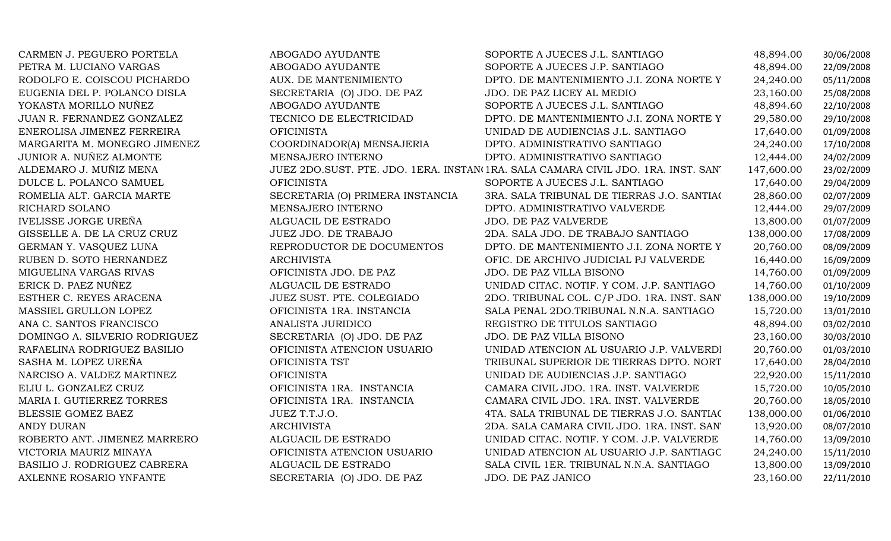| CARMEN J. PEGUERO PORTELA     | ABOGADO AYUDANTE                 | SOPORTE A JUECES J.L. SANTIAGO                                                    | 48,894.00  | 30/06/2008 |
|-------------------------------|----------------------------------|-----------------------------------------------------------------------------------|------------|------------|
| PETRA M. LUCIANO VARGAS       | ABOGADO AYUDANTE                 | SOPORTE A JUECES J.P. SANTIAGO                                                    | 48,894.00  | 22/09/2008 |
| RODOLFO E. COISCOU PICHARDO   | AUX. DE MANTENIMIENTO            | DPTO. DE MANTENIMIENTO J.I. ZONA NORTE Y                                          | 24,240.00  | 05/11/2008 |
| EUGENIA DEL P. POLANCO DISLA  | SECRETARIA (O) JDO. DE PAZ       | JDO. DE PAZ LICEY AL MEDIO                                                        | 23,160.00  | 25/08/2008 |
| YOKASTA MORILLO NUÑEZ         | ABOGADO AYUDANTE                 | SOPORTE A JUECES J.L. SANTIAGO                                                    | 48,894.60  | 22/10/2008 |
| JUAN R. FERNANDEZ GONZALEZ    | TECNICO DE ELECTRICIDAD          | DPTO. DE MANTENIMIENTO J.I. ZONA NORTE Y                                          | 29,580.00  | 29/10/2008 |
| ENEROLISA JIMENEZ FERREIRA    | <b>OFICINISTA</b>                | UNIDAD DE AUDIENCIAS J.L. SANTIAGO                                                | 17,640.00  | 01/09/2008 |
| MARGARITA M. MONEGRO JIMENEZ  | COORDINADOR(A) MENSAJERIA        | DPTO. ADMINISTRATIVO SANTIAGO                                                     | 24,240.00  | 17/10/2008 |
| JUNIOR A. NUÑEZ ALMONTE       | MENSAJERO INTERNO                | DPTO. ADMINISTRATIVO SANTIAGO                                                     | 12,444.00  | 24/02/2009 |
| ALDEMARO J. MUÑIZ MENA        |                                  | JUEZ 2DO.SUST. PTE. JDO. 1ERA. INSTAN 1RA. SALA CAMARA CIVIL JDO. 1RA. INST. SAN' | 147,600.00 | 23/02/2009 |
| DULCE L. POLANCO SAMUEL       | <b>OFICINISTA</b>                | SOPORTE A JUECES J.L. SANTIAGO                                                    | 17,640.00  | 29/04/2009 |
| ROMELIA ALT. GARCIA MARTE     | SECRETARIA (O) PRIMERA INSTANCIA | 3RA. SALA TRIBUNAL DE TIERRAS J.O. SANTIAC                                        | 28,860.00  | 02/07/2009 |
| RICHARD SOLANO                | MENSAJERO INTERNO                | DPTO. ADMINISTRATIVO VALVERDE                                                     | 12,444.00  | 29/07/2009 |
| <b>IVELISSE JORGE UREÑA</b>   | ALGUACIL DE ESTRADO              | JDO. DE PAZ VALVERDE                                                              | 13,800.00  | 01/07/2009 |
| GISSELLE A. DE LA CRUZ CRUZ   | JUEZ JDO. DE TRABAJO             | 2DA. SALA JDO. DE TRABAJO SANTIAGO                                                | 138,000.00 | 17/08/2009 |
| GERMAN Y. VASQUEZ LUNA        | REPRODUCTOR DE DOCUMENTOS        | DPTO. DE MANTENIMIENTO J.I. ZONA NORTE Y                                          | 20,760.00  | 08/09/2009 |
| RUBEN D. SOTO HERNANDEZ       | <b>ARCHIVISTA</b>                | OFIC. DE ARCHIVO JUDICIAL PJ VALVERDE                                             | 16,440.00  | 16/09/2009 |
| MIGUELINA VARGAS RIVAS        | OFICINISTA JDO. DE PAZ           | JDO. DE PAZ VILLA BISONO                                                          | 14,760.00  | 01/09/2009 |
| ERICK D. PAEZ NUÑEZ           | ALGUACIL DE ESTRADO              | UNIDAD CITAC. NOTIF. Y COM. J.P. SANTIAGO                                         | 14,760.00  | 01/10/2009 |
| ESTHER C. REYES ARACENA       | JUEZ SUST. PTE. COLEGIADO        | 2DO. TRIBUNAL COL. C/P JDO. 1RA. INST. SAN'                                       | 138,000.00 | 19/10/2009 |
| MASSIEL GRULLON LOPEZ         | OFICINISTA 1RA. INSTANCIA        | SALA PENAL 2DO.TRIBUNAL N.N.A. SANTIAGO                                           | 15,720.00  | 13/01/2010 |
| ANA C. SANTOS FRANCISCO       | ANALISTA JURIDICO                | REGISTRO DE TITULOS SANTIAGO                                                      | 48,894.00  | 03/02/2010 |
| DOMINGO A. SILVERIO RODRIGUEZ | SECRETARIA (O) JDO. DE PAZ       | JDO. DE PAZ VILLA BISONO                                                          | 23,160.00  | 30/03/2010 |
| RAFAELINA RODRIGUEZ BASILIO   | OFICINISTA ATENCION USUARIO      | UNIDAD ATENCION AL USUARIO J.P. VALVERDI                                          | 20,760.00  | 01/03/2010 |
| SASHA M. LOPEZ UREÑA          | OFICINISTA TST                   | TRIBUNAL SUPERIOR DE TIERRAS DPTO. NORT                                           | 17,640.00  | 28/04/2010 |
| NARCISO A. VALDEZ MARTINEZ    | <b>OFICINISTA</b>                | UNIDAD DE AUDIENCIAS J.P. SANTIAGO                                                | 22,920.00  | 15/11/2010 |
| ELIU L. GONZALEZ CRUZ         | OFICINISTA 1RA. INSTANCIA        | CAMARA CIVIL JDO. 1RA. INST. VALVERDE                                             | 15,720.00  | 10/05/2010 |
| MARIA I. GUTIERREZ TORRES     | OFICINISTA 1RA. INSTANCIA        | CAMARA CIVIL JDO. 1RA. INST. VALVERDE                                             | 20,760.00  | 18/05/2010 |
| BLESSIE GOMEZ BAEZ            | JUEZ T.T.J.O.                    | 4TA. SALA TRIBUNAL DE TIERRAS J.O. SANTIAC                                        | 138,000.00 | 01/06/2010 |
| <b>ANDY DURAN</b>             | <b>ARCHIVISTA</b>                | 2DA. SALA CAMARA CIVIL JDO. 1RA. INST. SAN'                                       | 13,920.00  | 08/07/2010 |
| ROBERTO ANT. JIMENEZ MARRERO  | ALGUACIL DE ESTRADO              | UNIDAD CITAC. NOTIF. Y COM. J.P. VALVERDE                                         | 14,760.00  | 13/09/2010 |
| VICTORIA MAURIZ MINAYA        | OFICINISTA ATENCION USUARIO      | UNIDAD ATENCION AL USUARIO J.P. SANTIAGC                                          | 24,240.00  | 15/11/2010 |
| BASILIO J. RODRIGUEZ CABRERA  | ALGUACIL DE ESTRADO              | SALA CIVIL 1ER. TRIBUNAL N.N.A. SANTIAGO                                          | 13,800.00  | 13/09/2010 |
| AXLENNE ROSARIO YNFANTE       | SECRETARIA (O) JDO. DE PAZ       | JDO. DE PAZ JANICO                                                                | 23,160.00  | 22/11/2010 |
|                               |                                  |                                                                                   |            |            |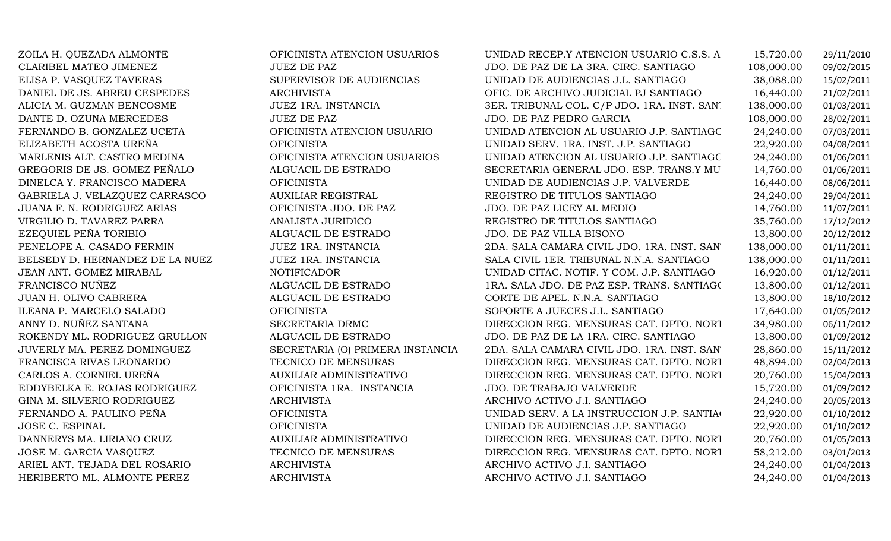| ZOILA H. QUEZADA ALMONTE        | OFICINISTA ATENCION USUARIOS     | UNIDAD RECEP.Y ATENCION USUARIO C.S.S. A    | 15,720.00  | 29/11/2010 |
|---------------------------------|----------------------------------|---------------------------------------------|------------|------------|
| CLARIBEL MATEO JIMENEZ          | <b>JUEZ DE PAZ</b>               | JDO. DE PAZ DE LA 3RA. CIRC. SANTIAGO       | 108,000.00 | 09/02/2015 |
| ELISA P. VASQUEZ TAVERAS        | SUPERVISOR DE AUDIENCIAS         | UNIDAD DE AUDIENCIAS J.L. SANTIAGO          | 38,088.00  | 15/02/2011 |
| DANIEL DE JS. ABREU CESPEDES    | <b>ARCHIVISTA</b>                | OFIC. DE ARCHIVO JUDICIAL PJ SANTIAGO       | 16,440.00  | 21/02/2011 |
| ALICIA M. GUZMAN BENCOSME       | JUEZ 1RA. INSTANCIA              | 3ER. TRIBUNAL COL. C/P JDO. 1RA. INST. SAN. | 138,000.00 | 01/03/2011 |
| DANTE D. OZUNA MERCEDES         | <b>JUEZ DE PAZ</b>               | JDO. DE PAZ PEDRO GARCIA                    | 108,000.00 | 28/02/2011 |
| FERNANDO B. GONZALEZ UCETA      | OFICINISTA ATENCION USUARIO      | UNIDAD ATENCION AL USUARIO J.P. SANTIAGC    | 24,240.00  | 07/03/2011 |
| ELIZABETH ACOSTA UREÑA          | <b>OFICINISTA</b>                | UNIDAD SERV. 1RA. INST. J.P. SANTIAGO       | 22,920.00  | 04/08/2011 |
| MARLENIS ALT. CASTRO MEDINA     | OFICINISTA ATENCION USUARIOS     | UNIDAD ATENCION AL USUARIO J.P. SANTIAGC    | 24,240.00  | 01/06/2011 |
| GREGORIS DE JS. GOMEZ PEÑALO    | ALGUACIL DE ESTRADO              | SECRETARIA GENERAL JDO. ESP. TRANS.Y MU     | 14,760.00  | 01/06/2011 |
| DINELCA Y. FRANCISCO MADERA     | <b>OFICINISTA</b>                | UNIDAD DE AUDIENCIAS J.P. VALVERDE          | 16,440.00  | 08/06/2011 |
| GABRIELA J. VELAZQUEZ CARRASCO  | <b>AUXILIAR REGISTRAL</b>        | REGISTRO DE TITULOS SANTIAGO                | 24,240.00  | 29/04/2011 |
| JUANA F. N. RODRIGUEZ ARIAS     | OFICINISTA JDO. DE PAZ           | JDO. DE PAZ LICEY AL MEDIO                  | 14,760.00  | 11/07/2011 |
| VIRGILIO D. TAVAREZ PARRA       | ANALISTA JURIDICO                | REGISTRO DE TITULOS SANTIAGO                | 35,760.00  | 17/12/2012 |
| EZEQUIEL PEÑA TORIBIO           | ALGUACIL DE ESTRADO              | JDO. DE PAZ VILLA BISONO                    | 13,800.00  | 20/12/2012 |
| PENELOPE A. CASADO FERMIN       | JUEZ 1RA. INSTANCIA              | 2DA. SALA CAMARA CIVIL JDO. 1RA. INST. SAN' | 138,000.00 | 01/11/2011 |
| BELSEDY D. HERNANDEZ DE LA NUEZ | JUEZ 1RA. INSTANCIA              | SALA CIVIL 1ER. TRIBUNAL N.N.A. SANTIAGO    | 138,000.00 | 01/11/2011 |
| JEAN ANT. GOMEZ MIRABAL         | <b>NOTIFICADOR</b>               | UNIDAD CITAC. NOTIF. Y COM. J.P. SANTIAGO   | 16,920.00  | 01/12/2011 |
| FRANCISCO NUÑEZ                 | ALGUACIL DE ESTRADO              | 1RA. SALA JDO. DE PAZ ESP. TRANS. SANTIAGO  | 13,800.00  | 01/12/2011 |
| JUAN H. OLIVO CABRERA           | ALGUACIL DE ESTRADO              | CORTE DE APEL. N.N.A. SANTIAGO              | 13,800.00  | 18/10/2012 |
| ILEANA P. MARCELO SALADO        | <b>OFICINISTA</b>                | SOPORTE A JUECES J.L. SANTIAGO              | 17,640.00  | 01/05/2012 |
| ANNY D. NUÑEZ SANTANA           | SECRETARIA DRMC                  | DIRECCION REG. MENSURAS CAT. DPTO. NORT     | 34,980.00  | 06/11/2012 |
| ROKENDY ML. RODRIGUEZ GRULLON   | ALGUACIL DE ESTRADO              | JDO. DE PAZ DE LA 1RA. CIRC. SANTIAGO       | 13,800.00  | 01/09/2012 |
| JUVERLY MA. PEREZ DOMINGUEZ     | SECRETARIA (O) PRIMERA INSTANCIA | 2DA. SALA CAMARA CIVIL JDO. 1RA. INST. SAN' | 28,860.00  | 15/11/2012 |
| FRANCISCA RIVAS LEONARDO        | TECNICO DE MENSURAS              | DIRECCION REG. MENSURAS CAT. DPTO. NORT     | 48,894.00  | 02/04/2013 |
| CARLOS A. CORNIEL UREÑA         | AUXILIAR ADMINISTRATIVO          | DIRECCION REG. MENSURAS CAT. DPTO. NORT     | 20,760.00  | 15/04/2013 |
| EDDYBELKA E. ROJAS RODRIGUEZ    | OFICINISTA 1RA. INSTANCIA        | <b>JDO. DE TRABAJO VALVERDE</b>             | 15,720.00  | 01/09/2012 |
| GINA M. SILVERIO RODRIGUEZ      | <b>ARCHIVISTA</b>                | ARCHIVO ACTIVO J.I. SANTIAGO                | 24,240.00  | 20/05/2013 |
| FERNANDO A. PAULINO PEÑA        | <b>OFICINISTA</b>                | UNIDAD SERV. A LA INSTRUCCION J.P. SANTIAC  | 22,920.00  | 01/10/2012 |
| <b>JOSE C. ESPINAL</b>          | <b>OFICINISTA</b>                | UNIDAD DE AUDIENCIAS J.P. SANTIAGO          | 22,920.00  | 01/10/2012 |
| DANNERYS MA. LIRIANO CRUZ       | AUXILIAR ADMINISTRATIVO          | DIRECCION REG. MENSURAS CAT. DPTO. NORT     | 20,760.00  | 01/05/2013 |
| JOSE M. GARCIA VASQUEZ          | TECNICO DE MENSURAS              | DIRECCION REG. MENSURAS CAT. DPTO. NORT     | 58,212.00  | 03/01/2013 |
| ARIEL ANT. TEJADA DEL ROSARIO   | <b>ARCHIVISTA</b>                | ARCHIVO ACTIVO J.I. SANTIAGO                | 24,240.00  | 01/04/2013 |
| HERIBERTO ML. ALMONTE PEREZ     | <b>ARCHIVISTA</b>                | ARCHIVO ACTIVO J.I. SANTIAGO                | 24,240.00  | 01/04/2013 |
|                                 |                                  |                                             |            |            |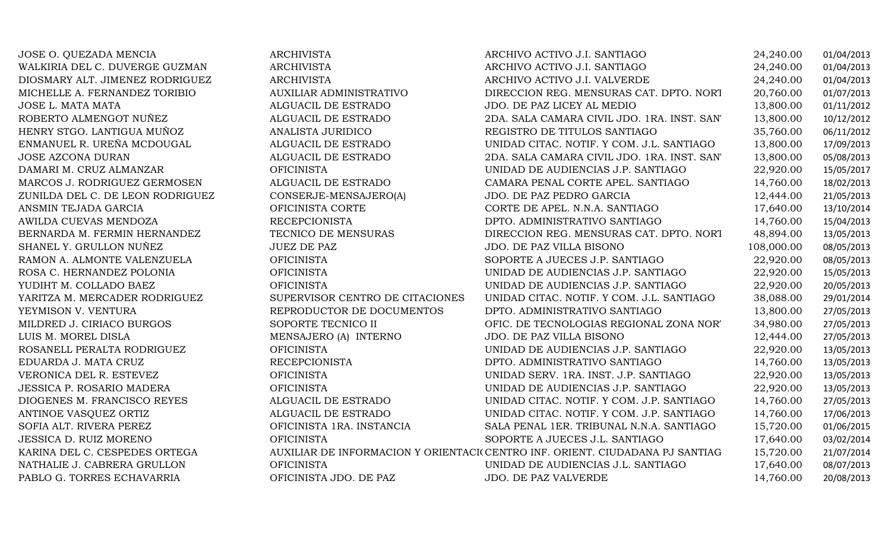| JOSE O. QUEZADA MENCIA           | <b>ARCHIVISTA</b>               | ARCHIVO ACTIVO J.I. SANTIAGO                                                 | 24,240.00  | 01/04/2013 |
|----------------------------------|---------------------------------|------------------------------------------------------------------------------|------------|------------|
| WALKIRIA DEL C. DUVERGE GUZMAN   | <b>ARCHIVISTA</b>               | ARCHIVO ACTIVO J.I. SANTIAGO                                                 | 24,240.00  | 01/04/2013 |
| DIOSMARY ALT. JIMENEZ RODRIGUEZ  | <b>ARCHIVISTA</b>               | ARCHIVO ACTIVO J.I. VALVERDE                                                 | 24,240.00  | 01/04/2013 |
| MICHELLE A. FERNANDEZ TORIBIO    | <b>AUXILIAR ADMINISTRATIVO</b>  | DIRECCION REG. MENSURAS CAT. DPTO. NORT                                      | 20,760.00  | 01/07/2013 |
| JOSE L. MATA MATA                | ALGUACIL DE ESTRADO             | JDO. DE PAZ LICEY AL MEDIO                                                   | 13,800.00  | 01/11/2012 |
| ROBERTO ALMENGOT NUÑEZ           | ALGUACIL DE ESTRADO             | 2DA. SALA CAMARA CIVIL JDO. 1RA. INST. SAN'                                  | 13,800.00  | 10/12/2012 |
| HENRY STGO. LANTIGUA MUÑOZ       | ANALISTA JURIDICO               | REGISTRO DE TITULOS SANTIAGO                                                 | 35,760.00  | 06/11/2012 |
| ENMANUEL R. UREÑA MCDOUGAL       | ALGUACIL DE ESTRADO             | UNIDAD CITAC. NOTIF. Y COM. J.L. SANTIAGO                                    | 13,800.00  | 17/09/2013 |
| JOSE AZCONA DURAN                | ALGUACIL DE ESTRADO             | 2DA. SALA CAMARA CIVIL JDO. 1RA. INST. SAN'                                  | 13,800.00  | 05/08/2013 |
| DAMARI M. CRUZ ALMANZAR          | <b>OFICINISTA</b>               | UNIDAD DE AUDIENCIAS J.P. SANTIAGO                                           | 22,920.00  | 15/05/2017 |
| MARCOS J. RODRIGUEZ GERMOSEN     | ALGUACIL DE ESTRADO             | CAMARA PENAL CORTE APEL. SANTIAGO                                            | 14,760.00  | 18/02/2013 |
| ZUNILDA DEL C. DE LEON RODRIGUEZ | CONSERJE-MENSAJERO(A)           | JDO. DE PAZ PEDRO GARCIA                                                     | 12,444.00  | 21/05/2013 |
| ANSMIN TEJADA GARCIA             | OFICINISTA CORTE                | CORTE DE APEL. N.N.A. SANTIAGO                                               | 17,640.00  | 13/10/2014 |
| AWILDA CUEVAS MENDOZA            | <b>RECEPCIONISTA</b>            | DPTO. ADMINISTRATIVO SANTIAGO                                                | 14,760.00  | 15/04/2013 |
| BERNARDA M. FERMIN HERNANDEZ     | TECNICO DE MENSURAS             | DIRECCION REG. MENSURAS CAT. DPTO. NORT                                      | 48,894.00  | 13/05/2013 |
| SHANEL Y. GRULLON NUÑEZ          | <b>JUEZ DE PAZ</b>              | JDO. DE PAZ VILLA BISONO                                                     | 108,000.00 | 08/05/2013 |
| RAMON A. ALMONTE VALENZUELA      | <b>OFICINISTA</b>               | SOPORTE A JUECES J.P. SANTIAGO                                               | 22,920.00  | 08/05/2013 |
| ROSA C. HERNANDEZ POLONIA        | <b>OFICINISTA</b>               | UNIDAD DE AUDIENCIAS J.P. SANTIAGO                                           | 22,920.00  | 15/05/2013 |
| YUDIHT M. COLLADO BAEZ           | <b>OFICINISTA</b>               | UNIDAD DE AUDIENCIAS J.P. SANTIAGO                                           | 22,920.00  | 20/05/2013 |
| YARITZA M. MERCADER RODRIGUEZ    | SUPERVISOR CENTRO DE CITACIONES | UNIDAD CITAC. NOTIF. Y COM. J.L. SANTIAGO                                    | 38,088.00  | 29/01/2014 |
| YEYMISON V. VENTURA              | REPRODUCTOR DE DOCUMENTOS       | DPTO. ADMINISTRATIVO SANTIAGO                                                | 13,800.00  | 27/05/2013 |
| MILDRED J. CIRIACO BURGOS        | SOPORTE TECNICO II              | OFIC. DE TECNOLOGIAS REGIONAL ZONA NOR'                                      | 34,980.00  | 27/05/2013 |
| LUIS M. MOREL DISLA              | MENSAJERO (A) INTERNO           | JDO. DE PAZ VILLA BISONO                                                     | 12,444.00  | 27/05/2013 |
| ROSANELL PERALTA RODRIGUEZ       | <b>OFICINISTA</b>               | UNIDAD DE AUDIENCIAS J.P. SANTIAGO                                           | 22,920.00  | 13/05/2013 |
| EDUARDA J. MATA CRUZ             | <b>RECEPCIONISTA</b>            | DPTO. ADMINISTRATIVO SANTIAGO                                                | 14,760.00  | 13/05/2013 |
| VERONICA DEL R. ESTEVEZ          | <b>OFICINISTA</b>               | UNIDAD SERV. 1RA. INST. J.P. SANTIAGO                                        | 22,920.00  | 13/05/2013 |
| <b>JESSICA P. ROSARIO MADERA</b> | <b>OFICINISTA</b>               | UNIDAD DE AUDIENCIAS J.P. SANTIAGO                                           | 22,920.00  | 13/05/2013 |
| DIOGENES M. FRANCISCO REYES      | ALGUACIL DE ESTRADO             | UNIDAD CITAC. NOTIF. Y COM. J.P. SANTIAGO                                    | 14,760.00  | 27/05/2013 |
| ANTINOE VASQUEZ ORTIZ            | ALGUACIL DE ESTRADO             | UNIDAD CITAC. NOTIF. Y COM. J.P. SANTIAGO                                    | 14,760.00  | 17/06/2013 |
| SOFIA ALT. RIVERA PEREZ          | OFICINISTA 1RA. INSTANCIA       | SALA PENAL 1ER. TRIBUNAL N.N.A. SANTIAGO                                     | 15,720.00  | 01/06/2015 |
| JESSICA D. RUIZ MORENO           | <b>OFICINISTA</b>               | SOPORTE A JUECES J.L. SANTIAGO                                               | 17,640.00  | 03/02/2014 |
| KARINA DEL C. CESPEDES ORTEGA    |                                 | AUXILIAR DE INFORMACION Y ORIENTACI(CENTRO INF. ORIENT. CIUDADANA PJ SANTIAG | 15,720.00  | 21/07/2014 |
| NATHALIE J. CABRERA GRULLON      | <b>OFICINISTA</b>               | UNIDAD DE AUDIENCIAS J.L. SANTIAGO                                           | 17,640.00  | 08/07/2013 |
| PABLO G. TORRES ECHAVARRIA       | OFICINISTA JDO. DE PAZ          | JDO. DE PAZ VALVERDE                                                         | 14,760.00  | 20/08/2013 |
|                                  |                                 |                                                                              |            |            |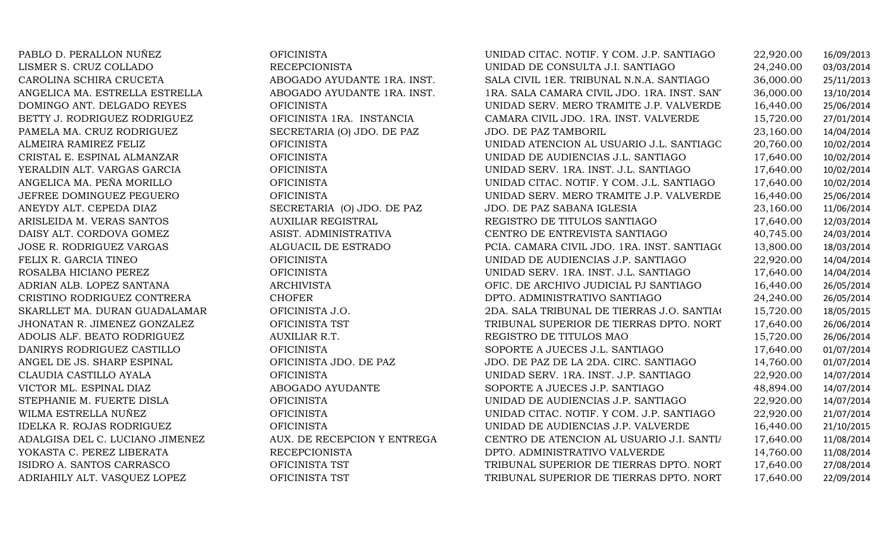| PABLO D. PERALLON NUÑEZ          | <b>OFICINISTA</b>           | UNIDAD CITAC. NOTIF. Y COM. J.P. SANTIAGO   | 22,920.00 | 16/09/2013 |
|----------------------------------|-----------------------------|---------------------------------------------|-----------|------------|
| LISMER S. CRUZ COLLADO           | <b>RECEPCIONISTA</b>        | UNIDAD DE CONSULTA J.I. SANTIAGO            | 24,240.00 | 03/03/2014 |
| CAROLINA SCHIRA CRUCETA          | ABOGADO AYUDANTE 1RA. INST. | SALA CIVIL 1ER. TRIBUNAL N.N.A. SANTIAGO    | 36,000.00 | 25/11/2013 |
| ANGELICA MA. ESTRELLA ESTRELLA   | ABOGADO AYUDANTE 1RA. INST. | 1RA. SALA CAMARA CIVIL JDO. 1RA. INST. SAN  | 36,000.00 | 13/10/2014 |
| DOMINGO ANT. DELGADO REYES       | <b>OFICINISTA</b>           | UNIDAD SERV. MERO TRAMITE J.P. VALVERDE     | 16,440.00 | 25/06/2014 |
| BETTY J. RODRIGUEZ RODRIGUEZ     | OFICINISTA 1RA. INSTANCIA   | CAMARA CIVIL JDO. 1RA. INST. VALVERDE       | 15,720.00 | 27/01/2014 |
| PAMELA MA. CRUZ RODRIGUEZ        | SECRETARIA (O) JDO. DE PAZ  | JDO. DE PAZ TAMBORIL                        | 23,160.00 | 14/04/2014 |
| ALMEIRA RAMIREZ FELIZ            | <b>OFICINISTA</b>           | UNIDAD ATENCION AL USUARIO J.L. SANTIAGC    | 20,760.00 | 10/02/2014 |
| CRISTAL E. ESPINAL ALMANZAR      | <b>OFICINISTA</b>           | UNIDAD DE AUDIENCIAS J.L. SANTIAGO          | 17,640.00 | 10/02/2014 |
| YERALDIN ALT. VARGAS GARCIA      | <b>OFICINISTA</b>           | UNIDAD SERV. 1RA. INST. J.L. SANTIAGO       | 17,640.00 | 10/02/2014 |
| ANGELICA MA. PEÑA MORILLO        | <b>OFICINISTA</b>           | UNIDAD CITAC. NOTIF. Y COM. J.L. SANTIAGO   | 17,640.00 | 10/02/2014 |
| JEFREE DOMINGUEZ PEGUERO         | <b>OFICINISTA</b>           | UNIDAD SERV. MERO TRAMITE J.P. VALVERDE     | 16,440.00 | 25/06/2014 |
| ANEYDY ALT. CEPEDA DIAZ          | SECRETARIA (O) JDO. DE PAZ  | JDO. DE PAZ SABANA IGLESIA                  | 23,160.00 | 11/06/2014 |
| ARISLEIDA M. VERAS SANTOS        | <b>AUXILIAR REGISTRAL</b>   | REGISTRO DE TITULOS SANTIAGO                | 17,640.00 | 12/03/2014 |
| DAISY ALT. CORDOVA GOMEZ         | ASIST. ADMINISTRATIVA       | CENTRO DE ENTREVISTA SANTIAGO               | 40,745.00 | 24/03/2014 |
| JOSE R. RODRIGUEZ VARGAS         | ALGUACIL DE ESTRADO         | PCIA. CAMARA CIVIL JDO. 1RA. INST. SANTIAGO | 13,800.00 | 18/03/2014 |
| FELIX R. GARCIA TINEO            | <b>OFICINISTA</b>           | UNIDAD DE AUDIENCIAS J.P. SANTIAGO          | 22,920.00 | 14/04/2014 |
| ROSALBA HICIANO PEREZ            | <b>OFICINISTA</b>           | UNIDAD SERV. 1RA. INST. J.L. SANTIAGO       | 17,640.00 | 14/04/2014 |
| ADRIAN ALB. LOPEZ SANTANA        | <b>ARCHIVISTA</b>           | OFIC. DE ARCHIVO JUDICIAL PJ SANTIAGO       | 16,440.00 | 26/05/2014 |
| CRISTINO RODRIGUEZ CONTRERA      | <b>CHOFER</b>               | DPTO. ADMINISTRATIVO SANTIAGO               | 24,240.00 | 26/05/2014 |
| SKARLLET MA. DURAN GUADALAMAR    | OFICINISTA J.O.             | 2DA. SALA TRIBUNAL DE TIERRAS J.O. SANTIAC  | 15,720.00 | 18/05/2015 |
| JHONATAN R. JIMENEZ GONZALEZ     | OFICINISTA TST              | TRIBUNAL SUPERIOR DE TIERRAS DPTO. NORT     | 17,640.00 | 26/06/2014 |
| ADOLIS ALF. BEATO RODRIGUEZ      | AUXILIAR R.T.               | REGISTRO DE TITULOS MAO                     | 15,720.00 | 26/06/2014 |
| DANIRYS RODRIGUEZ CASTILLO       | <b>OFICINISTA</b>           | SOPORTE A JUECES J.L. SANTIAGO              | 17,640.00 | 01/07/2014 |
| ANGEL DE JS. SHARP ESPINAL       | OFICINISTA JDO. DE PAZ      | JDO. DE PAZ DE LA 2DA. CIRC. SANTIAGO       | 14,760.00 | 01/07/2014 |
| CLAUDIA CASTILLO AYALA           | <b>OFICINISTA</b>           | UNIDAD SERV. 1RA. INST. J.P. SANTIAGO       | 22,920.00 | 14/07/2014 |
| VICTOR ML. ESPINAL DIAZ          | ABOGADO AYUDANTE            | SOPORTE A JUECES J.P. SANTIAGO              | 48,894.00 | 14/07/2014 |
| STEPHANIE M. FUERTE DISLA        | <b>OFICINISTA</b>           | UNIDAD DE AUDIENCIAS J.P. SANTIAGO          | 22,920.00 | 14/07/2014 |
| WILMA ESTRELLA NUÑEZ             | <b>OFICINISTA</b>           | UNIDAD CITAC. NOTIF. Y COM. J.P. SANTIAGO   | 22,920.00 | 21/07/2014 |
| <b>IDELKA R. ROJAS RODRIGUEZ</b> | <b>OFICINISTA</b>           | UNIDAD DE AUDIENCIAS J.P. VALVERDE          | 16,440.00 | 21/10/2015 |
| ADALGISA DEL C. LUCIANO JIMENEZ  | AUX. DE RECEPCION Y ENTREGA | CENTRO DE ATENCION AL USUARIO J.I. SANTI/   | 17,640.00 | 11/08/2014 |
| YOKASTA C. PEREZ LIBERATA        | <b>RECEPCIONISTA</b>        | DPTO. ADMINISTRATIVO VALVERDE               | 14,760.00 | 11/08/2014 |
| ISIDRO A. SANTOS CARRASCO        | OFICINISTA TST              | TRIBUNAL SUPERIOR DE TIERRAS DPTO. NORT     | 17,640.00 | 27/08/2014 |
| ADRIAHILY ALT. VASQUEZ LOPEZ     | OFICINISTA TST              | TRIBUNAL SUPERIOR DE TIERRAS DPTO. NORT     | 17,640.00 | 22/09/2014 |
|                                  |                             |                                             |           |            |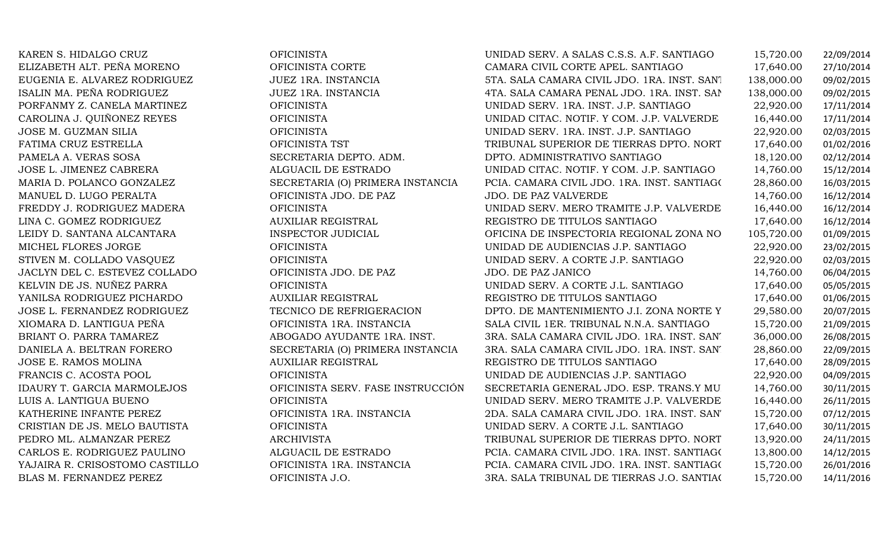| KAREN S. HIDALGO CRUZ          | <b>OFICINISTA</b>                 | UNIDAD SERV. A SALAS C.S.S. A.F. SANTIAGO    | 15,720.00  | 22/09/2014 |
|--------------------------------|-----------------------------------|----------------------------------------------|------------|------------|
| ELIZABETH ALT. PEÑA MORENO     | OFICINISTA CORTE                  | CAMARA CIVIL CORTE APEL. SANTIAGO            | 17,640.00  | 27/10/2014 |
| EUGENIA E. ALVAREZ RODRIGUEZ   | JUEZ 1RA. INSTANCIA               | 5TA. SALA CAMARA CIVIL JDO. 1RA. INST. SAN'I | 138,000.00 | 09/02/2015 |
| ISALIN MA. PEÑA RODRIGUEZ      | JUEZ 1RA. INSTANCIA               | 4TA. SALA CAMARA PENAL JDO. 1RA. INST. SAP   | 138,000.00 | 09/02/2015 |
| PORFANMY Z. CANELA MARTINEZ    | <b>OFICINISTA</b>                 | UNIDAD SERV. 1RA. INST. J.P. SANTIAGO        | 22,920.00  | 17/11/2014 |
| CAROLINA J. QUIÑONEZ REYES     | <b>OFICINISTA</b>                 | UNIDAD CITAC. NOTIF. Y COM. J.P. VALVERDE    | 16,440.00  | 17/11/2014 |
| JOSE M. GUZMAN SILIA           | <b>OFICINISTA</b>                 | UNIDAD SERV. 1RA. INST. J.P. SANTIAGO        | 22,920.00  | 02/03/2015 |
| FATIMA CRUZ ESTRELLA           | OFICINISTA TST                    | TRIBUNAL SUPERIOR DE TIERRAS DPTO. NORT      | 17,640.00  | 01/02/2016 |
| PAMELA A. VERAS SOSA           | SECRETARIA DEPTO. ADM.            | DPTO. ADMINISTRATIVO SANTIAGO                | 18,120.00  | 02/12/2014 |
| JOSE L. JIMENEZ CABRERA        | ALGUACIL DE ESTRADO               | UNIDAD CITAC. NOTIF. Y COM. J.P. SANTIAGO    | 14,760.00  | 15/12/2014 |
| MARIA D. POLANCO GONZALEZ      | SECRETARIA (O) PRIMERA INSTANCIA  | PCIA. CAMARA CIVIL JDO. 1RA. INST. SANTIAGO  | 28,860.00  | 16/03/2015 |
| MANUEL D. LUGO PERALTA         | OFICINISTA JDO. DE PAZ            | <b>JDO. DE PAZ VALVERDE</b>                  | 14,760.00  | 16/12/2014 |
| FREDDY J. RODRIGUEZ MADERA     | <b>OFICINISTA</b>                 | UNIDAD SERV. MERO TRAMITE J.P. VALVERDE      | 16,440.00  | 16/12/2014 |
| LINA C. GOMEZ RODRIGUEZ        | <b>AUXILIAR REGISTRAL</b>         | REGISTRO DE TITULOS SANTIAGO                 | 17,640.00  | 16/12/2014 |
| LEIDY D. SANTANA ALCANTARA     | INSPECTOR JUDICIAL                | OFICINA DE INSPECTORIA REGIONAL ZONA NO      | 105,720.00 | 01/09/2015 |
| MICHEL FLORES JORGE            | <b>OFICINISTA</b>                 | UNIDAD DE AUDIENCIAS J.P. SANTIAGO           | 22,920.00  | 23/02/2015 |
| STIVEN M. COLLADO VASQUEZ      | <b>OFICINISTA</b>                 | UNIDAD SERV. A CORTE J.P. SANTIAGO           | 22,920.00  | 02/03/2015 |
| JACLYN DEL C. ESTEVEZ COLLADO  | OFICINISTA JDO. DE PAZ            | JDO. DE PAZ JANICO                           | 14,760.00  | 06/04/2015 |
| KELVIN DE JS. NUÑEZ PARRA      | <b>OFICINISTA</b>                 | UNIDAD SERV. A CORTE J.L. SANTIAGO           | 17,640.00  | 05/05/2015 |
| YANILSA RODRIGUEZ PICHARDO     | <b>AUXILIAR REGISTRAL</b>         | REGISTRO DE TITULOS SANTIAGO                 | 17,640.00  | 01/06/2015 |
| JOSE L. FERNANDEZ RODRIGUEZ    | TECNICO DE REFRIGERACION          | DPTO. DE MANTENIMIENTO J.I. ZONA NORTE Y     | 29,580.00  | 20/07/2015 |
| XIOMARA D. LANTIGUA PEÑA       | OFICINISTA 1RA. INSTANCIA         | SALA CIVIL 1ER. TRIBUNAL N.N.A. SANTIAGO     | 15,720.00  | 21/09/2015 |
| BRIANT O. PARRA TAMAREZ        | ABOGADO AYUDANTE 1RA. INST.       | 3RA. SALA CAMARA CIVIL JDO. 1RA. INST. SAN'  | 36,000.00  | 26/08/2015 |
| DANIELA A. BELTRAN FORERO      | SECRETARIA (O) PRIMERA INSTANCIA  | 3RA. SALA CAMARA CIVIL JDO. 1RA. INST. SAN'  | 28,860.00  | 22/09/2015 |
| JOSE E. RAMOS MOLINA           | <b>AUXILIAR REGISTRAL</b>         | REGISTRO DE TITULOS SANTIAGO                 | 17,640.00  | 28/09/2015 |
| FRANCIS C. ACOSTA POOL         | <b>OFICINISTA</b>                 | UNIDAD DE AUDIENCIAS J.P. SANTIAGO           | 22,920.00  | 04/09/2015 |
| IDAURY T. GARCIA MARMOLEJOS    | OFICINISTA SERV. FASE INSTRUCCIÓN | SECRETARIA GENERAL JDO. ESP. TRANS.Y MU      | 14,760.00  | 30/11/2015 |
| LUIS A. LANTIGUA BUENO         | <b>OFICINISTA</b>                 | UNIDAD SERV. MERO TRAMITE J.P. VALVERDE      | 16,440.00  | 26/11/2015 |
| KATHERINE INFANTE PEREZ        | OFICINISTA 1RA. INSTANCIA         | 2DA. SALA CAMARA CIVIL JDO. 1RA. INST. SAN'  | 15,720.00  | 07/12/2015 |
| CRISTIAN DE JS. MELO BAUTISTA  | <b>OFICINISTA</b>                 | UNIDAD SERV. A CORTE J.L. SANTIAGO           | 17,640.00  | 30/11/2015 |
| PEDRO ML. ALMANZAR PEREZ       | <b>ARCHIVISTA</b>                 | TRIBUNAL SUPERIOR DE TIERRAS DPTO. NORT      | 13,920.00  | 24/11/2015 |
| CARLOS E. RODRIGUEZ PAULINO    | ALGUACIL DE ESTRADO               | PCIA. CAMARA CIVIL JDO. 1RA. INST. SANTIAGO  | 13,800.00  | 14/12/2015 |
| YAJAIRA R. CRISOSTOMO CASTILLO | OFICINISTA 1RA. INSTANCIA         | PCIA. CAMARA CIVIL JDO. 1RA. INST. SANTIAGO  | 15,720.00  | 26/01/2016 |
| BLAS M. FERNANDEZ PEREZ        | OFICINISTA J.O.                   | 3RA. SALA TRIBUNAL DE TIERRAS J.O. SANTIAC   | 15,720.00  | 14/11/2016 |
|                                |                                   |                                              |            |            |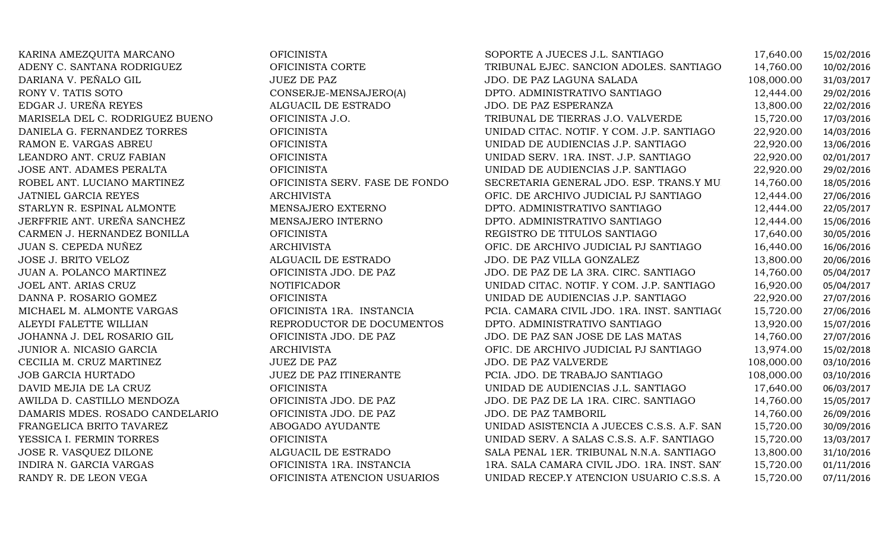| KARINA AMEZQUITA MARCANO        | <b>OFICINISTA</b>              | SOPORTE A JUECES J.L. SANTIAGO              | 17,640.00  | 15/02/2016 |
|---------------------------------|--------------------------------|---------------------------------------------|------------|------------|
| ADENY C. SANTANA RODRIGUEZ      | OFICINISTA CORTE               | TRIBUNAL EJEC. SANCION ADOLES. SANTIAGO     | 14,760.00  | 10/02/2016 |
| DARIANA V. PEÑALO GIL           | <b>JUEZ DE PAZ</b>             | JDO. DE PAZ LAGUNA SALADA                   | 108,000.00 | 31/03/2017 |
| RONY V. TATIS SOTO              | CONSERJE-MENSAJERO(A)          | DPTO. ADMINISTRATIVO SANTIAGO               | 12,444.00  | 29/02/2016 |
| EDGAR J. UREÑA REYES            | ALGUACIL DE ESTRADO            | JDO. DE PAZ ESPERANZA                       | 13,800.00  | 22/02/2016 |
| MARISELA DEL C. RODRIGUEZ BUENO | OFICINISTA J.O.                | TRIBUNAL DE TIERRAS J.O. VALVERDE           | 15,720.00  | 17/03/2016 |
| DANIELA G. FERNANDEZ TORRES     | <b>OFICINISTA</b>              | UNIDAD CITAC. NOTIF. Y COM. J.P. SANTIAGO   | 22,920.00  | 14/03/2016 |
| RAMON E. VARGAS ABREU           | <b>OFICINISTA</b>              | UNIDAD DE AUDIENCIAS J.P. SANTIAGO          | 22,920.00  | 13/06/2016 |
| LEANDRO ANT. CRUZ FABIAN        | <b>OFICINISTA</b>              | UNIDAD SERV. 1RA. INST. J.P. SANTIAGO       | 22,920.00  | 02/01/2017 |
| JOSE ANT. ADAMES PERALTA        | <b>OFICINISTA</b>              | UNIDAD DE AUDIENCIAS J.P. SANTIAGO          | 22,920.00  | 29/02/2016 |
| ROBEL ANT. LUCIANO MARTINEZ     | OFICINISTA SERV. FASE DE FONDO | SECRETARIA GENERAL JDO. ESP. TRANS.Y MU     | 14,760.00  | 18/05/2016 |
| JATNIEL GARCIA REYES            | <b>ARCHIVISTA</b>              | OFIC. DE ARCHIVO JUDICIAL PJ SANTIAGO       | 12,444.00  | 27/06/2016 |
| STARLYN R. ESPINAL ALMONTE      | MENSAJERO EXTERNO              | DPTO. ADMINISTRATIVO SANTIAGO               | 12,444.00  | 22/05/2017 |
| JERFFRIE ANT. UREÑA SANCHEZ     | MENSAJERO INTERNO              | DPTO. ADMINISTRATIVO SANTIAGO               | 12,444.00  | 15/06/2016 |
| CARMEN J. HERNANDEZ BONILLA     | <b>OFICINISTA</b>              | REGISTRO DE TITULOS SANTIAGO                | 17,640.00  | 30/05/2016 |
| JUAN S. CEPEDA NUÑEZ            | <b>ARCHIVISTA</b>              | OFIC. DE ARCHIVO JUDICIAL PJ SANTIAGO       | 16,440.00  | 16/06/2016 |
| JOSE J. BRITO VELOZ             | ALGUACIL DE ESTRADO            | JDO. DE PAZ VILLA GONZALEZ                  | 13,800.00  | 20/06/2016 |
| JUAN A. POLANCO MARTINEZ        | OFICINISTA JDO. DE PAZ         | JDO. DE PAZ DE LA 3RA. CIRC. SANTIAGO       | 14,760.00  | 05/04/2017 |
| JOEL ANT. ARIAS CRUZ            | <b>NOTIFICADOR</b>             | UNIDAD CITAC. NOTIF. Y COM. J.P. SANTIAGO   | 16,920.00  | 05/04/2017 |
| DANNA P. ROSARIO GOMEZ          | <b>OFICINISTA</b>              | UNIDAD DE AUDIENCIAS J.P. SANTIAGO          | 22,920.00  | 27/07/2016 |
| MICHAEL M. ALMONTE VARGAS       | OFICINISTA 1RA. INSTANCIA      | PCIA. CAMARA CIVIL JDO. 1RA. INST. SANTIAGO | 15,720.00  | 27/06/2016 |
| ALEYDI FALETTE WILLIAN          | REPRODUCTOR DE DOCUMENTOS      | DPTO. ADMINISTRATIVO SANTIAGO               | 13,920.00  | 15/07/2016 |
| JOHANNA J. DEL ROSARIO GIL      | OFICINISTA JDO. DE PAZ         | JDO. DE PAZ SAN JOSE DE LAS MATAS           | 14,760.00  | 27/07/2016 |
| JUNIOR A. NICASIO GARCIA        | <b>ARCHIVISTA</b>              | OFIC. DE ARCHIVO JUDICIAL PJ SANTIAGO       | 13,974.00  | 15/02/2018 |
| CECILIA M. CRUZ MARTINEZ        | <b>JUEZ DE PAZ</b>             | <b>JDO. DE PAZ VALVERDE</b>                 | 108,000.00 | 03/10/2016 |
| JOB GARCIA HURTADO              | JUEZ DE PAZ ITINERANTE         | PCIA. JDO. DE TRABAJO SANTIAGO              | 108,000.00 | 03/10/2016 |
| DAVID MEJIA DE LA CRUZ          | <b>OFICINISTA</b>              | UNIDAD DE AUDIENCIAS J.L. SANTIAGO          | 17,640.00  | 06/03/2017 |
| AWILDA D. CASTILLO MENDOZA      | OFICINISTA JDO. DE PAZ         | JDO. DE PAZ DE LA 1RA. CIRC. SANTIAGO       | 14,760.00  | 15/05/2017 |
| DAMARIS MDES. ROSADO CANDELARIO | OFICINISTA JDO. DE PAZ         | JDO. DE PAZ TAMBORIL                        | 14,760.00  | 26/09/2016 |
| FRANGELICA BRITO TAVAREZ        | ABOGADO AYUDANTE               | UNIDAD ASISTENCIA A JUECES C.S.S. A.F. SAN  | 15,720.00  | 30/09/2016 |
| YESSICA I. FERMIN TORRES        | <b>OFICINISTA</b>              | UNIDAD SERV. A SALAS C.S.S. A.F. SANTIAGO   | 15,720.00  | 13/03/2017 |
| JOSE R. VASQUEZ DILONE          | ALGUACIL DE ESTRADO            | SALA PENAL 1ER. TRIBUNAL N.N.A. SANTIAGO    | 13,800.00  | 31/10/2016 |
| INDIRA N. GARCIA VARGAS         | OFICINISTA 1RA. INSTANCIA      | 1RA. SALA CAMARA CIVIL JDO. 1RA. INST. SAN' | 15,720.00  | 01/11/2016 |
| RANDY R. DE LEON VEGA           | OFICINISTA ATENCION USUARIOS   | UNIDAD RECEP.Y ATENCION USUARIO C.S.S. A    | 15,720.00  | 07/11/2016 |
|                                 |                                |                                             |            |            |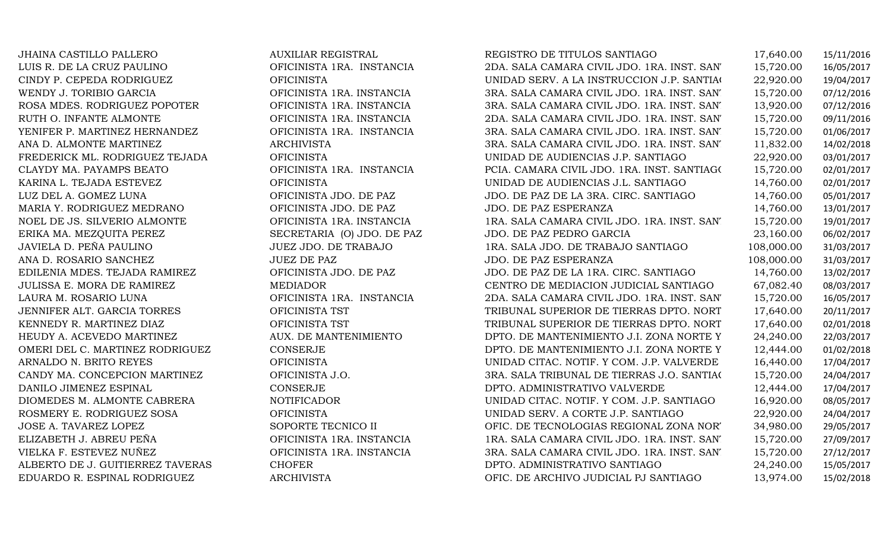| JHAINA CASTILLO PALLERO          | <b>AUXILIAR REGISTRAL</b>  | REGISTRO DE TITULOS SANTIAGO                | 17,640.00  | 15/11/2016 |
|----------------------------------|----------------------------|---------------------------------------------|------------|------------|
| LUIS R. DE LA CRUZ PAULINO       | OFICINISTA 1RA. INSTANCIA  | 2DA. SALA CAMARA CIVIL JDO. 1RA. INST. SAN' | 15,720.00  | 16/05/2017 |
| CINDY P. CEPEDA RODRIGUEZ        | <b>OFICINISTA</b>          | UNIDAD SERV. A LA INSTRUCCION J.P. SANTIAC  | 22,920.00  | 19/04/2017 |
| WENDY J. TORIBIO GARCIA          | OFICINISTA 1RA. INSTANCIA  | 3RA. SALA CAMARA CIVIL JDO. 1RA. INST. SAN  | 15,720.00  | 07/12/2016 |
| ROSA MDES. RODRIGUEZ POPOTER     | OFICINISTA 1RA. INSTANCIA  | 3RA. SALA CAMARA CIVIL JDO. 1RA. INST. SAN  | 13,920.00  | 07/12/2016 |
| RUTH O. INFANTE ALMONTE          | OFICINISTA 1RA. INSTANCIA  | 2DA. SALA CAMARA CIVIL JDO. 1RA. INST. SAN' | 15,720.00  | 09/11/2016 |
| YENIFER P. MARTINEZ HERNANDEZ    | OFICINISTA 1RA. INSTANCIA  | 3RA. SALA CAMARA CIVIL JDO. 1RA. INST. SAN' | 15,720.00  | 01/06/2017 |
| ANA D. ALMONTE MARTINEZ          | <b>ARCHIVISTA</b>          | 3RA. SALA CAMARA CIVIL JDO. 1RA. INST. SAN' | 11,832.00  | 14/02/2018 |
| FREDERICK ML. RODRIGUEZ TEJADA   | <b>OFICINISTA</b>          | UNIDAD DE AUDIENCIAS J.P. SANTIAGO          | 22,920.00  | 03/01/2017 |
| CLAYDY MA. PAYAMPS BEATO         | OFICINISTA 1RA. INSTANCIA  | PCIA. CAMARA CIVIL JDO. 1RA. INST. SANTIAGO | 15,720.00  | 02/01/2017 |
| KARINA L. TEJADA ESTEVEZ         | <b>OFICINISTA</b>          | UNIDAD DE AUDIENCIAS J.L. SANTIAGO          | 14,760.00  | 02/01/2017 |
| LUZ DEL A. GOMEZ LUNA            | OFICINISTA JDO. DE PAZ     | JDO. DE PAZ DE LA 3RA. CIRC. SANTIAGO       | 14,760.00  | 05/01/2017 |
| MARIA Y. RODRIGUEZ MEDRANO       | OFICINISTA JDO. DE PAZ     | JDO. DE PAZ ESPERANZA                       | 14,760.00  | 13/01/2017 |
| NOEL DE JS. SILVERIO ALMONTE     | OFICINISTA 1RA. INSTANCIA  | 1RA. SALA CAMARA CIVIL JDO. 1RA. INST. SAN' | 15,720.00  | 19/01/2017 |
| ERIKA MA. MEZQUITA PEREZ         | SECRETARIA (O) JDO. DE PAZ | JDO. DE PAZ PEDRO GARCIA                    | 23,160.00  | 06/02/2017 |
| JAVIELA D. PEÑA PAULINO          | JUEZ JDO. DE TRABAJO       | 1RA. SALA JDO. DE TRABAJO SANTIAGO          | 108,000.00 | 31/03/2017 |
| ANA D. ROSARIO SANCHEZ           | <b>JUEZ DE PAZ</b>         | JDO. DE PAZ ESPERANZA                       | 108,000.00 | 31/03/2017 |
| EDILENIA MDES. TEJADA RAMIREZ    | OFICINISTA JDO. DE PAZ     | JDO. DE PAZ DE LA 1RA. CIRC. SANTIAGO       | 14,760.00  | 13/02/2017 |
| JULISSA E. MORA DE RAMIREZ       | <b>MEDIADOR</b>            | CENTRO DE MEDIACION JUDICIAL SANTIAGO       | 67,082.40  | 08/03/2017 |
| LAURA M. ROSARIO LUNA            | OFICINISTA 1RA. INSTANCIA  | 2DA. SALA CAMARA CIVIL JDO. 1RA. INST. SAN' | 15,720.00  | 16/05/2017 |
| JENNIFER ALT. GARCIA TORRES      | OFICINISTA TST             | TRIBUNAL SUPERIOR DE TIERRAS DPTO. NORT     | 17,640.00  | 20/11/2017 |
| KENNEDY R. MARTINEZ DIAZ         | OFICINISTA TST             | TRIBUNAL SUPERIOR DE TIERRAS DPTO. NORT     | 17,640.00  | 02/01/2018 |
| HEUDY A. ACEVEDO MARTINEZ        | AUX. DE MANTENIMIENTO      | DPTO. DE MANTENIMIENTO J.I. ZONA NORTE Y    | 24,240.00  | 22/03/2017 |
| OMERI DEL C. MARTINEZ RODRIGUEZ  | CONSERJE                   | DPTO. DE MANTENIMIENTO J.I. ZONA NORTE Y    | 12,444.00  | 01/02/2018 |
| ARNALDO N. BRITO REYES           | <b>OFICINISTA</b>          | UNIDAD CITAC. NOTIF. Y COM. J.P. VALVERDE   | 16,440.00  | 17/04/2017 |
| CANDY MA. CONCEPCION MARTINEZ    | OFICINISTA J.O.            | 3RA. SALA TRIBUNAL DE TIERRAS J.O. SANTIAC  | 15,720.00  | 24/04/2017 |
| DANILO JIMENEZ ESPINAL           | CONSERJE                   | DPTO. ADMINISTRATIVO VALVERDE               | 12,444.00  | 17/04/2017 |
| DIOMEDES M. ALMONTE CABRERA      | <b>NOTIFICADOR</b>         | UNIDAD CITAC. NOTIF. Y COM. J.P. SANTIAGO   | 16,920.00  | 08/05/2017 |
| ROSMERY E. RODRIGUEZ SOSA        | <b>OFICINISTA</b>          | UNIDAD SERV. A CORTE J.P. SANTIAGO          | 22,920.00  | 24/04/2017 |
| JOSE A. TAVAREZ LOPEZ            | SOPORTE TECNICO II         | OFIC. DE TECNOLOGIAS REGIONAL ZONA NOR'     | 34,980.00  | 29/05/2017 |
| ELIZABETH J. ABREU PEÑA          | OFICINISTA 1RA. INSTANCIA  | 1RA. SALA CAMARA CIVIL JDO. 1RA. INST. SAN  | 15,720.00  | 27/09/2017 |
| VIELKA F. ESTEVEZ NUÑEZ          | OFICINISTA 1RA. INSTANCIA  | 3RA. SALA CAMARA CIVIL JDO. 1RA. INST. SAN' | 15,720.00  | 27/12/2017 |
| ALBERTO DE J. GUITIERREZ TAVERAS | <b>CHOFER</b>              | DPTO. ADMINISTRATIVO SANTIAGO               | 24,240.00  | 15/05/2017 |
| EDUARDO R. ESPINAL RODRIGUEZ     | <b>ARCHIVISTA</b>          | OFIC. DE ARCHIVO JUDICIAL PJ SANTIAGO       | 13,974.00  | 15/02/2018 |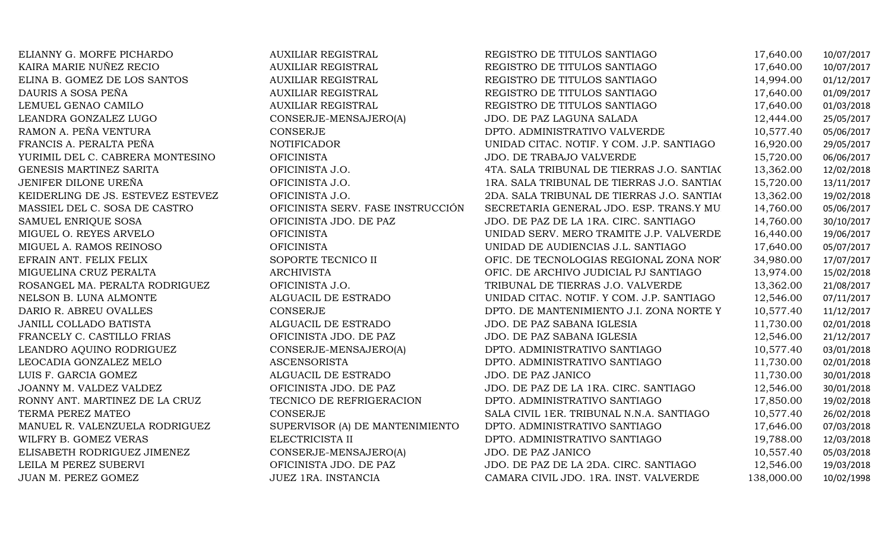| ELIANNY G. MORFE PICHARDO         | <b>AUXILIAR REGISTRAL</b>         | REGISTRO DE TITULOS SANTIAGO               | 17,640.00  | 10/07/2017 |
|-----------------------------------|-----------------------------------|--------------------------------------------|------------|------------|
| KAIRA MARIE NUÑEZ RECIO           | <b>AUXILIAR REGISTRAL</b>         | REGISTRO DE TITULOS SANTIAGO               | 17,640.00  | 10/07/2017 |
| ELINA B. GOMEZ DE LOS SANTOS      | <b>AUXILIAR REGISTRAL</b>         | REGISTRO DE TITULOS SANTIAGO               | 14,994.00  | 01/12/2017 |
| DAURIS A SOSA PEÑA                | <b>AUXILIAR REGISTRAL</b>         | REGISTRO DE TITULOS SANTIAGO               | 17,640.00  | 01/09/2017 |
| LEMUEL GENAO CAMILO               | <b>AUXILIAR REGISTRAL</b>         | REGISTRO DE TITULOS SANTIAGO               | 17,640.00  | 01/03/2018 |
| LEANDRA GONZALEZ LUGO             | CONSERJE-MENSAJERO(A)             | JDO. DE PAZ LAGUNA SALADA                  | 12,444.00  | 25/05/2017 |
| RAMON A. PEÑA VENTURA             | <b>CONSERJE</b>                   | DPTO. ADMINISTRATIVO VALVERDE              | 10,577.40  | 05/06/2017 |
| FRANCIS A. PERALTA PEÑA           | <b>NOTIFICADOR</b>                | UNIDAD CITAC. NOTIF. Y COM. J.P. SANTIAGO  | 16,920.00  | 29/05/2017 |
| YURIMIL DEL C. CABRERA MONTESINO  | <b>OFICINISTA</b>                 | JDO. DE TRABAJO VALVERDE                   | 15,720.00  | 06/06/2017 |
| GENESIS MARTINEZ SARITA           | OFICINISTA J.O.                   | 4TA. SALA TRIBUNAL DE TIERRAS J.O. SANTIAC | 13,362.00  | 12/02/2018 |
| JENIFER DILONE UREÑA              | OFICINISTA J.O.                   | 1RA. SALA TRIBUNAL DE TIERRAS J.O. SANTIAC | 15,720.00  | 13/11/2017 |
| KEIDERLING DE JS. ESTEVEZ ESTEVEZ | OFICINISTA J.O.                   | 2DA. SALA TRIBUNAL DE TIERRAS J.O. SANTIAC | 13,362.00  | 19/02/2018 |
| MASSIEL DEL C. SOSA DE CASTRO     | OFICINISTA SERV. FASE INSTRUCCIÓN | SECRETARIA GENERAL JDO. ESP. TRANS.Y MU    | 14,760.00  | 05/06/2017 |
| SAMUEL ENRIQUE SOSA               | OFICINISTA JDO. DE PAZ            | JDO. DE PAZ DE LA 1RA. CIRC. SANTIAGO      | 14,760.00  | 30/10/2017 |
| MIGUEL O. REYES ARVELO            | <b>OFICINISTA</b>                 | UNIDAD SERV. MERO TRAMITE J.P. VALVERDE    | 16,440.00  | 19/06/2017 |
| MIGUEL A. RAMOS REINOSO           | <b>OFICINISTA</b>                 | UNIDAD DE AUDIENCIAS J.L. SANTIAGO         | 17,640.00  | 05/07/2017 |
| EFRAIN ANT. FELIX FELIX           | SOPORTE TECNICO II                | OFIC. DE TECNOLOGIAS REGIONAL ZONA NOR'    | 34,980.00  | 17/07/2017 |
| MIGUELINA CRUZ PERALTA            | <b>ARCHIVISTA</b>                 | OFIC. DE ARCHIVO JUDICIAL PJ SANTIAGO      | 13,974.00  | 15/02/2018 |
| ROSANGEL MA. PERALTA RODRIGUEZ    | OFICINISTA J.O.                   | TRIBUNAL DE TIERRAS J.O. VALVERDE          | 13,362.00  | 21/08/2017 |
| NELSON B. LUNA ALMONTE            | ALGUACIL DE ESTRADO               | UNIDAD CITAC. NOTIF. Y COM. J.P. SANTIAGO  | 12,546.00  | 07/11/2017 |
| DARIO R. ABREU OVALLES            | <b>CONSERJE</b>                   | DPTO. DE MANTENIMIENTO J.I. ZONA NORTE Y   | 10,577.40  | 11/12/2017 |
| JANILL COLLADO BATISTA            | ALGUACIL DE ESTRADO               | JDO. DE PAZ SABANA IGLESIA                 | 11,730.00  | 02/01/2018 |
| FRANCELY C. CASTILLO FRIAS        | OFICINISTA JDO. DE PAZ            | JDO. DE PAZ SABANA IGLESIA                 | 12,546.00  | 21/12/2017 |
| LEANDRO AQUINO RODRIGUEZ          | CONSERJE-MENSAJERO(A)             | DPTO. ADMINISTRATIVO SANTIAGO              | 10,577.40  | 03/01/2018 |
| LEOCADIA GONZALEZ MELO            | <b>ASCENSORISTA</b>               | DPTO. ADMINISTRATIVO SANTIAGO              | 11,730.00  | 02/01/2018 |
| LUIS F. GARCIA GOMEZ              | ALGUACIL DE ESTRADO               | JDO. DE PAZ JANICO                         | 11,730.00  | 30/01/2018 |
| JOANNY M. VALDEZ VALDEZ           | OFICINISTA JDO. DE PAZ            | JDO. DE PAZ DE LA 1RA. CIRC. SANTIAGO      | 12,546.00  | 30/01/2018 |
| RONNY ANT. MARTINEZ DE LA CRUZ    | TECNICO DE REFRIGERACION          | DPTO. ADMINISTRATIVO SANTIAGO              | 17,850.00  | 19/02/2018 |
| TERMA PEREZ MATEO                 | <b>CONSERJE</b>                   | SALA CIVIL 1ER. TRIBUNAL N.N.A. SANTIAGO   | 10,577.40  | 26/02/2018 |
| MANUEL R. VALENZUELA RODRIGUEZ    | SUPERVISOR (A) DE MANTENIMIENTO   | DPTO. ADMINISTRATIVO SANTIAGO              | 17,646.00  | 07/03/2018 |
| WILFRY B. GOMEZ VERAS             | ELECTRICISTA II                   | DPTO. ADMINISTRATIVO SANTIAGO              | 19,788.00  | 12/03/2018 |
| ELISABETH RODRIGUEZ JIMENEZ       | CONSERJE-MENSAJERO(A)             | JDO. DE PAZ JANICO                         | 10,557.40  | 05/03/2018 |
| LEILA M PEREZ SUBERVI             | OFICINISTA JDO. DE PAZ            | JDO. DE PAZ DE LA 2DA. CIRC. SANTIAGO      | 12,546.00  | 19/03/2018 |
| JUAN M. PEREZ GOMEZ               | JUEZ 1RA. INSTANCIA               | CAMARA CIVIL JDO. 1RA. INST. VALVERDE      | 138,000.00 | 10/02/1998 |
|                                   |                                   |                                            |            |            |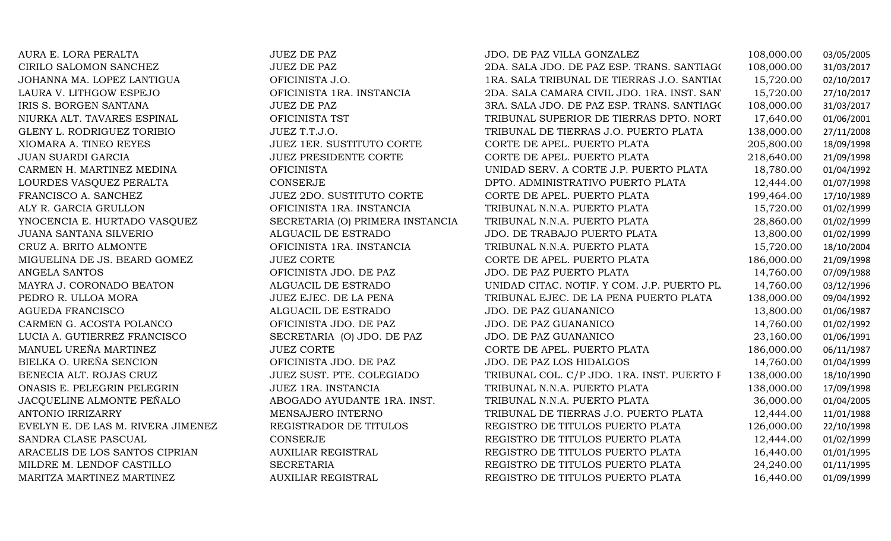| AURA E. LORA PERALTA               | <b>JUEZ DE PAZ</b>               | JDO. DE PAZ VILLA GONZALEZ                  | 108,000.00 | 03/05/2005 |
|------------------------------------|----------------------------------|---------------------------------------------|------------|------------|
| CIRILO SALOMON SANCHEZ             | <b>JUEZ DE PAZ</b>               | 2DA. SALA JDO. DE PAZ ESP. TRANS. SANTIAGO  | 108,000.00 | 31/03/2017 |
| JOHANNA MA. LOPEZ LANTIGUA         | OFICINISTA J.O.                  | 1RA. SALA TRIBUNAL DE TIERRAS J.O. SANTIAC  | 15,720.00  | 02/10/2017 |
| LAURA V. LITHGOW ESPEJO            | OFICINISTA 1RA. INSTANCIA        | 2DA. SALA CAMARA CIVIL JDO. 1RA. INST. SAN' | 15,720.00  | 27/10/2017 |
| IRIS S. BORGEN SANTANA             | <b>JUEZ DE PAZ</b>               | 3RA. SALA JDO. DE PAZ ESP. TRANS. SANTIAGO  | 108,000.00 | 31/03/2017 |
| NIURKA ALT. TAVARES ESPINAL        | OFICINISTA TST                   | TRIBUNAL SUPERIOR DE TIERRAS DPTO. NORT     | 17,640.00  | 01/06/2001 |
| GLENY L. RODRIGUEZ TORIBIO         | JUEZ T.T.J.O.                    | TRIBUNAL DE TIERRAS J.O. PUERTO PLATA       | 138,000.00 | 27/11/2008 |
| XIOMARA A. TINEO REYES             | JUEZ 1ER. SUSTITUTO CORTE        | CORTE DE APEL. PUERTO PLATA                 | 205,800.00 | 18/09/1998 |
| JUAN SUARDI GARCIA                 | <b>JUEZ PRESIDENTE CORTE</b>     | CORTE DE APEL. PUERTO PLATA                 | 218,640.00 | 21/09/1998 |
| CARMEN H. MARTINEZ MEDINA          | <b>OFICINISTA</b>                | UNIDAD SERV. A CORTE J.P. PUERTO PLATA      | 18,780.00  | 01/04/1992 |
| LOURDES VASQUEZ PERALTA            | <b>CONSERJE</b>                  | DPTO. ADMINISTRATIVO PUERTO PLATA           | 12,444.00  | 01/07/1998 |
| FRANCISCO A. SANCHEZ               | JUEZ 2DO. SUSTITUTO CORTE        | CORTE DE APEL. PUERTO PLATA                 | 199,464.00 | 17/10/1989 |
| ALY R. GARCIA GRULLON              | OFICINISTA 1RA. INSTANCIA        | TRIBUNAL N.N.A. PUERTO PLATA                | 15,720.00  | 01/02/1999 |
| YNOCENCIA E. HURTADO VASQUEZ       | SECRETARIA (O) PRIMERA INSTANCIA | TRIBUNAL N.N.A. PUERTO PLATA                | 28,860.00  | 01/02/1999 |
| JUANA SANTANA SILVERIO             | ALGUACIL DE ESTRADO              | JDO. DE TRABAJO PUERTO PLATA                | 13,800.00  | 01/02/1999 |
| CRUZ A. BRITO ALMONTE              | OFICINISTA 1RA. INSTANCIA        | TRIBUNAL N.N.A. PUERTO PLATA                | 15,720.00  | 18/10/2004 |
| MIGUELINA DE JS. BEARD GOMEZ       | <b>JUEZ CORTE</b>                | CORTE DE APEL. PUERTO PLATA                 | 186,000.00 | 21/09/1998 |
| ANGELA SANTOS                      | OFICINISTA JDO. DE PAZ           | JDO. DE PAZ PUERTO PLATA                    | 14,760.00  | 07/09/1988 |
| MAYRA J. CORONADO BEATON           | ALGUACIL DE ESTRADO              | UNIDAD CITAC. NOTIF. Y COM. J.P. PUERTO PL. | 14,760.00  | 03/12/1996 |
| PEDRO R. ULLOA MORA                | JUEZ EJEC. DE LA PENA            | TRIBUNAL EJEC. DE LA PENA PUERTO PLATA      | 138,000.00 | 09/04/1992 |
| <b>AGUEDA FRANCISCO</b>            | ALGUACIL DE ESTRADO              | JDO. DE PAZ GUANANICO                       | 13,800.00  | 01/06/1987 |
| CARMEN G. ACOSTA POLANCO           | OFICINISTA JDO. DE PAZ           | JDO. DE PAZ GUANANICO                       | 14,760.00  | 01/02/1992 |
| LUCIA A. GUTIERREZ FRANCISCO       | SECRETARIA (O) JDO. DE PAZ       | JDO. DE PAZ GUANANICO                       | 23,160.00  | 01/06/1991 |
| MANUEL UREÑA MARTINEZ              | <b>JUEZ CORTE</b>                | CORTE DE APEL. PUERTO PLATA                 | 186,000.00 | 06/11/1987 |
| BIELKA O. UREÑA SENCION            | OFICINISTA JDO. DE PAZ           | JDO. DE PAZ LOS HIDALGOS                    | 14,760.00  | 01/04/1999 |
| BENECIA ALT. ROJAS CRUZ            | JUEZ SUST. PTE. COLEGIADO        | TRIBUNAL COL. C/P JDO. 1RA. INST. PUERTO F  | 138,000.00 | 18/10/1990 |
| ONASIS E. PELEGRIN PELEGRIN        | JUEZ 1RA. INSTANCIA              | TRIBUNAL N.N.A. PUERTO PLATA                | 138,000.00 | 17/09/1998 |
| JACQUELINE ALMONTE PEÑALO          | ABOGADO AYUDANTE 1RA. INST.      | TRIBUNAL N.N.A. PUERTO PLATA                | 36,000.00  | 01/04/2005 |
| <b>ANTONIO IRRIZARRY</b>           | MENSAJERO INTERNO                | TRIBUNAL DE TIERRAS J.O. PUERTO PLATA       | 12,444.00  | 11/01/1988 |
| EVELYN E. DE LAS M. RIVERA JIMENEZ | REGISTRADOR DE TITULOS           | REGISTRO DE TITULOS PUERTO PLATA            | 126,000.00 | 22/10/1998 |
| SANDRA CLASE PASCUAL               | CONSERJE                         | REGISTRO DE TITULOS PUERTO PLATA            | 12,444.00  | 01/02/1999 |
| ARACELIS DE LOS SANTOS CIPRIAN     | <b>AUXILIAR REGISTRAL</b>        | REGISTRO DE TITULOS PUERTO PLATA            | 16,440.00  | 01/01/1995 |
| MILDRE M. LENDOF CASTILLO          | <b>SECRETARIA</b>                | REGISTRO DE TITULOS PUERTO PLATA            | 24,240.00  | 01/11/1995 |
| MARITZA MARTINEZ MARTINEZ          | <b>AUXILIAR REGISTRAL</b>        | REGISTRO DE TITULOS PUERTO PLATA            | 16,440.00  | 01/09/1999 |
|                                    |                                  |                                             |            |            |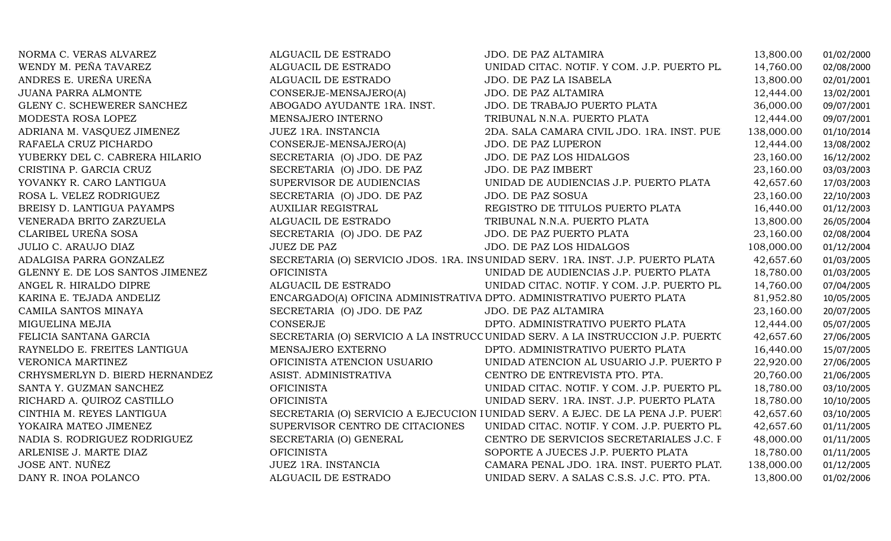| NORMA C. VERAS ALVAREZ          | ALGUACIL DE ESTRADO             | JDO. DE PAZ ALTAMIRA                                                             | 13,800.00  | 01/02/2000 |
|---------------------------------|---------------------------------|----------------------------------------------------------------------------------|------------|------------|
| WENDY M. PEÑA TAVAREZ           | ALGUACIL DE ESTRADO             | UNIDAD CITAC. NOTIF. Y COM. J.P. PUERTO PL.                                      | 14,760.00  | 02/08/2000 |
| ANDRES E. UREÑA UREÑA           | ALGUACIL DE ESTRADO             | JDO. DE PAZ LA ISABELA                                                           | 13,800.00  | 02/01/2001 |
| <b>JUANA PARRA ALMONTE</b>      | CONSERJE-MENSAJERO(A)           | JDO. DE PAZ ALTAMIRA                                                             | 12,444.00  | 13/02/2001 |
| GLENY C. SCHEWERER SANCHEZ      | ABOGADO AYUDANTE 1RA. INST.     | JDO. DE TRABAJO PUERTO PLATA                                                     | 36,000.00  | 09/07/2001 |
| MODESTA ROSA LOPEZ              | MENSAJERO INTERNO               | TRIBUNAL N.N.A. PUERTO PLATA                                                     | 12,444.00  | 09/07/2001 |
| ADRIANA M. VASQUEZ JIMENEZ      | JUEZ 1RA. INSTANCIA             | 2DA. SALA CAMARA CIVIL JDO. 1RA. INST. PUE                                       | 138,000.00 | 01/10/2014 |
| RAFAELA CRUZ PICHARDO           | CONSERJE-MENSAJERO(A)           | JDO. DE PAZ LUPERON                                                              | 12,444.00  | 13/08/2002 |
| YUBERKY DEL C. CABRERA HILARIO  | SECRETARIA (O) JDO. DE PAZ      | JDO. DE PAZ LOS HIDALGOS                                                         | 23,160.00  | 16/12/2002 |
| CRISTINA P. GARCIA CRUZ         | SECRETARIA (O) JDO. DE PAZ      | JDO. DE PAZ IMBERT                                                               | 23,160.00  | 03/03/2003 |
| YOVANKY R. CARO LANTIGUA        | SUPERVISOR DE AUDIENCIAS        | UNIDAD DE AUDIENCIAS J.P. PUERTO PLATA                                           | 42,657.60  | 17/03/2003 |
| ROSA L. VELEZ RODRIGUEZ         | SECRETARIA (O) JDO. DE PAZ      | JDO. DE PAZ SOSUA                                                                | 23,160.00  | 22/10/2003 |
| BREISY D. LANTIGUA PAYAMPS      | <b>AUXILIAR REGISTRAL</b>       | REGISTRO DE TITULOS PUERTO PLATA                                                 | 16,440.00  | 01/12/2003 |
| VENERADA BRITO ZARZUELA         | ALGUACIL DE ESTRADO             | TRIBUNAL N.N.A. PUERTO PLATA                                                     | 13,800.00  | 26/05/2004 |
| CLARIBEL UREÑA SOSA             | SECRETARIA (O) JDO. DE PAZ      | JDO. DE PAZ PUERTO PLATA                                                         | 23,160.00  | 02/08/2004 |
| <b>JULIO C. ARAUJO DIAZ</b>     | <b>JUEZ DE PAZ</b>              | JDO. DE PAZ LOS HIDALGOS                                                         | 108,000.00 | 01/12/2004 |
| ADALGISA PARRA GONZALEZ         |                                 | SECRETARIA (O) SERVICIO JDOS. 1RA. INSUNIDAD SERV. 1RA. INST. J.P. PUERTO PLATA  | 42,657.60  | 01/03/2005 |
| GLENNY E. DE LOS SANTOS JIMENEZ | <b>OFICINISTA</b>               | UNIDAD DE AUDIENCIAS J.P. PUERTO PLATA                                           | 18,780.00  | 01/03/2005 |
| ANGEL R. HIRALDO DIPRE          | ALGUACIL DE ESTRADO             | UNIDAD CITAC. NOTIF. Y COM. J.P. PUERTO PL.                                      | 14,760.00  | 07/04/2005 |
| KARINA E. TEJADA ANDELIZ        |                                 | ENCARGADO(A) OFICINA ADMINISTRATIVA DPTO. ADMINISTRATIVO PUERTO PLATA            | 81,952.80  | 10/05/2005 |
| CAMILA SANTOS MINAYA            | SECRETARIA (O) JDO. DE PAZ      | JDO. DE PAZ ALTAMIRA                                                             | 23,160.00  | 20/07/2005 |
| MIGUELINA MEJIA                 | <b>CONSERJE</b>                 | DPTO. ADMINISTRATIVO PUERTO PLATA                                                | 12,444.00  | 05/07/2005 |
| FELICIA SANTANA GARCIA          |                                 | SECRETARIA (O) SERVICIO A LA INSTRUCC UNIDAD SERV. A LA INSTRUCCION J.P. PUERTO  | 42,657.60  | 27/06/2005 |
| RAYNELDO E. FREITES LANTIGUA    | MENSAJERO EXTERNO               | DPTO. ADMINISTRATIVO PUERTO PLATA                                                | 16,440.00  | 15/07/2005 |
| VERONICA MARTINEZ               | OFICINISTA ATENCION USUARIO     | UNIDAD ATENCION AL USUARIO J.P. PUERTO P                                         | 22,920.00  | 27/06/2005 |
| CRHYSMERLYN D. BIERD HERNANDEZ  | ASIST. ADMINISTRATIVA           | CENTRO DE ENTREVISTA PTO. PTA.                                                   | 20,760.00  | 21/06/2005 |
| SANTA Y. GUZMAN SANCHEZ         | <b>OFICINISTA</b>               | UNIDAD CITAC. NOTIF. Y COM. J.P. PUERTO PL.                                      | 18,780.00  | 03/10/2005 |
| RICHARD A. QUIROZ CASTILLO      | <b>OFICINISTA</b>               | UNIDAD SERV. 1RA. INST. J.P. PUERTO PLATA                                        | 18,780.00  | 10/10/2005 |
| CINTHIA M. REYES LANTIGUA       |                                 | SECRETARIA (O) SERVICIO A EJECUCION I UNIDAD SERV. A EJEC. DE LA PENA J.P. PUERT | 42,657.60  | 03/10/2005 |
| YOKAIRA MATEO JIMENEZ           | SUPERVISOR CENTRO DE CITACIONES | UNIDAD CITAC. NOTIF. Y COM. J.P. PUERTO PL.                                      | 42,657.60  | 01/11/2005 |
| NADIA S. RODRIGUEZ RODRIGUEZ    | SECRETARIA (O) GENERAL          | CENTRO DE SERVICIOS SECRETARIALES J.C. F                                         | 48,000.00  | 01/11/2005 |
| ARLENISE J. MARTE DIAZ          | <b>OFICINISTA</b>               | SOPORTE A JUECES J.P. PUERTO PLATA                                               | 18,780.00  | 01/11/2005 |
| JOSE ANT. NUÑEZ                 | JUEZ 1RA. INSTANCIA             | CAMARA PENAL JDO. 1RA. INST. PUERTO PLAT.                                        | 138,000.00 | 01/12/2005 |
| DANY R. INOA POLANCO            | ALGUACIL DE ESTRADO             | UNIDAD SERV. A SALAS C.S.S. J.C. PTO. PTA.                                       | 13,800.00  | 01/02/2006 |
|                                 |                                 |                                                                                  |            |            |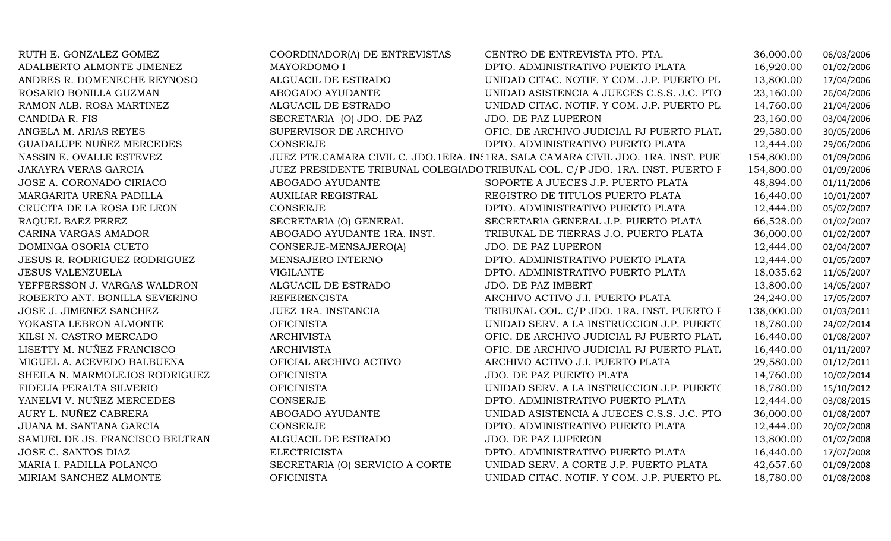| RUTH E. GONZALEZ GOMEZ              | COORDINADOR(A) DE ENTREVISTAS   | CENTRO DE ENTREVISTA PTO. PTA.                                                     | 36,000.00  | 06/03/2006 |
|-------------------------------------|---------------------------------|------------------------------------------------------------------------------------|------------|------------|
| ADALBERTO ALMONTE JIMENEZ           | MAYORDOMO I                     | DPTO. ADMINISTRATIVO PUERTO PLATA                                                  | 16,920.00  | 01/02/2006 |
| ANDRES R. DOMENECHE REYNOSO         | ALGUACIL DE ESTRADO             | UNIDAD CITAC. NOTIF. Y COM. J.P. PUERTO PL.                                        | 13,800.00  | 17/04/2006 |
| ROSARIO BONILLA GUZMAN              | ABOGADO AYUDANTE                | UNIDAD ASISTENCIA A JUECES C.S.S. J.C. PTO                                         | 23,160.00  | 26/04/2006 |
| RAMON ALB. ROSA MARTINEZ            | ALGUACIL DE ESTRADO             | UNIDAD CITAC. NOTIF. Y COM. J.P. PUERTO PL.                                        | 14,760.00  | 21/04/2006 |
| CANDIDA R. FIS                      | SECRETARIA (O) JDO. DE PAZ      | JDO. DE PAZ LUPERON                                                                | 23,160.00  | 03/04/2006 |
| ANGELA M. ARIAS REYES               | SUPERVISOR DE ARCHIVO           | OFIC. DE ARCHIVO JUDICIAL PJ PUERTO PLAT.                                          | 29,580.00  | 30/05/2006 |
| GUADALUPE NUÑEZ MERCEDES            | CONSERJE                        | DPTO. ADMINISTRATIVO PUERTO PLATA                                                  | 12,444.00  | 29/06/2006 |
| NASSIN E. OVALLE ESTEVEZ            |                                 | JUEZ PTE.CAMARA CIVIL C. JDO.1ERA. IN: 1RA. SALA CAMARA CIVIL JDO. 1RA. INST. PUEJ | 154,800.00 | 01/09/2006 |
| <b>JAKAYRA VERAS GARCIA</b>         |                                 | JUEZ PRESIDENTE TRIBUNAL COLEGIADO TRIBUNAL COL. C/P JDO. 1RA. INST. PUERTO F      | 154,800.00 | 01/09/2006 |
| JOSE A. CORONADO CIRIACO            | ABOGADO AYUDANTE                | SOPORTE A JUECES J.P. PUERTO PLATA                                                 | 48,894.00  | 01/11/2006 |
| MARGARITA UREÑA PADILLA             | <b>AUXILIAR REGISTRAL</b>       | REGISTRO DE TITULOS PUERTO PLATA                                                   | 16,440.00  | 10/01/2007 |
| CRUCITA DE LA ROSA DE LEON          | <b>CONSERJE</b>                 | DPTO. ADMINISTRATIVO PUERTO PLATA                                                  | 12,444.00  | 05/02/2007 |
| RAQUEL BAEZ PEREZ                   | SECRETARIA (O) GENERAL          | SECRETARIA GENERAL J.P. PUERTO PLATA                                               | 66,528.00  | 01/02/2007 |
| CARINA VARGAS AMADOR                | ABOGADO AYUDANTE 1RA. INST.     | TRIBUNAL DE TIERRAS J.O. PUERTO PLATA                                              | 36,000.00  | 01/02/2007 |
| DOMINGA OSORIA CUETO                | CONSERJE-MENSAJERO(A)           | JDO. DE PAZ LUPERON                                                                | 12,444.00  | 02/04/2007 |
| <b>JESUS R. RODRIGUEZ RODRIGUEZ</b> | MENSAJERO INTERNO               | DPTO. ADMINISTRATIVO PUERTO PLATA                                                  | 12,444.00  | 01/05/2007 |
| <b>JESUS VALENZUELA</b>             | <b>VIGILANTE</b>                | DPTO. ADMINISTRATIVO PUERTO PLATA                                                  | 18,035.62  | 11/05/2007 |
| YEFFERSSON J. VARGAS WALDRON        | ALGUACIL DE ESTRADO             | JDO. DE PAZ IMBERT                                                                 | 13,800.00  | 14/05/2007 |
| ROBERTO ANT. BONILLA SEVERINO       | <b>REFERENCISTA</b>             | ARCHIVO ACTIVO J.I. PUERTO PLATA                                                   | 24,240.00  | 17/05/2007 |
| JOSE J. JIMENEZ SANCHEZ             | JUEZ 1RA. INSTANCIA             | TRIBUNAL COL. C/P JDO. 1RA. INST. PUERTO F                                         | 138,000.00 | 01/03/2011 |
| YOKASTA LEBRON ALMONTE              | <b>OFICINISTA</b>               | UNIDAD SERV. A LA INSTRUCCION J.P. PUERTO                                          | 18,780.00  | 24/02/2014 |
| KILSI N. CASTRO MERCADO             | <b>ARCHIVISTA</b>               | OFIC. DE ARCHIVO JUDICIAL PJ PUERTO PLAT.                                          | 16,440.00  | 01/08/2007 |
| LISETTY M. NUÑEZ FRANCISCO          | <b>ARCHIVISTA</b>               | OFIC. DE ARCHIVO JUDICIAL PJ PUERTO PLAT.                                          | 16,440.00  | 01/11/2007 |
| MIGUEL A. ACEVEDO BALBUENA          | OFICIAL ARCHIVO ACTIVO          | ARCHIVO ACTIVO J.I. PUERTO PLATA                                                   | 29,580.00  | 01/12/2011 |
| SHEILA N. MARMOLEJOS RODRIGUEZ      | <b>OFICINISTA</b>               | JDO. DE PAZ PUERTO PLATA                                                           | 14,760.00  | 10/02/2014 |
| FIDELIA PERALTA SILVERIO            | <b>OFICINISTA</b>               | UNIDAD SERV. A LA INSTRUCCION J.P. PUERTO                                          | 18,780.00  | 15/10/2012 |
| YANELVI V. NUÑEZ MERCEDES           | CONSERJE                        | DPTO. ADMINISTRATIVO PUERTO PLATA                                                  | 12,444.00  | 03/08/2015 |
| AURY L. NUÑEZ CABRERA               | ABOGADO AYUDANTE                | UNIDAD ASISTENCIA A JUECES C.S.S. J.C. PTO                                         | 36,000.00  | 01/08/2007 |
| JUANA M. SANTANA GARCIA             | <b>CONSERJE</b>                 | DPTO. ADMINISTRATIVO PUERTO PLATA                                                  | 12,444.00  | 20/02/2008 |
| SAMUEL DE JS. FRANCISCO BELTRAN     | ALGUACIL DE ESTRADO             | JDO. DE PAZ LUPERON                                                                | 13,800.00  | 01/02/2008 |
| JOSE C. SANTOS DIAZ                 | <b>ELECTRICISTA</b>             | DPTO. ADMINISTRATIVO PUERTO PLATA                                                  | 16,440.00  | 17/07/2008 |
| MARIA I. PADILLA POLANCO            | SECRETARIA (O) SERVICIO A CORTE | UNIDAD SERV. A CORTE J.P. PUERTO PLATA                                             | 42,657.60  | 01/09/2008 |
| MIRIAM SANCHEZ ALMONTE              | <b>OFICINISTA</b>               | UNIDAD CITAC. NOTIF. Y COM. J.P. PUERTO PL.                                        | 18,780.00  | 01/08/2008 |
|                                     |                                 |                                                                                    |            |            |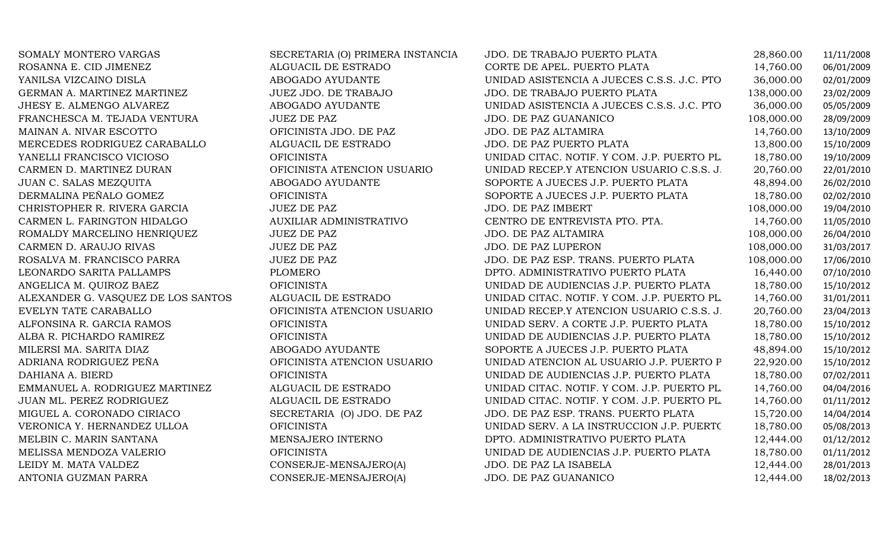| SOMALY MONTERO VARGAS              | SECRETARIA (O) PRIMERA INSTANCIA | JDO. DE TRABAJO PUERTO PLATA                | 28,860.00  | 11/11/2008 |
|------------------------------------|----------------------------------|---------------------------------------------|------------|------------|
| ROSANNA E. CID JIMENEZ             | ALGUACIL DE ESTRADO              | CORTE DE APEL. PUERTO PLATA                 | 14,760.00  | 06/01/2009 |
| YANILSA VIZCAINO DISLA             | ABOGADO AYUDANTE                 | UNIDAD ASISTENCIA A JUECES C.S.S. J.C. PTO  | 36,000.00  | 02/01/2009 |
| GERMAN A. MARTINEZ MARTINEZ        | JUEZ JDO. DE TRABAJO             | JDO. DE TRABAJO PUERTO PLATA                | 138,000.00 | 23/02/2009 |
| JHESY E. ALMENGO ALVAREZ           | ABOGADO AYUDANTE                 | UNIDAD ASISTENCIA A JUECES C.S.S. J.C. PTO  | 36,000.00  | 05/05/2009 |
| FRANCHESCA M. TEJADA VENTURA       | <b>JUEZ DE PAZ</b>               | <b>JDO. DE PAZ GUANANICO</b>                | 108,000.00 | 28/09/2009 |
| MAINAN A. NIVAR ESCOTTO            | OFICINISTA JDO. DE PAZ           | JDO. DE PAZ ALTAMIRA                        | 14,760.00  | 13/10/2009 |
| MERCEDES RODRIGUEZ CARABALLO       | ALGUACIL DE ESTRADO              | JDO. DE PAZ PUERTO PLATA                    | 13,800.00  | 15/10/2009 |
| YANELLI FRANCISCO VICIOSO          | <b>OFICINISTA</b>                | UNIDAD CITAC. NOTIF. Y COM. J.P. PUERTO PL. | 18,780.00  | 19/10/2009 |
| CARMEN D. MARTINEZ DURAN           | OFICINISTA ATENCION USUARIO      | UNIDAD RECEP.Y ATENCION USUARIO C.S.S. J.   | 20,760.00  | 22/01/2010 |
| JUAN C. SALAS MEZQUITA             | ABOGADO AYUDANTE                 | SOPORTE A JUECES J.P. PUERTO PLATA          | 48,894.00  | 26/02/2010 |
| DERMALINA PEÑALO GOMEZ             | <b>OFICINISTA</b>                | SOPORTE A JUECES J.P. PUERTO PLATA          | 18,780.00  | 02/02/2010 |
| CHRISTOPHER R. RIVERA GARCIA       | <b>JUEZ DE PAZ</b>               | JDO. DE PAZ IMBERT                          | 108,000.00 | 19/04/2010 |
| CARMEN L. FARINGTON HIDALGO        | <b>AUXILIAR ADMINISTRATIVO</b>   | CENTRO DE ENTREVISTA PTO. PTA.              | 14,760.00  | 11/05/2010 |
| ROMALDY MARCELINO HENRIQUEZ        | <b>JUEZ DE PAZ</b>               | JDO. DE PAZ ALTAMIRA                        | 108,000.00 | 26/04/2010 |
| CARMEN D. ARAUJO RIVAS             | <b>JUEZ DE PAZ</b>               | JDO. DE PAZ LUPERON                         | 108,000.00 | 31/03/2017 |
| ROSALVA M. FRANCISCO PARRA         | <b>JUEZ DE PAZ</b>               | JDO. DE PAZ ESP. TRANS. PUERTO PLATA        | 108,000.00 | 17/06/2010 |
| LEONARDO SARITA PALLAMPS           | <b>PLOMERO</b>                   | DPTO. ADMINISTRATIVO PUERTO PLATA           | 16,440.00  | 07/10/2010 |
| ANGELICA M. QUIROZ BAEZ            | <b>OFICINISTA</b>                | UNIDAD DE AUDIENCIAS J.P. PUERTO PLATA      | 18,780.00  | 15/10/2012 |
| ALEXANDER G. VASQUEZ DE LOS SANTOS | ALGUACIL DE ESTRADO              | UNIDAD CITAC. NOTIF. Y COM. J.P. PUERTO PL. | 14,760.00  | 31/01/2011 |
| EVELYN TATE CARABALLO              | OFICINISTA ATENCION USUARIO      | UNIDAD RECEP.Y ATENCION USUARIO C.S.S. J.   | 20,760.00  | 23/04/2013 |
| ALFONSINA R. GARCIA RAMOS          | <b>OFICINISTA</b>                | UNIDAD SERV. A CORTE J.P. PUERTO PLATA      | 18,780.00  | 15/10/2012 |
| ALBA R. PICHARDO RAMIREZ           | <b>OFICINISTA</b>                | UNIDAD DE AUDIENCIAS J.P. PUERTO PLATA      | 18,780.00  | 15/10/2012 |
| MILERSI MA. SARITA DIAZ            | ABOGADO AYUDANTE                 | SOPORTE A JUECES J.P. PUERTO PLATA          | 48,894.00  | 15/10/2012 |
| ADRIANA RODRIGUEZ PEÑA             | OFICINISTA ATENCION USUARIO      | UNIDAD ATENCION AL USUARIO J.P. PUERTO P    | 22,920.00  | 15/10/2012 |
| DAHIANA A. BIERD                   | <b>OFICINISTA</b>                | UNIDAD DE AUDIENCIAS J.P. PUERTO PLATA      | 18,780.00  | 07/02/2011 |
| EMMANUEL A. RODRIGUEZ MARTINEZ     | ALGUACIL DE ESTRADO              | UNIDAD CITAC. NOTIF. Y COM. J.P. PUERTO PL. | 14,760.00  | 04/04/2016 |
| JUAN ML. PEREZ RODRIGUEZ           | ALGUACIL DE ESTRADO              | UNIDAD CITAC. NOTIF. Y COM. J.P. PUERTO PL. | 14,760.00  | 01/11/2012 |
| MIGUEL A. CORONADO CIRIACO         | SECRETARIA (O) JDO. DE PAZ       | JDO. DE PAZ ESP. TRANS. PUERTO PLATA        | 15,720.00  | 14/04/2014 |
| VERONICA Y. HERNANDEZ ULLOA        | <b>OFICINISTA</b>                | UNIDAD SERV. A LA INSTRUCCION J.P. PUERTO   | 18,780.00  | 05/08/2013 |
| MELBIN C. MARIN SANTANA            | MENSAJERO INTERNO                | DPTO. ADMINISTRATIVO PUERTO PLATA           | 12,444.00  | 01/12/2012 |
| MELISSA MENDOZA VALERIO            | <b>OFICINISTA</b>                | UNIDAD DE AUDIENCIAS J.P. PUERTO PLATA      | 18,780.00  | 01/11/2012 |
| LEIDY M. MATA VALDEZ               | CONSERJE-MENSAJERO(A)            | JDO. DE PAZ LA ISABELA                      | 12,444.00  | 28/01/2013 |
| ANTONIA GUZMAN PARRA               | CONSERJE-MENSAJERO(A)            | JDO. DE PAZ GUANANICO                       | 12,444.00  | 18/02/2013 |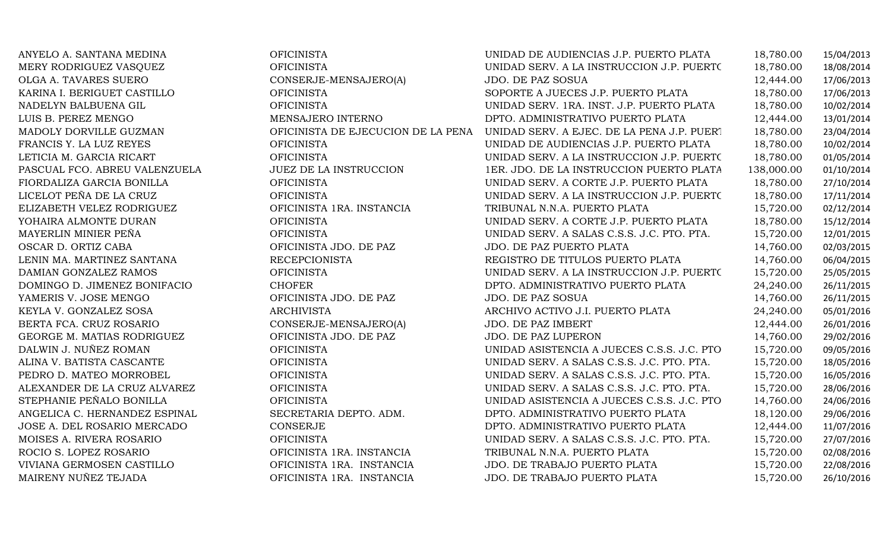| ANYELO A. SANTANA MEDINA      | <b>OFICINISTA</b>                  | UNIDAD DE AUDIENCIAS J.P. PUERTO PLATA     | 18,780.00  | 15/04/2013 |
|-------------------------------|------------------------------------|--------------------------------------------|------------|------------|
| MERY RODRIGUEZ VASQUEZ        | <b>OFICINISTA</b>                  | UNIDAD SERV. A LA INSTRUCCION J.P. PUERTO  | 18,780.00  | 18/08/2014 |
| OLGA A. TAVARES SUERO         | CONSERJE-MENSAJERO(A)              | JDO. DE PAZ SOSUA                          | 12,444.00  | 17/06/2013 |
| KARINA I. BERIGUET CASTILLO   | <b>OFICINISTA</b>                  | SOPORTE A JUECES J.P. PUERTO PLATA         | 18,780.00  | 17/06/2013 |
| NADELYN BALBUENA GIL          | <b>OFICINISTA</b>                  | UNIDAD SERV. 1RA. INST. J.P. PUERTO PLATA  | 18,780.00  | 10/02/2014 |
| LUIS B. PEREZ MENGO           | MENSAJERO INTERNO                  | DPTO. ADMINISTRATIVO PUERTO PLATA          | 12,444.00  | 13/01/2014 |
| MADOLY DORVILLE GUZMAN        | OFICINISTA DE EJECUCION DE LA PENA | UNIDAD SERV. A EJEC. DE LA PENA J.P. PUERT | 18,780.00  | 23/04/2014 |
| FRANCIS Y. LA LUZ REYES       | <b>OFICINISTA</b>                  | UNIDAD DE AUDIENCIAS J.P. PUERTO PLATA     | 18,780.00  | 10/02/2014 |
| LETICIA M. GARCIA RICART      | <b>OFICINISTA</b>                  | UNIDAD SERV. A LA INSTRUCCION J.P. PUERTO  | 18,780.00  | 01/05/2014 |
| PASCUAL FCO. ABREU VALENZUELA | JUEZ DE LA INSTRUCCION             | 1ER. JDO. DE LA INSTRUCCION PUERTO PLATA   | 138,000.00 | 01/10/2014 |
| FIORDALIZA GARCIA BONILLA     | <b>OFICINISTA</b>                  | UNIDAD SERV. A CORTE J.P. PUERTO PLATA     | 18,780.00  | 27/10/2014 |
| LICELOT PEÑA DE LA CRUZ       | <b>OFICINISTA</b>                  | UNIDAD SERV. A LA INSTRUCCION J.P. PUERTO  | 18,780.00  | 17/11/2014 |
| ELIZABETH VELEZ RODRIGUEZ     | OFICINISTA 1RA. INSTANCIA          | TRIBUNAL N.N.A. PUERTO PLATA               | 15,720.00  | 02/12/2014 |
| YOHAIRA ALMONTE DURAN         | <b>OFICINISTA</b>                  | UNIDAD SERV. A CORTE J.P. PUERTO PLATA     | 18,780.00  | 15/12/2014 |
| MAYERLIN MINIER PEÑA          | <b>OFICINISTA</b>                  | UNIDAD SERV. A SALAS C.S.S. J.C. PTO. PTA. | 15,720.00  | 12/01/2015 |
| OSCAR D. ORTIZ CABA           | OFICINISTA JDO. DE PAZ             | JDO. DE PAZ PUERTO PLATA                   | 14,760.00  | 02/03/2015 |
| LENIN MA. MARTINEZ SANTANA    | <b>RECEPCIONISTA</b>               | REGISTRO DE TITULOS PUERTO PLATA           | 14,760.00  | 06/04/2015 |
| DAMIAN GONZALEZ RAMOS         | <b>OFICINISTA</b>                  | UNIDAD SERV. A LA INSTRUCCION J.P. PUERTO  | 15,720.00  | 25/05/2015 |
| DOMINGO D. JIMENEZ BONIFACIO  | <b>CHOFER</b>                      | DPTO. ADMINISTRATIVO PUERTO PLATA          | 24,240.00  | 26/11/2015 |
| YAMERIS V. JOSE MENGO         | OFICINISTA JDO. DE PAZ             | JDO. DE PAZ SOSUA                          | 14,760.00  | 26/11/2015 |
| KEYLA V. GONZALEZ SOSA        | <b>ARCHIVISTA</b>                  | ARCHIVO ACTIVO J.I. PUERTO PLATA           | 24,240.00  | 05/01/2016 |
| BERTA FCA. CRUZ ROSARIO       | CONSERJE-MENSAJERO(A)              | JDO. DE PAZ IMBERT                         | 12,444.00  | 26/01/2016 |
| GEORGE M. MATIAS RODRIGUEZ    | OFICINISTA JDO. DE PAZ             | JDO. DE PAZ LUPERON                        | 14,760.00  | 29/02/2016 |
| DALWIN J. NUÑEZ ROMAN         | <b>OFICINISTA</b>                  | UNIDAD ASISTENCIA A JUECES C.S.S. J.C. PTO | 15,720.00  | 09/05/2016 |
| ALINA V. BATISTA CASCANTE     | <b>OFICINISTA</b>                  | UNIDAD SERV. A SALAS C.S.S. J.C. PTO. PTA. | 15,720.00  | 18/05/2016 |
| PEDRO D. MATEO MORROBEL       | <b>OFICINISTA</b>                  | UNIDAD SERV. A SALAS C.S.S. J.C. PTO. PTA. | 15,720.00  | 16/05/2016 |
| ALEXANDER DE LA CRUZ ALVAREZ  | <b>OFICINISTA</b>                  | UNIDAD SERV. A SALAS C.S.S. J.C. PTO. PTA. | 15,720.00  | 28/06/2016 |
| STEPHANIE PEÑALO BONILLA      | <b>OFICINISTA</b>                  | UNIDAD ASISTENCIA A JUECES C.S.S. J.C. PTO | 14,760.00  | 24/06/2016 |
| ANGELICA C. HERNANDEZ ESPINAL | SECRETARIA DEPTO. ADM.             | DPTO. ADMINISTRATIVO PUERTO PLATA          | 18,120.00  | 29/06/2016 |
| JOSE A. DEL ROSARIO MERCADO   | CONSERJE                           | DPTO. ADMINISTRATIVO PUERTO PLATA          | 12,444.00  | 11/07/2016 |
| MOISES A. RIVERA ROSARIO      | <b>OFICINISTA</b>                  | UNIDAD SERV. A SALAS C.S.S. J.C. PTO. PTA. | 15,720.00  | 27/07/2016 |
| ROCIO S. LOPEZ ROSARIO        | OFICINISTA 1RA. INSTANCIA          | TRIBUNAL N.N.A. PUERTO PLATA               | 15,720.00  | 02/08/2016 |
| VIVIANA GERMOSEN CASTILLO     | OFICINISTA 1RA. INSTANCIA          | JDO. DE TRABAJO PUERTO PLATA               | 15,720.00  | 22/08/2016 |
| MAIRENY NUÑEZ TEJADA          | OFICINISTA 1RA. INSTANCIA          | JDO. DE TRABAJO PUERTO PLATA               | 15,720.00  | 26/10/2016 |
|                               |                                    |                                            |            |            |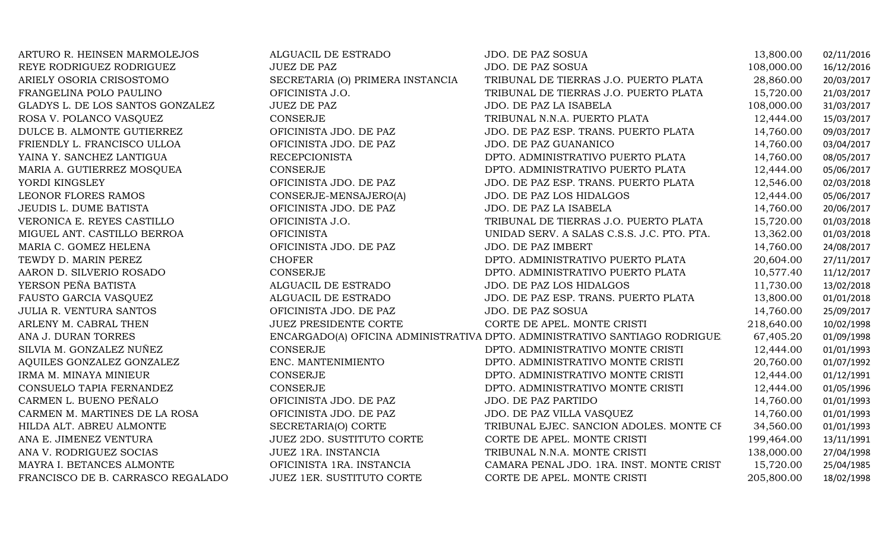| ARTURO R. HEINSEN MARMOLEJOS      | ALGUACIL DE ESTRADO              | JDO. DE PAZ SOSUA                                                          | 13,800.00  | 02/11/2016 |
|-----------------------------------|----------------------------------|----------------------------------------------------------------------------|------------|------------|
| REYE RODRIGUEZ RODRIGUEZ          | <b>JUEZ DE PAZ</b>               | <b>JDO. DE PAZ SOSUA</b>                                                   | 108,000.00 | 16/12/2016 |
| ARIELY OSORIA CRISOSTOMO          | SECRETARIA (O) PRIMERA INSTANCIA | TRIBUNAL DE TIERRAS J.O. PUERTO PLATA                                      | 28,860.00  | 20/03/2017 |
| FRANGELINA POLO PAULINO           | OFICINISTA J.O.                  | TRIBUNAL DE TIERRAS J.O. PUERTO PLATA                                      | 15,720.00  | 21/03/2017 |
| GLADYS L. DE LOS SANTOS GONZALEZ  | <b>JUEZ DE PAZ</b>               | JDO. DE PAZ LA ISABELA                                                     | 108,000.00 | 31/03/2017 |
| ROSA V. POLANCO VASQUEZ           | <b>CONSERJE</b>                  | TRIBUNAL N.N.A. PUERTO PLATA                                               | 12,444.00  | 15/03/2017 |
| DULCE B. ALMONTE GUTIERREZ        | OFICINISTA JDO. DE PAZ           | JDO. DE PAZ ESP. TRANS. PUERTO PLATA                                       | 14,760.00  | 09/03/2017 |
| FRIENDLY L. FRANCISCO ULLOA       | OFICINISTA JDO. DE PAZ           | JDO. DE PAZ GUANANICO                                                      | 14,760.00  | 03/04/2017 |
| YAINA Y. SANCHEZ LANTIGUA         | <b>RECEPCIONISTA</b>             | DPTO. ADMINISTRATIVO PUERTO PLATA                                          | 14,760.00  | 08/05/2017 |
| MARIA A. GUTIERREZ MOSQUEA        | <b>CONSERJE</b>                  | DPTO. ADMINISTRATIVO PUERTO PLATA                                          | 12,444.00  | 05/06/2017 |
| YORDI KINGSLEY                    | OFICINISTA JDO. DE PAZ           | JDO. DE PAZ ESP. TRANS. PUERTO PLATA                                       | 12,546.00  | 02/03/2018 |
| LEONOR FLORES RAMOS               | CONSERJE-MENSAJERO(A)            | <b>JDO. DE PAZ LOS HIDALGOS</b>                                            | 12,444.00  | 05/06/2017 |
| JEUDIS L. DUME BATISTA            | OFICINISTA JDO. DE PAZ           | JDO. DE PAZ LA ISABELA                                                     | 14,760.00  | 20/06/2017 |
| VERONICA E. REYES CASTILLO        | OFICINISTA J.O.                  | TRIBUNAL DE TIERRAS J.O. PUERTO PLATA                                      | 15,720.00  | 01/03/2018 |
| MIGUEL ANT. CASTILLO BERROA       | <b>OFICINISTA</b>                | UNIDAD SERV. A SALAS C.S.S. J.C. PTO. PTA.                                 | 13,362.00  | 01/03/2018 |
| MARIA C. GOMEZ HELENA             | OFICINISTA JDO. DE PAZ           | JDO. DE PAZ IMBERT                                                         | 14,760.00  | 24/08/2017 |
| TEWDY D. MARIN PEREZ              | <b>CHOFER</b>                    | DPTO. ADMINISTRATIVO PUERTO PLATA                                          | 20,604.00  | 27/11/2017 |
| AARON D. SILVERIO ROSADO          | CONSERJE                         | DPTO. ADMINISTRATIVO PUERTO PLATA                                          | 10,577.40  | 11/12/2017 |
| YERSON PEÑA BATISTA               | ALGUACIL DE ESTRADO              | JDO. DE PAZ LOS HIDALGOS                                                   | 11,730.00  | 13/02/2018 |
| FAUSTO GARCIA VASQUEZ             | ALGUACIL DE ESTRADO              | JDO. DE PAZ ESP. TRANS. PUERTO PLATA                                       | 13,800.00  | 01/01/2018 |
| <b>JULIA R. VENTURA SANTOS</b>    | OFICINISTA JDO. DE PAZ           | JDO. DE PAZ SOSUA                                                          | 14,760.00  | 25/09/2017 |
| ARLENY M. CABRAL THEN             | <b>JUEZ PRESIDENTE CORTE</b>     | CORTE DE APEL. MONTE CRISTI                                                | 218,640.00 | 10/02/1998 |
| ANA J. DURAN TORRES               |                                  | ENCARGADO(A) OFICINA ADMINISTRATIVA DPTO. ADMINISTRATIVO SANTIAGO RODRIGUE | 67,405.20  | 01/09/1998 |
| SILVIA M. GONZALEZ NUÑEZ          | CONSERJE                         | DPTO. ADMINISTRATIVO MONTE CRISTI                                          | 12,444.00  | 01/01/1993 |
| AQUILES GONZALEZ GONZALEZ         | ENC. MANTENIMIENTO               | DPTO. ADMINISTRATIVO MONTE CRISTI                                          | 20,760.00  | 01/07/1992 |
| IRMA M. MINAYA MINIEUR            | <b>CONSERJE</b>                  | DPTO. ADMINISTRATIVO MONTE CRISTI                                          | 12,444.00  | 01/12/1991 |
| CONSUELO TAPIA FERNANDEZ          | <b>CONSERJE</b>                  | DPTO. ADMINISTRATIVO MONTE CRISTI                                          | 12,444.00  | 01/05/1996 |
| CARMEN L. BUENO PEÑALO            | OFICINISTA JDO. DE PAZ           | JDO. DE PAZ PARTIDO                                                        | 14,760.00  | 01/01/1993 |
| CARMEN M. MARTINES DE LA ROSA     | OFICINISTA JDO. DE PAZ           | JDO. DE PAZ VILLA VASQUEZ                                                  | 14,760.00  | 01/01/1993 |
| HILDA ALT. ABREU ALMONTE          | SECRETARIA(O) CORTE              | TRIBUNAL EJEC. SANCION ADOLES. MONTE CF                                    | 34,560.00  | 01/01/1993 |
| ANA E. JIMENEZ VENTURA            | <b>JUEZ 2DO. SUSTITUTO CORTE</b> | CORTE DE APEL. MONTE CRISTI                                                | 199,464.00 | 13/11/1991 |
| ANA V. RODRIGUEZ SOCIAS           | JUEZ 1RA. INSTANCIA              | TRIBUNAL N.N.A. MONTE CRISTI                                               | 138,000.00 | 27/04/1998 |
| MAYRA I. BETANCES ALMONTE         | OFICINISTA 1RA. INSTANCIA        | CAMARA PENAL JDO. 1RA. INST. MONTE CRIST                                   | 15,720.00  | 25/04/1985 |
| FRANCISCO DE B. CARRASCO REGALADO | <b>JUEZ 1ER. SUSTITUTO CORTE</b> | CORTE DE APEL. MONTE CRISTI                                                | 205,800.00 | 18/02/1998 |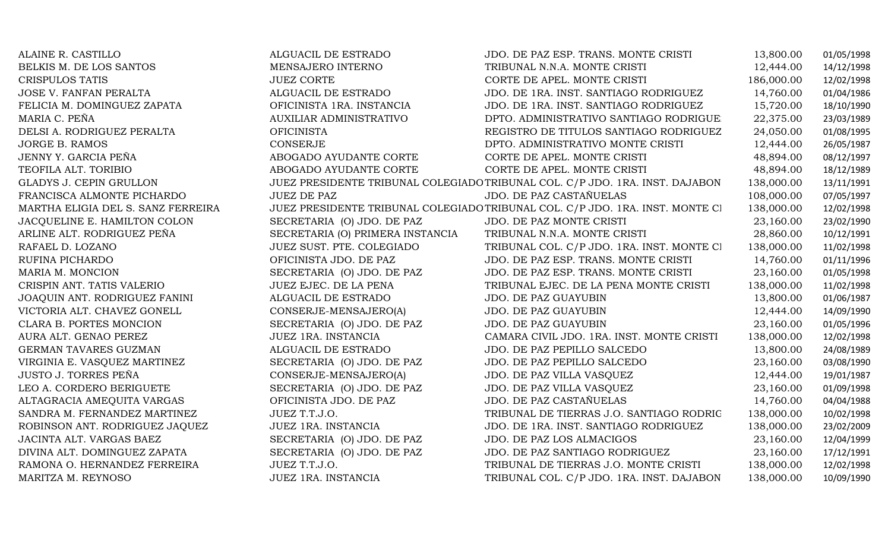| ALAINE R. CASTILLO                 | ALGUACIL DE ESTRADO              | JDO. DE PAZ ESP. TRANS. MONTE CRISTI                                          | 13,800.00  | 01/05/1998 |
|------------------------------------|----------------------------------|-------------------------------------------------------------------------------|------------|------------|
| BELKIS M. DE LOS SANTOS            | MENSAJERO INTERNO                | TRIBUNAL N.N.A. MONTE CRISTI                                                  | 12,444.00  | 14/12/1998 |
| <b>CRISPULOS TATIS</b>             | <b>JUEZ CORTE</b>                | CORTE DE APEL. MONTE CRISTI                                                   | 186,000.00 | 12/02/1998 |
| <b>JOSE V. FANFAN PERALTA</b>      | ALGUACIL DE ESTRADO              | JDO. DE 1RA. INST. SANTIAGO RODRIGUEZ                                         | 14,760.00  | 01/04/1986 |
| FELICIA M. DOMINGUEZ ZAPATA        | OFICINISTA 1RA. INSTANCIA        | JDO. DE 1RA. INST. SANTIAGO RODRIGUEZ                                         | 15,720.00  | 18/10/1990 |
| MARIA C. PEÑA                      | AUXILIAR ADMINISTRATIVO          | DPTO. ADMINISTRATIVO SANTIAGO RODRIGUE                                        | 22,375.00  | 23/03/1989 |
| DELSI A. RODRIGUEZ PERALTA         | <b>OFICINISTA</b>                | REGISTRO DE TITULOS SANTIAGO RODRIGUEZ                                        | 24,050.00  | 01/08/1995 |
| <b>JORGE B. RAMOS</b>              | CONSERJE                         | DPTO. ADMINISTRATIVO MONTE CRISTI                                             | 12,444.00  | 26/05/1987 |
| JENNY Y. GARCIA PEÑA               | ABOGADO AYUDANTE CORTE           | CORTE DE APEL. MONTE CRISTI                                                   | 48,894.00  | 08/12/1997 |
| TEOFILA ALT. TORIBIO               | ABOGADO AYUDANTE CORTE           | CORTE DE APEL. MONTE CRISTI                                                   | 48,894.00  | 18/12/1989 |
| <b>GLADYS J. CEPIN GRULLON</b>     |                                  | JUEZ PRESIDENTE TRIBUNAL COLEGIADO TRIBUNAL COL. C/P JDO. 1RA. INST. DAJABON  | 138,000.00 | 13/11/1991 |
| FRANCISCA ALMONTE PICHARDO         | <b>JUEZ DE PAZ</b>               | JDO. DE PAZ CASTAÑUELAS                                                       | 108,000.00 | 07/05/1997 |
| MARTHA ELIGIA DEL S. SANZ FERREIRA |                                  | JUEZ PRESIDENTE TRIBUNAL COLEGIADO TRIBUNAL COL. C/P JDO. 1RA. INST. MONTE CI | 138,000.00 | 12/02/1998 |
| JACQUELINE E. HAMILTON COLON       | SECRETARIA (O) JDO. DE PAZ       | JDO. DE PAZ MONTE CRISTI                                                      | 23,160.00  | 23/02/1990 |
| ARLINE ALT. RODRIGUEZ PEÑA         | SECRETARIA (O) PRIMERA INSTANCIA | TRIBUNAL N.N.A. MONTE CRISTI                                                  | 28,860.00  | 10/12/1991 |
| RAFAEL D. LOZANO                   | JUEZ SUST. PTE. COLEGIADO        | TRIBUNAL COL. C/P JDO. 1RA. INST. MONTE CI                                    | 138,000.00 | 11/02/1998 |
| RUFINA PICHARDO                    | OFICINISTA JDO. DE PAZ           | JDO. DE PAZ ESP. TRANS. MONTE CRISTI                                          | 14,760.00  | 01/11/1996 |
| MARIA M. MONCION                   | SECRETARIA (O) JDO. DE PAZ       | JDO. DE PAZ ESP. TRANS. MONTE CRISTI                                          | 23,160.00  | 01/05/1998 |
| CRISPIN ANT. TATIS VALERIO         | JUEZ EJEC. DE LA PENA            | TRIBUNAL EJEC. DE LA PENA MONTE CRISTI                                        | 138,000.00 | 11/02/1998 |
| JOAQUIN ANT. RODRIGUEZ FANINI      | ALGUACIL DE ESTRADO              | <b>JDO. DE PAZ GUAYUBIN</b>                                                   | 13,800.00  | 01/06/1987 |
| VICTORIA ALT. CHAVEZ GONELL        | CONSERJE-MENSAJERO(A)            | JDO. DE PAZ GUAYUBIN                                                          | 12,444.00  | 14/09/1990 |
| CLARA B. PORTES MONCION            | SECRETARIA (O) JDO. DE PAZ       | <b>JDO. DE PAZ GUAYUBIN</b>                                                   | 23,160.00  | 01/05/1996 |
| AURA ALT. GENAO PEREZ              | JUEZ 1RA. INSTANCIA              | CAMARA CIVIL JDO. 1RA. INST. MONTE CRISTI                                     | 138,000.00 | 12/02/1998 |
| GERMAN TAVARES GUZMAN              | ALGUACIL DE ESTRADO              | JDO. DE PAZ PEPILLO SALCEDO                                                   | 13,800.00  | 24/08/1989 |
| VIRGINIA E. VASQUEZ MARTINEZ       | SECRETARIA (O) JDO. DE PAZ       | JDO. DE PAZ PEPILLO SALCEDO                                                   | 23,160.00  | 03/08/1990 |
| <b>JUSTO J. TORRES PEÑA</b>        | CONSERJE-MENSAJERO(A)            | JDO. DE PAZ VILLA VASQUEZ                                                     | 12,444.00  | 19/01/1987 |
| LEO A. CORDERO BERIGUETE           | SECRETARIA (O) JDO. DE PAZ       | JDO. DE PAZ VILLA VASQUEZ                                                     | 23,160.00  | 01/09/1998 |
| ALTAGRACIA AMEQUITA VARGAS         | OFICINISTA JDO. DE PAZ           | JDO. DE PAZ CASTAÑUELAS                                                       | 14,760.00  | 04/04/1988 |
| SANDRA M. FERNANDEZ MARTINEZ       | JUEZ T.T.J.O.                    | TRIBUNAL DE TIERRAS J.O. SANTIAGO RODRIG                                      | 138,000.00 | 10/02/1998 |
| ROBINSON ANT. RODRIGUEZ JAQUEZ     | JUEZ 1RA. INSTANCIA              | JDO. DE 1RA. INST. SANTIAGO RODRIGUEZ                                         | 138,000.00 | 23/02/2009 |
| JACINTA ALT. VARGAS BAEZ           | SECRETARIA (O) JDO. DE PAZ       | JDO. DE PAZ LOS ALMACIGOS                                                     | 23,160.00  | 12/04/1999 |
| DIVINA ALT. DOMINGUEZ ZAPATA       | SECRETARIA (O) JDO. DE PAZ       | JDO. DE PAZ SANTIAGO RODRIGUEZ                                                | 23,160.00  | 17/12/1991 |
| RAMONA O. HERNANDEZ FERREIRA       | JUEZ T.T.J.O.                    | TRIBUNAL DE TIERRAS J.O. MONTE CRISTI                                         | 138,000.00 | 12/02/1998 |
| MARITZA M. REYNOSO                 | JUEZ 1RA. INSTANCIA              | TRIBUNAL COL. C/P JDO. 1RA. INST. DAJABON                                     | 138,000.00 | 10/09/1990 |
|                                    |                                  |                                                                               |            |            |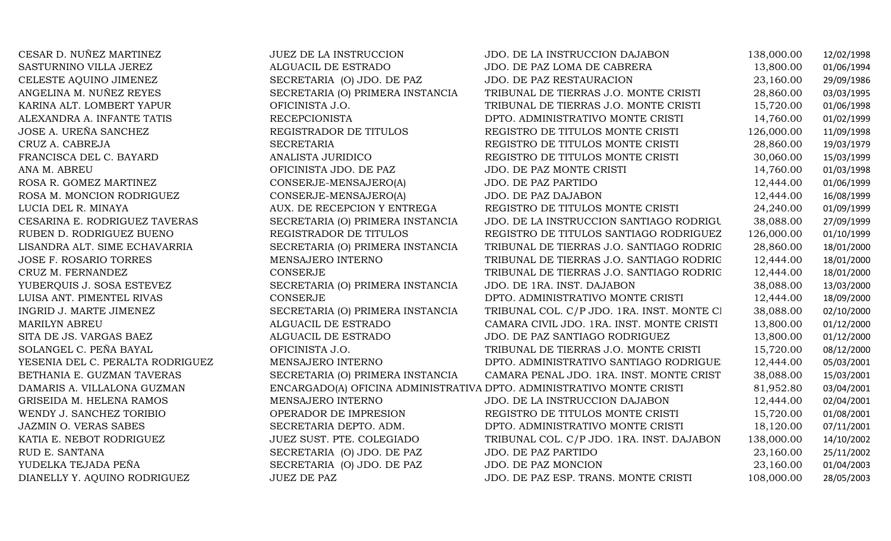| CESAR D. NUÑEZ MARTINEZ          | JUEZ DE LA INSTRUCCION           | JDO. DE LA INSTRUCCION DAJABON                                        | 138,000.00 | 12/02/1998 |
|----------------------------------|----------------------------------|-----------------------------------------------------------------------|------------|------------|
| SASTURNINO VILLA JEREZ           | ALGUACIL DE ESTRADO              | JDO. DE PAZ LOMA DE CABRERA                                           | 13,800.00  | 01/06/1994 |
| CELESTE AQUINO JIMENEZ           | SECRETARIA (O) JDO. DE PAZ       | JDO. DE PAZ RESTAURACION                                              | 23,160.00  | 29/09/1986 |
| ANGELINA M. NUÑEZ REYES          | SECRETARIA (O) PRIMERA INSTANCIA | TRIBUNAL DE TIERRAS J.O. MONTE CRISTI                                 | 28,860.00  | 03/03/1995 |
| KARINA ALT. LOMBERT YAPUR        | OFICINISTA J.O.                  | TRIBUNAL DE TIERRAS J.O. MONTE CRISTI                                 | 15,720.00  | 01/06/1998 |
| ALEXANDRA A. INFANTE TATIS       | <b>RECEPCIONISTA</b>             | DPTO. ADMINISTRATIVO MONTE CRISTI                                     | 14,760.00  | 01/02/1999 |
| JOSE A. UREÑA SANCHEZ            | REGISTRADOR DE TITULOS           | REGISTRO DE TITULOS MONTE CRISTI                                      | 126,000.00 | 11/09/1998 |
| CRUZ A. CABREJA                  | <b>SECRETARIA</b>                | REGISTRO DE TITULOS MONTE CRISTI                                      | 28,860.00  | 19/03/1979 |
| FRANCISCA DEL C. BAYARD          | ANALISTA JURIDICO                | REGISTRO DE TITULOS MONTE CRISTI                                      | 30,060.00  | 15/03/1999 |
| ANA M. ABREU                     | OFICINISTA JDO. DE PAZ           | JDO. DE PAZ MONTE CRISTI                                              | 14,760.00  | 01/03/1998 |
| ROSA R. GOMEZ MARTINEZ           | CONSERJE-MENSAJERO(A)            | JDO. DE PAZ PARTIDO                                                   | 12,444.00  | 01/06/1999 |
| ROSA M. MONCION RODRIGUEZ        | CONSERJE-MENSAJERO(A)            | JDO. DE PAZ DAJABON                                                   | 12,444.00  | 16/08/1999 |
| LUCIA DEL R. MINAYA              | AUX. DE RECEPCION Y ENTREGA      | REGISTRO DE TITULOS MONTE CRISTI                                      | 24,240.00  | 01/09/1999 |
| CESARINA E. RODRIGUEZ TAVERAS    | SECRETARIA (O) PRIMERA INSTANCIA | JDO. DE LA INSTRUCCION SANTIAGO RODRIGU                               | 38,088.00  | 27/09/1999 |
| RUBEN D. RODRIGUEZ BUENO         | REGISTRADOR DE TITULOS           | REGISTRO DE TITULOS SANTIAGO RODRIGUEZ                                | 126,000.00 | 01/10/1999 |
| LISANDRA ALT. SIME ECHAVARRIA    | SECRETARIA (O) PRIMERA INSTANCIA | TRIBUNAL DE TIERRAS J.O. SANTIAGO RODRIG                              | 28,860.00  | 18/01/2000 |
| <b>JOSE F. ROSARIO TORRES</b>    | MENSAJERO INTERNO                | TRIBUNAL DE TIERRAS J.O. SANTIAGO RODRIG                              | 12,444.00  | 18/01/2000 |
| CRUZ M. FERNANDEZ                | <b>CONSERJE</b>                  | TRIBUNAL DE TIERRAS J.O. SANTIAGO RODRIG                              | 12,444.00  | 18/01/2000 |
| YUBERQUIS J. SOSA ESTEVEZ        | SECRETARIA (O) PRIMERA INSTANCIA | JDO. DE 1RA. INST. DAJABON                                            | 38,088.00  | 13/03/2000 |
| LUISA ANT. PIMENTEL RIVAS        | <b>CONSERJE</b>                  | DPTO. ADMINISTRATIVO MONTE CRISTI                                     | 12,444.00  | 18/09/2000 |
| INGRID J. MARTE JIMENEZ          | SECRETARIA (O) PRIMERA INSTANCIA | TRIBUNAL COL. C/P JDO. 1RA. INST. MONTE CI                            | 38,088.00  | 02/10/2000 |
| <b>MARILYN ABREU</b>             | ALGUACIL DE ESTRADO              | CAMARA CIVIL JDO. 1RA. INST. MONTE CRISTI                             | 13,800.00  | 01/12/2000 |
| SITA DE JS. VARGAS BAEZ          | ALGUACIL DE ESTRADO              | JDO. DE PAZ SANTIAGO RODRIGUEZ                                        | 13,800.00  | 01/12/2000 |
| SOLANGEL C. PEÑA BAYAL           | OFICINISTA J.O.                  | TRIBUNAL DE TIERRAS J.O. MONTE CRISTI                                 | 15,720.00  | 08/12/2000 |
| YESENIA DEL C. PERALTA RODRIGUEZ | MENSAJERO INTERNO                | DPTO. ADMINISTRATIVO SANTIAGO RODRIGUE                                | 12,444.00  | 05/03/2001 |
| BETHANIA E. GUZMAN TAVERAS       | SECRETARIA (O) PRIMERA INSTANCIA | CAMARA PENAL JDO. 1RA. INST. MONTE CRIST                              | 38,088.00  | 15/03/2001 |
| DAMARIS A. VILLALONA GUZMAN      |                                  | ENCARGADO(A) OFICINA ADMINISTRATIVA DPTO. ADMINISTRATIVO MONTE CRISTI | 81,952.80  | 03/04/2001 |
| GRISEIDA M. HELENA RAMOS         | MENSAJERO INTERNO                | JDO. DE LA INSTRUCCION DAJABON                                        | 12,444.00  | 02/04/2001 |
| WENDY J. SANCHEZ TORIBIO         | OPERADOR DE IMPRESION            | REGISTRO DE TITULOS MONTE CRISTI                                      | 15,720.00  | 01/08/2001 |
| JAZMIN O. VERAS SABES            | SECRETARIA DEPTO. ADM.           | DPTO. ADMINISTRATIVO MONTE CRISTI                                     | 18,120.00  | 07/11/2001 |
| KATIA E. NEBOT RODRIGUEZ         | JUEZ SUST. PTE. COLEGIADO        | TRIBUNAL COL. C/P JDO. 1RA. INST. DAJABON                             | 138,000.00 | 14/10/2002 |
| RUD E. SANTANA                   | SECRETARIA (O) JDO. DE PAZ       | JDO. DE PAZ PARTIDO                                                   | 23,160.00  | 25/11/2002 |
| YUDELKA TEJADA PEÑA              | SECRETARIA (O) JDO. DE PAZ       | JDO. DE PAZ MONCION                                                   | 23,160.00  | 01/04/2003 |
| DIANELLY Y. AQUINO RODRIGUEZ     | <b>JUEZ DE PAZ</b>               | JDO. DE PAZ ESP. TRANS. MONTE CRISTI                                  | 108,000.00 | 28/05/2003 |
|                                  |                                  |                                                                       |            |            |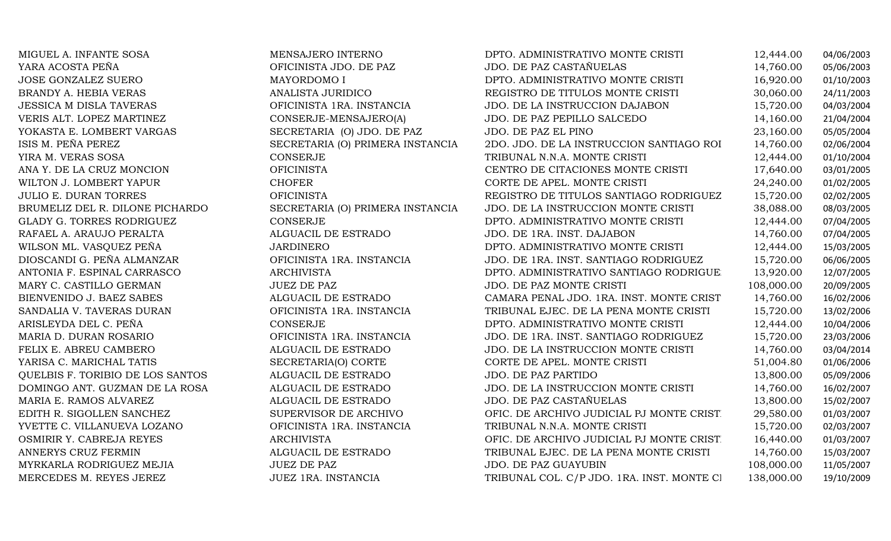| MIGUEL A. INFANTE SOSA           | MENSAJERO INTERNO                | DPTO. ADMINISTRATIVO MONTE CRISTI          | 12,444.00  | 04/06/2003 |
|----------------------------------|----------------------------------|--------------------------------------------|------------|------------|
| YARA ACOSTA PEÑA                 | OFICINISTA JDO. DE PAZ           | <b>JDO. DE PAZ CASTAÑUELAS</b>             | 14,760.00  | 05/06/2003 |
| <b>JOSE GONZALEZ SUERO</b>       | MAYORDOMO I                      | DPTO. ADMINISTRATIVO MONTE CRISTI          | 16,920.00  | 01/10/2003 |
| BRANDY A. HEBIA VERAS            | ANALISTA JURIDICO                | REGISTRO DE TITULOS MONTE CRISTI           | 30,060.00  | 24/11/2003 |
| JESSICA M DISLA TAVERAS          | OFICINISTA 1RA. INSTANCIA        | JDO. DE LA INSTRUCCION DAJABON             | 15,720.00  | 04/03/2004 |
| VERIS ALT. LOPEZ MARTINEZ        | CONSERJE-MENSAJERO(A)            | JDO. DE PAZ PEPILLO SALCEDO                | 14,160.00  | 21/04/2004 |
| YOKASTA E. LOMBERT VARGAS        | SECRETARIA (O) JDO. DE PAZ       | JDO. DE PAZ EL PINO                        | 23,160.00  | 05/05/2004 |
| ISIS M. PEÑA PEREZ               | SECRETARIA (O) PRIMERA INSTANCIA | 2DO. JDO. DE LA INSTRUCCION SANTIAGO ROI   | 14,760.00  | 02/06/2004 |
| YIRA M. VERAS SOSA               | CONSERJE                         | TRIBUNAL N.N.A. MONTE CRISTI               | 12,444.00  | 01/10/2004 |
| ANA Y. DE LA CRUZ MONCION        | <b>OFICINISTA</b>                | CENTRO DE CITACIONES MONTE CRISTI          | 17,640.00  | 03/01/2005 |
| WILTON J. LOMBERT YAPUR          | <b>CHOFER</b>                    | CORTE DE APEL. MONTE CRISTI                | 24,240.00  | 01/02/2005 |
| <b>JULIO E. DURAN TORRES</b>     | <b>OFICINISTA</b>                | REGISTRO DE TITULOS SANTIAGO RODRIGUEZ     | 15,720.00  | 02/02/2005 |
| BRUMELIZ DEL R. DILONE PICHARDO  | SECRETARIA (O) PRIMERA INSTANCIA | JDO. DE LA INSTRUCCION MONTE CRISTI        | 38,088.00  | 08/03/2005 |
| <b>GLADY G. TORRES RODRIGUEZ</b> | <b>CONSERJE</b>                  | DPTO. ADMINISTRATIVO MONTE CRISTI          | 12,444.00  | 07/04/2005 |
| RAFAEL A. ARAUJO PERALTA         | ALGUACIL DE ESTRADO              | JDO. DE 1RA. INST. DAJABON                 | 14,760.00  | 07/04/2005 |
| WILSON ML. VASQUEZ PEÑA          | <b>JARDINERO</b>                 | DPTO. ADMINISTRATIVO MONTE CRISTI          | 12,444.00  | 15/03/2005 |
| DIOSCANDI G. PEÑA ALMANZAR       | OFICINISTA 1RA. INSTANCIA        | JDO. DE 1RA. INST. SANTIAGO RODRIGUEZ      | 15,720.00  | 06/06/2005 |
| ANTONIA F. ESPINAL CARRASCO      | <b>ARCHIVISTA</b>                | DPTO. ADMINISTRATIVO SANTIAGO RODRIGUE     | 13,920.00  | 12/07/2005 |
| MARY C. CASTILLO GERMAN          | <b>JUEZ DE PAZ</b>               | JDO. DE PAZ MONTE CRISTI                   | 108,000.00 | 20/09/2005 |
| BIENVENIDO J. BAEZ SABES         | ALGUACIL DE ESTRADO              | CAMARA PENAL JDO. 1RA. INST. MONTE CRIST   | 14,760.00  | 16/02/2006 |
| SANDALIA V. TAVERAS DURAN        | OFICINISTA 1RA. INSTANCIA        | TRIBUNAL EJEC. DE LA PENA MONTE CRISTI     | 15,720.00  | 13/02/2006 |
| ARISLEYDA DEL C. PEÑA            | <b>CONSERJE</b>                  | DPTO. ADMINISTRATIVO MONTE CRISTI          | 12,444.00  | 10/04/2006 |
| MARIA D. DURAN ROSARIO           | OFICINISTA 1RA. INSTANCIA        | JDO. DE 1RA. INST. SANTIAGO RODRIGUEZ      | 15,720.00  | 23/03/2006 |
| FELIX E. ABREU CAMBERO           | ALGUACIL DE ESTRADO              | JDO. DE LA INSTRUCCION MONTE CRISTI        | 14,760.00  | 03/04/2014 |
| YARISA C. MARICHAL TATIS         | SECRETARIA(O) CORTE              | CORTE DE APEL. MONTE CRISTI                | 51,004.80  | 01/06/2006 |
| QUELBIS F. TORIBIO DE LOS SANTOS | ALGUACIL DE ESTRADO              | JDO. DE PAZ PARTIDO                        | 13,800.00  | 05/09/2006 |
| DOMINGO ANT. GUZMAN DE LA ROSA   | ALGUACIL DE ESTRADO              | JDO. DE LA INSTRUCCION MONTE CRISTI        | 14,760.00  | 16/02/2007 |
| MARIA E. RAMOS ALVAREZ           | ALGUACIL DE ESTRADO              | JDO. DE PAZ CASTAÑUELAS                    | 13,800.00  | 15/02/2007 |
| EDITH R. SIGOLLEN SANCHEZ        | SUPERVISOR DE ARCHIVO            | OFIC. DE ARCHIVO JUDICIAL PJ MONTE CRIST   | 29,580.00  | 01/03/2007 |
| YVETTE C. VILLANUEVA LOZANO      | OFICINISTA 1RA. INSTANCIA        | TRIBUNAL N.N.A. MONTE CRISTI               | 15,720.00  | 02/03/2007 |
| OSMIRIR Y. CABREJA REYES         | <b>ARCHIVISTA</b>                | OFIC. DE ARCHIVO JUDICIAL PJ MONTE CRIST   | 16,440.00  | 01/03/2007 |
| ANNERYS CRUZ FERMIN              | ALGUACIL DE ESTRADO              | TRIBUNAL EJEC. DE LA PENA MONTE CRISTI     | 14,760.00  | 15/03/2007 |
| MYRKARLA RODRIGUEZ MEJIA         | <b>JUEZ DE PAZ</b>               | <b>JDO. DE PAZ GUAYUBIN</b>                | 108,000.00 | 11/05/2007 |
| MERCEDES M. REYES JEREZ          | JUEZ 1RA. INSTANCIA              | TRIBUNAL COL. C/P JDO. 1RA. INST. MONTE CI | 138,000.00 | 19/10/2009 |
|                                  |                                  |                                            |            |            |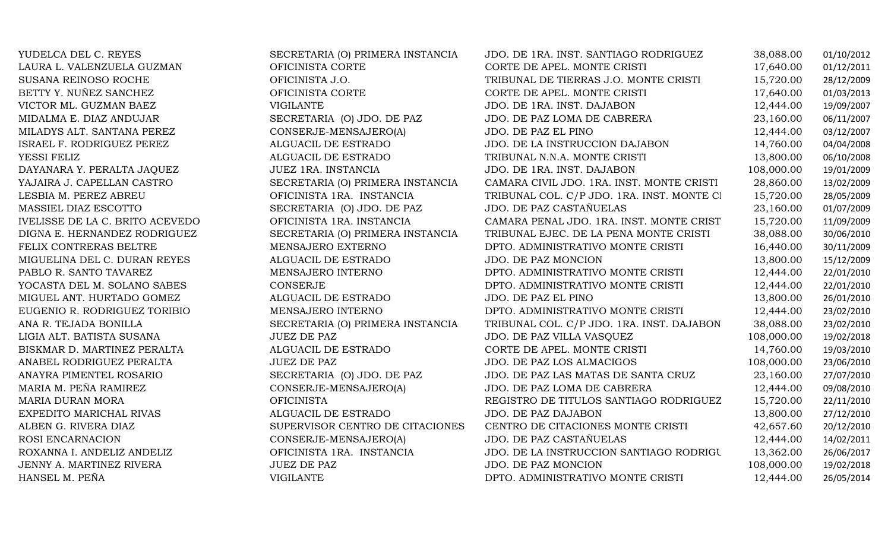| YUDELCA DEL C. REYES            | SECRETARIA (O) PRIMERA INSTANCIA | JDO. DE 1RA. INST. SANTIAGO RODRIGUEZ      | 38,088.00  | 01/10/2012 |
|---------------------------------|----------------------------------|--------------------------------------------|------------|------------|
| LAURA L. VALENZUELA GUZMAN      | OFICINISTA CORTE                 | CORTE DE APEL. MONTE CRISTI                | 17,640.00  | 01/12/2011 |
| SUSANA REINOSO ROCHE            | OFICINISTA J.O.                  | TRIBUNAL DE TIERRAS J.O. MONTE CRISTI      | 15,720.00  | 28/12/2009 |
| BETTY Y. NUÑEZ SANCHEZ          | OFICINISTA CORTE                 | CORTE DE APEL. MONTE CRISTI                | 17,640.00  | 01/03/2013 |
| VICTOR ML. GUZMAN BAEZ          | <b>VIGILANTE</b>                 | JDO. DE 1RA. INST. DAJABON                 | 12,444.00  | 19/09/2007 |
| MIDALMA E. DIAZ ANDUJAR         | SECRETARIA (O) JDO. DE PAZ       | JDO. DE PAZ LOMA DE CABRERA                | 23,160.00  | 06/11/2007 |
| MILADYS ALT. SANTANA PEREZ      | CONSERJE-MENSAJERO(A)            | JDO. DE PAZ EL PINO                        | 12,444.00  | 03/12/2007 |
| ISRAEL F. RODRIGUEZ PEREZ       | ALGUACIL DE ESTRADO              | JDO. DE LA INSTRUCCION DAJABON             | 14,760.00  | 04/04/2008 |
| YESSI FELIZ                     | ALGUACIL DE ESTRADO              | TRIBUNAL N.N.A. MONTE CRISTI               | 13,800.00  | 06/10/2008 |
| DAYANARA Y. PERALTA JAQUEZ      | JUEZ 1RA. INSTANCIA              | JDO. DE 1RA. INST. DAJABON                 | 108,000.00 | 19/01/2009 |
| YAJAIRA J. CAPELLAN CASTRO      | SECRETARIA (O) PRIMERA INSTANCIA | CAMARA CIVIL JDO. 1RA. INST. MONTE CRISTI  | 28,860.00  | 13/02/2009 |
| LESBIA M. PEREZ ABREU           | OFICINISTA 1RA. INSTANCIA        | TRIBUNAL COL. C/P JDO. 1RA. INST. MONTE CI | 15,720.00  | 28/05/2009 |
| MASSIEL DIAZ ESCOTTO            | SECRETARIA (O) JDO. DE PAZ       | JDO. DE PAZ CASTAÑUELAS                    | 23,160.00  | 01/07/2009 |
| IVELISSE DE LA C. BRITO ACEVEDO | OFICINISTA 1RA. INSTANCIA        | CAMARA PENAL JDO. 1RA. INST. MONTE CRIST   | 15,720.00  | 11/09/2009 |
| DIGNA E. HERNANDEZ RODRIGUEZ    | SECRETARIA (O) PRIMERA INSTANCIA | TRIBUNAL EJEC. DE LA PENA MONTE CRISTI     | 38,088.00  | 30/06/2010 |
| FELIX CONTRERAS BELTRE          | MENSAJERO EXTERNO                | DPTO. ADMINISTRATIVO MONTE CRISTI          | 16,440.00  | 30/11/2009 |
| MIGUELINA DEL C. DURAN REYES    | ALGUACIL DE ESTRADO              | JDO. DE PAZ MONCION                        | 13,800.00  | 15/12/2009 |
| PABLO R. SANTO TAVAREZ          | MENSAJERO INTERNO                | DPTO. ADMINISTRATIVO MONTE CRISTI          | 12,444.00  | 22/01/2010 |
| YOCASTA DEL M. SOLANO SABES     | <b>CONSERJE</b>                  | DPTO. ADMINISTRATIVO MONTE CRISTI          | 12,444.00  | 22/01/2010 |
| MIGUEL ANT. HURTADO GOMEZ       | ALGUACIL DE ESTRADO              | JDO. DE PAZ EL PINO                        | 13,800.00  | 26/01/2010 |
| EUGENIO R. RODRIGUEZ TORIBIO    | MENSAJERO INTERNO                | DPTO. ADMINISTRATIVO MONTE CRISTI          | 12,444.00  | 23/02/2010 |
| ANA R. TEJADA BONILLA           | SECRETARIA (O) PRIMERA INSTANCIA | TRIBUNAL COL. C/P JDO. 1RA. INST. DAJABON  | 38,088.00  | 23/02/2010 |
| LIGIA ALT. BATISTA SUSANA       | <b>JUEZ DE PAZ</b>               | JDO. DE PAZ VILLA VASQUEZ                  | 108,000.00 | 19/02/2018 |
| BISKMAR D. MARTINEZ PERALTA     | ALGUACIL DE ESTRADO              | CORTE DE APEL. MONTE CRISTI                | 14,760.00  | 19/03/2010 |
| ANABEL RODRIGUEZ PERALTA        | <b>JUEZ DE PAZ</b>               | JDO. DE PAZ LOS ALMACIGOS                  | 108,000.00 | 23/06/2010 |
| ANAYRA PIMENTEL ROSARIO         | SECRETARIA (O) JDO. DE PAZ       | JDO. DE PAZ LAS MATAS DE SANTA CRUZ        | 23,160.00  | 27/07/2010 |
| MARIA M. PEÑA RAMIREZ           | CONSERJE-MENSAJERO(A)            | JDO. DE PAZ LOMA DE CABRERA                | 12,444.00  | 09/08/2010 |
| <b>MARIA DURAN MORA</b>         | <b>OFICINISTA</b>                | REGISTRO DE TITULOS SANTIAGO RODRIGUEZ     | 15,720.00  | 22/11/2010 |
| EXPEDITO MARICHAL RIVAS         | ALGUACIL DE ESTRADO              | JDO. DE PAZ DAJABON                        | 13,800.00  | 27/12/2010 |
| ALBEN G. RIVERA DIAZ            | SUPERVISOR CENTRO DE CITACIONES  | CENTRO DE CITACIONES MONTE CRISTI          | 42,657.60  | 20/12/2010 |
| ROSI ENCARNACION                | CONSERJE-MENSAJERO(A)            | JDO. DE PAZ CASTAÑUELAS                    | 12,444.00  | 14/02/2011 |
| ROXANNA I. ANDELIZ ANDELIZ      | OFICINISTA 1RA. INSTANCIA        | JDO. DE LA INSTRUCCION SANTIAGO RODRIGU    | 13,362.00  | 26/06/2017 |
| JENNY A. MARTINEZ RIVERA        | <b>JUEZ DE PAZ</b>               | JDO. DE PAZ MONCION                        | 108,000.00 | 19/02/2018 |
| HANSEL M. PEÑA                  | <b>VIGILANTE</b>                 | DPTO. ADMINISTRATIVO MONTE CRISTI          | 12,444.00  | 26/05/2014 |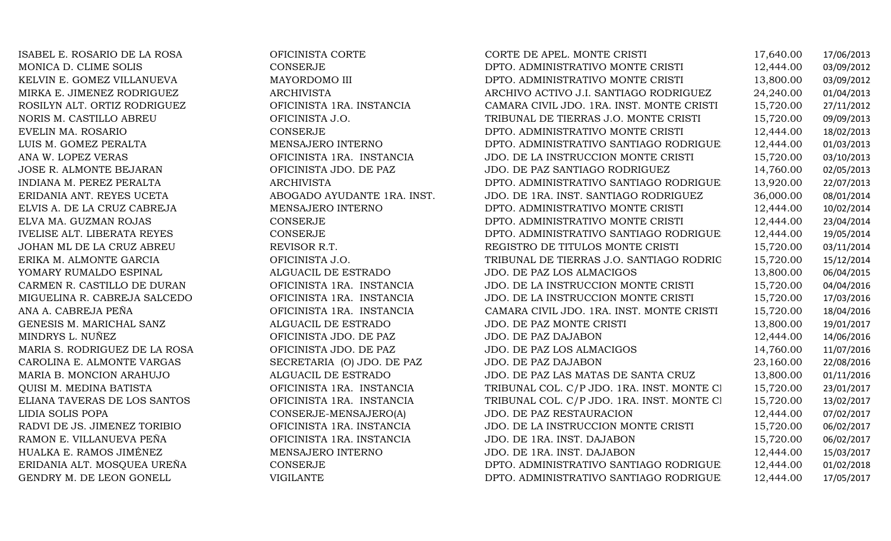| ISABEL E. ROSARIO DE LA ROSA       | OFICINISTA CORTE            | CORTE DE APEL. MONTE CRISTI                | 17,640.00 | 17/06/2013 |
|------------------------------------|-----------------------------|--------------------------------------------|-----------|------------|
| MONICA D. CLIME SOLIS              | <b>CONSERJE</b>             | DPTO. ADMINISTRATIVO MONTE CRISTI          | 12,444.00 | 03/09/2012 |
| KELVIN E. GOMEZ VILLANUEVA         | MAYORDOMO III               | DPTO. ADMINISTRATIVO MONTE CRISTI          | 13,800.00 | 03/09/2012 |
| MIRKA E. JIMENEZ RODRIGUEZ         | <b>ARCHIVISTA</b>           | ARCHIVO ACTIVO J.I. SANTIAGO RODRIGUEZ     | 24,240.00 | 01/04/2013 |
| ROSILYN ALT. ORTIZ RODRIGUEZ       | OFICINISTA 1RA. INSTANCIA   | CAMARA CIVIL JDO. 1RA. INST. MONTE CRISTI  | 15,720.00 | 27/11/2012 |
| NORIS M. CASTILLO ABREU            | OFICINISTA J.O.             | TRIBUNAL DE TIERRAS J.O. MONTE CRISTI      | 15,720.00 | 09/09/2013 |
| EVELIN MA. ROSARIO                 | CONSERJE                    | DPTO. ADMINISTRATIVO MONTE CRISTI          | 12,444.00 | 18/02/2013 |
| LUIS M. GOMEZ PERALTA              | MENSAJERO INTERNO           | DPTO. ADMINISTRATIVO SANTIAGO RODRIGUE     | 12,444.00 | 01/03/2013 |
| ANA W. LOPEZ VERAS                 | OFICINISTA 1RA. INSTANCIA   | JDO. DE LA INSTRUCCION MONTE CRISTI        | 15,720.00 | 03/10/2013 |
| JOSE R. ALMONTE BEJARAN            | OFICINISTA JDO. DE PAZ      | JDO. DE PAZ SANTIAGO RODRIGUEZ             | 14,760.00 | 02/05/2013 |
| INDIANA M. PEREZ PERALTA           | <b>ARCHIVISTA</b>           | DPTO. ADMINISTRATIVO SANTIAGO RODRIGUE     | 13,920.00 | 22/07/2013 |
| ERIDANIA ANT. REYES UCETA          | ABOGADO AYUDANTE 1RA. INST. | JDO. DE 1RA. INST. SANTIAGO RODRIGUEZ      | 36,000.00 | 08/01/2014 |
| ELVIS A. DE LA CRUZ CABREJA        | MENSAJERO INTERNO           | DPTO. ADMINISTRATIVO MONTE CRISTI          | 12,444.00 | 10/02/2014 |
| ELVA MA. GUZMAN ROJAS              | CONSERJE                    | DPTO. ADMINISTRATIVO MONTE CRISTI          | 12,444.00 | 23/04/2014 |
| <b>IVELISE ALT. LIBERATA REYES</b> | CONSERJE                    | DPTO. ADMINISTRATIVO SANTIAGO RODRIGUE     | 12,444.00 | 19/05/2014 |
| JOHAN ML DE LA CRUZ ABREU          | REVISOR R.T.                | REGISTRO DE TITULOS MONTE CRISTI           | 15,720.00 | 03/11/2014 |
| ERIKA M. ALMONTE GARCIA            | OFICINISTA J.O.             | TRIBUNAL DE TIERRAS J.O. SANTIAGO RODRIG   | 15,720.00 | 15/12/2014 |
| YOMARY RUMALDO ESPINAL             | ALGUACIL DE ESTRADO         | JDO. DE PAZ LOS ALMACIGOS                  | 13,800.00 | 06/04/2015 |
| CARMEN R. CASTILLO DE DURAN        | OFICINISTA 1RA. INSTANCIA   | JDO. DE LA INSTRUCCION MONTE CRISTI        | 15,720.00 | 04/04/2016 |
| MIGUELINA R. CABREJA SALCEDO       | OFICINISTA 1RA. INSTANCIA   | JDO. DE LA INSTRUCCION MONTE CRISTI        | 15,720.00 | 17/03/2016 |
| ANA A. CABREJA PEÑA                | OFICINISTA 1RA. INSTANCIA   | CAMARA CIVIL JDO. 1RA. INST. MONTE CRISTI  | 15,720.00 | 18/04/2016 |
| GENESIS M. MARICHAL SANZ           | ALGUACIL DE ESTRADO         | JDO. DE PAZ MONTE CRISTI                   | 13,800.00 | 19/01/2017 |
| MINDRYS L. NUÑEZ                   | OFICINISTA JDO. DE PAZ      | JDO. DE PAZ DAJABON                        | 12,444.00 | 14/06/2016 |
| MARIA S. RODRIGUEZ DE LA ROSA      | OFICINISTA JDO. DE PAZ      | JDO. DE PAZ LOS ALMACIGOS                  | 14,760.00 | 11/07/2016 |
| CAROLINA E. ALMONTE VARGAS         | SECRETARIA (O) JDO. DE PAZ  | JDO. DE PAZ DAJABON                        | 23,160.00 | 22/08/2016 |
| MARIA B. MONCION ARAHUJO           | ALGUACIL DE ESTRADO         | JDO. DE PAZ LAS MATAS DE SANTA CRUZ        | 13,800.00 | 01/11/2016 |
| QUISI M. MEDINA BATISTA            | OFICINISTA 1RA. INSTANCIA   | TRIBUNAL COL. C/P JDO. 1RA. INST. MONTE CI | 15,720.00 | 23/01/2017 |
| ELIANA TAVERAS DE LOS SANTOS       | OFICINISTA 1RA. INSTANCIA   | TRIBUNAL COL. C/P JDO. 1RA. INST. MONTE CI | 15,720.00 | 13/02/2017 |
| LIDIA SOLIS POPA                   | CONSERJE-MENSAJERO(A)       | JDO. DE PAZ RESTAURACION                   | 12,444.00 | 07/02/2017 |
| RADVI DE JS. JIMENEZ TORIBIO       | OFICINISTA 1RA. INSTANCIA   | JDO. DE LA INSTRUCCION MONTE CRISTI        | 15,720.00 | 06/02/2017 |
| RAMON E. VILLANUEVA PEÑA           | OFICINISTA 1RA. INSTANCIA   | JDO. DE 1RA. INST. DAJABON                 | 15,720.00 | 06/02/2017 |
| HUALKA E. RAMOS JIMÉNEZ            | MENSAJERO INTERNO           | JDO. DE 1RA. INST. DAJABON                 | 12,444.00 | 15/03/2017 |
| ERIDANIA ALT. MOSQUEA UREÑA        | CONSERJE                    | DPTO. ADMINISTRATIVO SANTIAGO RODRIGUE     | 12,444.00 | 01/02/2018 |
| GENDRY M. DE LEON GONELL           | <b>VIGILANTE</b>            | DPTO. ADMINISTRATIVO SANTIAGO RODRIGUE     | 12,444.00 | 17/05/2017 |
|                                    |                             |                                            |           |            |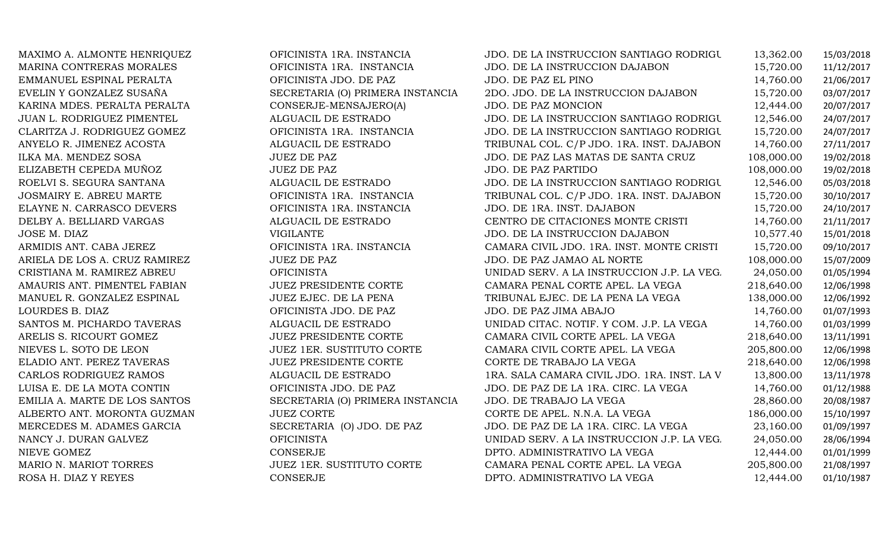| MAXIMO A. ALMONTE HENRIQUEZ    | OFICINISTA 1RA. INSTANCIA        | JDO. DE LA INSTRUCCION SANTIAGO RODRIGU     | 13,362.00  | 15/03/2018 |
|--------------------------------|----------------------------------|---------------------------------------------|------------|------------|
| MARINA CONTRERAS MORALES       | OFICINISTA 1RA. INSTANCIA        | JDO. DE LA INSTRUCCION DAJABON              | 15,720.00  | 11/12/2017 |
| EMMANUEL ESPINAL PERALTA       | OFICINISTA JDO. DE PAZ           | JDO. DE PAZ EL PINO                         | 14,760.00  | 21/06/2017 |
| EVELIN Y GONZALEZ SUSAÑA       | SECRETARIA (O) PRIMERA INSTANCIA | 2DO. JDO. DE LA INSTRUCCION DAJABON         | 15,720.00  | 03/07/2017 |
| KARINA MDES. PERALTA PERALTA   | CONSERJE-MENSAJERO(A)            | JDO. DE PAZ MONCION                         | 12,444.00  | 20/07/2017 |
| JUAN L. RODRIGUEZ PIMENTEL     | ALGUACIL DE ESTRADO              | JDO. DE LA INSTRUCCION SANTIAGO RODRIGU     | 12,546.00  | 24/07/2017 |
| CLARITZA J. RODRIGUEZ GOMEZ    | OFICINISTA 1RA. INSTANCIA        | JDO. DE LA INSTRUCCION SANTIAGO RODRIGU     | 15,720.00  | 24/07/2017 |
| ANYELO R. JIMENEZ ACOSTA       | ALGUACIL DE ESTRADO              | TRIBUNAL COL. C/P JDO. 1RA. INST. DAJABON   | 14,760.00  | 27/11/2017 |
| ILKA MA. MENDEZ SOSA           | <b>JUEZ DE PAZ</b>               | JDO. DE PAZ LAS MATAS DE SANTA CRUZ         | 108,000.00 | 19/02/2018 |
| ELIZABETH CEPEDA MUÑOZ         | <b>JUEZ DE PAZ</b>               | JDO. DE PAZ PARTIDO                         | 108,000.00 | 19/02/2018 |
| ROELVI S. SEGURA SANTANA       | ALGUACIL DE ESTRADO              | JDO. DE LA INSTRUCCION SANTIAGO RODRIGU     | 12,546.00  | 05/03/2018 |
| <b>JOSMAIRY E. ABREU MARTE</b> | OFICINISTA 1RA. INSTANCIA        | TRIBUNAL COL. C/P JDO. 1RA. INST. DAJABON   | 15,720.00  | 30/10/2017 |
| ELAYNE N. CARRASCO DEVERS      | OFICINISTA 1RA. INSTANCIA        | JDO. DE 1RA. INST. DAJABON                  | 15,720.00  | 24/10/2017 |
| DELBY A. BELLIARD VARGAS       | ALGUACIL DE ESTRADO              | CENTRO DE CITACIONES MONTE CRISTI           | 14,760.00  | 21/11/2017 |
| JOSE M. DIAZ                   | <b>VIGILANTE</b>                 | JDO. DE LA INSTRUCCION DAJABON              | 10,577.40  | 15/01/2018 |
| ARMIDIS ANT. CABA JEREZ        | OFICINISTA 1RA. INSTANCIA        | CAMARA CIVIL JDO. 1RA. INST. MONTE CRISTI   | 15,720.00  | 09/10/2017 |
| ARIELA DE LOS A. CRUZ RAMIREZ  | <b>JUEZ DE PAZ</b>               | JDO. DE PAZ JAMAO AL NORTE                  | 108,000.00 | 15/07/2009 |
| CRISTIANA M. RAMIREZ ABREU     | <b>OFICINISTA</b>                | UNIDAD SERV. A LA INSTRUCCION J.P. LA VEG.  | 24,050.00  | 01/05/1994 |
| AMAURIS ANT. PIMENTEL FABIAN   | JUEZ PRESIDENTE CORTE            | CAMARA PENAL CORTE APEL. LA VEGA            | 218,640.00 | 12/06/1998 |
| MANUEL R. GONZALEZ ESPINAL     | JUEZ EJEC. DE LA PENA            | TRIBUNAL EJEC. DE LA PENA LA VEGA           | 138,000.00 | 12/06/1992 |
| LOURDES B. DIAZ                | OFICINISTA JDO. DE PAZ           | JDO. DE PAZ JIMA ABAJO                      | 14,760.00  | 01/07/1993 |
| SANTOS M. PICHARDO TAVERAS     | ALGUACIL DE ESTRADO              | UNIDAD CITAC. NOTIF. Y COM. J.P. LA VEGA    | 14,760.00  | 01/03/1999 |
| ARELIS S. RICOURT GOMEZ        | <b>JUEZ PRESIDENTE CORTE</b>     | CAMARA CIVIL CORTE APEL. LA VEGA            | 218,640.00 | 13/11/1991 |
| NIEVES L. SOTO DE LEON         | <b>JUEZ 1ER. SUSTITUTO CORTE</b> | CAMARA CIVIL CORTE APEL. LA VEGA            | 205,800.00 | 12/06/1998 |
| ELADIO ANT. PEREZ TAVERAS      | <b>JUEZ PRESIDENTE CORTE</b>     | CORTE DE TRABAJO LA VEGA                    | 218,640.00 | 12/06/1998 |
| CARLOS RODRIGUEZ RAMOS         | ALGUACIL DE ESTRADO              | 1RA. SALA CAMARA CIVIL JDO. 1RA. INST. LA V | 13,800.00  | 13/11/1978 |
| LUISA E. DE LA MOTA CONTIN     | OFICINISTA JDO. DE PAZ           | JDO. DE PAZ DE LA 1RA. CIRC. LA VEGA        | 14,760.00  | 01/12/1988 |
| EMILIA A. MARTE DE LOS SANTOS  | SECRETARIA (O) PRIMERA INSTANCIA | JDO. DE TRABAJO LA VEGA                     | 28,860.00  | 20/08/1987 |
| ALBERTO ANT. MORONTA GUZMAN    | <b>JUEZ CORTE</b>                | CORTE DE APEL. N.N.A. LA VEGA               | 186,000.00 | 15/10/1997 |
| MERCEDES M. ADAMES GARCIA      | SECRETARIA (O) JDO. DE PAZ       | JDO. DE PAZ DE LA 1RA. CIRC. LA VEGA        | 23,160.00  | 01/09/1997 |
| NANCY J. DURAN GALVEZ          | <b>OFICINISTA</b>                | UNIDAD SERV. A LA INSTRUCCION J.P. LA VEG.  | 24,050.00  | 28/06/1994 |
| NIEVE GOMEZ                    | CONSERJE                         | DPTO. ADMINISTRATIVO LA VEGA                | 12,444.00  | 01/01/1999 |
| <b>MARIO N. MARIOT TORRES</b>  | <b>JUEZ 1ER. SUSTITUTO CORTE</b> | CAMARA PENAL CORTE APEL. LA VEGA            | 205,800.00 | 21/08/1997 |
| ROSA H. DIAZ Y REYES           | CONSERJE                         | DPTO. ADMINISTRATIVO LA VEGA                | 12,444.00  | 01/10/1987 |
|                                |                                  |                                             |            |            |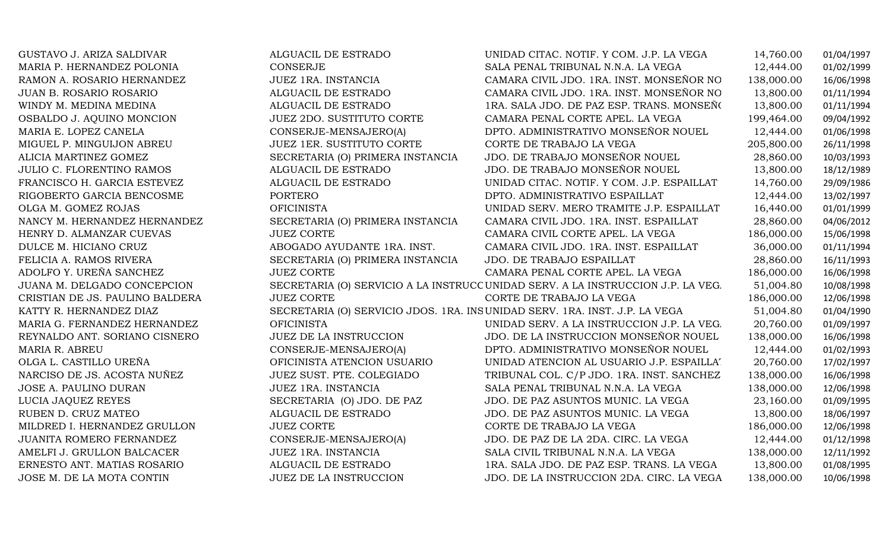| GUSTAVO J. ARIZA SALDIVAR       | ALGUACIL DE ESTRADO              | UNIDAD CITAC. NOTIF. Y COM. J.P. LA VEGA                                         | 14,760.00  | 01/04/1997 |
|---------------------------------|----------------------------------|----------------------------------------------------------------------------------|------------|------------|
| MARIA P. HERNANDEZ POLONIA      | <b>CONSERJE</b>                  | SALA PENAL TRIBUNAL N.N.A. LA VEGA                                               | 12,444.00  | 01/02/1999 |
| RAMON A. ROSARIO HERNANDEZ      | JUEZ 1RA. INSTANCIA              | CAMARA CIVIL JDO. 1RA. INST. MONSEÑOR NO                                         | 138,000.00 | 16/06/1998 |
| <b>JUAN B. ROSARIO ROSARIO</b>  | ALGUACIL DE ESTRADO              | CAMARA CIVIL JDO. 1RA. INST. MONSEÑOR NO                                         | 13,800.00  | 01/11/1994 |
| WINDY M. MEDINA MEDINA          | ALGUACIL DE ESTRADO              | 1RA. SALA JDO. DE PAZ ESP. TRANS. MONSEÑO                                        | 13,800.00  | 01/11/1994 |
| OSBALDO J. AQUINO MONCION       | <b>JUEZ 2DO. SUSTITUTO CORTE</b> | CAMARA PENAL CORTE APEL. LA VEGA                                                 | 199,464.00 | 09/04/1992 |
| MARIA E. LOPEZ CANELA           | CONSERJE-MENSAJERO(A)            | DPTO. ADMINISTRATIVO MONSEÑOR NOUEL                                              | 12,444.00  | 01/06/1998 |
| MIGUEL P. MINGUIJON ABREU       | JUEZ 1ER. SUSTITUTO CORTE        | CORTE DE TRABAJO LA VEGA                                                         | 205,800.00 | 26/11/1998 |
| ALICIA MARTINEZ GOMEZ           | SECRETARIA (O) PRIMERA INSTANCIA | JDO. DE TRABAJO MONSEÑOR NOUEL                                                   | 28,860.00  | 10/03/1993 |
| JULIO C. FLORENTINO RAMOS       | ALGUACIL DE ESTRADO              | JDO. DE TRABAJO MONSEÑOR NOUEL                                                   | 13,800.00  | 18/12/1989 |
| FRANCISCO H. GARCIA ESTEVEZ     | ALGUACIL DE ESTRADO              | UNIDAD CITAC. NOTIF. Y COM. J.P. ESPAILLAT                                       | 14,760.00  | 29/09/1986 |
| RIGOBERTO GARCIA BENCOSME       | PORTERO                          | DPTO. ADMINISTRATIVO ESPAILLAT                                                   | 12,444.00  | 13/02/1997 |
| OLGA M. GOMEZ ROJAS             | <b>OFICINISTA</b>                | UNIDAD SERV. MERO TRAMITE J.P. ESPAILLAT                                         | 16,440.00  | 01/01/1999 |
| NANCY M. HERNANDEZ HERNANDEZ    | SECRETARIA (O) PRIMERA INSTANCIA | CAMARA CIVIL JDO. 1RA. INST. ESPAILLAT                                           | 28,860.00  | 04/06/2012 |
| HENRY D. ALMANZAR CUEVAS        | <b>JUEZ CORTE</b>                | CAMARA CIVIL CORTE APEL. LA VEGA                                                 | 186,000.00 | 15/06/1998 |
| DULCE M. HICIANO CRUZ           | ABOGADO AYUDANTE 1RA. INST.      | CAMARA CIVIL JDO. 1RA. INST. ESPAILLAT                                           | 36,000.00  | 01/11/1994 |
| FELICIA A. RAMOS RIVERA         | SECRETARIA (O) PRIMERA INSTANCIA | JDO. DE TRABAJO ESPAILLAT                                                        | 28,860.00  | 16/11/1993 |
| ADOLFO Y. UREÑA SANCHEZ         | <b>JUEZ CORTE</b>                | CAMARA PENAL CORTE APEL. LA VEGA                                                 | 186,000.00 | 16/06/1998 |
| JUANA M. DELGADO CONCEPCION     |                                  | SECRETARIA (O) SERVICIO A LA INSTRUCC UNIDAD SERV. A LA INSTRUCCION J.P. LA VEG. | 51,004.80  | 10/08/1998 |
| CRISTIAN DE JS. PAULINO BALDERA | <b>JUEZ CORTE</b>                | CORTE DE TRABAJO LA VEGA                                                         | 186,000.00 | 12/06/1998 |
| KATTY R. HERNANDEZ DIAZ         |                                  | SECRETARIA (O) SERVICIO JDOS. 1RA. INSUNIDAD SERV. 1RA. INST. J.P. LA VEGA       | 51,004.80  | 01/04/1990 |
| MARIA G. FERNANDEZ HERNANDEZ    | <b>OFICINISTA</b>                | UNIDAD SERV. A LA INSTRUCCION J.P. LA VEG.                                       | 20,760.00  | 01/09/1997 |
| REYNALDO ANT. SORIANO CISNERO   | JUEZ DE LA INSTRUCCION           | JDO. DE LA INSTRUCCION MONSEÑOR NOUEL                                            | 138,000.00 | 16/06/1998 |
| MARIA R. ABREU                  | CONSERJE-MENSAJERO(A)            | DPTO. ADMINISTRATIVO MONSEÑOR NOUEL                                              | 12,444.00  | 01/02/1993 |
| OLGA L. CASTILLO UREÑA          | OFICINISTA ATENCION USUARIO      | UNIDAD ATENCION AL USUARIO J.P. ESPAILLA'                                        | 20,760.00  | 17/02/1997 |
| NARCISO DE JS. ACOSTA NUÑEZ     | JUEZ SUST. PTE. COLEGIADO        | TRIBUNAL COL. C/P JDO. 1RA. INST. SANCHEZ                                        | 138,000.00 | 16/06/1998 |
| JOSE A. PAULINO DURAN           | JUEZ 1RA. INSTANCIA              | SALA PENAL TRIBUNAL N.N.A. LA VEGA                                               | 138,000.00 | 12/06/1998 |
| LUCIA JAQUEZ REYES              | SECRETARIA (O) JDO. DE PAZ       | JDO. DE PAZ ASUNTOS MUNIC. LA VEGA                                               | 23,160.00  | 01/09/1995 |
| RUBEN D. CRUZ MATEO             | ALGUACIL DE ESTRADO              | JDO. DE PAZ ASUNTOS MUNIC. LA VEGA                                               | 13,800.00  | 18/06/1997 |
| MILDRED I. HERNANDEZ GRULLON    | <b>JUEZ CORTE</b>                | CORTE DE TRABAJO LA VEGA                                                         | 186,000.00 | 12/06/1998 |
| JUANITA ROMERO FERNANDEZ        | CONSERJE-MENSAJERO(A)            | JDO. DE PAZ DE LA 2DA. CIRC. LA VEGA                                             | 12,444.00  | 01/12/1998 |
| AMELFI J. GRULLON BALCACER      | JUEZ 1RA. INSTANCIA              | SALA CIVIL TRIBUNAL N.N.A. LA VEGA                                               | 138,000.00 | 12/11/1992 |
| ERNESTO ANT. MATIAS ROSARIO     | ALGUACIL DE ESTRADO              | 1RA. SALA JDO. DE PAZ ESP. TRANS. LA VEGA                                        | 13,800.00  | 01/08/1995 |
| JOSE M. DE LA MOTA CONTIN       | JUEZ DE LA INSTRUCCION           | JDO. DE LA INSTRUCCION 2DA. CIRC. LA VEGA                                        | 138,000.00 | 10/06/1998 |
|                                 |                                  |                                                                                  |            |            |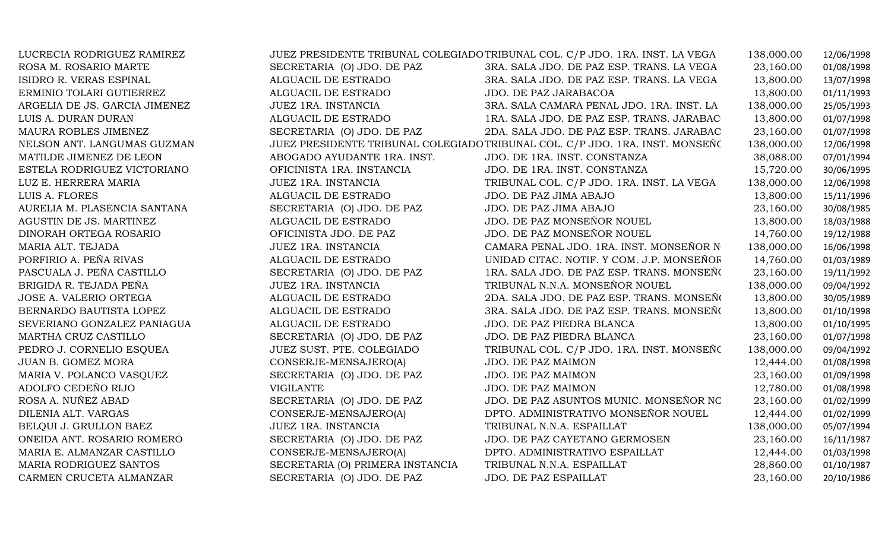| LUCRECIA RODRIGUEZ RAMIREZ    |                                  | JUEZ PRESIDENTE TRIBUNAL COLEGIADO TRIBUNAL COL. C/P JDO. 1RA. INST. LA VEGA | 138,000.00 | 12/06/1998 |
|-------------------------------|----------------------------------|------------------------------------------------------------------------------|------------|------------|
| ROSA M. ROSARIO MARTE         | SECRETARIA (O) JDO. DE PAZ       | 3RA. SALA JDO. DE PAZ ESP. TRANS. LA VEGA                                    | 23,160.00  | 01/08/1998 |
| ISIDRO R. VERAS ESPINAL       | ALGUACIL DE ESTRADO              | 3RA. SALA JDO. DE PAZ ESP. TRANS. LA VEGA                                    | 13,800.00  | 13/07/1998 |
| ERMINIO TOLARI GUTIERREZ      | ALGUACIL DE ESTRADO              | JDO. DE PAZ JARABACOA                                                        | 13,800.00  | 01/11/1993 |
| ARGELIA DE JS. GARCIA JIMENEZ | JUEZ 1RA. INSTANCIA              | 3RA. SALA CAMARA PENAL JDO. 1RA. INST. LA                                    | 138,000.00 | 25/05/1993 |
| LUIS A. DURAN DURAN           | ALGUACIL DE ESTRADO              | 1RA. SALA JDO. DE PAZ ESP. TRANS. JARABAC                                    | 13,800.00  | 01/07/1998 |
| MAURA ROBLES JIMENEZ          | SECRETARIA (O) JDO. DE PAZ       | 2DA. SALA JDO. DE PAZ ESP. TRANS. JARABAC                                    | 23,160.00  | 01/07/1998 |
| NELSON ANT. LANGUMAS GUZMAN   |                                  | JUEZ PRESIDENTE TRIBUNAL COLEGIADO TRIBUNAL COL. C/P JDO. 1RA. INST. MONSEÑO | 138,000.00 | 12/06/1998 |
| MATILDE JIMENEZ DE LEON       | ABOGADO AYUDANTE 1RA. INST.      | JDO. DE 1RA. INST. CONSTANZA                                                 | 38,088.00  | 07/01/1994 |
| ESTELA RODRIGUEZ VICTORIANO   | OFICINISTA 1RA. INSTANCIA        | JDO. DE 1RA. INST. CONSTANZA                                                 | 15,720.00  | 30/06/1995 |
| LUZ E. HERRERA MARIA          | JUEZ 1RA. INSTANCIA              | TRIBUNAL COL. C/P JDO. 1RA. INST. LA VEGA                                    | 138,000.00 | 12/06/1998 |
| LUIS A. FLORES                | ALGUACIL DE ESTRADO              | JDO. DE PAZ JIMA ABAJO                                                       | 13,800.00  | 15/11/1996 |
| AURELIA M. PLASENCIA SANTANA  | SECRETARIA (O) JDO. DE PAZ       | JDO. DE PAZ JIMA ABAJO                                                       | 23,160.00  | 30/08/1985 |
| AGUSTIN DE JS. MARTINEZ       | ALGUACIL DE ESTRADO              | JDO. DE PAZ MONSEÑOR NOUEL                                                   | 13,800.00  | 18/03/1988 |
| DINORAH ORTEGA ROSARIO        | OFICINISTA JDO. DE PAZ           | JDO. DE PAZ MONSEÑOR NOUEL                                                   | 14,760.00  | 19/12/1988 |
| MARIA ALT. TEJADA             | <b>JUEZ 1RA. INSTANCIA</b>       | CAMARA PENAL JDO. 1RA. INST. MONSEÑOR N                                      | 138,000.00 | 16/06/1998 |
| PORFIRIO A. PEÑA RIVAS        | ALGUACIL DE ESTRADO              | UNIDAD CITAC. NOTIF. Y COM. J.P. MONSEÑOR                                    | 14,760.00  | 01/03/1989 |
| PASCUALA J. PEÑA CASTILLO     | SECRETARIA (O) JDO. DE PAZ       | 1RA. SALA JDO. DE PAZ ESP. TRANS. MONSEÑO                                    | 23,160.00  | 19/11/1992 |
| BRIGIDA R. TEJADA PEÑA        | JUEZ 1RA. INSTANCIA              | TRIBUNAL N.N.A. MONSEÑOR NOUEL                                               | 138,000.00 | 09/04/1992 |
| JOSE A. VALERIO ORTEGA        | ALGUACIL DE ESTRADO              | 2DA. SALA JDO. DE PAZ ESP. TRANS. MONSEÑO                                    | 13,800.00  | 30/05/1989 |
| BERNARDO BAUTISTA LOPEZ       | ALGUACIL DE ESTRADO              | 3RA. SALA JDO. DE PAZ ESP. TRANS. MONSEÑO                                    | 13,800.00  | 01/10/1998 |
| SEVERIANO GONZALEZ PANIAGUA   | ALGUACIL DE ESTRADO              | JDO. DE PAZ PIEDRA BLANCA                                                    | 13,800.00  | 01/10/1995 |
| MARTHA CRUZ CASTILLO          | SECRETARIA (O) JDO. DE PAZ       | JDO. DE PAZ PIEDRA BLANCA                                                    | 23,160.00  | 01/07/1998 |
| PEDRO J. CORNELIO ESQUEA      | JUEZ SUST. PTE. COLEGIADO        | TRIBUNAL COL. C/P JDO. 1RA. INST. MONSEÑO                                    | 138,000.00 | 09/04/1992 |
| <b>JUAN B. GOMEZ MORA</b>     | CONSERJE-MENSAJERO(A)            | JDO. DE PAZ MAIMON                                                           | 12,444.00  | 01/08/1998 |
| MARIA V. POLANCO VASQUEZ      | SECRETARIA (O) JDO. DE PAZ       | JDO. DE PAZ MAIMON                                                           | 23,160.00  | 01/09/1998 |
| ADOLFO CEDEÑO RIJO            | <b>VIGILANTE</b>                 | JDO. DE PAZ MAIMON                                                           | 12,780.00  | 01/08/1998 |
| ROSA A. NUÑEZ ABAD            | SECRETARIA (O) JDO. DE PAZ       | JDO. DE PAZ ASUNTOS MUNIC. MONSEÑOR NC                                       | 23,160.00  | 01/02/1999 |
| DILENIA ALT. VARGAS           | CONSERJE-MENSAJERO(A)            | DPTO. ADMINISTRATIVO MONSEÑOR NOUEL                                          | 12,444.00  | 01/02/1999 |
| BELQUI J. GRULLON BAEZ        | JUEZ 1RA. INSTANCIA              | TRIBUNAL N.N.A. ESPAILLAT                                                    | 138,000.00 | 05/07/1994 |
| ONEIDA ANT. ROSARIO ROMERO    | SECRETARIA (O) JDO. DE PAZ       | JDO. DE PAZ CAYETANO GERMOSEN                                                | 23,160.00  | 16/11/1987 |
| MARIA E. ALMANZAR CASTILLO    | CONSERJE-MENSAJERO(A)            | DPTO. ADMINISTRATIVO ESPAILLAT                                               | 12,444.00  | 01/03/1998 |
| MARIA RODRIGUEZ SANTOS        | SECRETARIA (O) PRIMERA INSTANCIA | TRIBUNAL N.N.A. ESPAILLAT                                                    | 28,860.00  | 01/10/1987 |
| CARMEN CRUCETA ALMANZAR       | SECRETARIA (O) JDO. DE PAZ       | JDO. DE PAZ ESPAILLAT                                                        | 23,160.00  | 20/10/1986 |
|                               |                                  |                                                                              |            |            |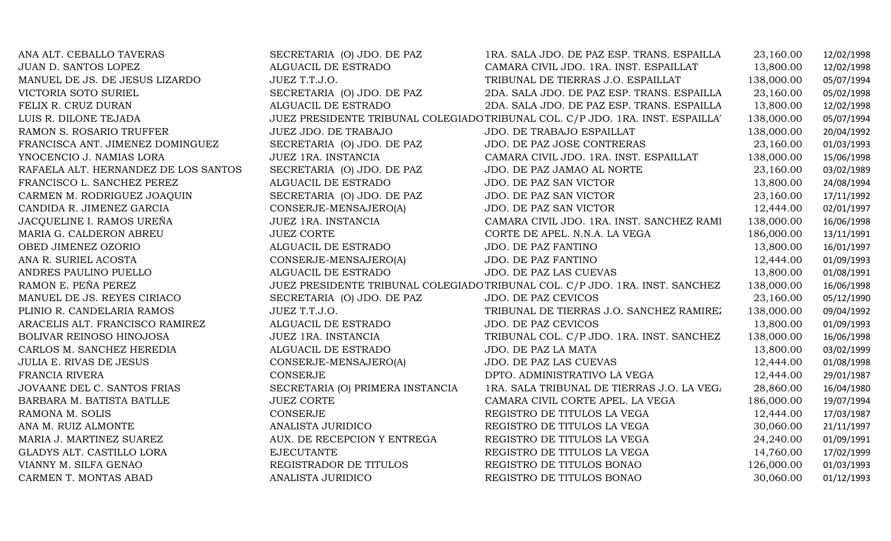| ANA ALT. CEBALLO TAVERAS             | SECRETARIA (O) JDO. DE PAZ       | 1RA. SALA JDO. DE PAZ ESP. TRANS. ESPAILLA                                     | 23,160.00  | 12/02/1998 |
|--------------------------------------|----------------------------------|--------------------------------------------------------------------------------|------------|------------|
| JUAN D. SANTOS LOPEZ                 | ALGUACIL DE ESTRADO              | CAMARA CIVIL JDO. 1RA. INST. ESPAILLAT                                         | 13,800.00  | 12/02/1998 |
| MANUEL DE JS. DE JESUS LIZARDO       | JUEZ T.T.J.O.                    | TRIBUNAL DE TIERRAS J.O. ESPAILLAT                                             | 138,000.00 | 05/07/1994 |
| VICTORIA SOTO SURIEL                 | SECRETARIA (O) JDO. DE PAZ       | 2DA. SALA JDO. DE PAZ ESP. TRANS. ESPAILLA                                     | 23,160.00  | 05/02/1998 |
| FELIX R. CRUZ DURAN                  | ALGUACIL DE ESTRADO              | 2DA. SALA JDO. DE PAZ ESP. TRANS. ESPAILLA                                     | 13,800.00  | 12/02/1998 |
| LUIS R. DILONE TEJADA                |                                  | JUEZ PRESIDENTE TRIBUNAL COLEGIADO TRIBUNAL COL. C/P JDO. 1RA. INST. ESPAILLA' | 138,000.00 | 05/07/1994 |
| RAMON S. ROSARIO TRUFFER             | JUEZ JDO. DE TRABAJO             | JDO. DE TRABAJO ESPAILLAT                                                      | 138,000.00 | 20/04/1992 |
| FRANCISCA ANT. JIMENEZ DOMINGUEZ     | SECRETARIA (O) JDO. DE PAZ       | JDO. DE PAZ JOSE CONTRERAS                                                     | 23,160.00  | 01/03/1993 |
| YNOCENCIO J. NAMIAS LORA             | JUEZ 1RA. INSTANCIA              | CAMARA CIVIL JDO. 1RA. INST. ESPAILLAT                                         | 138,000.00 | 15/06/1998 |
| RAFAELA ALT. HERNANDEZ DE LOS SANTOS | SECRETARIA (O) JDO. DE PAZ       | JDO. DE PAZ JAMAO AL NORTE                                                     | 23,160.00  | 03/02/1989 |
| FRANCISCO L. SANCHEZ PEREZ           | ALGUACIL DE ESTRADO              | JDO. DE PAZ SAN VICTOR                                                         | 13,800.00  | 24/08/1994 |
| CARMEN M. RODRIGUEZ JOAQUIN          | SECRETARIA (O) JDO. DE PAZ       | JDO. DE PAZ SAN VICTOR                                                         | 23,160.00  | 17/11/1992 |
| CANDIDA R. JIMENEZ GARCIA            | CONSERJE-MENSAJERO(A)            | JDO. DE PAZ SAN VICTOR                                                         | 12,444.00  | 02/01/1997 |
| JACQUELINE I. RAMOS UREÑA            | JUEZ 1RA. INSTANCIA              | CAMARA CIVIL JDO. 1RA. INST. SANCHEZ RAMI                                      | 138,000.00 | 16/06/1998 |
| MARIA G. CALDERON ABREU              | <b>JUEZ CORTE</b>                | CORTE DE APEL. N.N.A. LA VEGA                                                  | 186,000.00 | 13/11/1991 |
| OBED JIMENEZ OZORIO                  | ALGUACIL DE ESTRADO              | JDO. DE PAZ FANTINO                                                            | 13,800.00  | 16/01/1997 |
| ANA R. SURIEL ACOSTA                 | CONSERJE-MENSAJERO(A)            | JDO. DE PAZ FANTINO                                                            | 12,444.00  | 01/09/1993 |
| ANDRES PAULINO PUELLO                | ALGUACIL DE ESTRADO              | JDO. DE PAZ LAS CUEVAS                                                         | 13,800.00  | 01/08/1991 |
| RAMON E. PEÑA PEREZ                  |                                  | JUEZ PRESIDENTE TRIBUNAL COLEGIADO TRIBUNAL COL. C/P JDO. 1RA. INST. SANCHEZ   | 138,000.00 | 16/06/1998 |
| MANUEL DE JS. REYES CIRIACO          | SECRETARIA (O) JDO. DE PAZ       | JDO. DE PAZ CEVICOS                                                            | 23,160.00  | 05/12/1990 |
| PLINIO R. CANDELARIA RAMOS           | JUEZ T.T.J.O.                    | TRIBUNAL DE TIERRAS J.O. SANCHEZ RAMIREZ                                       | 138,000.00 | 09/04/1992 |
| ARACELIS ALT. FRANCISCO RAMIREZ      | ALGUACIL DE ESTRADO              | JDO. DE PAZ CEVICOS                                                            | 13,800.00  | 01/09/1993 |
| BOLIVAR REINOSO HINOJOSA             | JUEZ 1RA. INSTANCIA              | TRIBUNAL COL. C/P JDO. 1RA. INST. SANCHEZ                                      | 138,000.00 | 16/06/1998 |
| CARLOS M. SANCHEZ HEREDIA            | ALGUACIL DE ESTRADO              | JDO. DE PAZ LA MATA                                                            | 13,800.00  | 03/02/1999 |
| <b>JULIA E. RIVAS DE JESUS</b>       | CONSERJE-MENSAJERO(A)            | JDO. DE PAZ LAS CUEVAS                                                         | 12,444.00  | 01/08/1998 |
| FRANCIA RIVERA                       | CONSERJE                         | DPTO. ADMINISTRATIVO LA VEGA                                                   | 12,444.00  | 29/01/1987 |
| JOVAANE DEL C. SANTOS FRIAS          | SECRETARIA (O) PRIMERA INSTANCIA | 1RA. SALA TRIBUNAL DE TIERRAS J.O. LA VEG.                                     | 28,860.00  | 16/04/1980 |
| BARBARA M. BATISTA BATLLE            | <b>JUEZ CORTE</b>                | CAMARA CIVIL CORTE APEL. LA VEGA                                               | 186,000.00 | 19/07/1994 |
| RAMONA M. SOLIS                      | <b>CONSERJE</b>                  | REGISTRO DE TITULOS LA VEGA                                                    | 12,444.00  | 17/03/1987 |
| ANA M. RUIZ ALMONTE                  | ANALISTA JURIDICO                | REGISTRO DE TITULOS LA VEGA                                                    | 30,060.00  | 21/11/1997 |
| MARIA J. MARTINEZ SUAREZ             | AUX. DE RECEPCION Y ENTREGA      | REGISTRO DE TITULOS LA VEGA                                                    | 24,240.00  | 01/09/1991 |
| GLADYS ALT. CASTILLO LORA            | <b>EJECUTANTE</b>                | REGISTRO DE TITULOS LA VEGA                                                    | 14,760.00  | 17/02/1999 |
| VIANNY M. SILFA GENAO                | REGISTRADOR DE TITULOS           | REGISTRO DE TITULOS BONAO                                                      | 126,000.00 | 01/03/1993 |
| CARMEN T. MONTAS ABAD                | ANALISTA JURIDICO                | REGISTRO DE TITULOS BONAO                                                      | 30,060.00  | 01/12/1993 |
|                                      |                                  |                                                                                |            |            |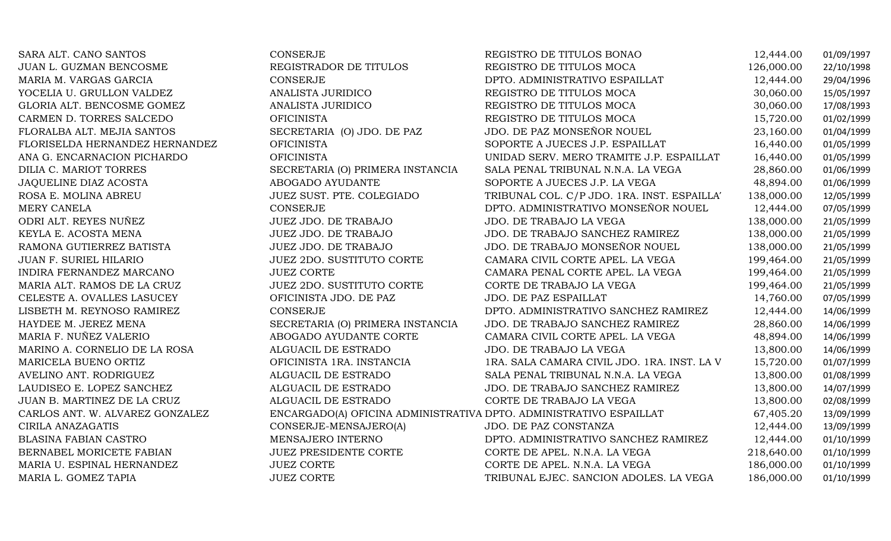| SARA ALT. CANO SANTOS           | <b>CONSERJE</b>                                                    | REGISTRO DE TITULOS BONAO                   | 12,444.00  | 01/09/1997 |
|---------------------------------|--------------------------------------------------------------------|---------------------------------------------|------------|------------|
| JUAN L. GUZMAN BENCOSME         | REGISTRADOR DE TITULOS                                             | REGISTRO DE TITULOS MOCA                    | 126,000.00 | 22/10/1998 |
| MARIA M. VARGAS GARCIA          | <b>CONSERJE</b>                                                    | DPTO. ADMINISTRATIVO ESPAILLAT              | 12,444.00  | 29/04/1996 |
| YOCELIA U. GRULLON VALDEZ       | ANALISTA JURIDICO                                                  | REGISTRO DE TITULOS MOCA                    | 30,060.00  | 15/05/1997 |
| GLORIA ALT. BENCOSME GOMEZ      | ANALISTA JURIDICO                                                  | REGISTRO DE TITULOS MOCA                    | 30,060.00  | 17/08/1993 |
| CARMEN D. TORRES SALCEDO        | <b>OFICINISTA</b>                                                  | REGISTRO DE TITULOS MOCA                    | 15,720.00  | 01/02/1999 |
| FLORALBA ALT. MEJIA SANTOS      | SECRETARIA (O) JDO. DE PAZ                                         | JDO. DE PAZ MONSEÑOR NOUEL                  | 23,160.00  | 01/04/1999 |
| FLORISELDA HERNANDEZ HERNANDEZ  | <b>OFICINISTA</b>                                                  | SOPORTE A JUECES J.P. ESPAILLAT             | 16,440.00  | 01/05/1999 |
| ANA G. ENCARNACION PICHARDO     | <b>OFICINISTA</b>                                                  | UNIDAD SERV. MERO TRAMITE J.P. ESPAILLAT    | 16,440.00  | 01/05/1999 |
| DILIA C. MARIOT TORRES          | SECRETARIA (O) PRIMERA INSTANCIA                                   | SALA PENAL TRIBUNAL N.N.A. LA VEGA          | 28,860.00  | 01/06/1999 |
| JAQUELINE DIAZ ACOSTA           | ABOGADO AYUDANTE                                                   | SOPORTE A JUECES J.P. LA VEGA               | 48,894.00  | 01/06/1999 |
| ROSA E. MOLINA ABREU            | JUEZ SUST. PTE. COLEGIADO                                          | TRIBUNAL COL. C/P JDO. 1RA. INST. ESPAILLA' | 138,000.00 | 12/05/1999 |
| MERY CANELA                     | CONSERJE                                                           | DPTO. ADMINISTRATIVO MONSEÑOR NOUEL         | 12,444.00  | 07/05/1999 |
| ODRI ALT. REYES NUÑEZ           | JUEZ JDO. DE TRABAJO                                               | JDO. DE TRABAJO LA VEGA                     | 138,000.00 | 21/05/1999 |
| KEYLA E. ACOSTA MENA            | JUEZ JDO. DE TRABAJO                                               | JDO. DE TRABAJO SANCHEZ RAMIREZ             | 138,000.00 | 21/05/1999 |
| RAMONA GUTIERREZ BATISTA        | JUEZ JDO. DE TRABAJO                                               | JDO. DE TRABAJO MONSEÑOR NOUEL              | 138,000.00 | 21/05/1999 |
| JUAN F. SURIEL HILARIO          | JUEZ 2DO. SUSTITUTO CORTE                                          | CAMARA CIVIL CORTE APEL. LA VEGA            | 199,464.00 | 21/05/1999 |
| INDIRA FERNANDEZ MARCANO        | <b>JUEZ CORTE</b>                                                  | CAMARA PENAL CORTE APEL. LA VEGA            | 199,464.00 | 21/05/1999 |
| MARIA ALT. RAMOS DE LA CRUZ     | JUEZ 2DO. SUSTITUTO CORTE                                          | CORTE DE TRABAJO LA VEGA                    | 199,464.00 | 21/05/1999 |
| CELESTE A. OVALLES LASUCEY      | OFICINISTA JDO. DE PAZ                                             | JDO. DE PAZ ESPAILLAT                       | 14,760.00  | 07/05/1999 |
| LISBETH M. REYNOSO RAMIREZ      | <b>CONSERJE</b>                                                    | DPTO. ADMINISTRATIVO SANCHEZ RAMIREZ        | 12,444.00  | 14/06/1999 |
| HAYDEE M. JEREZ MENA            | SECRETARIA (O) PRIMERA INSTANCIA                                   | JDO. DE TRABAJO SANCHEZ RAMIREZ             | 28,860.00  | 14/06/1999 |
| MARIA F. NUÑEZ VALERIO          | ABOGADO AYUDANTE CORTE                                             | CAMARA CIVIL CORTE APEL. LA VEGA            | 48,894.00  | 14/06/1999 |
| MARINO A. CORNELIO DE LA ROSA   | ALGUACIL DE ESTRADO                                                | JDO. DE TRABAJO LA VEGA                     | 13,800.00  | 14/06/1999 |
| MARICELA BUENO ORTIZ            | OFICINISTA 1RA. INSTANCIA                                          | 1RA. SALA CAMARA CIVIL JDO. 1RA. INST. LA V | 15,720.00  | 01/07/1999 |
| AVELINO ANT. RODRIGUEZ          | ALGUACIL DE ESTRADO                                                | SALA PENAL TRIBUNAL N.N.A. LA VEGA          | 13,800.00  | 01/08/1999 |
| LAUDISEO E. LOPEZ SANCHEZ       | ALGUACIL DE ESTRADO                                                | JDO. DE TRABAJO SANCHEZ RAMIREZ             | 13,800.00  | 14/07/1999 |
| JUAN B. MARTINEZ DE LA CRUZ     | ALGUACIL DE ESTRADO                                                | CORTE DE TRABAJO LA VEGA                    | 13,800.00  | 02/08/1999 |
| CARLOS ANT. W. ALVAREZ GONZALEZ | ENCARGADO(A) OFICINA ADMINISTRATIVA DPTO. ADMINISTRATIVO ESPAILLAT |                                             | 67,405.20  | 13/09/1999 |
| CIRILA ANAZAGATIS               | CONSERJE-MENSAJERO(A)                                              | JDO. DE PAZ CONSTANZA                       | 12,444.00  | 13/09/1999 |
| <b>BLASINA FABIAN CASTRO</b>    | MENSAJERO INTERNO                                                  | DPTO. ADMINISTRATIVO SANCHEZ RAMIREZ        | 12,444.00  | 01/10/1999 |
| BERNABEL MORICETE FABIAN        | <b>JUEZ PRESIDENTE CORTE</b>                                       | CORTE DE APEL. N.N.A. LA VEGA               | 218,640.00 | 01/10/1999 |
| MARIA U. ESPINAL HERNANDEZ      | <b>JUEZ CORTE</b>                                                  | CORTE DE APEL. N.N.A. LA VEGA               | 186,000.00 | 01/10/1999 |
| MARIA L. GOMEZ TAPIA            | <b>JUEZ CORTE</b>                                                  | TRIBUNAL EJEC. SANCION ADOLES. LA VEGA      | 186,000.00 | 01/10/1999 |
|                                 |                                                                    |                                             |            |            |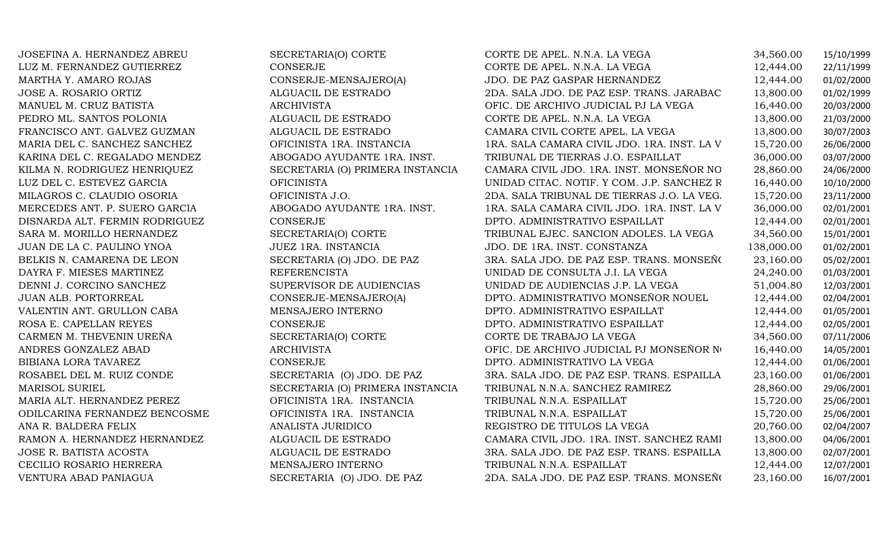JOSE A. ROSARIO ORTIZ ALGUACIL DE ESTRADOMARISOL SURIELRAMON A. HERNANDEZ HERNANDEZ ALGUACIL DE ESTRADOJOSE R. BATISTA ACOSTA ALGUACIL DE ESTRADO

JOSEFINA A. HERNANDEZ ABREU SECRETARIA(O) CORTE CORTE DE APEL. N.N.A. LA VEGA 34,560.00 15/10/1999<br>LUZ M. FERNANDEZ GUTIERREZ CONSERJE CONSERIE CORTE DE APEL. N.N.A. LA VEGA 12,444.00 22/11/1999 LUZ M. FERNANDEZ GUTIERREZ CONSERJE CORTE DE APEL. N.N.A. LA VEGA 12,444.00 22/11/1999 MARTHA Y. AMARO ROJAS CONSERJE-MENSAJERO(A) JDO. DE PAZ GASPAR HERNANDEZ 12,444.00 01/02/2000 2DA. SALA JDO. DE PAZ ESP. TRANS. JARABAC 13,800.00 01/02/1999<br>OFIC. DE ARCHIVO JUDICIAL PJ LA VEGA 16.440.00 20/03/2000 MANUEL M. CRUZ BATISTA ARCHIVISTA OFIC. DE ARCHIVO JUDICIAL PJ LA VEGA 16,440.00 20/03/2000 PEDRO ML. SANTOS POLONIA ALGUACIL DE ESTRADO CORTE DE APEL. N.N.A. LA VEGA 13,800.00 21/03/2000 FRANCISCO ANT. GALVEZ GUZMAN ALGUACIL DE ESTRADO CAMARA CIVIL CORTE APEL. LA VEGA 13,800.00 30/07/2003 MARIA DEL C. SANCHEZ SANCHEZ OFICINISTA 1RA. INSTANCIA 1RA. SALA CAMARA CIVIL JDO. 1RA. INST. LA VEGA 15,720.00 26/06/2000 KARINA DEL C. REGALADO MENDEZ ABOGADO AYUDANTE 1RA. INST. TRIBUNAL DE TIERRAS J.O. ESPAILLAT 36,000.00 03/07/2000 KILMA N. RODRIGUEZ HENRIQUEZ SECRETARIA (O) PRIMERA INSTANCIA CAMARA CIVIL JDO. 1RA. INST. MONSEÑOR NO 28,860.00 24/06/2000<br>LUZ DEL C. ESTEVEZ GARCIA OFICINISTA UNIDAD CITAC. NOTIF. Y COM. J.P. SANCHEZ R 16,440.00 10/10/20 LUZ DEL C. ESTEVEZ GARCIA OFICINISTA UNIDAD CITAC. NOTIF. Y COM. J.P. SANCHEZ RAMIREZ16,440.00 10/10/2000 MILAGROS C. CLAUDIO OSORIA OFICINISTA J.O. 2DA. SALA TRIBUNAL DE TIERRAS J.O. LA VEGA 15,720.00 23/11/2000 MERCEDES ANT. P. SUERO GARCIA ABOGADO AYUDANTE 1RA. INST. 1RA. SALA CAMARA CIVIL JDO. 1RA. INST. LA VEGA 36,000.00 02/01/2001 DISNARDA ALT. FERMIN RODRIGUEZ CONSERJE DPTO. ADMINISTRATIVO ESPAILLAT 12,444.00 02/01/2001 SARA M. MORILLO HERNANDEZ SECRETARIA(O) CORTE TRIBUNAL EJEC. SANCION ADOLES. LA VEGA 34,560.00 15/01/2001<br>JUAN DE LA C. PAULINO YNOA JUEZ 1RA. INSTANCIA JUDO. DE 1RA. INST. CONSTANZA 138,000.00 01/02/2001 JUAN DE LA C. PAULINO YNOA JUEZ 1RA. INSTANCIA JDO. DE 1RA. INST. CONSTANZA 138,000.00 01/02/2001 BELKIS N. CAMARENA DE LEON SECRETARIA (O) JDO. DE PAZ 3RA. SALA JDO. DE PAZ ESP. TRANS. MONSEÑOR NOUEL 23,160.00 05/02/2001 DAYRA F. MIESES MARTINEZ REFERENCISTA UNIDAD DE CONSULTA J.I. LA VEGA 24,240.00 01/03/2001 DENNI J. CORCINO SANCHEZ SUPERVISOR DE AUDIENCIAS UNIDAD DE AUDIENCIAS J.P. LA VEGA 51,004.80 12/03/2001 JUAN ALB. PORTORREAL CONSERJE-MENSAJERO(A) DPTO. ADMINISTRATIVO MONSEÑOR NOUEL 12,444.00 02/04/2001 VALENTIN ANT. GRULLON CABA MENSAJERO INTERNO DPTO. ADMINISTRATIVO ESPAILLAT 12,444.00 01/05/2001 ROSA E. CAPELLAN REYES CONSERJE DPTO. ADMINISTRATIVO ESPAILLAT 12,444.00 02/05/2001 CARMEN M. THEVENIN UREÑA SECRETARIA(O) CORTE CORTE DE TRABAJO LA VEGA 34,560.00 07/11/2006 ANDRES GONZALEZ ABAD ARCHIVISTA OFIC. DE ARCHIVO JUDICIAL PJ MONSEÑOR NUNCLAL 16,440.00 14/05/2001<br>BIBIANA LORA TAVAREZ CONSERJE DPTO. ADMINISTRATIVO LA VEGA BIBIANA LORA TAVAREZ CONSERJE CONSERJE DPTO. ADMINISTRATIVO LA VEGA 12,444.00 01/06/2001<br>ROSABEL DEL M. RUIZ CONDE SECRETARIA (O) JDO. DE PAZ 3RA. SALA JDO. DE PAZ ESP. TRANS. ESPAILLA 23,160.00 01/06/2001 3RA. SALA JDO. DE PAZ ESP. TRANS. ESPAILLA  $23,160.00$  01/06/2001<br>TRIBUNAL N.N.A. SANCHEZ RAMIREZ 28,860.00 29/06/2001 SECRETARIA (O) PRIMERA INSTANCIA TRIBUNAL N.N.A. SANCHEZ RAMIREZ 28,860.00 29/06/2001 MARIA ALT. HERNANDEZ PEREZ OFICINISTA 1RA. INSTANCIA TRIBUNAL N.N.A. ESPAILLAT 15,720.00 25/06/2001 ODILCARINA FERNANDEZ BENCOSME OFICINISTA 1RA. INSTANCIA TRIBUNAL N.N.A. ESPAILLAT 15,720.00 25/06/2001 ANA R. BALDERA FELIX ANALISTA JURIDICO REGISTRO DE TITULOS LA VEGA 20,760.00 02/04/2007 CAMARA CIVIL JDO. 1RA. INST. SANCHEZ RAMI 13,800.00 04/06/2001<br>3RA. SALA JDO. DE PAZ ESP. TRANS. ESPAILLA 13.800.00 02/07/2001 3RA. SALA JDO. DE PAZ ESP. TRANS. ESPAILLA  $13,800.00$  02/07/2001<br>TRIBUNAL N.N.A. ESPAILLAT  $12,444.00$  12/07/2001 CECILIO ROSARIO HERRERA MENSAJERO INTERNO TRIBUNAL N.N.A. ESPAILLAT 12,444.00 12/07/2001 VENTURA ABAD PANIAGUA SECRETARIA (O) JDO. DE PAZ 2DA. SALA JDO. DE PAZ ESP. TRANS. MONSEÑ (23,160.00 16/07/2001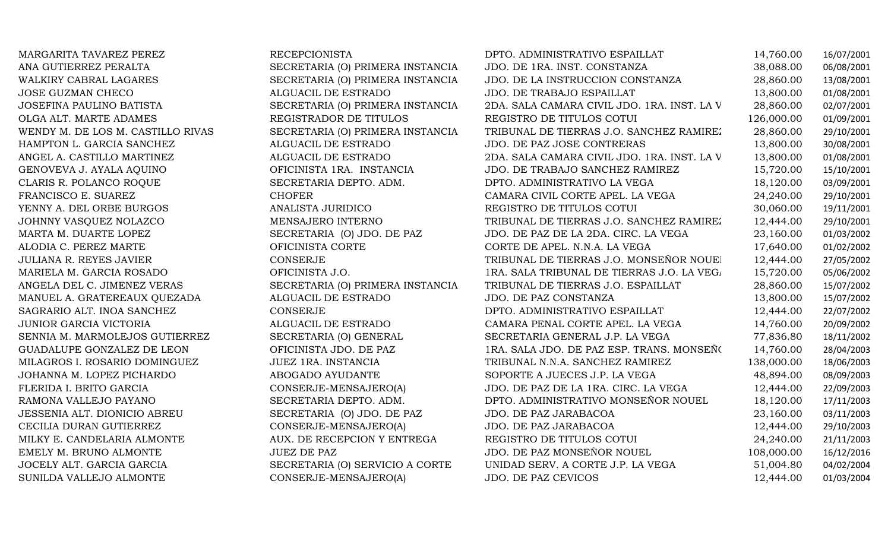| MARGARITA TAVAREZ PEREZ           | <b>RECEPCIONISTA</b>             | DPTO. ADMINISTRATIVO ESPAILLAT              | 14,760.00  | 16/07/2001 |
|-----------------------------------|----------------------------------|---------------------------------------------|------------|------------|
| ANA GUTIERREZ PERALTA             | SECRETARIA (O) PRIMERA INSTANCIA | JDO. DE 1RA. INST. CONSTANZA                | 38,088.00  | 06/08/2001 |
| WALKIRY CABRAL LAGARES            | SECRETARIA (O) PRIMERA INSTANCIA | JDO. DE LA INSTRUCCION CONSTANZA            | 28,860.00  | 13/08/2001 |
| <b>JOSE GUZMAN CHECO</b>          | ALGUACIL DE ESTRADO              | JDO. DE TRABAJO ESPAILLAT                   | 13,800.00  | 01/08/2001 |
| JOSEFINA PAULINO BATISTA          | SECRETARIA (O) PRIMERA INSTANCIA | 2DA. SALA CAMARA CIVIL JDO. 1RA. INST. LA V | 28,860.00  | 02/07/2001 |
| OLGA ALT. MARTE ADAMES            | REGISTRADOR DE TITULOS           | REGISTRO DE TITULOS COTUI                   | 126,000.00 | 01/09/2001 |
| WENDY M. DE LOS M. CASTILLO RIVAS | SECRETARIA (O) PRIMERA INSTANCIA | TRIBUNAL DE TIERRAS J.O. SANCHEZ RAMIREZ    | 28,860.00  | 29/10/2001 |
| HAMPTON L. GARCIA SANCHEZ         | ALGUACIL DE ESTRADO              | JDO. DE PAZ JOSE CONTRERAS                  | 13,800.00  | 30/08/2001 |
| ANGEL A. CASTILLO MARTINEZ        | ALGUACIL DE ESTRADO              | 2DA. SALA CAMARA CIVIL JDO. 1RA. INST. LA V | 13,800.00  | 01/08/2001 |
| GENOVEVA J. AYALA AQUINO          | OFICINISTA 1RA. INSTANCIA        | JDO. DE TRABAJO SANCHEZ RAMIREZ             | 15,720.00  | 15/10/2001 |
| CLARIS R. POLANCO ROQUE           | SECRETARIA DEPTO. ADM.           | DPTO. ADMINISTRATIVO LA VEGA                | 18,120.00  | 03/09/2001 |
| FRANCISCO E. SUAREZ               | <b>CHOFER</b>                    | CAMARA CIVIL CORTE APEL. LA VEGA            | 24,240.00  | 29/10/2001 |
| YENNY A. DEL ORBE BURGOS          | ANALISTA JURIDICO                | REGISTRO DE TITULOS COTUI                   | 30,060.00  | 19/11/2001 |
| JOHNNY VASQUEZ NOLAZCO            | MENSAJERO INTERNO                | TRIBUNAL DE TIERRAS J.O. SANCHEZ RAMIREZ    | 12,444.00  | 29/10/2001 |
| MARTA M. DUARTE LOPEZ             | SECRETARIA (O) JDO. DE PAZ       | JDO. DE PAZ DE LA 2DA. CIRC. LA VEGA        | 23,160.00  | 01/03/2002 |
| ALODIA C. PEREZ MARTE             | OFICINISTA CORTE                 | CORTE DE APEL. N.N.A. LA VEGA               | 17,640.00  | 01/02/2002 |
| JULIANA R. REYES JAVIER           | <b>CONSERJE</b>                  | TRIBUNAL DE TIERRAS J.O. MONSEÑOR NOUEI     | 12,444.00  | 27/05/2002 |
| MARIELA M. GARCIA ROSADO          | OFICINISTA J.O.                  | 1RA. SALA TRIBUNAL DE TIERRAS J.O. LA VEGA  | 15,720.00  | 05/06/2002 |
| ANGELA DEL C. JIMENEZ VERAS       | SECRETARIA (O) PRIMERA INSTANCIA | TRIBUNAL DE TIERRAS J.O. ESPAILLAT          | 28,860.00  | 15/07/2002 |
| MANUEL A. GRATEREAUX QUEZADA      | ALGUACIL DE ESTRADO              | JDO. DE PAZ CONSTANZA                       | 13,800.00  | 15/07/2002 |
| SAGRARIO ALT. INOA SANCHEZ        | CONSERJE                         | DPTO. ADMINISTRATIVO ESPAILLAT              | 12,444.00  | 22/07/2002 |
| JUNIOR GARCIA VICTORIA            | ALGUACIL DE ESTRADO              | CAMARA PENAL CORTE APEL. LA VEGA            | 14,760.00  | 20/09/2002 |
| SENNIA M. MARMOLEJOS GUTIERREZ    | SECRETARIA (O) GENERAL           | SECRETARIA GENERAL J.P. LA VEGA             | 77,836.80  | 18/11/2002 |
| GUADALUPE GONZALEZ DE LEON        | OFICINISTA JDO. DE PAZ           | 1RA. SALA JDO. DE PAZ ESP. TRANS. MONSEÑO   | 14,760.00  | 28/04/2003 |
| MILAGROS I. ROSARIO DOMINGUEZ     | JUEZ 1RA. INSTANCIA              | TRIBUNAL N.N.A. SANCHEZ RAMIREZ             | 138,000.00 | 18/06/2003 |
| JOHANNA M. LOPEZ PICHARDO         | ABOGADO AYUDANTE                 | SOPORTE A JUECES J.P. LA VEGA               | 48,894.00  | 08/09/2003 |
| FLERIDA I. BRITO GARCIA           | CONSERJE-MENSAJERO(A)            | JDO. DE PAZ DE LA 1RA. CIRC. LA VEGA        | 12,444.00  | 22/09/2003 |
| RAMONA VALLEJO PAYANO             | SECRETARIA DEPTO. ADM.           | DPTO. ADMINISTRATIVO MONSEÑOR NOUEL         | 18,120.00  | 17/11/2003 |
| JESSENIA ALT. DIONICIO ABREU      | SECRETARIA (O) JDO. DE PAZ       | JDO. DE PAZ JARABACOA                       | 23,160.00  | 03/11/2003 |
| CECILIA DURAN GUTIERREZ           | CONSERJE-MENSAJERO(A)            | JDO. DE PAZ JARABACOA                       | 12,444.00  | 29/10/2003 |
| MILKY E. CANDELARIA ALMONTE       | AUX. DE RECEPCION Y ENTREGA      | REGISTRO DE TITULOS COTUI                   | 24,240.00  | 21/11/2003 |
| EMELY M. BRUNO ALMONTE            | <b>JUEZ DE PAZ</b>               | JDO. DE PAZ MONSEÑOR NOUEL                  | 108,000.00 | 16/12/2016 |
| JOCELY ALT. GARCIA GARCIA         | SECRETARIA (O) SERVICIO A CORTE  | UNIDAD SERV. A CORTE J.P. LA VEGA           | 51,004.80  | 04/02/2004 |
| SUNILDA VALLEJO ALMONTE           | CONSERJE-MENSAJERO(A)            | JDO. DE PAZ CEVICOS                         | 12,444.00  | 01/03/2004 |
|                                   |                                  |                                             |            |            |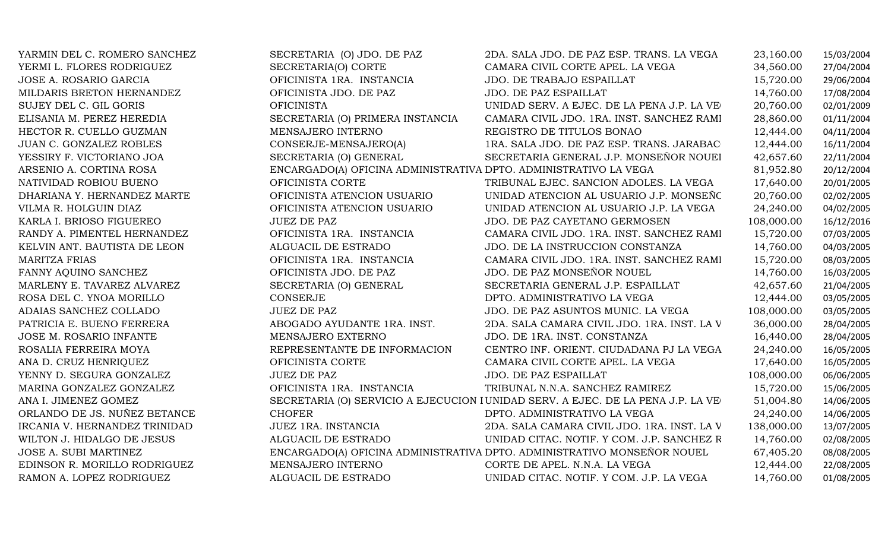| YARMIN DEL C. ROMERO SANCHEZ  | SECRETARIA (O) JDO. DE PAZ                                       | 2DA. SALA JDO. DE PAZ ESP. TRANS. LA VEGA                                        | 23,160.00  | 15/03/2004 |
|-------------------------------|------------------------------------------------------------------|----------------------------------------------------------------------------------|------------|------------|
| YERMI L. FLORES RODRIGUEZ     | SECRETARIA(O) CORTE                                              | CAMARA CIVIL CORTE APEL. LA VEGA                                                 | 34,560.00  | 27/04/2004 |
| JOSE A. ROSARIO GARCIA        | OFICINISTA 1RA. INSTANCIA                                        | JDO. DE TRABAJO ESPAILLAT                                                        | 15,720.00  | 29/06/2004 |
| MILDARIS BRETON HERNANDEZ     | OFICINISTA JDO. DE PAZ                                           | JDO. DE PAZ ESPAILLAT                                                            | 14,760.00  | 17/08/2004 |
| SUJEY DEL C. GIL GORIS        | <b>OFICINISTA</b>                                                | UNIDAD SERV. A EJEC. DE LA PENA J.P. LA VE                                       | 20,760.00  | 02/01/2009 |
| ELISANIA M. PEREZ HEREDIA     | SECRETARIA (O) PRIMERA INSTANCIA                                 | CAMARA CIVIL JDO. 1RA. INST. SANCHEZ RAMI                                        | 28,860.00  | 01/11/2004 |
| HECTOR R. CUELLO GUZMAN       | MENSAJERO INTERNO                                                | REGISTRO DE TITULOS BONAO                                                        | 12,444.00  | 04/11/2004 |
| JUAN C. GONZALEZ ROBLES       | CONSERJE-MENSAJERO(A)                                            | 1RA. SALA JDO. DE PAZ ESP. TRANS. JARABAC                                        | 12,444.00  | 16/11/2004 |
| YESSIRY F. VICTORIANO JOA     | SECRETARIA (O) GENERAL                                           | SECRETARIA GENERAL J.P. MONSEÑOR NOUEI                                           | 42,657.60  | 22/11/2004 |
| ARSENIO A. CORTINA ROSA       | ENCARGADO(A) OFICINA ADMINISTRATIVA DPTO. ADMINISTRATIVO LA VEGA |                                                                                  | 81,952.80  | 20/12/2004 |
| NATIVIDAD ROBIOU BUENO        | OFICINISTA CORTE                                                 | TRIBUNAL EJEC. SANCION ADOLES. LA VEGA                                           | 17,640.00  | 20/01/2005 |
| DHARIANA Y. HERNANDEZ MARTE   | OFICINISTA ATENCION USUARIO                                      | UNIDAD ATENCION AL USUARIO J.P. MONSEÑO                                          | 20,760.00  | 02/02/2005 |
| VILMA R. HOLGUIN DIAZ         | OFICINISTA ATENCION USUARIO                                      | UNIDAD ATENCION AL USUARIO J.P. LA VEGA                                          | 24,240.00  | 04/02/2005 |
| KARLA I. BRIOSO FIGUEREO      | <b>JUEZ DE PAZ</b>                                               | JDO. DE PAZ CAYETANO GERMOSEN                                                    | 108,000.00 | 16/12/2016 |
| RANDY A. PIMENTEL HERNANDEZ   | OFICINISTA 1RA. INSTANCIA                                        | CAMARA CIVIL JDO. 1RA. INST. SANCHEZ RAMI                                        | 15,720.00  | 07/03/2005 |
| KELVIN ANT. BAUTISTA DE LEON  | ALGUACIL DE ESTRADO                                              | JDO. DE LA INSTRUCCION CONSTANZA                                                 | 14,760.00  | 04/03/2005 |
| <b>MARITZA FRIAS</b>          | OFICINISTA 1RA. INSTANCIA                                        | CAMARA CIVIL JDO. 1RA. INST. SANCHEZ RAMI                                        | 15,720.00  | 08/03/2005 |
| FANNY AQUINO SANCHEZ          | OFICINISTA JDO. DE PAZ                                           | JDO. DE PAZ MONSEÑOR NOUEL                                                       | 14,760.00  | 16/03/2005 |
| MARLENY E. TAVAREZ ALVAREZ    | SECRETARIA (O) GENERAL                                           | SECRETARIA GENERAL J.P. ESPAILLAT                                                | 42,657.60  | 21/04/2005 |
| ROSA DEL C. YNOA MORILLO      | CONSERJE                                                         | DPTO. ADMINISTRATIVO LA VEGA                                                     | 12,444.00  | 03/05/2005 |
| ADAIAS SANCHEZ COLLADO        | <b>JUEZ DE PAZ</b>                                               | JDO. DE PAZ ASUNTOS MUNIC. LA VEGA                                               | 108,000.00 | 03/05/2005 |
| PATRICIA E. BUENO FERRERA     | ABOGADO AYUDANTE 1RA. INST.                                      | 2DA. SALA CAMARA CIVIL JDO. 1RA. INST. LA V                                      | 36,000.00  | 28/04/2005 |
| JOSE M. ROSARIO INFANTE       | MENSAJERO EXTERNO                                                | JDO. DE 1RA. INST. CONSTANZA                                                     | 16,440.00  | 28/04/2005 |
| ROSALIA FERREIRA MOYA         | REPRESENTANTE DE INFORMACION                                     | CENTRO INF. ORIENT. CIUDADANA PJ LA VEGA                                         | 24,240.00  | 16/05/2005 |
| ANA D. CRUZ HENRIQUEZ         | OFICINISTA CORTE                                                 | CAMARA CIVIL CORTE APEL. LA VEGA                                                 | 17,640.00  | 16/05/2005 |
| YENNY D. SEGURA GONZALEZ      | <b>JUEZ DE PAZ</b>                                               | JDO. DE PAZ ESPAILLAT                                                            | 108,000.00 | 06/06/2005 |
| MARINA GONZALEZ GONZALEZ      | OFICINISTA 1RA. INSTANCIA                                        | TRIBUNAL N.N.A. SANCHEZ RAMIREZ                                                  | 15,720.00  | 15/06/2005 |
| ANA I. JIMENEZ GOMEZ          |                                                                  | SECRETARIA (O) SERVICIO A EJECUCION I UNIDAD SERV. A EJEC. DE LA PENA J.P. LA VE | 51,004.80  | 14/06/2005 |
| ORLANDO DE JS. NUÑEZ BETANCE  | <b>CHOFER</b>                                                    | DPTO. ADMINISTRATIVO LA VEGA                                                     | 24,240.00  | 14/06/2005 |
| IRCANIA V. HERNANDEZ TRINIDAD | JUEZ 1RA. INSTANCIA                                              | 2DA. SALA CAMARA CIVIL JDO. 1RA. INST. LA V                                      | 138,000.00 | 13/07/2005 |
| WILTON J. HIDALGO DE JESUS    | ALGUACIL DE ESTRADO                                              | UNIDAD CITAC. NOTIF. Y COM. J.P. SANCHEZ R                                       | 14,760.00  | 02/08/2005 |
| JOSE A. SUBI MARTINEZ         |                                                                  | ENCARGADO(A) OFICINA ADMINISTRATIVA DPTO. ADMINISTRATIVO MONSEÑOR NOUEL          | 67,405.20  | 08/08/2005 |
| EDINSON R. MORILLO RODRIGUEZ  | MENSAJERO INTERNO                                                | CORTE DE APEL. N.N.A. LA VEGA                                                    | 12,444.00  | 22/08/2005 |
| RAMON A. LOPEZ RODRIGUEZ      | ALGUACIL DE ESTRADO                                              | UNIDAD CITAC. NOTIF. Y COM. J.P. LA VEGA                                         | 14,760.00  | 01/08/2005 |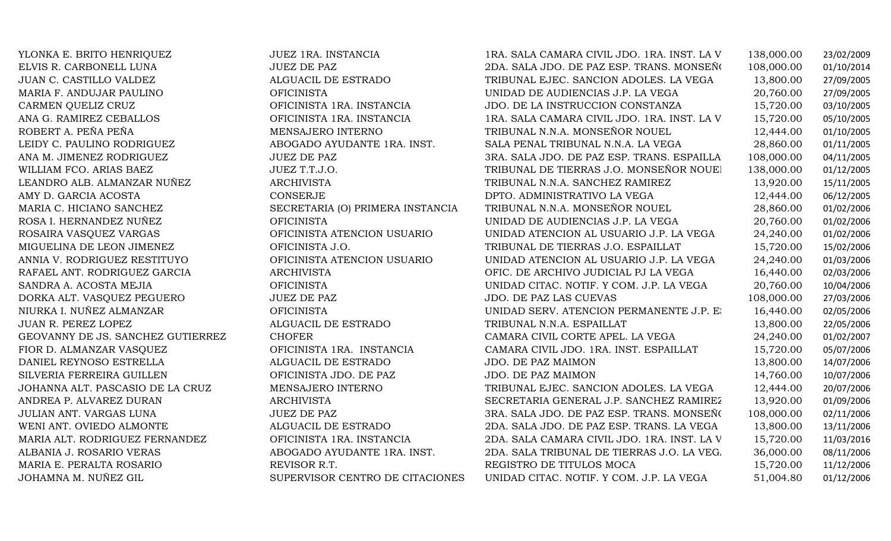| YLONKA E. BRITO HENRIQUEZ         | JUEZ 1RA. INSTANCIA              | 1RA. SALA CAMARA CIVIL JDO. 1RA. INST. LA V | 138,000.00 | 23/02/2009 |
|-----------------------------------|----------------------------------|---------------------------------------------|------------|------------|
| ELVIS R. CARBONELL LUNA           | <b>JUEZ DE PAZ</b>               | 2DA. SALA JDO. DE PAZ ESP. TRANS. MONSEÑO   | 108,000.00 | 01/10/2014 |
| JUAN C. CASTILLO VALDEZ           | ALGUACIL DE ESTRADO              | TRIBUNAL EJEC. SANCION ADOLES. LA VEGA      | 13,800.00  | 27/09/2005 |
| MARIA F. ANDUJAR PAULINO          | <b>OFICINISTA</b>                | UNIDAD DE AUDIENCIAS J.P. LA VEGA           | 20,760.00  | 27/09/2005 |
| CARMEN QUELIZ CRUZ                | OFICINISTA 1RA. INSTANCIA        | JDO. DE LA INSTRUCCION CONSTANZA            | 15,720.00  | 03/10/2005 |
| ANA G. RAMIREZ CEBALLOS           | OFICINISTA 1RA. INSTANCIA        | 1RA. SALA CAMARA CIVIL JDO. 1RA. INST. LA V | 15,720.00  | 05/10/2005 |
| ROBERT A. PEÑA PEÑA               | MENSAJERO INTERNO                | TRIBUNAL N.N.A. MONSEÑOR NOUEL              | 12,444.00  | 01/10/2005 |
| LEIDY C. PAULINO RODRIGUEZ        | ABOGADO AYUDANTE 1RA. INST.      | SALA PENAL TRIBUNAL N.N.A. LA VEGA          | 28,860.00  | 01/11/2005 |
| ANA M. JIMENEZ RODRIGUEZ          | <b>JUEZ DE PAZ</b>               | 3RA. SALA JDO. DE PAZ ESP. TRANS. ESPAILLA  | 108,000.00 | 04/11/2005 |
| WILLIAM FCO. ARIAS BAEZ           | JUEZ T.T.J.O.                    | TRIBUNAL DE TIERRAS J.O. MONSEÑOR NOUEl     | 138,000.00 | 01/12/2005 |
| LEANDRO ALB. ALMANZAR NUÑEZ       | <b>ARCHIVISTA</b>                | TRIBUNAL N.N.A. SANCHEZ RAMIREZ             | 13,920.00  | 15/11/2005 |
| AMY D. GARCIA ACOSTA              | CONSERJE                         | DPTO. ADMINISTRATIVO LA VEGA                | 12,444.00  | 06/12/2005 |
| MARIA C. HICIANO SANCHEZ          | SECRETARIA (O) PRIMERA INSTANCIA | TRIBUNAL N.N.A. MONSEÑOR NOUEL              | 28,860.00  | 01/02/2006 |
| ROSA I. HERNANDEZ NUÑEZ           | <b>OFICINISTA</b>                | UNIDAD DE AUDIENCIAS J.P. LA VEGA           | 20,760.00  | 01/02/2006 |
| ROSAIRA VASQUEZ VARGAS            | OFICINISTA ATENCION USUARIO      | UNIDAD ATENCION AL USUARIO J.P. LA VEGA     | 24,240.00  | 01/02/2006 |
| MIGUELINA DE LEON JIMENEZ         | OFICINISTA J.O.                  | TRIBUNAL DE TIERRAS J.O. ESPAILLAT          | 15,720.00  | 15/02/2006 |
| ANNIA V. RODRIGUEZ RESTITUYO      | OFICINISTA ATENCION USUARIO      | UNIDAD ATENCION AL USUARIO J.P. LA VEGA     | 24,240.00  | 01/03/2006 |
| RAFAEL ANT. RODRIGUEZ GARCIA      | <b>ARCHIVISTA</b>                | OFIC. DE ARCHIVO JUDICIAL PJ LA VEGA        | 16,440.00  | 02/03/2006 |
| SANDRA A. ACOSTA MEJIA            | <b>OFICINISTA</b>                | UNIDAD CITAC. NOTIF. Y COM. J.P. LA VEGA    | 20,760.00  | 10/04/2006 |
| DORKA ALT. VASQUEZ PEGUERO        | <b>JUEZ DE PAZ</b>               | JDO. DE PAZ LAS CUEVAS                      | 108,000.00 | 27/03/2006 |
| NIURKA I. NUÑEZ ALMANZAR          | <b>OFICINISTA</b>                | UNIDAD SERV. ATENCION PERMANENTE J.P. E.    | 16,440.00  | 02/05/2006 |
| JUAN R. PEREZ LOPEZ               | ALGUACIL DE ESTRADO              | TRIBUNAL N.N.A. ESPAILLAT                   | 13,800.00  | 22/05/2006 |
| GEOVANNY DE JS. SANCHEZ GUTIERREZ | <b>CHOFER</b>                    | CAMARA CIVIL CORTE APEL. LA VEGA            | 24,240.00  | 01/02/2007 |
| FIOR D. ALMANZAR VASQUEZ          | OFICINISTA 1RA. INSTANCIA        | CAMARA CIVIL JDO. 1RA. INST. ESPAILLAT      | 15,720.00  | 05/07/2006 |
| DANIEL REYNOSO ESTRELLA           | ALGUACIL DE ESTRADO              | JDO. DE PAZ MAIMON                          | 13,800.00  | 14/07/2006 |
| SILVERIA FERREIRA GUILLEN         | OFICINISTA JDO. DE PAZ           | JDO. DE PAZ MAIMON                          | 14,760.00  | 10/07/2006 |
| JOHANNA ALT. PASCASIO DE LA CRUZ  | MENSAJERO INTERNO                | TRIBUNAL EJEC. SANCION ADOLES. LA VEGA      | 12,444.00  | 20/07/2006 |
| ANDREA P. ALVAREZ DURAN           | <b>ARCHIVISTA</b>                | SECRETARIA GENERAL J.P. SANCHEZ RAMIREZ     | 13,920.00  | 01/09/2006 |
| JULIAN ANT. VARGAS LUNA           | <b>JUEZ DE PAZ</b>               | 3RA. SALA JDO. DE PAZ ESP. TRANS. MONSEÑO   | 108,000.00 | 02/11/2006 |
| WENI ANT. OVIEDO ALMONTE          | ALGUACIL DE ESTRADO              | 2DA. SALA JDO. DE PAZ ESP. TRANS. LA VEGA   | 13,800.00  | 13/11/2006 |
| MARIA ALT. RODRIGUEZ FERNANDEZ    | OFICINISTA 1RA. INSTANCIA        | 2DA. SALA CAMARA CIVIL JDO. 1RA. INST. LA V | 15,720.00  | 11/03/2016 |
| ALBANIA J. ROSARIO VERAS          | ABOGADO AYUDANTE 1RA. INST.      | 2DA. SALA TRIBUNAL DE TIERRAS J.O. LA VEG.  | 36,000.00  | 08/11/2006 |
| MARIA E. PERALTA ROSARIO          | REVISOR R.T.                     | REGISTRO DE TITULOS MOCA                    | 15,720.00  | 11/12/2006 |
| JOHAMNA M. NUÑEZ GIL              | SUPERVISOR CENTRO DE CITACIONES  | UNIDAD CITAC. NOTIF. Y COM. J.P. LA VEGA    | 51,004.80  | 01/12/2006 |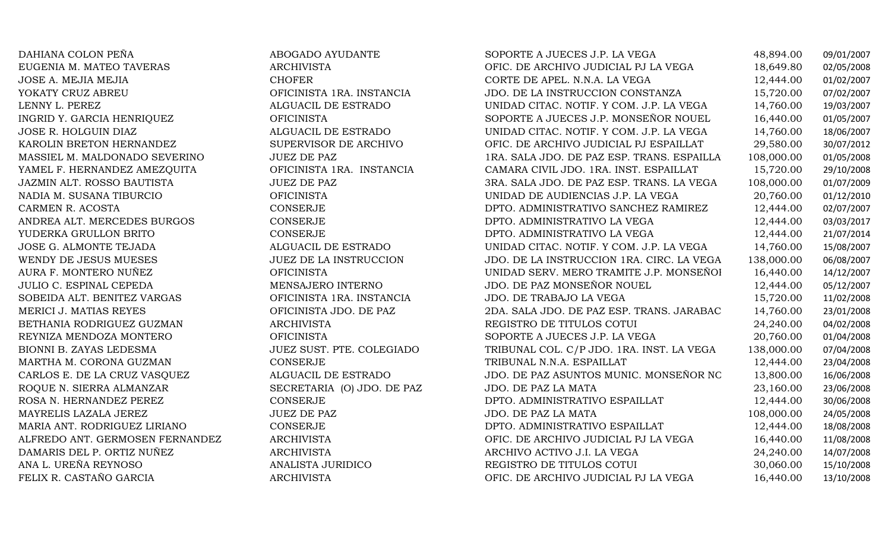| DAHIANA COLON PEÑA              | ABOGADO AYUDANTE           | SOPORTE A JUECES J.P. LA VEGA              | 48,894.00  | 09/01/2007 |
|---------------------------------|----------------------------|--------------------------------------------|------------|------------|
| EUGENIA M. MATEO TAVERAS        | <b>ARCHIVISTA</b>          | OFIC. DE ARCHIVO JUDICIAL PJ LA VEGA       | 18,649.80  | 02/05/2008 |
| JOSE A. MEJIA MEJIA             | <b>CHOFER</b>              | CORTE DE APEL. N.N.A. LA VEGA              | 12,444.00  | 01/02/2007 |
| YOKATY CRUZ ABREU               | OFICINISTA 1RA. INSTANCIA  | JDO. DE LA INSTRUCCION CONSTANZA           | 15,720.00  | 07/02/2007 |
| LENNY L. PEREZ                  | ALGUACIL DE ESTRADO        | UNIDAD CITAC. NOTIF. Y COM. J.P. LA VEGA   | 14,760.00  | 19/03/2007 |
| INGRID Y. GARCIA HENRIQUEZ      | <b>OFICINISTA</b>          | SOPORTE A JUECES J.P. MONSEÑOR NOUEL       | 16,440.00  | 01/05/2007 |
| JOSE R. HOLGUIN DIAZ            | ALGUACIL DE ESTRADO        | UNIDAD CITAC. NOTIF. Y COM. J.P. LA VEGA   | 14,760.00  | 18/06/2007 |
| KAROLIN BRETON HERNANDEZ        | SUPERVISOR DE ARCHIVO      | OFIC. DE ARCHIVO JUDICIAL PJ ESPAILLAT     | 29,580.00  | 30/07/2012 |
| MASSIEL M. MALDONADO SEVERINO   | <b>JUEZ DE PAZ</b>         | 1RA. SALA JDO. DE PAZ ESP. TRANS. ESPAILLA | 108,000.00 | 01/05/2008 |
| YAMEL F. HERNANDEZ AMEZQUITA    | OFICINISTA 1RA. INSTANCIA  | CAMARA CIVIL JDO. 1RA. INST. ESPAILLAT     | 15,720.00  | 29/10/2008 |
| JAZMIN ALT. ROSSO BAUTISTA      | <b>JUEZ DE PAZ</b>         | 3RA. SALA JDO. DE PAZ ESP. TRANS. LA VEGA  | 108,000.00 | 01/07/2009 |
| NADIA M. SUSANA TIBURCIO        | <b>OFICINISTA</b>          | UNIDAD DE AUDIENCIAS J.P. LA VEGA          | 20,760.00  | 01/12/2010 |
| CARMEN R. ACOSTA                | CONSERJE                   | DPTO. ADMINISTRATIVO SANCHEZ RAMIREZ       | 12,444.00  | 02/07/2007 |
| ANDREA ALT. MERCEDES BURGOS     | CONSERJE                   | DPTO. ADMINISTRATIVO LA VEGA               | 12,444.00  | 03/03/2017 |
| YUDERKA GRULLON BRITO           | CONSERJE                   | DPTO. ADMINISTRATIVO LA VEGA               | 12,444.00  | 21/07/2014 |
| <b>JOSE G. ALMONTE TEJADA</b>   | ALGUACIL DE ESTRADO        | UNIDAD CITAC. NOTIF. Y COM. J.P. LA VEGA   | 14,760.00  | 15/08/2007 |
| WENDY DE JESUS MUESES           | JUEZ DE LA INSTRUCCION     | JDO. DE LA INSTRUCCION 1RA. CIRC. LA VEGA  | 138,000.00 | 06/08/2007 |
| AURA F. MONTERO NUÑEZ           | <b>OFICINISTA</b>          | UNIDAD SERV. MERO TRAMITE J.P. MONSEÑOI    | 16,440.00  | 14/12/2007 |
| <b>JULIO C. ESPINAL CEPEDA</b>  | MENSAJERO INTERNO          | JDO. DE PAZ MONSEÑOR NOUEL                 | 12,444.00  | 05/12/2007 |
| SOBEIDA ALT. BENITEZ VARGAS     | OFICINISTA 1RA. INSTANCIA  | JDO. DE TRABAJO LA VEGA                    | 15,720.00  | 11/02/2008 |
| MERICI J. MATIAS REYES          | OFICINISTA JDO. DE PAZ     | 2DA. SALA JDO. DE PAZ ESP. TRANS. JARABAC  | 14,760.00  | 23/01/2008 |
| BETHANIA RODRIGUEZ GUZMAN       | <b>ARCHIVISTA</b>          | REGISTRO DE TITULOS COTUI                  | 24,240.00  | 04/02/2008 |
| REYNIZA MENDOZA MONTERO         | <b>OFICINISTA</b>          | SOPORTE A JUECES J.P. LA VEGA              | 20,760.00  | 01/04/2008 |
| BIONNI B. ZAYAS LEDESMA         | JUEZ SUST. PTE. COLEGIADO  | TRIBUNAL COL. C/P JDO. 1RA. INST. LA VEGA  | 138,000.00 | 07/04/2008 |
| MARTHA M. CORONA GUZMAN         | CONSERJE                   | TRIBUNAL N.N.A. ESPAILLAT                  | 12,444.00  | 23/04/2008 |
| CARLOS E. DE LA CRUZ VASQUEZ    | ALGUACIL DE ESTRADO        | JDO. DE PAZ ASUNTOS MUNIC. MONSEÑOR NC     | 13,800.00  | 16/06/2008 |
| ROQUE N. SIERRA ALMANZAR        | SECRETARIA (O) JDO. DE PAZ | JDO. DE PAZ LA MATA                        | 23,160.00  | 23/06/2008 |
| ROSA N. HERNANDEZ PEREZ         | CONSERJE                   | DPTO. ADMINISTRATIVO ESPAILLAT             | 12,444.00  | 30/06/2008 |
| MAYRELIS LAZALA JEREZ           | <b>JUEZ DE PAZ</b>         | JDO. DE PAZ LA MATA                        | 108,000.00 | 24/05/2008 |
| MARIA ANT. RODRIGUEZ LIRIANO    | CONSERJE                   | DPTO. ADMINISTRATIVO ESPAILLAT             | 12,444.00  | 18/08/2008 |
| ALFREDO ANT. GERMOSEN FERNANDEZ | ARCHIVISTA                 | OFIC. DE ARCHIVO JUDICIAL PJ LA VEGA       | 16,440.00  | 11/08/2008 |
| DAMARIS DEL P. ORTIZ NUÑEZ      | <b>ARCHIVISTA</b>          | ARCHIVO ACTIVO J.I. LA VEGA                | 24,240.00  | 14/07/2008 |
| ANA L. UREÑA REYNOSO            | ANALISTA JURIDICO          | REGISTRO DE TITULOS COTUI                  | 30,060.00  | 15/10/2008 |
| FELIX R. CASTAÑO GARCIA         | <b>ARCHIVISTA</b>          | OFIC. DE ARCHIVO JUDICIAL PJ LA VEGA       | 16,440.00  | 13/10/2008 |
|                                 |                            |                                            |            |            |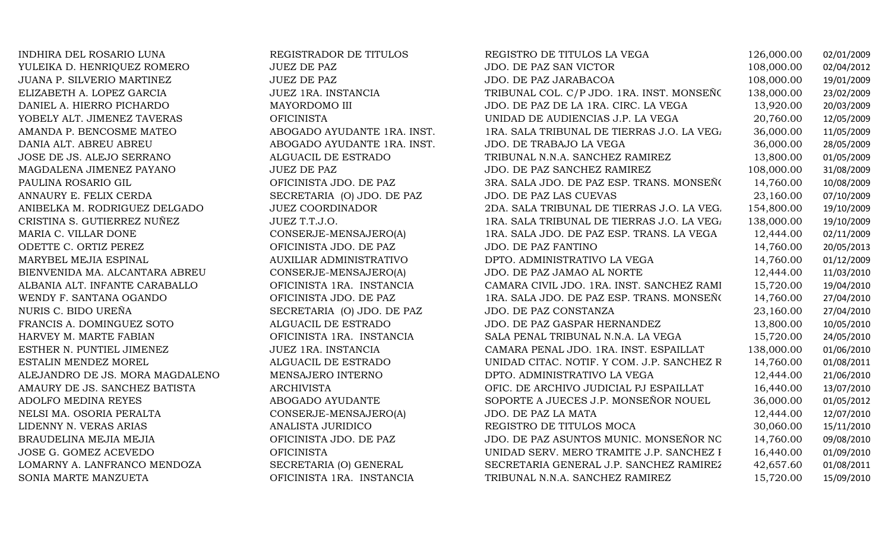INDHIRA DEL ROSARIO LUNA REGISTRADOR DE TITULOS REGISTRO DE TITULOS LA VEGA 126,000.00 02/01/2009 YULEIKA D. HENRIQUEZ ROMERO JUEZ DE PAZ JDO. DE PAZ SAN VICTOR 108,000.00 02/04/2012 JUANA P. SILVERIO MARTINEZ JUEZ DE PAZ JDO. DE PAZ JARABACOA 108,000.00 19/01/2009 ELIZABETH A. LOPEZ GARCIA JUEZ 1RA. INSTANCIA TRIBUNAL COL. C/P JDO. 1RA. INST. MONSEÑOR NOUEL 138,000.00 23/02/2009 DANIEL A. HIERRO PICHARDO MAYORDOMO III JDO. DE PAZ DE LA 1RA. CIRC. LA VEGA 13,920.00 20/03/2009 YOBELY ALT. JIMENEZ TAVERAS OFICINISTA DE AUDIENCIAS J.P. LA VEGA 20,760.00 12/05/2009<br>ABOGADO AYUDANTE 1RA. INST. 1RA. SALA TRIBUNAL DE TIERRAS J.O. LA VEG. 36,000.00 11/05/2009 AMANDA P. BENCOSME MATEO AND ABOGADO AYUDANTE 1RA. INST. ARA. SALA TRIBUNAL DE TIERRAS J.O. LA VEGA 36,000.00<br>DANIA ALT. ABREU ABREU ABOS/2009 ABOGADO AYUDANTE 1RA. INST. ADO. DE TRABAJO LA VEGA 36.000.00 28/05/2009 DANIA ALT. ABREU ABREU ABOGADO AYUDANTE 1RA. INST. JDO. DE TRABAJO LA VEGA 36,000.00 28/05/2009 JOSE DE JS. ALEJO SERRANO ALGUACIL DE ESTRADO TRIBUNAL N.N.A. SANCHEZ RAMIREZ 13,800.00 01/05/2009 MAGDALENA JIMENEZ PAYANO JUEZ DE PAZ JDO. DE PAZ SANCHEZ RAMIREZ 108,000.00 31/08/2009 PAULINA ROSARIO GIL OFICINISTA JDO. DE PAZ 3RA. SALA JDO. DE PAZ ESP. TRANS. MONSEÑOR NOUEL 14,760.00 10/08/2009 ANNAURY E. FELIX CERDA SECRETARIA (O) JDO. DE PAZ JDO. DE PAZ LAS CUEVAS 23,160.00 07/10/2009 ANIBELKA M. RODRIGUEZ DELGADO JUEZ COORDINADOR 2DA. SALA TRIBUNAL DE TIERRAS J.O. LA VEGA 154,800.00 19/10/2009 CRISTINA S. GUTIERREZ NUÑEZ JUEZ T.T.J.O. 1RA. SALA TRIBUNAL DE TIERRAS J.O. LA VEGA 138,000.00 19/10/2009 MARIA C. VILLAR DONE CONSERJE-MENSAJERO(A) 1RA. SALA JDO. DE PAZ ESP. TRANS. LA VEGA 12,444.00 02/11/2009 ODETTE C. ORTIZ PEREZ OFICINISTA JDO. DE PAZ JDO. DE PAZ FANTINO 14,760.00 20/05/2013 MARYBEL MEJIA ESPINAL AUXILIAR ADMINISTRATIVO DPTO. ADMINISTRATIVO LA VEGA 14,760.00 01/12/2009 BIENVENIDA MA. ALCANTARA ABREU CONSERJE-MENSAJERO(A) JDO. DE PAZ JAMAO AL NORTE 12,444.00 11/03/2010 ALBANIA ALT. INFANTE CARABALLO OFICINISTA 1RA. INSTANCIA CAMARA CIVIL JDO. 1RA. INST. SANCHEZ RAMIREZ 15,720.00 19/04/2010 WENDY F. SANTANA OGANDO OFICINISTA JDO. DE PAZ 1RA. SALA JDO. DE PAZ ESP. TRANS. MONSEÑOR NOUEL 14,760.00 27/04/2010 NURIS C. BIDO UREÑA SECRETARIA (O) JDO. DE PAZ JDO. DE PAZ CONSTANZA 23,160.00 27/04/2010 FRANCIS A. DOMINGUEZ SOTO ALGUACIL DE ESTRADO JDO. DE PAZ GASPAR HERNANDEZ 13,800.00 10/05/2010 HARVEY M. MARTE FABIAN OFICINISTA 1RA. INSTANCIA SALA PENAL TRIBUNAL N.N.A. LA VEGA 15,720.00 24/05/2010 ESTHER N. PUNTIEL JIMENEZ JUEZ 1RA. INSTANCIA CAMARA PENAL JDO. 1RA. INST. ESPAILLAT 138,000.00 01/06/2010 ESTALIN MENDEZ MOREL ALGUACIL DE ESTRADOUNIDAD CITAC. NOTIF. Y COM. J.P. SANCHEZ  $R$  14,760.00 01/08/2011<br>DPTO. ADMINISTRATIVO LA VEGA 12,444.00 21/06/2010 ALEJANDRO DE JS. MORA MAGDALENO MENSAJERO INTERNO DE ANINISTRATIVO LA VEGA 12,444.00 21/06/2010<br>AMAURY DE JS. SANCHEZ BATISTA ARCHIVISTA ARCHIVISTA OFIC. DE ARCHIVO JUDICIAL PJ ESPAILLAT 16.440.00 13/07/2010 AMAURY DE JS. SANCHEZ BATISTA ARCHIVISTA OFIC. DE ARCHIVO JUDICIAL PJ ESPAILLAT 16,440.00 13/07/2010 ADOLFO MEDINA REYES ANDOGADO AYUDANTE SOPORTE A JUECES J.P. MONSEÑOR NOUEL 36,000.00 01/05/2012<br>NELSI MA. OSORIA PERALTA CONSERJE-MENSAJERO(A) JDO. DE PAZ LA MATA 12,444.00 12/07/2010 NELSI MA. OSORIA PERALTA CONSERJE-MENSAJERO(A) JDO. DE PAZ LA MATA 12,444.00 12/07/2010 LIDENNY N. VERAS ARIAS ANALISTA JURIDICO REGISTRO DE TITULOS MOCA 30,060.00 15/11/2010 BRAUDELINA MEJIA MEJIA OFICINISTA JDO. DE PAZ JDO. DE PAZ ASUNTOS MUNIC. MONSEÑOR NOUEL 14,760.00 09/08/2010 JOSE G. GOMEZ ACEVEDO OFICINISTA UNIDAD SERV. MERO TRAMITE J.P. SANCHEZ RAMIREZ16,440.00 01/09/2010 LOMARNY A. LANFRANCO MENDOZA SECRETARIA (O) GENERAL SECRETARIA GENERAL J.P. SANCHEZ RAMIREZ 42,657.60 01/08/2011 TRIBUNAL N.N.A. SANCHEZ RAMIREZ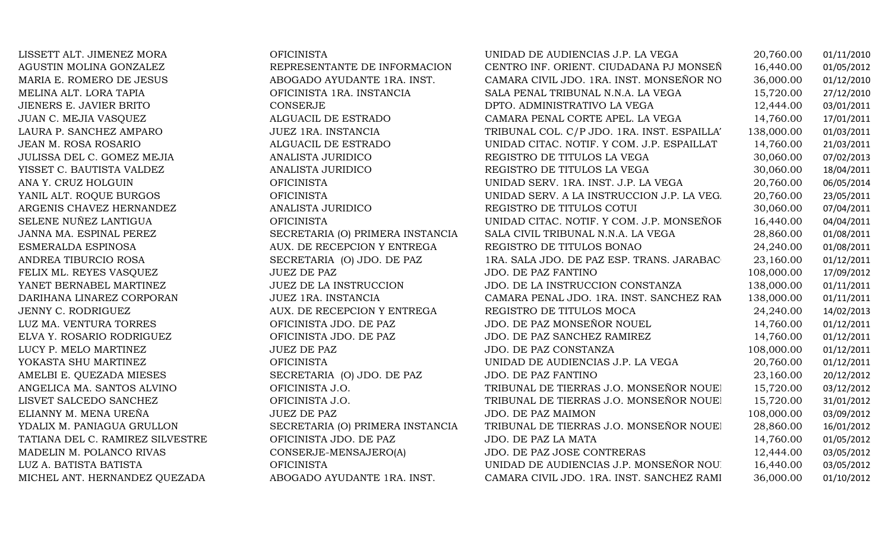| LISSETT ALT. JIMENEZ MORA        | <b>OFICINISTA</b>                | UNIDAD DE AUDIENCIAS J.P. LA VEGA           | 20,760.00  | 01/11/2010 |
|----------------------------------|----------------------------------|---------------------------------------------|------------|------------|
| AGUSTIN MOLINA GONZALEZ          | REPRESENTANTE DE INFORMACION     | CENTRO INF. ORIENT. CIUDADANA PJ MONSEÑ     | 16,440.00  | 01/05/2012 |
| MARIA E. ROMERO DE JESUS         | ABOGADO AYUDANTE 1RA. INST.      | CAMARA CIVIL JDO. 1RA. INST. MONSEÑOR NO    | 36,000.00  | 01/12/2010 |
| MELINA ALT. LORA TAPIA           | OFICINISTA 1RA. INSTANCIA        | SALA PENAL TRIBUNAL N.N.A. LA VEGA          | 15,720.00  | 27/12/2010 |
| JIENERS E. JAVIER BRITO          | CONSERJE                         | DPTO. ADMINISTRATIVO LA VEGA                | 12,444.00  | 03/01/2011 |
| JUAN C. MEJIA VASQUEZ            | ALGUACIL DE ESTRADO              | CAMARA PENAL CORTE APEL. LA VEGA            | 14,760.00  | 17/01/2011 |
| LAURA P. SANCHEZ AMPARO          | JUEZ 1RA. INSTANCIA              | TRIBUNAL COL. C/P JDO. 1RA. INST. ESPAILLA' | 138,000.00 | 01/03/2011 |
| JEAN M. ROSA ROSARIO             | ALGUACIL DE ESTRADO              | UNIDAD CITAC. NOTIF. Y COM. J.P. ESPAILLAT  | 14,760.00  | 21/03/2011 |
| JULISSA DEL C. GOMEZ MEJIA       | ANALISTA JURIDICO                | REGISTRO DE TITULOS LA VEGA                 | 30,060.00  | 07/02/2013 |
| YISSET C. BAUTISTA VALDEZ        | ANALISTA JURIDICO                | REGISTRO DE TITULOS LA VEGA                 | 30,060.00  | 18/04/2011 |
| ANA Y. CRUZ HOLGUIN              | <b>OFICINISTA</b>                | UNIDAD SERV. 1RA. INST. J.P. LA VEGA        | 20,760.00  | 06/05/2014 |
| YANIL ALT. ROQUE BURGOS          | <b>OFICINISTA</b>                | UNIDAD SERV. A LA INSTRUCCION J.P. LA VEG.  | 20,760.00  | 23/05/2011 |
| ARGENIS CHAVEZ HERNANDEZ         | ANALISTA JURIDICO                | REGISTRO DE TITULOS COTUI                   | 30,060.00  | 07/04/2011 |
| SELENE NUÑEZ LANTIGUA            | <b>OFICINISTA</b>                | UNIDAD CITAC. NOTIF. Y COM. J.P. MONSEÑOF   | 16,440.00  | 04/04/2011 |
| JANNA MA. ESPINAL PEREZ          | SECRETARIA (O) PRIMERA INSTANCIA | SALA CIVIL TRIBUNAL N.N.A. LA VEGA          | 28,860.00  | 01/08/2011 |
| ESMERALDA ESPINOSA               | AUX. DE RECEPCION Y ENTREGA      | REGISTRO DE TITULOS BONAO                   | 24,240.00  | 01/08/2011 |
| ANDREA TIBURCIO ROSA             | SECRETARIA (O) JDO. DE PAZ       | 1RA. SALA JDO. DE PAZ ESP. TRANS. JARABAC   | 23,160.00  | 01/12/2011 |
| FELIX ML. REYES VASQUEZ          | <b>JUEZ DE PAZ</b>               | JDO. DE PAZ FANTINO                         | 108,000.00 | 17/09/2012 |
| YANET BERNABEL MARTINEZ          | JUEZ DE LA INSTRUCCION           | JDO. DE LA INSTRUCCION CONSTANZA            | 138,000.00 | 01/11/2011 |
| DARIHANA LINAREZ CORPORAN        | JUEZ 1RA. INSTANCIA              | CAMARA PENAL JDO. 1RA. INST. SANCHEZ RAM    | 138,000.00 | 01/11/2011 |
| JENNY C. RODRIGUEZ               | AUX. DE RECEPCION Y ENTREGA      | REGISTRO DE TITULOS MOCA                    | 24,240.00  | 14/02/2013 |
| LUZ MA. VENTURA TORRES           | OFICINISTA JDO. DE PAZ           | JDO. DE PAZ MONSEÑOR NOUEL                  | 14,760.00  | 01/12/2011 |
| ELVA Y. ROSARIO RODRIGUEZ        | OFICINISTA JDO. DE PAZ           | JDO. DE PAZ SANCHEZ RAMIREZ                 | 14,760.00  | 01/12/2011 |
| LUCY P. MELO MARTINEZ            | <b>JUEZ DE PAZ</b>               | JDO. DE PAZ CONSTANZA                       | 108,000.00 | 01/12/2011 |
| YOKASTA SHU MARTINEZ             | <b>OFICINISTA</b>                | UNIDAD DE AUDIENCIAS J.P. LA VEGA           | 20,760.00  | 01/12/2011 |
| AMELBI E. QUEZADA MIESES         | SECRETARIA (O) JDO. DE PAZ       | JDO. DE PAZ FANTINO                         | 23,160.00  | 20/12/2012 |
| ANGELICA MA. SANTOS ALVINO       | OFICINISTA J.O.                  | TRIBUNAL DE TIERRAS J.O. MONSEÑOR NOUEI     | 15,720.00  | 03/12/2012 |
| LISVET SALCEDO SANCHEZ           | OFICINISTA J.O.                  | TRIBUNAL DE TIERRAS J.O. MONSEÑOR NOUEl     | 15,720.00  | 31/01/2012 |
| ELIANNY M. MENA UREÑA            | <b>JUEZ DE PAZ</b>               | JDO. DE PAZ MAIMON                          | 108,000.00 | 03/09/2012 |
| YDALIX M. PANIAGUA GRULLON       | SECRETARIA (O) PRIMERA INSTANCIA | TRIBUNAL DE TIERRAS J.O. MONSEÑOR NOUEI     | 28,860.00  | 16/01/2012 |
| TATIANA DEL C. RAMIREZ SILVESTRE | OFICINISTA JDO. DE PAZ           | JDO. DE PAZ LA MATA                         | 14,760.00  | 01/05/2012 |
| MADELIN M. POLANCO RIVAS         | CONSERJE-MENSAJERO(A)            | JDO. DE PAZ JOSE CONTRERAS                  | 12,444.00  | 03/05/2012 |
| LUZ A. BATISTA BATISTA           | <b>OFICINISTA</b>                | UNIDAD DE AUDIENCIAS J.P. MONSEÑOR NOU      | 16,440.00  | 03/05/2012 |
| MICHEL ANT. HERNANDEZ QUEZADA    | ABOGADO AYUDANTE 1RA. INST.      | CAMARA CIVIL JDO. 1RA. INST. SANCHEZ RAMI   | 36,000.00  | 01/10/2012 |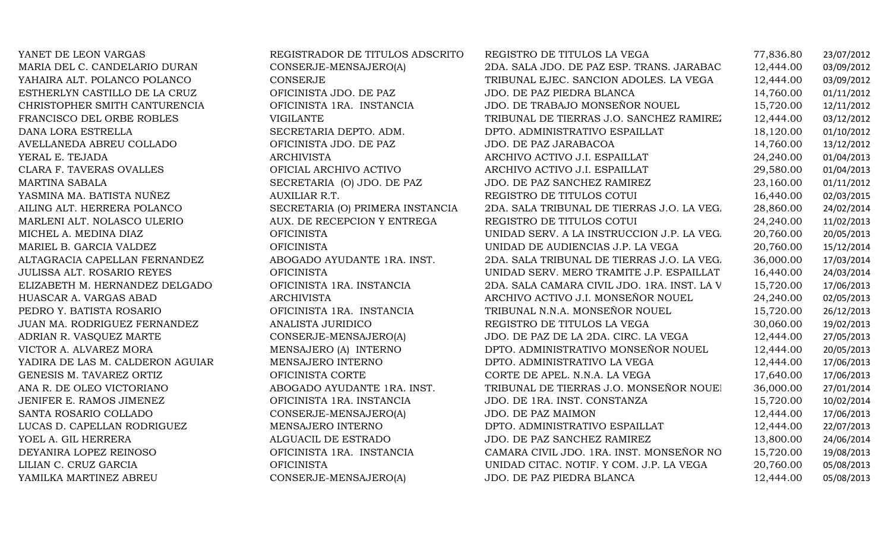| YANET DE LEON VARGAS              | REGISTRADOR DE TITULOS ADSCRITO  | REGISTRO DE TITULOS LA VEGA                 | 77,836.80 | 23/07/2012 |
|-----------------------------------|----------------------------------|---------------------------------------------|-----------|------------|
| MARIA DEL C. CANDELARIO DURAN     | CONSERJE-MENSAJERO(A)            | 2DA. SALA JDO. DE PAZ ESP. TRANS. JARABAC   | 12,444.00 | 03/09/2012 |
| YAHAIRA ALT. POLANCO POLANCO      | CONSERJE                         | TRIBUNAL EJEC. SANCION ADOLES. LA VEGA      | 12,444.00 | 03/09/2012 |
| ESTHERLYN CASTILLO DE LA CRUZ     | OFICINISTA JDO. DE PAZ           | JDO. DE PAZ PIEDRA BLANCA                   | 14,760.00 | 01/11/2012 |
| CHRISTOPHER SMITH CANTURENCIA     | OFICINISTA 1RA. INSTANCIA        | JDO. DE TRABAJO MONSEÑOR NOUEL              | 15,720.00 | 12/11/2012 |
| FRANCISCO DEL ORBE ROBLES         | <b>VIGILANTE</b>                 | TRIBUNAL DE TIERRAS J.O. SANCHEZ RAMIREZ    | 12,444.00 | 03/12/2012 |
| DANA LORA ESTRELLA                | SECRETARIA DEPTO. ADM.           | DPTO. ADMINISTRATIVO ESPAILLAT              | 18,120.00 | 01/10/2012 |
| AVELLANEDA ABREU COLLADO          | OFICINISTA JDO. DE PAZ           | JDO. DE PAZ JARABACOA                       | 14,760.00 | 13/12/2012 |
| YERAL E. TEJADA                   | <b>ARCHIVISTA</b>                | ARCHIVO ACTIVO J.I. ESPAILLAT               | 24,240.00 | 01/04/2013 |
| CLARA F. TAVERAS OVALLES          | OFICIAL ARCHIVO ACTIVO           | ARCHIVO ACTIVO J.I. ESPAILLAT               | 29,580.00 | 01/04/2013 |
| <b>MARTINA SABALA</b>             | SECRETARIA (O) JDO. DE PAZ       | JDO. DE PAZ SANCHEZ RAMIREZ                 | 23,160.00 | 01/11/2012 |
| YASMINA MA. BATISTA NUÑEZ         | AUXILIAR R.T.                    | REGISTRO DE TITULOS COTUI                   | 16,440.00 | 02/03/2015 |
| AILING ALT. HERRERA POLANCO       | SECRETARIA (O) PRIMERA INSTANCIA | 2DA. SALA TRIBUNAL DE TIERRAS J.O. LA VEG.  | 28,860.00 | 24/02/2014 |
| MARLENI ALT. NOLASCO ULERIO       | AUX. DE RECEPCION Y ENTREGA      | REGISTRO DE TITULOS COTUI                   | 24,240.00 | 11/02/2013 |
| MICHEL A. MEDINA DIAZ             | <b>OFICINISTA</b>                | UNIDAD SERV. A LA INSTRUCCION J.P. LA VEG.  | 20,760.00 | 20/05/2013 |
| MARIEL B. GARCIA VALDEZ           | <b>OFICINISTA</b>                | UNIDAD DE AUDIENCIAS J.P. LA VEGA           | 20,760.00 | 15/12/2014 |
| ALTAGRACIA CAPELLAN FERNANDEZ     | ABOGADO AYUDANTE 1RA. INST.      | 2DA. SALA TRIBUNAL DE TIERRAS J.O. LA VEG.  | 36,000.00 | 17/03/2014 |
| <b>JULISSA ALT. ROSARIO REYES</b> | <b>OFICINISTA</b>                | UNIDAD SERV. MERO TRAMITE J.P. ESPAILLAT    | 16,440.00 | 24/03/2014 |
| ELIZABETH M. HERNANDEZ DELGADO    | OFICINISTA 1RA. INSTANCIA        | 2DA. SALA CAMARA CIVIL JDO. 1RA. INST. LA V | 15,720.00 | 17/06/2013 |
| HUASCAR A. VARGAS ABAD            | <b>ARCHIVISTA</b>                | ARCHIVO ACTIVO J.I. MONSEÑOR NOUEL          | 24,240.00 | 02/05/2013 |
| PEDRO Y. BATISTA ROSARIO          | OFICINISTA 1RA. INSTANCIA        | TRIBUNAL N.N.A. MONSEÑOR NOUEL              | 15,720.00 | 26/12/2013 |
| JUAN MA. RODRIGUEZ FERNANDEZ      | ANALISTA JURIDICO                | REGISTRO DE TITULOS LA VEGA                 | 30,060.00 | 19/02/2013 |
| ADRIAN R. VASQUEZ MARTE           | CONSERJE-MENSAJERO(A)            | JDO. DE PAZ DE LA 2DA. CIRC. LA VEGA        | 12,444.00 | 27/05/2013 |
| VICTOR A. ALVAREZ MORA            | MENSAJERO (A) INTERNO            | DPTO. ADMINISTRATIVO MONSEÑOR NOUEL         | 12,444.00 | 20/05/2013 |
| YADIRA DE LAS M. CALDERON AGUIAR  | MENSAJERO INTERNO                | DPTO. ADMINISTRATIVO LA VEGA                | 12,444.00 | 17/06/2013 |
| GENESIS M. TAVAREZ ORTIZ          | OFICINISTA CORTE                 | CORTE DE APEL. N.N.A. LA VEGA               | 17,640.00 | 17/06/2013 |
| ANA R. DE OLEO VICTORIANO         | ABOGADO AYUDANTE 1RA. INST.      | TRIBUNAL DE TIERRAS J.O. MONSEÑOR NOUEI     | 36,000.00 | 27/01/2014 |
| JENIFER E. RAMOS JIMENEZ          | OFICINISTA 1RA. INSTANCIA        | JDO. DE 1RA. INST. CONSTANZA                | 15,720.00 | 10/02/2014 |
| SANTA ROSARIO COLLADO             | CONSERJE-MENSAJERO(A)            | JDO. DE PAZ MAIMON                          | 12,444.00 | 17/06/2013 |
| LUCAS D. CAPELLAN RODRIGUEZ       | MENSAJERO INTERNO                | DPTO. ADMINISTRATIVO ESPAILLAT              | 12,444.00 | 22/07/2013 |
| YOEL A. GIL HERRERA               | ALGUACIL DE ESTRADO              | JDO. DE PAZ SANCHEZ RAMIREZ                 | 13,800.00 | 24/06/2014 |
| DEYANIRA LOPEZ REINOSO            | OFICINISTA 1RA. INSTANCIA        | CAMARA CIVIL JDO. 1RA. INST. MONSEÑOR NO    | 15,720.00 | 19/08/2013 |
| LILIAN C. CRUZ GARCIA             | <b>OFICINISTA</b>                | UNIDAD CITAC. NOTIF. Y COM. J.P. LA VEGA    | 20,760.00 | 05/08/2013 |
| YAMILKA MARTINEZ ABREU            | CONSERJE-MENSAJERO(A)            | JDO. DE PAZ PIEDRA BLANCA                   | 12,444.00 | 05/08/2013 |
|                                   |                                  |                                             |           |            |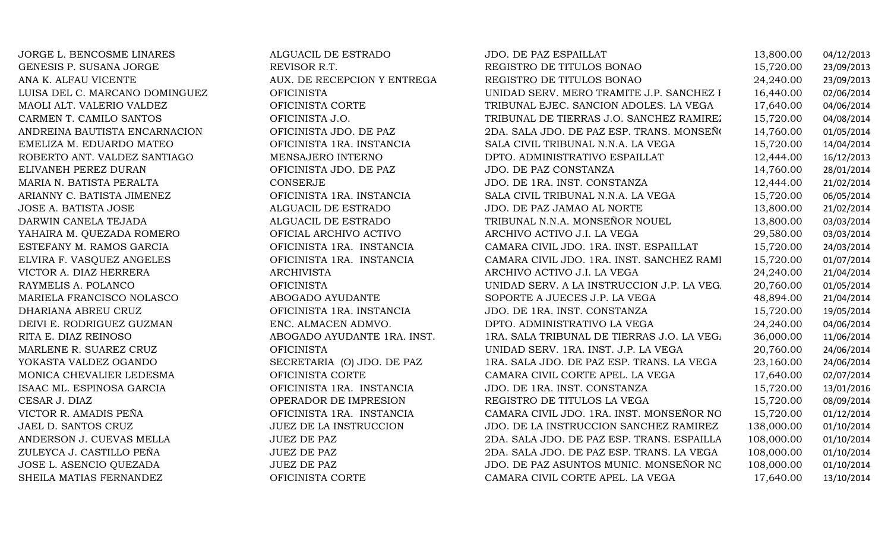| JORGE L. BENCOSME LINARES      | ALGUACIL DE ESTRADO           | JDO. DE PAZ ESPAILLAT                      | 13,800.00  | 04/12/2013 |
|--------------------------------|-------------------------------|--------------------------------------------|------------|------------|
| GENESIS P. SUSANA JORGE        | REVISOR R.T.                  | REGISTRO DE TITULOS BONAO                  | 15,720.00  | 23/09/2013 |
| ANA K. ALFAU VICENTE           | AUX. DE RECEPCION Y ENTREGA   | REGISTRO DE TITULOS BONAO                  | 24,240.00  | 23/09/2013 |
| LUISA DEL C. MARCANO DOMINGUEZ | <b>OFICINISTA</b>             | UNIDAD SERV. MERO TRAMITE J.P. SANCHEZ I   | 16,440.00  | 02/06/2014 |
| MAOLI ALT. VALERIO VALDEZ      | OFICINISTA CORTE              | TRIBUNAL EJEC. SANCION ADOLES. LA VEGA     | 17,640.00  | 04/06/2014 |
| CARMEN T. CAMILO SANTOS        | OFICINISTA J.O.               | TRIBUNAL DE TIERRAS J.O. SANCHEZ RAMIREZ   | 15,720.00  | 04/08/2014 |
| ANDREINA BAUTISTA ENCARNACION  | OFICINISTA JDO. DE PAZ        | 2DA. SALA JDO. DE PAZ ESP. TRANS. MONSEÑO  | 14,760.00  | 01/05/2014 |
| EMELIZA M. EDUARDO MATEO       | OFICINISTA 1RA. INSTANCIA     | SALA CIVIL TRIBUNAL N.N.A. LA VEGA         | 15,720.00  | 14/04/2014 |
| ROBERTO ANT. VALDEZ SANTIAGO   | MENSAJERO INTERNO             | DPTO. ADMINISTRATIVO ESPAILLAT             | 12,444.00  | 16/12/2013 |
| ELIVANEH PEREZ DURAN           | OFICINISTA JDO. DE PAZ        | JDO. DE PAZ CONSTANZA                      | 14,760.00  | 28/01/2014 |
| MARIA N. BATISTA PERALTA       | CONSERJE                      | JDO. DE 1RA. INST. CONSTANZA               | 12,444.00  | 21/02/2014 |
| ARIANNY C. BATISTA JIMENEZ     | OFICINISTA 1RA. INSTANCIA     | SALA CIVIL TRIBUNAL N.N.A. LA VEGA         | 15,720.00  | 06/05/2014 |
| JOSE A. BATISTA JOSE           | ALGUACIL DE ESTRADO           | JDO. DE PAZ JAMAO AL NORTE                 | 13,800.00  | 21/02/2014 |
| DARWIN CANELA TEJADA           | ALGUACIL DE ESTRADO           | TRIBUNAL N.N.A. MONSEÑOR NOUEL             | 13,800.00  | 03/03/2014 |
| YAHAIRA M. QUEZADA ROMERO      | OFICIAL ARCHIVO ACTIVO        | ARCHIVO ACTIVO J.I. LA VEGA                | 29,580.00  | 03/03/2014 |
| ESTEFANY M. RAMOS GARCIA       | OFICINISTA 1RA. INSTANCIA     | CAMARA CIVIL JDO. 1RA. INST. ESPAILLAT     | 15,720.00  | 24/03/2014 |
| ELVIRA F. VASQUEZ ANGELES      | OFICINISTA 1RA. INSTANCIA     | CAMARA CIVIL JDO. 1RA. INST. SANCHEZ RAMI  | 15,720.00  | 01/07/2014 |
| VICTOR A. DIAZ HERRERA         | <b>ARCHIVISTA</b>             | ARCHIVO ACTIVO J.I. LA VEGA                | 24,240.00  | 21/04/2014 |
| RAYMELIS A. POLANCO            | <b>OFICINISTA</b>             | UNIDAD SERV. A LA INSTRUCCION J.P. LA VEG. | 20,760.00  | 01/05/2014 |
| MARIELA FRANCISCO NOLASCO      | ABOGADO AYUDANTE              | SOPORTE A JUECES J.P. LA VEGA              | 48,894.00  | 21/04/2014 |
| DHARIANA ABREU CRUZ            | OFICINISTA 1RA. INSTANCIA     | JDO. DE 1RA. INST. CONSTANZA               | 15,720.00  | 19/05/2014 |
| DEIVI E. RODRIGUEZ GUZMAN      | ENC. ALMACEN ADMVO.           | DPTO. ADMINISTRATIVO LA VEGA               | 24,240.00  | 04/06/2014 |
| RITA E. DIAZ REINOSO           | ABOGADO AYUDANTE 1RA. INST.   | 1RA. SALA TRIBUNAL DE TIERRAS J.O. LA VEGA | 36,000.00  | 11/06/2014 |
| MARLENE R. SUAREZ CRUZ         | <b>OFICINISTA</b>             | UNIDAD SERV. 1RA. INST. J.P. LA VEGA       | 20,760.00  | 24/06/2014 |
| YOKASTA VALDEZ OGANDO          | SECRETARIA (O) JDO. DE PAZ    | 1RA. SALA JDO. DE PAZ ESP. TRANS. LA VEGA  | 23,160.00  | 24/06/2014 |
| MONICA CHEVALIER LEDESMA       | OFICINISTA CORTE              | CAMARA CIVIL CORTE APEL. LA VEGA           | 17,640.00  | 02/07/2014 |
| ISAAC ML. ESPINOSA GARCIA      | OFICINISTA 1RA. INSTANCIA     | JDO. DE 1RA. INST. CONSTANZA               | 15,720.00  | 13/01/2016 |
| CESAR J. DIAZ                  | OPERADOR DE IMPRESION         | REGISTRO DE TITULOS LA VEGA                | 15,720.00  | 08/09/2014 |
| VICTOR R. AMADIS PEÑA          | OFICINISTA 1RA. INSTANCIA     | CAMARA CIVIL JDO. 1RA. INST. MONSEÑOR NO   | 15,720.00  | 01/12/2014 |
| JAEL D. SANTOS CRUZ            | <b>JUEZ DE LA INSTRUCCION</b> | JDO. DE LA INSTRUCCION SANCHEZ RAMIREZ     | 138,000.00 | 01/10/2014 |
| ANDERSON J. CUEVAS MELLA       | JUEZ DE PAZ                   | 2DA. SALA JDO. DE PAZ ESP. TRANS. ESPAILLA | 108,000.00 | 01/10/2014 |
| ZULEYCA J. CASTILLO PEÑA       | <b>JUEZ DE PAZ</b>            | 2DA. SALA JDO. DE PAZ ESP. TRANS. LA VEGA  | 108,000.00 | 01/10/2014 |
| JOSE L. ASENCIO QUEZADA        | <b>JUEZ DE PAZ</b>            | JDO. DE PAZ ASUNTOS MUNIC. MONSEÑOR NC     | 108,000.00 | 01/10/2014 |
| SHEILA MATIAS FERNANDEZ        | OFICINISTA CORTE              | CAMARA CIVIL CORTE APEL. LA VEGA           | 17,640.00  | 13/10/2014 |
|                                |                               |                                            |            |            |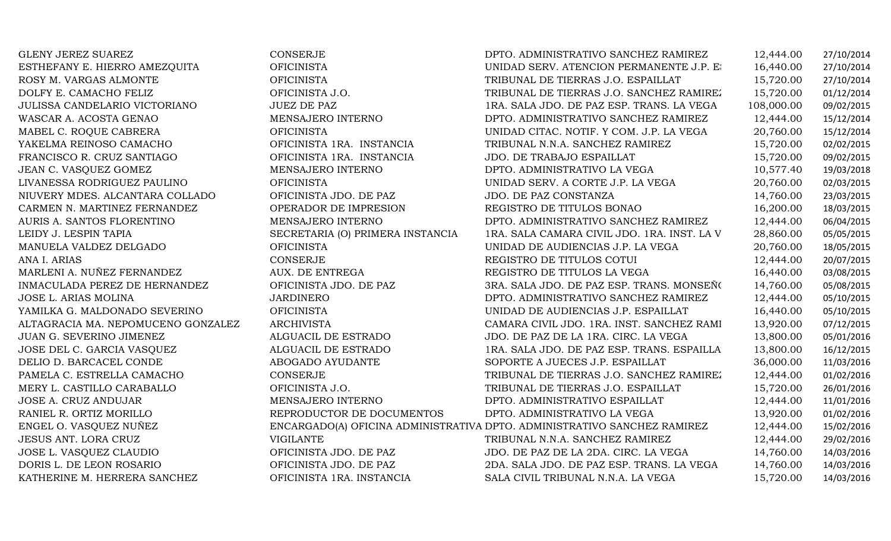GLENY JEREZ SUAREZ AMEZQUITA CONSERJE CONSERJE DPTO. ADMINISTRATIVO SANCHEZ RAMIREZ 12,444.00 27/10/2014<br>ESTHEFANY E. HIERRO AMEZQUITA OFICINISTA OFICINISTA UNIDAD SERV. ATENCION PERMANENTE J.P. E 16,440.00 27/10/2014 ESTHEFANY E. HIERRO AMEZQUITA OFICINISTA UNIDAD SERV. ATENCION PERMANENTE J.P. ESPAILLAT16,440.00 27/10/2014 ROSY M. VARGAS ALMONTE OFICINISTA TRIBUNAL DE TIERRAS J.O. ESPAILLAT 15,720.00 27/10/2014 DOLFY E. CAMACHO FELIZ OFICINISTA J.O. TRIBUNAL DE TIERRAS J.O. SANCHEZ RAMIREZ 15,720.00 01/12/2014 JULISSA CANDELARIO VICTORIANO JUEZ DE PAZ 1RA. SALA JDO. DE PAZ ESP. TRANS. LA VEGA 108,000.00 09/02/2015 WASCAR A. ACOSTA GENAO MENSAJERO INTERNO DPTO. ADMINISTRATIVO SANCHEZ RAMIREZ 12,444.00 15/12/2014 MABEL C. ROQUE CABRERA OFICINISTA UNIDAD CITAC. NOTIF. Y COM. J.P. LA VEGA 20,760.00 15/12/2014 YAKELMA REINOSO CAMACHO OFICINISTA 1RA. INSTANCIA TRIBUNAL N.N.A. SANCHEZ RAMIREZ 15,720.00 02/02/2015 FRANCISCO R. CRUZ SANTIAGO OFICINISTA 1RA. INSTANCIA JDO. DE TRABAJO ESPAILLAT 15,720.00 09/02/2015 JEAN C. VASQUEZ GOMEZ MENSAJERO INTERNO DPTO. ADMINISTRATIVO LA VEGA 10,577.40 19/03/2018 LIVANESSA RODRIGUEZ PAULINO OFICINISTA UNIDAD SERV. A CORTE J.P. LA VEGA 20,760.00 02/03/2015 NIUVERY MDES. ALCANTARA COLLADO OFICINISTA JDO. DE PAZ JDO. DE PAZ CONSTANZA 14,760.00 23/03/2015 CARMEN N. MARTINEZ FERNANDEZ OPERADOR DE IMPRESION REGISTRO DE TITULOS BONAO 16,200.00 18/03/2015 AURIS A. SANTOS FLORENTINO MENSAJERO INTERNO DPTO. ADMINISTRATIVO SANCHEZ RAMIREZ 12,444.00 06/04/2015 LEIDY J. LESPIN TAPIA SECRETARIA (O) PRIMERA INSTANCIA 1RA. SALA CAMARA CIVIL JDO. 1RA. INST. LA VEGA 28,860.00 05/05/2015 MANUELA VALDEZ DELGADO OFICINISTA UNIDAD DE AUDIENCIAS J.P. LA VEGA 20,760.00 18/05/2015 ANA I. ARIAS CONSERJE REGISTRO DE TITULOS COTUI 12,444.00 20/07/2015 MARLENI A. NUÑEZ FERNANDEZ AUX. DE ENTREGA REGISTRO DE TITULOS LA VEGA 16,440.00 03/08/2015 INMACULADA PEREZ DE HERNANDEZ OFICINISTA JDO. DE PAZ 3RA. SALA JDO. DE PAZ ESP. TRANS. MONSEÑOR NOUEL 14,760.00 05/08/2015 JOSE L. ARIAS MOLINA JARDINERO DPTO. ADMINISTRATIVO SANCHEZ RAMIREZ 12,444.00 05/10/2015 YAMILKA G. MALDONADO SEVERINO OFICINISTA UNIDAD DE AUDIENCIAS J.P. ESPAILLAT 16,440.00 05/10/2015 ALTAGRACIA MA. NEPOMUCENO GONZALEZ ARCHIVISTA CAMARA CIVIL JDO. 1RA. INST. SANCHEZ RAMIREZ 13,920.00 07/12/2015 JUAN G. SEVERINO JIMENEZ ALGUACIL DE ESTRADO JDO. DE PAZ DE LA 1RA. CIRC. LA VEGA 13,800.00 05/01/2016 JOSE DEL C. GARCIA VASQUEZ ALGUACIL DE ESTRADO1RA. SALA JDO. DE PAZ ESP. TRANS. ESPAILLA  $13,800.00$   $16/12/2015$ <br>SOPORTE A JUECES J.P. ESPAILLAT  $36.000.00$   $11/03/2016$ DELIO D. BARCACEL CONDE ABOGADO AYUDANTE SOPORTE A JUECES J.P. ESPAILLAT 36,000.00 11/03/2016 PAMELA C. ESTRELLA CAMACHO CONSERJE TRIBUNAL DE TIERRAS J.O. SANCHEZ RAMIREZ 12,444.00 01/02/2016 MERY L. CASTILLO CARABALLO OFICINISTA J.O. TRIBUNAL DE TIERRAS J.O. ESPAILLAT 15,720.00 26/01/2016 JOSE A. CRUZ ANDUJAR MENSAJERO INTERNO DPTO. ADMINISTRATIVO ESPAILLAT 12,444.00 11/01/2016 RANIEL R. ORTIZ MORILLO REPRODUCTOR DE DOCUMENTOS DPTO. ADMINISTRATIVO LA VEGA 13,920.00 01/02/2016 ENGEL O. VASQUEZ NUÑEZENCARGADO(A) OFICINA ADMINISTRATIVA DPTO. ADMINISTRATIVO SANCHEZ RAMIREZ  $12,444.00$   $15/02/2016$ JESUS ANT. LORA CRUZ VIGILANTE TRIBUNAL N.N.A. SANCHEZ RAMIREZ 12,444.00 29/02/2016 JOSE L. VASQUEZ CLAUDIO OFICINISTA JDO. DE PAZ JDO. DE PAZ DE LA 2DA. CIRC. LA VEGA 14,760.00 14/03/2016 DORIS L. DE LEON ROSARIO OFICINISTA JDO. DE PAZ 2DA. SALA JDO. DE PAZ ESP. TRANS. LA VEGA 14,760.00 14/03/2016 SALA CIVIL TRIBUNAL N.N.A. LA VEGA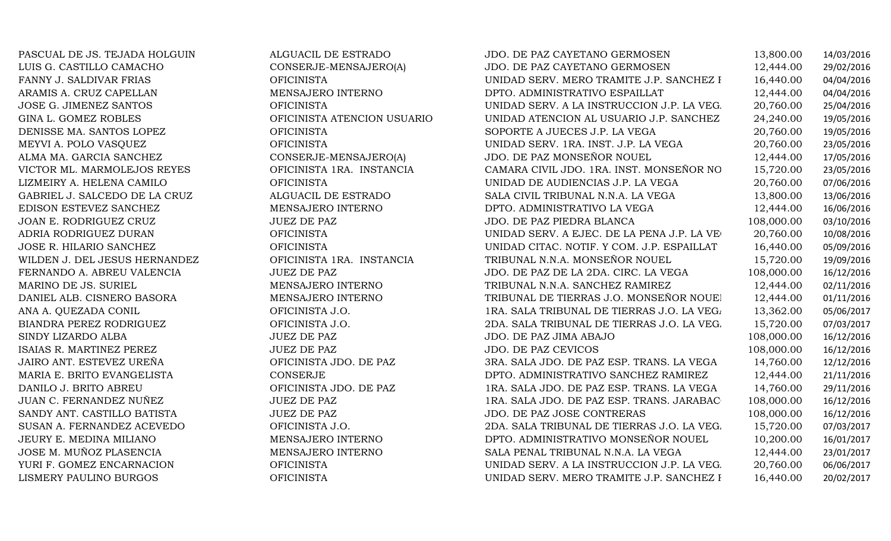| PASCUAL DE JS. TEJADA HOLGUIN  | ALGUACIL DE ESTRADO         | JDO. DE PAZ CAYETANO GERMOSEN              | 13,800.00  | 14/03/2016 |
|--------------------------------|-----------------------------|--------------------------------------------|------------|------------|
| LUIS G. CASTILLO CAMACHO       | CONSERJE-MENSAJERO(A)       | JDO. DE PAZ CAYETANO GERMOSEN              | 12,444.00  | 29/02/2016 |
| FANNY J. SALDIVAR FRIAS        | <b>OFICINISTA</b>           | UNIDAD SERV. MERO TRAMITE J.P. SANCHEZ I   | 16,440.00  | 04/04/2016 |
| ARAMIS A. CRUZ CAPELLAN        | MENSAJERO INTERNO           | DPTO. ADMINISTRATIVO ESPAILLAT             | 12,444.00  | 04/04/2016 |
| JOSE G. JIMENEZ SANTOS         | <b>OFICINISTA</b>           | UNIDAD SERV. A LA INSTRUCCION J.P. LA VEG. | 20,760.00  | 25/04/2016 |
| GINA L. GOMEZ ROBLES           | OFICINISTA ATENCION USUARIO | UNIDAD ATENCION AL USUARIO J.P. SANCHEZ    | 24,240.00  | 19/05/2016 |
| DENISSE MA. SANTOS LOPEZ       | <b>OFICINISTA</b>           | SOPORTE A JUECES J.P. LA VEGA              | 20,760.00  | 19/05/2016 |
| MEYVI A. POLO VASQUEZ          | <b>OFICINISTA</b>           | UNIDAD SERV. 1RA. INST. J.P. LA VEGA       | 20,760.00  | 23/05/2016 |
| ALMA MA. GARCIA SANCHEZ        | CONSERJE-MENSAJERO(A)       | JDO. DE PAZ MONSEÑOR NOUEL                 | 12,444.00  | 17/05/2016 |
| VICTOR ML. MARMOLEJOS REYES    | OFICINISTA 1RA. INSTANCIA   | CAMARA CIVIL JDO. 1RA. INST. MONSEÑOR NO   | 15,720.00  | 23/05/2016 |
| LIZMEIRY A. HELENA CAMILO      | <b>OFICINISTA</b>           | UNIDAD DE AUDIENCIAS J.P. LA VEGA          | 20,760.00  | 07/06/2016 |
| GABRIEL J. SALCEDO DE LA CRUZ  | ALGUACIL DE ESTRADO         | SALA CIVIL TRIBUNAL N.N.A. LA VEGA         | 13,800.00  | 13/06/2016 |
| EDISON ESTEVEZ SANCHEZ         | MENSAJERO INTERNO           | DPTO. ADMINISTRATIVO LA VEGA               | 12,444.00  | 16/06/2016 |
| JOAN E. RODRIGUEZ CRUZ         | <b>JUEZ DE PAZ</b>          | JDO. DE PAZ PIEDRA BLANCA                  | 108,000.00 | 03/10/2016 |
| ADRIA RODRIGUEZ DURAN          | <b>OFICINISTA</b>           | UNIDAD SERV. A EJEC. DE LA PENA J.P. LA VE | 20,760.00  | 10/08/2016 |
| JOSE R. HILARIO SANCHEZ        | <b>OFICINISTA</b>           | UNIDAD CITAC. NOTIF. Y COM. J.P. ESPAILLAT | 16,440.00  | 05/09/2016 |
| WILDEN J. DEL JESUS HERNANDEZ  | OFICINISTA 1RA. INSTANCIA   | TRIBUNAL N.N.A. MONSEÑOR NOUEL             | 15,720.00  | 19/09/2016 |
| FERNANDO A. ABREU VALENCIA     | <b>JUEZ DE PAZ</b>          | JDO. DE PAZ DE LA 2DA. CIRC. LA VEGA       | 108,000.00 | 16/12/2016 |
| MARINO DE JS. SURIEL           | MENSAJERO INTERNO           | TRIBUNAL N.N.A. SANCHEZ RAMIREZ            | 12,444.00  | 02/11/2016 |
| DANIEL ALB. CISNERO BASORA     | MENSAJERO INTERNO           | TRIBUNAL DE TIERRAS J.O. MONSEÑOR NOUE!    | 12,444.00  | 01/11/2016 |
| ANA A. QUEZADA CONIL           | OFICINISTA J.O.             | 1RA. SALA TRIBUNAL DE TIERRAS J.O. LA VEG. | 13,362.00  | 05/06/2017 |
| <b>BIANDRA PEREZ RODRIGUEZ</b> | OFICINISTA J.O.             | 2DA. SALA TRIBUNAL DE TIERRAS J.O. LA VEG. | 15,720.00  | 07/03/2017 |
| SINDY LIZARDO ALBA             | <b>JUEZ DE PAZ</b>          | JDO. DE PAZ JIMA ABAJO                     | 108,000.00 | 16/12/2016 |
| ISAIAS R. MARTINEZ PEREZ       | <b>JUEZ DE PAZ</b>          | JDO. DE PAZ CEVICOS                        | 108,000.00 | 16/12/2016 |
| JAIRO ANT. ESTEVEZ UREÑA       | OFICINISTA JDO. DE PAZ      | 3RA. SALA JDO. DE PAZ ESP. TRANS. LA VEGA  | 14,760.00  | 12/12/2016 |
| MARIA E. BRITO EVANGELISTA     | CONSERJE                    | DPTO. ADMINISTRATIVO SANCHEZ RAMIREZ       | 12,444.00  | 21/11/2016 |
| DANILO J. BRITO ABREU          | OFICINISTA JDO. DE PAZ      | 1RA. SALA JDO. DE PAZ ESP. TRANS. LA VEGA  | 14,760.00  | 29/11/2016 |
| JUAN C. FERNANDEZ NUÑEZ        | <b>JUEZ DE PAZ</b>          | 1RA. SALA JDO. DE PAZ ESP. TRANS. JARABAC  | 108,000.00 | 16/12/2016 |
| SANDY ANT. CASTILLO BATISTA    | <b>JUEZ DE PAZ</b>          | JDO. DE PAZ JOSE CONTRERAS                 | 108,000.00 | 16/12/2016 |
| SUSAN A. FERNANDEZ ACEVEDO     | OFICINISTA J.O.             | 2DA. SALA TRIBUNAL DE TIERRAS J.O. LA VEG. | 15,720.00  | 07/03/2017 |
| JEURY E. MEDINA MILIANO        | MENSAJERO INTERNO           | DPTO. ADMINISTRATIVO MONSEÑOR NOUEL        | 10,200.00  | 16/01/2017 |
| JOSE M. MUÑOZ PLASENCIA        | MENSAJERO INTERNO           | SALA PENAL TRIBUNAL N.N.A. LA VEGA         | 12,444.00  | 23/01/2017 |
| YURI F. GOMEZ ENCARNACION      | <b>OFICINISTA</b>           | UNIDAD SERV. A LA INSTRUCCION J.P. LA VEG. | 20,760.00  | 06/06/2017 |
| LISMERY PAULINO BURGOS         | <b>OFICINISTA</b>           | UNIDAD SERV. MERO TRAMITE J.P. SANCHEZ I   | 16,440.00  | 20/02/2017 |
|                                |                             |                                            |            |            |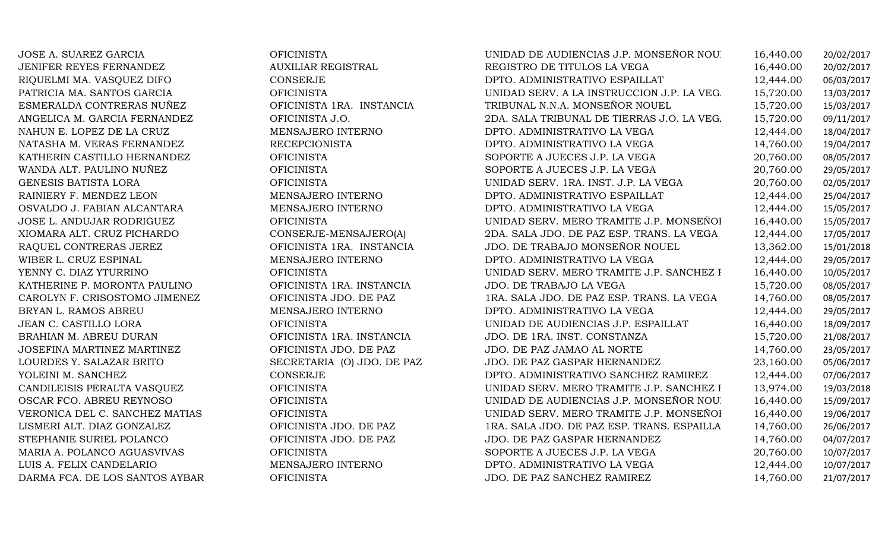| JOSE A. SUAREZ GARCIA          | <b>OFICINISTA</b>          | UNIDAD DE AUDIENCIAS J.P. MONSEÑOR NOU     | 16,440.00 | 20/02/2017 |
|--------------------------------|----------------------------|--------------------------------------------|-----------|------------|
| JENIFER REYES FERNANDEZ        | <b>AUXILIAR REGISTRAL</b>  | REGISTRO DE TITULOS LA VEGA                | 16,440.00 | 20/02/2017 |
| RIQUELMI MA. VASQUEZ DIFO      | <b>CONSERJE</b>            | DPTO. ADMINISTRATIVO ESPAILLAT             | 12,444.00 | 06/03/2017 |
| PATRICIA MA. SANTOS GARCIA     | <b>OFICINISTA</b>          | UNIDAD SERV. A LA INSTRUCCION J.P. LA VEG. | 15,720.00 | 13/03/2017 |
| ESMERALDA CONTRERAS NUÑEZ      | OFICINISTA 1RA. INSTANCIA  | TRIBUNAL N.N.A. MONSEÑOR NOUEL             | 15,720.00 | 15/03/2017 |
| ANGELICA M. GARCIA FERNANDEZ   | OFICINISTA J.O.            | 2DA. SALA TRIBUNAL DE TIERRAS J.O. LA VEG. | 15,720.00 | 09/11/2017 |
| NAHUN E. LOPEZ DE LA CRUZ      | MENSAJERO INTERNO          | DPTO. ADMINISTRATIVO LA VEGA               | 12,444.00 | 18/04/2017 |
| NATASHA M. VERAS FERNANDEZ     | <b>RECEPCIONISTA</b>       | DPTO. ADMINISTRATIVO LA VEGA               | 14,760.00 | 19/04/2017 |
| KATHERIN CASTILLO HERNANDEZ    | <b>OFICINISTA</b>          | SOPORTE A JUECES J.P. LA VEGA              | 20,760.00 | 08/05/2017 |
| WANDA ALT. PAULINO NUÑEZ       | <b>OFICINISTA</b>          | SOPORTE A JUECES J.P. LA VEGA              | 20,760.00 | 29/05/2017 |
| GENESIS BATISTA LORA           | <b>OFICINISTA</b>          | UNIDAD SERV. 1RA. INST. J.P. LA VEGA       | 20,760.00 | 02/05/2017 |
| RAINIERY F. MENDEZ LEON        | MENSAJERO INTERNO          | DPTO. ADMINISTRATIVO ESPAILLAT             | 12,444.00 | 25/04/2017 |
| OSVALDO J. FABIAN ALCANTARA    | MENSAJERO INTERNO          | DPTO. ADMINISTRATIVO LA VEGA               | 12,444.00 | 15/05/2017 |
| JOSE L. ANDUJAR RODRIGUEZ      | <b>OFICINISTA</b>          | UNIDAD SERV. MERO TRAMITE J.P. MONSEÑOI    | 16,440.00 | 15/05/2017 |
| XIOMARA ALT. CRUZ PICHARDO     | CONSERJE-MENSAJERO(A)      | 2DA. SALA JDO. DE PAZ ESP. TRANS. LA VEGA  | 12,444.00 | 17/05/2017 |
| RAQUEL CONTRERAS JEREZ         | OFICINISTA 1RA. INSTANCIA  | JDO. DE TRABAJO MONSEÑOR NOUEL             | 13,362.00 | 15/01/2018 |
| WIBER L. CRUZ ESPINAL          | MENSAJERO INTERNO          | DPTO. ADMINISTRATIVO LA VEGA               | 12,444.00 | 29/05/2017 |
| YENNY C. DIAZ YTURRINO         | <b>OFICINISTA</b>          | UNIDAD SERV. MERO TRAMITE J.P. SANCHEZ I   | 16,440.00 | 10/05/2017 |
| KATHERINE P. MORONTA PAULINO   | OFICINISTA 1RA. INSTANCIA  | JDO. DE TRABAJO LA VEGA                    | 15,720.00 | 08/05/2017 |
| CAROLYN F. CRISOSTOMO JIMENEZ  | OFICINISTA JDO. DE PAZ     | 1RA. SALA JDO. DE PAZ ESP. TRANS. LA VEGA  | 14,760.00 | 08/05/2017 |
| BRYAN L. RAMOS ABREU           | MENSAJERO INTERNO          | DPTO. ADMINISTRATIVO LA VEGA               | 12,444.00 | 29/05/2017 |
| JEAN C. CASTILLO LORA          | <b>OFICINISTA</b>          | UNIDAD DE AUDIENCIAS J.P. ESPAILLAT        | 16,440.00 | 18/09/2017 |
| BRAHIAN M. ABREU DURAN         | OFICINISTA 1RA. INSTANCIA  | JDO. DE 1RA. INST. CONSTANZA               | 15,720.00 | 21/08/2017 |
| JOSEFINA MARTINEZ MARTINEZ     | OFICINISTA JDO. DE PAZ     | JDO. DE PAZ JAMAO AL NORTE                 | 14,760.00 | 23/05/2017 |
| LOURDES Y. SALAZAR BRITO       | SECRETARIA (O) JDO. DE PAZ | JDO. DE PAZ GASPAR HERNANDEZ               | 23,160.00 | 05/06/2017 |
| YOLEINI M. SANCHEZ             | CONSERJE                   | DPTO. ADMINISTRATIVO SANCHEZ RAMIREZ       | 12,444.00 | 07/06/2017 |
| CANDILEISIS PERALTA VASQUEZ    | <b>OFICINISTA</b>          | UNIDAD SERV. MERO TRAMITE J.P. SANCHEZ I   | 13,974.00 | 19/03/2018 |
| OSCAR FCO. ABREU REYNOSO       | <b>OFICINISTA</b>          | UNIDAD DE AUDIENCIAS J.P. MONSEÑOR NOU     | 16,440.00 | 15/09/2017 |
| VERONICA DEL C. SANCHEZ MATIAS | <b>OFICINISTA</b>          | UNIDAD SERV. MERO TRAMITE J.P. MONSEÑOI    | 16,440.00 | 19/06/2017 |
| LISMERI ALT. DIAZ GONZALEZ     | OFICINISTA JDO. DE PAZ     | 1RA. SALA JDO. DE PAZ ESP. TRANS. ESPAILLA | 14,760.00 | 26/06/2017 |
| STEPHANIE SURIEL POLANCO       | OFICINISTA JDO. DE PAZ     | JDO. DE PAZ GASPAR HERNANDEZ               | 14,760.00 | 04/07/2017 |
| MARIA A. POLANCO AGUASVIVAS    | <b>OFICINISTA</b>          | SOPORTE A JUECES J.P. LA VEGA              | 20,760.00 | 10/07/2017 |
| LUIS A. FELIX CANDELARIO       | MENSAJERO INTERNO          | DPTO. ADMINISTRATIVO LA VEGA               | 12,444.00 | 10/07/2017 |
| DARMA FCA. DE LOS SANTOS AYBAR | <b>OFICINISTA</b>          | JDO. DE PAZ SANCHEZ RAMIREZ                | 14,760.00 | 21/07/2017 |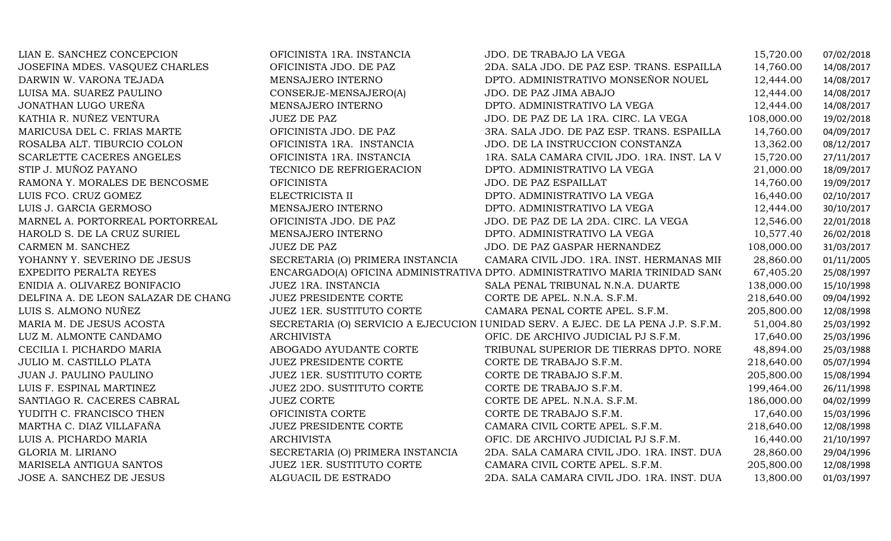| LIAN E. SANCHEZ CONCEPCION          | OFICINISTA 1RA. INSTANCIA        | JDO. DE TRABAJO LA VEGA                                                           | 15,720.00  | 07/02/2018 |
|-------------------------------------|----------------------------------|-----------------------------------------------------------------------------------|------------|------------|
| JOSEFINA MDES. VASQUEZ CHARLES      | OFICINISTA JDO. DE PAZ           | 2DA. SALA JDO. DE PAZ ESP. TRANS. ESPAILLA                                        | 14,760.00  | 14/08/2017 |
| DARWIN W. VARONA TEJADA             | MENSAJERO INTERNO                | DPTO. ADMINISTRATIVO MONSEÑOR NOUEL                                               | 12,444.00  | 14/08/2017 |
| LUISA MA. SUAREZ PAULINO            | CONSERJE-MENSAJERO(A)            | JDO. DE PAZ JIMA ABAJO                                                            | 12,444.00  | 14/08/2017 |
| JONATHAN LUGO UREÑA                 | MENSAJERO INTERNO                | DPTO. ADMINISTRATIVO LA VEGA                                                      | 12,444.00  | 14/08/2017 |
| KATHIA R. NUÑEZ VENTURA             | <b>JUEZ DE PAZ</b>               | JDO. DE PAZ DE LA 1RA. CIRC. LA VEGA                                              | 108,000.00 | 19/02/2018 |
| MARICUSA DEL C. FRIAS MARTE         | OFICINISTA JDO. DE PAZ           | 3RA. SALA JDO. DE PAZ ESP. TRANS. ESPAILLA                                        | 14,760.00  | 04/09/2017 |
| ROSALBA ALT. TIBURCIO COLON         | OFICINISTA 1RA. INSTANCIA        | JDO. DE LA INSTRUCCION CONSTANZA                                                  | 13,362.00  | 08/12/2017 |
| SCARLETTE CACERES ANGELES           | OFICINISTA 1RA. INSTANCIA        | 1RA. SALA CAMARA CIVIL JDO. 1RA. INST. LA V                                       | 15,720.00  | 27/11/2017 |
| STIP J. MUÑOZ PAYANO                | TECNICO DE REFRIGERACION         | DPTO. ADMINISTRATIVO LA VEGA                                                      | 21,000.00  | 18/09/2017 |
| RAMONA Y. MORALES DE BENCOSME       | <b>OFICINISTA</b>                | JDO. DE PAZ ESPAILLAT                                                             | 14,760.00  | 19/09/2017 |
| LUIS FCO. CRUZ GOMEZ                | ELECTRICISTA II                  | DPTO. ADMINISTRATIVO LA VEGA                                                      | 16,440.00  | 02/10/2017 |
| LUIS J. GARCIA GERMOSO              | MENSAJERO INTERNO                | DPTO. ADMINISTRATIVO LA VEGA                                                      | 12,444.00  | 30/10/2017 |
| MARNEL A. PORTORREAL PORTORREAL     | OFICINISTA JDO. DE PAZ           | JDO. DE PAZ DE LA 2DA. CIRC. LA VEGA                                              | 12,546.00  | 22/01/2018 |
| HAROLD S. DE LA CRUZ SURIEL         | MENSAJERO INTERNO                | DPTO. ADMINISTRATIVO LA VEGA                                                      | 10,577.40  | 26/02/2018 |
| CARMEN M. SANCHEZ                   | <b>JUEZ DE PAZ</b>               | JDO. DE PAZ GASPAR HERNANDEZ                                                      | 108,000.00 | 31/03/2017 |
| YOHANNY Y. SEVERINO DE JESUS        | SECRETARIA (O) PRIMERA INSTANCIA | CAMARA CIVIL JDO. 1RA. INST. HERMANAS MII                                         | 28,860.00  | 01/11/2005 |
| EXPEDITO PERALTA REYES              |                                  | ENCARGADO(A) OFICINA ADMINISTRATIVA DPTO. ADMINISTRATIVO MARIA TRINIDAD SANO      | 67,405.20  | 25/08/1997 |
| ENIDIA A. OLIVAREZ BONIFACIO        | JUEZ 1RA. INSTANCIA              | SALA PENAL TRIBUNAL N.N.A. DUARTE                                                 | 138,000.00 | 15/10/1998 |
| DELFINA A. DE LEON SALAZAR DE CHANG | <b>JUEZ PRESIDENTE CORTE</b>     | CORTE DE APEL. N.N.A. S.F.M.                                                      | 218,640.00 | 09/04/1992 |
| LUIS S. ALMONO NUÑEZ                | <b>JUEZ 1ER. SUSTITUTO CORTE</b> | CAMARA PENAL CORTE APEL. S.F.M.                                                   | 205,800.00 | 12/08/1998 |
| MARIA M. DE JESUS ACOSTA            |                                  | SECRETARIA (O) SERVICIO A EJECUCION I UNIDAD SERV. A EJEC. DE LA PENA J.P. S.F.M. | 51,004.80  | 25/03/1992 |
| LUZ M. ALMONTE CANDAMO              | <b>ARCHIVISTA</b>                | OFIC. DE ARCHIVO JUDICIAL PJ S.F.M.                                               | 17,640.00  | 25/03/1996 |
| CECILIA I. PICHARDO MARIA           | ABOGADO AYUDANTE CORTE           | TRIBUNAL SUPERIOR DE TIERRAS DPTO. NORE                                           | 48,894.00  | 25/03/1988 |
| JULIO M. CASTILLO PLATA             | <b>JUEZ PRESIDENTE CORTE</b>     | CORTE DE TRABAJO S.F.M.                                                           | 218,640.00 | 05/07/1994 |
| JUAN J. PAULINO PAULINO             | JUEZ 1ER. SUSTITUTO CORTE        | CORTE DE TRABAJO S.F.M.                                                           | 205,800.00 | 15/08/1994 |
| LUIS F. ESPINAL MARTINEZ            | <b>JUEZ 2DO. SUSTITUTO CORTE</b> | CORTE DE TRABAJO S.F.M.                                                           | 199,464.00 | 26/11/1998 |
| SANTIAGO R. CACERES CABRAL          | <b>JUEZ CORTE</b>                | CORTE DE APEL. N.N.A. S.F.M.                                                      | 186,000.00 | 04/02/1999 |
| YUDITH C. FRANCISCO THEN            | OFICINISTA CORTE                 | CORTE DE TRABAJO S.F.M.                                                           | 17,640.00  | 15/03/1996 |
| MARTHA C. DIAZ VILLAFAÑA            | <b>JUEZ PRESIDENTE CORTE</b>     | CAMARA CIVIL CORTE APEL. S.F.M.                                                   | 218,640.00 | 12/08/1998 |
| LUIS A. PICHARDO MARIA              | <b>ARCHIVISTA</b>                | OFIC. DE ARCHIVO JUDICIAL PJ S.F.M.                                               | 16,440.00  | 21/10/1997 |
| GLORIA M. LIRIANO                   | SECRETARIA (O) PRIMERA INSTANCIA | 2DA. SALA CAMARA CIVIL JDO. 1RA. INST. DUA                                        | 28,860.00  | 29/04/1996 |
| MARISELA ANTIGUA SANTOS             | JUEZ 1ER. SUSTITUTO CORTE        | CAMARA CIVIL CORTE APEL. S.F.M.                                                   | 205,800.00 | 12/08/1998 |
| JOSE A. SANCHEZ DE JESUS            | ALGUACIL DE ESTRADO              | 2DA. SALA CAMARA CIVIL JDO. 1RA. INST. DUA                                        | 13,800.00  | 01/03/1997 |
|                                     |                                  |                                                                                   |            |            |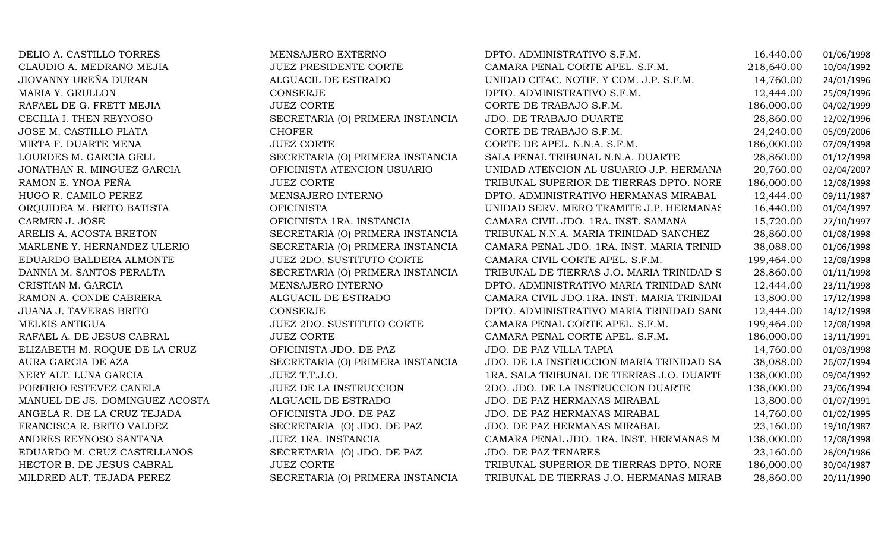| DELIO A. CASTILLO TORRES       | MENSAJERO EXTERNO                | DPTO. ADMINISTRATIVO S.F.M.                | 16,440.00  | 01/06/1998 |
|--------------------------------|----------------------------------|--------------------------------------------|------------|------------|
| CLAUDIO A. MEDRANO MEJIA       | <b>JUEZ PRESIDENTE CORTE</b>     | CAMARA PENAL CORTE APEL. S.F.M.            | 218,640.00 | 10/04/1992 |
| JIOVANNY UREÑA DURAN           | ALGUACIL DE ESTRADO              | UNIDAD CITAC. NOTIF. Y COM. J.P. S.F.M.    | 14,760.00  | 24/01/1996 |
| MARIA Y. GRULLON               | CONSERJE                         | DPTO. ADMINISTRATIVO S.F.M.                | 12,444.00  | 25/09/1996 |
| RAFAEL DE G. FRETT MEJIA       | <b>JUEZ CORTE</b>                | CORTE DE TRABAJO S.F.M.                    | 186,000.00 | 04/02/1999 |
| CECILIA I. THEN REYNOSO        | SECRETARIA (O) PRIMERA INSTANCIA | JDO. DE TRABAJO DUARTE                     | 28,860.00  | 12/02/1996 |
| JOSE M. CASTILLO PLATA         | <b>CHOFER</b>                    | CORTE DE TRABAJO S.F.M.                    | 24,240.00  | 05/09/2006 |
| MIRTA F. DUARTE MENA           | <b>JUEZ CORTE</b>                | CORTE DE APEL. N.N.A. S.F.M.               | 186,000.00 | 07/09/1998 |
| LOURDES M. GARCIA GELL         | SECRETARIA (O) PRIMERA INSTANCIA | SALA PENAL TRIBUNAL N.N.A. DUARTE          | 28,860.00  | 01/12/1998 |
| JONATHAN R. MINGUEZ GARCIA     | OFICINISTA ATENCION USUARIO      | UNIDAD ATENCION AL USUARIO J.P. HERMANA    | 20,760.00  | 02/04/2007 |
| RAMON E. YNOA PEÑA             | <b>JUEZ CORTE</b>                | TRIBUNAL SUPERIOR DE TIERRAS DPTO. NORE    | 186,000.00 | 12/08/1998 |
| HUGO R. CAMILO PEREZ           | MENSAJERO INTERNO                | DPTO. ADMINISTRATIVO HERMANAS MIRABAL      | 12,444.00  | 09/11/1987 |
| ORQUIDEA M. BRITO BATISTA      | <b>OFICINISTA</b>                | UNIDAD SERV. MERO TRAMITE J.P. HERMANAS    | 16,440.00  | 01/04/1997 |
| CARMEN J. JOSE                 | OFICINISTA 1RA. INSTANCIA        | CAMARA CIVIL JDO. 1RA. INST. SAMANA        | 15,720.00  | 27/10/1997 |
| ARELIS A. ACOSTA BRETON        | SECRETARIA (O) PRIMERA INSTANCIA | TRIBUNAL N.N.A. MARIA TRINIDAD SANCHEZ     | 28,860.00  | 01/08/1998 |
| MARLENE Y. HERNANDEZ ULERIO    | SECRETARIA (O) PRIMERA INSTANCIA | CAMARA PENAL JDO. 1RA. INST. MARIA TRINID  | 38,088.00  | 01/06/1998 |
| EDUARDO BALDERA ALMONTE        | JUEZ 2DO. SUSTITUTO CORTE        | CAMARA CIVIL CORTE APEL. S.F.M.            | 199,464.00 | 12/08/1998 |
| DANNIA M. SANTOS PERALTA       | SECRETARIA (O) PRIMERA INSTANCIA | TRIBUNAL DE TIERRAS J.O. MARIA TRINIDAD S  | 28,860.00  | 01/11/1998 |
| CRISTIAN M. GARCIA             | MENSAJERO INTERNO                | DPTO. ADMINISTRATIVO MARIA TRINIDAD SANO   | 12,444.00  | 23/11/1998 |
| RAMON A. CONDE CABRERA         | ALGUACIL DE ESTRADO              | CAMARA CIVIL JDO.1RA. INST. MARIA TRINIDAI | 13,800.00  | 17/12/1998 |
| <b>JUANA J. TAVERAS BRITO</b>  | <b>CONSERJE</b>                  | DPTO. ADMINISTRATIVO MARIA TRINIDAD SANO   | 12,444.00  | 14/12/1998 |
| MELKIS ANTIGUA                 | <b>JUEZ 2DO. SUSTITUTO CORTE</b> | CAMARA PENAL CORTE APEL. S.F.M.            | 199,464.00 | 12/08/1998 |
| RAFAEL A. DE JESUS CABRAL      | <b>JUEZ CORTE</b>                | CAMARA PENAL CORTE APEL. S.F.M.            | 186,000.00 | 13/11/1991 |
| ELIZABETH M. ROQUE DE LA CRUZ  | OFICINISTA JDO. DE PAZ           | JDO. DE PAZ VILLA TAPIA                    | 14,760.00  | 01/03/1998 |
| AURA GARCIA DE AZA             | SECRETARIA (O) PRIMERA INSTANCIA | JDO. DE LA INSTRUCCION MARIA TRINIDAD SA   | 38,088.00  | 26/07/1994 |
| NERY ALT. LUNA GARCIA          | JUEZ T.T.J.O.                    | 1RA. SALA TRIBUNAL DE TIERRAS J.O. DUARTE  | 138,000.00 | 09/04/1992 |
| PORFIRIO ESTEVEZ CANELA        | <b>JUEZ DE LA INSTRUCCION</b>    | 2DO. JDO. DE LA INSTRUCCION DUARTE         | 138,000.00 | 23/06/1994 |
| MANUEL DE JS. DOMINGUEZ ACOSTA | ALGUACIL DE ESTRADO              | JDO. DE PAZ HERMANAS MIRABAL               | 13,800.00  | 01/07/1991 |
| ANGELA R. DE LA CRUZ TEJADA    | OFICINISTA JDO. DE PAZ           | JDO. DE PAZ HERMANAS MIRABAL               | 14,760.00  | 01/02/1995 |
| FRANCISCA R. BRITO VALDEZ      | SECRETARIA (O) JDO. DE PAZ       | JDO. DE PAZ HERMANAS MIRABAL               | 23,160.00  | 19/10/1987 |
| ANDRES REYNOSO SANTANA         | JUEZ 1RA. INSTANCIA              | CAMARA PENAL JDO. 1RA. INST. HERMANAS M    | 138,000.00 | 12/08/1998 |
| EDUARDO M. CRUZ CASTELLANOS    | SECRETARIA (O) JDO. DE PAZ       | <b>JDO. DE PAZ TENARES</b>                 | 23,160.00  | 26/09/1986 |
| HECTOR B. DE JESUS CABRAL      | <b>JUEZ CORTE</b>                | TRIBUNAL SUPERIOR DE TIERRAS DPTO. NORE    | 186,000.00 | 30/04/1987 |
| MILDRED ALT. TEJADA PEREZ      | SECRETARIA (O) PRIMERA INSTANCIA | TRIBUNAL DE TIERRAS J.O. HERMANAS MIRAB    | 28,860.00  | 20/11/1990 |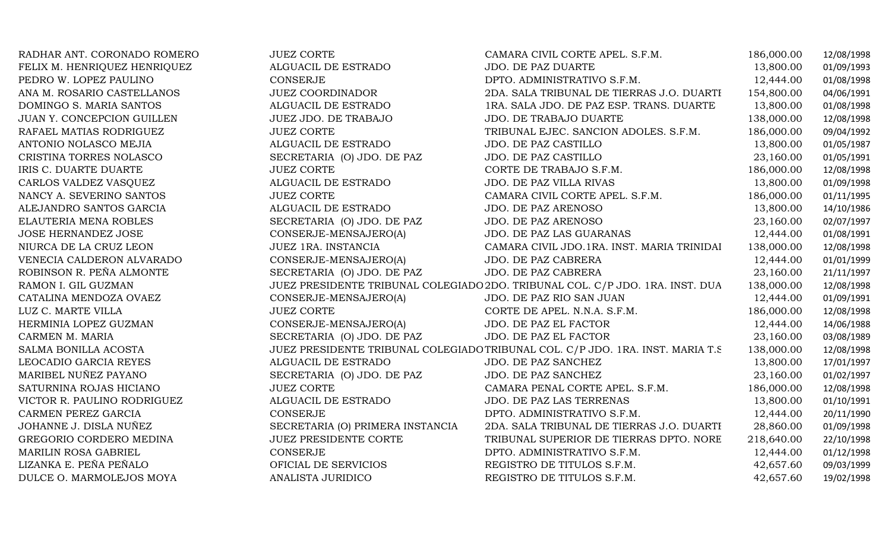| RADHAR ANT. CORONADO ROMERO  | <b>JUEZ CORTE</b>                | CAMARA CIVIL CORTE APEL. S.F.M.                                                 | 186,000.00 | 12/08/1998 |
|------------------------------|----------------------------------|---------------------------------------------------------------------------------|------------|------------|
| FELIX M. HENRIQUEZ HENRIQUEZ | ALGUACIL DE ESTRADO              | <b>JDO. DE PAZ DUARTE</b>                                                       | 13,800.00  | 01/09/1993 |
| PEDRO W. LOPEZ PAULINO       | <b>CONSERJE</b>                  | DPTO. ADMINISTRATIVO S.F.M.                                                     | 12,444.00  | 01/08/1998 |
| ANA M. ROSARIO CASTELLANOS   | <b>JUEZ COORDINADOR</b>          | 2DA. SALA TRIBUNAL DE TIERRAS J.O. DUARTI                                       | 154,800.00 | 04/06/1991 |
| DOMINGO S. MARIA SANTOS      | ALGUACIL DE ESTRADO              | 1RA. SALA JDO. DE PAZ ESP. TRANS. DUARTE                                        | 13,800.00  | 01/08/1998 |
| JUAN Y. CONCEPCION GUILLEN   | JUEZ JDO. DE TRABAJO             | JDO. DE TRABAJO DUARTE                                                          | 138,000.00 | 12/08/1998 |
| RAFAEL MATIAS RODRIGUEZ      | <b>JUEZ CORTE</b>                | TRIBUNAL EJEC. SANCION ADOLES. S.F.M.                                           | 186,000.00 | 09/04/1992 |
| ANTONIO NOLASCO MEJIA        | ALGUACIL DE ESTRADO              | JDO. DE PAZ CASTILLO                                                            | 13,800.00  | 01/05/1987 |
| CRISTINA TORRES NOLASCO      | SECRETARIA (O) JDO. DE PAZ       | JDO. DE PAZ CASTILLO                                                            | 23,160.00  | 01/05/1991 |
| IRIS C. DUARTE DUARTE        | <b>JUEZ CORTE</b>                | CORTE DE TRABAJO S.F.M.                                                         | 186,000.00 | 12/08/1998 |
| CARLOS VALDEZ VASQUEZ        | ALGUACIL DE ESTRADO              | <b>JDO. DE PAZ VILLA RIVAS</b>                                                  | 13,800.00  | 01/09/1998 |
| NANCY A. SEVERINO SANTOS     | <b>JUEZ CORTE</b>                | CAMARA CIVIL CORTE APEL. S.F.M.                                                 | 186,000.00 | 01/11/1995 |
| ALEJANDRO SANTOS GARCIA      | ALGUACIL DE ESTRADO              | JDO. DE PAZ ARENOSO                                                             | 13,800.00  | 14/10/1986 |
| ELAUTERIA MENA ROBLES        | SECRETARIA (O) JDO. DE PAZ       | <b>JDO. DE PAZ ARENOSO</b>                                                      | 23,160.00  | 02/07/1997 |
| JOSE HERNANDEZ JOSE          | CONSERJE-MENSAJERO(A)            | JDO. DE PAZ LAS GUARANAS                                                        | 12,444.00  | 01/08/1991 |
| NIURCA DE LA CRUZ LEON       | JUEZ 1RA. INSTANCIA              | CAMARA CIVIL JDO.1RA. INST. MARIA TRINIDAI                                      | 138,000.00 | 12/08/1998 |
| VENECIA CALDERON ALVARADO    | CONSERJE-MENSAJERO(A)            | JDO. DE PAZ CABRERA                                                             | 12,444.00  | 01/01/1999 |
| ROBINSON R. PEÑA ALMONTE     | SECRETARIA (O) JDO. DE PAZ       | JDO. DE PAZ CABRERA                                                             | 23,160.00  | 21/11/1997 |
| RAMON I. GIL GUZMAN          |                                  | JUEZ PRESIDENTE TRIBUNAL COLEGIADO 2DO. TRIBUNAL COL. C/P JDO. 1RA. INST. DUA   | 138,000.00 | 12/08/1998 |
| CATALINA MENDOZA OVAEZ       | CONSERJE-MENSAJERO(A)            | JDO. DE PAZ RIO SAN JUAN                                                        | 12,444.00  | 01/09/1991 |
| LUZ C. MARTE VILLA           | <b>JUEZ CORTE</b>                | CORTE DE APEL. N.N.A. S.F.M.                                                    | 186,000.00 | 12/08/1998 |
| HERMINIA LOPEZ GUZMAN        | CONSERJE-MENSAJERO(A)            | JDO. DE PAZ EL FACTOR                                                           | 12,444.00  | 14/06/1988 |
| CARMEN M. MARIA              | SECRETARIA (O) JDO. DE PAZ       | JDO. DE PAZ EL FACTOR                                                           | 23,160.00  | 03/08/1989 |
| SALMA BONILLA ACOSTA         |                                  | JUEZ PRESIDENTE TRIBUNAL COLEGIADO TRIBUNAL COL. C/P JDO. 1RA. INST. MARIA T.S. | 138,000.00 | 12/08/1998 |
| LEOCADIO GARCIA REYES        | ALGUACIL DE ESTRADO              | JDO. DE PAZ SANCHEZ                                                             | 13,800.00  | 17/01/1997 |
| MARIBEL NUÑEZ PAYANO         | SECRETARIA (O) JDO. DE PAZ       | JDO. DE PAZ SANCHEZ                                                             | 23,160.00  | 01/02/1997 |
| SATURNINA ROJAS HICIANO      | <b>JUEZ CORTE</b>                | CAMARA PENAL CORTE APEL. S.F.M.                                                 | 186,000.00 | 12/08/1998 |
| VICTOR R. PAULINO RODRIGUEZ  | ALGUACIL DE ESTRADO              | JDO. DE PAZ LAS TERRENAS                                                        | 13,800.00  | 01/10/1991 |
| CARMEN PEREZ GARCIA          | CONSERJE                         | DPTO. ADMINISTRATIVO S.F.M.                                                     | 12,444.00  | 20/11/1990 |
| JOHANNE J. DISLA NUÑEZ       | SECRETARIA (O) PRIMERA INSTANCIA | 2DA. SALA TRIBUNAL DE TIERRAS J.O. DUARTI                                       | 28,860.00  | 01/09/1998 |
| GREGORIO CORDERO MEDINA      | JUEZ PRESIDENTE CORTE            | TRIBUNAL SUPERIOR DE TIERRAS DPTO. NORE                                         | 218,640.00 | 22/10/1998 |
| MARILIN ROSA GABRIEL         | CONSERJE                         | DPTO. ADMINISTRATIVO S.F.M.                                                     | 12,444.00  | 01/12/1998 |
| LIZANKA E. PEÑA PEÑALO       | OFICIAL DE SERVICIOS             | REGISTRO DE TITULOS S.F.M.                                                      | 42,657.60  | 09/03/1999 |
| DULCE O. MARMOLEJOS MOYA     | ANALISTA JURIDICO                | REGISTRO DE TITULOS S.F.M.                                                      | 42,657.60  | 19/02/1998 |
|                              |                                  |                                                                                 |            |            |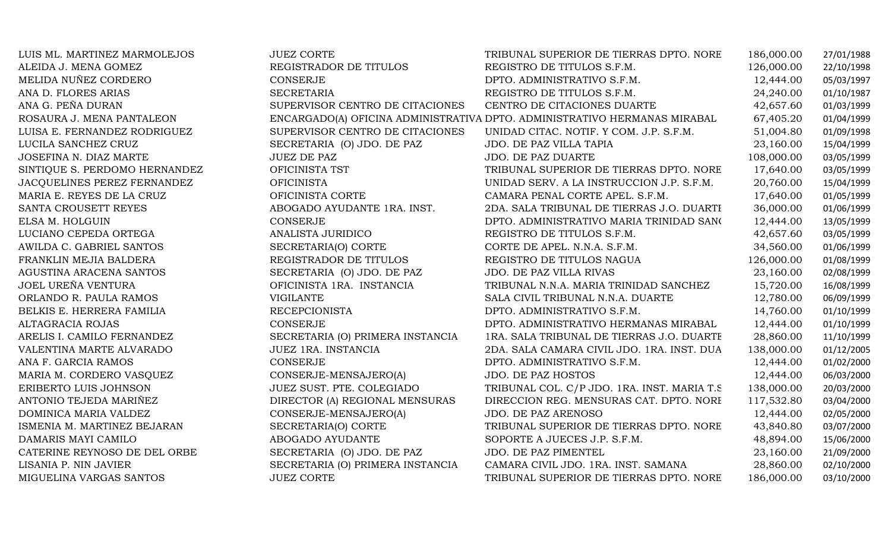| LUIS ML. MARTINEZ MARMOLEJOS  | <b>JUEZ CORTE</b>                | TRIBUNAL SUPERIOR DE TIERRAS DPTO. NORE                                   | 186,000.00 | 27/01/1988 |
|-------------------------------|----------------------------------|---------------------------------------------------------------------------|------------|------------|
| ALEIDA J. MENA GOMEZ          | REGISTRADOR DE TITULOS           | REGISTRO DE TITULOS S.F.M.                                                | 126,000.00 | 22/10/1998 |
| MELIDA NUÑEZ CORDERO          | <b>CONSERJE</b>                  | DPTO. ADMINISTRATIVO S.F.M.                                               | 12,444.00  | 05/03/1997 |
| ANA D. FLORES ARIAS           | <b>SECRETARIA</b>                | REGISTRO DE TITULOS S.F.M.                                                | 24,240.00  | 01/10/1987 |
| ANA G. PEÑA DURAN             | SUPERVISOR CENTRO DE CITACIONES  | CENTRO DE CITACIONES DUARTE                                               | 42,657.60  | 01/03/1999 |
| ROSAURA J. MENA PANTALEON     |                                  | ENCARGADO(A) OFICINA ADMINISTRATIVA DPTO. ADMINISTRATIVO HERMANAS MIRABAL | 67,405.20  | 01/04/1999 |
| LUISA E. FERNANDEZ RODRIGUEZ  | SUPERVISOR CENTRO DE CITACIONES  | UNIDAD CITAC. NOTIF. Y COM. J.P. S.F.M.                                   | 51,004.80  | 01/09/1998 |
| LUCILA SANCHEZ CRUZ           | SECRETARIA (O) JDO. DE PAZ       | JDO. DE PAZ VILLA TAPIA                                                   | 23,160.00  | 15/04/1999 |
| JOSEFINA N. DIAZ MARTE        | <b>JUEZ DE PAZ</b>               | JDO. DE PAZ DUARTE                                                        | 108,000.00 | 03/05/1999 |
| SINTIQUE S. PERDOMO HERNANDEZ | OFICINISTA TST                   | TRIBUNAL SUPERIOR DE TIERRAS DPTO. NORE                                   | 17,640.00  | 03/05/1999 |
| JACQUELINES PEREZ FERNANDEZ   | <b>OFICINISTA</b>                | UNIDAD SERV. A LA INSTRUCCION J.P. S.F.M.                                 | 20,760.00  | 15/04/1999 |
| MARIA E. REYES DE LA CRUZ     | OFICINISTA CORTE                 | CAMARA PENAL CORTE APEL. S.F.M.                                           | 17,640.00  | 01/05/1999 |
| SANTA CROUSETT REYES          | ABOGADO AYUDANTE 1RA. INST.      | 2DA. SALA TRIBUNAL DE TIERRAS J.O. DUARTI                                 | 36,000.00  | 01/06/1999 |
| ELSA M. HOLGUIN               | <b>CONSERJE</b>                  | DPTO. ADMINISTRATIVO MARIA TRINIDAD SANO                                  | 12,444.00  | 13/05/1999 |
| LUCIANO CEPEDA ORTEGA         | ANALISTA JURIDICO                | REGISTRO DE TITULOS S.F.M.                                                | 42,657.60  | 03/05/1999 |
| AWILDA C. GABRIEL SANTOS      | SECRETARIA(O) CORTE              | CORTE DE APEL. N.N.A. S.F.M.                                              | 34,560.00  | 01/06/1999 |
| FRANKLIN MEJIA BALDERA        | REGISTRADOR DE TITULOS           | REGISTRO DE TITULOS NAGUA                                                 | 126,000.00 | 01/08/1999 |
| AGUSTINA ARACENA SANTOS       | SECRETARIA (O) JDO. DE PAZ       | JDO. DE PAZ VILLA RIVAS                                                   | 23,160.00  | 02/08/1999 |
| JOEL UREÑA VENTURA            | OFICINISTA 1RA. INSTANCIA        | TRIBUNAL N.N.A. MARIA TRINIDAD SANCHEZ                                    | 15,720.00  | 16/08/1999 |
| ORLANDO R. PAULA RAMOS        | <b>VIGILANTE</b>                 | SALA CIVIL TRIBUNAL N.N.A. DUARTE                                         | 12,780.00  | 06/09/1999 |
| BELKIS E. HERRERA FAMILIA     | <b>RECEPCIONISTA</b>             | DPTO. ADMINISTRATIVO S.F.M.                                               | 14,760.00  | 01/10/1999 |
| ALTAGRACIA ROJAS              | CONSERJE                         | DPTO. ADMINISTRATIVO HERMANAS MIRABAL                                     | 12,444.00  | 01/10/1999 |
| ARELIS I. CAMILO FERNANDEZ    | SECRETARIA (O) PRIMERA INSTANCIA | 1RA. SALA TRIBUNAL DE TIERRAS J.O. DUARTE                                 | 28,860.00  | 11/10/1999 |
| VALENTINA MARTE ALVARADO      | JUEZ 1RA. INSTANCIA              | 2DA. SALA CAMARA CIVIL JDO. 1RA. INST. DUA                                | 138,000.00 | 01/12/2005 |
| ANA F. GARCIA RAMOS           | CONSERJE                         | DPTO. ADMINISTRATIVO S.F.M.                                               | 12,444.00  | 01/02/2000 |
| MARIA M. CORDERO VASQUEZ      | CONSERJE-MENSAJERO(A)            | <b>JDO. DE PAZ HOSTOS</b>                                                 | 12,444.00  | 06/03/2000 |
| ERIBERTO LUIS JOHNSON         | JUEZ SUST. PTE. COLEGIADO        | TRIBUNAL COL. C/P JDO. 1RA. INST. MARIA T.S.                              | 138,000.00 | 20/03/2000 |
| ANTONIO TEJEDA MARIÑEZ        | DIRECTOR (A) REGIONAL MENSURAS   | DIRECCION REG. MENSURAS CAT. DPTO. NORI                                   | 117,532.80 | 03/04/2000 |
| DOMINICA MARIA VALDEZ         | CONSERJE-MENSAJERO(A)            | JDO. DE PAZ ARENOSO                                                       | 12,444.00  | 02/05/2000 |
| ISMENIA M. MARTINEZ BEJARAN   | SECRETARIA(O) CORTE              | TRIBUNAL SUPERIOR DE TIERRAS DPTO. NORE                                   | 43,840.80  | 03/07/2000 |
| DAMARIS MAYI CAMILO           | ABOGADO AYUDANTE                 | SOPORTE A JUECES J.P. S.F.M.                                              | 48,894.00  | 15/06/2000 |
| CATERINE REYNOSO DE DEL ORBE  | SECRETARIA (O) JDO. DE PAZ       | JDO. DE PAZ PIMENTEL                                                      | 23,160.00  | 21/09/2000 |
| LISANIA P. NIN JAVIER         | SECRETARIA (O) PRIMERA INSTANCIA | CAMARA CIVIL JDO. 1RA. INST. SAMANA                                       | 28,860.00  | 02/10/2000 |
| MIGUELINA VARGAS SANTOS       | <b>JUEZ CORTE</b>                | TRIBUNAL SUPERIOR DE TIERRAS DPTO. NORE                                   | 186,000.00 | 03/10/2000 |
|                               |                                  |                                                                           |            |            |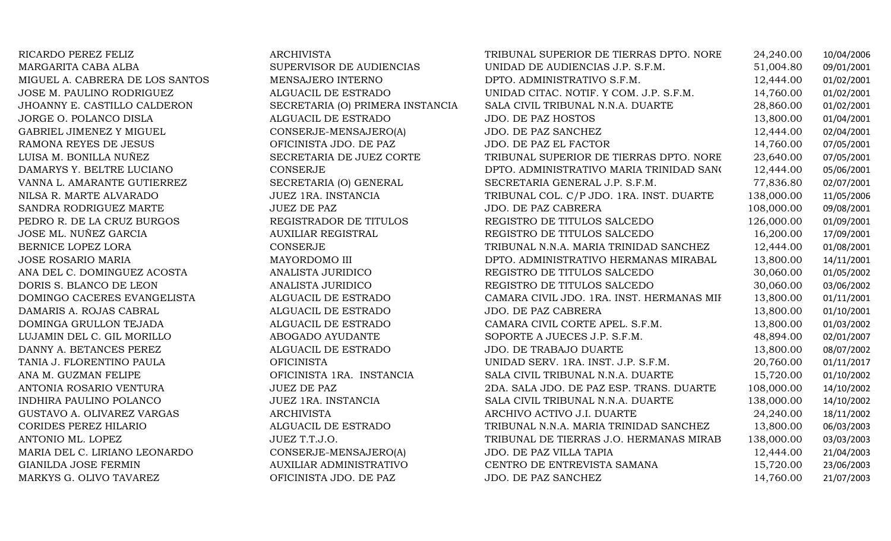| RICARDO PEREZ FELIZ             | ARCHIVISTA                       | TRIBUNAL SUPERIOR DE TIERRAS DPTO. NORE   | 24,240.00  | 10/04/2006 |
|---------------------------------|----------------------------------|-------------------------------------------|------------|------------|
| MARGARITA CABA ALBA             | SUPERVISOR DE AUDIENCIAS         | UNIDAD DE AUDIENCIAS J.P. S.F.M.          | 51,004.80  | 09/01/2001 |
| MIGUEL A. CABRERA DE LOS SANTOS | MENSAJERO INTERNO                | DPTO. ADMINISTRATIVO S.F.M.               | 12,444.00  | 01/02/2001 |
| JOSE M. PAULINO RODRIGUEZ       | ALGUACIL DE ESTRADO              | UNIDAD CITAC. NOTIF. Y COM. J.P. S.F.M.   | 14,760.00  | 01/02/2001 |
| JHOANNY E. CASTILLO CALDERON    | SECRETARIA (O) PRIMERA INSTANCIA | SALA CIVIL TRIBUNAL N.N.A. DUARTE         | 28,860.00  | 01/02/2001 |
| JORGE O. POLANCO DISLA          | ALGUACIL DE ESTRADO              | JDO. DE PAZ HOSTOS                        | 13,800.00  | 01/04/2001 |
| GABRIEL JIMENEZ Y MIGUEL        | CONSERJE-MENSAJERO(A)            | JDO. DE PAZ SANCHEZ                       | 12,444.00  | 02/04/2001 |
| RAMONA REYES DE JESUS           | OFICINISTA JDO. DE PAZ           | JDO. DE PAZ EL FACTOR                     | 14,760.00  | 07/05/2001 |
| LUISA M. BONILLA NUÑEZ          | SECRETARIA DE JUEZ CORTE         | TRIBUNAL SUPERIOR DE TIERRAS DPTO. NORE   | 23,640.00  | 07/05/2001 |
| DAMARYS Y. BELTRE LUCIANO       | <b>CONSERJE</b>                  | DPTO. ADMINISTRATIVO MARIA TRINIDAD SANO  | 12,444.00  | 05/06/2001 |
| VANNA L. AMARANTE GUTIERREZ     | SECRETARIA (O) GENERAL           | SECRETARIA GENERAL J.P. S.F.M.            | 77,836.80  | 02/07/2001 |
| NILSA R. MARTE ALVARADO         | JUEZ 1RA. INSTANCIA              | TRIBUNAL COL. C/P JDO. 1RA. INST. DUARTE  | 138,000.00 | 11/05/2006 |
| SANDRA RODRIGUEZ MARTE          | <b>JUEZ DE PAZ</b>               | JDO. DE PAZ CABRERA                       | 108,000.00 | 09/08/2001 |
| PEDRO R. DE LA CRUZ BURGOS      | REGISTRADOR DE TITULOS           | REGISTRO DE TITULOS SALCEDO               | 126,000.00 | 01/09/2001 |
| JOSE ML. NUÑEZ GARCIA           | <b>AUXILIAR REGISTRAL</b>        | REGISTRO DE TITULOS SALCEDO               | 16,200.00  | 17/09/2001 |
| BERNICE LOPEZ LORA              | <b>CONSERJE</b>                  | TRIBUNAL N.N.A. MARIA TRINIDAD SANCHEZ    | 12,444.00  | 01/08/2001 |
| JOSE ROSARIO MARIA              | MAYORDOMO III                    | DPTO. ADMINISTRATIVO HERMANAS MIRABAL     | 13,800.00  | 14/11/2001 |
| ANA DEL C. DOMINGUEZ ACOSTA     | ANALISTA JURIDICO                | REGISTRO DE TITULOS SALCEDO               | 30,060.00  | 01/05/2002 |
| DORIS S. BLANCO DE LEON         | ANALISTA JURIDICO                | REGISTRO DE TITULOS SALCEDO               | 30,060.00  | 03/06/2002 |
| DOMINGO CACERES EVANGELISTA     | ALGUACIL DE ESTRADO              | CAMARA CIVIL JDO. 1RA. INST. HERMANAS MII | 13,800.00  | 01/11/2001 |
| DAMARIS A. ROJAS CABRAL         | ALGUACIL DE ESTRADO              | JDO. DE PAZ CABRERA                       | 13,800.00  | 01/10/2001 |
| DOMINGA GRULLON TEJADA          | ALGUACIL DE ESTRADO              | CAMARA CIVIL CORTE APEL. S.F.M.           | 13,800.00  | 01/03/2002 |
| LUJAMIN DEL C. GIL MORILLO      | ABOGADO AYUDANTE                 | SOPORTE A JUECES J.P. S.F.M.              | 48,894.00  | 02/01/2007 |
| DANNY A. BETANCES PEREZ         | ALGUACIL DE ESTRADO              | JDO. DE TRABAJO DUARTE                    | 13,800.00  | 08/07/2002 |
| TANIA J. FLORENTINO PAULA       | <b>OFICINISTA</b>                | UNIDAD SERV. 1RA. INST. J.P. S.F.M.       | 20,760.00  | 01/11/2017 |
| ANA M. GUZMAN FELIPE            | OFICINISTA 1RA. INSTANCIA        | SALA CIVIL TRIBUNAL N.N.A. DUARTE         | 15,720.00  | 01/10/2002 |
| ANTONIA ROSARIO VENTURA         | <b>JUEZ DE PAZ</b>               | 2DA. SALA JDO. DE PAZ ESP. TRANS. DUARTE  | 108,000.00 | 14/10/2002 |
| INDHIRA PAULINO POLANCO         | JUEZ 1RA. INSTANCIA              | SALA CIVIL TRIBUNAL N.N.A. DUARTE         | 138,000.00 | 14/10/2002 |
| GUSTAVO A. OLIVAREZ VARGAS      | <b>ARCHIVISTA</b>                | ARCHIVO ACTIVO J.I. DUARTE                | 24,240.00  | 18/11/2002 |
| CORIDES PEREZ HILARIO           | ALGUACIL DE ESTRADO              | TRIBUNAL N.N.A. MARIA TRINIDAD SANCHEZ    | 13,800.00  | 06/03/2003 |
| ANTONIO ML. LOPEZ               | JUEZ T.T.J.O.                    | TRIBUNAL DE TIERRAS J.O. HERMANAS MIRAB   | 138,000.00 | 03/03/2003 |
| MARIA DEL C. LIRIANO LEONARDO   | CONSERJE-MENSAJERO(A)            | JDO. DE PAZ VILLA TAPIA                   | 12,444.00  | 21/04/2003 |
| GIANILDA JOSE FERMIN            | AUXILIAR ADMINISTRATIVO          | CENTRO DE ENTREVISTA SAMANA               | 15,720.00  | 23/06/2003 |
| MARKYS G. OLIVO TAVAREZ         | OFICINISTA JDO. DE PAZ           | JDO. DE PAZ SANCHEZ                       | 14,760.00  | 21/07/2003 |
|                                 |                                  |                                           |            |            |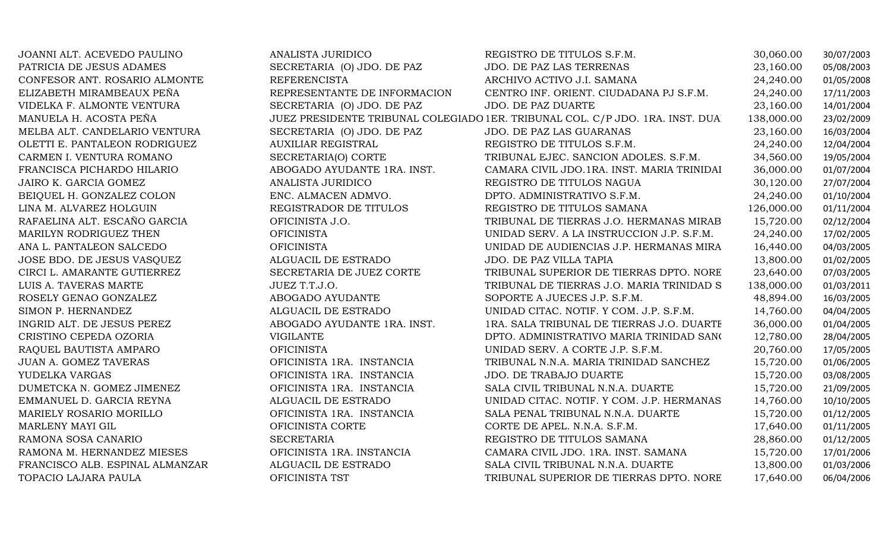| JOANNI ALT. ACEVEDO PAULINO     | ANALISTA JURIDICO            | REGISTRO DE TITULOS S.F.M.                                                    | 30,060.00  | 30/07/2003 |
|---------------------------------|------------------------------|-------------------------------------------------------------------------------|------------|------------|
| PATRICIA DE JESUS ADAMES        | SECRETARIA (O) JDO. DE PAZ   | JDO. DE PAZ LAS TERRENAS                                                      | 23,160.00  | 05/08/2003 |
| CONFESOR ANT. ROSARIO ALMONTE   | <b>REFERENCISTA</b>          | ARCHIVO ACTIVO J.I. SAMANA                                                    | 24,240.00  | 01/05/2008 |
| ELIZABETH MIRAMBEAUX PEÑA       | REPRESENTANTE DE INFORMACION | CENTRO INF. ORIENT. CIUDADANA PJ S.F.M.                                       | 24,240.00  | 17/11/2003 |
| VIDELKA F. ALMONTE VENTURA      | SECRETARIA (O) JDO. DE PAZ   | <b>JDO. DE PAZ DUARTE</b>                                                     | 23,160.00  | 14/01/2004 |
| MANUELA H. ACOSTA PEÑA          |                              | JUEZ PRESIDENTE TRIBUNAL COLEGIADO 1ER. TRIBUNAL COL. C/P JDO. 1RA. INST. DUA | 138,000.00 | 23/02/2009 |
| MELBA ALT. CANDELARIO VENTURA   | SECRETARIA (O) JDO. DE PAZ   | JDO. DE PAZ LAS GUARANAS                                                      | 23,160.00  | 16/03/2004 |
| OLETTI E. PANTALEON RODRIGUEZ   | <b>AUXILIAR REGISTRAL</b>    | REGISTRO DE TITULOS S.F.M.                                                    | 24,240.00  | 12/04/2004 |
| CARMEN I. VENTURA ROMANO        | SECRETARIA(O) CORTE          | TRIBUNAL EJEC. SANCION ADOLES. S.F.M.                                         | 34,560.00  | 19/05/2004 |
| FRANCISCA PICHARDO HILARIO      | ABOGADO AYUDANTE 1RA. INST.  | CAMARA CIVIL JDO.1RA. INST. MARIA TRINIDAI                                    | 36,000.00  | 01/07/2004 |
| JAIRO K. GARCIA GOMEZ           | ANALISTA JURIDICO            | REGISTRO DE TITULOS NAGUA                                                     | 30,120.00  | 27/07/2004 |
| BEIQUEL H. GONZALEZ COLON       | ENC. ALMACEN ADMVO.          | DPTO. ADMINISTRATIVO S.F.M.                                                   | 24,240.00  | 01/10/2004 |
| LINA M. ALVAREZ HOLGUIN         | REGISTRADOR DE TITULOS       | REGISTRO DE TITULOS SAMANA                                                    | 126,000.00 | 01/11/2004 |
| RAFAELINA ALT. ESCAÑO GARCIA    | OFICINISTA J.O.              | TRIBUNAL DE TIERRAS J.O. HERMANAS MIRAB                                       | 15,720.00  | 02/12/2004 |
| MARILYN RODRIGUEZ THEN          | <b>OFICINISTA</b>            | UNIDAD SERV. A LA INSTRUCCION J.P. S.F.M.                                     | 24,240.00  | 17/02/2005 |
| ANA L. PANTALEON SALCEDO        | <b>OFICINISTA</b>            | UNIDAD DE AUDIENCIAS J.P. HERMANAS MIRA                                       | 16,440.00  | 04/03/2005 |
| JOSE BDO. DE JESUS VASQUEZ      | ALGUACIL DE ESTRADO          | JDO. DE PAZ VILLA TAPIA                                                       | 13,800.00  | 01/02/2005 |
| CIRCI L. AMARANTE GUTIERREZ     | SECRETARIA DE JUEZ CORTE     | TRIBUNAL SUPERIOR DE TIERRAS DPTO. NORE                                       | 23,640.00  | 07/03/2005 |
| LUIS A. TAVERAS MARTE           | JUEZ T.T.J.O.                | TRIBUNAL DE TIERRAS J.O. MARIA TRINIDAD S                                     | 138,000.00 | 01/03/2011 |
| ROSELY GENAO GONZALEZ           | ABOGADO AYUDANTE             | SOPORTE A JUECES J.P. S.F.M.                                                  | 48,894.00  | 16/03/2005 |
| SIMON P. HERNANDEZ              | ALGUACIL DE ESTRADO          | UNIDAD CITAC. NOTIF. Y COM. J.P. S.F.M.                                       | 14,760.00  | 04/04/2005 |
| INGRID ALT. DE JESUS PEREZ      | ABOGADO AYUDANTE 1RA. INST.  | 1RA. SALA TRIBUNAL DE TIERRAS J.O. DUARTE                                     | 36,000.00  | 01/04/2005 |
| CRISTINO CEPEDA OZORIA          | <b>VIGILANTE</b>             | DPTO. ADMINISTRATIVO MARIA TRINIDAD SANO                                      | 12,780.00  | 28/04/2005 |
| RAQUEL BAUTISTA AMPARO          | <b>OFICINISTA</b>            | UNIDAD SERV. A CORTE J.P. S.F.M.                                              | 20,760.00  | 17/05/2005 |
| <b>JUAN A. GOMEZ TAVERAS</b>    | OFICINISTA 1RA. INSTANCIA    | TRIBUNAL N.N.A. MARIA TRINIDAD SANCHEZ                                        | 15,720.00  | 01/06/2005 |
| YUDELKA VARGAS                  | OFICINISTA 1RA. INSTANCIA    | JDO. DE TRABAJO DUARTE                                                        | 15,720.00  | 03/08/2005 |
| DUMETCKA N. GOMEZ JIMENEZ       | OFICINISTA 1RA. INSTANCIA    | SALA CIVIL TRIBUNAL N.N.A. DUARTE                                             | 15,720.00  | 21/09/2005 |
| EMMANUEL D. GARCIA REYNA        | ALGUACIL DE ESTRADO          | UNIDAD CITAC. NOTIF. Y COM. J.P. HERMANAS                                     | 14,760.00  | 10/10/2005 |
| MARIELY ROSARIO MORILLO         | OFICINISTA 1RA. INSTANCIA    | SALA PENAL TRIBUNAL N.N.A. DUARTE                                             | 15,720.00  | 01/12/2005 |
| MARLENY MAYI GIL                | OFICINISTA CORTE             | CORTE DE APEL. N.N.A. S.F.M.                                                  | 17,640.00  | 01/11/2005 |
| RAMONA SOSA CANARIO             | <b>SECRETARIA</b>            | REGISTRO DE TITULOS SAMANA                                                    | 28,860.00  | 01/12/2005 |
| RAMONA M. HERNANDEZ MIESES      | OFICINISTA 1RA. INSTANCIA    | CAMARA CIVIL JDO. 1RA. INST. SAMANA                                           | 15,720.00  | 17/01/2006 |
| FRANCISCO ALB. ESPINAL ALMANZAR | ALGUACIL DE ESTRADO          | SALA CIVIL TRIBUNAL N.N.A. DUARTE                                             | 13,800.00  | 01/03/2006 |
| TOPACIO LAJARA PAULA            | OFICINISTA TST               | TRIBUNAL SUPERIOR DE TIERRAS DPTO. NORE                                       | 17,640.00  | 06/04/2006 |
|                                 |                              |                                                                               |            |            |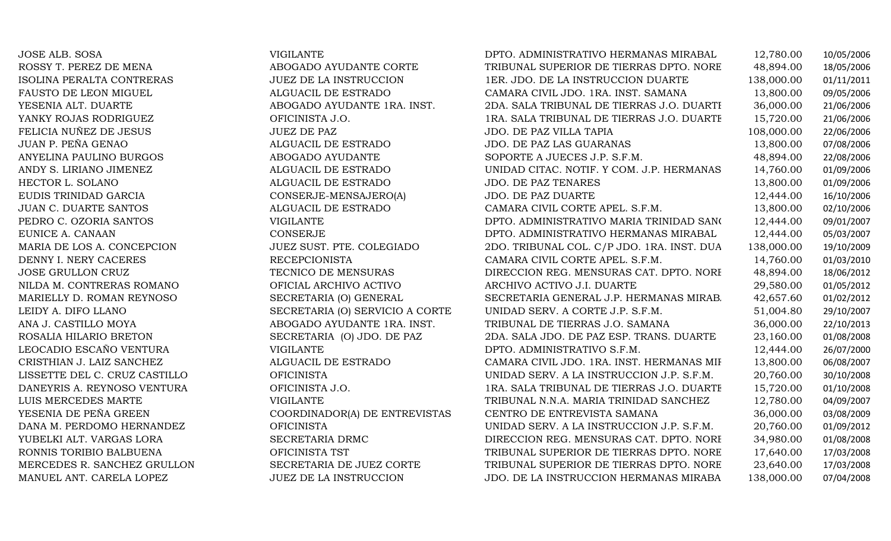| JOSE ALB. SOSA                | <b>VIGILANTE</b>                | DPTO. ADMINISTRATIVO HERMANAS MIRABAL      | 12,780.00  | 10/05/2006 |
|-------------------------------|---------------------------------|--------------------------------------------|------------|------------|
| ROSSY T. PEREZ DE MENA        | ABOGADO AYUDANTE CORTE          | TRIBUNAL SUPERIOR DE TIERRAS DPTO. NORE    | 48,894.00  | 18/05/2006 |
| ISOLINA PERALTA CONTRERAS     | <b>JUEZ DE LA INSTRUCCION</b>   | 1ER. JDO. DE LA INSTRUCCION DUARTE         | 138,000.00 | 01/11/2011 |
| FAUSTO DE LEON MIGUEL         | ALGUACIL DE ESTRADO             | CAMARA CIVIL JDO. 1RA. INST. SAMANA        | 13,800.00  | 09/05/2006 |
| YESENIA ALT. DUARTE           | ABOGADO AYUDANTE 1RA. INST.     | 2DA. SALA TRIBUNAL DE TIERRAS J.O. DUARTI  | 36,000.00  | 21/06/2006 |
| YANKY ROJAS RODRIGUEZ         | OFICINISTA J.O.                 | 1RA. SALA TRIBUNAL DE TIERRAS J.O. DUARTE  | 15,720.00  | 21/06/2006 |
| FELICIA NUÑEZ DE JESUS        | <b>JUEZ DE PAZ</b>              | JDO. DE PAZ VILLA TAPIA                    | 108,000.00 | 22/06/2006 |
| JUAN P. PEÑA GENAO            | ALGUACIL DE ESTRADO             | JDO. DE PAZ LAS GUARANAS                   | 13,800.00  | 07/08/2006 |
| ANYELINA PAULINO BURGOS       | ABOGADO AYUDANTE                | SOPORTE A JUECES J.P. S.F.M.               | 48,894.00  | 22/08/2006 |
| ANDY S. LIRIANO JIMENEZ       | ALGUACIL DE ESTRADO             | UNIDAD CITAC. NOTIF. Y COM. J.P. HERMANAS  | 14,760.00  | 01/09/2006 |
| HECTOR L. SOLANO              | ALGUACIL DE ESTRADO             | <b>JDO. DE PAZ TENARES</b>                 | 13,800.00  | 01/09/2006 |
| EUDIS TRINIDAD GARCIA         | CONSERJE-MENSAJERO(A)           | <b>JDO. DE PAZ DUARTE</b>                  | 12,444.00  | 16/10/2006 |
| JUAN C. DUARTE SANTOS         | ALGUACIL DE ESTRADO             | CAMARA CIVIL CORTE APEL. S.F.M.            | 13,800.00  | 02/10/2006 |
| PEDRO C. OZORIA SANTOS        | <b>VIGILANTE</b>                | DPTO. ADMINISTRATIVO MARIA TRINIDAD SANO   | 12,444.00  | 09/01/2007 |
| EUNICE A. CANAAN              | CONSERJE                        | DPTO. ADMINISTRATIVO HERMANAS MIRABAL      | 12,444.00  | 05/03/2007 |
| MARIA DE LOS A. CONCEPCION    | JUEZ SUST. PTE. COLEGIADO       | 2DO. TRIBUNAL COL. C/P JDO. 1RA. INST. DUA | 138,000.00 | 19/10/2009 |
| DENNY I. NERY CACERES         | <b>RECEPCIONISTA</b>            | CAMARA CIVIL CORTE APEL. S.F.M.            | 14,760.00  | 01/03/2010 |
| <b>JOSE GRULLON CRUZ</b>      | TECNICO DE MENSURAS             | DIRECCION REG. MENSURAS CAT. DPTO. NORI    | 48,894.00  | 18/06/2012 |
| NILDA M. CONTRERAS ROMANO     | OFICIAL ARCHIVO ACTIVO          | ARCHIVO ACTIVO J.I. DUARTE                 | 29,580.00  | 01/05/2012 |
| MARIELLY D. ROMAN REYNOSO     | SECRETARIA (O) GENERAL          | SECRETARIA GENERAL J.P. HERMANAS MIRAB.    | 42,657.60  | 01/02/2012 |
| LEIDY A. DIFO LLANO           | SECRETARIA (O) SERVICIO A CORTE | UNIDAD SERV. A CORTE J.P. S.F.M.           | 51,004.80  | 29/10/2007 |
| ANA J. CASTILLO MOYA          | ABOGADO AYUDANTE 1RA. INST.     | TRIBUNAL DE TIERRAS J.O. SAMANA            | 36,000.00  | 22/10/2013 |
| ROSALIA HILARIO BRETON        | SECRETARIA (O) JDO. DE PAZ      | 2DA. SALA JDO. DE PAZ ESP. TRANS. DUARTE   | 23,160.00  | 01/08/2008 |
| LEOCADIO ESCAÑO VENTURA       | <b>VIGILANTE</b>                | DPTO. ADMINISTRATIVO S.F.M.                | 12,444.00  | 26/07/2000 |
| CRISTHIAN J. LAIZ SANCHEZ     | ALGUACIL DE ESTRADO             | CAMARA CIVIL JDO. 1RA. INST. HERMANAS MII  | 13,800.00  | 06/08/2007 |
| LISSETTE DEL C. CRUZ CASTILLO | <b>OFICINISTA</b>               | UNIDAD SERV. A LA INSTRUCCION J.P. S.F.M.  | 20,760.00  | 30/10/2008 |
| DANEYRIS A. REYNOSO VENTURA   | OFICINISTA J.O.                 | 1RA. SALA TRIBUNAL DE TIERRAS J.O. DUARTE  | 15,720.00  | 01/10/2008 |
| LUIS MERCEDES MARTE           | <b>VIGILANTE</b>                | TRIBUNAL N.N.A. MARIA TRINIDAD SANCHEZ     | 12,780.00  | 04/09/2007 |
| YESENIA DE PEÑA GREEN         | COORDINADOR(A) DE ENTREVISTAS   | CENTRO DE ENTREVISTA SAMANA                | 36,000.00  | 03/08/2009 |
| DANA M. PERDOMO HERNANDEZ     | <b>OFICINISTA</b>               | UNIDAD SERV. A LA INSTRUCCION J.P. S.F.M.  | 20,760.00  | 01/09/2012 |
| YUBELKI ALT. VARGAS LORA      | SECRETARIA DRMC                 | DIRECCION REG. MENSURAS CAT. DPTO. NORI    | 34,980.00  | 01/08/2008 |
| RONNIS TORIBIO BALBUENA       | OFICINISTA TST                  | TRIBUNAL SUPERIOR DE TIERRAS DPTO. NORE    | 17,640.00  | 17/03/2008 |
| MERCEDES R. SANCHEZ GRULLON   | SECRETARIA DE JUEZ CORTE        | TRIBUNAL SUPERIOR DE TIERRAS DPTO. NORE    | 23,640.00  | 17/03/2008 |
| MANUEL ANT. CARELA LOPEZ      | JUEZ DE LA INSTRUCCION          | JDO. DE LA INSTRUCCION HERMANAS MIRABA     | 138,000.00 | 07/04/2008 |
|                               |                                 |                                            |            |            |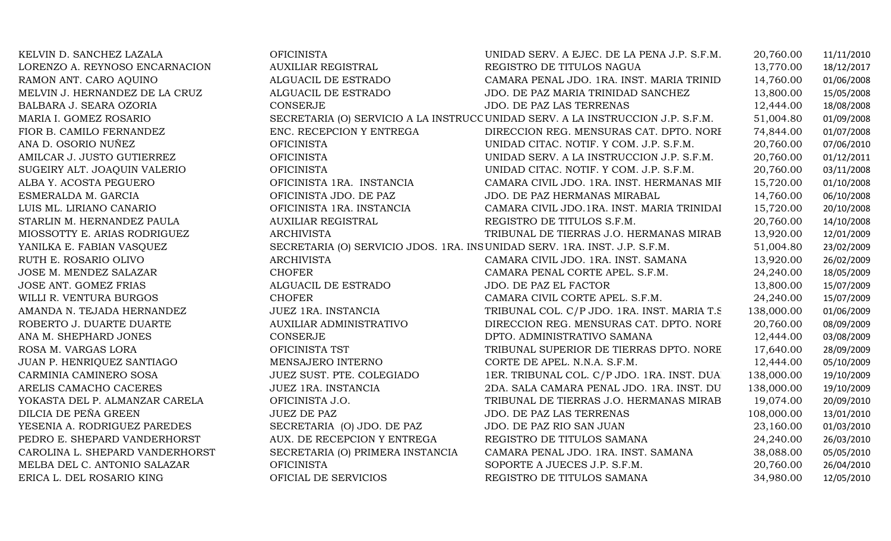| KELVIN D. SANCHEZ LAZALA        | <b>OFICINISTA</b>                | UNIDAD SERV. A EJEC. DE LA PENA J.P. S.F.M.                                     | 20,760.00  | 11/11/2010 |
|---------------------------------|----------------------------------|---------------------------------------------------------------------------------|------------|------------|
| LORENZO A. REYNOSO ENCARNACION  | AUXILIAR REGISTRAL               | REGISTRO DE TITULOS NAGUA                                                       | 13,770.00  | 18/12/2017 |
| RAMON ANT. CARO AQUINO          | ALGUACIL DE ESTRADO              | CAMARA PENAL JDO. 1RA. INST. MARIA TRINID                                       | 14,760.00  | 01/06/2008 |
| MELVIN J. HERNANDEZ DE LA CRUZ  | ALGUACIL DE ESTRADO              | JDO. DE PAZ MARIA TRINIDAD SANCHEZ                                              | 13,800.00  | 15/05/2008 |
| BALBARA J. SEARA OZORIA         | <b>CONSERJE</b>                  | JDO. DE PAZ LAS TERRENAS                                                        | 12,444.00  | 18/08/2008 |
| MARIA I. GOMEZ ROSARIO          |                                  | SECRETARIA (O) SERVICIO A LA INSTRUCC UNIDAD SERV. A LA INSTRUCCION J.P. S.F.M. | 51,004.80  | 01/09/2008 |
| FIOR B. CAMILO FERNANDEZ        | ENC. RECEPCION Y ENTREGA         | DIRECCION REG. MENSURAS CAT. DPTO. NORI                                         | 74,844.00  | 01/07/2008 |
| ANA D. OSORIO NUÑEZ             | <b>OFICINISTA</b>                | UNIDAD CITAC. NOTIF. Y COM. J.P. S.F.M.                                         | 20,760.00  | 07/06/2010 |
| AMILCAR J. JUSTO GUTIERREZ      | <b>OFICINISTA</b>                | UNIDAD SERV. A LA INSTRUCCION J.P. S.F.M.                                       | 20,760.00  | 01/12/2011 |
| SUGEIRY ALT. JOAQUIN VALERIO    | <b>OFICINISTA</b>                | UNIDAD CITAC. NOTIF. Y COM. J.P. S.F.M.                                         | 20,760.00  | 03/11/2008 |
| ALBA Y. ACOSTA PEGUERO          | OFICINISTA 1RA. INSTANCIA        | CAMARA CIVIL JDO. 1RA. INST. HERMANAS MII                                       | 15,720.00  | 01/10/2008 |
| ESMERALDA M. GARCIA             | OFICINISTA JDO. DE PAZ           | JDO. DE PAZ HERMANAS MIRABAL                                                    | 14,760.00  | 06/10/2008 |
| LUIS ML. LIRIANO CANARIO        | OFICINISTA 1RA. INSTANCIA        | CAMARA CIVIL JDO.1RA. INST. MARIA TRINIDAI                                      | 15,720.00  | 20/10/2008 |
| STARLIN M. HERNANDEZ PAULA      | <b>AUXILIAR REGISTRAL</b>        | REGISTRO DE TITULOS S.F.M.                                                      | 20,760.00  | 14/10/2008 |
| MIOSSOTTY E. ARIAS RODRIGUEZ    | <b>ARCHIVISTA</b>                | TRIBUNAL DE TIERRAS J.O. HERMANAS MIRAB                                         | 13,920.00  | 12/01/2009 |
| YANILKA E. FABIAN VASQUEZ       |                                  | SECRETARIA (O) SERVICIO JDOS. 1RA. INSUNIDAD SERV. 1RA. INST. J.P. S.F.M.       | 51,004.80  | 23/02/2009 |
| RUTH E. ROSARIO OLIVO           | <b>ARCHIVISTA</b>                | CAMARA CIVIL JDO. 1RA. INST. SAMANA                                             | 13,920.00  | 26/02/2009 |
| JOSE M. MENDEZ SALAZAR          | <b>CHOFER</b>                    | CAMARA PENAL CORTE APEL. S.F.M.                                                 | 24,240.00  | 18/05/2009 |
| JOSE ANT. GOMEZ FRIAS           | ALGUACIL DE ESTRADO              | JDO. DE PAZ EL FACTOR                                                           | 13,800.00  | 15/07/2009 |
| WILLI R. VENTURA BURGOS         | <b>CHOFER</b>                    | CAMARA CIVIL CORTE APEL. S.F.M.                                                 | 24,240.00  | 15/07/2009 |
| AMANDA N. TEJADA HERNANDEZ      | JUEZ 1RA. INSTANCIA              | TRIBUNAL COL. C/P JDO. 1RA. INST. MARIA T.S.                                    | 138,000.00 | 01/06/2009 |
| ROBERTO J. DUARTE DUARTE        | AUXILIAR ADMINISTRATIVO          | DIRECCION REG. MENSURAS CAT. DPTO. NORI                                         | 20,760.00  | 08/09/2009 |
| ANA M. SHEPHARD JONES           | CONSERJE                         | DPTO. ADMINISTRATIVO SAMANA                                                     | 12,444.00  | 03/08/2009 |
| ROSA M. VARGAS LORA             | OFICINISTA TST                   | TRIBUNAL SUPERIOR DE TIERRAS DPTO. NORE                                         | 17,640.00  | 28/09/2009 |
| JUAN P. HENRIQUEZ SANTIAGO      | MENSAJERO INTERNO                | CORTE DE APEL. N.N.A. S.F.M.                                                    | 12,444.00  | 05/10/2009 |
| CARMINIA CAMINERO SOSA          | JUEZ SUST. PTE. COLEGIADO        | 1ER. TRIBUNAL COL. C/P JDO. 1RA. INST. DUA                                      | 138,000.00 | 19/10/2009 |
| ARELIS CAMACHO CACERES          | JUEZ 1RA. INSTANCIA              | 2DA. SALA CAMARA PENAL JDO. 1RA. INST. DU                                       | 138,000.00 | 19/10/2009 |
| YOKASTA DEL P. ALMANZAR CARELA  | OFICINISTA J.O.                  | TRIBUNAL DE TIERRAS J.O. HERMANAS MIRAB                                         | 19,074.00  | 20/09/2010 |
| DILCIA DE PEÑA GREEN            | <b>JUEZ DE PAZ</b>               | JDO. DE PAZ LAS TERRENAS                                                        | 108,000.00 | 13/01/2010 |
| YESENIA A. RODRIGUEZ PAREDES    | SECRETARIA (O) JDO. DE PAZ       | JDO. DE PAZ RIO SAN JUAN                                                        | 23,160.00  | 01/03/2010 |
| PEDRO E. SHEPARD VANDERHORST    | AUX. DE RECEPCION Y ENTREGA      | REGISTRO DE TITULOS SAMANA                                                      | 24,240.00  | 26/03/2010 |
| CAROLINA L. SHEPARD VANDERHORST | SECRETARIA (O) PRIMERA INSTANCIA | CAMARA PENAL JDO. 1RA. INST. SAMANA                                             | 38,088.00  | 05/05/2010 |
| MELBA DEL C. ANTONIO SALAZAR    | <b>OFICINISTA</b>                | SOPORTE A JUECES J.P. S.F.M.                                                    | 20,760.00  | 26/04/2010 |
| ERICA L. DEL ROSARIO KING       | OFICIAL DE SERVICIOS             | REGISTRO DE TITULOS SAMANA                                                      | 34,980.00  | 12/05/2010 |
|                                 |                                  |                                                                                 |            |            |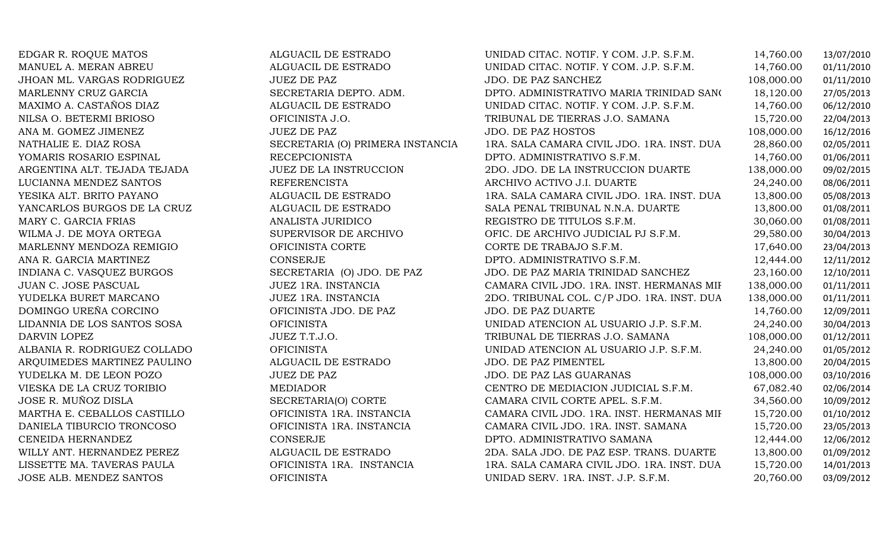EDGAR R. ROQUE MATOS ALGUACIL DE ESTRADO UNIDAD CITAC. NOTIF. Y COM. J.P. S.F.M. 14,760.00 13/07/2010 MANUEL A. MERAN ABREU ALGUACIL DE ESTRADO UNIDAD CITAC. NOTIF. Y COM. J.P. S.F.M. 14,760.00 01/11/2010 JHOAN ML. VARGAS RODRIGUEZ JUEZ DE PAZ JDO. DE PAZ SANCHEZ 108,000.00 01/11/2010 MARLENNY CRUZ GARCIA SECRETARIA DEPTO. ADM. DPTO. ADMINISTRATIVO MARIA TRINIDAD SANCHEZ 18,120.00 27/05/2013 MAXIMO A. CASTAÑOS DIAZ ALGUACIL DE ESTRADO UNIDAD CITAC. NOTIF. Y COM. J.P. S.F.M. 14,760.00 06/12/2010 NILSA O. BETERMI BRIOSO OFICINISTA J.O. TRIBUNAL DE TIERRAS J.O. SAMANA 15,720.00 22/04/2013 ANA M. GOMEZ JIMENEZ JUEZ DE PAZ JDO. DE PAZ HOSTOS 108,000.00 16/12/2016 NATHALIE E. DIAZ ROSA SECRETARIA (O) PRIMERA INSTANCIA 1RA. SALA CAMARA CIVIL JDO. 1RA. INST. DUA 28,860.00 02/05/2011<br>TOMARIS ROSARIO ESPINAL RECEPCIONISTA DPTO. ADMINISTRATIVO S.F.M. 14,760.00 01/06/2011 YOMARIS ROSARIO ESPINAL RECEPCIONISTA DPTO. ADMINISTRATIVO S.F.M. 14,760.00 01/06/2011 ARGENTINA ALT. TEJADA TEJADA JUEZ DE LA INSTRUCCION 2DO. JDO. DE LA INSTRUCCION DUARTE 138,000.00 09/02/2015 LUCIANNA MENDEZ SANTOS REFERENCISTA ARCHIVO ACTIVO J.I. DUARTE 24,240.00 08/06/2011 YESIKA ALT. BRITO PAYANO ALGUACIL DE ESTRADO1RA. SALA CAMARA CIVIL JDO. 1RA. INST. DUA  $13,800.00$  05/08/2013<br>SALA PENAL TRIBUNAL N.N.A. DUARTE 13,800.00 01/08/2011 YANCARLOS BURGOS DE LA CRUZ ALGUACIL DE ESTRADO SALA PENAL TRIBUNAL N.N.A. DUARTE 13,800.00 01/08/2011 MARY C. GARCIA FRIAS ANALISTA JURIDICO REGISTRO DE TITULOS S.F.M. 30,060.00 01/08/2011 WILMA J. DE MOYA ORTEGA SUPERVISOR DE ARCHIVO OFIC. DE ARCHIVO JUDICIAL PJ S.F.M. 29,580.00 30/04/2013 MARLENNY MENDOZA REMIGIO OFICINISTA CORTE CORTE DE TRABAJO S.F.M. 17,640.00 23/04/2013 ANA R. GARCIA MARTINEZ CONSERJE DPTO. ADMINISTRATIVO S.F.M. 12,444.00 12/11/2012 INDIANA C. VASQUEZ BURGOS SECRETARIA (O) JDO. DE PAZ JDO. DE PAZ MARIA TRINIDAD SANCHEZ 23,160.00 12/10/2011<br>JUAN C. JOSE PASCUAL JURI 198,000.00 JUEZ 1RA. INSTANCIA CAMARA CIVIL JDO. 1RA. INST. HERMANAS MII 138,000.00 JUAN C. JOSE PASCUAL JUEZ 1RA. INSTANCIA CAMARA CIVIL JDO. 1RA. INST. HERMANAS MIRABAL138,000.00 01/11/2011 YUDELKA BURET MARCANO JUEZ 1RA. INSTANCIA 2DO. TRIBUNAL COL. C/P JDO. 1RA. INST. DUARTE 138,000.00 01/11/2011 DOMINGO UREÑA CORCINO OFICINISTA JDO. DE PAZ JDO. DE PAZ DUARTE 14,760.00 12/09/2011 LIDANNIA DE LOS SANTOS SOSA OFICINISTA UNIDAD ATENCION AL USUARIO J.P. S.F.M. 24,240.00 30/04/2013 DARVIN LOPEZ JUEZ T.T.J.O. TRIBUNAL DE TIERRAS J.O. SAMANA 108,000.00 01/12/2011 ALBANIA R. RODRIGUEZ COLLADO OFICINISTA UNIDAD ATENCION AL USUARIO J.P. S.F.M. 24,240.00 01/05/2012 ARQUIMEDES MARTINEZ PAULINO ALGUACIL DE ESTRADO JDO. DE PAZ PIMENTEL 13,800.00 20/04/2015 YUDELKA M. DE LEON POZO JUEZ DE PAZ JDO. DE PAZ LAS GUARANAS 108,000.00 03/10/2016 VIESKA DE LA CRUZ TORIBIO MEDIADOR CENTRO DE MEDIACION JUDICIAL S.F.M. 67,082.40 02/06/2014 JOSE R. MUÑOZ DISLA SECRETARIA(O) CORTE CAMARA CIVIL CORTE APEL. S.F.M. 34,560.00 10/09/2012 MARTHA E. CEBALLOS CASTILLO OFICINISTA 1RA. INSTANCIA CAMARA CIVIL JDO. 1RA. INST. HERMANAS MIRABAL 15,720.00 01/10/2012 DANIELA TIBURCIO TRONCOSO OFICINISTA 1RA. INSTANCIA CAMARA CIVIL JDO. 1RA. INST. SAMANA 15,720.00 23/05/2013 CENEIDA HERNANDEZ CONSERJE DPTO. ADMINISTRATIVO SAMANA 12,444.00 12/06/2012 WILLY ANT. HERNANDEZ PEREZ ALGUACIL DE ESTRADO 2DA. SALA JDO. DE PAZ ESP. TRANS. DUARTE 13,800.00 01/09/2012 LISSETTE MA. TAVERAS PAULA OFICINISTA 1RA. INSTANCIA 1RA. SALA CAMARA CIVIL JDO. 1RA. INST. DUARTE 15,720.00 14/01/2013 UNIDAD SERV. 1RA. INST. J.P. S.F.M.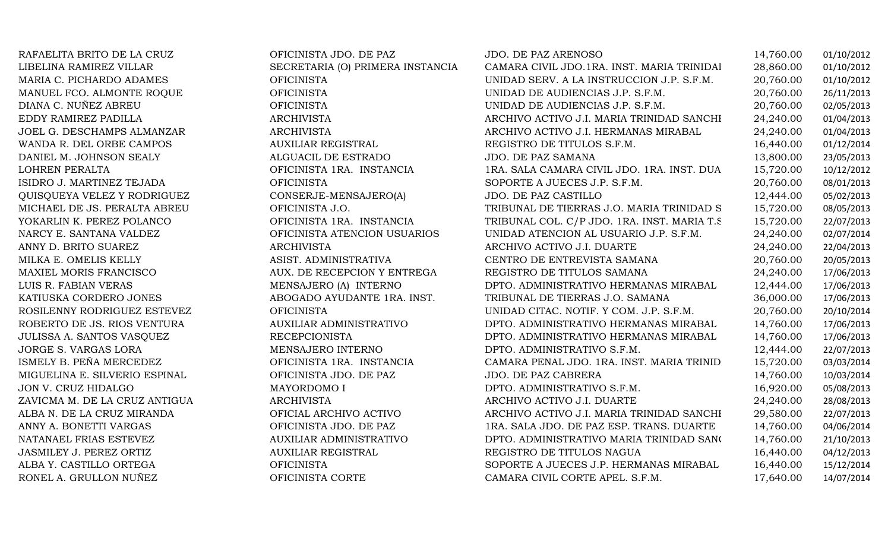| RAFAELITA BRITO DE LA CRUZ    | OFICINISTA JDO. DE PAZ           | JDO. DE PAZ ARENOSO                          | 14,760.00 | 01/10/2012 |
|-------------------------------|----------------------------------|----------------------------------------------|-----------|------------|
| LIBELINA RAMIREZ VILLAR       | SECRETARIA (O) PRIMERA INSTANCIA | CAMARA CIVIL JDO.1RA. INST. MARIA TRINIDAI   | 28,860.00 | 01/10/2012 |
| MARIA C. PICHARDO ADAMES      | <b>OFICINISTA</b>                | UNIDAD SERV. A LA INSTRUCCION J.P. S.F.M.    | 20,760.00 | 01/10/2012 |
| MANUEL FCO. ALMONTE ROQUE     | <b>OFICINISTA</b>                | UNIDAD DE AUDIENCIAS J.P. S.F.M.             | 20,760.00 | 26/11/2013 |
| DIANA C. NUÑEZ ABREU          | <b>OFICINISTA</b>                | UNIDAD DE AUDIENCIAS J.P. S.F.M.             | 20,760.00 | 02/05/2013 |
| EDDY RAMIREZ PADILLA          | ARCHIVISTA                       | ARCHIVO ACTIVO J.I. MARIA TRINIDAD SANCHI    | 24,240.00 | 01/04/2013 |
| JOEL G. DESCHAMPS ALMANZAR    | <b>ARCHIVISTA</b>                | ARCHIVO ACTIVO J.I. HERMANAS MIRABAL         | 24,240.00 | 01/04/2013 |
| WANDA R. DEL ORBE CAMPOS      | <b>AUXILIAR REGISTRAL</b>        | REGISTRO DE TITULOS S.F.M.                   | 16,440.00 | 01/12/2014 |
| DANIEL M. JOHNSON SEALY       | ALGUACIL DE ESTRADO              | JDO. DE PAZ SAMANA                           | 13,800.00 | 23/05/2013 |
| LOHREN PERALTA                | OFICINISTA 1RA. INSTANCIA        | 1RA. SALA CAMARA CIVIL JDO. 1RA. INST. DUA   | 15,720.00 | 10/12/2012 |
| ISIDRO J. MARTINEZ TEJADA     | <b>OFICINISTA</b>                | SOPORTE A JUECES J.P. S.F.M.                 | 20,760.00 | 08/01/2013 |
| QUISQUEYA VELEZ Y RODRIGUEZ   | CONSERJE-MENSAJERO(A)            | JDO. DE PAZ CASTILLO                         | 12,444.00 | 05/02/2013 |
| MICHAEL DE JS. PERALTA ABREU  | OFICINISTA J.O.                  | TRIBUNAL DE TIERRAS J.O. MARIA TRINIDAD S    | 15,720.00 | 08/05/2013 |
| YOKARLIN K. PEREZ POLANCO     | OFICINISTA 1RA. INSTANCIA        | TRIBUNAL COL. C/P JDO. 1RA. INST. MARIA T.S. | 15,720.00 | 22/07/2013 |
| NARCY E. SANTANA VALDEZ       | OFICINISTA ATENCION USUARIOS     | UNIDAD ATENCION AL USUARIO J.P. S.F.M.       | 24,240.00 | 02/07/2014 |
| ANNY D. BRITO SUAREZ          | <b>ARCHIVISTA</b>                | ARCHIVO ACTIVO J.I. DUARTE                   | 24,240.00 | 22/04/2013 |
| MILKA E. OMELIS KELLY         | ASIST. ADMINISTRATIVA            | CENTRO DE ENTREVISTA SAMANA                  | 20,760.00 | 20/05/2013 |
| MAXIEL MORIS FRANCISCO        | AUX. DE RECEPCION Y ENTREGA      | REGISTRO DE TITULOS SAMANA                   | 24,240.00 | 17/06/2013 |
| LUIS R. FABIAN VERAS          | MENSAJERO (A) INTERNO            | DPTO. ADMINISTRATIVO HERMANAS MIRABAL        | 12,444.00 | 17/06/2013 |
| KATIUSKA CORDERO JONES        | ABOGADO AYUDANTE 1RA. INST.      | TRIBUNAL DE TIERRAS J.O. SAMANA              | 36,000.00 | 17/06/2013 |
| ROSILENNY RODRIGUEZ ESTEVEZ   | <b>OFICINISTA</b>                | UNIDAD CITAC. NOTIF. Y COM. J.P. S.F.M.      | 20,760.00 | 20/10/2014 |
| ROBERTO DE JS. RIOS VENTURA   | <b>AUXILIAR ADMINISTRATIVO</b>   | DPTO. ADMINISTRATIVO HERMANAS MIRABAL        | 14,760.00 | 17/06/2013 |
| JULISSA A. SANTOS VASQUEZ     | <b>RECEPCIONISTA</b>             | DPTO. ADMINISTRATIVO HERMANAS MIRABAL        | 14,760.00 | 17/06/2013 |
| JORGE S. VARGAS LORA          | MENSAJERO INTERNO                | DPTO. ADMINISTRATIVO S.F.M.                  | 12,444.00 | 22/07/2013 |
| ISMELY B. PEÑA MERCEDEZ       | OFICINISTA 1RA. INSTANCIA        | CAMARA PENAL JDO. 1RA. INST. MARIA TRINID    | 15,720.00 | 03/03/2014 |
| MIGUELINA E. SILVERIO ESPINAL | OFICINISTA JDO. DE PAZ           | JDO. DE PAZ CABRERA                          | 14,760.00 | 10/03/2014 |
| JON V. CRUZ HIDALGO           | MAYORDOMO I                      | DPTO. ADMINISTRATIVO S.F.M.                  | 16,920.00 | 05/08/2013 |
| ZAVICMA M. DE LA CRUZ ANTIGUA | <b>ARCHIVISTA</b>                | ARCHIVO ACTIVO J.I. DUARTE                   | 24,240.00 | 28/08/2013 |
| ALBA N. DE LA CRUZ MIRANDA    | OFICIAL ARCHIVO ACTIVO           | ARCHIVO ACTIVO J.I. MARIA TRINIDAD SANCHI    | 29,580.00 | 22/07/2013 |
| ANNY A. BONETTI VARGAS        | OFICINISTA JDO. DE PAZ           | 1RA. SALA JDO. DE PAZ ESP. TRANS. DUARTE     | 14,760.00 | 04/06/2014 |
| NATANAEL FRIAS ESTEVEZ        | AUXILIAR ADMINISTRATIVO          | DPTO. ADMINISTRATIVO MARIA TRINIDAD SANO     | 14,760.00 | 21/10/2013 |
| JASMILEY J. PEREZ ORTIZ       | <b>AUXILIAR REGISTRAL</b>        | REGISTRO DE TITULOS NAGUA                    | 16,440.00 | 04/12/2013 |
| ALBA Y. CASTILLO ORTEGA       | <b>OFICINISTA</b>                | SOPORTE A JUECES J.P. HERMANAS MIRABAL       | 16,440.00 | 15/12/2014 |
| RONEL A. GRULLON NUÑEZ        | OFICINISTA CORTE                 | CAMARA CIVIL CORTE APEL. S.F.M.              | 17,640.00 | 14/07/2014 |
|                               |                                  |                                              |           |            |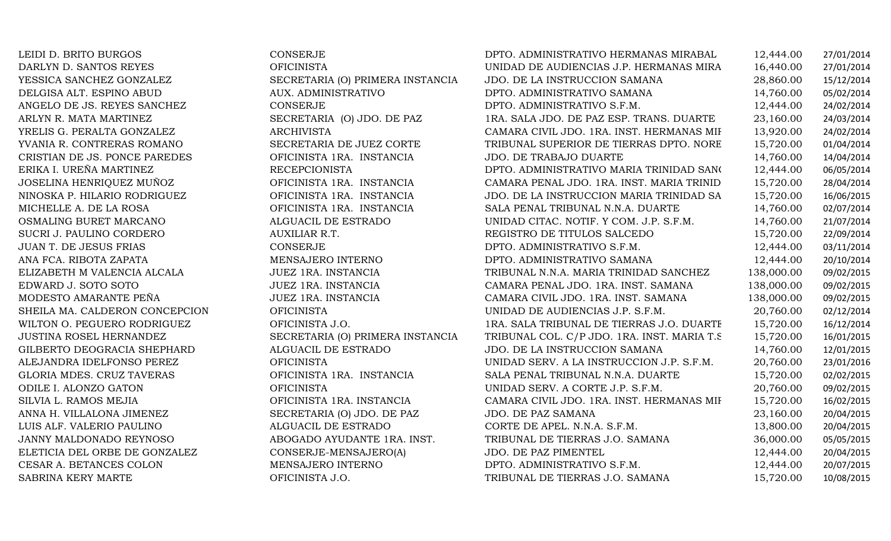| LEIDI D. BRITO BURGOS          | CONSERJE                         | DPTO. ADMINISTRATIVO HERMANAS MIRABAL        | 12,444.00  | 27/01/2014 |
|--------------------------------|----------------------------------|----------------------------------------------|------------|------------|
| DARLYN D. SANTOS REYES         | <b>OFICINISTA</b>                | UNIDAD DE AUDIENCIAS J.P. HERMANAS MIRA      | 16,440.00  | 27/01/2014 |
| YESSICA SANCHEZ GONZALEZ       | SECRETARIA (O) PRIMERA INSTANCIA | JDO. DE LA INSTRUCCION SAMANA                | 28,860.00  | 15/12/2014 |
| DELGISA ALT. ESPINO ABUD       | AUX. ADMINISTRATIVO              | DPTO. ADMINISTRATIVO SAMANA                  | 14,760.00  | 05/02/2014 |
| ANGELO DE JS. REYES SANCHEZ    | CONSERJE                         | DPTO. ADMINISTRATIVO S.F.M.                  | 12,444.00  | 24/02/2014 |
| ARLYN R. MATA MARTINEZ         | SECRETARIA (O) JDO. DE PAZ       | 1RA. SALA JDO. DE PAZ ESP. TRANS. DUARTE     | 23,160.00  | 24/03/2014 |
| YRELIS G. PERALTA GONZALEZ     | ARCHIVISTA                       | CAMARA CIVIL JDO. 1RA. INST. HERMANAS MII    | 13,920.00  | 24/02/2014 |
| YVANIA R. CONTRERAS ROMANO     | SECRETARIA DE JUEZ CORTE         | TRIBUNAL SUPERIOR DE TIERRAS DPTO. NORE      | 15,720.00  | 01/04/2014 |
| CRISTIAN DE JS. PONCE PAREDES  | OFICINISTA 1RA. INSTANCIA        | JDO. DE TRABAJO DUARTE                       | 14,760.00  | 14/04/2014 |
| ERIKA I. UREÑA MARTINEZ        | <b>RECEPCIONISTA</b>             | DPTO. ADMINISTRATIVO MARIA TRINIDAD SANO     | 12,444.00  | 06/05/2014 |
| JOSELINA HENRIQUEZ MUÑOZ       | OFICINISTA 1RA. INSTANCIA        | CAMARA PENAL JDO. 1RA. INST. MARIA TRINID    | 15,720.00  | 28/04/2014 |
| NINOSKA P. HILARIO RODRIGUEZ   | OFICINISTA 1RA. INSTANCIA        | JDO. DE LA INSTRUCCION MARIA TRINIDAD SA     | 15,720.00  | 16/06/2015 |
| MICHELLE A. DE LA ROSA         | OFICINISTA 1RA. INSTANCIA        | SALA PENAL TRIBUNAL N.N.A. DUARTE            | 14,760.00  | 02/07/2014 |
| OSMALING BURET MARCANO         | ALGUACIL DE ESTRADO              | UNIDAD CITAC. NOTIF. Y COM. J.P. S.F.M.      | 14,760.00  | 21/07/2014 |
| SUCRI J. PAULINO CORDERO       | AUXILIAR R.T.                    | REGISTRO DE TITULOS SALCEDO                  | 15,720.00  | 22/09/2014 |
| JUAN T. DE JESUS FRIAS         | CONSERJE                         | DPTO. ADMINISTRATIVO S.F.M.                  | 12,444.00  | 03/11/2014 |
| ANA FCA. RIBOTA ZAPATA         | MENSAJERO INTERNO                | DPTO. ADMINISTRATIVO SAMANA                  | 12,444.00  | 20/10/2014 |
| ELIZABETH M VALENCIA ALCALA    | JUEZ 1RA. INSTANCIA              | TRIBUNAL N.N.A. MARIA TRINIDAD SANCHEZ       | 138,000.00 | 09/02/2015 |
| EDWARD J. SOTO SOTO            | JUEZ 1RA. INSTANCIA              | CAMARA PENAL JDO. 1RA. INST. SAMANA          | 138,000.00 | 09/02/2015 |
| MODESTO AMARANTE PEÑA          | JUEZ 1RA. INSTANCIA              | CAMARA CIVIL JDO. 1RA. INST. SAMANA          | 138,000.00 | 09/02/2015 |
| SHEILA MA. CALDERON CONCEPCION | <b>OFICINISTA</b>                | UNIDAD DE AUDIENCIAS J.P. S.F.M.             | 20,760.00  | 02/12/2014 |
| WILTON O. PEGUERO RODRIGUEZ    | OFICINISTA J.O.                  | 1RA. SALA TRIBUNAL DE TIERRAS J.O. DUARTH    | 15,720.00  | 16/12/2014 |
| <b>JUSTINA ROSEL HERNANDEZ</b> | SECRETARIA (O) PRIMERA INSTANCIA | TRIBUNAL COL. C/P JDO. 1RA. INST. MARIA T.S. | 15,720.00  | 16/01/2015 |
| GILBERTO DEOGRACIA SHEPHARD    | ALGUACIL DE ESTRADO              | JDO. DE LA INSTRUCCION SAMANA                | 14,760.00  | 12/01/2015 |
| ALEJANDRA IDELFONSO PEREZ      | <b>OFICINISTA</b>                | UNIDAD SERV. A LA INSTRUCCION J.P. S.F.M.    | 20,760.00  | 23/01/2016 |
| GLORIA MDES. CRUZ TAVERAS      | OFICINISTA 1RA. INSTANCIA        | SALA PENAL TRIBUNAL N.N.A. DUARTE            | 15,720.00  | 02/02/2015 |
| ODILE I. ALONZO GATON          | <b>OFICINISTA</b>                | UNIDAD SERV. A CORTE J.P. S.F.M.             | 20,760.00  | 09/02/2015 |
| SILVIA L. RAMOS MEJIA          | OFICINISTA 1RA. INSTANCIA        | CAMARA CIVIL JDO. 1RA. INST. HERMANAS MII    | 15,720.00  | 16/02/2015 |
| ANNA H. VILLALONA JIMENEZ      | SECRETARIA (O) JDO. DE PAZ       | JDO. DE PAZ SAMANA                           | 23,160.00  | 20/04/2015 |
| LUIS ALF. VALERIO PAULINO      | ALGUACIL DE ESTRADO              | CORTE DE APEL. N.N.A. S.F.M.                 | 13,800.00  | 20/04/2015 |
| JANNY MALDONADO REYNOSO        | ABOGADO AYUDANTE 1RA. INST.      | TRIBUNAL DE TIERRAS J.O. SAMANA              | 36,000.00  | 05/05/2015 |
| ELETICIA DEL ORBE DE GONZALEZ  | CONSERJE-MENSAJERO(A)            | JDO. DE PAZ PIMENTEL                         | 12,444.00  | 20/04/2015 |
| CESAR A. BETANCES COLON        | MENSAJERO INTERNO                | DPTO. ADMINISTRATIVO S.F.M.                  | 12,444.00  | 20/07/2015 |
| SABRINA KERY MARTE             | OFICINISTA J.O.                  | TRIBUNAL DE TIERRAS J.O. SAMANA              | 15,720.00  | 10/08/2015 |
|                                |                                  |                                              |            |            |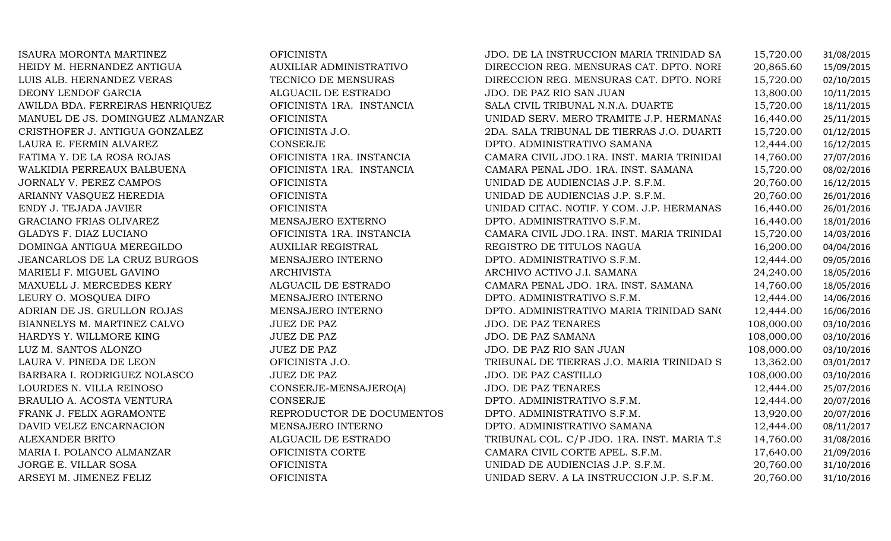| ISAURA MORONTA MARTINEZ          | <b>OFICINISTA</b>         | JDO. DE LA INSTRUCCION MARIA TRINIDAD SA     | 15,720.00  | 31/08/2015 |
|----------------------------------|---------------------------|----------------------------------------------|------------|------------|
| HEIDY M. HERNANDEZ ANTIGUA       | AUXILIAR ADMINISTRATIVO   | DIRECCION REG. MENSURAS CAT. DPTO. NORI      | 20,865.60  | 15/09/2015 |
| LUIS ALB. HERNANDEZ VERAS        | TECNICO DE MENSURAS       | DIRECCION REG. MENSURAS CAT. DPTO. NORI      | 15,720.00  | 02/10/2015 |
| DEONY LENDOF GARCIA              | ALGUACIL DE ESTRADO       | JDO. DE PAZ RIO SAN JUAN                     | 13,800.00  | 10/11/2015 |
| AWILDA BDA. FERREIRAS HENRIQUEZ  | OFICINISTA 1RA. INSTANCIA | SALA CIVIL TRIBUNAL N.N.A. DUARTE            | 15,720.00  | 18/11/2015 |
| MANUEL DE JS. DOMINGUEZ ALMANZAR | <b>OFICINISTA</b>         | UNIDAD SERV. MERO TRAMITE J.P. HERMANAS      | 16,440.00  | 25/11/2015 |
| CRISTHOFER J. ANTIGUA GONZALEZ   | OFICINISTA J.O.           | 2DA. SALA TRIBUNAL DE TIERRAS J.O. DUARTI    | 15,720.00  | 01/12/2015 |
| LAURA E. FERMIN ALVAREZ          | <b>CONSERJE</b>           | DPTO. ADMINISTRATIVO SAMANA                  | 12,444.00  | 16/12/2015 |
| FATIMA Y. DE LA ROSA ROJAS       | OFICINISTA 1RA. INSTANCIA | CAMARA CIVIL JDO.1RA. INST. MARIA TRINIDAI   | 14,760.00  | 27/07/2016 |
| WALKIDIA PERREAUX BALBUENA       | OFICINISTA 1RA. INSTANCIA | CAMARA PENAL JDO. 1RA. INST. SAMANA          | 15,720.00  | 08/02/2016 |
| JORNALY V. PEREZ CAMPOS          | <b>OFICINISTA</b>         | UNIDAD DE AUDIENCIAS J.P. S.F.M.             | 20,760.00  | 16/12/2015 |
| ARIANNY VASQUEZ HEREDIA          | <b>OFICINISTA</b>         | UNIDAD DE AUDIENCIAS J.P. S.F.M.             | 20,760.00  | 26/01/2016 |
| ENDY J. TEJADA JAVIER            | <b>OFICINISTA</b>         | UNIDAD CITAC. NOTIF. Y COM. J.P. HERMANAS    | 16,440.00  | 26/01/2016 |
| <b>GRACIANO FRIAS OLIVAREZ</b>   | MENSAJERO EXTERNO         | DPTO. ADMINISTRATIVO S.F.M.                  | 16,440.00  | 18/01/2016 |
| GLADYS F. DIAZ LUCIANO           | OFICINISTA 1RA. INSTANCIA | CAMARA CIVIL JDO.1RA. INST. MARIA TRINIDAI   | 15,720.00  | 14/03/2016 |
| DOMINGA ANTIGUA MEREGILDO        | <b>AUXILIAR REGISTRAL</b> | REGISTRO DE TITULOS NAGUA                    | 16,200.00  | 04/04/2016 |
| JEANCARLOS DE LA CRUZ BURGOS     | MENSAJERO INTERNO         | DPTO. ADMINISTRATIVO S.F.M.                  | 12,444.00  | 09/05/2016 |
| MARIELI F. MIGUEL GAVINO         | <b>ARCHIVISTA</b>         | ARCHIVO ACTIVO J.I. SAMANA                   | 24,240.00  | 18/05/2016 |
| MAXUELL J. MERCEDES KERY         | ALGUACIL DE ESTRADO       | CAMARA PENAL JDO. 1RA. INST. SAMANA          | 14,760.00  | 18/05/2016 |
| LEURY O. MOSQUEA DIFO            | MENSAJERO INTERNO         | DPTO. ADMINISTRATIVO S.F.M.                  | 12,444.00  | 14/06/2016 |
| ADRIAN DE JS. GRULLON ROJAS      | MENSAJERO INTERNO         | DPTO. ADMINISTRATIVO MARIA TRINIDAD SANO     | 12,444.00  | 16/06/2016 |
| BIANNELYS M. MARTINEZ CALVO      | <b>JUEZ DE PAZ</b>        | <b>JDO. DE PAZ TENARES</b>                   | 108,000.00 | 03/10/2016 |
| HARDYS Y. WILLMORE KING          | <b>JUEZ DE PAZ</b>        | <b>JDO. DE PAZ SAMANA</b>                    | 108,000.00 | 03/10/2016 |
| LUZ M. SANTOS ALONZO             | <b>JUEZ DE PAZ</b>        | JDO. DE PAZ RIO SAN JUAN                     | 108,000.00 | 03/10/2016 |
| LAURA V. PINEDA DE LEON          | OFICINISTA J.O.           | TRIBUNAL DE TIERRAS J.O. MARIA TRINIDAD S    | 13,362.00  | 03/01/2017 |
| BARBARA I. RODRIGUEZ NOLASCO     | <b>JUEZ DE PAZ</b>        | <b>JDO. DE PAZ CASTILLO</b>                  | 108,000.00 | 03/10/2016 |
| LOURDES N. VILLA REINOSO         | CONSERJE-MENSAJERO(A)     | JDO. DE PAZ TENARES                          | 12,444.00  | 25/07/2016 |
| BRAULIO A. ACOSTA VENTURA        | <b>CONSERJE</b>           | DPTO. ADMINISTRATIVO S.F.M.                  | 12,444.00  | 20/07/2016 |
| FRANK J. FELIX AGRAMONTE         | REPRODUCTOR DE DOCUMENTOS | DPTO. ADMINISTRATIVO S.F.M.                  | 13,920.00  | 20/07/2016 |
| DAVID VELEZ ENCARNACION          | MENSAJERO INTERNO         | DPTO. ADMINISTRATIVO SAMANA                  | 12,444.00  | 08/11/2017 |
| <b>ALEXANDER BRITO</b>           | ALGUACIL DE ESTRADO       | TRIBUNAL COL. C/P JDO. 1RA. INST. MARIA T.S. | 14,760.00  | 31/08/2016 |
| MARIA I. POLANCO ALMANZAR        | OFICINISTA CORTE          | CAMARA CIVIL CORTE APEL. S.F.M.              | 17,640.00  | 21/09/2016 |
| JORGE E. VILLAR SOSA             | <b>OFICINISTA</b>         | UNIDAD DE AUDIENCIAS J.P. S.F.M.             | 20,760.00  | 31/10/2016 |
| ARSEYI M. JIMENEZ FELIZ          | <b>OFICINISTA</b>         | UNIDAD SERV. A LA INSTRUCCION J.P. S.F.M.    | 20,760.00  | 31/10/2016 |
|                                  |                           |                                              |            |            |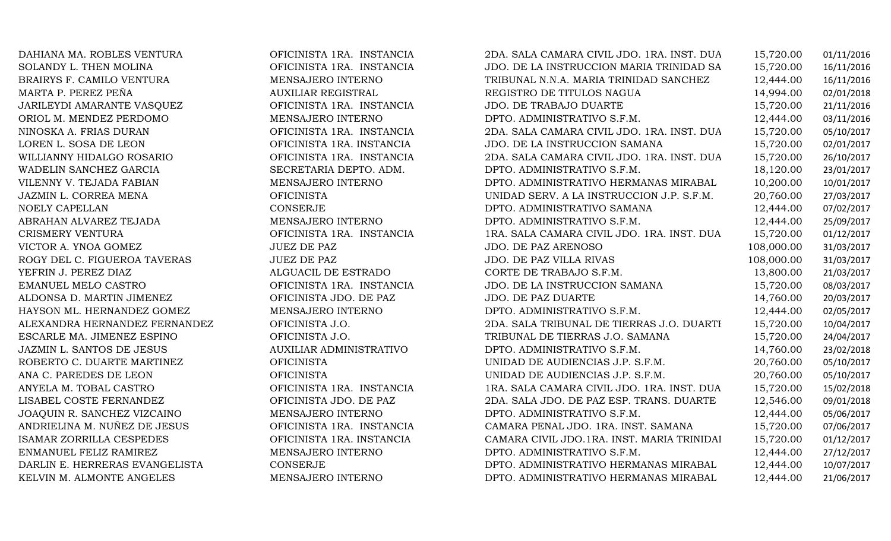DAHIANA MA. ROBLES VENTURA OFICINISTA 1RA. INSTANCIA 2DA. SALA CAMARA CIVIL JDO. 1RA. INST. DUARTE 15,720.00 01/11/2016 SOLANDY L. THEN MOLINA OFICINISTA 1RA. INSTANCIA JDO. DE LA INSTRUCCION MARIA TRINIDAD SANCHEZ15,720.00 16/11/2016 BRAIRYS F. CAMILO VENTURA MENSAJERO INTERNO TRIBUNAL N.N.A. MARIA TRINIDAD SANCHEZ 12,444.00 16/11/2016 MARTA P. PEREZ PEÑA AUXILIAR REGISTRAL REGISTRO DE TITULOS NAGUA 14,994.00 02/01/2018 JARILEYDI AMARANTE VASQUEZ OFICINISTA 1RA. INSTANCIA JDO. DE TRABAJO DUARTE 15,720.00 21/11/2016 ORIOL M. MENDEZ PERDOMO MENSAJERO INTERNO DPTO. ADMINISTRATIVO S.F.M. 12,444.00 03/11/2016 NINOSKA A. FRIAS DURAN OFICINISTA 1RA. INSTANCIA 2DA. SALA CAMARA CIVIL JDO. 1RA. INST. DUARTE 15,720.00 05/10/2017 LOREN L. SOSA DE LEON OFICINISTA 1RA. INSTANCIA JDO. DE LA INSTRUCCION SAMANA 15,720.00 02/01/2017 WILLIANNY HIDALGO ROSARIO OFICINISTA 1RA. INSTANCIA 2DA. SALA CAMARA CIVIL JDO. 1RA. INST. DUARTE 15,720.00 26/10/2017 WADELIN SANCHEZ GARCIA SECRETARIA DEPTO. ADM. DPTO. ADMINISTRATIVO S.F.M. 18,120.00 23/01/2017 VILENNY V. TEJADA FABIAN MENSAJERO INTERNO DPTO. ADMINISTRATIVO HERMANAS MIRABAL 10,200.00 10/01/2017 JAZMIN L. CORREA MENA OFICINISTA UNIDAD SERV. A LA INSTRUCCION J.P. S.F.M. 20,760.00 27/03/2017 NOELY CAPELLAN CONSERJE DPTO. ADMINISTRATIVO SAMANA 12,444.00 07/02/2017 ABRAHAN ALVAREZ TEJADA MENSAJERO INTERNO DPTO. ADMINISTRATIVO S.F.M. 12,444.00 25/09/2017 CRISMERY VENTURA OFICINISTA 1RA. INSTANCIA 1RA. SALA CAMARA CIVIL JDO. 1RA. INST. DUARTE 15,720.00 01/12/2017 VICTOR A. YNOA GOMEZ JUEZ DE PAZ JDO. DE PAZ ARENOSO 108,000.00 31/03/2017 ROGY DEL C. FIGUEROA TAVERAS JUEZ DE PAZ JDO. DE PAZ VILLA RIVAS 108,000.00 31/03/2017 YEFRIN J. PEREZ DIAZ ALGUACIL DE ESTRADO CORTE DE TRABAJO S.F.M. 13,800.00 21/03/2017 EMANUEL MELO CASTRO OFICINISTA 1RA. INSTANCIA JDO. DE LA INSTRUCCION SAMANA 15,720.00 08/03/2017 ALDONSA D. MARTIN JIMENEZ OFICINISTA JDO. DE PAZ JDO. DE PAZ DUARTE 14,760.00 20/03/2017 HAYSON ML. HERNANDEZ GOMEZ MENSAJERO INTERNO DPTO. ADMINISTRATIVO S.F.M. 12,444.00 02/05/2017 ALEXANDRA HERNANDEZ FERNANDEZ OFICINISTA J.O. 2DA. SALA TRIBUNAL DE TIERRAS J.O. DUARTI 15,720.00 10/04/2017<br>ESCARLE MA. JIMENEZ ESPINO CFICINISTA J.O. TRIBUNAL DE TIERRAS J.O. SAMANA 15,720.00 24/04/2017 ESCARLE MA. JIMENEZ ESPINO OFICINISTA J.O. TRIBUNAL DE TIERRAS J.O. SAMANA 15,720.00 24/04/2017 JAZMIN L. SANTOS DE JESUS AUXILIAR ADMINISTRATIVO DPTO. ADMINISTRATIVO S.F.M. 14,760.00 23/02/2018 ROBERTO C. DUARTE MARTINEZ OFICINISTA UNIDAD DE AUDIENCIAS J.P. S.F.M. 20,760.00 05/10/2017 ANA C. PAREDES DE LEON OFICINISTA UNIDAD DE AUDIENCIAS J.P. S.F.M. 20,760.00 05/10/2017 ANYELA M. TOBAL CASTRO OFICINISTA 1RA. INSTANCIA 1RA. SALA CAMARA CIVIL JDO. 1RA. INST. DUARTE 15,720.00 15/02/2018 LISABEL COSTE FERNANDEZ OFICINISTA JDO. DE PAZ 2DA. SALA JDO. DE PAZ ESP. TRANS. DUARTE 12,546.00 09/01/2018 JOAQUIN R. SANCHEZ VIZCAINO MENSAJERO INTERNO DPTO. ADMINISTRATIVO S.F.M. 12,444.00 05/06/2017 ANDRIELINA M. NUÑEZ DE JESUS OFICINISTA 1RA. INSTANCIA CAMARA PENAL JDO. 1RA. INST. SAMANA 15,720.00 07/06/2017 ISAMAR ZORRILLA CESPEDES OFICINISTA 1RA. INSTANCIA CAMARA CIVIL JDO.1RA. INST. MARIA TRINIDAD SANCHEZ 15,720.00 01/12/2017 ENMANUEL FELIZ RAMIREZ MENSAJERO INTERNO DPTO. ADMINISTRATIVO S.F.M. 12,444.00 27/12/2017 DARLIN E. HERRERAS EVANGELISTA CONSERJE DPTO. ADMINISTRATIVO HERMANAS MIRABAL 12,444.00 10/07/2017 DPTO. ADMINISTRATIVO HERMANAS MIRABAL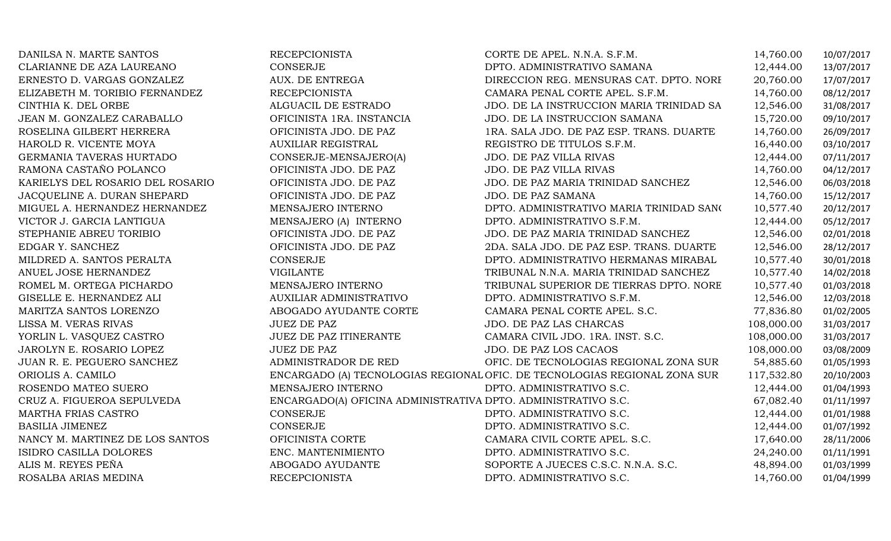| DANILSA N. MARTE SANTOS          | <b>RECEPCIONISTA</b>                                          | CORTE DE APEL. N.N.A. S.F.M.                                              | 14,760.00  | 10/07/2017 |
|----------------------------------|---------------------------------------------------------------|---------------------------------------------------------------------------|------------|------------|
| CLARIANNE DE AZA LAUREANO        | <b>CONSERJE</b>                                               | DPTO. ADMINISTRATIVO SAMANA                                               | 12,444.00  | 13/07/2017 |
| ERNESTO D. VARGAS GONZALEZ       | AUX. DE ENTREGA                                               | DIRECCION REG. MENSURAS CAT. DPTO. NORI                                   | 20,760.00  | 17/07/2017 |
| ELIZABETH M. TORIBIO FERNANDEZ   | <b>RECEPCIONISTA</b>                                          | CAMARA PENAL CORTE APEL. S.F.M.                                           | 14,760.00  | 08/12/2017 |
| CINTHIA K. DEL ORBE              | ALGUACIL DE ESTRADO                                           | JDO. DE LA INSTRUCCION MARIA TRINIDAD SA                                  | 12,546.00  | 31/08/2017 |
| JEAN M. GONZALEZ CARABALLO       | OFICINISTA 1RA. INSTANCIA                                     | JDO. DE LA INSTRUCCION SAMANA                                             | 15,720.00  | 09/10/2017 |
| ROSELINA GILBERT HERRERA         | OFICINISTA JDO. DE PAZ                                        | 1RA. SALA JDO. DE PAZ ESP. TRANS. DUARTE                                  | 14,760.00  | 26/09/2017 |
| HAROLD R. VICENTE MOYA           | <b>AUXILIAR REGISTRAL</b>                                     | REGISTRO DE TITULOS S.F.M.                                                | 16,440.00  | 03/10/2017 |
| GERMANIA TAVERAS HURTADO         | CONSERJE-MENSAJERO(A)                                         | JDO. DE PAZ VILLA RIVAS                                                   | 12,444.00  | 07/11/2017 |
| RAMONA CASTAÑO POLANCO           | OFICINISTA JDO. DE PAZ                                        | <b>JDO. DE PAZ VILLA RIVAS</b>                                            | 14,760.00  | 04/12/2017 |
| KARIELYS DEL ROSARIO DEL ROSARIO | OFICINISTA JDO. DE PAZ                                        | JDO. DE PAZ MARIA TRINIDAD SANCHEZ                                        | 12,546.00  | 06/03/2018 |
| JACQUELINE A. DURAN SHEPARD      | OFICINISTA JDO. DE PAZ                                        | JDO. DE PAZ SAMANA                                                        | 14,760.00  | 15/12/2017 |
| MIGUEL A. HERNANDEZ HERNANDEZ    | MENSAJERO INTERNO                                             | DPTO. ADMINISTRATIVO MARIA TRINIDAD SANO                                  | 10,577.40  | 20/12/2017 |
| VICTOR J. GARCIA LANTIGUA        | MENSAJERO (A) INTERNO                                         | DPTO. ADMINISTRATIVO S.F.M.                                               | 12,444.00  | 05/12/2017 |
| STEPHANIE ABREU TORIBIO          | OFICINISTA JDO. DE PAZ                                        | JDO. DE PAZ MARIA TRINIDAD SANCHEZ                                        | 12,546.00  | 02/01/2018 |
| EDGAR Y. SANCHEZ                 | OFICINISTA JDO. DE PAZ                                        | 2DA. SALA JDO. DE PAZ ESP. TRANS. DUARTE                                  | 12,546.00  | 28/12/2017 |
| MILDRED A. SANTOS PERALTA        | CONSERJE                                                      | DPTO. ADMINISTRATIVO HERMANAS MIRABAL                                     | 10,577.40  | 30/01/2018 |
| ANUEL JOSE HERNANDEZ             | <b>VIGILANTE</b>                                              | TRIBUNAL N.N.A. MARIA TRINIDAD SANCHEZ                                    | 10,577.40  | 14/02/2018 |
| ROMEL M. ORTEGA PICHARDO         | MENSAJERO INTERNO                                             | TRIBUNAL SUPERIOR DE TIERRAS DPTO. NORE                                   | 10,577.40  | 01/03/2018 |
| GISELLE E. HERNANDEZ ALI         | AUXILIAR ADMINISTRATIVO                                       | DPTO. ADMINISTRATIVO S.F.M.                                               | 12,546.00  | 12/03/2018 |
| MARITZA SANTOS LORENZO           | ABOGADO AYUDANTE CORTE                                        | CAMARA PENAL CORTE APEL. S.C.                                             | 77,836.80  | 01/02/2005 |
| LISSA M. VERAS RIVAS             | <b>JUEZ DE PAZ</b>                                            | JDO. DE PAZ LAS CHARCAS                                                   | 108,000.00 | 31/03/2017 |
| YORLIN L. VASQUEZ CASTRO         | JUEZ DE PAZ ITINERANTE                                        | CAMARA CIVIL JDO. 1RA. INST. S.C.                                         | 108,000.00 | 31/03/2017 |
| JAROLYN E. ROSARIO LOPEZ         | <b>JUEZ DE PAZ</b>                                            | JDO. DE PAZ LOS CACAOS                                                    | 108,000.00 | 03/08/2009 |
| JUAN R. E. PEGUERO SANCHEZ       | ADMINISTRADOR DE RED                                          | OFIC. DE TECNOLOGIAS REGIONAL ZONA SUR                                    | 54,885.60  | 01/05/1993 |
| ORIOLIS A. CAMILO                |                                                               | ENCARGADO (A) TECNOLOGIAS REGIONAL OFIC. DE TECNOLOGIAS REGIONAL ZONA SUR | 117,532.80 | 20/10/2003 |
| ROSENDO MATEO SUERO              | MENSAJERO INTERNO                                             | DPTO. ADMINISTRATIVO S.C.                                                 | 12,444.00  | 01/04/1993 |
| CRUZ A. FIGUEROA SEPULVEDA       | ENCARGADO(A) OFICINA ADMINISTRATIVA DPTO. ADMINISTRATIVO S.C. |                                                                           | 67,082.40  | 01/11/1997 |
| MARTHA FRIAS CASTRO              | CONSERJE                                                      | DPTO. ADMINISTRATIVO S.C.                                                 | 12,444.00  | 01/01/1988 |
| <b>BASILIA JIMENEZ</b>           | <b>CONSERJE</b>                                               | DPTO. ADMINISTRATIVO S.C.                                                 | 12,444.00  | 01/07/1992 |
| NANCY M. MARTINEZ DE LOS SANTOS  | OFICINISTA CORTE                                              | CAMARA CIVIL CORTE APEL. S.C.                                             | 17,640.00  | 28/11/2006 |
| ISIDRO CASILLA DOLORES           | ENC. MANTENIMIENTO                                            | DPTO. ADMINISTRATIVO S.C.                                                 | 24,240.00  | 01/11/1991 |
| ALIS M. REYES PEÑA               | ABOGADO AYUDANTE                                              | SOPORTE A JUECES C.S.C. N.N.A. S.C.                                       | 48,894.00  | 01/03/1999 |
| ROSALBA ARIAS MEDINA             | <b>RECEPCIONISTA</b>                                          | DPTO. ADMINISTRATIVO S.C.                                                 | 14,760.00  | 01/04/1999 |
|                                  |                                                               |                                                                           |            |            |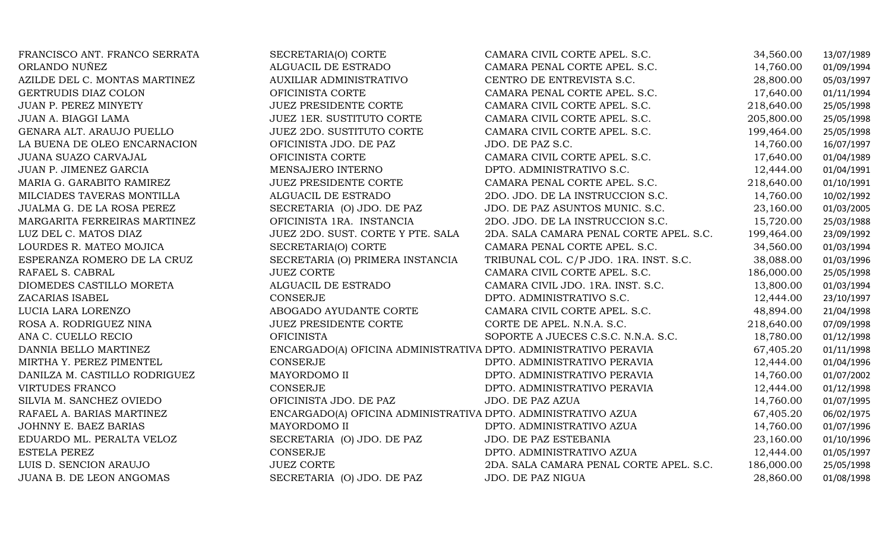| FRANCISCO ANT. FRANCO SERRATA | SECRETARIA(O) CORTE                                              | CAMARA CIVIL CORTE APEL. S.C.           | 34,560.00  | 13/07/1989 |
|-------------------------------|------------------------------------------------------------------|-----------------------------------------|------------|------------|
| ORLANDO NUÑEZ                 | ALGUACIL DE ESTRADO                                              | CAMARA PENAL CORTE APEL. S.C.           | 14,760.00  | 01/09/1994 |
| AZILDE DEL C. MONTAS MARTINEZ | AUXILIAR ADMINISTRATIVO                                          | CENTRO DE ENTREVISTA S.C.               | 28,800.00  | 05/03/1997 |
| GERTRUDIS DIAZ COLON          | OFICINISTA CORTE                                                 | CAMARA PENAL CORTE APEL. S.C.           | 17,640.00  | 01/11/1994 |
| JUAN P. PEREZ MINYETY         | JUEZ PRESIDENTE CORTE                                            | CAMARA CIVIL CORTE APEL. S.C.           | 218,640.00 | 25/05/1998 |
| JUAN A. BIAGGI LAMA           | <b>JUEZ 1ER. SUSTITUTO CORTE</b>                                 | CAMARA CIVIL CORTE APEL. S.C.           | 205,800.00 | 25/05/1998 |
| GENARA ALT. ARAUJO PUELLO     | JUEZ 2DO. SUSTITUTO CORTE                                        | CAMARA CIVIL CORTE APEL. S.C.           | 199,464.00 | 25/05/1998 |
| LA BUENA DE OLEO ENCARNACION  | OFICINISTA JDO. DE PAZ                                           | JDO. DE PAZ S.C.                        | 14,760.00  | 16/07/1997 |
| JUANA SUAZO CARVAJAL          | OFICINISTA CORTE                                                 | CAMARA CIVIL CORTE APEL. S.C.           | 17,640.00  | 01/04/1989 |
| JUAN P. JIMENEZ GARCIA        | MENSAJERO INTERNO                                                | DPTO. ADMINISTRATIVO S.C.               | 12,444.00  | 01/04/1991 |
| MARIA G. GARABITO RAMIREZ     | <b>JUEZ PRESIDENTE CORTE</b>                                     | CAMARA PENAL CORTE APEL. S.C.           | 218,640.00 | 01/10/1991 |
| MILCIADES TAVERAS MONTILLA    | ALGUACIL DE ESTRADO                                              | 2DO. JDO. DE LA INSTRUCCION S.C.        | 14,760.00  | 10/02/1992 |
| JUALMA G. DE LA ROSA PEREZ    | SECRETARIA (O) JDO. DE PAZ                                       | JDO. DE PAZ ASUNTOS MUNIC. S.C.         | 23,160.00  | 01/03/2005 |
| MARGARITA FERREIRAS MARTINEZ  | OFICINISTA 1RA. INSTANCIA                                        | 2DO. JDO. DE LA INSTRUCCION S.C.        | 15,720.00  | 25/03/1988 |
| LUZ DEL C. MATOS DIAZ         | JUEZ 2DO. SUST. CORTE Y PTE. SALA                                | 2DA. SALA CAMARA PENAL CORTE APEL. S.C. | 199,464.00 | 23/09/1992 |
| LOURDES R. MATEO MOJICA       | SECRETARIA(O) CORTE                                              | CAMARA PENAL CORTE APEL. S.C.           | 34,560.00  | 01/03/1994 |
| ESPERANZA ROMERO DE LA CRUZ   | SECRETARIA (O) PRIMERA INSTANCIA                                 | TRIBUNAL COL. C/P JDO. 1RA. INST. S.C.  | 38,088.00  | 01/03/1996 |
| RAFAEL S. CABRAL              | <b>JUEZ CORTE</b>                                                | CAMARA CIVIL CORTE APEL. S.C.           | 186,000.00 | 25/05/1998 |
| DIOMEDES CASTILLO MORETA      | ALGUACIL DE ESTRADO                                              | CAMARA CIVIL JDO. 1RA. INST. S.C.       | 13,800.00  | 01/03/1994 |
| ZACARIAS ISABEL               | CONSERJE                                                         | DPTO. ADMINISTRATIVO S.C.               | 12,444.00  | 23/10/1997 |
| LUCIA LARA LORENZO            | ABOGADO AYUDANTE CORTE                                           | CAMARA CIVIL CORTE APEL. S.C.           | 48,894.00  | 21/04/1998 |
| ROSA A. RODRIGUEZ NINA        | <b>JUEZ PRESIDENTE CORTE</b>                                     | CORTE DE APEL. N.N.A. S.C.              | 218,640.00 | 07/09/1998 |
| ANA C. CUELLO RECIO           | <b>OFICINISTA</b>                                                | SOPORTE A JUECES C.S.C. N.N.A. S.C.     | 18,780.00  | 01/12/1998 |
| DANNIA BELLO MARTINEZ         | ENCARGADO(A) OFICINA ADMINISTRATIVA DPTO. ADMINISTRATIVO PERAVIA |                                         | 67,405.20  | 01/11/1998 |
| MIRTHA Y. PEREZ PIMENTEL      | CONSERJE                                                         | DPTO. ADMINISTRATIVO PERAVIA            | 12,444.00  | 01/04/1996 |
| DANILZA M. CASTILLO RODRIGUEZ | MAYORDOMO II                                                     | DPTO. ADMINISTRATIVO PERAVIA            | 14,760.00  | 01/07/2002 |
| <b>VIRTUDES FRANCO</b>        | CONSERJE                                                         | DPTO. ADMINISTRATIVO PERAVIA            | 12,444.00  | 01/12/1998 |
| SILVIA M. SANCHEZ OVIEDO      | OFICINISTA JDO. DE PAZ                                           | JDO. DE PAZ AZUA                        | 14,760.00  | 01/07/1995 |
| RAFAEL A. BARIAS MARTINEZ     | ENCARGADO(A) OFICINA ADMINISTRATIVA DPTO. ADMINISTRATIVO AZUA    |                                         | 67,405.20  | 06/02/1975 |
| JOHNNY E. BAEZ BARIAS         | MAYORDOMO II                                                     | DPTO. ADMINISTRATIVO AZUA               | 14,760.00  | 01/07/1996 |
| EDUARDO ML. PERALTA VELOZ     | SECRETARIA (O) JDO. DE PAZ                                       | JDO. DE PAZ ESTEBANIA                   | 23,160.00  | 01/10/1996 |
| <b>ESTELA PEREZ</b>           | CONSERJE                                                         | DPTO. ADMINISTRATIVO AZUA               | 12,444.00  | 01/05/1997 |
| LUIS D. SENCION ARAUJO        | <b>JUEZ CORTE</b>                                                | 2DA. SALA CAMARA PENAL CORTE APEL. S.C. | 186,000.00 | 25/05/1998 |
| JUANA B. DE LEON ANGOMAS      | SECRETARIA (O) JDO. DE PAZ                                       | JDO. DE PAZ NIGUA                       | 28,860.00  | 01/08/1998 |
|                               |                                                                  |                                         |            |            |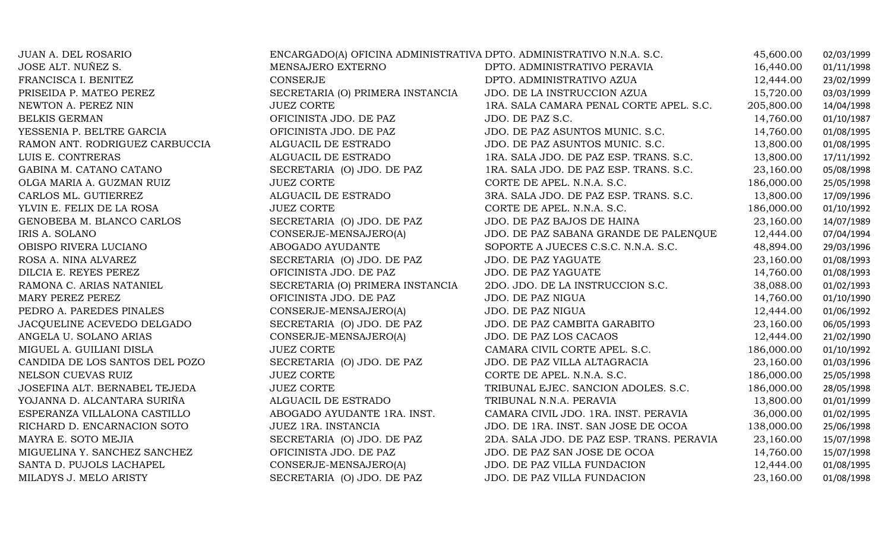| JUAN A. DEL ROSARIO            | ENCARGADO(A) OFICINA ADMINISTRATIVA DPTO. ADMINISTRATIVO N.N.A. S.C. |                                           | 45,600.00  | 02/03/1999 |
|--------------------------------|----------------------------------------------------------------------|-------------------------------------------|------------|------------|
| JOSE ALT. NUÑEZ S.             | MENSAJERO EXTERNO                                                    | DPTO. ADMINISTRATIVO PERAVIA              | 16,440.00  | 01/11/1998 |
| FRANCISCA I. BENITEZ           | <b>CONSERJE</b>                                                      | DPTO. ADMINISTRATIVO AZUA                 | 12,444.00  | 23/02/1999 |
| PRISEIDA P. MATEO PEREZ        | SECRETARIA (O) PRIMERA INSTANCIA                                     | JDO. DE LA INSTRUCCION AZUA               | 15,720.00  | 03/03/1999 |
| NEWTON A. PEREZ NIN            | <b>JUEZ CORTE</b>                                                    | 1RA. SALA CAMARA PENAL CORTE APEL. S.C.   | 205,800.00 | 14/04/1998 |
| <b>BELKIS GERMAN</b>           | OFICINISTA JDO. DE PAZ                                               | JDO. DE PAZ S.C.                          | 14,760.00  | 01/10/1987 |
| YESSENIA P. BELTRE GARCIA      | OFICINISTA JDO. DE PAZ                                               | JDO. DE PAZ ASUNTOS MUNIC. S.C.           | 14,760.00  | 01/08/1995 |
| RAMON ANT. RODRIGUEZ CARBUCCIA | ALGUACIL DE ESTRADO                                                  | JDO. DE PAZ ASUNTOS MUNIC. S.C.           | 13,800.00  | 01/08/1995 |
| LUIS E. CONTRERAS              | ALGUACIL DE ESTRADO                                                  | 1RA. SALA JDO. DE PAZ ESP. TRANS. S.C.    | 13,800.00  | 17/11/1992 |
| GABINA M. CATANO CATANO        | SECRETARIA (O) JDO. DE PAZ                                           | 1RA. SALA JDO. DE PAZ ESP. TRANS. S.C.    | 23,160.00  | 05/08/1998 |
| OLGA MARIA A. GUZMAN RUIZ      | <b>JUEZ CORTE</b>                                                    | CORTE DE APEL. N.N.A. S.C.                | 186,000.00 | 25/05/1998 |
| CARLOS ML. GUTIERREZ           | ALGUACIL DE ESTRADO                                                  | 3RA. SALA JDO. DE PAZ ESP. TRANS. S.C.    | 13,800.00  | 17/09/1996 |
| YLVIN E. FELIX DE LA ROSA      | <b>JUEZ CORTE</b>                                                    | CORTE DE APEL. N.N.A. S.C.                | 186,000.00 | 01/10/1992 |
| GENOBEBA M. BLANCO CARLOS      | SECRETARIA (O) JDO. DE PAZ                                           | JDO. DE PAZ BAJOS DE HAINA                | 23,160.00  | 14/07/1989 |
| IRIS A. SOLANO                 | CONSERJE-MENSAJERO(A)                                                | JDO. DE PAZ SABANA GRANDE DE PALENQUE     | 12,444.00  | 07/04/1994 |
| OBISPO RIVERA LUCIANO          | ABOGADO AYUDANTE                                                     | SOPORTE A JUECES C.S.C. N.N.A. S.C.       | 48,894.00  | 29/03/1996 |
| ROSA A. NINA ALVAREZ           | SECRETARIA (O) JDO. DE PAZ                                           | JDO. DE PAZ YAGUATE                       | 23,160.00  | 01/08/1993 |
| DILCIA E. REYES PEREZ          | OFICINISTA JDO. DE PAZ                                               | <b>JDO. DE PAZ YAGUATE</b>                | 14,760.00  | 01/08/1993 |
| RAMONA C. ARIAS NATANIEL       | SECRETARIA (O) PRIMERA INSTANCIA                                     | 2DO. JDO. DE LA INSTRUCCION S.C.          | 38,088.00  | 01/02/1993 |
| MARY PEREZ PEREZ               | OFICINISTA JDO. DE PAZ                                               | JDO. DE PAZ NIGUA                         | 14,760.00  | 01/10/1990 |
| PEDRO A. PAREDES PINALES       | CONSERJE-MENSAJERO(A)                                                | JDO. DE PAZ NIGUA                         | 12,444.00  | 01/06/1992 |
| JACQUELINE ACEVEDO DELGADO     | SECRETARIA (O) JDO. DE PAZ                                           | JDO. DE PAZ CAMBITA GARABITO              | 23,160.00  | 06/05/1993 |
| ANGELA U. SOLANO ARIAS         | CONSERJE-MENSAJERO(A)                                                | JDO. DE PAZ LOS CACAOS                    | 12,444.00  | 21/02/1990 |
| MIGUEL A. GUILIANI DISLA       | <b>JUEZ CORTE</b>                                                    | CAMARA CIVIL CORTE APEL. S.C.             | 186,000.00 | 01/10/1992 |
| CANDIDA DE LOS SANTOS DEL POZO | SECRETARIA (O) JDO. DE PAZ                                           | JDO. DE PAZ VILLA ALTAGRACIA              | 23,160.00  | 01/03/1996 |
| NELSON CUEVAS RUIZ             | <b>JUEZ CORTE</b>                                                    | CORTE DE APEL. N.N.A. S.C.                | 186,000.00 | 25/05/1998 |
| JOSEFINA ALT. BERNABEL TEJEDA  | <b>JUEZ CORTE</b>                                                    | TRIBUNAL EJEC. SANCION ADOLES. S.C.       | 186,000.00 | 28/05/1998 |
| YOJANNA D. ALCANTARA SURIÑA    | ALGUACIL DE ESTRADO                                                  | TRIBUNAL N.N.A. PERAVIA                   | 13,800.00  | 01/01/1999 |
| ESPERANZA VILLALONA CASTILLO   | ABOGADO AYUDANTE 1RA. INST.                                          | CAMARA CIVIL JDO. 1RA. INST. PERAVIA      | 36,000.00  | 01/02/1995 |
| RICHARD D. ENCARNACION SOTO    | JUEZ 1RA. INSTANCIA                                                  | JDO. DE 1RA. INST. SAN JOSE DE OCOA       | 138,000.00 | 25/06/1998 |
| MAYRA E. SOTO MEJIA            | SECRETARIA (O) JDO. DE PAZ                                           | 2DA. SALA JDO. DE PAZ ESP. TRANS. PERAVIA | 23,160.00  | 15/07/1998 |
| MIGUELINA Y. SANCHEZ SANCHEZ   | OFICINISTA JDO. DE PAZ                                               | JDO. DE PAZ SAN JOSE DE OCOA              | 14,760.00  | 15/07/1998 |
| SANTA D. PUJOLS LACHAPEL       | CONSERJE-MENSAJERO(A)                                                | JDO. DE PAZ VILLA FUNDACION               | 12,444.00  | 01/08/1995 |
| MILADYS J. MELO ARISTY         | SECRETARIA (O) JDO. DE PAZ                                           | JDO. DE PAZ VILLA FUNDACION               | 23,160.00  | 01/08/1998 |
|                                |                                                                      |                                           |            |            |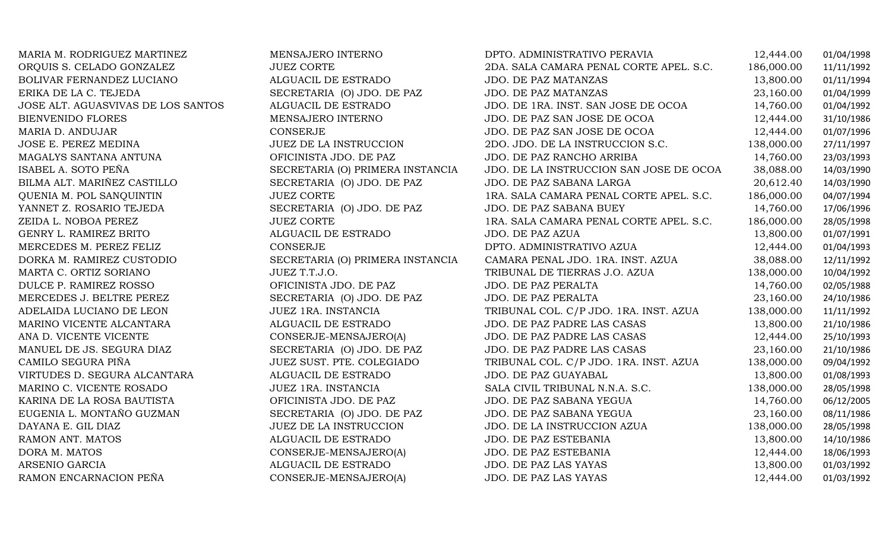| MARIA M. RODRIGUEZ MARTINEZ        | MENSAJERO INTERNO                | DPTO. ADMINISTRATIVO PERAVIA            | 12,444.00  | 01/04/1998 |
|------------------------------------|----------------------------------|-----------------------------------------|------------|------------|
| ORQUIS S. CELADO GONZALEZ          | <b>JUEZ CORTE</b>                | 2DA. SALA CAMARA PENAL CORTE APEL. S.C. | 186,000.00 | 11/11/1992 |
| BOLIVAR FERNANDEZ LUCIANO          | ALGUACIL DE ESTRADO              | JDO. DE PAZ MATANZAS                    | 13,800.00  | 01/11/1994 |
| ERIKA DE LA C. TEJEDA              | SECRETARIA (O) JDO. DE PAZ       | JDO. DE PAZ MATANZAS                    | 23,160.00  | 01/04/1999 |
| JOSE ALT. AGUASVIVAS DE LOS SANTOS | ALGUACIL DE ESTRADO              | JDO. DE 1RA. INST. SAN JOSE DE OCOA     | 14,760.00  | 01/04/1992 |
| <b>BIENVENIDO FLORES</b>           | MENSAJERO INTERNO                | JDO. DE PAZ SAN JOSE DE OCOA            | 12,444.00  | 31/10/1986 |
| MARIA D. ANDUJAR                   | CONSERJE                         | JDO. DE PAZ SAN JOSE DE OCOA            | 12,444.00  | 01/07/1996 |
| JOSE E. PEREZ MEDINA               | JUEZ DE LA INSTRUCCION           | 2DO. JDO. DE LA INSTRUCCION S.C.        | 138,000.00 | 27/11/1997 |
| MAGALYS SANTANA ANTUNA             | OFICINISTA JDO. DE PAZ           | JDO. DE PAZ RANCHO ARRIBA               | 14,760.00  | 23/03/1993 |
| ISABEL A. SOTO PEÑA                | SECRETARIA (O) PRIMERA INSTANCIA | JDO. DE LA INSTRUCCION SAN JOSE DE OCOA | 38,088.00  | 14/03/1990 |
| BILMA ALT. MARIÑEZ CASTILLO        | SECRETARIA (O) JDO. DE PAZ       | JDO. DE PAZ SABANA LARGA                | 20,612.40  | 14/03/1990 |
| QUENIA M. POL SANQUINTIN           | <b>JUEZ CORTE</b>                | 1RA. SALA CAMARA PENAL CORTE APEL. S.C. | 186,000.00 | 04/07/1994 |
| YANNET Z. ROSARIO TEJEDA           | SECRETARIA (O) JDO. DE PAZ       | JDO. DE PAZ SABANA BUEY                 | 14,760.00  | 17/06/1996 |
| ZEIDA L. NOBOA PEREZ               | <b>JUEZ CORTE</b>                | 1RA. SALA CAMARA PENAL CORTE APEL. S.C. | 186,000.00 | 28/05/1998 |
| GENRY L. RAMIREZ BRITO             | ALGUACIL DE ESTRADO              | JDO. DE PAZ AZUA                        | 13,800.00  | 01/07/1991 |
| MERCEDES M. PEREZ FELIZ            | CONSERJE                         | DPTO. ADMINISTRATIVO AZUA               | 12,444.00  | 01/04/1993 |
| DORKA M. RAMIREZ CUSTODIO          | SECRETARIA (O) PRIMERA INSTANCIA | CAMARA PENAL JDO. 1RA. INST. AZUA       | 38,088.00  | 12/11/1992 |
| MARTA C. ORTIZ SORIANO             | JUEZ T.T.J.O.                    | TRIBUNAL DE TIERRAS J.O. AZUA           | 138,000.00 | 10/04/1992 |
| DULCE P. RAMIREZ ROSSO             | OFICINISTA JDO. DE PAZ           | JDO. DE PAZ PERALTA                     | 14,760.00  | 02/05/1988 |
| MERCEDES J. BELTRE PEREZ           | SECRETARIA (O) JDO. DE PAZ       | JDO. DE PAZ PERALTA                     | 23,160.00  | 24/10/1986 |
| ADELAIDA LUCIANO DE LEON           | JUEZ 1RA. INSTANCIA              | TRIBUNAL COL. C/P JDO. 1RA. INST. AZUA  | 138,000.00 | 11/11/1992 |
| MARINO VICENTE ALCANTARA           | ALGUACIL DE ESTRADO              | JDO. DE PAZ PADRE LAS CASAS             | 13,800.00  | 21/10/1986 |
| ANA D. VICENTE VICENTE             | CONSERJE-MENSAJERO(A)            | JDO. DE PAZ PADRE LAS CASAS             | 12,444.00  | 25/10/1993 |
| MANUEL DE JS. SEGURA DIAZ          | SECRETARIA (O) JDO. DE PAZ       | JDO. DE PAZ PADRE LAS CASAS             | 23,160.00  | 21/10/1986 |
| CAMILO SEGURA PIÑA                 | JUEZ SUST. PTE. COLEGIADO        | TRIBUNAL COL. C/P JDO. 1RA. INST. AZUA  | 138,000.00 | 09/04/1992 |
| VIRTUDES D. SEGURA ALCANTARA       | ALGUACIL DE ESTRADO              | JDO. DE PAZ GUAYABAL                    | 13,800.00  | 01/08/1993 |
| MARINO C. VICENTE ROSADO           | JUEZ 1RA. INSTANCIA              | SALA CIVIL TRIBUNAL N.N.A. S.C.         | 138,000.00 | 28/05/1998 |
| KARINA DE LA ROSA BAUTISTA         | OFICINISTA JDO. DE PAZ           | JDO. DE PAZ SABANA YEGUA                | 14,760.00  | 06/12/2005 |
| EUGENIA L. MONTAÑO GUZMAN          | SECRETARIA (O) JDO. DE PAZ       | JDO. DE PAZ SABANA YEGUA                | 23,160.00  | 08/11/1986 |
| DAYANA E. GIL DIAZ                 | JUEZ DE LA INSTRUCCION           | JDO. DE LA INSTRUCCION AZUA             | 138,000.00 | 28/05/1998 |
| RAMON ANT. MATOS                   | ALGUACIL DE ESTRADO              | JDO. DE PAZ ESTEBANIA                   | 13,800.00  | 14/10/1986 |
| DORA M. MATOS                      | CONSERJE-MENSAJERO(A)            | JDO. DE PAZ ESTEBANIA                   | 12,444.00  | 18/06/1993 |
| ARSENIO GARCIA                     | ALGUACIL DE ESTRADO              | JDO. DE PAZ LAS YAYAS                   | 13,800.00  | 01/03/1992 |
| RAMON ENCARNACION PEÑA             | CONSERJE-MENSAJERO(A)            | JDO. DE PAZ LAS YAYAS                   | 12,444.00  | 01/03/1992 |
|                                    |                                  |                                         |            |            |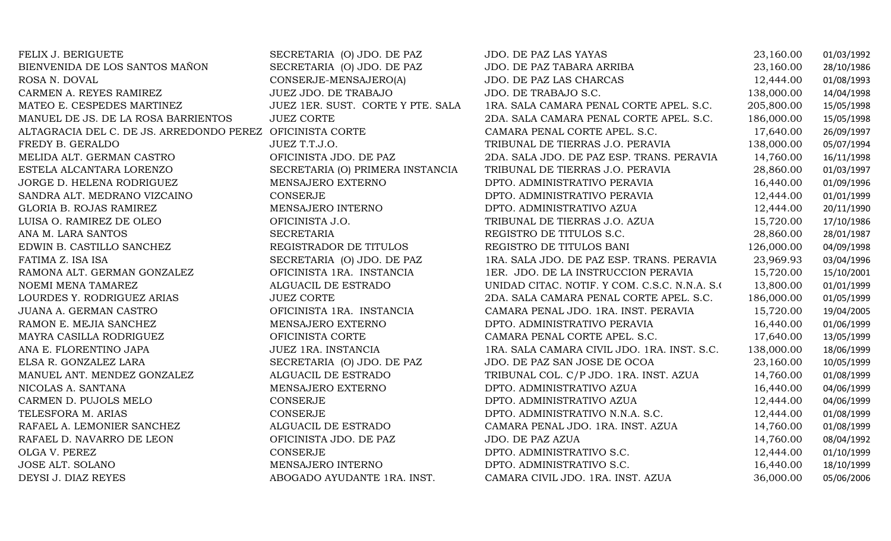| FELIX J. BERIGUETE                                        | SECRETARIA (O) JDO. DE PAZ        | <b>JDO. DE PAZ LAS YAYAS</b>                   | 23,160.00  | 01/03/1992 |
|-----------------------------------------------------------|-----------------------------------|------------------------------------------------|------------|------------|
| BIENVENIDA DE LOS SANTOS MAÑON                            | SECRETARIA (O) JDO. DE PAZ        | JDO. DE PAZ TABARA ARRIBA                      | 23,160.00  | 28/10/1986 |
| ROSA N. DOVAL                                             | CONSERJE-MENSAJERO(A)             | JDO. DE PAZ LAS CHARCAS                        | 12,444.00  | 01/08/1993 |
| CARMEN A. REYES RAMIREZ                                   | JUEZ JDO. DE TRABAJO              | JDO. DE TRABAJO S.C.                           | 138,000.00 | 14/04/1998 |
| MATEO E. CESPEDES MARTINEZ                                | JUEZ 1ER. SUST. CORTE Y PTE. SALA | 1RA. SALA CAMARA PENAL CORTE APEL. S.C.        | 205,800.00 | 15/05/1998 |
| MANUEL DE JS. DE LA ROSA BARRIENTOS                       | <b>JUEZ CORTE</b>                 | 2DA. SALA CAMARA PENAL CORTE APEL. S.C.        | 186,000.00 | 15/05/1998 |
| ALTAGRACIA DEL C. DE JS. ARREDONDO PEREZ OFICINISTA CORTE |                                   | CAMARA PENAL CORTE APEL. S.C.                  | 17,640.00  | 26/09/1997 |
| FREDY B. GERALDO                                          | JUEZ T.T.J.O.                     | TRIBUNAL DE TIERRAS J.O. PERAVIA               | 138,000.00 | 05/07/1994 |
| MELIDA ALT. GERMAN CASTRO                                 | OFICINISTA JDO. DE PAZ            | 2DA. SALA JDO. DE PAZ ESP. TRANS. PERAVIA      | 14,760.00  | 16/11/1998 |
| ESTELA ALCANTARA LORENZO                                  | SECRETARIA (O) PRIMERA INSTANCIA  | TRIBUNAL DE TIERRAS J.O. PERAVIA               | 28,860.00  | 01/03/1997 |
| JORGE D. HELENA RODRIGUEZ                                 | MENSAJERO EXTERNO                 | DPTO. ADMINISTRATIVO PERAVIA                   | 16,440.00  | 01/09/1996 |
| SANDRA ALT. MEDRANO VIZCAINO                              | <b>CONSERJE</b>                   | DPTO. ADMINISTRATIVO PERAVIA                   | 12,444.00  | 01/01/1999 |
| GLORIA B. ROJAS RAMIREZ                                   | MENSAJERO INTERNO                 | DPTO. ADMINISTRATIVO AZUA                      | 12,444.00  | 20/11/1990 |
| LUISA O. RAMIREZ DE OLEO                                  | OFICINISTA J.O.                   | TRIBUNAL DE TIERRAS J.O. AZUA                  | 15,720.00  | 17/10/1986 |
| ANA M. LARA SANTOS                                        | <b>SECRETARIA</b>                 | REGISTRO DE TITULOS S.C.                       | 28,860.00  | 28/01/1987 |
| EDWIN B. CASTILLO SANCHEZ                                 | REGISTRADOR DE TITULOS            | REGISTRO DE TITULOS BANI                       | 126,000.00 | 04/09/1998 |
| FATIMA Z. ISA ISA                                         | SECRETARIA (O) JDO. DE PAZ        | 1RA. SALA JDO. DE PAZ ESP. TRANS. PERAVIA      | 23,969.93  | 03/04/1996 |
| RAMONA ALT. GERMAN GONZALEZ                               | OFICINISTA 1RA. INSTANCIA         | 1ER. JDO. DE LA INSTRUCCION PERAVIA            | 15,720.00  | 15/10/2001 |
| NOEMI MENA TAMAREZ                                        | ALGUACIL DE ESTRADO               | UNIDAD CITAC. NOTIF. Y COM. C.S.C. N.N.A. S.O. | 13,800.00  | 01/01/1999 |
| LOURDES Y. RODRIGUEZ ARIAS                                | <b>JUEZ CORTE</b>                 | 2DA. SALA CAMARA PENAL CORTE APEL. S.C.        | 186,000.00 | 01/05/1999 |
| JUANA A. GERMAN CASTRO                                    | OFICINISTA 1RA. INSTANCIA         | CAMARA PENAL JDO. 1RA. INST. PERAVIA           | 15,720.00  | 19/04/2005 |
| RAMON E. MEJIA SANCHEZ                                    | MENSAJERO EXTERNO                 | DPTO. ADMINISTRATIVO PERAVIA                   | 16,440.00  | 01/06/1999 |
| MAYRA CASILLA RODRIGUEZ                                   | OFICINISTA CORTE                  | CAMARA PENAL CORTE APEL. S.C.                  | 17,640.00  | 13/05/1999 |
| ANA E. FLORENTINO JAPA                                    | JUEZ 1RA. INSTANCIA               | 1RA. SALA CAMARA CIVIL JDO. 1RA. INST. S.C.    | 138,000.00 | 18/06/1999 |
| ELSA R. GONZALEZ LARA                                     | SECRETARIA (O) JDO. DE PAZ        | JDO. DE PAZ SAN JOSE DE OCOA                   | 23,160.00  | 10/05/1999 |
| MANUEL ANT. MENDEZ GONZALEZ                               | ALGUACIL DE ESTRADO               | TRIBUNAL COL. C/P JDO. 1RA. INST. AZUA         | 14,760.00  | 01/08/1999 |
| NICOLAS A. SANTANA                                        | MENSAJERO EXTERNO                 | DPTO. ADMINISTRATIVO AZUA                      | 16,440.00  | 04/06/1999 |
| CARMEN D. PUJOLS MELO                                     | <b>CONSERJE</b>                   | DPTO. ADMINISTRATIVO AZUA                      | 12,444.00  | 04/06/1999 |
| TELESFORA M. ARIAS                                        | CONSERJE                          | DPTO. ADMINISTRATIVO N.N.A. S.C.               | 12,444.00  | 01/08/1999 |
| RAFAEL A. LEMONIER SANCHEZ                                | ALGUACIL DE ESTRADO               | CAMARA PENAL JDO. 1RA. INST. AZUA              | 14,760.00  | 01/08/1999 |
| RAFAEL D. NAVARRO DE LEON                                 | OFICINISTA JDO. DE PAZ            | JDO. DE PAZ AZUA                               | 14,760.00  | 08/04/1992 |
| OLGA V. PEREZ                                             | CONSERJE                          | DPTO. ADMINISTRATIVO S.C.                      | 12,444.00  | 01/10/1999 |
| JOSE ALT. SOLANO                                          | MENSAJERO INTERNO                 | DPTO. ADMINISTRATIVO S.C.                      | 16,440.00  | 18/10/1999 |
| DEYSI J. DIAZ REYES                                       | ABOGADO AYUDANTE 1RA. INST.       | CAMARA CIVIL JDO. 1RA. INST. AZUA              | 36,000.00  | 05/06/2006 |
|                                                           |                                   |                                                |            |            |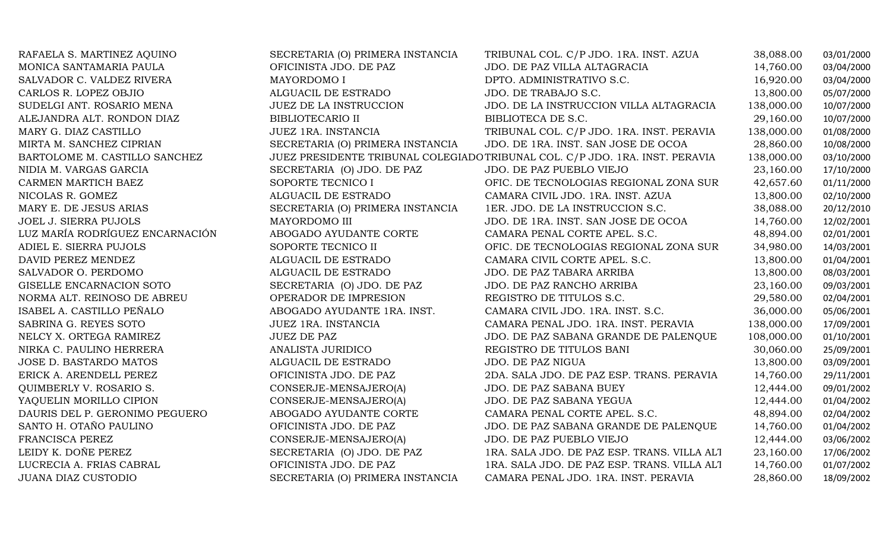| RAFAELA S. MARTINEZ AQUINO      | SECRETARIA (O) PRIMERA INSTANCIA | TRIBUNAL COL. C/P JDO. 1RA. INST. AZUA                                       | 38,088.00  | 03/01/2000 |
|---------------------------------|----------------------------------|------------------------------------------------------------------------------|------------|------------|
| MONICA SANTAMARIA PAULA         | OFICINISTA JDO. DE PAZ           | JDO. DE PAZ VILLA ALTAGRACIA                                                 | 14,760.00  | 03/04/2000 |
| SALVADOR C. VALDEZ RIVERA       | MAYORDOMO I                      | DPTO. ADMINISTRATIVO S.C.                                                    | 16,920.00  | 03/04/2000 |
| CARLOS R. LOPEZ OBJIO           | ALGUACIL DE ESTRADO              | JDO. DE TRABAJO S.C.                                                         | 13,800.00  | 05/07/2000 |
| SUDELGI ANT. ROSARIO MENA       | <b>JUEZ DE LA INSTRUCCION</b>    | JDO. DE LA INSTRUCCION VILLA ALTAGRACIA                                      | 138,000.00 | 10/07/2000 |
| ALEJANDRA ALT. RONDON DIAZ      | <b>BIBLIOTECARIO II</b>          | BIBLIOTECA DE S.C.                                                           | 29,160.00  | 10/07/2000 |
| MARY G. DIAZ CASTILLO           | JUEZ 1RA. INSTANCIA              | TRIBUNAL COL. C/P JDO. 1RA. INST. PERAVIA                                    | 138,000.00 | 01/08/2000 |
| MIRTA M. SANCHEZ CIPRIAN        | SECRETARIA (O) PRIMERA INSTANCIA | JDO. DE 1RA. INST. SAN JOSE DE OCOA                                          | 28,860.00  | 10/08/2000 |
| BARTOLOME M. CASTILLO SANCHEZ   |                                  | JUEZ PRESIDENTE TRIBUNAL COLEGIADO TRIBUNAL COL. C/P JDO. 1RA. INST. PERAVIA | 138,000.00 | 03/10/2000 |
| NIDIA M. VARGAS GARCIA          | SECRETARIA (O) JDO. DE PAZ       | JDO. DE PAZ PUEBLO VIEJO                                                     | 23,160.00  | 17/10/2000 |
| CARMEN MARTICH BAEZ             | SOPORTE TECNICO I                | OFIC. DE TECNOLOGIAS REGIONAL ZONA SUR                                       | 42,657.60  | 01/11/2000 |
| NICOLAS R. GOMEZ                | ALGUACIL DE ESTRADO              | CAMARA CIVIL JDO. 1RA. INST. AZUA                                            | 13,800.00  | 02/10/2000 |
| MARY E. DE JESUS ARIAS          | SECRETARIA (O) PRIMERA INSTANCIA | 1ER. JDO. DE LA INSTRUCCION S.C.                                             | 38,088.00  | 20/12/2010 |
| JOEL J. SIERRA PUJOLS           | MAYORDOMO III                    | JDO. DE 1RA. INST. SAN JOSE DE OCOA                                          | 14,760.00  | 12/02/2001 |
| LUZ MARÍA RODRÍGUEZ ENCARNACIÓN | ABOGADO AYUDANTE CORTE           | CAMARA PENAL CORTE APEL. S.C.                                                | 48,894.00  | 02/01/2001 |
| ADIEL E. SIERRA PUJOLS          | SOPORTE TECNICO II               | OFIC. DE TECNOLOGIAS REGIONAL ZONA SUR                                       | 34,980.00  | 14/03/2001 |
| DAVID PEREZ MENDEZ              | ALGUACIL DE ESTRADO              | CAMARA CIVIL CORTE APEL. S.C.                                                | 13,800.00  | 01/04/2001 |
| SALVADOR O. PERDOMO             | ALGUACIL DE ESTRADO              | JDO. DE PAZ TABARA ARRIBA                                                    | 13,800.00  | 08/03/2001 |
| GISELLE ENCARNACION SOTO        | SECRETARIA (O) JDO. DE PAZ       | JDO. DE PAZ RANCHO ARRIBA                                                    | 23,160.00  | 09/03/2001 |
| NORMA ALT. REINOSO DE ABREU     | OPERADOR DE IMPRESION            | REGISTRO DE TITULOS S.C.                                                     | 29,580.00  | 02/04/2001 |
| ISABEL A. CASTILLO PEÑALO       | ABOGADO AYUDANTE 1RA. INST.      | CAMARA CIVIL JDO. 1RA. INST. S.C.                                            | 36,000.00  | 05/06/2001 |
| SABRINA G. REYES SOTO           | <b>JUEZ 1RA. INSTANCIA</b>       | CAMARA PENAL JDO. 1RA. INST. PERAVIA                                         | 138,000.00 | 17/09/2001 |
| NELCY X. ORTEGA RAMIREZ         | <b>JUEZ DE PAZ</b>               | JDO. DE PAZ SABANA GRANDE DE PALENQUE                                        | 108,000.00 | 01/10/2001 |
| NIRKA C. PAULINO HERRERA        | ANALISTA JURIDICO                | REGISTRO DE TITULOS BANI                                                     | 30,060.00  | 25/09/2001 |
| JOSE D. BASTARDO MATOS          | ALGUACIL DE ESTRADO              | <b>JDO. DE PAZ NIGUA</b>                                                     | 13,800.00  | 03/09/2001 |
| ERICK A. ARENDELL PEREZ         | OFICINISTA JDO. DE PAZ           | 2DA. SALA JDO. DE PAZ ESP. TRANS. PERAVIA                                    | 14,760.00  | 29/11/2001 |
| QUIMBERLY V. ROSARIO S.         | CONSERJE-MENSAJERO(A)            | JDO. DE PAZ SABANA BUEY                                                      | 12,444.00  | 09/01/2002 |
| YAQUELIN MORILLO CIPION         | CONSERJE-MENSAJERO(A)            | JDO. DE PAZ SABANA YEGUA                                                     | 12,444.00  | 01/04/2002 |
| DAURIS DEL P. GERONIMO PEGUERO  | ABOGADO AYUDANTE CORTE           | CAMARA PENAL CORTE APEL. S.C.                                                | 48,894.00  | 02/04/2002 |
| SANTO H. OTAÑO PAULINO          | OFICINISTA JDO. DE PAZ           | JDO. DE PAZ SABANA GRANDE DE PALENQUE                                        | 14,760.00  | 01/04/2002 |
| FRANCISCA PEREZ                 | CONSERJE-MENSAJERO(A)            | JDO. DE PAZ PUEBLO VIEJO                                                     | 12,444.00  | 03/06/2002 |
| LEIDY K. DOÑE PEREZ             | SECRETARIA (O) JDO. DE PAZ       | 1RA. SALA JDO. DE PAZ ESP. TRANS. VILLA ALT                                  | 23,160.00  | 17/06/2002 |
| LUCRECIA A. FRIAS CABRAL        | OFICINISTA JDO. DE PAZ           | 1RA. SALA JDO. DE PAZ ESP. TRANS. VILLA ALT                                  | 14,760.00  | 01/07/2002 |
| JUANA DIAZ CUSTODIO             | SECRETARIA (O) PRIMERA INSTANCIA | CAMARA PENAL JDO. 1RA. INST. PERAVIA                                         | 28,860.00  | 18/09/2002 |
|                                 |                                  |                                                                              |            |            |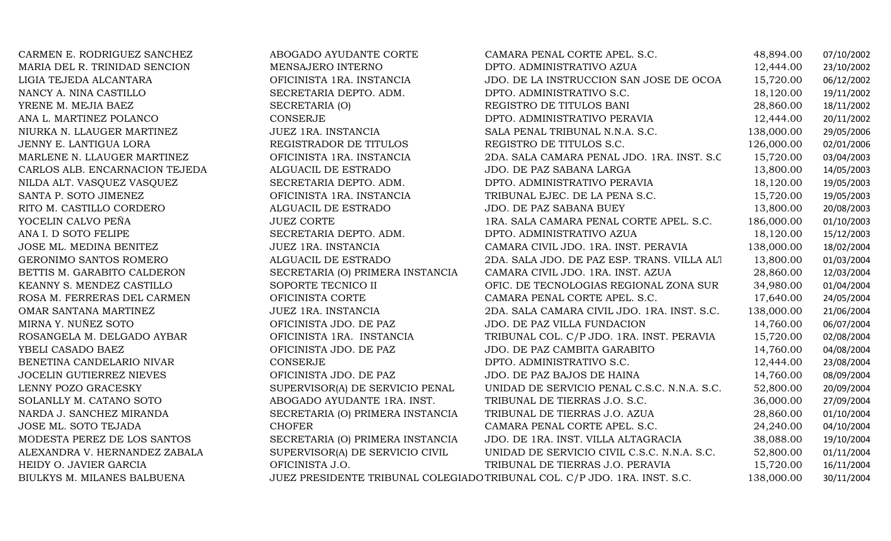| CARMEN E. RODRIGUEZ SANCHEZ     | ABOGADO AYUDANTE CORTE           | CAMARA PENAL CORTE APEL. S.C.                                             | 48,894.00  | 07/10/2002 |
|---------------------------------|----------------------------------|---------------------------------------------------------------------------|------------|------------|
| MARIA DEL R. TRINIDAD SENCION   | MENSAJERO INTERNO                | DPTO. ADMINISTRATIVO AZUA                                                 | 12,444.00  | 23/10/2002 |
| LIGIA TEJEDA ALCANTARA          | OFICINISTA 1RA. INSTANCIA        | JDO. DE LA INSTRUCCION SAN JOSE DE OCOA                                   | 15,720.00  | 06/12/2002 |
| NANCY A. NINA CASTILLO          | SECRETARIA DEPTO. ADM.           | DPTO. ADMINISTRATIVO S.C.                                                 | 18,120.00  | 19/11/2002 |
| YRENE M. MEJIA BAEZ             | SECRETARIA (O)                   | REGISTRO DE TITULOS BANI                                                  | 28,860.00  | 18/11/2002 |
| ANA L. MARTINEZ POLANCO         | CONSERJE                         | DPTO. ADMINISTRATIVO PERAVIA                                              | 12,444.00  | 20/11/2002 |
| NIURKA N. LLAUGER MARTINEZ      | JUEZ 1RA. INSTANCIA              | SALA PENAL TRIBUNAL N.N.A. S.C.                                           | 138,000.00 | 29/05/2006 |
| JENNY E. LANTIGUA LORA          | REGISTRADOR DE TITULOS           | REGISTRO DE TITULOS S.C.                                                  | 126,000.00 | 02/01/2006 |
| MARLENE N. LLAUGER MARTINEZ     | OFICINISTA 1RA. INSTANCIA        | 2DA. SALA CAMARA PENAL JDO. 1RA. INST. S.C.                               | 15,720.00  | 03/04/2003 |
| CARLOS ALB. ENCARNACION TEJEDA  | ALGUACIL DE ESTRADO              | JDO. DE PAZ SABANA LARGA                                                  | 13,800.00  | 14/05/2003 |
| NILDA ALT. VASQUEZ VASQUEZ      | SECRETARIA DEPTO. ADM.           | DPTO. ADMINISTRATIVO PERAVIA                                              | 18,120.00  | 19/05/2003 |
| SANTA P. SOTO JIMENEZ           | OFICINISTA 1RA. INSTANCIA        | TRIBUNAL EJEC. DE LA PENA S.C.                                            | 15,720.00  | 19/05/2003 |
| RITO M. CASTILLO CORDERO        | ALGUACIL DE ESTRADO              | JDO. DE PAZ SABANA BUEY                                                   | 13,800.00  | 20/08/2003 |
| YOCELIN CALVO PEÑA              | <b>JUEZ CORTE</b>                | 1RA. SALA CAMARA PENAL CORTE APEL. S.C.                                   | 186,000.00 | 01/10/2003 |
| ANA I. D SOTO FELIPE            | SECRETARIA DEPTO. ADM.           | DPTO. ADMINISTRATIVO AZUA                                                 | 18,120.00  | 15/12/2003 |
| JOSE ML. MEDINA BENITEZ         | JUEZ 1RA. INSTANCIA              | CAMARA CIVIL JDO. 1RA. INST. PERAVIA                                      | 138,000.00 | 18/02/2004 |
| GERONIMO SANTOS ROMERO          | ALGUACIL DE ESTRADO              | 2DA. SALA JDO. DE PAZ ESP. TRANS. VILLA ALT                               | 13,800.00  | 01/03/2004 |
| BETTIS M. GARABITO CALDERON     | SECRETARIA (O) PRIMERA INSTANCIA | CAMARA CIVIL JDO. 1RA. INST. AZUA                                         | 28,860.00  | 12/03/2004 |
| KEANNY S. MENDEZ CASTILLO       | SOPORTE TECNICO II               | OFIC. DE TECNOLOGIAS REGIONAL ZONA SUR                                    | 34,980.00  | 01/04/2004 |
| ROSA M. FERRERAS DEL CARMEN     | OFICINISTA CORTE                 | CAMARA PENAL CORTE APEL. S.C.                                             | 17,640.00  | 24/05/2004 |
| OMAR SANTANA MARTINEZ           | JUEZ 1RA. INSTANCIA              | 2DA. SALA CAMARA CIVIL JDO. 1RA. INST. S.C.                               | 138,000.00 | 21/06/2004 |
| MIRNA Y. NUÑEZ SOTO             | OFICINISTA JDO. DE PAZ           | JDO. DE PAZ VILLA FUNDACION                                               | 14,760.00  | 06/07/2004 |
| ROSANGELA M. DELGADO AYBAR      | OFICINISTA 1RA. INSTANCIA        | TRIBUNAL COL. C/P JDO. 1RA. INST. PERAVIA                                 | 15,720.00  | 02/08/2004 |
| YBELI CASADO BAEZ               | OFICINISTA JDO. DE PAZ           | JDO. DE PAZ CAMBITA GARABITO                                              | 14,760.00  | 04/08/2004 |
| BENETINA CANDELARIO NIVAR       | CONSERJE                         | DPTO. ADMINISTRATIVO S.C.                                                 | 12,444.00  | 23/08/2004 |
| <b>JOCELIN GUTIERREZ NIEVES</b> | OFICINISTA JDO. DE PAZ           | JDO. DE PAZ BAJOS DE HAINA                                                | 14,760.00  | 08/09/2004 |
| LENNY POZO GRACESKY             | SUPERVISOR(A) DE SERVICIO PENAL  | UNIDAD DE SERVICIO PENAL C.S.C. N.N.A. S.C.                               | 52,800.00  | 20/09/2004 |
| SOLANLLY M. CATANO SOTO         | ABOGADO AYUDANTE 1RA. INST.      | TRIBUNAL DE TIERRAS J.O. S.C.                                             | 36,000.00  | 27/09/2004 |
| NARDA J. SANCHEZ MIRANDA        | SECRETARIA (O) PRIMERA INSTANCIA | TRIBUNAL DE TIERRAS J.O. AZUA                                             | 28,860.00  | 01/10/2004 |
| JOSE ML. SOTO TEJADA            | <b>CHOFER</b>                    | CAMARA PENAL CORTE APEL. S.C.                                             | 24,240.00  | 04/10/2004 |
| MODESTA PEREZ DE LOS SANTOS     | SECRETARIA (O) PRIMERA INSTANCIA | JDO. DE 1RA. INST. VILLA ALTAGRACIA                                       | 38,088.00  | 19/10/2004 |
| ALEXANDRA V. HERNANDEZ ZABALA   | SUPERVISOR(A) DE SERVICIO CIVIL  | UNIDAD DE SERVICIO CIVIL C.S.C. N.N.A. S.C.                               | 52,800.00  | 01/11/2004 |
| HEIDY O. JAVIER GARCIA          | OFICINISTA J.O.                  | TRIBUNAL DE TIERRAS J.O. PERAVIA                                          | 15,720.00  | 16/11/2004 |
| BIULKYS M. MILANES BALBUENA     |                                  | JUEZ PRESIDENTE TRIBUNAL COLEGIADO TRIBUNAL COL. C/P JDO. 1RA. INST. S.C. | 138,000.00 | 30/11/2004 |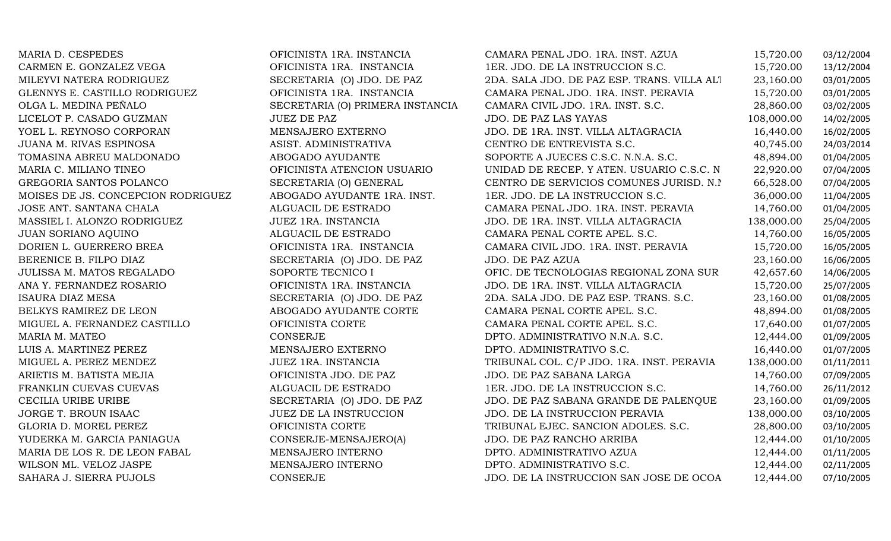| MARIA D. CESPEDES                  | OFICINISTA 1RA. INSTANCIA        | CAMARA PENAL JDO. 1RA. INST. AZUA           | 15,720.00  | 03/12/2004 |
|------------------------------------|----------------------------------|---------------------------------------------|------------|------------|
| CARMEN E. GONZALEZ VEGA            | OFICINISTA 1RA. INSTANCIA        | 1ER. JDO. DE LA INSTRUCCION S.C.            | 15,720.00  | 13/12/2004 |
| MILEYVI NATERA RODRIGUEZ           | SECRETARIA (O) JDO. DE PAZ       | 2DA. SALA JDO. DE PAZ ESP. TRANS. VILLA ALT | 23,160.00  | 03/01/2005 |
| GLENNYS E. CASTILLO RODRIGUEZ      | OFICINISTA 1RA. INSTANCIA        | CAMARA PENAL JDO. 1RA. INST. PERAVIA        | 15,720.00  | 03/01/2005 |
| OLGA L. MEDINA PEÑALO              | SECRETARIA (O) PRIMERA INSTANCIA | CAMARA CIVIL JDO. 1RA. INST. S.C.           | 28,860.00  | 03/02/2005 |
| LICELOT P. CASADO GUZMAN           | <b>JUEZ DE PAZ</b>               | JDO. DE PAZ LAS YAYAS                       | 108,000.00 | 14/02/2005 |
| YOEL L. REYNOSO CORPORAN           | MENSAJERO EXTERNO                | JDO. DE 1RA. INST. VILLA ALTAGRACIA         | 16,440.00  | 16/02/2005 |
| JUANA M. RIVAS ESPINOSA            | ASIST. ADMINISTRATIVA            | CENTRO DE ENTREVISTA S.C.                   | 40,745.00  | 24/03/2014 |
| TOMASINA ABREU MALDONADO           | ABOGADO AYUDANTE                 | SOPORTE A JUECES C.S.C. N.N.A. S.C.         | 48,894.00  | 01/04/2005 |
| MARIA C. MILIANO TINEO             | OFICINISTA ATENCION USUARIO      | UNIDAD DE RECEP. Y ATEN. USUARIO C.S.C. N   | 22,920.00  | 07/04/2005 |
| GREGORIA SANTOS POLANCO            | SECRETARIA (O) GENERAL           | CENTRO DE SERVICIOS COMUNES JURISD. N.I.    | 66,528.00  | 07/04/2005 |
| MOISES DE JS. CONCEPCION RODRIGUEZ | ABOGADO AYUDANTE 1RA. INST.      | 1ER. JDO. DE LA INSTRUCCION S.C.            | 36,000.00  | 11/04/2005 |
| JOSE ANT. SANTANA CHALA            | ALGUACIL DE ESTRADO              | CAMARA PENAL JDO. 1RA. INST. PERAVIA        | 14,760.00  | 01/04/2005 |
| MASSIEL I. ALONZO RODRIGUEZ        | JUEZ 1RA. INSTANCIA              | JDO. DE 1RA. INST. VILLA ALTAGRACIA         | 138,000.00 | 25/04/2005 |
| <b>JUAN SORIANO AQUINO</b>         | ALGUACIL DE ESTRADO              | CAMARA PENAL CORTE APEL. S.C.               | 14,760.00  | 16/05/2005 |
| DORIEN L. GUERRERO BREA            | OFICINISTA 1RA. INSTANCIA        | CAMARA CIVIL JDO. 1RA. INST. PERAVIA        | 15,720.00  | 16/05/2005 |
| BERENICE B. FILPO DIAZ             | SECRETARIA (O) JDO. DE PAZ       | JDO. DE PAZ AZUA                            | 23,160.00  | 16/06/2005 |
| JULISSA M. MATOS REGALADO          | SOPORTE TECNICO I                | OFIC. DE TECNOLOGIAS REGIONAL ZONA SUR      | 42,657.60  | 14/06/2005 |
| ANA Y. FERNANDEZ ROSARIO           | OFICINISTA 1RA. INSTANCIA        | JDO. DE 1RA. INST. VILLA ALTAGRACIA         | 15,720.00  | 25/07/2005 |
| <b>ISAURA DIAZ MESA</b>            | SECRETARIA (O) JDO. DE PAZ       | 2DA. SALA JDO. DE PAZ ESP. TRANS. S.C.      | 23,160.00  | 01/08/2005 |
| BELKYS RAMIREZ DE LEON             | ABOGADO AYUDANTE CORTE           | CAMARA PENAL CORTE APEL. S.C.               | 48,894.00  | 01/08/2005 |
| MIGUEL A. FERNANDEZ CASTILLO       | OFICINISTA CORTE                 | CAMARA PENAL CORTE APEL. S.C.               | 17,640.00  | 01/07/2005 |
| MARIA M. MATEO                     | CONSERJE                         | DPTO. ADMINISTRATIVO N.N.A. S.C.            | 12,444.00  | 01/09/2005 |
| LUIS A. MARTINEZ PEREZ             | MENSAJERO EXTERNO                | DPTO. ADMINISTRATIVO S.C.                   | 16,440.00  | 01/07/2005 |
| MIGUEL A. PEREZ MENDEZ             | JUEZ 1RA. INSTANCIA              | TRIBUNAL COL. C/P JDO. 1RA. INST. PERAVIA   | 138,000.00 | 01/11/2011 |
| ARIETIS M. BATISTA MEJIA           | OFICINISTA JDO. DE PAZ           | JDO. DE PAZ SABANA LARGA                    | 14,760.00  | 07/09/2005 |
| FRANKLIN CUEVAS CUEVAS             | ALGUACIL DE ESTRADO              | 1ER. JDO. DE LA INSTRUCCION S.C.            | 14,760.00  | 26/11/2012 |
| CECILIA URIBE URIBE                | SECRETARIA (O) JDO. DE PAZ       | JDO. DE PAZ SABANA GRANDE DE PALENQUE       | 23,160.00  | 01/09/2005 |
| JORGE T. BROUN ISAAC               | JUEZ DE LA INSTRUCCION           | JDO. DE LA INSTRUCCION PERAVIA              | 138,000.00 | 03/10/2005 |
| GLORIA D. MOREL PEREZ              | OFICINISTA CORTE                 | TRIBUNAL EJEC. SANCION ADOLES. S.C.         | 28,800.00  | 03/10/2005 |
| YUDERKA M. GARCIA PANIAGUA         | CONSERJE-MENSAJERO(A)            | JDO. DE PAZ RANCHO ARRIBA                   | 12,444.00  | 01/10/2005 |
| MARIA DE LOS R. DE LEON FABAL      | MENSAJERO INTERNO                | DPTO. ADMINISTRATIVO AZUA                   | 12,444.00  | 01/11/2005 |
| WILSON ML. VELOZ JASPE             | MENSAJERO INTERNO                | DPTO. ADMINISTRATIVO S.C.                   | 12,444.00  | 02/11/2005 |
| SAHARA J. SIERRA PUJOLS            | <b>CONSERJE</b>                  | JDO. DE LA INSTRUCCION SAN JOSE DE OCOA     | 12,444.00  | 07/10/2005 |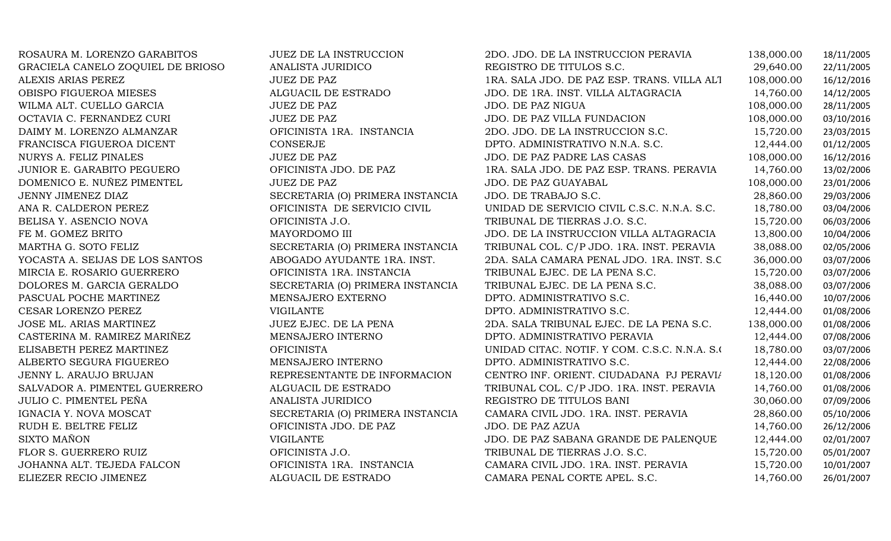| ROSAURA M. LORENZO GARABITOS      | JUEZ DE LA INSTRUCCION           | 2DO. JDO. DE LA INSTRUCCION PERAVIA           | 138,000.00 | 18/11/2005 |
|-----------------------------------|----------------------------------|-----------------------------------------------|------------|------------|
| GRACIELA CANELO ZOQUIEL DE BRIOSO | ANALISTA JURIDICO                | REGISTRO DE TITULOS S.C.                      | 29,640.00  | 22/11/2005 |
| ALEXIS ARIAS PEREZ                | <b>JUEZ DE PAZ</b>               | 1RA. SALA JDO. DE PAZ ESP. TRANS. VILLA ALT   | 108,000.00 | 16/12/2016 |
| OBISPO FIGUEROA MIESES            | ALGUACIL DE ESTRADO              | JDO. DE 1RA. INST. VILLA ALTAGRACIA           | 14,760.00  | 14/12/2005 |
| WILMA ALT. CUELLO GARCIA          | <b>JUEZ DE PAZ</b>               | JDO. DE PAZ NIGUA                             | 108,000.00 | 28/11/2005 |
| OCTAVIA C. FERNANDEZ CURI         | <b>JUEZ DE PAZ</b>               | JDO. DE PAZ VILLA FUNDACION                   | 108,000.00 | 03/10/2016 |
| DAIMY M. LORENZO ALMANZAR         | OFICINISTA 1RA. INSTANCIA        | 2DO. JDO. DE LA INSTRUCCION S.C.              | 15,720.00  | 23/03/2015 |
| FRANCISCA FIGUEROA DICENT         | <b>CONSERJE</b>                  | DPTO. ADMINISTRATIVO N.N.A. S.C.              | 12,444.00  | 01/12/2005 |
| NURYS A. FELIZ PINALES            | <b>JUEZ DE PAZ</b>               | JDO. DE PAZ PADRE LAS CASAS                   | 108,000.00 | 16/12/2016 |
| <b>JUNIOR E. GARABITO PEGUERO</b> | OFICINISTA JDO. DE PAZ           | 1RA. SALA JDO. DE PAZ ESP. TRANS. PERAVIA     | 14,760.00  | 13/02/2006 |
| DOMENICO E. NUÑEZ PIMENTEL        | <b>JUEZ DE PAZ</b>               | JDO. DE PAZ GUAYABAL                          | 108,000.00 | 23/01/2006 |
| JENNY JIMENEZ DIAZ                | SECRETARIA (O) PRIMERA INSTANCIA | JDO. DE TRABAJO S.C.                          | 28,860.00  | 29/03/2006 |
| ANA R. CALDERON PEREZ             | OFICINISTA DE SERVICIO CIVIL     | UNIDAD DE SERVICIO CIVIL C.S.C. N.N.A. S.C.   | 18,780.00  | 03/04/2006 |
| BELISA Y. ASENCIO NOVA            | OFICINISTA J.O.                  | TRIBUNAL DE TIERRAS J.O. S.C.                 | 15,720.00  | 06/03/2006 |
| FE M. GOMEZ BRITO                 | MAYORDOMO III                    | JDO. DE LA INSTRUCCION VILLA ALTAGRACIA       | 13,800.00  | 10/04/2006 |
| MARTHA G. SOTO FELIZ              | SECRETARIA (O) PRIMERA INSTANCIA | TRIBUNAL COL. C/P JDO. 1RA. INST. PERAVIA     | 38,088.00  | 02/05/2006 |
| YOCASTA A. SEIJAS DE LOS SANTOS   | ABOGADO AYUDANTE 1RA. INST.      | 2DA. SALA CAMARA PENAL JDO. 1RA. INST. S.C.   | 36,000.00  | 03/07/2006 |
| MIRCIA E. ROSARIO GUERRERO        | OFICINISTA 1RA. INSTANCIA        | TRIBUNAL EJEC. DE LA PENA S.C.                | 15,720.00  | 03/07/2006 |
| DOLORES M. GARCIA GERALDO         | SECRETARIA (O) PRIMERA INSTANCIA | TRIBUNAL EJEC. DE LA PENA S.C.                | 38,088.00  | 03/07/2006 |
| PASCUAL POCHE MARTINEZ            | MENSAJERO EXTERNO                | DPTO. ADMINISTRATIVO S.C.                     | 16,440.00  | 10/07/2006 |
| CESAR LORENZO PEREZ               | <b>VIGILANTE</b>                 | DPTO. ADMINISTRATIVO S.C.                     | 12,444.00  | 01/08/2006 |
| JOSE ML. ARIAS MARTINEZ           | JUEZ EJEC. DE LA PENA            | 2DA. SALA TRIBUNAL EJEC. DE LA PENA S.C.      | 138,000.00 | 01/08/2006 |
| CASTERINA M. RAMIREZ MARIÑEZ      | MENSAJERO INTERNO                | DPTO. ADMINISTRATIVO PERAVIA                  | 12,444.00  | 07/08/2006 |
| ELISABETH PEREZ MARTINEZ          | <b>OFICINISTA</b>                | UNIDAD CITAC. NOTIF. Y COM. C.S.C. N.N.A. S.O | 18,780.00  | 03/07/2006 |
| ALBERTO SEGURA FIGUEREO           | MENSAJERO INTERNO                | DPTO. ADMINISTRATIVO S.C.                     | 12,444.00  | 22/08/2006 |
| JENNY L. ARAUJO BRUJAN            | REPRESENTANTE DE INFORMACION     | CENTRO INF. ORIENT. CIUDADANA PJ PERAVI/      | 18,120.00  | 01/08/2006 |
| SALVADOR A. PIMENTEL GUERRERO     | ALGUACIL DE ESTRADO              | TRIBUNAL COL. C/P JDO. 1RA. INST. PERAVIA     | 14,760.00  | 01/08/2006 |
| JULIO C. PIMENTEL PEÑA            | ANALISTA JURIDICO                | REGISTRO DE TITULOS BANI                      | 30,060.00  | 07/09/2006 |
| IGNACIA Y. NOVA MOSCAT            | SECRETARIA (O) PRIMERA INSTANCIA | CAMARA CIVIL JDO. 1RA. INST. PERAVIA          | 28,860.00  | 05/10/2006 |
| RUDH E. BELTRE FELIZ              | OFICINISTA JDO. DE PAZ           | JDO. DE PAZ AZUA                              | 14,760.00  | 26/12/2006 |
| SIXTO MAÑON                       | <b>VIGILANTE</b>                 | JDO. DE PAZ SABANA GRANDE DE PALENQUE         | 12,444.00  | 02/01/2007 |
| FLOR S. GUERRERO RUIZ             | OFICINISTA J.O.                  | TRIBUNAL DE TIERRAS J.O. S.C.                 | 15,720.00  | 05/01/2007 |
| JOHANNA ALT. TEJEDA FALCON        | OFICINISTA 1RA. INSTANCIA        | CAMARA CIVIL JDO. 1RA. INST. PERAVIA          | 15,720.00  | 10/01/2007 |
| ELIEZER RECIO JIMENEZ             | ALGUACIL DE ESTRADO              | CAMARA PENAL CORTE APEL. S.C.                 | 14,760.00  | 26/01/2007 |
|                                   |                                  |                                               |            |            |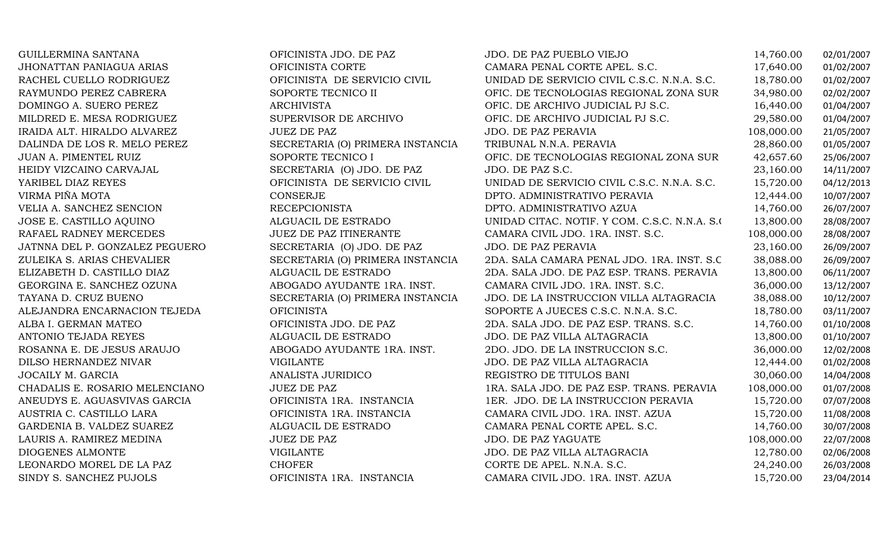| GUILLERMINA SANTANA             | OFICINISTA JDO. DE PAZ           | JDO. DE PAZ PUEBLO VIEJO                      | 14,760.00  | 02/01/2007 |
|---------------------------------|----------------------------------|-----------------------------------------------|------------|------------|
| <b>JHONATTAN PANIAGUA ARIAS</b> | OFICINISTA CORTE                 | CAMARA PENAL CORTE APEL. S.C.                 | 17,640.00  | 01/02/2007 |
| RACHEL CUELLO RODRIGUEZ         | OFICINISTA DE SERVICIO CIVIL     | UNIDAD DE SERVICIO CIVIL C.S.C. N.N.A. S.C.   | 18,780.00  | 01/02/2007 |
| RAYMUNDO PEREZ CABRERA          | SOPORTE TECNICO II               | OFIC. DE TECNOLOGIAS REGIONAL ZONA SUR        | 34,980.00  | 02/02/2007 |
| DOMINGO A. SUERO PEREZ          | <b>ARCHIVISTA</b>                | OFIC. DE ARCHIVO JUDICIAL PJ S.C.             | 16,440.00  | 01/04/2007 |
| MILDRED E. MESA RODRIGUEZ       | SUPERVISOR DE ARCHIVO            | OFIC. DE ARCHIVO JUDICIAL PJ S.C.             | 29,580.00  | 01/04/2007 |
| IRAIDA ALT. HIRALDO ALVAREZ     | <b>JUEZ DE PAZ</b>               | JDO. DE PAZ PERAVIA                           | 108,000.00 | 21/05/2007 |
| DALINDA DE LOS R. MELO PEREZ    | SECRETARIA (O) PRIMERA INSTANCIA | TRIBUNAL N.N.A. PERAVIA                       | 28,860.00  | 01/05/2007 |
| JUAN A. PIMENTEL RUIZ           | SOPORTE TECNICO I                | OFIC. DE TECNOLOGIAS REGIONAL ZONA SUR        | 42,657.60  | 25/06/2007 |
| HEIDY VIZCAINO CARVAJAL         | SECRETARIA (O) JDO. DE PAZ       | JDO. DE PAZ S.C.                              | 23,160.00  | 14/11/2007 |
| YARIBEL DIAZ REYES              | OFICINISTA DE SERVICIO CIVIL     | UNIDAD DE SERVICIO CIVIL C.S.C. N.N.A. S.C.   | 15,720.00  | 04/12/2013 |
| VIRMA PIÑA MOTA                 | CONSERJE                         | DPTO. ADMINISTRATIVO PERAVIA                  | 12,444.00  | 10/07/2007 |
| VELIA A. SANCHEZ SENCION        | <b>RECEPCIONISTA</b>             | DPTO. ADMINISTRATIVO AZUA                     | 14,760.00  | 26/07/2007 |
| JOSE E. CASTILLO AQUINO         | ALGUACIL DE ESTRADO              | UNIDAD CITAC. NOTIF. Y COM. C.S.C. N.N.A. S.O | 13,800.00  | 28/08/2007 |
| RAFAEL RADNEY MERCEDES          | JUEZ DE PAZ ITINERANTE           | CAMARA CIVIL JDO. 1RA. INST. S.C.             | 108,000.00 | 28/08/2007 |
| JATNNA DEL P. GONZALEZ PEGUERO  | SECRETARIA (O) JDO. DE PAZ       | JDO. DE PAZ PERAVIA                           | 23,160.00  | 26/09/2007 |
| ZULEIKA S. ARIAS CHEVALIER      | SECRETARIA (O) PRIMERA INSTANCIA | 2DA. SALA CAMARA PENAL JDO. 1RA. INST. S.C.   | 38,088.00  | 26/09/2007 |
| ELIZABETH D. CASTILLO DIAZ      | ALGUACIL DE ESTRADO              | 2DA. SALA JDO. DE PAZ ESP. TRANS. PERAVIA     | 13,800.00  | 06/11/2007 |
| GEORGINA E. SANCHEZ OZUNA       | ABOGADO AYUDANTE 1RA. INST.      | CAMARA CIVIL JDO. 1RA. INST. S.C.             | 36,000.00  | 13/12/2007 |
| TAYANA D. CRUZ BUENO            | SECRETARIA (O) PRIMERA INSTANCIA | JDO. DE LA INSTRUCCION VILLA ALTAGRACIA       | 38,088.00  | 10/12/2007 |
| ALEJANDRA ENCARNACION TEJEDA    | <b>OFICINISTA</b>                | SOPORTE A JUECES C.S.C. N.N.A. S.C.           | 18,780.00  | 03/11/2007 |
| ALBA I. GERMAN MATEO            | OFICINISTA JDO. DE PAZ           | 2DA. SALA JDO. DE PAZ ESP. TRANS. S.C.        | 14,760.00  | 01/10/2008 |
| ANTONIO TEJADA REYES            | ALGUACIL DE ESTRADO              | JDO. DE PAZ VILLA ALTAGRACIA                  | 13,800.00  | 01/10/2007 |
| ROSANNA E. DE JESUS ARAUJO      | ABOGADO AYUDANTE 1RA. INST.      | 2DO. JDO. DE LA INSTRUCCION S.C.              | 36,000.00  | 12/02/2008 |
| DILSO HERNANDEZ NIVAR           | <b>VIGILANTE</b>                 | JDO. DE PAZ VILLA ALTAGRACIA                  | 12,444.00  | 01/02/2008 |
| JOCAILY M. GARCIA               | ANALISTA JURIDICO                | REGISTRO DE TITULOS BANI                      | 30,060.00  | 14/04/2008 |
| CHADALIS E. ROSARIO MELENCIANO  | <b>JUEZ DE PAZ</b>               | 1RA. SALA JDO. DE PAZ ESP. TRANS. PERAVIA     | 108,000.00 | 01/07/2008 |
| ANEUDYS E. AGUASVIVAS GARCIA    | OFICINISTA 1RA. INSTANCIA        | 1ER. JDO. DE LA INSTRUCCION PERAVIA           | 15,720.00  | 07/07/2008 |
| AUSTRIA C. CASTILLO LARA        | OFICINISTA 1RA. INSTANCIA        | CAMARA CIVIL JDO. 1RA. INST. AZUA             | 15,720.00  | 11/08/2008 |
| GARDENIA B. VALDEZ SUAREZ       | ALGUACIL DE ESTRADO              | CAMARA PENAL CORTE APEL. S.C.                 | 14,760.00  | 30/07/2008 |
| LAURIS A. RAMIREZ MEDINA        | <b>JUEZ DE PAZ</b>               | <b>JDO. DE PAZ YAGUATE</b>                    | 108,000.00 | 22/07/2008 |
| DIOGENES ALMONTE                | <b>VIGILANTE</b>                 | JDO. DE PAZ VILLA ALTAGRACIA                  | 12,780.00  | 02/06/2008 |
| LEONARDO MOREL DE LA PAZ        | <b>CHOFER</b>                    | CORTE DE APEL. N.N.A. S.C.                    | 24,240.00  | 26/03/2008 |
| SINDY S. SANCHEZ PUJOLS         | OFICINISTA 1RA. INSTANCIA        | CAMARA CIVIL JDO. 1RA. INST. AZUA             | 15,720.00  | 23/04/2014 |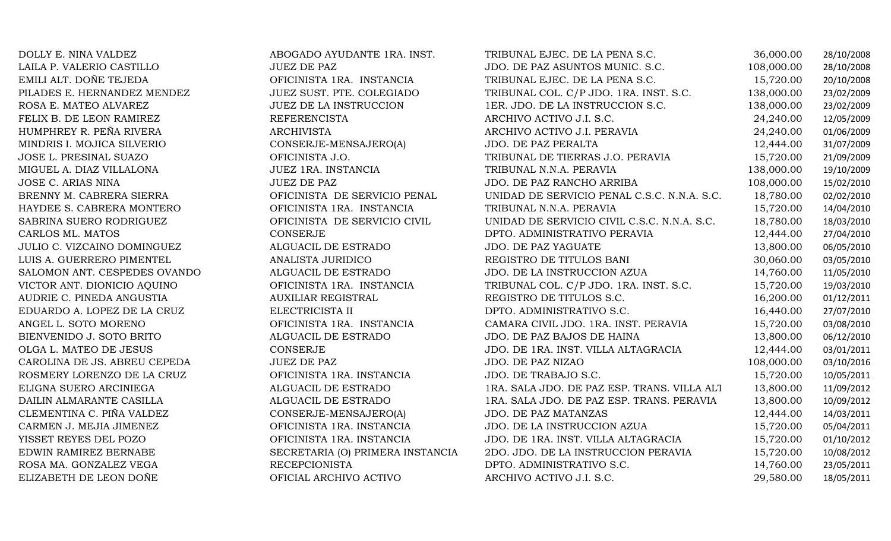| DOLLY E. NINA VALDEZ         | ABOGADO AYUDANTE 1RA. INST.      | TRIBUNAL EJEC. DE LA PENA S.C.              | 36,000.00  | 28/10/2008 |
|------------------------------|----------------------------------|---------------------------------------------|------------|------------|
| LAILA P. VALERIO CASTILLO    | <b>JUEZ DE PAZ</b>               | JDO. DE PAZ ASUNTOS MUNIC. S.C.             | 108,000.00 | 28/10/2008 |
| EMILI ALT. DOÑE TEJEDA       | OFICINISTA 1RA. INSTANCIA        | TRIBUNAL EJEC. DE LA PENA S.C.              | 15,720.00  | 20/10/2008 |
| PILADES E. HERNANDEZ MENDEZ  | JUEZ SUST. PTE. COLEGIADO        | TRIBUNAL COL. C/P JDO. 1RA. INST. S.C.      | 138,000.00 | 23/02/2009 |
| ROSA E. MATEO ALVAREZ        | JUEZ DE LA INSTRUCCION           | 1ER. JDO. DE LA INSTRUCCION S.C.            | 138,000.00 | 23/02/2009 |
| FELIX B. DE LEON RAMIREZ     | <b>REFERENCISTA</b>              | ARCHIVO ACTIVO J.I. S.C.                    | 24,240.00  | 12/05/2009 |
| HUMPHREY R. PEÑA RIVERA      | <b>ARCHIVISTA</b>                | ARCHIVO ACTIVO J.I. PERAVIA                 | 24,240.00  | 01/06/2009 |
| MINDRIS I. MOJICA SILVERIO   | CONSERJE-MENSAJERO(A)            | JDO. DE PAZ PERALTA                         | 12,444.00  | 31/07/2009 |
| JOSE L. PRESINAL SUAZO       | OFICINISTA J.O.                  | TRIBUNAL DE TIERRAS J.O. PERAVIA            | 15,720.00  | 21/09/2009 |
| MIGUEL A. DIAZ VILLALONA     | JUEZ 1RA. INSTANCIA              | TRIBUNAL N.N.A. PERAVIA                     | 138,000.00 | 19/10/2009 |
| JOSE C. ARIAS NINA           | <b>JUEZ DE PAZ</b>               | JDO. DE PAZ RANCHO ARRIBA                   | 108,000.00 | 15/02/2010 |
| BRENNY M. CABRERA SIERRA     | OFICINISTA DE SERVICIO PENAL     | UNIDAD DE SERVICIO PENAL C.S.C. N.N.A. S.C. | 18,780.00  | 02/02/2010 |
| HAYDEE S. CABRERA MONTERO    | OFICINISTA 1RA. INSTANCIA        | TRIBUNAL N.N.A. PERAVIA                     | 15,720.00  | 14/04/2010 |
| SABRINA SUERO RODRIGUEZ      | OFICINISTA DE SERVICIO CIVIL     | UNIDAD DE SERVICIO CIVIL C.S.C. N.N.A. S.C. | 18,780.00  | 18/03/2010 |
| CARLOS ML. MATOS             | CONSERJE                         | DPTO. ADMINISTRATIVO PERAVIA                | 12,444.00  | 27/04/2010 |
| JULIO C. VIZCAINO DOMINGUEZ  | ALGUACIL DE ESTRADO              | <b>JDO. DE PAZ YAGUATE</b>                  | 13,800.00  | 06/05/2010 |
| LUIS A. GUERRERO PIMENTEL    | ANALISTA JURIDICO                | REGISTRO DE TITULOS BANI                    | 30,060.00  | 03/05/2010 |
| SALOMON ANT. CESPEDES OVANDO | ALGUACIL DE ESTRADO              | JDO. DE LA INSTRUCCION AZUA                 | 14,760.00  | 11/05/2010 |
| VICTOR ANT. DIONICIO AQUINO  | OFICINISTA 1RA. INSTANCIA        | TRIBUNAL COL. C/P JDO. 1RA. INST. S.C.      | 15,720.00  | 19/03/2010 |
| AUDRIE C. PINEDA ANGUSTIA    | <b>AUXILIAR REGISTRAL</b>        | REGISTRO DE TITULOS S.C.                    | 16,200.00  | 01/12/2011 |
| EDUARDO A. LOPEZ DE LA CRUZ  | ELECTRICISTA II                  | DPTO. ADMINISTRATIVO S.C.                   | 16,440.00  | 27/07/2010 |
| ANGEL L. SOTO MORENO         | OFICINISTA 1RA. INSTANCIA        | CAMARA CIVIL JDO. 1RA. INST. PERAVIA        | 15,720.00  | 03/08/2010 |
| BIENVENIDO J. SOTO BRITO     | ALGUACIL DE ESTRADO              | JDO. DE PAZ BAJOS DE HAINA                  | 13,800.00  | 06/12/2010 |
| OLGA L. MATEO DE JESUS       | CONSERJE                         | JDO. DE 1RA. INST. VILLA ALTAGRACIA         | 12,444.00  | 03/01/2011 |
| CAROLINA DE JS. ABREU CEPEDA | <b>JUEZ DE PAZ</b>               | JDO. DE PAZ NIZAO                           | 108,000.00 | 03/10/2016 |
| ROSMERY LORENZO DE LA CRUZ   | OFICINISTA 1RA. INSTANCIA        | JDO. DE TRABAJO S.C.                        | 15,720.00  | 10/05/2011 |
| ELIGNA SUERO ARCINIEGA       | ALGUACIL DE ESTRADO              | 1RA. SALA JDO. DE PAZ ESP. TRANS. VILLA ALT | 13,800.00  | 11/09/2012 |
| DAILIN ALMARANTE CASILLA     | ALGUACIL DE ESTRADO              | 1RA. SALA JDO. DE PAZ ESP. TRANS. PERAVIA   | 13,800.00  | 10/09/2012 |
| CLEMENTINA C. PIÑA VALDEZ    | CONSERJE-MENSAJERO(A)            | JDO. DE PAZ MATANZAS                        | 12,444.00  | 14/03/2011 |
| CARMEN J. MEJIA JIMENEZ      | OFICINISTA 1RA. INSTANCIA        | JDO. DE LA INSTRUCCION AZUA                 | 15,720.00  | 05/04/2011 |
| YISSET REYES DEL POZO        | OFICINISTA 1RA. INSTANCIA        | JDO. DE 1RA. INST. VILLA ALTAGRACIA         | 15,720.00  | 01/10/2012 |
| EDWIN RAMIREZ BERNABE        | SECRETARIA (O) PRIMERA INSTANCIA | 2DO. JDO. DE LA INSTRUCCION PERAVIA         | 15,720.00  | 10/08/2012 |
| ROSA MA. GONZALEZ VEGA       | <b>RECEPCIONISTA</b>             | DPTO. ADMINISTRATIVO S.C.                   | 14,760.00  | 23/05/2011 |
| ELIZABETH DE LEON DOÑE       | OFICIAL ARCHIVO ACTIVO           | ARCHIVO ACTIVO J.I. S.C.                    | 29,580.00  | 18/05/2011 |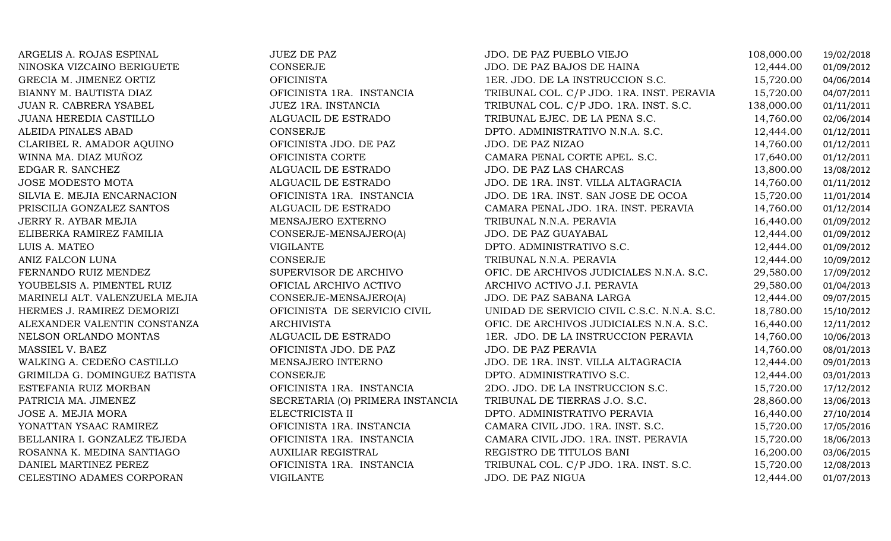ARGELIS A. ROJAS ESPINAL JUEZ DE PAZ JDO. DE PAZ PUEBLO VIEJO 108,000.00 19/02/2018 NINOSKA VIZCAINO BERIGUETE CONSERJE JDO. DE PAZ BAJOS DE HAINA 12,444.00 01/09/2012 GRECIA M. JIMENEZ ORTIZ OFICINISTA 1ER. JDO. DE LA INSTRUCCION S.C. 15,720.00 04/06/2014 BIANNY M. BAUTISTA DIAZ OFICINISTA 1RA. INSTANCIA TRIBUNAL COL. C/P JDO. 1RA. INST. PERAVIA 15,720.00 04/07/2011 JUAN R. CABRERA YSABEL JUEZ 1RA. INSTANCIA TRIBUNAL COL. C/P JDO. 1RA. INST. S.C. 138,000.00 01/11/2011 JUANA HEREDIA CASTILLO ALGUACIL DE ESTRADO TRIBUNAL EJEC. DE LA PENA S.C. 14,760.00 02/06/2014 ALEIDA PINALES ABAD CONSERJE DPTO. ADMINISTRATIVO N.N.A. S.C. 12,444.00 01/12/2011 CLARIBEL R. AMADOR AQUINO OFICINISTA JDO. DE PAZ JDO. DE PAZ NIZAO $0$  14,760.00 01/12/2011 WINNA MA. DIAZ MUÑOZ OFICINISTA CORTE CAMARA PENAL CORTE APEL. S.C. 17,640.00 01/12/2011 EDGAR R. SANCHEZ ALGUACIL DE ESTRADO JDO. DE PAZ LAS CHARCAS 13,800.00 13/08/2012 JOSE MODESTO MOTA ALGUACIL DE ESTRADO JDO. DE 1RA. INST. VILLA ALTAGRACIA 14,760.00 01/11/2012 SILVIA E. MEJIA ENCARNACION OFICINISTA 1RA. INSTANCIA JDO. DE 1RA. INST. SAN JOSE DE OCOA 15,720.00 11/01/2014 PRISCILIA GONZALEZ SANTOS ALGUACIL DE ESTRADO CAMARA PENAL JDO. 1RA. INST. PERAVIA 14,760.00 01/12/2014 JERRY R. AYBAR MEJIA MENSAJERO EXTERNO TRIBUNAL N.N.A. PERAVIA 16,440.00 01/09/2012 ELIBERKA RAMIREZ FAMILIA CONSERJE-MENSAJERO(A) JDO. DE PAZ GUAYABAL 12,444.00 01/09/2012 LUIS A. MATEO VIGILANTE DPTO. ADMINISTRATIVO S.C. 12,444.00 01/09/2012 ANIZ FALCON LUNA CONSERJE TRIBUNAL N.N.A. PERAVIA 12,444.00 10/09/2012 FERNANDO RUIZ MENDEZ SUPERVISOR DE ARCHIVO OFIC. DE ARCHIVOS JUDICIALES N.N.A. S.C. 29,580.00 17/09/2012 YOUBELSIS A. PIMENTEL RUIZ OFICIAL ARCHIVO ACTIVO ARCHIVO ACTIVO J.I. PERAVIA 29,580.00 01/04/2013 MARINELI ALT. VALENZUELA MEJIA CONSERJE-MENSAJERO(A) JDO. DE PAZ SABANA LARGA 12,444.00 09/07/2015 HERMES J. RAMIREZ DEMORIZI OFICINISTA DE SERVICIO CIVIL UNIDAD DE SERVICIO CIVIL C.S.C. N.N.A. S.C. 18,780.00 15/10/2012 ALEXANDER VALENTIN CONSTANZA ARCHIVISTA OFIC. DE ARCHIVOS JUDICIALES N.N.A. S.C. 16,440.00 12/11/2012 NELSON ORLANDO MONTAS ALGUACIL DE ESTRADO 1ER. JDO. DE LA INSTRUCCION PERAVIA 14,760.00 10/06/2013 MASSIEL V. BAEZ OFICINISTA JDO. DE PAZ JDO. DE PAZ PERAVIA 14,760.00 08/01/2013 WALKING A. CEDEÑO CASTILLO MENSAJERO INTERNO JDO. DE 1RA. INST. VILLA ALTAGRACIA 12,444.00 09/01/2013 GRIMILDA G. DOMINGUEZ BATISTA CONSERJE DPTO. ADMINISTRATIVO S.C. 12,444.00 03/01/2013 ESTEFANIA RUIZ MORBAN OFICINISTA 1RA. INSTANCIA 2DO. JDO. DE LA INSTRUCCION S.C. 15,720.00 17/12/2012 PATRICIA MA. JIMENEZ SECRETARIA (O) PRIMERA INSTANCIA TRIBUNAL DE TIERRAS J.O. S.C. 28,860.00 13/06/2013 JOSE A. MEJIA MORA ELECTRICISTA II DPTO. ADMINISTRATIVO PERAVIA 16,440.00 27/10/2014 YONATTAN YSAAC RAMIREZ OFICINISTA 1RA. INSTANCIA CAMARA CIVIL JDO. 1RA. INST. S.C. 15,720.00 17/05/2016 BELLANIRA I. GONZALEZ TEJEDA OFICINISTA 1RA. INSTANCIA CAMARA CIVIL JDO. 1RA. INST. PERAVIA 15,720.00 18/06/2013 ROSANNA K. MEDINA SANTIAGO AUXILIAR REGISTRAL REGISTRO DE TITULOS BANI 16,200.00 03/06/2015 DANIEL MARTINEZ PEREZ OFICINISTA 1RA. INSTANCIA TRIBUNAL COL. C/P JDO. 1RA. INST. S.C. 15,720.00 12/08/2013 CELESTINO ADAMES CORPORAN VIGILANTE VIGILANTE JDO. DE PAZ NIGUA 12,444.00 01/07/2013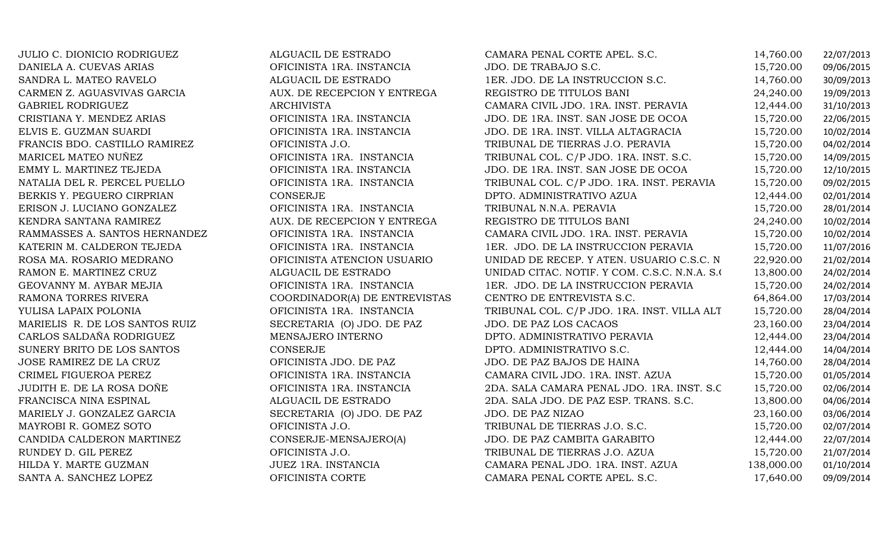| JULIO C. DIONICIO RODRIGUEZ    | ALGUACIL DE ESTRADO           | CAMARA PENAL CORTE APEL. S.C.                 | 14,760.00  | 22/07/2013 |
|--------------------------------|-------------------------------|-----------------------------------------------|------------|------------|
| DANIELA A. CUEVAS ARIAS        | OFICINISTA 1RA. INSTANCIA     | JDO. DE TRABAJO S.C.                          | 15,720.00  | 09/06/2015 |
| SANDRA L. MATEO RAVELO         | ALGUACIL DE ESTRADO           | 1ER. JDO. DE LA INSTRUCCION S.C.              | 14,760.00  | 30/09/2013 |
| CARMEN Z. AGUASVIVAS GARCIA    | AUX. DE RECEPCION Y ENTREGA   | REGISTRO DE TITULOS BANI                      | 24,240.00  | 19/09/2013 |
| GABRIEL RODRIGUEZ              | <b>ARCHIVISTA</b>             | CAMARA CIVIL JDO. 1RA. INST. PERAVIA          | 12,444.00  | 31/10/2013 |
| CRISTIANA Y. MENDEZ ARIAS      | OFICINISTA 1RA. INSTANCIA     | JDO. DE 1RA. INST. SAN JOSE DE OCOA           | 15,720.00  | 22/06/2015 |
| ELVIS E. GUZMAN SUARDI         | OFICINISTA 1RA. INSTANCIA     | JDO. DE 1RA. INST. VILLA ALTAGRACIA           | 15,720.00  | 10/02/2014 |
| FRANCIS BDO. CASTILLO RAMIREZ  | OFICINISTA J.O.               | TRIBUNAL DE TIERRAS J.O. PERAVIA              | 15,720.00  | 04/02/2014 |
| MARICEL MATEO NUÑEZ            | OFICINISTA 1RA. INSTANCIA     | TRIBUNAL COL. C/P JDO. 1RA. INST. S.C.        | 15,720.00  | 14/09/2015 |
| EMMY L. MARTINEZ TEJEDA        | OFICINISTA 1RA. INSTANCIA     | JDO. DE 1RA. INST. SAN JOSE DE OCOA           | 15,720.00  | 12/10/2015 |
| NATALIA DEL R. PERCEL PUELLO   | OFICINISTA 1RA. INSTANCIA     | TRIBUNAL COL. C/P JDO. 1RA. INST. PERAVIA     | 15,720.00  | 09/02/2015 |
| BERKIS Y. PEGUERO CIRPRIAN     | CONSERJE                      | DPTO. ADMINISTRATIVO AZUA                     | 12,444.00  | 02/01/2014 |
| ERISON J. LUCIANO GONZALEZ     | OFICINISTA 1RA. INSTANCIA     | TRIBUNAL N.N.A. PERAVIA                       | 15,720.00  | 28/01/2014 |
| KENDRA SANTANA RAMIREZ         | AUX. DE RECEPCION Y ENTREGA   | REGISTRO DE TITULOS BANI                      | 24,240.00  | 10/02/2014 |
| RAMMASSES A. SANTOS HERNANDEZ  | OFICINISTA 1RA. INSTANCIA     | CAMARA CIVIL JDO. 1RA. INST. PERAVIA          | 15,720.00  | 10/02/2014 |
| KATERIN M. CALDERON TEJEDA     | OFICINISTA 1RA. INSTANCIA     | 1ER. JDO. DE LA INSTRUCCION PERAVIA           | 15,720.00  | 11/07/2016 |
| ROSA MA. ROSARIO MEDRANO       | OFICINISTA ATENCION USUARIO   | UNIDAD DE RECEP. Y ATEN. USUARIO C.S.C. N     | 22,920.00  | 21/02/2014 |
| RAMON E. MARTINEZ CRUZ         | ALGUACIL DE ESTRADO           | UNIDAD CITAC. NOTIF. Y COM. C.S.C. N.N.A. S.O | 13,800.00  | 24/02/2014 |
| GEOVANNY M. AYBAR MEJIA        | OFICINISTA 1RA. INSTANCIA     | 1ER. JDO. DE LA INSTRUCCION PERAVIA           | 15,720.00  | 24/02/2014 |
| RAMONA TORRES RIVERA           | COORDINADOR(A) DE ENTREVISTAS | CENTRO DE ENTREVISTA S.C.                     | 64,864.00  | 17/03/2014 |
| YULISA LAPAIX POLONIA          | OFICINISTA 1RA. INSTANCIA     | TRIBUNAL COL. C/P JDO. 1RA. INST. VILLA ALT   | 15,720.00  | 28/04/2014 |
| MARIELIS R. DE LOS SANTOS RUIZ | SECRETARIA (O) JDO. DE PAZ    | <b>JDO. DE PAZ LOS CACAOS</b>                 | 23,160.00  | 23/04/2014 |
| CARLOS SALDAÑA RODRIGUEZ       | MENSAJERO INTERNO             | DPTO. ADMINISTRATIVO PERAVIA                  | 12,444.00  | 23/04/2014 |
| SUNERY BRITO DE LOS SANTOS     | CONSERJE                      | DPTO. ADMINISTRATIVO S.C.                     | 12,444.00  | 14/04/2014 |
| JOSE RAMIREZ DE LA CRUZ        | OFICINISTA JDO. DE PAZ        | JDO. DE PAZ BAJOS DE HAINA                    | 14,760.00  | 28/04/2014 |
| CRIMEL FIGUEROA PEREZ          | OFICINISTA 1RA. INSTANCIA     | CAMARA CIVIL JDO. 1RA. INST. AZUA             | 15,720.00  | 01/05/2014 |
| JUDITH E. DE LA ROSA DOÑE      | OFICINISTA 1RA. INSTANCIA     | 2DA. SALA CAMARA PENAL JDO. 1RA. INST. S.C.   | 15,720.00  | 02/06/2014 |
| FRANCISCA NINA ESPINAL         | ALGUACIL DE ESTRADO           | 2DA. SALA JDO. DE PAZ ESP. TRANS. S.C.        | 13,800.00  | 04/06/2014 |
| MARIELY J. GONZALEZ GARCIA     | SECRETARIA (O) JDO. DE PAZ    | JDO. DE PAZ NIZAO                             | 23,160.00  | 03/06/2014 |
| MAYROBI R. GOMEZ SOTO          | OFICINISTA J.O.               | TRIBUNAL DE TIERRAS J.O. S.C.                 | 15,720.00  | 02/07/2014 |
| CANDIDA CALDERON MARTINEZ      | CONSERJE-MENSAJERO(A)         | JDO. DE PAZ CAMBITA GARABITO                  | 12,444.00  | 22/07/2014 |
| RUNDEY D. GIL PEREZ            | OFICINISTA J.O.               | TRIBUNAL DE TIERRAS J.O. AZUA                 | 15,720.00  | 21/07/2014 |
| HILDA Y. MARTE GUZMAN          | JUEZ 1RA. INSTANCIA           | CAMARA PENAL JDO. 1RA. INST. AZUA             | 138,000.00 | 01/10/2014 |
| SANTA A. SANCHEZ LOPEZ         | OFICINISTA CORTE              | CAMARA PENAL CORTE APEL. S.C.                 | 17,640.00  | 09/09/2014 |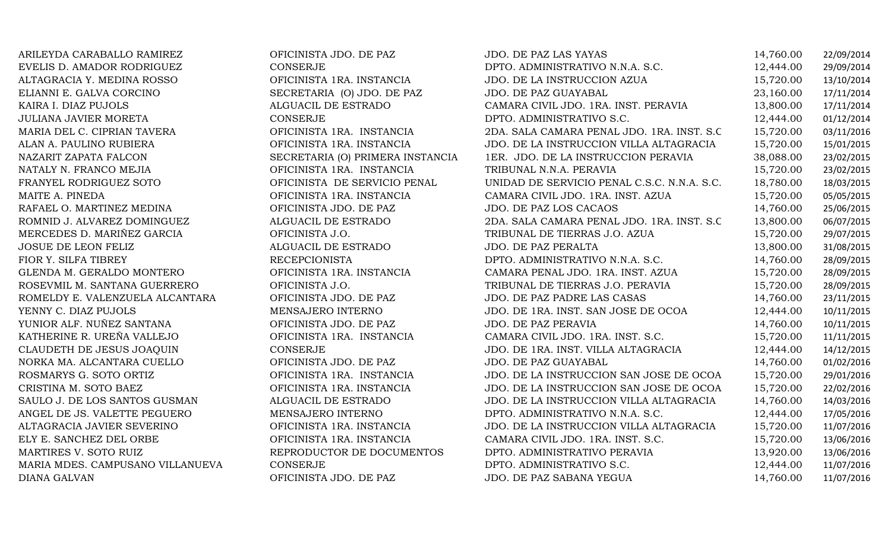| ARILEYDA CARABALLO RAMIREZ       | OFICINISTA JDO. DE PAZ           | JDO. DE PAZ LAS YAYAS                       | 14,760.00 | 22/09/2014 |
|----------------------------------|----------------------------------|---------------------------------------------|-----------|------------|
| EVELIS D. AMADOR RODRIGUEZ       | <b>CONSERJE</b>                  | DPTO. ADMINISTRATIVO N.N.A. S.C.            | 12,444.00 | 29/09/2014 |
| ALTAGRACIA Y. MEDINA ROSSO       | OFICINISTA 1RA. INSTANCIA        | JDO. DE LA INSTRUCCION AZUA                 | 15,720.00 | 13/10/2014 |
| ELIANNI E. GALVA CORCINO         | SECRETARIA (O) JDO. DE PAZ       | JDO. DE PAZ GUAYABAL                        | 23,160.00 | 17/11/2014 |
| KAIRA I. DIAZ PUJOLS             | ALGUACIL DE ESTRADO              | CAMARA CIVIL JDO. 1RA. INST. PERAVIA        | 13,800.00 | 17/11/2014 |
| JULIANA JAVIER MORETA            | CONSERJE                         | DPTO. ADMINISTRATIVO S.C.                   | 12,444.00 | 01/12/2014 |
| MARIA DEL C. CIPRIAN TAVERA      | OFICINISTA 1RA. INSTANCIA        | 2DA. SALA CAMARA PENAL JDO. 1RA. INST. S.C. | 15,720.00 | 03/11/2016 |
| ALAN A. PAULINO RUBIERA          | OFICINISTA 1RA. INSTANCIA        | JDO. DE LA INSTRUCCION VILLA ALTAGRACIA     | 15,720.00 | 15/01/2015 |
| NAZARIT ZAPATA FALCON            | SECRETARIA (O) PRIMERA INSTANCIA | 1ER. JDO. DE LA INSTRUCCION PERAVIA         | 38,088.00 | 23/02/2015 |
| NATALY N. FRANCO MEJIA           | OFICINISTA 1RA. INSTANCIA        | TRIBUNAL N.N.A. PERAVIA                     | 15,720.00 | 23/02/2015 |
| FRANYEL RODRIGUEZ SOTO           | OFICINISTA DE SERVICIO PENAL     | UNIDAD DE SERVICIO PENAL C.S.C. N.N.A. S.C. | 18,780.00 | 18/03/2015 |
| MAITE A. PINEDA                  | OFICINISTA 1RA. INSTANCIA        | CAMARA CIVIL JDO. 1RA. INST. AZUA           | 15,720.00 | 05/05/2015 |
| RAFAEL O. MARTINEZ MEDINA        | OFICINISTA JDO. DE PAZ           | JDO. DE PAZ LOS CACAOS                      | 14,760.00 | 25/06/2015 |
| ROMNID J. ALVAREZ DOMINGUEZ      | ALGUACIL DE ESTRADO              | 2DA. SALA CAMARA PENAL JDO. 1RA. INST. S.C. | 13,800.00 | 06/07/2015 |
| MERCEDES D. MARIÑEZ GARCIA       | OFICINISTA J.O.                  | TRIBUNAL DE TIERRAS J.O. AZUA               | 15,720.00 | 29/07/2015 |
| <b>JOSUE DE LEON FELIZ</b>       | ALGUACIL DE ESTRADO              | JDO. DE PAZ PERALTA                         | 13,800.00 | 31/08/2015 |
| FIOR Y. SILFA TIBREY             | <b>RECEPCIONISTA</b>             | DPTO. ADMINISTRATIVO N.N.A. S.C.            | 14,760.00 | 28/09/2015 |
| GLENDA M. GERALDO MONTERO        | OFICINISTA 1RA. INSTANCIA        | CAMARA PENAL JDO. 1RA. INST. AZUA           | 15,720.00 | 28/09/2015 |
| ROSEVMIL M. SANTANA GUERRERO     | OFICINISTA J.O.                  | TRIBUNAL DE TIERRAS J.O. PERAVIA            | 15,720.00 | 28/09/2015 |
| ROMELDY E. VALENZUELA ALCANTARA  | OFICINISTA JDO. DE PAZ           | JDO. DE PAZ PADRE LAS CASAS                 | 14,760.00 | 23/11/2015 |
| YENNY C. DIAZ PUJOLS             | MENSAJERO INTERNO                | JDO. DE 1RA. INST. SAN JOSE DE OCOA         | 12,444.00 | 10/11/2015 |
| YUNIOR ALF. NUÑEZ SANTANA        | OFICINISTA JDO. DE PAZ           | JDO. DE PAZ PERAVIA                         | 14,760.00 | 10/11/2015 |
| KATHERINE R. UREÑA VALLEJO       | OFICINISTA 1RA. INSTANCIA        | CAMARA CIVIL JDO. 1RA. INST. S.C.           | 15,720.00 | 11/11/2015 |
| CLAUDETH DE JESUS JOAQUIN        | CONSERJE                         | JDO. DE 1RA. INST. VILLA ALTAGRACIA         | 12,444.00 | 14/12/2015 |
| NORKA MA. ALCANTARA CUELLO       | OFICINISTA JDO. DE PAZ           | JDO. DE PAZ GUAYABAL                        | 14,760.00 | 01/02/2016 |
| ROSMARYS G. SOTO ORTIZ           | OFICINISTA 1RA. INSTANCIA        | JDO. DE LA INSTRUCCION SAN JOSE DE OCOA     | 15,720.00 | 29/01/2016 |
| CRISTINA M. SOTO BAEZ            | OFICINISTA 1RA. INSTANCIA        | JDO. DE LA INSTRUCCION SAN JOSE DE OCOA     | 15,720.00 | 22/02/2016 |
| SAULO J. DE LOS SANTOS GUSMAN    | ALGUACIL DE ESTRADO              | JDO. DE LA INSTRUCCION VILLA ALTAGRACIA     | 14,760.00 | 14/03/2016 |
| ANGEL DE JS. VALETTE PEGUERO     | MENSAJERO INTERNO                | DPTO. ADMINISTRATIVO N.N.A. S.C.            | 12,444.00 | 17/05/2016 |
| ALTAGRACIA JAVIER SEVERINO       | OFICINISTA 1RA. INSTANCIA        | JDO. DE LA INSTRUCCION VILLA ALTAGRACIA     | 15,720.00 | 11/07/2016 |
| ELY E. SANCHEZ DEL ORBE          | OFICINISTA 1RA. INSTANCIA        | CAMARA CIVIL JDO. 1RA. INST. S.C.           | 15,720.00 | 13/06/2016 |
| MARTIRES V. SOTO RUIZ            | REPRODUCTOR DE DOCUMENTOS        | DPTO. ADMINISTRATIVO PERAVIA                | 13,920.00 | 13/06/2016 |
| MARIA MDES. CAMPUSANO VILLANUEVA | <b>CONSERJE</b>                  | DPTO. ADMINISTRATIVO S.C.                   | 12,444.00 | 11/07/2016 |
| DIANA GALVAN                     | OFICINISTA JDO. DE PAZ           | JDO. DE PAZ SABANA YEGUA                    | 14,760.00 | 11/07/2016 |
|                                  |                                  |                                             |           |            |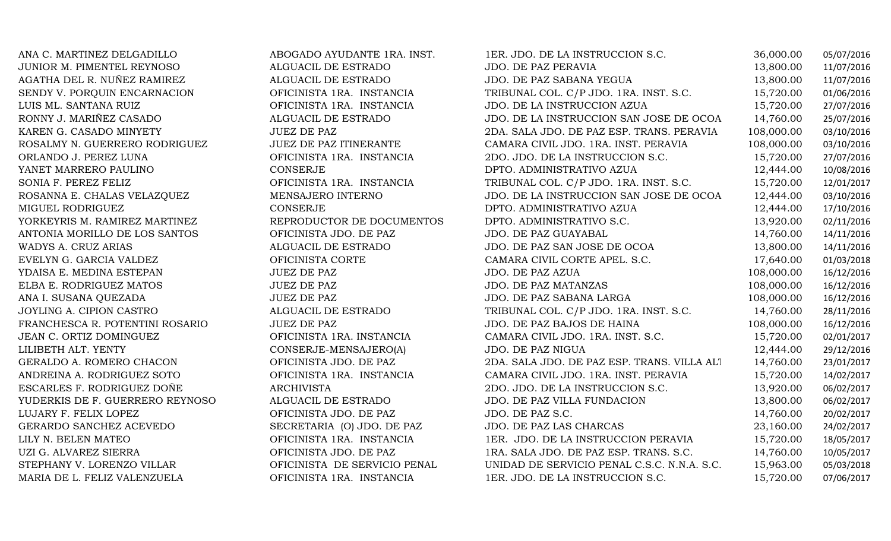| ANA C. MARTINEZ DELGADILLO      | ABOGADO AYUDANTE 1RA. INST.  | 1ER. JDO. DE LA INSTRUCCION S.C.            | 36,000.00  | 05/07/2016 |
|---------------------------------|------------------------------|---------------------------------------------|------------|------------|
| JUNIOR M. PIMENTEL REYNOSO      | ALGUACIL DE ESTRADO          | <b>JDO. DE PAZ PERAVIA</b>                  | 13,800.00  | 11/07/2016 |
| AGATHA DEL R. NUÑEZ RAMIREZ     | ALGUACIL DE ESTRADO          | JDO. DE PAZ SABANA YEGUA                    | 13,800.00  | 11/07/2016 |
| SENDY V. PORQUIN ENCARNACION    | OFICINISTA 1RA. INSTANCIA    | TRIBUNAL COL. C/P JDO. 1RA. INST. S.C.      | 15,720.00  | 01/06/2016 |
| LUIS ML. SANTANA RUIZ           | OFICINISTA 1RA. INSTANCIA    | JDO. DE LA INSTRUCCION AZUA                 | 15,720.00  | 27/07/2016 |
| RONNY J. MARIÑEZ CASADO         | ALGUACIL DE ESTRADO          | JDO. DE LA INSTRUCCION SAN JOSE DE OCOA     | 14,760.00  | 25/07/2016 |
| KAREN G. CASADO MINYETY         | <b>JUEZ DE PAZ</b>           | 2DA. SALA JDO. DE PAZ ESP. TRANS. PERAVIA   | 108,000.00 | 03/10/2016 |
| ROSALMY N. GUERRERO RODRIGUEZ   | JUEZ DE PAZ ITINERANTE       | CAMARA CIVIL JDO. 1RA. INST. PERAVIA        | 108,000.00 | 03/10/2016 |
| ORLANDO J. PEREZ LUNA           | OFICINISTA 1RA. INSTANCIA    | 2DO. JDO. DE LA INSTRUCCION S.C.            | 15,720.00  | 27/07/2016 |
| YANET MARRERO PAULINO           | CONSERJE                     | DPTO. ADMINISTRATIVO AZUA                   | 12,444.00  | 10/08/2016 |
| SONIA F. PEREZ FELIZ            | OFICINISTA 1RA. INSTANCIA    | TRIBUNAL COL. C/P JDO. 1RA. INST. S.C.      | 15,720.00  | 12/01/2017 |
| ROSANNA E. CHALAS VELAZQUEZ     | MENSAJERO INTERNO            | JDO. DE LA INSTRUCCION SAN JOSE DE OCOA     | 12,444.00  | 03/10/2016 |
| MIGUEL RODRIGUEZ                | CONSERJE                     | DPTO. ADMINISTRATIVO AZUA                   | 12,444.00  | 17/10/2016 |
| YORKEYRIS M. RAMIREZ MARTINEZ   | REPRODUCTOR DE DOCUMENTOS    | DPTO. ADMINISTRATIVO S.C.                   | 13,920.00  | 02/11/2016 |
| ANTONIA MORILLO DE LOS SANTOS   | OFICINISTA JDO. DE PAZ       | JDO. DE PAZ GUAYABAL                        | 14,760.00  | 14/11/2016 |
| WADYS A. CRUZ ARIAS             | ALGUACIL DE ESTRADO          | JDO. DE PAZ SAN JOSE DE OCOA                | 13,800.00  | 14/11/2016 |
| EVELYN G. GARCIA VALDEZ         | OFICINISTA CORTE             | CAMARA CIVIL CORTE APEL. S.C.               | 17,640.00  | 01/03/2018 |
| YDAISA E. MEDINA ESTEPAN        | <b>JUEZ DE PAZ</b>           | JDO. DE PAZ AZUA                            | 108,000.00 | 16/12/2016 |
| ELBA E. RODRIGUEZ MATOS         | <b>JUEZ DE PAZ</b>           | JDO. DE PAZ MATANZAS                        | 108,000.00 | 16/12/2016 |
| ANA I. SUSANA QUEZADA           | <b>JUEZ DE PAZ</b>           | JDO. DE PAZ SABANA LARGA                    | 108,000.00 | 16/12/2016 |
| JOYLING A. CIPION CASTRO        | ALGUACIL DE ESTRADO          | TRIBUNAL COL. C/P JDO. 1RA. INST. S.C.      | 14,760.00  | 28/11/2016 |
| FRANCHESCA R. POTENTINI ROSARIO | <b>JUEZ DE PAZ</b>           | JDO. DE PAZ BAJOS DE HAINA                  | 108,000.00 | 16/12/2016 |
| JEAN C. ORTIZ DOMINGUEZ         | OFICINISTA 1RA. INSTANCIA    | CAMARA CIVIL JDO. 1RA. INST. S.C.           | 15,720.00  | 02/01/2017 |
| LILIBETH ALT. YENTY             | CONSERJE-MENSAJERO(A)        | JDO. DE PAZ NIGUA                           | 12,444.00  | 29/12/2016 |
| GERALDO A. ROMERO CHACON        | OFICINISTA JDO. DE PAZ       | 2DA. SALA JDO. DE PAZ ESP. TRANS. VILLA ALT | 14,760.00  | 23/01/2017 |
| ANDREINA A. RODRIGUEZ SOTO      | OFICINISTA 1RA. INSTANCIA    | CAMARA CIVIL JDO. 1RA. INST. PERAVIA        | 15,720.00  | 14/02/2017 |
| ESCARLES F. RODRIGUEZ DOÑE      | <b>ARCHIVISTA</b>            | 2DO. JDO. DE LA INSTRUCCION S.C.            | 13,920.00  | 06/02/2017 |
| YUDERKIS DE F. GUERRERO REYNOSO | ALGUACIL DE ESTRADO          | JDO. DE PAZ VILLA FUNDACION                 | 13,800.00  | 06/02/2017 |
| LUJARY F. FELIX LOPEZ           | OFICINISTA JDO. DE PAZ       | JDO. DE PAZ S.C.                            | 14,760.00  | 20/02/2017 |
| GERARDO SANCHEZ ACEVEDO         | SECRETARIA (O) JDO. DE PAZ   | JDO. DE PAZ LAS CHARCAS                     | 23,160.00  | 24/02/2017 |
| LILY N. BELEN MATEO             | OFICINISTA 1RA. INSTANCIA    | 1ER. JDO. DE LA INSTRUCCION PERAVIA         | 15,720.00  | 18/05/2017 |
| UZI G. ALVAREZ SIERRA           | OFICINISTA JDO. DE PAZ       | 1RA. SALA JDO. DE PAZ ESP. TRANS. S.C.      | 14,760.00  | 10/05/2017 |
| STEPHANY V. LORENZO VILLAR      | OFICINISTA DE SERVICIO PENAL | UNIDAD DE SERVICIO PENAL C.S.C. N.N.A. S.C. | 15,963.00  | 05/03/2018 |
| MARIA DE L. FELIZ VALENZUELA    | OFICINISTA 1RA. INSTANCIA    | 1ER. JDO. DE LA INSTRUCCION S.C.            | 15,720.00  | 07/06/2017 |
|                                 |                              |                                             |            |            |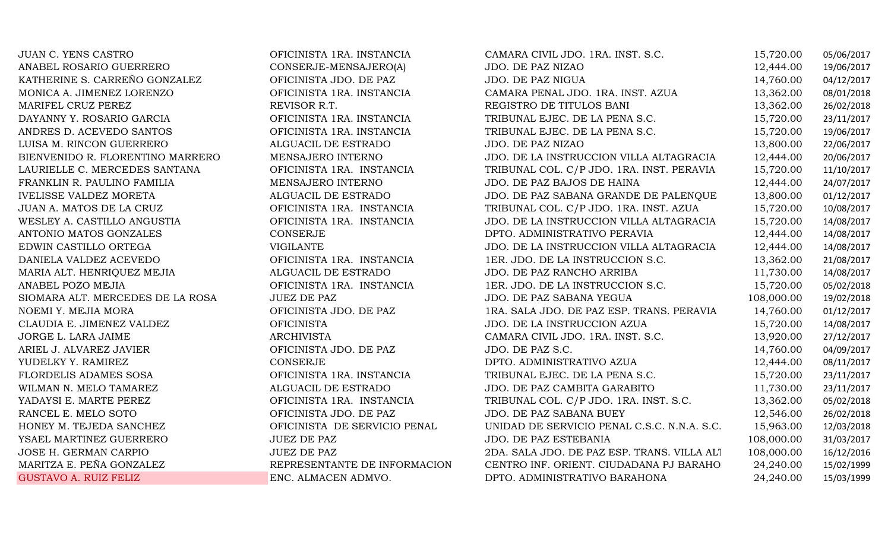| <b>JUAN C. YENS CASTRO</b>       | OFICINISTA 1RA. INSTANCIA    | CAMARA CIVIL JDO. 1RA. INST. S.C.           | 15,720.00  | 05/06/2017 |
|----------------------------------|------------------------------|---------------------------------------------|------------|------------|
| ANABEL ROSARIO GUERRERO          | CONSERJE-MENSAJERO(A)        | JDO. DE PAZ NIZAO                           | 12,444.00  | 19/06/2017 |
| KATHERINE S. CARREÑO GONZALEZ    | OFICINISTA JDO. DE PAZ       | JDO. DE PAZ NIGUA                           | 14,760.00  | 04/12/2017 |
| MONICA A. JIMENEZ LORENZO        | OFICINISTA 1RA. INSTANCIA    | CAMARA PENAL JDO. 1RA. INST. AZUA           | 13,362.00  | 08/01/2018 |
| MARIFEL CRUZ PEREZ               | REVISOR R.T.                 | REGISTRO DE TITULOS BANI                    | 13,362.00  | 26/02/2018 |
| DAYANNY Y. ROSARIO GARCIA        | OFICINISTA 1RA. INSTANCIA    | TRIBUNAL EJEC. DE LA PENA S.C.              | 15,720.00  | 23/11/2017 |
| ANDRES D. ACEVEDO SANTOS         | OFICINISTA 1RA. INSTANCIA    | TRIBUNAL EJEC. DE LA PENA S.C.              | 15,720.00  | 19/06/2017 |
| LUISA M. RINCON GUERRERO         | ALGUACIL DE ESTRADO          | JDO. DE PAZ NIZAO                           | 13,800.00  | 22/06/2017 |
| BIENVENIDO R. FLORENTINO MARRERO | MENSAJERO INTERNO            | JDO. DE LA INSTRUCCION VILLA ALTAGRACIA     | 12,444.00  | 20/06/2017 |
| LAURIELLE C. MERCEDES SANTANA    | OFICINISTA 1RA. INSTANCIA    | TRIBUNAL COL. C/P JDO. 1RA. INST. PERAVIA   | 15,720.00  | 11/10/2017 |
| FRANKLIN R. PAULINO FAMILIA      | MENSAJERO INTERNO            | JDO. DE PAZ BAJOS DE HAINA                  | 12,444.00  | 24/07/2017 |
| <b>IVELISSE VALDEZ MORETA</b>    | ALGUACIL DE ESTRADO          | JDO. DE PAZ SABANA GRANDE DE PALENQUE       | 13,800.00  | 01/12/2017 |
| JUAN A. MATOS DE LA CRUZ         | OFICINISTA 1RA. INSTANCIA    | TRIBUNAL COL. C/P JDO. 1RA. INST. AZUA      | 15,720.00  | 10/08/2017 |
| WESLEY A. CASTILLO ANGUSTIA      | OFICINISTA 1RA. INSTANCIA    | JDO. DE LA INSTRUCCION VILLA ALTAGRACIA     | 15,720.00  | 14/08/2017 |
| ANTONIO MATOS GONZALES           | CONSERJE                     | DPTO. ADMINISTRATIVO PERAVIA                | 12,444.00  | 14/08/2017 |
| EDWIN CASTILLO ORTEGA            | <b>VIGILANTE</b>             | JDO. DE LA INSTRUCCION VILLA ALTAGRACIA     | 12,444.00  | 14/08/2017 |
| DANIELA VALDEZ ACEVEDO           | OFICINISTA 1RA. INSTANCIA    | 1ER. JDO. DE LA INSTRUCCION S.C.            | 13,362.00  | 21/08/2017 |
| MARIA ALT. HENRIQUEZ MEJIA       | ALGUACIL DE ESTRADO          | JDO. DE PAZ RANCHO ARRIBA                   | 11,730.00  | 14/08/2017 |
| ANABEL POZO MEJIA                | OFICINISTA 1RA. INSTANCIA    | 1ER. JDO. DE LA INSTRUCCION S.C.            | 15,720.00  | 05/02/2018 |
| SIOMARA ALT. MERCEDES DE LA ROSA | <b>JUEZ DE PAZ</b>           | JDO. DE PAZ SABANA YEGUA                    | 108,000.00 | 19/02/2018 |
| NOEMI Y. MEJIA MORA              | OFICINISTA JDO. DE PAZ       | 1RA. SALA JDO. DE PAZ ESP. TRANS. PERAVIA   | 14,760.00  | 01/12/2017 |
| CLAUDIA E. JIMENEZ VALDEZ        | <b>OFICINISTA</b>            | JDO. DE LA INSTRUCCION AZUA                 | 15,720.00  | 14/08/2017 |
| JORGE L. LARA JAIME              | <b>ARCHIVISTA</b>            | CAMARA CIVIL JDO. 1RA. INST. S.C.           | 13,920.00  | 27/12/2017 |
| ARIEL J. ALVAREZ JAVIER          | OFICINISTA JDO. DE PAZ       | JDO. DE PAZ S.C.                            | 14,760.00  | 04/09/2017 |
| YUDELKY Y. RAMIREZ               | CONSERJE                     | DPTO. ADMINISTRATIVO AZUA                   | 12,444.00  | 08/11/2017 |
| FLORDELIS ADAMES SOSA            | OFICINISTA 1RA. INSTANCIA    | TRIBUNAL EJEC. DE LA PENA S.C.              | 15,720.00  | 23/11/2017 |
| WILMAN N. MELO TAMAREZ           | ALGUACIL DE ESTRADO          | JDO. DE PAZ CAMBITA GARABITO                | 11,730.00  | 23/11/2017 |
| YADAYSI E. MARTE PEREZ           | OFICINISTA 1RA. INSTANCIA    | TRIBUNAL COL. C/P JDO. 1RA. INST. S.C.      | 13,362.00  | 05/02/2018 |
| RANCEL E. MELO SOTO              | OFICINISTA JDO. DE PAZ       | JDO. DE PAZ SABANA BUEY                     | 12,546.00  | 26/02/2018 |
| HONEY M. TEJEDA SANCHEZ          | OFICINISTA DE SERVICIO PENAL | UNIDAD DE SERVICIO PENAL C.S.C. N.N.A. S.C. | 15,963.00  | 12/03/2018 |
| YSAEL MARTINEZ GUERRERO          | <b>JUEZ DE PAZ</b>           | JDO. DE PAZ ESTEBANIA                       | 108,000.00 | 31/03/2017 |
| JOSE H. GERMAN CARPIO            | JUEZ DE PAZ                  | 2DA. SALA JDO. DE PAZ ESP. TRANS. VILLA ALT | 108,000.00 | 16/12/2016 |
| MARITZA E. PEÑA GONZALEZ         | REPRESENTANTE DE INFORMACION | CENTRO INF. ORIENT. CIUDADANA PJ BARAHO     | 24,240.00  | 15/02/1999 |
| <b>GUSTAVO A. RUIZ FELIZ</b>     | ENC. ALMACEN ADMVO.          | DPTO. ADMINISTRATIVO BARAHONA               | 24,240.00  | 15/03/1999 |
|                                  |                              |                                             |            |            |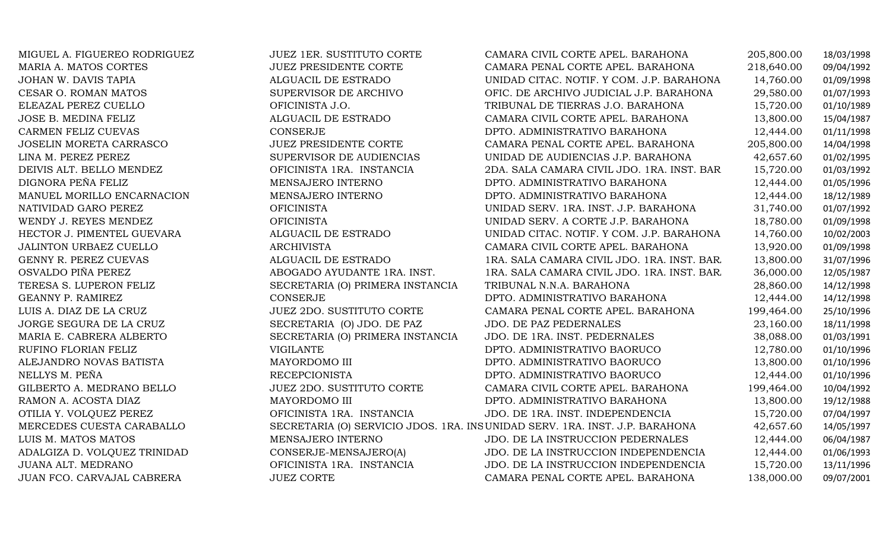| MIGUEL A. FIGUEREO RODRIGUEZ | <b>JUEZ 1ER. SUSTITUTO CORTE</b> | CAMARA CIVIL CORTE APEL. BARAHONA                                           | 205,800.00 | 18/03/1998 |
|------------------------------|----------------------------------|-----------------------------------------------------------------------------|------------|------------|
| MARIA A. MATOS CORTES        | <b>JUEZ PRESIDENTE CORTE</b>     | CAMARA PENAL CORTE APEL. BARAHONA                                           | 218,640.00 | 09/04/1992 |
| JOHAN W. DAVIS TAPIA         | ALGUACIL DE ESTRADO              | UNIDAD CITAC. NOTIF. Y COM. J.P. BARAHONA                                   | 14,760.00  | 01/09/1998 |
| CESAR O. ROMAN MATOS         | SUPERVISOR DE ARCHIVO            | OFIC. DE ARCHIVO JUDICIAL J.P. BARAHONA                                     | 29,580.00  | 01/07/1993 |
| ELEAZAL PEREZ CUELLO         | OFICINISTA J.O.                  | TRIBUNAL DE TIERRAS J.O. BARAHONA                                           | 15,720.00  | 01/10/1989 |
| JOSE B. MEDINA FELIZ         | ALGUACIL DE ESTRADO              | CAMARA CIVIL CORTE APEL. BARAHONA                                           | 13,800.00  | 15/04/1987 |
| CARMEN FELIZ CUEVAS          | CONSERJE                         | DPTO. ADMINISTRATIVO BARAHONA                                               | 12,444.00  | 01/11/1998 |
| JOSELIN MORETA CARRASCO      | <b>JUEZ PRESIDENTE CORTE</b>     | CAMARA PENAL CORTE APEL. BARAHONA                                           | 205,800.00 | 14/04/1998 |
| LINA M. PEREZ PEREZ          | SUPERVISOR DE AUDIENCIAS         | UNIDAD DE AUDIENCIAS J.P. BARAHONA                                          | 42,657.60  | 01/02/1995 |
| DEIVIS ALT. BELLO MENDEZ     | OFICINISTA 1RA. INSTANCIA        | 2DA. SALA CAMARA CIVIL JDO. 1RA. INST. BAR                                  | 15,720.00  | 01/03/1992 |
| DIGNORA PEÑA FELIZ           | MENSAJERO INTERNO                | DPTO. ADMINISTRATIVO BARAHONA                                               | 12,444.00  | 01/05/1996 |
| MANUEL MORILLO ENCARNACION   | MENSAJERO INTERNO                | DPTO. ADMINISTRATIVO BARAHONA                                               | 12,444.00  | 18/12/1989 |
| NATIVIDAD GARO PEREZ         | <b>OFICINISTA</b>                | UNIDAD SERV. 1RA. INST. J.P. BARAHONA                                       | 31,740.00  | 01/07/1992 |
| WENDY J. REYES MENDEZ        | <b>OFICINISTA</b>                | UNIDAD SERV. A CORTE J.P. BARAHONA                                          | 18,780.00  | 01/09/1998 |
| HECTOR J. PIMENTEL GUEVARA   | ALGUACIL DE ESTRADO              | UNIDAD CITAC. NOTIF. Y COM. J.P. BARAHONA                                   | 14,760.00  | 10/02/2003 |
| JALINTON URBAEZ CUELLO       | <b>ARCHIVISTA</b>                | CAMARA CIVIL CORTE APEL. BARAHONA                                           | 13,920.00  | 01/09/1998 |
| GENNY R. PEREZ CUEVAS        | ALGUACIL DE ESTRADO              | 1RA. SALA CAMARA CIVIL JDO. 1RA. INST. BAR                                  | 13,800.00  | 31/07/1996 |
| OSVALDO PIÑA PEREZ           | ABOGADO AYUDANTE 1RA. INST.      | 1RA. SALA CAMARA CIVIL JDO. 1RA. INST. BAR.                                 | 36,000.00  | 12/05/1987 |
| TERESA S. LUPERON FELIZ      | SECRETARIA (O) PRIMERA INSTANCIA | TRIBUNAL N.N.A. BARAHONA                                                    | 28,860.00  | 14/12/1998 |
| GEANNY P. RAMIREZ            | CONSERJE                         | DPTO. ADMINISTRATIVO BARAHONA                                               | 12,444.00  | 14/12/1998 |
| LUIS A. DIAZ DE LA CRUZ      | <b>JUEZ 2DO. SUSTITUTO CORTE</b> | CAMARA PENAL CORTE APEL. BARAHONA                                           | 199,464.00 | 25/10/1996 |
| JORGE SEGURA DE LA CRUZ      | SECRETARIA (O) JDO. DE PAZ       | JDO. DE PAZ PEDERNALES                                                      | 23,160.00  | 18/11/1998 |
| MARIA E. CABRERA ALBERTO     | SECRETARIA (O) PRIMERA INSTANCIA | JDO. DE 1RA. INST. PEDERNALES                                               | 38,088.00  | 01/03/1991 |
| RUFINO FLORIAN FELIZ         | <b>VIGILANTE</b>                 | DPTO. ADMINISTRATIVO BAORUCO                                                | 12,780.00  | 01/10/1996 |
| ALEJANDRO NOVAS BATISTA      | MAYORDOMO III                    | DPTO. ADMINISTRATIVO BAORUCO                                                | 13,800.00  | 01/10/1996 |
| NELLYS M. PEÑA               | <b>RECEPCIONISTA</b>             | DPTO. ADMINISTRATIVO BAORUCO                                                | 12,444.00  | 01/10/1996 |
| GILBERTO A. MEDRANO BELLO    | <b>JUEZ 2DO. SUSTITUTO CORTE</b> | CAMARA CIVIL CORTE APEL. BARAHONA                                           | 199,464.00 | 10/04/1992 |
| RAMON A. ACOSTA DIAZ         | MAYORDOMO III                    | DPTO. ADMINISTRATIVO BARAHONA                                               | 13,800.00  | 19/12/1988 |
| OTILIA Y. VOLQUEZ PEREZ      | OFICINISTA 1RA. INSTANCIA        | JDO. DE 1RA. INST. INDEPENDENCIA                                            | 15,720.00  | 07/04/1997 |
| MERCEDES CUESTA CARABALLO    |                                  | SECRETARIA (O) SERVICIO JDOS. 1RA. INSUNIDAD SERV. 1RA. INST. J.P. BARAHONA | 42,657.60  | 14/05/1997 |
| LUIS M. MATOS MATOS          | MENSAJERO INTERNO                | JDO. DE LA INSTRUCCION PEDERNALES                                           | 12,444.00  | 06/04/1987 |
| ADALGIZA D. VOLQUEZ TRINIDAD | CONSERJE-MENSAJERO(A)            | JDO. DE LA INSTRUCCION INDEPENDENCIA                                        | 12,444.00  | 01/06/1993 |
| JUANA ALT. MEDRANO           | OFICINISTA 1RA. INSTANCIA        | JDO. DE LA INSTRUCCION INDEPENDENCIA                                        | 15,720.00  | 13/11/1996 |
| JUAN FCO. CARVAJAL CABRERA   | <b>JUEZ CORTE</b>                | CAMARA PENAL CORTE APEL. BARAHONA                                           | 138,000.00 | 09/07/2001 |
|                              |                                  |                                                                             |            |            |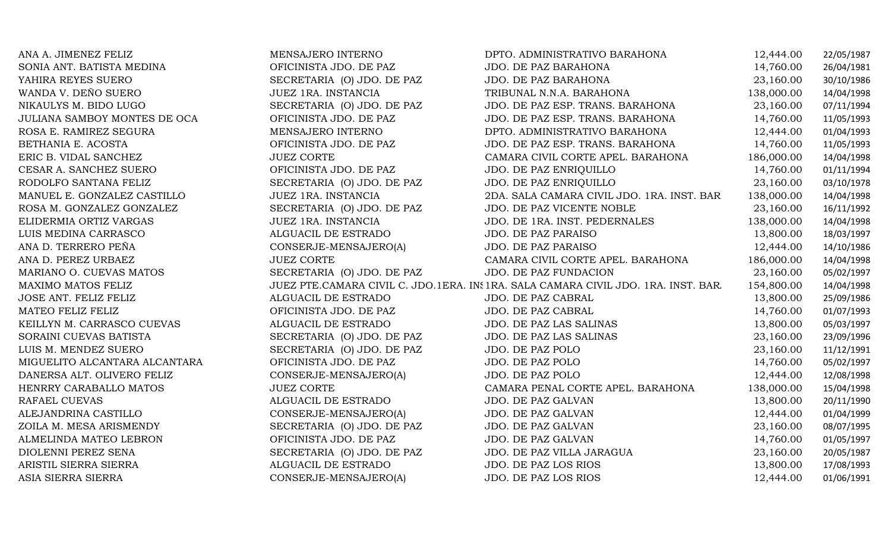| ANA A. JIMENEZ FELIZ          | MENSAJERO INTERNO          | DPTO. ADMINISTRATIVO BARAHONA                                                     | 12,444.00  | 22/05/1987 |
|-------------------------------|----------------------------|-----------------------------------------------------------------------------------|------------|------------|
| SONIA ANT. BATISTA MEDINA     | OFICINISTA JDO. DE PAZ     | JDO. DE PAZ BARAHONA                                                              | 14,760.00  | 26/04/1981 |
| YAHIRA REYES SUERO            | SECRETARIA (O) JDO. DE PAZ | JDO. DE PAZ BARAHONA                                                              | 23,160.00  | 30/10/1986 |
| WANDA V. DEÑO SUERO           | JUEZ 1RA. INSTANCIA        | TRIBUNAL N.N.A. BARAHONA                                                          | 138,000.00 | 14/04/1998 |
| NIKAULYS M. BIDO LUGO         | SECRETARIA (O) JDO. DE PAZ | JDO. DE PAZ ESP. TRANS. BARAHONA                                                  | 23,160.00  | 07/11/1994 |
| JULIANA SAMBOY MONTES DE OCA  | OFICINISTA JDO. DE PAZ     | JDO. DE PAZ ESP. TRANS. BARAHONA                                                  | 14,760.00  | 11/05/1993 |
| ROSA E. RAMIREZ SEGURA        | MENSAJERO INTERNO          | DPTO. ADMINISTRATIVO BARAHONA                                                     | 12,444.00  | 01/04/1993 |
| BETHANIA E. ACOSTA            | OFICINISTA JDO. DE PAZ     | JDO. DE PAZ ESP. TRANS. BARAHONA                                                  | 14,760.00  | 11/05/1993 |
| ERIC B. VIDAL SANCHEZ         | <b>JUEZ CORTE</b>          | CAMARA CIVIL CORTE APEL. BARAHONA                                                 | 186,000.00 | 14/04/1998 |
| CESAR A. SANCHEZ SUERO        | OFICINISTA JDO. DE PAZ     | JDO. DE PAZ ENRIQUILLO                                                            | 14,760.00  | 01/11/1994 |
| RODOLFO SANTANA FELIZ         | SECRETARIA (O) JDO. DE PAZ | JDO. DE PAZ ENRIQUILLO                                                            | 23,160.00  | 03/10/1978 |
| MANUEL E. GONZALEZ CASTILLO   | JUEZ 1RA. INSTANCIA        | 2DA. SALA CAMARA CIVIL JDO. 1RA. INST. BAR                                        | 138,000.00 | 14/04/1998 |
| ROSA M. GONZALEZ GONZALEZ     | SECRETARIA (O) JDO. DE PAZ | JDO. DE PAZ VICENTE NOBLE                                                         | 23,160.00  | 16/11/1992 |
| ELIDERMIA ORTIZ VARGAS        | JUEZ 1RA. INSTANCIA        | JDO. DE 1RA. INST. PEDERNALES                                                     | 138,000.00 | 14/04/1998 |
| LUIS MEDINA CARRASCO          | ALGUACIL DE ESTRADO        | <b>JDO. DE PAZ PARAISO</b>                                                        | 13,800.00  | 18/03/1997 |
| ANA D. TERRERO PEÑA           | CONSERJE-MENSAJERO(A)      | JDO. DE PAZ PARAISO                                                               | 12,444.00  | 14/10/1986 |
| ANA D. PEREZ URBAEZ           | <b>JUEZ CORTE</b>          | CAMARA CIVIL CORTE APEL. BARAHONA                                                 | 186,000.00 | 14/04/1998 |
| MARIANO O. CUEVAS MATOS       | SECRETARIA (O) JDO. DE PAZ | <b>JDO. DE PAZ FUNDACION</b>                                                      | 23,160.00  | 05/02/1997 |
| MAXIMO MATOS FELIZ            |                            | JUEZ PTE.CAMARA CIVIL C. JDO.1ERA. IN: 1RA. SALA CAMARA CIVIL JDO. 1RA. INST. BAR | 154,800.00 | 14/04/1998 |
| JOSE ANT. FELIZ FELIZ         | ALGUACIL DE ESTRADO        | JDO. DE PAZ CABRAL                                                                | 13,800.00  | 25/09/1986 |
| MATEO FELIZ FELIZ             | OFICINISTA JDO. DE PAZ     | JDO. DE PAZ CABRAL                                                                | 14,760.00  | 01/07/1993 |
| KEILLYN M. CARRASCO CUEVAS    | ALGUACIL DE ESTRADO        | JDO. DE PAZ LAS SALINAS                                                           | 13,800.00  | 05/03/1997 |
| SORAINI CUEVAS BATISTA        | SECRETARIA (O) JDO. DE PAZ | JDO. DE PAZ LAS SALINAS                                                           | 23,160.00  | 23/09/1996 |
| LUIS M. MENDEZ SUERO          | SECRETARIA (O) JDO. DE PAZ | JDO. DE PAZ POLO                                                                  | 23,160.00  | 11/12/1991 |
| MIGUELITO ALCANTARA ALCANTARA | OFICINISTA JDO. DE PAZ     | JDO. DE PAZ POLO                                                                  | 14,760.00  | 05/02/1997 |
| DANERSA ALT. OLIVERO FELIZ    | CONSERJE-MENSAJERO(A)      | JDO. DE PAZ POLO                                                                  | 12,444.00  | 12/08/1998 |
| HENRRY CARABALLO MATOS        | <b>JUEZ CORTE</b>          | CAMARA PENAL CORTE APEL. BARAHONA                                                 | 138,000.00 | 15/04/1998 |
| RAFAEL CUEVAS                 | ALGUACIL DE ESTRADO        | JDO. DE PAZ GALVAN                                                                | 13,800.00  | 20/11/1990 |
| ALEJANDRINA CASTILLO          | CONSERJE-MENSAJERO(A)      | JDO. DE PAZ GALVAN                                                                | 12,444.00  | 01/04/1999 |
| ZOILA M. MESA ARISMENDY       | SECRETARIA (O) JDO. DE PAZ | JDO. DE PAZ GALVAN                                                                | 23,160.00  | 08/07/1995 |
| ALMELINDA MATEO LEBRON        | OFICINISTA JDO. DE PAZ     | JDO. DE PAZ GALVAN                                                                | 14,760.00  | 01/05/1997 |
| DIOLENNI PEREZ SENA           | SECRETARIA (O) JDO. DE PAZ | JDO. DE PAZ VILLA JARAGUA                                                         | 23,160.00  | 20/05/1987 |
| ARISTIL SIERRA SIERRA         | ALGUACIL DE ESTRADO        | JDO. DE PAZ LOS RIOS                                                              | 13,800.00  | 17/08/1993 |
| ASIA SIERRA SIERRA            | CONSERJE-MENSAJERO(A)      | JDO. DE PAZ LOS RIOS                                                              | 12,444.00  | 01/06/1991 |
|                               |                            |                                                                                   |            |            |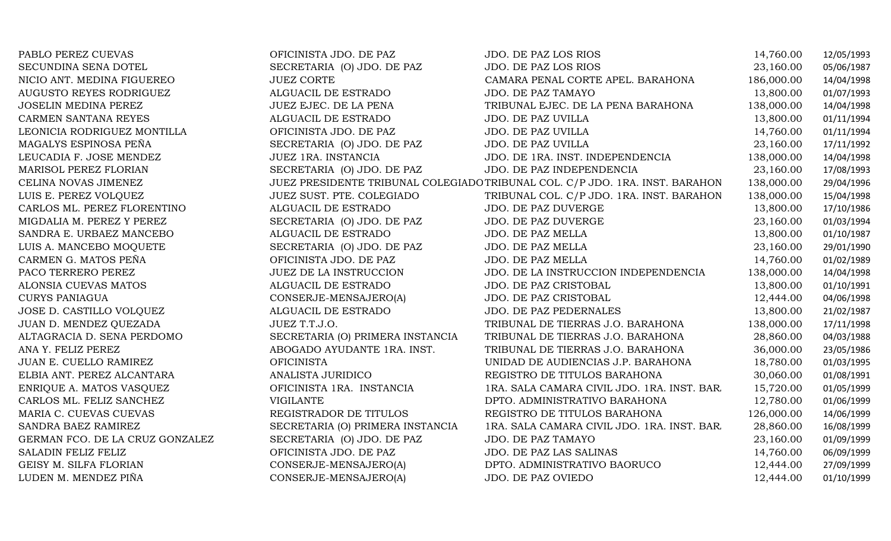| PABLO PEREZ CUEVAS              | OFICINISTA JDO. DE PAZ           | JDO. DE PAZ LOS RIOS                                                         | 14,760.00  | 12/05/1993 |
|---------------------------------|----------------------------------|------------------------------------------------------------------------------|------------|------------|
| SECUNDINA SENA DOTEL            | SECRETARIA (O) JDO. DE PAZ       | JDO. DE PAZ LOS RIOS                                                         | 23,160.00  | 05/06/1987 |
| NICIO ANT. MEDINA FIGUEREO      | <b>JUEZ CORTE</b>                | CAMARA PENAL CORTE APEL. BARAHONA                                            | 186,000.00 | 14/04/1998 |
| AUGUSTO REYES RODRIGUEZ         | ALGUACIL DE ESTRADO              | <b>JDO. DE PAZ TAMAYO</b>                                                    | 13,800.00  | 01/07/1993 |
| <b>JOSELIN MEDINA PEREZ</b>     | JUEZ EJEC. DE LA PENA            | TRIBUNAL EJEC. DE LA PENA BARAHONA                                           | 138,000.00 | 14/04/1998 |
| CARMEN SANTANA REYES            | ALGUACIL DE ESTRADO              | <b>JDO. DE PAZ UVILLA</b>                                                    | 13,800.00  | 01/11/1994 |
| LEONICIA RODRIGUEZ MONTILLA     | OFICINISTA JDO. DE PAZ           | JDO. DE PAZ UVILLA                                                           | 14,760.00  | 01/11/1994 |
| MAGALYS ESPINOSA PEÑA           | SECRETARIA (O) JDO. DE PAZ       | <b>JDO. DE PAZ UVILLA</b>                                                    | 23,160.00  | 17/11/1992 |
| LEUCADIA F. JOSE MENDEZ         | JUEZ 1RA. INSTANCIA              | JDO. DE 1RA. INST. INDEPENDENCIA                                             | 138,000.00 | 14/04/1998 |
| MARISOL PEREZ FLORIAN           | SECRETARIA (O) JDO. DE PAZ       | JDO. DE PAZ INDEPENDENCIA                                                    | 23,160.00  | 17/08/1993 |
| CELINA NOVAS JIMENEZ            |                                  | JUEZ PRESIDENTE TRIBUNAL COLEGIADO TRIBUNAL COL. C/P JDO. 1RA. INST. BARAHON | 138,000.00 | 29/04/1996 |
| LUIS E. PEREZ VOLQUEZ           | JUEZ SUST. PTE. COLEGIADO        | TRIBUNAL COL. C/P JDO. 1RA. INST. BARAHON                                    | 138,000.00 | 15/04/1998 |
| CARLOS ML. PEREZ FLORENTINO     | ALGUACIL DE ESTRADO              | JDO. DE PAZ DUVERGE                                                          | 13,800.00  | 17/10/1986 |
| MIGDALIA M. PEREZ Y PEREZ       | SECRETARIA (O) JDO. DE PAZ       | JDO. DE PAZ DUVERGE                                                          | 23,160.00  | 01/03/1994 |
| SANDRA E. URBAEZ MANCEBO        | ALGUACIL DE ESTRADO              | JDO. DE PAZ MELLA                                                            | 13,800.00  | 01/10/1987 |
| LUIS A. MANCEBO MOQUETE         | SECRETARIA (O) JDO. DE PAZ       | JDO. DE PAZ MELLA                                                            | 23,160.00  | 29/01/1990 |
| CARMEN G. MATOS PEÑA            | OFICINISTA JDO. DE PAZ           | JDO. DE PAZ MELLA                                                            | 14,760.00  | 01/02/1989 |
| PACO TERRERO PEREZ              | JUEZ DE LA INSTRUCCION           | JDO. DE LA INSTRUCCION INDEPENDENCIA                                         | 138,000.00 | 14/04/1998 |
| ALONSIA CUEVAS MATOS            | ALGUACIL DE ESTRADO              | JDO. DE PAZ CRISTOBAL                                                        | 13,800.00  | 01/10/1991 |
| <b>CURYS PANIAGUA</b>           | CONSERJE-MENSAJERO(A)            | JDO. DE PAZ CRISTOBAL                                                        | 12,444.00  | 04/06/1998 |
| JOSE D. CASTILLO VOLQUEZ        | ALGUACIL DE ESTRADO              | JDO. DE PAZ PEDERNALES                                                       | 13,800.00  | 21/02/1987 |
| JUAN D. MENDEZ QUEZADA          | JUEZ T.T.J.O.                    | TRIBUNAL DE TIERRAS J.O. BARAHONA                                            | 138,000.00 | 17/11/1998 |
| ALTAGRACIA D. SENA PERDOMO      | SECRETARIA (O) PRIMERA INSTANCIA | TRIBUNAL DE TIERRAS J.O. BARAHONA                                            | 28,860.00  | 04/03/1988 |
| ANA Y. FELIZ PEREZ              | ABOGADO AYUDANTE 1RA. INST.      | TRIBUNAL DE TIERRAS J.O. BARAHONA                                            | 36,000.00  | 23/05/1986 |
| JUAN E. CUELLO RAMIREZ          | <b>OFICINISTA</b>                | UNIDAD DE AUDIENCIAS J.P. BARAHONA                                           | 18,780.00  | 01/03/1995 |
| ELBIA ANT. PEREZ ALCANTARA      | ANALISTA JURIDICO                | REGISTRO DE TITULOS BARAHONA                                                 | 30,060.00  | 01/08/1991 |
| ENRIQUE A. MATOS VASQUEZ        | OFICINISTA 1RA. INSTANCIA        | 1RA. SALA CAMARA CIVIL JDO. 1RA. INST. BAR                                   | 15,720.00  | 01/05/1999 |
| CARLOS ML. FELIZ SANCHEZ        | <b>VIGILANTE</b>                 | DPTO. ADMINISTRATIVO BARAHONA                                                | 12,780.00  | 01/06/1999 |
| MARIA C. CUEVAS CUEVAS          | REGISTRADOR DE TITULOS           | REGISTRO DE TITULOS BARAHONA                                                 | 126,000.00 | 14/06/1999 |
| SANDRA BAEZ RAMIREZ             | SECRETARIA (O) PRIMERA INSTANCIA | 1RA. SALA CAMARA CIVIL JDO. 1RA. INST. BAR.                                  | 28,860.00  | 16/08/1999 |
| GERMAN FCO. DE LA CRUZ GONZALEZ | SECRETARIA (O) JDO. DE PAZ       | JDO. DE PAZ TAMAYO                                                           | 23,160.00  | 01/09/1999 |
| SALADIN FELIZ FELIZ             | OFICINISTA JDO. DE PAZ           | JDO. DE PAZ LAS SALINAS                                                      | 14,760.00  | 06/09/1999 |
| GEISY M. SILFA FLORIAN          | CONSERJE-MENSAJERO(A)            | DPTO. ADMINISTRATIVO BAORUCO                                                 | 12,444.00  | 27/09/1999 |
| LUDEN M. MENDEZ PIÑA            | CONSERJE-MENSAJERO(A)            | JDO. DE PAZ OVIEDO                                                           | 12,444.00  | 01/10/1999 |
|                                 |                                  |                                                                              |            |            |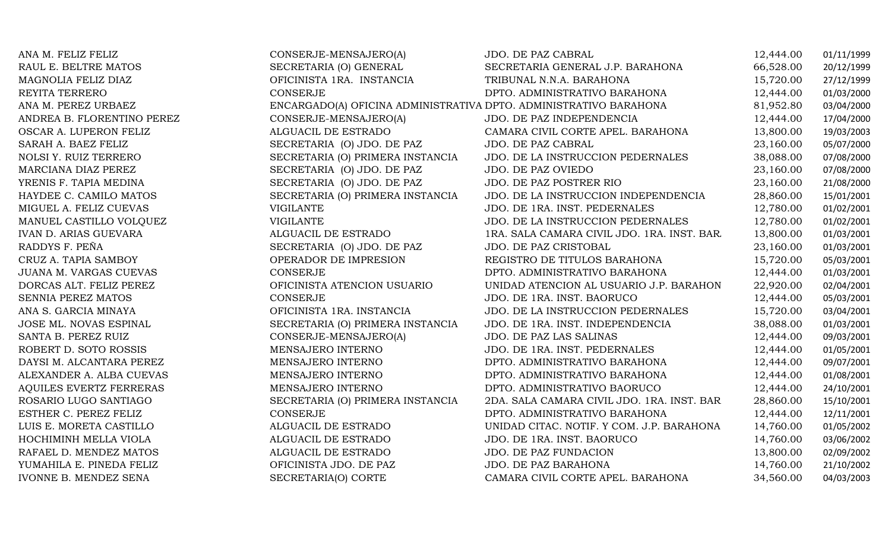| ANA M. FELIZ FELIZ             | CONSERJE-MENSAJERO(A)                                             | <b>JDO. DE PAZ CABRAL</b>                   | 12,444.00 | 01/11/1999 |
|--------------------------------|-------------------------------------------------------------------|---------------------------------------------|-----------|------------|
| RAUL E. BELTRE MATOS           | SECRETARIA (O) GENERAL                                            | SECRETARIA GENERAL J.P. BARAHONA            | 66,528.00 | 20/12/1999 |
| MAGNOLIA FELIZ DIAZ            | OFICINISTA 1RA. INSTANCIA                                         | TRIBUNAL N.N.A. BARAHONA                    | 15,720.00 | 27/12/1999 |
| REYITA TERRERO                 | CONSERJE                                                          | DPTO. ADMINISTRATIVO BARAHONA               | 12,444.00 | 01/03/2000 |
| ANA M. PEREZ URBAEZ            | ENCARGADO(A) OFICINA ADMINISTRATIVA DPTO. ADMINISTRATIVO BARAHONA |                                             | 81,952.80 | 03/04/2000 |
| ANDREA B. FLORENTINO PEREZ     | CONSERJE-MENSAJERO(A)                                             | JDO. DE PAZ INDEPENDENCIA                   | 12,444.00 | 17/04/2000 |
| OSCAR A. LUPERON FELIZ         | ALGUACIL DE ESTRADO                                               | CAMARA CIVIL CORTE APEL. BARAHONA           | 13,800.00 | 19/03/2003 |
| SARAH A. BAEZ FELIZ            | SECRETARIA (O) JDO. DE PAZ                                        | JDO. DE PAZ CABRAL                          | 23,160.00 | 05/07/2000 |
| NOLSI Y. RUIZ TERRERO          | SECRETARIA (O) PRIMERA INSTANCIA                                  | JDO. DE LA INSTRUCCION PEDERNALES           | 38,088.00 | 07/08/2000 |
| MARCIANA DIAZ PEREZ            | SECRETARIA (O) JDO. DE PAZ                                        | JDO. DE PAZ OVIEDO                          | 23,160.00 | 07/08/2000 |
| YRENIS F. TAPIA MEDINA         | SECRETARIA (O) JDO. DE PAZ                                        | JDO. DE PAZ POSTRER RIO                     | 23,160.00 | 21/08/2000 |
| HAYDEE C. CAMILO MATOS         | SECRETARIA (O) PRIMERA INSTANCIA                                  | JDO. DE LA INSTRUCCION INDEPENDENCIA        | 28,860.00 | 15/01/2001 |
| MIGUEL A. FELIZ CUEVAS         | <b>VIGILANTE</b>                                                  | JDO. DE 1RA. INST. PEDERNALES               | 12,780.00 | 01/02/2001 |
| MANUEL CASTILLO VOLQUEZ        | <b>VIGILANTE</b>                                                  | JDO. DE LA INSTRUCCION PEDERNALES           | 12,780.00 | 01/02/2001 |
| <b>IVAN D. ARIAS GUEVARA</b>   | ALGUACIL DE ESTRADO                                               | 1RA. SALA CAMARA CIVIL JDO. 1RA. INST. BAR. | 13,800.00 | 01/03/2001 |
| RADDYS F. PEÑA                 | SECRETARIA (O) JDO. DE PAZ                                        | JDO. DE PAZ CRISTOBAL                       | 23,160.00 | 01/03/2001 |
| CRUZ A. TAPIA SAMBOY           | OPERADOR DE IMPRESION                                             | REGISTRO DE TITULOS BARAHONA                | 15,720.00 | 05/03/2001 |
| JUANA M. VARGAS CUEVAS         | <b>CONSERJE</b>                                                   | DPTO. ADMINISTRATIVO BARAHONA               | 12,444.00 | 01/03/2001 |
| DORCAS ALT. FELIZ PEREZ        | OFICINISTA ATENCION USUARIO                                       | UNIDAD ATENCION AL USUARIO J.P. BARAHON     | 22,920.00 | 02/04/2001 |
| SENNIA PEREZ MATOS             | <b>CONSERJE</b>                                                   | JDO. DE 1RA. INST. BAORUCO                  | 12,444.00 | 05/03/2001 |
| ANA S. GARCIA MINAYA           | OFICINISTA 1RA. INSTANCIA                                         | JDO. DE LA INSTRUCCION PEDERNALES           | 15,720.00 | 03/04/2001 |
| JOSE ML. NOVAS ESPINAL         | SECRETARIA (O) PRIMERA INSTANCIA                                  | JDO. DE 1RA. INST. INDEPENDENCIA            | 38,088.00 | 01/03/2001 |
| SANTA B. PEREZ RUIZ            | CONSERJE-MENSAJERO(A)                                             | JDO. DE PAZ LAS SALINAS                     | 12,444.00 | 09/03/2001 |
| ROBERT D. SOTO ROSSIS          | MENSAJERO INTERNO                                                 | JDO. DE 1RA. INST. PEDERNALES               | 12,444.00 | 01/05/2001 |
| DAYSI M. ALCANTARA PEREZ       | MENSAJERO INTERNO                                                 | DPTO. ADMINISTRATIVO BARAHONA               | 12,444.00 | 09/07/2001 |
| ALEXANDER A. ALBA CUEVAS       | MENSAJERO INTERNO                                                 | DPTO. ADMINISTRATIVO BARAHONA               | 12,444.00 | 01/08/2001 |
| <b>AQUILES EVERTZ FERRERAS</b> | MENSAJERO INTERNO                                                 | DPTO. ADMINISTRATIVO BAORUCO                | 12,444.00 | 24/10/2001 |
| ROSARIO LUGO SANTIAGO          | SECRETARIA (O) PRIMERA INSTANCIA                                  | 2DA. SALA CAMARA CIVIL JDO. 1RA. INST. BAR  | 28,860.00 | 15/10/2001 |
| ESTHER C. PEREZ FELIZ          | <b>CONSERJE</b>                                                   | DPTO. ADMINISTRATIVO BARAHONA               | 12,444.00 | 12/11/2001 |
| LUIS E. MORETA CASTILLO        | ALGUACIL DE ESTRADO                                               | UNIDAD CITAC. NOTIF. Y COM. J.P. BARAHONA   | 14,760.00 | 01/05/2002 |
| HOCHIMINH MELLA VIOLA          | ALGUACIL DE ESTRADO                                               | JDO. DE 1RA. INST. BAORUCO                  | 14,760.00 | 03/06/2002 |
| RAFAEL D. MENDEZ MATOS         | ALGUACIL DE ESTRADO                                               | JDO. DE PAZ FUNDACION                       | 13,800.00 | 02/09/2002 |
| YUMAHILA E. PINEDA FELIZ       | OFICINISTA JDO. DE PAZ                                            | JDO. DE PAZ BARAHONA                        | 14,760.00 | 21/10/2002 |
| <b>IVONNE B. MENDEZ SENA</b>   | SECRETARIA(O) CORTE                                               | CAMARA CIVIL CORTE APEL. BARAHONA           | 34,560.00 | 04/03/2003 |
|                                |                                                                   |                                             |           |            |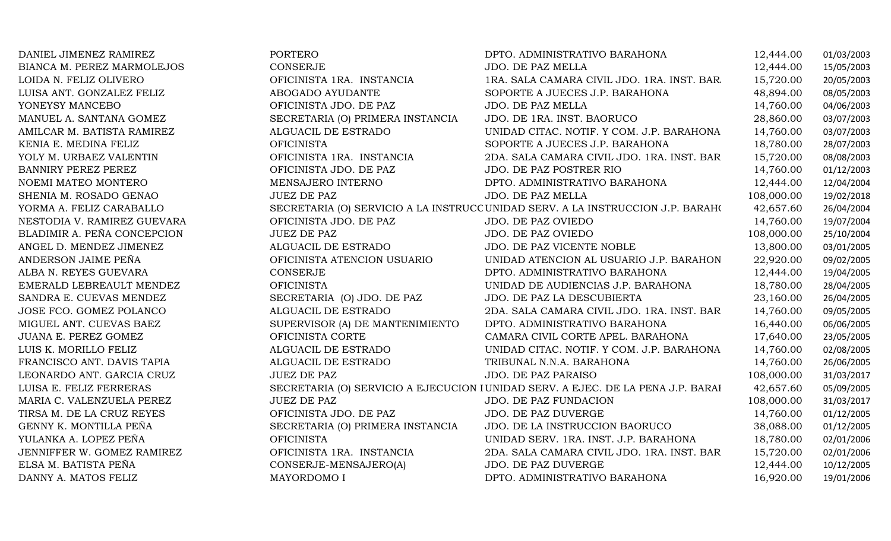| DANIEL JIMENEZ RAMIREZ      | PORTERO                          | DPTO. ADMINISTRATIVO BARAHONA                                                    | 12,444.00  | 01/03/2003 |
|-----------------------------|----------------------------------|----------------------------------------------------------------------------------|------------|------------|
| BIANCA M. PEREZ MARMOLEJOS  | CONSERJE                         | JDO. DE PAZ MELLA                                                                | 12,444.00  | 15/05/2003 |
| LOIDA N. FELIZ OLIVERO      | OFICINISTA 1RA. INSTANCIA        | 1RA. SALA CAMARA CIVIL JDO. 1RA. INST. BAR                                       | 15,720.00  | 20/05/2003 |
| LUISA ANT. GONZALEZ FELIZ   | ABOGADO AYUDANTE                 | SOPORTE A JUECES J.P. BARAHONA                                                   | 48,894.00  | 08/05/2003 |
| YONEYSY MANCEBO             | OFICINISTA JDO. DE PAZ           | JDO. DE PAZ MELLA                                                                | 14,760.00  | 04/06/2003 |
| MANUEL A. SANTANA GOMEZ     | SECRETARIA (O) PRIMERA INSTANCIA | JDO. DE 1RA. INST. BAORUCO                                                       | 28,860.00  | 03/07/2003 |
| AMILCAR M. BATISTA RAMIREZ  | ALGUACIL DE ESTRADO              | UNIDAD CITAC. NOTIF. Y COM. J.P. BARAHONA                                        | 14,760.00  | 03/07/2003 |
| KENIA E. MEDINA FELIZ       | <b>OFICINISTA</b>                | SOPORTE A JUECES J.P. BARAHONA                                                   | 18,780.00  | 28/07/2003 |
| YOLY M. URBAEZ VALENTIN     | OFICINISTA 1RA. INSTANCIA        | 2DA. SALA CAMARA CIVIL JDO. 1RA. INST. BAR                                       | 15,720.00  | 08/08/2003 |
| <b>BANNIRY PEREZ PEREZ</b>  | OFICINISTA JDO. DE PAZ           | <b>JDO. DE PAZ POSTRER RIO</b>                                                   | 14,760.00  | 01/12/2003 |
| NOEMI MATEO MONTERO         | MENSAJERO INTERNO                | DPTO. ADMINISTRATIVO BARAHONA                                                    | 12,444.00  | 12/04/2004 |
| SHENIA M. ROSADO GENAO      | <b>JUEZ DE PAZ</b>               | JDO. DE PAZ MELLA                                                                | 108,000.00 | 19/02/2018 |
| YORMA A. FELIZ CARABALLO    |                                  | SECRETARIA (O) SERVICIO A LA INSTRUCC UNIDAD SERV. A LA INSTRUCCION J.P. BARAHO  | 42,657.60  | 26/04/2004 |
| NESTODIA V. RAMIREZ GUEVARA | OFICINISTA JDO. DE PAZ           | JDO. DE PAZ OVIEDO                                                               | 14,760.00  | 19/07/2004 |
| BLADIMIR A. PEÑA CONCEPCION | <b>JUEZ DE PAZ</b>               | JDO. DE PAZ OVIEDO                                                               | 108,000.00 | 25/10/2004 |
| ANGEL D. MENDEZ JIMENEZ     | ALGUACIL DE ESTRADO              | JDO. DE PAZ VICENTE NOBLE                                                        | 13,800.00  | 03/01/2005 |
| ANDERSON JAIME PEÑA         | OFICINISTA ATENCION USUARIO      | UNIDAD ATENCION AL USUARIO J.P. BARAHON                                          | 22,920.00  | 09/02/2005 |
| ALBA N. REYES GUEVARA       | <b>CONSERJE</b>                  | DPTO. ADMINISTRATIVO BARAHONA                                                    | 12,444.00  | 19/04/2005 |
| EMERALD LEBREAULT MENDEZ    | <b>OFICINISTA</b>                | UNIDAD DE AUDIENCIAS J.P. BARAHONA                                               | 18,780.00  | 28/04/2005 |
| SANDRA E. CUEVAS MENDEZ     | SECRETARIA (O) JDO. DE PAZ       | JDO. DE PAZ LA DESCUBIERTA                                                       | 23,160.00  | 26/04/2005 |
| JOSE FCO. GOMEZ POLANCO     | ALGUACIL DE ESTRADO              | 2DA. SALA CAMARA CIVIL JDO. 1RA. INST. BAR                                       | 14,760.00  | 09/05/2005 |
| MIGUEL ANT. CUEVAS BAEZ     | SUPERVISOR (A) DE MANTENIMIENTO  | DPTO. ADMINISTRATIVO BARAHONA                                                    | 16,440.00  | 06/06/2005 |
| JUANA E. PEREZ GOMEZ        | OFICINISTA CORTE                 | CAMARA CIVIL CORTE APEL. BARAHONA                                                | 17,640.00  | 23/05/2005 |
| LUIS K. MORILLO FELIZ       | ALGUACIL DE ESTRADO              | UNIDAD CITAC. NOTIF. Y COM. J.P. BARAHONA                                        | 14,760.00  | 02/08/2005 |
| FRANCISCO ANT. DAVIS TAPIA  | ALGUACIL DE ESTRADO              | TRIBUNAL N.N.A. BARAHONA                                                         | 14,760.00  | 26/06/2005 |
| LEONARDO ANT. GARCIA CRUZ   | <b>JUEZ DE PAZ</b>               | JDO. DE PAZ PARAISO                                                              | 108,000.00 | 31/03/2017 |
| LUISA E. FELIZ FERRERAS     |                                  | SECRETARIA (O) SERVICIO A EJECUCION I UNIDAD SERV. A EJEC. DE LA PENA J.P. BARAI | 42,657.60  | 05/09/2005 |
| MARIA C. VALENZUELA PEREZ   | <b>JUEZ DE PAZ</b>               | JDO. DE PAZ FUNDACION                                                            | 108,000.00 | 31/03/2017 |
| TIRSA M. DE LA CRUZ REYES   | OFICINISTA JDO. DE PAZ           | JDO. DE PAZ DUVERGE                                                              | 14,760.00  | 01/12/2005 |
| GENNY K. MONTILLA PEÑA      | SECRETARIA (O) PRIMERA INSTANCIA | JDO. DE LA INSTRUCCION BAORUCO                                                   | 38,088.00  | 01/12/2005 |
| YULANKA A. LOPEZ PEÑA       | <b>OFICINISTA</b>                | UNIDAD SERV. 1RA. INST. J.P. BARAHONA                                            | 18,780.00  | 02/01/2006 |
| JENNIFFER W. GOMEZ RAMIREZ  | OFICINISTA 1RA. INSTANCIA        | 2DA. SALA CAMARA CIVIL JDO. 1RA. INST. BAR                                       | 15,720.00  | 02/01/2006 |
| ELSA M. BATISTA PEÑA        | CONSERJE-MENSAJERO(A)            | JDO. DE PAZ DUVERGE                                                              | 12,444.00  | 10/12/2005 |
| DANNY A. MATOS FELIZ        | MAYORDOMO I                      | DPTO. ADMINISTRATIVO BARAHONA                                                    | 16,920.00  | 19/01/2006 |
|                             |                                  |                                                                                  |            |            |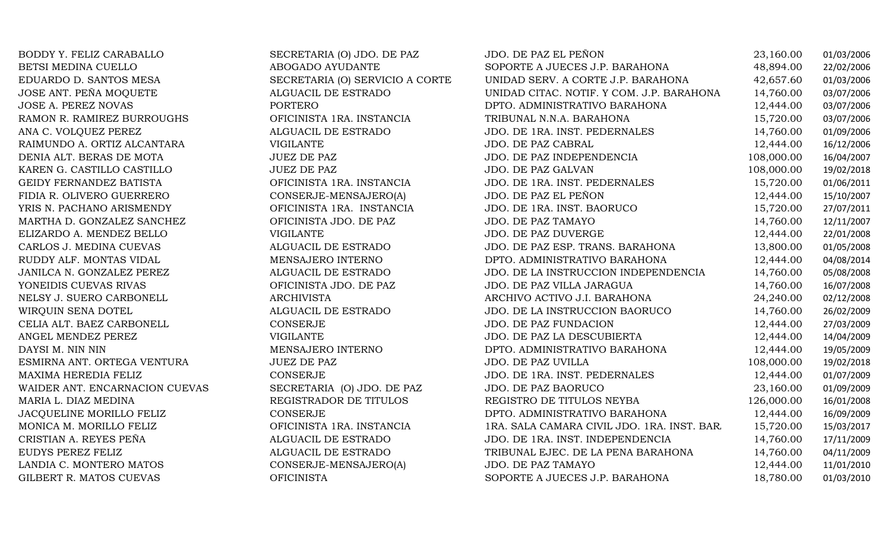| BODDY Y. FELIZ CARABALLO       | SECRETARIA (O) JDO. DE PAZ      | JDO. DE PAZ EL PEÑON                        | 23,160.00  | 01/03/2006 |
|--------------------------------|---------------------------------|---------------------------------------------|------------|------------|
| BETSI MEDINA CUELLO            | ABOGADO AYUDANTE                | SOPORTE A JUECES J.P. BARAHONA              | 48,894.00  | 22/02/2006 |
| EDUARDO D. SANTOS MESA         | SECRETARIA (O) SERVICIO A CORTE | UNIDAD SERV. A CORTE J.P. BARAHONA          | 42,657.60  | 01/03/2006 |
| JOSE ANT. PEÑA MOQUETE         | ALGUACIL DE ESTRADO             | UNIDAD CITAC. NOTIF. Y COM. J.P. BARAHONA   | 14,760.00  | 03/07/2006 |
| JOSE A. PEREZ NOVAS            | <b>PORTERO</b>                  | DPTO. ADMINISTRATIVO BARAHONA               | 12,444.00  | 03/07/2006 |
| RAMON R. RAMIREZ BURROUGHS     | OFICINISTA 1RA. INSTANCIA       | TRIBUNAL N.N.A. BARAHONA                    | 15,720.00  | 03/07/2006 |
| ANA C. VOLQUEZ PEREZ           | ALGUACIL DE ESTRADO             | JDO. DE 1RA. INST. PEDERNALES               | 14,760.00  | 01/09/2006 |
| RAIMUNDO A. ORTIZ ALCANTARA    | <b>VIGILANTE</b>                | JDO. DE PAZ CABRAL                          | 12,444.00  | 16/12/2006 |
| DENIA ALT. BERAS DE MOTA       | <b>JUEZ DE PAZ</b>              | JDO. DE PAZ INDEPENDENCIA                   | 108,000.00 | 16/04/2007 |
| KAREN G. CASTILLO CASTILLO     | <b>JUEZ DE PAZ</b>              | JDO. DE PAZ GALVAN                          | 108,000.00 | 19/02/2018 |
| GEIDY FERNANDEZ BATISTA        | OFICINISTA 1RA. INSTANCIA       | JDO. DE 1RA. INST. PEDERNALES               | 15,720.00  | 01/06/2011 |
| FIDIA R. OLIVERO GUERRERO      | CONSERJE-MENSAJERO(A)           | JDO. DE PAZ EL PEÑON                        | 12,444.00  | 15/10/2007 |
| YRIS N. PACHANO ARISMENDY      | OFICINISTA 1RA. INSTANCIA       | JDO. DE 1RA. INST. BAORUCO                  | 15,720.00  | 27/07/2011 |
| MARTHA D. GONZALEZ SANCHEZ     | OFICINISTA JDO. DE PAZ          | JDO. DE PAZ TAMAYO                          | 14,760.00  | 12/11/2007 |
| ELIZARDO A. MENDEZ BELLO       | <b>VIGILANTE</b>                | JDO. DE PAZ DUVERGE                         | 12,444.00  | 22/01/2008 |
| CARLOS J. MEDINA CUEVAS        | ALGUACIL DE ESTRADO             | JDO. DE PAZ ESP. TRANS. BARAHONA            | 13,800.00  | 01/05/2008 |
| RUDDY ALF. MONTAS VIDAL        | MENSAJERO INTERNO               | DPTO. ADMINISTRATIVO BARAHONA               | 12,444.00  | 04/08/2014 |
| JANILCA N. GONZALEZ PEREZ      | ALGUACIL DE ESTRADO             | JDO. DE LA INSTRUCCION INDEPENDENCIA        | 14,760.00  | 05/08/2008 |
| YONEIDIS CUEVAS RIVAS          | OFICINISTA JDO. DE PAZ          | JDO. DE PAZ VILLA JARAGUA                   | 14,760.00  | 16/07/2008 |
| NELSY J. SUERO CARBONELL       | <b>ARCHIVISTA</b>               | ARCHIVO ACTIVO J.I. BARAHONA                | 24,240.00  | 02/12/2008 |
| WIRQUIN SENA DOTEL             | ALGUACIL DE ESTRADO             | JDO. DE LA INSTRUCCION BAORUCO              | 14,760.00  | 26/02/2009 |
| CELIA ALT. BAEZ CARBONELL      | <b>CONSERJE</b>                 | <b>JDO. DE PAZ FUNDACION</b>                | 12,444.00  | 27/03/2009 |
| ANGEL MENDEZ PEREZ             | <b>VIGILANTE</b>                | JDO. DE PAZ LA DESCUBIERTA                  | 12,444.00  | 14/04/2009 |
| DAYSI M. NIN NIN               | MENSAJERO INTERNO               | DPTO. ADMINISTRATIVO BARAHONA               | 12,444.00  | 19/05/2009 |
| ESMIRNA ANT. ORTEGA VENTURA    | <b>JUEZ DE PAZ</b>              | JDO. DE PAZ UVILLA                          | 108,000.00 | 19/02/2018 |
| MAXIMA HEREDIA FELIZ           | <b>CONSERJE</b>                 | JDO. DE 1RA. INST. PEDERNALES               | 12,444.00  | 01/07/2009 |
| WAIDER ANT. ENCARNACION CUEVAS | SECRETARIA (O) JDO. DE PAZ      | JDO. DE PAZ BAORUCO                         | 23,160.00  | 01/09/2009 |
| MARIA L. DIAZ MEDINA           | REGISTRADOR DE TITULOS          | REGISTRO DE TITULOS NEYBA                   | 126,000.00 | 16/01/2008 |
| JACQUELINE MORILLO FELIZ       | <b>CONSERJE</b>                 | DPTO. ADMINISTRATIVO BARAHONA               | 12,444.00  | 16/09/2009 |
| MONICA M. MORILLO FELIZ        | OFICINISTA 1RA. INSTANCIA       | 1RA. SALA CAMARA CIVIL JDO. 1RA. INST. BAR. | 15,720.00  | 15/03/2017 |
| CRISTIAN A. REYES PEÑA         | ALGUACIL DE ESTRADO             | JDO. DE 1RA. INST. INDEPENDENCIA            | 14,760.00  | 17/11/2009 |
| EUDYS PEREZ FELIZ              | ALGUACIL DE ESTRADO             | TRIBUNAL EJEC. DE LA PENA BARAHONA          | 14,760.00  | 04/11/2009 |
| LANDIA C. MONTERO MATOS        | CONSERJE-MENSAJERO(A)           | JDO. DE PAZ TAMAYO                          | 12,444.00  | 11/01/2010 |
| GILBERT R. MATOS CUEVAS        | <b>OFICINISTA</b>               | SOPORTE A JUECES J.P. BARAHONA              | 18,780.00  | 01/03/2010 |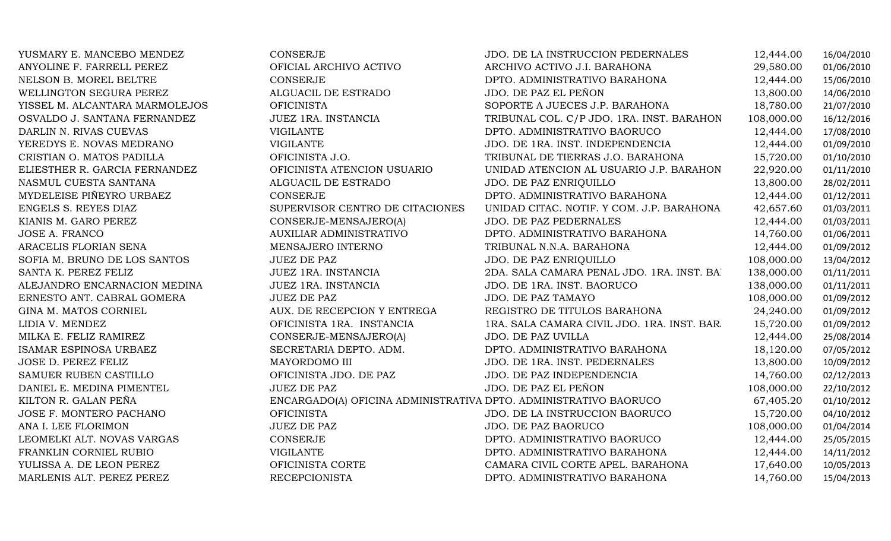| YUSMARY E. MANCEBO MENDEZ      | <b>CONSERJE</b>                                                  | JDO. DE LA INSTRUCCION PEDERNALES          | 12,444.00  | 16/04/2010 |
|--------------------------------|------------------------------------------------------------------|--------------------------------------------|------------|------------|
| ANYOLINE F. FARRELL PEREZ      | OFICIAL ARCHIVO ACTIVO                                           | ARCHIVO ACTIVO J.I. BARAHONA               | 29,580.00  | 01/06/2010 |
| NELSON B. MOREL BELTRE         | <b>CONSERJE</b>                                                  | DPTO. ADMINISTRATIVO BARAHONA              | 12,444.00  | 15/06/2010 |
| WELLINGTON SEGURA PEREZ        | ALGUACIL DE ESTRADO                                              | JDO. DE PAZ EL PEÑON                       | 13,800.00  | 14/06/2010 |
| YISSEL M. ALCANTARA MARMOLEJOS | <b>OFICINISTA</b>                                                | SOPORTE A JUECES J.P. BARAHONA             | 18,780.00  | 21/07/2010 |
| OSVALDO J. SANTANA FERNANDEZ   | JUEZ 1RA. INSTANCIA                                              | TRIBUNAL COL. C/P JDO. 1RA. INST. BARAHON  | 108,000.00 | 16/12/2016 |
| DARLIN N. RIVAS CUEVAS         | <b>VIGILANTE</b>                                                 | DPTO. ADMINISTRATIVO BAORUCO               | 12,444.00  | 17/08/2010 |
| YEREDYS E. NOVAS MEDRANO       | <b>VIGILANTE</b>                                                 | JDO. DE 1RA. INST. INDEPENDENCIA           | 12,444.00  | 01/09/2010 |
| CRISTIAN O. MATOS PADILLA      | OFICINISTA J.O.                                                  | TRIBUNAL DE TIERRAS J.O. BARAHONA          | 15,720.00  | 01/10/2010 |
| ELIESTHER R. GARCIA FERNANDEZ  | OFICINISTA ATENCION USUARIO                                      | UNIDAD ATENCION AL USUARIO J.P. BARAHON    | 22,920.00  | 01/11/2010 |
| NASMUL CUESTA SANTANA          | ALGUACIL DE ESTRADO                                              | JDO. DE PAZ ENRIQUILLO                     | 13,800.00  | 28/02/2011 |
| MYDELEISE PIÑEYRO URBAEZ       | CONSERJE                                                         | DPTO. ADMINISTRATIVO BARAHONA              | 12,444.00  | 01/12/2011 |
| ENGELS S. REYES DIAZ           | SUPERVISOR CENTRO DE CITACIONES                                  | UNIDAD CITAC. NOTIF. Y COM. J.P. BARAHONA  | 42,657.60  | 01/03/2011 |
| KIANIS M. GARO PEREZ           | CONSERJE-MENSAJERO(A)                                            | JDO. DE PAZ PEDERNALES                     | 12,444.00  | 01/03/2011 |
| <b>JOSE A. FRANCO</b>          | AUXILIAR ADMINISTRATIVO                                          | DPTO. ADMINISTRATIVO BARAHONA              | 14,760.00  | 01/06/2011 |
| ARACELIS FLORIAN SENA          | MENSAJERO INTERNO                                                | TRIBUNAL N.N.A. BARAHONA                   | 12,444.00  | 01/09/2012 |
| SOFIA M. BRUNO DE LOS SANTOS   | <b>JUEZ DE PAZ</b>                                               | JDO. DE PAZ ENRIQUILLO                     | 108,000.00 | 13/04/2012 |
| SANTA K. PEREZ FELIZ           | JUEZ 1RA. INSTANCIA                                              | 2DA. SALA CAMARA PENAL JDO. 1RA. INST. BA  | 138,000.00 | 01/11/2011 |
| ALEJANDRO ENCARNACION MEDINA   | JUEZ 1RA. INSTANCIA                                              | JDO. DE 1RA. INST. BAORUCO                 | 138,000.00 | 01/11/2011 |
| ERNESTO ANT. CABRAL GOMERA     | <b>JUEZ DE PAZ</b>                                               | <b>JDO. DE PAZ TAMAYO</b>                  | 108,000.00 | 01/09/2012 |
| GINA M. MATOS CORNIEL          | AUX. DE RECEPCION Y ENTREGA                                      | REGISTRO DE TITULOS BARAHONA               | 24,240.00  | 01/09/2012 |
| LIDIA V. MENDEZ                | OFICINISTA 1RA. INSTANCIA                                        | 1RA. SALA CAMARA CIVIL JDO. 1RA. INST. BAR | 15,720.00  | 01/09/2012 |
| MILKA E. FELIZ RAMIREZ         | CONSERJE-MENSAJERO(A)                                            | JDO. DE PAZ UVILLA                         | 12,444.00  | 25/08/2014 |
| ISAMAR ESPINOSA URBAEZ         | SECRETARIA DEPTO. ADM.                                           | DPTO. ADMINISTRATIVO BARAHONA              | 18,120.00  | 07/05/2012 |
| <b>JOSE D. PEREZ FELIZ</b>     | MAYORDOMO III                                                    | JDO. DE 1RA. INST. PEDERNALES              | 13,800.00  | 10/09/2012 |
| SAMUER RUBEN CASTILLO          | OFICINISTA JDO. DE PAZ                                           | JDO. DE PAZ INDEPENDENCIA                  | 14,760.00  | 02/12/2013 |
| DANIEL E. MEDINA PIMENTEL      | <b>JUEZ DE PAZ</b>                                               | JDO. DE PAZ EL PEÑON                       | 108,000.00 | 22/10/2012 |
| KILTON R. GALAN PEÑA           | ENCARGADO(A) OFICINA ADMINISTRATIVA DPTO. ADMINISTRATIVO BAORUCO |                                            | 67,405.20  | 01/10/2012 |
| JOSE F. MONTERO PACHANO        | <b>OFICINISTA</b>                                                | JDO. DE LA INSTRUCCION BAORUCO             | 15,720.00  | 04/10/2012 |
| ANA I. LEE FLORIMON            | <b>JUEZ DE PAZ</b>                                               | JDO. DE PAZ BAORUCO                        | 108,000.00 | 01/04/2014 |
| LEOMELKI ALT. NOVAS VARGAS     | CONSERJE                                                         | DPTO. ADMINISTRATIVO BAORUCO               | 12,444.00  | 25/05/2015 |
| FRANKLIN CORNIEL RUBIO         | <b>VIGILANTE</b>                                                 | DPTO. ADMINISTRATIVO BARAHONA              | 12,444.00  | 14/11/2012 |
| YULISSA A. DE LEON PEREZ       | OFICINISTA CORTE                                                 | CAMARA CIVIL CORTE APEL. BARAHONA          | 17,640.00  | 10/05/2013 |
| MARLENIS ALT. PEREZ PEREZ      | <b>RECEPCIONISTA</b>                                             | DPTO. ADMINISTRATIVO BARAHONA              | 14,760.00  | 15/04/2013 |
|                                |                                                                  |                                            |            |            |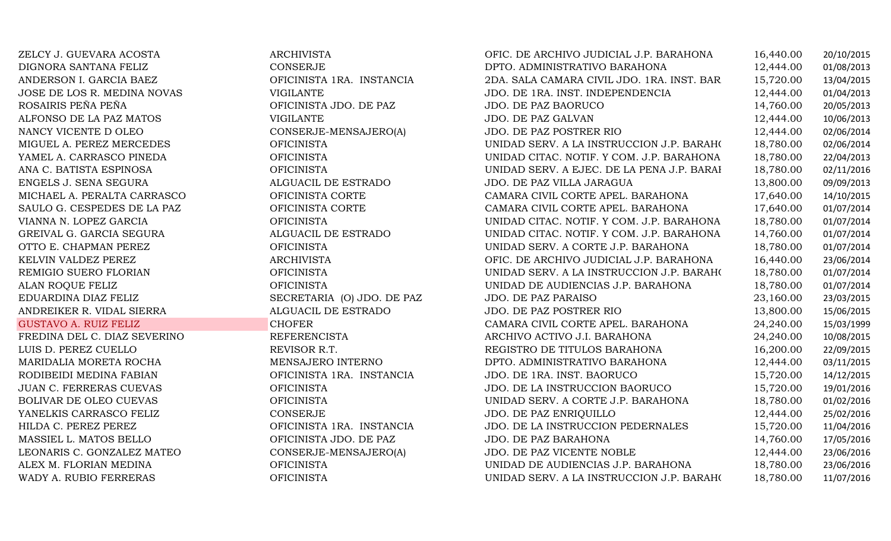| ZELCY J. GUEVARA ACOSTA      | <b>ARCHIVISTA</b>          | OFIC. DE ARCHIVO JUDICIAL J.P. BARAHONA    | 16,440.00 | 20/10/2015 |
|------------------------------|----------------------------|--------------------------------------------|-----------|------------|
| DIGNORA SANTANA FELIZ        | CONSERJE                   | DPTO. ADMINISTRATIVO BARAHONA              | 12,444.00 | 01/08/2013 |
| ANDERSON I. GARCIA BAEZ      | OFICINISTA 1RA. INSTANCIA  | 2DA. SALA CAMARA CIVIL JDO. 1RA. INST. BAR | 15,720.00 | 13/04/2015 |
| JOSE DE LOS R. MEDINA NOVAS  | <b>VIGILANTE</b>           | JDO. DE 1RA. INST. INDEPENDENCIA           | 12,444.00 | 01/04/2013 |
| ROSAIRIS PEÑA PEÑA           | OFICINISTA JDO. DE PAZ     | JDO. DE PAZ BAORUCO                        | 14,760.00 | 20/05/2013 |
| ALFONSO DE LA PAZ MATOS      | <b>VIGILANTE</b>           | JDO. DE PAZ GALVAN                         | 12,444.00 | 10/06/2013 |
| NANCY VICENTE D OLEO         | CONSERJE-MENSAJERO(A)      | JDO. DE PAZ POSTRER RIO                    | 12,444.00 | 02/06/2014 |
| MIGUEL A. PEREZ MERCEDES     | <b>OFICINISTA</b>          | UNIDAD SERV. A LA INSTRUCCION J.P. BARAHO  | 18,780.00 | 02/06/2014 |
| YAMEL A. CARRASCO PINEDA     | <b>OFICINISTA</b>          | UNIDAD CITAC. NOTIF. Y COM. J.P. BARAHONA  | 18,780.00 | 22/04/2013 |
| ANA C. BATISTA ESPINOSA      | <b>OFICINISTA</b>          | UNIDAD SERV. A EJEC. DE LA PENA J.P. BARAI | 18,780.00 | 02/11/2016 |
| ENGELS J. SENA SEGURA        | ALGUACIL DE ESTRADO        | JDO. DE PAZ VILLA JARAGUA                  | 13,800.00 | 09/09/2013 |
| MICHAEL A. PERALTA CARRASCO  | OFICINISTA CORTE           | CAMARA CIVIL CORTE APEL. BARAHONA          | 17,640.00 | 14/10/2015 |
| SAULO G. CESPEDES DE LA PAZ  | OFICINISTA CORTE           | CAMARA CIVIL CORTE APEL. BARAHONA          | 17,640.00 | 01/07/2014 |
| VIANNA N. LOPEZ GARCIA       | <b>OFICINISTA</b>          | UNIDAD CITAC. NOTIF. Y COM. J.P. BARAHONA  | 18,780.00 | 01/07/2014 |
| GREIVAL G. GARCIA SEGURA     | ALGUACIL DE ESTRADO        | UNIDAD CITAC. NOTIF. Y COM. J.P. BARAHONA  | 14,760.00 | 01/07/2014 |
| OTTO E. CHAPMAN PEREZ        | <b>OFICINISTA</b>          | UNIDAD SERV. A CORTE J.P. BARAHONA         | 18,780.00 | 01/07/2014 |
| KELVIN VALDEZ PEREZ          | <b>ARCHIVISTA</b>          | OFIC. DE ARCHIVO JUDICIAL J.P. BARAHONA    | 16,440.00 | 23/06/2014 |
| REMIGIO SUERO FLORIAN        | <b>OFICINISTA</b>          | UNIDAD SERV. A LA INSTRUCCION J.P. BARAHO  | 18,780.00 | 01/07/2014 |
| ALAN ROQUE FELIZ             | <b>OFICINISTA</b>          | UNIDAD DE AUDIENCIAS J.P. BARAHONA         | 18,780.00 | 01/07/2014 |
| EDUARDINA DIAZ FELIZ         | SECRETARIA (O) JDO. DE PAZ | JDO. DE PAZ PARAISO                        | 23,160.00 | 23/03/2015 |
| ANDREIKER R. VIDAL SIERRA    | ALGUACIL DE ESTRADO        | <b>JDO. DE PAZ POSTRER RIO</b>             | 13,800.00 | 15/06/2015 |
| <b>GUSTAVO A. RUIZ FELIZ</b> | <b>CHOFER</b>              | CAMARA CIVIL CORTE APEL. BARAHONA          | 24,240.00 | 15/03/1999 |
| FREDINA DEL C. DIAZ SEVERINO | REFERENCISTA               | ARCHIVO ACTIVO J.I. BARAHONA               | 24,240.00 | 10/08/2015 |
| LUIS D. PEREZ CUELLO         | REVISOR R.T.               | REGISTRO DE TITULOS BARAHONA               | 16,200.00 | 22/09/2015 |
| MARIDALIA MORETA ROCHA       | MENSAJERO INTERNO          | DPTO. ADMINISTRATIVO BARAHONA              | 12,444.00 | 03/11/2015 |
| RODIBEIDI MEDINA FABIAN      | OFICINISTA 1RA. INSTANCIA  | JDO. DE 1RA. INST. BAORUCO                 | 15,720.00 | 14/12/2015 |
| JUAN C. FERRERAS CUEVAS      | <b>OFICINISTA</b>          | JDO. DE LA INSTRUCCION BAORUCO             | 15,720.00 | 19/01/2016 |
| BOLIVAR DE OLEO CUEVAS       | <b>OFICINISTA</b>          | UNIDAD SERV. A CORTE J.P. BARAHONA         | 18,780.00 | 01/02/2016 |
| YANELKIS CARRASCO FELIZ      | <b>CONSERJE</b>            | JDO. DE PAZ ENRIQUILLO                     | 12,444.00 | 25/02/2016 |
| HILDA C. PEREZ PEREZ         | OFICINISTA 1RA. INSTANCIA  | JDO. DE LA INSTRUCCION PEDERNALES          | 15,720.00 | 11/04/2016 |
| MASSIEL L. MATOS BELLO       | OFICINISTA JDO. DE PAZ     | JDO. DE PAZ BARAHONA                       | 14,760.00 | 17/05/2016 |
| LEONARIS C. GONZALEZ MATEO   | CONSERJE-MENSAJERO(A)      | JDO. DE PAZ VICENTE NOBLE                  | 12,444.00 | 23/06/2016 |
| ALEX M. FLORIAN MEDINA       | <b>OFICINISTA</b>          | UNIDAD DE AUDIENCIAS J.P. BARAHONA         | 18,780.00 | 23/06/2016 |
| WADY A. RUBIO FERRERAS       | <b>OFICINISTA</b>          | UNIDAD SERV. A LA INSTRUCCION J.P. BARAHO  | 18,780.00 | 11/07/2016 |
|                              |                            |                                            |           |            |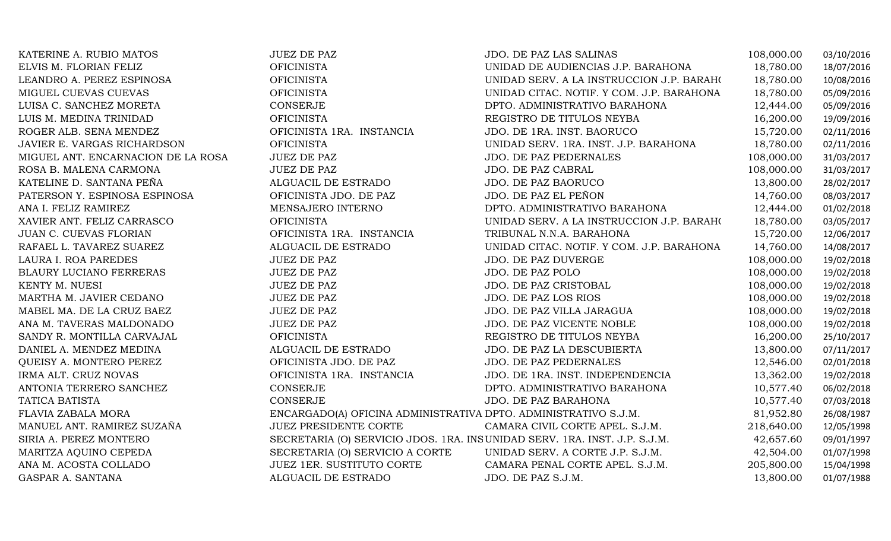| KATERINE A. RUBIO MATOS            | <b>JUEZ DE PAZ</b>                                                        | JDO. DE PAZ LAS SALINAS                   | 108,000.00 | 03/10/2016 |
|------------------------------------|---------------------------------------------------------------------------|-------------------------------------------|------------|------------|
| ELVIS M. FLORIAN FELIZ             | <b>OFICINISTA</b>                                                         | UNIDAD DE AUDIENCIAS J.P. BARAHONA        | 18,780.00  | 18/07/2016 |
| LEANDRO A. PEREZ ESPINOSA          | <b>OFICINISTA</b>                                                         | UNIDAD SERV. A LA INSTRUCCION J.P. BARAHO | 18,780.00  | 10/08/2016 |
| MIGUEL CUEVAS CUEVAS               | <b>OFICINISTA</b>                                                         | UNIDAD CITAC. NOTIF. Y COM. J.P. BARAHONA | 18,780.00  | 05/09/2016 |
| LUISA C. SANCHEZ MORETA            | CONSERJE                                                                  | DPTO. ADMINISTRATIVO BARAHONA             | 12,444.00  | 05/09/2016 |
| LUIS M. MEDINA TRINIDAD            | <b>OFICINISTA</b>                                                         | REGISTRO DE TITULOS NEYBA                 | 16,200.00  | 19/09/2016 |
| ROGER ALB. SENA MENDEZ             | OFICINISTA 1RA. INSTANCIA                                                 | JDO. DE 1RA. INST. BAORUCO                | 15,720.00  | 02/11/2016 |
| JAVIER E. VARGAS RICHARDSON        | <b>OFICINISTA</b>                                                         | UNIDAD SERV. 1RA. INST. J.P. BARAHONA     | 18,780.00  | 02/11/2016 |
| MIGUEL ANT. ENCARNACION DE LA ROSA | <b>JUEZ DE PAZ</b>                                                        | JDO. DE PAZ PEDERNALES                    | 108,000.00 | 31/03/2017 |
| ROSA B. MALENA CARMONA             | <b>JUEZ DE PAZ</b>                                                        | JDO. DE PAZ CABRAL                        | 108,000.00 | 31/03/2017 |
| KATELINE D. SANTANA PEÑA           | ALGUACIL DE ESTRADO                                                       | JDO. DE PAZ BAORUCO                       | 13,800.00  | 28/02/2017 |
| PATERSON Y. ESPINOSA ESPINOSA      | OFICINISTA JDO. DE PAZ                                                    | JDO. DE PAZ EL PEÑON                      | 14,760.00  | 08/03/2017 |
| ANA I. FELIZ RAMIREZ               | MENSAJERO INTERNO                                                         | DPTO. ADMINISTRATIVO BARAHONA             | 12,444.00  | 01/02/2018 |
| XAVIER ANT. FELIZ CARRASCO         | <b>OFICINISTA</b>                                                         | UNIDAD SERV. A LA INSTRUCCION J.P. BARAHO | 18,780.00  | 03/05/2017 |
| JUAN C. CUEVAS FLORIAN             | OFICINISTA 1RA. INSTANCIA                                                 | TRIBUNAL N.N.A. BARAHONA                  | 15,720.00  | 12/06/2017 |
| RAFAEL L. TAVAREZ SUAREZ           | ALGUACIL DE ESTRADO                                                       | UNIDAD CITAC. NOTIF. Y COM. J.P. BARAHONA | 14,760.00  | 14/08/2017 |
| LAURA I. ROA PAREDES               | <b>JUEZ DE PAZ</b>                                                        | JDO. DE PAZ DUVERGE                       | 108,000.00 | 19/02/2018 |
| BLAURY LUCIANO FERRERAS            | <b>JUEZ DE PAZ</b>                                                        | JDO. DE PAZ POLO                          | 108,000.00 | 19/02/2018 |
| KENTY M. NUESI                     | <b>JUEZ DE PAZ</b>                                                        | JDO. DE PAZ CRISTOBAL                     | 108,000.00 | 19/02/2018 |
| MARTHA M. JAVIER CEDANO            | <b>JUEZ DE PAZ</b>                                                        | JDO. DE PAZ LOS RIOS                      | 108,000.00 | 19/02/2018 |
| MABEL MA. DE LA CRUZ BAEZ          | <b>JUEZ DE PAZ</b>                                                        | JDO. DE PAZ VILLA JARAGUA                 | 108,000.00 | 19/02/2018 |
| ANA M. TAVERAS MALDONADO           | <b>JUEZ DE PAZ</b>                                                        | JDO. DE PAZ VICENTE NOBLE                 | 108,000.00 | 19/02/2018 |
| SANDY R. MONTILLA CARVAJAL         | <b>OFICINISTA</b>                                                         | REGISTRO DE TITULOS NEYBA                 | 16,200.00  | 25/10/2017 |
| DANIEL A. MENDEZ MEDINA            | ALGUACIL DE ESTRADO                                                       | JDO. DE PAZ LA DESCUBIERTA                | 13,800.00  | 07/11/2017 |
| QUEISY A. MONTERO PEREZ            | OFICINISTA JDO. DE PAZ                                                    | JDO. DE PAZ PEDERNALES                    | 12,546.00  | 02/01/2018 |
| IRMA ALT. CRUZ NOVAS               | OFICINISTA 1RA. INSTANCIA                                                 | JDO. DE 1RA. INST. INDEPENDENCIA          | 13,362.00  | 19/02/2018 |
| ANTONIA TERRERO SANCHEZ            | CONSERJE                                                                  | DPTO. ADMINISTRATIVO BARAHONA             | 10,577.40  | 06/02/2018 |
| TATICA BATISTA                     | CONSERJE                                                                  | JDO. DE PAZ BARAHONA                      | 10,577.40  | 07/03/2018 |
| FLAVIA ZABALA MORA                 | ENCARGADO(A) OFICINA ADMINISTRATIVA DPTO. ADMINISTRATIVO S.J.M.           |                                           | 81,952.80  | 26/08/1987 |
| MANUEL ANT. RAMIREZ SUZAÑA         | <b>JUEZ PRESIDENTE CORTE</b>                                              | CAMARA CIVIL CORTE APEL. S.J.M.           | 218,640.00 | 12/05/1998 |
| SIRIA A. PEREZ MONTERO             | SECRETARIA (O) SERVICIO JDOS. 1RA. INSUNIDAD SERV. 1RA. INST. J.P. S.J.M. |                                           | 42,657.60  | 09/01/1997 |
| MARITZA AQUINO CEPEDA              | SECRETARIA (O) SERVICIO A CORTE                                           | UNIDAD SERV. A CORTE J.P. S.J.M.          | 42,504.00  | 01/07/1998 |
| ANA M. ACOSTA COLLADO              | JUEZ 1ER. SUSTITUTO CORTE                                                 | CAMARA PENAL CORTE APEL. S.J.M.           | 205,800.00 | 15/04/1998 |
| GASPAR A. SANTANA                  | ALGUACIL DE ESTRADO                                                       | JDO. DE PAZ S.J.M.                        | 13,800.00  | 01/07/1988 |
|                                    |                                                                           |                                           |            |            |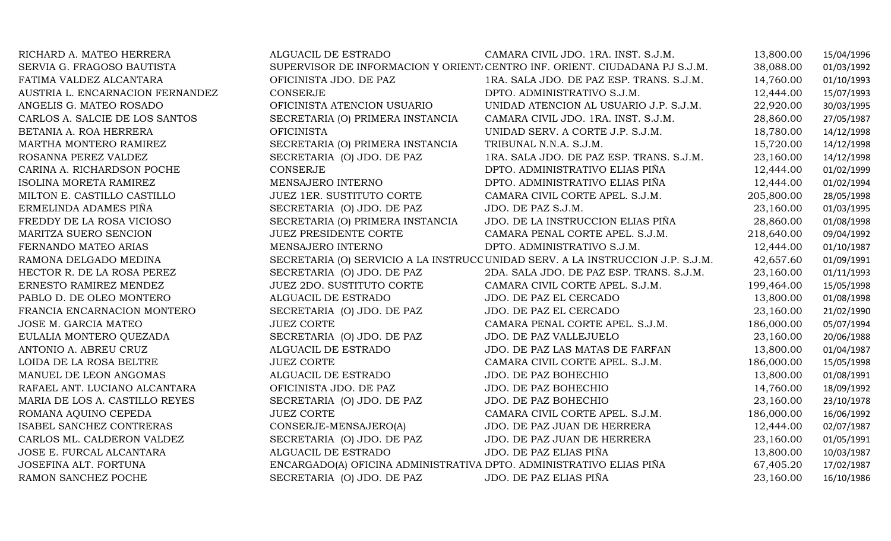| RICHARD A. MATEO HERRERA         | ALGUACIL DE ESTRADO                                                 | CAMARA CIVIL JDO. 1RA. INST. S.J.M.                                             | 13,800.00  | 15/04/1996 |
|----------------------------------|---------------------------------------------------------------------|---------------------------------------------------------------------------------|------------|------------|
| SERVIA G. FRAGOSO BAUTISTA       |                                                                     | SUPERVISOR DE INFORMACION Y ORIENT. CENTRO INF. ORIENT. CIUDADANA PJ S.J.M.     | 38,088.00  | 01/03/1992 |
| FATIMA VALDEZ ALCANTARA          | OFICINISTA JDO. DE PAZ                                              | 1RA. SALA JDO. DE PAZ ESP. TRANS. S.J.M.                                        | 14,760.00  | 01/10/1993 |
| AUSTRIA L. ENCARNACION FERNANDEZ | <b>CONSERJE</b>                                                     | DPTO. ADMINISTRATIVO S.J.M.                                                     | 12,444.00  | 15/07/1993 |
| ANGELIS G. MATEO ROSADO          | OFICINISTA ATENCION USUARIO                                         | UNIDAD ATENCION AL USUARIO J.P. S.J.M.                                          | 22,920.00  | 30/03/1995 |
| CARLOS A. SALCIE DE LOS SANTOS   | SECRETARIA (O) PRIMERA INSTANCIA                                    | CAMARA CIVIL JDO. 1RA. INST. S.J.M.                                             | 28,860.00  | 27/05/1987 |
| BETANIA A. ROA HERRERA           | <b>OFICINISTA</b>                                                   | UNIDAD SERV. A CORTE J.P. S.J.M.                                                | 18,780.00  | 14/12/1998 |
| MARTHA MONTERO RAMIREZ           | SECRETARIA (O) PRIMERA INSTANCIA                                    | TRIBUNAL N.N.A. S.J.M.                                                          | 15,720.00  | 14/12/1998 |
| ROSANNA PEREZ VALDEZ             | SECRETARIA (O) JDO. DE PAZ                                          | 1RA. SALA JDO. DE PAZ ESP. TRANS. S.J.M.                                        | 23,160.00  | 14/12/1998 |
| CARINA A. RICHARDSON POCHE       | <b>CONSERJE</b>                                                     | DPTO. ADMINISTRATIVO ELIAS PIÑA                                                 | 12,444.00  | 01/02/1999 |
| ISOLINA MORETA RAMIREZ           | MENSAJERO INTERNO                                                   | DPTO. ADMINISTRATIVO ELIAS PIÑA                                                 | 12,444.00  | 01/02/1994 |
| MILTON E. CASTILLO CASTILLO      | <b>JUEZ 1ER. SUSTITUTO CORTE</b>                                    | CAMARA CIVIL CORTE APEL. S.J.M.                                                 | 205,800.00 | 28/05/1998 |
| ERMELINDA ADAMES PIÑA            | SECRETARIA (O) JDO. DE PAZ                                          | JDO. DE PAZ S.J.M.                                                              | 23,160.00  | 01/03/1995 |
| FREDDY DE LA ROSA VICIOSO        | SECRETARIA (O) PRIMERA INSTANCIA                                    | JDO. DE LA INSTRUCCION ELIAS PIÑA                                               | 28,860.00  | 01/08/1998 |
| MARITZA SUERO SENCION            | <b>JUEZ PRESIDENTE CORTE</b>                                        | CAMARA PENAL CORTE APEL. S.J.M.                                                 | 218,640.00 | 09/04/1992 |
| FERNANDO MATEO ARIAS             | MENSAJERO INTERNO                                                   | DPTO. ADMINISTRATIVO S.J.M.                                                     | 12,444.00  | 01/10/1987 |
| RAMONA DELGADO MEDINA            |                                                                     | SECRETARIA (O) SERVICIO A LA INSTRUCC UNIDAD SERV. A LA INSTRUCCION J.P. S.J.M. | 42,657.60  | 01/09/1991 |
| HECTOR R. DE LA ROSA PEREZ       | SECRETARIA (O) JDO. DE PAZ                                          | 2DA. SALA JDO. DE PAZ ESP. TRANS. S.J.M.                                        | 23,160.00  | 01/11/1993 |
| ERNESTO RAMIREZ MENDEZ           | <b>JUEZ 2DO. SUSTITUTO CORTE</b>                                    | CAMARA CIVIL CORTE APEL. S.J.M.                                                 | 199,464.00 | 15/05/1998 |
| PABLO D. DE OLEO MONTERO         | ALGUACIL DE ESTRADO                                                 | JDO. DE PAZ EL CERCADO                                                          | 13,800.00  | 01/08/1998 |
| FRANCIA ENCARNACION MONTERO      | SECRETARIA (O) JDO. DE PAZ                                          | JDO. DE PAZ EL CERCADO                                                          | 23,160.00  | 21/02/1990 |
| JOSE M. GARCIA MATEO             | <b>JUEZ CORTE</b>                                                   | CAMARA PENAL CORTE APEL. S.J.M.                                                 | 186,000.00 | 05/07/1994 |
| EULALIA MONTERO QUEZADA          | SECRETARIA (O) JDO. DE PAZ                                          | JDO. DE PAZ VALLEJUELO                                                          | 23,160.00  | 20/06/1988 |
| ANTONIO A. ABREU CRUZ            | ALGUACIL DE ESTRADO                                                 | JDO. DE PAZ LAS MATAS DE FARFAN                                                 | 13,800.00  | 01/04/1987 |
| LOIDA DE LA ROSA BELTRE          | <b>JUEZ CORTE</b>                                                   | CAMARA CIVIL CORTE APEL. S.J.M.                                                 | 186,000.00 | 15/05/1998 |
| MANUEL DE LEON ANGOMAS           | ALGUACIL DE ESTRADO                                                 | JDO. DE PAZ BOHECHIO                                                            | 13,800.00  | 01/08/1991 |
| RAFAEL ANT. LUCIANO ALCANTARA    | OFICINISTA JDO. DE PAZ                                              | JDO. DE PAZ BOHECHIO                                                            | 14,760.00  | 18/09/1992 |
| MARIA DE LOS A. CASTILLO REYES   | SECRETARIA (O) JDO. DE PAZ                                          | JDO. DE PAZ BOHECHIO                                                            | 23,160.00  | 23/10/1978 |
| ROMANA AQUINO CEPEDA             | <b>JUEZ CORTE</b>                                                   | CAMARA CIVIL CORTE APEL. S.J.M.                                                 | 186,000.00 | 16/06/1992 |
| ISABEL SANCHEZ CONTRERAS         | CONSERJE-MENSAJERO(A)                                               | JDO. DE PAZ JUAN DE HERRERA                                                     | 12,444.00  | 02/07/1987 |
| CARLOS ML. CALDERON VALDEZ       | SECRETARIA (O) JDO. DE PAZ                                          | JDO. DE PAZ JUAN DE HERRERA                                                     | 23,160.00  | 01/05/1991 |
| JOSE E. FURCAL ALCANTARA         | ALGUACIL DE ESTRADO                                                 | JDO. DE PAZ ELIAS PIÑA                                                          | 13,800.00  | 10/03/1987 |
| JOSEFINA ALT. FORTUNA            | ENCARGADO(A) OFICINA ADMINISTRATIVA DPTO. ADMINISTRATIVO ELIAS PIÑA |                                                                                 | 67,405.20  | 17/02/1987 |
| RAMON SANCHEZ POCHE              | SECRETARIA (O) JDO. DE PAZ                                          | JDO. DE PAZ ELIAS PIÑA                                                          | 23,160.00  | 16/10/1986 |
|                                  |                                                                     |                                                                                 |            |            |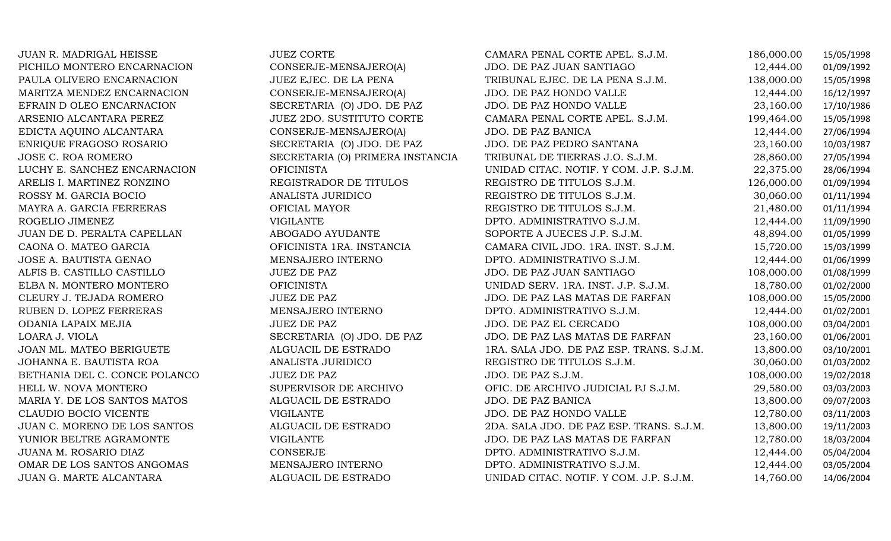| JUAN R. MADRIGAL HEISSE       | <b>JUEZ CORTE</b>                | CAMARA PENAL CORTE APEL. S.J.M.          | 186,000.00 | 15/05/1998 |
|-------------------------------|----------------------------------|------------------------------------------|------------|------------|
| PICHILO MONTERO ENCARNACION   | CONSERJE-MENSAJERO(A)            | JDO. DE PAZ JUAN SANTIAGO                | 12,444.00  | 01/09/1992 |
| PAULA OLIVERO ENCARNACION     | JUEZ EJEC. DE LA PENA            | TRIBUNAL EJEC. DE LA PENA S.J.M.         | 138,000.00 | 15/05/1998 |
| MARITZA MENDEZ ENCARNACION    | CONSERJE-MENSAJERO(A)            | JDO. DE PAZ HONDO VALLE                  | 12,444.00  | 16/12/1997 |
| EFRAIN D OLEO ENCARNACION     | SECRETARIA (O) JDO. DE PAZ       | JDO. DE PAZ HONDO VALLE                  | 23,160.00  | 17/10/1986 |
| ARSENIO ALCANTARA PEREZ       | JUEZ 2DO. SUSTITUTO CORTE        | CAMARA PENAL CORTE APEL. S.J.M.          | 199,464.00 | 15/05/1998 |
| EDICTA AQUINO ALCANTARA       | CONSERJE-MENSAJERO(A)            | JDO. DE PAZ BANICA                       | 12,444.00  | 27/06/1994 |
| ENRIQUE FRAGOSO ROSARIO       | SECRETARIA (O) JDO. DE PAZ       | JDO. DE PAZ PEDRO SANTANA                | 23,160.00  | 10/03/1987 |
| JOSE C. ROA ROMERO            | SECRETARIA (O) PRIMERA INSTANCIA | TRIBUNAL DE TIERRAS J.O. S.J.M.          | 28,860.00  | 27/05/1994 |
| LUCHY E. SANCHEZ ENCARNACION  | <b>OFICINISTA</b>                | UNIDAD CITAC. NOTIF. Y COM. J.P. S.J.M.  | 22,375.00  | 28/06/1994 |
| ARELIS I. MARTINEZ RONZINO    | REGISTRADOR DE TITULOS           | REGISTRO DE TITULOS S.J.M.               | 126,000.00 | 01/09/1994 |
| ROSSY M. GARCIA BOCIO         | ANALISTA JURIDICO                | REGISTRO DE TITULOS S.J.M.               | 30,060.00  | 01/11/1994 |
| MAYRA A. GARCIA FERRERAS      | OFICIAL MAYOR                    | REGISTRO DE TITULOS S.J.M.               | 21,480.00  | 01/11/1994 |
| ROGELIO JIMENEZ               | VIGILANTE                        | DPTO. ADMINISTRATIVO S.J.M.              | 12,444.00  | 11/09/1990 |
| JUAN DE D. PERALTA CAPELLAN   | ABOGADO AYUDANTE                 | SOPORTE A JUECES J.P. S.J.M.             | 48,894.00  | 01/05/1999 |
| CAONA O. MATEO GARCIA         | OFICINISTA 1RA. INSTANCIA        | CAMARA CIVIL JDO. 1RA. INST. S.J.M.      | 15,720.00  | 15/03/1999 |
| JOSE A. BAUTISTA GENAO        | MENSAJERO INTERNO                | DPTO. ADMINISTRATIVO S.J.M.              | 12,444.00  | 01/06/1999 |
| ALFIS B. CASTILLO CASTILLO    | <b>JUEZ DE PAZ</b>               | JDO. DE PAZ JUAN SANTIAGO                | 108,000.00 | 01/08/1999 |
| ELBA N. MONTERO MONTERO       | <b>OFICINISTA</b>                | UNIDAD SERV. 1RA. INST. J.P. S.J.M.      | 18,780.00  | 01/02/2000 |
| CLEURY J. TEJADA ROMERO       | <b>JUEZ DE PAZ</b>               | JDO. DE PAZ LAS MATAS DE FARFAN          | 108,000.00 | 15/05/2000 |
| RUBEN D. LOPEZ FERRERAS       | MENSAJERO INTERNO                | DPTO. ADMINISTRATIVO S.J.M.              | 12,444.00  | 01/02/2001 |
| ODANIA LAPAIX MEJIA           | <b>JUEZ DE PAZ</b>               | JDO. DE PAZ EL CERCADO                   | 108,000.00 | 03/04/2001 |
| LOARA J. VIOLA                | SECRETARIA (O) JDO. DE PAZ       | JDO. DE PAZ LAS MATAS DE FARFAN          | 23,160.00  | 01/06/2001 |
| JOAN ML. MATEO BERIGUETE      | ALGUACIL DE ESTRADO              | 1RA. SALA JDO. DE PAZ ESP. TRANS. S.J.M. | 13,800.00  | 03/10/2001 |
| JOHANNA E. BAUTISTA ROA       | ANALISTA JURIDICO                | REGISTRO DE TITULOS S.J.M.               | 30,060.00  | 01/03/2002 |
| BETHANIA DEL C. CONCE POLANCO | <b>JUEZ DE PAZ</b>               | JDO. DE PAZ S.J.M.                       | 108,000.00 | 19/02/2018 |
| HELL W. NOVA MONTERO          | SUPERVISOR DE ARCHIVO            | OFIC. DE ARCHIVO JUDICIAL PJ S.J.M.      | 29,580.00  | 03/03/2003 |
| MARIA Y. DE LOS SANTOS MATOS  | ALGUACIL DE ESTRADO              | JDO. DE PAZ BANICA                       | 13,800.00  | 09/07/2003 |
| CLAUDIO BOCIO VICENTE         | <b>VIGILANTE</b>                 | JDO. DE PAZ HONDO VALLE                  | 12,780.00  | 03/11/2003 |
| JUAN C. MORENO DE LOS SANTOS  | ALGUACIL DE ESTRADO              | 2DA. SALA JDO. DE PAZ ESP. TRANS. S.J.M. | 13,800.00  | 19/11/2003 |
| YUNIOR BELTRE AGRAMONTE       | <b>VIGILANTE</b>                 | JDO. DE PAZ LAS MATAS DE FARFAN          | 12,780.00  | 18/03/2004 |
| JUANA M. ROSARIO DIAZ         | CONSERJE                         | DPTO. ADMINISTRATIVO S.J.M.              | 12,444.00  | 05/04/2004 |
| OMAR DE LOS SANTOS ANGOMAS    | MENSAJERO INTERNO                | DPTO. ADMINISTRATIVO S.J.M.              | 12,444.00  | 03/05/2004 |
| JUAN G. MARTE ALCANTARA       | ALGUACIL DE ESTRADO              | UNIDAD CITAC. NOTIF. Y COM. J.P. S.J.M.  | 14,760.00  | 14/06/2004 |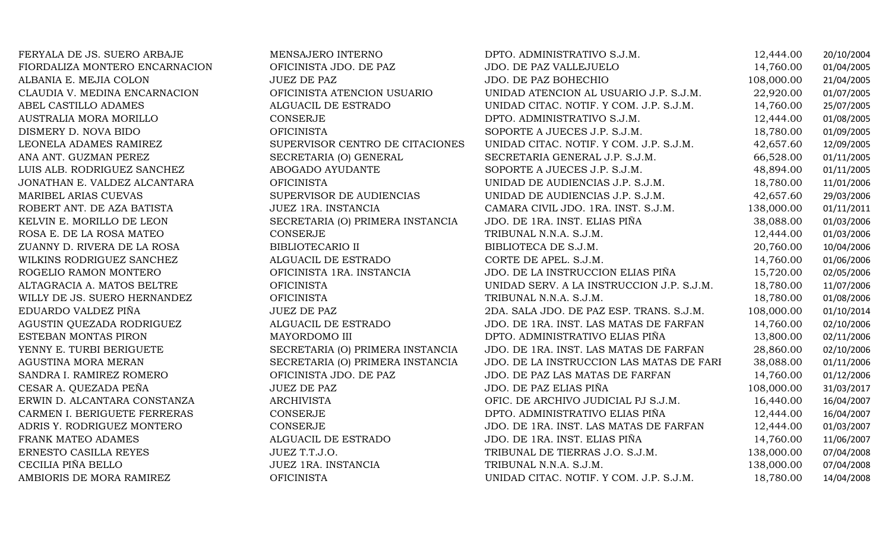| FERYALA DE JS. SUERO ARBAJE    | MENSAJERO INTERNO                | DPTO. ADMINISTRATIVO S.J.M.               | 12,444.00  | 20/10/2004 |
|--------------------------------|----------------------------------|-------------------------------------------|------------|------------|
| FIORDALIZA MONTERO ENCARNACION | OFICINISTA JDO. DE PAZ           | JDO. DE PAZ VALLEJUELO                    | 14,760.00  | 01/04/2005 |
| ALBANIA E. MEJIA COLON         | <b>JUEZ DE PAZ</b>               | JDO. DE PAZ BOHECHIO                      | 108,000.00 | 21/04/2005 |
| CLAUDIA V. MEDINA ENCARNACION  | OFICINISTA ATENCION USUARIO      | UNIDAD ATENCION AL USUARIO J.P. S.J.M.    | 22,920.00  | 01/07/2005 |
| ABEL CASTILLO ADAMES           | ALGUACIL DE ESTRADO              | UNIDAD CITAC. NOTIF. Y COM. J.P. S.J.M.   | 14,760.00  | 25/07/2005 |
| AUSTRALIA MORA MORILLO         | <b>CONSERJE</b>                  | DPTO. ADMINISTRATIVO S.J.M.               | 12,444.00  | 01/08/2005 |
| DISMERY D. NOVA BIDO           | <b>OFICINISTA</b>                | SOPORTE A JUECES J.P. S.J.M.              | 18,780.00  | 01/09/2005 |
| LEONELA ADAMES RAMIREZ         | SUPERVISOR CENTRO DE CITACIONES  | UNIDAD CITAC. NOTIF. Y COM. J.P. S.J.M.   | 42,657.60  | 12/09/2005 |
| ANA ANT. GUZMAN PEREZ          | SECRETARIA (O) GENERAL           | SECRETARIA GENERAL J.P. S.J.M.            | 66,528.00  | 01/11/2005 |
| LUIS ALB. RODRIGUEZ SANCHEZ    | ABOGADO AYUDANTE                 | SOPORTE A JUECES J.P. S.J.M.              | 48,894.00  | 01/11/2005 |
| JONATHAN E. VALDEZ ALCANTARA   | <b>OFICINISTA</b>                | UNIDAD DE AUDIENCIAS J.P. S.J.M.          | 18,780.00  | 11/01/2006 |
| MARIBEL ARIAS CUEVAS           | SUPERVISOR DE AUDIENCIAS         | UNIDAD DE AUDIENCIAS J.P. S.J.M.          | 42,657.60  | 29/03/2006 |
| ROBERT ANT. DE AZA BATISTA     | JUEZ 1RA. INSTANCIA              | CAMARA CIVIL JDO. 1RA. INST. S.J.M.       | 138,000.00 | 01/11/2011 |
| KELVIN E. MORILLO DE LEON      | SECRETARIA (O) PRIMERA INSTANCIA | JDO. DE 1RA. INST. ELIAS PIÑA             | 38,088.00  | 01/03/2006 |
| ROSA E. DE LA ROSA MATEO       | <b>CONSERJE</b>                  | TRIBUNAL N.N.A. S.J.M.                    | 12,444.00  | 01/03/2006 |
| ZUANNY D. RIVERA DE LA ROSA    | <b>BIBLIOTECARIO II</b>          | BIBLIOTECA DE S.J.M.                      | 20,760.00  | 10/04/2006 |
| WILKINS RODRIGUEZ SANCHEZ      | ALGUACIL DE ESTRADO              | CORTE DE APEL. S.J.M.                     | 14,760.00  | 01/06/2006 |
| ROGELIO RAMON MONTERO          | OFICINISTA 1RA. INSTANCIA        | JDO. DE LA INSTRUCCION ELIAS PIÑA         | 15,720.00  | 02/05/2006 |
| ALTAGRACIA A. MATOS BELTRE     | <b>OFICINISTA</b>                | UNIDAD SERV. A LA INSTRUCCION J.P. S.J.M. | 18,780.00  | 11/07/2006 |
| WILLY DE JS. SUERO HERNANDEZ   | <b>OFICINISTA</b>                | TRIBUNAL N.N.A. S.J.M.                    | 18,780.00  | 01/08/2006 |
| EDUARDO VALDEZ PIÑA            | <b>JUEZ DE PAZ</b>               | 2DA. SALA JDO. DE PAZ ESP. TRANS. S.J.M.  | 108,000.00 | 01/10/2014 |
| AGUSTIN QUEZADA RODRIGUEZ      | ALGUACIL DE ESTRADO              | JDO. DE 1RA. INST. LAS MATAS DE FARFAN    | 14,760.00  | 02/10/2006 |
| ESTEBAN MONTAS PIRON           | MAYORDOMO III                    | DPTO. ADMINISTRATIVO ELIAS PIÑA           | 13,800.00  | 02/11/2006 |
| YENNY E. TURBI BERIGUETE       | SECRETARIA (O) PRIMERA INSTANCIA | JDO. DE 1RA. INST. LAS MATAS DE FARFAN    | 28,860.00  | 02/10/2006 |
| AGUSTINA MORA MERAN            | SECRETARIA (O) PRIMERA INSTANCIA | JDO. DE LA INSTRUCCION LAS MATAS DE FARI  | 38,088.00  | 01/11/2006 |
| SANDRA I. RAMIREZ ROMERO       | OFICINISTA JDO. DE PAZ           | JDO. DE PAZ LAS MATAS DE FARFAN           | 14,760.00  | 01/12/2006 |
| CESAR A. QUEZADA PEÑA          | <b>JUEZ DE PAZ</b>               | JDO. DE PAZ ELIAS PIÑA                    | 108,000.00 | 31/03/2017 |
| ERWIN D. ALCANTARA CONSTANZA   | <b>ARCHIVISTA</b>                | OFIC. DE ARCHIVO JUDICIAL PJ S.J.M.       | 16,440.00  | 16/04/2007 |
| CARMEN I. BERIGUETE FERRERAS   | CONSERJE                         | DPTO. ADMINISTRATIVO ELIAS PIÑA           | 12,444.00  | 16/04/2007 |
| ADRIS Y. RODRIGUEZ MONTERO     | <b>CONSERJE</b>                  | JDO. DE 1RA. INST. LAS MATAS DE FARFAN    | 12,444.00  | 01/03/2007 |
| FRANK MATEO ADAMES             | ALGUACIL DE ESTRADO              | JDO. DE 1RA. INST. ELIAS PIÑA             | 14,760.00  | 11/06/2007 |
| ERNESTO CASILLA REYES          | JUEZ T.T.J.O.                    | TRIBUNAL DE TIERRAS J.O. S.J.M.           | 138,000.00 | 07/04/2008 |
| CECILIA PIÑA BELLO             | JUEZ 1RA. INSTANCIA              | TRIBUNAL N.N.A. S.J.M.                    | 138,000.00 | 07/04/2008 |
| AMBIORIS DE MORA RAMIREZ       | <b>OFICINISTA</b>                | UNIDAD CITAC. NOTIF. Y COM. J.P. S.J.M.   | 18,780.00  | 14/04/2008 |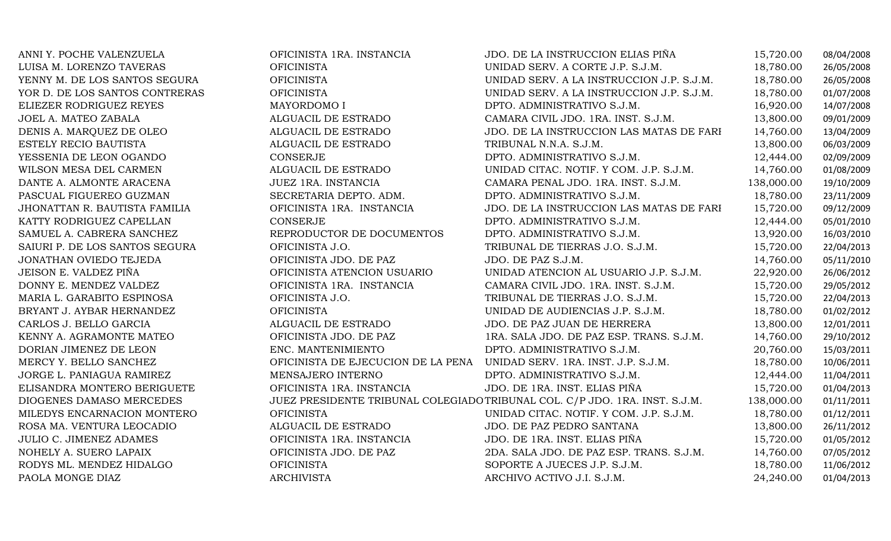| ANNI Y. POCHE VALENZUELA       | OFICINISTA 1RA. INSTANCIA          | JDO. DE LA INSTRUCCION ELIAS PIÑA                                           | 15,720.00  | 08/04/2008 |
|--------------------------------|------------------------------------|-----------------------------------------------------------------------------|------------|------------|
| LUISA M. LORENZO TAVERAS       | <b>OFICINISTA</b>                  | UNIDAD SERV. A CORTE J.P. S.J.M.                                            | 18,780.00  | 26/05/2008 |
| YENNY M. DE LOS SANTOS SEGURA  | <b>OFICINISTA</b>                  | UNIDAD SERV. A LA INSTRUCCION J.P. S.J.M.                                   | 18,780.00  | 26/05/2008 |
| YOR D. DE LOS SANTOS CONTRERAS | <b>OFICINISTA</b>                  | UNIDAD SERV. A LA INSTRUCCION J.P. S.J.M.                                   | 18,780.00  | 01/07/2008 |
| ELIEZER RODRIGUEZ REYES        | MAYORDOMO I                        | DPTO. ADMINISTRATIVO S.J.M.                                                 | 16,920.00  | 14/07/2008 |
| JOEL A. MATEO ZABALA           | ALGUACIL DE ESTRADO                | CAMARA CIVIL JDO. 1RA. INST. S.J.M.                                         | 13,800.00  | 09/01/2009 |
| DENIS A. MARQUEZ DE OLEO       | ALGUACIL DE ESTRADO                | JDO. DE LA INSTRUCCION LAS MATAS DE FARI                                    | 14,760.00  | 13/04/2009 |
| ESTELY RECIO BAUTISTA          | ALGUACIL DE ESTRADO                | TRIBUNAL N.N.A. S.J.M.                                                      | 13,800.00  | 06/03/2009 |
| YESSENIA DE LEON OGANDO        | CONSERJE                           | DPTO. ADMINISTRATIVO S.J.M.                                                 | 12,444.00  | 02/09/2009 |
| WILSON MESA DEL CARMEN         | ALGUACIL DE ESTRADO                | UNIDAD CITAC. NOTIF. Y COM. J.P. S.J.M.                                     | 14,760.00  | 01/08/2009 |
| DANTE A. ALMONTE ARACENA       | JUEZ 1RA. INSTANCIA                | CAMARA PENAL JDO. 1RA. INST. S.J.M.                                         | 138,000.00 | 19/10/2009 |
| PASCUAL FIGUEREO GUZMAN        | SECRETARIA DEPTO. ADM.             | DPTO. ADMINISTRATIVO S.J.M.                                                 | 18,780.00  | 23/11/2009 |
| JHONATTAN R. BAUTISTA FAMILIA  | OFICINISTA 1RA. INSTANCIA          | JDO. DE LA INSTRUCCION LAS MATAS DE FARI                                    | 15,720.00  | 09/12/2009 |
| KATTY RODRIGUEZ CAPELLAN       | CONSERJE                           | DPTO. ADMINISTRATIVO S.J.M.                                                 | 12,444.00  | 05/01/2010 |
| SAMUEL A. CABRERA SANCHEZ      | REPRODUCTOR DE DOCUMENTOS          | DPTO. ADMINISTRATIVO S.J.M.                                                 | 13,920.00  | 16/03/2010 |
| SAIURI P. DE LOS SANTOS SEGURA | OFICINISTA J.O.                    | TRIBUNAL DE TIERRAS J.O. S.J.M.                                             | 15,720.00  | 22/04/2013 |
| JONATHAN OVIEDO TEJEDA         | OFICINISTA JDO. DE PAZ             | JDO. DE PAZ S.J.M.                                                          | 14,760.00  | 05/11/2010 |
| JEISON E. VALDEZ PIÑA          | OFICINISTA ATENCION USUARIO        | UNIDAD ATENCION AL USUARIO J.P. S.J.M.                                      | 22,920.00  | 26/06/2012 |
| DONNY E. MENDEZ VALDEZ         | OFICINISTA 1RA. INSTANCIA          | CAMARA CIVIL JDO. 1RA. INST. S.J.M.                                         | 15,720.00  | 29/05/2012 |
| MARIA L. GARABITO ESPINOSA     | OFICINISTA J.O.                    | TRIBUNAL DE TIERRAS J.O. S.J.M.                                             | 15,720.00  | 22/04/2013 |
| BRYANT J. AYBAR HERNANDEZ      | <b>OFICINISTA</b>                  | UNIDAD DE AUDIENCIAS J.P. S.J.M.                                            | 18,780.00  | 01/02/2012 |
| CARLOS J. BELLO GARCIA         | ALGUACIL DE ESTRADO                | JDO. DE PAZ JUAN DE HERRERA                                                 | 13,800.00  | 12/01/2011 |
| KENNY A. AGRAMONTE MATEO       | OFICINISTA JDO. DE PAZ             | 1RA. SALA JDO. DE PAZ ESP. TRANS. S.J.M.                                    | 14,760.00  | 29/10/2012 |
| DORIAN JIMENEZ DE LEON         | ENC. MANTENIMIENTO                 | DPTO. ADMINISTRATIVO S.J.M.                                                 | 20,760.00  | 15/03/2011 |
| MERCY Y. BELLO SANCHEZ         | OFICINISTA DE EJECUCION DE LA PENA | UNIDAD SERV. 1RA. INST. J.P. S.J.M.                                         | 18,780.00  | 10/06/2011 |
| JORGE L. PANIAGUA RAMIREZ      | MENSAJERO INTERNO                  | DPTO. ADMINISTRATIVO S.J.M.                                                 | 12,444.00  | 11/04/2011 |
| ELISANDRA MONTERO BERIGUETE    | OFICINISTA 1RA. INSTANCIA          | JDO. DE 1RA. INST. ELIAS PIÑA                                               | 15,720.00  | 01/04/2013 |
| DIOGENES DAMASO MERCEDES       |                                    | JUEZ PRESIDENTE TRIBUNAL COLEGIADO TRIBUNAL COL. C/P JDO. 1RA. INST. S.J.M. | 138,000.00 | 01/11/2011 |
| MILEDYS ENCARNACION MONTERO    | <b>OFICINISTA</b>                  | UNIDAD CITAC. NOTIF. Y COM. J.P. S.J.M.                                     | 18,780.00  | 01/12/2011 |
| ROSA MA. VENTURA LEOCADIO      | ALGUACIL DE ESTRADO                | JDO. DE PAZ PEDRO SANTANA                                                   | 13,800.00  | 26/11/2012 |
| <b>JULIO C. JIMENEZ ADAMES</b> | OFICINISTA 1RA. INSTANCIA          | JDO. DE 1RA. INST. ELIAS PIÑA                                               | 15,720.00  | 01/05/2012 |
| NOHELY A. SUERO LAPAIX         | OFICINISTA JDO. DE PAZ             | 2DA. SALA JDO. DE PAZ ESP. TRANS. S.J.M.                                    | 14,760.00  | 07/05/2012 |
| RODYS ML. MENDEZ HIDALGO       | <b>OFICINISTA</b>                  | SOPORTE A JUECES J.P. S.J.M.                                                | 18,780.00  | 11/06/2012 |
| PAOLA MONGE DIAZ               | <b>ARCHIVISTA</b>                  | ARCHIVO ACTIVO J.I. S.J.M.                                                  | 24,240.00  | 01/04/2013 |
|                                |                                    |                                                                             |            |            |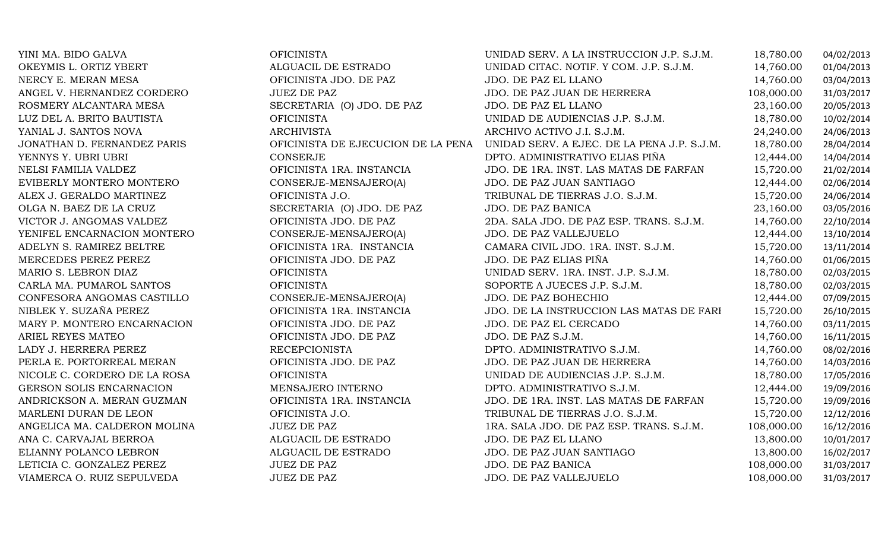MARY P. MONTERO ENCARNACION ARIEL REYES MATEO ANGELICA MA. CALDERON MOLINA ANA C. CARVAJAL BERROA

| <b>OFICINISTA</b>                  |
|------------------------------------|
| <b>ALGUACIL DE ESTRADO</b>         |
| OFICINISTA JDO. DE PAZ             |
| <b>JUEZ DE PAZ</b>                 |
| SECRETARIA (O) JDO. DE PAZ         |
| <b>OFICINISTA</b>                  |
| <b>ARCHIVISTA</b>                  |
| OFICINISTA DE EJECUCION DE LA PENA |
| <b>CONSERJE</b>                    |
| OFICINISTA 1RA. INSTANCIA          |
| CONSERJE-MENSAJERO(A)              |
| OFICINISTA J.O.                    |
| SECRETARIA (O) JDO. DE PAZ         |
| OFICINISTA JDO. DE PAZ             |
| CONSERJE-MENSAJERO(A)              |
| OFICINISTA 1RA. INSTANCIA          |
| OFICINISTA JDO. DE PAZ             |
| <b>OFICINISTA</b>                  |
| <b>OFICINISTA</b>                  |
| CONSERJE-MENSAJERO(A)              |
| OFICINISTA 1RA. INSTANCIA          |
| OFICINISTA JDO. DE PAZ             |
| OFICINISTA JDO. DE PAZ             |
| <b>RECEPCIONISTA</b>               |
| OFICINISTA JDO. DE PAZ             |
| <b>OFICINISTA</b>                  |
| MENSAJERO INTERNO                  |
| OFICINISTA 1RA. INSTANCIA          |
| OFICINISTA J.O.                    |
| <b>JUEZ DE PAZ</b>                 |
| <b>ALGUACIL DE ESTRADO</b>         |
| ALGUACIL DE ESTRADO                |
| <b>JUEZ DE PAZ</b>                 |
| <b>JUEZ DE PAZ</b>                 |

| YINI MA. BIDO GALVA          | <b>OFICINISTA</b>                  | UNIDAD SERV. A LA INSTRUCCION J.P. S.J.M.   | 18,780.00  | 04/02/2013 |
|------------------------------|------------------------------------|---------------------------------------------|------------|------------|
| OKEYMIS L. ORTIZ YBERT       | ALGUACIL DE ESTRADO                | UNIDAD CITAC. NOTIF. Y COM. J.P. S.J.M.     | 14,760.00  | 01/04/2013 |
| NERCY E. MERAN MESA          | OFICINISTA JDO. DE PAZ             | JDO. DE PAZ EL LLANO                        | 14,760.00  | 03/04/2013 |
| ANGEL V. HERNANDEZ CORDERO   | <b>JUEZ DE PAZ</b>                 | JDO. DE PAZ JUAN DE HERRERA                 | 108,000.00 | 31/03/2017 |
| ROSMERY ALCANTARA MESA       | SECRETARIA (O) JDO. DE PAZ         | JDO. DE PAZ EL LLANO                        | 23,160.00  | 20/05/2013 |
| LUZ DEL A. BRITO BAUTISTA    | <b>OFICINISTA</b>                  | UNIDAD DE AUDIENCIAS J.P. S.J.M.            | 18,780.00  | 10/02/2014 |
| YANIAL J. SANTOS NOVA        | <b>ARCHIVISTA</b>                  | ARCHIVO ACTIVO J.I. S.J.M.                  | 24,240.00  | 24/06/2013 |
| JONATHAN D. FERNANDEZ PARIS  | OFICINISTA DE EJECUCION DE LA PENA | UNIDAD SERV. A EJEC. DE LA PENA J.P. S.J.M. | 18,780.00  | 28/04/2014 |
| YENNYS Y. UBRI UBRI          | CONSERJE                           | DPTO. ADMINISTRATIVO ELIAS PIÑA             | 12,444.00  | 14/04/2014 |
| NELSI FAMILIA VALDEZ         | OFICINISTA 1RA. INSTANCIA          | JDO. DE 1RA. INST. LAS MATAS DE FARFAN      | 15,720.00  | 21/02/2014 |
| EVIBERLY MONTERO MONTERO     | CONSERJE-MENSAJERO(A)              | JDO. DE PAZ JUAN SANTIAGO                   | 12,444.00  | 02/06/2014 |
| ALEX J. GERALDO MARTINEZ     | OFICINISTA J.O.                    | TRIBUNAL DE TIERRAS J.O. S.J.M.             | 15,720.00  | 24/06/2014 |
| OLGA N. BAEZ DE LA CRUZ      | SECRETARIA (O) JDO. DE PAZ         | JDO. DE PAZ BANICA                          | 23,160.00  | 03/05/2016 |
| VICTOR J. ANGOMAS VALDEZ     | OFICINISTA JDO. DE PAZ             | 2DA. SALA JDO. DE PAZ ESP. TRANS. S.J.M.    | 14,760.00  | 22/10/2014 |
| YENIFEL ENCARNACION MONTERO  | CONSERJE-MENSAJERO(A)              | JDO. DE PAZ VALLEJUELO                      | 12,444.00  | 13/10/2014 |
| ADELYN S. RAMIREZ BELTRE     | OFICINISTA 1RA. INSTANCIA          | CAMARA CIVIL JDO. 1RA. INST. S.J.M.         | 15,720.00  | 13/11/2014 |
| MERCEDES PEREZ PEREZ         | OFICINISTA JDO. DE PAZ             | JDO. DE PAZ ELIAS PIÑA                      | 14,760.00  | 01/06/2015 |
| MARIO S. LEBRON DIAZ         | <b>OFICINISTA</b>                  | UNIDAD SERV. 1RA. INST. J.P. S.J.M.         | 18,780.00  | 02/03/2015 |
| CARLA MA. PUMAROL SANTOS     | <b>OFICINISTA</b>                  | SOPORTE A JUECES J.P. S.J.M.                | 18,780.00  | 02/03/2015 |
| CONFESORA ANGOMAS CASTILLO   | CONSERJE-MENSAJERO(A)              | JDO. DE PAZ BOHECHIO                        | 12,444.00  | 07/09/2015 |
| NIBLEK Y. SUZAÑA PEREZ       | OFICINISTA 1RA. INSTANCIA          | JDO. DE LA INSTRUCCION LAS MATAS DE FARI    | 15,720.00  | 26/10/2015 |
| MARY P. MONTERO ENCARNACION  | OFICINISTA JDO. DE PAZ             | JDO. DE PAZ EL CERCADO                      | 14,760.00  | 03/11/2015 |
| ARIEL REYES MATEO            | OFICINISTA JDO. DE PAZ             | JDO. DE PAZ S.J.M.                          | 14,760.00  | 16/11/2015 |
| LADY J. HERRERA PEREZ        | <b>RECEPCIONISTA</b>               | DPTO. ADMINISTRATIVO S.J.M.                 | 14,760.00  | 08/02/2016 |
| PERLA E. PORTORREAL MERAN    | OFICINISTA JDO. DE PAZ             | JDO. DE PAZ JUAN DE HERRERA                 | 14,760.00  | 14/03/2016 |
| NICOLE C. CORDERO DE LA ROSA | <b>OFICINISTA</b>                  | UNIDAD DE AUDIENCIAS J.P. S.J.M.            | 18,780.00  | 17/05/2016 |
| GERSON SOLIS ENCARNACION     | MENSAJERO INTERNO                  | DPTO. ADMINISTRATIVO S.J.M.                 | 12,444.00  | 19/09/2016 |
| ANDRICKSON A. MERAN GUZMAN   | OFICINISTA 1RA. INSTANCIA          | JDO. DE 1RA. INST. LAS MATAS DE FARFAN      | 15,720.00  | 19/09/2016 |
| MARLENI DURAN DE LEON        | OFICINISTA J.O.                    | TRIBUNAL DE TIERRAS J.O. S.J.M.             | 15,720.00  | 12/12/2016 |
| ANGELICA MA. CALDERON MOLINA | <b>JUEZ DE PAZ</b>                 | 1RA. SALA JDO. DE PAZ ESP. TRANS. S.J.M.    | 108,000.00 | 16/12/2016 |
| ANA C. CARVAJAL BERROA       | ALGUACIL DE ESTRADO                | JDO. DE PAZ EL LLANO                        | 13,800.00  | 10/01/2017 |
| ELIANNY POLANCO LEBRON       | ALGUACIL DE ESTRADO                | JDO. DE PAZ JUAN SANTIAGO                   | 13,800.00  | 16/02/2017 |
| LETICIA C. GONZALEZ PEREZ    | <b>JUEZ DE PAZ</b>                 | JDO. DE PAZ BANICA                          | 108,000.00 | 31/03/2017 |
| VIAMERCA O. RUIZ SEPULVEDA   | <b>JUEZ DE PAZ</b>                 | JDO. DE PAZ VALLEJUELO                      | 108,000.00 | 31/03/2017 |
|                              |                                    |                                             |            |            |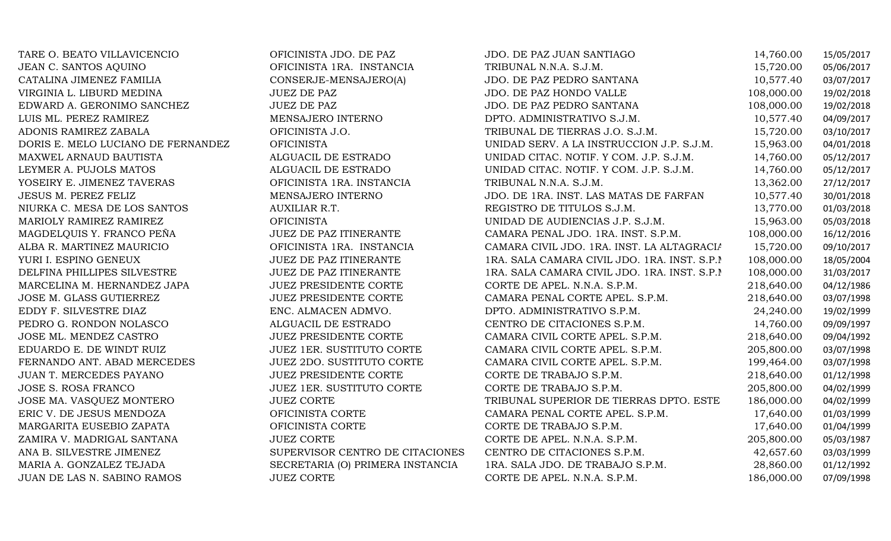| TARE O. BEATO VILLAVICENCIO        | OFICINISTA JDO. DE PAZ           | JDO. DE PAZ JUAN SANTIAGO                    | 14,760.00  | 15/05/2017 |
|------------------------------------|----------------------------------|----------------------------------------------|------------|------------|
| JEAN C. SANTOS AQUINO              | OFICINISTA 1RA. INSTANCIA        | TRIBUNAL N.N.A. S.J.M.                       | 15,720.00  | 05/06/2017 |
| CATALINA JIMENEZ FAMILIA           | CONSERJE-MENSAJERO(A)            | JDO. DE PAZ PEDRO SANTANA                    | 10,577.40  | 03/07/2017 |
| VIRGINIA L. LIBURD MEDINA          | <b>JUEZ DE PAZ</b>               | JDO. DE PAZ HONDO VALLE                      | 108,000.00 | 19/02/2018 |
| EDWARD A. GERONIMO SANCHEZ         | <b>JUEZ DE PAZ</b>               | JDO. DE PAZ PEDRO SANTANA                    | 108,000.00 | 19/02/2018 |
| LUIS ML. PEREZ RAMIREZ             | MENSAJERO INTERNO                | DPTO. ADMINISTRATIVO S.J.M.                  | 10,577.40  | 04/09/2017 |
| ADONIS RAMIREZ ZABALA              | OFICINISTA J.O.                  | TRIBUNAL DE TIERRAS J.O. S.J.M.              | 15,720.00  | 03/10/2017 |
| DORIS E. MELO LUCIANO DE FERNANDEZ | <b>OFICINISTA</b>                | UNIDAD SERV. A LA INSTRUCCION J.P. S.J.M.    | 15,963.00  | 04/01/2018 |
| MAXWEL ARNAUD BAUTISTA             | ALGUACIL DE ESTRADO              | UNIDAD CITAC. NOTIF. Y COM. J.P. S.J.M.      | 14,760.00  | 05/12/2017 |
| LEYMER A. PUJOLS MATOS             | ALGUACIL DE ESTRADO              | UNIDAD CITAC. NOTIF. Y COM. J.P. S.J.M.      | 14,760.00  | 05/12/2017 |
| YOSEIRY E. JIMENEZ TAVERAS         | OFICINISTA 1RA. INSTANCIA        | TRIBUNAL N.N.A. S.J.M.                       | 13,362.00  | 27/12/2017 |
| JESUS M. PEREZ FELIZ               | MENSAJERO INTERNO                | JDO. DE 1RA. INST. LAS MATAS DE FARFAN       | 10,577.40  | 30/01/2018 |
| NIURKA C. MESA DE LOS SANTOS       | AUXILIAR R.T.                    | REGISTRO DE TITULOS S.J.M.                   | 13,770.00  | 01/03/2018 |
| MARIOLY RAMIREZ RAMIREZ            | <b>OFICINISTA</b>                | UNIDAD DE AUDIENCIAS J.P. S.J.M.             | 15,963.00  | 05/03/2018 |
| MAGDELQUIS Y. FRANCO PEÑA          | JUEZ DE PAZ ITINERANTE           | CAMARA PENAL JDO. 1RA. INST. S.P.M.          | 108,000.00 | 16/12/2016 |
| ALBA R. MARTINEZ MAURICIO          | OFICINISTA 1RA. INSTANCIA        | CAMARA CIVIL JDO. 1RA. INST. LA ALTAGRACIA   | 15,720.00  | 09/10/2017 |
| YURI I. ESPINO GENEUX              | JUEZ DE PAZ ITINERANTE           | 1RA. SALA CAMARA CIVIL JDO. 1RA. INST. S.P.I | 108,000.00 | 18/05/2004 |
| DELFINA PHILLIPES SILVESTRE        | <b>JUEZ DE PAZ ITINERANTE</b>    | 1RA. SALA CAMARA CIVIL JDO. 1RA. INST. S.P.I | 108,000.00 | 31/03/2017 |
| MARCELINA M. HERNANDEZ JAPA        | JUEZ PRESIDENTE CORTE            | CORTE DE APEL. N.N.A. S.P.M.                 | 218,640.00 | 04/12/1986 |
| JOSE M. GLASS GUTIERREZ            | JUEZ PRESIDENTE CORTE            | CAMARA PENAL CORTE APEL. S.P.M.              | 218,640.00 | 03/07/1998 |
| EDDY F. SILVESTRE DIAZ             | ENC. ALMACEN ADMVO.              | DPTO. ADMINISTRATIVO S.P.M.                  | 24,240.00  | 19/02/1999 |
| PEDRO G. RONDON NOLASCO            | ALGUACIL DE ESTRADO              | CENTRO DE CITACIONES S.P.M.                  | 14,760.00  | 09/09/1997 |
| JOSE ML. MENDEZ CASTRO             | <b>JUEZ PRESIDENTE CORTE</b>     | CAMARA CIVIL CORTE APEL. S.P.M.              | 218,640.00 | 09/04/1992 |
| EDUARDO E. DE WINDT RUIZ           | <b>JUEZ 1ER. SUSTITUTO CORTE</b> | CAMARA CIVIL CORTE APEL. S.P.M.              | 205,800.00 | 03/07/1998 |
| FERNANDO ANT. ABAD MERCEDES        | JUEZ 2DO. SUSTITUTO CORTE        | CAMARA CIVIL CORTE APEL. S.P.M.              | 199,464.00 | 03/07/1998 |
| JUAN T. MERCEDES PAYANO            | <b>JUEZ PRESIDENTE CORTE</b>     | CORTE DE TRABAJO S.P.M.                      | 218,640.00 | 01/12/1998 |
| JOSE S. ROSA FRANCO                | JUEZ 1ER. SUSTITUTO CORTE        | CORTE DE TRABAJO S.P.M.                      | 205,800.00 | 04/02/1999 |
| JOSE MA. VASQUEZ MONTERO           | <b>JUEZ CORTE</b>                | TRIBUNAL SUPERIOR DE TIERRAS DPTO. ESTE      | 186,000.00 | 04/02/1999 |
| ERIC V. DE JESUS MENDOZA           | OFICINISTA CORTE                 | CAMARA PENAL CORTE APEL. S.P.M.              | 17,640.00  | 01/03/1999 |
| MARGARITA EUSEBIO ZAPATA           | OFICINISTA CORTE                 | CORTE DE TRABAJO S.P.M.                      | 17,640.00  | 01/04/1999 |
| ZAMIRA V. MADRIGAL SANTANA         | <b>JUEZ CORTE</b>                | CORTE DE APEL. N.N.A. S.P.M.                 | 205,800.00 | 05/03/1987 |
| ANA B. SILVESTRE JIMENEZ           | SUPERVISOR CENTRO DE CITACIONES  | CENTRO DE CITACIONES S.P.M.                  | 42,657.60  | 03/03/1999 |
| MARIA A. GONZALEZ TEJADA           | SECRETARIA (O) PRIMERA INSTANCIA | 1RA. SALA JDO. DE TRABAJO S.P.M.             | 28,860.00  | 01/12/1992 |
| JUAN DE LAS N. SABINO RAMOS        | <b>JUEZ CORTE</b>                | CORTE DE APEL. N.N.A. S.P.M.                 | 186,000.00 | 07/09/1998 |
|                                    |                                  |                                              |            |            |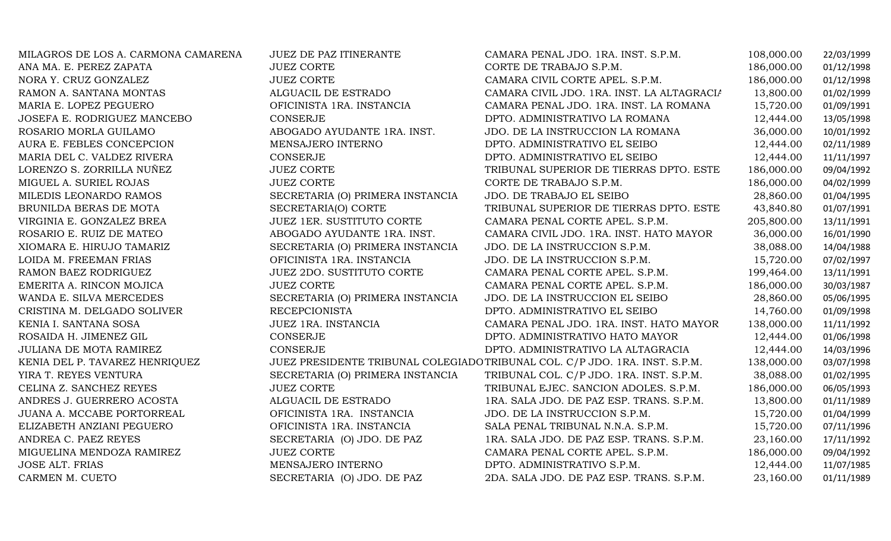| MILAGROS DE LOS A. CARMONA CAMARENA | <b>JUEZ DE PAZ ITINERANTE</b>    | CAMARA PENAL JDO. 1RA. INST. S.P.M.                                         | 108,000.00 | 22/03/1999 |
|-------------------------------------|----------------------------------|-----------------------------------------------------------------------------|------------|------------|
| ANA MA. E. PEREZ ZAPATA             | <b>JUEZ CORTE</b>                | CORTE DE TRABAJO S.P.M.                                                     | 186,000.00 | 01/12/1998 |
| NORA Y. CRUZ GONZALEZ               | <b>JUEZ CORTE</b>                | CAMARA CIVIL CORTE APEL. S.P.M.                                             | 186,000.00 | 01/12/1998 |
| RAMON A. SANTANA MONTAS             | ALGUACIL DE ESTRADO              | CAMARA CIVIL JDO. 1RA. INST. LA ALTAGRACIA                                  | 13,800.00  | 01/02/1999 |
| MARIA E. LOPEZ PEGUERO              | OFICINISTA 1RA. INSTANCIA        | CAMARA PENAL JDO. 1RA. INST. LA ROMANA                                      | 15,720.00  | 01/09/1991 |
| JOSEFA E. RODRIGUEZ MANCEBO         | CONSERJE                         | DPTO. ADMINISTRATIVO LA ROMANA                                              | 12,444.00  | 13/05/1998 |
| ROSARIO MORLA GUILAMO               | ABOGADO AYUDANTE 1RA. INST.      | JDO. DE LA INSTRUCCION LA ROMANA                                            | 36,000.00  | 10/01/1992 |
| AURA E. FEBLES CONCEPCION           | MENSAJERO INTERNO                | DPTO. ADMINISTRATIVO EL SEIBO                                               | 12,444.00  | 02/11/1989 |
| MARIA DEL C. VALDEZ RIVERA          | CONSERJE                         | DPTO. ADMINISTRATIVO EL SEIBO                                               | 12,444.00  | 11/11/1997 |
| LORENZO S. ZORRILLA NUÑEZ           | <b>JUEZ CORTE</b>                | TRIBUNAL SUPERIOR DE TIERRAS DPTO. ESTE                                     | 186,000.00 | 09/04/1992 |
| MIGUEL A. SURIEL ROJAS              | <b>JUEZ CORTE</b>                | CORTE DE TRABAJO S.P.M.                                                     | 186,000.00 | 04/02/1999 |
| MILEDIS LEONARDO RAMOS              | SECRETARIA (O) PRIMERA INSTANCIA | JDO. DE TRABAJO EL SEIBO                                                    | 28,860.00  | 01/04/1995 |
| BRUNILDA BERAS DE MOTA              | SECRETARIA(O) CORTE              | TRIBUNAL SUPERIOR DE TIERRAS DPTO. ESTE                                     | 43,840.80  | 01/07/1991 |
| VIRGINIA E. GONZALEZ BREA           | <b>JUEZ 1ER. SUSTITUTO CORTE</b> | CAMARA PENAL CORTE APEL. S.P.M.                                             | 205,800.00 | 13/11/1991 |
| ROSARIO E. RUIZ DE MATEO            | ABOGADO AYUDANTE 1RA. INST.      | CAMARA CIVIL JDO. 1RA. INST. HATO MAYOR                                     | 36,000.00  | 16/01/1990 |
| XIOMARA E. HIRUJO TAMARIZ           | SECRETARIA (O) PRIMERA INSTANCIA | JDO. DE LA INSTRUCCION S.P.M.                                               | 38,088.00  | 14/04/1988 |
| LOIDA M. FREEMAN FRIAS              | OFICINISTA 1RA. INSTANCIA        | JDO. DE LA INSTRUCCION S.P.M.                                               | 15,720.00  | 07/02/1997 |
| RAMON BAEZ RODRIGUEZ                | JUEZ 2DO. SUSTITUTO CORTE        | CAMARA PENAL CORTE APEL. S.P.M.                                             | 199,464.00 | 13/11/1991 |
| EMERITA A. RINCON MOJICA            | <b>JUEZ CORTE</b>                | CAMARA PENAL CORTE APEL. S.P.M.                                             | 186,000.00 | 30/03/1987 |
| WANDA E. SILVA MERCEDES             | SECRETARIA (O) PRIMERA INSTANCIA | JDO. DE LA INSTRUCCION EL SEIBO                                             | 28,860.00  | 05/06/1995 |
| CRISTINA M. DELGADO SOLIVER         | <b>RECEPCIONISTA</b>             | DPTO. ADMINISTRATIVO EL SEIBO                                               | 14,760.00  | 01/09/1998 |
| KENIA I. SANTANA SOSA               | JUEZ 1RA. INSTANCIA              | CAMARA PENAL JDO. 1RA. INST. HATO MAYOR                                     | 138,000.00 | 11/11/1992 |
| ROSAIDA H. JIMENEZ GIL              | <b>CONSERJE</b>                  | DPTO. ADMINISTRATIVO HATO MAYOR                                             | 12,444.00  | 01/06/1998 |
| <b>JULIANA DE MOTA RAMIREZ</b>      | <b>CONSERJE</b>                  | DPTO. ADMINISTRATIVO LA ALTAGRACIA                                          | 12,444.00  | 14/03/1996 |
| KENIA DEL P. TAVAREZ HENRIQUEZ      |                                  | JUEZ PRESIDENTE TRIBUNAL COLEGIADO TRIBUNAL COL. C/P JDO. 1RA. INST. S.P.M. | 138,000.00 | 03/07/1998 |
| YIRA T. REYES VENTURA               | SECRETARIA (O) PRIMERA INSTANCIA | TRIBUNAL COL. C/P JDO. 1RA. INST. S.P.M.                                    | 38,088.00  | 01/02/1995 |
| CELINA Z. SANCHEZ REYES             | <b>JUEZ CORTE</b>                | TRIBUNAL EJEC. SANCION ADOLES. S.P.M.                                       | 186,000.00 | 06/05/1993 |
| ANDRES J. GUERRERO ACOSTA           | ALGUACIL DE ESTRADO              | 1RA. SALA JDO. DE PAZ ESP. TRANS. S.P.M.                                    | 13,800.00  | 01/11/1989 |
| JUANA A. MCCABE PORTORREAL          | OFICINISTA 1RA. INSTANCIA        | JDO. DE LA INSTRUCCION S.P.M.                                               | 15,720.00  | 01/04/1999 |
| ELIZABETH ANZIANI PEGUERO           | OFICINISTA 1RA. INSTANCIA        | SALA PENAL TRIBUNAL N.N.A. S.P.M.                                           | 15,720.00  | 07/11/1996 |
| ANDREA C. PAEZ REYES                | SECRETARIA (O) JDO. DE PAZ       | 1RA. SALA JDO. DE PAZ ESP. TRANS. S.P.M.                                    | 23,160.00  | 17/11/1992 |
| MIGUELINA MENDOZA RAMIREZ           | <b>JUEZ CORTE</b>                | CAMARA PENAL CORTE APEL. S.P.M.                                             | 186,000.00 | 09/04/1992 |
| <b>JOSE ALT. FRIAS</b>              | MENSAJERO INTERNO                | DPTO. ADMINISTRATIVO S.P.M.                                                 | 12,444.00  | 11/07/1985 |
| CARMEN M. CUETO                     | SECRETARIA (O) JDO. DE PAZ       | 2DA. SALA JDO. DE PAZ ESP. TRANS. S.P.M.                                    | 23,160.00  | 01/11/1989 |
|                                     |                                  |                                                                             |            |            |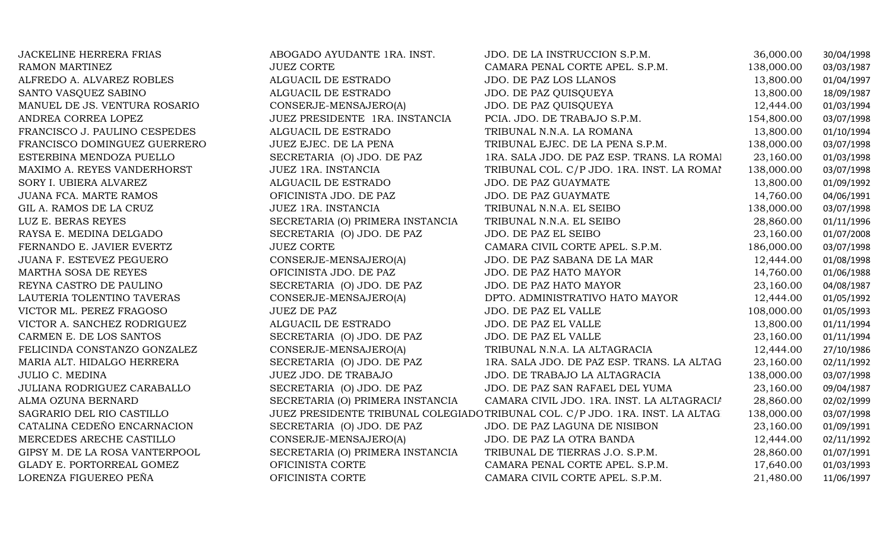| <b>JACKELINE HERRERA FRIAS</b> | ABOGADO AYUDANTE 1RA. INST.      | JDO. DE LA INSTRUCCION S.P.M.                                                 | 36,000.00  | 30/04/1998 |
|--------------------------------|----------------------------------|-------------------------------------------------------------------------------|------------|------------|
| RAMON MARTINEZ                 | <b>JUEZ CORTE</b>                | CAMARA PENAL CORTE APEL. S.P.M.                                               | 138,000.00 | 03/03/1987 |
| ALFREDO A. ALVAREZ ROBLES      | ALGUACIL DE ESTRADO              | JDO. DE PAZ LOS LLANOS                                                        | 13,800.00  | 01/04/1997 |
| SANTO VASQUEZ SABINO           | ALGUACIL DE ESTRADO              | JDO. DE PAZ QUISQUEYA                                                         | 13,800.00  | 18/09/1987 |
| MANUEL DE JS. VENTURA ROSARIO  | CONSERJE-MENSAJERO(A)            | JDO. DE PAZ QUISQUEYA                                                         | 12,444.00  | 01/03/1994 |
| ANDREA CORREA LOPEZ            | JUEZ PRESIDENTE 1RA. INSTANCIA   | PCIA. JDO. DE TRABAJO S.P.M.                                                  | 154,800.00 | 03/07/1998 |
| FRANCISCO J. PAULINO CESPEDES  | ALGUACIL DE ESTRADO              | TRIBUNAL N.N.A. LA ROMANA                                                     | 13,800.00  | 01/10/1994 |
| FRANCISCO DOMINGUEZ GUERRERO   | JUEZ EJEC. DE LA PENA            | TRIBUNAL EJEC. DE LA PENA S.P.M.                                              | 138,000.00 | 03/07/1998 |
| ESTERBINA MENDOZA PUELLO       | SECRETARIA (O) JDO. DE PAZ       | 1RA. SALA JDO. DE PAZ ESP. TRANS. LA ROMAI                                    | 23,160.00  | 01/03/1998 |
| MAXIMO A. REYES VANDERHORST    | JUEZ 1RA. INSTANCIA              | TRIBUNAL COL. C/P JDO. 1RA. INST. LA ROMAI                                    | 138,000.00 | 03/07/1998 |
| SORY I. UBIERA ALVAREZ         | ALGUACIL DE ESTRADO              | JDO. DE PAZ GUAYMATE                                                          | 13,800.00  | 01/09/1992 |
| JUANA FCA. MARTE RAMOS         | OFICINISTA JDO. DE PAZ           | JDO. DE PAZ GUAYMATE                                                          | 14,760.00  | 04/06/1991 |
| GIL A. RAMOS DE LA CRUZ        | JUEZ 1RA. INSTANCIA              | TRIBUNAL N.N.A. EL SEIBO                                                      | 138,000.00 | 03/07/1998 |
| LUZ E. BERAS REYES             | SECRETARIA (O) PRIMERA INSTANCIA | TRIBUNAL N.N.A. EL SEIBO                                                      | 28,860.00  | 01/11/1996 |
| RAYSA E. MEDINA DELGADO        | SECRETARIA (O) JDO. DE PAZ       | JDO. DE PAZ EL SEIBO                                                          | 23,160.00  | 01/07/2008 |
| FERNANDO E. JAVIER EVERTZ      | <b>JUEZ CORTE</b>                | CAMARA CIVIL CORTE APEL. S.P.M.                                               | 186,000.00 | 03/07/1998 |
| JUANA F. ESTEVEZ PEGUERO       | CONSERJE-MENSAJERO(A)            | JDO. DE PAZ SABANA DE LA MAR                                                  | 12,444.00  | 01/08/1998 |
| MARTHA SOSA DE REYES           | OFICINISTA JDO. DE PAZ           | JDO. DE PAZ HATO MAYOR                                                        | 14,760.00  | 01/06/1988 |
| REYNA CASTRO DE PAULINO        | SECRETARIA (O) JDO. DE PAZ       | JDO. DE PAZ HATO MAYOR                                                        | 23,160.00  | 04/08/1987 |
| LAUTERIA TOLENTINO TAVERAS     | CONSERJE-MENSAJERO(A)            | DPTO. ADMINISTRATIVO HATO MAYOR                                               | 12,444.00  | 01/05/1992 |
| VICTOR ML. PEREZ FRAGOSO       | <b>JUEZ DE PAZ</b>               | JDO. DE PAZ EL VALLE                                                          | 108,000.00 | 01/05/1993 |
| VICTOR A. SANCHEZ RODRIGUEZ    | ALGUACIL DE ESTRADO              | JDO. DE PAZ EL VALLE                                                          | 13,800.00  | 01/11/1994 |
| CARMEN E. DE LOS SANTOS        | SECRETARIA (O) JDO. DE PAZ       | JDO. DE PAZ EL VALLE                                                          | 23,160.00  | 01/11/1994 |
| FELICINDA CONSTANZO GONZALEZ   | CONSERJE-MENSAJERO(A)            | TRIBUNAL N.N.A. LA ALTAGRACIA                                                 | 12,444.00  | 27/10/1986 |
| MARIA ALT. HIDALGO HERRERA     | SECRETARIA (O) JDO. DE PAZ       | 1RA. SALA JDO. DE PAZ ESP. TRANS. LA ALTAG                                    | 23,160.00  | 02/11/1992 |
| <b>JULIO C. MEDINA</b>         | JUEZ JDO. DE TRABAJO             | JDO. DE TRABAJO LA ALTAGRACIA                                                 | 138,000.00 | 03/07/1998 |
| JULIANA RODRIGUEZ CARABALLO    | SECRETARIA (O) JDO. DE PAZ       | JDO. DE PAZ SAN RAFAEL DEL YUMA                                               | 23,160.00  | 09/04/1987 |
| ALMA OZUNA BERNARD             | SECRETARIA (O) PRIMERA INSTANCIA | CAMARA CIVIL JDO. 1RA. INST. LA ALTAGRACIA                                    | 28,860.00  | 02/02/1999 |
| SAGRARIO DEL RIO CASTILLO      |                                  | JUEZ PRESIDENTE TRIBUNAL COLEGIADO TRIBUNAL COL. C/P JDO. 1RA. INST. LA ALTAG | 138,000.00 | 03/07/1998 |
| CATALINA CEDEÑO ENCARNACION    | SECRETARIA (O) JDO. DE PAZ       | JDO. DE PAZ LAGUNA DE NISIBON                                                 | 23,160.00  | 01/09/1991 |
| MERCEDES ARECHE CASTILLO       | CONSERJE-MENSAJERO(A)            | JDO. DE PAZ LA OTRA BANDA                                                     | 12,444.00  | 02/11/1992 |
| GIPSY M. DE LA ROSA VANTERPOOL | SECRETARIA (O) PRIMERA INSTANCIA | TRIBUNAL DE TIERRAS J.O. S.P.M.                                               | 28,860.00  | 01/07/1991 |
| GLADY E. PORTORREAL GOMEZ      | OFICINISTA CORTE                 | CAMARA PENAL CORTE APEL. S.P.M.                                               | 17,640.00  | 01/03/1993 |
| LORENZA FIGUEREO PEÑA          | OFICINISTA CORTE                 | CAMARA CIVIL CORTE APEL. S.P.M.                                               | 21,480.00  | 11/06/1997 |
|                                |                                  |                                                                               |            |            |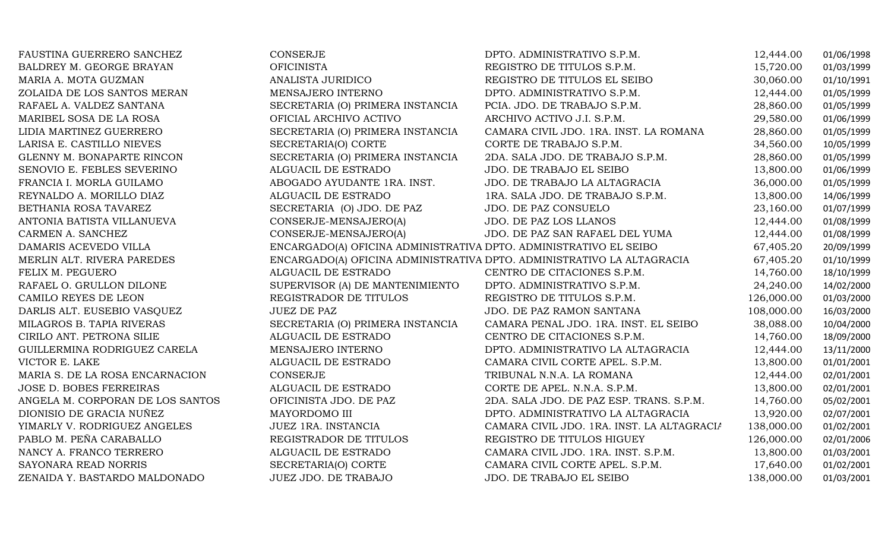| FAUSTINA GUERRERO SANCHEZ        | CONSERJE                                                          | DPTO. ADMINISTRATIVO S.P.M.                                            | 12,444.00  | 01/06/1998 |
|----------------------------------|-------------------------------------------------------------------|------------------------------------------------------------------------|------------|------------|
| BALDREY M. GEORGE BRAYAN         | <b>OFICINISTA</b>                                                 | REGISTRO DE TITULOS S.P.M.                                             | 15,720.00  | 01/03/1999 |
| MARIA A. MOTA GUZMAN             | ANALISTA JURIDICO                                                 | REGISTRO DE TITULOS EL SEIBO                                           | 30,060.00  | 01/10/1991 |
| ZOLAIDA DE LOS SANTOS MERAN      | MENSAJERO INTERNO                                                 | DPTO. ADMINISTRATIVO S.P.M.                                            | 12,444.00  | 01/05/1999 |
| RAFAEL A. VALDEZ SANTANA         | SECRETARIA (O) PRIMERA INSTANCIA                                  | PCIA. JDO. DE TRABAJO S.P.M.                                           | 28,860.00  | 01/05/1999 |
| MARIBEL SOSA DE LA ROSA          | OFICIAL ARCHIVO ACTIVO                                            | ARCHIVO ACTIVO J.I. S.P.M.                                             | 29,580.00  | 01/06/1999 |
| LIDIA MARTINEZ GUERRERO          | SECRETARIA (O) PRIMERA INSTANCIA                                  | CAMARA CIVIL JDO. 1RA. INST. LA ROMANA                                 | 28,860.00  | 01/05/1999 |
| LARISA E. CASTILLO NIEVES        | SECRETARIA(O) CORTE                                               | CORTE DE TRABAJO S.P.M.                                                | 34,560.00  | 10/05/1999 |
| GLENNY M. BONAPARTE RINCON       | SECRETARIA (O) PRIMERA INSTANCIA                                  | 2DA. SALA JDO. DE TRABAJO S.P.M.                                       | 28,860.00  | 01/05/1999 |
| SENOVIO E. FEBLES SEVERINO       | ALGUACIL DE ESTRADO                                               | JDO. DE TRABAJO EL SEIBO                                               | 13,800.00  | 01/06/1999 |
| FRANCIA I. MORLA GUILAMO         | ABOGADO AYUDANTE 1RA. INST.                                       | JDO. DE TRABAJO LA ALTAGRACIA                                          | 36,000.00  | 01/05/1999 |
| REYNALDO A. MORILLO DIAZ         | ALGUACIL DE ESTRADO                                               | 1RA. SALA JDO. DE TRABAJO S.P.M.                                       | 13,800.00  | 14/06/1999 |
| BETHANIA ROSA TAVAREZ            | SECRETARIA (O) JDO. DE PAZ                                        | JDO. DE PAZ CONSUELO                                                   | 23,160.00  | 01/07/1999 |
| ANTONIA BATISTA VILLANUEVA       | CONSERJE-MENSAJERO(A)                                             | <b>JDO. DE PAZ LOS LLANOS</b>                                          | 12,444.00  | 01/08/1999 |
| CARMEN A. SANCHEZ                | CONSERJE-MENSAJERO(A)                                             | JDO. DE PAZ SAN RAFAEL DEL YUMA                                        | 12,444.00  | 01/08/1999 |
| DAMARIS ACEVEDO VILLA            | ENCARGADO(A) OFICINA ADMINISTRATIVA DPTO. ADMINISTRATIVO EL SEIBO |                                                                        | 67,405.20  | 20/09/1999 |
| MERLIN ALT. RIVERA PAREDES       |                                                                   | ENCARGADO(A) OFICINA ADMINISTRATIVA DPTO. ADMINISTRATIVO LA ALTAGRACIA | 67,405.20  | 01/10/1999 |
| FELIX M. PEGUERO                 | ALGUACIL DE ESTRADO                                               | CENTRO DE CITACIONES S.P.M.                                            | 14,760.00  | 18/10/1999 |
| RAFAEL O. GRULLON DILONE         | SUPERVISOR (A) DE MANTENIMIENTO                                   | DPTO. ADMINISTRATIVO S.P.M.                                            | 24,240.00  | 14/02/2000 |
| CAMILO REYES DE LEON             | REGISTRADOR DE TITULOS                                            | REGISTRO DE TITULOS S.P.M.                                             | 126,000.00 | 01/03/2000 |
| DARLIS ALT. EUSEBIO VASQUEZ      | <b>JUEZ DE PAZ</b>                                                | JDO. DE PAZ RAMON SANTANA                                              | 108,000.00 | 16/03/2000 |
| MILAGROS B. TAPIA RIVERAS        | SECRETARIA (O) PRIMERA INSTANCIA                                  | CAMARA PENAL JDO. 1RA. INST. EL SEIBO                                  | 38,088.00  | 10/04/2000 |
| CIRILO ANT. PETRONA SILIE        | ALGUACIL DE ESTRADO                                               | CENTRO DE CITACIONES S.P.M.                                            | 14,760.00  | 18/09/2000 |
| GUILLERMINA RODRIGUEZ CARELA     | MENSAJERO INTERNO                                                 | DPTO. ADMINISTRATIVO LA ALTAGRACIA                                     | 12,444.00  | 13/11/2000 |
| VICTOR E. LAKE                   | ALGUACIL DE ESTRADO                                               | CAMARA CIVIL CORTE APEL. S.P.M.                                        | 13,800.00  | 01/01/2001 |
| MARIA S. DE LA ROSA ENCARNACION  | <b>CONSERJE</b>                                                   | TRIBUNAL N.N.A. LA ROMANA                                              | 12,444.00  | 02/01/2001 |
| <b>JOSE D. BOBES FERREIRAS</b>   | ALGUACIL DE ESTRADO                                               | CORTE DE APEL. N.N.A. S.P.M.                                           | 13,800.00  | 02/01/2001 |
| ANGELA M. CORPORAN DE LOS SANTOS | OFICINISTA JDO. DE PAZ                                            | 2DA. SALA JDO. DE PAZ ESP. TRANS. S.P.M.                               | 14,760.00  | 05/02/2001 |
| DIONISIO DE GRACIA NUÑEZ         | MAYORDOMO III                                                     | DPTO. ADMINISTRATIVO LA ALTAGRACIA                                     | 13,920.00  | 02/07/2001 |
| YIMARLY V. RODRIGUEZ ANGELES     | JUEZ 1RA. INSTANCIA                                               | CAMARA CIVIL JDO. 1RA. INST. LA ALTAGRACIA                             | 138,000.00 | 01/02/2001 |
| PABLO M. PEÑA CARABALLO          | REGISTRADOR DE TITULOS                                            | REGISTRO DE TITULOS HIGUEY                                             | 126,000.00 | 02/01/2006 |
| NANCY A. FRANCO TERRERO          | ALGUACIL DE ESTRADO                                               | CAMARA CIVIL JDO. 1RA. INST. S.P.M.                                    | 13,800.00  | 01/03/2001 |
| SAYONARA READ NORRIS             | SECRETARIA(O) CORTE                                               | CAMARA CIVIL CORTE APEL. S.P.M.                                        | 17,640.00  | 01/02/2001 |
| ZENAIDA Y. BASTARDO MALDONADO    | <b>JUEZ JDO. DE TRABAJO</b>                                       | JDO. DE TRABAJO EL SEIBO                                               | 138,000.00 | 01/03/2001 |
|                                  |                                                                   |                                                                        |            |            |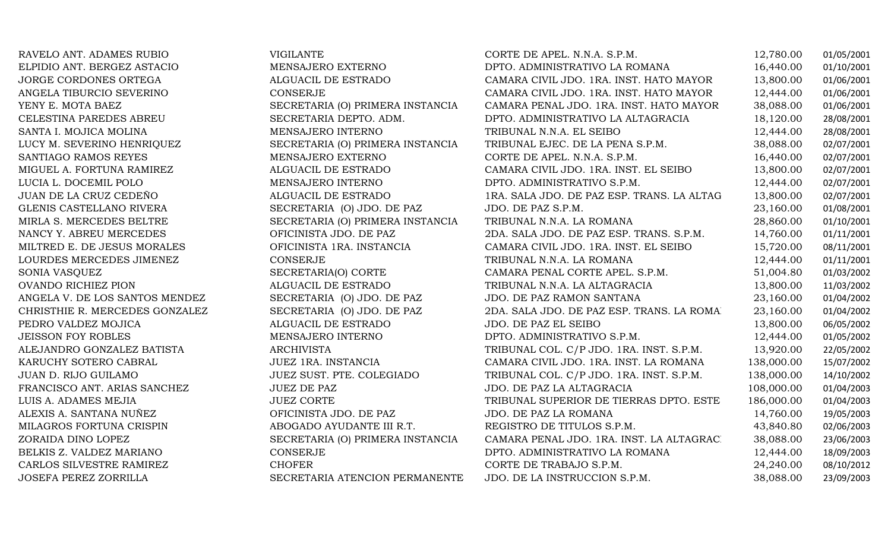| RAVELO ANT. ADAMES RUBIO       | VIGILANTE                        | CORTE DE APEL. N.N.A. S.P.M.               | 12,780.00  | 01/05/2001 |
|--------------------------------|----------------------------------|--------------------------------------------|------------|------------|
| ELPIDIO ANT. BERGEZ ASTACIO    | MENSAJERO EXTERNO                | DPTO. ADMINISTRATIVO LA ROMANA             | 16,440.00  | 01/10/2001 |
| JORGE CORDONES ORTEGA          | ALGUACIL DE ESTRADO              | CAMARA CIVIL JDO. 1RA. INST. HATO MAYOR    | 13,800.00  | 01/06/2001 |
| ANGELA TIBURCIO SEVERINO       | CONSERJE                         | CAMARA CIVIL JDO. 1RA. INST. HATO MAYOR    | 12,444.00  | 01/06/2001 |
| YENY E. MOTA BAEZ              | SECRETARIA (O) PRIMERA INSTANCIA | CAMARA PENAL JDO. 1RA. INST. HATO MAYOR    | 38,088.00  | 01/06/2001 |
| CELESTINA PAREDES ABREU        | SECRETARIA DEPTO. ADM.           | DPTO. ADMINISTRATIVO LA ALTAGRACIA         | 18,120.00  | 28/08/2001 |
| SANTA I. MOJICA MOLINA         | MENSAJERO INTERNO                | TRIBUNAL N.N.A. EL SEIBO                   | 12,444.00  | 28/08/2001 |
| LUCY M. SEVERINO HENRIQUEZ     | SECRETARIA (O) PRIMERA INSTANCIA | TRIBUNAL EJEC. DE LA PENA S.P.M.           | 38,088.00  | 02/07/2001 |
| SANTIAGO RAMOS REYES           | MENSAJERO EXTERNO                | CORTE DE APEL. N.N.A. S.P.M.               | 16,440.00  | 02/07/2001 |
| MIGUEL A. FORTUNA RAMIREZ      | ALGUACIL DE ESTRADO              | CAMARA CIVIL JDO. 1RA. INST. EL SEIBO      | 13,800.00  | 02/07/2001 |
| LUCIA L. DOCEMIL POLO          | MENSAJERO INTERNO                | DPTO. ADMINISTRATIVO S.P.M.                | 12,444.00  | 02/07/2001 |
| JUAN DE LA CRUZ CEDEÑO         | ALGUACIL DE ESTRADO              | 1RA. SALA JDO. DE PAZ ESP. TRANS. LA ALTAG | 13,800.00  | 02/07/2001 |
| GLENIS CASTELLANO RIVERA       | SECRETARIA (O) JDO. DE PAZ       | JDO. DE PAZ S.P.M.                         | 23,160.00  | 01/08/2001 |
| MIRLA S. MERCEDES BELTRE       | SECRETARIA (O) PRIMERA INSTANCIA | TRIBUNAL N.N.A. LA ROMANA                  | 28,860.00  | 01/10/2001 |
| NANCY Y. ABREU MERCEDES        | OFICINISTA JDO. DE PAZ           | 2DA. SALA JDO. DE PAZ ESP. TRANS. S.P.M.   | 14,760.00  | 01/11/2001 |
| MILTRED E. DE JESUS MORALES    | OFICINISTA 1RA. INSTANCIA        | CAMARA CIVIL JDO. 1RA. INST. EL SEIBO      | 15,720.00  | 08/11/2001 |
| LOURDES MERCEDES JIMENEZ       | CONSERJE                         | TRIBUNAL N.N.A. LA ROMANA                  | 12,444.00  | 01/11/2001 |
| SONIA VASQUEZ                  | SECRETARIA(O) CORTE              | CAMARA PENAL CORTE APEL. S.P.M.            | 51,004.80  | 01/03/2002 |
| <b>OVANDO RICHIEZ PION</b>     | ALGUACIL DE ESTRADO              | TRIBUNAL N.N.A. LA ALTAGRACIA              | 13,800.00  | 11/03/2002 |
| ANGELA V. DE LOS SANTOS MENDEZ | SECRETARIA (O) JDO. DE PAZ       | JDO. DE PAZ RAMON SANTANA                  | 23,160.00  | 01/04/2002 |
| CHRISTHIE R. MERCEDES GONZALEZ | SECRETARIA (O) JDO. DE PAZ       | 2DA. SALA JDO. DE PAZ ESP. TRANS. LA ROMA  | 23,160.00  | 01/04/2002 |
| PEDRO VALDEZ MOJICA            | ALGUACIL DE ESTRADO              | JDO. DE PAZ EL SEIBO                       | 13,800.00  | 06/05/2002 |
| <b>JEISSON FOY ROBLES</b>      | MENSAJERO INTERNO                | DPTO. ADMINISTRATIVO S.P.M.                | 12,444.00  | 01/05/2002 |
| ALEJANDRO GONZALEZ BATISTA     | <b>ARCHIVISTA</b>                | TRIBUNAL COL. C/P JDO. 1RA. INST. S.P.M.   | 13,920.00  | 22/05/2002 |
| KARUCHY SOTERO CABRAL          | JUEZ 1RA. INSTANCIA              | CAMARA CIVIL JDO. 1RA. INST. LA ROMANA     | 138,000.00 | 15/07/2002 |
| JUAN D. RIJO GUILAMO           | JUEZ SUST. PTE. COLEGIADO        | TRIBUNAL COL. C/P JDO. 1RA. INST. S.P.M.   | 138,000.00 | 14/10/2002 |
| FRANCISCO ANT. ARIAS SANCHEZ   | <b>JUEZ DE PAZ</b>               | JDO. DE PAZ LA ALTAGRACIA                  | 108,000.00 | 01/04/2003 |
| LUIS A. ADAMES MEJIA           | <b>JUEZ CORTE</b>                | TRIBUNAL SUPERIOR DE TIERRAS DPTO. ESTE    | 186,000.00 | 01/04/2003 |
| ALEXIS A. SANTANA NUÑEZ        | OFICINISTA JDO. DE PAZ           | JDO. DE PAZ LA ROMANA                      | 14,760.00  | 19/05/2003 |
| MILAGROS FORTUNA CRISPIN       | ABOGADO AYUDANTE III R.T.        | REGISTRO DE TITULOS S.P.M.                 | 43,840.80  | 02/06/2003 |
| ZORAIDA DINO LOPEZ             | SECRETARIA (O) PRIMERA INSTANCIA | CAMARA PENAL JDO. 1RA. INST. LA ALTAGRAC.  | 38,088.00  | 23/06/2003 |
| BELKIS Z. VALDEZ MARIANO       | CONSERJE                         | DPTO. ADMINISTRATIVO LA ROMANA             | 12,444.00  | 18/09/2003 |
| CARLOS SILVESTRE RAMIREZ       | <b>CHOFER</b>                    | CORTE DE TRABAJO S.P.M.                    | 24,240.00  | 08/10/2012 |
| JOSEFA PEREZ ZORRILLA          | SECRETARIA ATENCION PERMANENTE   | JDO. DE LA INSTRUCCION S.P.M.              | 38,088.00  | 23/09/2003 |
|                                |                                  |                                            |            |            |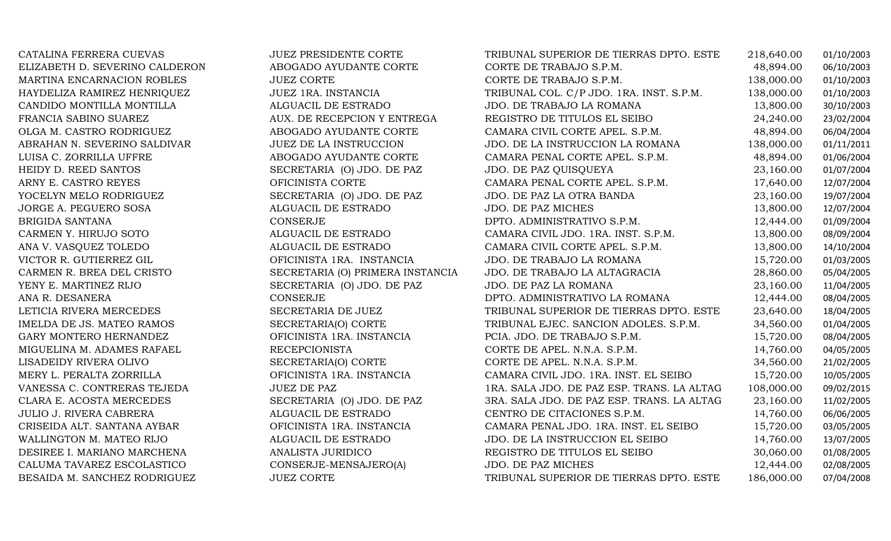| CATALINA FERRERA CUEVAS        | <b>JUEZ PRESIDENTE CORTE</b>     | TRIBUNAL SUPERIOR DE TIERRAS DPTO. ESTE    | 218,640.00 | 01/10/2003 |
|--------------------------------|----------------------------------|--------------------------------------------|------------|------------|
| ELIZABETH D. SEVERINO CALDERON | ABOGADO AYUDANTE CORTE           | CORTE DE TRABAJO S.P.M.                    | 48,894.00  | 06/10/2003 |
| MARTINA ENCARNACION ROBLES     | <b>JUEZ CORTE</b>                | CORTE DE TRABAJO S.P.M.                    | 138,000.00 | 01/10/2003 |
| HAYDELIZA RAMIREZ HENRIQUEZ    | JUEZ 1RA. INSTANCIA              | TRIBUNAL COL. C/P JDO. 1RA. INST. S.P.M.   | 138,000.00 | 01/10/2003 |
| CANDIDO MONTILLA MONTILLA      | ALGUACIL DE ESTRADO              | JDO. DE TRABAJO LA ROMANA                  | 13,800.00  | 30/10/2003 |
| FRANCIA SABINO SUAREZ          | AUX. DE RECEPCION Y ENTREGA      | REGISTRO DE TITULOS EL SEIBO               | 24,240.00  | 23/02/2004 |
| OLGA M. CASTRO RODRIGUEZ       | ABOGADO AYUDANTE CORTE           | CAMARA CIVIL CORTE APEL. S.P.M.            | 48,894.00  | 06/04/2004 |
| ABRAHAN N. SEVERINO SALDIVAR   | <b>JUEZ DE LA INSTRUCCION</b>    | JDO. DE LA INSTRUCCION LA ROMANA           | 138,000.00 | 01/11/2011 |
| LUISA C. ZORRILLA UFFRE        | ABOGADO AYUDANTE CORTE           | CAMARA PENAL CORTE APEL. S.P.M.            | 48,894.00  | 01/06/2004 |
| HEIDY D. REED SANTOS           | SECRETARIA (O) JDO. DE PAZ       | JDO. DE PAZ QUISQUEYA                      | 23,160.00  | 01/07/2004 |
| ARNY E. CASTRO REYES           | OFICINISTA CORTE                 | CAMARA PENAL CORTE APEL. S.P.M.            | 17,640.00  | 12/07/2004 |
| YOCELYN MELO RODRIGUEZ         | SECRETARIA (O) JDO. DE PAZ       | JDO. DE PAZ LA OTRA BANDA                  | 23,160.00  | 19/07/2004 |
| JORGE A. PEGUERO SOSA          | ALGUACIL DE ESTRADO              | JDO. DE PAZ MICHES                         | 13,800.00  | 12/07/2004 |
| BRIGIDA SANTANA                | CONSERJE                         | DPTO. ADMINISTRATIVO S.P.M.                | 12,444.00  | 01/09/2004 |
| CARMEN Y. HIRUJO SOTO          | ALGUACIL DE ESTRADO              | CAMARA CIVIL JDO. 1RA. INST. S.P.M.        | 13,800.00  | 08/09/2004 |
| ANA V. VASQUEZ TOLEDO          | ALGUACIL DE ESTRADO              | CAMARA CIVIL CORTE APEL. S.P.M.            | 13,800.00  | 14/10/2004 |
| VICTOR R. GUTIERREZ GIL        | OFICINISTA 1RA. INSTANCIA        | JDO. DE TRABAJO LA ROMANA                  | 15,720.00  | 01/03/2005 |
| CARMEN R. BREA DEL CRISTO      | SECRETARIA (O) PRIMERA INSTANCIA | JDO. DE TRABAJO LA ALTAGRACIA              | 28,860.00  | 05/04/2005 |
| YENY E. MARTINEZ RIJO          | SECRETARIA (O) JDO. DE PAZ       | JDO. DE PAZ LA ROMANA                      | 23,160.00  | 11/04/2005 |
| ANA R. DESANERA                | <b>CONSERJE</b>                  | DPTO. ADMINISTRATIVO LA ROMANA             | 12,444.00  | 08/04/2005 |
| LETICIA RIVERA MERCEDES        | SECRETARIA DE JUEZ               | TRIBUNAL SUPERIOR DE TIERRAS DPTO. ESTE    | 23,640.00  | 18/04/2005 |
| IMELDA DE JS. MATEO RAMOS      | SECRETARIA(O) CORTE              | TRIBUNAL EJEC. SANCION ADOLES. S.P.M.      | 34,560.00  | 01/04/2005 |
| GARY MONTERO HERNANDEZ         | OFICINISTA 1RA. INSTANCIA        | PCIA. JDO. DE TRABAJO S.P.M.               | 15,720.00  | 08/04/2005 |
| MIGUELINA M. ADAMES RAFAEL     | <b>RECEPCIONISTA</b>             | CORTE DE APEL. N.N.A. S.P.M.               | 14,760.00  | 04/05/2005 |
| LISADEIDY RIVERA OLIVO         | SECRETARIA(O) CORTE              | CORTE DE APEL. N.N.A. S.P.M.               | 34,560.00  | 21/02/2005 |
| MERY L. PERALTA ZORRILLA       | OFICINISTA 1RA. INSTANCIA        | CAMARA CIVIL JDO. 1RA. INST. EL SEIBO      | 15,720.00  | 10/05/2005 |
| VANESSA C. CONTRERAS TEJEDA    | <b>JUEZ DE PAZ</b>               | 1RA. SALA JDO. DE PAZ ESP. TRANS. LA ALTAG | 108,000.00 | 09/02/2015 |
| CLARA E. ACOSTA MERCEDES       | SECRETARIA (O) JDO. DE PAZ       | 3RA. SALA JDO. DE PAZ ESP. TRANS. LA ALTAG | 23,160.00  | 11/02/2005 |
| JULIO J. RIVERA CABRERA        | ALGUACIL DE ESTRADO              | CENTRO DE CITACIONES S.P.M.                | 14,760.00  | 06/06/2005 |
| CRISEIDA ALT. SANTANA AYBAR    | OFICINISTA 1RA. INSTANCIA        | CAMARA PENAL JDO. 1RA. INST. EL SEIBO      | 15,720.00  | 03/05/2005 |
| WALLINGTON M. MATEO RIJO       | ALGUACIL DE ESTRADO              | JDO. DE LA INSTRUCCION EL SEIBO            | 14,760.00  | 13/07/2005 |
| DESIREE I. MARIANO MARCHENA    | ANALISTA JURIDICO                | REGISTRO DE TITULOS EL SEIBO               | 30,060.00  | 01/08/2005 |
| CALUMA TAVAREZ ESCOLASTICO     | CONSERJE-MENSAJERO(A)            | <b>JDO. DE PAZ MICHES</b>                  | 12,444.00  | 02/08/2005 |
| BESAIDA M. SANCHEZ RODRIGUEZ   | <b>JUEZ CORTE</b>                | TRIBUNAL SUPERIOR DE TIERRAS DPTO. ESTE    | 186,000.00 | 07/04/2008 |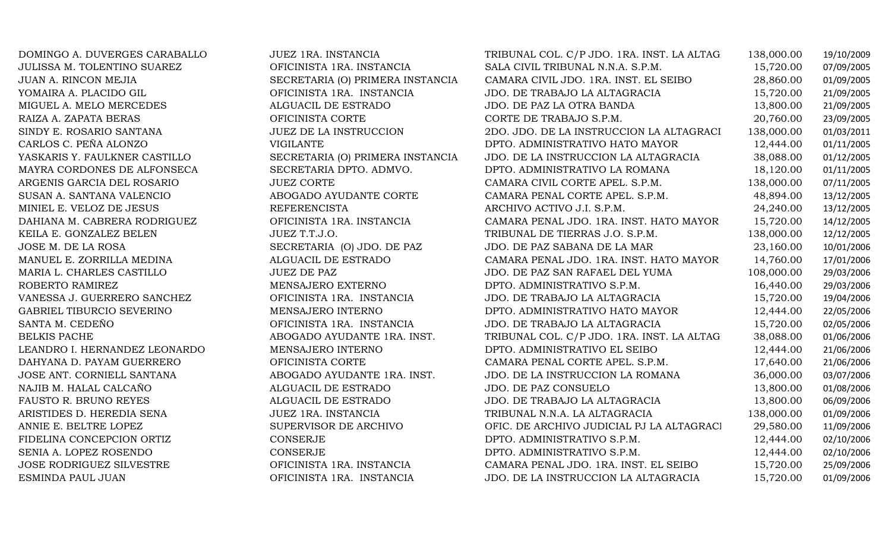| DOMINGO A. DUVERGES CARABALLO | JUEZ 1RA. INSTANCIA              | TRIBUNAL COL. C/P JDO. 1RA. INST. LA ALTAG | 138,000.00 | 19/10/2009 |
|-------------------------------|----------------------------------|--------------------------------------------|------------|------------|
| JULISSA M. TOLENTINO SUAREZ   | OFICINISTA 1RA. INSTANCIA        | SALA CIVIL TRIBUNAL N.N.A. S.P.M.          | 15,720.00  | 07/09/2005 |
| JUAN A. RINCON MEJIA          | SECRETARIA (O) PRIMERA INSTANCIA | CAMARA CIVIL JDO. 1RA. INST. EL SEIBO      | 28,860.00  | 01/09/2005 |
| YOMAIRA A. PLACIDO GIL        | OFICINISTA 1RA. INSTANCIA        | JDO. DE TRABAJO LA ALTAGRACIA              | 15,720.00  | 21/09/2005 |
| MIGUEL A. MELO MERCEDES       | ALGUACIL DE ESTRADO              | JDO. DE PAZ LA OTRA BANDA                  | 13,800.00  | 21/09/2005 |
| RAIZA A. ZAPATA BERAS         | OFICINISTA CORTE                 | CORTE DE TRABAJO S.P.M.                    | 20,760.00  | 23/09/2005 |
| SINDY E. ROSARIO SANTANA      | <b>JUEZ DE LA INSTRUCCION</b>    | 2DO. JDO. DE LA INSTRUCCION LA ALTAGRACI   | 138,000.00 | 01/03/2011 |
| CARLOS C. PEÑA ALONZO         | <b>VIGILANTE</b>                 | DPTO. ADMINISTRATIVO HATO MAYOR            | 12,444.00  | 01/11/2005 |
| YASKARIS Y. FAULKNER CASTILLO | SECRETARIA (O) PRIMERA INSTANCIA | JDO. DE LA INSTRUCCION LA ALTAGRACIA       | 38,088.00  | 01/12/2005 |
| MAYRA CORDONES DE ALFONSECA   | SECRETARIA DPTO. ADMVO.          | DPTO. ADMINISTRATIVO LA ROMANA             | 18,120.00  | 01/11/2005 |
| ARGENIS GARCIA DEL ROSARIO    | <b>JUEZ CORTE</b>                | CAMARA CIVIL CORTE APEL. S.P.M.            | 138,000.00 | 07/11/2005 |
| SUSAN A. SANTANA VALENCIO     | ABOGADO AYUDANTE CORTE           | CAMARA PENAL CORTE APEL. S.P.M.            | 48,894.00  | 13/12/2005 |
| MINIEL E. VELOZ DE JESUS      | <b>REFERENCISTA</b>              | ARCHIVO ACTIVO J.I. S.P.M.                 | 24,240.00  | 13/12/2005 |
| DAHIANA M. CABRERA RODRIGUEZ  | OFICINISTA 1RA. INSTANCIA        | CAMARA PENAL JDO. 1RA. INST. HATO MAYOR    | 15,720.00  | 14/12/2005 |
| KEILA E. GONZALEZ BELEN       | JUEZ T.T.J.O.                    | TRIBUNAL DE TIERRAS J.O. S.P.M.            | 138,000.00 | 12/12/2005 |
| JOSE M. DE LA ROSA            | SECRETARIA (O) JDO. DE PAZ       | JDO. DE PAZ SABANA DE LA MAR               | 23,160.00  | 10/01/2006 |
| MANUEL E. ZORRILLA MEDINA     | ALGUACIL DE ESTRADO              | CAMARA PENAL JDO. 1RA. INST. HATO MAYOR    | 14,760.00  | 17/01/2006 |
| MARIA L. CHARLES CASTILLO     | <b>JUEZ DE PAZ</b>               | JDO. DE PAZ SAN RAFAEL DEL YUMA            | 108,000.00 | 29/03/2006 |
| ROBERTO RAMIREZ               | MENSAJERO EXTERNO                | DPTO. ADMINISTRATIVO S.P.M.                | 16,440.00  | 29/03/2006 |
| VANESSA J. GUERRERO SANCHEZ   | OFICINISTA 1RA. INSTANCIA        | JDO. DE TRABAJO LA ALTAGRACIA              | 15,720.00  | 19/04/2006 |
| GABRIEL TIBURCIO SEVERINO     | MENSAJERO INTERNO                | DPTO. ADMINISTRATIVO HATO MAYOR            | 12,444.00  | 22/05/2006 |
| SANTA M. CEDEÑO               | OFICINISTA 1RA. INSTANCIA        | JDO. DE TRABAJO LA ALTAGRACIA              | 15,720.00  | 02/05/2006 |
| <b>BELKIS PACHE</b>           | ABOGADO AYUDANTE 1RA. INST.      | TRIBUNAL COL. C/P JDO. 1RA. INST. LA ALTAG | 38,088.00  | 01/06/2006 |
| LEANDRO I. HERNANDEZ LEONARDO | MENSAJERO INTERNO                | DPTO. ADMINISTRATIVO EL SEIBO              | 12,444.00  | 21/06/2006 |
| DAHYANA D. PAYAM GUERRERO     | OFICINISTA CORTE                 | CAMARA PENAL CORTE APEL. S.P.M.            | 17,640.00  | 21/06/2006 |
| JOSE ANT. CORNIELL SANTANA    | ABOGADO AYUDANTE 1RA. INST.      | JDO. DE LA INSTRUCCION LA ROMANA           | 36,000.00  | 03/07/2006 |
| NAJIB M. HALAL CALCAÑO        | ALGUACIL DE ESTRADO              | JDO. DE PAZ CONSUELO                       | 13,800.00  | 01/08/2006 |
| FAUSTO R. BRUNO REYES         | ALGUACIL DE ESTRADO              | JDO. DE TRABAJO LA ALTAGRACIA              | 13,800.00  | 06/09/2006 |
| ARISTIDES D. HEREDIA SENA     | JUEZ 1RA. INSTANCIA              | TRIBUNAL N.N.A. LA ALTAGRACIA              | 138,000.00 | 01/09/2006 |
| ANNIE E. BELTRE LOPEZ         | SUPERVISOR DE ARCHIVO            | OFIC. DE ARCHIVO JUDICIAL PJ LA ALTAGRACI  | 29,580.00  | 11/09/2006 |
| FIDELINA CONCEPCION ORTIZ     | CONSERJE                         | DPTO. ADMINISTRATIVO S.P.M.                | 12,444.00  | 02/10/2006 |
| SENIA A. LOPEZ ROSENDO        | CONSERJE                         | DPTO. ADMINISTRATIVO S.P.M.                | 12,444.00  | 02/10/2006 |
| JOSE RODRIGUEZ SILVESTRE      | OFICINISTA 1RA. INSTANCIA        | CAMARA PENAL JDO. 1RA. INST. EL SEIBO      | 15,720.00  | 25/09/2006 |
| ESMINDA PAUL JUAN             | OFICINISTA 1RA. INSTANCIA        | JDO. DE LA INSTRUCCION LA ALTAGRACIA       | 15,720.00  | 01/09/2006 |
|                               |                                  |                                            |            |            |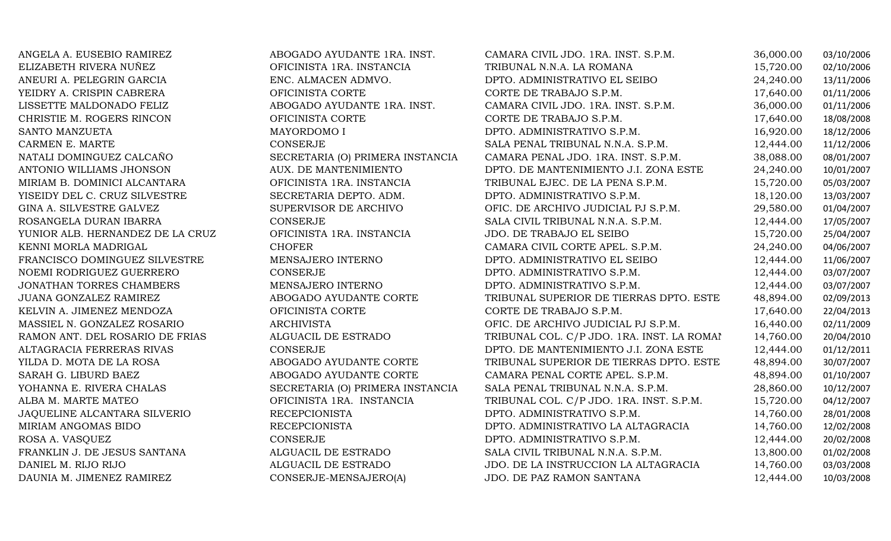| ANGELA A. EUSEBIO RAMIREZ        | ABOGADO AYUDANTE 1RA. INST.      | CAMARA CIVIL JDO. 1RA. INST. S.P.M.        | 36,000.00 | 03/10/2006 |
|----------------------------------|----------------------------------|--------------------------------------------|-----------|------------|
| ELIZABETH RIVERA NUÑEZ           | OFICINISTA 1RA. INSTANCIA        | TRIBUNAL N.N.A. LA ROMANA                  | 15,720.00 | 02/10/2006 |
| ANEURI A. PELEGRIN GARCIA        | ENC. ALMACEN ADMVO.              | DPTO. ADMINISTRATIVO EL SEIBO              | 24,240.00 | 13/11/2006 |
| YEIDRY A. CRISPIN CABRERA        | OFICINISTA CORTE                 | CORTE DE TRABAJO S.P.M.                    | 17,640.00 | 01/11/2006 |
| LISSETTE MALDONADO FELIZ         | ABOGADO AYUDANTE 1RA. INST.      | CAMARA CIVIL JDO. 1RA. INST. S.P.M.        | 36,000.00 | 01/11/2006 |
| CHRISTIE M. ROGERS RINCON        | OFICINISTA CORTE                 | CORTE DE TRABAJO S.P.M.                    | 17,640.00 | 18/08/2008 |
| SANTO MANZUETA                   | MAYORDOMO I                      | DPTO. ADMINISTRATIVO S.P.M.                | 16,920.00 | 18/12/2006 |
| CARMEN E. MARTE                  | CONSERJE                         | SALA PENAL TRIBUNAL N.N.A. S.P.M.          | 12,444.00 | 11/12/2006 |
| NATALI DOMINGUEZ CALCAÑO         | SECRETARIA (O) PRIMERA INSTANCIA | CAMARA PENAL JDO. 1RA. INST. S.P.M.        | 38,088.00 | 08/01/2007 |
| ANTONIO WILLIAMS JHONSON         | AUX. DE MANTENIMIENTO            | DPTO. DE MANTENIMIENTO J.I. ZONA ESTE      | 24,240.00 | 10/01/2007 |
| MIRIAM B. DOMINICI ALCANTARA     | OFICINISTA 1RA. INSTANCIA        | TRIBUNAL EJEC. DE LA PENA S.P.M.           | 15,720.00 | 05/03/2007 |
| YISEIDY DEL C. CRUZ SILVESTRE    | SECRETARIA DEPTO. ADM.           | DPTO. ADMINISTRATIVO S.P.M.                | 18,120.00 | 13/03/2007 |
| GINA A. SILVESTRE GALVEZ         | SUPERVISOR DE ARCHIVO            | OFIC. DE ARCHIVO JUDICIAL PJ S.P.M.        | 29,580.00 | 01/04/2007 |
| ROSANGELA DURAN IBARRA           | CONSERJE                         | SALA CIVIL TRIBUNAL N.N.A. S.P.M.          | 12,444.00 | 17/05/2007 |
| YUNIOR ALB. HERNANDEZ DE LA CRUZ | OFICINISTA 1RA. INSTANCIA        | JDO. DE TRABAJO EL SEIBO                   | 15,720.00 | 25/04/2007 |
| KENNI MORLA MADRIGAL             | <b>CHOFER</b>                    | CAMARA CIVIL CORTE APEL. S.P.M.            | 24,240.00 | 04/06/2007 |
| FRANCISCO DOMINGUEZ SILVESTRE    | MENSAJERO INTERNO                | DPTO. ADMINISTRATIVO EL SEIBO              | 12,444.00 | 11/06/2007 |
| NOEMI RODRIGUEZ GUERRERO         | CONSERJE                         | DPTO. ADMINISTRATIVO S.P.M.                | 12,444.00 | 03/07/2007 |
| JONATHAN TORRES CHAMBERS         | MENSAJERO INTERNO                | DPTO. ADMINISTRATIVO S.P.M.                | 12,444.00 | 03/07/2007 |
| JUANA GONZALEZ RAMIREZ           | ABOGADO AYUDANTE CORTE           | TRIBUNAL SUPERIOR DE TIERRAS DPTO. ESTE    | 48,894.00 | 02/09/2013 |
| KELVIN A. JIMENEZ MENDOZA        | OFICINISTA CORTE                 | CORTE DE TRABAJO S.P.M.                    | 17,640.00 | 22/04/2013 |
| MASSIEL N. GONZALEZ ROSARIO      | <b>ARCHIVISTA</b>                | OFIC. DE ARCHIVO JUDICIAL PJ S.P.M.        | 16,440.00 | 02/11/2009 |
| RAMON ANT. DEL ROSARIO DE FRIAS  | ALGUACIL DE ESTRADO              | TRIBUNAL COL. C/P JDO. 1RA. INST. LA ROMAI | 14,760.00 | 20/04/2010 |
| ALTAGRACIA FERRERAS RIVAS        | CONSERJE                         | DPTO. DE MANTENIMIENTO J.I. ZONA ESTE      | 12,444.00 | 01/12/2011 |
| YILDA D. MOTA DE LA ROSA         | ABOGADO AYUDANTE CORTE           | TRIBUNAL SUPERIOR DE TIERRAS DPTO. ESTE    | 48,894.00 | 30/07/2007 |
| SARAH G. LIBURD BAEZ             | ABOGADO AYUDANTE CORTE           | CAMARA PENAL CORTE APEL. S.P.M.            | 48,894.00 | 01/10/2007 |
| YOHANNA E. RIVERA CHALAS         | SECRETARIA (O) PRIMERA INSTANCIA | SALA PENAL TRIBUNAL N.N.A. S.P.M.          | 28,860.00 | 10/12/2007 |
| ALBA M. MARTE MATEO              | OFICINISTA 1RA. INSTANCIA        | TRIBUNAL COL. C/P JDO. 1RA. INST. S.P.M.   | 15,720.00 | 04/12/2007 |
| JAQUELINE ALCANTARA SILVERIO     | <b>RECEPCIONISTA</b>             | DPTO. ADMINISTRATIVO S.P.M.                | 14,760.00 | 28/01/2008 |
| MIRIAM ANGOMAS BIDO              | <b>RECEPCIONISTA</b>             | DPTO. ADMINISTRATIVO LA ALTAGRACIA         | 14,760.00 | 12/02/2008 |
| ROSA A. VASQUEZ                  | CONSERJE                         | DPTO. ADMINISTRATIVO S.P.M.                | 12,444.00 | 20/02/2008 |
| FRANKLIN J. DE JESUS SANTANA     | ALGUACIL DE ESTRADO              | SALA CIVIL TRIBUNAL N.N.A. S.P.M.          | 13,800.00 | 01/02/2008 |
| DANIEL M. RIJO RIJO              | ALGUACIL DE ESTRADO              | JDO. DE LA INSTRUCCION LA ALTAGRACIA       | 14,760.00 | 03/03/2008 |
| DAUNIA M. JIMENEZ RAMIREZ        | CONSERJE-MENSAJERO(A)            | JDO. DE PAZ RAMON SANTANA                  | 12,444.00 | 10/03/2008 |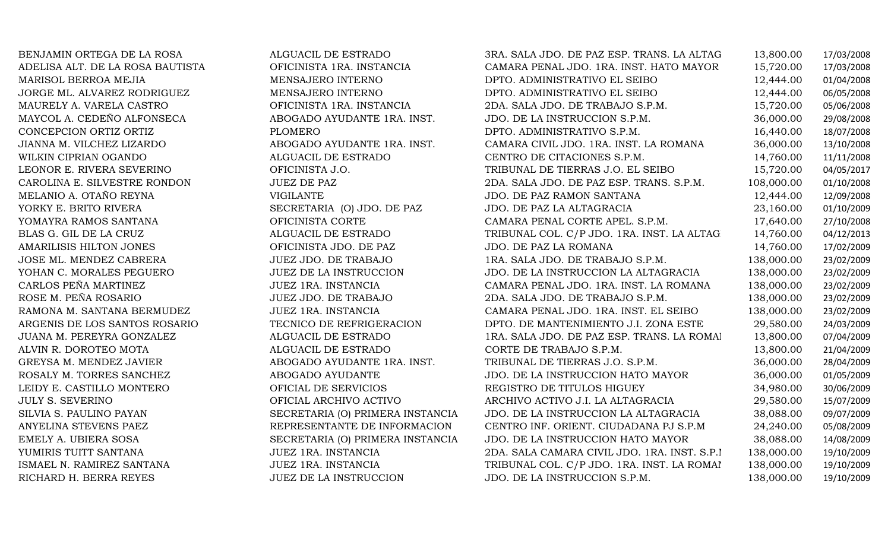| BENJAMIN ORTEGA DE LA ROSA       | ALGUACIL DE ESTRADO              | 3RA. SALA JDO. DE PAZ ESP. TRANS. LA ALTAG   | 13,800.00  | 17/03/2008 |
|----------------------------------|----------------------------------|----------------------------------------------|------------|------------|
| ADELISA ALT. DE LA ROSA BAUTISTA | OFICINISTA 1RA. INSTANCIA        | CAMARA PENAL JDO. 1RA. INST. HATO MAYOR      | 15,720.00  | 17/03/2008 |
| MARISOL BERROA MEJIA             | MENSAJERO INTERNO                | DPTO. ADMINISTRATIVO EL SEIBO                | 12,444.00  | 01/04/2008 |
| JORGE ML. ALVAREZ RODRIGUEZ      | MENSAJERO INTERNO                | DPTO. ADMINISTRATIVO EL SEIBO                | 12,444.00  | 06/05/2008 |
| MAURELY A. VARELA CASTRO         | OFICINISTA 1RA. INSTANCIA        | 2DA. SALA JDO. DE TRABAJO S.P.M.             | 15,720.00  | 05/06/2008 |
| MAYCOL A. CEDEÑO ALFONSECA       | ABOGADO AYUDANTE 1RA. INST.      | JDO. DE LA INSTRUCCION S.P.M.                | 36,000.00  | 29/08/2008 |
| CONCEPCION ORTIZ ORTIZ           | <b>PLOMERO</b>                   | DPTO. ADMINISTRATIVO S.P.M.                  | 16,440.00  | 18/07/2008 |
| JIANNA M. VILCHEZ LIZARDO        | ABOGADO AYUDANTE 1RA. INST.      | CAMARA CIVIL JDO. 1RA. INST. LA ROMANA       | 36,000.00  | 13/10/2008 |
| WILKIN CIPRIAN OGANDO            | ALGUACIL DE ESTRADO              | CENTRO DE CITACIONES S.P.M.                  | 14,760.00  | 11/11/2008 |
| LEONOR E. RIVERA SEVERINO        | OFICINISTA J.O.                  | TRIBUNAL DE TIERRAS J.O. EL SEIBO            | 15,720.00  | 04/05/2017 |
| CAROLINA E. SILVESTRE RONDON     | <b>JUEZ DE PAZ</b>               | 2DA. SALA JDO. DE PAZ ESP. TRANS. S.P.M.     | 108,000.00 | 01/10/2008 |
| MELANIO A. OTAÑO REYNA           | <b>VIGILANTE</b>                 | JDO. DE PAZ RAMON SANTANA                    | 12,444.00  | 12/09/2008 |
| YORKY E. BRITO RIVERA            | SECRETARIA (O) JDO. DE PAZ       | JDO. DE PAZ LA ALTAGRACIA                    | 23,160.00  | 01/10/2009 |
| YOMAYRA RAMOS SANTANA            | OFICINISTA CORTE                 | CAMARA PENAL CORTE APEL. S.P.M.              | 17,640.00  | 27/10/2008 |
| BLAS G. GIL DE LA CRUZ           | ALGUACIL DE ESTRADO              | TRIBUNAL COL. C/P JDO. 1RA. INST. LA ALTAG   | 14,760.00  | 04/12/2013 |
| AMARILISIS HILTON JONES          | OFICINISTA JDO. DE PAZ           | JDO. DE PAZ LA ROMANA                        | 14,760.00  | 17/02/2009 |
| JOSE ML. MENDEZ CABRERA          | JUEZ JDO. DE TRABAJO             | 1RA. SALA JDO. DE TRABAJO S.P.M.             | 138,000.00 | 23/02/2009 |
| YOHAN C. MORALES PEGUERO         | <b>JUEZ DE LA INSTRUCCION</b>    | JDO. DE LA INSTRUCCION LA ALTAGRACIA         | 138,000.00 | 23/02/2009 |
| CARLOS PEÑA MARTINEZ             | JUEZ 1RA. INSTANCIA              | CAMARA PENAL JDO. 1RA. INST. LA ROMANA       | 138,000.00 | 23/02/2009 |
| ROSE M. PEÑA ROSARIO             | JUEZ JDO. DE TRABAJO             | 2DA. SALA JDO. DE TRABAJO S.P.M.             | 138,000.00 | 23/02/2009 |
| RAMONA M. SANTANA BERMUDEZ       | JUEZ 1RA. INSTANCIA              | CAMARA PENAL JDO. 1RA. INST. EL SEIBO        | 138,000.00 | 23/02/2009 |
| ARGENIS DE LOS SANTOS ROSARIO    | TECNICO DE REFRIGERACION         | DPTO. DE MANTENIMIENTO J.I. ZONA ESTE        | 29,580.00  | 24/03/2009 |
| JUANA M. PEREYRA GONZALEZ        | ALGUACIL DE ESTRADO              | 1RA. SALA JDO. DE PAZ ESP. TRANS. LA ROMAI   | 13,800.00  | 07/04/2009 |
| ALVIN R. DOROTEO MOTA            | ALGUACIL DE ESTRADO              | CORTE DE TRABAJO S.P.M.                      | 13,800.00  | 21/04/2009 |
| GREYSA M. MENDEZ JAVIER          | ABOGADO AYUDANTE 1RA. INST.      | TRIBUNAL DE TIERRAS J.O. S.P.M.              | 36,000.00  | 28/04/2009 |
| ROSALY M. TORRES SANCHEZ         | ABOGADO AYUDANTE                 | JDO. DE LA INSTRUCCION HATO MAYOR            | 36,000.00  | 01/05/2009 |
| LEIDY E. CASTILLO MONTERO        | OFICIAL DE SERVICIOS             | REGISTRO DE TITULOS HIGUEY                   | 34,980.00  | 30/06/2009 |
| <b>JULY S. SEVERINO</b>          | OFICIAL ARCHIVO ACTIVO           | ARCHIVO ACTIVO J.I. LA ALTAGRACIA            | 29,580.00  | 15/07/2009 |
| SILVIA S. PAULINO PAYAN          | SECRETARIA (O) PRIMERA INSTANCIA | JDO. DE LA INSTRUCCION LA ALTAGRACIA         | 38,088.00  | 09/07/2009 |
| ANYELINA STEVENS PAEZ            | REPRESENTANTE DE INFORMACION     | CENTRO INF. ORIENT. CIUDADANA PJ S.P.M       | 24,240.00  | 05/08/2009 |
| EMELY A. UBIERA SOSA             | SECRETARIA (O) PRIMERA INSTANCIA | JDO. DE LA INSTRUCCION HATO MAYOR            | 38,088.00  | 14/08/2009 |
| YUMIRIS TUITT SANTANA            | JUEZ 1RA. INSTANCIA              | 2DA. SALA CAMARA CIVIL JDO. 1RA. INST. S.P.I | 138,000.00 | 19/10/2009 |
| ISMAEL N. RAMIREZ SANTANA        | JUEZ 1RA. INSTANCIA              | TRIBUNAL COL. C/P JDO. 1RA. INST. LA ROMAI   | 138,000.00 | 19/10/2009 |
| RICHARD H. BERRA REYES           | JUEZ DE LA INSTRUCCION           | JDO. DE LA INSTRUCCION S.P.M.                | 138,000.00 | 19/10/2009 |
|                                  |                                  |                                              |            |            |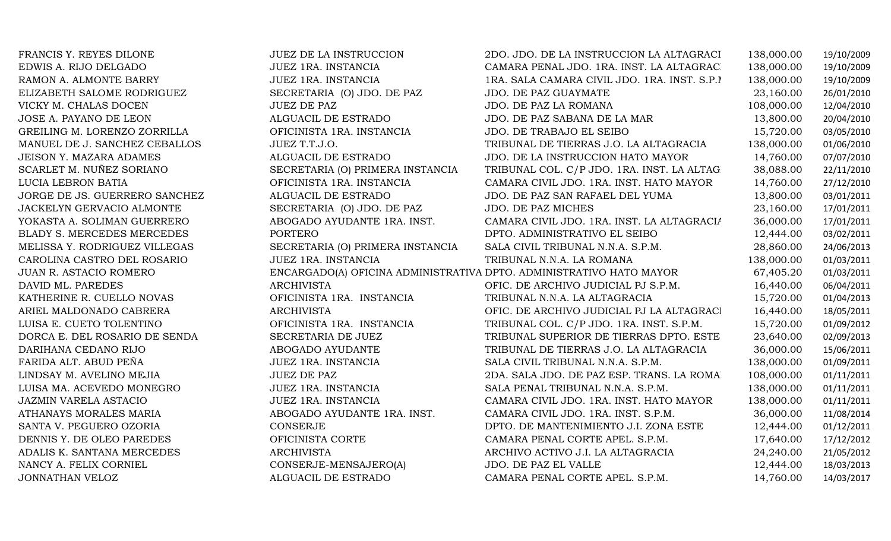| FRANCIS Y. REYES DILONE        | <b>JUEZ DE LA INSTRUCCION</b>    | 2DO. JDO. DE LA INSTRUCCION LA ALTAGRACI                            | 138,000.00 | 19/10/2009 |
|--------------------------------|----------------------------------|---------------------------------------------------------------------|------------|------------|
| EDWIS A. RIJO DELGADO          | JUEZ 1RA. INSTANCIA              | CAMARA PENAL JDO. 1RA. INST. LA ALTAGRAC.                           | 138,000.00 | 19/10/2009 |
| RAMON A. ALMONTE BARRY         | JUEZ 1RA. INSTANCIA              | 1RA. SALA CAMARA CIVIL JDO. 1RA. INST. S.P.I                        | 138,000.00 | 19/10/2009 |
| ELIZABETH SALOME RODRIGUEZ     | SECRETARIA (O) JDO. DE PAZ       | JDO. DE PAZ GUAYMATE                                                | 23,160.00  | 26/01/2010 |
| VICKY M. CHALAS DOCEN          | <b>JUEZ DE PAZ</b>               | JDO. DE PAZ LA ROMANA                                               | 108,000.00 | 12/04/2010 |
| JOSE A. PAYANO DE LEON         | ALGUACIL DE ESTRADO              | JDO. DE PAZ SABANA DE LA MAR                                        | 13,800.00  | 20/04/2010 |
| GREILING M. LORENZO ZORRILLA   | OFICINISTA 1RA. INSTANCIA        | JDO. DE TRABAJO EL SEIBO                                            | 15,720.00  | 03/05/2010 |
| MANUEL DE J. SANCHEZ CEBALLOS  | JUEZ T.T.J.O.                    | TRIBUNAL DE TIERRAS J.O. LA ALTAGRACIA                              | 138,000.00 | 01/06/2010 |
| <b>JEISON Y. MAZARA ADAMES</b> | ALGUACIL DE ESTRADO              | JDO. DE LA INSTRUCCION HATO MAYOR                                   | 14,760.00  | 07/07/2010 |
| SCARLET M. NUÑEZ SORIANO       | SECRETARIA (O) PRIMERA INSTANCIA | TRIBUNAL COL. C/P JDO. 1RA. INST. LA ALTAG                          | 38,088.00  | 22/11/2010 |
| LUCIA LEBRON BATIA             | OFICINISTA 1RA. INSTANCIA        | CAMARA CIVIL JDO. 1RA. INST. HATO MAYOR                             | 14,760.00  | 27/12/2010 |
| JORGE DE JS. GUERRERO SANCHEZ  | ALGUACIL DE ESTRADO              | JDO. DE PAZ SAN RAFAEL DEL YUMA                                     | 13,800.00  | 03/01/2011 |
| JACKELYN GERVACIO ALMONTE      | SECRETARIA (O) JDO. DE PAZ       | JDO. DE PAZ MICHES                                                  | 23,160.00  | 17/01/2011 |
| YOKASTA A. SOLIMAN GUERRERO    | ABOGADO AYUDANTE 1RA. INST.      | CAMARA CIVIL JDO. 1RA. INST. LA ALTAGRACIA                          | 36,000.00  | 17/01/2011 |
| BLADY S. MERCEDES MERCEDES     | <b>PORTERO</b>                   | DPTO. ADMINISTRATIVO EL SEIBO                                       | 12,444.00  | 03/02/2011 |
| MELISSA Y. RODRIGUEZ VILLEGAS  | SECRETARIA (O) PRIMERA INSTANCIA | SALA CIVIL TRIBUNAL N.N.A. S.P.M.                                   | 28,860.00  | 24/06/2013 |
| CAROLINA CASTRO DEL ROSARIO    | JUEZ 1RA. INSTANCIA              | TRIBUNAL N.N.A. LA ROMANA                                           | 138,000.00 | 01/03/2011 |
| JUAN R. ASTACIO ROMERO         |                                  | ENCARGADO(A) OFICINA ADMINISTRATIVA DPTO. ADMINISTRATIVO HATO MAYOR | 67,405.20  | 01/03/2011 |
| DAVID ML. PAREDES              | <b>ARCHIVISTA</b>                | OFIC. DE ARCHIVO JUDICIAL PJ S.P.M.                                 | 16,440.00  | 06/04/2011 |
| KATHERINE R. CUELLO NOVAS      | OFICINISTA 1RA. INSTANCIA        | TRIBUNAL N.N.A. LA ALTAGRACIA                                       | 15,720.00  | 01/04/2013 |
| ARIEL MALDONADO CABRERA        | <b>ARCHIVISTA</b>                | OFIC. DE ARCHIVO JUDICIAL PJ LA ALTAGRACI                           | 16,440.00  | 18/05/2011 |
| LUISA E. CUETO TOLENTINO       | OFICINISTA 1RA. INSTANCIA        | TRIBUNAL COL. C/P JDO. 1RA. INST. S.P.M.                            | 15,720.00  | 01/09/2012 |
| DORCA E. DEL ROSARIO DE SENDA  | SECRETARIA DE JUEZ               | TRIBUNAL SUPERIOR DE TIERRAS DPTO. ESTE                             | 23,640.00  | 02/09/2013 |
| DARIHANA CEDANO RIJO           | ABOGADO AYUDANTE                 | TRIBUNAL DE TIERRAS J.O. LA ALTAGRACIA                              | 36,000.00  | 15/06/2011 |
| FARIDA ALT. ABUD PEÑA          | JUEZ 1RA. INSTANCIA              | SALA CIVIL TRIBUNAL N.N.A. S.P.M.                                   | 138,000.00 | 01/09/2011 |
| LINDSAY M. AVELINO MEJIA       | <b>JUEZ DE PAZ</b>               | 2DA. SALA JDO. DE PAZ ESP. TRANS. LA ROMA                           | 108,000.00 | 01/11/2011 |
| LUISA MA. ACEVEDO MONEGRO      | JUEZ 1RA. INSTANCIA              | SALA PENAL TRIBUNAL N.N.A. S.P.M.                                   | 138,000.00 | 01/11/2011 |
| <b>JAZMIN VARELA ASTACIO</b>   | JUEZ 1RA. INSTANCIA              | CAMARA CIVIL JDO. 1RA. INST. HATO MAYOR                             | 138,000.00 | 01/11/2011 |
| ATHANAYS MORALES MARIA         | ABOGADO AYUDANTE 1RA. INST.      | CAMARA CIVIL JDO. 1RA. INST. S.P.M.                                 | 36,000.00  | 11/08/2014 |
| SANTA V. PEGUERO OZORIA        | CONSERJE                         | DPTO. DE MANTENIMIENTO J.I. ZONA ESTE                               | 12,444.00  | 01/12/2011 |
| DENNIS Y. DE OLEO PAREDES      | OFICINISTA CORTE                 | CAMARA PENAL CORTE APEL. S.P.M.                                     | 17,640.00  | 17/12/2012 |
| ADALIS K. SANTANA MERCEDES     | <b>ARCHIVISTA</b>                | ARCHIVO ACTIVO J.I. LA ALTAGRACIA                                   | 24,240.00  | 21/05/2012 |
| NANCY A. FELIX CORNIEL         | CONSERJE-MENSAJERO(A)            | JDO. DE PAZ EL VALLE                                                | 12,444.00  | 18/03/2013 |
| JONNATHAN VELOZ                | ALGUACIL DE ESTRADO              | CAMARA PENAL CORTE APEL. S.P.M.                                     | 14,760.00  | 14/03/2017 |
|                                |                                  |                                                                     |            |            |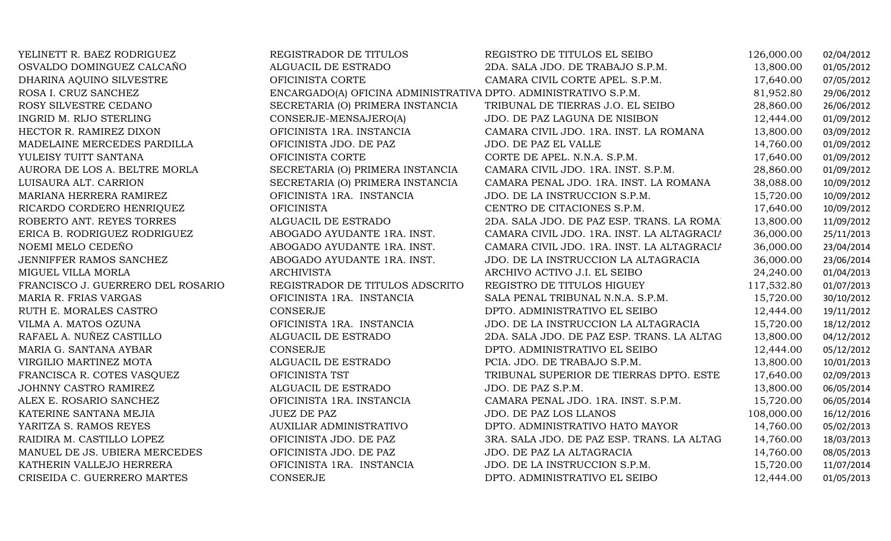| YELINETT R. BAEZ RODRIGUEZ        | REGISTRADOR DE TITULOS                                          | REGISTRO DE TITULOS EL SEIBO               | 126,000.00 | 02/04/2012 |
|-----------------------------------|-----------------------------------------------------------------|--------------------------------------------|------------|------------|
| OSVALDO DOMINGUEZ CALCAÑO         | ALGUACIL DE ESTRADO                                             | 2DA. SALA JDO. DE TRABAJO S.P.M.           | 13,800.00  | 01/05/2012 |
| DHARINA AQUINO SILVESTRE          | OFICINISTA CORTE                                                | CAMARA CIVIL CORTE APEL. S.P.M.            | 17,640.00  | 07/05/2012 |
| ROSA I. CRUZ SANCHEZ              | ENCARGADO(A) OFICINA ADMINISTRATIVA DPTO. ADMINISTRATIVO S.P.M. |                                            | 81,952.80  | 29/06/2012 |
| ROSY SILVESTRE CEDANO             | SECRETARIA (O) PRIMERA INSTANCIA                                | TRIBUNAL DE TIERRAS J.O. EL SEIBO          | 28,860.00  | 26/06/2012 |
| INGRID M. RIJO STERLING           | CONSERJE-MENSAJERO(A)                                           | JDO. DE PAZ LAGUNA DE NISIBON              | 12,444.00  | 01/09/2012 |
| HECTOR R. RAMIREZ DIXON           | OFICINISTA 1RA. INSTANCIA                                       | CAMARA CIVIL JDO. 1RA. INST. LA ROMANA     | 13,800.00  | 03/09/2012 |
| MADELAINE MERCEDES PARDILLA       | OFICINISTA JDO. DE PAZ                                          | JDO. DE PAZ EL VALLE                       | 14,760.00  | 01/09/2012 |
| YULEISY TUITT SANTANA             | OFICINISTA CORTE                                                | CORTE DE APEL. N.N.A. S.P.M.               | 17,640.00  | 01/09/2012 |
| AURORA DE LOS A. BELTRE MORLA     | SECRETARIA (O) PRIMERA INSTANCIA                                | CAMARA CIVIL JDO. 1RA. INST. S.P.M.        | 28,860.00  | 01/09/2012 |
| LUISAURA ALT. CARRION             | SECRETARIA (O) PRIMERA INSTANCIA                                | CAMARA PENAL JDO. 1RA. INST. LA ROMANA     | 38,088.00  | 10/09/2012 |
| MARIANA HERRERA RAMIREZ           | OFICINISTA 1RA. INSTANCIA                                       | JDO. DE LA INSTRUCCION S.P.M.              | 15,720.00  | 10/09/2012 |
| RICARDO CORDERO HENRIQUEZ         | <b>OFICINISTA</b>                                               | CENTRO DE CITACIONES S.P.M.                | 17,640.00  | 10/09/2012 |
| ROBERTO ANT. REYES TORRES         | ALGUACIL DE ESTRADO                                             | 2DA. SALA JDO. DE PAZ ESP. TRANS. LA ROMA  | 13,800.00  | 11/09/2012 |
| ERICA B. RODRIGUEZ RODRIGUEZ      | ABOGADO AYUDANTE 1RA. INST.                                     | CAMARA CIVIL JDO. 1RA. INST. LA ALTAGRACIA | 36,000.00  | 25/11/2013 |
| NOEMI MELO CEDEÑO                 | ABOGADO AYUDANTE 1RA. INST.                                     | CAMARA CIVIL JDO. 1RA. INST. LA ALTAGRACIA | 36,000.00  | 23/04/2014 |
| JENNIFFER RAMOS SANCHEZ           | ABOGADO AYUDANTE 1RA. INST.                                     | JDO. DE LA INSTRUCCION LA ALTAGRACIA       | 36,000.00  | 23/06/2014 |
| MIGUEL VILLA MORLA                | <b>ARCHIVISTA</b>                                               | ARCHIVO ACTIVO J.I. EL SEIBO               | 24,240.00  | 01/04/2013 |
| FRANCISCO J. GUERRERO DEL ROSARIO | REGISTRADOR DE TITULOS ADSCRITO                                 | REGISTRO DE TITULOS HIGUEY                 | 117,532.80 | 01/07/2013 |
| MARIA R. FRIAS VARGAS             | OFICINISTA 1RA. INSTANCIA                                       | SALA PENAL TRIBUNAL N.N.A. S.P.M.          | 15,720.00  | 30/10/2012 |
| RUTH E. MORALES CASTRO            | <b>CONSERJE</b>                                                 | DPTO. ADMINISTRATIVO EL SEIBO              | 12,444.00  | 19/11/2012 |
| VILMA A. MATOS OZUNA              | OFICINISTA 1RA. INSTANCIA                                       | JDO. DE LA INSTRUCCION LA ALTAGRACIA       | 15,720.00  | 18/12/2012 |
| RAFAEL A. NUÑEZ CASTILLO          | ALGUACIL DE ESTRADO                                             | 2DA. SALA JDO. DE PAZ ESP. TRANS. LA ALTAG | 13,800.00  | 04/12/2012 |
| MARIA G. SANTANA AYBAR            | CONSERJE                                                        | DPTO. ADMINISTRATIVO EL SEIBO              | 12,444.00  | 05/12/2012 |
| VIRGILIO MARTINEZ MOTA            | ALGUACIL DE ESTRADO                                             | PCIA. JDO. DE TRABAJO S.P.M.               | 13,800.00  | 10/01/2013 |
| FRANCISCA R. COTES VASQUEZ        | OFICINISTA TST                                                  | TRIBUNAL SUPERIOR DE TIERRAS DPTO. ESTE    | 17,640.00  | 02/09/2013 |
| JOHNNY CASTRO RAMIREZ             | ALGUACIL DE ESTRADO                                             | JDO. DE PAZ S.P.M.                         | 13,800.00  | 06/05/2014 |
| ALEX E. ROSARIO SANCHEZ           | OFICINISTA 1RA. INSTANCIA                                       | CAMARA PENAL JDO. 1RA. INST. S.P.M.        | 15,720.00  | 06/05/2014 |
| KATERINE SANTANA MEJIA            | <b>JUEZ DE PAZ</b>                                              | JDO. DE PAZ LOS LLANOS                     | 108,000.00 | 16/12/2016 |
| YARITZA S. RAMOS REYES            | <b>AUXILIAR ADMINISTRATIVO</b>                                  | DPTO. ADMINISTRATIVO HATO MAYOR            | 14,760.00  | 05/02/2013 |
| RAIDIRA M. CASTILLO LOPEZ         | OFICINISTA JDO. DE PAZ                                          | 3RA. SALA JDO. DE PAZ ESP. TRANS. LA ALTAG | 14,760.00  | 18/03/2013 |
| MANUEL DE JS. UBIERA MERCEDES     | OFICINISTA JDO. DE PAZ                                          | JDO. DE PAZ LA ALTAGRACIA                  | 14,760.00  | 08/05/2013 |
| KATHERIN VALLEJO HERRERA          | OFICINISTA 1RA. INSTANCIA                                       | JDO. DE LA INSTRUCCION S.P.M.              | 15,720.00  | 11/07/2014 |
| CRISEIDA C. GUERRERO MARTES       | CONSERJE                                                        | DPTO. ADMINISTRATIVO EL SEIBO              | 12,444.00  | 01/05/2013 |
|                                   |                                                                 |                                            |            |            |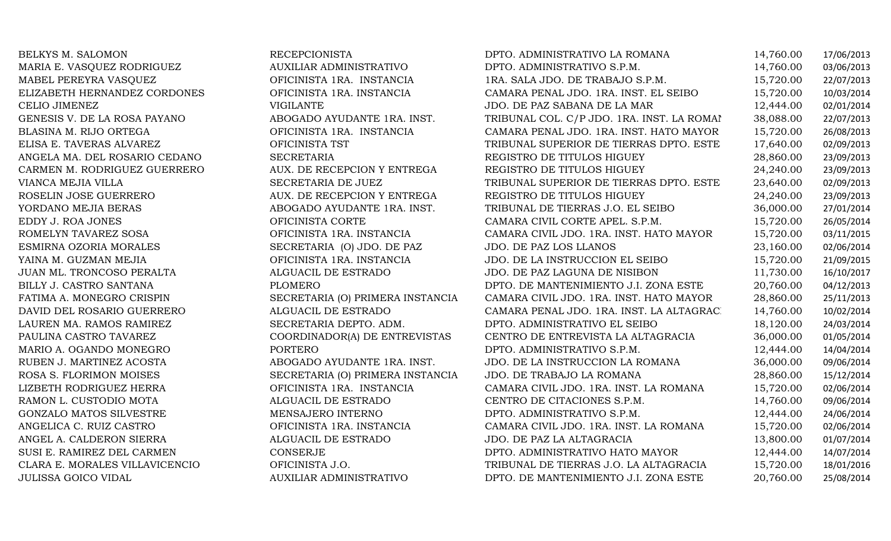| BELKYS M. SALOMON              | <b>RECEPCIONISTA</b>             | DPTO. ADMINISTRATIVO LA ROMANA             | 14,760.00 | 17/06/2013 |
|--------------------------------|----------------------------------|--------------------------------------------|-----------|------------|
| MARIA E. VASQUEZ RODRIGUEZ     | AUXILIAR ADMINISTRATIVO          | DPTO. ADMINISTRATIVO S.P.M.                | 14,760.00 | 03/06/2013 |
| MABEL PEREYRA VASQUEZ          | OFICINISTA 1RA. INSTANCIA        | 1RA. SALA JDO. DE TRABAJO S.P.M.           | 15,720.00 | 22/07/2013 |
| ELIZABETH HERNANDEZ CORDONES   | OFICINISTA 1RA. INSTANCIA        | CAMARA PENAL JDO. 1RA. INST. EL SEIBO      | 15,720.00 | 10/03/2014 |
| CELIO JIMENEZ                  | <b>VIGILANTE</b>                 | JDO. DE PAZ SABANA DE LA MAR               | 12,444.00 | 02/01/2014 |
| GENESIS V. DE LA ROSA PAYANO   | ABOGADO AYUDANTE 1RA. INST.      | TRIBUNAL COL. C/P JDO. 1RA. INST. LA ROMAI | 38,088.00 | 22/07/2013 |
| BLASINA M. RIJO ORTEGA         | OFICINISTA 1RA. INSTANCIA        | CAMARA PENAL JDO. 1RA. INST. HATO MAYOR    | 15,720.00 | 26/08/2013 |
| ELISA E. TAVERAS ALVAREZ       | OFICINISTA TST                   | TRIBUNAL SUPERIOR DE TIERRAS DPTO. ESTE    | 17,640.00 | 02/09/2013 |
| ANGELA MA. DEL ROSARIO CEDANO  | <b>SECRETARIA</b>                | REGISTRO DE TITULOS HIGUEY                 | 28,860.00 | 23/09/2013 |
| CARMEN M. RODRIGUEZ GUERRERO   | AUX. DE RECEPCION Y ENTREGA      | REGISTRO DE TITULOS HIGUEY                 | 24,240.00 | 23/09/2013 |
| VIANCA MEJIA VILLA             | SECRETARIA DE JUEZ               | TRIBUNAL SUPERIOR DE TIERRAS DPTO. ESTE    | 23,640.00 | 02/09/2013 |
| ROSELIN JOSE GUERRERO          | AUX. DE RECEPCION Y ENTREGA      | REGISTRO DE TITULOS HIGUEY                 | 24,240.00 | 23/09/2013 |
| YORDANO MEJIA BERAS            | ABOGADO AYUDANTE 1RA. INST.      | TRIBUNAL DE TIERRAS J.O. EL SEIBO          | 36,000.00 | 27/01/2014 |
| EDDY J. ROA JONES              | OFICINISTA CORTE                 | CAMARA CIVIL CORTE APEL. S.P.M.            | 15,720.00 | 26/05/2014 |
| ROMELYN TAVAREZ SOSA           | OFICINISTA 1RA. INSTANCIA        | CAMARA CIVIL JDO. 1RA. INST. HATO MAYOR    | 15,720.00 | 03/11/2015 |
| ESMIRNA OZORIA MORALES         | SECRETARIA (O) JDO. DE PAZ       | JDO. DE PAZ LOS LLANOS                     | 23,160.00 | 02/06/2014 |
| YAINA M. GUZMAN MEJIA          | OFICINISTA 1RA. INSTANCIA        | JDO. DE LA INSTRUCCION EL SEIBO            | 15,720.00 | 21/09/2015 |
| JUAN ML. TRONCOSO PERALTA      | ALGUACIL DE ESTRADO              | JDO. DE PAZ LAGUNA DE NISIBON              | 11,730.00 | 16/10/2017 |
| BILLY J. CASTRO SANTANA        | <b>PLOMERO</b>                   | DPTO. DE MANTENIMIENTO J.I. ZONA ESTE      | 20,760.00 | 04/12/2013 |
| FATIMA A. MONEGRO CRISPIN      | SECRETARIA (O) PRIMERA INSTANCIA | CAMARA CIVIL JDO. 1RA. INST. HATO MAYOR    | 28,860.00 | 25/11/2013 |
| DAVID DEL ROSARIO GUERRERO     | ALGUACIL DE ESTRADO              | CAMARA PENAL JDO. 1RA. INST. LA ALTAGRAC.  | 14,760.00 | 10/02/2014 |
| LAUREN MA. RAMOS RAMIREZ       | SECRETARIA DEPTO. ADM.           | DPTO. ADMINISTRATIVO EL SEIBO              | 18,120.00 | 24/03/2014 |
| PAULINA CASTRO TAVAREZ         | COORDINADOR(A) DE ENTREVISTAS    | CENTRO DE ENTREVISTA LA ALTAGRACIA         | 36,000.00 | 01/05/2014 |
| MARIO A. OGANDO MONEGRO        | <b>PORTERO</b>                   | DPTO. ADMINISTRATIVO S.P.M.                | 12,444.00 | 14/04/2014 |
| RUBEN J. MARTINEZ ACOSTA       | ABOGADO AYUDANTE 1RA. INST.      | JDO. DE LA INSTRUCCION LA ROMANA           | 36,000.00 | 09/06/2014 |
| ROSA S. FLORIMON MOISES        | SECRETARIA (O) PRIMERA INSTANCIA | JDO. DE TRABAJO LA ROMANA                  | 28,860.00 | 15/12/2014 |
| LIZBETH RODRIGUEZ HERRA        | OFICINISTA 1RA. INSTANCIA        | CAMARA CIVIL JDO. 1RA. INST. LA ROMANA     | 15,720.00 | 02/06/2014 |
| RAMON L. CUSTODIO MOTA         | ALGUACIL DE ESTRADO              | CENTRO DE CITACIONES S.P.M.                | 14,760.00 | 09/06/2014 |
| GONZALO MATOS SILVESTRE        | MENSAJERO INTERNO                | DPTO. ADMINISTRATIVO S.P.M.                | 12,444.00 | 24/06/2014 |
| ANGELICA C. RUIZ CASTRO        | OFICINISTA 1RA. INSTANCIA        | CAMARA CIVIL JDO. 1RA. INST. LA ROMANA     | 15,720.00 | 02/06/2014 |
| ANGEL A. CALDERON SIERRA       | ALGUACIL DE ESTRADO              | JDO. DE PAZ LA ALTAGRACIA                  | 13,800.00 | 01/07/2014 |
| SUSI E. RAMIREZ DEL CARMEN     | <b>CONSERJE</b>                  | DPTO. ADMINISTRATIVO HATO MAYOR            | 12,444.00 | 14/07/2014 |
| CLARA E. MORALES VILLAVICENCIO | OFICINISTA J.O.                  | TRIBUNAL DE TIERRAS J.O. LA ALTAGRACIA     | 15,720.00 | 18/01/2016 |
| <b>JULISSA GOICO VIDAL</b>     | AUXILIAR ADMINISTRATIVO          | DPTO. DE MANTENIMIENTO J.I. ZONA ESTE      | 20,760.00 | 25/08/2014 |
|                                |                                  |                                            |           |            |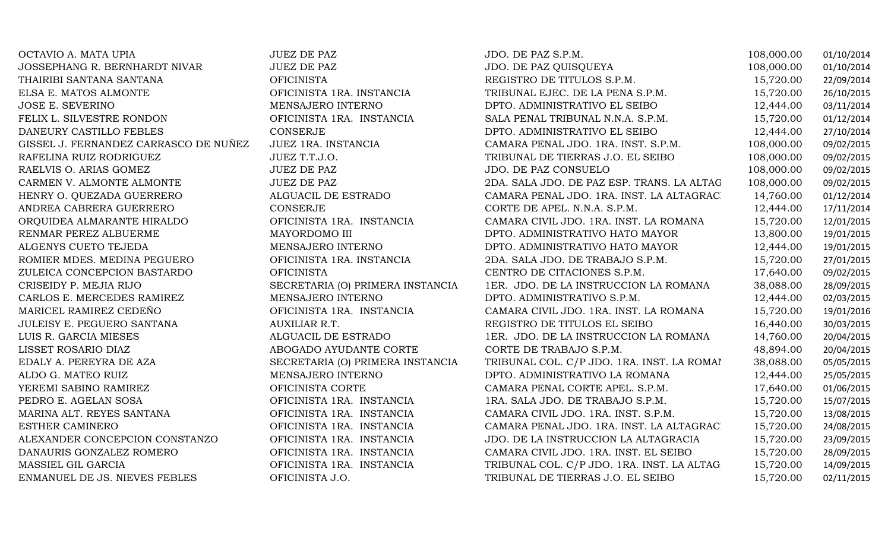| OCTAVIO A. MATA UPIA                  | JUEZ DE PAZ                      | JDO. DE PAZ S.P.M.                         | 108,000.00 | 01/10/2014 |
|---------------------------------------|----------------------------------|--------------------------------------------|------------|------------|
| <b>JOSSEPHANG R. BERNHARDT NIVAR</b>  | <b>JUEZ DE PAZ</b>               | JDO. DE PAZ QUISQUEYA                      | 108,000.00 | 01/10/2014 |
| THAIRIBI SANTANA SANTANA              | <b>OFICINISTA</b>                | REGISTRO DE TITULOS S.P.M.                 | 15,720.00  | 22/09/2014 |
| ELSA E. MATOS ALMONTE                 | OFICINISTA 1RA. INSTANCIA        | TRIBUNAL EJEC. DE LA PENA S.P.M.           | 15,720.00  | 26/10/2015 |
| <b>JOSE E. SEVERINO</b>               | MENSAJERO INTERNO                | DPTO. ADMINISTRATIVO EL SEIBO              | 12,444.00  | 03/11/2014 |
| FELIX L. SILVESTRE RONDON             | OFICINISTA 1RA. INSTANCIA        | SALA PENAL TRIBUNAL N.N.A. S.P.M.          | 15,720.00  | 01/12/2014 |
| DANEURY CASTILLO FEBLES               | CONSERJE                         | DPTO. ADMINISTRATIVO EL SEIBO              | 12,444.00  | 27/10/2014 |
| GISSEL J. FERNANDEZ CARRASCO DE NUÑEZ | JUEZ 1RA. INSTANCIA              | CAMARA PENAL JDO. 1RA. INST. S.P.M.        | 108,000.00 | 09/02/2015 |
| RAFELINA RUIZ RODRIGUEZ               | JUEZ T.T.J.O.                    | TRIBUNAL DE TIERRAS J.O. EL SEIBO          | 108,000.00 | 09/02/2015 |
| RAELVIS O. ARIAS GOMEZ                | <b>JUEZ DE PAZ</b>               | JDO. DE PAZ CONSUELO                       | 108,000.00 | 09/02/2015 |
| CARMEN V. ALMONTE ALMONTE             | <b>JUEZ DE PAZ</b>               | 2DA. SALA JDO. DE PAZ ESP. TRANS. LA ALTAG | 108,000.00 | 09/02/2015 |
| HENRY O. QUEZADA GUERRERO             | ALGUACIL DE ESTRADO              | CAMARA PENAL JDO. 1RA. INST. LA ALTAGRAC.  | 14,760.00  | 01/12/2014 |
| ANDREA CABRERA GUERRERO               | <b>CONSERJE</b>                  | CORTE DE APEL. N.N.A. S.P.M.               | 12,444.00  | 17/11/2014 |
| ORQUIDEA ALMARANTE HIRALDO            | OFICINISTA 1RA. INSTANCIA        | CAMARA CIVIL JDO. 1RA. INST. LA ROMANA     | 15,720.00  | 12/01/2015 |
| RENMAR PEREZ ALBUERME                 | MAYORDOMO III                    | DPTO. ADMINISTRATIVO HATO MAYOR            | 13,800.00  | 19/01/2015 |
| ALGENYS CUETO TEJEDA                  | MENSAJERO INTERNO                | DPTO. ADMINISTRATIVO HATO MAYOR            | 12,444.00  | 19/01/2015 |
| ROMIER MDES. MEDINA PEGUERO           | OFICINISTA 1RA. INSTANCIA        | 2DA. SALA JDO. DE TRABAJO S.P.M.           | 15,720.00  | 27/01/2015 |
| ZULEICA CONCEPCION BASTARDO           | <b>OFICINISTA</b>                | CENTRO DE CITACIONES S.P.M.                | 17,640.00  | 09/02/2015 |
| CRISEIDY P. MEJIA RIJO                | SECRETARIA (O) PRIMERA INSTANCIA | 1ER. JDO. DE LA INSTRUCCION LA ROMANA      | 38,088.00  | 28/09/2015 |
| CARLOS E. MERCEDES RAMIREZ            | MENSAJERO INTERNO                | DPTO. ADMINISTRATIVO S.P.M.                | 12,444.00  | 02/03/2015 |
| MARICEL RAMIREZ CEDEÑO                | OFICINISTA 1RA. INSTANCIA        | CAMARA CIVIL JDO. 1RA. INST. LA ROMANA     | 15,720.00  | 19/01/2016 |
| JULEISY E. PEGUERO SANTANA            | AUXILIAR R.T.                    | REGISTRO DE TITULOS EL SEIBO               | 16,440.00  | 30/03/2015 |
| LUIS R. GARCIA MIESES                 | ALGUACIL DE ESTRADO              | 1ER. JDO. DE LA INSTRUCCION LA ROMANA      | 14,760.00  | 20/04/2015 |
| LISSET ROSARIO DIAZ                   | ABOGADO AYUDANTE CORTE           | CORTE DE TRABAJO S.P.M.                    | 48,894.00  | 20/04/2015 |
| EDALY A. PEREYRA DE AZA               | SECRETARIA (O) PRIMERA INSTANCIA | TRIBUNAL COL. C/P JDO. 1RA. INST. LA ROMAI | 38,088.00  | 05/05/2015 |
| ALDO G. MATEO RUIZ                    | MENSAJERO INTERNO                | DPTO. ADMINISTRATIVO LA ROMANA             | 12,444.00  | 25/05/2015 |
| YEREMI SABINO RAMIREZ                 | OFICINISTA CORTE                 | CAMARA PENAL CORTE APEL. S.P.M.            | 17,640.00  | 01/06/2015 |
| PEDRO E. AGELAN SOSA                  | OFICINISTA 1RA. INSTANCIA        | 1RA. SALA JDO. DE TRABAJO S.P.M.           | 15,720.00  | 15/07/2015 |
| MARINA ALT. REYES SANTANA             | OFICINISTA 1RA. INSTANCIA        | CAMARA CIVIL JDO. 1RA. INST. S.P.M.        | 15,720.00  | 13/08/2015 |
| ESTHER CAMINERO                       | OFICINISTA 1RA. INSTANCIA        | CAMARA PENAL JDO. 1RA. INST. LA ALTAGRAC.  | 15,720.00  | 24/08/2015 |
| ALEXANDER CONCEPCION CONSTANZO        | OFICINISTA 1RA. INSTANCIA        | JDO. DE LA INSTRUCCION LA ALTAGRACIA       | 15,720.00  | 23/09/2015 |
| DANAURIS GONZALEZ ROMERO              | OFICINISTA 1RA. INSTANCIA        | CAMARA CIVIL JDO. 1RA. INST. EL SEIBO      | 15,720.00  | 28/09/2015 |
| MASSIEL GIL GARCIA                    | OFICINISTA 1RA. INSTANCIA        | TRIBUNAL COL. C/P JDO. 1RA. INST. LA ALTAG | 15,720.00  | 14/09/2015 |
| ENMANUEL DE JS. NIEVES FEBLES         | OFICINISTA J.O.                  | TRIBUNAL DE TIERRAS J.O. EL SEIBO          | 15,720.00  | 02/11/2015 |
|                                       |                                  |                                            |            |            |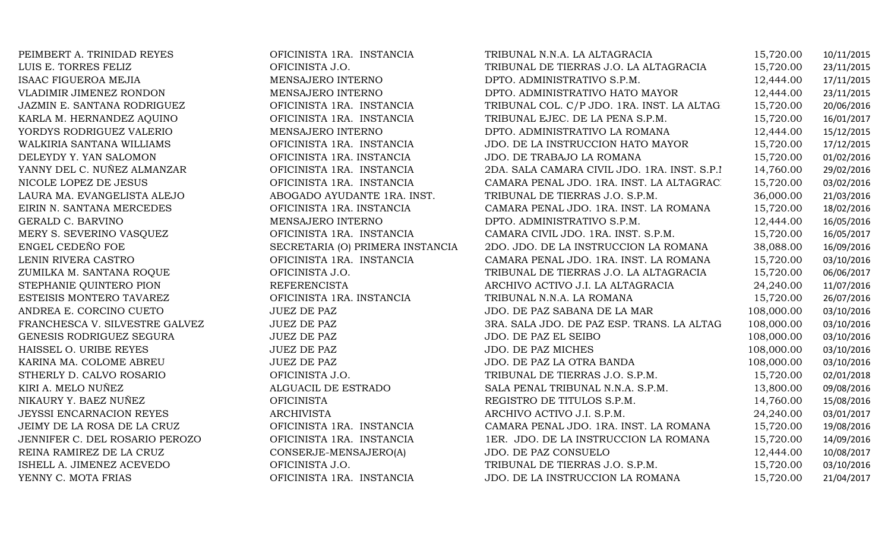PEIMBERT A. TRINIDAD REYES OFICINISTA 1RA. INSTANCIA TRIBUNAL N.N.A. LA ALTAGRACIA 15,720.00 10/11/2015 LUIS E. TORRES FELIZ OFICINISTA J.O. TRIBUNAL DE TIERRAS J.O. LA ALTAGRACIA 15,720.00 23/11/2015 ISAAC FIGUEROA MEJIA MENSAJERO INTERNO DPTO. ADMINISTRATIVO S.P.M. 12,444.00 17/11/2015 VLADIMIR JIMENEZ RONDON MENSAJERO INTERNO DPTO. ADMINISTRATIVO HATO MAYOR 12,444.00 23/11/2015 JAZMIN E. SANTANA RODRIGUEZ OFICINISTA 1RA. INSTANCIA TRIBUNAL COL. C/P JDO. 1RA. INST. LA ALTAGRACIA 15,720.00 20/06/2016 KARLA M. HERNANDEZ AQUINO OFICINISTA 1RA. INSTANCIA TRIBUNAL EJEC. DE LA PENA S.P.M. 15,720.00 16/01/2017 YORDYS RODRIGUEZ VALERIO MENSAJERO INTERNO DPTO. ADMINISTRATIVO LA ROMANA 12,444.00 15/12/2015 WALKIRIA SANTANA WILLIAMS OFICINISTA 1RA. INSTANCIA JDO. DE LA INSTRUCCION HATO MAYOR 15,720.00 17/12/2015 DELEYDY Y. YAN SALOMON OFICINISTA 1RA. INSTANCIA JDO. DE TRABAJO LA ROMANA 15,720.00 01/02/2016 YANNY DEL C. NUÑEZ ALMANZAR OFICINISTA 1RA. INSTANCIA 2DA. SALA CAMARA CIVIL JDO. 1RA. INST. S.P.M. 14,760.00 29/02/2016 NICOLE LOPEZ DE JESUS OFICINISTA 1RA. INSTANCIA CAMARA PENAL JDO. 1RA. INST. LA ALTAGRACIA 15,720.00 03/02/2016 LAURA MA. EVANGELISTA ALEJO ABOGADO AYUDANTE 1RA. INST. TRIBUNAL DE TIERRAS J.O. S.P.M. 36,000.00 21/03/2016 EIRIN N. SANTANA MERCEDES OFICINISTA 1RA. INSTANCIA CAMARA PENAL JDO. 1RA. INST. LA ROMANA 15,720.00 18/02/2016 GERALD C. BARVINO MENSAJERO INTERNO DPTO. ADMINISTRATIVO S.P.M. 12,444.00 16/05/2016 MERY S. SEVERINO VASQUEZ OFICINISTA 1RA. INSTANCIA CAMARA CIVIL JDO. 1RA. INST. S.P.M. 15,720.00 16/05/2017 ENGEL CEDEÑO FOE SECRETARIA (O) PRIMERA INSTANCIA 2DO. JDO. DE LA INSTRUCCION LA ROMANA 38,088.00 16/09/2016 LENIN RIVERA CASTRO OFICINISTA 1RA. INSTANCIA CAMARA PENAL JDO. 1RA. INST. LA ROMANA 15,720.00 03/10/2016 ZUMILKA M. SANTANA ROQUE OFICINISTA J.O. TRIBUNAL DE TIERRAS J.O. LA ALTAGRACIA 15,720.00 06/06/2017 STEPHANIE QUINTERO PION REFERENCISTA ARCHIVO ACTIVO J.I. LA ALTAGRACIA 24,240.00 11/07/2016 ESTEISIS MONTERO TAVAREZ OFICINISTA 1RA. INSTANCIA TRIBUNAL N.N.A. LA ROMANA 15,720.00 26/07/2016 ANDREA E. CORCINO CUETO JUEZ DE PAZ JDO. DE PAZ SABANA DE LA MAR 108,000.00 03/10/2016 FRANCHESCA V. SILVESTRE GALVEZ JUEZ DE PAZ 3RA. SALA JDO. DE PAZ ESP. TRANS. LA ALTAGRACIA108,000.00 03/10/2016 GENESIS RODRIGUEZ SEGURA JUEZ DE PAZ JDO. DE PAZ EL SEIBO 108,000.00 03/10/2016 HAISSEL O. URIBE REYES JUEZ DE PAZ JDO. DE PAZ MICHES 108,000.00 03/10/2016 KARINA MA. COLOME ABREU JUEZ DE PAZ JDO. DE PAZ LA OTRA BANDA 108,000.00 03/10/2016 STHERLY D. CALVO ROSARIO OFICINISTA J.O. TRIBUNAL DE TIERRAS J.O. S.P.M. 15,720.00 02/01/2018 KIRI A. MELO NUÑEZ ALGUACIL DE ESTRADO SALA PENAL TRIBUNAL N.N.A. S.P.M. 13,800.00 09/08/2016 NIKAURY Y. BAEZ NUÑEZ OFICINISTA REGISTRO DE TITULOS S.P.M. 14,760.00 15/08/2016 JEYSSI ENCARNACION REYES ARCHIVISTA ARCHIVO ACTIVO J.I. S.P.M. 24,240.00 03/01/2017 JEIMY DE LA ROSA DE LA CRUZ OFICINISTA 1RA. INSTANCIA CAMARA PENAL JDO. 1RA. INST. LA ROMANA 15,720.00 19/08/2016 JENNIFER C. DEL ROSARIO PEROZO OFICINISTA 1RA. INSTANCIA 1ER. JDO. DE LA INSTRUCCION LA ROMANA 15,720.00 14/09/2016 REINA RAMIREZ DE LA CRUZ CONSERJE-MENSAJERO(A) JDO. DE PAZ CONSUELO 12,444.00 10/08/2017 ISHELL A. JIMENEZ ACEVEDO OFICINISTA J.O. TRIBUNAL DE TIERRAS J.O. S.P.M. 15,720.00 03/10/2016 JDO. DE LA INSTRUCCION LA ROMANA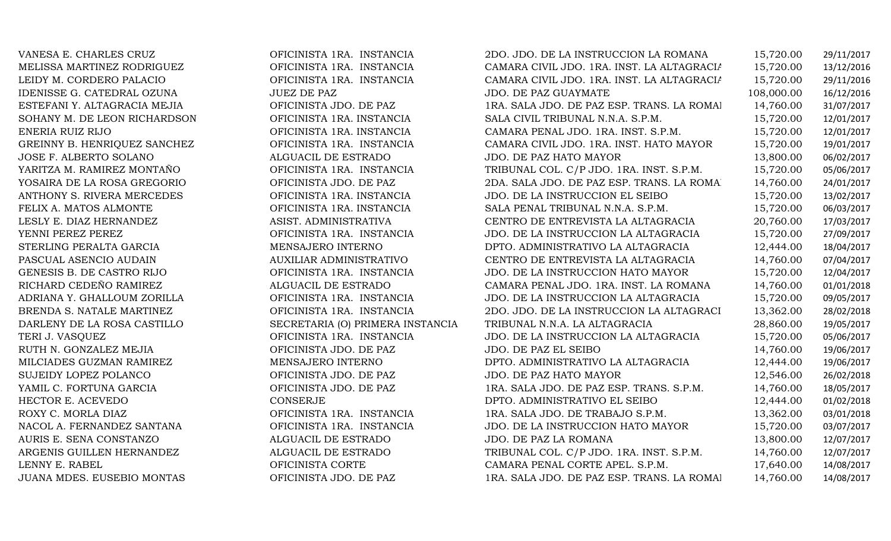| VANESA E. CHARLES CRUZ       | OFICINISTA 1RA. INSTANCIA        | 2DO. JDO. DE LA INSTRUCCION LA ROMANA      | 15,720.00  | 29/11/2017 |
|------------------------------|----------------------------------|--------------------------------------------|------------|------------|
| MELISSA MARTINEZ RODRIGUEZ   | OFICINISTA 1RA. INSTANCIA        | CAMARA CIVIL JDO. 1RA. INST. LA ALTAGRACIA | 15,720.00  | 13/12/2016 |
| LEIDY M. CORDERO PALACIO     | OFICINISTA 1RA. INSTANCIA        | CAMARA CIVIL JDO. 1RA. INST. LA ALTAGRACIA | 15,720.00  | 29/11/2016 |
| IDENISSE G. CATEDRAL OZUNA   | <b>JUEZ DE PAZ</b>               | <b>JDO. DE PAZ GUAYMATE</b>                | 108,000.00 | 16/12/2016 |
| ESTEFANI Y. ALTAGRACIA MEJIA | OFICINISTA JDO. DE PAZ           | 1RA. SALA JDO. DE PAZ ESP. TRANS. LA ROMAI | 14,760.00  | 31/07/2017 |
| SOHANY M. DE LEON RICHARDSON | OFICINISTA 1RA. INSTANCIA        | SALA CIVIL TRIBUNAL N.N.A. S.P.M.          | 15,720.00  | 12/01/2017 |
| ENERIA RUIZ RIJO             | OFICINISTA 1RA. INSTANCIA        | CAMARA PENAL JDO. 1RA. INST. S.P.M.        | 15,720.00  | 12/01/2017 |
| GREINNY B. HENRIQUEZ SANCHEZ | OFICINISTA 1RA. INSTANCIA        | CAMARA CIVIL JDO. 1RA. INST. HATO MAYOR    | 15,720.00  | 19/01/2017 |
| JOSE F. ALBERTO SOLANO       | ALGUACIL DE ESTRADO              | JDO. DE PAZ HATO MAYOR                     | 13,800.00  | 06/02/2017 |
| YARITZA M. RAMIREZ MONTAÑO   | OFICINISTA 1RA. INSTANCIA        | TRIBUNAL COL. C/P JDO. 1RA. INST. S.P.M.   | 15,720.00  | 05/06/2017 |
| YOSAIRA DE LA ROSA GREGORIO  | OFICINISTA JDO. DE PAZ           | 2DA. SALA JDO. DE PAZ ESP. TRANS. LA ROMA  | 14,760.00  | 24/01/2017 |
| ANTHONY S. RIVERA MERCEDES   | OFICINISTA 1RA. INSTANCIA        | JDO. DE LA INSTRUCCION EL SEIBO            | 15,720.00  | 13/02/2017 |
| FELIX A. MATOS ALMONTE       | OFICINISTA 1RA. INSTANCIA        | SALA PENAL TRIBUNAL N.N.A. S.P.M.          | 15,720.00  | 06/03/2017 |
| LESLY E. DIAZ HERNANDEZ      | ASIST. ADMINISTRATIVA            | CENTRO DE ENTREVISTA LA ALTAGRACIA         | 20,760.00  | 17/03/2017 |
| YENNI PEREZ PEREZ            | OFICINISTA 1RA. INSTANCIA        | JDO. DE LA INSTRUCCION LA ALTAGRACIA       | 15,720.00  | 27/09/2017 |
| STERLING PERALTA GARCIA      | MENSAJERO INTERNO                | DPTO. ADMINISTRATIVO LA ALTAGRACIA         | 12,444.00  | 18/04/2017 |
| PASCUAL ASENCIO AUDAIN       | <b>AUXILIAR ADMINISTRATIVO</b>   | CENTRO DE ENTREVISTA LA ALTAGRACIA         | 14,760.00  | 07/04/2017 |
| GENESIS B. DE CASTRO RIJO    | OFICINISTA 1RA. INSTANCIA        | JDO. DE LA INSTRUCCION HATO MAYOR          | 15,720.00  | 12/04/2017 |
| RICHARD CEDEÑO RAMIREZ       | ALGUACIL DE ESTRADO              | CAMARA PENAL JDO. 1RA. INST. LA ROMANA     | 14,760.00  | 01/01/2018 |
| ADRIANA Y. GHALLOUM ZORILLA  | OFICINISTA 1RA. INSTANCIA        | JDO. DE LA INSTRUCCION LA ALTAGRACIA       | 15,720.00  | 09/05/2017 |
| BRENDA S. NATALE MARTINEZ    | OFICINISTA 1RA. INSTANCIA        | 2DO. JDO. DE LA INSTRUCCION LA ALTAGRACI   | 13,362.00  | 28/02/2018 |
| DARLENY DE LA ROSA CASTILLO  | SECRETARIA (O) PRIMERA INSTANCIA | TRIBUNAL N.N.A. LA ALTAGRACIA              | 28,860.00  | 19/05/2017 |
| TERI J. VASQUEZ              | OFICINISTA 1RA. INSTANCIA        | JDO. DE LA INSTRUCCION LA ALTAGRACIA       | 15,720.00  | 05/06/2017 |
| RUTH N. GONZALEZ MEJIA       | OFICINISTA JDO. DE PAZ           | JDO. DE PAZ EL SEIBO                       | 14,760.00  | 19/06/2017 |
| MILCIADES GUZMAN RAMIREZ     | MENSAJERO INTERNO                | DPTO. ADMINISTRATIVO LA ALTAGRACIA         | 12,444.00  | 19/06/2017 |
| SUJEIDY LOPEZ POLANCO        | OFICINISTA JDO. DE PAZ           | JDO. DE PAZ HATO MAYOR                     | 12,546.00  | 26/02/2018 |
| YAMIL C. FORTUNA GARCIA      | OFICINISTA JDO. DE PAZ           | 1RA. SALA JDO. DE PAZ ESP. TRANS. S.P.M.   | 14,760.00  | 18/05/2017 |
| HECTOR E. ACEVEDO            | <b>CONSERJE</b>                  | DPTO. ADMINISTRATIVO EL SEIBO              | 12,444.00  | 01/02/2018 |
| ROXY C. MORLA DIAZ           | OFICINISTA 1RA. INSTANCIA        | 1RA. SALA JDO. DE TRABAJO S.P.M.           | 13,362.00  | 03/01/2018 |
| NACOL A. FERNANDEZ SANTANA   | OFICINISTA 1RA. INSTANCIA        | JDO. DE LA INSTRUCCION HATO MAYOR          | 15,720.00  | 03/07/2017 |
| AURIS E. SENA CONSTANZO      | ALGUACIL DE ESTRADO              | JDO. DE PAZ LA ROMANA                      | 13,800.00  | 12/07/2017 |
| ARGENIS GUILLEN HERNANDEZ    | ALGUACIL DE ESTRADO              | TRIBUNAL COL. C/P JDO. 1RA. INST. S.P.M.   | 14,760.00  | 12/07/2017 |
| LENNY E. RABEL               | OFICINISTA CORTE                 | CAMARA PENAL CORTE APEL. S.P.M.            | 17,640.00  | 14/08/2017 |
| JUANA MDES. EUSEBIO MONTAS   | OFICINISTA JDO. DE PAZ           | 1RA. SALA JDO. DE PAZ ESP. TRANS. LA ROMAI | 14,760.00  | 14/08/2017 |